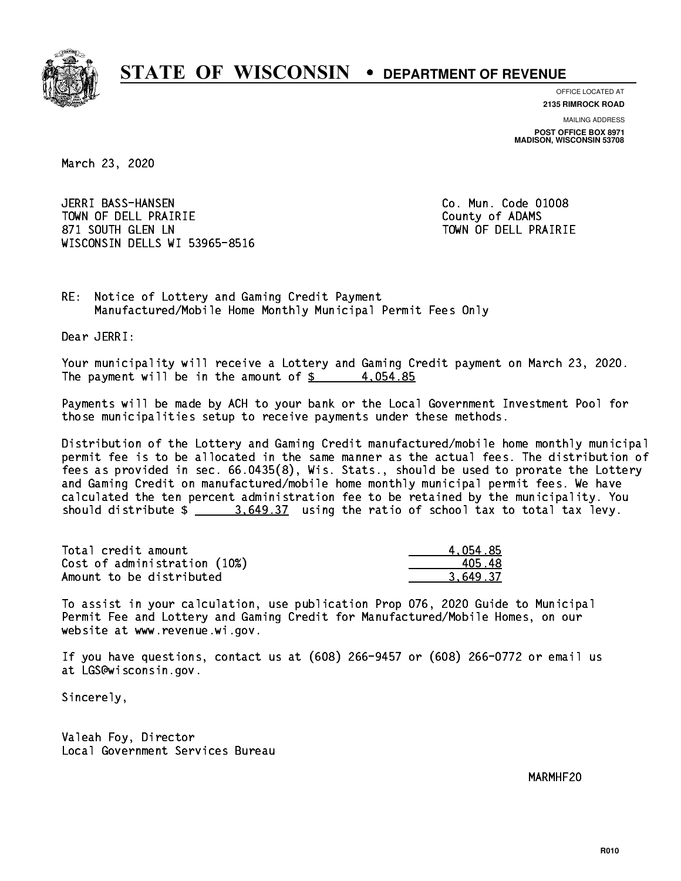

**OFFICE LOCATED AT**

**2135 RIMROCK ROAD**

**MAILING ADDRESS POST OFFICE BOX 8971 MADISON, WISCONSIN 53708**

March 23, 2020

 JERRI BASS-HANSEN Co. Mun. Code 01008 TOWN OF DELL PRAIRIE County of ADAMS 871 SOUTH GLEN LN TOWN OF DELL PRAIRIE WISCONSIN DELLS WI 53965-8516

RE: Notice of Lottery and Gaming Credit Payment Manufactured/Mobile Home Monthly Municipal Permit Fees Only

Dear JERRI:

 Your municipality will receive a Lottery and Gaming Credit payment on March 23, 2020. The payment will be in the amount of  $\frac{2}{3}$  4,054.85

 Payments will be made by ACH to your bank or the Local Government Investment Pool for those municipalities setup to receive payments under these methods.

 Distribution of the Lottery and Gaming Credit manufactured/mobile home monthly municipal permit fee is to be allocated in the same manner as the actual fees. The distribution of fees as provided in sec. 66.0435(8), Wis. Stats., should be used to prorate the Lottery and Gaming Credit on manufactured/mobile home monthly municipal permit fees. We have calculated the ten percent administration fee to be retained by the municipality. You should distribute  $\frac{2}{2}$   $\frac{3.649.37}{2}$  using the ratio of school tax to total tax levy.

| Total credit amount          | 4.054.85 |
|------------------------------|----------|
| Cost of administration (10%) | 405.48   |
| Amount to be distributed     | 3.649.37 |

 To assist in your calculation, use publication Prop 076, 2020 Guide to Municipal Permit Fee and Lottery and Gaming Credit for Manufactured/Mobile Homes, on our website at www.revenue.wi.gov.

 If you have questions, contact us at (608) 266-9457 or (608) 266-0772 or email us at LGS@wisconsin.gov.

Sincerely,

 Valeah Foy, Director Local Government Services Bureau

MARMHF20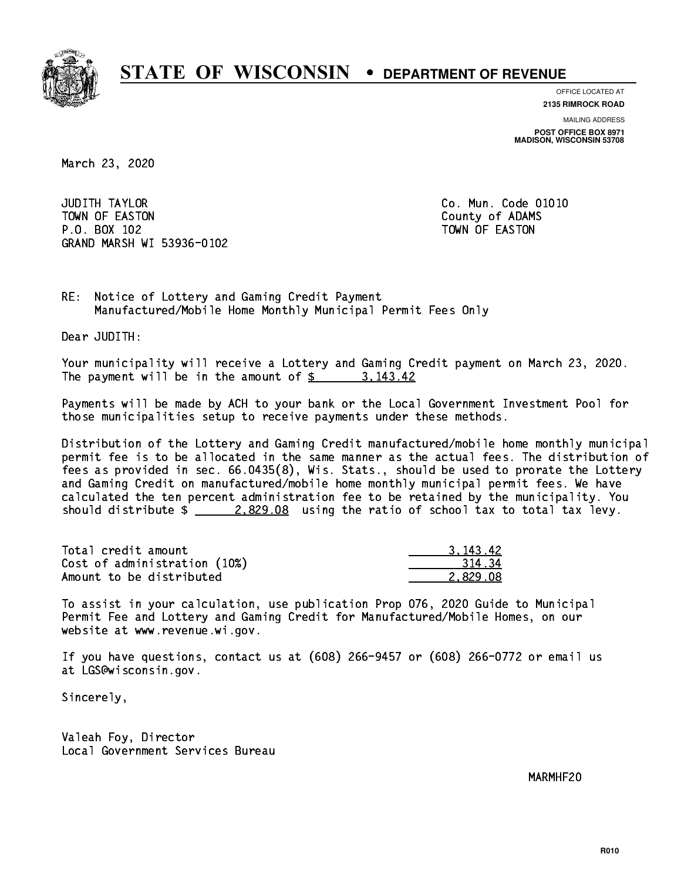

**OFFICE LOCATED AT**

**2135 RIMROCK ROAD**

**MAILING ADDRESS POST OFFICE BOX 8971 MADISON, WISCONSIN 53708**

March 23, 2020

**JUDITH TAYLOR** TOWN OF EASTON COUNTY OF ALCOHOL COUNTY OF ADAMS P.O. BOX 102 TOWN OF EASTON GRAND MARSH WI 53936-0102

Co. Mun. Code 01010

RE: Notice of Lottery and Gaming Credit Payment Manufactured/Mobile Home Monthly Municipal Permit Fees Only

Dear JUDITH:

 Your municipality will receive a Lottery and Gaming Credit payment on March 23, 2020. The payment will be in the amount of  $\frac{2}{3}$  3,143.42

 Payments will be made by ACH to your bank or the Local Government Investment Pool for those municipalities setup to receive payments under these methods.

 Distribution of the Lottery and Gaming Credit manufactured/mobile home monthly municipal permit fee is to be allocated in the same manner as the actual fees. The distribution of fees as provided in sec. 66.0435(8), Wis. Stats., should be used to prorate the Lottery and Gaming Credit on manufactured/mobile home monthly municipal permit fees. We have calculated the ten percent administration fee to be retained by the municipality. You should distribute  $\frac{2.829.08}{ }$  using the ratio of school tax to total tax levy.

| Total credit amount          | 3.143.42 |
|------------------------------|----------|
| Cost of administration (10%) | 31434    |
| Amount to be distributed     | 2.829.08 |

 To assist in your calculation, use publication Prop 076, 2020 Guide to Municipal Permit Fee and Lottery and Gaming Credit for Manufactured/Mobile Homes, on our website at www.revenue.wi.gov.

 If you have questions, contact us at (608) 266-9457 or (608) 266-0772 or email us at LGS@wisconsin.gov.

Sincerely,

 Valeah Foy, Director Local Government Services Bureau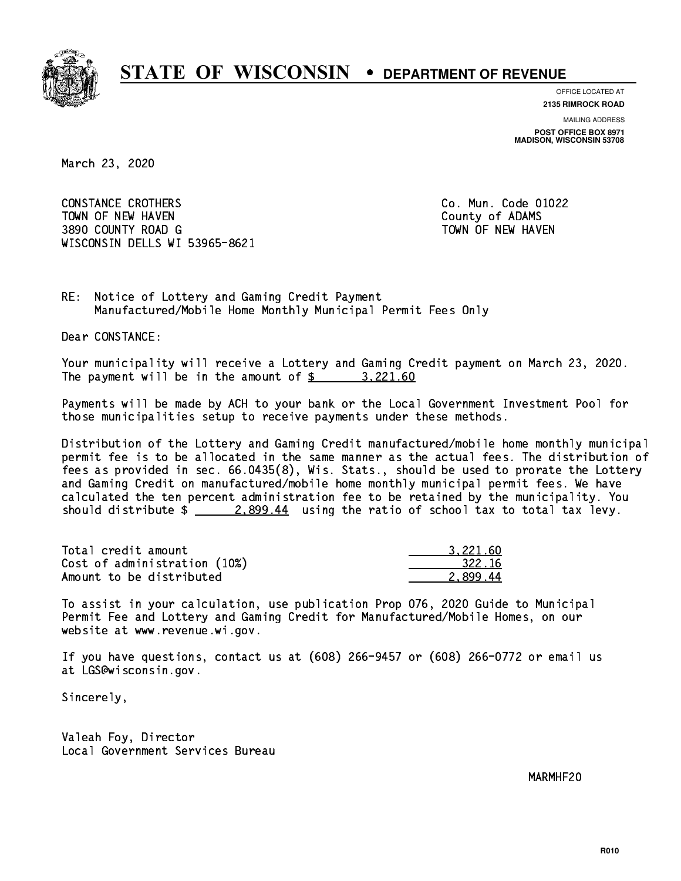

**OFFICE LOCATED AT**

**2135 RIMROCK ROAD**

**MAILING ADDRESS POST OFFICE BOX 8971 MADISON, WISCONSIN 53708**

March 23, 2020

 CONSTANCE CROTHERS Co. Mun. Code 01022 TOWN OF NEW HAVEN **COUNTY OF A SERVICE COULD A** COUNTY OF ADAMS 3890 COUNTY ROAD G TOWN OF NEW HAVEN WISCONSIN DELLS WI 53965-8621

RE: Notice of Lottery and Gaming Credit Payment Manufactured/Mobile Home Monthly Municipal Permit Fees Only

Dear CONSTANCE:

 Your municipality will receive a Lottery and Gaming Credit payment on March 23, 2020. The payment will be in the amount of  $\frac{2}{3}$  3,221.60

 Payments will be made by ACH to your bank or the Local Government Investment Pool for those municipalities setup to receive payments under these methods.

 Distribution of the Lottery and Gaming Credit manufactured/mobile home monthly municipal permit fee is to be allocated in the same manner as the actual fees. The distribution of fees as provided in sec. 66.0435(8), Wis. Stats., should be used to prorate the Lottery and Gaming Credit on manufactured/mobile home monthly municipal permit fees. We have calculated the ten percent administration fee to be retained by the municipality. You should distribute  $\frac{2.899.44}{2.899.44}$  using the ratio of school tax to total tax levy.

| Total credit amount          | 3.221.60 |
|------------------------------|----------|
| Cost of administration (10%) | 322.16   |
| Amount to be distributed     | 2.899.44 |

 To assist in your calculation, use publication Prop 076, 2020 Guide to Municipal Permit Fee and Lottery and Gaming Credit for Manufactured/Mobile Homes, on our website at www.revenue.wi.gov.

 If you have questions, contact us at (608) 266-9457 or (608) 266-0772 or email us at LGS@wisconsin.gov.

Sincerely,

 Valeah Foy, Director Local Government Services Bureau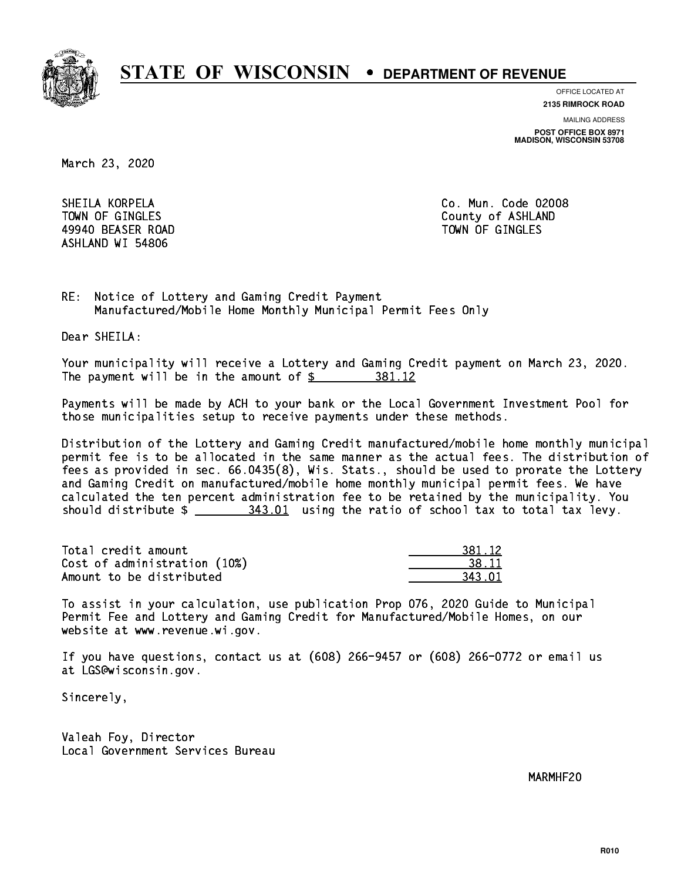

**OFFICE LOCATED AT**

**2135 RIMROCK ROAD**

**MAILING ADDRESS POST OFFICE BOX 8971 MADISON, WISCONSIN 53708**

March 23, 2020

 SHEILA KORPELA Co. Mun. Code 02008 49940 BEASER ROAD TOWN OF GINGLES ASHLAND WI 54806

TOWN OF GINGLES County of ASHLAND

RE: Notice of Lottery and Gaming Credit Payment Manufactured/Mobile Home Monthly Municipal Permit Fees Only

Dear SHEILA:

 Your municipality will receive a Lottery and Gaming Credit payment on March 23, 2020. The payment will be in the amount of \$ 381.12 \_\_\_\_\_\_\_\_\_\_\_\_\_\_\_\_

 Payments will be made by ACH to your bank or the Local Government Investment Pool for those municipalities setup to receive payments under these methods.

 Distribution of the Lottery and Gaming Credit manufactured/mobile home monthly municipal permit fee is to be allocated in the same manner as the actual fees. The distribution of fees as provided in sec. 66.0435(8), Wis. Stats., should be used to prorate the Lottery and Gaming Credit on manufactured/mobile home monthly municipal permit fees. We have calculated the ten percent administration fee to be retained by the municipality. You should distribute  $\frac{243.01}{100}$  using the ratio of school tax to total tax levy.

| Total credit amount          | 381.12 |
|------------------------------|--------|
| Cost of administration (10%) | 38.11  |
| Amount to be distributed     | 343 N. |

| 81.12  |
|--------|
| ≀ 11   |
| .3 N.I |

 To assist in your calculation, use publication Prop 076, 2020 Guide to Municipal Permit Fee and Lottery and Gaming Credit for Manufactured/Mobile Homes, on our website at www.revenue.wi.gov.

 If you have questions, contact us at (608) 266-9457 or (608) 266-0772 or email us at LGS@wisconsin.gov.

Sincerely,

 Valeah Foy, Director Local Government Services Bureau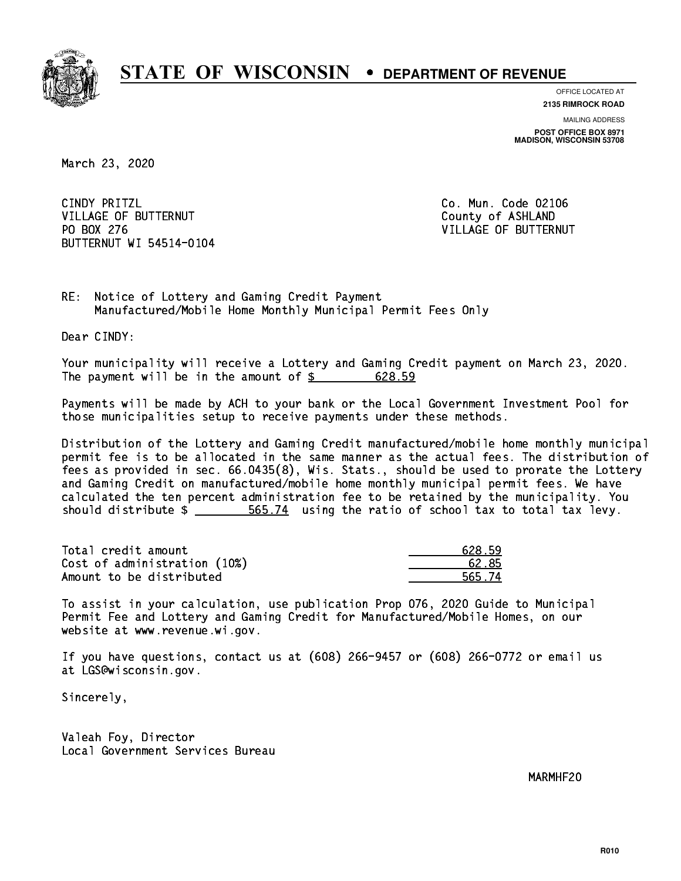

**OFFICE LOCATED AT**

**2135 RIMROCK ROAD**

**MAILING ADDRESS POST OFFICE BOX 8971 MADISON, WISCONSIN 53708**

March 23, 2020

CINDY PRITZL VILLAGE OF BUTTERNUT COUNTY OF ASHLAND PO BOX 276 BUTTERNUT WI 54514-0104

Co. Mun. Code 02106 VILLAGE OF BUTTERNUT

RE: Notice of Lottery and Gaming Credit Payment Manufactured/Mobile Home Monthly Municipal Permit Fees Only

Dear CINDY:

 Your municipality will receive a Lottery and Gaming Credit payment on March 23, 2020. The payment will be in the amount of \$ 628.59 \_\_\_\_\_\_\_\_\_\_\_\_\_\_\_\_

 Payments will be made by ACH to your bank or the Local Government Investment Pool for those municipalities setup to receive payments under these methods.

 Distribution of the Lottery and Gaming Credit manufactured/mobile home monthly municipal permit fee is to be allocated in the same manner as the actual fees. The distribution of fees as provided in sec. 66.0435(8), Wis. Stats., should be used to prorate the Lottery and Gaming Credit on manufactured/mobile home monthly municipal permit fees. We have calculated the ten percent administration fee to be retained by the municipality. You should distribute  $\frac{2}{1}$   $\frac{565.74}{1000}$  using the ratio of school tax to total tax levy.

Total credit amount Cost of administration (10%) Amount to be distributed

| 628.59 |
|--------|
| 62 85  |
| 565.74 |

 To assist in your calculation, use publication Prop 076, 2020 Guide to Municipal Permit Fee and Lottery and Gaming Credit for Manufactured/Mobile Homes, on our website at www.revenue.wi.gov.

 If you have questions, contact us at (608) 266-9457 or (608) 266-0772 or email us at LGS@wisconsin.gov.

Sincerely,

 Valeah Foy, Director Local Government Services Bureau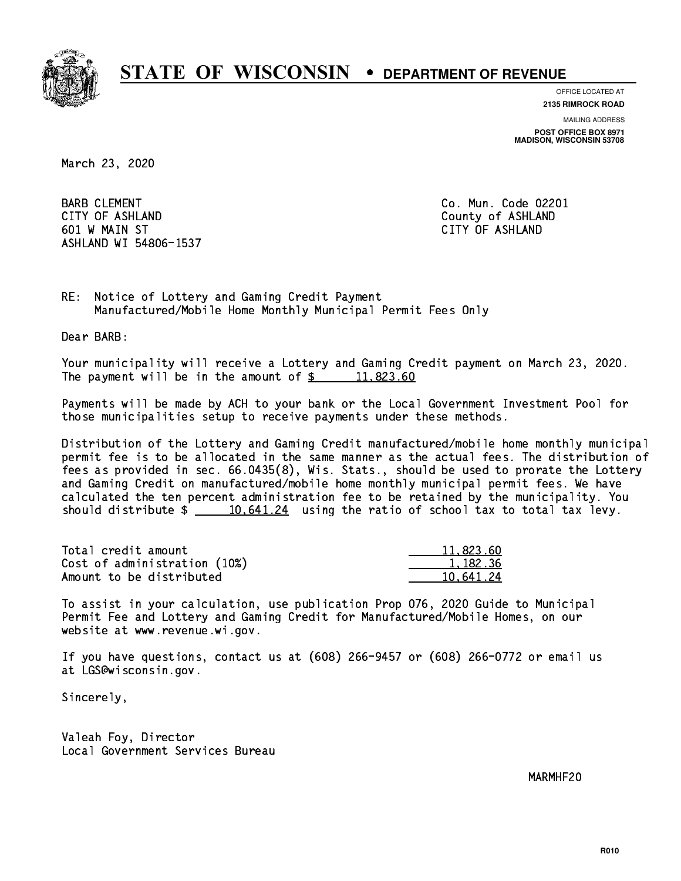

**OFFICE LOCATED AT**

**2135 RIMROCK ROAD**

**MAILING ADDRESS**

**POST OFFICE BOX 8971 MADISON, WISCONSIN 53708**

March 23, 2020

BARB CLEMENT **COMENT** CONSULTED A RESERVE COMMUNIC COLLEGE OF MUNICIPAL COMMUNICATION COMMUNICATION COMMUNICATION CITY OF ASHLAND County of ASHLAND 601 W MAIN ST CITY OF ASHLAND ASHLAND WI 54806-1537

RE: Notice of Lottery and Gaming Credit Payment Manufactured/Mobile Home Monthly Municipal Permit Fees Only

Dear BARB:

 Your municipality will receive a Lottery and Gaming Credit payment on March 23, 2020. The payment will be in the amount of  $\frac{2}{3}$  11,823.60

 Payments will be made by ACH to your bank or the Local Government Investment Pool for those municipalities setup to receive payments under these methods.

 Distribution of the Lottery and Gaming Credit manufactured/mobile home monthly municipal permit fee is to be allocated in the same manner as the actual fees. The distribution of fees as provided in sec. 66.0435(8), Wis. Stats., should be used to prorate the Lottery and Gaming Credit on manufactured/mobile home monthly municipal permit fees. We have calculated the ten percent administration fee to be retained by the municipality. You should distribute  $\frac{10,641.24}{10,641.24}$  using the ratio of school tax to total tax levy.

| Total credit amount          | 11,823.60 |
|------------------------------|-----------|
| Cost of administration (10%) | 1.182.36  |
| Amount to be distributed     | 10.641.24 |

 To assist in your calculation, use publication Prop 076, 2020 Guide to Municipal Permit Fee and Lottery and Gaming Credit for Manufactured/Mobile Homes, on our website at www.revenue.wi.gov.

 If you have questions, contact us at (608) 266-9457 or (608) 266-0772 or email us at LGS@wisconsin.gov.

Sincerely,

 Valeah Foy, Director Local Government Services Bureau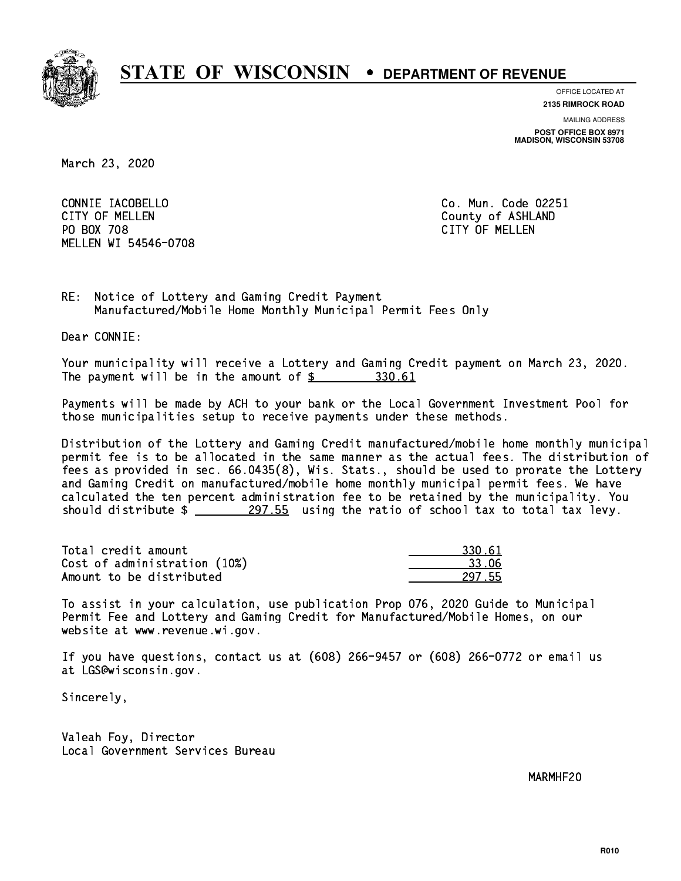

**OFFICE LOCATED AT**

**2135 RIMROCK ROAD**

**MAILING ADDRESS**

**POST OFFICE BOX 8971 MADISON, WISCONSIN 53708**

March 23, 2020

 CONNIE IACOBELLO Co. Mun. Code 02251 CITY OF MELLEN COUNTY OF ASHLAND PO BOX 708 CITY OF MELLEN MELLEN WI 54546-0708

RE: Notice of Lottery and Gaming Credit Payment Manufactured/Mobile Home Monthly Municipal Permit Fees Only

Dear CONNIE:

 Your municipality will receive a Lottery and Gaming Credit payment on March 23, 2020. The payment will be in the amount of \$ 330.61 \_\_\_\_\_\_\_\_\_\_\_\_\_\_\_\_

 Payments will be made by ACH to your bank or the Local Government Investment Pool for those municipalities setup to receive payments under these methods.

 Distribution of the Lottery and Gaming Credit manufactured/mobile home monthly municipal permit fee is to be allocated in the same manner as the actual fees. The distribution of fees as provided in sec. 66.0435(8), Wis. Stats., should be used to prorate the Lottery and Gaming Credit on manufactured/mobile home monthly municipal permit fees. We have calculated the ten percent administration fee to be retained by the municipality. You should distribute  $\frac{297.55}{27.55}$  using the ratio of school tax to total tax levy.

Total credit amount Cost of administration (10%) Amount to be distributed

| \.61       |
|------------|
| 16<br>रउ । |
| 17.55      |

 To assist in your calculation, use publication Prop 076, 2020 Guide to Municipal Permit Fee and Lottery and Gaming Credit for Manufactured/Mobile Homes, on our website at www.revenue.wi.gov.

 If you have questions, contact us at (608) 266-9457 or (608) 266-0772 or email us at LGS@wisconsin.gov.

Sincerely,

 Valeah Foy, Director Local Government Services Bureau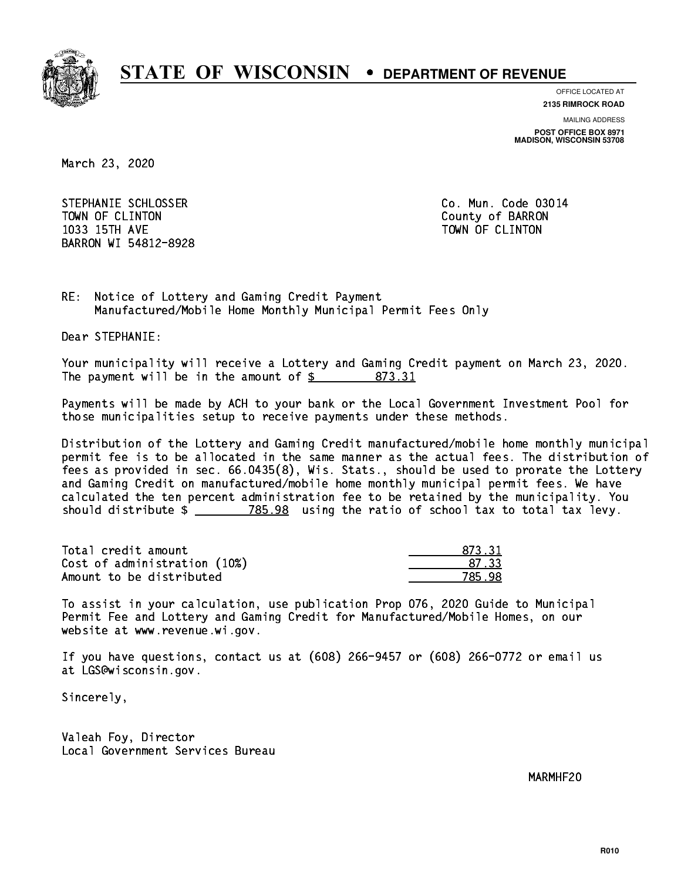

**OFFICE LOCATED AT**

**2135 RIMROCK ROAD**

**MAILING ADDRESS POST OFFICE BOX 8971 MADISON, WISCONSIN 53708**

March 23, 2020

STEPHANIE SCHLOSSER CO. Mun. Code 03014 TOWN OF CLINTON County of BARRON 1033 15TH AVE TOWN OF CLINTON BARRON WI 54812-8928

RE: Notice of Lottery and Gaming Credit Payment Manufactured/Mobile Home Monthly Municipal Permit Fees Only

Dear STEPHANIE:

 Your municipality will receive a Lottery and Gaming Credit payment on March 23, 2020. The payment will be in the amount of \$ 873.31 \_\_\_\_\_\_\_\_\_\_\_\_\_\_\_\_

 Payments will be made by ACH to your bank or the Local Government Investment Pool for those municipalities setup to receive payments under these methods.

 Distribution of the Lottery and Gaming Credit manufactured/mobile home monthly municipal permit fee is to be allocated in the same manner as the actual fees. The distribution of fees as provided in sec. 66.0435(8), Wis. Stats., should be used to prorate the Lottery and Gaming Credit on manufactured/mobile home monthly municipal permit fees. We have calculated the ten percent administration fee to be retained by the municipality. You should distribute  $\frac{2}{2}$   $\frac{785.98}{2}$  using the ratio of school tax to total tax levy.

Total credit amount Cost of administration (10%) Amount to be distributed

| 73.31 |
|-------|
| ∕ २२∶ |
|       |

 To assist in your calculation, use publication Prop 076, 2020 Guide to Municipal Permit Fee and Lottery and Gaming Credit for Manufactured/Mobile Homes, on our website at www.revenue.wi.gov.

 If you have questions, contact us at (608) 266-9457 or (608) 266-0772 or email us at LGS@wisconsin.gov.

Sincerely,

 Valeah Foy, Director Local Government Services Bureau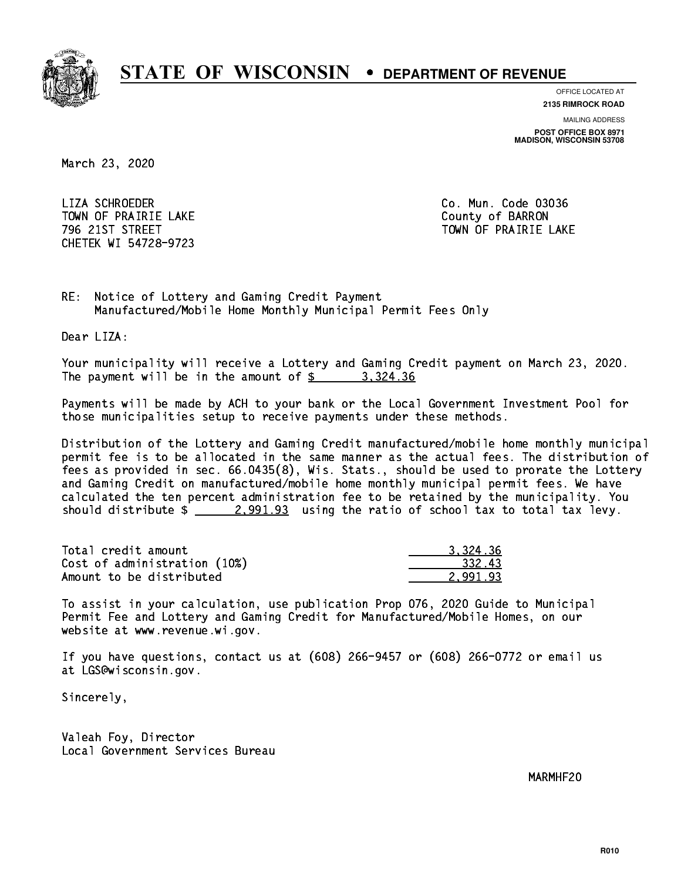

**OFFICE LOCATED AT**

**2135 RIMROCK ROAD**

**MAILING ADDRESS**

**POST OFFICE BOX 8971 MADISON, WISCONSIN 53708**

March 23, 2020

 LIZA SCHROEDER Co. Mun. Code 03036 TOWN OF PRAIRIE LAKE **COUNTY OF SALES IN TOWAL COUNTY OF BARRON** CHETEK WI 54728-9723

796 21ST STREET TOWN OF PRAIRIE LAKE

RE: Notice of Lottery and Gaming Credit Payment Manufactured/Mobile Home Monthly Municipal Permit Fees Only

Dear LIZA:

 Your municipality will receive a Lottery and Gaming Credit payment on March 23, 2020. The payment will be in the amount of  $\frac{2}{3}$  3,324.36

 Payments will be made by ACH to your bank or the Local Government Investment Pool for those municipalities setup to receive payments under these methods.

 Distribution of the Lottery and Gaming Credit manufactured/mobile home monthly municipal permit fee is to be allocated in the same manner as the actual fees. The distribution of fees as provided in sec. 66.0435(8), Wis. Stats., should be used to prorate the Lottery and Gaming Credit on manufactured/mobile home monthly municipal permit fees. We have calculated the ten percent administration fee to be retained by the municipality. You should distribute  $\frac{2.991.93}{2.991.93}$  using the ratio of school tax to total tax levy.

| Total credit amount          | 3.324.36 |
|------------------------------|----------|
| Cost of administration (10%) | 332.43   |
| Amount to be distributed     | 2.991.93 |

 To assist in your calculation, use publication Prop 076, 2020 Guide to Municipal Permit Fee and Lottery and Gaming Credit for Manufactured/Mobile Homes, on our website at www.revenue.wi.gov.

 If you have questions, contact us at (608) 266-9457 or (608) 266-0772 or email us at LGS@wisconsin.gov.

Sincerely,

 Valeah Foy, Director Local Government Services Bureau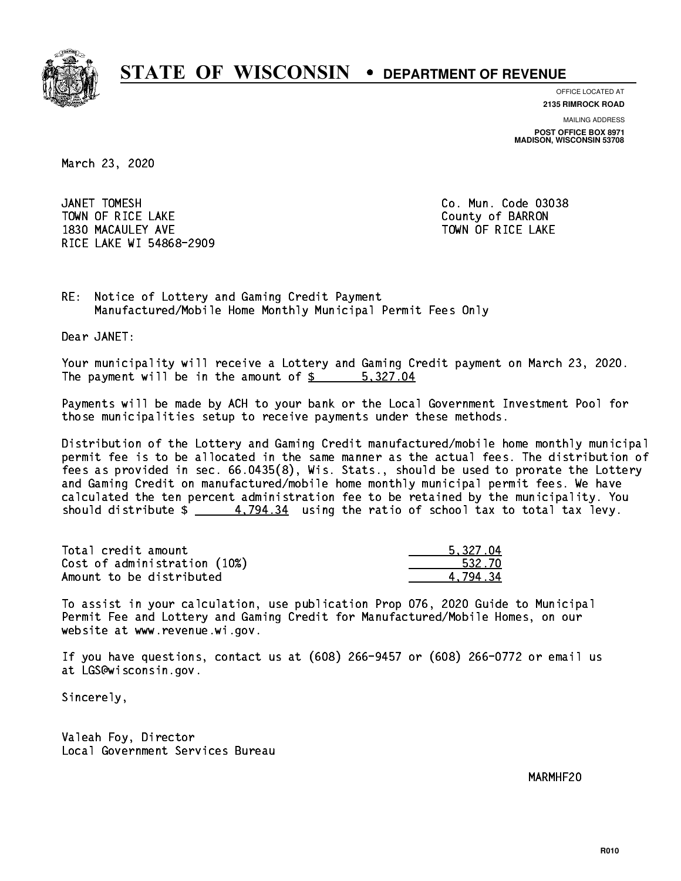

**OFFICE LOCATED AT**

**2135 RIMROCK ROAD**

**MAILING ADDRESS POST OFFICE BOX 8971 MADISON, WISCONSIN 53708**

March 23, 2020

JANET TOMESH TOWN OF RICE LAKE **THE COUNTY OF BARRON** 1830 MACAULEY AVE **TOWN OF RICE LAKE** RICE LAKE WI 54868-2909

Co. Mun. Code 03038

RE: Notice of Lottery and Gaming Credit Payment Manufactured/Mobile Home Monthly Municipal Permit Fees Only

Dear JANET:

 Your municipality will receive a Lottery and Gaming Credit payment on March 23, 2020. The payment will be in the amount of \$ 5,327.04 \_\_\_\_\_\_\_\_\_\_\_\_\_\_\_\_

 Payments will be made by ACH to your bank or the Local Government Investment Pool for those municipalities setup to receive payments under these methods.

 Distribution of the Lottery and Gaming Credit manufactured/mobile home monthly municipal permit fee is to be allocated in the same manner as the actual fees. The distribution of fees as provided in sec. 66.0435(8), Wis. Stats., should be used to prorate the Lottery and Gaming Credit on manufactured/mobile home monthly municipal permit fees. We have calculated the ten percent administration fee to be retained by the municipality. You should distribute  $\frac{2}{1}$   $\frac{4.794.34}{2}$  using the ratio of school tax to total tax levy.

| Total credit amount          | 5.327.04 |
|------------------------------|----------|
| Cost of administration (10%) | 532.70   |
| Amount to be distributed     | 4.794.34 |

 To assist in your calculation, use publication Prop 076, 2020 Guide to Municipal Permit Fee and Lottery and Gaming Credit for Manufactured/Mobile Homes, on our website at www.revenue.wi.gov.

 If you have questions, contact us at (608) 266-9457 or (608) 266-0772 or email us at LGS@wisconsin.gov.

Sincerely,

 Valeah Foy, Director Local Government Services Bureau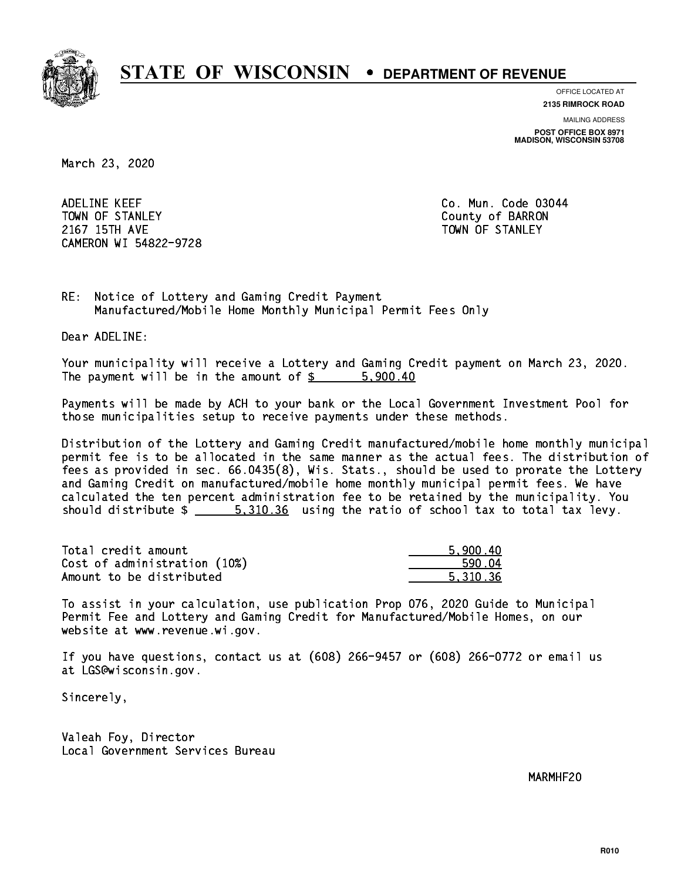

**OFFICE LOCATED AT**

**2135 RIMROCK ROAD**

**MAILING ADDRESS POST OFFICE BOX 8971 MADISON, WISCONSIN 53708**

March 23, 2020

 ADELINE KEEF Co. Mun. Code 03044 TOWN OF STANLEY COUNTY COUNTY OF BARRON 2167 15TH AVE TOWN OF STANLEY CAMERON WI 54822-9728

RE: Notice of Lottery and Gaming Credit Payment Manufactured/Mobile Home Monthly Municipal Permit Fees Only

Dear ADELINE:

 Your municipality will receive a Lottery and Gaming Credit payment on March 23, 2020. The payment will be in the amount of \$ 5,900.40 \_\_\_\_\_\_\_\_\_\_\_\_\_\_\_\_

 Payments will be made by ACH to your bank or the Local Government Investment Pool for those municipalities setup to receive payments under these methods.

 Distribution of the Lottery and Gaming Credit manufactured/mobile home monthly municipal permit fee is to be allocated in the same manner as the actual fees. The distribution of fees as provided in sec. 66.0435(8), Wis. Stats., should be used to prorate the Lottery and Gaming Credit on manufactured/mobile home monthly municipal permit fees. We have calculated the ten percent administration fee to be retained by the municipality. You should distribute  $\frac{2}{1}$   $\frac{5,310.36}{2}$  using the ratio of school tax to total tax levy.

| Total credit amount          | 5.900.40 |
|------------------------------|----------|
| Cost of administration (10%) | 590.04   |
| Amount to be distributed     | 5.310.36 |

 To assist in your calculation, use publication Prop 076, 2020 Guide to Municipal Permit Fee and Lottery and Gaming Credit for Manufactured/Mobile Homes, on our website at www.revenue.wi.gov.

 If you have questions, contact us at (608) 266-9457 or (608) 266-0772 or email us at LGS@wisconsin.gov.

Sincerely,

 Valeah Foy, Director Local Government Services Bureau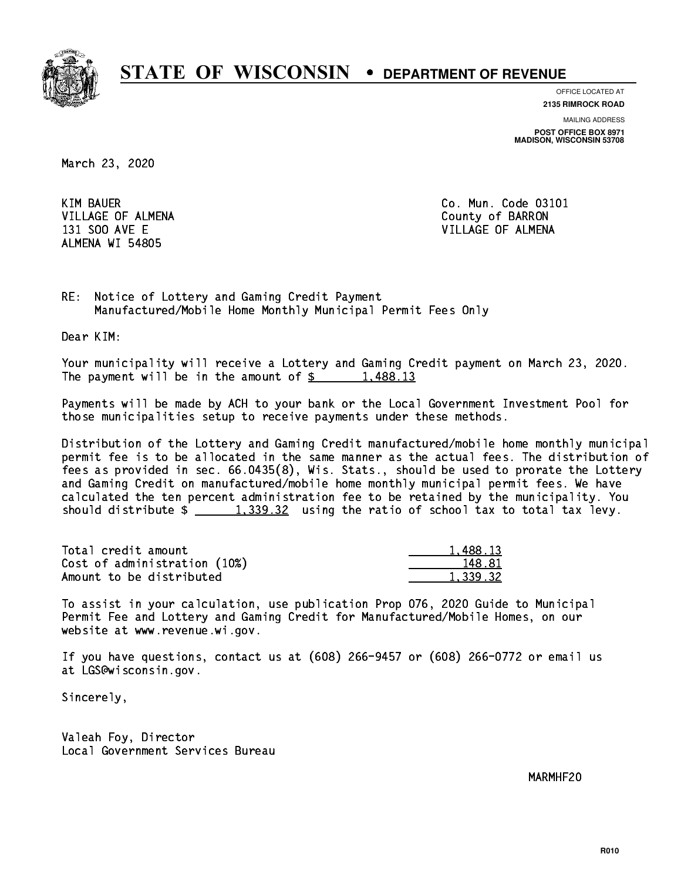

**OFFICE LOCATED AT 2135 RIMROCK ROAD**

**MAILING ADDRESS POST OFFICE BOX 8971 MADISON, WISCONSIN 53708**

March 23, 2020

**KIM BAUER** VILLAGE OF ALMENA County of BARRON ALMENA WI 54805

Co. Mun. Code 03101 131 SOO AVE E VILLAGE OF ALMENA

RE: Notice of Lottery and Gaming Credit Payment Manufactured/Mobile Home Monthly Municipal Permit Fees Only

Dear KIM:

 Your municipality will receive a Lottery and Gaming Credit payment on March 23, 2020. The payment will be in the amount of  $\frac{2}{3}$  1,488.13

 Payments will be made by ACH to your bank or the Local Government Investment Pool for those municipalities setup to receive payments under these methods.

 Distribution of the Lottery and Gaming Credit manufactured/mobile home monthly municipal permit fee is to be allocated in the same manner as the actual fees. The distribution of fees as provided in sec. 66.0435(8), Wis. Stats., should be used to prorate the Lottery and Gaming Credit on manufactured/mobile home monthly municipal permit fees. We have calculated the ten percent administration fee to be retained by the municipality. You should distribute  $\frac{2}{1,339.32}$  using the ratio of school tax to total tax levy.

| Total credit amount          | 1.488.13 |
|------------------------------|----------|
| Cost of administration (10%) | 148.81   |
| Amount to be distributed     | 1.339.32 |

 To assist in your calculation, use publication Prop 076, 2020 Guide to Municipal Permit Fee and Lottery and Gaming Credit for Manufactured/Mobile Homes, on our website at www.revenue.wi.gov.

 If you have questions, contact us at (608) 266-9457 or (608) 266-0772 or email us at LGS@wisconsin.gov.

Sincerely,

 Valeah Foy, Director Local Government Services Bureau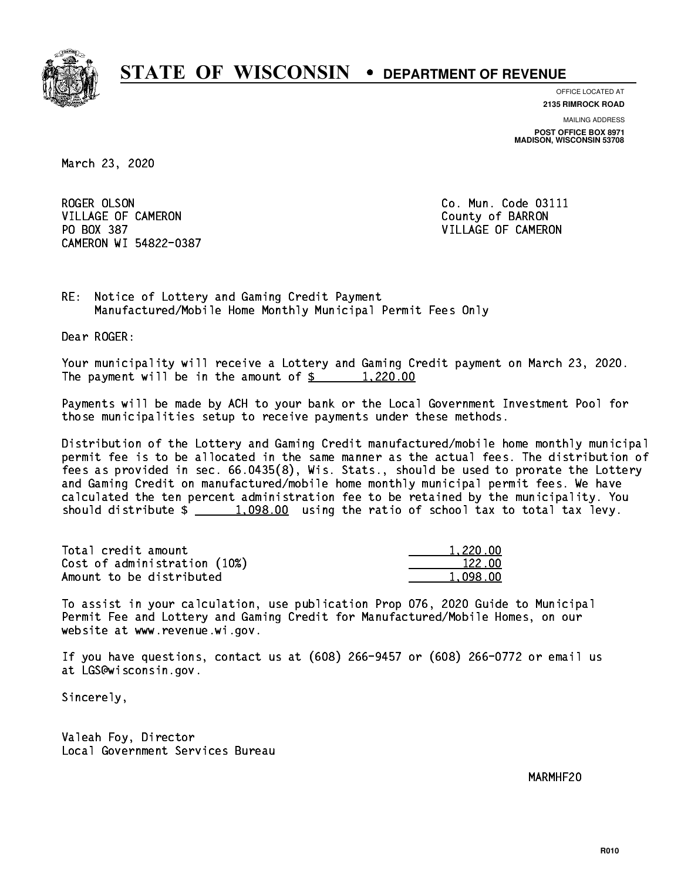

**OFFICE LOCATED AT**

**2135 RIMROCK ROAD**

**MAILING ADDRESS POST OFFICE BOX 8971 MADISON, WISCONSIN 53708**

March 23, 2020

ROGER OLSON VILLAGE OF CAMERON COUNTY OF BARRON PO BOX 387 VILLAGE OF CAMERON CAMERON WI 54822-0387

Co. Mun. Code 03111

RE: Notice of Lottery and Gaming Credit Payment Manufactured/Mobile Home Monthly Municipal Permit Fees Only

Dear ROGER:

 Your municipality will receive a Lottery and Gaming Credit payment on March 23, 2020. The payment will be in the amount of  $\frac{20.00}{20}$ 

 Payments will be made by ACH to your bank or the Local Government Investment Pool for those municipalities setup to receive payments under these methods.

 Distribution of the Lottery and Gaming Credit manufactured/mobile home monthly municipal permit fee is to be allocated in the same manner as the actual fees. The distribution of fees as provided in sec. 66.0435(8), Wis. Stats., should be used to prorate the Lottery and Gaming Credit on manufactured/mobile home monthly municipal permit fees. We have calculated the ten percent administration fee to be retained by the municipality. You should distribute  $\frac{1,098.00}{1,098.00}$  using the ratio of school tax to total tax levy.

| Total credit amount          | 1,220.00 |
|------------------------------|----------|
| Cost of administration (10%) | 122.00   |
| Amount to be distributed     | 1.098.00 |

 To assist in your calculation, use publication Prop 076, 2020 Guide to Municipal Permit Fee and Lottery and Gaming Credit for Manufactured/Mobile Homes, on our website at www.revenue.wi.gov.

 If you have questions, contact us at (608) 266-9457 or (608) 266-0772 or email us at LGS@wisconsin.gov.

Sincerely,

 Valeah Foy, Director Local Government Services Bureau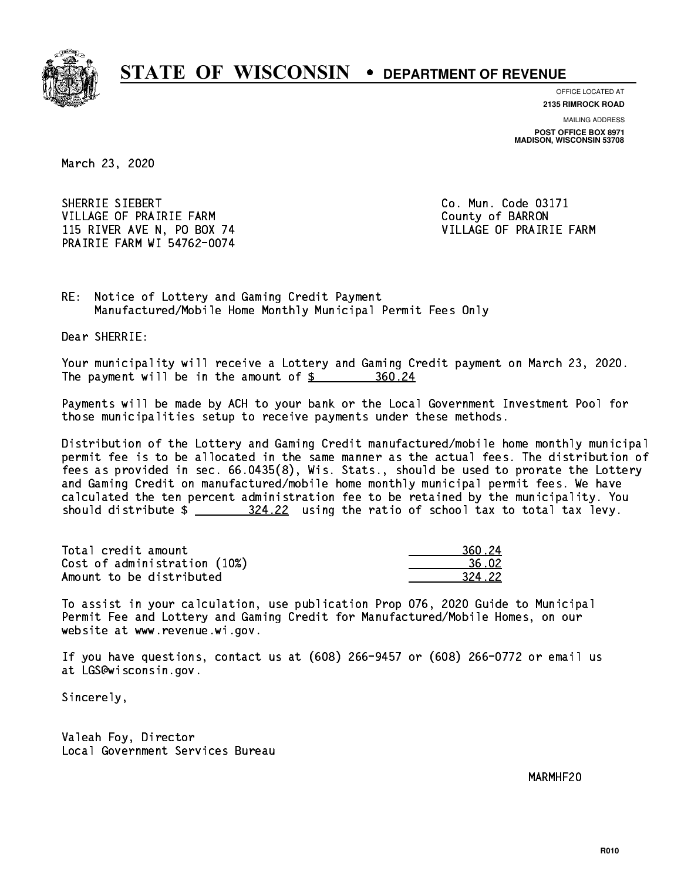

**OFFICE LOCATED AT**

**2135 RIMROCK ROAD**

**MAILING ADDRESS POST OFFICE BOX 8971 MADISON, WISCONSIN 53708**

March 23, 2020

SHERRIE SIEBERT Co. Mun. Code 03171 VILLAGE OF PRAIRIE FARM COUNTY OF BARRON 115 RIVER AVE N, PO BOX 74 VILLAGE OF PRAIRIE FARM PRAIRIE FARM WI 54762-0074

RE: Notice of Lottery and Gaming Credit Payment Manufactured/Mobile Home Monthly Municipal Permit Fees Only

Dear SHERRIE:

 Your municipality will receive a Lottery and Gaming Credit payment on March 23, 2020. The payment will be in the amount of  $\frac{260.24}{5}$ 

 Payments will be made by ACH to your bank or the Local Government Investment Pool for those municipalities setup to receive payments under these methods.

 Distribution of the Lottery and Gaming Credit manufactured/mobile home monthly municipal permit fee is to be allocated in the same manner as the actual fees. The distribution of fees as provided in sec. 66.0435(8), Wis. Stats., should be used to prorate the Lottery and Gaming Credit on manufactured/mobile home monthly municipal permit fees. We have calculated the ten percent administration fee to be retained by the municipality. You should distribute  $\frac{204.22}{20}$  using the ratio of school tax to total tax levy.

| Total credit amount          | 360.24 |
|------------------------------|--------|
| Cost of administration (10%) | 36.02  |
| Amount to be distributed     | 324.22 |

| ⊟ 24      |
|-----------|
| i N2      |
| 422<br>つつ |

 To assist in your calculation, use publication Prop 076, 2020 Guide to Municipal Permit Fee and Lottery and Gaming Credit for Manufactured/Mobile Homes, on our website at www.revenue.wi.gov.

 If you have questions, contact us at (608) 266-9457 or (608) 266-0772 or email us at LGS@wisconsin.gov.

Sincerely,

 Valeah Foy, Director Local Government Services Bureau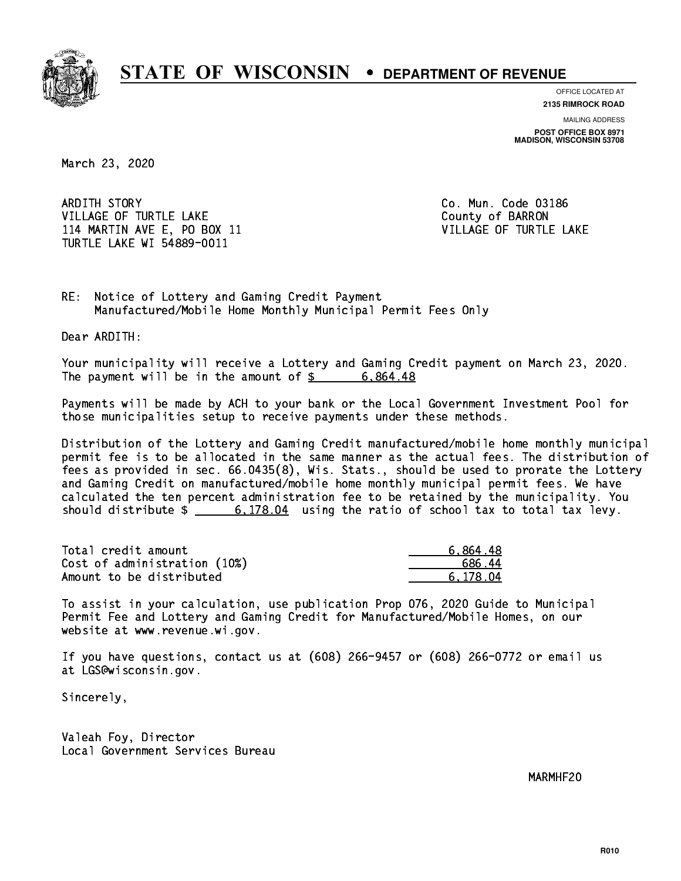

**OFFICE LOCATED AT**

**2135 RIMROCK ROAD**

**MAILING ADDRESS POST OFFICE BOX 8971 MADISON, WISCONSIN 53708**

March 23, 2020

 ARDITH STORY Co. Mun. Code 03186 VILLAGE OF TURTLE LAKE **COUNTY OF SALE AND COUNTY OF BARRON** 114 MARTIN AVE E, PO BOX 11 VILLAGE OF TURTLE LAKE TURTLE LAKE WI 54889-0011

RE: Notice of Lottery and Gaming Credit Payment Manufactured/Mobile Home Monthly Municipal Permit Fees Only

Dear ARDITH:

 Your municipality will receive a Lottery and Gaming Credit payment on March 23, 2020. The payment will be in the amount of  $\frac{2}{3}$  6,864.48

 Payments will be made by ACH to your bank or the Local Government Investment Pool for those municipalities setup to receive payments under these methods.

 Distribution of the Lottery and Gaming Credit manufactured/mobile home monthly municipal permit fee is to be allocated in the same manner as the actual fees. The distribution of fees as provided in sec. 66.0435(8), Wis. Stats., should be used to prorate the Lottery and Gaming Credit on manufactured/mobile home monthly municipal permit fees. We have calculated the ten percent administration fee to be retained by the municipality. You should distribute  $\frac{2}{100}$   $\frac{6,178.04}{204}$  using the ratio of school tax to total tax levy.

| Total credit amount          | 6,864.48 |
|------------------------------|----------|
| Cost of administration (10%) | 686.44   |
| Amount to be distributed     | 6.178.04 |

 To assist in your calculation, use publication Prop 076, 2020 Guide to Municipal Permit Fee and Lottery and Gaming Credit for Manufactured/Mobile Homes, on our website at www.revenue.wi.gov.

 If you have questions, contact us at (608) 266-9457 or (608) 266-0772 or email us at LGS@wisconsin.gov.

Sincerely,

 Valeah Foy, Director Local Government Services Bureau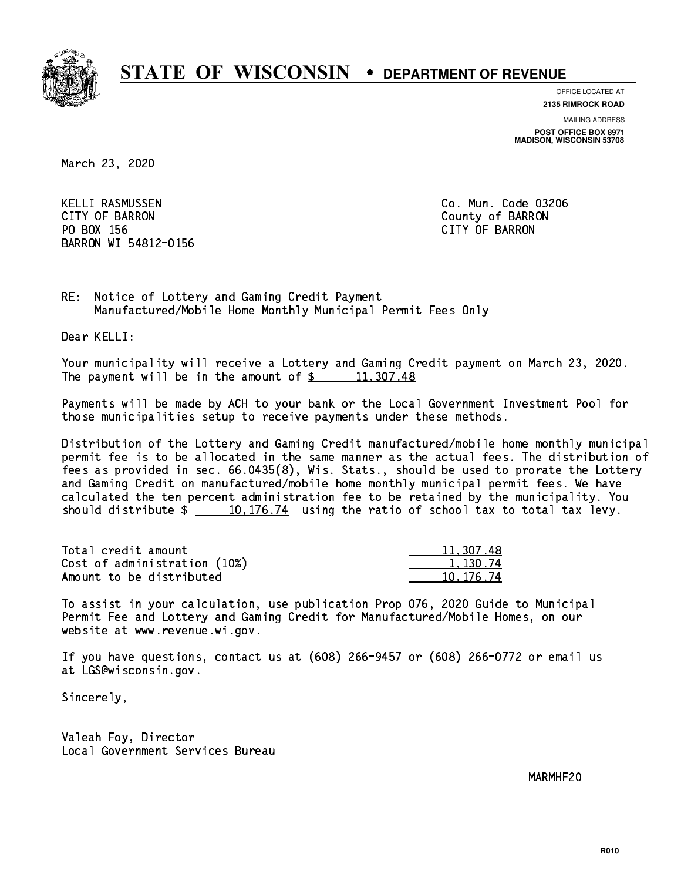

**OFFICE LOCATED AT**

**2135 RIMROCK ROAD**

**MAILING ADDRESS**

**POST OFFICE BOX 8971 MADISON, WISCONSIN 53708**

March 23, 2020

 KELLI RASMUSSEN Co. Mun. Code 03206 CITY OF BARRON County of BARRON PO BOX 156 CITY OF BARRON BARRON WI 54812-0156

RE: Notice of Lottery and Gaming Credit Payment Manufactured/Mobile Home Monthly Municipal Permit Fees Only

Dear KELLI:

 Your municipality will receive a Lottery and Gaming Credit payment on March 23, 2020. The payment will be in the amount of  $\frac{2}{3}$  11,307.48

 Payments will be made by ACH to your bank or the Local Government Investment Pool for those municipalities setup to receive payments under these methods.

 Distribution of the Lottery and Gaming Credit manufactured/mobile home monthly municipal permit fee is to be allocated in the same manner as the actual fees. The distribution of fees as provided in sec. 66.0435(8), Wis. Stats., should be used to prorate the Lottery and Gaming Credit on manufactured/mobile home monthly municipal permit fees. We have calculated the ten percent administration fee to be retained by the municipality. You should distribute  $\frac{10,176.74}{10,176.74}$  using the ratio of school tax to total tax levy.

| Total credit amount          | 11,307.48 |
|------------------------------|-----------|
| Cost of administration (10%) | 1.130.74  |
| Amount to be distributed     | 10.176.74 |

 To assist in your calculation, use publication Prop 076, 2020 Guide to Municipal Permit Fee and Lottery and Gaming Credit for Manufactured/Mobile Homes, on our website at www.revenue.wi.gov.

 If you have questions, contact us at (608) 266-9457 or (608) 266-0772 or email us at LGS@wisconsin.gov.

Sincerely,

 Valeah Foy, Director Local Government Services Bureau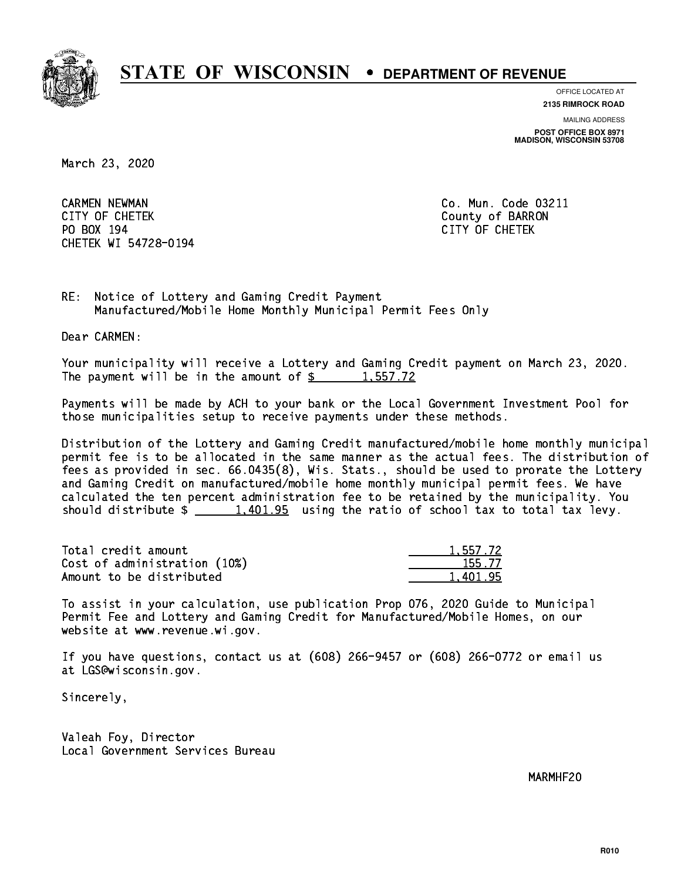

**OFFICE LOCATED AT**

**MAILING ADDRESS 2135 RIMROCK ROAD**

**POST OFFICE BOX 8971 MADISON, WISCONSIN 53708**

March 23, 2020

 CARMEN NEWMAN Co. Mun. Code 03211 CITY OF CHETEK County of BARRON PO BOX 194 CITY OF CHETEK CHETEK WI 54728-0194

RE: Notice of Lottery and Gaming Credit Payment Manufactured/Mobile Home Monthly Municipal Permit Fees Only

Dear CARMEN:

 Your municipality will receive a Lottery and Gaming Credit payment on March 23, 2020. The payment will be in the amount of  $\frac{2}{3}$  1,557.72

 Payments will be made by ACH to your bank or the Local Government Investment Pool for those municipalities setup to receive payments under these methods.

 Distribution of the Lottery and Gaming Credit manufactured/mobile home monthly municipal permit fee is to be allocated in the same manner as the actual fees. The distribution of fees as provided in sec. 66.0435(8), Wis. Stats., should be used to prorate the Lottery and Gaming Credit on manufactured/mobile home monthly municipal permit fees. We have calculated the ten percent administration fee to be retained by the municipality. You should distribute  $\frac{1,401.95}{2}$  using the ratio of school tax to total tax levy.

| Total credit amount          | 1,557.72 |
|------------------------------|----------|
| Cost of administration (10%) | 155.77   |
| Amount to be distributed     | 1.401.95 |

 To assist in your calculation, use publication Prop 076, 2020 Guide to Municipal Permit Fee and Lottery and Gaming Credit for Manufactured/Mobile Homes, on our website at www.revenue.wi.gov.

 If you have questions, contact us at (608) 266-9457 or (608) 266-0772 or email us at LGS@wisconsin.gov.

Sincerely,

 Valeah Foy, Director Local Government Services Bureau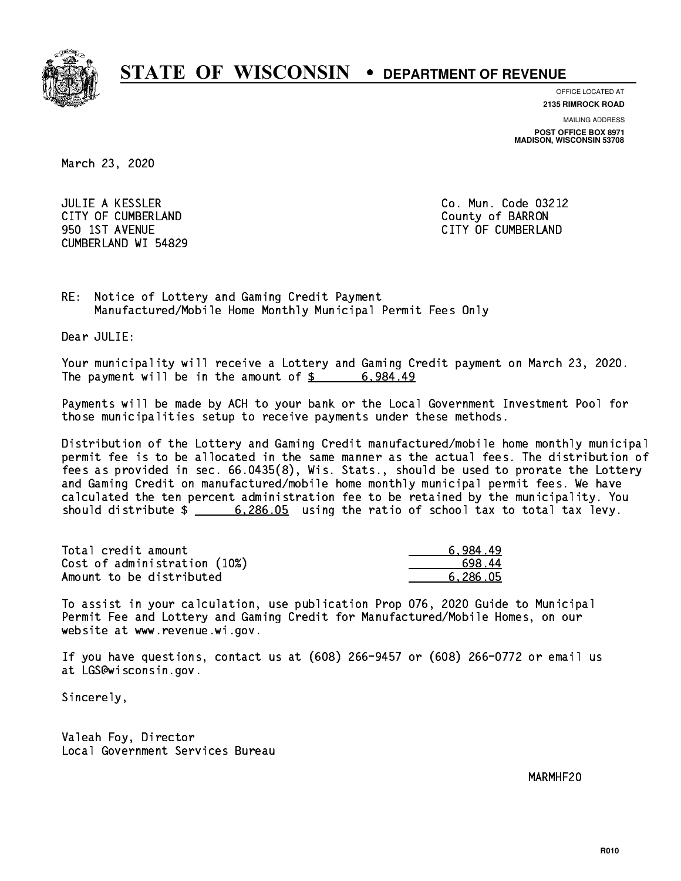

**OFFICE LOCATED AT**

**MAILING ADDRESS 2135 RIMROCK ROAD**

**POST OFFICE BOX 8971 MADISON, WISCONSIN 53708**

March 23, 2020

 JULIE A KESSLER Co. Mun. Code 03212 CITY OF CUMBERLAND COUNTY COUNTY OF BARRON 950 1ST AVENUE CITY OF CUMBERLAND CUMBERLAND WI 54829

RE: Notice of Lottery and Gaming Credit Payment Manufactured/Mobile Home Monthly Municipal Permit Fees Only

Dear JULIE:

 Your municipality will receive a Lottery and Gaming Credit payment on March 23, 2020. The payment will be in the amount of  $\frac{2}{3}$  6,984.49

 Payments will be made by ACH to your bank or the Local Government Investment Pool for those municipalities setup to receive payments under these methods.

 Distribution of the Lottery and Gaming Credit manufactured/mobile home monthly municipal permit fee is to be allocated in the same manner as the actual fees. The distribution of fees as provided in sec. 66.0435(8), Wis. Stats., should be used to prorate the Lottery and Gaming Credit on manufactured/mobile home monthly municipal permit fees. We have calculated the ten percent administration fee to be retained by the municipality. You should distribute \$ 6,286.05 using the ratio of school tax to total tax levy. \_\_\_\_\_\_\_\_\_\_\_\_\_\_

| Total credit amount          | 6.984.49 |
|------------------------------|----------|
| Cost of administration (10%) | 698.44   |
| Amount to be distributed     | 6.286.05 |

 To assist in your calculation, use publication Prop 076, 2020 Guide to Municipal Permit Fee and Lottery and Gaming Credit for Manufactured/Mobile Homes, on our website at www.revenue.wi.gov.

 If you have questions, contact us at (608) 266-9457 or (608) 266-0772 or email us at LGS@wisconsin.gov.

Sincerely,

 Valeah Foy, Director Local Government Services Bureau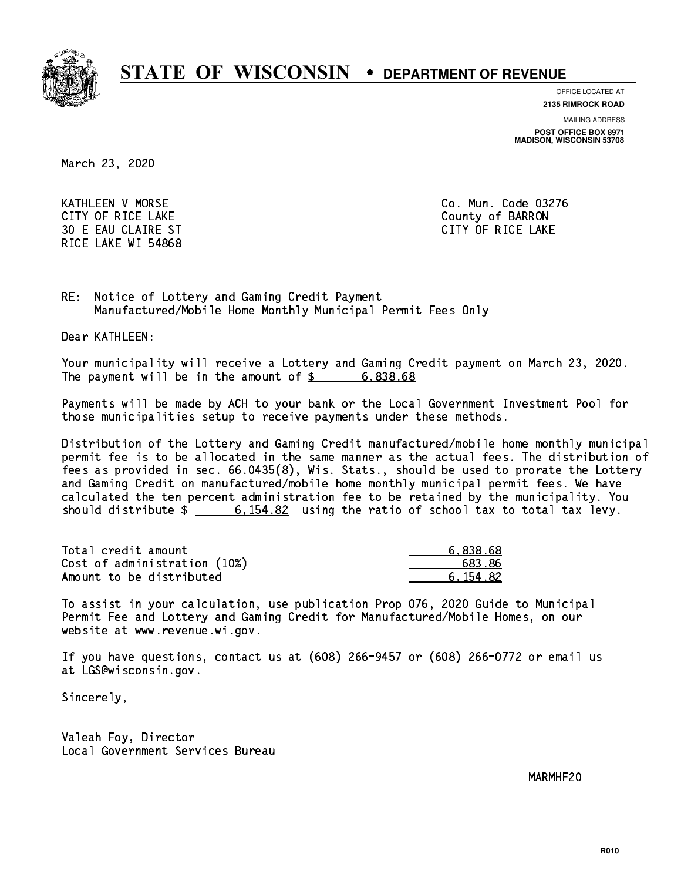

**OFFICE LOCATED AT**

**2135 RIMROCK ROAD**

**MAILING ADDRESS**

**POST OFFICE BOX 8971 MADISON, WISCONSIN 53708**

March 23, 2020

 KATHLEEN V MORSE Co. Mun. Code 03276 CITY OF RICE LAKE COUNTY OF RICE LAKE 30 E EAU CLAIRE ST CITY OF RICE LAKE RICE LAKE WI 54868

RE: Notice of Lottery and Gaming Credit Payment Manufactured/Mobile Home Monthly Municipal Permit Fees Only

Dear KATHLEEN:

 Your municipality will receive a Lottery and Gaming Credit payment on March 23, 2020. The payment will be in the amount of  $\frac{2}{3}$  6,838.68

 Payments will be made by ACH to your bank or the Local Government Investment Pool for those municipalities setup to receive payments under these methods.

 Distribution of the Lottery and Gaming Credit manufactured/mobile home monthly municipal permit fee is to be allocated in the same manner as the actual fees. The distribution of fees as provided in sec. 66.0435(8), Wis. Stats., should be used to prorate the Lottery and Gaming Credit on manufactured/mobile home monthly municipal permit fees. We have calculated the ten percent administration fee to be retained by the municipality. You should distribute  $\frac{2}{100}$   $\frac{6,154.82}{200}$  using the ratio of school tax to total tax levy.

| Total credit amount          | 6.838.68 |
|------------------------------|----------|
| Cost of administration (10%) | 683.86   |
| Amount to be distributed     | 6.154.82 |

 To assist in your calculation, use publication Prop 076, 2020 Guide to Municipal Permit Fee and Lottery and Gaming Credit for Manufactured/Mobile Homes, on our website at www.revenue.wi.gov.

 If you have questions, contact us at (608) 266-9457 or (608) 266-0772 or email us at LGS@wisconsin.gov.

Sincerely,

 Valeah Foy, Director Local Government Services Bureau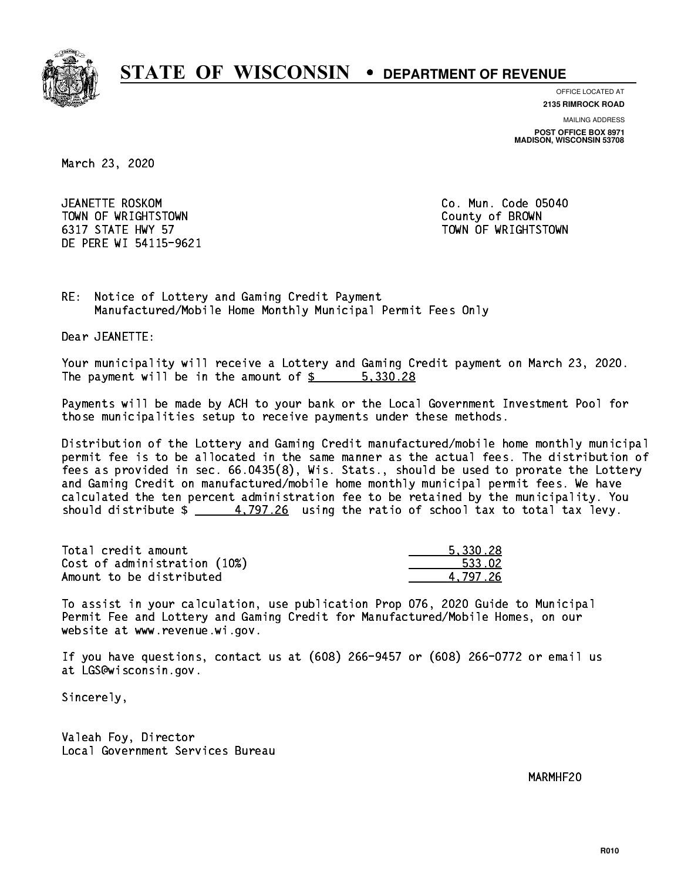

**OFFICE LOCATED AT**

**2135 RIMROCK ROAD**

**MAILING ADDRESS**

**POST OFFICE BOX 8971 MADISON, WISCONSIN 53708**

March 23, 2020

 JEANETTE ROSKOM Co. Mun. Code 05040 TOWN OF WRIGHTSTOWN County of BROWN 6317 STATE HWY 57 TOWN OF WRIGHTSTOWN DE PERE WI 54115-9621

RE: Notice of Lottery and Gaming Credit Payment Manufactured/Mobile Home Monthly Municipal Permit Fees Only

Dear JEANETTE:

 Your municipality will receive a Lottery and Gaming Credit payment on March 23, 2020. The payment will be in the amount of \$ 5,330.28 \_\_\_\_\_\_\_\_\_\_\_\_\_\_\_\_

 Payments will be made by ACH to your bank or the Local Government Investment Pool for those municipalities setup to receive payments under these methods.

 Distribution of the Lottery and Gaming Credit manufactured/mobile home monthly municipal permit fee is to be allocated in the same manner as the actual fees. The distribution of fees as provided in sec. 66.0435(8), Wis. Stats., should be used to prorate the Lottery and Gaming Credit on manufactured/mobile home monthly municipal permit fees. We have calculated the ten percent administration fee to be retained by the municipality. You should distribute  $\frac{4}{797.26}$  using the ratio of school tax to total tax levy.

| Total credit amount          | 5.330.28 |
|------------------------------|----------|
| Cost of administration (10%) | 533.02   |
| Amount to be distributed     | 4.797.26 |

 To assist in your calculation, use publication Prop 076, 2020 Guide to Municipal Permit Fee and Lottery and Gaming Credit for Manufactured/Mobile Homes, on our website at www.revenue.wi.gov.

 If you have questions, contact us at (608) 266-9457 or (608) 266-0772 or email us at LGS@wisconsin.gov.

Sincerely,

 Valeah Foy, Director Local Government Services Bureau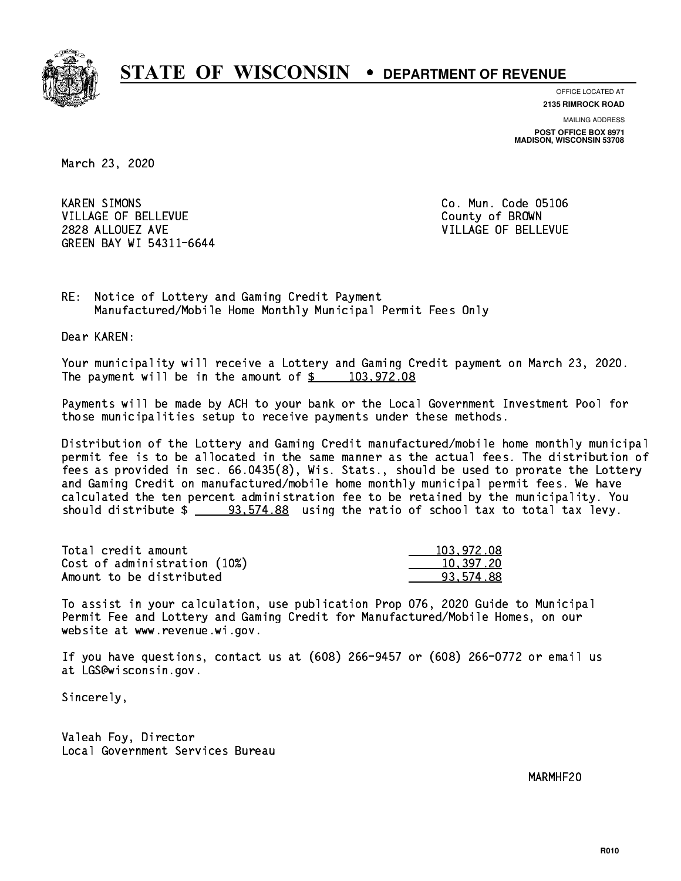

**OFFICE LOCATED AT**

**2135 RIMROCK ROAD**

**MAILING ADDRESS POST OFFICE BOX 8971 MADISON, WISCONSIN 53708**

March 23, 2020

**KAREN SIMONS** VILLAGE OF BELLEVUE COUNTY OF BROWN 2828 ALLOUEZ AVE VILLAGE OF BELLEVUE GREEN BAY WI 54311-6644

Co. Mun. Code 05106

RE: Notice of Lottery and Gaming Credit Payment Manufactured/Mobile Home Monthly Municipal Permit Fees Only

Dear KAREN:

 Your municipality will receive a Lottery and Gaming Credit payment on March 23, 2020. The payment will be in the amount of  $\underline{\$$  103,972.08

 Payments will be made by ACH to your bank or the Local Government Investment Pool for those municipalities setup to receive payments under these methods.

 Distribution of the Lottery and Gaming Credit manufactured/mobile home monthly municipal permit fee is to be allocated in the same manner as the actual fees. The distribution of fees as provided in sec. 66.0435(8), Wis. Stats., should be used to prorate the Lottery and Gaming Credit on manufactured/mobile home monthly municipal permit fees. We have calculated the ten percent administration fee to be retained by the municipality. You should distribute  $\frac{20.574.88}{20.574.88}$  using the ratio of school tax to total tax levy.

| Total credit amount          | 103.972.08 |
|------------------------------|------------|
| Cost of administration (10%) | 10,397.20  |
| Amount to be distributed     | 93.574.88  |

 To assist in your calculation, use publication Prop 076, 2020 Guide to Municipal Permit Fee and Lottery and Gaming Credit for Manufactured/Mobile Homes, on our website at www.revenue.wi.gov.

 If you have questions, contact us at (608) 266-9457 or (608) 266-0772 or email us at LGS@wisconsin.gov.

Sincerely,

 Valeah Foy, Director Local Government Services Bureau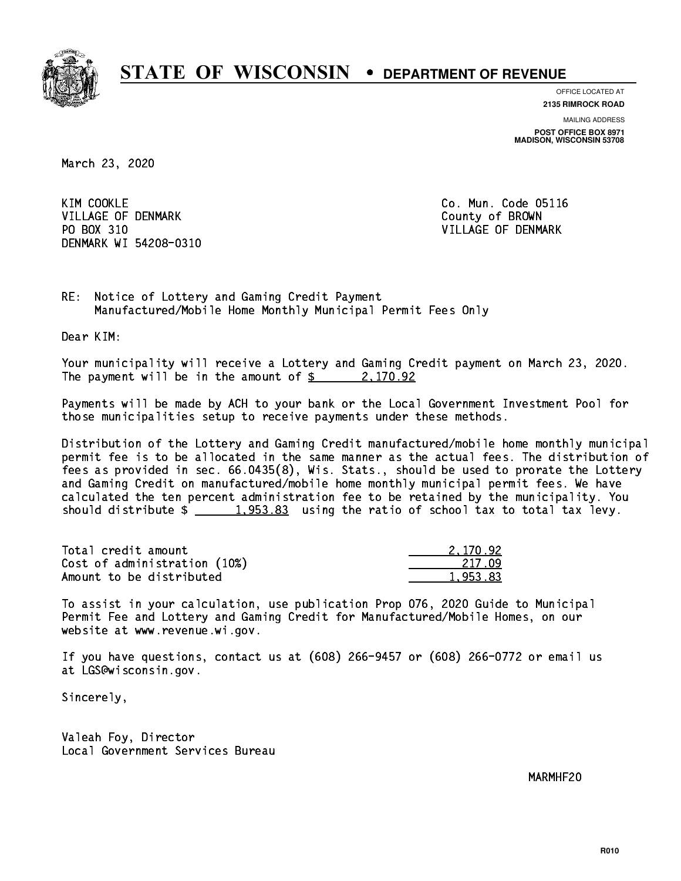

**OFFICE LOCATED AT**

**2135 RIMROCK ROAD**

**MAILING ADDRESS POST OFFICE BOX 8971 MADISON, WISCONSIN 53708**

March 23, 2020

KIM COOKLE VILLAGE OF DENMARK COUNTY OF BROWN PO BOX 310 VILLAGE OF DENMARK DENMARK WI 54208-0310

Co. Mun. Code 05116

RE: Notice of Lottery and Gaming Credit Payment Manufactured/Mobile Home Monthly Municipal Permit Fees Only

Dear KIM:

 Your municipality will receive a Lottery and Gaming Credit payment on March 23, 2020. The payment will be in the amount of  $\frac{2}{3}$  2,170.92

 Payments will be made by ACH to your bank or the Local Government Investment Pool for those municipalities setup to receive payments under these methods.

 Distribution of the Lottery and Gaming Credit manufactured/mobile home monthly municipal permit fee is to be allocated in the same manner as the actual fees. The distribution of fees as provided in sec. 66.0435(8), Wis. Stats., should be used to prorate the Lottery and Gaming Credit on manufactured/mobile home monthly municipal permit fees. We have calculated the ten percent administration fee to be retained by the municipality. You should distribute  $\frac{1,953.83}{1,953.83}$  using the ratio of school tax to total tax levy.

| Total credit amount          | 2.170.92 |
|------------------------------|----------|
| Cost of administration (10%) | -217.09  |
| Amount to be distributed     | 1.953.83 |

 To assist in your calculation, use publication Prop 076, 2020 Guide to Municipal Permit Fee and Lottery and Gaming Credit for Manufactured/Mobile Homes, on our website at www.revenue.wi.gov.

 If you have questions, contact us at (608) 266-9457 or (608) 266-0772 or email us at LGS@wisconsin.gov.

Sincerely,

 Valeah Foy, Director Local Government Services Bureau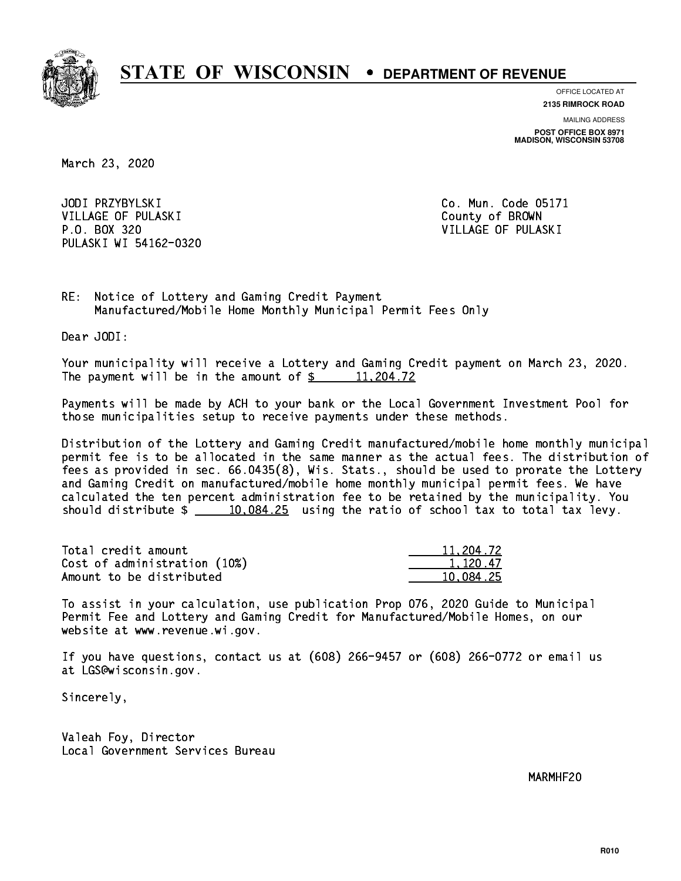

**OFFICE LOCATED AT**

**2135 RIMROCK ROAD**

**MAILING ADDRESS POST OFFICE BOX 8971 MADISON, WISCONSIN 53708**

March 23, 2020

JODI PRZYBYLSKI VILLAGE OF PULASKI COUNTY OF BROWN P.O. BOX 320 VILLAGE OF PULASKI PULASKI WI 54162-0320

Co. Mun. Code 05171

RE: Notice of Lottery and Gaming Credit Payment Manufactured/Mobile Home Monthly Municipal Permit Fees Only

Dear JODI:

 Your municipality will receive a Lottery and Gaming Credit payment on March 23, 2020. The payment will be in the amount of  $\frac{2}{3}$  11,204.72

 Payments will be made by ACH to your bank or the Local Government Investment Pool for those municipalities setup to receive payments under these methods.

 Distribution of the Lottery and Gaming Credit manufactured/mobile home monthly municipal permit fee is to be allocated in the same manner as the actual fees. The distribution of fees as provided in sec. 66.0435(8), Wis. Stats., should be used to prorate the Lottery and Gaming Credit on manufactured/mobile home monthly municipal permit fees. We have calculated the ten percent administration fee to be retained by the municipality. You should distribute  $\frac{10,084.25}{2}$  using the ratio of school tax to total tax levy.

| Total credit amount          | 11,204.72 |
|------------------------------|-----------|
| Cost of administration (10%) | 1.120.47  |
| Amount to be distributed     | 10.084.25 |

 To assist in your calculation, use publication Prop 076, 2020 Guide to Municipal Permit Fee and Lottery and Gaming Credit for Manufactured/Mobile Homes, on our website at www.revenue.wi.gov.

 If you have questions, contact us at (608) 266-9457 or (608) 266-0772 or email us at LGS@wisconsin.gov.

Sincerely,

 Valeah Foy, Director Local Government Services Bureau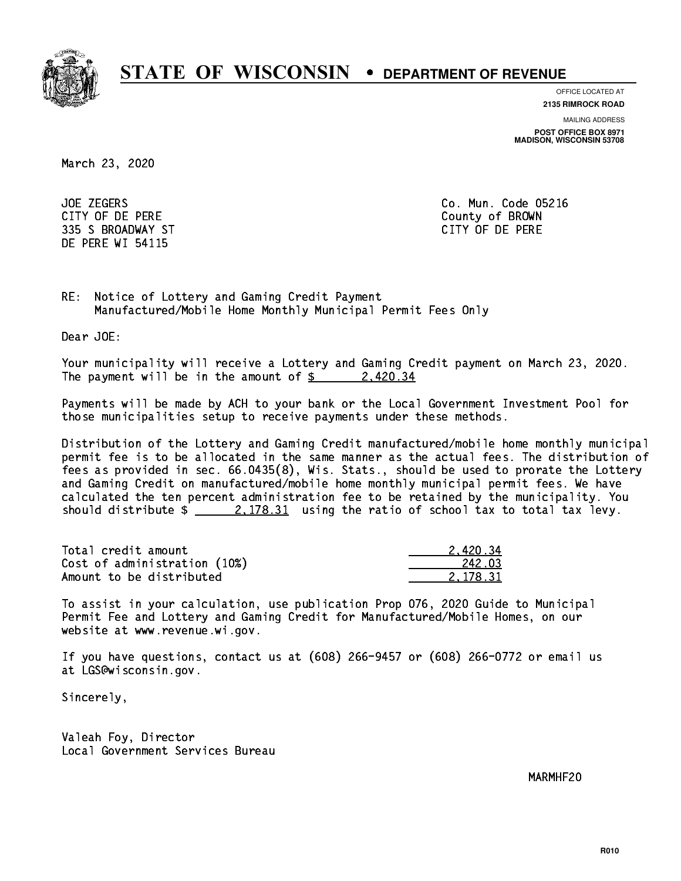

**OFFICE LOCATED AT**

**MAILING ADDRESS 2135 RIMROCK ROAD**

**POST OFFICE BOX 8971 MADISON, WISCONSIN 53708**

March 23, 2020

**JOE ZEGERS**  CITY OF DE PERE County of BROWN 335 S BROADWAY ST CITY OF DE PERE DE PERE WI 54115

Co. Mun. Code 05216

RE: Notice of Lottery and Gaming Credit Payment Manufactured/Mobile Home Monthly Municipal Permit Fees Only

Dear JOE:

 Your municipality will receive a Lottery and Gaming Credit payment on March 23, 2020. The payment will be in the amount of  $\frac{2}{3}$  2,420.34

 Payments will be made by ACH to your bank or the Local Government Investment Pool for those municipalities setup to receive payments under these methods.

 Distribution of the Lottery and Gaming Credit manufactured/mobile home monthly municipal permit fee is to be allocated in the same manner as the actual fees. The distribution of fees as provided in sec. 66.0435(8), Wis. Stats., should be used to prorate the Lottery and Gaming Credit on manufactured/mobile home monthly municipal permit fees. We have calculated the ten percent administration fee to be retained by the municipality. You should distribute  $\frac{2.178.31}{2.178.31}$  using the ratio of school tax to total tax levy.

| Total credit amount          | 2.420.34 |
|------------------------------|----------|
| Cost of administration (10%) | 242.03   |
| Amount to be distributed     | 2.178.31 |

 To assist in your calculation, use publication Prop 076, 2020 Guide to Municipal Permit Fee and Lottery and Gaming Credit for Manufactured/Mobile Homes, on our website at www.revenue.wi.gov.

 If you have questions, contact us at (608) 266-9457 or (608) 266-0772 or email us at LGS@wisconsin.gov.

Sincerely,

 Valeah Foy, Director Local Government Services Bureau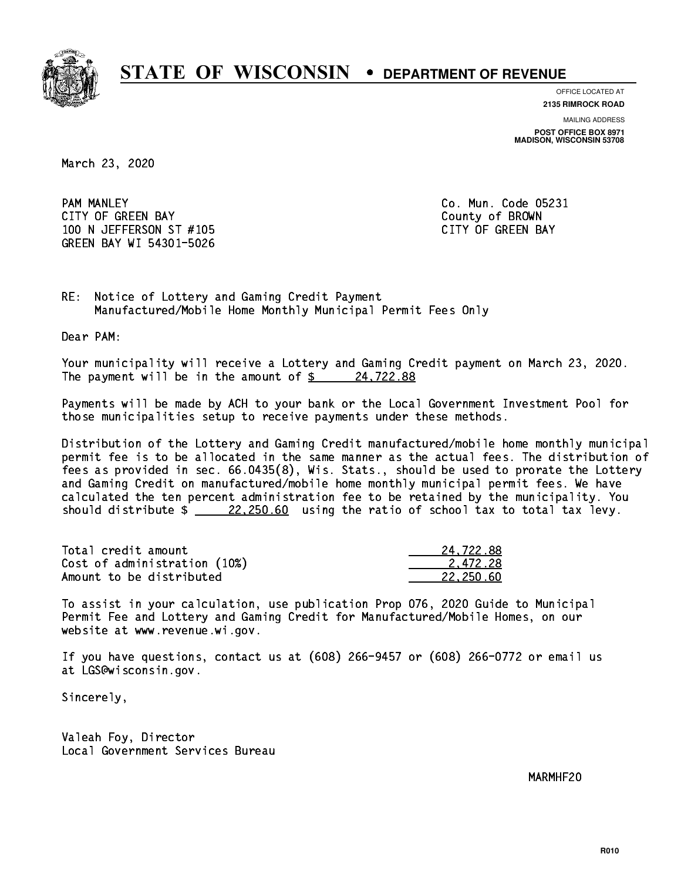

**OFFICE LOCATED AT**

**MAILING ADDRESS 2135 RIMROCK ROAD**

**POST OFFICE BOX 8971 MADISON, WISCONSIN 53708**

March 23, 2020

**PAM MANLEY** CITY OF GREEN BAY **COUNTY COULD A** COUNTY OF BROWN 100 N JEFFERSON ST #105 CONTROL CONTROLLER TO A CITY OF GREEN BAY GREEN BAY WI 54301-5026

Co. Mun. Code 05231

RE: Notice of Lottery and Gaming Credit Payment Manufactured/Mobile Home Monthly Municipal Permit Fees Only

Dear PAM:

 Your municipality will receive a Lottery and Gaming Credit payment on March 23, 2020. The payment will be in the amount of  $\frac{24,722.88}{24,122.88}$ 

 Payments will be made by ACH to your bank or the Local Government Investment Pool for those municipalities setup to receive payments under these methods.

 Distribution of the Lottery and Gaming Credit manufactured/mobile home monthly municipal permit fee is to be allocated in the same manner as the actual fees. The distribution of fees as provided in sec. 66.0435(8), Wis. Stats., should be used to prorate the Lottery and Gaming Credit on manufactured/mobile home monthly municipal permit fees. We have calculated the ten percent administration fee to be retained by the municipality. You should distribute  $\frac{22,250.60}{22,250.60}$  using the ratio of school tax to total tax levy.

| Total credit amount          | 24.722.88 |
|------------------------------|-----------|
| Cost of administration (10%) | 2.472.28  |
| Amount to be distributed     | 22.250.60 |

 To assist in your calculation, use publication Prop 076, 2020 Guide to Municipal Permit Fee and Lottery and Gaming Credit for Manufactured/Mobile Homes, on our website at www.revenue.wi.gov.

 If you have questions, contact us at (608) 266-9457 or (608) 266-0772 or email us at LGS@wisconsin.gov.

Sincerely,

 Valeah Foy, Director Local Government Services Bureau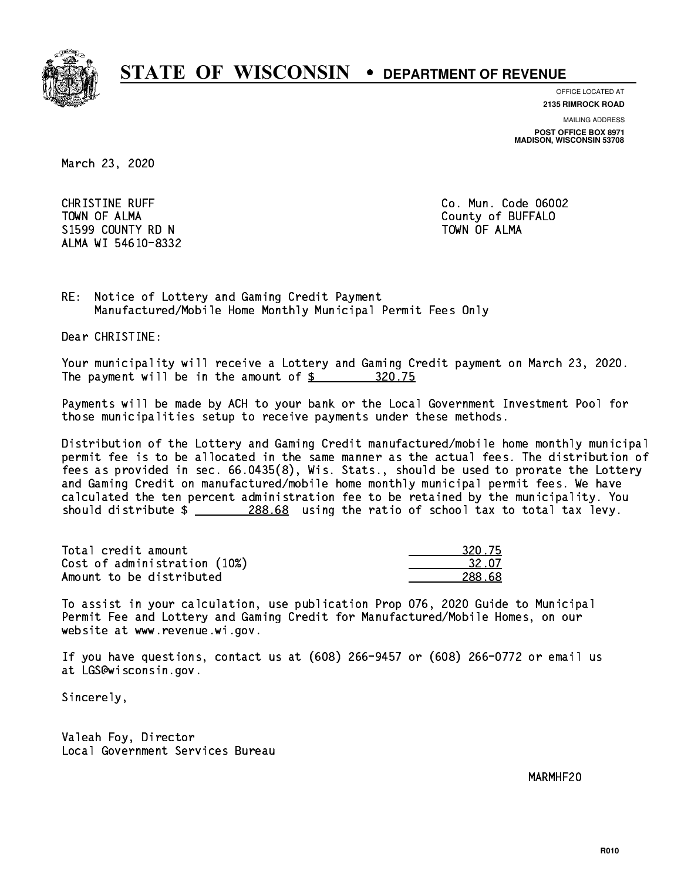

**OFFICE LOCATED AT**

**2135 RIMROCK ROAD**

**MAILING ADDRESS**

**POST OFFICE BOX 8971 MADISON, WISCONSIN 53708**

March 23, 2020

**CHRISTINE RUFF**  TOWN OF ALMA County of BUFFALO S1599 COUNTY RD N ALMA WI 54610-8332

Co. Mun. Code 06002 TOWN OF ALMA

RE: Notice of Lottery and Gaming Credit Payment Manufactured/Mobile Home Monthly Municipal Permit Fees Only

Dear CHRISTINE:

 Your municipality will receive a Lottery and Gaming Credit payment on March 23, 2020. The payment will be in the amount of  $$ 320.75$ 

 Payments will be made by ACH to your bank or the Local Government Investment Pool for those municipalities setup to receive payments under these methods.

 Distribution of the Lottery and Gaming Credit manufactured/mobile home monthly municipal permit fee is to be allocated in the same manner as the actual fees. The distribution of fees as provided in sec. 66.0435(8), Wis. Stats., should be used to prorate the Lottery and Gaming Credit on manufactured/mobile home monthly municipal permit fees. We have calculated the ten percent administration fee to be retained by the municipality. You should distribute  $\frac{288.68}{2}$  using the ratio of school tax to total tax levy.

Total credit amount 320.75 Cost of administration (10%) 2.07 Amount to be distributed **288.68** 

 To assist in your calculation, use publication Prop 076, 2020 Guide to Municipal Permit Fee and Lottery and Gaming Credit for Manufactured/Mobile Homes, on our website at www.revenue.wi.gov.

 If you have questions, contact us at (608) 266-9457 or (608) 266-0772 or email us at LGS@wisconsin.gov.

Sincerely,

 Valeah Foy, Director Local Government Services Bureau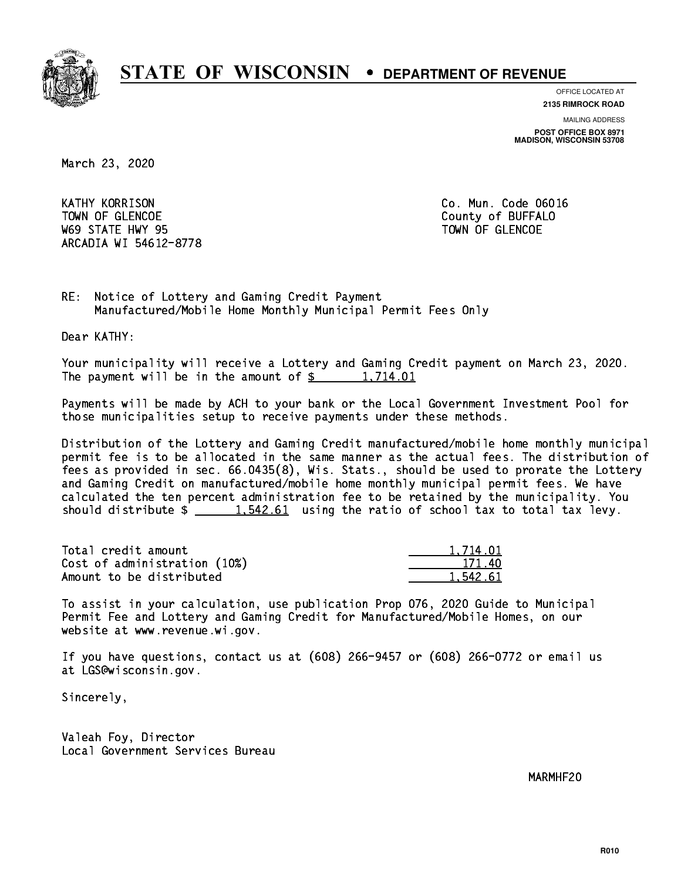

**OFFICE LOCATED AT**

**2135 RIMROCK ROAD**

**MAILING ADDRESS POST OFFICE BOX 8971 MADISON, WISCONSIN 53708**

March 23, 2020

**KATHY KORRISON** TOWN OF GLENCOE COUNTY OF BUFFALO where the state  $\sim$  state  $\sim$  state  $\sim$  state  $\sim$  state  $\sim$  state  $\sim$ ARCADIA WI 54612-8778

Co. Mun. Code 06016

RE: Notice of Lottery and Gaming Credit Payment Manufactured/Mobile Home Monthly Municipal Permit Fees Only

Dear KATHY:

 Your municipality will receive a Lottery and Gaming Credit payment on March 23, 2020. The payment will be in the amount of  $\frac{2}{3}$  1,714.01

 Payments will be made by ACH to your bank or the Local Government Investment Pool for those municipalities setup to receive payments under these methods.

 Distribution of the Lottery and Gaming Credit manufactured/mobile home monthly municipal permit fee is to be allocated in the same manner as the actual fees. The distribution of fees as provided in sec. 66.0435(8), Wis. Stats., should be used to prorate the Lottery and Gaming Credit on manufactured/mobile home monthly municipal permit fees. We have calculated the ten percent administration fee to be retained by the municipality. You should distribute  $\frac{1.542.61}{1.542.61}$  using the ratio of school tax to total tax levy.

| Total credit amount          | 1,714.01 |
|------------------------------|----------|
| Cost of administration (10%) | 171.40   |
| Amount to be distributed     | 1.542.61 |

 To assist in your calculation, use publication Prop 076, 2020 Guide to Municipal Permit Fee and Lottery and Gaming Credit for Manufactured/Mobile Homes, on our website at www.revenue.wi.gov.

 If you have questions, contact us at (608) 266-9457 or (608) 266-0772 or email us at LGS@wisconsin.gov.

Sincerely,

 Valeah Foy, Director Local Government Services Bureau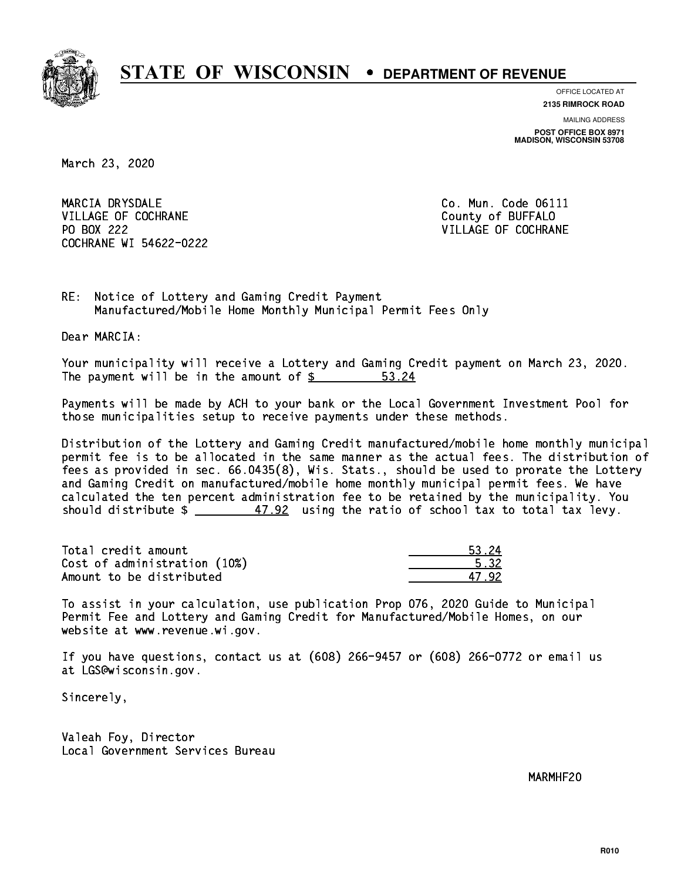

**OFFICE LOCATED AT**

**2135 RIMROCK ROAD**

**MAILING ADDRESS POST OFFICE BOX 8971 MADISON, WISCONSIN 53708**

March 23, 2020

MARCIA DRYSDALE VILLAGE OF COCHRANE COUNTY OF BUFFALO PO BOX 222 COCHRANE WI 54622-0222

Co. Mun. Code 06111 VILLAGE OF COCHRANE

RE: Notice of Lottery and Gaming Credit Payment Manufactured/Mobile Home Monthly Municipal Permit Fees Only

Dear MARCIA:

 Your municipality will receive a Lottery and Gaming Credit payment on March 23, 2020. The payment will be in the amount of  $\frac{2}{3}$ 53.24

 Payments will be made by ACH to your bank or the Local Government Investment Pool for those municipalities setup to receive payments under these methods.

 Distribution of the Lottery and Gaming Credit manufactured/mobile home monthly municipal permit fee is to be allocated in the same manner as the actual fees. The distribution of fees as provided in sec. 66.0435(8), Wis. Stats., should be used to prorate the Lottery and Gaming Credit on manufactured/mobile home monthly municipal permit fees. We have calculated the ten percent administration fee to be retained by the municipality. You should distribute  $\frac{2}{1}$   $\frac{47.92}{102}$  using the ratio of school tax to total tax levy.

Total credit amount Cost of administration (10%) Amount to be distributed

| -32 |
|-----|
| 12  |

 To assist in your calculation, use publication Prop 076, 2020 Guide to Municipal Permit Fee and Lottery and Gaming Credit for Manufactured/Mobile Homes, on our website at www.revenue.wi.gov.

 If you have questions, contact us at (608) 266-9457 or (608) 266-0772 or email us at LGS@wisconsin.gov.

Sincerely,

 Valeah Foy, Director Local Government Services Bureau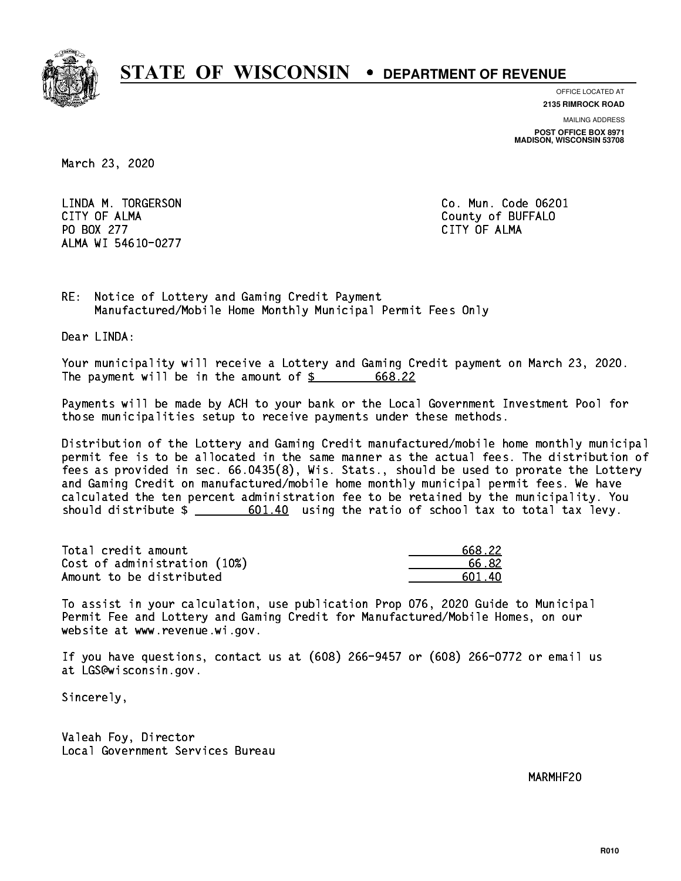

**OFFICE LOCATED AT 2135 RIMROCK ROAD**

**MAILING ADDRESS**

**POST OFFICE BOX 8971 MADISON, WISCONSIN 53708**

March 23, 2020

 LINDA M. TORGERSON Co. Mun. Code 06201 CITY OF ALMA County of BUFFALO PO BOX 277 CITY OF ALMA ALMA WI 54610-0277

RE: Notice of Lottery and Gaming Credit Payment Manufactured/Mobile Home Monthly Municipal Permit Fees Only

Dear LINDA:

 Your municipality will receive a Lottery and Gaming Credit payment on March 23, 2020. The payment will be in the amount of \$ 668.22 \_\_\_\_\_\_\_\_\_\_\_\_\_\_\_\_

 Payments will be made by ACH to your bank or the Local Government Investment Pool for those municipalities setup to receive payments under these methods.

 Distribution of the Lottery and Gaming Credit manufactured/mobile home monthly municipal permit fee is to be allocated in the same manner as the actual fees. The distribution of fees as provided in sec. 66.0435(8), Wis. Stats., should be used to prorate the Lottery and Gaming Credit on manufactured/mobile home monthly municipal permit fees. We have calculated the ten percent administration fee to be retained by the municipality. You should distribute  $\frac{2}{1}$   $\frac{601.40}{100}$  using the ratio of school tax to total tax levy.

| Total credit amount          | 668.22  |
|------------------------------|---------|
| Cost of administration (10%) | 66. 82  |
| Amount to be distributed     | .601.40 |

 To assist in your calculation, use publication Prop 076, 2020 Guide to Municipal Permit Fee and Lottery and Gaming Credit for Manufactured/Mobile Homes, on our website at www.revenue.wi.gov.

 If you have questions, contact us at (608) 266-9457 or (608) 266-0772 or email us at LGS@wisconsin.gov.

Sincerely,

 Valeah Foy, Director Local Government Services Bureau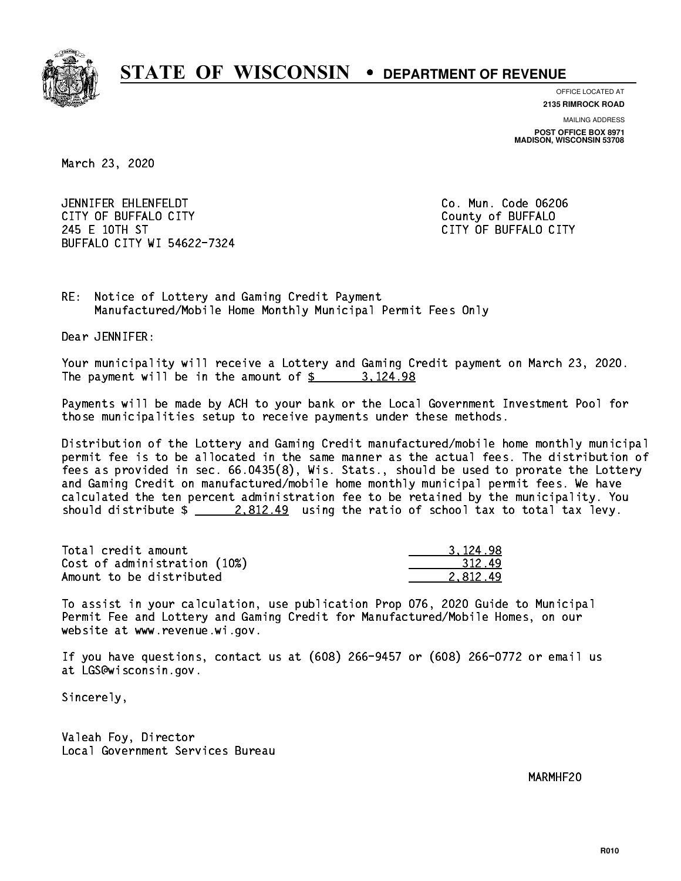

**OFFICE LOCATED AT**

**2135 RIMROCK ROAD**

**MAILING ADDRESS POST OFFICE BOX 8971 MADISON, WISCONSIN 53708**

March 23, 2020

 JENNIFER EHLENFELDT Co. Mun. Code 06206 CITY OF BUFFALO CITY **COULD ACCOUNT COULD COULD COULD** COUNTY COUNTY 245 E 10TH ST CITY OF BUFFALO CITY BUFFALO CITY WI 54622-7324

RE: Notice of Lottery and Gaming Credit Payment Manufactured/Mobile Home Monthly Municipal Permit Fees Only

Dear JENNIFER:

 Your municipality will receive a Lottery and Gaming Credit payment on March 23, 2020. The payment will be in the amount of  $\frac{2}{3}$  3,124.98

 Payments will be made by ACH to your bank or the Local Government Investment Pool for those municipalities setup to receive payments under these methods.

 Distribution of the Lottery and Gaming Credit manufactured/mobile home monthly municipal permit fee is to be allocated in the same manner as the actual fees. The distribution of fees as provided in sec. 66.0435(8), Wis. Stats., should be used to prorate the Lottery and Gaming Credit on manufactured/mobile home monthly municipal permit fees. We have calculated the ten percent administration fee to be retained by the municipality. You should distribute  $\frac{2.812.49}{ }$  using the ratio of school tax to total tax levy.

| Total credit amount          | 3.124.98 |
|------------------------------|----------|
| Cost of administration (10%) | 312.49   |
| Amount to be distributed     | 2.812.49 |

 To assist in your calculation, use publication Prop 076, 2020 Guide to Municipal Permit Fee and Lottery and Gaming Credit for Manufactured/Mobile Homes, on our website at www.revenue.wi.gov.

 If you have questions, contact us at (608) 266-9457 or (608) 266-0772 or email us at LGS@wisconsin.gov.

Sincerely,

 Valeah Foy, Director Local Government Services Bureau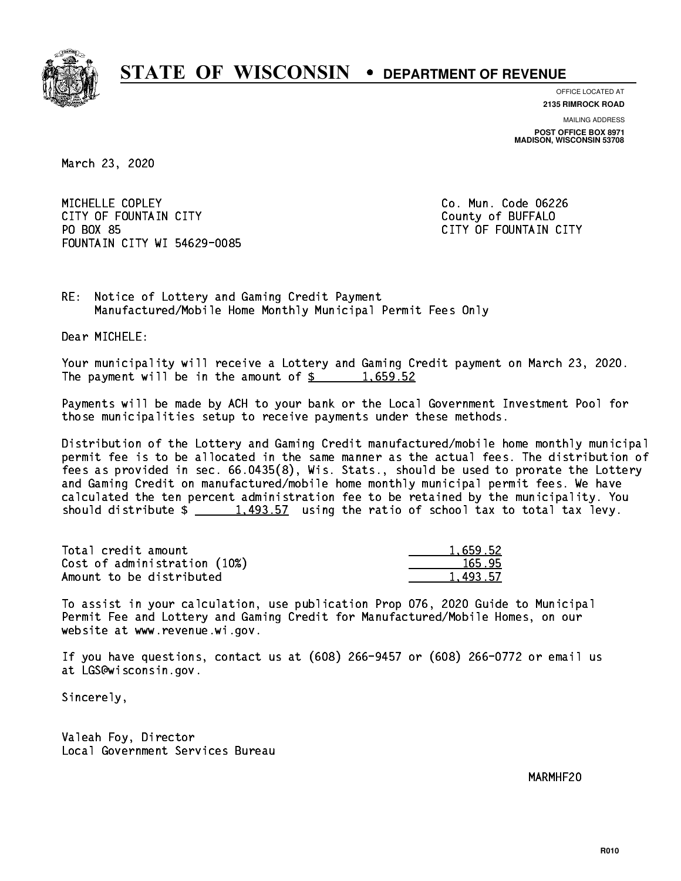

**OFFICE LOCATED AT**

**2135 RIMROCK ROAD**

**MAILING ADDRESS POST OFFICE BOX 8971 MADISON, WISCONSIN 53708**

March 23, 2020

MICHELLE COPLEY CITY OF FOUNTAIN CITY COUNTROLLED COUNTROLLED COUNTROLLED COUNTROLLED COUNTROLLED COUNTROLLED COUNTROLLED COUNTROLLED COUNTROLLED AT A COUNTROLLED COUNTROLLED AT A COUNTROLLED COUNTROLLED AT A COUNTROLLED COUNTROLLED AT A PO BOX 85 FOUNTAIN CITY WI 54629-0085

Co. Mun. Code 06226 CITY OF FOUNTAIN CITY

RE: Notice of Lottery and Gaming Credit Payment Manufactured/Mobile Home Monthly Municipal Permit Fees Only

Dear MICHELE:

 Your municipality will receive a Lottery and Gaming Credit payment on March 23, 2020. The payment will be in the amount of  $\frac{2}{3}$  1,659.52

 Payments will be made by ACH to your bank or the Local Government Investment Pool for those municipalities setup to receive payments under these methods.

 Distribution of the Lottery and Gaming Credit manufactured/mobile home monthly municipal permit fee is to be allocated in the same manner as the actual fees. The distribution of fees as provided in sec. 66.0435(8), Wis. Stats., should be used to prorate the Lottery and Gaming Credit on manufactured/mobile home monthly municipal permit fees. We have calculated the ten percent administration fee to be retained by the municipality. You should distribute  $\frac{1}{2}$   $\frac{1}{493.57}$  using the ratio of school tax to total tax levy.

| Total credit amount          | 1.659.52 |
|------------------------------|----------|
| Cost of administration (10%) | 165.95   |
| Amount to be distributed     | 1,493.57 |

 To assist in your calculation, use publication Prop 076, 2020 Guide to Municipal Permit Fee and Lottery and Gaming Credit for Manufactured/Mobile Homes, on our website at www.revenue.wi.gov.

 If you have questions, contact us at (608) 266-9457 or (608) 266-0772 or email us at LGS@wisconsin.gov.

Sincerely,

 Valeah Foy, Director Local Government Services Bureau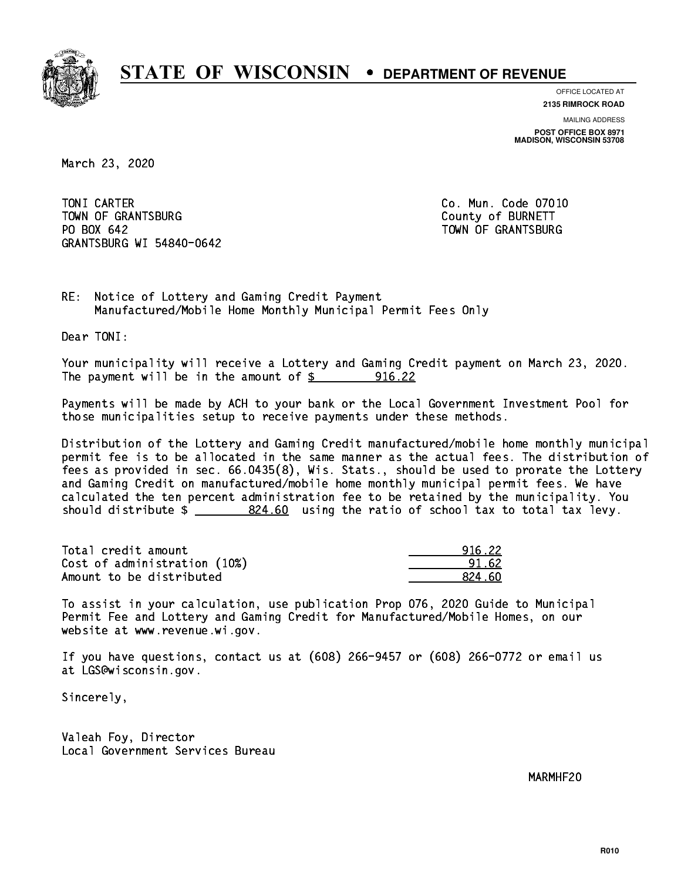

**OFFICE LOCATED AT**

**2135 RIMROCK ROAD**

**MAILING ADDRESS POST OFFICE BOX 8971 MADISON, WISCONSIN 53708**

March 23, 2020

TONI CARTER TOWN OF GRANTSBURG COUNTY OF BURNETT PO BOX 642 GRANTSBURG WI 54840-0642

Co. Mun. Code 07010 TOWN OF GRANTSBURG

RE: Notice of Lottery and Gaming Credit Payment Manufactured/Mobile Home Monthly Municipal Permit Fees Only

Dear TONI:

 Your municipality will receive a Lottery and Gaming Credit payment on March 23, 2020. The payment will be in the amount of  $\frac{2}{3}$  916.22

 Payments will be made by ACH to your bank or the Local Government Investment Pool for those municipalities setup to receive payments under these methods.

 Distribution of the Lottery and Gaming Credit manufactured/mobile home monthly municipal permit fee is to be allocated in the same manner as the actual fees. The distribution of fees as provided in sec. 66.0435(8), Wis. Stats., should be used to prorate the Lottery and Gaming Credit on manufactured/mobile home monthly municipal permit fees. We have calculated the ten percent administration fee to be retained by the municipality. You should distribute  $\frac{24.60}{1000}$  using the ratio of school tax to total tax levy.

| Total credit amount          | 916.22 |
|------------------------------|--------|
| Cost of administration (10%) | 91.62  |
| Amount to be distributed     | 824 AN |

 To assist in your calculation, use publication Prop 076, 2020 Guide to Municipal Permit Fee and Lottery and Gaming Credit for Manufactured/Mobile Homes, on our website at www.revenue.wi.gov.

 If you have questions, contact us at (608) 266-9457 or (608) 266-0772 or email us at LGS@wisconsin.gov.

Sincerely,

 Valeah Foy, Director Local Government Services Bureau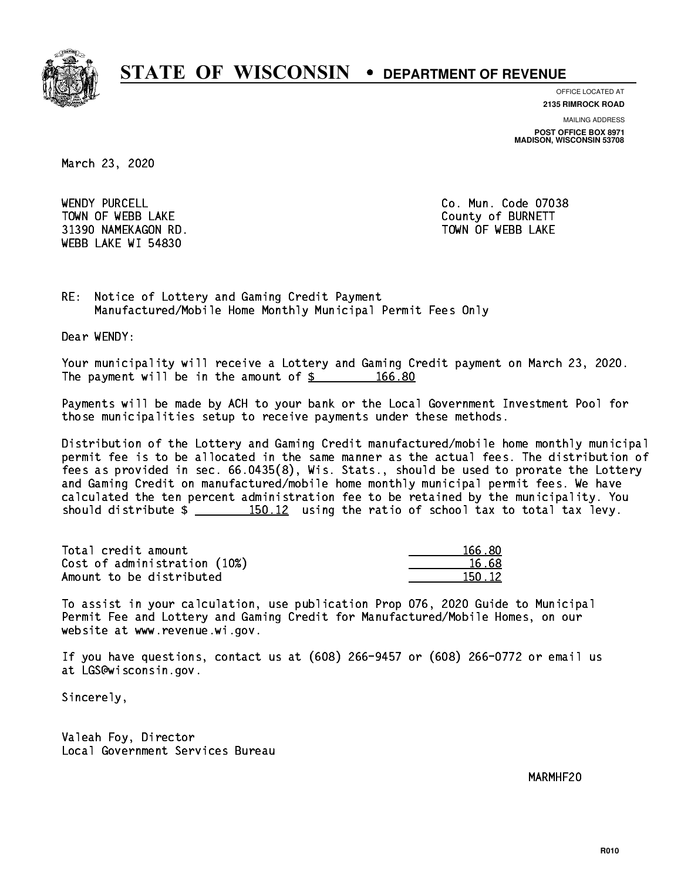

**OFFICE LOCATED AT**

**2135 RIMROCK ROAD**

**MAILING ADDRESS POST OFFICE BOX 8971 MADISON, WISCONSIN 53708**

March 23, 2020

WENDY PURCELL TOWN OF WEBB LAKE COUNTY OF BURNETT 31390 NAMEKAGON RD. TOWN OF WEBB LAKE WEBB LAKE WI 54830

Co. Mun. Code 07038

RE: Notice of Lottery and Gaming Credit Payment Manufactured/Mobile Home Monthly Municipal Permit Fees Only

Dear WENDY:

 Your municipality will receive a Lottery and Gaming Credit payment on March 23, 2020. The payment will be in the amount of  $\frac{2}{3}$  166.80

 Payments will be made by ACH to your bank or the Local Government Investment Pool for those municipalities setup to receive payments under these methods.

 Distribution of the Lottery and Gaming Credit manufactured/mobile home monthly municipal permit fee is to be allocated in the same manner as the actual fees. The distribution of fees as provided in sec. 66.0435(8), Wis. Stats., should be used to prorate the Lottery and Gaming Credit on manufactured/mobile home monthly municipal permit fees. We have calculated the ten percent administration fee to be retained by the municipality. You should distribute  $\frac{150.12}{150.12}$  using the ratio of school tax to total tax levy.

Total credit amount Cost of administration (10%) Amount to be distributed

| 166 80 |
|--------|
| 6.68   |
| 50.12  |

 To assist in your calculation, use publication Prop 076, 2020 Guide to Municipal Permit Fee and Lottery and Gaming Credit for Manufactured/Mobile Homes, on our website at www.revenue.wi.gov.

 If you have questions, contact us at (608) 266-9457 or (608) 266-0772 or email us at LGS@wisconsin.gov.

Sincerely,

 Valeah Foy, Director Local Government Services Bureau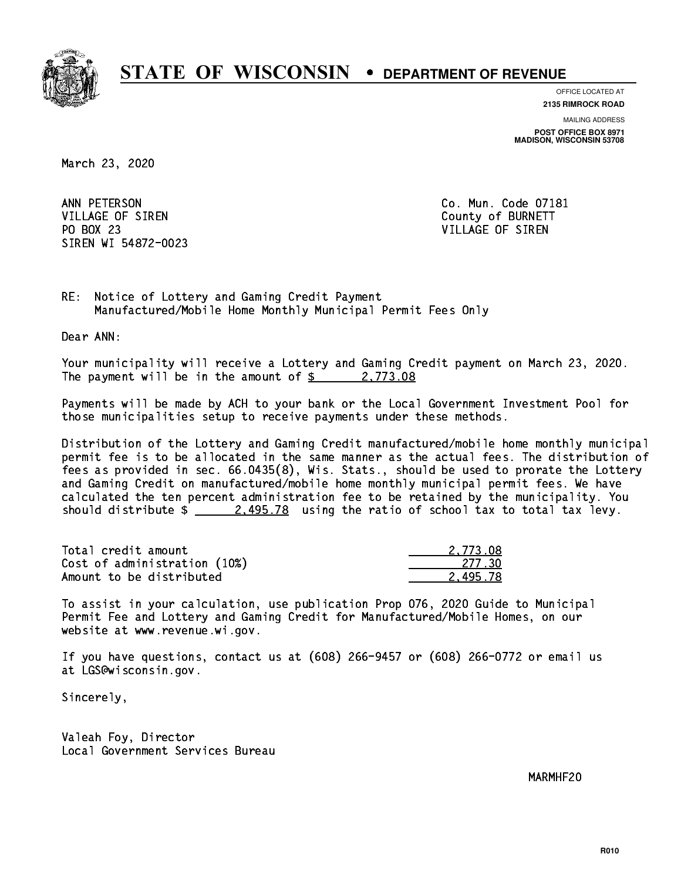

**OFFICE LOCATED AT**

**2135 RIMROCK ROAD**

**MAILING ADDRESS POST OFFICE BOX 8971 MADISON, WISCONSIN 53708**

March 23, 2020

ANN PETERSON VILLAGE OF SIREN COUNTY OF BURNETT PO BOX 23 PO BOX 23 VILLAGE OF SIREN SIREN WI 54872-0023

Co. Mun. Code 07181

RE: Notice of Lottery and Gaming Credit Payment Manufactured/Mobile Home Monthly Municipal Permit Fees Only

Dear ANN:

 Your municipality will receive a Lottery and Gaming Credit payment on March 23, 2020. The payment will be in the amount of  $\frac{2}{3}$  2,773.08

 Payments will be made by ACH to your bank or the Local Government Investment Pool for those municipalities setup to receive payments under these methods.

 Distribution of the Lottery and Gaming Credit manufactured/mobile home monthly municipal permit fee is to be allocated in the same manner as the actual fees. The distribution of fees as provided in sec. 66.0435(8), Wis. Stats., should be used to prorate the Lottery and Gaming Credit on manufactured/mobile home monthly municipal permit fees. We have calculated the ten percent administration fee to be retained by the municipality. You should distribute  $\frac{2.495.78}{2.495.78}$  using the ratio of school tax to total tax levy.

| Total credit amount          | 2.773.08 |
|------------------------------|----------|
| Cost of administration (10%) | 277.30   |
| Amount to be distributed     | 2.495.78 |

 To assist in your calculation, use publication Prop 076, 2020 Guide to Municipal Permit Fee and Lottery and Gaming Credit for Manufactured/Mobile Homes, on our website at www.revenue.wi.gov.

 If you have questions, contact us at (608) 266-9457 or (608) 266-0772 or email us at LGS@wisconsin.gov.

Sincerely,

 Valeah Foy, Director Local Government Services Bureau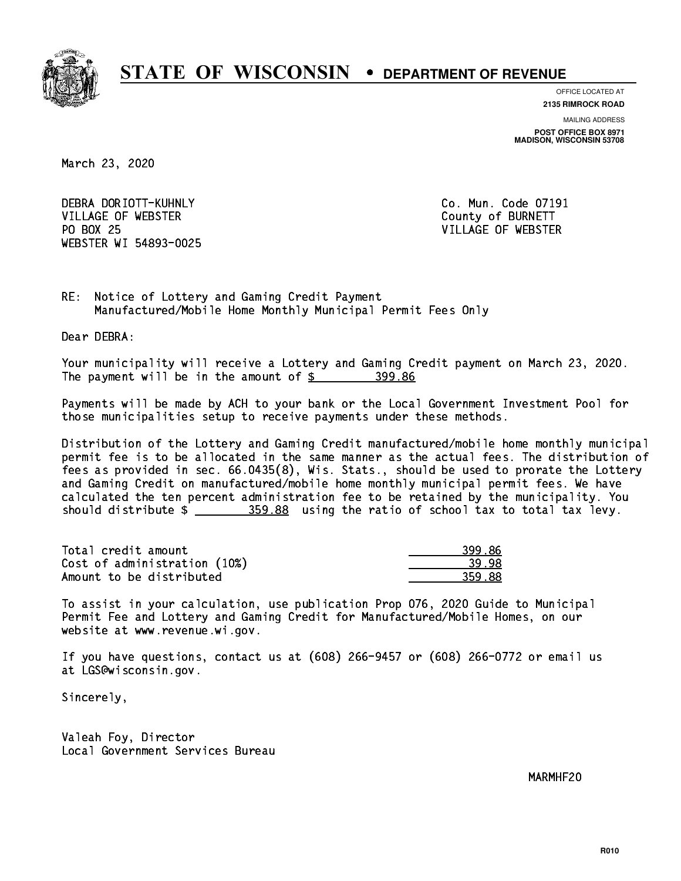

**OFFICE LOCATED AT**

**2135 RIMROCK ROAD**

**MAILING ADDRESS POST OFFICE BOX 8971 MADISON, WISCONSIN 53708**

March 23, 2020

 DEBRA DORIOTT-KUHNLY Co. Mun. Code 07191 VILLAGE OF WEBSTER COUNTY OF BURNETT PO BOX 25 WEBSTER WI 54893-0025

VILLAGE OF WEBSTER

RE: Notice of Lottery and Gaming Credit Payment Manufactured/Mobile Home Monthly Municipal Permit Fees Only

Dear DEBRA:

 Your municipality will receive a Lottery and Gaming Credit payment on March 23, 2020. The payment will be in the amount of \$ 399.86 \_\_\_\_\_\_\_\_\_\_\_\_\_\_\_\_

 Payments will be made by ACH to your bank or the Local Government Investment Pool for those municipalities setup to receive payments under these methods.

 Distribution of the Lottery and Gaming Credit manufactured/mobile home monthly municipal permit fee is to be allocated in the same manner as the actual fees. The distribution of fees as provided in sec. 66.0435(8), Wis. Stats., should be used to prorate the Lottery and Gaming Credit on manufactured/mobile home monthly municipal permit fees. We have calculated the ten percent administration fee to be retained by the municipality. You should distribute  $\frac{259.88}{1000}$  using the ratio of school tax to total tax levy.

| Total credit amount          | 399.86 |
|------------------------------|--------|
| Cost of administration (10%) | -39-98 |
| Amount to be distributed     | 359.88 |

 To assist in your calculation, use publication Prop 076, 2020 Guide to Municipal Permit Fee and Lottery and Gaming Credit for Manufactured/Mobile Homes, on our website at www.revenue.wi.gov.

 If you have questions, contact us at (608) 266-9457 or (608) 266-0772 or email us at LGS@wisconsin.gov.

Sincerely,

 Valeah Foy, Director Local Government Services Bureau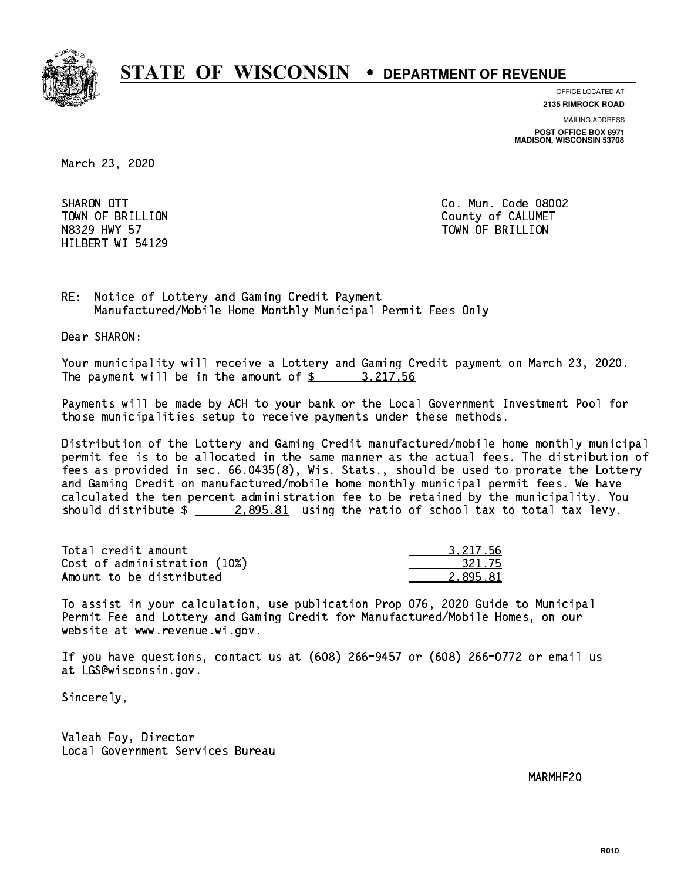

**OFFICE LOCATED AT**

**2135 RIMROCK ROAD**

**MAILING ADDRESS POST OFFICE BOX 8971 MADISON, WISCONSIN 53708**

March 23, 2020

SHARON OTT HILBERT WI 54129

Co. Mun. Code 08002 TOWN OF BRILLION County of CALUMET N8329 HWY 57 TOWN OF BRILLION

RE: Notice of Lottery and Gaming Credit Payment Manufactured/Mobile Home Monthly Municipal Permit Fees Only

Dear SHARON:

 Your municipality will receive a Lottery and Gaming Credit payment on March 23, 2020. The payment will be in the amount of \$ 3,217.56 \_\_\_\_\_\_\_\_\_\_\_\_\_\_\_\_

 Payments will be made by ACH to your bank or the Local Government Investment Pool for those municipalities setup to receive payments under these methods.

 Distribution of the Lottery and Gaming Credit manufactured/mobile home monthly municipal permit fee is to be allocated in the same manner as the actual fees. The distribution of fees as provided in sec. 66.0435(8), Wis. Stats., should be used to prorate the Lottery and Gaming Credit on manufactured/mobile home monthly municipal permit fees. We have calculated the ten percent administration fee to be retained by the municipality. You should distribute  $\frac{2.895.81}{2.895.81}$  using the ratio of school tax to total tax levy.

| Total credit amount          | 3.217.56 |
|------------------------------|----------|
| Cost of administration (10%) | 321.75   |
| Amount to be distributed     | 2.895.81 |

 To assist in your calculation, use publication Prop 076, 2020 Guide to Municipal Permit Fee and Lottery and Gaming Credit for Manufactured/Mobile Homes, on our website at www.revenue.wi.gov.

 If you have questions, contact us at (608) 266-9457 or (608) 266-0772 or email us at LGS@wisconsin.gov.

Sincerely,

 Valeah Foy, Director Local Government Services Bureau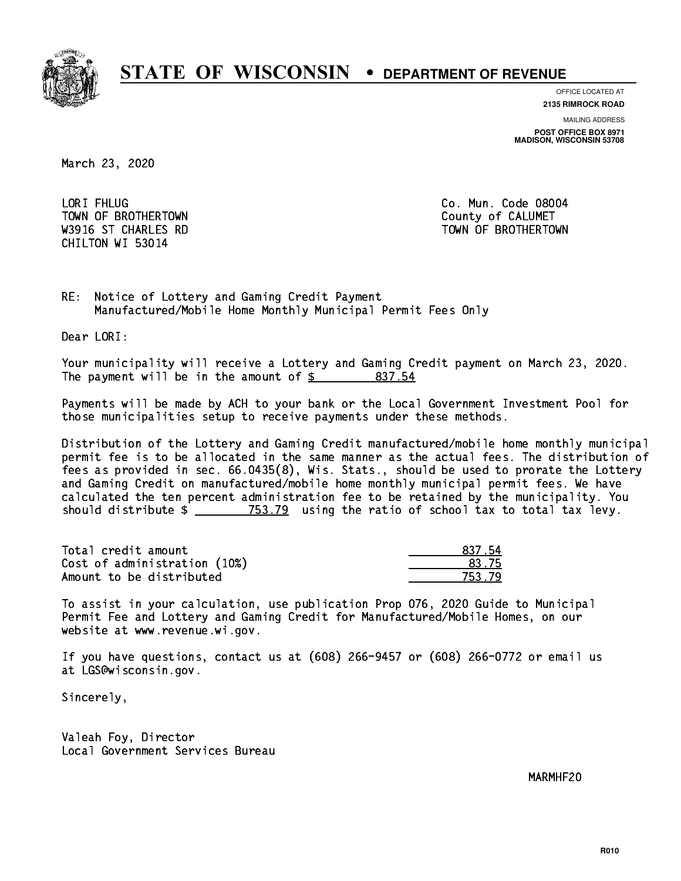

**OFFICE LOCATED AT**

**2135 RIMROCK ROAD**

**MAILING ADDRESS POST OFFICE BOX 8971 MADISON, WISCONSIN 53708**

March 23, 2020

LORI FHLUG TOWN OF BROTHERTOWN COUNTY COUNTY OF CALUMET CHILTON WI 53014

Co. Mun. Code 08004 W3916 ST CHARLES RD TOWN OF BROTHERTOWN WAS ALLOWDED AND TOWN OF BROTHERTOWN

RE: Notice of Lottery and Gaming Credit Payment Manufactured/Mobile Home Monthly Municipal Permit Fees Only

Dear LORI:

 Your municipality will receive a Lottery and Gaming Credit payment on March 23, 2020. The payment will be in the amount of \$ 837.54 \_\_\_\_\_\_\_\_\_\_\_\_\_\_\_\_

 Payments will be made by ACH to your bank or the Local Government Investment Pool for those municipalities setup to receive payments under these methods.

 Distribution of the Lottery and Gaming Credit manufactured/mobile home monthly municipal permit fee is to be allocated in the same manner as the actual fees. The distribution of fees as provided in sec. 66.0435(8), Wis. Stats., should be used to prorate the Lottery and Gaming Credit on manufactured/mobile home monthly municipal permit fees. We have calculated the ten percent administration fee to be retained by the municipality. You should distribute  $\frac{2}{2}$   $\frac{753.79}{2}$  using the ratio of school tax to total tax levy.

Total credit amount Cost of administration (10%) Amount to be distributed

| 12 L        |
|-------------|
| 3.75        |
| ユー<br>t - 1 |

 To assist in your calculation, use publication Prop 076, 2020 Guide to Municipal Permit Fee and Lottery and Gaming Credit for Manufactured/Mobile Homes, on our website at www.revenue.wi.gov.

 If you have questions, contact us at (608) 266-9457 or (608) 266-0772 or email us at LGS@wisconsin.gov.

Sincerely,

 Valeah Foy, Director Local Government Services Bureau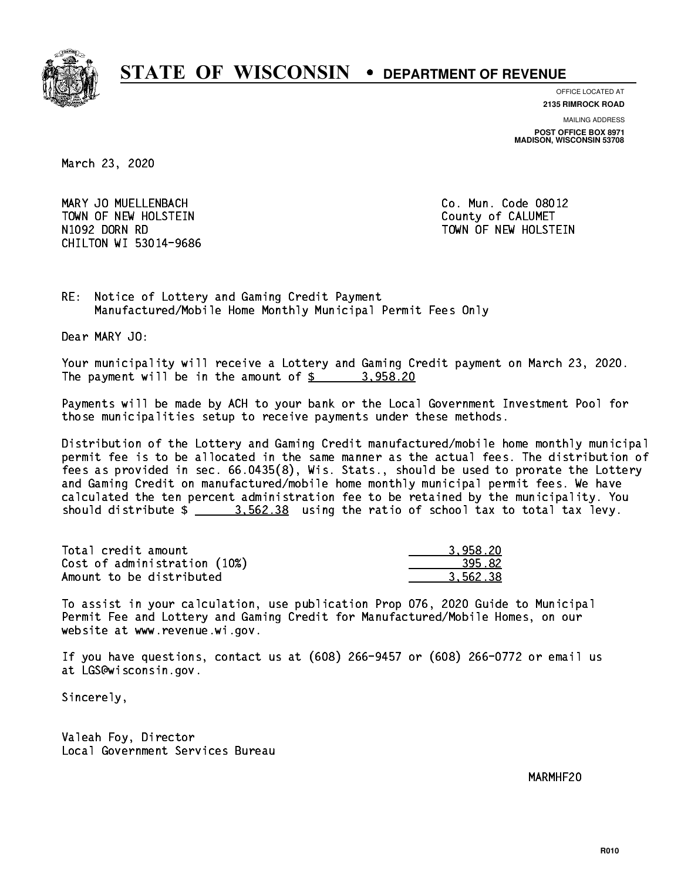

**OFFICE LOCATED AT**

**2135 RIMROCK ROAD**

**MAILING ADDRESS**

**POST OFFICE BOX 8971 MADISON, WISCONSIN 53708**

March 23, 2020

 MARY JO MUELLENBACH Co. Mun. Code 08012 TOWN OF NEW HOLSTEIN County of CALUMET N1092 DORN RD TOWN OF NEW HOLSTEIN CHILTON WI 53014-9686

RE: Notice of Lottery and Gaming Credit Payment Manufactured/Mobile Home Monthly Municipal Permit Fees Only

Dear MARY JO:

 Your municipality will receive a Lottery and Gaming Credit payment on March 23, 2020. The payment will be in the amount of  $\frac{2}{3}$  3,958.20

 Payments will be made by ACH to your bank or the Local Government Investment Pool for those municipalities setup to receive payments under these methods.

 Distribution of the Lottery and Gaming Credit manufactured/mobile home monthly municipal permit fee is to be allocated in the same manner as the actual fees. The distribution of fees as provided in sec. 66.0435(8), Wis. Stats., should be used to prorate the Lottery and Gaming Credit on manufactured/mobile home monthly municipal permit fees. We have calculated the ten percent administration fee to be retained by the municipality. You should distribute  $\frac{2}{2}$   $\frac{3.562.38}{2}$  using the ratio of school tax to total tax levy.

| Total credit amount          | 3.958.20 |
|------------------------------|----------|
| Cost of administration (10%) | 395.82   |
| Amount to be distributed     | 3.562.38 |

 To assist in your calculation, use publication Prop 076, 2020 Guide to Municipal Permit Fee and Lottery and Gaming Credit for Manufactured/Mobile Homes, on our website at www.revenue.wi.gov.

 If you have questions, contact us at (608) 266-9457 or (608) 266-0772 or email us at LGS@wisconsin.gov.

Sincerely,

 Valeah Foy, Director Local Government Services Bureau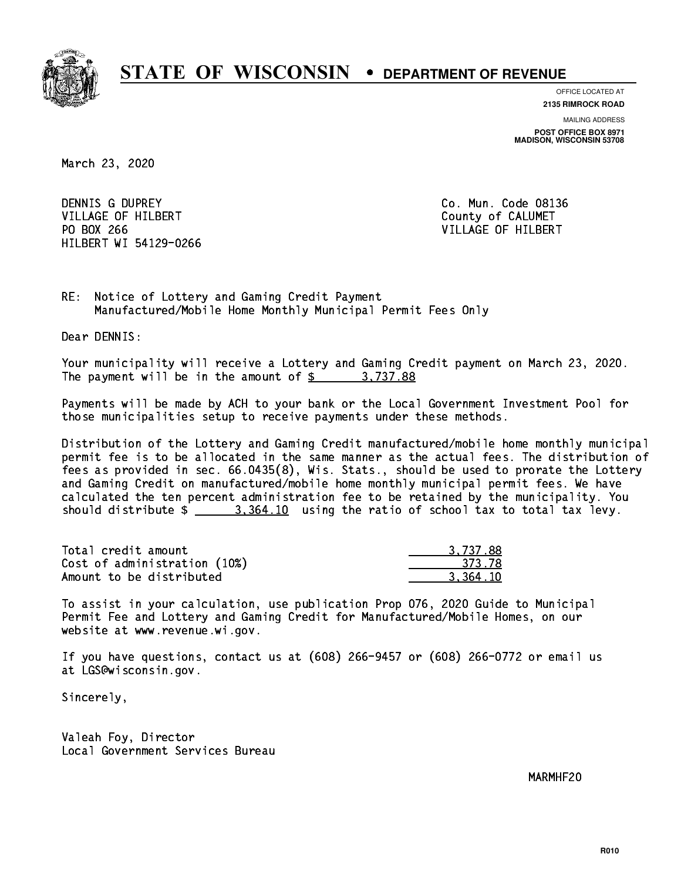

**OFFICE LOCATED AT**

**2135 RIMROCK ROAD**

**MAILING ADDRESS POST OFFICE BOX 8971 MADISON, WISCONSIN 53708**

March 23, 2020

 DENNIS G DUPREY Co. Mun. Code 08136 VILLAGE OF HILBERT COUNTY OF CALUMET PO BOX 266 VILLAGE OF HILBERT HILBERT WI 54129-0266

RE: Notice of Lottery and Gaming Credit Payment Manufactured/Mobile Home Monthly Municipal Permit Fees Only

Dear DENNIS:

 Your municipality will receive a Lottery and Gaming Credit payment on March 23, 2020. The payment will be in the amount of \$ 3,737.88 \_\_\_\_\_\_\_\_\_\_\_\_\_\_\_\_

 Payments will be made by ACH to your bank or the Local Government Investment Pool for those municipalities setup to receive payments under these methods.

 Distribution of the Lottery and Gaming Credit manufactured/mobile home monthly municipal permit fee is to be allocated in the same manner as the actual fees. The distribution of fees as provided in sec. 66.0435(8), Wis. Stats., should be used to prorate the Lottery and Gaming Credit on manufactured/mobile home monthly municipal permit fees. We have calculated the ten percent administration fee to be retained by the municipality. You should distribute  $\frac{2}{1}$   $\frac{3.364.10}{10}$  using the ratio of school tax to total tax levy.

| Total credit amount          | 3.737.88 |
|------------------------------|----------|
| Cost of administration (10%) | -373.78  |
| Amount to be distributed     | 3.364.10 |

 To assist in your calculation, use publication Prop 076, 2020 Guide to Municipal Permit Fee and Lottery and Gaming Credit for Manufactured/Mobile Homes, on our website at www.revenue.wi.gov.

 If you have questions, contact us at (608) 266-9457 or (608) 266-0772 or email us at LGS@wisconsin.gov.

Sincerely,

 Valeah Foy, Director Local Government Services Bureau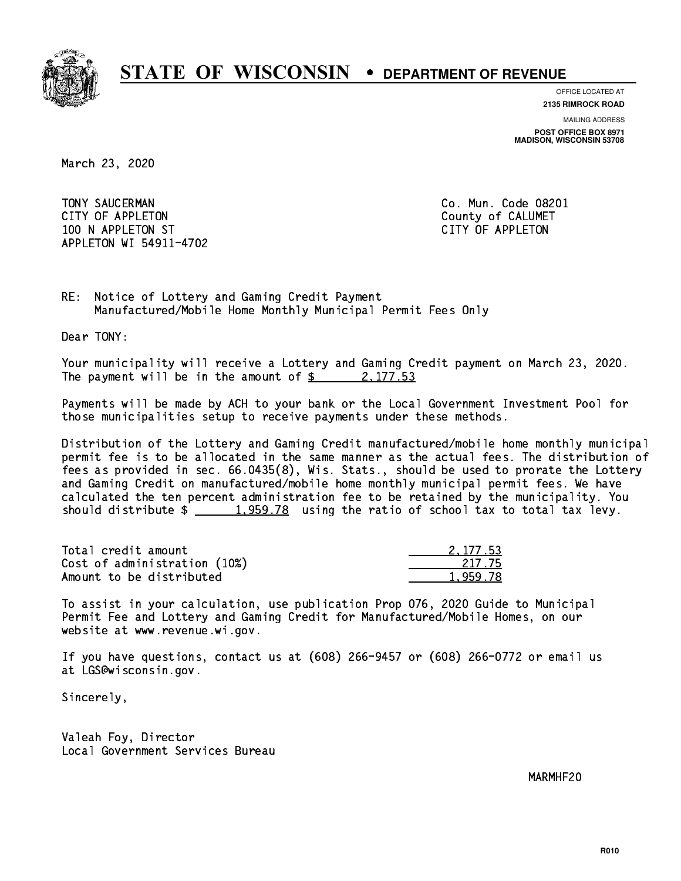

**OFFICE LOCATED AT**

**2135 RIMROCK ROAD**

**MAILING ADDRESS POST OFFICE BOX 8971 MADISON, WISCONSIN 53708**

March 23, 2020

 TONY SAUCERMAN Co. Mun. Code 08201 CITY OF APPLETON COUNTY COUNTY OF CALUMET 100 N APPLETON ST CITY OF APPLETON APPLETON WI 54911-4702

RE: Notice of Lottery and Gaming Credit Payment Manufactured/Mobile Home Monthly Municipal Permit Fees Only

Dear TONY:

 Your municipality will receive a Lottery and Gaming Credit payment on March 23, 2020. The payment will be in the amount of  $\frac{2}{3}$  2,177.53

 Payments will be made by ACH to your bank or the Local Government Investment Pool for those municipalities setup to receive payments under these methods.

 Distribution of the Lottery and Gaming Credit manufactured/mobile home monthly municipal permit fee is to be allocated in the same manner as the actual fees. The distribution of fees as provided in sec. 66.0435(8), Wis. Stats., should be used to prorate the Lottery and Gaming Credit on manufactured/mobile home monthly municipal permit fees. We have calculated the ten percent administration fee to be retained by the municipality. You should distribute  $\frac{1,959.78}{1,959.78}$  using the ratio of school tax to total tax levy.

| Total credit amount          | 2.177.53 |
|------------------------------|----------|
| Cost of administration (10%) | -217.75  |
| Amount to be distributed     | 1,959.78 |

 To assist in your calculation, use publication Prop 076, 2020 Guide to Municipal Permit Fee and Lottery and Gaming Credit for Manufactured/Mobile Homes, on our website at www.revenue.wi.gov.

 If you have questions, contact us at (608) 266-9457 or (608) 266-0772 or email us at LGS@wisconsin.gov.

Sincerely,

 Valeah Foy, Director Local Government Services Bureau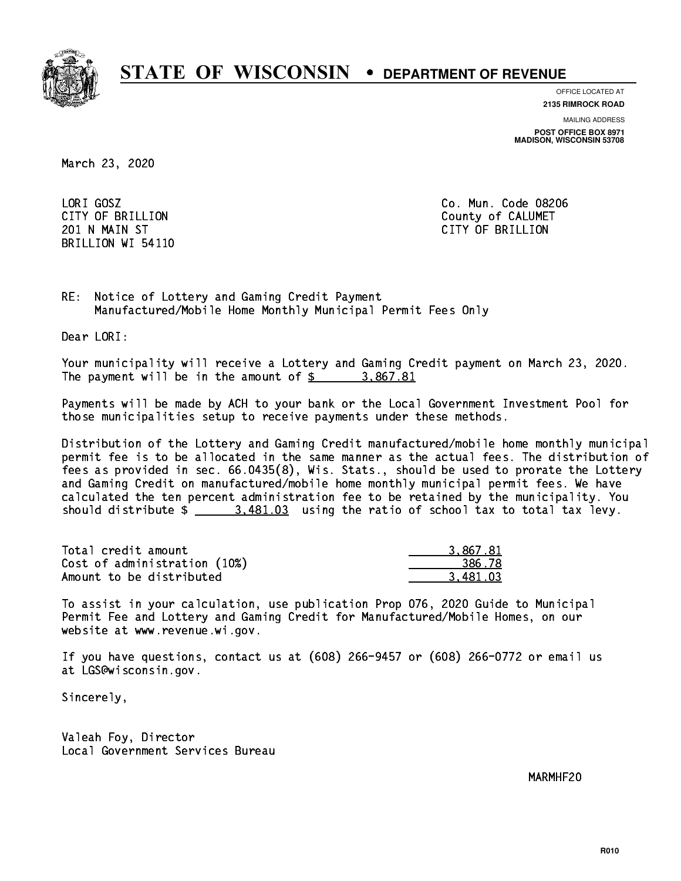

**OFFICE LOCATED AT**

**2135 RIMROCK ROAD**

**MAILING ADDRESS**

**POST OFFICE BOX 8971 MADISON, WISCONSIN 53708**

March 23, 2020

LORI GOSZ BRILLION WI 54110

Co. Mun. Code 08206 CITY OF BRILLION County of CALUMET 201 N MAIN ST CITY OF BRIDGE OF BRIDGE OF BRIDGE OF BRIDGE OF BRIDGE OF BRIDGE OF BRIDGE OF BRIDGE OF BRIDGE O

RE: Notice of Lottery and Gaming Credit Payment Manufactured/Mobile Home Monthly Municipal Permit Fees Only

Dear LORI:

 Your municipality will receive a Lottery and Gaming Credit payment on March 23, 2020. The payment will be in the amount of  $\frac{2}{3}$  3,867.81

 Payments will be made by ACH to your bank or the Local Government Investment Pool for those municipalities setup to receive payments under these methods.

 Distribution of the Lottery and Gaming Credit manufactured/mobile home monthly municipal permit fee is to be allocated in the same manner as the actual fees. The distribution of fees as provided in sec. 66.0435(8), Wis. Stats., should be used to prorate the Lottery and Gaming Credit on manufactured/mobile home monthly municipal permit fees. We have calculated the ten percent administration fee to be retained by the municipality. You should distribute  $\frac{2}{1}$   $\frac{3,481.03}{2}$  using the ratio of school tax to total tax levy.

| Total credit amount          | 3.867.81 |
|------------------------------|----------|
| Cost of administration (10%) | 386.78   |
| Amount to be distributed     | 3.481.03 |

 To assist in your calculation, use publication Prop 076, 2020 Guide to Municipal Permit Fee and Lottery and Gaming Credit for Manufactured/Mobile Homes, on our website at www.revenue.wi.gov.

 If you have questions, contact us at (608) 266-9457 or (608) 266-0772 or email us at LGS@wisconsin.gov.

Sincerely,

 Valeah Foy, Director Local Government Services Bureau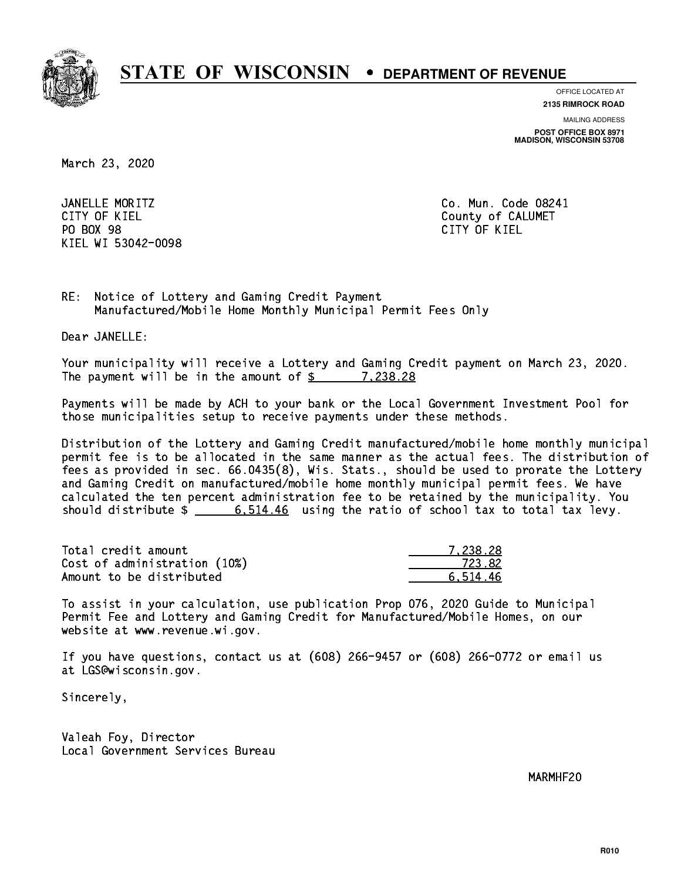

**OFFICE LOCATED AT**

**2135 RIMROCK ROAD**

**MAILING ADDRESS**

**POST OFFICE BOX 8971 MADISON, WISCONSIN 53708**

March 23, 2020

 JANELLE MORITZ Co. Mun. Code 08241 CITY OF KIEL **COUNTY COUNTY OF CALUMET** PO BOX 98 PO BOX 98 CITY OF KIEL KIEL WI 53042-0098

CITY OF KIEL

RE: Notice of Lottery and Gaming Credit Payment Manufactured/Mobile Home Monthly Municipal Permit Fees Only

Dear JANELLE:

 Your municipality will receive a Lottery and Gaming Credit payment on March 23, 2020. The payment will be in the amount of \$ 7,238.28 \_\_\_\_\_\_\_\_\_\_\_\_\_\_\_\_

 Payments will be made by ACH to your bank or the Local Government Investment Pool for those municipalities setup to receive payments under these methods.

 Distribution of the Lottery and Gaming Credit manufactured/mobile home monthly municipal permit fee is to be allocated in the same manner as the actual fees. The distribution of fees as provided in sec. 66.0435(8), Wis. Stats., should be used to prorate the Lottery and Gaming Credit on manufactured/mobile home monthly municipal permit fees. We have calculated the ten percent administration fee to be retained by the municipality. You should distribute  $\frac{2}{1}$   $\frac{6.514.46}{6.614.46}$  using the ratio of school tax to total tax levy.

| Total credit amount          | 7.238.28 |
|------------------------------|----------|
| Cost of administration (10%) | 723.82   |
| Amount to be distributed     | 6.514.46 |

 To assist in your calculation, use publication Prop 076, 2020 Guide to Municipal Permit Fee and Lottery and Gaming Credit for Manufactured/Mobile Homes, on our website at www.revenue.wi.gov.

 If you have questions, contact us at (608) 266-9457 or (608) 266-0772 or email us at LGS@wisconsin.gov.

Sincerely,

 Valeah Foy, Director Local Government Services Bureau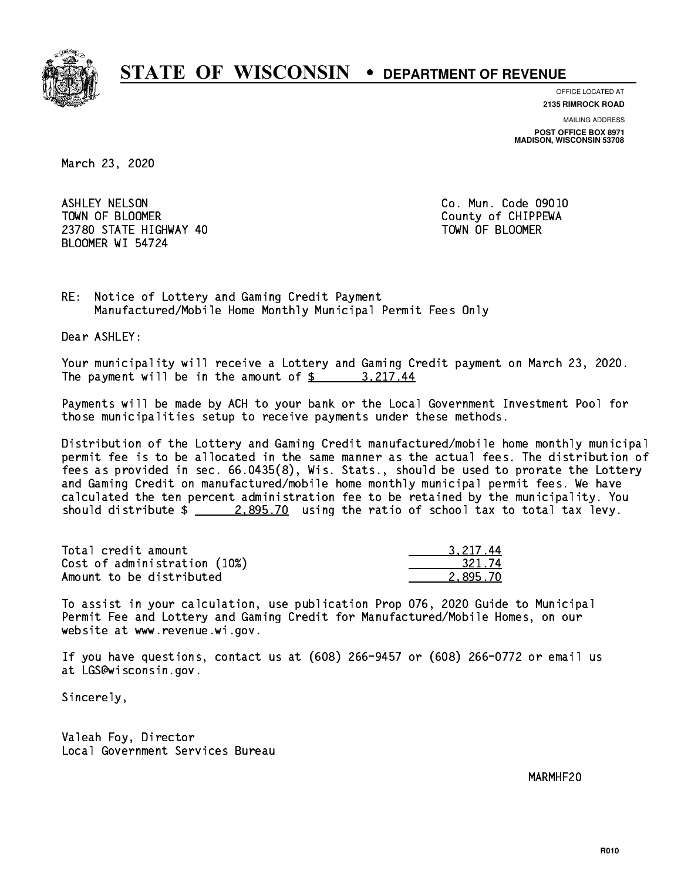

**OFFICE LOCATED AT**

**2135 RIMROCK ROAD**

**MAILING ADDRESS POST OFFICE BOX 8971 MADISON, WISCONSIN 53708**

March 23, 2020

 ASHLEY NELSON Co. Mun. Code 09010 TOWN OF BLOOMER County of CHIPPEWA 23780 STATE HIGHWAY 40 TOWN OF BLOOMER BLOOMER WI 54724

RE: Notice of Lottery and Gaming Credit Payment Manufactured/Mobile Home Monthly Municipal Permit Fees Only

Dear ASHLEY:

 Your municipality will receive a Lottery and Gaming Credit payment on March 23, 2020. The payment will be in the amount of  $\frac{2}{3}$  3,217.44

 Payments will be made by ACH to your bank or the Local Government Investment Pool for those municipalities setup to receive payments under these methods.

 Distribution of the Lottery and Gaming Credit manufactured/mobile home monthly municipal permit fee is to be allocated in the same manner as the actual fees. The distribution of fees as provided in sec. 66.0435(8), Wis. Stats., should be used to prorate the Lottery and Gaming Credit on manufactured/mobile home monthly municipal permit fees. We have calculated the ten percent administration fee to be retained by the municipality. You should distribute  $\frac{2.895.70}{ }$  using the ratio of school tax to total tax levy.

| Total credit amount          | 3.217.44 |
|------------------------------|----------|
| Cost of administration (10%) | 321.74   |
| Amount to be distributed     | 2.895.70 |

 To assist in your calculation, use publication Prop 076, 2020 Guide to Municipal Permit Fee and Lottery and Gaming Credit for Manufactured/Mobile Homes, on our website at www.revenue.wi.gov.

 If you have questions, contact us at (608) 266-9457 or (608) 266-0772 or email us at LGS@wisconsin.gov.

Sincerely,

 Valeah Foy, Director Local Government Services Bureau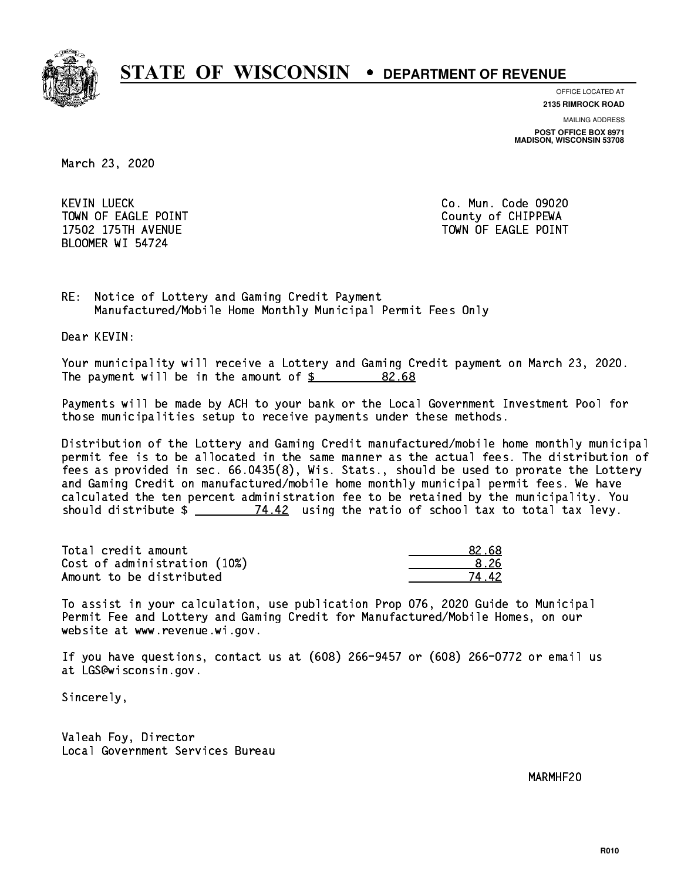

**OFFICE LOCATED AT**

**2135 RIMROCK ROAD**

**MAILING ADDRESS**

**POST OFFICE BOX 8971 MADISON, WISCONSIN 53708**

March 23, 2020

**KEVIN LUECK** TOWN OF EAGLE POINT COUNTS AND TOWN OF CHIPPEWA BLOOMER WI 54724

Co. Mun. Code 09020 17502 175TH AVENUE TOWN OF EAGLE POINT

RE: Notice of Lottery and Gaming Credit Payment Manufactured/Mobile Home Monthly Municipal Permit Fees Only

Dear KEVIN:

 Your municipality will receive a Lottery and Gaming Credit payment on March 23, 2020. The payment will be in the amount of  $\frac{2}{3}$  82.68

 Payments will be made by ACH to your bank or the Local Government Investment Pool for those municipalities setup to receive payments under these methods.

 Distribution of the Lottery and Gaming Credit manufactured/mobile home monthly municipal permit fee is to be allocated in the same manner as the actual fees. The distribution of fees as provided in sec. 66.0435(8), Wis. Stats., should be used to prorate the Lottery and Gaming Credit on manufactured/mobile home monthly municipal permit fees. We have calculated the ten percent administration fee to be retained by the municipality. You should distribute  $\frac{2}{2}$   $\frac{74.42}{2}$  using the ratio of school tax to total tax levy.

Total credit amount and the set of the set of the set of the set of the set of the set of the set of the set o  $Cost of administration (10%) \t\t\t\t\t\t\t\t\t\t\t\t\t\t\t\t\t\t\t\t\t\t 8.26$ Amount to be distributed

74.42

 To assist in your calculation, use publication Prop 076, 2020 Guide to Municipal Permit Fee and Lottery and Gaming Credit for Manufactured/Mobile Homes, on our website at www.revenue.wi.gov.

 If you have questions, contact us at (608) 266-9457 or (608) 266-0772 or email us at LGS@wisconsin.gov.

Sincerely,

 Valeah Foy, Director Local Government Services Bureau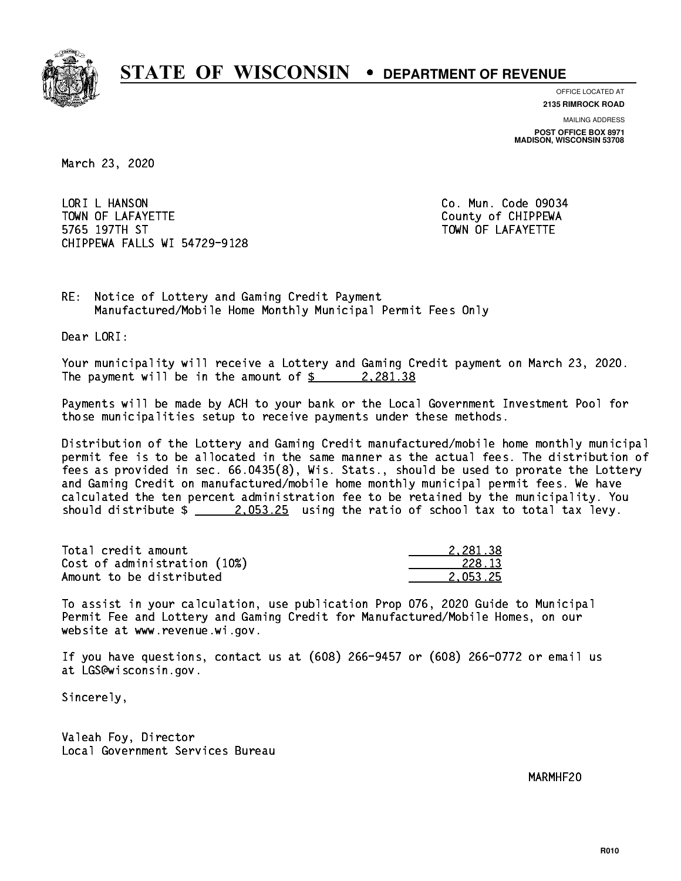

**OFFICE LOCATED AT**

**2135 RIMROCK ROAD**

**MAILING ADDRESS POST OFFICE BOX 8971 MADISON, WISCONSIN 53708**

March 23, 2020

LORI L HANSON TOWN OF LAFAYETTE TOWN OF LAFAYETTE 5765 197TH ST TOWN OF LAFAYETTE CHIPPEWA FALLS WI 54729-9128

Co. Mun. Code 09034

RE: Notice of Lottery and Gaming Credit Payment Manufactured/Mobile Home Monthly Municipal Permit Fees Only

Dear LORI:

 Your municipality will receive a Lottery and Gaming Credit payment on March 23, 2020. The payment will be in the amount of  $\frac{2}{3}$  2,281.38

 Payments will be made by ACH to your bank or the Local Government Investment Pool for those municipalities setup to receive payments under these methods.

 Distribution of the Lottery and Gaming Credit manufactured/mobile home monthly municipal permit fee is to be allocated in the same manner as the actual fees. The distribution of fees as provided in sec. 66.0435(8), Wis. Stats., should be used to prorate the Lottery and Gaming Credit on manufactured/mobile home monthly municipal permit fees. We have calculated the ten percent administration fee to be retained by the municipality. You should distribute  $\frac{2.053.25}{2.053.25}$  using the ratio of school tax to total tax levy.

| Total credit amount          | 2.281.38 |
|------------------------------|----------|
| Cost of administration (10%) | 228.13   |
| Amount to be distributed     | 2.053.25 |

 To assist in your calculation, use publication Prop 076, 2020 Guide to Municipal Permit Fee and Lottery and Gaming Credit for Manufactured/Mobile Homes, on our website at www.revenue.wi.gov.

 If you have questions, contact us at (608) 266-9457 or (608) 266-0772 or email us at LGS@wisconsin.gov.

Sincerely,

 Valeah Foy, Director Local Government Services Bureau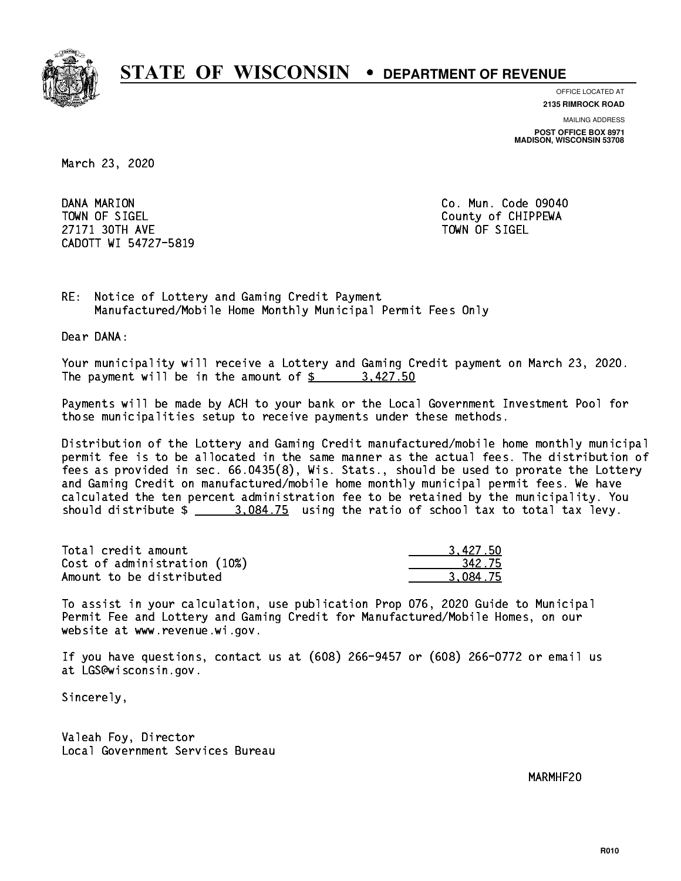

**OFFICE LOCATED AT**

**2135 RIMROCK ROAD**

**MAILING ADDRESS POST OFFICE BOX 8971 MADISON, WISCONSIN 53708**

March 23, 2020

DANA MARION TOWN OF SIGEL County of CHIPPEWA 27171 30TH AVE 27171 30TH AVE CADOTT WI 54727-5819

Co. Mun. Code 09040

RE: Notice of Lottery and Gaming Credit Payment Manufactured/Mobile Home Monthly Municipal Permit Fees Only

Dear DANA:

 Your municipality will receive a Lottery and Gaming Credit payment on March 23, 2020. The payment will be in the amount of \$ 3,427.50 \_\_\_\_\_\_\_\_\_\_\_\_\_\_\_\_

 Payments will be made by ACH to your bank or the Local Government Investment Pool for those municipalities setup to receive payments under these methods.

 Distribution of the Lottery and Gaming Credit manufactured/mobile home monthly municipal permit fee is to be allocated in the same manner as the actual fees. The distribution of fees as provided in sec. 66.0435(8), Wis. Stats., should be used to prorate the Lottery and Gaming Credit on manufactured/mobile home monthly municipal permit fees. We have calculated the ten percent administration fee to be retained by the municipality. You should distribute  $\frac{2}{2}$   $\frac{3.084.75}{2}$  using the ratio of school tax to total tax levy.

| Total credit amount          | 3.427.50 |
|------------------------------|----------|
| Cost of administration (10%) | 342.75   |
| Amount to be distributed     | 3.084.75 |

 To assist in your calculation, use publication Prop 076, 2020 Guide to Municipal Permit Fee and Lottery and Gaming Credit for Manufactured/Mobile Homes, on our website at www.revenue.wi.gov.

 If you have questions, contact us at (608) 266-9457 or (608) 266-0772 or email us at LGS@wisconsin.gov.

Sincerely,

 Valeah Foy, Director Local Government Services Bureau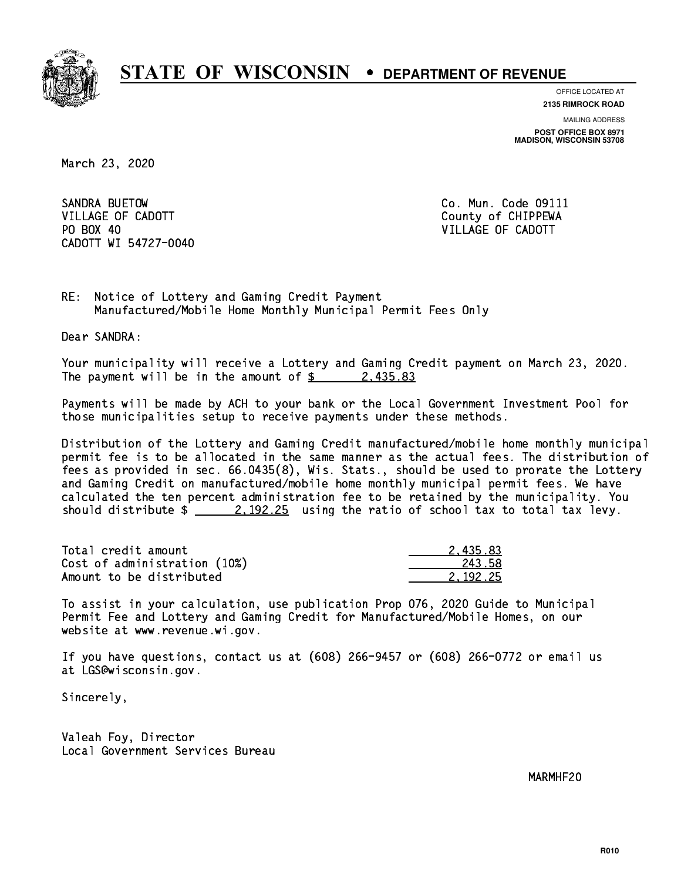

**OFFICE LOCATED AT**

**2135 RIMROCK ROAD**

**MAILING ADDRESS POST OFFICE BOX 8971 MADISON, WISCONSIN 53708**

March 23, 2020

SANDRA BUETOW VILLAGE OF CADOTT COUNTY COUNTY COUNTY OF CHIPPEWA PO BOX 40 CADOTT WI 54727-0040

Co. Mun. Code 09111 VILLAGE OF CADOTT

RE: Notice of Lottery and Gaming Credit Payment Manufactured/Mobile Home Monthly Municipal Permit Fees Only

Dear SANDRA:

 Your municipality will receive a Lottery and Gaming Credit payment on March 23, 2020. The payment will be in the amount of  $\frac{2}{3}$  2,435.83

 Payments will be made by ACH to your bank or the Local Government Investment Pool for those municipalities setup to receive payments under these methods.

 Distribution of the Lottery and Gaming Credit manufactured/mobile home monthly municipal permit fee is to be allocated in the same manner as the actual fees. The distribution of fees as provided in sec. 66.0435(8), Wis. Stats., should be used to prorate the Lottery and Gaming Credit on manufactured/mobile home monthly municipal permit fees. We have calculated the ten percent administration fee to be retained by the municipality. You should distribute  $\frac{2.192.25}{2.25}$  using the ratio of school tax to total tax levy.

| Total credit amount          | 2.435.83 |
|------------------------------|----------|
| Cost of administration (10%) | 243.58   |
| Amount to be distributed     | 2.192.25 |

 To assist in your calculation, use publication Prop 076, 2020 Guide to Municipal Permit Fee and Lottery and Gaming Credit for Manufactured/Mobile Homes, on our website at www.revenue.wi.gov.

 If you have questions, contact us at (608) 266-9457 or (608) 266-0772 or email us at LGS@wisconsin.gov.

Sincerely,

 Valeah Foy, Director Local Government Services Bureau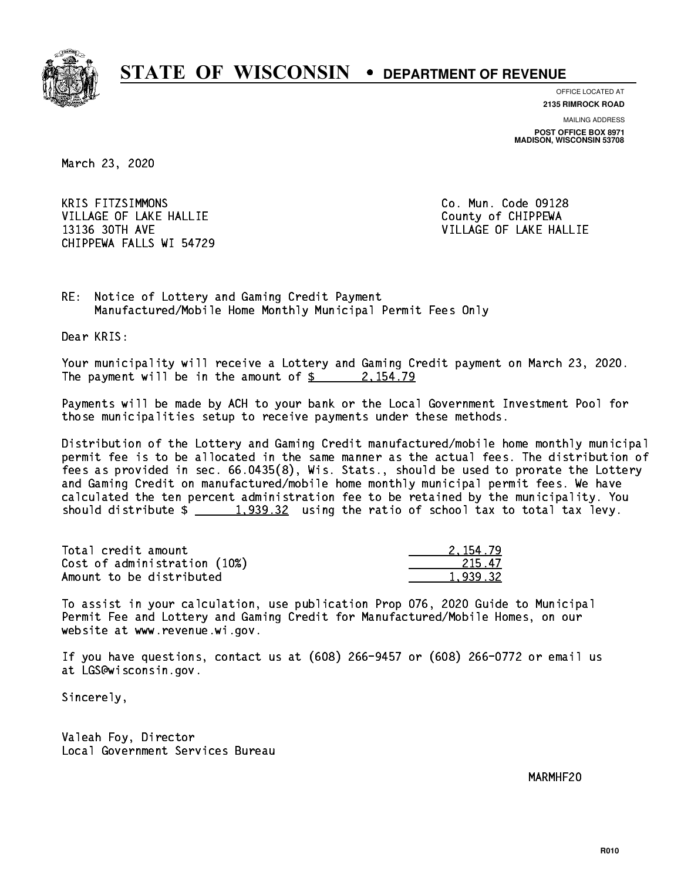

**OFFICE LOCATED AT**

**2135 RIMROCK ROAD**

**MAILING ADDRESS POST OFFICE BOX 8971 MADISON, WISCONSIN 53708**

March 23, 2020

**KRIS FITZSIMMONS** VILLAGE OF LAKE HALLIE COUNTY OF CHIPPEWA 13136 30TH AVE VILLAGE OF LAKE HALLIE CHIPPEWA FALLS WI 54729

Co. Mun. Code 09128

RE: Notice of Lottery and Gaming Credit Payment Manufactured/Mobile Home Monthly Municipal Permit Fees Only

Dear KRIS:

 Your municipality will receive a Lottery and Gaming Credit payment on March 23, 2020. The payment will be in the amount of  $\frac{2}{3}$  2,154.79

 Payments will be made by ACH to your bank or the Local Government Investment Pool for those municipalities setup to receive payments under these methods.

 Distribution of the Lottery and Gaming Credit manufactured/mobile home monthly municipal permit fee is to be allocated in the same manner as the actual fees. The distribution of fees as provided in sec. 66.0435(8), Wis. Stats., should be used to prorate the Lottery and Gaming Credit on manufactured/mobile home monthly municipal permit fees. We have calculated the ten percent administration fee to be retained by the municipality. You should distribute  $\frac{1,939.32}{1,939.32}$  using the ratio of school tax to total tax levy.

| Total credit amount          | 2.154.79 |
|------------------------------|----------|
| Cost of administration (10%) | 215.47   |
| Amount to be distributed     | 1.939.32 |

 To assist in your calculation, use publication Prop 076, 2020 Guide to Municipal Permit Fee and Lottery and Gaming Credit for Manufactured/Mobile Homes, on our website at www.revenue.wi.gov.

 If you have questions, contact us at (608) 266-9457 or (608) 266-0772 or email us at LGS@wisconsin.gov.

Sincerely,

 Valeah Foy, Director Local Government Services Bureau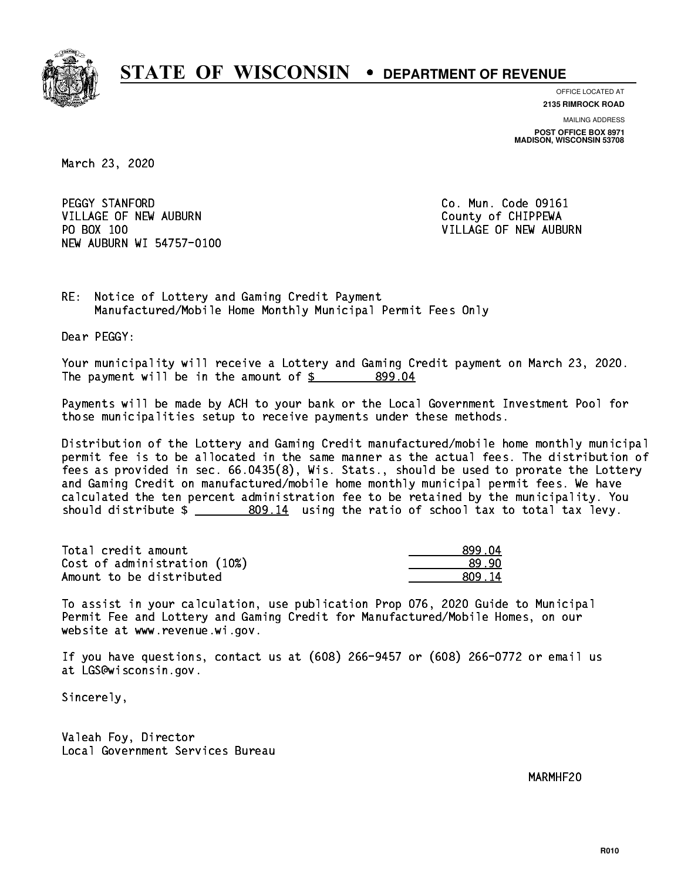

**OFFICE LOCATED AT**

**2135 RIMROCK ROAD**

**MAILING ADDRESS POST OFFICE BOX 8971 MADISON, WISCONSIN 53708**

March 23, 2020

PEGGY STANFORD VILLAGE OF NEW AUBURN COUNTY OF CHIPPEWA PO BOX 100 NEW AUBURN WI 54757-0100

Co. Mun. Code 09161 VILLAGE OF NEW AUBURN

RE: Notice of Lottery and Gaming Credit Payment Manufactured/Mobile Home Monthly Municipal Permit Fees Only

Dear PEGGY:

 Your municipality will receive a Lottery and Gaming Credit payment on March 23, 2020. The payment will be in the amount of \$ 899.04 \_\_\_\_\_\_\_\_\_\_\_\_\_\_\_\_

 Payments will be made by ACH to your bank or the Local Government Investment Pool for those municipalities setup to receive payments under these methods.

 Distribution of the Lottery and Gaming Credit manufactured/mobile home monthly municipal permit fee is to be allocated in the same manner as the actual fees. The distribution of fees as provided in sec. 66.0435(8), Wis. Stats., should be used to prorate the Lottery and Gaming Credit on manufactured/mobile home monthly municipal permit fees. We have calculated the ten percent administration fee to be retained by the municipality. You should distribute  $\frac{2}{2}$   $\frac{809.14}{2}$  using the ratio of school tax to total tax levy.

| Total credit amount          | 899 N4  |
|------------------------------|---------|
| Cost of administration (10%) | .89.90  |
| Amount to be distributed     | .809.14 |

 To assist in your calculation, use publication Prop 076, 2020 Guide to Municipal Permit Fee and Lottery and Gaming Credit for Manufactured/Mobile Homes, on our website at www.revenue.wi.gov.

 If you have questions, contact us at (608) 266-9457 or (608) 266-0772 or email us at LGS@wisconsin.gov.

Sincerely,

 Valeah Foy, Director Local Government Services Bureau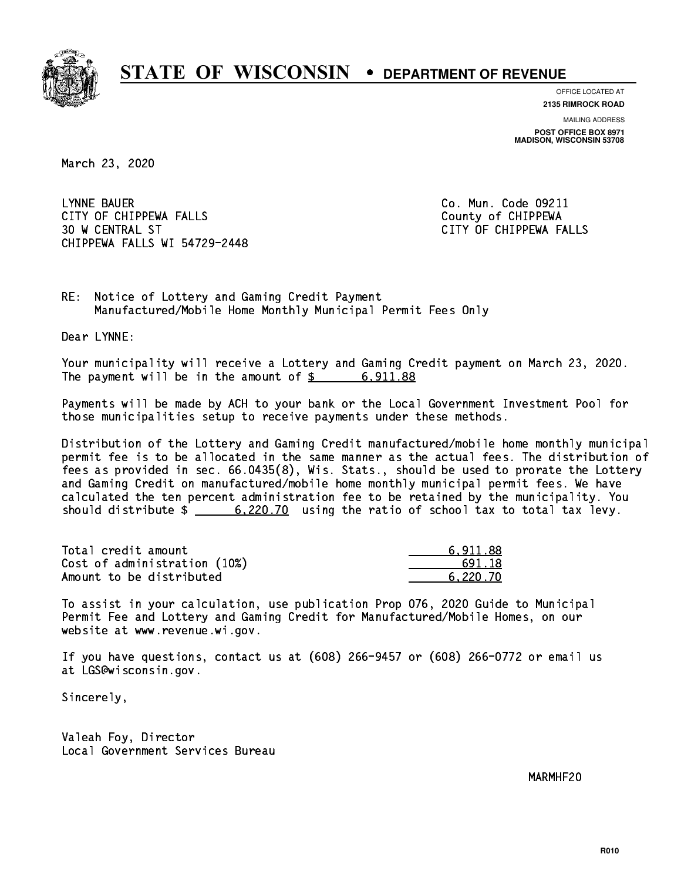

**OFFICE LOCATED AT**

**2135 RIMROCK ROAD**

**MAILING ADDRESS POST OFFICE BOX 8971 MADISON, WISCONSIN 53708**

March 23, 2020

 LYNNE BAUER Co. Mun. Code 09211 CITY OF CHIPPEWA FALLS County of CHIPPEWA 30 W CENTRAL ST CITY OF CHIPPEWA FALLS CHIPPEWA FALLS WI 54729-2448

RE: Notice of Lottery and Gaming Credit Payment Manufactured/Mobile Home Monthly Municipal Permit Fees Only

Dear LYNNE:

 Your municipality will receive a Lottery and Gaming Credit payment on March 23, 2020. The payment will be in the amount of  $\frac{2}{3}$  6,911.88

 Payments will be made by ACH to your bank or the Local Government Investment Pool for those municipalities setup to receive payments under these methods.

 Distribution of the Lottery and Gaming Credit manufactured/mobile home monthly municipal permit fee is to be allocated in the same manner as the actual fees. The distribution of fees as provided in sec. 66.0435(8), Wis. Stats., should be used to prorate the Lottery and Gaming Credit on manufactured/mobile home monthly municipal permit fees. We have calculated the ten percent administration fee to be retained by the municipality. You should distribute  $\frac{20.20}{10}$  using the ratio of school tax to total tax levy.

| Total credit amount          | 6.911.88 |
|------------------------------|----------|
| Cost of administration (10%) | 691.18   |
| Amount to be distributed     | 6.220.70 |

 To assist in your calculation, use publication Prop 076, 2020 Guide to Municipal Permit Fee and Lottery and Gaming Credit for Manufactured/Mobile Homes, on our website at www.revenue.wi.gov.

 If you have questions, contact us at (608) 266-9457 or (608) 266-0772 or email us at LGS@wisconsin.gov.

Sincerely,

 Valeah Foy, Director Local Government Services Bureau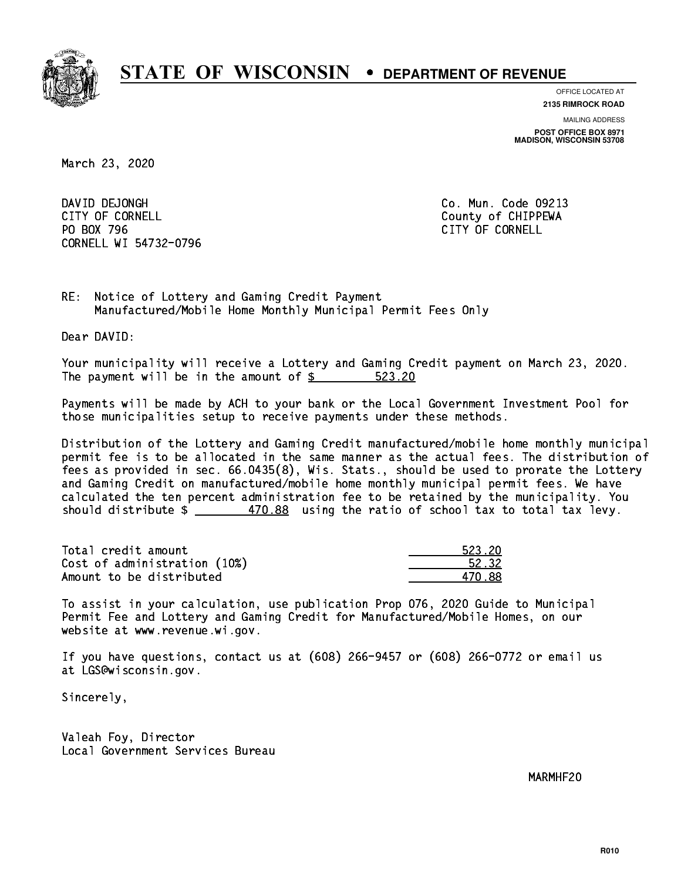

**OFFICE LOCATED AT**

**2135 RIMROCK ROAD**

**MAILING ADDRESS POST OFFICE BOX 8971 MADISON, WISCONSIN 53708**

March 23, 2020

DAVID DEJONGH CITY OF CORNELL CITY OF COUNTLE COUNTRY OF CHIPPEWA PO BOX 796 CITY OF CORNELL CORNELL WI 54732-0796

Co. Mun. Code 09213

RE: Notice of Lottery and Gaming Credit Payment Manufactured/Mobile Home Monthly Municipal Permit Fees Only

Dear DAVID:

 Your municipality will receive a Lottery and Gaming Credit payment on March 23, 2020. The payment will be in the amount of  $\frac{23.20}{20}$ 

 Payments will be made by ACH to your bank or the Local Government Investment Pool for those municipalities setup to receive payments under these methods.

 Distribution of the Lottery and Gaming Credit manufactured/mobile home monthly municipal permit fee is to be allocated in the same manner as the actual fees. The distribution of fees as provided in sec. 66.0435(8), Wis. Stats., should be used to prorate the Lottery and Gaming Credit on manufactured/mobile home monthly municipal permit fees. We have calculated the ten percent administration fee to be retained by the municipality. You should distribute  $\frac{2}{2}$   $\frac{470.88}{2}$  using the ratio of school tax to total tax levy.

| Total credit amount          | 523.20 |
|------------------------------|--------|
| Cost of administration (10%) | 52.32  |
| Amount to be distributed     | 470.88 |

| 523 20 |
|--------|
| 52.32  |
| - 88   |

 To assist in your calculation, use publication Prop 076, 2020 Guide to Municipal Permit Fee and Lottery and Gaming Credit for Manufactured/Mobile Homes, on our website at www.revenue.wi.gov.

 If you have questions, contact us at (608) 266-9457 or (608) 266-0772 or email us at LGS@wisconsin.gov.

Sincerely,

 Valeah Foy, Director Local Government Services Bureau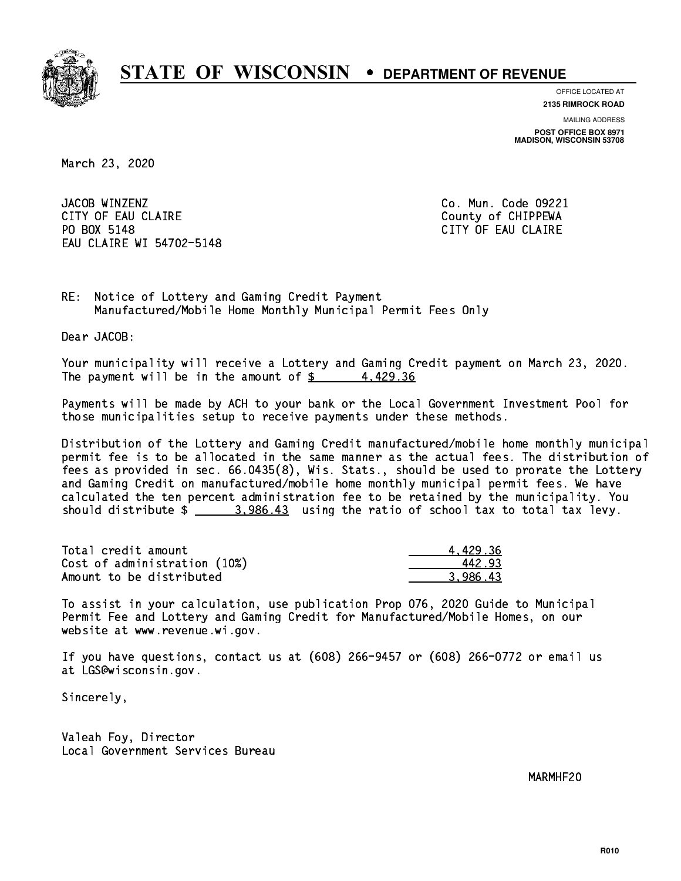

**OFFICE LOCATED AT**

**2135 RIMROCK ROAD**

**MAILING ADDRESS POST OFFICE BOX 8971 MADISON, WISCONSIN 53708**

March 23, 2020

JACOB WINZENZ CITY OF EAU CLAIRE **COUNTY COUNTY OF CHIPPEWA** PO BOX 5148 EAU CLAIRE WI 54702-5148

Co. Mun. Code 09221 CITY OF EAU CLAIRE

RE: Notice of Lottery and Gaming Credit Payment Manufactured/Mobile Home Monthly Municipal Permit Fees Only

Dear JACOB:

 Your municipality will receive a Lottery and Gaming Credit payment on March 23, 2020. The payment will be in the amount of  $\frac{2}{3}$  4,429.36

 Payments will be made by ACH to your bank or the Local Government Investment Pool for those municipalities setup to receive payments under these methods.

 Distribution of the Lottery and Gaming Credit manufactured/mobile home monthly municipal permit fee is to be allocated in the same manner as the actual fees. The distribution of fees as provided in sec. 66.0435(8), Wis. Stats., should be used to prorate the Lottery and Gaming Credit on manufactured/mobile home monthly municipal permit fees. We have calculated the ten percent administration fee to be retained by the municipality. You should distribute  $\frac{2}{2}$   $\frac{3,986.43}{2}$  using the ratio of school tax to total tax levy.

| Total credit amount          | 4.429.36 |
|------------------------------|----------|
| Cost of administration (10%) | 442.93   |
| Amount to be distributed     | 3.986.43 |

 To assist in your calculation, use publication Prop 076, 2020 Guide to Municipal Permit Fee and Lottery and Gaming Credit for Manufactured/Mobile Homes, on our website at www.revenue.wi.gov.

 If you have questions, contact us at (608) 266-9457 or (608) 266-0772 or email us at LGS@wisconsin.gov.

Sincerely,

 Valeah Foy, Director Local Government Services Bureau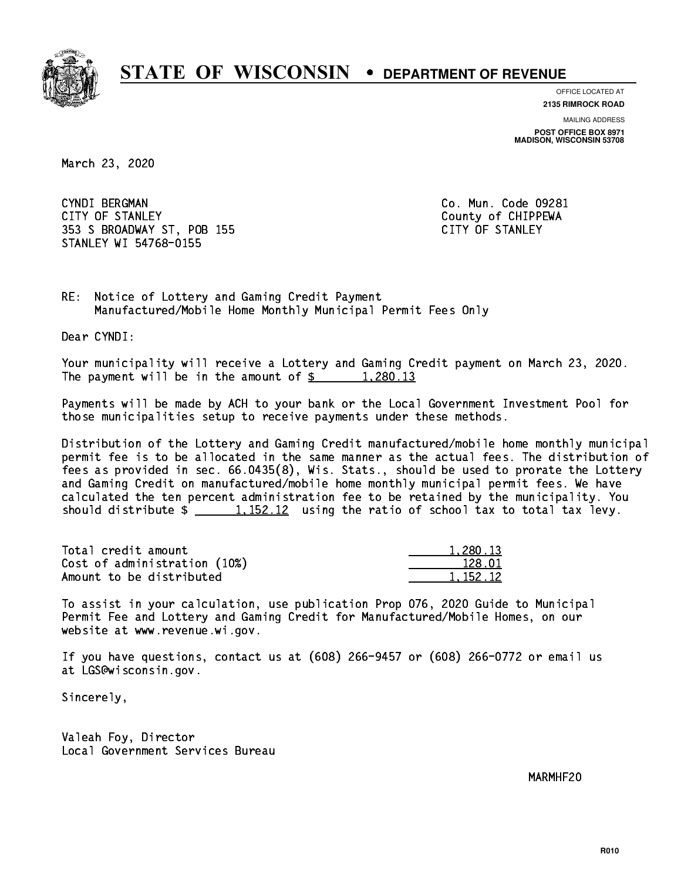

**OFFICE LOCATED AT**

**2135 RIMROCK ROAD**

**MAILING ADDRESS**

**POST OFFICE BOX 8971 MADISON, WISCONSIN 53708**

March 23, 2020

 CYNDI BERGMAN Co. Mun. Code 09281 CITY OF STANLEY **COULD A COULD A COULD COULD COULD** COULD COULD COULD COULD COULD FIND OF CHIPPEWA 353 S BROADWAY ST, POB 155 CITY OF STANLEY STANLEY WI 54768-0155

RE: Notice of Lottery and Gaming Credit Payment Manufactured/Mobile Home Monthly Municipal Permit Fees Only

Dear CYNDI:

 Your municipality will receive a Lottery and Gaming Credit payment on March 23, 2020. The payment will be in the amount of  $\frac{2}{3}$  1,280.13

 Payments will be made by ACH to your bank or the Local Government Investment Pool for those municipalities setup to receive payments under these methods.

 Distribution of the Lottery and Gaming Credit manufactured/mobile home monthly municipal permit fee is to be allocated in the same manner as the actual fees. The distribution of fees as provided in sec. 66.0435(8), Wis. Stats., should be used to prorate the Lottery and Gaming Credit on manufactured/mobile home monthly municipal permit fees. We have calculated the ten percent administration fee to be retained by the municipality. You should distribute  $\frac{1}{2}$   $\frac{1}{152.12}$  using the ratio of school tax to total tax levy.

| Total credit amount          | 1,280.13 |
|------------------------------|----------|
| Cost of administration (10%) | 128.01   |
| Amount to be distributed     | 1.152.12 |

| ,13    |
|--------|
| 128 N1 |
| 152.12 |

 To assist in your calculation, use publication Prop 076, 2020 Guide to Municipal Permit Fee and Lottery and Gaming Credit for Manufactured/Mobile Homes, on our website at www.revenue.wi.gov.

 If you have questions, contact us at (608) 266-9457 or (608) 266-0772 or email us at LGS@wisconsin.gov.

Sincerely,

 Valeah Foy, Director Local Government Services Bureau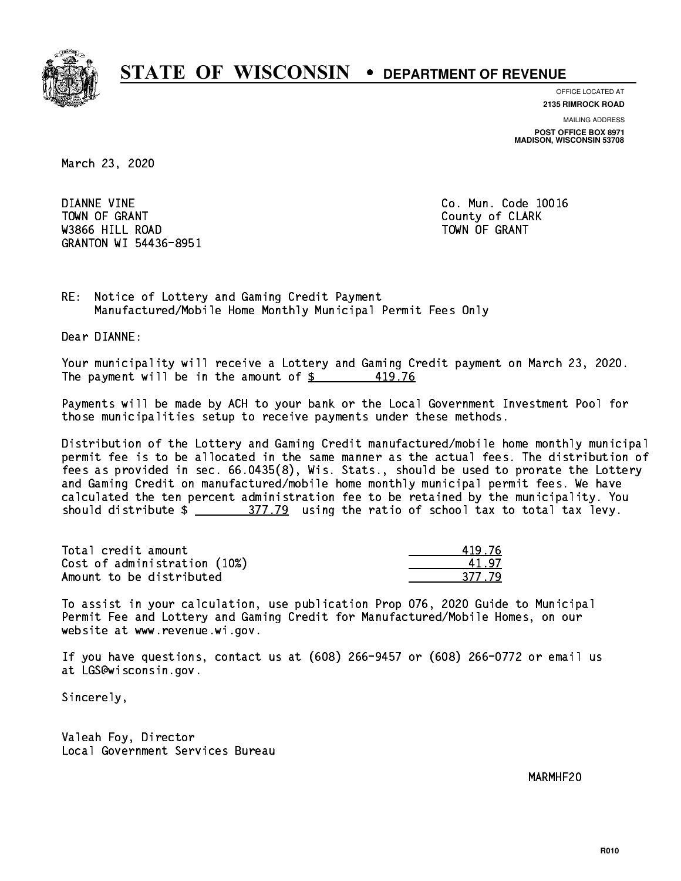

**OFFICE LOCATED AT**

**2135 RIMROCK ROAD**

**MAILING ADDRESS POST OFFICE BOX 8971 MADISON, WISCONSIN 53708**

March 23, 2020

 DIANNE VINE Co. Mun. Code 10016 TOWN OF GRANT COUNTY OF CLARK was a contract of the contract of the contract of the contract of the contract of the contract of the contract of the contract of the contract of the contract of the contract of the contract of the contract of the contract GRANTON WI 54436-8951

RE: Notice of Lottery and Gaming Credit Payment Manufactured/Mobile Home Monthly Municipal Permit Fees Only

Dear DIANNE:

 Your municipality will receive a Lottery and Gaming Credit payment on March 23, 2020. The payment will be in the amount of  $\frac{2}{3}$ 419.76

 Payments will be made by ACH to your bank or the Local Government Investment Pool for those municipalities setup to receive payments under these methods.

 Distribution of the Lottery and Gaming Credit manufactured/mobile home monthly municipal permit fee is to be allocated in the same manner as the actual fees. The distribution of fees as provided in sec. 66.0435(8), Wis. Stats., should be used to prorate the Lottery and Gaming Credit on manufactured/mobile home monthly municipal permit fees. We have calculated the ten percent administration fee to be retained by the municipality. You should distribute  $\frac{277.79}{2}$  using the ratio of school tax to total tax levy.

Total credit amount Cost of administration (10%) Amount to be distributed

| ⊑76 |
|-----|
| 47  |
| 7y  |

 To assist in your calculation, use publication Prop 076, 2020 Guide to Municipal Permit Fee and Lottery and Gaming Credit for Manufactured/Mobile Homes, on our website at www.revenue.wi.gov.

 If you have questions, contact us at (608) 266-9457 or (608) 266-0772 or email us at LGS@wisconsin.gov.

Sincerely,

 Valeah Foy, Director Local Government Services Bureau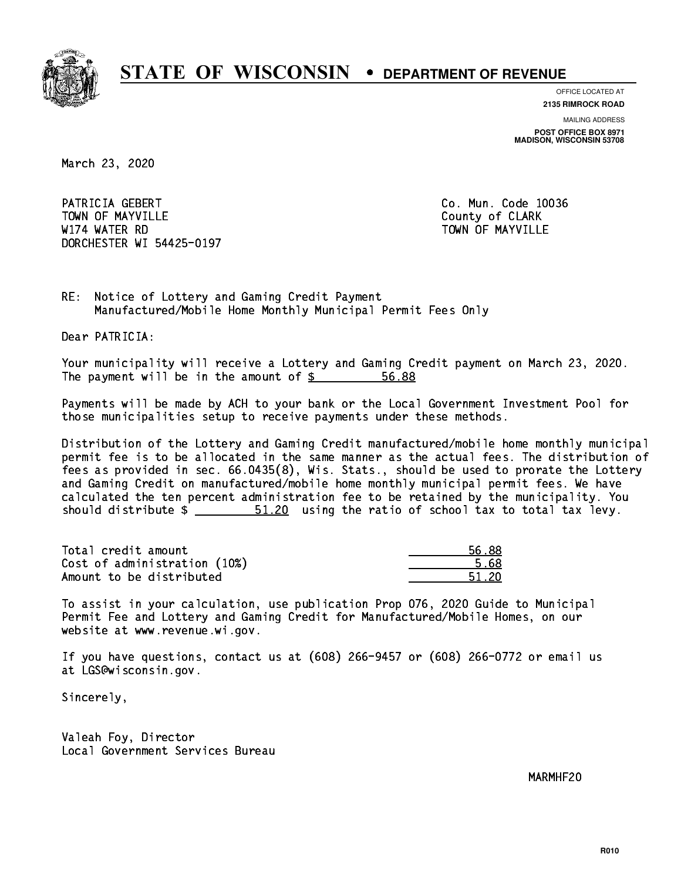

**OFFICE LOCATED AT**

**2135 RIMROCK ROAD**

**MAILING ADDRESS POST OFFICE BOX 8971 MADISON, WISCONSIN 53708**

March 23, 2020

PATRICIA GEBERT CO. Mun. Code 10036 Town of May 1988, and the County of Clark of Clark of Clark of Clark of Clark of Clark of Clark of Clark of Cl W174 WATER RD TOWN OF MAYVILLE DORCHESTER WI 54425-0197

RE: Notice of Lottery and Gaming Credit Payment Manufactured/Mobile Home Monthly Municipal Permit Fees Only

Dear PATRICIA:

 Your municipality will receive a Lottery and Gaming Credit payment on March 23, 2020. The payment will be in the amount of  $\frac{2}{3}$ 56.88

 Payments will be made by ACH to your bank or the Local Government Investment Pool for those municipalities setup to receive payments under these methods.

 Distribution of the Lottery and Gaming Credit manufactured/mobile home monthly municipal permit fee is to be allocated in the same manner as the actual fees. The distribution of fees as provided in sec. 66.0435(8), Wis. Stats., should be used to prorate the Lottery and Gaming Credit on manufactured/mobile home monthly municipal permit fees. We have calculated the ten percent administration fee to be retained by the municipality. You should distribute  $\frac{20}{1.20}$  using the ratio of school tax to total tax levy.

Total credit amount Cost of administration (10%) Amount to be distributed

| $\mathcal{L}$  |
|----------------|
| Б.<br>69<br>IJ |
| - 20<br>- 1    |

 To assist in your calculation, use publication Prop 076, 2020 Guide to Municipal Permit Fee and Lottery and Gaming Credit for Manufactured/Mobile Homes, on our website at www.revenue.wi.gov.

 If you have questions, contact us at (608) 266-9457 or (608) 266-0772 or email us at LGS@wisconsin.gov.

Sincerely,

 Valeah Foy, Director Local Government Services Bureau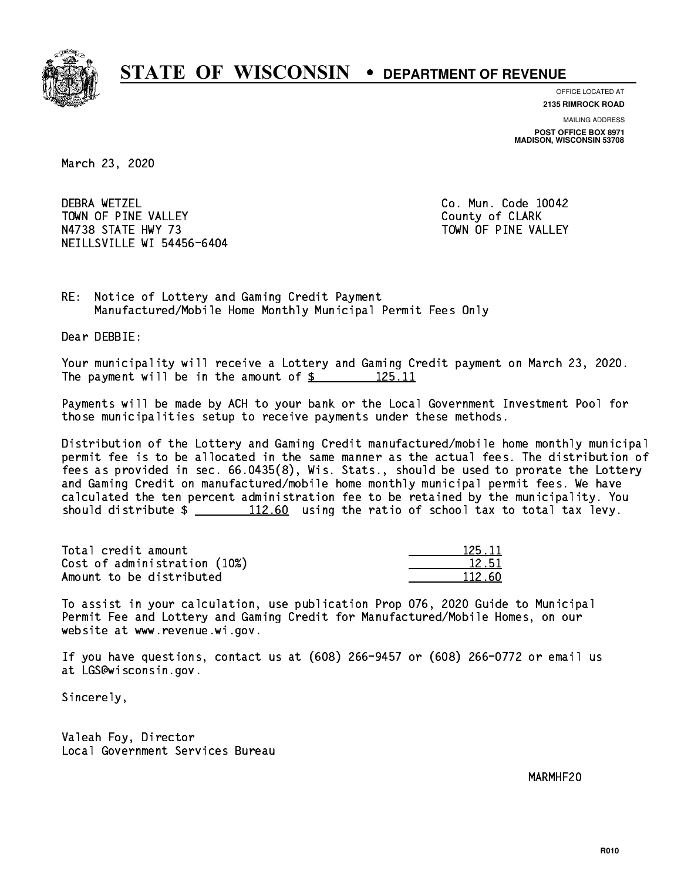

**OFFICE LOCATED AT**

**2135 RIMROCK ROAD**

**MAILING ADDRESS POST OFFICE BOX 8971 MADISON, WISCONSIN 53708**

March 23, 2020

**DEBRA WETZEL** TOWN OF PINE VALLEY **COUNTY COULD A TOWAL COULD A COULD A** COUNTY OF CLARK N4738 STATE HWY 73 TOWN OF PINE VALLEY NEILLSVILLE WI 54456-6404

Co. Mun. Code 10042

RE: Notice of Lottery and Gaming Credit Payment Manufactured/Mobile Home Monthly Municipal Permit Fees Only

Dear DEBBIE:

 Your municipality will receive a Lottery and Gaming Credit payment on March 23, 2020. The payment will be in the amount of  $\frac{25}{125.11}$ 

 Payments will be made by ACH to your bank or the Local Government Investment Pool for those municipalities setup to receive payments under these methods.

 Distribution of the Lottery and Gaming Credit manufactured/mobile home monthly municipal permit fee is to be allocated in the same manner as the actual fees. The distribution of fees as provided in sec. 66.0435(8), Wis. Stats., should be used to prorate the Lottery and Gaming Credit on manufactured/mobile home monthly municipal permit fees. We have calculated the ten percent administration fee to be retained by the municipality. You should distribute  $\frac{112.60}{12.60}$  using the ratio of school tax to total tax levy.

Total credit amount Cost of administration (10%) Amount to be distributed

| 5 11   |
|--------|
| 12.51  |
| 112 AN |

 To assist in your calculation, use publication Prop 076, 2020 Guide to Municipal Permit Fee and Lottery and Gaming Credit for Manufactured/Mobile Homes, on our website at www.revenue.wi.gov.

 If you have questions, contact us at (608) 266-9457 or (608) 266-0772 or email us at LGS@wisconsin.gov.

Sincerely,

 Valeah Foy, Director Local Government Services Bureau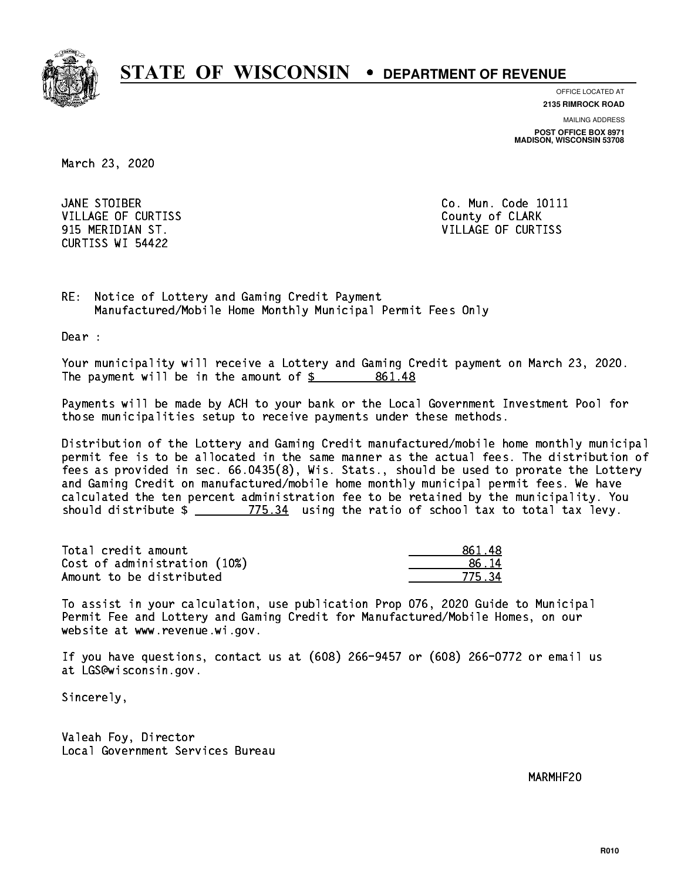

**OFFICE LOCATED AT**

**2135 RIMROCK ROAD**

**MAILING ADDRESS POST OFFICE BOX 8971 MADISON, WISCONSIN 53708**

March 23, 2020

JANE STOIBER VILLAGE OF CURTISS **County of CLARK** CURTISS WI 54422

Co. Mun. Code 10111 915 MERIDIAN ST. VILLAGE OF CURTISS

RE: Notice of Lottery and Gaming Credit Payment Manufactured/Mobile Home Monthly Municipal Permit Fees Only

Dear :

 Your municipality will receive a Lottery and Gaming Credit payment on March 23, 2020. The payment will be in the amount of  $\frac{2}{3}$  861.48

 Payments will be made by ACH to your bank or the Local Government Investment Pool for those municipalities setup to receive payments under these methods.

 Distribution of the Lottery and Gaming Credit manufactured/mobile home monthly municipal permit fee is to be allocated in the same manner as the actual fees. The distribution of fees as provided in sec. 66.0435(8), Wis. Stats., should be used to prorate the Lottery and Gaming Credit on manufactured/mobile home monthly municipal permit fees. We have calculated the ten percent administration fee to be retained by the municipality. You should distribute  $\frac{2}{2}$   $\frac{775.34}{2}$  using the ratio of school tax to total tax levy.

| Total credit amount          | -861.48 |
|------------------------------|---------|
| Cost of administration (10%) | 86 14   |
| Amount to be distributed     | 77534   |

 To assist in your calculation, use publication Prop 076, 2020 Guide to Municipal Permit Fee and Lottery and Gaming Credit for Manufactured/Mobile Homes, on our website at www.revenue.wi.gov.

 If you have questions, contact us at (608) 266-9457 or (608) 266-0772 or email us at LGS@wisconsin.gov.

Sincerely,

 Valeah Foy, Director Local Government Services Bureau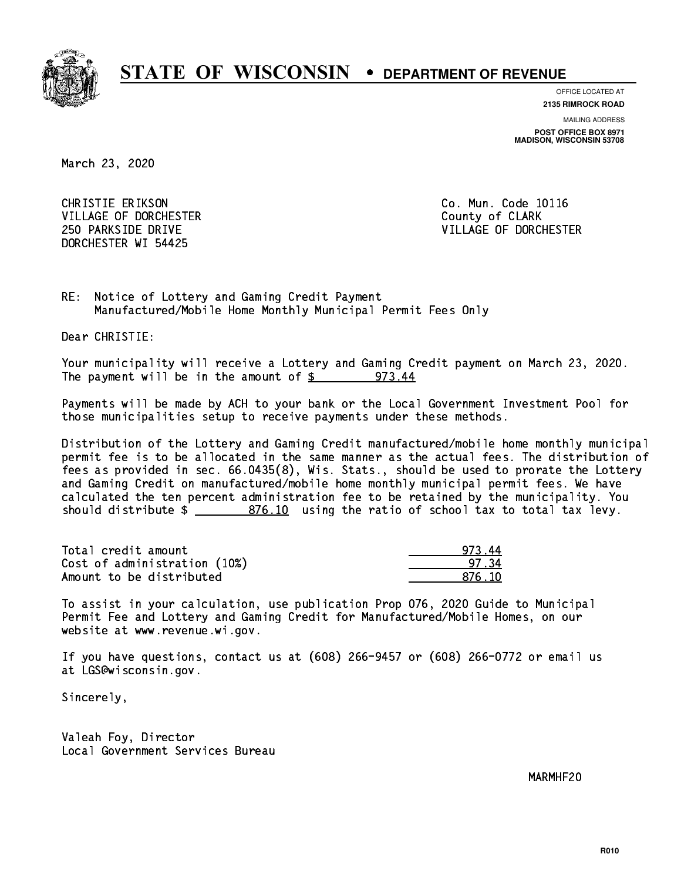

**OFFICE LOCATED AT**

**2135 RIMROCK ROAD**

**MAILING ADDRESS POST OFFICE BOX 8971 MADISON, WISCONSIN 53708**

March 23, 2020

 CHRISTIE ERIKSON Co. Mun. Code 10116 VILLAGE OF DORCHESTER **COULD ACCEPT OF CLARK** DORCHESTER WI 54425

250 PARKSIDE DRIVE VILLAGE OF DORCHESTER

RE: Notice of Lottery and Gaming Credit Payment Manufactured/Mobile Home Monthly Municipal Permit Fees Only

Dear CHRISTIE:

 Your municipality will receive a Lottery and Gaming Credit payment on March 23, 2020. The payment will be in the amount of  $$ 973.44$ 

 Payments will be made by ACH to your bank or the Local Government Investment Pool for those municipalities setup to receive payments under these methods.

 Distribution of the Lottery and Gaming Credit manufactured/mobile home monthly municipal permit fee is to be allocated in the same manner as the actual fees. The distribution of fees as provided in sec. 66.0435(8), Wis. Stats., should be used to prorate the Lottery and Gaming Credit on manufactured/mobile home monthly municipal permit fees. We have calculated the ten percent administration fee to be retained by the municipality. You should distribute  $\frac{2}{2}$   $\frac{876.10}{2}$  using the ratio of school tax to total tax levy.

Total credit amount Cost of administration (10%) Amount to be distributed

| Δ<br>97R.    |
|--------------|
| 17. 34       |
| ና 1በ<br>87 I |

 To assist in your calculation, use publication Prop 076, 2020 Guide to Municipal Permit Fee and Lottery and Gaming Credit for Manufactured/Mobile Homes, on our website at www.revenue.wi.gov.

 If you have questions, contact us at (608) 266-9457 or (608) 266-0772 or email us at LGS@wisconsin.gov.

Sincerely,

 Valeah Foy, Director Local Government Services Bureau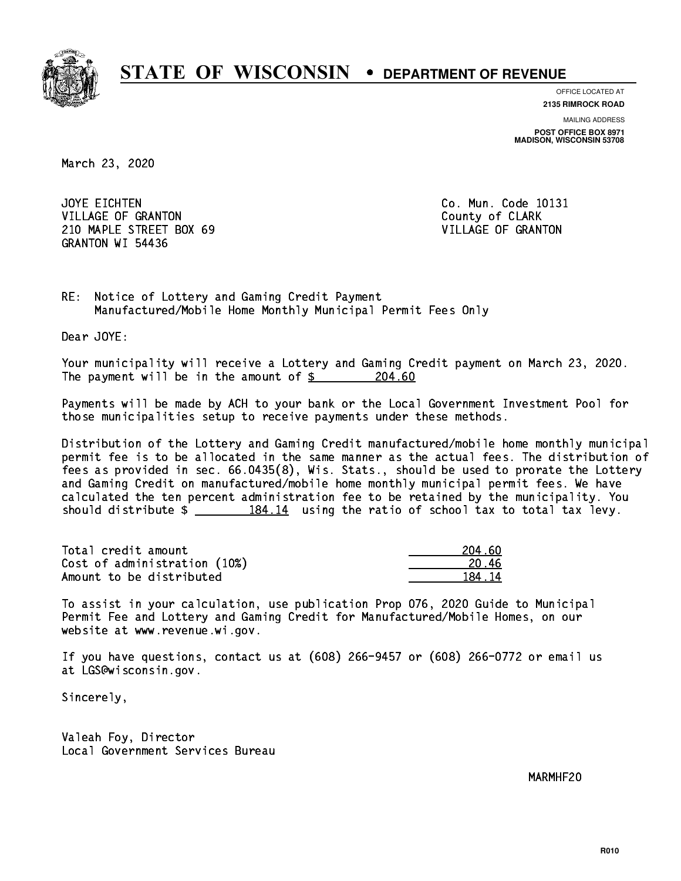

**OFFICE LOCATED AT**

**2135 RIMROCK ROAD**

**MAILING ADDRESS POST OFFICE BOX 8971 MADISON, WISCONSIN 53708**

March 23, 2020

JOYE EICHTEN VILLAGE OF GRANTON COUNTY OF CLARK 210 MAPLE STREET BOX 69 VILLAGE OF GRANTON GRANTON WI 54436

Co. Mun. Code 10131

RE: Notice of Lottery and Gaming Credit Payment Manufactured/Mobile Home Monthly Municipal Permit Fees Only

Dear JOYE:

 Your municipality will receive a Lottery and Gaming Credit payment on March 23, 2020. The payment will be in the amount of  $\frac{204.60}{204.60}$ 

 Payments will be made by ACH to your bank or the Local Government Investment Pool for those municipalities setup to receive payments under these methods.

 Distribution of the Lottery and Gaming Credit manufactured/mobile home monthly municipal permit fee is to be allocated in the same manner as the actual fees. The distribution of fees as provided in sec. 66.0435(8), Wis. Stats., should be used to prorate the Lottery and Gaming Credit on manufactured/mobile home monthly municipal permit fees. We have calculated the ten percent administration fee to be retained by the municipality. You should distribute  $\frac{2}{2}$   $\frac{184.14}{2}$  using the ratio of school tax to total tax levy.

Total credit amount Cost of administration (10%) Amount to be distributed

| 1 AN<br>2       |
|-----------------|
| ^6 -<br>20 I    |
| 14<br>1 '<br>п. |

 To assist in your calculation, use publication Prop 076, 2020 Guide to Municipal Permit Fee and Lottery and Gaming Credit for Manufactured/Mobile Homes, on our website at www.revenue.wi.gov.

 If you have questions, contact us at (608) 266-9457 or (608) 266-0772 or email us at LGS@wisconsin.gov.

Sincerely,

 Valeah Foy, Director Local Government Services Bureau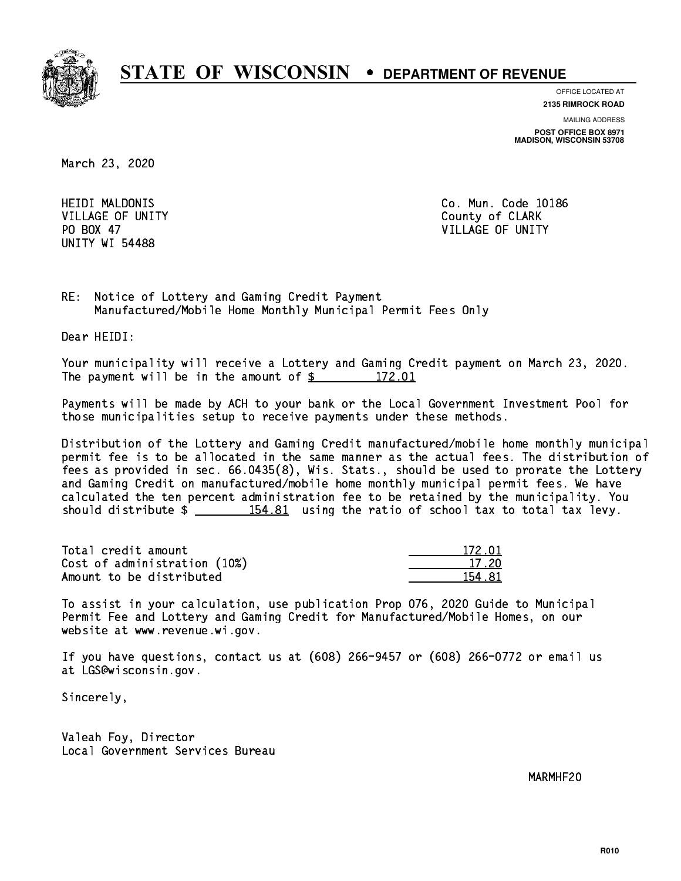

**OFFICE LOCATED AT**

**2135 RIMROCK ROAD**

**MAILING ADDRESS POST OFFICE BOX 8971 MADISON, WISCONSIN 53708**

March 23, 2020

**HEIDI MALDONIS** PO BOX 47 UNITY WI 54488

Co. Mun. Code 10186 VILLAGE OF UNITY County of CLARK PO BOX 47 VILLAGE OF UNITY

RE: Notice of Lottery and Gaming Credit Payment Manufactured/Mobile Home Monthly Municipal Permit Fees Only

Dear HEIDI:

 Your municipality will receive a Lottery and Gaming Credit payment on March 23, 2020. The payment will be in the amount of  $\frac{2}{3}$  172.01

 Payments will be made by ACH to your bank or the Local Government Investment Pool for those municipalities setup to receive payments under these methods.

 Distribution of the Lottery and Gaming Credit manufactured/mobile home monthly municipal permit fee is to be allocated in the same manner as the actual fees. The distribution of fees as provided in sec. 66.0435(8), Wis. Stats., should be used to prorate the Lottery and Gaming Credit on manufactured/mobile home monthly municipal permit fees. We have calculated the ten percent administration fee to be retained by the municipality. You should distribute  $\frac{154.81}{154.81}$  using the ratio of school tax to total tax levy.

Total credit amount Cost of administration (10%) Amount to be distributed

| 172 N1    |
|-----------|
| 17 20     |
| п.<br>R 1 |

 To assist in your calculation, use publication Prop 076, 2020 Guide to Municipal Permit Fee and Lottery and Gaming Credit for Manufactured/Mobile Homes, on our website at www.revenue.wi.gov.

 If you have questions, contact us at (608) 266-9457 or (608) 266-0772 or email us at LGS@wisconsin.gov.

Sincerely,

 Valeah Foy, Director Local Government Services Bureau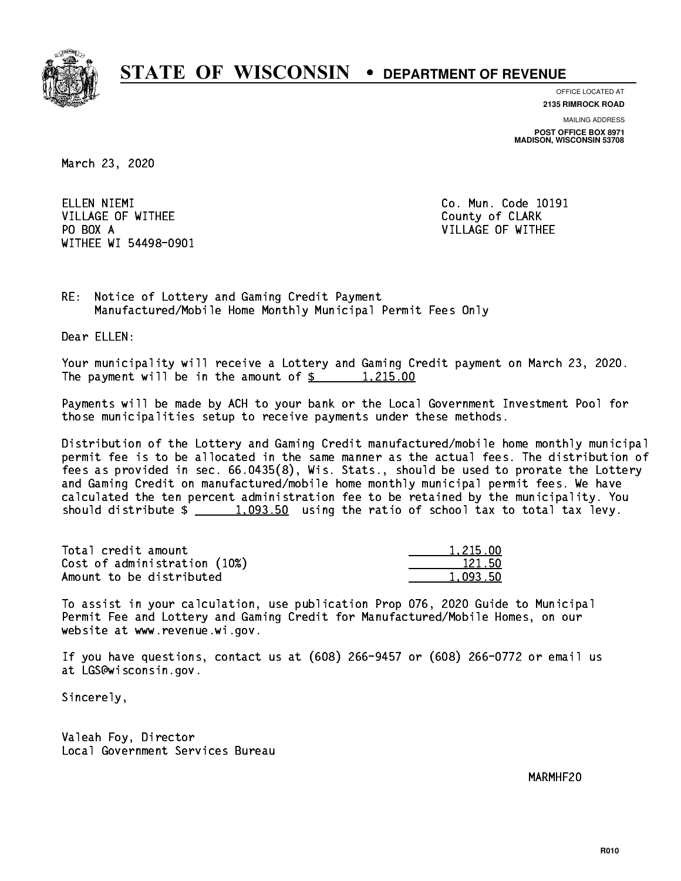

**OFFICE LOCATED AT**

**2135 RIMROCK ROAD**

**MAILING ADDRESS POST OFFICE BOX 8971 MADISON, WISCONSIN 53708**

March 23, 2020

ELLEN NIEMI VILLAGE OF WITHEE **COUNTY OF SEARCH COULD A** COUNTY OF CLARK PO BOX A WITHEE WI 54498-0901

Co. Mun. Code 10191 VILLAGE OF WITHEE

RE: Notice of Lottery and Gaming Credit Payment Manufactured/Mobile Home Monthly Municipal Permit Fees Only

Dear ELLEN:

 Your municipality will receive a Lottery and Gaming Credit payment on March 23, 2020. The payment will be in the amount of  $\frac{2}{3}$  1,215.00

 Payments will be made by ACH to your bank or the Local Government Investment Pool for those municipalities setup to receive payments under these methods.

 Distribution of the Lottery and Gaming Credit manufactured/mobile home monthly municipal permit fee is to be allocated in the same manner as the actual fees. The distribution of fees as provided in sec. 66.0435(8), Wis. Stats., should be used to prorate the Lottery and Gaming Credit on manufactured/mobile home monthly municipal permit fees. We have calculated the ten percent administration fee to be retained by the municipality. You should distribute  $\frac{1,093.50}{1,093.50}$  using the ratio of school tax to total tax levy.

| Total credit amount          | 1.215.00 |
|------------------------------|----------|
| Cost of administration (10%) | 121.50   |
| Amount to be distributed     | 1.093.50 |

 To assist in your calculation, use publication Prop 076, 2020 Guide to Municipal Permit Fee and Lottery and Gaming Credit for Manufactured/Mobile Homes, on our website at www.revenue.wi.gov.

 If you have questions, contact us at (608) 266-9457 or (608) 266-0772 or email us at LGS@wisconsin.gov.

Sincerely,

 Valeah Foy, Director Local Government Services Bureau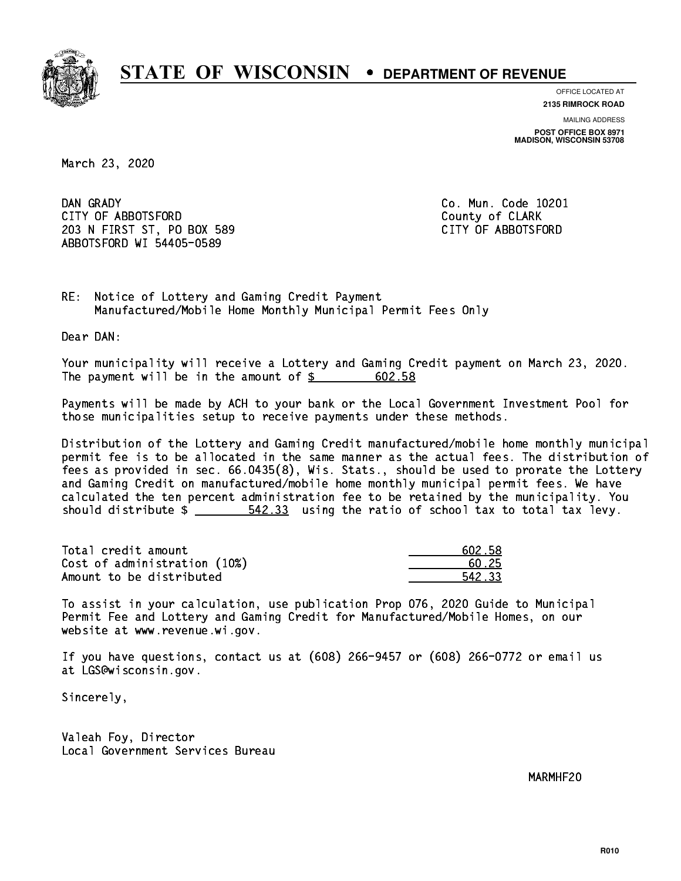

**OFFICE LOCATED AT**

**2135 RIMROCK ROAD**

**MAILING ADDRESS POST OFFICE BOX 8971 MADISON, WISCONSIN 53708**

March 23, 2020

DAN GRADY CITY OF ABBOTSFORD County of CLARK 203 N FIRST ST, PO BOX 589 CITY OF ABBOTSFORD ABBOTSFORD WI 54405-0589

Co. Mun. Code 10201

RE: Notice of Lottery and Gaming Credit Payment Manufactured/Mobile Home Monthly Municipal Permit Fees Only

Dear DAN:

 Your municipality will receive a Lottery and Gaming Credit payment on March 23, 2020. The payment will be in the amount of  $\frac{2}{5}$ 602.58

 Payments will be made by ACH to your bank or the Local Government Investment Pool for those municipalities setup to receive payments under these methods.

 Distribution of the Lottery and Gaming Credit manufactured/mobile home monthly municipal permit fee is to be allocated in the same manner as the actual fees. The distribution of fees as provided in sec. 66.0435(8), Wis. Stats., should be used to prorate the Lottery and Gaming Credit on manufactured/mobile home monthly municipal permit fees. We have calculated the ten percent administration fee to be retained by the municipality. You should distribute  $\frac{2}{2}$   $\frac{542.33}{2}$  using the ratio of school tax to total tax levy.

Total credit amount Cost of administration  $(10%)$ Amount to be distributed

| 502.58 |
|--------|
| 125    |
| 1233   |

 To assist in your calculation, use publication Prop 076, 2020 Guide to Municipal Permit Fee and Lottery and Gaming Credit for Manufactured/Mobile Homes, on our website at www.revenue.wi.gov.

 If you have questions, contact us at (608) 266-9457 or (608) 266-0772 or email us at LGS@wisconsin.gov.

Sincerely,

 Valeah Foy, Director Local Government Services Bureau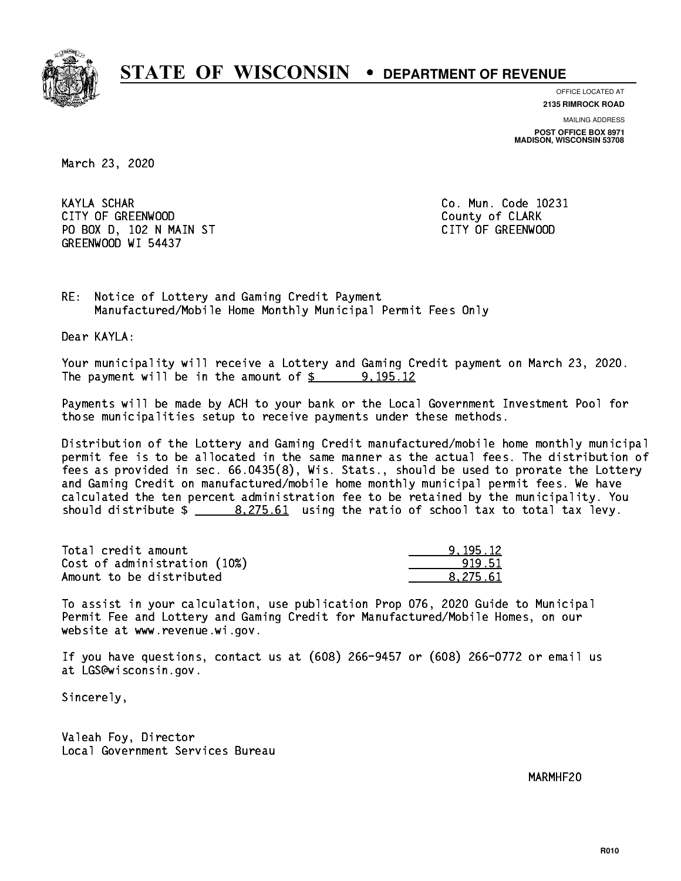

**OFFICE LOCATED AT**

**2135 RIMROCK ROAD**

**MAILING ADDRESS POST OFFICE BOX 8971 MADISON, WISCONSIN 53708**

March 23, 2020

**KAYLA SCHAR** CITY OF GREENWOOD COUNTY OF GREENWOOD PO BOX D, 102 N MAIN ST CITY OF GREENWOOD GREENWOOD WI 54437

Co. Mun. Code 10231

RE: Notice of Lottery and Gaming Credit Payment Manufactured/Mobile Home Monthly Municipal Permit Fees Only

Dear KAYLA:

 Your municipality will receive a Lottery and Gaming Credit payment on March 23, 2020. The payment will be in the amount of  $\frac{2}{3}$  9,195.12

 Payments will be made by ACH to your bank or the Local Government Investment Pool for those municipalities setup to receive payments under these methods.

 Distribution of the Lottery and Gaming Credit manufactured/mobile home monthly municipal permit fee is to be allocated in the same manner as the actual fees. The distribution of fees as provided in sec. 66.0435(8), Wis. Stats., should be used to prorate the Lottery and Gaming Credit on manufactured/mobile home monthly municipal permit fees. We have calculated the ten percent administration fee to be retained by the municipality. You should distribute  $\frac{2.275.61}{2}$  using the ratio of school tax to total tax levy.

| Total credit amount          | 9.195.12 |
|------------------------------|----------|
| Cost of administration (10%) | 919.51   |
| Amount to be distributed     | 8.275.61 |

 To assist in your calculation, use publication Prop 076, 2020 Guide to Municipal Permit Fee and Lottery and Gaming Credit for Manufactured/Mobile Homes, on our website at www.revenue.wi.gov.

 If you have questions, contact us at (608) 266-9457 or (608) 266-0772 or email us at LGS@wisconsin.gov.

Sincerely,

 Valeah Foy, Director Local Government Services Bureau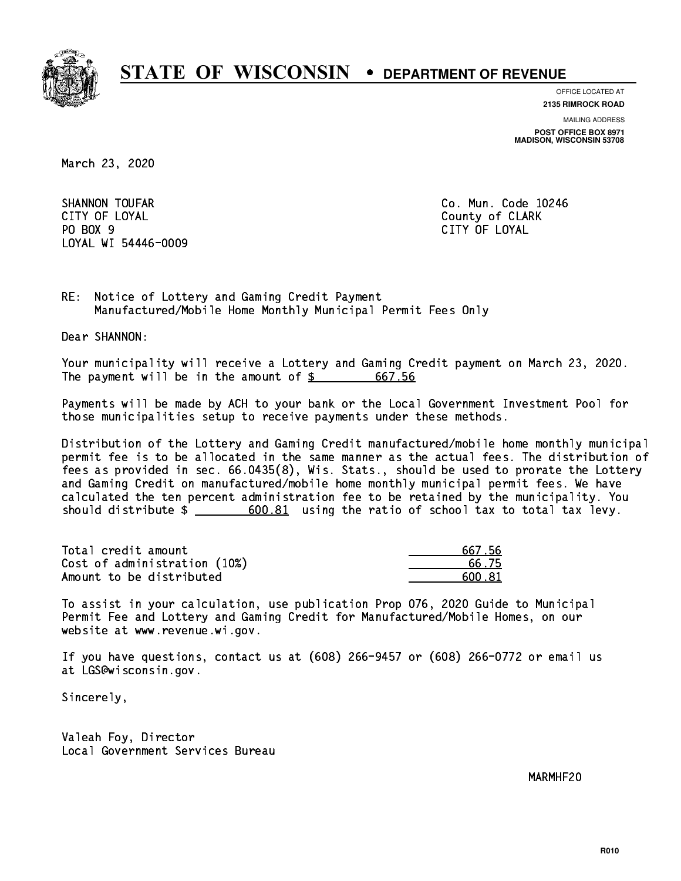

**OFFICE LOCATED AT 2135 RIMROCK ROAD**

**MAILING ADDRESS**

**POST OFFICE BOX 8971 MADISON, WISCONSIN 53708**

March 23, 2020

SHANNON TOUFAR CITY OF LOYAL COUNTY OF LOYAL COUNTY OF COUNTY OF COUNTY OF COUNTY OF COUNTY OF COUNTY OF COUNTY OF COUNTY OF COUNTY OF COUNTY OF COUNTY OF COUNTY OF COUNTY OF COUNTY OF COUNTY OF COUNTY OF COUNTY OF COUNTY OF COUNTY OF CO PO BOX 9 PO BOX 9 CITY OF LOYAL LOYAL WI 54446-0009

Co. Mun. Code 10246 CITY OF LOYAL

RE: Notice of Lottery and Gaming Credit Payment Manufactured/Mobile Home Monthly Municipal Permit Fees Only

Dear SHANNON:

 Your municipality will receive a Lottery and Gaming Credit payment on March 23, 2020. The payment will be in the amount of  $\frac{2}{3}$  667.56

 Payments will be made by ACH to your bank or the Local Government Investment Pool for those municipalities setup to receive payments under these methods.

 Distribution of the Lottery and Gaming Credit manufactured/mobile home monthly municipal permit fee is to be allocated in the same manner as the actual fees. The distribution of fees as provided in sec. 66.0435(8), Wis. Stats., should be used to prorate the Lottery and Gaming Credit on manufactured/mobile home monthly municipal permit fees. We have calculated the ten percent administration fee to be retained by the municipality. You should distribute  $\frac{2}{1}$   $\frac{600.81}{2}$  using the ratio of school tax to total tax levy.

| Total credit amount          | 667.56 |
|------------------------------|--------|
| Cost of administration (10%) | 66.75  |
| Amount to be distributed     | 600.81 |

| 667.56 |
|--------|
| 56.75  |
| IN 81  |

 To assist in your calculation, use publication Prop 076, 2020 Guide to Municipal Permit Fee and Lottery and Gaming Credit for Manufactured/Mobile Homes, on our website at www.revenue.wi.gov.

 If you have questions, contact us at (608) 266-9457 or (608) 266-0772 or email us at LGS@wisconsin.gov.

Sincerely,

 Valeah Foy, Director Local Government Services Bureau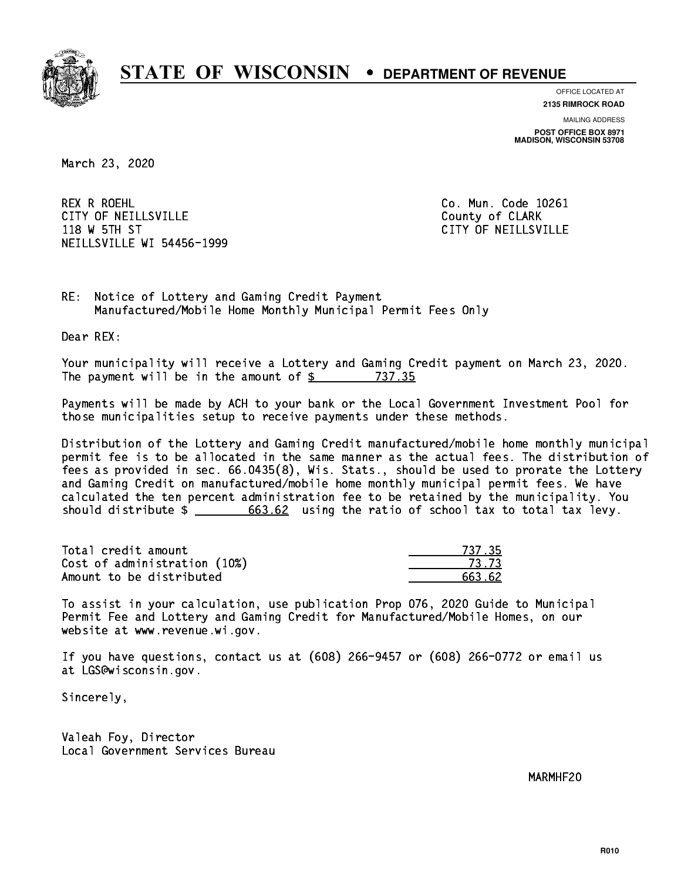

**OFFICE LOCATED AT**

**2135 RIMROCK ROAD**

**MAILING ADDRESS POST OFFICE BOX 8971 MADISON, WISCONSIN 53708**

March 23, 2020

 REX R ROEHL Co. Mun. Code 10261 CITY OF NEILLSVILLE **COUNTY COULD AND COULD COULD COULD** COUNTY OF CLARK 118 W 5TH ST CITY OF NEILLSVILLE NEILLSVILLE WI 54456-1999

RE: Notice of Lottery and Gaming Credit Payment Manufactured/Mobile Home Monthly Municipal Permit Fees Only

Dear REX:

 Your municipality will receive a Lottery and Gaming Credit payment on March 23, 2020. The payment will be in the amount of \$ 737.35 \_\_\_\_\_\_\_\_\_\_\_\_\_\_\_\_

 Payments will be made by ACH to your bank or the Local Government Investment Pool for those municipalities setup to receive payments under these methods.

 Distribution of the Lottery and Gaming Credit manufactured/mobile home monthly municipal permit fee is to be allocated in the same manner as the actual fees. The distribution of fees as provided in sec. 66.0435(8), Wis. Stats., should be used to prorate the Lottery and Gaming Credit on manufactured/mobile home monthly municipal permit fees. We have calculated the ten percent administration fee to be retained by the municipality. You should distribute  $\frac{2}{1-\frac{663.62}{1-\frac{603.62}{1-\frac{603.62}{1-\frac{603.62}{1-\frac{603.62}{1-\frac{603.62}{1-\frac{603.62}{1-\frac{603.62}{1-\frac{603.62}{1-\frac{603.62}{1-\frac{603.62}{1-\frac{603.62}{1-\frac{603.62}{1-\frac{603.62}{1-\frac{603.62}{1-\frac{603.62}{1-\frac{603.62}{1-\frac{603.62$ 

| Total credit amount          | 737.35 |
|------------------------------|--------|
| Cost of administration (10%) | 73.73  |
| Amount to be distributed     | 663.62 |

 To assist in your calculation, use publication Prop 076, 2020 Guide to Municipal Permit Fee and Lottery and Gaming Credit for Manufactured/Mobile Homes, on our website at www.revenue.wi.gov.

 If you have questions, contact us at (608) 266-9457 or (608) 266-0772 or email us at LGS@wisconsin.gov.

Sincerely,

 Valeah Foy, Director Local Government Services Bureau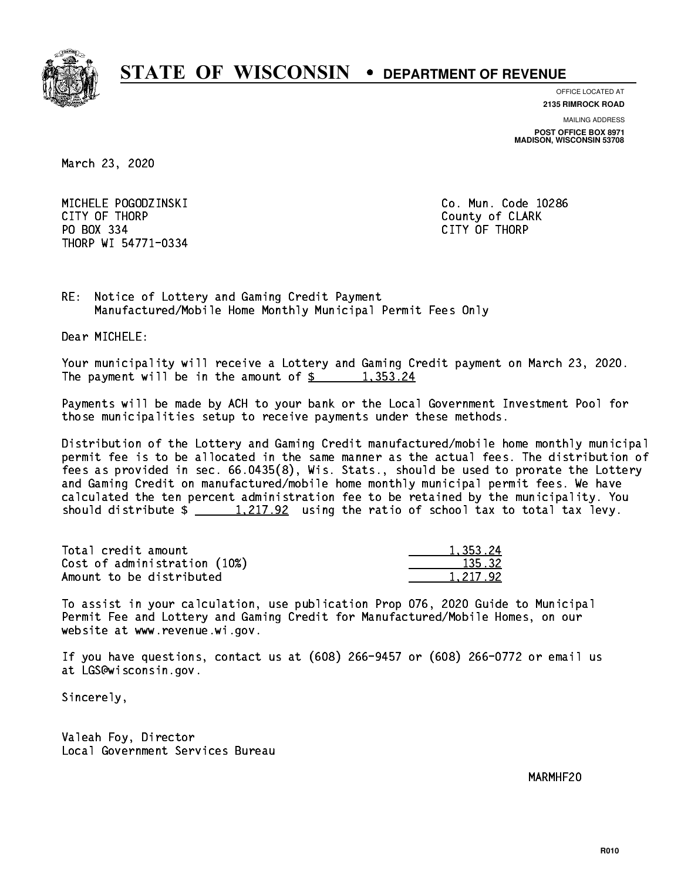

**OFFICE LOCATED AT**

**MAILING ADDRESS 2135 RIMROCK ROAD**

**POST OFFICE BOX 8971 MADISON, WISCONSIN 53708**

March 23, 2020

 MICHELE POGODZINSKI Co. Mun. Code 10286 CITY OF THE CITY OF THE COUNTY OF THE COUNTY OF COUNTY OF COUNTY OF COUNTY OF COUNTY OF COUNTY OF COUNTY OF COUNTY OF COUNTY OF COUNTY OF COUNTY OF COUNTY OF COUNTY OF COUNTY OF COUNTY OF COUNTY OF COUNTY OF COUNTY OF COUN PO BOX 334 PO BOX 334 CITY OF THORP THORP WI 54771-0334

RE: Notice of Lottery and Gaming Credit Payment Manufactured/Mobile Home Monthly Municipal Permit Fees Only

Dear MICHELE:

 Your municipality will receive a Lottery and Gaming Credit payment on March 23, 2020. The payment will be in the amount of  $\frac{2}{3}$  1,353.24

 Payments will be made by ACH to your bank or the Local Government Investment Pool for those municipalities setup to receive payments under these methods.

 Distribution of the Lottery and Gaming Credit manufactured/mobile home monthly municipal permit fee is to be allocated in the same manner as the actual fees. The distribution of fees as provided in sec. 66.0435(8), Wis. Stats., should be used to prorate the Lottery and Gaming Credit on manufactured/mobile home monthly municipal permit fees. We have calculated the ten percent administration fee to be retained by the municipality. You should distribute  $\frac{1,217.92}{1,217.92}$  using the ratio of school tax to total tax levy.

| Total credit amount          | 1.353.24 |
|------------------------------|----------|
| Cost of administration (10%) | 135.32   |
| Amount to be distributed     | 1,217.92 |

 To assist in your calculation, use publication Prop 076, 2020 Guide to Municipal Permit Fee and Lottery and Gaming Credit for Manufactured/Mobile Homes, on our website at www.revenue.wi.gov.

 If you have questions, contact us at (608) 266-9457 or (608) 266-0772 or email us at LGS@wisconsin.gov.

Sincerely,

 Valeah Foy, Director Local Government Services Bureau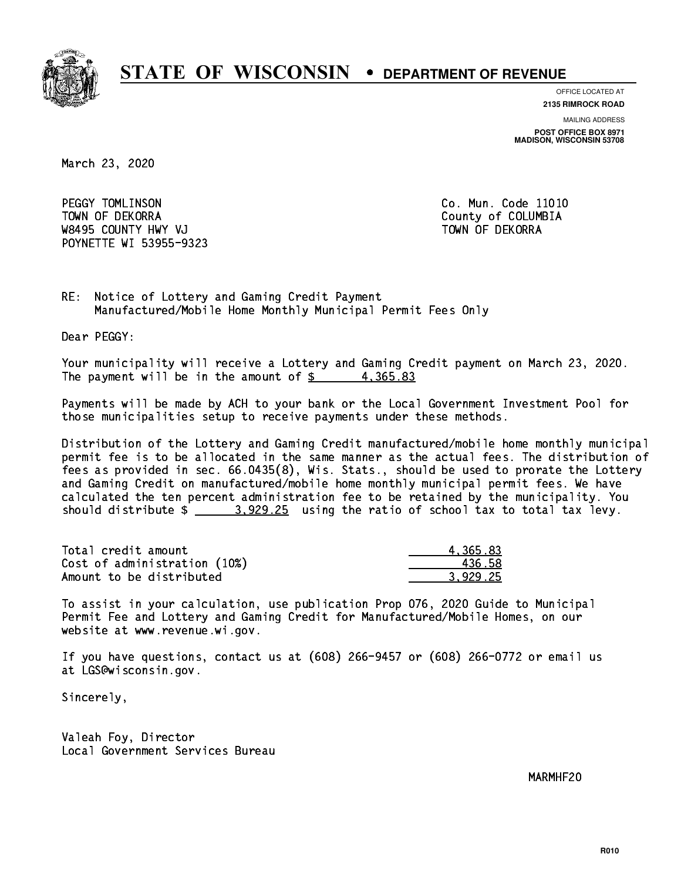

**OFFICE LOCATED AT**

**2135 RIMROCK ROAD**

**MAILING ADDRESS POST OFFICE BOX 8971 MADISON, WISCONSIN 53708**

March 23, 2020

PEGGY TOMLINSON **Co. Mun. Code 11010**  TOWN OF DEKORRA County of COLUMBIA W8495 COUNTY HWY VJ TOWN OF DEKORRA POYNETTE WI 53955-9323

RE: Notice of Lottery and Gaming Credit Payment Manufactured/Mobile Home Monthly Municipal Permit Fees Only

Dear PEGGY:

 Your municipality will receive a Lottery and Gaming Credit payment on March 23, 2020. The payment will be in the amount of  $\frac{2}{3}$  4,365.83

 Payments will be made by ACH to your bank or the Local Government Investment Pool for those municipalities setup to receive payments under these methods.

 Distribution of the Lottery and Gaming Credit manufactured/mobile home monthly municipal permit fee is to be allocated in the same manner as the actual fees. The distribution of fees as provided in sec. 66.0435(8), Wis. Stats., should be used to prorate the Lottery and Gaming Credit on manufactured/mobile home monthly municipal permit fees. We have calculated the ten percent administration fee to be retained by the municipality. You should distribute  $\frac{2}{2}$   $\frac{3.929.25}{2}$  using the ratio of school tax to total tax levy.

| Total credit amount          | 4.365.83 |
|------------------------------|----------|
| Cost of administration (10%) | -436.58  |
| Amount to be distributed     | 3.929.25 |

 To assist in your calculation, use publication Prop 076, 2020 Guide to Municipal Permit Fee and Lottery and Gaming Credit for Manufactured/Mobile Homes, on our website at www.revenue.wi.gov.

 If you have questions, contact us at (608) 266-9457 or (608) 266-0772 or email us at LGS@wisconsin.gov.

Sincerely,

 Valeah Foy, Director Local Government Services Bureau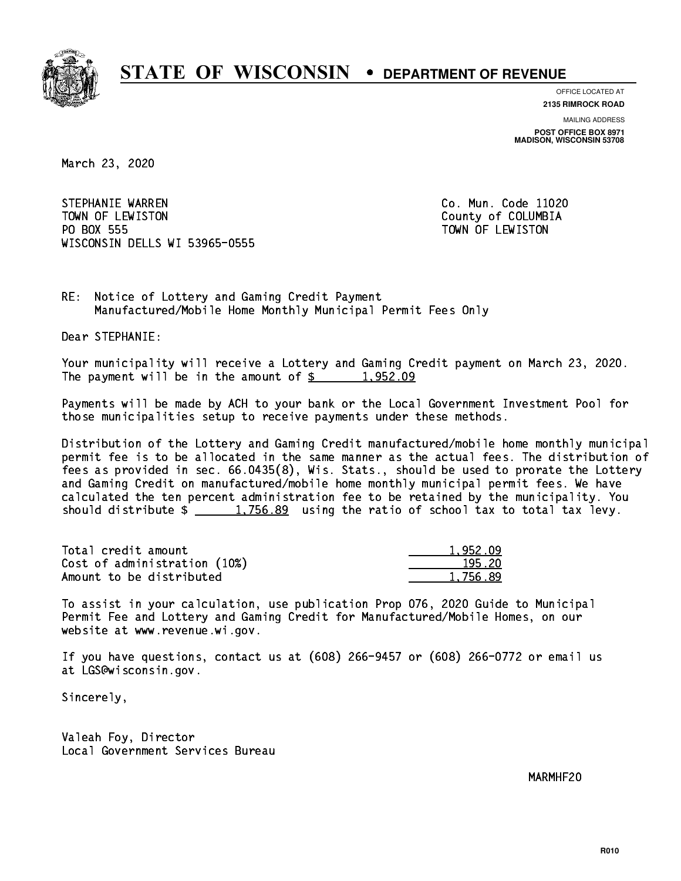

**OFFICE LOCATED AT**

**2135 RIMROCK ROAD**

**MAILING ADDRESS POST OFFICE BOX 8971 MADISON, WISCONSIN 53708**

March 23, 2020

STEPHANIE WARREN CO. Mun. Code 11020 TOWN OF LEWISTON County of COLUMBIA PO BOX 555 PO BOX 555 TOWN OF LEWISTON WISCONSIN DELLS WI 53965-0555

RE: Notice of Lottery and Gaming Credit Payment Manufactured/Mobile Home Monthly Municipal Permit Fees Only

Dear STEPHANIE:

 Your municipality will receive a Lottery and Gaming Credit payment on March 23, 2020. The payment will be in the amount of  $\frac{2}{3}$  1,952.09

 Payments will be made by ACH to your bank or the Local Government Investment Pool for those municipalities setup to receive payments under these methods.

 Distribution of the Lottery and Gaming Credit manufactured/mobile home monthly municipal permit fee is to be allocated in the same manner as the actual fees. The distribution of fees as provided in sec. 66.0435(8), Wis. Stats., should be used to prorate the Lottery and Gaming Credit on manufactured/mobile home monthly municipal permit fees. We have calculated the ten percent administration fee to be retained by the municipality. You should distribute  $\frac{1,756.89}{1,756.89}$  using the ratio of school tax to total tax levy.

| Total credit amount          | 1.952.09 |
|------------------------------|----------|
| Cost of administration (10%) | 195.20   |
| Amount to be distributed     | 1,756.89 |

 To assist in your calculation, use publication Prop 076, 2020 Guide to Municipal Permit Fee and Lottery and Gaming Credit for Manufactured/Mobile Homes, on our website at www.revenue.wi.gov.

 If you have questions, contact us at (608) 266-9457 or (608) 266-0772 or email us at LGS@wisconsin.gov.

Sincerely,

 Valeah Foy, Director Local Government Services Bureau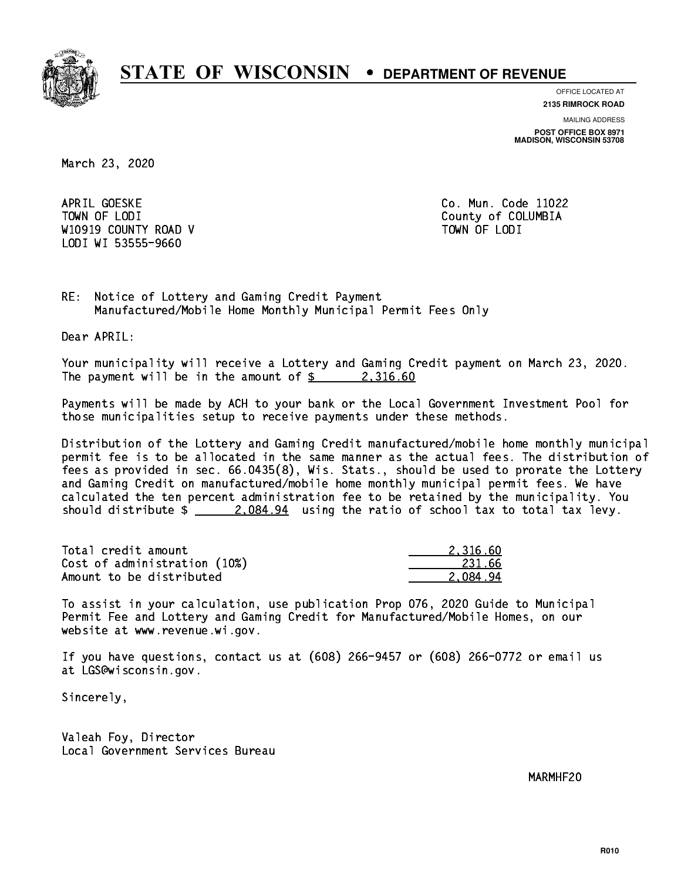

**OFFICE LOCATED AT**

**2135 RIMROCK ROAD**

**MAILING ADDRESS POST OFFICE BOX 8971 MADISON, WISCONSIN 53708**

March 23, 2020

APRIL GOESKE TOWN OF LODI County of COLUMBIA W10919 COUNTY ROAD V TOWN OF LODI LODI WI 53555-9660

Co. Mun. Code 11022

RE: Notice of Lottery and Gaming Credit Payment Manufactured/Mobile Home Monthly Municipal Permit Fees Only

Dear APRIL:

 Your municipality will receive a Lottery and Gaming Credit payment on March 23, 2020. The payment will be in the amount of  $\frac{2}{3}$  2,316.60

 Payments will be made by ACH to your bank or the Local Government Investment Pool for those municipalities setup to receive payments under these methods.

 Distribution of the Lottery and Gaming Credit manufactured/mobile home monthly municipal permit fee is to be allocated in the same manner as the actual fees. The distribution of fees as provided in sec. 66.0435(8), Wis. Stats., should be used to prorate the Lottery and Gaming Credit on manufactured/mobile home monthly municipal permit fees. We have calculated the ten percent administration fee to be retained by the municipality. You should distribute  $\frac{2.084.94}{2.084.94}$  using the ratio of school tax to total tax levy.

| Total credit amount          | 2.316.60 |
|------------------------------|----------|
| Cost of administration (10%) | 231.66   |
| Amount to be distributed     | 2.084.94 |

 To assist in your calculation, use publication Prop 076, 2020 Guide to Municipal Permit Fee and Lottery and Gaming Credit for Manufactured/Mobile Homes, on our website at www.revenue.wi.gov.

 If you have questions, contact us at (608) 266-9457 or (608) 266-0772 or email us at LGS@wisconsin.gov.

Sincerely,

 Valeah Foy, Director Local Government Services Bureau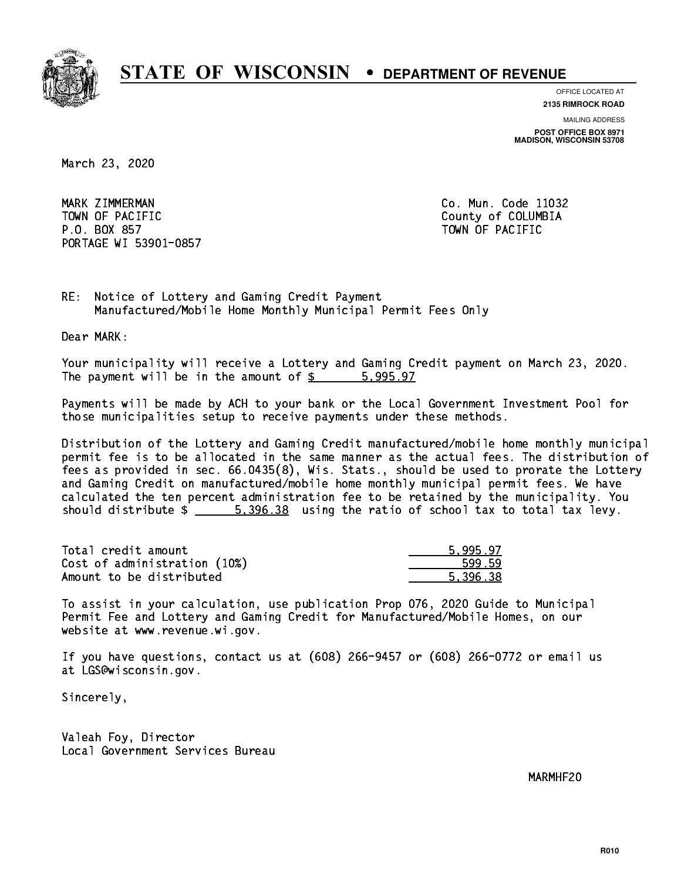

**OFFICE LOCATED AT**

**2135 RIMROCK ROAD**

**MAILING ADDRESS POST OFFICE BOX 8971 MADISON, WISCONSIN 53708**

March 23, 2020

MARK ZIMMERMAN TOWN OF PACIFIC **COLLECTION** COUNTY OF COLUMBIA P.O. BOX 857 TOWN OF PACIFIC PORTAGE WI 53901-0857

Co. Mun. Code 11032

RE: Notice of Lottery and Gaming Credit Payment Manufactured/Mobile Home Monthly Municipal Permit Fees Only

Dear MARK:

 Your municipality will receive a Lottery and Gaming Credit payment on March 23, 2020. The payment will be in the amount of \$ 5,995.97 \_\_\_\_\_\_\_\_\_\_\_\_\_\_\_\_

 Payments will be made by ACH to your bank or the Local Government Investment Pool for those municipalities setup to receive payments under these methods.

 Distribution of the Lottery and Gaming Credit manufactured/mobile home monthly municipal permit fee is to be allocated in the same manner as the actual fees. The distribution of fees as provided in sec. 66.0435(8), Wis. Stats., should be used to prorate the Lottery and Gaming Credit on manufactured/mobile home monthly municipal permit fees. We have calculated the ten percent administration fee to be retained by the municipality. You should distribute  $\frac{2}{1}$   $\frac{5,396.38}{2}$  using the ratio of school tax to total tax levy.

| Total credit amount          | 5.995.97 |
|------------------------------|----------|
| Cost of administration (10%) | 599.59   |
| Amount to be distributed     | 5.396.38 |

 To assist in your calculation, use publication Prop 076, 2020 Guide to Municipal Permit Fee and Lottery and Gaming Credit for Manufactured/Mobile Homes, on our website at www.revenue.wi.gov.

 If you have questions, contact us at (608) 266-9457 or (608) 266-0772 or email us at LGS@wisconsin.gov.

Sincerely,

 Valeah Foy, Director Local Government Services Bureau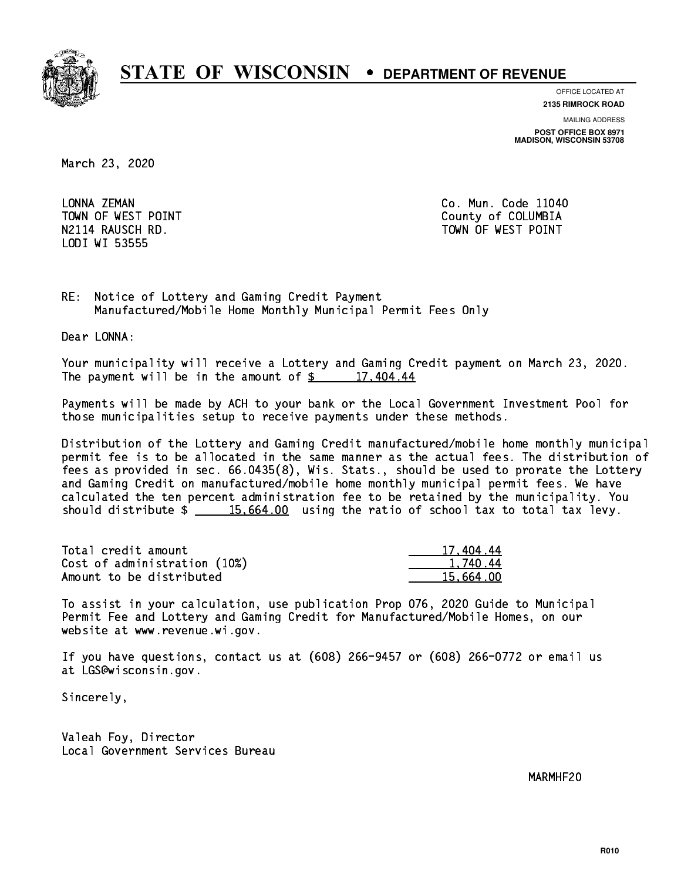

**OFFICE LOCATED AT**

**2135 RIMROCK ROAD**

**MAILING ADDRESS POST OFFICE BOX 8971 MADISON, WISCONSIN 53708**

March 23, 2020

LONNA ZEMAN LODI WI 53555

Co. Mun. Code 11040 TOWN OF WEST POINT County of COLUMBIA N2114 RAUSCH RD. TOWN OF WEST POINT

RE: Notice of Lottery and Gaming Credit Payment Manufactured/Mobile Home Monthly Municipal Permit Fees Only

Dear LONNA:

 Your municipality will receive a Lottery and Gaming Credit payment on March 23, 2020. The payment will be in the amount of  $\frac{2}{3}$  17,404.44

 Payments will be made by ACH to your bank or the Local Government Investment Pool for those municipalities setup to receive payments under these methods.

 Distribution of the Lottery and Gaming Credit manufactured/mobile home monthly municipal permit fee is to be allocated in the same manner as the actual fees. The distribution of fees as provided in sec. 66.0435(8), Wis. Stats., should be used to prorate the Lottery and Gaming Credit on manufactured/mobile home monthly municipal permit fees. We have calculated the ten percent administration fee to be retained by the municipality. You should distribute  $\frac{15,664.00}{2}$  using the ratio of school tax to total tax levy.

| Total credit amount          | 17,404.44 |
|------------------------------|-----------|
| Cost of administration (10%) | 1.740.44  |
| Amount to be distributed     | 15.664.00 |

 To assist in your calculation, use publication Prop 076, 2020 Guide to Municipal Permit Fee and Lottery and Gaming Credit for Manufactured/Mobile Homes, on our website at www.revenue.wi.gov.

 If you have questions, contact us at (608) 266-9457 or (608) 266-0772 or email us at LGS@wisconsin.gov.

Sincerely,

 Valeah Foy, Director Local Government Services Bureau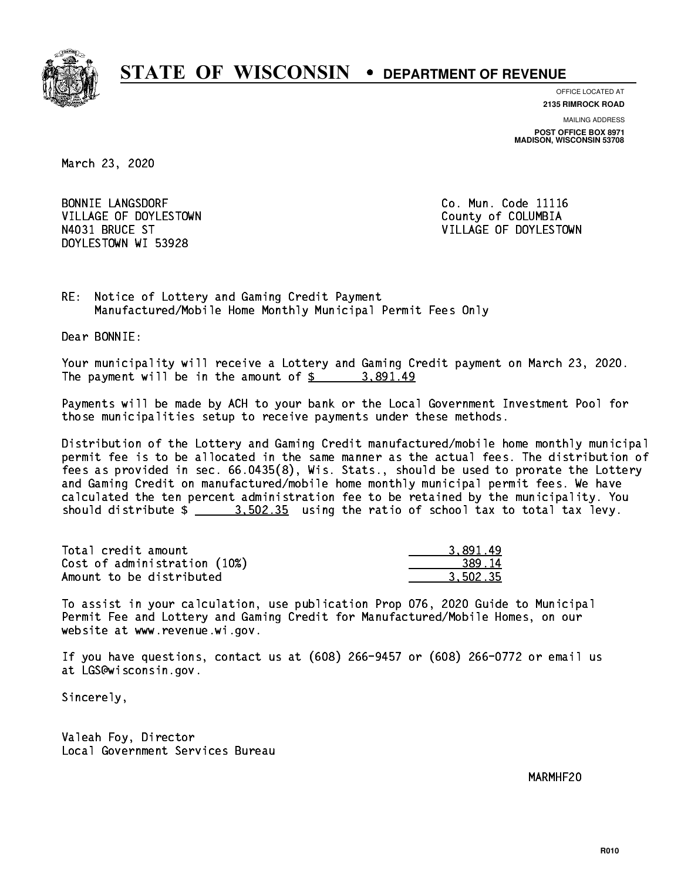

**OFFICE LOCATED AT**

**2135 RIMROCK ROAD**

**MAILING ADDRESS POST OFFICE BOX 8971 MADISON, WISCONSIN 53708**

March 23, 2020

**BONNIE LANGSDORF** VILLAGE OF DOYLESTOWN **COUNTY OF COLUMBIA** DOYLESTOWN WI 53928

Co. Mun. Code 11116 N4031 BRUCE ST VILLAGE OF DOYLESTOWN

RE: Notice of Lottery and Gaming Credit Payment Manufactured/Mobile Home Monthly Municipal Permit Fees Only

Dear BONNIE:

 Your municipality will receive a Lottery and Gaming Credit payment on March 23, 2020. The payment will be in the amount of  $\frac{2}{3}$  3,891.49

 Payments will be made by ACH to your bank or the Local Government Investment Pool for those municipalities setup to receive payments under these methods.

 Distribution of the Lottery and Gaming Credit manufactured/mobile home monthly municipal permit fee is to be allocated in the same manner as the actual fees. The distribution of fees as provided in sec. 66.0435(8), Wis. Stats., should be used to prorate the Lottery and Gaming Credit on manufactured/mobile home monthly municipal permit fees. We have calculated the ten percent administration fee to be retained by the municipality. You should distribute  $\frac{2}{1}$   $\frac{3.502.35}{2}$  using the ratio of school tax to total tax levy.

| Total credit amount          | 3.891.49 |
|------------------------------|----------|
| Cost of administration (10%) | 389.14   |
| Amount to be distributed     | 3.502.35 |

 To assist in your calculation, use publication Prop 076, 2020 Guide to Municipal Permit Fee and Lottery and Gaming Credit for Manufactured/Mobile Homes, on our website at www.revenue.wi.gov.

 If you have questions, contact us at (608) 266-9457 or (608) 266-0772 or email us at LGS@wisconsin.gov.

Sincerely,

 Valeah Foy, Director Local Government Services Bureau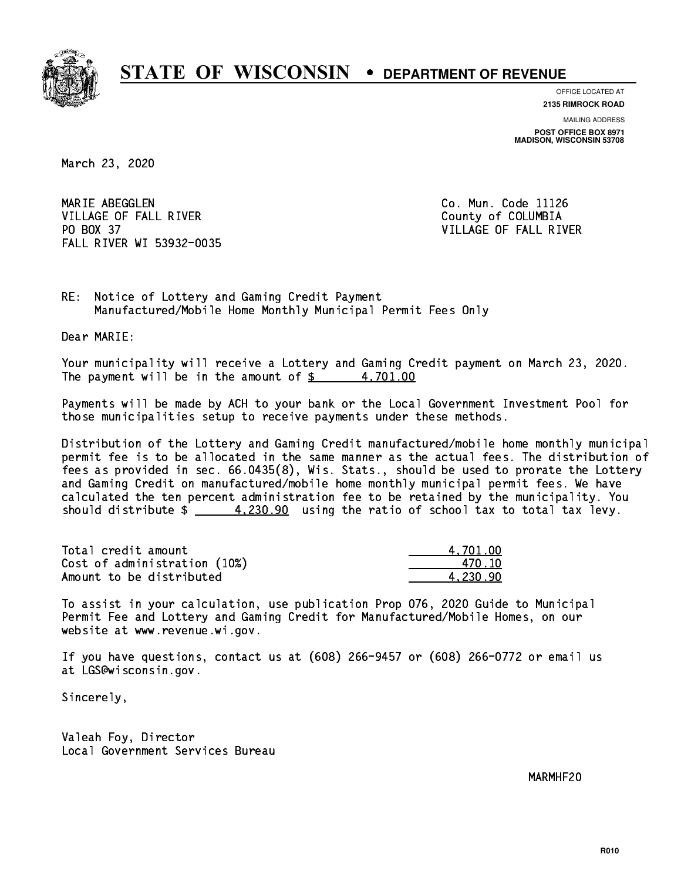

**OFFICE LOCATED AT**

**2135 RIMROCK ROAD**

**MAILING ADDRESS POST OFFICE BOX 8971 MADISON, WISCONSIN 53708**

March 23, 2020

MARIE ABEGGLEN VILLAGE OF FALL RIVER **COLLECT IN THE COLLECT OF SALE ASSESS** PO BOX 37 FALL RIVER WI 53932-0035

Co. Mun. Code 11126 VILLAGE OF FALL RIVER

RE: Notice of Lottery and Gaming Credit Payment Manufactured/Mobile Home Monthly Municipal Permit Fees Only

Dear MARIE:

 Your municipality will receive a Lottery and Gaming Credit payment on March 23, 2020. The payment will be in the amount of  $\frac{2}{3}$  4,701.00

 Payments will be made by ACH to your bank or the Local Government Investment Pool for those municipalities setup to receive payments under these methods.

 Distribution of the Lottery and Gaming Credit manufactured/mobile home monthly municipal permit fee is to be allocated in the same manner as the actual fees. The distribution of fees as provided in sec. 66.0435(8), Wis. Stats., should be used to prorate the Lottery and Gaming Credit on manufactured/mobile home monthly municipal permit fees. We have calculated the ten percent administration fee to be retained by the municipality. You should distribute  $\frac{2.20.90}{2}$  using the ratio of school tax to total tax levy.

| Total credit amount          | 4.701.00 |
|------------------------------|----------|
| Cost of administration (10%) | 470.10   |
| Amount to be distributed     | 4.230.90 |

 To assist in your calculation, use publication Prop 076, 2020 Guide to Municipal Permit Fee and Lottery and Gaming Credit for Manufactured/Mobile Homes, on our website at www.revenue.wi.gov.

 If you have questions, contact us at (608) 266-9457 or (608) 266-0772 or email us at LGS@wisconsin.gov.

Sincerely,

 Valeah Foy, Director Local Government Services Bureau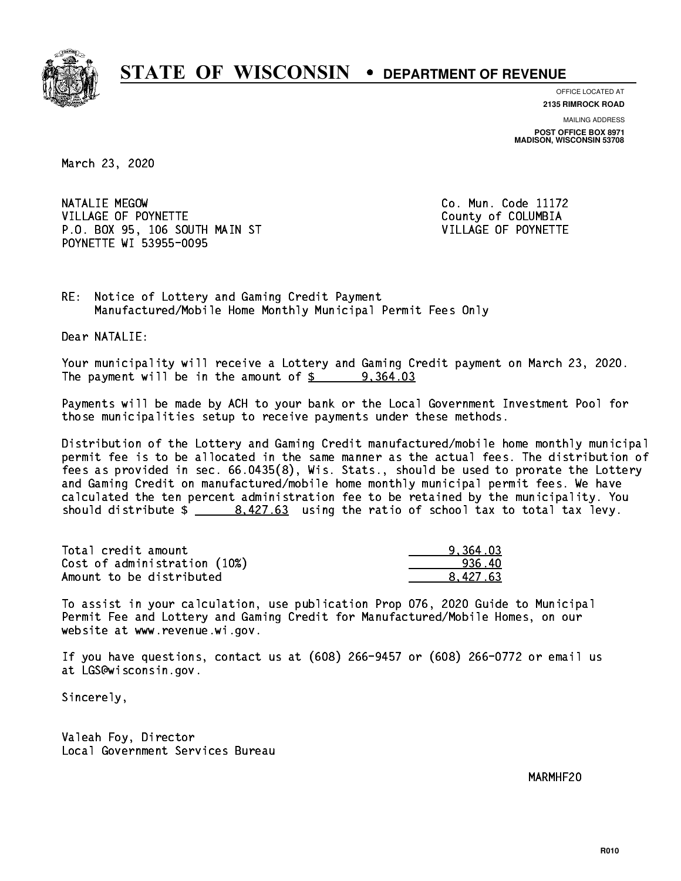

**OFFICE LOCATED AT**

**2135 RIMROCK ROAD**

**MAILING ADDRESS POST OFFICE BOX 8971 MADISON, WISCONSIN 53708**

March 23, 2020

NATALIE MEGOW VILLAGE OF POYNETTE COUNTY OF COLUMBIA P.O. BOX 95, 106 SOUTH MAIN ST VILLAGE OF POYNETTE POYNETTE WI 53955-0095

Co. Mun. Code 11172

RE: Notice of Lottery and Gaming Credit Payment Manufactured/Mobile Home Monthly Municipal Permit Fees Only

Dear NATALIE:

 Your municipality will receive a Lottery and Gaming Credit payment on March 23, 2020. The payment will be in the amount of  $\frac{2}{3}$  9,364.03

 Payments will be made by ACH to your bank or the Local Government Investment Pool for those municipalities setup to receive payments under these methods.

 Distribution of the Lottery and Gaming Credit manufactured/mobile home monthly municipal permit fee is to be allocated in the same manner as the actual fees. The distribution of fees as provided in sec. 66.0435(8), Wis. Stats., should be used to prorate the Lottery and Gaming Credit on manufactured/mobile home monthly municipal permit fees. We have calculated the ten percent administration fee to be retained by the municipality. You should distribute  $\frac{2}{1}$   $\frac{8,427.63}{2}$  using the ratio of school tax to total tax levy.

| Total credit amount          | 9.364.03 |
|------------------------------|----------|
| Cost of administration (10%) | -936.40  |
| Amount to be distributed     | 8.427.63 |

 To assist in your calculation, use publication Prop 076, 2020 Guide to Municipal Permit Fee and Lottery and Gaming Credit for Manufactured/Mobile Homes, on our website at www.revenue.wi.gov.

 If you have questions, contact us at (608) 266-9457 or (608) 266-0772 or email us at LGS@wisconsin.gov.

Sincerely,

 Valeah Foy, Director Local Government Services Bureau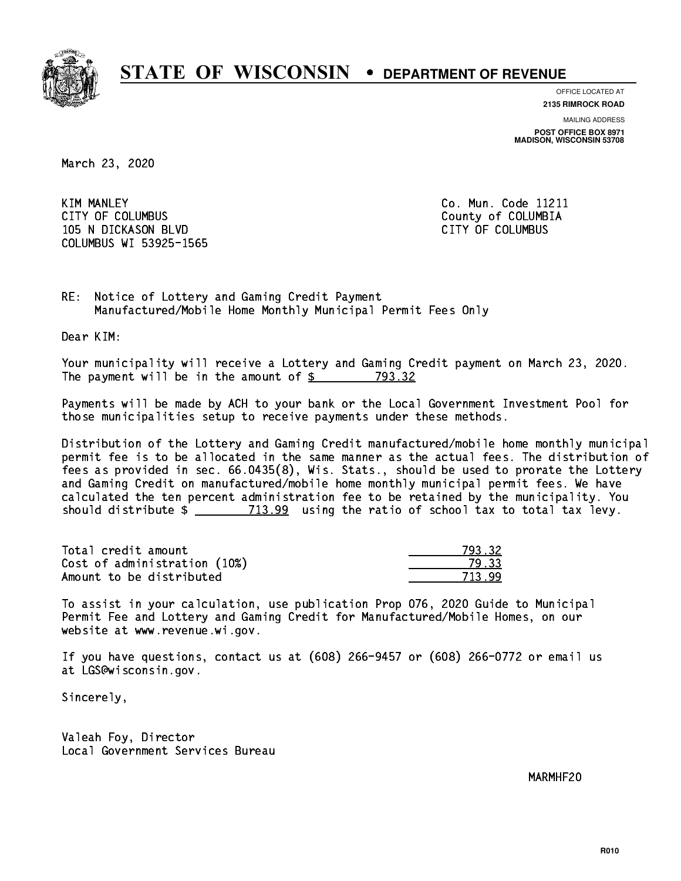

**OFFICE LOCATED AT**

**2135 RIMROCK ROAD**

**MAILING ADDRESS POST OFFICE BOX 8971 MADISON, WISCONSIN 53708**

March 23, 2020

**KIM MANLEY** CITY OF COLUMBUS COME CONSULTED A COUNTY OF COLUMBIA 105 N DICKASON BLVD CITY OF COLUMBUS COLUMBUS WI 53925-1565

Co. Mun. Code 11211

RE: Notice of Lottery and Gaming Credit Payment Manufactured/Mobile Home Monthly Municipal Permit Fees Only

Dear KIM:

 Your municipality will receive a Lottery and Gaming Credit payment on March 23, 2020. The payment will be in the amount of \$ 793.32 \_\_\_\_\_\_\_\_\_\_\_\_\_\_\_\_

 Payments will be made by ACH to your bank or the Local Government Investment Pool for those municipalities setup to receive payments under these methods.

 Distribution of the Lottery and Gaming Credit manufactured/mobile home monthly municipal permit fee is to be allocated in the same manner as the actual fees. The distribution of fees as provided in sec. 66.0435(8), Wis. Stats., should be used to prorate the Lottery and Gaming Credit on manufactured/mobile home monthly municipal permit fees. We have calculated the ten percent administration fee to be retained by the municipality. You should distribute  $\frac{2}{1}$   $\frac{713.99}{2}$  using the ratio of school tax to total tax levy.

| Total credit amount          | 793.32 |
|------------------------------|--------|
| Cost of administration (10%) | 79.33  |
| Amount to be distributed     | 713.99 |

713.99

 To assist in your calculation, use publication Prop 076, 2020 Guide to Municipal Permit Fee and Lottery and Gaming Credit for Manufactured/Mobile Homes, on our website at www.revenue.wi.gov.

 If you have questions, contact us at (608) 266-9457 or (608) 266-0772 or email us at LGS@wisconsin.gov.

Sincerely,

 Valeah Foy, Director Local Government Services Bureau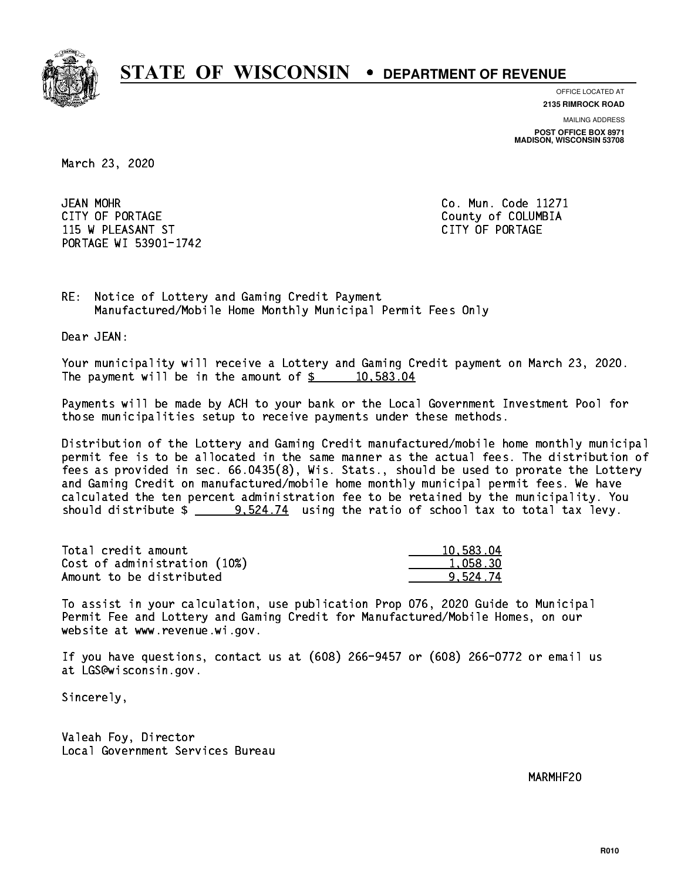

**OFFICE LOCATED AT**

**2135 RIMROCK ROAD**

**MAILING ADDRESS POST OFFICE BOX 8971 MADISON, WISCONSIN 53708**

March 23, 2020

JEAN MOHR CITY OF PORTAGE COUNTER COUNTY OF COLUMBIA 115 W PLEASANT ST CITY OF PORTAGE PORTAGE WI 53901-1742

Co. Mun. Code 11271

RE: Notice of Lottery and Gaming Credit Payment Manufactured/Mobile Home Monthly Municipal Permit Fees Only

Dear JEAN:

 Your municipality will receive a Lottery and Gaming Credit payment on March 23, 2020. The payment will be in the amount of  $\frac{2}{3}$  10,583.04

 Payments will be made by ACH to your bank or the Local Government Investment Pool for those municipalities setup to receive payments under these methods.

 Distribution of the Lottery and Gaming Credit manufactured/mobile home monthly municipal permit fee is to be allocated in the same manner as the actual fees. The distribution of fees as provided in sec. 66.0435(8), Wis. Stats., should be used to prorate the Lottery and Gaming Credit on manufactured/mobile home monthly municipal permit fees. We have calculated the ten percent administration fee to be retained by the municipality. You should distribute  $\frac{2}{2}$   $\frac{9.524.74}{2}$  using the ratio of school tax to total tax levy.

| Total credit amount          | 10,583.04 |
|------------------------------|-----------|
| Cost of administration (10%) | 1.058.30  |
| Amount to be distributed     | 9.524.74  |

 To assist in your calculation, use publication Prop 076, 2020 Guide to Municipal Permit Fee and Lottery and Gaming Credit for Manufactured/Mobile Homes, on our website at www.revenue.wi.gov.

 If you have questions, contact us at (608) 266-9457 or (608) 266-0772 or email us at LGS@wisconsin.gov.

Sincerely,

 Valeah Foy, Director Local Government Services Bureau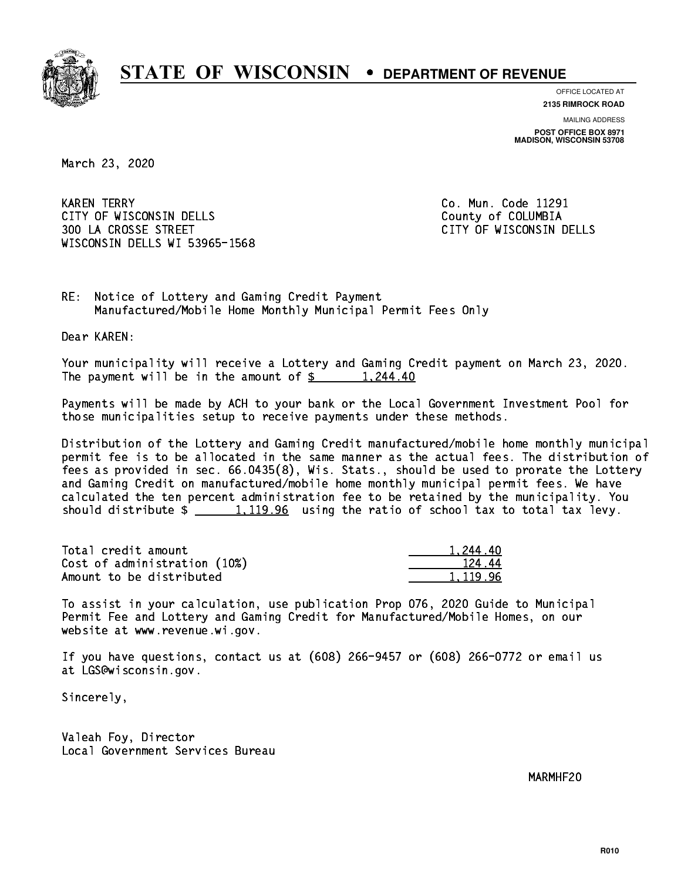

**OFFICE LOCATED AT**

**2135 RIMROCK ROAD**

**MAILING ADDRESS POST OFFICE BOX 8971 MADISON, WISCONSIN 53708**

March 23, 2020

**KAREN TERRY** CITY OF WISCONSIN DELLS COUNTY OF COLUMBIA 300 LA CROSSE STREET CITY OF WISCONSIN DELLS WISCONSIN DELLS WI 53965-1568

Co. Mun. Code 11291

RE: Notice of Lottery and Gaming Credit Payment Manufactured/Mobile Home Monthly Municipal Permit Fees Only

Dear KAREN:

 Your municipality will receive a Lottery and Gaming Credit payment on March 23, 2020. The payment will be in the amount of  $\frac{244.40}{1,244.40}$ 

 Payments will be made by ACH to your bank or the Local Government Investment Pool for those municipalities setup to receive payments under these methods.

 Distribution of the Lottery and Gaming Credit manufactured/mobile home monthly municipal permit fee is to be allocated in the same manner as the actual fees. The distribution of fees as provided in sec. 66.0435(8), Wis. Stats., should be used to prorate the Lottery and Gaming Credit on manufactured/mobile home monthly municipal permit fees. We have calculated the ten percent administration fee to be retained by the municipality. You should distribute  $\frac{1,119.96}{2}$  using the ratio of school tax to total tax levy.

| Total credit amount          | 1.244.40 |
|------------------------------|----------|
| Cost of administration (10%) | 124.44   |
| Amount to be distributed     | 1,119.96 |

 To assist in your calculation, use publication Prop 076, 2020 Guide to Municipal Permit Fee and Lottery and Gaming Credit for Manufactured/Mobile Homes, on our website at www.revenue.wi.gov.

 If you have questions, contact us at (608) 266-9457 or (608) 266-0772 or email us at LGS@wisconsin.gov.

Sincerely,

 Valeah Foy, Director Local Government Services Bureau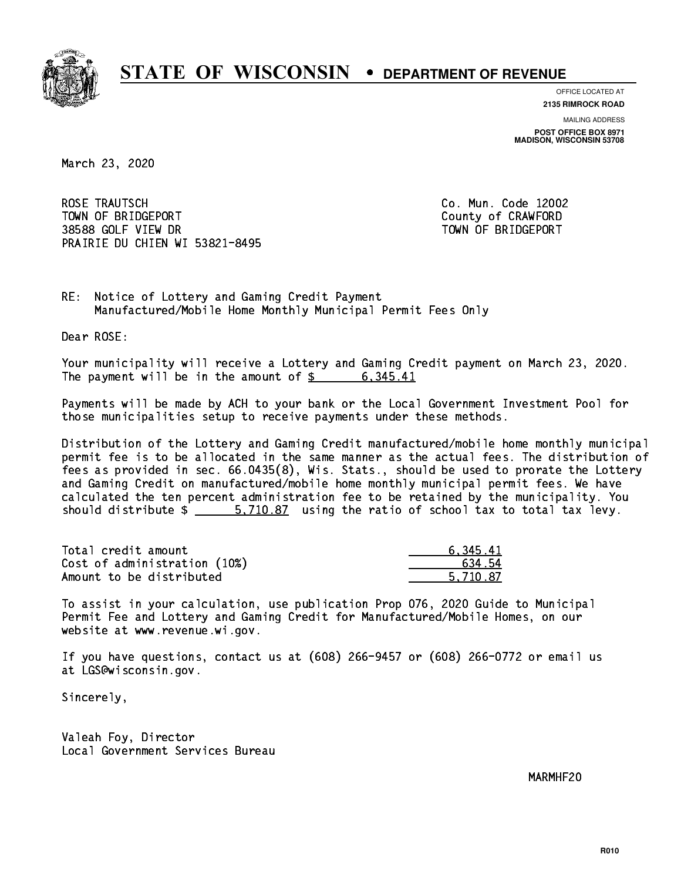

**OFFICE LOCATED AT**

**2135 RIMROCK ROAD**

**MAILING ADDRESS POST OFFICE BOX 8971 MADISON, WISCONSIN 53708**

March 23, 2020

 ROSE TRAUTSCH Co. Mun. Code 12002 TOWN OF BRIDGEPORT COUNTY OF CRAWFORD 38588 GOLF VIEW DR TOWN OF BRIDGEPORT PRAIRIE DU CHIEN WI 53821-8495

RE: Notice of Lottery and Gaming Credit Payment Manufactured/Mobile Home Monthly Municipal Permit Fees Only

Dear ROSE:

 Your municipality will receive a Lottery and Gaming Credit payment on March 23, 2020. The payment will be in the amount of  $\frac{2}{3}$  6,345.41

 Payments will be made by ACH to your bank or the Local Government Investment Pool for those municipalities setup to receive payments under these methods.

 Distribution of the Lottery and Gaming Credit manufactured/mobile home monthly municipal permit fee is to be allocated in the same manner as the actual fees. The distribution of fees as provided in sec. 66.0435(8), Wis. Stats., should be used to prorate the Lottery and Gaming Credit on manufactured/mobile home monthly municipal permit fees. We have calculated the ten percent administration fee to be retained by the municipality. You should distribute  $\frac{2}{1}$   $\frac{5,710.87}{2}$  using the ratio of school tax to total tax levy.

| Total credit amount          | 6.345.41 |
|------------------------------|----------|
| Cost of administration (10%) | 634.54   |
| Amount to be distributed     | 5.710.87 |

 To assist in your calculation, use publication Prop 076, 2020 Guide to Municipal Permit Fee and Lottery and Gaming Credit for Manufactured/Mobile Homes, on our website at www.revenue.wi.gov.

 If you have questions, contact us at (608) 266-9457 or (608) 266-0772 or email us at LGS@wisconsin.gov.

Sincerely,

 Valeah Foy, Director Local Government Services Bureau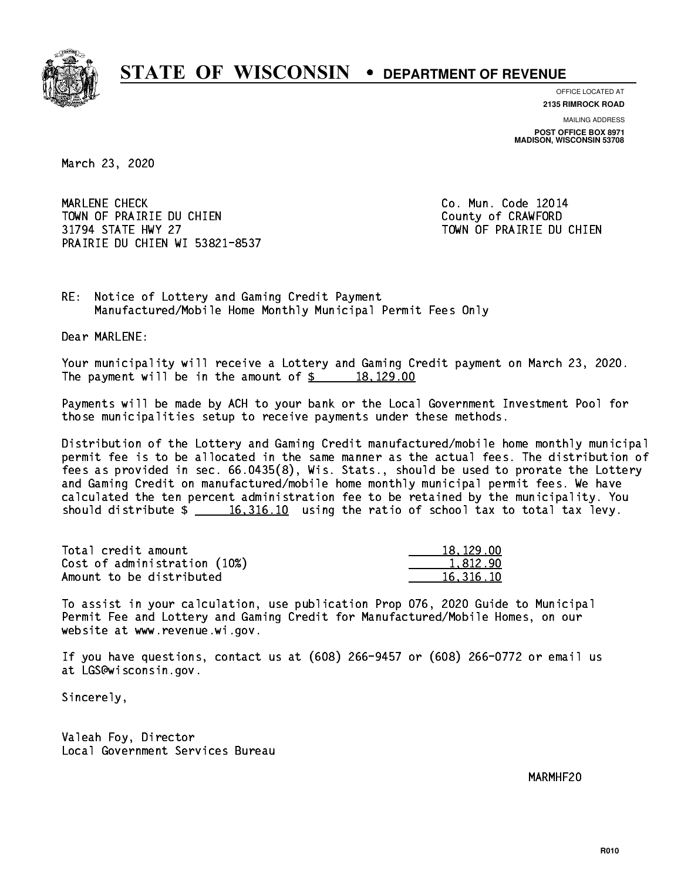

**OFFICE LOCATED AT**

**2135 RIMROCK ROAD**

**MAILING ADDRESS POST OFFICE BOX 8971 MADISON, WISCONSIN 53708**

March 23, 2020

 MARLENE CHECK Co. Mun. Code 12014 TOWN OF PRAIRIE DU CHIEN COUNTY OF CRAWFORD 31794 STATE HWY 27 TOWN OF PRAIRIE DU CHIEN PRAIRIE DU CHIEN WI 53821-8537

RE: Notice of Lottery and Gaming Credit Payment Manufactured/Mobile Home Monthly Municipal Permit Fees Only

Dear MARLENE:

 Your municipality will receive a Lottery and Gaming Credit payment on March 23, 2020. The payment will be in the amount of  $\frac{2}{3}$  18,129.00

 Payments will be made by ACH to your bank or the Local Government Investment Pool for those municipalities setup to receive payments under these methods.

 Distribution of the Lottery and Gaming Credit manufactured/mobile home monthly municipal permit fee is to be allocated in the same manner as the actual fees. The distribution of fees as provided in sec. 66.0435(8), Wis. Stats., should be used to prorate the Lottery and Gaming Credit on manufactured/mobile home monthly municipal permit fees. We have calculated the ten percent administration fee to be retained by the municipality. You should distribute  $\frac{16,316.10}{16,316.10}$  using the ratio of school tax to total tax levy.

| Total credit amount          | 18, 129, 00 |
|------------------------------|-------------|
| Cost of administration (10%) | 1.812.90    |
| Amount to be distributed     | 16,316,10   |

 To assist in your calculation, use publication Prop 076, 2020 Guide to Municipal Permit Fee and Lottery and Gaming Credit for Manufactured/Mobile Homes, on our website at www.revenue.wi.gov.

 If you have questions, contact us at (608) 266-9457 or (608) 266-0772 or email us at LGS@wisconsin.gov.

Sincerely,

 Valeah Foy, Director Local Government Services Bureau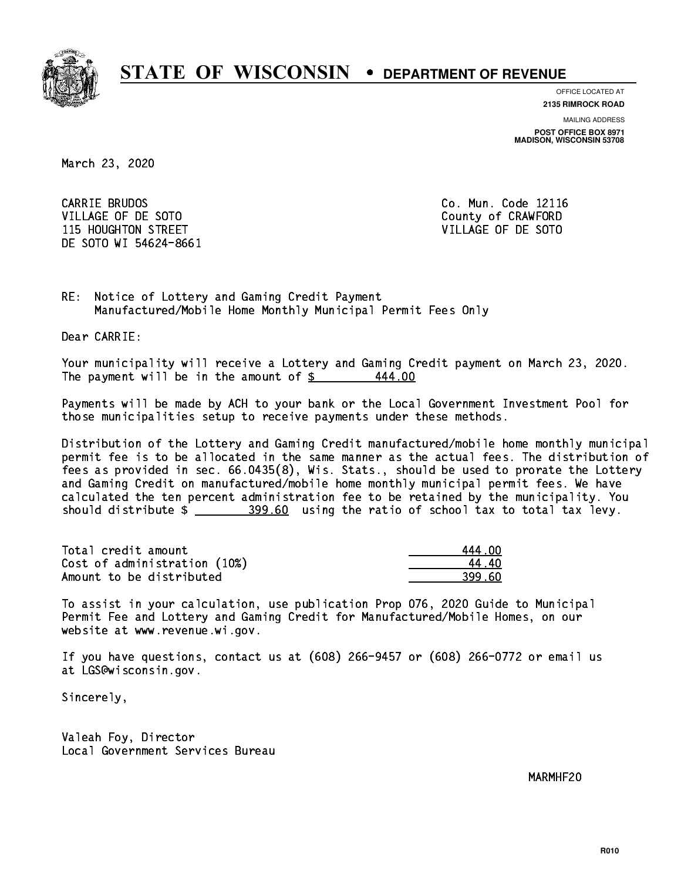

**OFFICE LOCATED AT**

**2135 RIMROCK ROAD**

**MAILING ADDRESS POST OFFICE BOX 8971 MADISON, WISCONSIN 53708**

March 23, 2020

CARRIE BRUDOS VILLAGE OF DE SOTO COUNTY OF CRAWFORD 115 HOUGHTON STREET VILLAGE OF DE SOTO DE SOTO WI 54624-8661

Co. Mun. Code 12116

RE: Notice of Lottery and Gaming Credit Payment Manufactured/Mobile Home Monthly Municipal Permit Fees Only

Dear CARRIE:

 Your municipality will receive a Lottery and Gaming Credit payment on March 23, 2020. The payment will be in the amount of  $$$ 444.00

 Payments will be made by ACH to your bank or the Local Government Investment Pool for those municipalities setup to receive payments under these methods.

 Distribution of the Lottery and Gaming Credit manufactured/mobile home monthly municipal permit fee is to be allocated in the same manner as the actual fees. The distribution of fees as provided in sec. 66.0435(8), Wis. Stats., should be used to prorate the Lottery and Gaming Credit on manufactured/mobile home monthly municipal permit fees. We have calculated the ten percent administration fee to be retained by the municipality. You should distribute  $\frac{299.60}{2}$  using the ratio of school tax to total tax levy.

| Total credit amount          | 444 NO |
|------------------------------|--------|
| Cost of administration (10%) | 44 AC  |
| Amount to be distributed     | 399.60 |

| .4 กก |
|-------|
| L 4N  |
| 19 AN |

 To assist in your calculation, use publication Prop 076, 2020 Guide to Municipal Permit Fee and Lottery and Gaming Credit for Manufactured/Mobile Homes, on our website at www.revenue.wi.gov.

 If you have questions, contact us at (608) 266-9457 or (608) 266-0772 or email us at LGS@wisconsin.gov.

Sincerely,

 Valeah Foy, Director Local Government Services Bureau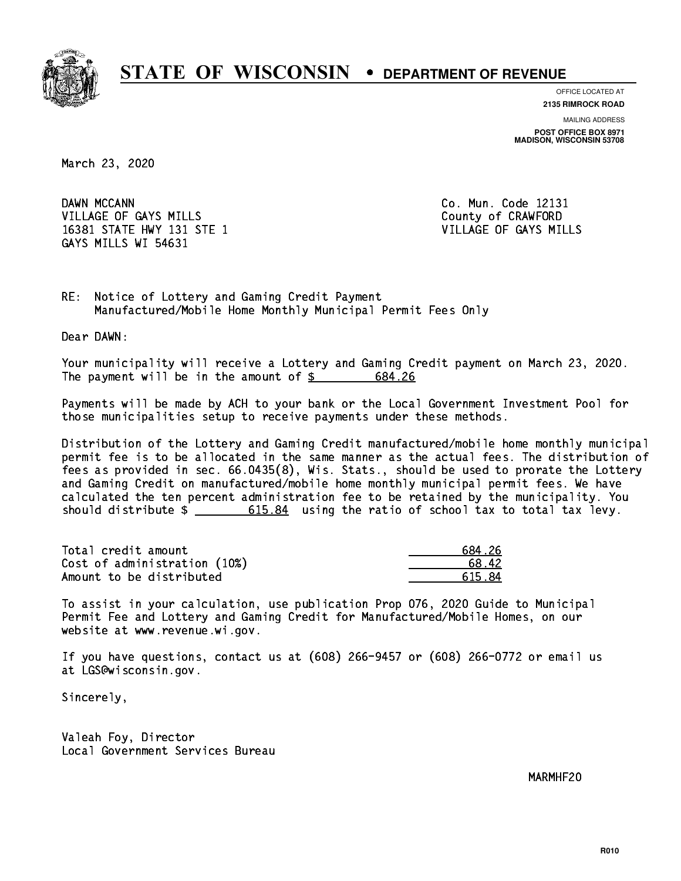

**OFFICE LOCATED AT**

**2135 RIMROCK ROAD**

**MAILING ADDRESS POST OFFICE BOX 8971 MADISON, WISCONSIN 53708**

March 23, 2020

DAWN MCCANN VILLAGE OF GAYS MILLS County of CRAWFORD 16381 STATE HWY 131 STE 1 VILLAGE OF GAYS MILLS GAYS MILLS WI 54631

Co. Mun. Code 12131

RE: Notice of Lottery and Gaming Credit Payment Manufactured/Mobile Home Monthly Municipal Permit Fees Only

Dear DAWN:

 Your municipality will receive a Lottery and Gaming Credit payment on March 23, 2020. The payment will be in the amount of  $\frac{2}{3}$ 684.26

 Payments will be made by ACH to your bank or the Local Government Investment Pool for those municipalities setup to receive payments under these methods.

 Distribution of the Lottery and Gaming Credit manufactured/mobile home monthly municipal permit fee is to be allocated in the same manner as the actual fees. The distribution of fees as provided in sec. 66.0435(8), Wis. Stats., should be used to prorate the Lottery and Gaming Credit on manufactured/mobile home monthly municipal permit fees. We have calculated the ten percent administration fee to be retained by the municipality. You should distribute  $\frac{2}{10}$   $\frac{615.84}{204}$  using the ratio of school tax to total tax levy.

| Total credit amount          | 684.26 |
|------------------------------|--------|
| Cost of administration (10%) | 68.42  |
| Amount to be distributed     | 615.84 |

 To assist in your calculation, use publication Prop 076, 2020 Guide to Municipal Permit Fee and Lottery and Gaming Credit for Manufactured/Mobile Homes, on our website at www.revenue.wi.gov.

 If you have questions, contact us at (608) 266-9457 or (608) 266-0772 or email us at LGS@wisconsin.gov.

Sincerely,

 Valeah Foy, Director Local Government Services Bureau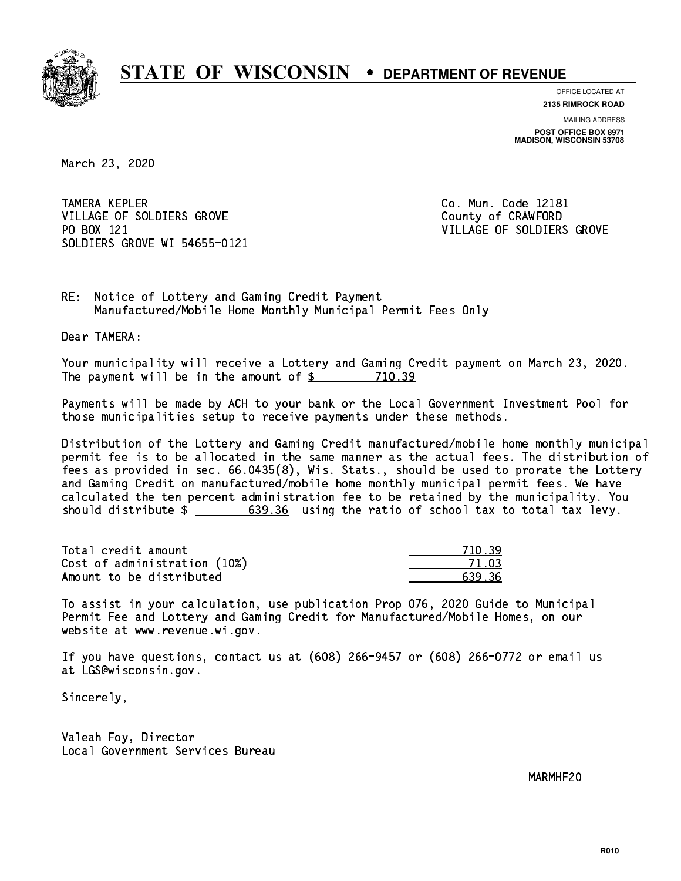

**OFFICE LOCATED AT**

**2135 RIMROCK ROAD**

**MAILING ADDRESS POST OFFICE BOX 8971 MADISON, WISCONSIN 53708**

March 23, 2020

**TAMERA KEPLER** VILLAGE OF SOLDIERS GROVE COUNTY OF CRAWFORD PO BOX 121 SOLDIERS GROVE WI 54655-0121

Co. Mun. Code 12181 VILLAGE OF SOLDIERS GROVE

RE: Notice of Lottery and Gaming Credit Payment Manufactured/Mobile Home Monthly Municipal Permit Fees Only

Dear TAMERA:

 Your municipality will receive a Lottery and Gaming Credit payment on March 23, 2020. The payment will be in the amount of \$ 710.39 \_\_\_\_\_\_\_\_\_\_\_\_\_\_\_\_

 Payments will be made by ACH to your bank or the Local Government Investment Pool for those municipalities setup to receive payments under these methods.

 Distribution of the Lottery and Gaming Credit manufactured/mobile home monthly municipal permit fee is to be allocated in the same manner as the actual fees. The distribution of fees as provided in sec. 66.0435(8), Wis. Stats., should be used to prorate the Lottery and Gaming Credit on manufactured/mobile home monthly municipal permit fees. We have calculated the ten percent administration fee to be retained by the municipality. You should distribute  $\frac{2}{1}$   $\frac{639.36}{20}$  using the ratio of school tax to total tax levy.

| Total credit amount          | 71039  |
|------------------------------|--------|
| Cost of administration (10%) |        |
| Amount to be distributed     | 639.36 |

 To assist in your calculation, use publication Prop 076, 2020 Guide to Municipal Permit Fee and Lottery and Gaming Credit for Manufactured/Mobile Homes, on our website at www.revenue.wi.gov.

 If you have questions, contact us at (608) 266-9457 or (608) 266-0772 or email us at LGS@wisconsin.gov.

Sincerely,

 Valeah Foy, Director Local Government Services Bureau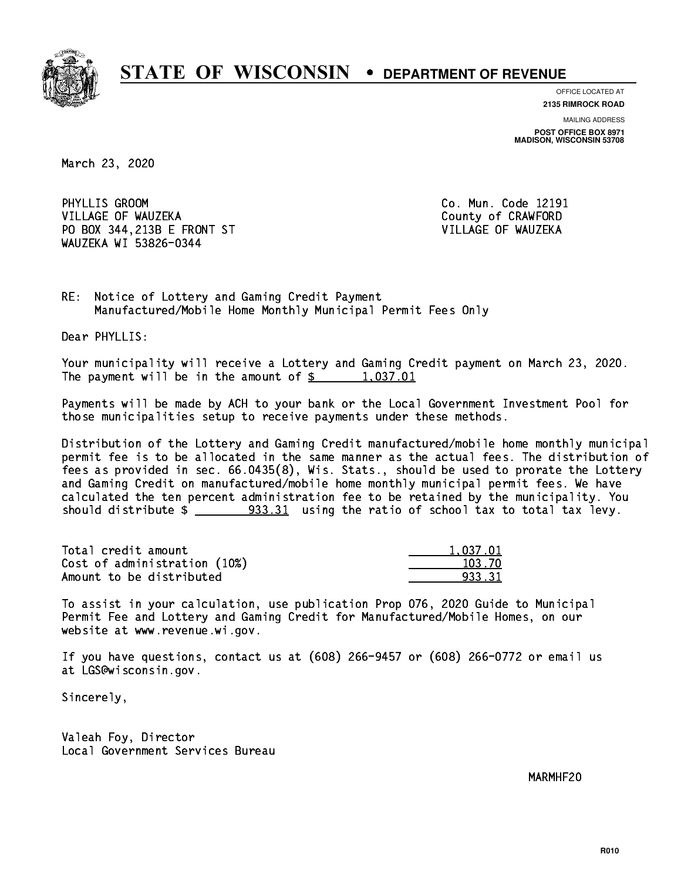

**OFFICE LOCATED AT 2135 RIMROCK ROAD**

**MAILING ADDRESS POST OFFICE BOX 8971 MADISON, WISCONSIN 53708**

March 23, 2020

PHYLLIS GROOM VILLAGE OF WAUZEKA COUNTY OF CRAWFORD PO BOX 344,213B E FRONT ST VILLAGE OF WAUZEKA WAUZEKA WI 53826-0344

Co. Mun. Code 12191

RE: Notice of Lottery and Gaming Credit Payment Manufactured/Mobile Home Monthly Municipal Permit Fees Only

Dear PHYLLIS:

 Your municipality will receive a Lottery and Gaming Credit payment on March 23, 2020. The payment will be in the amount of  $\frac{2}{3}$  1,037.01

 Payments will be made by ACH to your bank or the Local Government Investment Pool for those municipalities setup to receive payments under these methods.

 Distribution of the Lottery and Gaming Credit manufactured/mobile home monthly municipal permit fee is to be allocated in the same manner as the actual fees. The distribution of fees as provided in sec. 66.0435(8), Wis. Stats., should be used to prorate the Lottery and Gaming Credit on manufactured/mobile home monthly municipal permit fees. We have calculated the ten percent administration fee to be retained by the municipality. You should distribute  $\frac{2}{2}$   $\frac{933.31}{2}$  using the ratio of school tax to total tax levy.

| Total credit amount          | 1,037.01 |
|------------------------------|----------|
| Cost of administration (10%) | 103.70   |
| Amount to be distributed     | 933.31   |

 To assist in your calculation, use publication Prop 076, 2020 Guide to Municipal Permit Fee and Lottery and Gaming Credit for Manufactured/Mobile Homes, on our website at www.revenue.wi.gov.

 If you have questions, contact us at (608) 266-9457 or (608) 266-0772 or email us at LGS@wisconsin.gov.

Sincerely,

 Valeah Foy, Director Local Government Services Bureau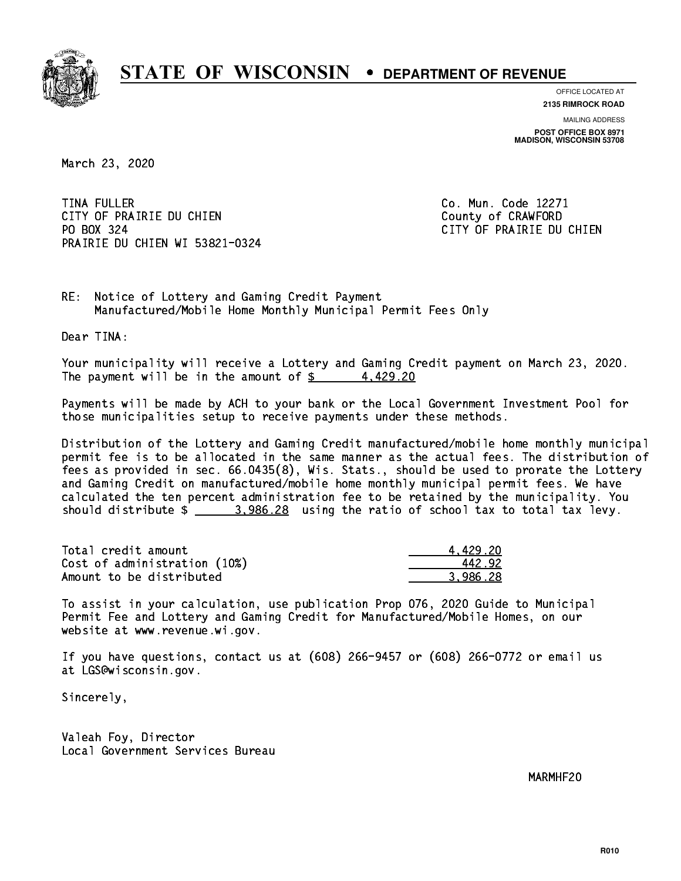

**OFFICE LOCATED AT**

**2135 RIMROCK ROAD**

**MAILING ADDRESS POST OFFICE BOX 8971 MADISON, WISCONSIN 53708**

March 23, 2020

**TINA FULLER** CITY OF PRAIRIE DU CHIEN COUNTY OF CRAWFORD PO BOX 324 PRAIRIE DU CHIEN WI 53821-0324

Co. Mun. Code 12271 CITY OF PRAIRIE DU CHIEN

RE: Notice of Lottery and Gaming Credit Payment Manufactured/Mobile Home Monthly Municipal Permit Fees Only

Dear TINA:

 Your municipality will receive a Lottery and Gaming Credit payment on March 23, 2020. The payment will be in the amount of  $\frac{2}{3}$  4,429.20

 Payments will be made by ACH to your bank or the Local Government Investment Pool for those municipalities setup to receive payments under these methods.

 Distribution of the Lottery and Gaming Credit manufactured/mobile home monthly municipal permit fee is to be allocated in the same manner as the actual fees. The distribution of fees as provided in sec. 66.0435(8), Wis. Stats., should be used to prorate the Lottery and Gaming Credit on manufactured/mobile home monthly municipal permit fees. We have calculated the ten percent administration fee to be retained by the municipality. You should distribute  $\frac{2}{1}$   $\frac{3.986.28}{2}$  using the ratio of school tax to total tax levy.

| Total credit amount          | 4.429.20 |
|------------------------------|----------|
| Cost of administration (10%) | 442.92   |
| Amount to be distributed     | 3.986.28 |

 To assist in your calculation, use publication Prop 076, 2020 Guide to Municipal Permit Fee and Lottery and Gaming Credit for Manufactured/Mobile Homes, on our website at www.revenue.wi.gov.

 If you have questions, contact us at (608) 266-9457 or (608) 266-0772 or email us at LGS@wisconsin.gov.

Sincerely,

 Valeah Foy, Director Local Government Services Bureau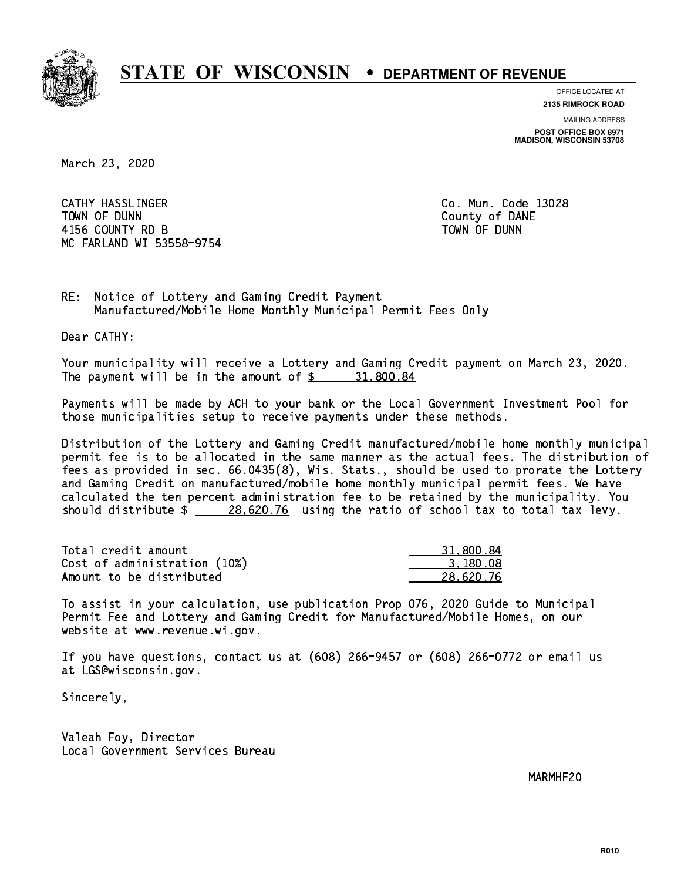

**OFFICE LOCATED AT**

**2135 RIMROCK ROAD**

**MAILING ADDRESS POST OFFICE BOX 8971 MADISON, WISCONSIN 53708**

March 23, 2020

 CATHY HASSLINGER Co. Mun. Code 13028 TOWN OF DUNN County of DANE 4156 COUNTY RD B TOWN OF DUNN MC FARLAND WI 53558-9754

RE: Notice of Lottery and Gaming Credit Payment Manufactured/Mobile Home Monthly Municipal Permit Fees Only

Dear CATHY:

 Your municipality will receive a Lottery and Gaming Credit payment on March 23, 2020. The payment will be in the amount of  $\frac{2}{3}$  31,800.84

 Payments will be made by ACH to your bank or the Local Government Investment Pool for those municipalities setup to receive payments under these methods.

 Distribution of the Lottery and Gaming Credit manufactured/mobile home monthly municipal permit fee is to be allocated in the same manner as the actual fees. The distribution of fees as provided in sec. 66.0435(8), Wis. Stats., should be used to prorate the Lottery and Gaming Credit on manufactured/mobile home monthly municipal permit fees. We have calculated the ten percent administration fee to be retained by the municipality. You should distribute  $\frac{28,620.76}{28,620.76}$  using the ratio of school tax to total tax levy.

| Total credit amount          | 31,800.84 |
|------------------------------|-----------|
| Cost of administration (10%) | 3.180.08  |
| Amount to be distributed     | 28,620.76 |

 To assist in your calculation, use publication Prop 076, 2020 Guide to Municipal Permit Fee and Lottery and Gaming Credit for Manufactured/Mobile Homes, on our website at www.revenue.wi.gov.

 If you have questions, contact us at (608) 266-9457 or (608) 266-0772 or email us at LGS@wisconsin.gov.

Sincerely,

 Valeah Foy, Director Local Government Services Bureau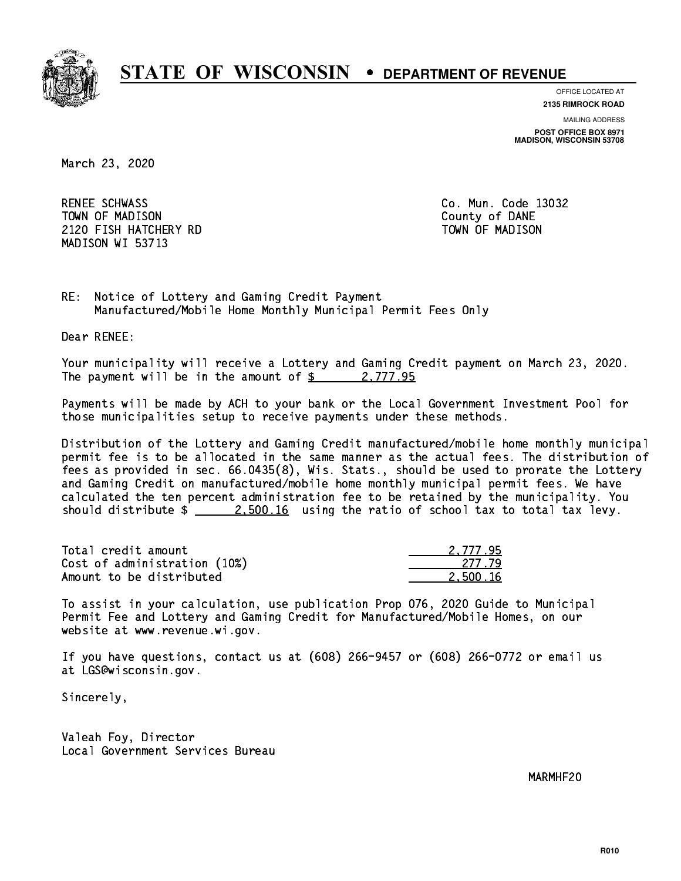

**OFFICE LOCATED AT**

**2135 RIMROCK ROAD**

**MAILING ADDRESS POST OFFICE BOX 8971 MADISON, WISCONSIN 53708**

March 23, 2020

RENEE SCHWASS TOWN OF MADISON County of DANE 2120 FISH HATCHERY RD TOWN OF MADISON MADISON WI 53713

Co. Mun. Code 13032

RE: Notice of Lottery and Gaming Credit Payment Manufactured/Mobile Home Monthly Municipal Permit Fees Only

Dear RENEE:

 Your municipality will receive a Lottery and Gaming Credit payment on March 23, 2020. The payment will be in the amount of  $\frac{2}{3}$  2,777.95

 Payments will be made by ACH to your bank or the Local Government Investment Pool for those municipalities setup to receive payments under these methods.

 Distribution of the Lottery and Gaming Credit manufactured/mobile home monthly municipal permit fee is to be allocated in the same manner as the actual fees. The distribution of fees as provided in sec. 66.0435(8), Wis. Stats., should be used to prorate the Lottery and Gaming Credit on manufactured/mobile home monthly municipal permit fees. We have calculated the ten percent administration fee to be retained by the municipality. You should distribute  $\frac{2.500.16}{2.500.16}$  using the ratio of school tax to total tax levy.

| Total credit amount          | 2.777.95 |
|------------------------------|----------|
| Cost of administration (10%) | -277-79  |
| Amount to be distributed     | 2.500.16 |

 To assist in your calculation, use publication Prop 076, 2020 Guide to Municipal Permit Fee and Lottery and Gaming Credit for Manufactured/Mobile Homes, on our website at www.revenue.wi.gov.

 If you have questions, contact us at (608) 266-9457 or (608) 266-0772 or email us at LGS@wisconsin.gov.

Sincerely,

 Valeah Foy, Director Local Government Services Bureau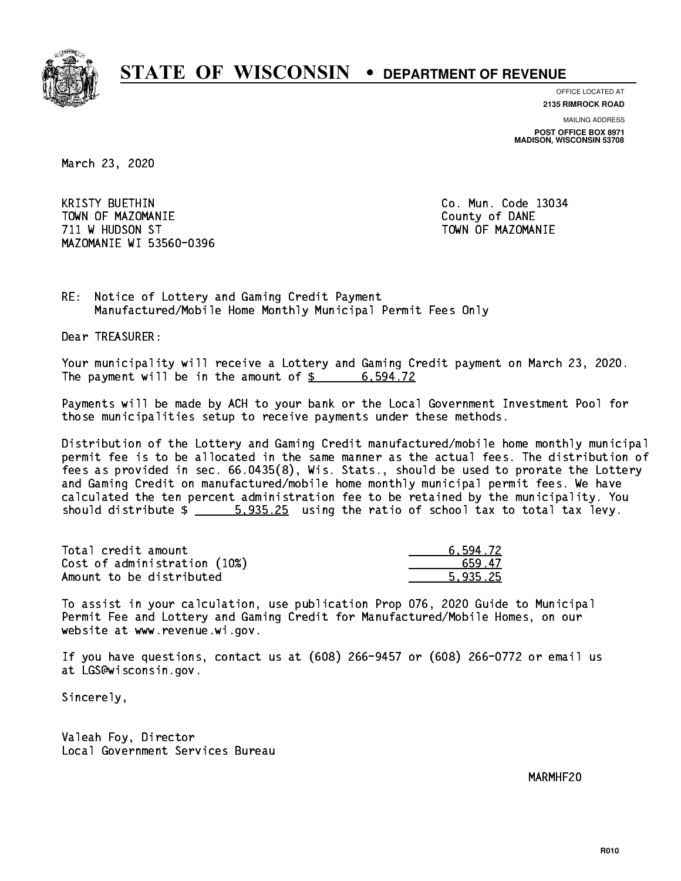

**OFFICE LOCATED AT**

**2135 RIMROCK ROAD**

**MAILING ADDRESS POST OFFICE BOX 8971 MADISON, WISCONSIN 53708**

March 23, 2020

**KRISTY BUETHIN**  TOWN OF MAZOMANIE County of DANE 711 W HUDSON ST TOWN OF MAZOMANIE MAZOMANIE WI 53560-0396

Co. Mun. Code 13034

RE: Notice of Lottery and Gaming Credit Payment Manufactured/Mobile Home Monthly Municipal Permit Fees Only

Dear TREASURER:

 Your municipality will receive a Lottery and Gaming Credit payment on March 23, 2020. The payment will be in the amount of  $\frac{2}{3}$  6,594.72

 Payments will be made by ACH to your bank or the Local Government Investment Pool for those municipalities setup to receive payments under these methods.

 Distribution of the Lottery and Gaming Credit manufactured/mobile home monthly municipal permit fee is to be allocated in the same manner as the actual fees. The distribution of fees as provided in sec. 66.0435(8), Wis. Stats., should be used to prorate the Lottery and Gaming Credit on manufactured/mobile home monthly municipal permit fees. We have calculated the ten percent administration fee to be retained by the municipality. You should distribute  $\frac{25}{2}$  5,935.25 using the ratio of school tax to total tax levy.

| Total credit amount          | 6.594.72 |
|------------------------------|----------|
| Cost of administration (10%) | 659.47   |
| Amount to be distributed     | 5.935.25 |

 To assist in your calculation, use publication Prop 076, 2020 Guide to Municipal Permit Fee and Lottery and Gaming Credit for Manufactured/Mobile Homes, on our website at www.revenue.wi.gov.

 If you have questions, contact us at (608) 266-9457 or (608) 266-0772 or email us at LGS@wisconsin.gov.

Sincerely,

 Valeah Foy, Director Local Government Services Bureau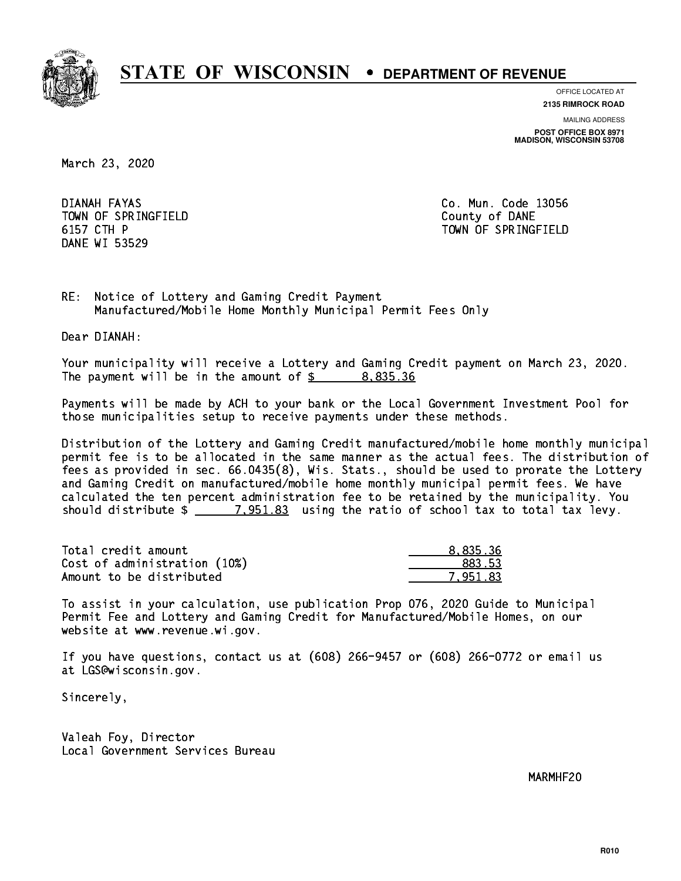

**OFFICE LOCATED AT**

**2135 RIMROCK ROAD**

**MAILING ADDRESS POST OFFICE BOX 8971 MADISON, WISCONSIN 53708**

March 23, 2020

DIANAH FAYAS TOWN OF SPRINGFIELD **COUNTY COUNTY OF DANE** 6157 CTH P DANE WI 53529

Co. Mun. Code 13056 TOWN OF SPRINGFIELD

RE: Notice of Lottery and Gaming Credit Payment Manufactured/Mobile Home Monthly Municipal Permit Fees Only

Dear DIANAH:

 Your municipality will receive a Lottery and Gaming Credit payment on March 23, 2020. The payment will be in the amount of \$ 8,835.36 \_\_\_\_\_\_\_\_\_\_\_\_\_\_\_\_

 Payments will be made by ACH to your bank or the Local Government Investment Pool for those municipalities setup to receive payments under these methods.

 Distribution of the Lottery and Gaming Credit manufactured/mobile home monthly municipal permit fee is to be allocated in the same manner as the actual fees. The distribution of fees as provided in sec. 66.0435(8), Wis. Stats., should be used to prorate the Lottery and Gaming Credit on manufactured/mobile home monthly municipal permit fees. We have calculated the ten percent administration fee to be retained by the municipality. You should distribute  $\frac{2}{2}$   $\frac{7,951.83}{2}$  using the ratio of school tax to total tax levy.

| Total credit amount          | 8.835.36 |
|------------------------------|----------|
| Cost of administration (10%) | 883.53   |
| Amount to be distributed     | 7.951.83 |

 To assist in your calculation, use publication Prop 076, 2020 Guide to Municipal Permit Fee and Lottery and Gaming Credit for Manufactured/Mobile Homes, on our website at www.revenue.wi.gov.

 If you have questions, contact us at (608) 266-9457 or (608) 266-0772 or email us at LGS@wisconsin.gov.

Sincerely,

 Valeah Foy, Director Local Government Services Bureau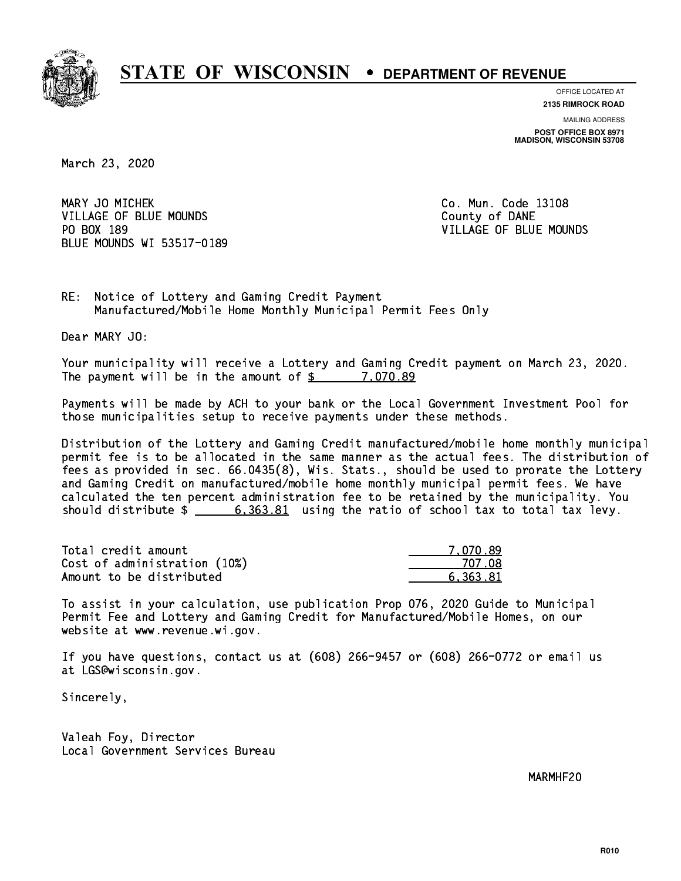

**OFFICE LOCATED AT**

**2135 RIMROCK ROAD**

**MAILING ADDRESS POST OFFICE BOX 8971 MADISON, WISCONSIN 53708**

March 23, 2020

MARY JO MICHEK **Co. Mun. Code 13108** VILLAGE OF BLUE MOUNDS **County of DANE** PO BOX 189 BLUE MOUNDS WI 53517-0189

VILLAGE OF BLUE MOUNDS

RE: Notice of Lottery and Gaming Credit Payment Manufactured/Mobile Home Monthly Municipal Permit Fees Only

Dear MARY JO:

 Your municipality will receive a Lottery and Gaming Credit payment on March 23, 2020. The payment will be in the amount of \$ 7,070.89 \_\_\_\_\_\_\_\_\_\_\_\_\_\_\_\_

 Payments will be made by ACH to your bank or the Local Government Investment Pool for those municipalities setup to receive payments under these methods.

 Distribution of the Lottery and Gaming Credit manufactured/mobile home monthly municipal permit fee is to be allocated in the same manner as the actual fees. The distribution of fees as provided in sec. 66.0435(8), Wis. Stats., should be used to prorate the Lottery and Gaming Credit on manufactured/mobile home monthly municipal permit fees. We have calculated the ten percent administration fee to be retained by the municipality. You should distribute  $\frac{2}{1}$   $\frac{6,363.81}{2}$  using the ratio of school tax to total tax levy.

| Total credit amount          | 7.070.89 |
|------------------------------|----------|
| Cost of administration (10%) | 707 N.   |
| Amount to be distributed     | 6.363.81 |

 To assist in your calculation, use publication Prop 076, 2020 Guide to Municipal Permit Fee and Lottery and Gaming Credit for Manufactured/Mobile Homes, on our website at www.revenue.wi.gov.

 If you have questions, contact us at (608) 266-9457 or (608) 266-0772 or email us at LGS@wisconsin.gov.

Sincerely,

 Valeah Foy, Director Local Government Services Bureau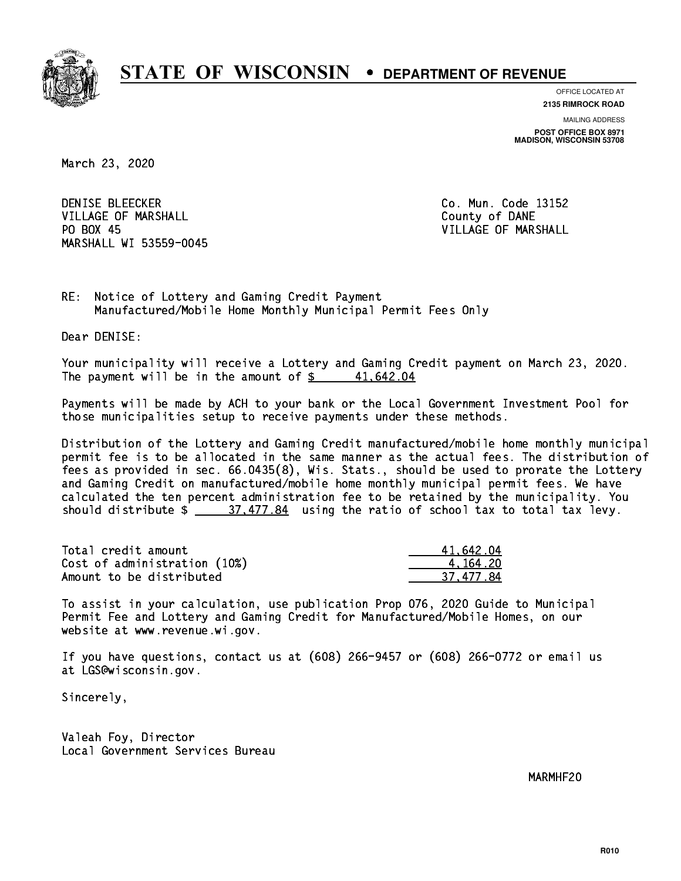

**OFFICE LOCATED AT**

**2135 RIMROCK ROAD**

**MAILING ADDRESS POST OFFICE BOX 8971 MADISON, WISCONSIN 53708**

March 23, 2020

**DENISE BLEECKER** VILLAGE OF MARSHALL **COUNTY OF MARSHALL** PO BOX 45 MARSHALL WI 53559-0045

Co. Mun. Code 13152 VILLAGE OF MARSHALL

RE: Notice of Lottery and Gaming Credit Payment Manufactured/Mobile Home Monthly Municipal Permit Fees Only

Dear DENISE:

 Your municipality will receive a Lottery and Gaming Credit payment on March 23, 2020. The payment will be in the amount of  $\frac{2}{3}$  41,642.04

 Payments will be made by ACH to your bank or the Local Government Investment Pool for those municipalities setup to receive payments under these methods.

 Distribution of the Lottery and Gaming Credit manufactured/mobile home monthly municipal permit fee is to be allocated in the same manner as the actual fees. The distribution of fees as provided in sec. 66.0435(8), Wis. Stats., should be used to prorate the Lottery and Gaming Credit on manufactured/mobile home monthly municipal permit fees. We have calculated the ten percent administration fee to be retained by the municipality. You should distribute  $\frac{27.477.84}{27.84}$  using the ratio of school tax to total tax levy.

| Total credit amount          | 41,642.04 |
|------------------------------|-----------|
| Cost of administration (10%) | 4.164.20  |
| Amount to be distributed     | 37.477.84 |

 To assist in your calculation, use publication Prop 076, 2020 Guide to Municipal Permit Fee and Lottery and Gaming Credit for Manufactured/Mobile Homes, on our website at www.revenue.wi.gov.

 If you have questions, contact us at (608) 266-9457 or (608) 266-0772 or email us at LGS@wisconsin.gov.

Sincerely,

 Valeah Foy, Director Local Government Services Bureau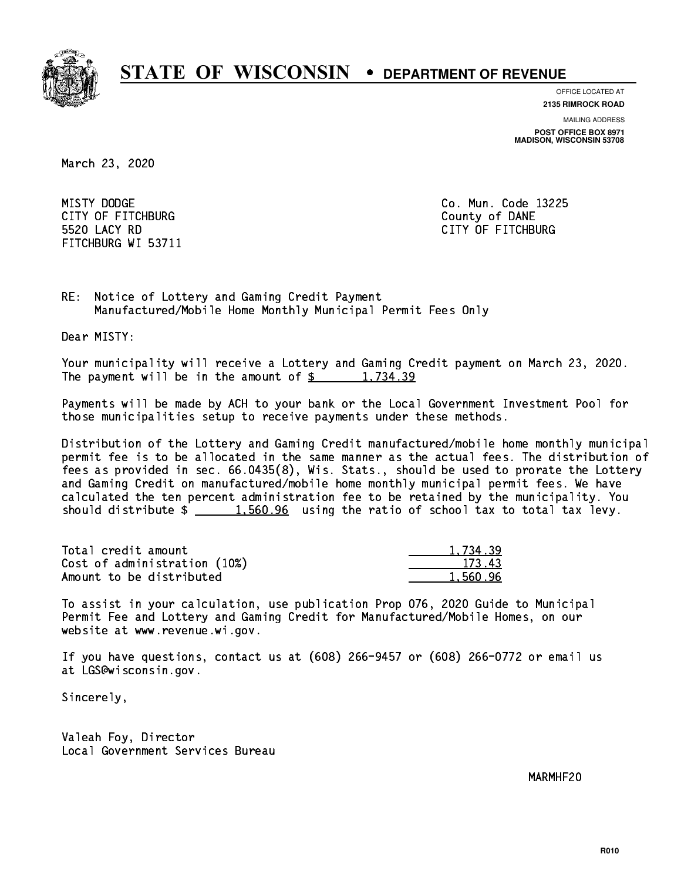

**OFFICE LOCATED AT**

**2135 RIMROCK ROAD**

**MAILING ADDRESS POST OFFICE BOX 8971 MADISON, WISCONSIN 53708**

March 23, 2020

MISTY DODGE CITY OF FITCHBURG COUNTY COUNTY OF DANE 5520 LACY RD FITCHBURG WI 53711

Co. Mun. Code 13225 CITY OF FITCHBURG

RE: Notice of Lottery and Gaming Credit Payment Manufactured/Mobile Home Monthly Municipal Permit Fees Only

Dear MISTY:

 Your municipality will receive a Lottery and Gaming Credit payment on March 23, 2020. The payment will be in the amount of  $\frac{2}{3}$  1,734.39

 Payments will be made by ACH to your bank or the Local Government Investment Pool for those municipalities setup to receive payments under these methods.

 Distribution of the Lottery and Gaming Credit manufactured/mobile home monthly municipal permit fee is to be allocated in the same manner as the actual fees. The distribution of fees as provided in sec. 66.0435(8), Wis. Stats., should be used to prorate the Lottery and Gaming Credit on manufactured/mobile home monthly municipal permit fees. We have calculated the ten percent administration fee to be retained by the municipality. You should distribute  $\frac{1.560.96}{1.560.96}$  using the ratio of school tax to total tax levy.

| Total credit amount          | 1,734.39 |
|------------------------------|----------|
| Cost of administration (10%) | 173.43   |
| Amount to be distributed     | 1.560.96 |

 To assist in your calculation, use publication Prop 076, 2020 Guide to Municipal Permit Fee and Lottery and Gaming Credit for Manufactured/Mobile Homes, on our website at www.revenue.wi.gov.

 If you have questions, contact us at (608) 266-9457 or (608) 266-0772 or email us at LGS@wisconsin.gov.

Sincerely,

 Valeah Foy, Director Local Government Services Bureau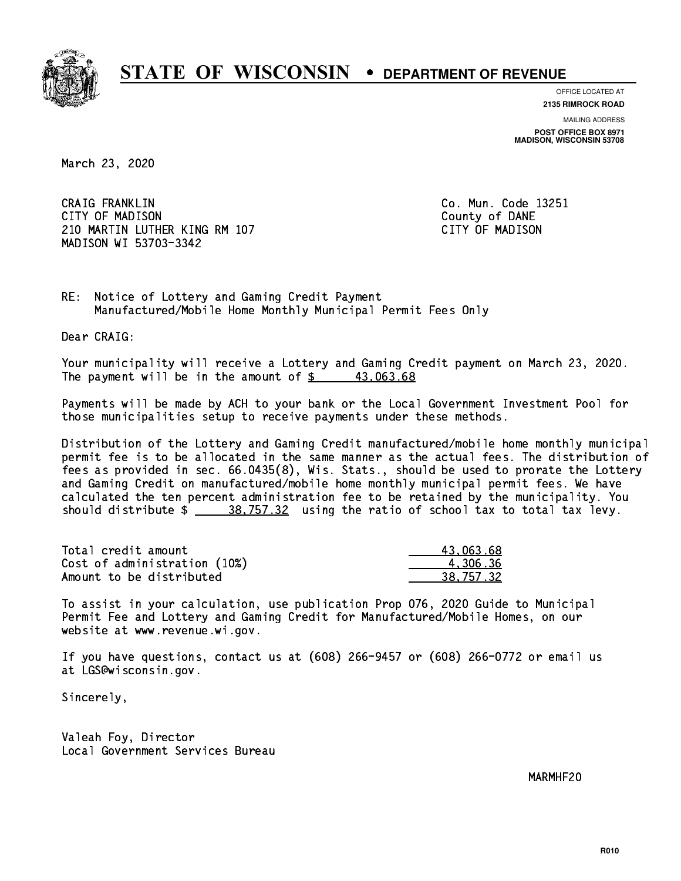

**OFFICE LOCATED AT**

**2135 RIMROCK ROAD**

**MAILING ADDRESS POST OFFICE BOX 8971 MADISON, WISCONSIN 53708**

March 23, 2020

 CRAIG FRANKLIN Co. Mun. Code 13251 CITY OF MADISON County of DANE 210 MARTIN LUTHER KING RM 107 CONTROLLER STATES TO MADISON MADISON WI 53703-3342

RE: Notice of Lottery and Gaming Credit Payment Manufactured/Mobile Home Monthly Municipal Permit Fees Only

Dear CRAIG:

 Your municipality will receive a Lottery and Gaming Credit payment on March 23, 2020. The payment will be in the amount of  $\frac{2}{3}$  43,063.68

 Payments will be made by ACH to your bank or the Local Government Investment Pool for those municipalities setup to receive payments under these methods.

 Distribution of the Lottery and Gaming Credit manufactured/mobile home monthly municipal permit fee is to be allocated in the same manner as the actual fees. The distribution of fees as provided in sec. 66.0435(8), Wis. Stats., should be used to prorate the Lottery and Gaming Credit on manufactured/mobile home monthly municipal permit fees. We have calculated the ten percent administration fee to be retained by the municipality. You should distribute  $\frac{28.757.32}{2}$  using the ratio of school tax to total tax levy.

| Total credit amount          | 43.063.68 |
|------------------------------|-----------|
| Cost of administration (10%) | 4.306.36  |
| Amount to be distributed     | 38.757.32 |

 To assist in your calculation, use publication Prop 076, 2020 Guide to Municipal Permit Fee and Lottery and Gaming Credit for Manufactured/Mobile Homes, on our website at www.revenue.wi.gov.

 If you have questions, contact us at (608) 266-9457 or (608) 266-0772 or email us at LGS@wisconsin.gov.

Sincerely,

 Valeah Foy, Director Local Government Services Bureau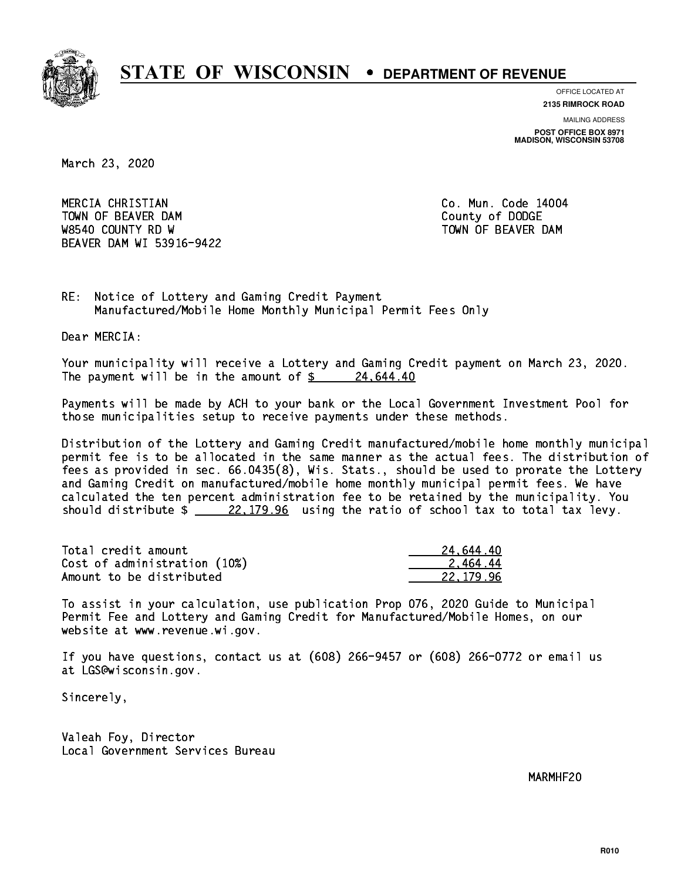

**OFFICE LOCATED AT**

**2135 RIMROCK ROAD**

**MAILING ADDRESS POST OFFICE BOX 8971 MADISON, WISCONSIN 53708**

March 23, 2020

 MERCIA CHRISTIAN Co. Mun. Code 14004 TOWN OF BEAVER DAM **COUNTY OF SEARCH COUNTY OF DODGE** W8540 COUNTY RD W TOWN OF BEAVER DAM BEAVER DAM WI 53916-9422

RE: Notice of Lottery and Gaming Credit Payment Manufactured/Mobile Home Monthly Municipal Permit Fees Only

Dear MERCIA:

 Your municipality will receive a Lottery and Gaming Credit payment on March 23, 2020. The payment will be in the amount of  $\frac{24,644.40}{24,644.40}$ 

 Payments will be made by ACH to your bank or the Local Government Investment Pool for those municipalities setup to receive payments under these methods.

 Distribution of the Lottery and Gaming Credit manufactured/mobile home monthly municipal permit fee is to be allocated in the same manner as the actual fees. The distribution of fees as provided in sec. 66.0435(8), Wis. Stats., should be used to prorate the Lottery and Gaming Credit on manufactured/mobile home monthly municipal permit fees. We have calculated the ten percent administration fee to be retained by the municipality. You should distribute  $\frac{22,179.96}{22,179.96}$  using the ratio of school tax to total tax levy.

| Total credit amount          | 24.644.40 |
|------------------------------|-----------|
| Cost of administration (10%) | 2.464.44  |
| Amount to be distributed     | 22.179.96 |

 To assist in your calculation, use publication Prop 076, 2020 Guide to Municipal Permit Fee and Lottery and Gaming Credit for Manufactured/Mobile Homes, on our website at www.revenue.wi.gov.

 If you have questions, contact us at (608) 266-9457 or (608) 266-0772 or email us at LGS@wisconsin.gov.

Sincerely,

 Valeah Foy, Director Local Government Services Bureau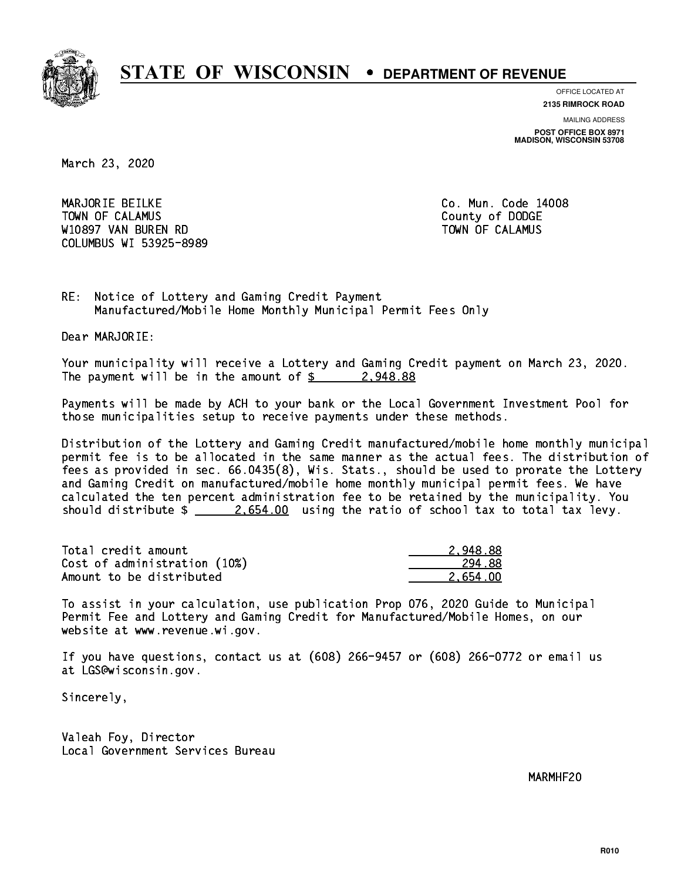

**OFFICE LOCATED AT 2135 RIMROCK ROAD**

**MAILING ADDRESS POST OFFICE BOX 8971 MADISON, WISCONSIN 53708**

March 23, 2020

 MARJORIE BEILKE Co. Mun. Code 14008 Town of Calamus County of Dodge County of Dodge County of Dodge County of Dodge County of Dodge County of Dodge W10897 VAN BUREN RD TOWN OF CALAMUS COLUMBUS WI 53925-8989

RE: Notice of Lottery and Gaming Credit Payment Manufactured/Mobile Home Monthly Municipal Permit Fees Only

Dear MARJORIE:

 Your municipality will receive a Lottery and Gaming Credit payment on March 23, 2020. The payment will be in the amount of  $\frac{2}{9}$  2,948.88

 Payments will be made by ACH to your bank or the Local Government Investment Pool for those municipalities setup to receive payments under these methods.

 Distribution of the Lottery and Gaming Credit manufactured/mobile home monthly municipal permit fee is to be allocated in the same manner as the actual fees. The distribution of fees as provided in sec. 66.0435(8), Wis. Stats., should be used to prorate the Lottery and Gaming Credit on manufactured/mobile home monthly municipal permit fees. We have calculated the ten percent administration fee to be retained by the municipality. You should distribute  $\frac{2.654.00}{2.654.00}$  using the ratio of school tax to total tax levy.

| Total credit amount          | 2.948.88 |
|------------------------------|----------|
| Cost of administration (10%) | 294.88   |
| Amount to be distributed     | 2.654.00 |

 To assist in your calculation, use publication Prop 076, 2020 Guide to Municipal Permit Fee and Lottery and Gaming Credit for Manufactured/Mobile Homes, on our website at www.revenue.wi.gov.

 If you have questions, contact us at (608) 266-9457 or (608) 266-0772 or email us at LGS@wisconsin.gov.

Sincerely,

 Valeah Foy, Director Local Government Services Bureau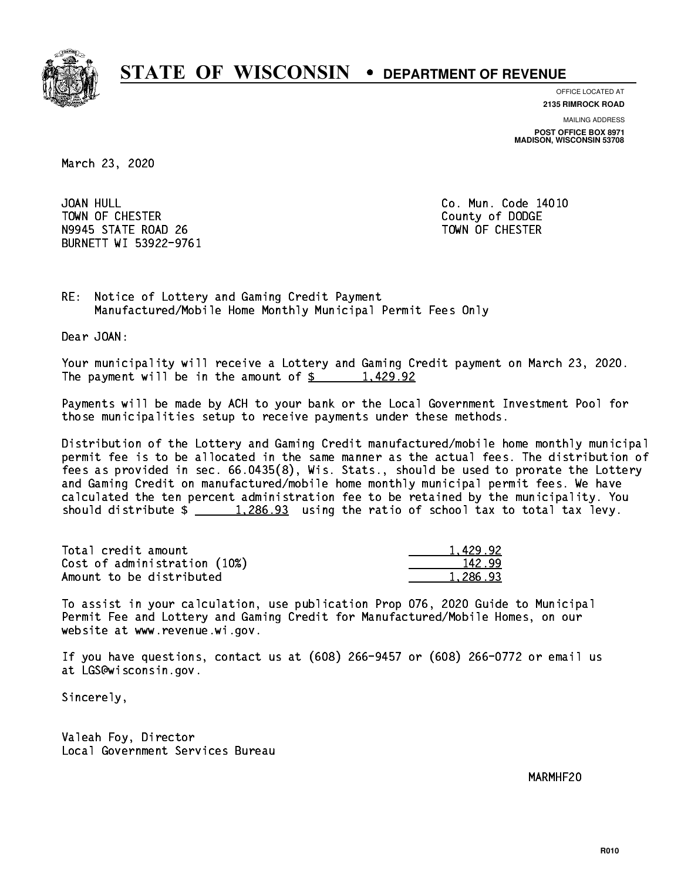

**OFFICE LOCATED AT**

**2135 RIMROCK ROAD**

**MAILING ADDRESS POST OFFICE BOX 8971 MADISON, WISCONSIN 53708**

March 23, 2020

JOAN HULL TOWN OF CHESTER COUNTY OF DODGE COUNTY OF DODGE N9945 STATE ROAD 26 TOWN OF CHESTER BURNETT WI 53922-9761

Co. Mun. Code 14010

RE: Notice of Lottery and Gaming Credit Payment Manufactured/Mobile Home Monthly Municipal Permit Fees Only

Dear JOAN:

 Your municipality will receive a Lottery and Gaming Credit payment on March 23, 2020. The payment will be in the amount of  $\frac{2}{3}$  1,429.92

 Payments will be made by ACH to your bank or the Local Government Investment Pool for those municipalities setup to receive payments under these methods.

 Distribution of the Lottery and Gaming Credit manufactured/mobile home monthly municipal permit fee is to be allocated in the same manner as the actual fees. The distribution of fees as provided in sec. 66.0435(8), Wis. Stats., should be used to prorate the Lottery and Gaming Credit on manufactured/mobile home monthly municipal permit fees. We have calculated the ten percent administration fee to be retained by the municipality. You should distribute  $\frac{1,286.93}{1,286.93}$  using the ratio of school tax to total tax levy.

| Total credit amount          | 1.429.92 |
|------------------------------|----------|
| Cost of administration (10%) | 142.99   |
| Amount to be distributed     | 1.286.93 |

 To assist in your calculation, use publication Prop 076, 2020 Guide to Municipal Permit Fee and Lottery and Gaming Credit for Manufactured/Mobile Homes, on our website at www.revenue.wi.gov.

 If you have questions, contact us at (608) 266-9457 or (608) 266-0772 or email us at LGS@wisconsin.gov.

Sincerely,

 Valeah Foy, Director Local Government Services Bureau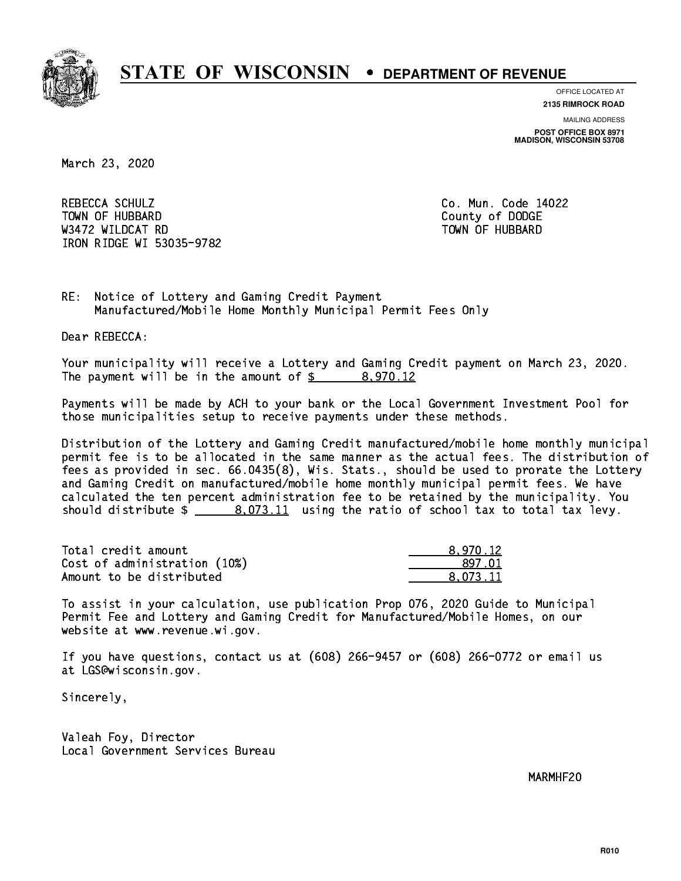

**OFFICE LOCATED AT 2135 RIMROCK ROAD**

**MAILING ADDRESS**

**POST OFFICE BOX 8971 MADISON, WISCONSIN 53708**

March 23, 2020

REBECCA SCHULZ Town of Hubbard County of Dodge County of Dodge County of Dodge County of Dodge County of Dodge County of Dodge County of Dodge County of Dodge County of Dodge County of Dodge County of Dodge County of Dodge County of Dodg was a constructed by the construction of the construction of the construction of the construction of the construction of the construction of the construction of the construction of the construction of the construction of t IRON RIDGE WI 53035-9782

Co. Mun. Code 14022

RE: Notice of Lottery and Gaming Credit Payment Manufactured/Mobile Home Monthly Municipal Permit Fees Only

Dear REBECCA:

 Your municipality will receive a Lottery and Gaming Credit payment on March 23, 2020. The payment will be in the amount of  $\frac{2}{3}$  8,970.12

 Payments will be made by ACH to your bank or the Local Government Investment Pool for those municipalities setup to receive payments under these methods.

 Distribution of the Lottery and Gaming Credit manufactured/mobile home monthly municipal permit fee is to be allocated in the same manner as the actual fees. The distribution of fees as provided in sec. 66.0435(8), Wis. Stats., should be used to prorate the Lottery and Gaming Credit on manufactured/mobile home monthly municipal permit fees. We have calculated the ten percent administration fee to be retained by the municipality. You should distribute  $\frac{2}{1}$   $\frac{8,073.11}{2}$  using the ratio of school tax to total tax levy.

| Total credit amount          | 8,970.12 |
|------------------------------|----------|
| Cost of administration (10%) | 897.01   |
| Amount to be distributed     | 8.073.11 |

 To assist in your calculation, use publication Prop 076, 2020 Guide to Municipal Permit Fee and Lottery and Gaming Credit for Manufactured/Mobile Homes, on our website at www.revenue.wi.gov.

 If you have questions, contact us at (608) 266-9457 or (608) 266-0772 or email us at LGS@wisconsin.gov.

Sincerely,

 Valeah Foy, Director Local Government Services Bureau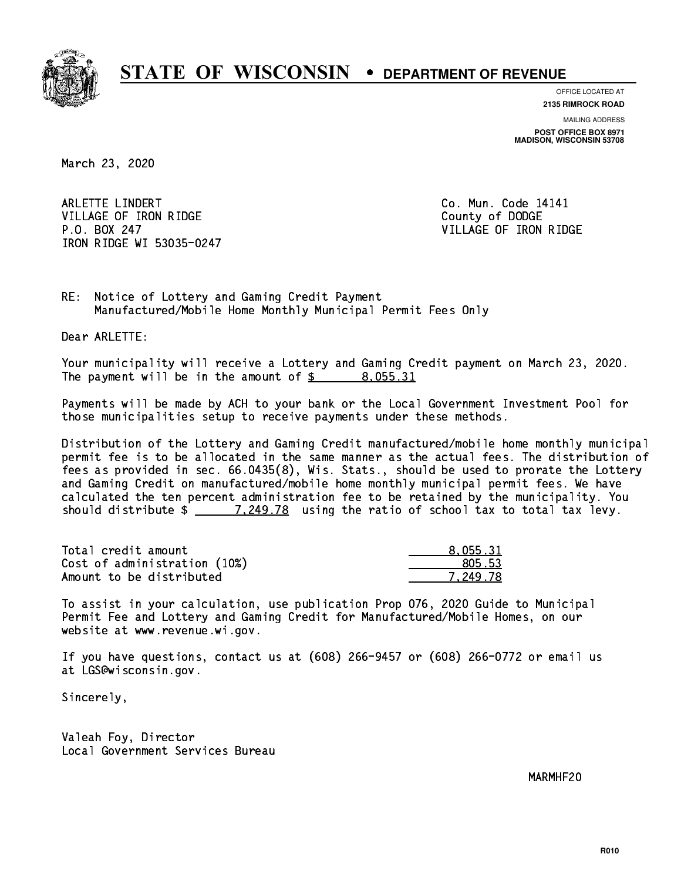

**OFFICE LOCATED AT**

**2135 RIMROCK ROAD**

**MAILING ADDRESS POST OFFICE BOX 8971 MADISON, WISCONSIN 53708**

March 23, 2020

ARLETTE LINDERT **Co. Mun. Code 14141** VILLAGE OF IRON RIDGE COUNTY OF DODGE P.O. BOX 247 VILLAGE OF IRON RIDGE IRON RIDGE WI 53035-0247

RE: Notice of Lottery and Gaming Credit Payment Manufactured/Mobile Home Monthly Municipal Permit Fees Only

Dear ARLETTE:

 Your municipality will receive a Lottery and Gaming Credit payment on March 23, 2020. The payment will be in the amount of  $\frac{2}{3}$  8,055.31

 Payments will be made by ACH to your bank or the Local Government Investment Pool for those municipalities setup to receive payments under these methods.

 Distribution of the Lottery and Gaming Credit manufactured/mobile home monthly municipal permit fee is to be allocated in the same manner as the actual fees. The distribution of fees as provided in sec. 66.0435(8), Wis. Stats., should be used to prorate the Lottery and Gaming Credit on manufactured/mobile home monthly municipal permit fees. We have calculated the ten percent administration fee to be retained by the municipality. You should distribute  $\frac{249.78}{1.249.78}$  using the ratio of school tax to total tax levy.

| Total credit amount          | 8.055.31 |
|------------------------------|----------|
| Cost of administration (10%) | 805.53   |
| Amount to be distributed     | 7.249.78 |

 To assist in your calculation, use publication Prop 076, 2020 Guide to Municipal Permit Fee and Lottery and Gaming Credit for Manufactured/Mobile Homes, on our website at www.revenue.wi.gov.

 If you have questions, contact us at (608) 266-9457 or (608) 266-0772 or email us at LGS@wisconsin.gov.

Sincerely,

 Valeah Foy, Director Local Government Services Bureau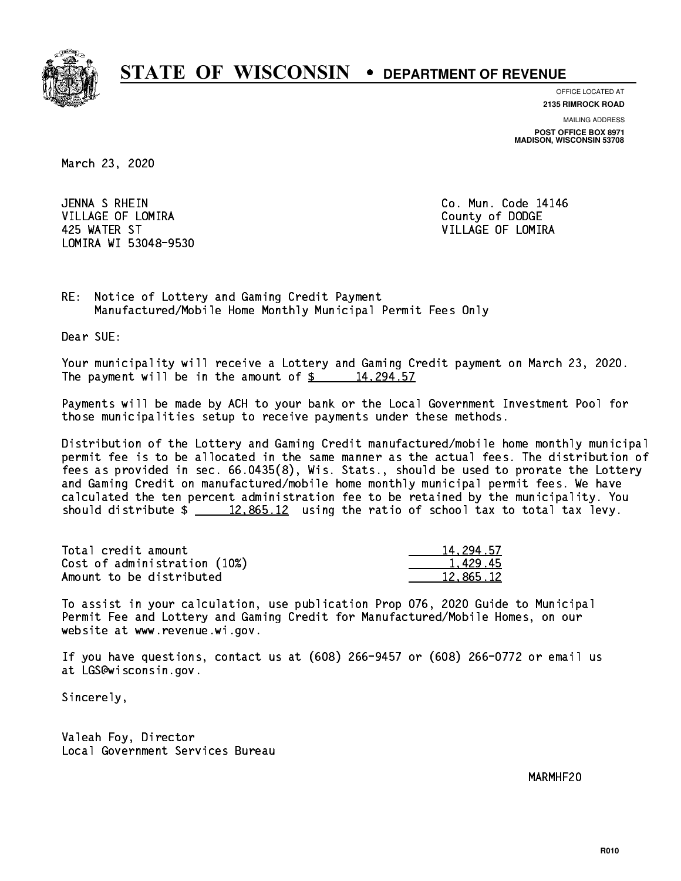

**OFFICE LOCATED AT 2135 RIMROCK ROAD**

**MAILING ADDRESS POST OFFICE BOX 8971 MADISON, WISCONSIN 53708**

March 23, 2020

 JENNA S RHEIN Co. Mun. Code 14146 VILLAGE OF LOMIRA **COUNTY OF LOGAL COUNTY OF DODGE**  425 WATER ST VILLAGE OF LOMIRA LOMIRA WI 53048-9530

RE: Notice of Lottery and Gaming Credit Payment Manufactured/Mobile Home Monthly Municipal Permit Fees Only

Dear SUE:

 Your municipality will receive a Lottery and Gaming Credit payment on March 23, 2020. The payment will be in the amount of  $\frac{2}{3}$  14,294.57

 Payments will be made by ACH to your bank or the Local Government Investment Pool for those municipalities setup to receive payments under these methods.

 Distribution of the Lottery and Gaming Credit manufactured/mobile home monthly municipal permit fee is to be allocated in the same manner as the actual fees. The distribution of fees as provided in sec. 66.0435(8), Wis. Stats., should be used to prorate the Lottery and Gaming Credit on manufactured/mobile home monthly municipal permit fees. We have calculated the ten percent administration fee to be retained by the municipality. You should distribute  $\frac{2}{2}$   $\frac{12,865.12}{2}$  using the ratio of school tax to total tax levy.

| Total credit amount          | 14,294.57 |
|------------------------------|-----------|
| Cost of administration (10%) | 1.429.45  |
| Amount to be distributed     | 12,865.12 |

 To assist in your calculation, use publication Prop 076, 2020 Guide to Municipal Permit Fee and Lottery and Gaming Credit for Manufactured/Mobile Homes, on our website at www.revenue.wi.gov.

 If you have questions, contact us at (608) 266-9457 or (608) 266-0772 or email us at LGS@wisconsin.gov.

Sincerely,

 Valeah Foy, Director Local Government Services Bureau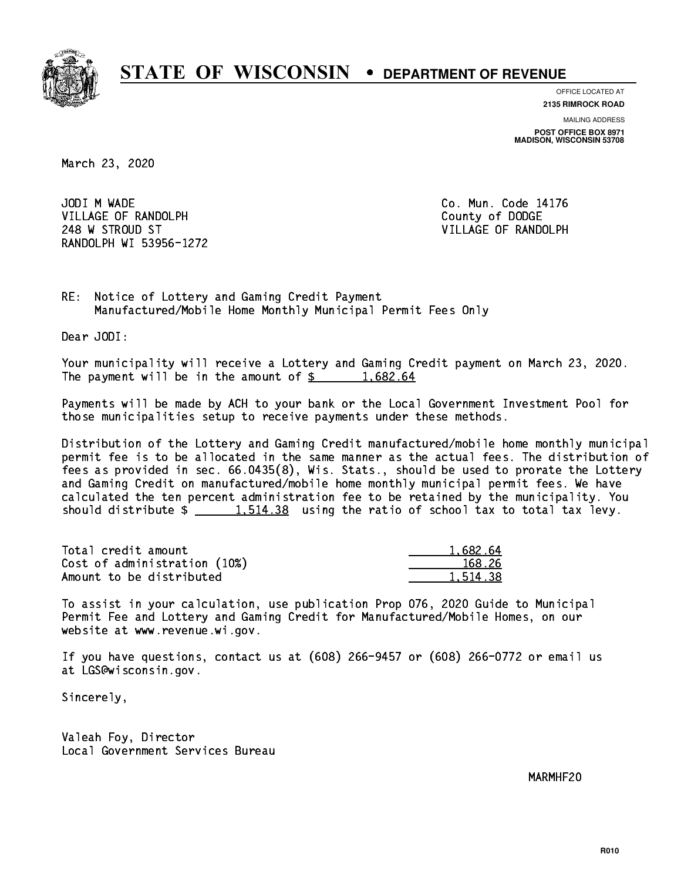

**OFFICE LOCATED AT**

**2135 RIMROCK ROAD**

**MAILING ADDRESS POST OFFICE BOX 8971 MADISON, WISCONSIN 53708**

March 23, 2020

JODI M WADE VILLAGE OF RANDOLPH COUNTY COUNTY OF DODGE 248 W STROUD ST VILLAGE OF RANDOLPH RANDOLPH WI 53956-1272

Co. Mun. Code 14176

RE: Notice of Lottery and Gaming Credit Payment Manufactured/Mobile Home Monthly Municipal Permit Fees Only

Dear JODI:

 Your municipality will receive a Lottery and Gaming Credit payment on March 23, 2020. The payment will be in the amount of  $\frac{2}{3}$  1,682.64

 Payments will be made by ACH to your bank or the Local Government Investment Pool for those municipalities setup to receive payments under these methods.

 Distribution of the Lottery and Gaming Credit manufactured/mobile home monthly municipal permit fee is to be allocated in the same manner as the actual fees. The distribution of fees as provided in sec. 66.0435(8), Wis. Stats., should be used to prorate the Lottery and Gaming Credit on manufactured/mobile home monthly municipal permit fees. We have calculated the ten percent administration fee to be retained by the municipality. You should distribute  $\frac{1.514.38}{1.514.38}$  using the ratio of school tax to total tax levy.

| Total credit amount          | 1.682.64 |
|------------------------------|----------|
| Cost of administration (10%) | 168.26   |
| Amount to be distributed     | 1,514.38 |

 To assist in your calculation, use publication Prop 076, 2020 Guide to Municipal Permit Fee and Lottery and Gaming Credit for Manufactured/Mobile Homes, on our website at www.revenue.wi.gov.

 If you have questions, contact us at (608) 266-9457 or (608) 266-0772 or email us at LGS@wisconsin.gov.

Sincerely,

 Valeah Foy, Director Local Government Services Bureau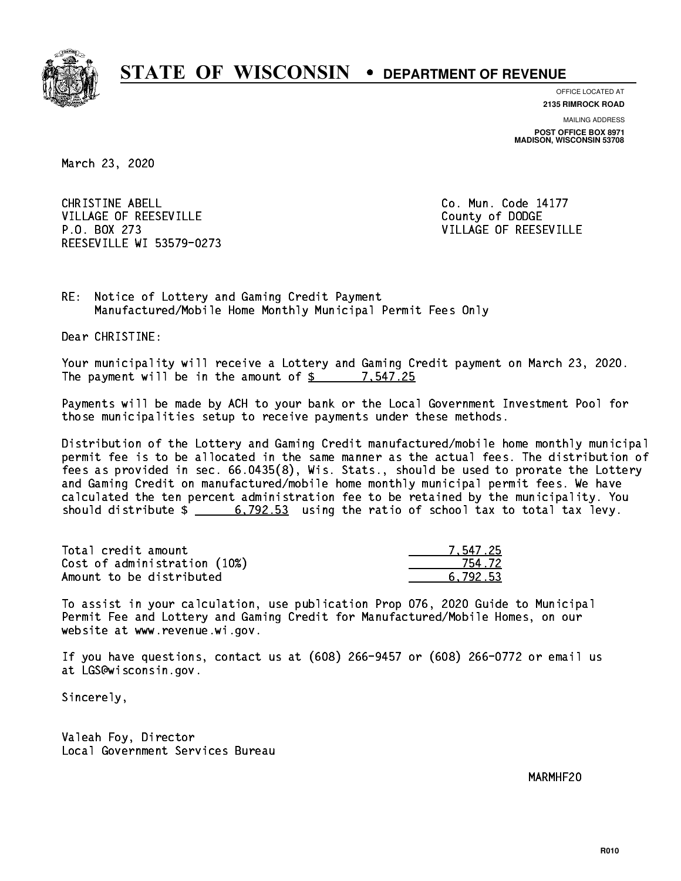

**OFFICE LOCATED AT**

**2135 RIMROCK ROAD**

**MAILING ADDRESS POST OFFICE BOX 8971 MADISON, WISCONSIN 53708**

March 23, 2020

CHRISTINE ABELL **CHRISTINE ABELL** VILLAGE OF REESEVILLE COUNTY OF DODGE P.O. BOX 273 VILLAGE OF REESEVILLE REESEVILLE WI 53579-0273

RE: Notice of Lottery and Gaming Credit Payment Manufactured/Mobile Home Monthly Municipal Permit Fees Only

Dear CHRISTINE:

 Your municipality will receive a Lottery and Gaming Credit payment on March 23, 2020. The payment will be in the amount of  $\frac{25}{100}$  7,547.25

 Payments will be made by ACH to your bank or the Local Government Investment Pool for those municipalities setup to receive payments under these methods.

 Distribution of the Lottery and Gaming Credit manufactured/mobile home monthly municipal permit fee is to be allocated in the same manner as the actual fees. The distribution of fees as provided in sec. 66.0435(8), Wis. Stats., should be used to prorate the Lottery and Gaming Credit on manufactured/mobile home monthly municipal permit fees. We have calculated the ten percent administration fee to be retained by the municipality. You should distribute  $\frac{2}{1}$   $\frac{6,792.53}{2}$  using the ratio of school tax to total tax levy.

| Total credit amount          | 7.547.25 |
|------------------------------|----------|
| Cost of administration (10%) | 754.72   |
| Amount to be distributed     | 6.792.53 |

 To assist in your calculation, use publication Prop 076, 2020 Guide to Municipal Permit Fee and Lottery and Gaming Credit for Manufactured/Mobile Homes, on our website at www.revenue.wi.gov.

 If you have questions, contact us at (608) 266-9457 or (608) 266-0772 or email us at LGS@wisconsin.gov.

Sincerely,

 Valeah Foy, Director Local Government Services Bureau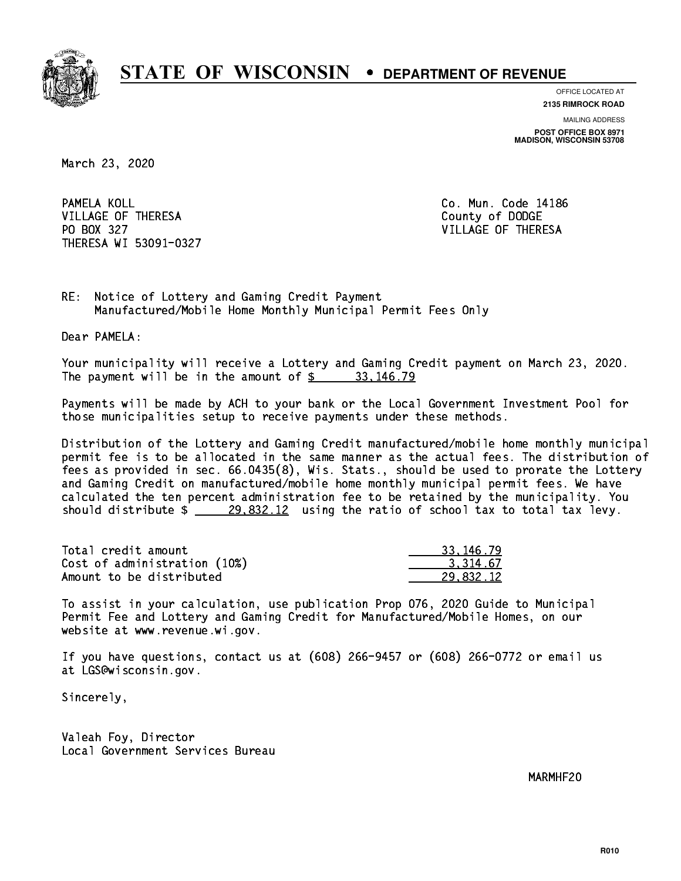

**OFFICE LOCATED AT**

**2135 RIMROCK ROAD**

**MAILING ADDRESS POST OFFICE BOX 8971 MADISON, WISCONSIN 53708**

March 23, 2020

PAMELA KOLL VILLAGE OF THERESA COUNTY OF DODGE PO BOX 327 VILLAGE OF THERESA THERESA WI 53091-0327

Co. Mun. Code 14186

RE: Notice of Lottery and Gaming Credit Payment Manufactured/Mobile Home Monthly Municipal Permit Fees Only

Dear PAMELA:

 Your municipality will receive a Lottery and Gaming Credit payment on March 23, 2020. The payment will be in the amount of  $\frac{2}{3}$  33,146.79

 Payments will be made by ACH to your bank or the Local Government Investment Pool for those municipalities setup to receive payments under these methods.

 Distribution of the Lottery and Gaming Credit manufactured/mobile home monthly municipal permit fee is to be allocated in the same manner as the actual fees. The distribution of fees as provided in sec. 66.0435(8), Wis. Stats., should be used to prorate the Lottery and Gaming Credit on manufactured/mobile home monthly municipal permit fees. We have calculated the ten percent administration fee to be retained by the municipality. You should distribute  $\frac{29,832.12}{29,832.12}$  using the ratio of school tax to total tax levy.

| Total credit amount          | 33.146.79 |
|------------------------------|-----------|
| Cost of administration (10%) | 3.314.67  |
| Amount to be distributed     | 29.832.12 |

 To assist in your calculation, use publication Prop 076, 2020 Guide to Municipal Permit Fee and Lottery and Gaming Credit for Manufactured/Mobile Homes, on our website at www.revenue.wi.gov.

 If you have questions, contact us at (608) 266-9457 or (608) 266-0772 or email us at LGS@wisconsin.gov.

Sincerely,

 Valeah Foy, Director Local Government Services Bureau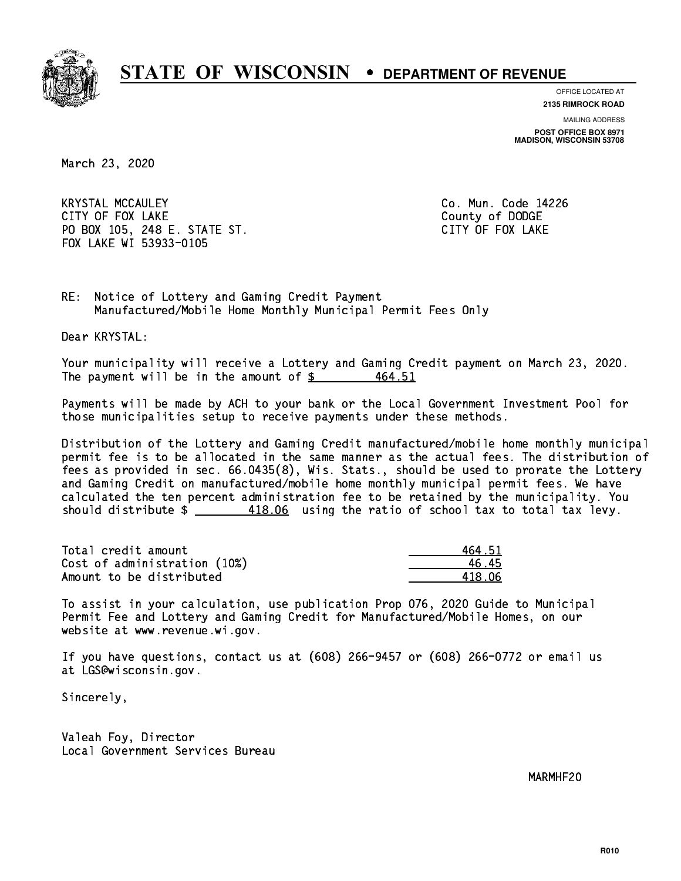

**OFFICE LOCATED AT**

**2135 RIMROCK ROAD**

**MAILING ADDRESS POST OFFICE BOX 8971 MADISON, WISCONSIN 53708**

March 23, 2020

 KRYSTAL MCCAULEY Co. Mun. Code 14226 CITY OF FOUR COUNTY OF FOUR COUNTY OF DODGE COUNTY OF DODGE COUNTY OF DODGE COUNTY OF DODGE COUNTY OF DODGE CO PO BOX 105, 248 E. STATE ST. CITY OF FOX LAKE FOX LAKE WI 53933-0105

RE: Notice of Lottery and Gaming Credit Payment Manufactured/Mobile Home Monthly Municipal Permit Fees Only

Dear KRYSTAL:

 Your municipality will receive a Lottery and Gaming Credit payment on March 23, 2020. The payment will be in the amount of  $\frac{26}{5}$ 464.51

 Payments will be made by ACH to your bank or the Local Government Investment Pool for those municipalities setup to receive payments under these methods.

 Distribution of the Lottery and Gaming Credit manufactured/mobile home monthly municipal permit fee is to be allocated in the same manner as the actual fees. The distribution of fees as provided in sec. 66.0435(8), Wis. Stats., should be used to prorate the Lottery and Gaming Credit on manufactured/mobile home monthly municipal permit fees. We have calculated the ten percent administration fee to be retained by the municipality. You should distribute  $\frac{418.06}{2}$  using the ratio of school tax to total tax levy.

Total credit amount Cost of administration (10%) Amount to be distributed

| 464.51  |
|---------|
| 6.45    |
| 418. በ6 |

 To assist in your calculation, use publication Prop 076, 2020 Guide to Municipal Permit Fee and Lottery and Gaming Credit for Manufactured/Mobile Homes, on our website at www.revenue.wi.gov.

 If you have questions, contact us at (608) 266-9457 or (608) 266-0772 or email us at LGS@wisconsin.gov.

Sincerely,

 Valeah Foy, Director Local Government Services Bureau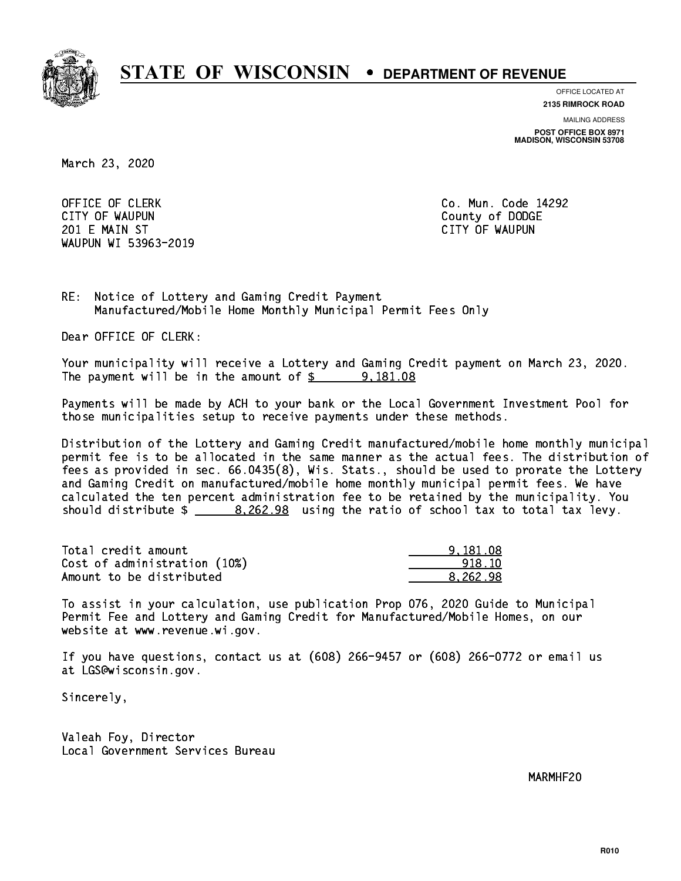

**OFFICE LOCATED AT**

**2135 RIMROCK ROAD**

**MAILING ADDRESS**

**POST OFFICE BOX 8971 MADISON, WISCONSIN 53708**

March 23, 2020

OFFICE OF CLERK **Co. Mun. Code 14292**  CITY OF WAUPUN County of DODGE 201 E MAIN ST CITY OF WAUPUN WAUPUN WI 53963-2019

RE: Notice of Lottery and Gaming Credit Payment Manufactured/Mobile Home Monthly Municipal Permit Fees Only

Dear OFFICE OF CLERK:

 Your municipality will receive a Lottery and Gaming Credit payment on March 23, 2020. The payment will be in the amount of  $\frac{2}{3}$  9,181.08

 Payments will be made by ACH to your bank or the Local Government Investment Pool for those municipalities setup to receive payments under these methods.

 Distribution of the Lottery and Gaming Credit manufactured/mobile home monthly municipal permit fee is to be allocated in the same manner as the actual fees. The distribution of fees as provided in sec. 66.0435(8), Wis. Stats., should be used to prorate the Lottery and Gaming Credit on manufactured/mobile home monthly municipal permit fees. We have calculated the ten percent administration fee to be retained by the municipality. You should distribute  $\frac{2.262.98}{2}$  using the ratio of school tax to total tax levy.

| Total credit amount          | 9.181.08 |
|------------------------------|----------|
| Cost of administration (10%) | 918.10   |
| Amount to be distributed     | 8.262.98 |

 To assist in your calculation, use publication Prop 076, 2020 Guide to Municipal Permit Fee and Lottery and Gaming Credit for Manufactured/Mobile Homes, on our website at www.revenue.wi.gov.

 If you have questions, contact us at (608) 266-9457 or (608) 266-0772 or email us at LGS@wisconsin.gov.

Sincerely,

 Valeah Foy, Director Local Government Services Bureau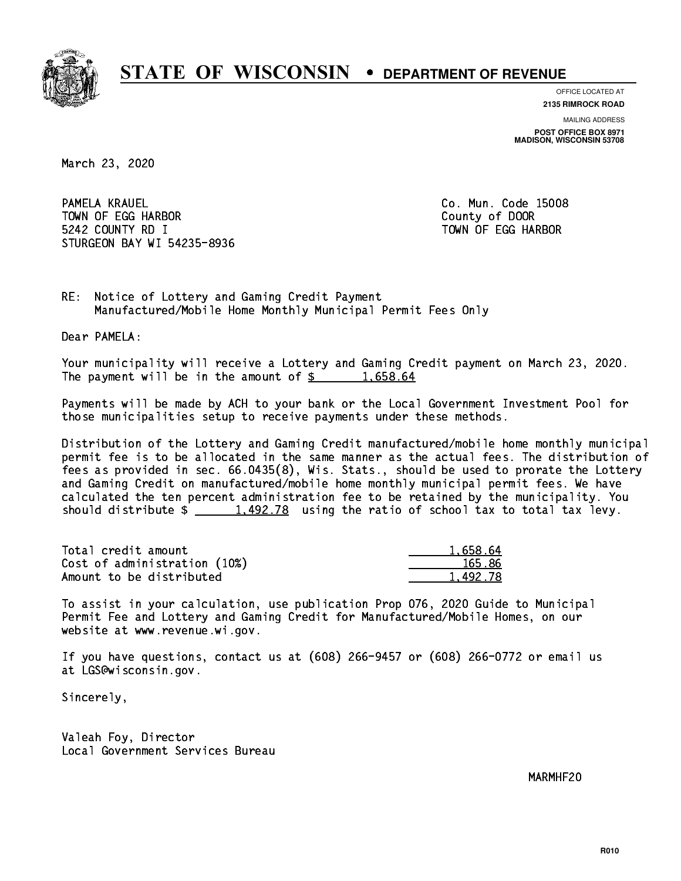

**OFFICE LOCATED AT**

**2135 RIMROCK ROAD**

**MAILING ADDRESS POST OFFICE BOX 8971 MADISON, WISCONSIN 53708**

March 23, 2020

PAMELA KRAUEL TOWN OF EGG HARBOR County of DOOR 5242 COUNTY RD I TOWN OF EGG HARBOR STURGEON BAY WI 54235-8936

Co. Mun. Code 15008

RE: Notice of Lottery and Gaming Credit Payment Manufactured/Mobile Home Monthly Municipal Permit Fees Only

Dear PAMELA:

 Your municipality will receive a Lottery and Gaming Credit payment on March 23, 2020. The payment will be in the amount of  $\frac{2}{3}$  1,658.64

 Payments will be made by ACH to your bank or the Local Government Investment Pool for those municipalities setup to receive payments under these methods.

 Distribution of the Lottery and Gaming Credit manufactured/mobile home monthly municipal permit fee is to be allocated in the same manner as the actual fees. The distribution of fees as provided in sec. 66.0435(8), Wis. Stats., should be used to prorate the Lottery and Gaming Credit on manufactured/mobile home monthly municipal permit fees. We have calculated the ten percent administration fee to be retained by the municipality. You should distribute  $\frac{1.492.78}{1.492.78}$  using the ratio of school tax to total tax levy.

| Total credit amount          | 1,658.64 |
|------------------------------|----------|
| Cost of administration (10%) | 165.86   |
| Amount to be distributed     | 1.492.78 |

 To assist in your calculation, use publication Prop 076, 2020 Guide to Municipal Permit Fee and Lottery and Gaming Credit for Manufactured/Mobile Homes, on our website at www.revenue.wi.gov.

 If you have questions, contact us at (608) 266-9457 or (608) 266-0772 or email us at LGS@wisconsin.gov.

Sincerely,

 Valeah Foy, Director Local Government Services Bureau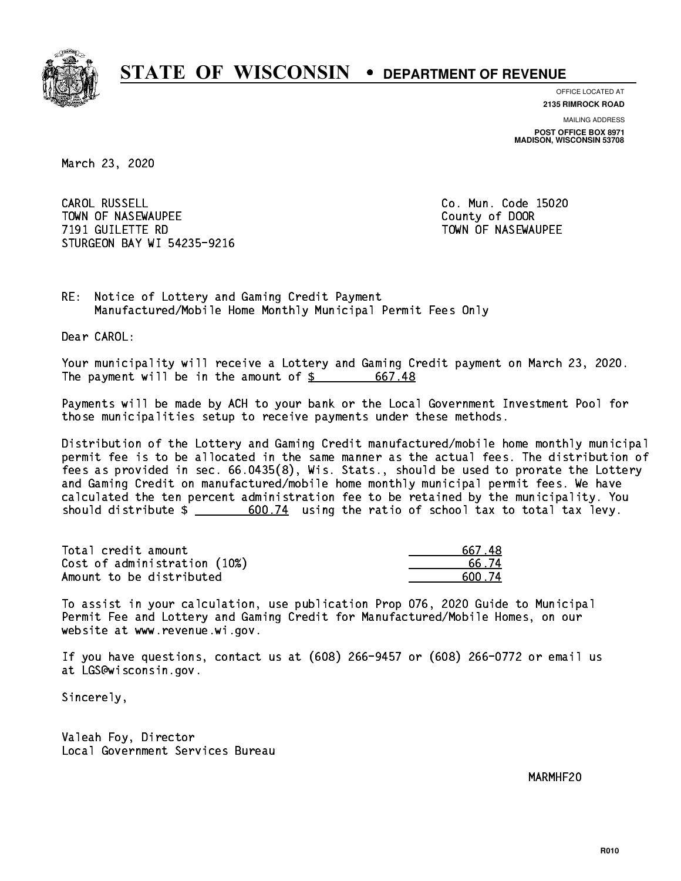

**OFFICE LOCATED AT**

**2135 RIMROCK ROAD**

**MAILING ADDRESS POST OFFICE BOX 8971 MADISON, WISCONSIN 53708**

March 23, 2020

CAROL RUSSELL TOWN OF NASEWAUPEE **TOWA COUNTY OF SEXUAL COUNTY OF DOOR**  7191 GUILETTE RD TOWN OF NASEWAUPEE STURGEON BAY WI 54235-9216

Co. Mun. Code 15020

RE: Notice of Lottery and Gaming Credit Payment Manufactured/Mobile Home Monthly Municipal Permit Fees Only

Dear CAROL:

 Your municipality will receive a Lottery and Gaming Credit payment on March 23, 2020. The payment will be in the amount of \$ 667.48 \_\_\_\_\_\_\_\_\_\_\_\_\_\_\_\_

 Payments will be made by ACH to your bank or the Local Government Investment Pool for those municipalities setup to receive payments under these methods.

 Distribution of the Lottery and Gaming Credit manufactured/mobile home monthly municipal permit fee is to be allocated in the same manner as the actual fees. The distribution of fees as provided in sec. 66.0435(8), Wis. Stats., should be used to prorate the Lottery and Gaming Credit on manufactured/mobile home monthly municipal permit fees. We have calculated the ten percent administration fee to be retained by the municipality. You should distribute  $\frac{2}{1}$   $\frac{600.74}{2}$  using the ratio of school tax to total tax levy.

| Total credit amount          | 667.48  |
|------------------------------|---------|
| Cost of administration (10%) | 66.74   |
| Amount to be distributed     | .600 74 |

 To assist in your calculation, use publication Prop 076, 2020 Guide to Municipal Permit Fee and Lottery and Gaming Credit for Manufactured/Mobile Homes, on our website at www.revenue.wi.gov.

 If you have questions, contact us at (608) 266-9457 or (608) 266-0772 or email us at LGS@wisconsin.gov.

Sincerely,

 Valeah Foy, Director Local Government Services Bureau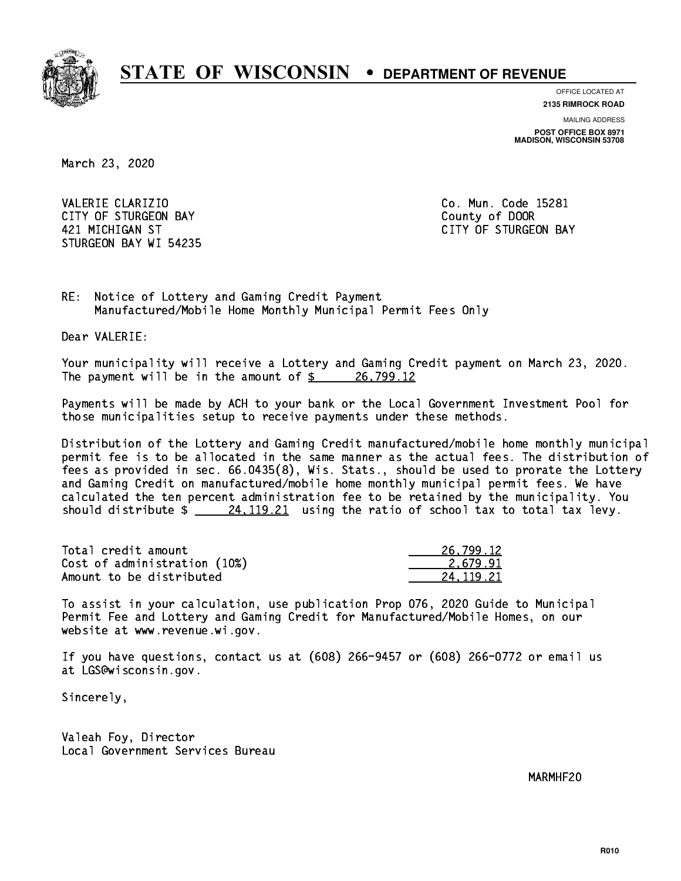

**OFFICE LOCATED AT**

**2135 RIMROCK ROAD**

**MAILING ADDRESS POST OFFICE BOX 8971 MADISON, WISCONSIN 53708**

March 23, 2020

VALERIE CLARIZIO **Co. Mun. Code 15281** CITY OF STURGEON BAY **COUNTY COUNTY OF STURGEON BAY**  421 MICHIGAN ST CITY OF STURGEON BAY STURGEON BAY WI 54235

RE: Notice of Lottery and Gaming Credit Payment Manufactured/Mobile Home Monthly Municipal Permit Fees Only

Dear VALERIE:

 Your municipality will receive a Lottery and Gaming Credit payment on March 23, 2020. The payment will be in the amount of  $\frac{26}{799.12}$ 

 Payments will be made by ACH to your bank or the Local Government Investment Pool for those municipalities setup to receive payments under these methods.

 Distribution of the Lottery and Gaming Credit manufactured/mobile home monthly municipal permit fee is to be allocated in the same manner as the actual fees. The distribution of fees as provided in sec. 66.0435(8), Wis. Stats., should be used to prorate the Lottery and Gaming Credit on manufactured/mobile home monthly municipal permit fees. We have calculated the ten percent administration fee to be retained by the municipality. You should distribute  $\frac{24,119.21}{24,119.21}$  using the ratio of school tax to total tax levy.

| Total credit amount          | 26,799.12 |
|------------------------------|-----------|
| Cost of administration (10%) | 2.679.91  |
| Amount to be distributed     | 24.119.21 |

 To assist in your calculation, use publication Prop 076, 2020 Guide to Municipal Permit Fee and Lottery and Gaming Credit for Manufactured/Mobile Homes, on our website at www.revenue.wi.gov.

 If you have questions, contact us at (608) 266-9457 or (608) 266-0772 or email us at LGS@wisconsin.gov.

Sincerely,

 Valeah Foy, Director Local Government Services Bureau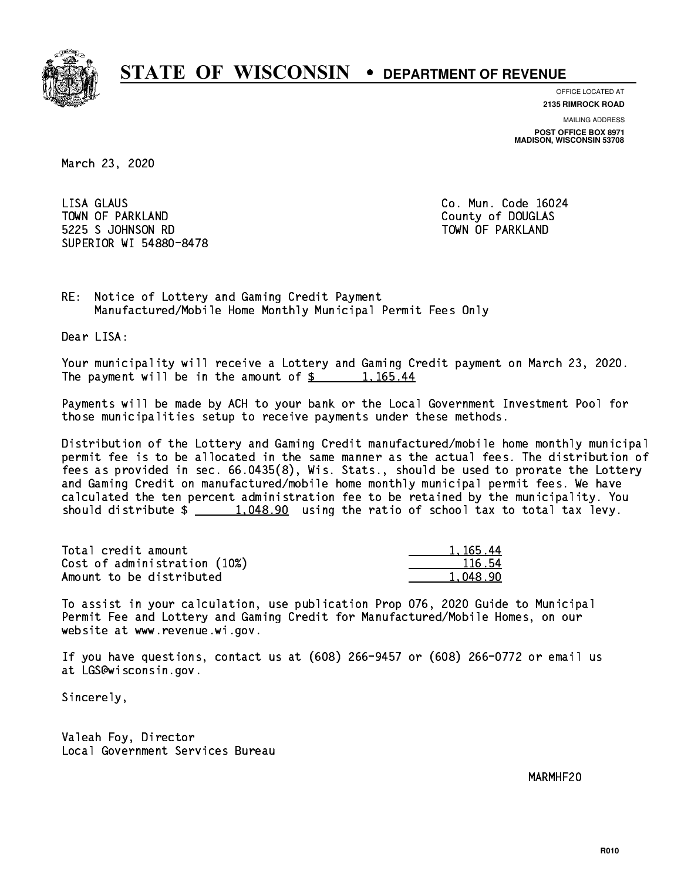

**OFFICE LOCATED AT**

**2135 RIMROCK ROAD**

**MAILING ADDRESS POST OFFICE BOX 8971 MADISON, WISCONSIN 53708**

March 23, 2020

 LISA GLAUS Co. Mun. Code 16024 TOWN OF PARKLAND COUNTY OF DOUGLAS 5225 S JOHNSON RD TOWN OF PARKLAND SUPERIOR WI 54880-8478

RE: Notice of Lottery and Gaming Credit Payment Manufactured/Mobile Home Monthly Municipal Permit Fees Only

Dear LISA:

 Your municipality will receive a Lottery and Gaming Credit payment on March 23, 2020. The payment will be in the amount of  $\frac{2}{3}$  1,165.44

 Payments will be made by ACH to your bank or the Local Government Investment Pool for those municipalities setup to receive payments under these methods.

 Distribution of the Lottery and Gaming Credit manufactured/mobile home monthly municipal permit fee is to be allocated in the same manner as the actual fees. The distribution of fees as provided in sec. 66.0435(8), Wis. Stats., should be used to prorate the Lottery and Gaming Credit on manufactured/mobile home monthly municipal permit fees. We have calculated the ten percent administration fee to be retained by the municipality. You should distribute  $\frac{1,048.90}{1,048.90}$  using the ratio of school tax to total tax levy.

| Total credit amount          | 1.165.44 |
|------------------------------|----------|
| Cost of administration (10%) | 116.54   |
| Amount to be distributed     | 1.048.90 |

 To assist in your calculation, use publication Prop 076, 2020 Guide to Municipal Permit Fee and Lottery and Gaming Credit for Manufactured/Mobile Homes, on our website at www.revenue.wi.gov.

 If you have questions, contact us at (608) 266-9457 or (608) 266-0772 or email us at LGS@wisconsin.gov.

Sincerely,

 Valeah Foy, Director Local Government Services Bureau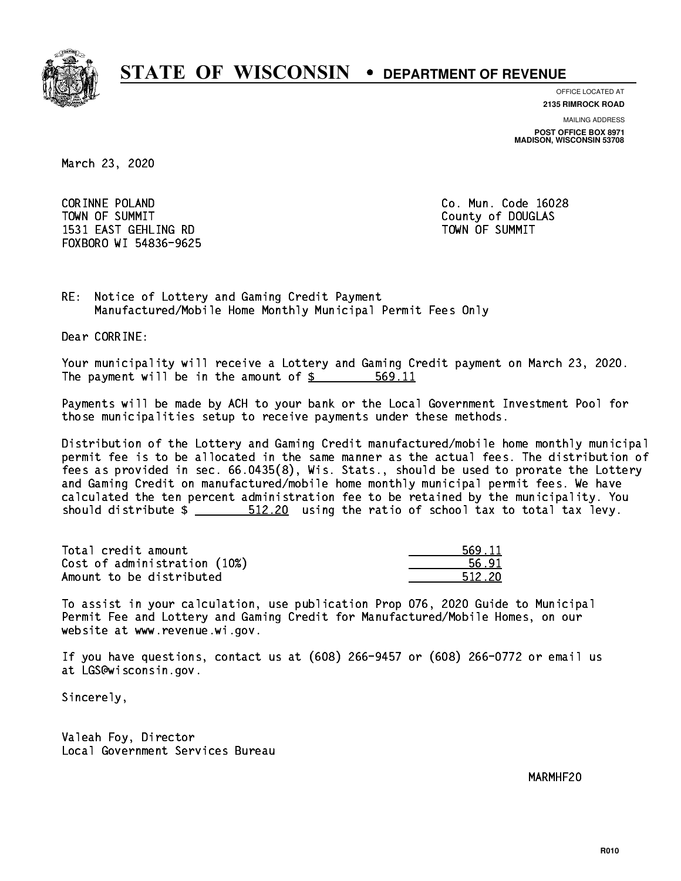

**OFFICE LOCATED AT**

**2135 RIMROCK ROAD**

**MAILING ADDRESS POST OFFICE BOX 8971 MADISON, WISCONSIN 53708**

March 23, 2020

 CORINNE POLAND Co. Mun. Code 16028 TOWN OF SUMMIT County of DOUGLAS 1531 EAST GEHLING RD TOWN OF SUMMIT FOXBORO WI 54836-9625

RE: Notice of Lottery and Gaming Credit Payment Manufactured/Mobile Home Monthly Municipal Permit Fees Only

Dear CORRINE:

 Your municipality will receive a Lottery and Gaming Credit payment on March 23, 2020. The payment will be in the amount of \$ 569.11 \_\_\_\_\_\_\_\_\_\_\_\_\_\_\_\_

 Payments will be made by ACH to your bank or the Local Government Investment Pool for those municipalities setup to receive payments under these methods.

 Distribution of the Lottery and Gaming Credit manufactured/mobile home monthly municipal permit fee is to be allocated in the same manner as the actual fees. The distribution of fees as provided in sec. 66.0435(8), Wis. Stats., should be used to prorate the Lottery and Gaming Credit on manufactured/mobile home monthly municipal permit fees. We have calculated the ten percent administration fee to be retained by the municipality. You should distribute  $\frac{20}{2}$  512.20 using the ratio of school tax to total tax levy.

Total credit amount Cost of administration (10%) Amount to be distributed

| ∣ 11   |
|--------|
| 91     |
| 512 ZN |

 To assist in your calculation, use publication Prop 076, 2020 Guide to Municipal Permit Fee and Lottery and Gaming Credit for Manufactured/Mobile Homes, on our website at www.revenue.wi.gov.

 If you have questions, contact us at (608) 266-9457 or (608) 266-0772 or email us at LGS@wisconsin.gov.

Sincerely,

 Valeah Foy, Director Local Government Services Bureau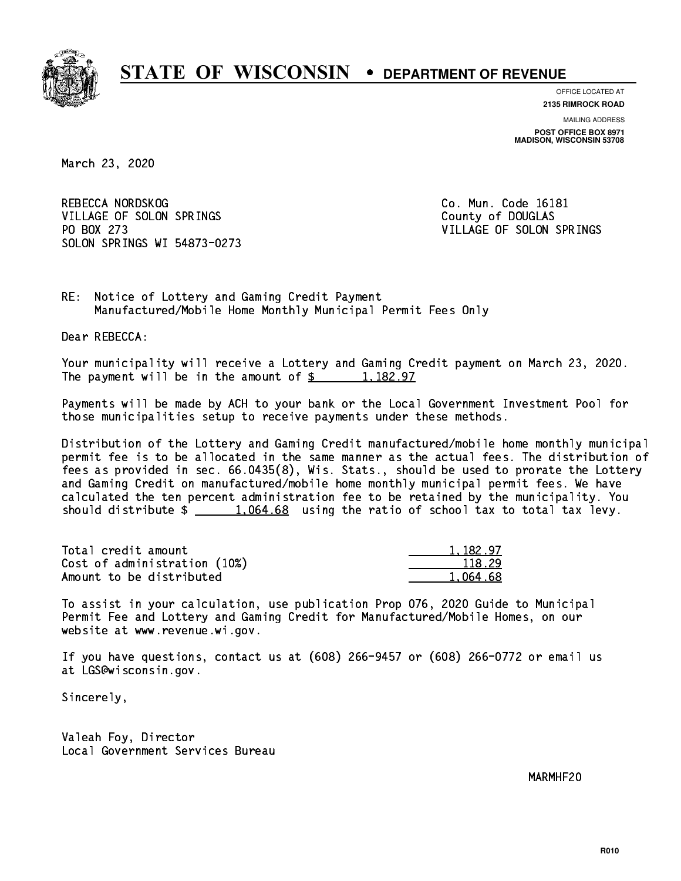

**OFFICE LOCATED AT**

**2135 RIMROCK ROAD**

**MAILING ADDRESS POST OFFICE BOX 8971 MADISON, WISCONSIN 53708**

March 23, 2020

REBECCA NORDSKOG COME CO. Mun. Code 16181 VILLAGE OF SOLON SPRINGS COUNTY OF DOUGLAS PO BOX 273 VILLAGE OF SOLON SPRINGS SOLON SPRINGS WI 54873-0273

RE: Notice of Lottery and Gaming Credit Payment Manufactured/Mobile Home Monthly Municipal Permit Fees Only

Dear REBECCA:

 Your municipality will receive a Lottery and Gaming Credit payment on March 23, 2020. The payment will be in the amount of  $\frac{2}{3}$  1,182.97

 Payments will be made by ACH to your bank or the Local Government Investment Pool for those municipalities setup to receive payments under these methods.

 Distribution of the Lottery and Gaming Credit manufactured/mobile home monthly municipal permit fee is to be allocated in the same manner as the actual fees. The distribution of fees as provided in sec. 66.0435(8), Wis. Stats., should be used to prorate the Lottery and Gaming Credit on manufactured/mobile home monthly municipal permit fees. We have calculated the ten percent administration fee to be retained by the municipality. You should distribute  $\frac{1,064.68}{1,064.68}$  using the ratio of school tax to total tax levy.

| Total credit amount          | 1,182.97 |
|------------------------------|----------|
| Cost of administration (10%) | 118.29   |
| Amount to be distributed     | 1.064.68 |

 To assist in your calculation, use publication Prop 076, 2020 Guide to Municipal Permit Fee and Lottery and Gaming Credit for Manufactured/Mobile Homes, on our website at www.revenue.wi.gov.

 If you have questions, contact us at (608) 266-9457 or (608) 266-0772 or email us at LGS@wisconsin.gov.

Sincerely,

 Valeah Foy, Director Local Government Services Bureau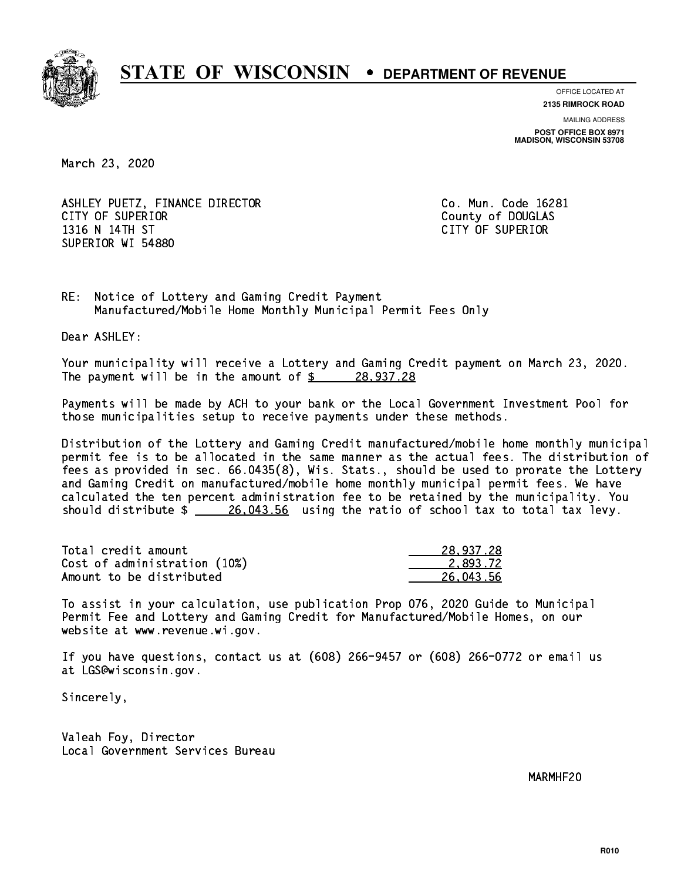

**OFFICE LOCATED AT**

**2135 RIMROCK ROAD**

**MAILING ADDRESS POST OFFICE BOX 8971 MADISON, WISCONSIN 53708**

March 23, 2020

ASHLEY PUETZ, FINANCE DIRECTOR CO. Mun. Code 16281 CITY OF SUPERIOR COUNTY COUNTY OF DOUGLAS 1316 N 14TH ST CITY OF SUPERIOR SUPERIOR WI 54880

RE: Notice of Lottery and Gaming Credit Payment Manufactured/Mobile Home Monthly Municipal Permit Fees Only

Dear ASHLEY:

 Your municipality will receive a Lottery and Gaming Credit payment on March 23, 2020. The payment will be in the amount of  $\frac{28,937.28}{28}$ 

 Payments will be made by ACH to your bank or the Local Government Investment Pool for those municipalities setup to receive payments under these methods.

 Distribution of the Lottery and Gaming Credit manufactured/mobile home monthly municipal permit fee is to be allocated in the same manner as the actual fees. The distribution of fees as provided in sec. 66.0435(8), Wis. Stats., should be used to prorate the Lottery and Gaming Credit on manufactured/mobile home monthly municipal permit fees. We have calculated the ten percent administration fee to be retained by the municipality. You should distribute  $\frac{26,043.56}{26,043.56}$  using the ratio of school tax to total tax levy.

| Total credit amount          | 28,937.28 |
|------------------------------|-----------|
| Cost of administration (10%) | 2.893.72  |
| Amount to be distributed     | 26,043.56 |

 To assist in your calculation, use publication Prop 076, 2020 Guide to Municipal Permit Fee and Lottery and Gaming Credit for Manufactured/Mobile Homes, on our website at www.revenue.wi.gov.

 If you have questions, contact us at (608) 266-9457 or (608) 266-0772 or email us at LGS@wisconsin.gov.

Sincerely,

 Valeah Foy, Director Local Government Services Bureau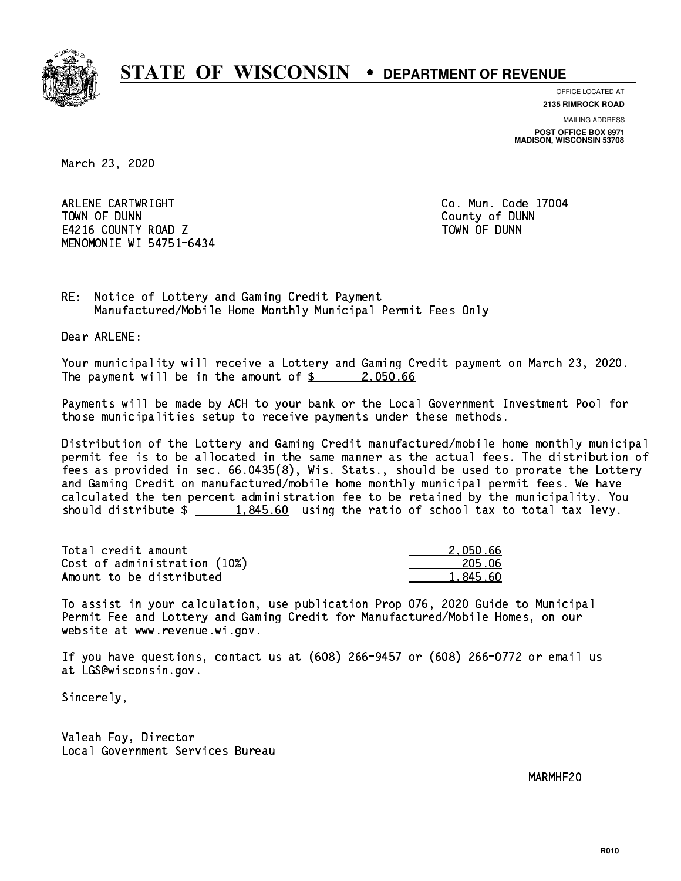

**OFFICE LOCATED AT**

**2135 RIMROCK ROAD**

**MAILING ADDRESS POST OFFICE BOX 8971 MADISON, WISCONSIN 53708**

March 23, 2020

 ARLENE CARTWRIGHT Co. Mun. Code 17004 TOWN OF DUNN County of DUNN E4216 COUNTY ROAD Z TOWN OF DUNN MENOMONIE WI 54751-6434

RE: Notice of Lottery and Gaming Credit Payment Manufactured/Mobile Home Monthly Municipal Permit Fees Only

Dear ARLENE:

 Your municipality will receive a Lottery and Gaming Credit payment on March 23, 2020. The payment will be in the amount of  $\frac{2,050.66}{2,050.66}$ 

 Payments will be made by ACH to your bank or the Local Government Investment Pool for those municipalities setup to receive payments under these methods.

 Distribution of the Lottery and Gaming Credit manufactured/mobile home monthly municipal permit fee is to be allocated in the same manner as the actual fees. The distribution of fees as provided in sec. 66.0435(8), Wis. Stats., should be used to prorate the Lottery and Gaming Credit on manufactured/mobile home monthly municipal permit fees. We have calculated the ten percent administration fee to be retained by the municipality. You should distribute  $\frac{1.845.60}{1.845.60}$  using the ratio of school tax to total tax levy.

| Total credit amount          | 2.050.66 |
|------------------------------|----------|
| Cost of administration (10%) | 205.06   |
| Amount to be distributed     | 1,845.60 |

 To assist in your calculation, use publication Prop 076, 2020 Guide to Municipal Permit Fee and Lottery and Gaming Credit for Manufactured/Mobile Homes, on our website at www.revenue.wi.gov.

 If you have questions, contact us at (608) 266-9457 or (608) 266-0772 or email us at LGS@wisconsin.gov.

Sincerely,

 Valeah Foy, Director Local Government Services Bureau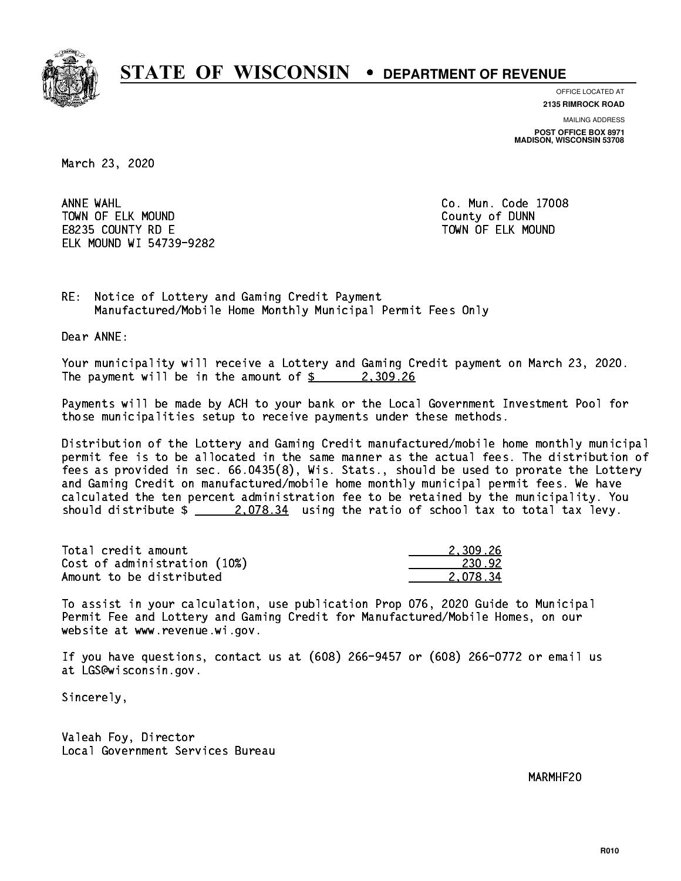

**OFFICE LOCATED AT**

**2135 RIMROCK ROAD**

**MAILING ADDRESS POST OFFICE BOX 8971 MADISON, WISCONSIN 53708**

March 23, 2020

ANNE WAHL TOWN OF ELK MOUND COUNTY OF BUNNING COUNTY OF DUNNING COUNTY OF DUNNING COUNTY OF DUNNING COUNTY OF DUNNING COUNTY OF DUNNING COUNTY OF DUNNING COUNTY OF DUNNING COUNTY OF DUNNING COUNTY OF DUNNING COUNTY OF DUNNING COUNTY E8235 COUNTY RD E TOWN OF ELK MOUND ELK MOUND WI 54739-9282

Co. Mun. Code 17008

RE: Notice of Lottery and Gaming Credit Payment Manufactured/Mobile Home Monthly Municipal Permit Fees Only

Dear ANNE:

 Your municipality will receive a Lottery and Gaming Credit payment on March 23, 2020. The payment will be in the amount of  $\frac{2}{3}$  2,309.26

 Payments will be made by ACH to your bank or the Local Government Investment Pool for those municipalities setup to receive payments under these methods.

 Distribution of the Lottery and Gaming Credit manufactured/mobile home monthly municipal permit fee is to be allocated in the same manner as the actual fees. The distribution of fees as provided in sec. 66.0435(8), Wis. Stats., should be used to prorate the Lottery and Gaming Credit on manufactured/mobile home monthly municipal permit fees. We have calculated the ten percent administration fee to be retained by the municipality. You should distribute  $\frac{2.078.34}{2.078.34}$  using the ratio of school tax to total tax levy.

| Total credit amount          | 2.309.26 |
|------------------------------|----------|
| Cost of administration (10%) | 230.92   |
| Amount to be distributed     | 2.078.34 |

 To assist in your calculation, use publication Prop 076, 2020 Guide to Municipal Permit Fee and Lottery and Gaming Credit for Manufactured/Mobile Homes, on our website at www.revenue.wi.gov.

 If you have questions, contact us at (608) 266-9457 or (608) 266-0772 or email us at LGS@wisconsin.gov.

Sincerely,

 Valeah Foy, Director Local Government Services Bureau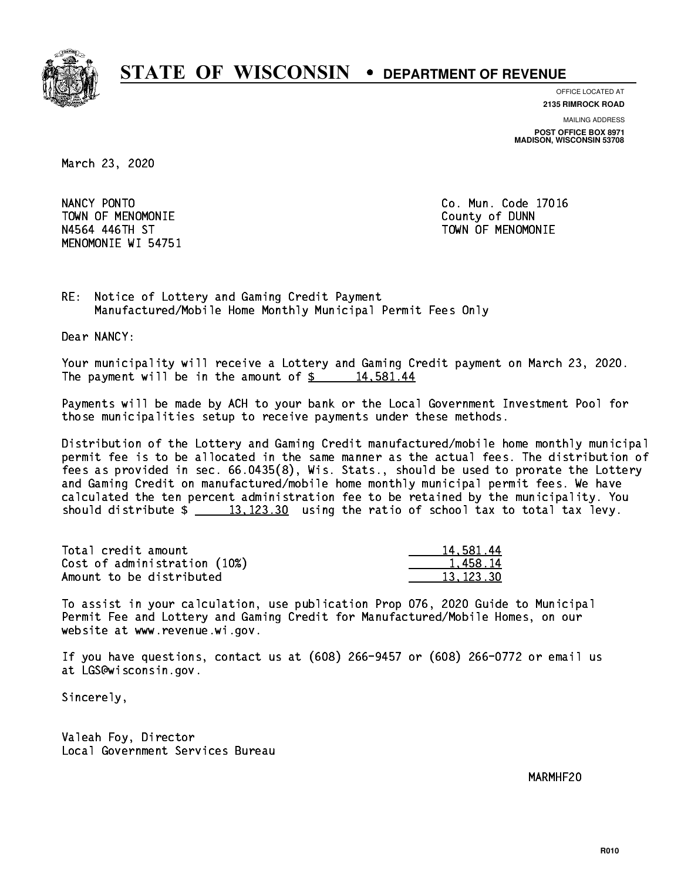

**OFFICE LOCATED AT**

**2135 RIMROCK ROAD**

**MAILING ADDRESS POST OFFICE BOX 8971 MADISON, WISCONSIN 53708**

March 23, 2020

NANCY PONTO TOWN OF MENOMONIE County of DUNN N4564 446TH ST TOWN OF MENOMONIE MENOMONIE WI 54751

Co. Mun. Code 17016

RE: Notice of Lottery and Gaming Credit Payment Manufactured/Mobile Home Monthly Municipal Permit Fees Only

Dear NANCY:

 Your municipality will receive a Lottery and Gaming Credit payment on March 23, 2020. The payment will be in the amount of  $\frac{2}{3}$  14,581.44

 Payments will be made by ACH to your bank or the Local Government Investment Pool for those municipalities setup to receive payments under these methods.

 Distribution of the Lottery and Gaming Credit manufactured/mobile home monthly municipal permit fee is to be allocated in the same manner as the actual fees. The distribution of fees as provided in sec. 66.0435(8), Wis. Stats., should be used to prorate the Lottery and Gaming Credit on manufactured/mobile home monthly municipal permit fees. We have calculated the ten percent administration fee to be retained by the municipality. You should distribute  $\frac{13,123.30}{2}$  using the ratio of school tax to total tax levy.

| Total credit amount          | 14,581.44 |
|------------------------------|-----------|
| Cost of administration (10%) | 1.458.14  |
| Amount to be distributed     | 13.123.30 |

 To assist in your calculation, use publication Prop 076, 2020 Guide to Municipal Permit Fee and Lottery and Gaming Credit for Manufactured/Mobile Homes, on our website at www.revenue.wi.gov.

 If you have questions, contact us at (608) 266-9457 or (608) 266-0772 or email us at LGS@wisconsin.gov.

Sincerely,

 Valeah Foy, Director Local Government Services Bureau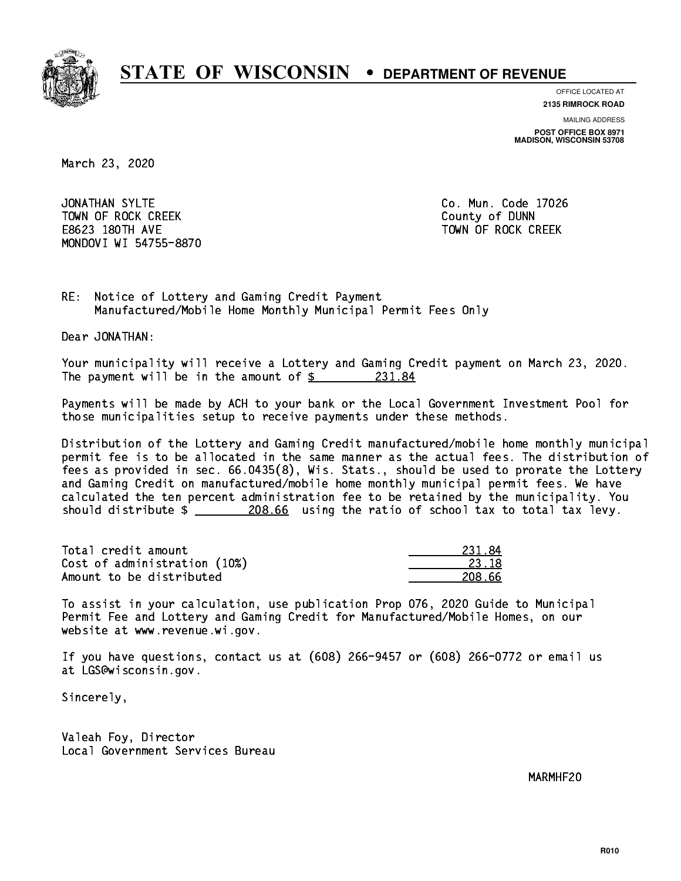

**OFFICE LOCATED AT**

**2135 RIMROCK ROAD**

**MAILING ADDRESS POST OFFICE BOX 8971 MADISON, WISCONSIN 53708**

March 23, 2020

JONATHAN SYLTE TOWN OF ROCK CREEK COUNTY OF DUNN E8623 180TH AVE TOWN OF ROCK CREEK MONDOVI WI 54755-8870

Co. Mun. Code 17026

RE: Notice of Lottery and Gaming Credit Payment Manufactured/Mobile Home Monthly Municipal Permit Fees Only

Dear JONATHAN:

 Your municipality will receive a Lottery and Gaming Credit payment on March 23, 2020. The payment will be in the amount of  $\frac{231.84}{5}$ 

 Payments will be made by ACH to your bank or the Local Government Investment Pool for those municipalities setup to receive payments under these methods.

 Distribution of the Lottery and Gaming Credit manufactured/mobile home monthly municipal permit fee is to be allocated in the same manner as the actual fees. The distribution of fees as provided in sec. 66.0435(8), Wis. Stats., should be used to prorate the Lottery and Gaming Credit on manufactured/mobile home monthly municipal permit fees. We have calculated the ten percent administration fee to be retained by the municipality. You should distribute  $\frac{208.66}{208.66}$  using the ratio of school tax to total tax levy.

Total credit amount Cost of administration (10%) Amount to be distributed

| 34<br>231   |
|-------------|
| 23.18       |
| 18.66<br>21 |

 To assist in your calculation, use publication Prop 076, 2020 Guide to Municipal Permit Fee and Lottery and Gaming Credit for Manufactured/Mobile Homes, on our website at www.revenue.wi.gov.

 If you have questions, contact us at (608) 266-9457 or (608) 266-0772 or email us at LGS@wisconsin.gov.

Sincerely,

 Valeah Foy, Director Local Government Services Bureau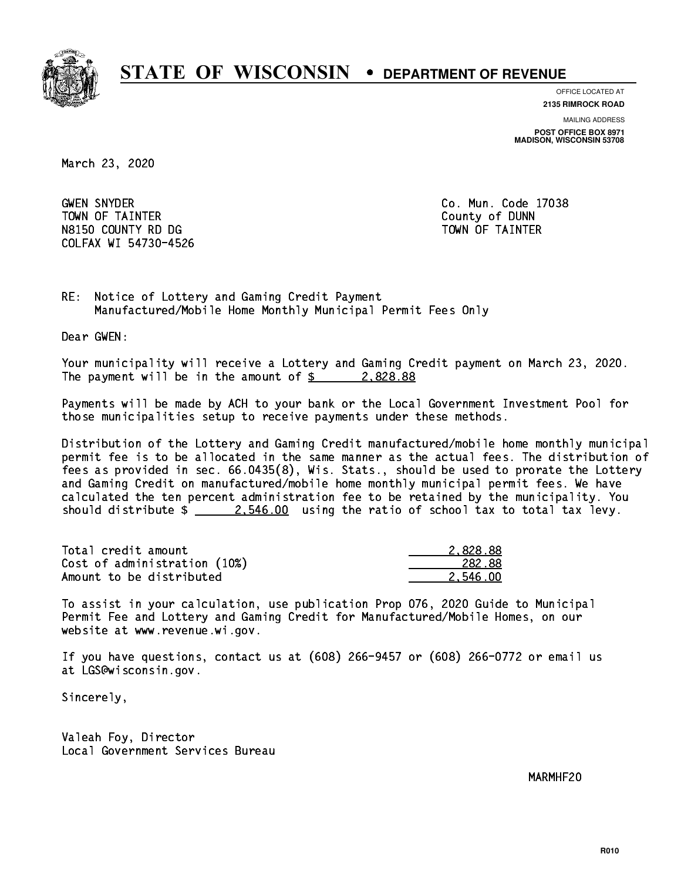

**OFFICE LOCATED AT**

**2135 RIMROCK ROAD**

**MAILING ADDRESS POST OFFICE BOX 8971 MADISON, WISCONSIN 53708**

March 23, 2020

**GWEN SNYDER**  TOWN OF TAINTER County of DUNN N8150 COUNTY RD DG TAINTER TOWN OF TAINTER COLFAX WI 54730-4526

Co. Mun. Code 17038

RE: Notice of Lottery and Gaming Credit Payment Manufactured/Mobile Home Monthly Municipal Permit Fees Only

Dear GWEN:

 Your municipality will receive a Lottery and Gaming Credit payment on March 23, 2020. The payment will be in the amount of  $\frac{2.828.88}{2.25}$ 

 Payments will be made by ACH to your bank or the Local Government Investment Pool for those municipalities setup to receive payments under these methods.

 Distribution of the Lottery and Gaming Credit manufactured/mobile home monthly municipal permit fee is to be allocated in the same manner as the actual fees. The distribution of fees as provided in sec. 66.0435(8), Wis. Stats., should be used to prorate the Lottery and Gaming Credit on manufactured/mobile home monthly municipal permit fees. We have calculated the ten percent administration fee to be retained by the municipality. You should distribute  $\frac{2.546.00}{2.546.00}$  using the ratio of school tax to total tax levy.

| Total credit amount          | 2.828.88 |
|------------------------------|----------|
| Cost of administration (10%) | 282.88   |
| Amount to be distributed     | 2.546.00 |

 To assist in your calculation, use publication Prop 076, 2020 Guide to Municipal Permit Fee and Lottery and Gaming Credit for Manufactured/Mobile Homes, on our website at www.revenue.wi.gov.

 If you have questions, contact us at (608) 266-9457 or (608) 266-0772 or email us at LGS@wisconsin.gov.

Sincerely,

 Valeah Foy, Director Local Government Services Bureau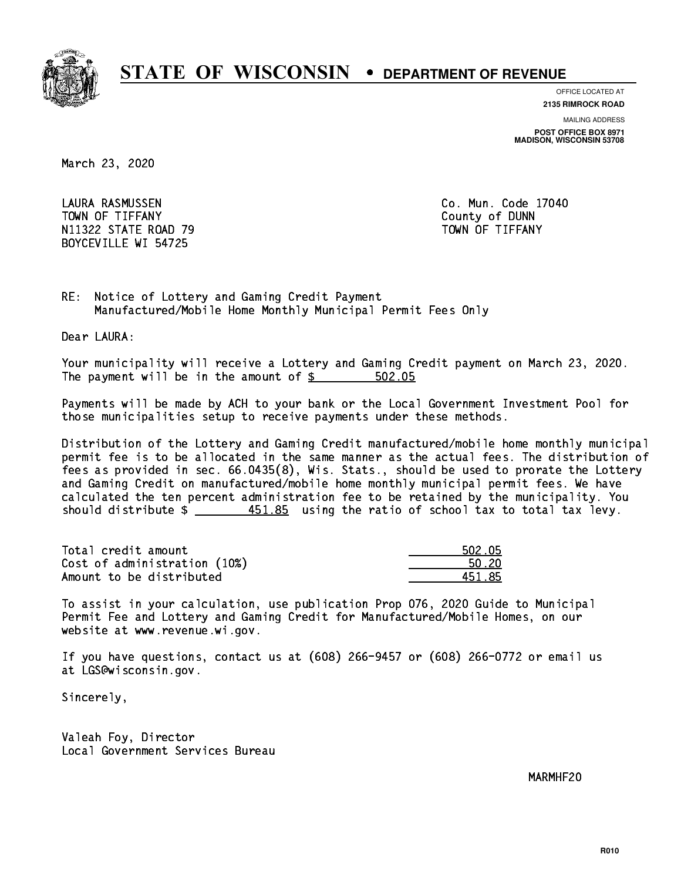

**OFFICE LOCATED AT**

**2135 RIMROCK ROAD**

**MAILING ADDRESS POST OFFICE BOX 8971 MADISON, WISCONSIN 53708**

March 23, 2020

 LAURA RASMUSSEN Co. Mun. Code 17040 Town of the theory county of  $\mathcal{L}_{\mathcal{A}}$ N11322 STATE ROAD 79 TOWN OF TIFFANY BOYCEVILLE WI 54725

RE: Notice of Lottery and Gaming Credit Payment Manufactured/Mobile Home Monthly Municipal Permit Fees Only

Dear LAURA:

 Your municipality will receive a Lottery and Gaming Credit payment on March 23, 2020. The payment will be in the amount of \$ 502.05 \_\_\_\_\_\_\_\_\_\_\_\_\_\_\_\_

 Payments will be made by ACH to your bank or the Local Government Investment Pool for those municipalities setup to receive payments under these methods.

 Distribution of the Lottery and Gaming Credit manufactured/mobile home monthly municipal permit fee is to be allocated in the same manner as the actual fees. The distribution of fees as provided in sec. 66.0435(8), Wis. Stats., should be used to prorate the Lottery and Gaming Credit on manufactured/mobile home monthly municipal permit fees. We have calculated the ten percent administration fee to be retained by the municipality. You should distribute  $\frac{451.85}{2}$  using the ratio of school tax to total tax levy.

| Total credit amount          | 502.05 |
|------------------------------|--------|
| Cost of administration (10%) | 50.20  |
| Amount to be distributed     | 451 85 |

| 502.05 |
|--------|
| i 20   |
| 185    |

 To assist in your calculation, use publication Prop 076, 2020 Guide to Municipal Permit Fee and Lottery and Gaming Credit for Manufactured/Mobile Homes, on our website at www.revenue.wi.gov.

 If you have questions, contact us at (608) 266-9457 or (608) 266-0772 or email us at LGS@wisconsin.gov.

Sincerely,

 Valeah Foy, Director Local Government Services Bureau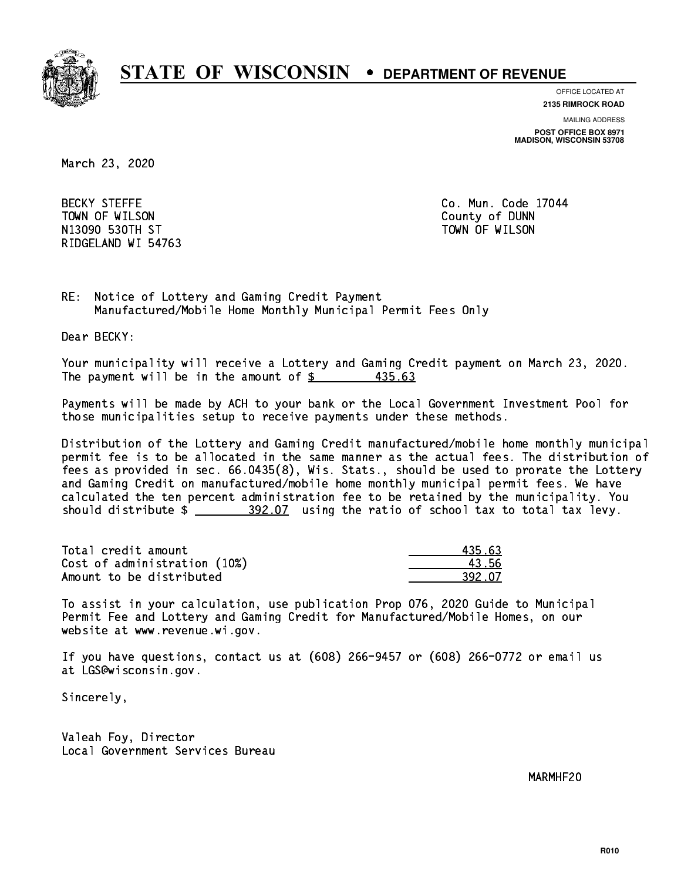

**OFFICE LOCATED AT**

**MAILING ADDRESS 2135 RIMROCK ROAD**

**POST OFFICE BOX 8971 MADISON, WISCONSIN 53708**

March 23, 2020

**BECKY STEFFE**  TOWN OF WILSON County of DUNN N13090 ST TOWN OF WILSON OF WILSON OF WILSON OF WILSON OF WILSON OF WILSON OF WILSON OF WILSON OF WILSON OF WI RIDGELAND WI 54763

Co. Mun. Code 17044

RE: Notice of Lottery and Gaming Credit Payment Manufactured/Mobile Home Monthly Municipal Permit Fees Only

Dear BECKY:

 Your municipality will receive a Lottery and Gaming Credit payment on March 23, 2020. The payment will be in the amount of  $\frac{2}{3}$  435.63

 Payments will be made by ACH to your bank or the Local Government Investment Pool for those municipalities setup to receive payments under these methods.

 Distribution of the Lottery and Gaming Credit manufactured/mobile home monthly municipal permit fee is to be allocated in the same manner as the actual fees. The distribution of fees as provided in sec. 66.0435(8), Wis. Stats., should be used to prorate the Lottery and Gaming Credit on manufactured/mobile home monthly municipal permit fees. We have calculated the ten percent administration fee to be retained by the municipality. You should distribute \$ 392.07 using the ratio of school tax to total tax levy. \_\_\_\_\_\_\_\_\_\_\_\_\_\_

| Total credit amount          | 435.63 |
|------------------------------|--------|
| Cost of administration (10%) | 43.56  |
| Amount to be distributed     | 392.07 |

 To assist in your calculation, use publication Prop 076, 2020 Guide to Municipal Permit Fee and Lottery and Gaming Credit for Manufactured/Mobile Homes, on our website at www.revenue.wi.gov.

 If you have questions, contact us at (608) 266-9457 or (608) 266-0772 or email us at LGS@wisconsin.gov.

Sincerely,

 Valeah Foy, Director Local Government Services Bureau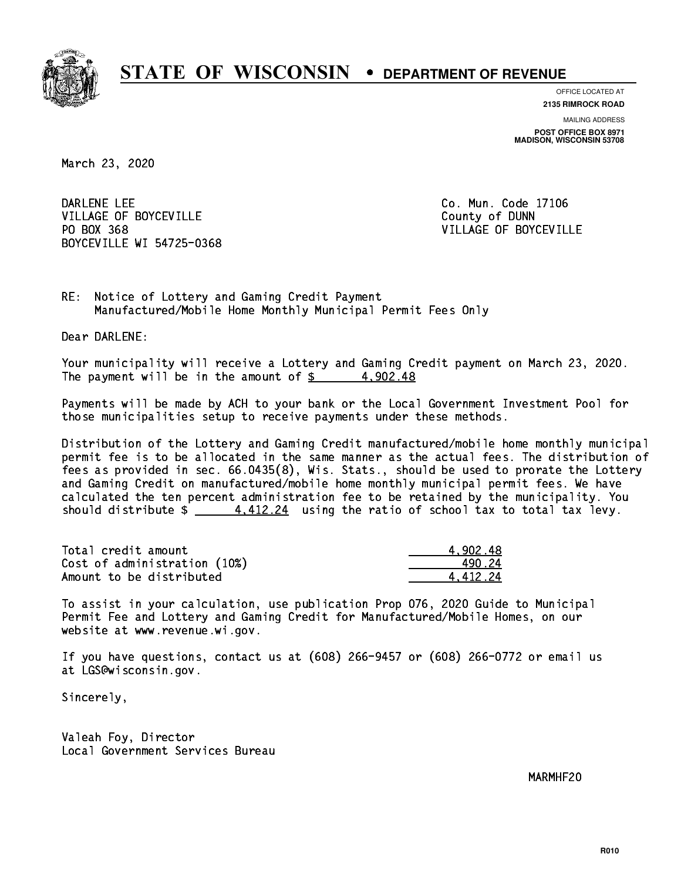

**OFFICE LOCATED AT**

**2135 RIMROCK ROAD**

**MAILING ADDRESS POST OFFICE BOX 8971 MADISON, WISCONSIN 53708**

March 23, 2020

DARLENE LEE VILLAGE OF BOYCEVILLE **COUNTY OF SEXUAL COUNTY OF BOYCEVILLE** PO BOX 368 BOYCEVILLE WI 54725-0368

Co. Mun. Code 17106 VILLAGE OF BOYCEVILLE

RE: Notice of Lottery and Gaming Credit Payment Manufactured/Mobile Home Monthly Municipal Permit Fees Only

Dear DARLENE:

 Your municipality will receive a Lottery and Gaming Credit payment on March 23, 2020. The payment will be in the amount of  $\frac{2}{3}$  4,902.48

 Payments will be made by ACH to your bank or the Local Government Investment Pool for those municipalities setup to receive payments under these methods.

 Distribution of the Lottery and Gaming Credit manufactured/mobile home monthly municipal permit fee is to be allocated in the same manner as the actual fees. The distribution of fees as provided in sec. 66.0435(8), Wis. Stats., should be used to prorate the Lottery and Gaming Credit on manufactured/mobile home monthly municipal permit fees. We have calculated the ten percent administration fee to be retained by the municipality. You should distribute  $\frac{4.412.24}{4.412.24}$  using the ratio of school tax to total tax levy.

| Total credit amount          | 4.902.48 |
|------------------------------|----------|
| Cost of administration (10%) | 490.24   |
| Amount to be distributed     | 4.412.24 |

 To assist in your calculation, use publication Prop 076, 2020 Guide to Municipal Permit Fee and Lottery and Gaming Credit for Manufactured/Mobile Homes, on our website at www.revenue.wi.gov.

 If you have questions, contact us at (608) 266-9457 or (608) 266-0772 or email us at LGS@wisconsin.gov.

Sincerely,

 Valeah Foy, Director Local Government Services Bureau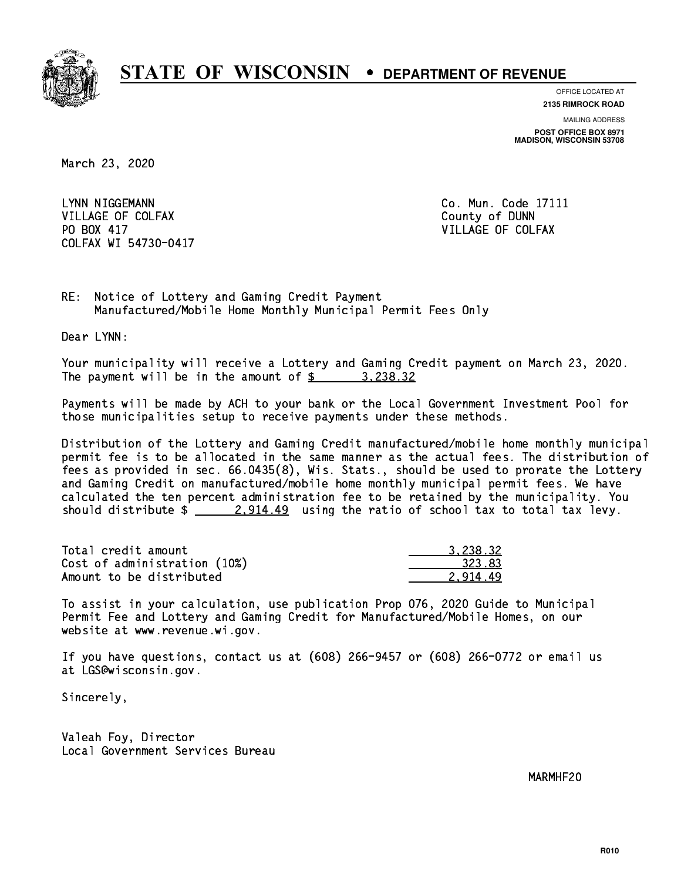

**OFFICE LOCATED AT**

**2135 RIMROCK ROAD**

**MAILING ADDRESS POST OFFICE BOX 8971 MADISON, WISCONSIN 53708**

March 23, 2020

LYNN NIGGEMANN VILLAGE OF COLFAX COUNTY OF DUNN PO BOX 417 COLFAX WI 54730-0417

Co. Mun. Code 17111 VILLAGE OF COLFAX

RE: Notice of Lottery and Gaming Credit Payment Manufactured/Mobile Home Monthly Municipal Permit Fees Only

Dear LYNN:

 Your municipality will receive a Lottery and Gaming Credit payment on March 23, 2020. The payment will be in the amount of  $\frac{2}{3}$  3,238.32

 Payments will be made by ACH to your bank or the Local Government Investment Pool for those municipalities setup to receive payments under these methods.

 Distribution of the Lottery and Gaming Credit manufactured/mobile home monthly municipal permit fee is to be allocated in the same manner as the actual fees. The distribution of fees as provided in sec. 66.0435(8), Wis. Stats., should be used to prorate the Lottery and Gaming Credit on manufactured/mobile home monthly municipal permit fees. We have calculated the ten percent administration fee to be retained by the municipality. You should distribute  $\frac{2.914.49}{2.914.49}$  using the ratio of school tax to total tax levy.

| Total credit amount          | 3.238.32 |
|------------------------------|----------|
| Cost of administration (10%) | 323.83   |
| Amount to be distributed     | 2.914.49 |

 To assist in your calculation, use publication Prop 076, 2020 Guide to Municipal Permit Fee and Lottery and Gaming Credit for Manufactured/Mobile Homes, on our website at www.revenue.wi.gov.

 If you have questions, contact us at (608) 266-9457 or (608) 266-0772 or email us at LGS@wisconsin.gov.

Sincerely,

 Valeah Foy, Director Local Government Services Bureau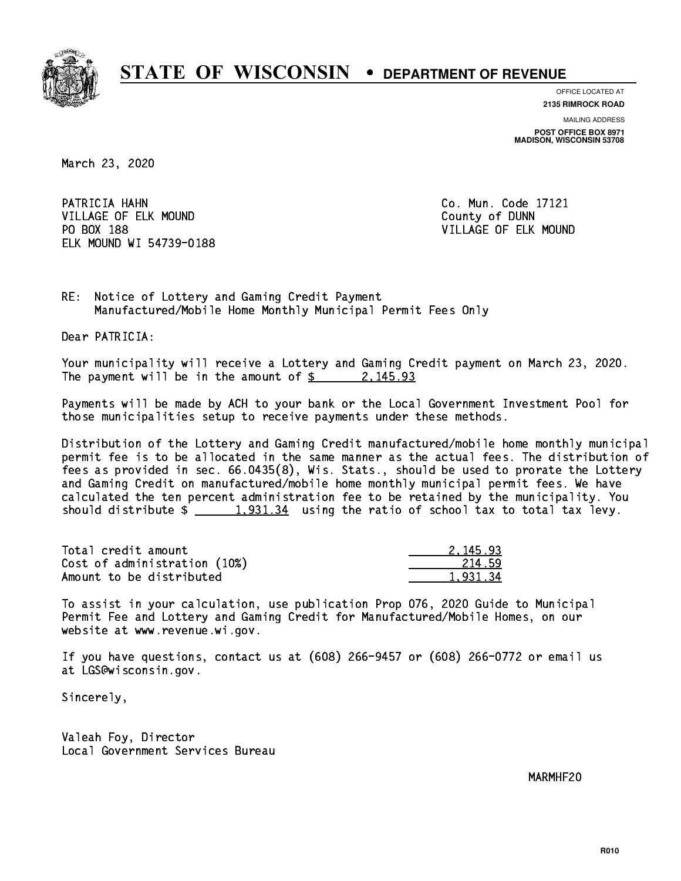

**OFFICE LOCATED AT**

**2135 RIMROCK ROAD**

**MAILING ADDRESS POST OFFICE BOX 8971 MADISON, WISCONSIN 53708**

March 23, 2020

PATRICIA HAHN VILLAGE OF ELK MOUND COUNTY OF DUNN PO BOX 188 ELK MOUND WI 54739-0188

Co. Mun. Code 17121 VILLAGE OF ELK MOUND

RE: Notice of Lottery and Gaming Credit Payment Manufactured/Mobile Home Monthly Municipal Permit Fees Only

Dear PATRICIA:

 Your municipality will receive a Lottery and Gaming Credit payment on March 23, 2020. The payment will be in the amount of  $\frac{2}{3}$  2, 145.93

 Payments will be made by ACH to your bank or the Local Government Investment Pool for those municipalities setup to receive payments under these methods.

 Distribution of the Lottery and Gaming Credit manufactured/mobile home monthly municipal permit fee is to be allocated in the same manner as the actual fees. The distribution of fees as provided in sec. 66.0435(8), Wis. Stats., should be used to prorate the Lottery and Gaming Credit on manufactured/mobile home monthly municipal permit fees. We have calculated the ten percent administration fee to be retained by the municipality. You should distribute  $\frac{1,931.34}{2}$  using the ratio of school tax to total tax levy.

| Total credit amount          | 2.145.93 |
|------------------------------|----------|
| Cost of administration (10%) | 214.59   |
| Amount to be distributed     | 1.931.34 |

 To assist in your calculation, use publication Prop 076, 2020 Guide to Municipal Permit Fee and Lottery and Gaming Credit for Manufactured/Mobile Homes, on our website at www.revenue.wi.gov.

 If you have questions, contact us at (608) 266-9457 or (608) 266-0772 or email us at LGS@wisconsin.gov.

Sincerely,

 Valeah Foy, Director Local Government Services Bureau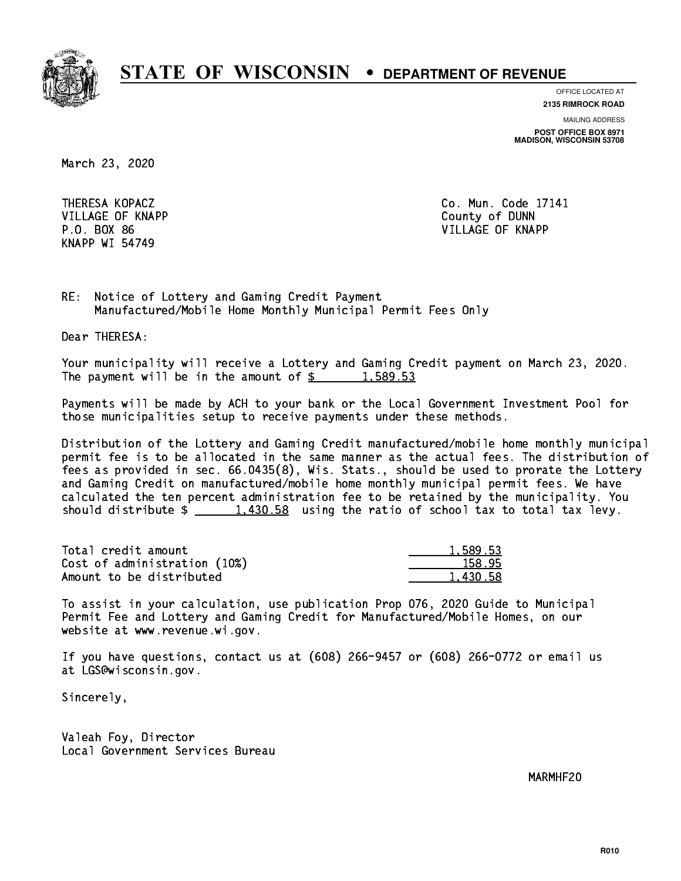

**OFFICE LOCATED AT**

**2135 RIMROCK ROAD**

**MAILING ADDRESS POST OFFICE BOX 8971 MADISON, WISCONSIN 53708**

March 23, 2020

 VILLAGE OF KNAPP County of DUNN KNAPP WI 54749

 THERESA KOPACZ Co. Mun. Code 17141 P.O. BOX 86 VILLAGE OF KNAPP

RE: Notice of Lottery and Gaming Credit Payment Manufactured/Mobile Home Monthly Municipal Permit Fees Only

Dear THERESA:

 Your municipality will receive a Lottery and Gaming Credit payment on March 23, 2020. The payment will be in the amount of  $\frac{2}{3}$  1,589.53

 Payments will be made by ACH to your bank or the Local Government Investment Pool for those municipalities setup to receive payments under these methods.

 Distribution of the Lottery and Gaming Credit manufactured/mobile home monthly municipal permit fee is to be allocated in the same manner as the actual fees. The distribution of fees as provided in sec. 66.0435(8), Wis. Stats., should be used to prorate the Lottery and Gaming Credit on manufactured/mobile home monthly municipal permit fees. We have calculated the ten percent administration fee to be retained by the municipality. You should distribute  $\frac{1,430.58}{1,430.58}$  using the ratio of school tax to total tax levy.

| Total credit amount          | 1,589.53 |
|------------------------------|----------|
| Cost of administration (10%) | 158.95   |
| Amount to be distributed     | 1,430.58 |

 To assist in your calculation, use publication Prop 076, 2020 Guide to Municipal Permit Fee and Lottery and Gaming Credit for Manufactured/Mobile Homes, on our website at www.revenue.wi.gov.

 If you have questions, contact us at (608) 266-9457 or (608) 266-0772 or email us at LGS@wisconsin.gov.

Sincerely,

 Valeah Foy, Director Local Government Services Bureau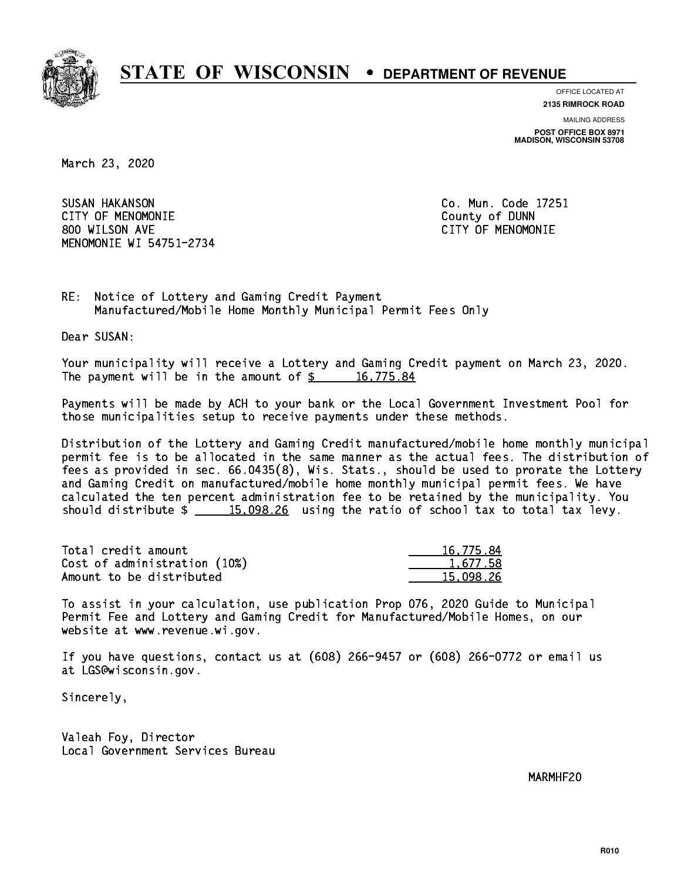

**OFFICE LOCATED AT**

**2135 RIMROCK ROAD**

**MAILING ADDRESS POST OFFICE BOX 8971 MADISON, WISCONSIN 53708**

March 23, 2020

 SUSAN HAKANSON Co. Mun. Code 17251 CITY OF MENOMONIE County of DUNN 800 WILSON AVE CITY OF MENOMONIE MENOMONIE WI 54751-2734

RE: Notice of Lottery and Gaming Credit Payment Manufactured/Mobile Home Monthly Municipal Permit Fees Only

Dear SUSAN:

 Your municipality will receive a Lottery and Gaming Credit payment on March 23, 2020. The payment will be in the amount of  $\frac{2}{3}$  16,775.84

 Payments will be made by ACH to your bank or the Local Government Investment Pool for those municipalities setup to receive payments under these methods.

 Distribution of the Lottery and Gaming Credit manufactured/mobile home monthly municipal permit fee is to be allocated in the same manner as the actual fees. The distribution of fees as provided in sec. 66.0435(8), Wis. Stats., should be used to prorate the Lottery and Gaming Credit on manufactured/mobile home monthly municipal permit fees. We have calculated the ten percent administration fee to be retained by the municipality. You should distribute  $\frac{15,098.26}{20}$  using the ratio of school tax to total tax levy.

| Total credit amount          | 16,775.84 |
|------------------------------|-----------|
| Cost of administration (10%) | 1.677.58  |
| Amount to be distributed     | 15.098.26 |

 To assist in your calculation, use publication Prop 076, 2020 Guide to Municipal Permit Fee and Lottery and Gaming Credit for Manufactured/Mobile Homes, on our website at www.revenue.wi.gov.

 If you have questions, contact us at (608) 266-9457 or (608) 266-0772 or email us at LGS@wisconsin.gov.

Sincerely,

 Valeah Foy, Director Local Government Services Bureau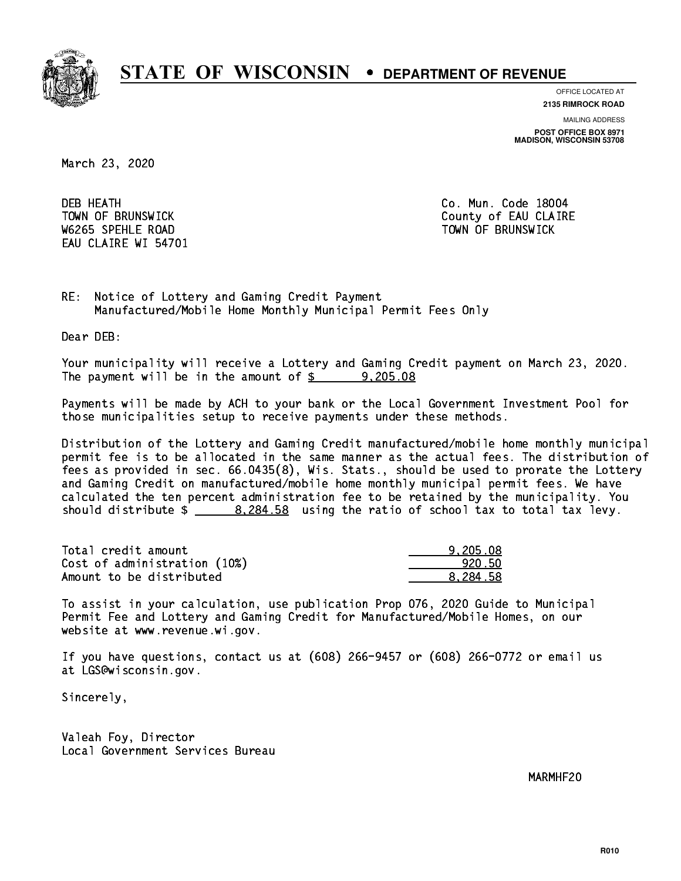

**OFFICE LOCATED AT**

**2135 RIMROCK ROAD**

**MAILING ADDRESS POST OFFICE BOX 8971 MADISON, WISCONSIN 53708**

March 23, 2020

**DEB HEATH** W6265 SPEHLE ROAD TOWN OF BRUNSWICK EAU CLAIRE WI 54701

Co. Mun. Code 18004 TOWN OF BRUNSWICK County of EAU CLAIRE

RE: Notice of Lottery and Gaming Credit Payment Manufactured/Mobile Home Monthly Municipal Permit Fees Only

Dear DEB:

 Your municipality will receive a Lottery and Gaming Credit payment on March 23, 2020. The payment will be in the amount of  $\frac{2}{3}$  9,205.08

 Payments will be made by ACH to your bank or the Local Government Investment Pool for those municipalities setup to receive payments under these methods.

 Distribution of the Lottery and Gaming Credit manufactured/mobile home monthly municipal permit fee is to be allocated in the same manner as the actual fees. The distribution of fees as provided in sec. 66.0435(8), Wis. Stats., should be used to prorate the Lottery and Gaming Credit on manufactured/mobile home monthly municipal permit fees. We have calculated the ten percent administration fee to be retained by the municipality. You should distribute \$ 8,284.58 using the ratio of school tax to total tax levy. \_\_\_\_\_\_\_\_\_\_\_\_\_\_

| Total credit amount          | 9.205.08 |
|------------------------------|----------|
| Cost of administration (10%) | 920.50   |
| Amount to be distributed     | 8.284.58 |

 To assist in your calculation, use publication Prop 076, 2020 Guide to Municipal Permit Fee and Lottery and Gaming Credit for Manufactured/Mobile Homes, on our website at www.revenue.wi.gov.

 If you have questions, contact us at (608) 266-9457 or (608) 266-0772 or email us at LGS@wisconsin.gov.

Sincerely,

 Valeah Foy, Director Local Government Services Bureau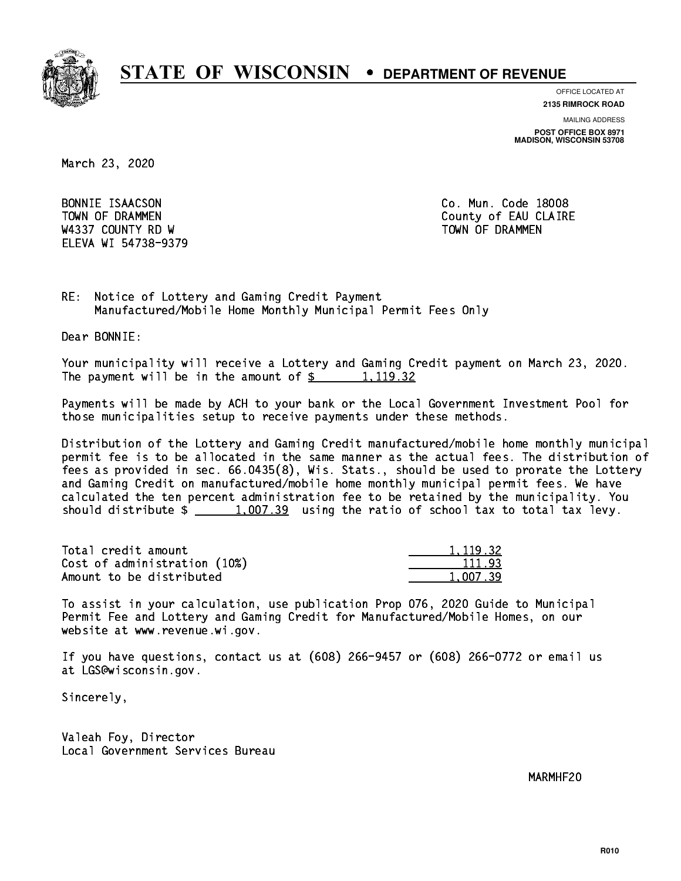

**OFFICE LOCATED AT**

**2135 RIMROCK ROAD**

**MAILING ADDRESS POST OFFICE BOX 8971 MADISON, WISCONSIN 53708**

March 23, 2020

BONNIE ISAACSON W4337 COUNTY RD W TOWN OF DRAMMEN ELEVA WI 54738-9379

Co. Mun. Code 18008 TOWN OF DRAMMEN COUNTY OF EAU CLAIRE

RE: Notice of Lottery and Gaming Credit Payment Manufactured/Mobile Home Monthly Municipal Permit Fees Only

Dear BONNIE:

 Your municipality will receive a Lottery and Gaming Credit payment on March 23, 2020. The payment will be in the amount of  $\frac{2}{3}$  1,119.32

 Payments will be made by ACH to your bank or the Local Government Investment Pool for those municipalities setup to receive payments under these methods.

 Distribution of the Lottery and Gaming Credit manufactured/mobile home monthly municipal permit fee is to be allocated in the same manner as the actual fees. The distribution of fees as provided in sec. 66.0435(8), Wis. Stats., should be used to prorate the Lottery and Gaming Credit on manufactured/mobile home monthly municipal permit fees. We have calculated the ten percent administration fee to be retained by the municipality. You should distribute  $\frac{1,007.39}{1,007.39}$  using the ratio of school tax to total tax levy.

| Total credit amount          | 1.119.32 |
|------------------------------|----------|
| Cost of administration (10%) | 111.93   |
| Amount to be distributed     | 1.007.39 |

 To assist in your calculation, use publication Prop 076, 2020 Guide to Municipal Permit Fee and Lottery and Gaming Credit for Manufactured/Mobile Homes, on our website at www.revenue.wi.gov.

 If you have questions, contact us at (608) 266-9457 or (608) 266-0772 or email us at LGS@wisconsin.gov.

Sincerely,

 Valeah Foy, Director Local Government Services Bureau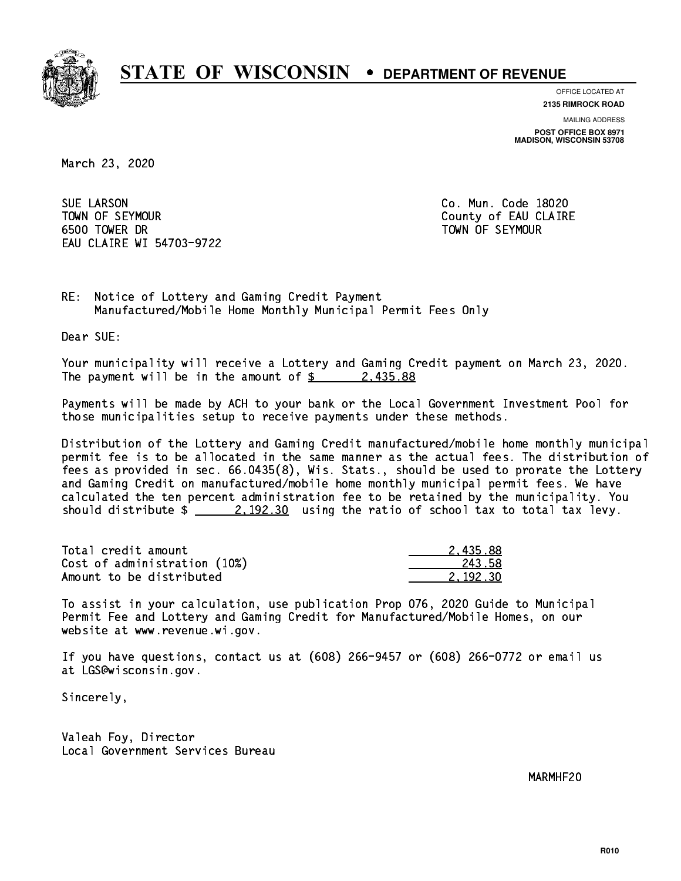

**OFFICE LOCATED AT 2135 RIMROCK ROAD**

**MAILING ADDRESS POST OFFICE BOX 8971 MADISON, WISCONSIN 53708**

March 23, 2020

**SUE LARSON**  TOWN OF SEYMOUR County of EAU CLAIRE 6500 TOWER DR TOWN OF SEYMOUR EAU CLAIRE WI 54703-9722

Co. Mun. Code 18020

RE: Notice of Lottery and Gaming Credit Payment Manufactured/Mobile Home Monthly Municipal Permit Fees Only

Dear SUE:

 Your municipality will receive a Lottery and Gaming Credit payment on March 23, 2020. The payment will be in the amount of  $\frac{2}{3}$  2,435.88

 Payments will be made by ACH to your bank or the Local Government Investment Pool for those municipalities setup to receive payments under these methods.

 Distribution of the Lottery and Gaming Credit manufactured/mobile home monthly municipal permit fee is to be allocated in the same manner as the actual fees. The distribution of fees as provided in sec. 66.0435(8), Wis. Stats., should be used to prorate the Lottery and Gaming Credit on manufactured/mobile home monthly municipal permit fees. We have calculated the ten percent administration fee to be retained by the municipality. You should distribute  $\frac{2.192.30}{2.192.30}$  using the ratio of school tax to total tax levy.

| Total credit amount          | 2.435.88 |
|------------------------------|----------|
| Cost of administration (10%) | 243.58   |
| Amount to be distributed     | 2.192.30 |

 To assist in your calculation, use publication Prop 076, 2020 Guide to Municipal Permit Fee and Lottery and Gaming Credit for Manufactured/Mobile Homes, on our website at www.revenue.wi.gov.

 If you have questions, contact us at (608) 266-9457 or (608) 266-0772 or email us at LGS@wisconsin.gov.

Sincerely,

 Valeah Foy, Director Local Government Services Bureau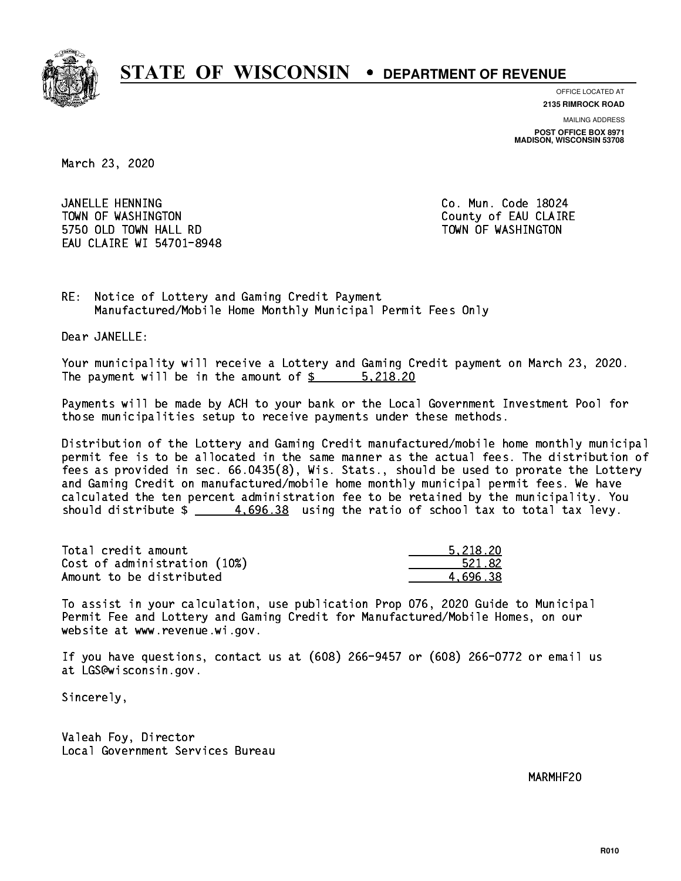

**OFFICE LOCATED AT**

**2135 RIMROCK ROAD**

**MAILING ADDRESS POST OFFICE BOX 8971 MADISON, WISCONSIN 53708**

March 23, 2020

 JANELLE HENNING Co. Mun. Code 18024 TOWN OF WASHINGTON COUNTY OF EAU CLAIRE 5750 OLD TOWN HALL RD TOWN OF WASHINGTON EAU CLAIRE WI 54701-8948

RE: Notice of Lottery and Gaming Credit Payment Manufactured/Mobile Home Monthly Municipal Permit Fees Only

Dear JANELLE:

 Your municipality will receive a Lottery and Gaming Credit payment on March 23, 2020. The payment will be in the amount of  $\frac{2}{3}$   $\frac{5,218.20}{2}$ 

 Payments will be made by ACH to your bank or the Local Government Investment Pool for those municipalities setup to receive payments under these methods.

 Distribution of the Lottery and Gaming Credit manufactured/mobile home monthly municipal permit fee is to be allocated in the same manner as the actual fees. The distribution of fees as provided in sec. 66.0435(8), Wis. Stats., should be used to prorate the Lottery and Gaming Credit on manufactured/mobile home monthly municipal permit fees. We have calculated the ten percent administration fee to be retained by the municipality. You should distribute  $\frac{2}{1}$   $\frac{4.696.38}{2}$  using the ratio of school tax to total tax levy.

| Total credit amount          | 5.218.20 |
|------------------------------|----------|
| Cost of administration (10%) | 521.82   |
| Amount to be distributed     | 4.696.38 |

 To assist in your calculation, use publication Prop 076, 2020 Guide to Municipal Permit Fee and Lottery and Gaming Credit for Manufactured/Mobile Homes, on our website at www.revenue.wi.gov.

 If you have questions, contact us at (608) 266-9457 or (608) 266-0772 or email us at LGS@wisconsin.gov.

Sincerely,

 Valeah Foy, Director Local Government Services Bureau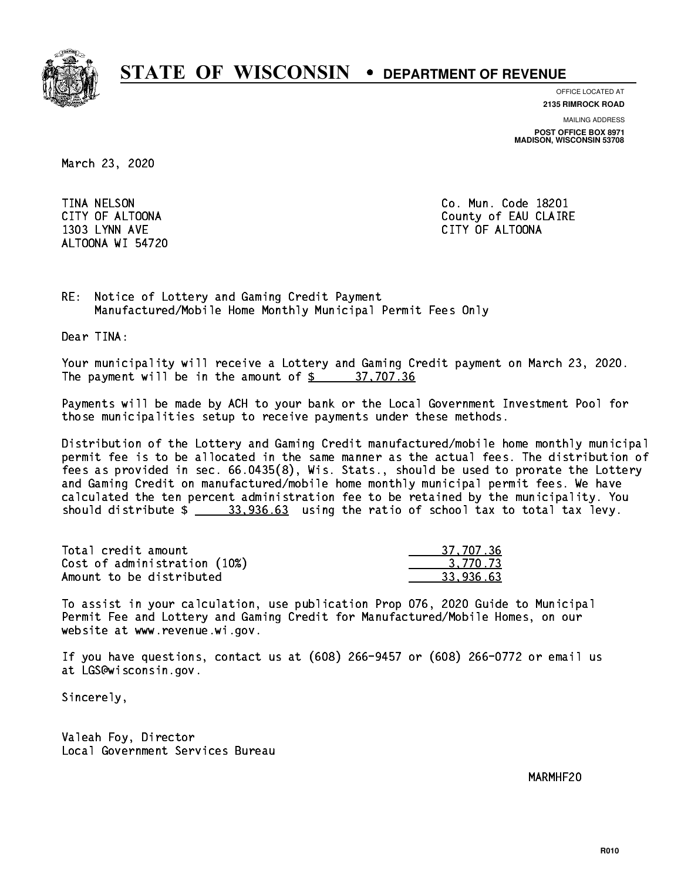

**OFFICE LOCATED AT**

**2135 RIMROCK ROAD**

**MAILING ADDRESS**

**POST OFFICE BOX 8971 MADISON, WISCONSIN 53708**

March 23, 2020

**TINA NELSON**  1303 LYNN AVE CITY OF ALTOONA ALTOONA WI 54720

Co. Mun. Code 18201 CITY OF ALTOONA COUNTY OF ALTOONA

RE: Notice of Lottery and Gaming Credit Payment Manufactured/Mobile Home Monthly Municipal Permit Fees Only

Dear TINA:

 Your municipality will receive a Lottery and Gaming Credit payment on March 23, 2020. The payment will be in the amount of  $\frac{2}{3}$  37,707.36

 Payments will be made by ACH to your bank or the Local Government Investment Pool for those municipalities setup to receive payments under these methods.

 Distribution of the Lottery and Gaming Credit manufactured/mobile home monthly municipal permit fee is to be allocated in the same manner as the actual fees. The distribution of fees as provided in sec. 66.0435(8), Wis. Stats., should be used to prorate the Lottery and Gaming Credit on manufactured/mobile home monthly municipal permit fees. We have calculated the ten percent administration fee to be retained by the municipality. You should distribute  $\frac{2}{1}$   $\frac{33,936.63}{2000}$  using the ratio of school tax to total tax levy.

| Total credit amount          | 37,707.36   |
|------------------------------|-------------|
| Cost of administration (10%) | 3.770.73    |
| Amount to be distributed     | - 33.936.63 |

 To assist in your calculation, use publication Prop 076, 2020 Guide to Municipal Permit Fee and Lottery and Gaming Credit for Manufactured/Mobile Homes, on our website at www.revenue.wi.gov.

 If you have questions, contact us at (608) 266-9457 or (608) 266-0772 or email us at LGS@wisconsin.gov.

Sincerely,

 Valeah Foy, Director Local Government Services Bureau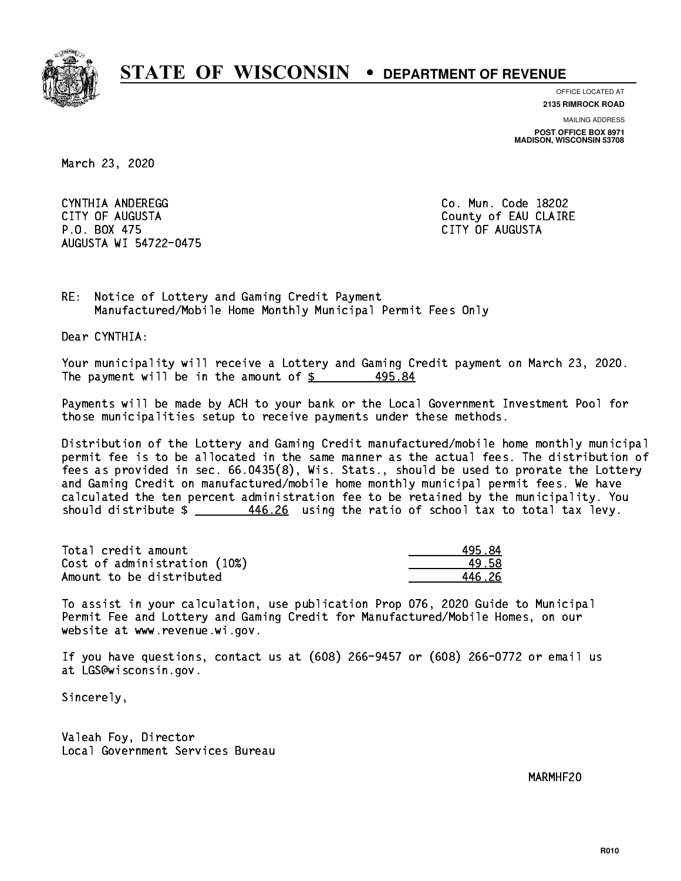

**OFFICE LOCATED AT 2135 RIMROCK ROAD**

**MAILING ADDRESS POST OFFICE BOX 8971 MADISON, WISCONSIN 53708**

March 23, 2020

 CYNTHIA ANDEREGG Co. Mun. Code 18202 CITY OF AUGUSTA County of EAU CLAIRE P.O. BOX 475 CITY OF AUGUSTA AUGUSTA WI 54722-0475

RE: Notice of Lottery and Gaming Credit Payment Manufactured/Mobile Home Monthly Municipal Permit Fees Only

Dear CYNTHIA:

 Your municipality will receive a Lottery and Gaming Credit payment on March 23, 2020. The payment will be in the amount of  $$$ 495.84

 Payments will be made by ACH to your bank or the Local Government Investment Pool for those municipalities setup to receive payments under these methods.

 Distribution of the Lottery and Gaming Credit manufactured/mobile home monthly municipal permit fee is to be allocated in the same manner as the actual fees. The distribution of fees as provided in sec. 66.0435(8), Wis. Stats., should be used to prorate the Lottery and Gaming Credit on manufactured/mobile home monthly municipal permit fees. We have calculated the ten percent administration fee to be retained by the municipality. You should distribute  $\frac{446.26}{1}$  using the ratio of school tax to total tax levy.

| Total credit amount          | 495.84 |
|------------------------------|--------|
| Cost of administration (10%) | 49.58  |
| Amount to be distributed     | 446 26 |

 To assist in your calculation, use publication Prop 076, 2020 Guide to Municipal Permit Fee and Lottery and Gaming Credit for Manufactured/Mobile Homes, on our website at www.revenue.wi.gov.

 If you have questions, contact us at (608) 266-9457 or (608) 266-0772 or email us at LGS@wisconsin.gov.

Sincerely,

 Valeah Foy, Director Local Government Services Bureau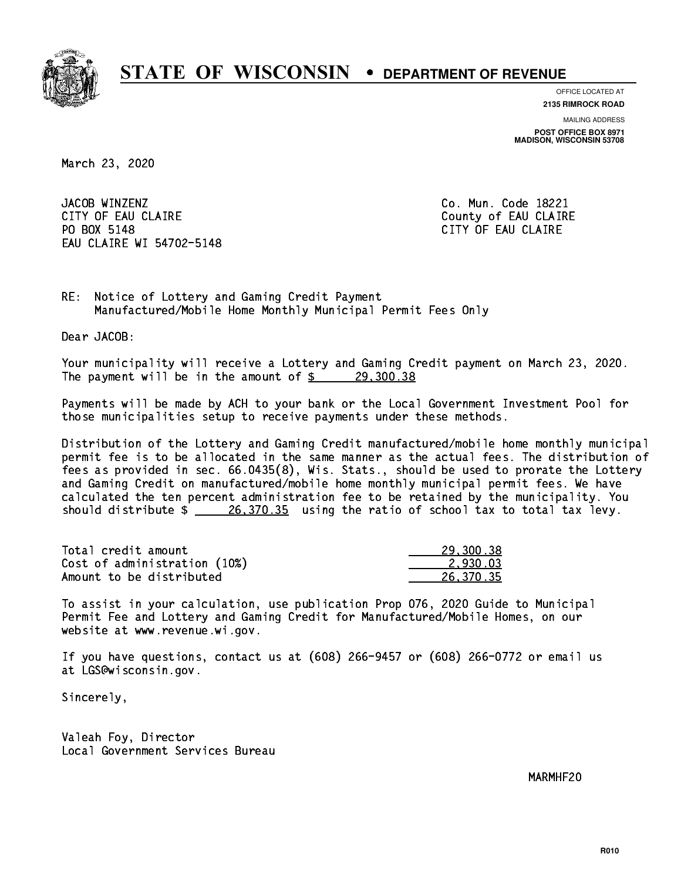

**OFFICE LOCATED AT 2135 RIMROCK ROAD**

**MAILING ADDRESS POST OFFICE BOX 8971 MADISON, WISCONSIN 53708**

March 23, 2020

JACOB WINZENZ CITY OF EAU CLAIRE CITY OF EAU CLAIRE PO BOX 5148 EAU CLAIRE WI 54702-5148

Co. Mun. Code 18221 CITY OF EAU CLAIRE

RE: Notice of Lottery and Gaming Credit Payment Manufactured/Mobile Home Monthly Municipal Permit Fees Only

Dear JACOB:

 Your municipality will receive a Lottery and Gaming Credit payment on March 23, 2020. The payment will be in the amount of  $\frac{29,300.38}{29,300.38}$ 

 Payments will be made by ACH to your bank or the Local Government Investment Pool for those municipalities setup to receive payments under these methods.

 Distribution of the Lottery and Gaming Credit manufactured/mobile home monthly municipal permit fee is to be allocated in the same manner as the actual fees. The distribution of fees as provided in sec. 66.0435(8), Wis. Stats., should be used to prorate the Lottery and Gaming Credit on manufactured/mobile home monthly municipal permit fees. We have calculated the ten percent administration fee to be retained by the municipality. You should distribute  $\frac{26,370.35}{26,370.35}$  using the ratio of school tax to total tax levy.

| Total credit amount          | 29,300.38 |
|------------------------------|-----------|
| Cost of administration (10%) | 2.930.03  |
| Amount to be distributed     | 26,370.35 |

 To assist in your calculation, use publication Prop 076, 2020 Guide to Municipal Permit Fee and Lottery and Gaming Credit for Manufactured/Mobile Homes, on our website at www.revenue.wi.gov.

 If you have questions, contact us at (608) 266-9457 or (608) 266-0772 or email us at LGS@wisconsin.gov.

Sincerely,

 Valeah Foy, Director Local Government Services Bureau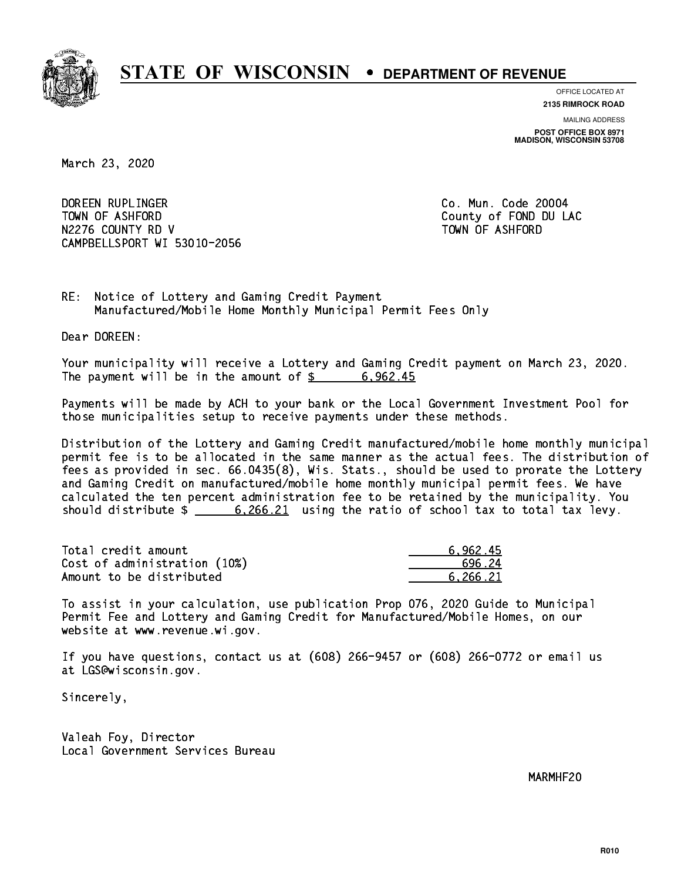

**OFFICE LOCATED AT**

**2135 RIMROCK ROAD**

**MAILING ADDRESS POST OFFICE BOX 8971 MADISON, WISCONSIN 53708**

March 23, 2020

 DOREEN RUPLINGER Co. Mun. Code 20004 TOWN OF ASHFORD County of FOND DU LAC N2276 COUNTY RD V TOWN OF ASHFORD CAMPBELLSPORT WI 53010-2056

RE: Notice of Lottery and Gaming Credit Payment Manufactured/Mobile Home Monthly Municipal Permit Fees Only

Dear DOREEN:

 Your municipality will receive a Lottery and Gaming Credit payment on March 23, 2020. The payment will be in the amount of  $\frac{2}{3}$  6,962.45

 Payments will be made by ACH to your bank or the Local Government Investment Pool for those municipalities setup to receive payments under these methods.

 Distribution of the Lottery and Gaming Credit manufactured/mobile home monthly municipal permit fee is to be allocated in the same manner as the actual fees. The distribution of fees as provided in sec. 66.0435(8), Wis. Stats., should be used to prorate the Lottery and Gaming Credit on manufactured/mobile home monthly municipal permit fees. We have calculated the ten percent administration fee to be retained by the municipality. You should distribute  $\frac{266.21}{21}$  using the ratio of school tax to total tax levy.

| Total credit amount          | 6.962.45 |
|------------------------------|----------|
| Cost of administration (10%) | 696.24   |
| Amount to be distributed     | 6.266.21 |

 To assist in your calculation, use publication Prop 076, 2020 Guide to Municipal Permit Fee and Lottery and Gaming Credit for Manufactured/Mobile Homes, on our website at www.revenue.wi.gov.

 If you have questions, contact us at (608) 266-9457 or (608) 266-0772 or email us at LGS@wisconsin.gov.

Sincerely,

 Valeah Foy, Director Local Government Services Bureau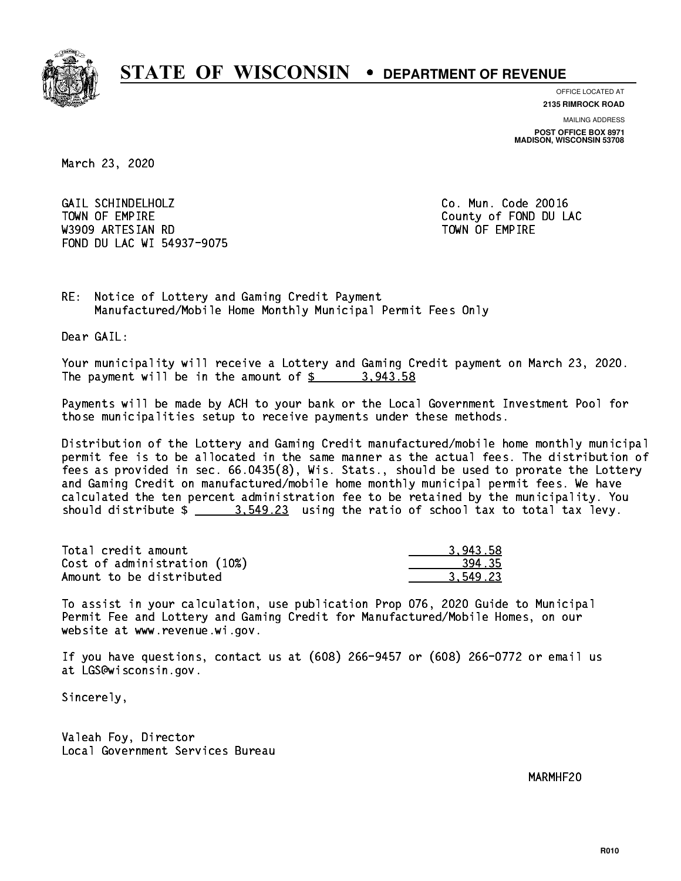

**OFFICE LOCATED AT 2135 RIMROCK ROAD**

**MAILING ADDRESS POST OFFICE BOX 8971 MADISON, WISCONSIN 53708**

March 23, 2020

 GAIL SCHINDELHOLZ Co. Mun. Code 20016 TOWN OF EMPIRE County of FOND DU LAC W3909 ARTESIAN RD TOWN OF EMPIRE FOND DU LAC WI 54937-9075

RE: Notice of Lottery and Gaming Credit Payment Manufactured/Mobile Home Monthly Municipal Permit Fees Only

Dear GAIL:

 Your municipality will receive a Lottery and Gaming Credit payment on March 23, 2020. The payment will be in the amount of  $\frac{2}{3}$  3,943.58

 Payments will be made by ACH to your bank or the Local Government Investment Pool for those municipalities setup to receive payments under these methods.

 Distribution of the Lottery and Gaming Credit manufactured/mobile home monthly municipal permit fee is to be allocated in the same manner as the actual fees. The distribution of fees as provided in sec. 66.0435(8), Wis. Stats., should be used to prorate the Lottery and Gaming Credit on manufactured/mobile home monthly municipal permit fees. We have calculated the ten percent administration fee to be retained by the municipality. You should distribute  $\frac{2}{1}$   $\frac{3.549.23}{2}$  using the ratio of school tax to total tax levy.

| Total credit amount          | 3.943.58 |
|------------------------------|----------|
| Cost of administration (10%) | 394.35   |
| Amount to be distributed     | 3.549.23 |

 To assist in your calculation, use publication Prop 076, 2020 Guide to Municipal Permit Fee and Lottery and Gaming Credit for Manufactured/Mobile Homes, on our website at www.revenue.wi.gov.

 If you have questions, contact us at (608) 266-9457 or (608) 266-0772 or email us at LGS@wisconsin.gov.

Sincerely,

 Valeah Foy, Director Local Government Services Bureau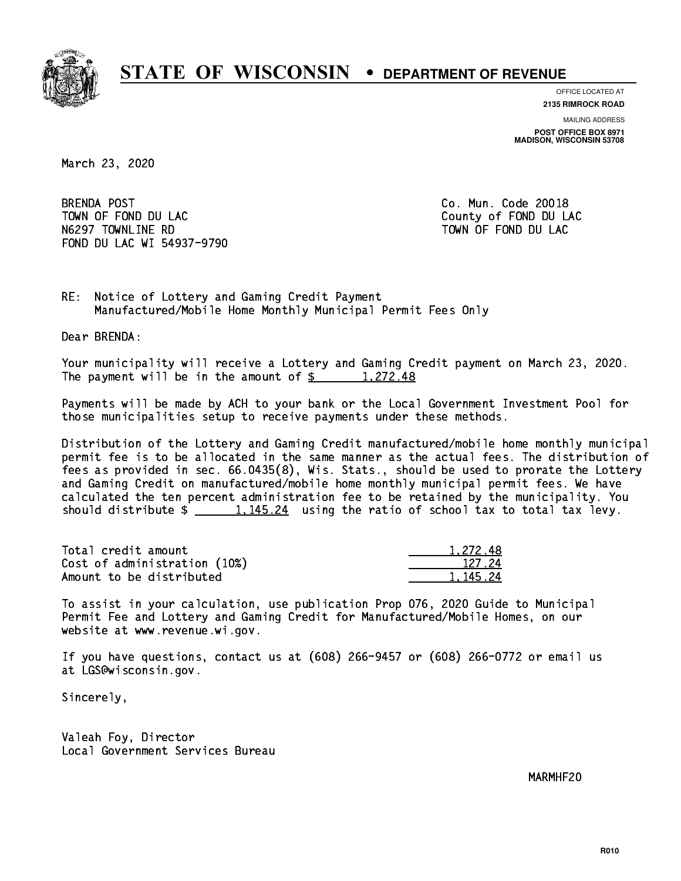

**OFFICE LOCATED AT**

**2135 RIMROCK ROAD**

**MAILING ADDRESS POST OFFICE BOX 8971 MADISON, WISCONSIN 53708**

March 23, 2020

**BRENDA POST** TOWN OF FOND DU LAC **COUNTY OF FOND DU LAC** N6297 TOWNLINE RD TO TO TOWN OF FOND DU LAC FOND DU LAC WI 54937-9790

Co. Mun. Code 20018

RE: Notice of Lottery and Gaming Credit Payment Manufactured/Mobile Home Monthly Municipal Permit Fees Only

Dear BRENDA:

 Your municipality will receive a Lottery and Gaming Credit payment on March 23, 2020. The payment will be in the amount of  $\frac{2}{3}$  1,272.48

 Payments will be made by ACH to your bank or the Local Government Investment Pool for those municipalities setup to receive payments under these methods.

 Distribution of the Lottery and Gaming Credit manufactured/mobile home monthly municipal permit fee is to be allocated in the same manner as the actual fees. The distribution of fees as provided in sec. 66.0435(8), Wis. Stats., should be used to prorate the Lottery and Gaming Credit on manufactured/mobile home monthly municipal permit fees. We have calculated the ten percent administration fee to be retained by the municipality. You should distribute  $\frac{1,145.24}{1,145.24}$  using the ratio of school tax to total tax levy.

| Total credit amount          | 1.272.48 |
|------------------------------|----------|
| Cost of administration (10%) | 127.24   |
| Amount to be distributed     | 1.145.24 |

| -272-<br>ŧΧ |
|-------------|
| -27.24      |
| - 24        |

 To assist in your calculation, use publication Prop 076, 2020 Guide to Municipal Permit Fee and Lottery and Gaming Credit for Manufactured/Mobile Homes, on our website at www.revenue.wi.gov.

 If you have questions, contact us at (608) 266-9457 or (608) 266-0772 or email us at LGS@wisconsin.gov.

Sincerely,

 Valeah Foy, Director Local Government Services Bureau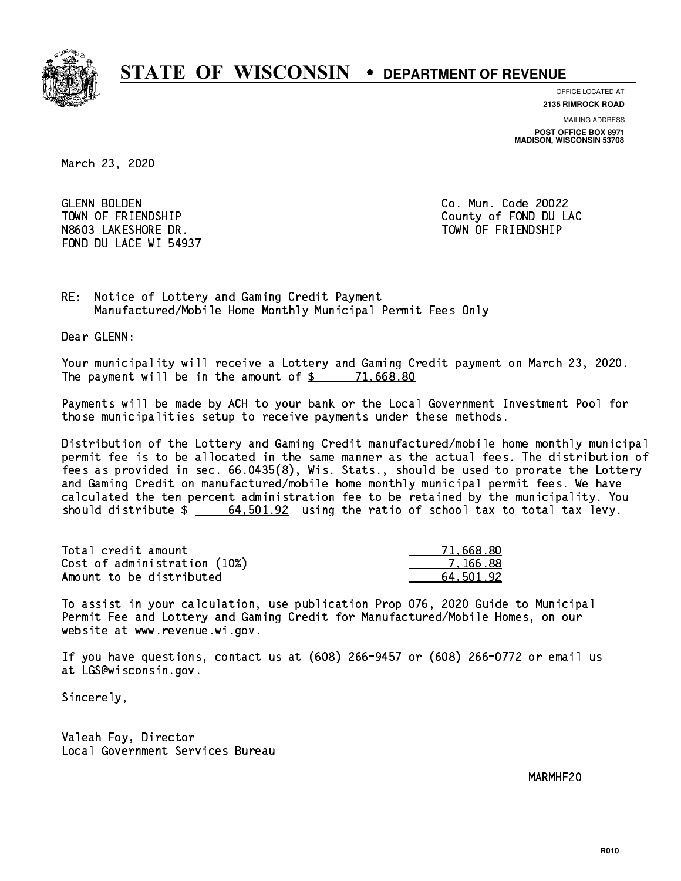

**OFFICE LOCATED AT**

**2135 RIMROCK ROAD**

**MAILING ADDRESS POST OFFICE BOX 8971 MADISON, WISCONSIN 53708**

March 23, 2020

**GLENN BOLDEN**  N8603 LAKESHORE DR. TOWN OF FRIENDSHIP FOND DU LACE WI 54937

Co. Mun. Code 20022 TOWN OF FRIENDSHIP County of FOND DU LAC

RE: Notice of Lottery and Gaming Credit Payment Manufactured/Mobile Home Monthly Municipal Permit Fees Only

Dear GLENN:

 Your municipality will receive a Lottery and Gaming Credit payment on March 23, 2020. The payment will be in the amount of  $\frac{2}{3}$  71,668.80

 Payments will be made by ACH to your bank or the Local Government Investment Pool for those municipalities setup to receive payments under these methods.

 Distribution of the Lottery and Gaming Credit manufactured/mobile home monthly municipal permit fee is to be allocated in the same manner as the actual fees. The distribution of fees as provided in sec. 66.0435(8), Wis. Stats., should be used to prorate the Lottery and Gaming Credit on manufactured/mobile home monthly municipal permit fees. We have calculated the ten percent administration fee to be retained by the municipality. You should distribute  $\frac{2}{1}$   $\frac{64,501.92}{2}$  using the ratio of school tax to total tax levy.

| Total credit amount          | 71,668.80 |
|------------------------------|-----------|
| Cost of administration (10%) | 7.166.88  |
| Amount to be distributed     | 64.501.92 |

 To assist in your calculation, use publication Prop 076, 2020 Guide to Municipal Permit Fee and Lottery and Gaming Credit for Manufactured/Mobile Homes, on our website at www.revenue.wi.gov.

 If you have questions, contact us at (608) 266-9457 or (608) 266-0772 or email us at LGS@wisconsin.gov.

Sincerely,

 Valeah Foy, Director Local Government Services Bureau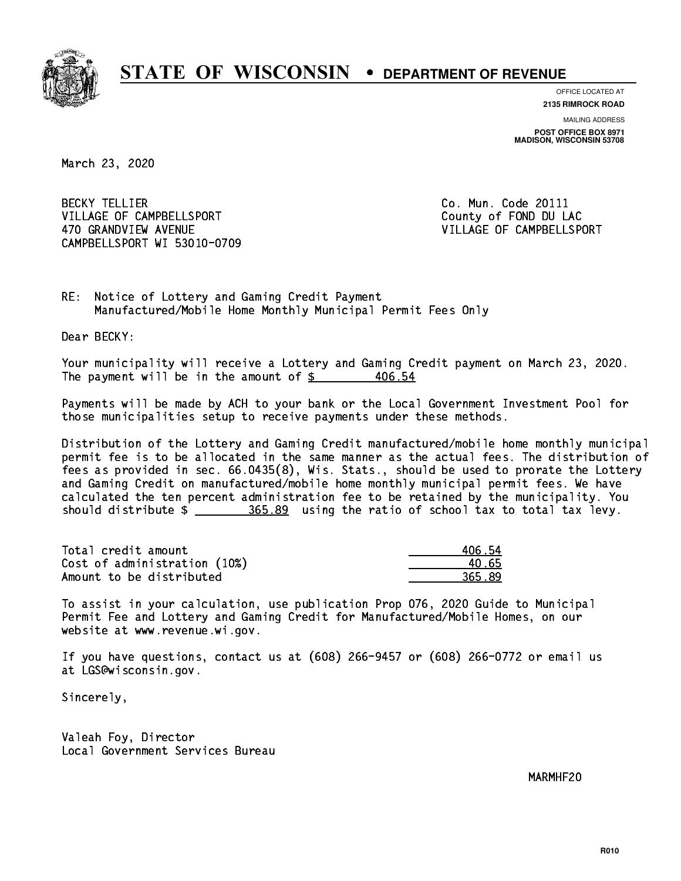

**OFFICE LOCATED AT 2135 RIMROCK ROAD**

**MAILING ADDRESS**

**POST OFFICE BOX 8971 MADISON, WISCONSIN 53708**

March 23, 2020

**BECKY TELLIER** VILLAGE OF CAMPBELLSPORT COUNTY County of FOND DU LAC 470 GRANDVIEW AVENUE **VILLAGE OF CAMPBELLSPORT** CAMPBELLSPORT WI 53010-0709

Co. Mun. Code 20111

RE: Notice of Lottery and Gaming Credit Payment Manufactured/Mobile Home Monthly Municipal Permit Fees Only

Dear BECKY:

 Your municipality will receive a Lottery and Gaming Credit payment on March 23, 2020. The payment will be in the amount of  $$$ 406.54

 Payments will be made by ACH to your bank or the Local Government Investment Pool for those municipalities setup to receive payments under these methods.

 Distribution of the Lottery and Gaming Credit manufactured/mobile home monthly municipal permit fee is to be allocated in the same manner as the actual fees. The distribution of fees as provided in sec. 66.0435(8), Wis. Stats., should be used to prorate the Lottery and Gaming Credit on manufactured/mobile home monthly municipal permit fees. We have calculated the ten percent administration fee to be retained by the municipality. You should distribute  $\frac{2.365.89}{2.202}$  using the ratio of school tax to total tax levy.

Total credit amount Cost of administration (10%) Amount to be distributed

| 406.54 |
|--------|
| 1.65   |
| 365.89 |

 To assist in your calculation, use publication Prop 076, 2020 Guide to Municipal Permit Fee and Lottery and Gaming Credit for Manufactured/Mobile Homes, on our website at www.revenue.wi.gov.

 If you have questions, contact us at (608) 266-9457 or (608) 266-0772 or email us at LGS@wisconsin.gov.

Sincerely,

 Valeah Foy, Director Local Government Services Bureau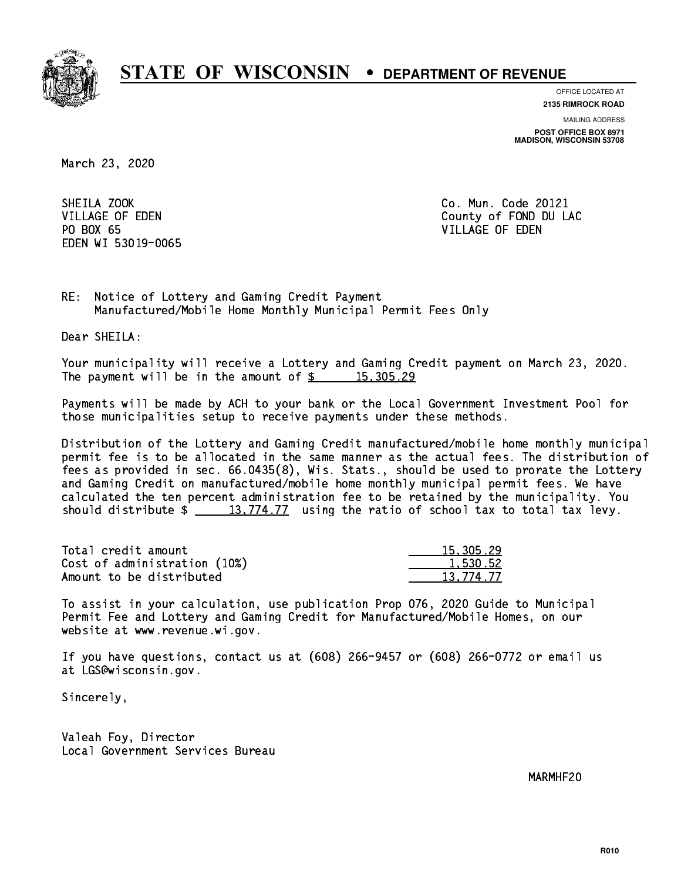

**OFFICE LOCATED AT**

**2135 RIMROCK ROAD**

**MAILING ADDRESS POST OFFICE BOX 8971 MADISON, WISCONSIN 53708**

March 23, 2020

SHEILA ZOOK PO BOX 65 PO BOX 65 VILLAGE OF EDEN EDEN WI 53019-0065

Co. Mun. Code 20121 VILLAGE OF EDEN County of FOND DU LAC

RE: Notice of Lottery and Gaming Credit Payment Manufactured/Mobile Home Monthly Municipal Permit Fees Only

Dear SHEILA:

 Your municipality will receive a Lottery and Gaming Credit payment on March 23, 2020. The payment will be in the amount of  $\frac{2}{3}$  15,305.29

 Payments will be made by ACH to your bank or the Local Government Investment Pool for those municipalities setup to receive payments under these methods.

 Distribution of the Lottery and Gaming Credit manufactured/mobile home monthly municipal permit fee is to be allocated in the same manner as the actual fees. The distribution of fees as provided in sec. 66.0435(8), Wis. Stats., should be used to prorate the Lottery and Gaming Credit on manufactured/mobile home monthly municipal permit fees. We have calculated the ten percent administration fee to be retained by the municipality. You should distribute  $\frac{13,774.77}{2}$  using the ratio of school tax to total tax levy.

| Total credit amount          | 15,305.29 |
|------------------------------|-----------|
| Cost of administration (10%) | 1,530.52  |
| Amount to be distributed     | 13.774.77 |

 To assist in your calculation, use publication Prop 076, 2020 Guide to Municipal Permit Fee and Lottery and Gaming Credit for Manufactured/Mobile Homes, on our website at www.revenue.wi.gov.

 If you have questions, contact us at (608) 266-9457 or (608) 266-0772 or email us at LGS@wisconsin.gov.

Sincerely,

 Valeah Foy, Director Local Government Services Bureau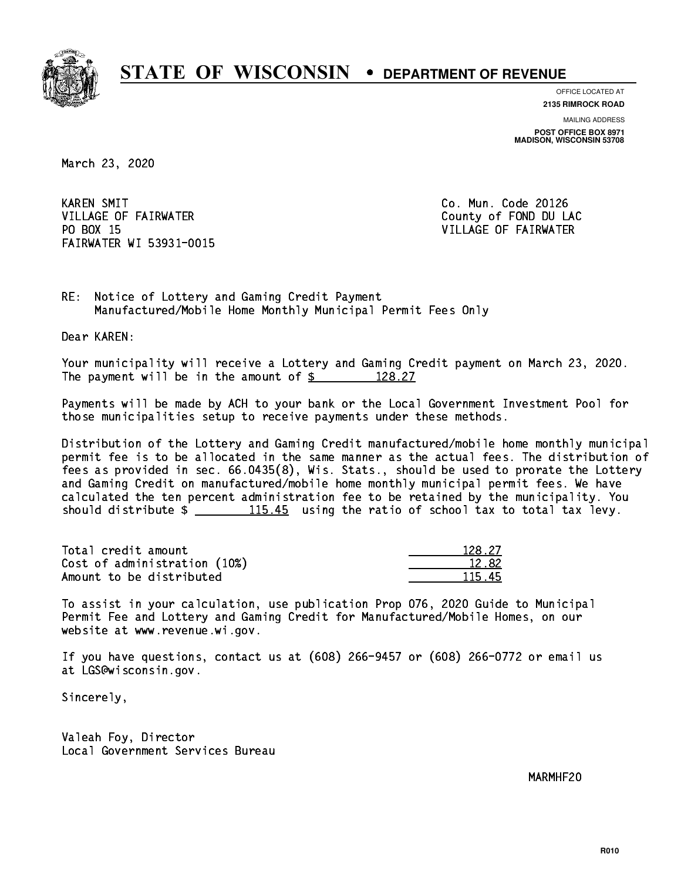

**OFFICE LOCATED AT**

**2135 RIMROCK ROAD**

**MAILING ADDRESS POST OFFICE BOX 8971 MADISON, WISCONSIN 53708**

March 23, 2020

**KAREN SMIT** VILLAGE OF FAIRWATER COUNTY OF FOND DU LAC PO BOX 15 FAIRWATER WI 53931-0015

Co. Mun. Code 20126 VILLAGE OF FAIRWATER

RE: Notice of Lottery and Gaming Credit Payment Manufactured/Mobile Home Monthly Municipal Permit Fees Only

Dear KAREN:

 Your municipality will receive a Lottery and Gaming Credit payment on March 23, 2020. The payment will be in the amount of  $\frac{2}{3}$  128.27

 Payments will be made by ACH to your bank or the Local Government Investment Pool for those municipalities setup to receive payments under these methods.

 Distribution of the Lottery and Gaming Credit manufactured/mobile home monthly municipal permit fee is to be allocated in the same manner as the actual fees. The distribution of fees as provided in sec. 66.0435(8), Wis. Stats., should be used to prorate the Lottery and Gaming Credit on manufactured/mobile home monthly municipal permit fees. We have calculated the ten percent administration fee to be retained by the municipality. You should distribute  $\frac{115.45}{115.45}$  using the ratio of school tax to total tax levy.

Total credit amount Cost of administration (10%) Amount to be distributed

| $27^{2}$ |
|----------|
| 1282     |
| 11.      |

 To assist in your calculation, use publication Prop 076, 2020 Guide to Municipal Permit Fee and Lottery and Gaming Credit for Manufactured/Mobile Homes, on our website at www.revenue.wi.gov.

 If you have questions, contact us at (608) 266-9457 or (608) 266-0772 or email us at LGS@wisconsin.gov.

Sincerely,

 Valeah Foy, Director Local Government Services Bureau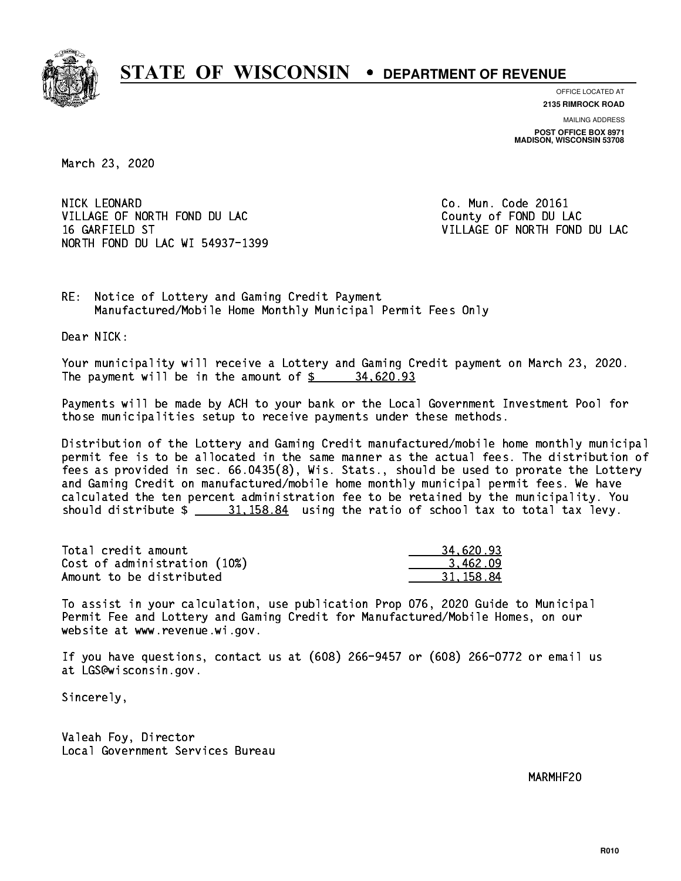

**OFFICE LOCATED AT**

**2135 RIMROCK ROAD**

**MAILING ADDRESS POST OFFICE BOX 8971 MADISON, WISCONSIN 53708**

March 23, 2020

NICK LEONARD VILLAGE OF NORTH FOND DU LAC County of FOND DU LAC 16 GARFIELD ST VILLAGE OF NORTH FOND DU LAC NORTH FOND DU LAC WI 54937-1399

Co. Mun. Code 20161

RE: Notice of Lottery and Gaming Credit Payment Manufactured/Mobile Home Monthly Municipal Permit Fees Only

Dear NICK:

 Your municipality will receive a Lottery and Gaming Credit payment on March 23, 2020. The payment will be in the amount of  $\frac{2}{3}$  34,620.93

 Payments will be made by ACH to your bank or the Local Government Investment Pool for those municipalities setup to receive payments under these methods.

 Distribution of the Lottery and Gaming Credit manufactured/mobile home monthly municipal permit fee is to be allocated in the same manner as the actual fees. The distribution of fees as provided in sec. 66.0435(8), Wis. Stats., should be used to prorate the Lottery and Gaming Credit on manufactured/mobile home monthly municipal permit fees. We have calculated the ten percent administration fee to be retained by the municipality. You should distribute  $\frac{21.158.84}{21.158.84}$  using the ratio of school tax to total tax levy.

| Total credit amount          | 34,620.93 |
|------------------------------|-----------|
| Cost of administration (10%) | 3.462.09  |
| Amount to be distributed     | 31.158.84 |

 To assist in your calculation, use publication Prop 076, 2020 Guide to Municipal Permit Fee and Lottery and Gaming Credit for Manufactured/Mobile Homes, on our website at www.revenue.wi.gov.

 If you have questions, contact us at (608) 266-9457 or (608) 266-0772 or email us at LGS@wisconsin.gov.

Sincerely,

 Valeah Foy, Director Local Government Services Bureau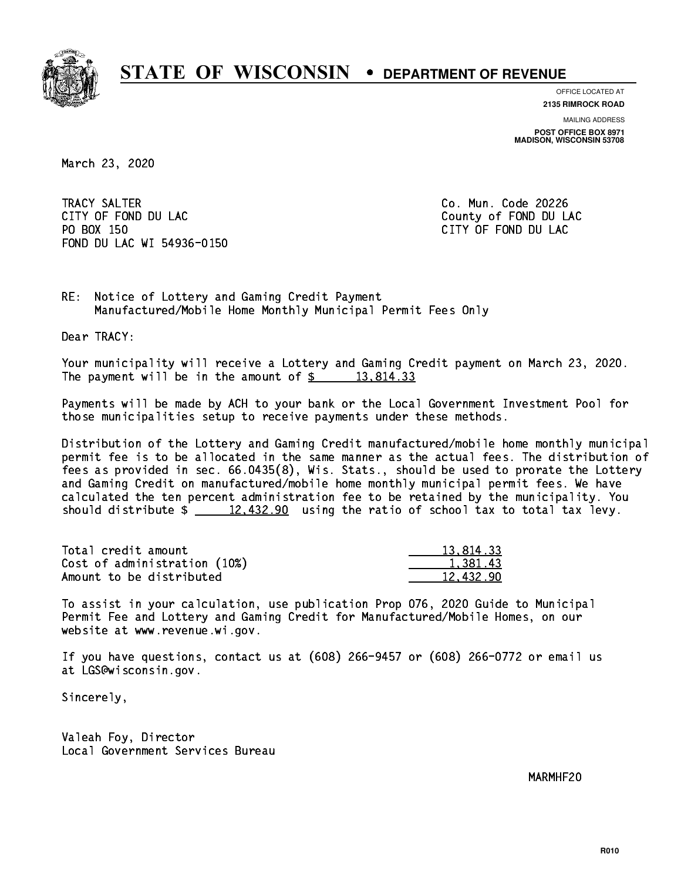

**OFFICE LOCATED AT**

**2135 RIMROCK ROAD**

**MAILING ADDRESS POST OFFICE BOX 8971 MADISON, WISCONSIN 53708**

March 23, 2020

 TRACY SALTER Co. Mun. Code 20226 CITY OF FOND DU LAC **COUNTY OF FOND DU LAC**  PO BOX 150 CITY OF FOND DU LAC FOND DU LAC WI 54936-0150

RE: Notice of Lottery and Gaming Credit Payment Manufactured/Mobile Home Monthly Municipal Permit Fees Only

Dear TRACY:

 Your municipality will receive a Lottery and Gaming Credit payment on March 23, 2020. The payment will be in the amount of  $\frac{2}{3}$  13,814.33

 Payments will be made by ACH to your bank or the Local Government Investment Pool for those municipalities setup to receive payments under these methods.

 Distribution of the Lottery and Gaming Credit manufactured/mobile home monthly municipal permit fee is to be allocated in the same manner as the actual fees. The distribution of fees as provided in sec. 66.0435(8), Wis. Stats., should be used to prorate the Lottery and Gaming Credit on manufactured/mobile home monthly municipal permit fees. We have calculated the ten percent administration fee to be retained by the municipality. You should distribute  $\frac{2}{2}$   $\frac{12,432.90}{2}$  using the ratio of school tax to total tax levy.

| Total credit amount          | 13.814.33 |
|------------------------------|-----------|
| Cost of administration (10%) | 1,381.43  |
| Amount to be distributed     | 12,432.90 |

 To assist in your calculation, use publication Prop 076, 2020 Guide to Municipal Permit Fee and Lottery and Gaming Credit for Manufactured/Mobile Homes, on our website at www.revenue.wi.gov.

 If you have questions, contact us at (608) 266-9457 or (608) 266-0772 or email us at LGS@wisconsin.gov.

Sincerely,

 Valeah Foy, Director Local Government Services Bureau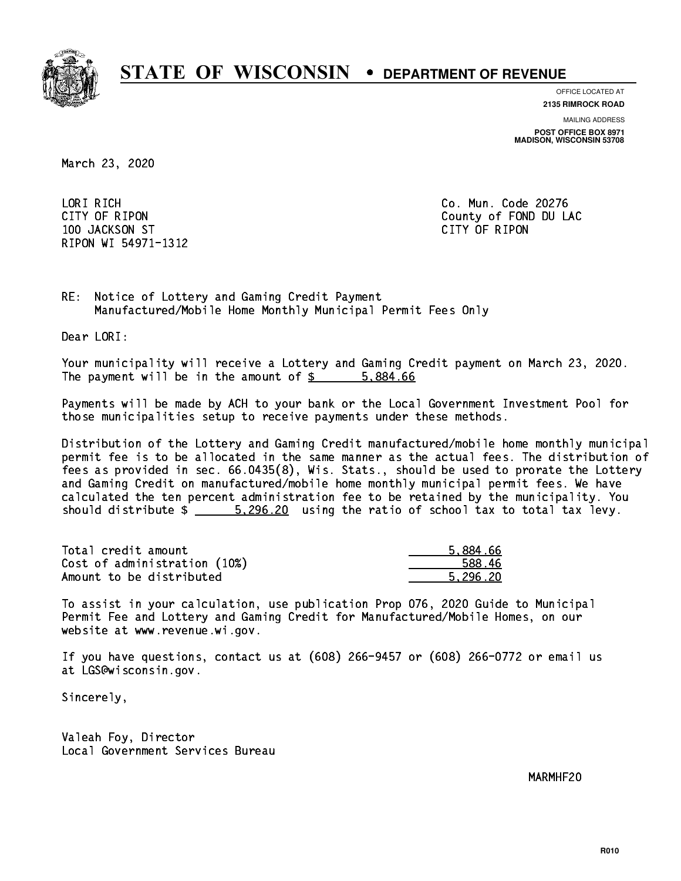

**OFFICE LOCATED AT**

**2135 RIMROCK ROAD**

**MAILING ADDRESS POST OFFICE BOX 8971 MADISON, WISCONSIN 53708**

March 23, 2020

 LORI RICH Co. Mun. Code 20276 100 JACKSON ST CITY OF RIPON RIPON WI 54971-1312

CITY OF RIPON COUNTY COUNTY OF RIPON

RE: Notice of Lottery and Gaming Credit Payment Manufactured/Mobile Home Monthly Municipal Permit Fees Only

Dear LORI:

 Your municipality will receive a Lottery and Gaming Credit payment on March 23, 2020. The payment will be in the amount of \$ 5,884.66 \_\_\_\_\_\_\_\_\_\_\_\_\_\_\_\_

 Payments will be made by ACH to your bank or the Local Government Investment Pool for those municipalities setup to receive payments under these methods.

 Distribution of the Lottery and Gaming Credit manufactured/mobile home monthly municipal permit fee is to be allocated in the same manner as the actual fees. The distribution of fees as provided in sec. 66.0435(8), Wis. Stats., should be used to prorate the Lottery and Gaming Credit on manufactured/mobile home monthly municipal permit fees. We have calculated the ten percent administration fee to be retained by the municipality. You should distribute  $\frac{20}{20}$  5,296.20 using the ratio of school tax to total tax levy.

| Total credit amount          | 5.884.66 |
|------------------------------|----------|
| Cost of administration (10%) | 588.46   |
| Amount to be distributed     | 5.296.20 |

 To assist in your calculation, use publication Prop 076, 2020 Guide to Municipal Permit Fee and Lottery and Gaming Credit for Manufactured/Mobile Homes, on our website at www.revenue.wi.gov.

 If you have questions, contact us at (608) 266-9457 or (608) 266-0772 or email us at LGS@wisconsin.gov.

Sincerely,

 Valeah Foy, Director Local Government Services Bureau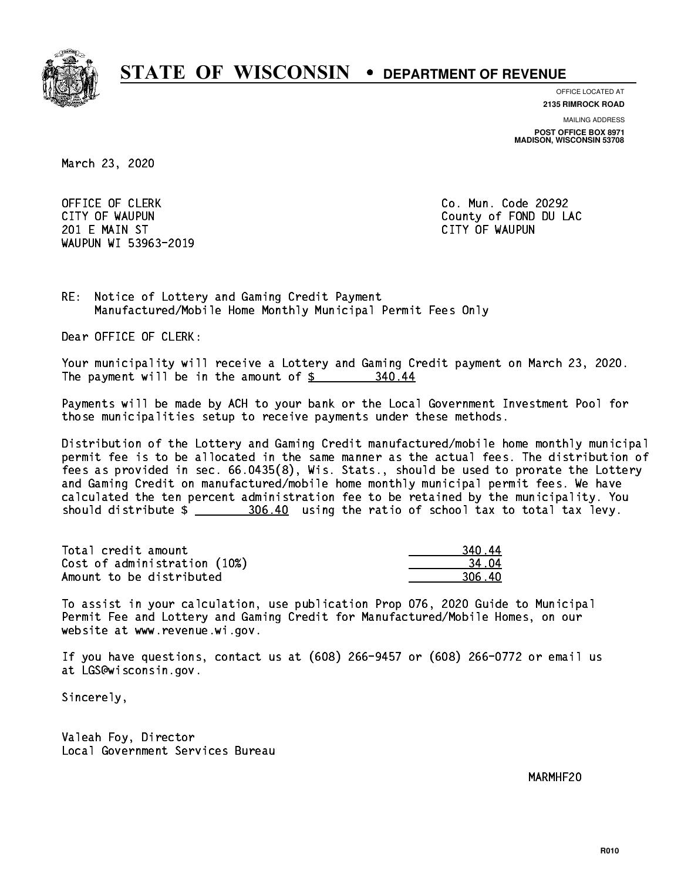

**OFFICE LOCATED AT 2135 RIMROCK ROAD**

**MAILING ADDRESS**

**POST OFFICE BOX 8971 MADISON, WISCONSIN 53708**

March 23, 2020

OFFICE OF CLERK **Co. Mun. Code 20292**  201 E MAIN ST CITY OF WAUPUN WAUPUN WI 53963-2019

CITY OF WAUPUN COUNTY COUNTY OF MAUPUN

RE: Notice of Lottery and Gaming Credit Payment Manufactured/Mobile Home Monthly Municipal Permit Fees Only

Dear OFFICE OF CLERK:

 Your municipality will receive a Lottery and Gaming Credit payment on March 23, 2020. The payment will be in the amount of  $\frac{2}{3}$ 340.44

 Payments will be made by ACH to your bank or the Local Government Investment Pool for those municipalities setup to receive payments under these methods.

 Distribution of the Lottery and Gaming Credit manufactured/mobile home monthly municipal permit fee is to be allocated in the same manner as the actual fees. The distribution of fees as provided in sec. 66.0435(8), Wis. Stats., should be used to prorate the Lottery and Gaming Credit on manufactured/mobile home monthly municipal permit fees. We have calculated the ten percent administration fee to be retained by the municipality. You should distribute \$ 306.40 using the ratio of school tax to total tax levy. \_\_\_\_\_\_\_\_\_\_\_\_\_\_

Total credit amount Cost of administration (10%) Amount to be distributed

| ١4<br>40 L    |
|---------------|
| 1 N4          |
| ነ6 4በ<br>-211 |

 To assist in your calculation, use publication Prop 076, 2020 Guide to Municipal Permit Fee and Lottery and Gaming Credit for Manufactured/Mobile Homes, on our website at www.revenue.wi.gov.

 If you have questions, contact us at (608) 266-9457 or (608) 266-0772 or email us at LGS@wisconsin.gov.

Sincerely,

 Valeah Foy, Director Local Government Services Bureau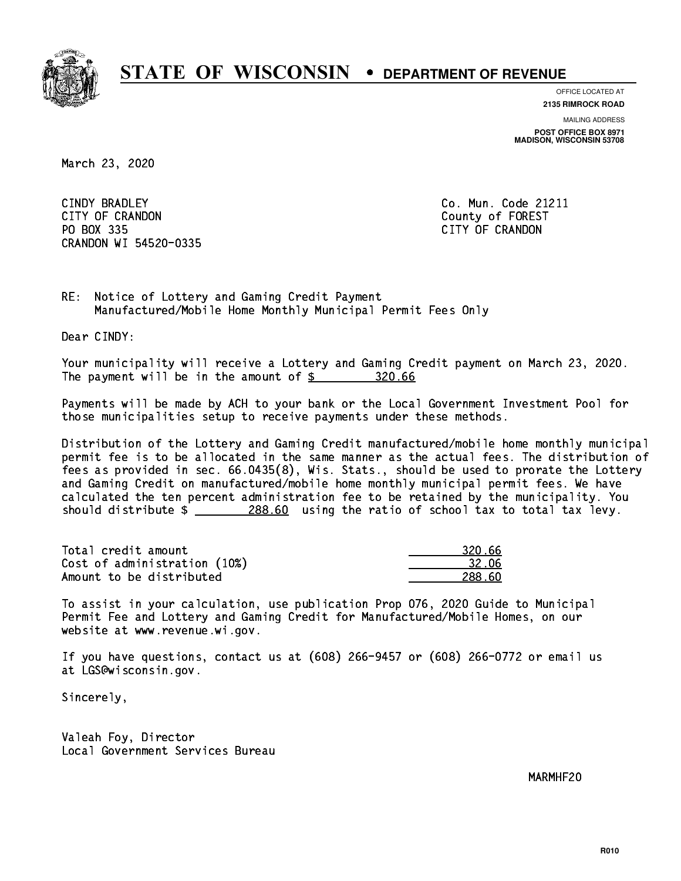

**OFFICE LOCATED AT**

**2135 RIMROCK ROAD**

**MAILING ADDRESS POST OFFICE BOX 8971 MADISON, WISCONSIN 53708**

March 23, 2020

CINDY BRADLEY CITY OF CRANDON County of FOREST PO BOX 335 PO BOX 335 CITY OF CRANDON CONTROL CONTROL CONTROL CONTROL CONTROL CONTROL CONTROL CONTROL CONTROL CONTROL CONTROL CONTROL CONTROL CONTROL CONTROL CONTROL CONTROL CONTROL CONTROL CONTROL CONTROL CONTROL CONTROL CONTROL CON CRANDON WI 54520-0335

Co. Mun. Code 21211

RE: Notice of Lottery and Gaming Credit Payment Manufactured/Mobile Home Monthly Municipal Permit Fees Only

Dear CINDY:

 Your municipality will receive a Lottery and Gaming Credit payment on March 23, 2020. The payment will be in the amount of \$ 320.66 \_\_\_\_\_\_\_\_\_\_\_\_\_\_\_\_

 Payments will be made by ACH to your bank or the Local Government Investment Pool for those municipalities setup to receive payments under these methods.

 Distribution of the Lottery and Gaming Credit manufactured/mobile home monthly municipal permit fee is to be allocated in the same manner as the actual fees. The distribution of fees as provided in sec. 66.0435(8), Wis. Stats., should be used to prorate the Lottery and Gaming Credit on manufactured/mobile home monthly municipal permit fees. We have calculated the ten percent administration fee to be retained by the municipality. You should distribute  $\frac{288.60}{288.60}$  using the ratio of school tax to total tax levy.

| Total credit amount          | 320.66 |
|------------------------------|--------|
| Cost of administration (10%) | -32.06 |
| Amount to be distributed     | 288.60 |

 To assist in your calculation, use publication Prop 076, 2020 Guide to Municipal Permit Fee and Lottery and Gaming Credit for Manufactured/Mobile Homes, on our website at www.revenue.wi.gov.

 If you have questions, contact us at (608) 266-9457 or (608) 266-0772 or email us at LGS@wisconsin.gov.

Sincerely,

 Valeah Foy, Director Local Government Services Bureau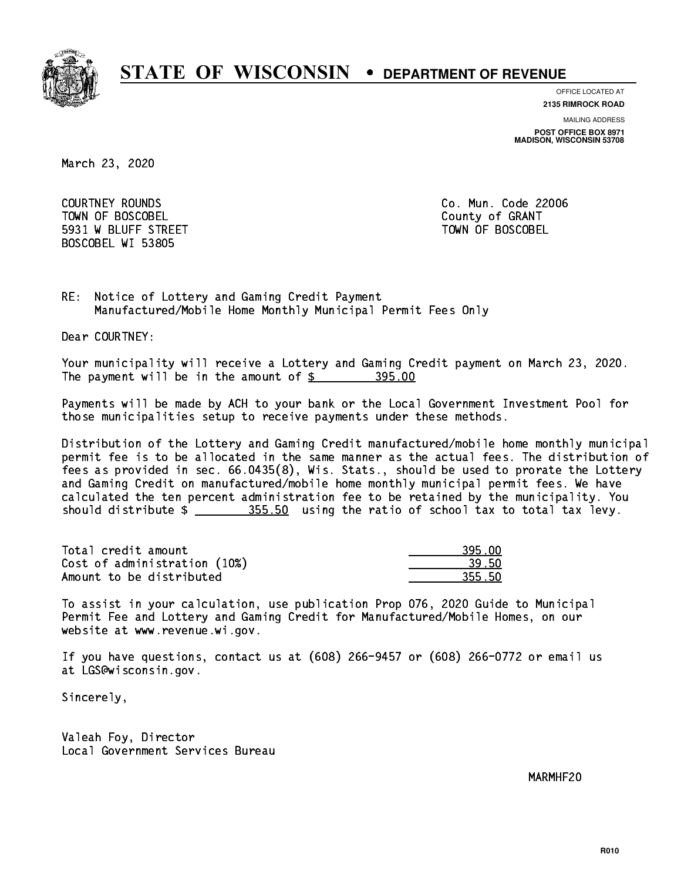

**OFFICE LOCATED AT**

**2135 RIMROCK ROAD**

**MAILING ADDRESS**

**POST OFFICE BOX 8971 MADISON, WISCONSIN 53708**

March 23, 2020

 COURTNEY ROUNDS Co. Mun. Code 22006 Town of Boscobel County of Granty of Granty of Granty of Granty of Granty of Granty of Granty of Granty of Gra 5931 W BLUFF STREET TOWN OF BOSCOBEL BOSCOBEL WI 53805

RE: Notice of Lottery and Gaming Credit Payment Manufactured/Mobile Home Monthly Municipal Permit Fees Only

Dear COURTNEY:

 Your municipality will receive a Lottery and Gaming Credit payment on March 23, 2020. The payment will be in the amount of  $$ 395.00$ 

 Payments will be made by ACH to your bank or the Local Government Investment Pool for those municipalities setup to receive payments under these methods.

 Distribution of the Lottery and Gaming Credit manufactured/mobile home monthly municipal permit fee is to be allocated in the same manner as the actual fees. The distribution of fees as provided in sec. 66.0435(8), Wis. Stats., should be used to prorate the Lottery and Gaming Credit on manufactured/mobile home monthly municipal permit fees. We have calculated the ten percent administration fee to be retained by the municipality. You should distribute  $\frac{255.50}{2}$  using the ratio of school tax to total tax levy.

Total credit amount and the set of the set of the set of the set of the set of the set of the set of the set o Cost of administration (10%) 2012 12:00 139.50 Amount to be distributed and the set of  $\sim$  355.50

 To assist in your calculation, use publication Prop 076, 2020 Guide to Municipal Permit Fee and Lottery and Gaming Credit for Manufactured/Mobile Homes, on our website at www.revenue.wi.gov.

 If you have questions, contact us at (608) 266-9457 or (608) 266-0772 or email us at LGS@wisconsin.gov.

Sincerely,

 Valeah Foy, Director Local Government Services Bureau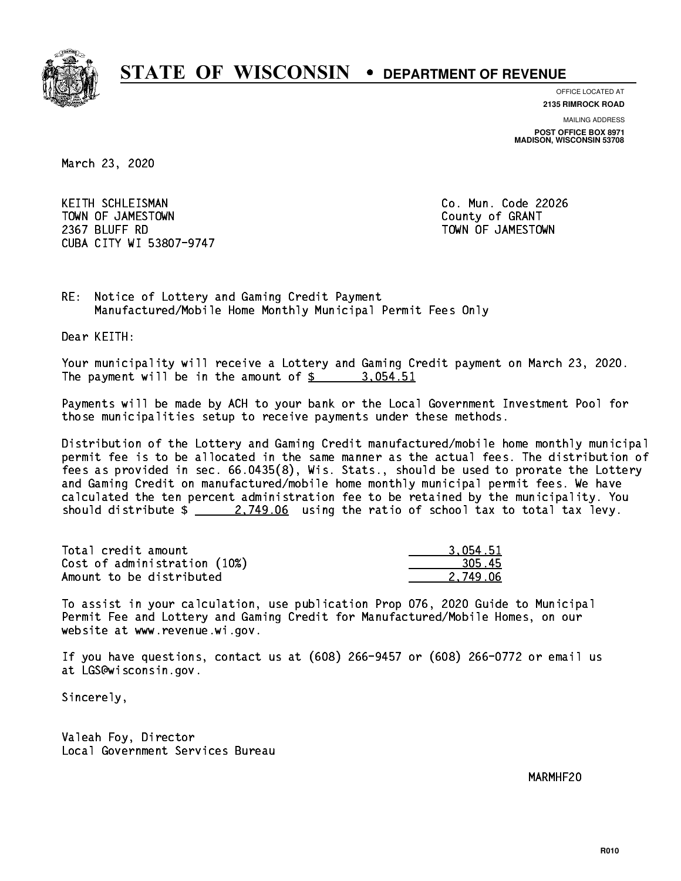

**OFFICE LOCATED AT 2135 RIMROCK ROAD**

**MAILING ADDRESS**

**POST OFFICE BOX 8971 MADISON, WISCONSIN 53708**

March 23, 2020

 KEITH SCHLEISMAN Co. Mun. Code 22026 TOWN OF JAMESTOWN County of GRANT 2367 BLUFF RD TOWN OF JAMESTOWN CUBA CITY WI 53807-9747

RE: Notice of Lottery and Gaming Credit Payment Manufactured/Mobile Home Monthly Municipal Permit Fees Only

Dear KEITH:

 Your municipality will receive a Lottery and Gaming Credit payment on March 23, 2020. The payment will be in the amount of  $\frac{2}{3}$  3,054.51

 Payments will be made by ACH to your bank or the Local Government Investment Pool for those municipalities setup to receive payments under these methods.

 Distribution of the Lottery and Gaming Credit manufactured/mobile home monthly municipal permit fee is to be allocated in the same manner as the actual fees. The distribution of fees as provided in sec. 66.0435(8), Wis. Stats., should be used to prorate the Lottery and Gaming Credit on manufactured/mobile home monthly municipal permit fees. We have calculated the ten percent administration fee to be retained by the municipality. You should distribute  $\frac{2.749.06}{2.749.06}$  using the ratio of school tax to total tax levy.

| Total credit amount          | 3.054.51 |
|------------------------------|----------|
| Cost of administration (10%) | 305.45   |
| Amount to be distributed     | 2.749.06 |

 To assist in your calculation, use publication Prop 076, 2020 Guide to Municipal Permit Fee and Lottery and Gaming Credit for Manufactured/Mobile Homes, on our website at www.revenue.wi.gov.

 If you have questions, contact us at (608) 266-9457 or (608) 266-0772 or email us at LGS@wisconsin.gov.

Sincerely,

 Valeah Foy, Director Local Government Services Bureau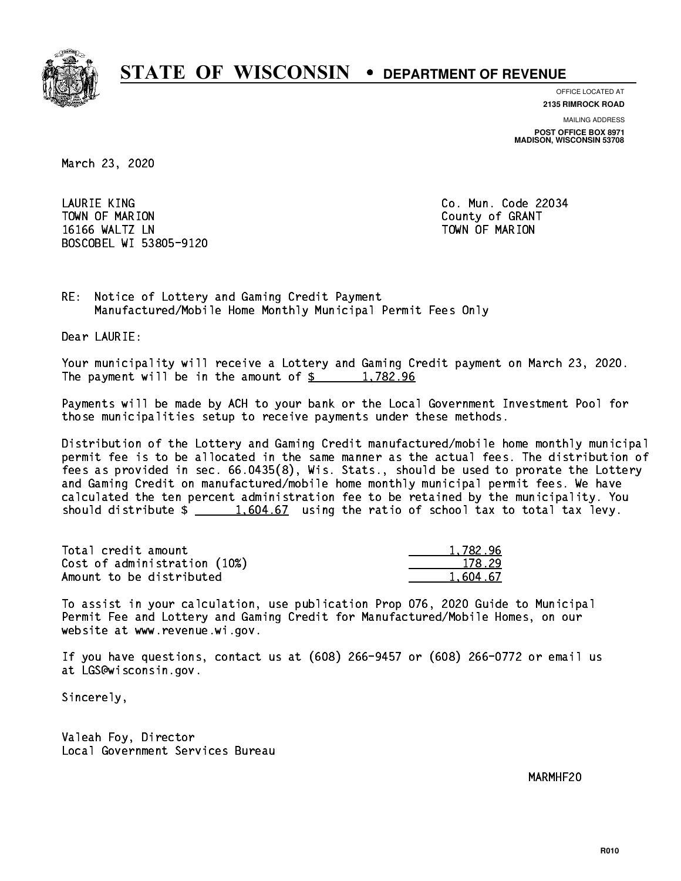

**OFFICE LOCATED AT 2135 RIMROCK ROAD**

**MAILING ADDRESS**

**POST OFFICE BOX 8971 MADISON, WISCONSIN 53708**

March 23, 2020

 LAURIE KING Co. Mun. Code 22034 Town of Marion County of Grants of Grants of Grants of Grants of Grants of Grants of Grants of Grants of Grants 16166 WALTZ LN TOWN OF MARION BOSCOBEL WI 53805-9120

RE: Notice of Lottery and Gaming Credit Payment Manufactured/Mobile Home Monthly Municipal Permit Fees Only

Dear LAURIE:

 Your municipality will receive a Lottery and Gaming Credit payment on March 23, 2020. The payment will be in the amount of  $\frac{2}{3}$  1,782.96

 Payments will be made by ACH to your bank or the Local Government Investment Pool for those municipalities setup to receive payments under these methods.

 Distribution of the Lottery and Gaming Credit manufactured/mobile home monthly municipal permit fee is to be allocated in the same manner as the actual fees. The distribution of fees as provided in sec. 66.0435(8), Wis. Stats., should be used to prorate the Lottery and Gaming Credit on manufactured/mobile home monthly municipal permit fees. We have calculated the ten percent administration fee to be retained by the municipality. You should distribute  $\frac{1,604.67}{1,604.67}$  using the ratio of school tax to total tax levy.

| Total credit amount          | 1,782.96 |
|------------------------------|----------|
| Cost of administration (10%) | 178.29   |
| Amount to be distributed     | 1.604.67 |

 To assist in your calculation, use publication Prop 076, 2020 Guide to Municipal Permit Fee and Lottery and Gaming Credit for Manufactured/Mobile Homes, on our website at www.revenue.wi.gov.

 If you have questions, contact us at (608) 266-9457 or (608) 266-0772 or email us at LGS@wisconsin.gov.

Sincerely,

 Valeah Foy, Director Local Government Services Bureau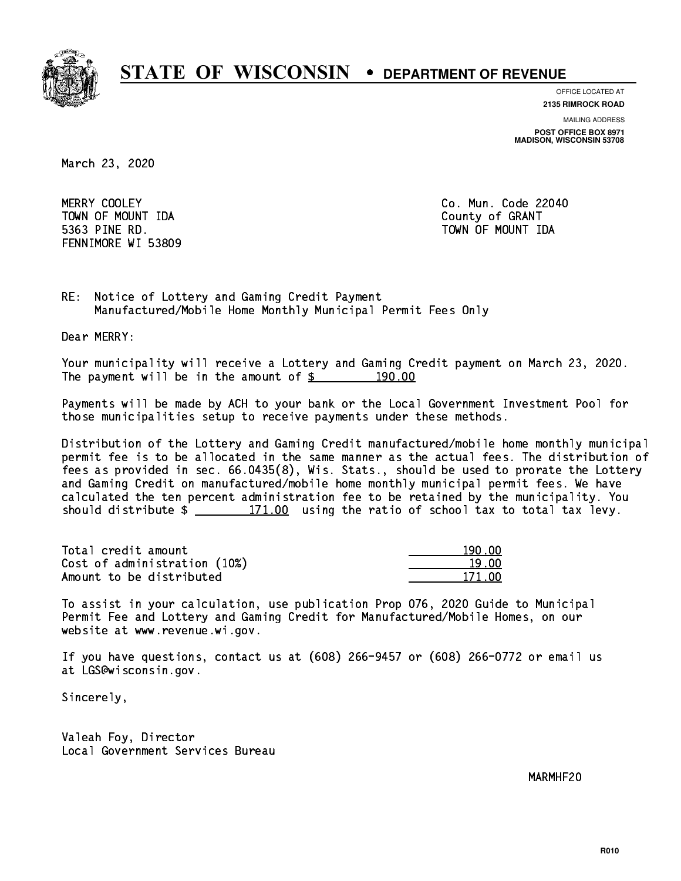

**OFFICE LOCATED AT**

**2135 RIMROCK ROAD**

**MAILING ADDRESS POST OFFICE BOX 8971 MADISON, WISCONSIN 53708**

March 23, 2020

MERRY COOLEY TOWN OF MOUNT IDA County of GRANT 5363 PINE RD. TOWN OF MOUNT IDA FENNIMORE WI 53809

Co. Mun. Code 22040

RE: Notice of Lottery and Gaming Credit Payment Manufactured/Mobile Home Monthly Municipal Permit Fees Only

Dear MERRY:

 Your municipality will receive a Lottery and Gaming Credit payment on March 23, 2020. The payment will be in the amount of  $\frac{2}{3}$  190.00

 Payments will be made by ACH to your bank or the Local Government Investment Pool for those municipalities setup to receive payments under these methods.

 Distribution of the Lottery and Gaming Credit manufactured/mobile home monthly municipal permit fee is to be allocated in the same manner as the actual fees. The distribution of fees as provided in sec. 66.0435(8), Wis. Stats., should be used to prorate the Lottery and Gaming Credit on manufactured/mobile home monthly municipal permit fees. We have calculated the ten percent administration fee to be retained by the municipality. You should distribute  $\frac{2}{2}$   $\frac{171.00}{2}$  using the ratio of school tax to total tax levy.

Total credit amount Cost of administration (10%) Amount to be distributed

| 90 DO  |
|--------|
| a nn   |
| 171 NO |

 To assist in your calculation, use publication Prop 076, 2020 Guide to Municipal Permit Fee and Lottery and Gaming Credit for Manufactured/Mobile Homes, on our website at www.revenue.wi.gov.

 If you have questions, contact us at (608) 266-9457 or (608) 266-0772 or email us at LGS@wisconsin.gov.

Sincerely,

 Valeah Foy, Director Local Government Services Bureau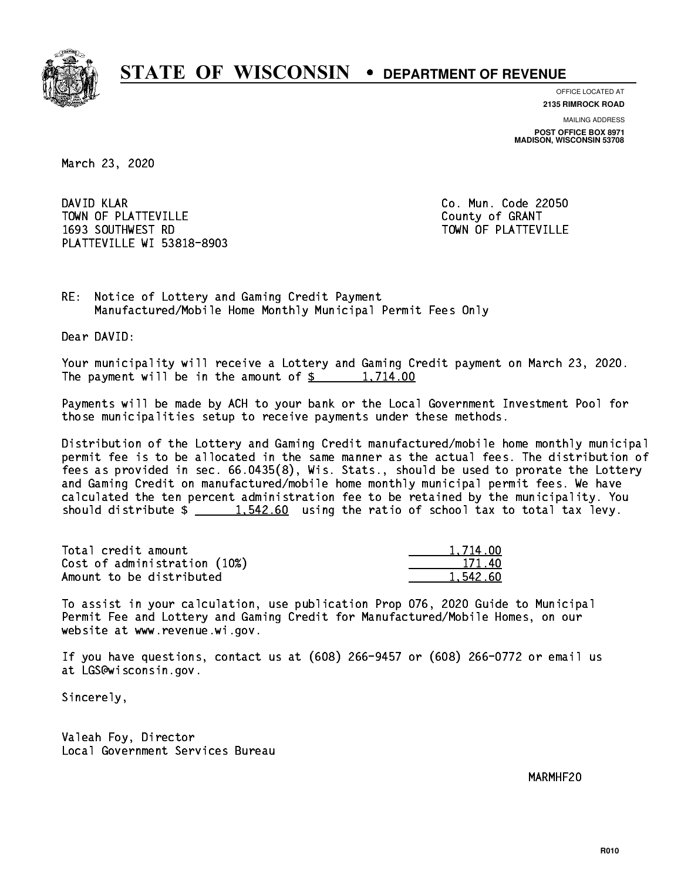

**OFFICE LOCATED AT**

**2135 RIMROCK ROAD**

**MAILING ADDRESS POST OFFICE BOX 8971 MADISON, WISCONSIN 53708**

March 23, 2020

DAVID KLAR TOWN OF PLATTEVILLE COUNTY OF GRANT 1693 SOUTHWEST RD TOWN OF PLATTEVILLE PLATTEVILLE WI 53818-8903

Co. Mun. Code 22050

RE: Notice of Lottery and Gaming Credit Payment Manufactured/Mobile Home Monthly Municipal Permit Fees Only

Dear DAVID:

 Your municipality will receive a Lottery and Gaming Credit payment on March 23, 2020. The payment will be in the amount of  $\frac{2}{3}$  1,714.00

 Payments will be made by ACH to your bank or the Local Government Investment Pool for those municipalities setup to receive payments under these methods.

 Distribution of the Lottery and Gaming Credit manufactured/mobile home monthly municipal permit fee is to be allocated in the same manner as the actual fees. The distribution of fees as provided in sec. 66.0435(8), Wis. Stats., should be used to prorate the Lottery and Gaming Credit on manufactured/mobile home monthly municipal permit fees. We have calculated the ten percent administration fee to be retained by the municipality. You should distribute  $\frac{1.542.60}{1.542.60}$  using the ratio of school tax to total tax levy.

| Total credit amount          | 1.714.00 |
|------------------------------|----------|
| Cost of administration (10%) | 171.40   |
| Amount to be distributed     | 1.542.60 |

 To assist in your calculation, use publication Prop 076, 2020 Guide to Municipal Permit Fee and Lottery and Gaming Credit for Manufactured/Mobile Homes, on our website at www.revenue.wi.gov.

 If you have questions, contact us at (608) 266-9457 or (608) 266-0772 or email us at LGS@wisconsin.gov.

Sincerely,

 Valeah Foy, Director Local Government Services Bureau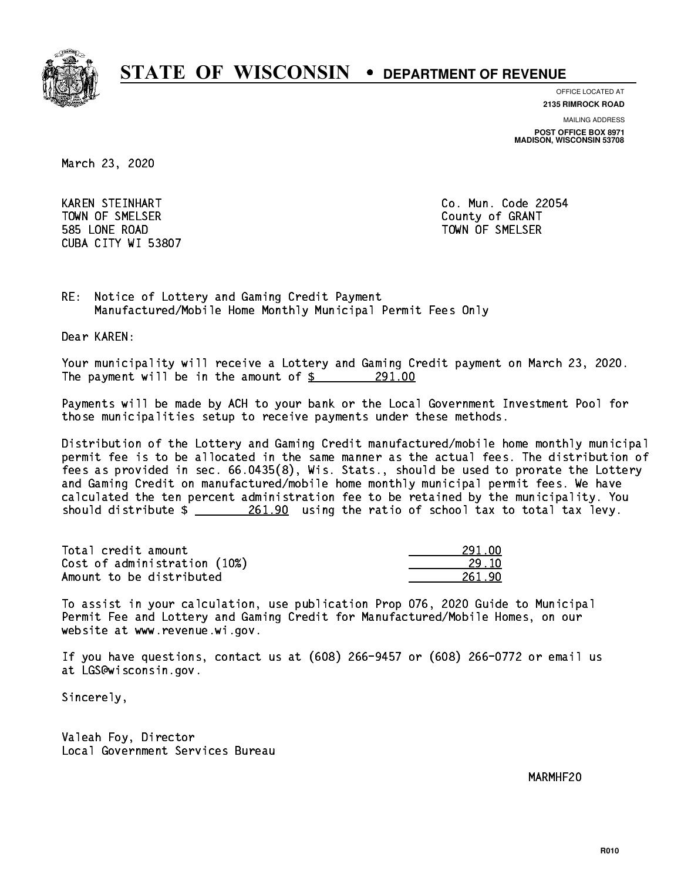

**OFFICE LOCATED AT 2135 RIMROCK ROAD**

**MAILING ADDRESS**

**POST OFFICE BOX 8971 MADISON, WISCONSIN 53708**

March 23, 2020

 KAREN STEINHART Co. Mun. Code 22054 Town of Streets. The Small county of Grants of Grants of Grants of Grants of Grants of Grants of Grants of Gra 585 LONE ROAD TOWN OF SMELSER CUBA CITY WI 53807

RE: Notice of Lottery and Gaming Credit Payment Manufactured/Mobile Home Monthly Municipal Permit Fees Only

Dear KAREN:

 Your municipality will receive a Lottery and Gaming Credit payment on March 23, 2020. The payment will be in the amount of  $\frac{291.00}{291.00}$ 

 Payments will be made by ACH to your bank or the Local Government Investment Pool for those municipalities setup to receive payments under these methods.

 Distribution of the Lottery and Gaming Credit manufactured/mobile home monthly municipal permit fee is to be allocated in the same manner as the actual fees. The distribution of fees as provided in sec. 66.0435(8), Wis. Stats., should be used to prorate the Lottery and Gaming Credit on manufactured/mobile home monthly municipal permit fees. We have calculated the ten percent administration fee to be retained by the municipality. You should distribute  $\frac{261.90}{261.90}$  using the ratio of school tax to total tax levy.

| Total credit amount          | 291.00 |
|------------------------------|--------|
| Cost of administration (10%) | 29. IN |
| Amount to be distributed     | 261.90 |

 To assist in your calculation, use publication Prop 076, 2020 Guide to Municipal Permit Fee and Lottery and Gaming Credit for Manufactured/Mobile Homes, on our website at www.revenue.wi.gov.

 If you have questions, contact us at (608) 266-9457 or (608) 266-0772 or email us at LGS@wisconsin.gov.

Sincerely,

 Valeah Foy, Director Local Government Services Bureau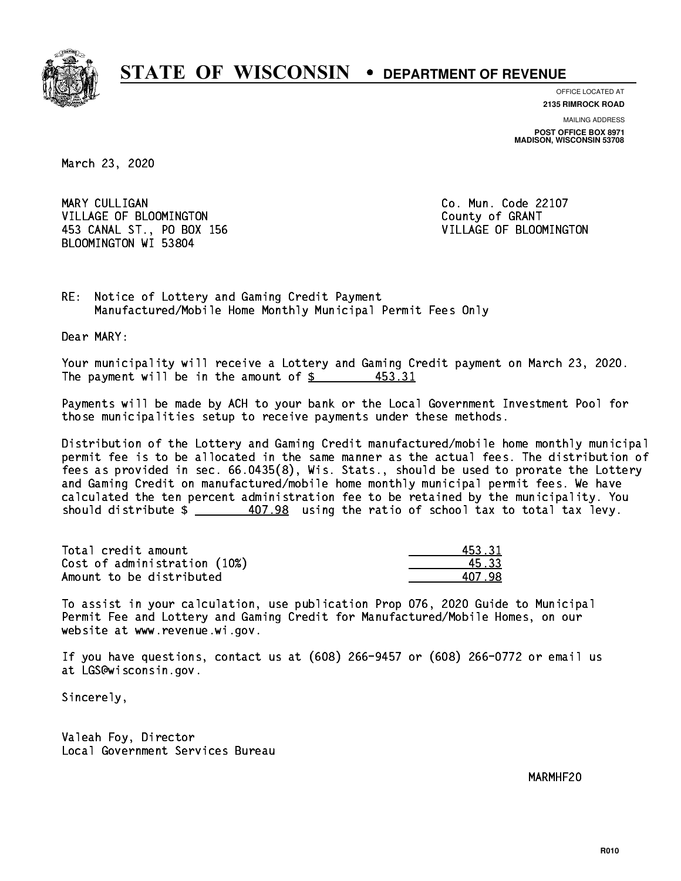

**OFFICE LOCATED AT**

**2135 RIMROCK ROAD**

**MAILING ADDRESS POST OFFICE BOX 8971 MADISON, WISCONSIN 53708**

March 23, 2020

MARY CULLIGAN VILLAGE OF BLOOMINGTON COUNTY OF GRANT 453 CANAL ST., PO BOX 156 VILLAGE OF BLOOMINGTON BLOOMINGTON WI 53804

Co. Mun. Code 22107

RE: Notice of Lottery and Gaming Credit Payment Manufactured/Mobile Home Monthly Municipal Permit Fees Only

Dear MARY:

 Your municipality will receive a Lottery and Gaming Credit payment on March 23, 2020. The payment will be in the amount of \$ 453.31 \_\_\_\_\_\_\_\_\_\_\_\_\_\_\_\_

 Payments will be made by ACH to your bank or the Local Government Investment Pool for those municipalities setup to receive payments under these methods.

 Distribution of the Lottery and Gaming Credit manufactured/mobile home monthly municipal permit fee is to be allocated in the same manner as the actual fees. The distribution of fees as provided in sec. 66.0435(8), Wis. Stats., should be used to prorate the Lottery and Gaming Credit on manufactured/mobile home monthly municipal permit fees. We have calculated the ten percent administration fee to be retained by the municipality. You should distribute  $\frac{407.98}{2}$  using the ratio of school tax to total tax levy.

| Total credit amount          | 453.31 |
|------------------------------|--------|
| Cost of administration (10%) | 45.33  |
| Amount to be distributed     | 407.98 |

 To assist in your calculation, use publication Prop 076, 2020 Guide to Municipal Permit Fee and Lottery and Gaming Credit for Manufactured/Mobile Homes, on our website at www.revenue.wi.gov.

 If you have questions, contact us at (608) 266-9457 or (608) 266-0772 or email us at LGS@wisconsin.gov.

Sincerely,

 Valeah Foy, Director Local Government Services Bureau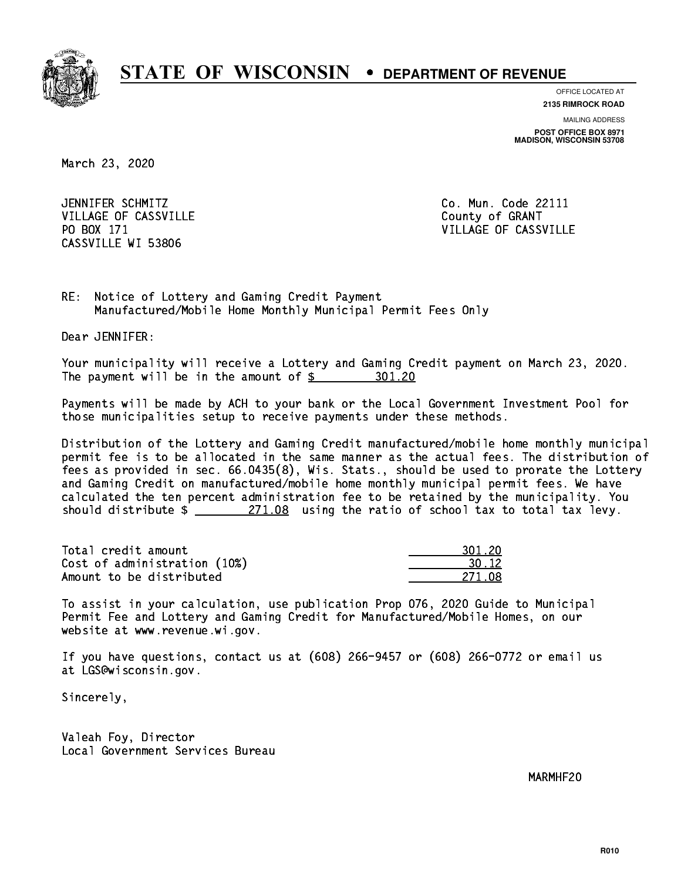

**OFFICE LOCATED AT**

**2135 RIMROCK ROAD**

**MAILING ADDRESS POST OFFICE BOX 8971 MADISON, WISCONSIN 53708**

March 23, 2020

JENNIFER SCHMITZ VILLAGE OF CASSVILLE COUNTY OF GRANT PO BOX 171 CASSVILLE WI 53806

Co. Mun. Code 22111 VILLAGE OF CASSVILLE

RE: Notice of Lottery and Gaming Credit Payment Manufactured/Mobile Home Monthly Municipal Permit Fees Only

Dear JENNIFER:

 Your municipality will receive a Lottery and Gaming Credit payment on March 23, 2020. The payment will be in the amount of  $\frac{20!}{20}$ 

 Payments will be made by ACH to your bank or the Local Government Investment Pool for those municipalities setup to receive payments under these methods.

 Distribution of the Lottery and Gaming Credit manufactured/mobile home monthly municipal permit fee is to be allocated in the same manner as the actual fees. The distribution of fees as provided in sec. 66.0435(8), Wis. Stats., should be used to prorate the Lottery and Gaming Credit on manufactured/mobile home monthly municipal permit fees. We have calculated the ten percent administration fee to be retained by the municipality. You should distribute  $\frac{271.08}{271.08}$  using the ratio of school tax to total tax levy.

Total credit amount Cost of administration (10%) Amount to be distributed

| 11. ZN         |
|----------------|
| $\frac{12}{2}$ |
| 271.           |

 To assist in your calculation, use publication Prop 076, 2020 Guide to Municipal Permit Fee and Lottery and Gaming Credit for Manufactured/Mobile Homes, on our website at www.revenue.wi.gov.

 If you have questions, contact us at (608) 266-9457 or (608) 266-0772 or email us at LGS@wisconsin.gov.

Sincerely,

 Valeah Foy, Director Local Government Services Bureau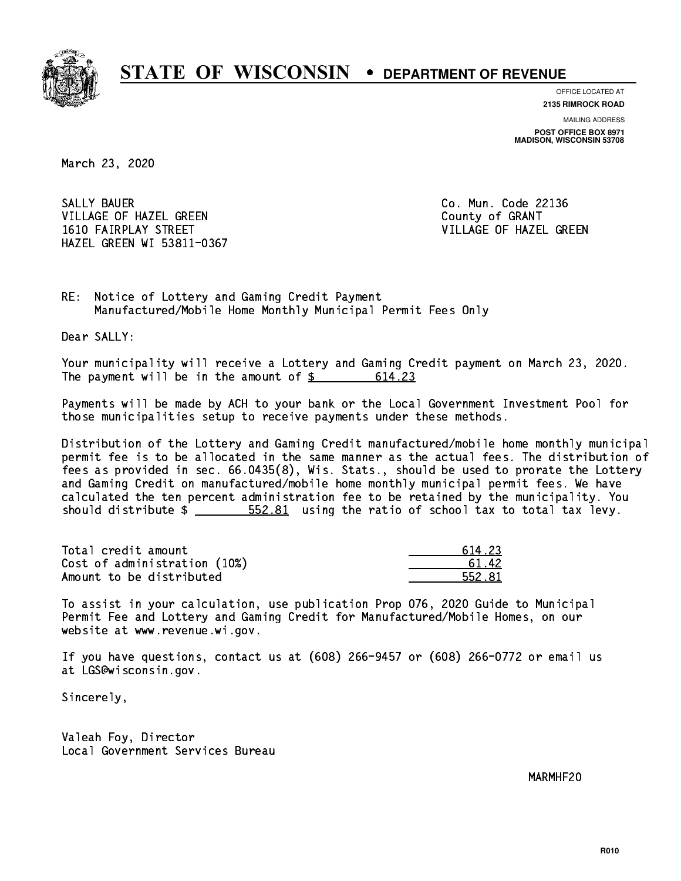

**OFFICE LOCATED AT**

**2135 RIMROCK ROAD**

**MAILING ADDRESS POST OFFICE BOX 8971 MADISON, WISCONSIN 53708**

March 23, 2020

SALLY BAUER VILLAGE OF HAZEL GREEN COUNTY OF GRANT 1610 FAIRPLAY STREET VILLAGE OF HAZEL GREEN HAZEL GREEN WI 53811-0367

Co. Mun. Code 22136

RE: Notice of Lottery and Gaming Credit Payment Manufactured/Mobile Home Monthly Municipal Permit Fees Only

Dear SALLY:

 Your municipality will receive a Lottery and Gaming Credit payment on March 23, 2020. The payment will be in the amount of  $\frac{2}{3}$ 614.23

 Payments will be made by ACH to your bank or the Local Government Investment Pool for those municipalities setup to receive payments under these methods.

 Distribution of the Lottery and Gaming Credit manufactured/mobile home monthly municipal permit fee is to be allocated in the same manner as the actual fees. The distribution of fees as provided in sec. 66.0435(8), Wis. Stats., should be used to prorate the Lottery and Gaming Credit on manufactured/mobile home monthly municipal permit fees. We have calculated the ten percent administration fee to be retained by the municipality. You should distribute  $\frac{2}{1}$   $\frac{552.81}{2}$  using the ratio of school tax to total tax levy.

Total credit amount Cost of administration (10%) Amount to be distributed

| l 23   |
|--------|
| 42.    |
| 72. XI |

 To assist in your calculation, use publication Prop 076, 2020 Guide to Municipal Permit Fee and Lottery and Gaming Credit for Manufactured/Mobile Homes, on our website at www.revenue.wi.gov.

 If you have questions, contact us at (608) 266-9457 or (608) 266-0772 or email us at LGS@wisconsin.gov.

Sincerely,

 Valeah Foy, Director Local Government Services Bureau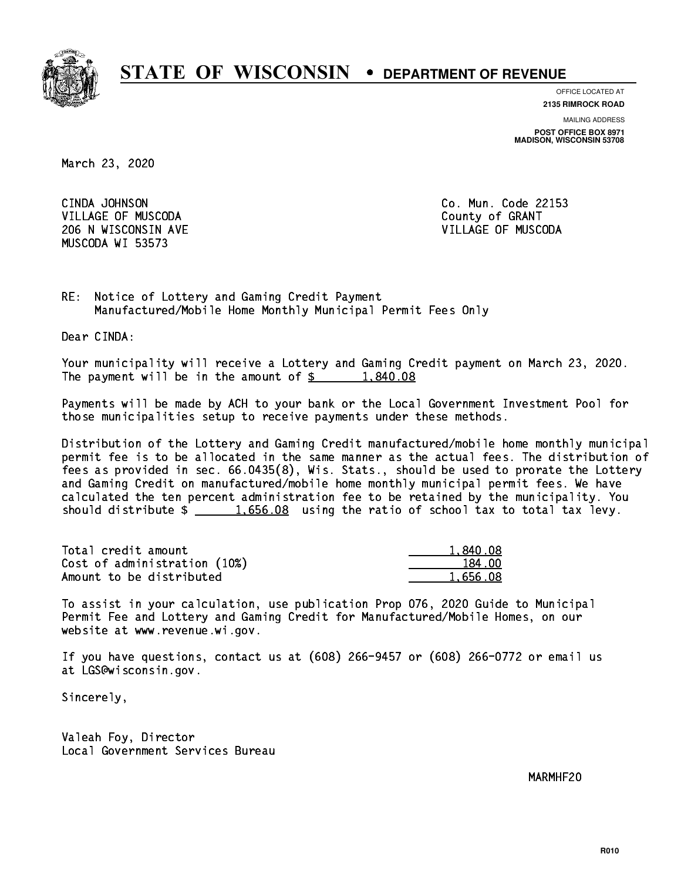

**OFFICE LOCATED AT**

**2135 RIMROCK ROAD**

**MAILING ADDRESS POST OFFICE BOX 8971 MADISON, WISCONSIN 53708**

March 23, 2020

CINDA JOHNSON VILLAGE OF MUSCODA COUNTY OF GRANT 206 N WISCONSIN AVE VILLAGE OF MUSCODA MUSCODA WI 53573

Co. Mun. Code 22153

RE: Notice of Lottery and Gaming Credit Payment Manufactured/Mobile Home Monthly Municipal Permit Fees Only

Dear CINDA:

 Your municipality will receive a Lottery and Gaming Credit payment on March 23, 2020. The payment will be in the amount of  $\frac{2}{3}$  1,840.08

 Payments will be made by ACH to your bank or the Local Government Investment Pool for those municipalities setup to receive payments under these methods.

 Distribution of the Lottery and Gaming Credit manufactured/mobile home monthly municipal permit fee is to be allocated in the same manner as the actual fees. The distribution of fees as provided in sec. 66.0435(8), Wis. Stats., should be used to prorate the Lottery and Gaming Credit on manufactured/mobile home monthly municipal permit fees. We have calculated the ten percent administration fee to be retained by the municipality. You should distribute  $\frac{1.656.08}{1.656.08}$  using the ratio of school tax to total tax levy.

| Total credit amount          | 1,840.08 |
|------------------------------|----------|
| Cost of administration (10%) | 184.00   |
| Amount to be distributed     | 1.656.08 |

 To assist in your calculation, use publication Prop 076, 2020 Guide to Municipal Permit Fee and Lottery and Gaming Credit for Manufactured/Mobile Homes, on our website at www.revenue.wi.gov.

 If you have questions, contact us at (608) 266-9457 or (608) 266-0772 or email us at LGS@wisconsin.gov.

Sincerely,

 Valeah Foy, Director Local Government Services Bureau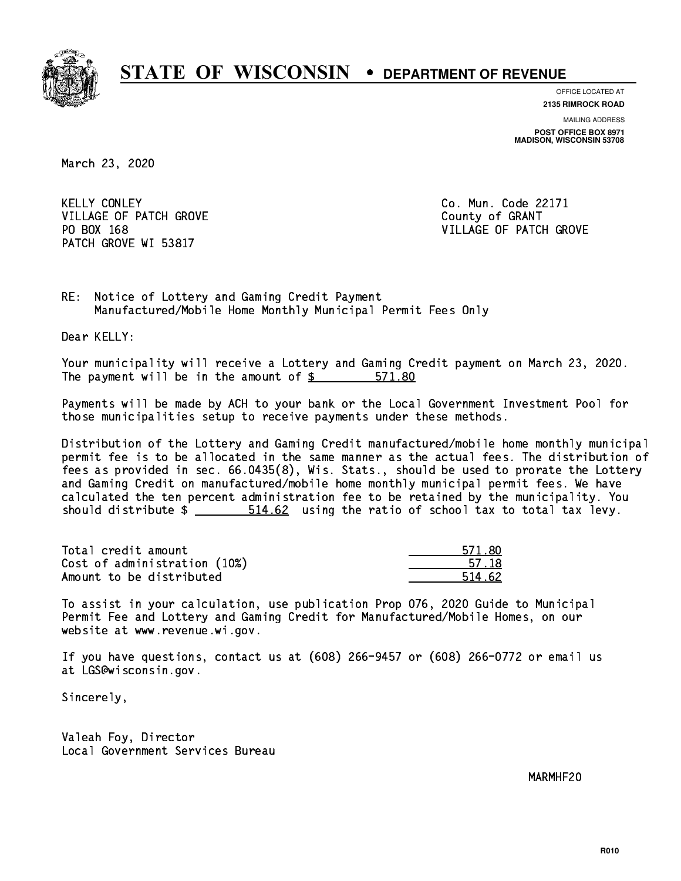

**OFFICE LOCATED AT**

**2135 RIMROCK ROAD**

**MAILING ADDRESS POST OFFICE BOX 8971 MADISON, WISCONSIN 53708**

March 23, 2020

**KELLY CONLEY** VILLAGE OF PATCH GROVE COUNTY OF GRANT PATCH GROVE WI 53817

Co. Mun. Code 22171 PO BOX 168 VILLAGE OF PATCH GROVE

RE: Notice of Lottery and Gaming Credit Payment Manufactured/Mobile Home Monthly Municipal Permit Fees Only

Dear KELLY:

 Your municipality will receive a Lottery and Gaming Credit payment on March 23, 2020. The payment will be in the amount of \$ 571.80 \_\_\_\_\_\_\_\_\_\_\_\_\_\_\_\_

 Payments will be made by ACH to your bank or the Local Government Investment Pool for those municipalities setup to receive payments under these methods.

 Distribution of the Lottery and Gaming Credit manufactured/mobile home monthly municipal permit fee is to be allocated in the same manner as the actual fees. The distribution of fees as provided in sec. 66.0435(8), Wis. Stats., should be used to prorate the Lottery and Gaming Credit on manufactured/mobile home monthly municipal permit fees. We have calculated the ten percent administration fee to be retained by the municipality. You should distribute \$ 514.62 using the ratio of school tax to total tax levy. \_\_\_\_\_\_\_\_\_\_\_\_\_\_

Total credit amount Cost of administration (10%) Amount to be distributed

| 571.80 |
|--------|
| 57.18  |
| -62    |

 To assist in your calculation, use publication Prop 076, 2020 Guide to Municipal Permit Fee and Lottery and Gaming Credit for Manufactured/Mobile Homes, on our website at www.revenue.wi.gov.

 If you have questions, contact us at (608) 266-9457 or (608) 266-0772 or email us at LGS@wisconsin.gov.

Sincerely,

 Valeah Foy, Director Local Government Services Bureau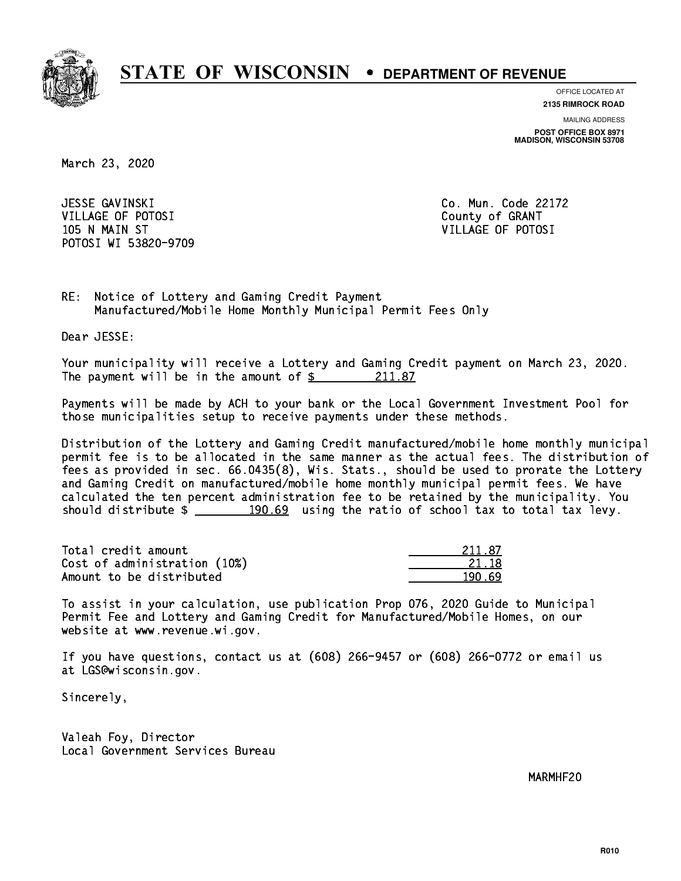

**OFFICE LOCATED AT**

**2135 RIMROCK ROAD**

**MAILING ADDRESS POST OFFICE BOX 8971 MADISON, WISCONSIN 53708**

March 23, 2020

 JESSE GAVINSKI Co. Mun. Code 22172 VILLAGE OF POTOSI COUNTY OF GRANT 105 N MAIN ST VILLAGE OF POTOSI POTOSI WI 53820-9709

RE: Notice of Lottery and Gaming Credit Payment Manufactured/Mobile Home Monthly Municipal Permit Fees Only

Dear JESSE:

 Your municipality will receive a Lottery and Gaming Credit payment on March 23, 2020. The payment will be in the amount of  $\frac{211.87}{211.87}$ 

 Payments will be made by ACH to your bank or the Local Government Investment Pool for those municipalities setup to receive payments under these methods.

 Distribution of the Lottery and Gaming Credit manufactured/mobile home monthly municipal permit fee is to be allocated in the same manner as the actual fees. The distribution of fees as provided in sec. 66.0435(8), Wis. Stats., should be used to prorate the Lottery and Gaming Credit on manufactured/mobile home monthly municipal permit fees. We have calculated the ten percent administration fee to be retained by the municipality. You should distribute  $\frac{190.69}{190.69}$  using the ratio of school tax to total tax levy.

Total credit amount Cost of administration (10%) Amount to be distributed

| 211.87 |
|--------|
| 21 18  |
|        |

 To assist in your calculation, use publication Prop 076, 2020 Guide to Municipal Permit Fee and Lottery and Gaming Credit for Manufactured/Mobile Homes, on our website at www.revenue.wi.gov.

 If you have questions, contact us at (608) 266-9457 or (608) 266-0772 or email us at LGS@wisconsin.gov.

Sincerely,

 Valeah Foy, Director Local Government Services Bureau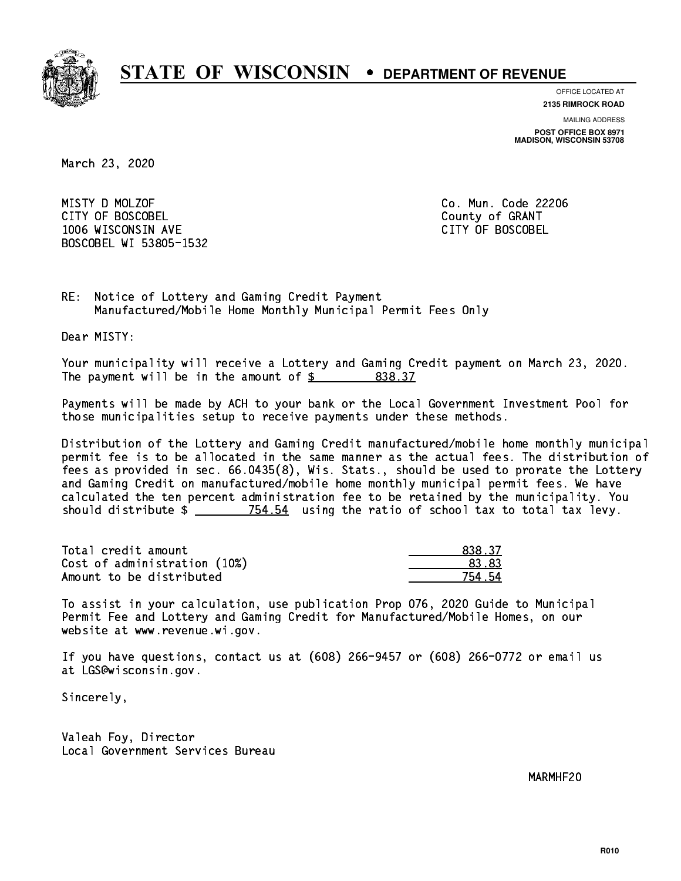

**OFFICE LOCATED AT**

**2135 RIMROCK ROAD**

**MAILING ADDRESS**

**POST OFFICE BOX 8971 MADISON, WISCONSIN 53708**

March 23, 2020

 MISTY D MOLZOF Co. Mun. Code 22206 CITY OF BOSCOBEL County of GRANT 1006 WISCONSIN AVE CITY OF BOSCOBEL BOSCOBEL WI 53805-1532

RE: Notice of Lottery and Gaming Credit Payment Manufactured/Mobile Home Monthly Municipal Permit Fees Only

Dear MISTY:

 Your municipality will receive a Lottery and Gaming Credit payment on March 23, 2020. The payment will be in the amount of  $\frac{2}{3}$  838.37

 Payments will be made by ACH to your bank or the Local Government Investment Pool for those municipalities setup to receive payments under these methods.

 Distribution of the Lottery and Gaming Credit manufactured/mobile home monthly municipal permit fee is to be allocated in the same manner as the actual fees. The distribution of fees as provided in sec. 66.0435(8), Wis. Stats., should be used to prorate the Lottery and Gaming Credit on manufactured/mobile home monthly municipal permit fees. We have calculated the ten percent administration fee to be retained by the municipality. You should distribute  $\frac{2}{2}$   $\frac{754.54}{2}$  using the ratio of school tax to total tax levy.

Total credit amount and the set of the set of the set of the set of the set of the set of the set of the set o  $Cost of administration (10%)$   $23.83$ Amount to be distributed **754.54** 

 To assist in your calculation, use publication Prop 076, 2020 Guide to Municipal Permit Fee and Lottery and Gaming Credit for Manufactured/Mobile Homes, on our website at www.revenue.wi.gov.

 If you have questions, contact us at (608) 266-9457 or (608) 266-0772 or email us at LGS@wisconsin.gov.

Sincerely,

 Valeah Foy, Director Local Government Services Bureau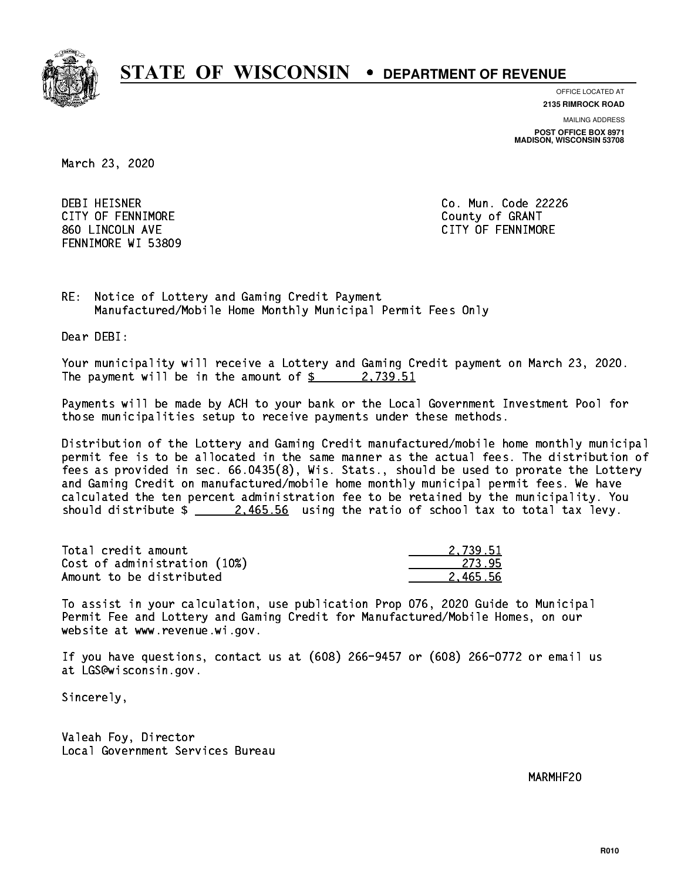

**OFFICE LOCATED AT**

**2135 RIMROCK ROAD**

**MAILING ADDRESS POST OFFICE BOX 8971 MADISON, WISCONSIN 53708**

March 23, 2020

 DEBI HEISNER Co. Mun. Code 22226 CITY OF FENNIMORE **COULD COULD COULD COULD COULD** 860 LINCOLN AVE CONTROLLER SERVICE SERVICE SERVICE SERVICE SERVICE SERVICE SERVICE SERVICE SERVICE SERVICE SERVICE SERVICE SERVICE SERVICE SERVICE SERVICE SERVICE SERVICE SERVICE SERVICE SERVICE SERVICE SERVICE SERVICE SER FENNIMORE WI 53809

RE: Notice of Lottery and Gaming Credit Payment Manufactured/Mobile Home Monthly Municipal Permit Fees Only

Dear DEBI:

 Your municipality will receive a Lottery and Gaming Credit payment on March 23, 2020. The payment will be in the amount of  $\frac{2}{3}$  2,739.51

 Payments will be made by ACH to your bank or the Local Government Investment Pool for those municipalities setup to receive payments under these methods.

 Distribution of the Lottery and Gaming Credit manufactured/mobile home monthly municipal permit fee is to be allocated in the same manner as the actual fees. The distribution of fees as provided in sec. 66.0435(8), Wis. Stats., should be used to prorate the Lottery and Gaming Credit on manufactured/mobile home monthly municipal permit fees. We have calculated the ten percent administration fee to be retained by the municipality. You should distribute  $\frac{2.465.56}{2.465.56}$  using the ratio of school tax to total tax levy.

| Total credit amount          | 2.739.51 |
|------------------------------|----------|
| Cost of administration (10%) | -273.95  |
| Amount to be distributed     | 2.465.56 |

 To assist in your calculation, use publication Prop 076, 2020 Guide to Municipal Permit Fee and Lottery and Gaming Credit for Manufactured/Mobile Homes, on our website at www.revenue.wi.gov.

 If you have questions, contact us at (608) 266-9457 or (608) 266-0772 or email us at LGS@wisconsin.gov.

Sincerely,

 Valeah Foy, Director Local Government Services Bureau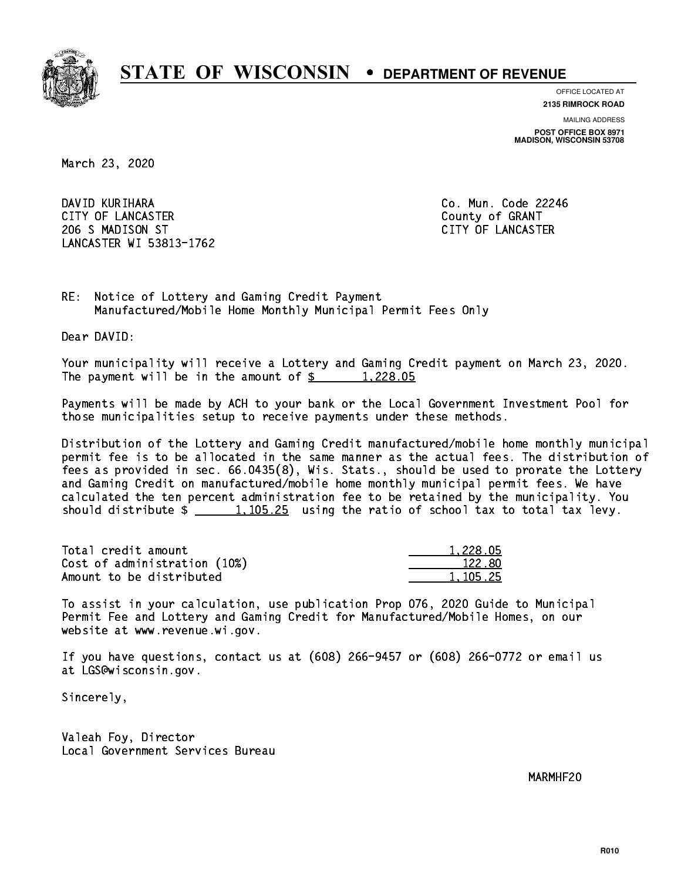

**OFFICE LOCATED AT**

**2135 RIMROCK ROAD**

**MAILING ADDRESS POST OFFICE BOX 8971 MADISON, WISCONSIN 53708**

March 23, 2020

 DAVID KURIHARA Co. Mun. Code 22246 CITY OF LANCASTER COUNTY COUNTY OF GRANT 206 S MADISON ST CITY OF LANCASTER LANCASTER WI 53813-1762

RE: Notice of Lottery and Gaming Credit Payment Manufactured/Mobile Home Monthly Municipal Permit Fees Only

Dear DAVID:

 Your municipality will receive a Lottery and Gaming Credit payment on March 23, 2020. The payment will be in the amount of \$ 1,228.05 \_\_\_\_\_\_\_\_\_\_\_\_\_\_\_\_

 Payments will be made by ACH to your bank or the Local Government Investment Pool for those municipalities setup to receive payments under these methods.

 Distribution of the Lottery and Gaming Credit manufactured/mobile home monthly municipal permit fee is to be allocated in the same manner as the actual fees. The distribution of fees as provided in sec. 66.0435(8), Wis. Stats., should be used to prorate the Lottery and Gaming Credit on manufactured/mobile home monthly municipal permit fees. We have calculated the ten percent administration fee to be retained by the municipality. You should distribute  $\frac{1,105.25}{1,105.25}$  using the ratio of school tax to total tax levy.

| Total credit amount          | 1,228.05 |
|------------------------------|----------|
| Cost of administration (10%) | 122.80   |
| Amount to be distributed     | 1,105.25 |

 To assist in your calculation, use publication Prop 076, 2020 Guide to Municipal Permit Fee and Lottery and Gaming Credit for Manufactured/Mobile Homes, on our website at www.revenue.wi.gov.

 If you have questions, contact us at (608) 266-9457 or (608) 266-0772 or email us at LGS@wisconsin.gov.

Sincerely,

 Valeah Foy, Director Local Government Services Bureau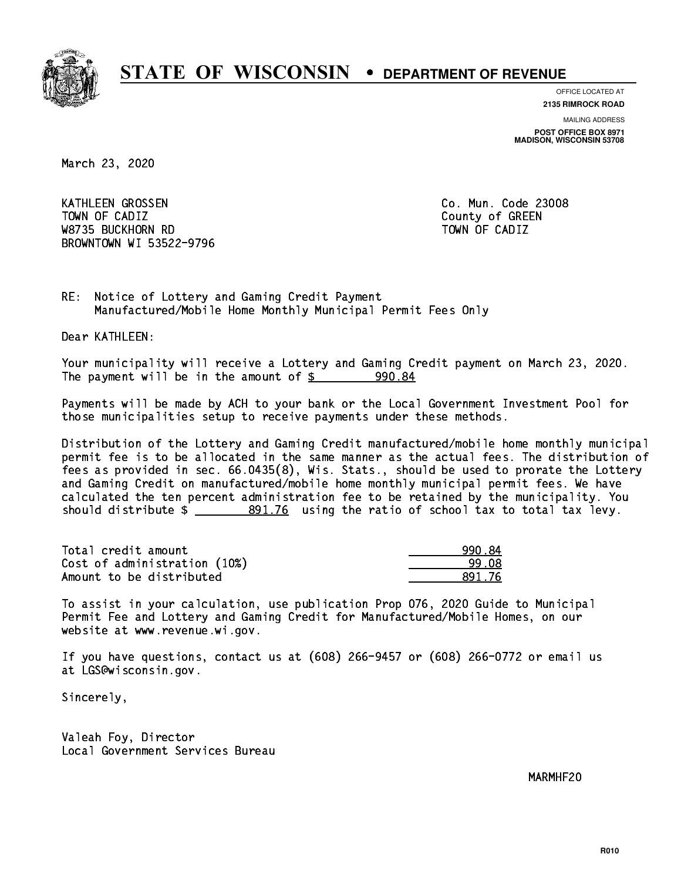

**OFFICE LOCATED AT 2135 RIMROCK ROAD**

**MAILING ADDRESS**

**POST OFFICE BOX 8971 MADISON, WISCONSIN 53708**

March 23, 2020

 KATHLEEN GROSSEN Co. Mun. Code 23008 Town of California  $\mathcal{L}$  county of Green county of Green county of Green county of Green county of Green county of Green county of Green county of Green county of Green county of Green county of Green county of Green co W8735 BUCKHORN RD TOWN OF CADIZ BROWNTOWN WI 53522-9796

RE: Notice of Lottery and Gaming Credit Payment Manufactured/Mobile Home Monthly Municipal Permit Fees Only

Dear KATHLEEN:

 Your municipality will receive a Lottery and Gaming Credit payment on March 23, 2020. The payment will be in the amount of  $$ 990.84$ 

 Payments will be made by ACH to your bank or the Local Government Investment Pool for those municipalities setup to receive payments under these methods.

 Distribution of the Lottery and Gaming Credit manufactured/mobile home monthly municipal permit fee is to be allocated in the same manner as the actual fees. The distribution of fees as provided in sec. 66.0435(8), Wis. Stats., should be used to prorate the Lottery and Gaming Credit on manufactured/mobile home monthly municipal permit fees. We have calculated the ten percent administration fee to be retained by the municipality. You should distribute  $\frac{2}{2}$   $\frac{891.76}{2}$  using the ratio of school tax to total tax levy.

| Total credit amount          | 990.84 |
|------------------------------|--------|
| Cost of administration (10%) | 99.08  |
| Amount to be distributed     | 891 76 |

 To assist in your calculation, use publication Prop 076, 2020 Guide to Municipal Permit Fee and Lottery and Gaming Credit for Manufactured/Mobile Homes, on our website at www.revenue.wi.gov.

 If you have questions, contact us at (608) 266-9457 or (608) 266-0772 or email us at LGS@wisconsin.gov.

Sincerely,

 Valeah Foy, Director Local Government Services Bureau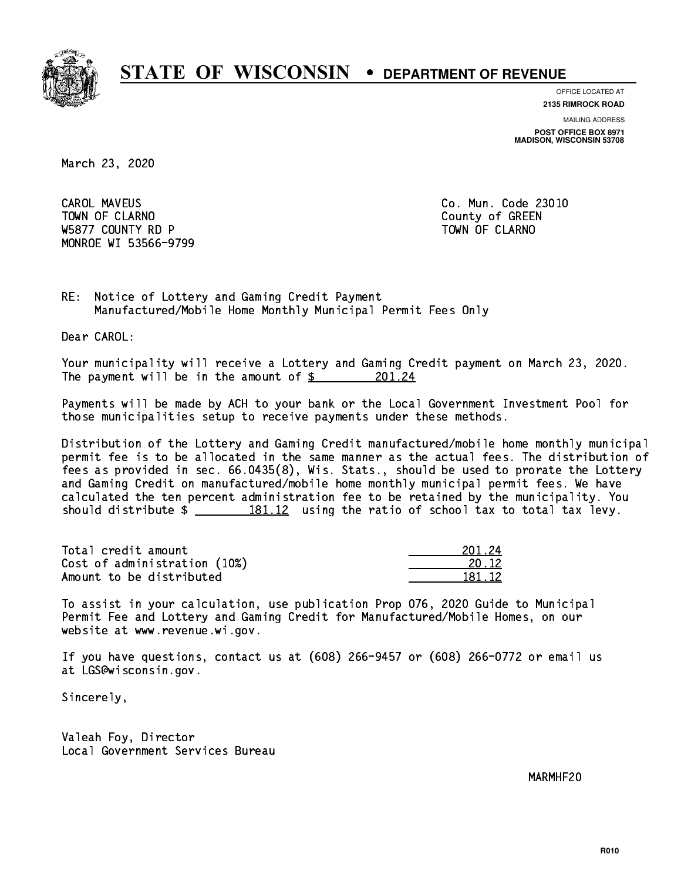

**OFFICE LOCATED AT**

**MAILING ADDRESS 2135 RIMROCK ROAD**

**POST OFFICE BOX 8971 MADISON, WISCONSIN 53708**

March 23, 2020

**CAROL MAVEUS** Town of Claramon County of Green County of Green County of Green County of Green County of Green County of Green County of Green County of Green County of Green County of Green County of Green County of Green County of Gre W5877 COUNTY RD P TO THE TOWN OF CLARNO MONROE WI 53566-9799

Co. Mun. Code 23010

RE: Notice of Lottery and Gaming Credit Payment Manufactured/Mobile Home Monthly Municipal Permit Fees Only

Dear CAROL:

 Your municipality will receive a Lottery and Gaming Credit payment on March 23, 2020. The payment will be in the amount of  $\frac{201.24}{200}$ 

 Payments will be made by ACH to your bank or the Local Government Investment Pool for those municipalities setup to receive payments under these methods.

 Distribution of the Lottery and Gaming Credit manufactured/mobile home monthly municipal permit fee is to be allocated in the same manner as the actual fees. The distribution of fees as provided in sec. 66.0435(8), Wis. Stats., should be used to prorate the Lottery and Gaming Credit on manufactured/mobile home monthly municipal permit fees. We have calculated the ten percent administration fee to be retained by the municipality. You should distribute  $\frac{2}{2}$   $\frac{181.12}{2}$  using the ratio of school tax to total tax levy.

Total credit amount Cost of administration (10%) Amount to be distributed

| 1.24      |
|-----------|
| $12^{-1}$ |
| RI 12.    |

 To assist in your calculation, use publication Prop 076, 2020 Guide to Municipal Permit Fee and Lottery and Gaming Credit for Manufactured/Mobile Homes, on our website at www.revenue.wi.gov.

 If you have questions, contact us at (608) 266-9457 or (608) 266-0772 or email us at LGS@wisconsin.gov.

Sincerely,

 Valeah Foy, Director Local Government Services Bureau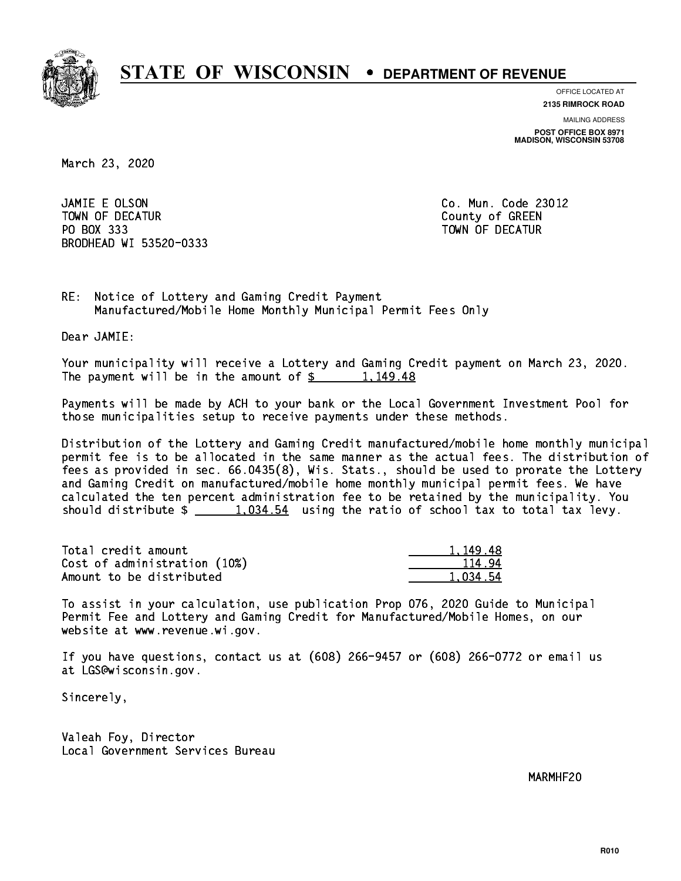

**OFFICE LOCATED AT**

**MAILING ADDRESS 2135 RIMROCK ROAD**

**POST OFFICE BOX 8971 MADISON, WISCONSIN 53708**

March 23, 2020

 JAMIE E OLSON Co. Mun. Code 23012 TOWN OF DECATURE COUNTY OF GREEN COUNTY OF GREEN COUNTY OF GREEN COUNTY OF GREEN COUNTY OF GREEN COUNTY OF GREEN PO BOX 333 PO BOX 333 TOWN OF DECATUR BRODHEAD WI 53520-0333

RE: Notice of Lottery and Gaming Credit Payment Manufactured/Mobile Home Monthly Municipal Permit Fees Only

Dear JAMIE:

 Your municipality will receive a Lottery and Gaming Credit payment on March 23, 2020. The payment will be in the amount of  $\frac{2}{3}$  1,149.48

 Payments will be made by ACH to your bank or the Local Government Investment Pool for those municipalities setup to receive payments under these methods.

 Distribution of the Lottery and Gaming Credit manufactured/mobile home monthly municipal permit fee is to be allocated in the same manner as the actual fees. The distribution of fees as provided in sec. 66.0435(8), Wis. Stats., should be used to prorate the Lottery and Gaming Credit on manufactured/mobile home monthly municipal permit fees. We have calculated the ten percent administration fee to be retained by the municipality. You should distribute  $\frac{1.034.54}{1.034.54}$  using the ratio of school tax to total tax levy.

| Total credit amount          | 1,149.48 |
|------------------------------|----------|
| Cost of administration (10%) | 114.94   |
| Amount to be distributed     | 1.034.54 |

 To assist in your calculation, use publication Prop 076, 2020 Guide to Municipal Permit Fee and Lottery and Gaming Credit for Manufactured/Mobile Homes, on our website at www.revenue.wi.gov.

 If you have questions, contact us at (608) 266-9457 or (608) 266-0772 or email us at LGS@wisconsin.gov.

Sincerely,

 Valeah Foy, Director Local Government Services Bureau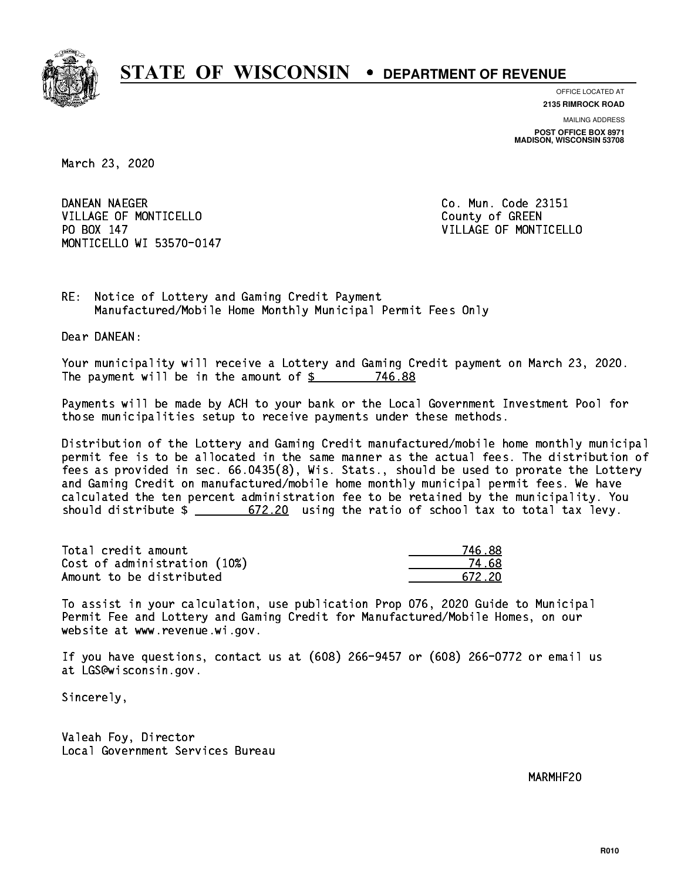

**OFFICE LOCATED AT**

**2135 RIMROCK ROAD**

**MAILING ADDRESS POST OFFICE BOX 8971 MADISON, WISCONSIN 53708**

March 23, 2020

DANEAN NAEGER VILLAGE OF MONTICELLO **COUNTY COULD AND COULD COULD COULD** PO BOX 147 MONTICELLO WI 53570-0147

Co. Mun. Code 23151 VILLAGE OF MONTICELLO

RE: Notice of Lottery and Gaming Credit Payment Manufactured/Mobile Home Monthly Municipal Permit Fees Only

Dear DANEAN:

 Your municipality will receive a Lottery and Gaming Credit payment on March 23, 2020. The payment will be in the amount of  $$ 746.88$ 

 Payments will be made by ACH to your bank or the Local Government Investment Pool for those municipalities setup to receive payments under these methods.

 Distribution of the Lottery and Gaming Credit manufactured/mobile home monthly municipal permit fee is to be allocated in the same manner as the actual fees. The distribution of fees as provided in sec. 66.0435(8), Wis. Stats., should be used to prorate the Lottery and Gaming Credit on manufactured/mobile home monthly municipal permit fees. We have calculated the ten percent administration fee to be retained by the municipality. You should distribute  $\frac{20}{100}$  672.20 using the ratio of school tax to total tax levy.

Total credit amount Cost of administration (10%) Amount to be distributed

| 5 R.R  |
|--------|
| 4 68   |
| 672.20 |

 To assist in your calculation, use publication Prop 076, 2020 Guide to Municipal Permit Fee and Lottery and Gaming Credit for Manufactured/Mobile Homes, on our website at www.revenue.wi.gov.

 If you have questions, contact us at (608) 266-9457 or (608) 266-0772 or email us at LGS@wisconsin.gov.

Sincerely,

 Valeah Foy, Director Local Government Services Bureau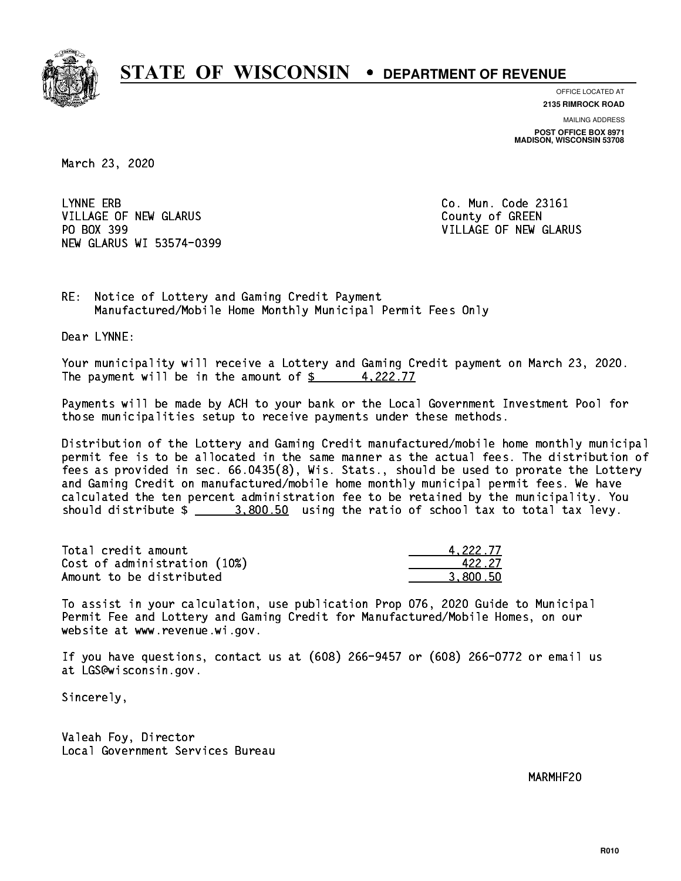

**OFFICE LOCATED AT**

**2135 RIMROCK ROAD**

**MAILING ADDRESS POST OFFICE BOX 8971 MADISON, WISCONSIN 53708**

March 23, 2020

LYNNE ERB VILLAGE OF NEW GLARUS **COUNTY OF GREEN** PO BOX 399 NEW GLARUS WI 53574-0399

Co. Mun. Code 23161 VILLAGE OF NEW GLARUS

RE: Notice of Lottery and Gaming Credit Payment Manufactured/Mobile Home Monthly Municipal Permit Fees Only

Dear LYNNE:

 Your municipality will receive a Lottery and Gaming Credit payment on March 23, 2020. The payment will be in the amount of  $\frac{2}{3}$  4,222.77

 Payments will be made by ACH to your bank or the Local Government Investment Pool for those municipalities setup to receive payments under these methods.

 Distribution of the Lottery and Gaming Credit manufactured/mobile home monthly municipal permit fee is to be allocated in the same manner as the actual fees. The distribution of fees as provided in sec. 66.0435(8), Wis. Stats., should be used to prorate the Lottery and Gaming Credit on manufactured/mobile home monthly municipal permit fees. We have calculated the ten percent administration fee to be retained by the municipality. You should distribute  $\frac{2}{2}$   $\frac{3,800.50}{2}$  using the ratio of school tax to total tax levy.

| Total credit amount          | 4.222.77 |
|------------------------------|----------|
| Cost of administration (10%) | 422.27   |
| Amount to be distributed     | 3.800.50 |

 To assist in your calculation, use publication Prop 076, 2020 Guide to Municipal Permit Fee and Lottery and Gaming Credit for Manufactured/Mobile Homes, on our website at www.revenue.wi.gov.

 If you have questions, contact us at (608) 266-9457 or (608) 266-0772 or email us at LGS@wisconsin.gov.

Sincerely,

 Valeah Foy, Director Local Government Services Bureau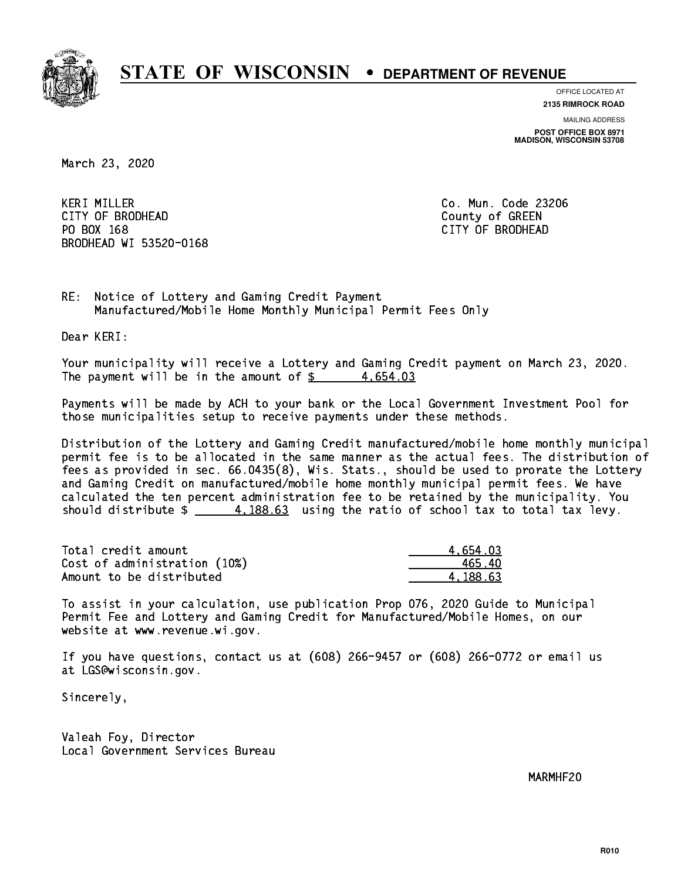

**OFFICE LOCATED AT**

**MAILING ADDRESS 2135 RIMROCK ROAD**

**POST OFFICE BOX 8971 MADISON, WISCONSIN 53708**

March 23, 2020

 KERI MILLER Co. Mun. Code 23206 CITY OF BRODHEAD County of GREEN PO BOX 168 PO BOX 168 CITY OF BRODHEAD BRODHEAD WI 53520-0168

RE: Notice of Lottery and Gaming Credit Payment Manufactured/Mobile Home Monthly Municipal Permit Fees Only

Dear KERI:

 Your municipality will receive a Lottery and Gaming Credit payment on March 23, 2020. The payment will be in the amount of  $\frac{2}{3}$  4,654.03

 Payments will be made by ACH to your bank or the Local Government Investment Pool for those municipalities setup to receive payments under these methods.

 Distribution of the Lottery and Gaming Credit manufactured/mobile home monthly municipal permit fee is to be allocated in the same manner as the actual fees. The distribution of fees as provided in sec. 66.0435(8), Wis. Stats., should be used to prorate the Lottery and Gaming Credit on manufactured/mobile home monthly municipal permit fees. We have calculated the ten percent administration fee to be retained by the municipality. You should distribute  $\frac{4}{188.63}$  using the ratio of school tax to total tax levy.

| Total credit amount          | 4.654.03 |
|------------------------------|----------|
| Cost of administration (10%) | 465.40   |
| Amount to be distributed     | 4.188.63 |

 To assist in your calculation, use publication Prop 076, 2020 Guide to Municipal Permit Fee and Lottery and Gaming Credit for Manufactured/Mobile Homes, on our website at www.revenue.wi.gov.

 If you have questions, contact us at (608) 266-9457 or (608) 266-0772 or email us at LGS@wisconsin.gov.

Sincerely,

 Valeah Foy, Director Local Government Services Bureau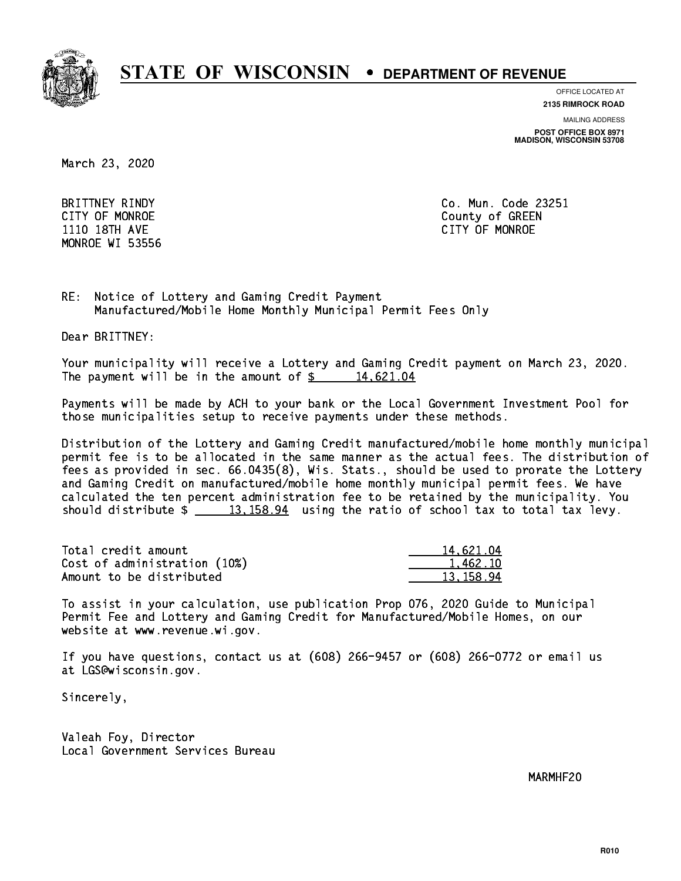

**OFFICE LOCATED AT 2135 RIMROCK ROAD**

**MAILING ADDRESS**

**POST OFFICE BOX 8971 MADISON, WISCONSIN 53708**

March 23, 2020

MONROE WI 53556

 BRITTNEY RINDY Co. Mun. Code 23251 CITY OF MONROE County of GREEN 1110 18TH AVE CITY OF MONROE

RE: Notice of Lottery and Gaming Credit Payment Manufactured/Mobile Home Monthly Municipal Permit Fees Only

Dear BRITTNEY:

 Your municipality will receive a Lottery and Gaming Credit payment on March 23, 2020. The payment will be in the amount of  $\frac{2}{3}$  14,621.04

 Payments will be made by ACH to your bank or the Local Government Investment Pool for those municipalities setup to receive payments under these methods.

 Distribution of the Lottery and Gaming Credit manufactured/mobile home monthly municipal permit fee is to be allocated in the same manner as the actual fees. The distribution of fees as provided in sec. 66.0435(8), Wis. Stats., should be used to prorate the Lottery and Gaming Credit on manufactured/mobile home monthly municipal permit fees. We have calculated the ten percent administration fee to be retained by the municipality. You should distribute  $\frac{2}{13,158.94}$  using the ratio of school tax to total tax levy.

| Total credit amount          | 14,621.04 |
|------------------------------|-----------|
| Cost of administration (10%) | 1.462.10  |
| Amount to be distributed     | 13.158.94 |

 To assist in your calculation, use publication Prop 076, 2020 Guide to Municipal Permit Fee and Lottery and Gaming Credit for Manufactured/Mobile Homes, on our website at www.revenue.wi.gov.

 If you have questions, contact us at (608) 266-9457 or (608) 266-0772 or email us at LGS@wisconsin.gov.

Sincerely,

 Valeah Foy, Director Local Government Services Bureau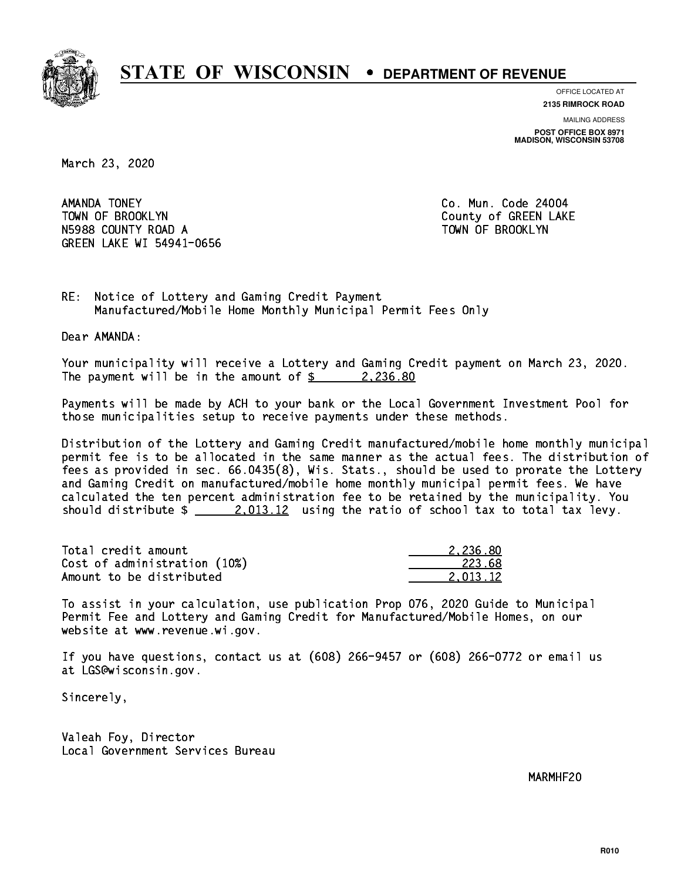

**OFFICE LOCATED AT**

**2135 RIMROCK ROAD**

**MAILING ADDRESS POST OFFICE BOX 8971 MADISON, WISCONSIN 53708**

March 23, 2020

AMANDA TONEY TOWN OF BROOKLYN County of GREEN LAKE N5988 COUNTY ROAD A TOWN OF BROOKLYN GREEN LAKE WI 54941-0656

Co. Mun. Code 24004

RE: Notice of Lottery and Gaming Credit Payment Manufactured/Mobile Home Monthly Municipal Permit Fees Only

Dear AMANDA:

 Your municipality will receive a Lottery and Gaming Credit payment on March 23, 2020. The payment will be in the amount of  $\frac{2}{3}$  2,236.80

 Payments will be made by ACH to your bank or the Local Government Investment Pool for those municipalities setup to receive payments under these methods.

 Distribution of the Lottery and Gaming Credit manufactured/mobile home monthly municipal permit fee is to be allocated in the same manner as the actual fees. The distribution of fees as provided in sec. 66.0435(8), Wis. Stats., should be used to prorate the Lottery and Gaming Credit on manufactured/mobile home monthly municipal permit fees. We have calculated the ten percent administration fee to be retained by the municipality. You should distribute  $\frac{2.013.12}{2.013.12}$  using the ratio of school tax to total tax levy.

| Total credit amount          | 2.236.80 |
|------------------------------|----------|
| Cost of administration (10%) | 223.68   |
| Amount to be distributed     | 2.013.12 |

 To assist in your calculation, use publication Prop 076, 2020 Guide to Municipal Permit Fee and Lottery and Gaming Credit for Manufactured/Mobile Homes, on our website at www.revenue.wi.gov.

 If you have questions, contact us at (608) 266-9457 or (608) 266-0772 or email us at LGS@wisconsin.gov.

Sincerely,

 Valeah Foy, Director Local Government Services Bureau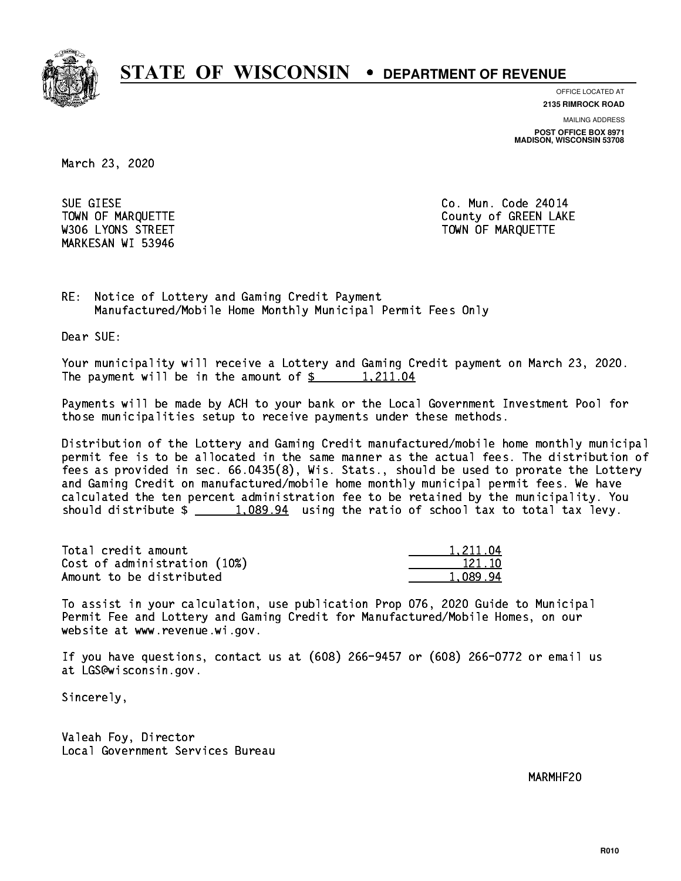

**OFFICE LOCATED AT**

**2135 RIMROCK ROAD**

**MAILING ADDRESS POST OFFICE BOX 8971 MADISON, WISCONSIN 53708**

March 23, 2020

 SUE GIESE Co. Mun. Code 24014 MARKESAN WI 53946

TOWN OF MARQUETTE TOWN OF MARQUETTE W306 LYONS STREET TOWN OF MARQUETTE

RE: Notice of Lottery and Gaming Credit Payment Manufactured/Mobile Home Monthly Municipal Permit Fees Only

Dear SUE:

 Your municipality will receive a Lottery and Gaming Credit payment on March 23, 2020. The payment will be in the amount of  $\frac{2!}{2!} \cdot \frac{1,211.04}{2!}$ 

 Payments will be made by ACH to your bank or the Local Government Investment Pool for those municipalities setup to receive payments under these methods.

 Distribution of the Lottery and Gaming Credit manufactured/mobile home monthly municipal permit fee is to be allocated in the same manner as the actual fees. The distribution of fees as provided in sec. 66.0435(8), Wis. Stats., should be used to prorate the Lottery and Gaming Credit on manufactured/mobile home monthly municipal permit fees. We have calculated the ten percent administration fee to be retained by the municipality. You should distribute  $\frac{1,089.94}{1,089.94}$  using the ratio of school tax to total tax levy.

| Total credit amount          | 1.211.04 |
|------------------------------|----------|
| Cost of administration (10%) | 121.10   |
| Amount to be distributed     | 1.089.94 |

 To assist in your calculation, use publication Prop 076, 2020 Guide to Municipal Permit Fee and Lottery and Gaming Credit for Manufactured/Mobile Homes, on our website at www.revenue.wi.gov.

 If you have questions, contact us at (608) 266-9457 or (608) 266-0772 or email us at LGS@wisconsin.gov.

Sincerely,

 Valeah Foy, Director Local Government Services Bureau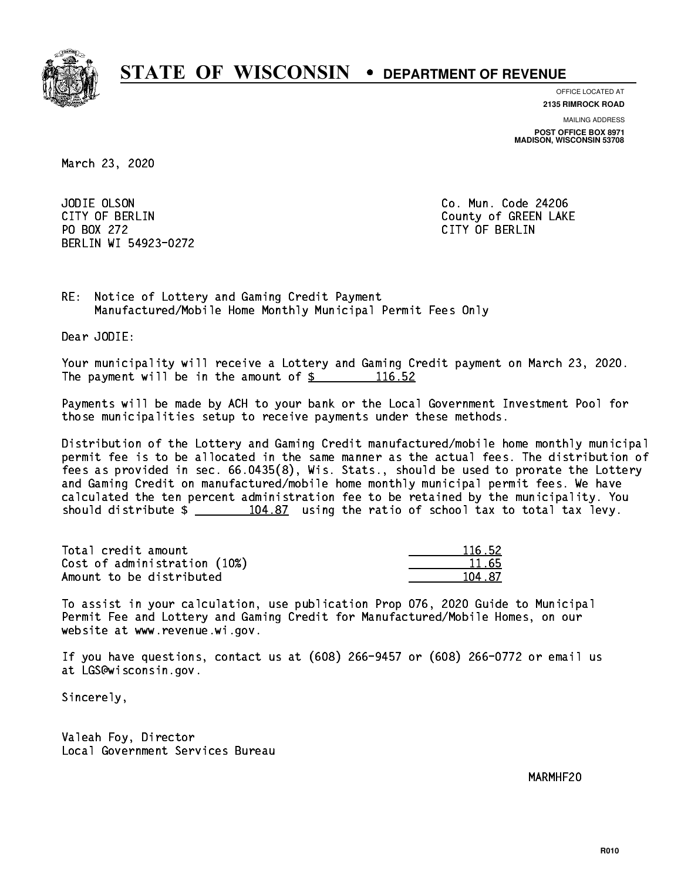

**OFFICE LOCATED AT**

**2135 RIMROCK ROAD**

**MAILING ADDRESS**

**POST OFFICE BOX 8971 MADISON, WISCONSIN 53708**

March 23, 2020

JODIE OLSON PO BOX 272 CITY OF BERLIN BERLIN WI 54923-0272

Co. Mun. Code 24206 CITY OF BERLIN COUNTY OF BERLIN

RE: Notice of Lottery and Gaming Credit Payment Manufactured/Mobile Home Monthly Municipal Permit Fees Only

Dear JODIE:

 Your municipality will receive a Lottery and Gaming Credit payment on March 23, 2020. The payment will be in the amount of  $\frac{2}{3}$  116.52

 Payments will be made by ACH to your bank or the Local Government Investment Pool for those municipalities setup to receive payments under these methods.

 Distribution of the Lottery and Gaming Credit manufactured/mobile home monthly municipal permit fee is to be allocated in the same manner as the actual fees. The distribution of fees as provided in sec. 66.0435(8), Wis. Stats., should be used to prorate the Lottery and Gaming Credit on manufactured/mobile home monthly municipal permit fees. We have calculated the ten percent administration fee to be retained by the municipality. You should distribute  $\frac{104.87}{104.87}$  using the ratio of school tax to total tax levy.

Total credit amount Cost of administration (10%) Amount to be distributed

| 116.52 |
|--------|
| 11.65  |
| 487    |
|        |

 To assist in your calculation, use publication Prop 076, 2020 Guide to Municipal Permit Fee and Lottery and Gaming Credit for Manufactured/Mobile Homes, on our website at www.revenue.wi.gov.

 If you have questions, contact us at (608) 266-9457 or (608) 266-0772 or email us at LGS@wisconsin.gov.

Sincerely,

 Valeah Foy, Director Local Government Services Bureau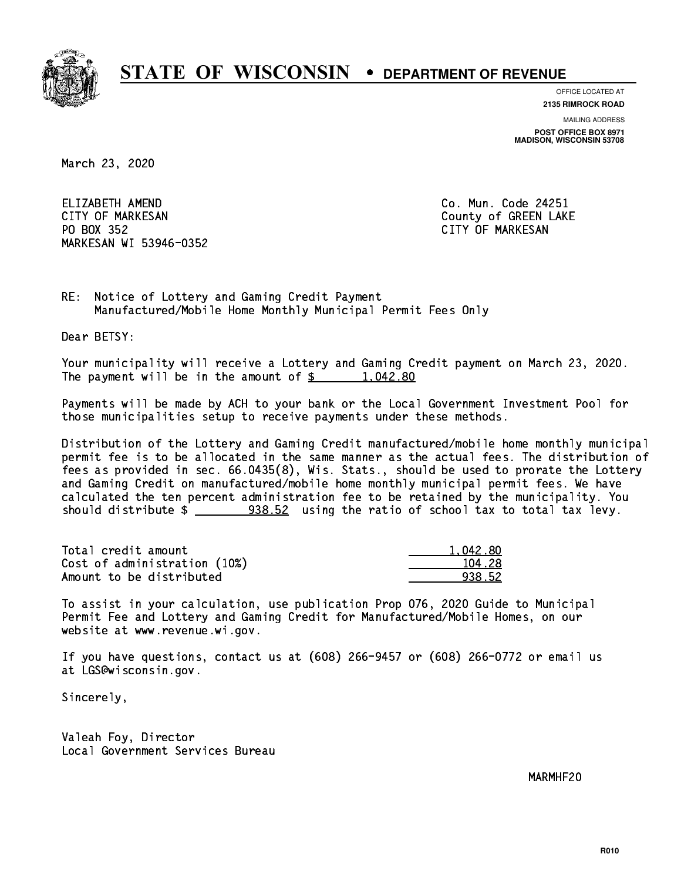

**OFFICE LOCATED AT**

**2135 RIMROCK ROAD**

**MAILING ADDRESS POST OFFICE BOX 8971 MADISON, WISCONSIN 53708**

March 23, 2020

ELIZABETH AMEND CITY OF MARKESAN County of GREEN LAKE PO BOX 352 PO BOX 352 CITY OF MARKESAN MARKESAN WI 53946-0352

Co. Mun. Code 24251

RE: Notice of Lottery and Gaming Credit Payment Manufactured/Mobile Home Monthly Municipal Permit Fees Only

Dear BETSY:

 Your municipality will receive a Lottery and Gaming Credit payment on March 23, 2020. The payment will be in the amount of  $\frac{2}{3}$  1,042.80

 Payments will be made by ACH to your bank or the Local Government Investment Pool for those municipalities setup to receive payments under these methods.

 Distribution of the Lottery and Gaming Credit manufactured/mobile home monthly municipal permit fee is to be allocated in the same manner as the actual fees. The distribution of fees as provided in sec. 66.0435(8), Wis. Stats., should be used to prorate the Lottery and Gaming Credit on manufactured/mobile home monthly municipal permit fees. We have calculated the ten percent administration fee to be retained by the municipality. You should distribute  $\frac{2}{2}$   $\frac{938.52}{2}$  using the ratio of school tax to total tax levy.

| Total credit amount          | 1.042.80 |
|------------------------------|----------|
| Cost of administration (10%) | 104.28   |
| Amount to be distributed     | 938.52   |

 To assist in your calculation, use publication Prop 076, 2020 Guide to Municipal Permit Fee and Lottery and Gaming Credit for Manufactured/Mobile Homes, on our website at www.revenue.wi.gov.

 If you have questions, contact us at (608) 266-9457 or (608) 266-0772 or email us at LGS@wisconsin.gov.

Sincerely,

 Valeah Foy, Director Local Government Services Bureau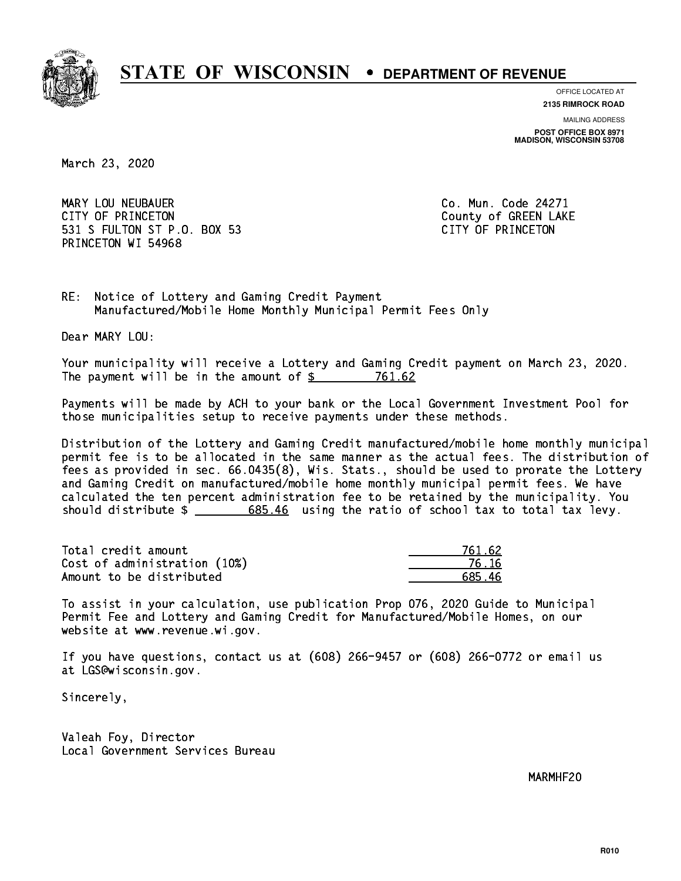

**OFFICE LOCATED AT**

**2135 RIMROCK ROAD**

**MAILING ADDRESS POST OFFICE BOX 8971 MADISON, WISCONSIN 53708**

March 23, 2020

 MARY LOU NEUBAUER Co. Mun. Code 24271 CITY OF PRINCETON COUNTY OF PRINCETON 531 S FULTON ST P.O. BOX 53 CITY OF PRINCETON PRINCETON WI 54968

RE: Notice of Lottery and Gaming Credit Payment Manufactured/Mobile Home Monthly Municipal Permit Fees Only

Dear MARY LOU:

 Your municipality will receive a Lottery and Gaming Credit payment on March 23, 2020. The payment will be in the amount of  $\frac{2}{3}$  761.62

 Payments will be made by ACH to your bank or the Local Government Investment Pool for those municipalities setup to receive payments under these methods.

 Distribution of the Lottery and Gaming Credit manufactured/mobile home monthly municipal permit fee is to be allocated in the same manner as the actual fees. The distribution of fees as provided in sec. 66.0435(8), Wis. Stats., should be used to prorate the Lottery and Gaming Credit on manufactured/mobile home monthly municipal permit fees. We have calculated the ten percent administration fee to be retained by the municipality. You should distribute  $\frac{2}{1}$   $\frac{685.46}{685.46}$  using the ratio of school tax to total tax levy.

Total credit amount Cost of administration (10%) Amount to be distributed

| 761.62      |
|-------------|
| ና 16        |
| 46<br>585 L |

 To assist in your calculation, use publication Prop 076, 2020 Guide to Municipal Permit Fee and Lottery and Gaming Credit for Manufactured/Mobile Homes, on our website at www.revenue.wi.gov.

 If you have questions, contact us at (608) 266-9457 or (608) 266-0772 or email us at LGS@wisconsin.gov.

Sincerely,

 Valeah Foy, Director Local Government Services Bureau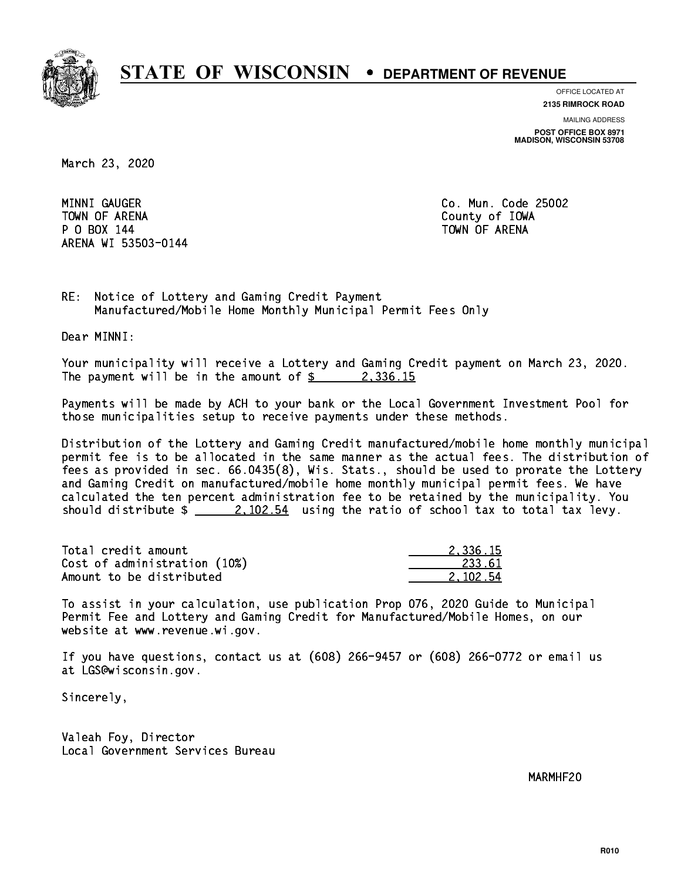

**OFFICE LOCATED AT**

**MAILING ADDRESS 2135 RIMROCK ROAD**

**POST OFFICE BOX 8971 MADISON, WISCONSIN 53708**

March 23, 2020

MINNI GAUGER TOWN OF ARENA County of IOWA P O BOX 144 TOWN OF ARENA ARENA WI 53503-0144

Co. Mun. Code 25002

RE: Notice of Lottery and Gaming Credit Payment Manufactured/Mobile Home Monthly Municipal Permit Fees Only

Dear MINNI:

 Your municipality will receive a Lottery and Gaming Credit payment on March 23, 2020. The payment will be in the amount of  $\frac{2}{3}$  2,336.15

 Payments will be made by ACH to your bank or the Local Government Investment Pool for those municipalities setup to receive payments under these methods.

 Distribution of the Lottery and Gaming Credit manufactured/mobile home monthly municipal permit fee is to be allocated in the same manner as the actual fees. The distribution of fees as provided in sec. 66.0435(8), Wis. Stats., should be used to prorate the Lottery and Gaming Credit on manufactured/mobile home monthly municipal permit fees. We have calculated the ten percent administration fee to be retained by the municipality. You should distribute  $\frac{2.102.54}{2.102.54}$  using the ratio of school tax to total tax levy.

| Total credit amount          | 2.336.15 |
|------------------------------|----------|
| Cost of administration (10%) | 233.61   |
| Amount to be distributed     | 2.102.54 |

 To assist in your calculation, use publication Prop 076, 2020 Guide to Municipal Permit Fee and Lottery and Gaming Credit for Manufactured/Mobile Homes, on our website at www.revenue.wi.gov.

 If you have questions, contact us at (608) 266-9457 or (608) 266-0772 or email us at LGS@wisconsin.gov.

Sincerely,

 Valeah Foy, Director Local Government Services Bureau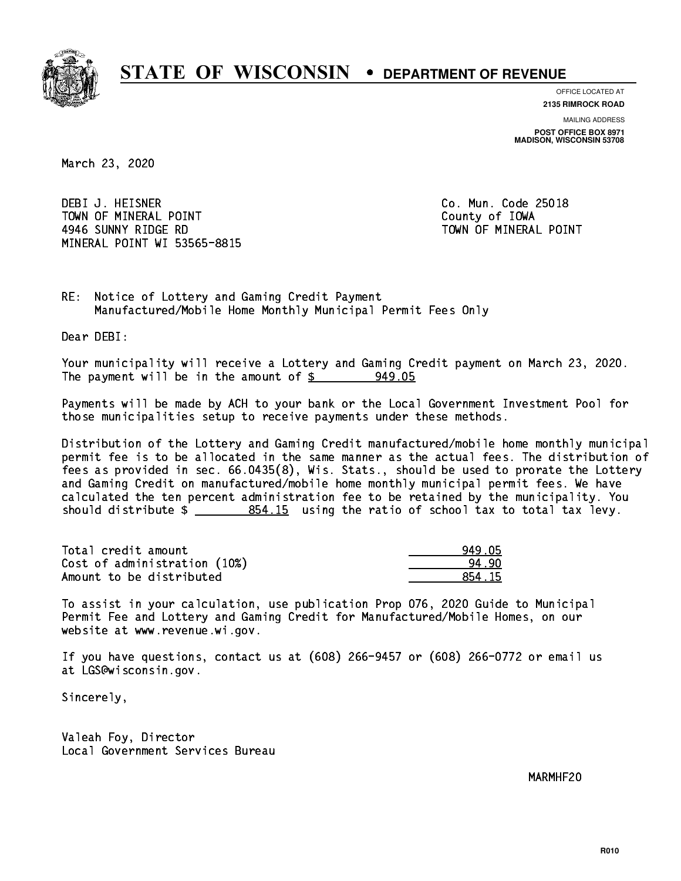

**OFFICE LOCATED AT**

**2135 RIMROCK ROAD**

**MAILING ADDRESS POST OFFICE BOX 8971 MADISON, WISCONSIN 53708**

March 23, 2020

 DEBI J. HEISNER Co. Mun. Code 25018 TOWN OF MINERAL POINT TOWN TOWN County of IOWA 4946 SUNNY RIDGE RD TOWN OF MINERAL POINT MINERAL POINT WI 53565-8815

RE: Notice of Lottery and Gaming Credit Payment Manufactured/Mobile Home Monthly Municipal Permit Fees Only

Dear DEBI:

 Your municipality will receive a Lottery and Gaming Credit payment on March 23, 2020. The payment will be in the amount of  $\frac{2}{3}$  949.05

 Payments will be made by ACH to your bank or the Local Government Investment Pool for those municipalities setup to receive payments under these methods.

 Distribution of the Lottery and Gaming Credit manufactured/mobile home monthly municipal permit fee is to be allocated in the same manner as the actual fees. The distribution of fees as provided in sec. 66.0435(8), Wis. Stats., should be used to prorate the Lottery and Gaming Credit on manufactured/mobile home monthly municipal permit fees. We have calculated the ten percent administration fee to be retained by the municipality. You should distribute  $\frac{2}{10}$   $\frac{854.15}{20}$  using the ratio of school tax to total tax levy.

| Total credit amount          | 949.05 |
|------------------------------|--------|
| Cost of administration (10%) | 94.90  |
| Amount to be distributed     | 854.15 |

 To assist in your calculation, use publication Prop 076, 2020 Guide to Municipal Permit Fee and Lottery and Gaming Credit for Manufactured/Mobile Homes, on our website at www.revenue.wi.gov.

 If you have questions, contact us at (608) 266-9457 or (608) 266-0772 or email us at LGS@wisconsin.gov.

Sincerely,

 Valeah Foy, Director Local Government Services Bureau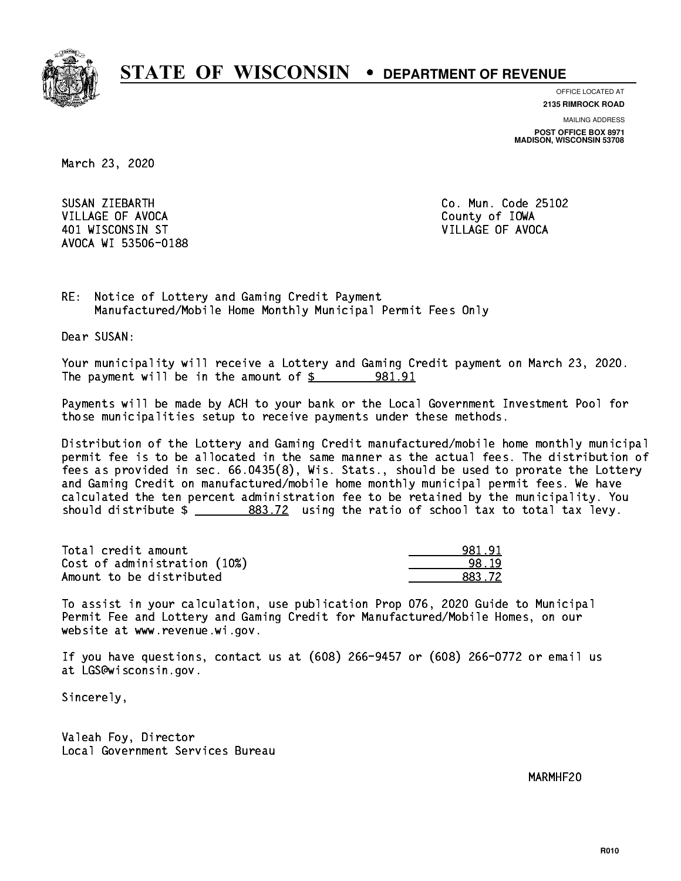

**OFFICE LOCATED AT**

**2135 RIMROCK ROAD**

**MAILING ADDRESS POST OFFICE BOX 8971 MADISON, WISCONSIN 53708**

March 23, 2020

SUSAN ZIEBARTH VILLAGE OF AVOCA COUNTY OF THE COUNTY OF THE COUNTY OF IOWA 401 WISCONSIN ST VILLAGE OF AVOCA AVOCA WI 53506-0188

Co. Mun. Code 25102

RE: Notice of Lottery and Gaming Credit Payment Manufactured/Mobile Home Monthly Municipal Permit Fees Only

Dear SUSAN:

 Your municipality will receive a Lottery and Gaming Credit payment on March 23, 2020. The payment will be in the amount of  $\frac{2}{3}$  981.91

 Payments will be made by ACH to your bank or the Local Government Investment Pool for those municipalities setup to receive payments under these methods.

 Distribution of the Lottery and Gaming Credit manufactured/mobile home monthly municipal permit fee is to be allocated in the same manner as the actual fees. The distribution of fees as provided in sec. 66.0435(8), Wis. Stats., should be used to prorate the Lottery and Gaming Credit on manufactured/mobile home monthly municipal permit fees. We have calculated the ten percent administration fee to be retained by the municipality. You should distribute  $\frac{2}{2}$   $\frac{883.72}{2}$  using the ratio of school tax to total tax levy.

| Total credit amount          | 981.91 |
|------------------------------|--------|
| Cost of administration (10%) | 98.19  |
| Amount to be distributed     | 883 72 |

 To assist in your calculation, use publication Prop 076, 2020 Guide to Municipal Permit Fee and Lottery and Gaming Credit for Manufactured/Mobile Homes, on our website at www.revenue.wi.gov.

 If you have questions, contact us at (608) 266-9457 or (608) 266-0772 or email us at LGS@wisconsin.gov.

Sincerely,

 Valeah Foy, Director Local Government Services Bureau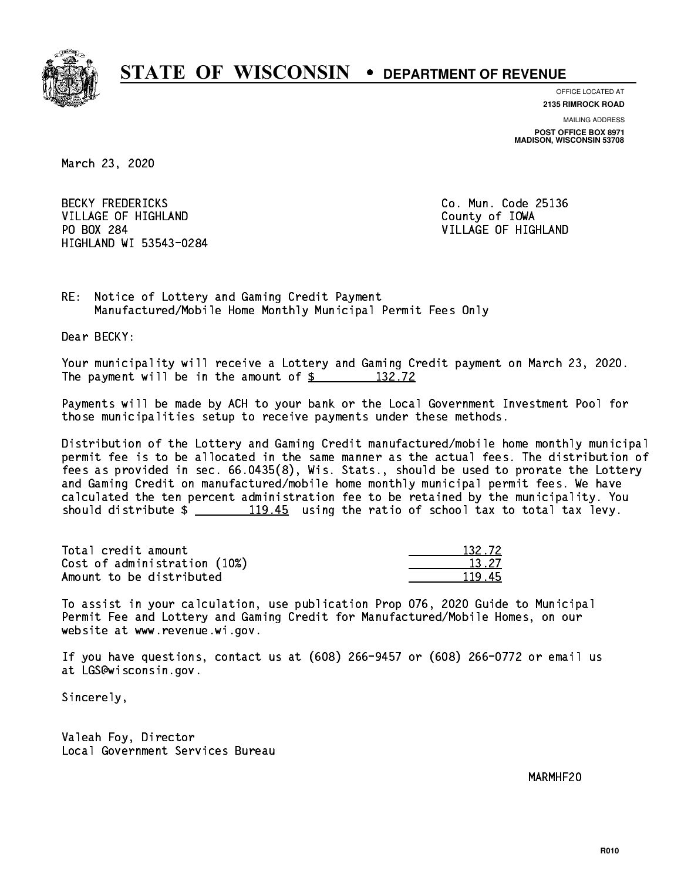

**OFFICE LOCATED AT**

**2135 RIMROCK ROAD**

**MAILING ADDRESS POST OFFICE BOX 8971 MADISON, WISCONSIN 53708**

March 23, 2020

**BECKY FREDERICKS** VILLAGE OF HIGHLAND **County of IOWA** PO BOX 284 HIGHLAND WI 53543-0284

Co. Mun. Code 25136 VILLAGE OF HIGHLAND

RE: Notice of Lottery and Gaming Credit Payment Manufactured/Mobile Home Monthly Municipal Permit Fees Only

Dear BECKY:

 Your municipality will receive a Lottery and Gaming Credit payment on March 23, 2020. The payment will be in the amount of  $\frac{2}{3}$  132.72

 Payments will be made by ACH to your bank or the Local Government Investment Pool for those municipalities setup to receive payments under these methods.

 Distribution of the Lottery and Gaming Credit manufactured/mobile home monthly municipal permit fee is to be allocated in the same manner as the actual fees. The distribution of fees as provided in sec. 66.0435(8), Wis. Stats., should be used to prorate the Lottery and Gaming Credit on manufactured/mobile home monthly municipal permit fees. We have calculated the ten percent administration fee to be retained by the municipality. You should distribute  $\frac{119.45}{2}$  using the ratio of school tax to total tax levy.

Total credit amount Cost of administration (10%) Amount to be distributed

| 32.72 |
|-------|
| { 27  |
| Т.    |

 To assist in your calculation, use publication Prop 076, 2020 Guide to Municipal Permit Fee and Lottery and Gaming Credit for Manufactured/Mobile Homes, on our website at www.revenue.wi.gov.

 If you have questions, contact us at (608) 266-9457 or (608) 266-0772 or email us at LGS@wisconsin.gov.

Sincerely,

 Valeah Foy, Director Local Government Services Bureau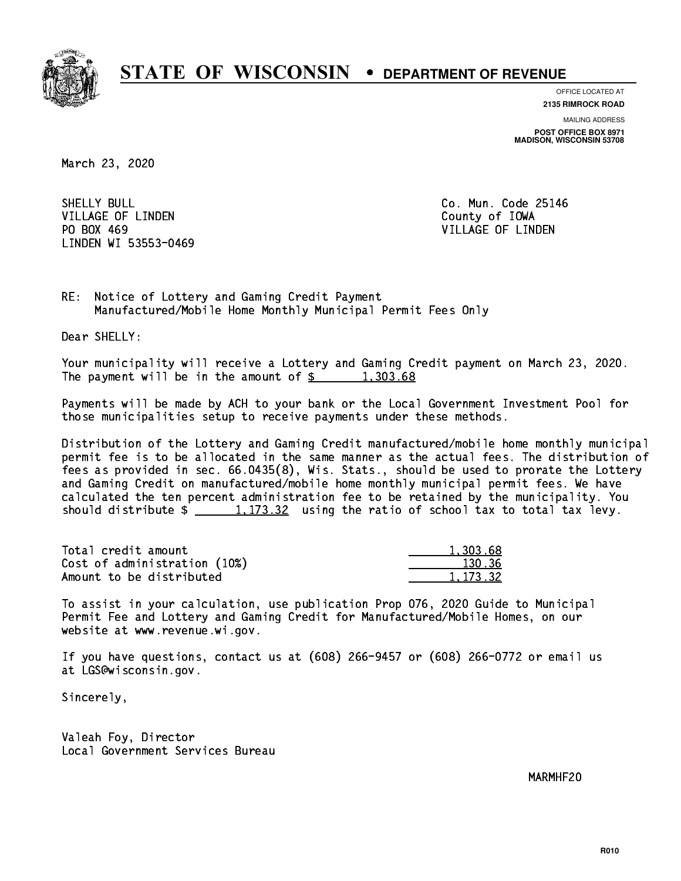

**OFFICE LOCATED AT**

**2135 RIMROCK ROAD**

**MAILING ADDRESS POST OFFICE BOX 8971 MADISON, WISCONSIN 53708**

March 23, 2020

SHELLY BULL VILLAGE OF LINDEN COUNTY OF LOOKS PO BOX 469 LINDEN WI 53553-0469

Co. Mun. Code 25146 VILLAGE OF LINDEN

RE: Notice of Lottery and Gaming Credit Payment Manufactured/Mobile Home Monthly Municipal Permit Fees Only

Dear SHELLY:

 Your municipality will receive a Lottery and Gaming Credit payment on March 23, 2020. The payment will be in the amount of  $\frac{2}{3}$  1,303.68

 Payments will be made by ACH to your bank or the Local Government Investment Pool for those municipalities setup to receive payments under these methods.

 Distribution of the Lottery and Gaming Credit manufactured/mobile home monthly municipal permit fee is to be allocated in the same manner as the actual fees. The distribution of fees as provided in sec. 66.0435(8), Wis. Stats., should be used to prorate the Lottery and Gaming Credit on manufactured/mobile home monthly municipal permit fees. We have calculated the ten percent administration fee to be retained by the municipality. You should distribute  $\frac{1}{2}$   $\frac{1}{123.32}$  using the ratio of school tax to total tax levy.

| Total credit amount          | 1.303.68 |
|------------------------------|----------|
| Cost of administration (10%) | 130.36   |
| Amount to be distributed     | 1.173.32 |

 To assist in your calculation, use publication Prop 076, 2020 Guide to Municipal Permit Fee and Lottery and Gaming Credit for Manufactured/Mobile Homes, on our website at www.revenue.wi.gov.

 If you have questions, contact us at (608) 266-9457 or (608) 266-0772 or email us at LGS@wisconsin.gov.

Sincerely,

 Valeah Foy, Director Local Government Services Bureau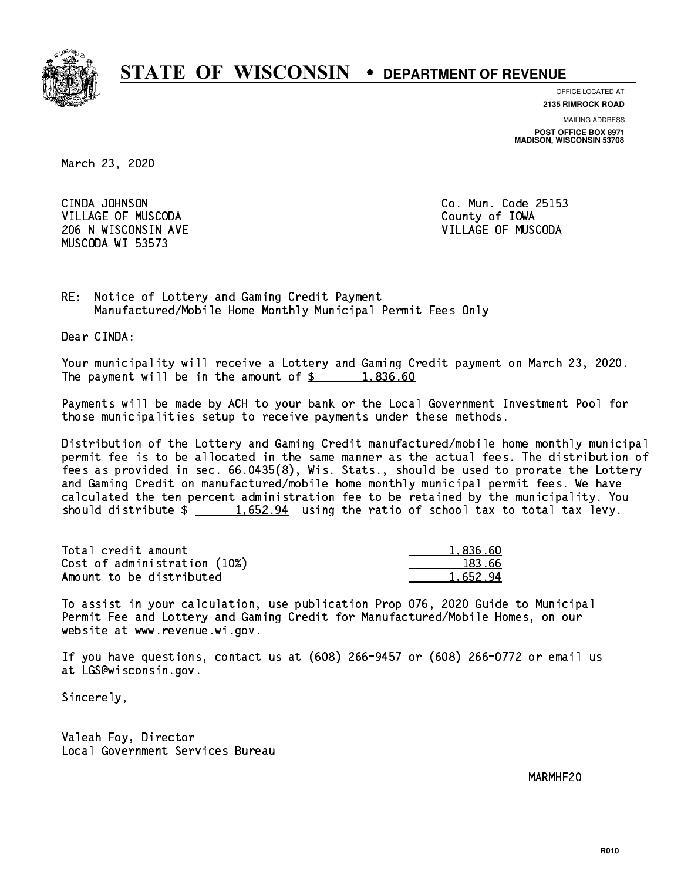

**OFFICE LOCATED AT**

**2135 RIMROCK ROAD**

**MAILING ADDRESS POST OFFICE BOX 8971 MADISON, WISCONSIN 53708**

March 23, 2020

CINDA JOHNSON VILLAGE OF MUSCODA County of IOWA 206 N WISCONSIN AVE VILLAGE OF MUSCODA MUSCODA WI 53573

Co. Mun. Code 25153

RE: Notice of Lottery and Gaming Credit Payment Manufactured/Mobile Home Monthly Municipal Permit Fees Only

Dear CINDA:

 Your municipality will receive a Lottery and Gaming Credit payment on March 23, 2020. The payment will be in the amount of  $\frac{2}{3}$  1,836.60

 Payments will be made by ACH to your bank or the Local Government Investment Pool for those municipalities setup to receive payments under these methods.

 Distribution of the Lottery and Gaming Credit manufactured/mobile home monthly municipal permit fee is to be allocated in the same manner as the actual fees. The distribution of fees as provided in sec. 66.0435(8), Wis. Stats., should be used to prorate the Lottery and Gaming Credit on manufactured/mobile home monthly municipal permit fees. We have calculated the ten percent administration fee to be retained by the municipality. You should distribute  $\frac{1.652.94}{1.652.94}$  using the ratio of school tax to total tax levy.

| Total credit amount          | 1.836.60 |
|------------------------------|----------|
| Cost of administration (10%) | 183.66   |
| Amount to be distributed     | 1.652.94 |

 To assist in your calculation, use publication Prop 076, 2020 Guide to Municipal Permit Fee and Lottery and Gaming Credit for Manufactured/Mobile Homes, on our website at www.revenue.wi.gov.

 If you have questions, contact us at (608) 266-9457 or (608) 266-0772 or email us at LGS@wisconsin.gov.

Sincerely,

 Valeah Foy, Director Local Government Services Bureau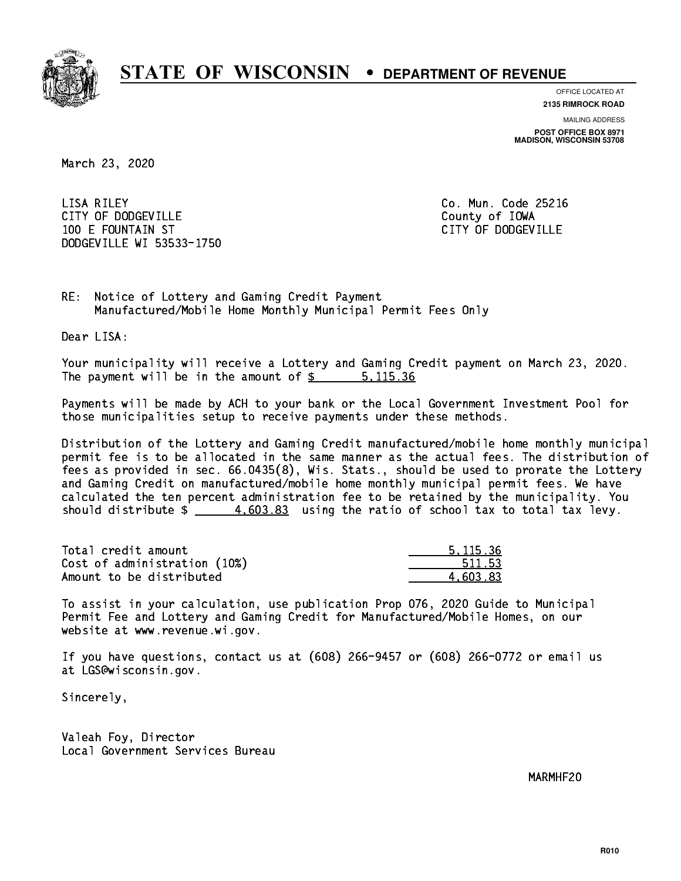

**OFFICE LOCATED AT**

**2135 RIMROCK ROAD**

**MAILING ADDRESS POST OFFICE BOX 8971 MADISON, WISCONSIN 53708**

March 23, 2020

 LISA RILEY Co. Mun. Code 25216 CITY OF DODGEVILLE **COUNTY COUNTY OF IOWA**  100 E FOUNTAIN ST CITY OF DODGEVILLE DODGEVILLE WI 53533-1750

RE: Notice of Lottery and Gaming Credit Payment Manufactured/Mobile Home Monthly Municipal Permit Fees Only

Dear LISA:

 Your municipality will receive a Lottery and Gaming Credit payment on March 23, 2020. The payment will be in the amount of \$ 5,115.36 \_\_\_\_\_\_\_\_\_\_\_\_\_\_\_\_

 Payments will be made by ACH to your bank or the Local Government Investment Pool for those municipalities setup to receive payments under these methods.

 Distribution of the Lottery and Gaming Credit manufactured/mobile home monthly municipal permit fee is to be allocated in the same manner as the actual fees. The distribution of fees as provided in sec. 66.0435(8), Wis. Stats., should be used to prorate the Lottery and Gaming Credit on manufactured/mobile home monthly municipal permit fees. We have calculated the ten percent administration fee to be retained by the municipality. You should distribute  $\frac{4.603.83}{2}$  using the ratio of school tax to total tax levy.

| Total credit amount          | 5.115.36 |
|------------------------------|----------|
| Cost of administration (10%) | 511.53   |
| Amount to be distributed     | 4.603.83 |

 To assist in your calculation, use publication Prop 076, 2020 Guide to Municipal Permit Fee and Lottery and Gaming Credit for Manufactured/Mobile Homes, on our website at www.revenue.wi.gov.

 If you have questions, contact us at (608) 266-9457 or (608) 266-0772 or email us at LGS@wisconsin.gov.

Sincerely,

 Valeah Foy, Director Local Government Services Bureau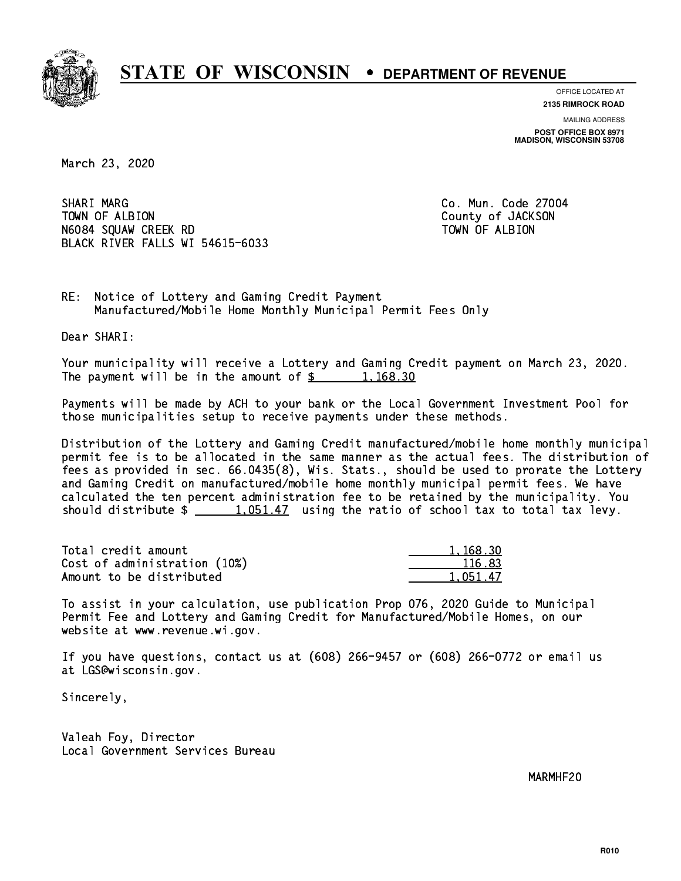

**OFFICE LOCATED AT 2135 RIMROCK ROAD**

**MAILING ADDRESS**

**POST OFFICE BOX 8971 MADISON, WISCONSIN 53708**

March 23, 2020

SHARI MARG TOWN OF ALBION COUNTY OF JACKSON N6084 SQUAW CREEK RD TOWN OF ALBION BLACK RIVER FALLS WI 54615-6033

Co. Mun. Code 27004

RE: Notice of Lottery and Gaming Credit Payment Manufactured/Mobile Home Monthly Municipal Permit Fees Only

Dear SHARI:

 Your municipality will receive a Lottery and Gaming Credit payment on March 23, 2020. The payment will be in the amount of  $\frac{2}{3}$  1,168.30

 Payments will be made by ACH to your bank or the Local Government Investment Pool for those municipalities setup to receive payments under these methods.

 Distribution of the Lottery and Gaming Credit manufactured/mobile home monthly municipal permit fee is to be allocated in the same manner as the actual fees. The distribution of fees as provided in sec. 66.0435(8), Wis. Stats., should be used to prorate the Lottery and Gaming Credit on manufactured/mobile home monthly municipal permit fees. We have calculated the ten percent administration fee to be retained by the municipality. You should distribute  $\frac{1,051.47}{1,051.47}$  using the ratio of school tax to total tax levy.

| Total credit amount          | 1,168.30 |
|------------------------------|----------|
| Cost of administration (10%) | 116.83   |
| Amount to be distributed     | 1.051.47 |

 To assist in your calculation, use publication Prop 076, 2020 Guide to Municipal Permit Fee and Lottery and Gaming Credit for Manufactured/Mobile Homes, on our website at www.revenue.wi.gov.

 If you have questions, contact us at (608) 266-9457 or (608) 266-0772 or email us at LGS@wisconsin.gov.

Sincerely,

 Valeah Foy, Director Local Government Services Bureau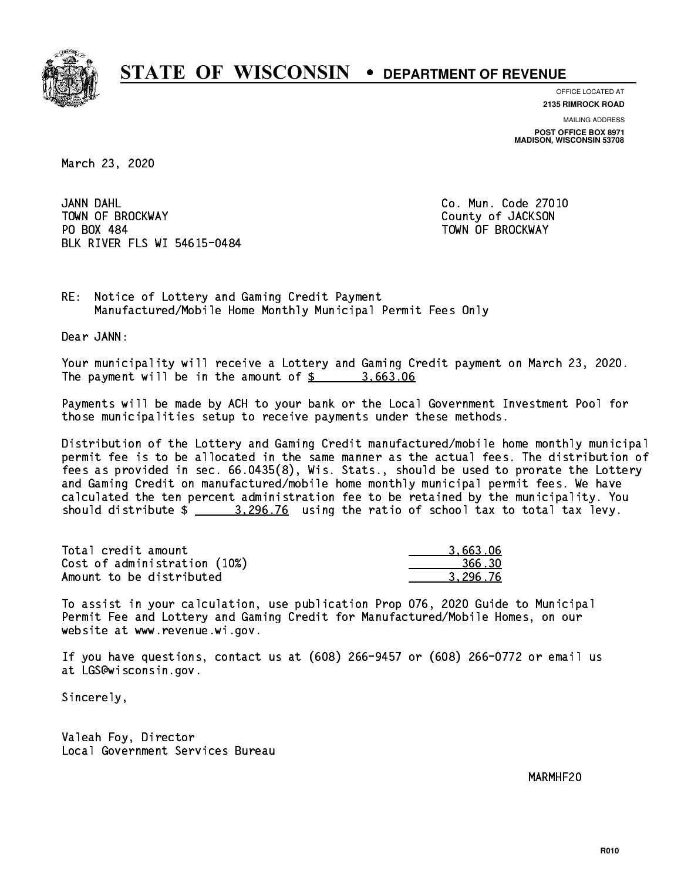

**OFFICE LOCATED AT**

**2135 RIMROCK ROAD**

**MAILING ADDRESS POST OFFICE BOX 8971 MADISON, WISCONSIN 53708**

March 23, 2020

JANN DAHL TOWN OF BROCKWAY **COUNTY OF SECOND-** TOWN OF BROCKWAY PO BOX 484 PO BOX 484 TOWN OF BROCKWAY BLK RIVER FLS WI 54615-0484

Co. Mun. Code 27010

RE: Notice of Lottery and Gaming Credit Payment Manufactured/Mobile Home Monthly Municipal Permit Fees Only

Dear JANN:

 Your municipality will receive a Lottery and Gaming Credit payment on March 23, 2020. The payment will be in the amount of  $\frac{2}{3}$  3,663.06

 Payments will be made by ACH to your bank or the Local Government Investment Pool for those municipalities setup to receive payments under these methods.

 Distribution of the Lottery and Gaming Credit manufactured/mobile home monthly municipal permit fee is to be allocated in the same manner as the actual fees. The distribution of fees as provided in sec. 66.0435(8), Wis. Stats., should be used to prorate the Lottery and Gaming Credit on manufactured/mobile home monthly municipal permit fees. We have calculated the ten percent administration fee to be retained by the municipality. You should distribute  $\frac{2}{2}$   $\frac{3,296.76}{2}$  using the ratio of school tax to total tax levy.

| Total credit amount          | 3.663.06 |
|------------------------------|----------|
| Cost of administration (10%) | 366.30   |
| Amount to be distributed     | 3.296.76 |

 To assist in your calculation, use publication Prop 076, 2020 Guide to Municipal Permit Fee and Lottery and Gaming Credit for Manufactured/Mobile Homes, on our website at www.revenue.wi.gov.

 If you have questions, contact us at (608) 266-9457 or (608) 266-0772 or email us at LGS@wisconsin.gov.

Sincerely,

 Valeah Foy, Director Local Government Services Bureau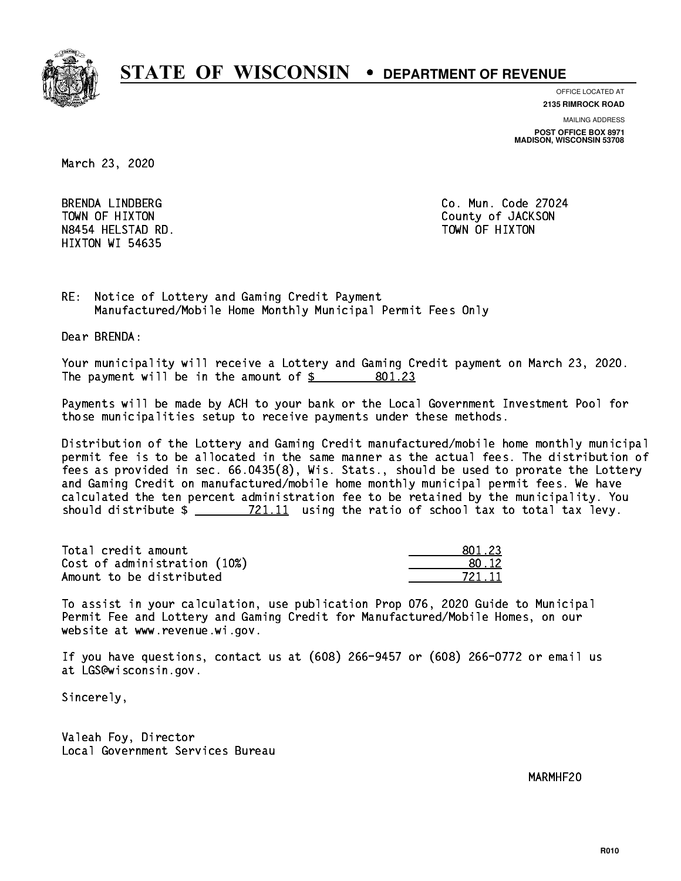

**OFFICE LOCATED AT**

**2135 RIMROCK ROAD**

**MAILING ADDRESS**

**POST OFFICE BOX 8971 MADISON, WISCONSIN 53708**

March 23, 2020

BRENDA LINDBERG N8454 HELSTAD RD. HIXTON WI 54635

Co. Mun. Code 27024 TOWN OF HIXTON COUNTY OF SALES AND TOWN OF HIXTON TOWN OF HIXTON

RE: Notice of Lottery and Gaming Credit Payment Manufactured/Mobile Home Monthly Municipal Permit Fees Only

Dear BRENDA:

 Your municipality will receive a Lottery and Gaming Credit payment on March 23, 2020. The payment will be in the amount of  $\frac{2}{3}$ 801.23

 Payments will be made by ACH to your bank or the Local Government Investment Pool for those municipalities setup to receive payments under these methods.

 Distribution of the Lottery and Gaming Credit manufactured/mobile home monthly municipal permit fee is to be allocated in the same manner as the actual fees. The distribution of fees as provided in sec. 66.0435(8), Wis. Stats., should be used to prorate the Lottery and Gaming Credit on manufactured/mobile home monthly municipal permit fees. We have calculated the ten percent administration fee to be retained by the municipality. You should distribute  $\frac{21.11}{21.11}$  using the ratio of school tax to total tax levy.

Total credit amount Cost of administration  $(10%)$ Amount to be distributed

| 11.23           |
|-----------------|
| $\overline{12}$ |
| 721 11          |

 To assist in your calculation, use publication Prop 076, 2020 Guide to Municipal Permit Fee and Lottery and Gaming Credit for Manufactured/Mobile Homes, on our website at www.revenue.wi.gov.

 If you have questions, contact us at (608) 266-9457 or (608) 266-0772 or email us at LGS@wisconsin.gov.

Sincerely,

 Valeah Foy, Director Local Government Services Bureau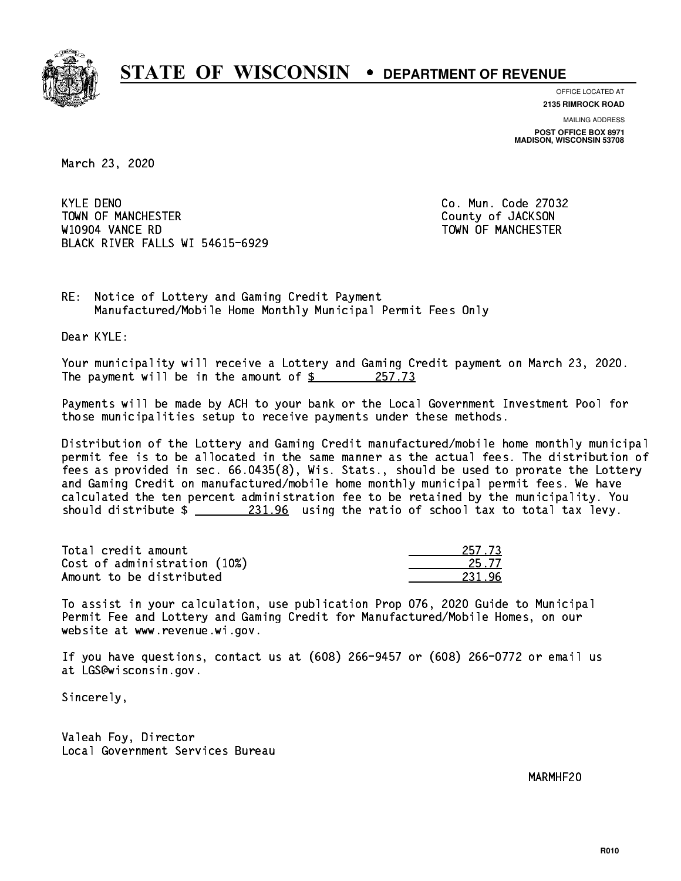

**OFFICE LOCATED AT**

**2135 RIMROCK ROAD**

**MAILING ADDRESS POST OFFICE BOX 8971 MADISON, WISCONSIN 53708**

March 23, 2020

**KYLE DENO** TOWN OF MANCHESTER COUNTY OF JACKSON W10904 VANCE RD TOWN OF MANCHESTER BLACK RIVER FALLS WI 54615-6929

Co. Mun. Code 27032

RE: Notice of Lottery and Gaming Credit Payment Manufactured/Mobile Home Monthly Municipal Permit Fees Only

Dear KYLE:

 Your municipality will receive a Lottery and Gaming Credit payment on March 23, 2020. The payment will be in the amount of  $\frac{257.73}{255.73}$ 

 Payments will be made by ACH to your bank or the Local Government Investment Pool for those municipalities setup to receive payments under these methods.

 Distribution of the Lottery and Gaming Credit manufactured/mobile home monthly municipal permit fee is to be allocated in the same manner as the actual fees. The distribution of fees as provided in sec. 66.0435(8), Wis. Stats., should be used to prorate the Lottery and Gaming Credit on manufactured/mobile home monthly municipal permit fees. We have calculated the ten percent administration fee to be retained by the municipality. You should distribute  $\frac{231.96}{21.96}$  using the ratio of school tax to total tax levy.

Total credit amount Cost of administration (10%) Amount to be distributed

| 7 73  |
|-------|
| i. 77 |
|       |

 To assist in your calculation, use publication Prop 076, 2020 Guide to Municipal Permit Fee and Lottery and Gaming Credit for Manufactured/Mobile Homes, on our website at www.revenue.wi.gov.

 If you have questions, contact us at (608) 266-9457 or (608) 266-0772 or email us at LGS@wisconsin.gov.

Sincerely,

 Valeah Foy, Director Local Government Services Bureau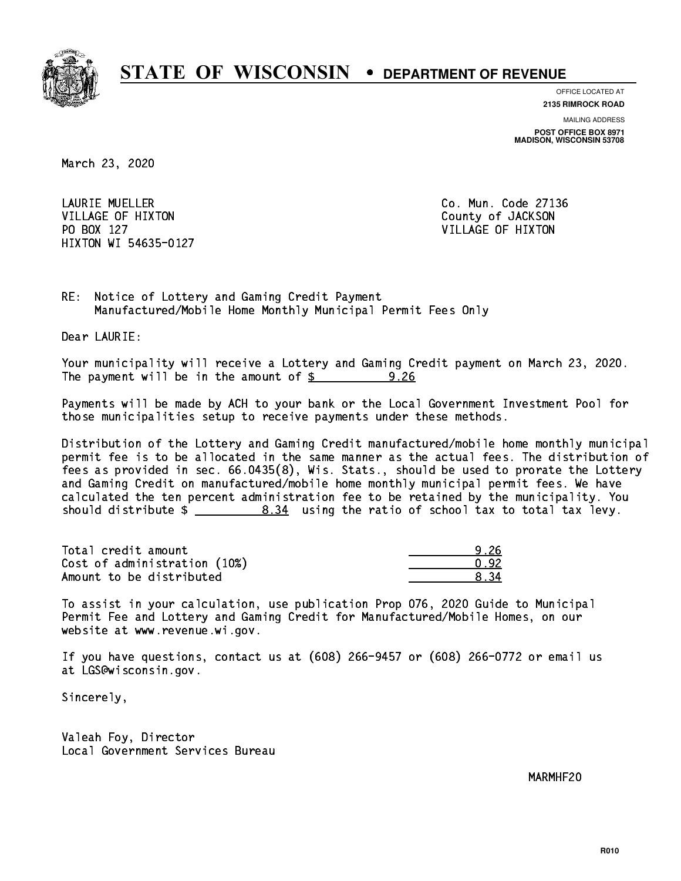

**OFFICE LOCATED AT**

**2135 RIMROCK ROAD**

**MAILING ADDRESS**

**POST OFFICE BOX 8971 MADISON, WISCONSIN 53708**

March 23, 2020

 LAURIE MUELLER Co. Mun. Code 27136 VILLAGE OF HIXTON COUNTY OF JACKSON PO BOX 127 VILLAGE OF HIXTON HIXTON WI 54635-0127

RE: Notice of Lottery and Gaming Credit Payment Manufactured/Mobile Home Monthly Municipal Permit Fees Only

Dear LAURIE:

 Your municipality will receive a Lottery and Gaming Credit payment on March 23, 2020. The payment will be in the amount of  $\underline{\$$ 9.26

 Payments will be made by ACH to your bank or the Local Government Investment Pool for those municipalities setup to receive payments under these methods.

 Distribution of the Lottery and Gaming Credit manufactured/mobile home monthly municipal permit fee is to be allocated in the same manner as the actual fees. The distribution of fees as provided in sec. 66.0435(8), Wis. Stats., should be used to prorate the Lottery and Gaming Credit on manufactured/mobile home monthly municipal permit fees. We have calculated the ten percent administration fee to be retained by the municipality. You should distribute  $\frac{2}{2}$   $\frac{8.34}{2}$  using the ratio of school tax to total tax levy.

Total credit amount Cost of administration (10%) Amount to be distributed

| 42. |
|-----|
|     |

 To assist in your calculation, use publication Prop 076, 2020 Guide to Municipal Permit Fee and Lottery and Gaming Credit for Manufactured/Mobile Homes, on our website at www.revenue.wi.gov.

 If you have questions, contact us at (608) 266-9457 or (608) 266-0772 or email us at LGS@wisconsin.gov.

Sincerely,

 Valeah Foy, Director Local Government Services Bureau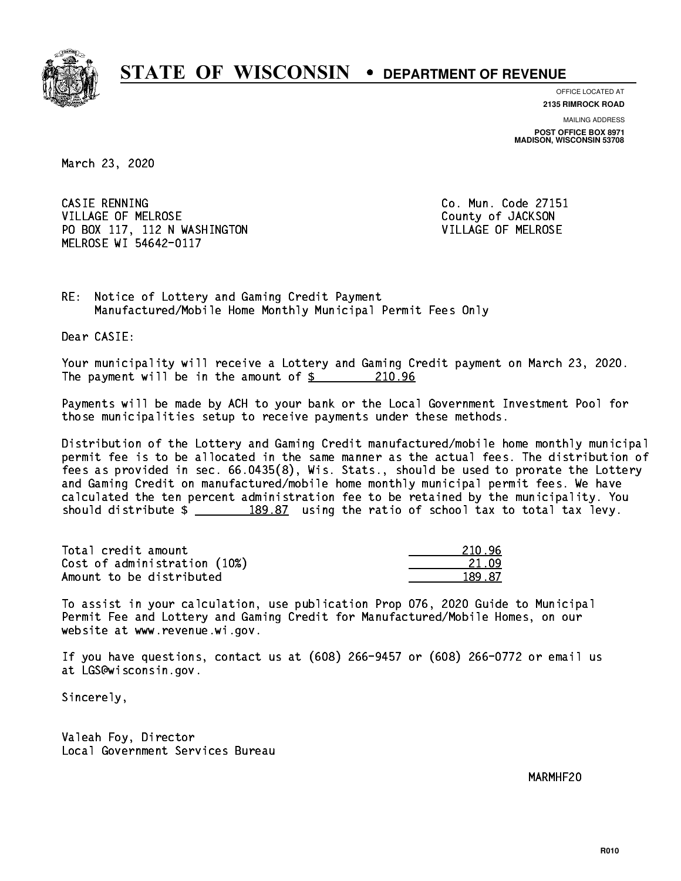

**OFFICE LOCATED AT 2135 RIMROCK ROAD**

**MAILING ADDRESS**

**POST OFFICE BOX 8971 MADISON, WISCONSIN 53708**

March 23, 2020

CASIE RENNING VILLAGE OF MELROSE COUNTY OF JACKSON PO BOX 117, 112 N WASHINGTON VILLAGE OF MELROSE MELROSE WI 54642-0117

Co. Mun. Code 27151

RE: Notice of Lottery and Gaming Credit Payment Manufactured/Mobile Home Monthly Municipal Permit Fees Only

Dear CASIE:

 Your municipality will receive a Lottery and Gaming Credit payment on March 23, 2020. The payment will be in the amount of  $$ 210.96$ 

 Payments will be made by ACH to your bank or the Local Government Investment Pool for those municipalities setup to receive payments under these methods.

 Distribution of the Lottery and Gaming Credit manufactured/mobile home monthly municipal permit fee is to be allocated in the same manner as the actual fees. The distribution of fees as provided in sec. 66.0435(8), Wis. Stats., should be used to prorate the Lottery and Gaming Credit on manufactured/mobile home monthly municipal permit fees. We have calculated the ten percent administration fee to be retained by the municipality. You should distribute  $\frac{2}{2}$   $\frac{189.87}{2}$  using the ratio of school tax to total tax levy.

| Total credit amount          | 210.96 |
|------------------------------|--------|
| Cost of administration (10%) | 21 N9  |
| Amount to be distributed     | 189.87 |

 To assist in your calculation, use publication Prop 076, 2020 Guide to Municipal Permit Fee and Lottery and Gaming Credit for Manufactured/Mobile Homes, on our website at www.revenue.wi.gov.

 If you have questions, contact us at (608) 266-9457 or (608) 266-0772 or email us at LGS@wisconsin.gov.

Sincerely,

 Valeah Foy, Director Local Government Services Bureau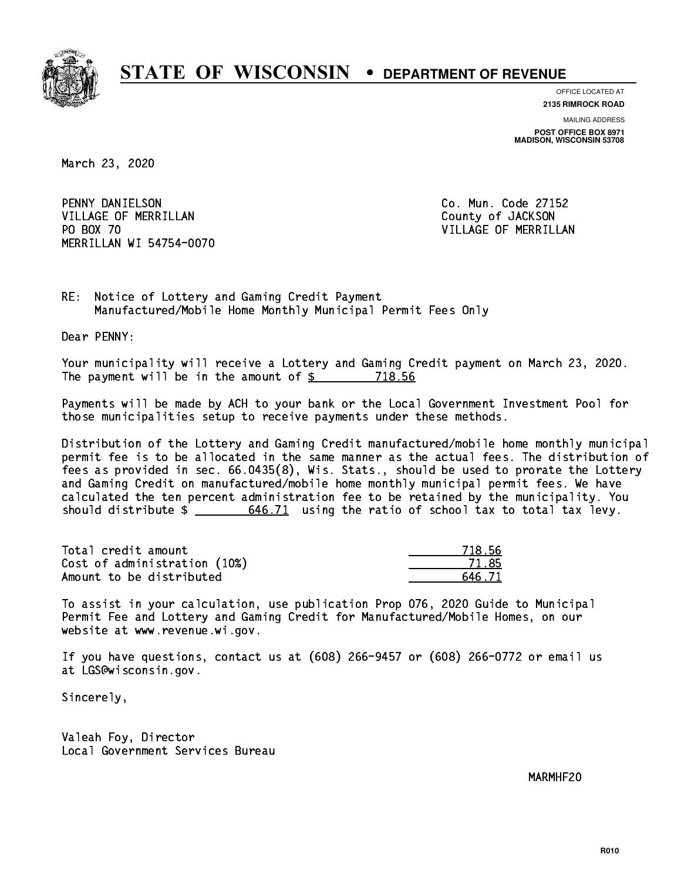

**OFFICE LOCATED AT**

**2135 RIMROCK ROAD**

**MAILING ADDRESS POST OFFICE BOX 8971 MADISON, WISCONSIN 53708**

March 23, 2020

 PENNY DANIELSON Co. Mun. Code 27152 VILLAGE OF MERRILLAN County of JACKSON PO BOX 70 MERRILLAN WI 54754-0070

VILLAGE OF MERRILLAN

RE: Notice of Lottery and Gaming Credit Payment Manufactured/Mobile Home Monthly Municipal Permit Fees Only

Dear PENNY:

 Your municipality will receive a Lottery and Gaming Credit payment on March 23, 2020. The payment will be in the amount of \$ 718.56 \_\_\_\_\_\_\_\_\_\_\_\_\_\_\_\_

 Payments will be made by ACH to your bank or the Local Government Investment Pool for those municipalities setup to receive payments under these methods.

 Distribution of the Lottery and Gaming Credit manufactured/mobile home monthly municipal permit fee is to be allocated in the same manner as the actual fees. The distribution of fees as provided in sec. 66.0435(8), Wis. Stats., should be used to prorate the Lottery and Gaming Credit on manufactured/mobile home monthly municipal permit fees. We have calculated the ten percent administration fee to be retained by the municipality. You should distribute  $\frac{2}{1}$   $\frac{646.71}{2}$  using the ratio of school tax to total tax levy.

Total credit amount Cost of administration (10%) Amount to be distributed

| 8.56<br>71> |
|-------------|
| 71.85       |
| 5.71        |

 To assist in your calculation, use publication Prop 076, 2020 Guide to Municipal Permit Fee and Lottery and Gaming Credit for Manufactured/Mobile Homes, on our website at www.revenue.wi.gov.

 If you have questions, contact us at (608) 266-9457 or (608) 266-0772 or email us at LGS@wisconsin.gov.

Sincerely,

 Valeah Foy, Director Local Government Services Bureau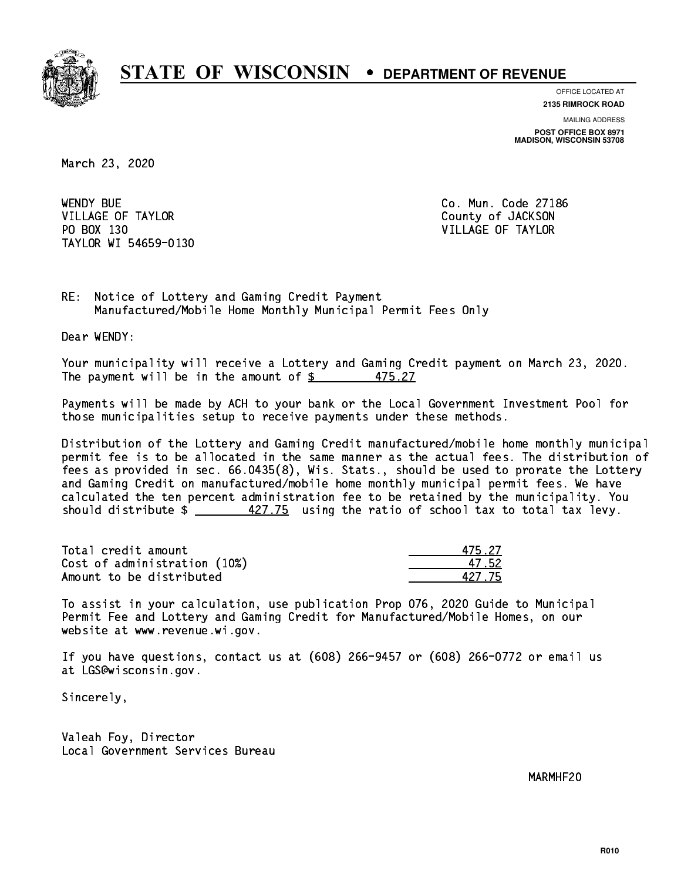

**OFFICE LOCATED AT 2135 RIMROCK ROAD**

**MAILING ADDRESS**

**POST OFFICE BOX 8971 MADISON, WISCONSIN 53708**

March 23, 2020

**WENDY BUE** VILLAGE OF TAYLOR COUNTY OF JACKSON PO BOX 130 VILLAGE OF TAYLOR TAYLOR WI 54659-0130

Co. Mun. Code 27186

RE: Notice of Lottery and Gaming Credit Payment Manufactured/Mobile Home Monthly Municipal Permit Fees Only

Dear WENDY:

 Your municipality will receive a Lottery and Gaming Credit payment on March 23, 2020. The payment will be in the amount of  $\frac{25}{37}$ 475.27

 Payments will be made by ACH to your bank or the Local Government Investment Pool for those municipalities setup to receive payments under these methods.

 Distribution of the Lottery and Gaming Credit manufactured/mobile home monthly municipal permit fee is to be allocated in the same manner as the actual fees. The distribution of fees as provided in sec. 66.0435(8), Wis. Stats., should be used to prorate the Lottery and Gaming Credit on manufactured/mobile home monthly municipal permit fees. We have calculated the ten percent administration fee to be retained by the municipality. You should distribute  $\frac{427.75}{2}$  using the ratio of school tax to total tax levy.

Total credit amount Cost of administration (10%) Amount to be distributed

| 5.27             |
|------------------|
| $^{\prime}$ .52. |
| .2775            |

 To assist in your calculation, use publication Prop 076, 2020 Guide to Municipal Permit Fee and Lottery and Gaming Credit for Manufactured/Mobile Homes, on our website at www.revenue.wi.gov.

 If you have questions, contact us at (608) 266-9457 or (608) 266-0772 or email us at LGS@wisconsin.gov.

Sincerely,

 Valeah Foy, Director Local Government Services Bureau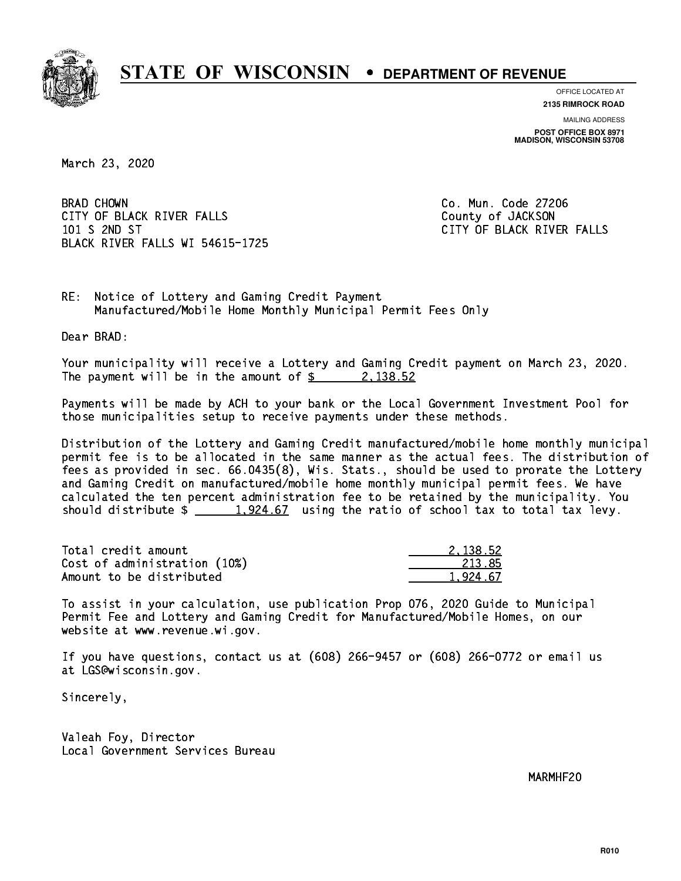

**OFFICE LOCATED AT 2135 RIMROCK ROAD**

**MAILING ADDRESS**

**POST OFFICE BOX 8971 MADISON, WISCONSIN 53708**

March 23, 2020

**BRAD CHOWN** CITY OF BLACK RIVER FALLS COUNTY OF JACKSON 101 S 2ND ST CITY OF BLACK RIVER FALLS BLACK RIVER FALLS WI 54615-1725

Co. Mun. Code 27206

RE: Notice of Lottery and Gaming Credit Payment Manufactured/Mobile Home Monthly Municipal Permit Fees Only

Dear BRAD:

 Your municipality will receive a Lottery and Gaming Credit payment on March 23, 2020. The payment will be in the amount of  $\frac{2}{3}$  2,138.52

 Payments will be made by ACH to your bank or the Local Government Investment Pool for those municipalities setup to receive payments under these methods.

 Distribution of the Lottery and Gaming Credit manufactured/mobile home monthly municipal permit fee is to be allocated in the same manner as the actual fees. The distribution of fees as provided in sec. 66.0435(8), Wis. Stats., should be used to prorate the Lottery and Gaming Credit on manufactured/mobile home monthly municipal permit fees. We have calculated the ten percent administration fee to be retained by the municipality. You should distribute  $\frac{1,924.67}{1,924.67}$  using the ratio of school tax to total tax levy.

| Total credit amount          | 2.138.52 |
|------------------------------|----------|
| Cost of administration (10%) | 213.85   |
| Amount to be distributed     | 1.924.67 |

 To assist in your calculation, use publication Prop 076, 2020 Guide to Municipal Permit Fee and Lottery and Gaming Credit for Manufactured/Mobile Homes, on our website at www.revenue.wi.gov.

 If you have questions, contact us at (608) 266-9457 or (608) 266-0772 or email us at LGS@wisconsin.gov.

Sincerely,

 Valeah Foy, Director Local Government Services Bureau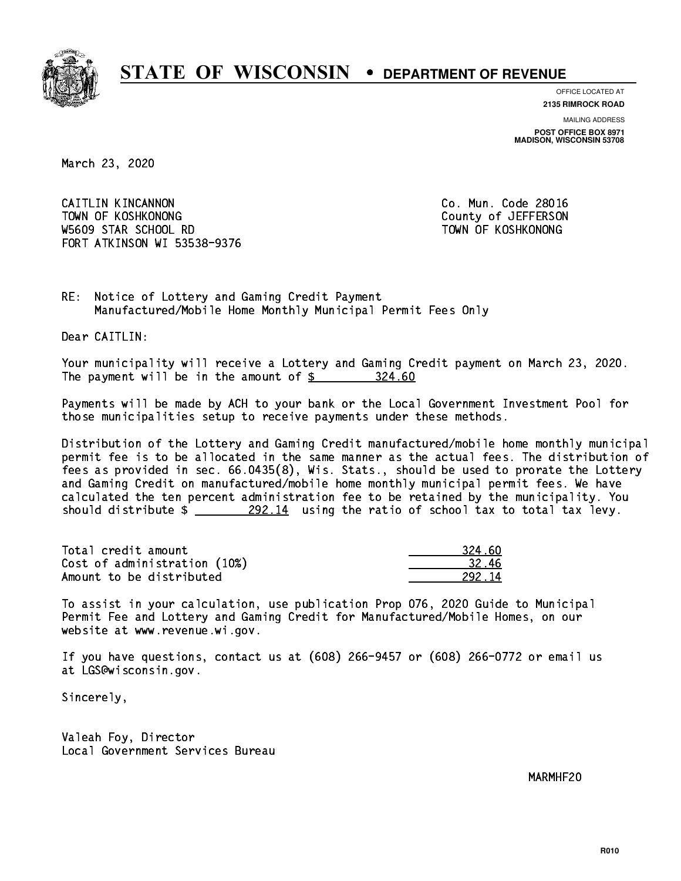

**OFFICE LOCATED AT**

**2135 RIMROCK ROAD**

**MAILING ADDRESS POST OFFICE BOX 8971 MADISON, WISCONSIN 53708**

March 23, 2020

 CAITLIN KINCANNON Co. Mun. Code 28016 TOWN OF KOSHKONONG COUNTY OF A LOCAL COUNTY OF A LOCAL COUNTY OF A LOCAL COUNTY OF A LOCAL COUNTY OF A LOCAL COUNTY OF A LOCAL COUNTY OF A LOCAL COUNTY OF A LOCAL COUNTY OF A LOCAL COUNTY OF A LOCAL COUNTY OF A LOCAL COUNT W5609 STAR SCHOOL RD TOWN OF KOSHKONONG FORT ATKINSON WI 53538-9376

RE: Notice of Lottery and Gaming Credit Payment Manufactured/Mobile Home Monthly Municipal Permit Fees Only

Dear CAITLIN:

 Your municipality will receive a Lottery and Gaming Credit payment on March 23, 2020. The payment will be in the amount of  $\frac{24.60}{24.60}$ 

 Payments will be made by ACH to your bank or the Local Government Investment Pool for those municipalities setup to receive payments under these methods.

 Distribution of the Lottery and Gaming Credit manufactured/mobile home monthly municipal permit fee is to be allocated in the same manner as the actual fees. The distribution of fees as provided in sec. 66.0435(8), Wis. Stats., should be used to prorate the Lottery and Gaming Credit on manufactured/mobile home monthly municipal permit fees. We have calculated the ten percent administration fee to be retained by the municipality. You should distribute  $\frac{292.14}{292.14}$  using the ratio of school tax to total tax levy.

Total credit amount Cost of administration (10%) Amount to be distributed

| 324 KN |
|--------|
| 32.46  |
| 72.14  |

 To assist in your calculation, use publication Prop 076, 2020 Guide to Municipal Permit Fee and Lottery and Gaming Credit for Manufactured/Mobile Homes, on our website at www.revenue.wi.gov.

 If you have questions, contact us at (608) 266-9457 or (608) 266-0772 or email us at LGS@wisconsin.gov.

Sincerely,

 Valeah Foy, Director Local Government Services Bureau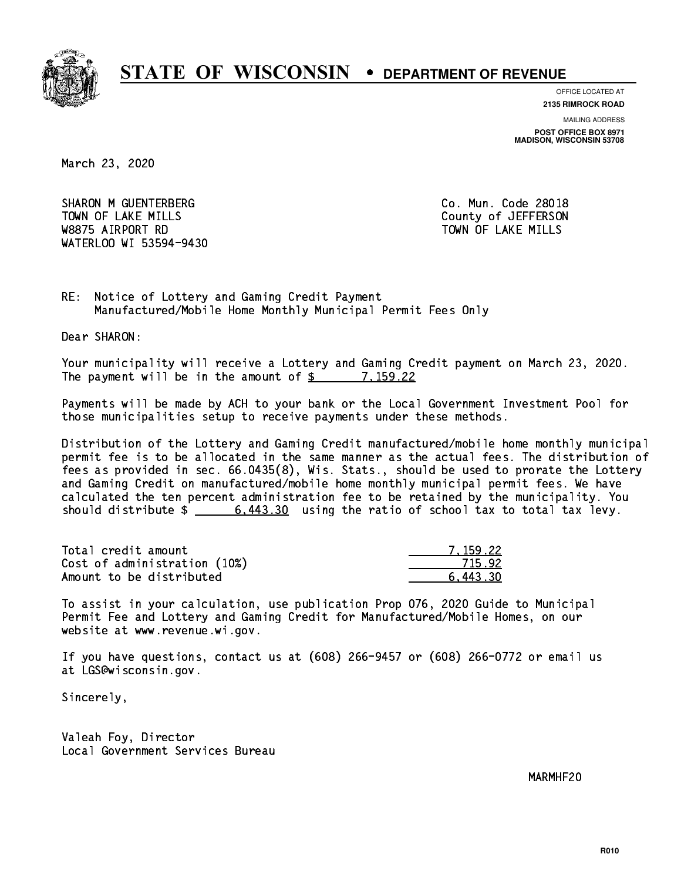

**OFFICE LOCATED AT**

**2135 RIMROCK ROAD**

**MAILING ADDRESS POST OFFICE BOX 8971 MADISON, WISCONSIN 53708**

March 23, 2020

SHARON M GUENTERBERG CO. Mun. Code 28018 TOWN OF LAKE MILLS **TOWN OF LAKE MILLS**  W8875 AIRPORT RD TOWN OF LAKE MILLS WATERLOO WI 53594-9430

RE: Notice of Lottery and Gaming Credit Payment Manufactured/Mobile Home Monthly Municipal Permit Fees Only

Dear SHARON:

 Your municipality will receive a Lottery and Gaming Credit payment on March 23, 2020. The payment will be in the amount of \$ 7,159.22 \_\_\_\_\_\_\_\_\_\_\_\_\_\_\_\_

 Payments will be made by ACH to your bank or the Local Government Investment Pool for those municipalities setup to receive payments under these methods.

 Distribution of the Lottery and Gaming Credit manufactured/mobile home monthly municipal permit fee is to be allocated in the same manner as the actual fees. The distribution of fees as provided in sec. 66.0435(8), Wis. Stats., should be used to prorate the Lottery and Gaming Credit on manufactured/mobile home monthly municipal permit fees. We have calculated the ten percent administration fee to be retained by the municipality. You should distribute  $\frac{2}{1}$   $\frac{6,443.30}{2}$  using the ratio of school tax to total tax levy.

| Total credit amount          | 7.159.22 |
|------------------------------|----------|
| Cost of administration (10%) | 715.92   |
| Amount to be distributed     | 6.443.30 |

 To assist in your calculation, use publication Prop 076, 2020 Guide to Municipal Permit Fee and Lottery and Gaming Credit for Manufactured/Mobile Homes, on our website at www.revenue.wi.gov.

 If you have questions, contact us at (608) 266-9457 or (608) 266-0772 or email us at LGS@wisconsin.gov.

Sincerely,

 Valeah Foy, Director Local Government Services Bureau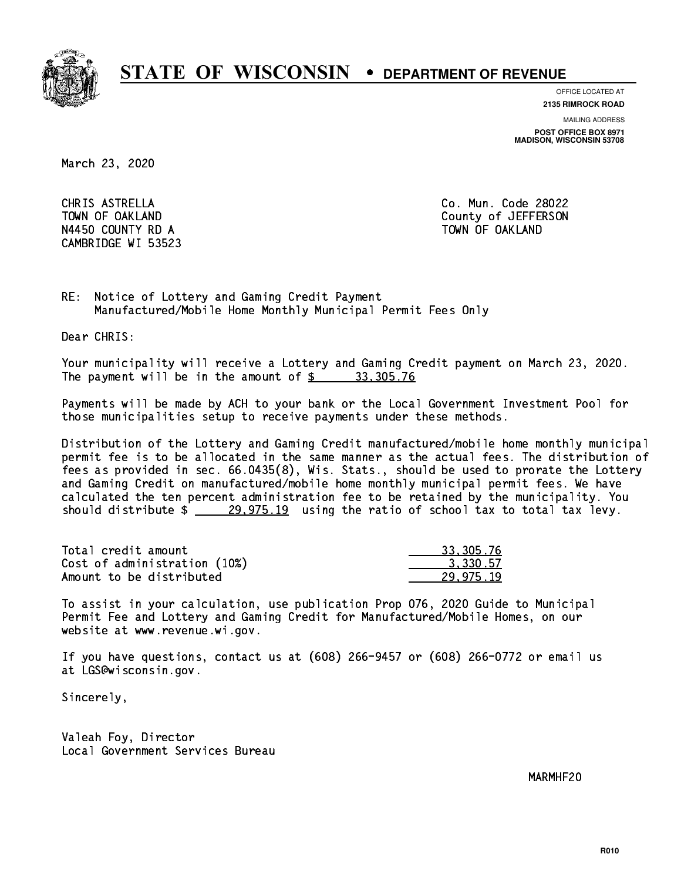

**OFFICE LOCATED AT**

**2135 RIMROCK ROAD**

**MAILING ADDRESS**

**POST OFFICE BOX 8971 MADISON, WISCONSIN 53708**

March 23, 2020

 CHRIS ASTRELLA Co. Mun. Code 28022 N4450 COUNTY RD A TOWN OF OAKLAND CAMBRIDGE WI 53523

TOWN OF OAKLAND County of JEFFERSON

RE: Notice of Lottery and Gaming Credit Payment Manufactured/Mobile Home Monthly Municipal Permit Fees Only

Dear CHRIS:

 Your municipality will receive a Lottery and Gaming Credit payment on March 23, 2020. The payment will be in the amount of  $\frac{2}{3}$  33,305.76

 Payments will be made by ACH to your bank or the Local Government Investment Pool for those municipalities setup to receive payments under these methods.

 Distribution of the Lottery and Gaming Credit manufactured/mobile home monthly municipal permit fee is to be allocated in the same manner as the actual fees. The distribution of fees as provided in sec. 66.0435(8), Wis. Stats., should be used to prorate the Lottery and Gaming Credit on manufactured/mobile home monthly municipal permit fees. We have calculated the ten percent administration fee to be retained by the municipality. You should distribute  $\frac{29,975.19}{29,975.19}$  using the ratio of school tax to total tax levy.

| Total credit amount          | 33,305.76 |
|------------------------------|-----------|
| Cost of administration (10%) | 3.330.57  |
| Amount to be distributed     | 29.975.19 |

 To assist in your calculation, use publication Prop 076, 2020 Guide to Municipal Permit Fee and Lottery and Gaming Credit for Manufactured/Mobile Homes, on our website at www.revenue.wi.gov.

 If you have questions, contact us at (608) 266-9457 or (608) 266-0772 or email us at LGS@wisconsin.gov.

Sincerely,

 Valeah Foy, Director Local Government Services Bureau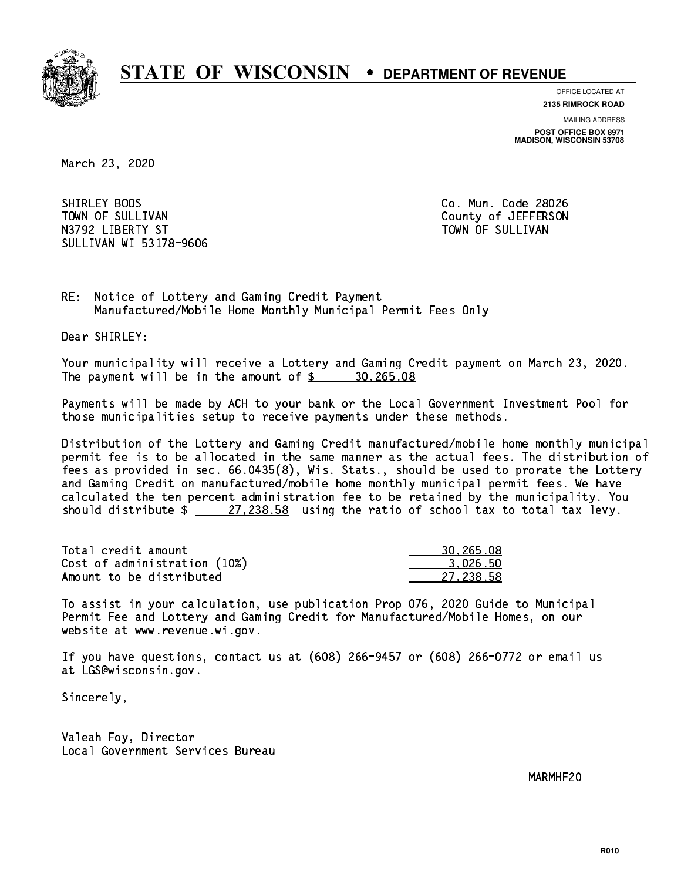

**OFFICE LOCATED AT 2135 RIMROCK ROAD**

**MAILING ADDRESS**

**POST OFFICE BOX 8971 MADISON, WISCONSIN 53708**

March 23, 2020

SHIRLEY BOOS TOWN OF SULLIVAN COUNTY OF SULLIVAN N3792 LIBERTY ST TOWN OF SULLIVAN SULLIVAN WI 53178-9606

Co. Mun. Code 28026

RE: Notice of Lottery and Gaming Credit Payment Manufactured/Mobile Home Monthly Municipal Permit Fees Only

Dear SHIRLEY:

 Your municipality will receive a Lottery and Gaming Credit payment on March 23, 2020. The payment will be in the amount of  $\frac{20,265.08}{20,265.08}$ 

 Payments will be made by ACH to your bank or the Local Government Investment Pool for those municipalities setup to receive payments under these methods.

 Distribution of the Lottery and Gaming Credit manufactured/mobile home monthly municipal permit fee is to be allocated in the same manner as the actual fees. The distribution of fees as provided in sec. 66.0435(8), Wis. Stats., should be used to prorate the Lottery and Gaming Credit on manufactured/mobile home monthly municipal permit fees. We have calculated the ten percent administration fee to be retained by the municipality. You should distribute  $\frac{27,238.58}{27,238.58}$  using the ratio of school tax to total tax levy.

| Total credit amount          | 30,265.08 |
|------------------------------|-----------|
| Cost of administration (10%) | 3.026.50  |
| Amount to be distributed     | 27.238.58 |

 To assist in your calculation, use publication Prop 076, 2020 Guide to Municipal Permit Fee and Lottery and Gaming Credit for Manufactured/Mobile Homes, on our website at www.revenue.wi.gov.

 If you have questions, contact us at (608) 266-9457 or (608) 266-0772 or email us at LGS@wisconsin.gov.

Sincerely,

 Valeah Foy, Director Local Government Services Bureau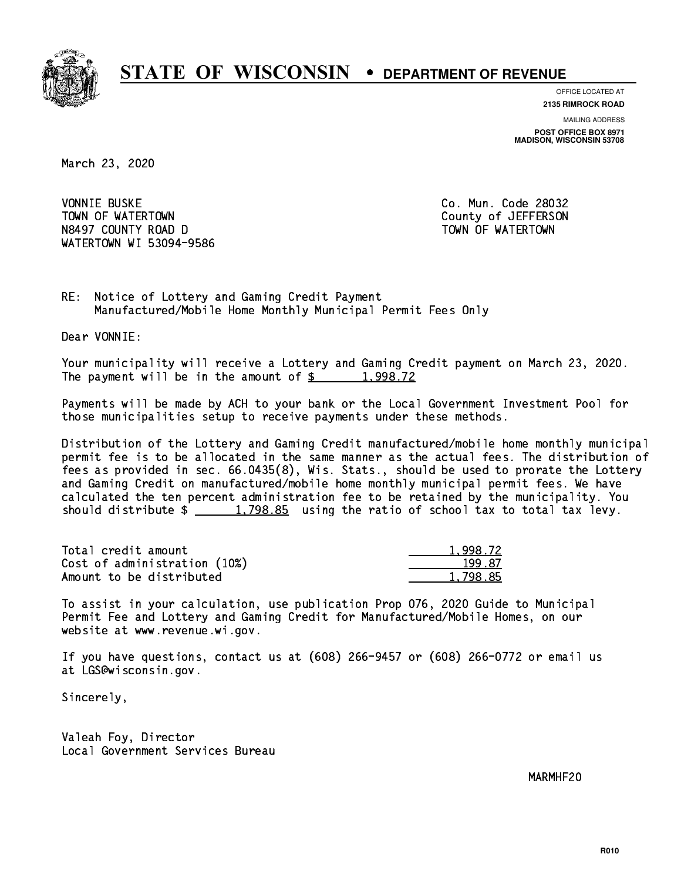

**OFFICE LOCATED AT 2135 RIMROCK ROAD**

**MAILING ADDRESS**

**POST OFFICE BOX 8971 MADISON, WISCONSIN 53708**

March 23, 2020

**VONNIE BUSKE** TOWN OF WATERTOWN COUNTY OF VALUE OF THE COUNTY OF A LIFT OF THE COUNTY OF A LIFT OF THE COUNTY OF THE COUNTY OF THE COUNTY OF THE COUNTY OF THE COUNTY OF THE COUNTY OF THE COUNTY OF THE COUNTY OF THE COUNTY OF THE COUNTY N8497 COUNTY ROAD D TOWN OF WATERTOWN NAME OF SALE OF STATE OF STATE OF STATE OF STATE OF STATE OF STATE OF ST WATERTOWN WI 53094-9586

Co. Mun. Code 28032

RE: Notice of Lottery and Gaming Credit Payment Manufactured/Mobile Home Monthly Municipal Permit Fees Only

Dear VONNIE:

 Your municipality will receive a Lottery and Gaming Credit payment on March 23, 2020. The payment will be in the amount of  $\frac{2}{3}$  1,998.72

 Payments will be made by ACH to your bank or the Local Government Investment Pool for those municipalities setup to receive payments under these methods.

 Distribution of the Lottery and Gaming Credit manufactured/mobile home monthly municipal permit fee is to be allocated in the same manner as the actual fees. The distribution of fees as provided in sec. 66.0435(8), Wis. Stats., should be used to prorate the Lottery and Gaming Credit on manufactured/mobile home monthly municipal permit fees. We have calculated the ten percent administration fee to be retained by the municipality. You should distribute  $\frac{1,798.85}{2}$  using the ratio of school tax to total tax levy.

| Total credit amount          | 1,998.72 |
|------------------------------|----------|
| Cost of administration (10%) | 199.87   |
| Amount to be distributed     | 1.798.85 |

 To assist in your calculation, use publication Prop 076, 2020 Guide to Municipal Permit Fee and Lottery and Gaming Credit for Manufactured/Mobile Homes, on our website at www.revenue.wi.gov.

 If you have questions, contact us at (608) 266-9457 or (608) 266-0772 or email us at LGS@wisconsin.gov.

Sincerely,

 Valeah Foy, Director Local Government Services Bureau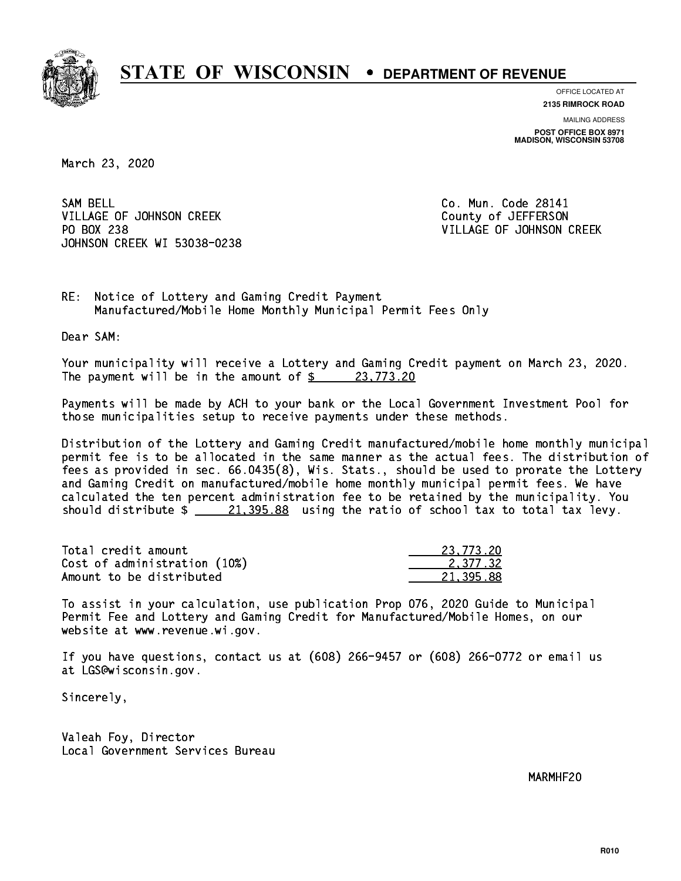

**OFFICE LOCATED AT 2135 RIMROCK ROAD**

**MAILING ADDRESS POST OFFICE BOX 8971 MADISON, WISCONSIN 53708**

March 23, 2020

SAM BELL VILLAGE OF JOHNSON CREEK COUNTY OF JEFFERSON PO BOX 238 JOHNSON CREEK WI 53038-0238

Co. Mun. Code 28141 VILLAGE OF JOHNSON CREEK

RE: Notice of Lottery and Gaming Credit Payment Manufactured/Mobile Home Monthly Municipal Permit Fees Only

Dear SAM:

 Your municipality will receive a Lottery and Gaming Credit payment on March 23, 2020. The payment will be in the amount of  $\frac{23,773.20}{22}$ 

 Payments will be made by ACH to your bank or the Local Government Investment Pool for those municipalities setup to receive payments under these methods.

 Distribution of the Lottery and Gaming Credit manufactured/mobile home monthly municipal permit fee is to be allocated in the same manner as the actual fees. The distribution of fees as provided in sec. 66.0435(8), Wis. Stats., should be used to prorate the Lottery and Gaming Credit on manufactured/mobile home monthly municipal permit fees. We have calculated the ten percent administration fee to be retained by the municipality. You should distribute  $\frac{21,395.88}{21,395.88}$  using the ratio of school tax to total tax levy.

| Total credit amount          | 23,773.20 |
|------------------------------|-----------|
| Cost of administration (10%) | 2.377.32  |
| Amount to be distributed     | 21.395.88 |

 To assist in your calculation, use publication Prop 076, 2020 Guide to Municipal Permit Fee and Lottery and Gaming Credit for Manufactured/Mobile Homes, on our website at www.revenue.wi.gov.

 If you have questions, contact us at (608) 266-9457 or (608) 266-0772 or email us at LGS@wisconsin.gov.

Sincerely,

 Valeah Foy, Director Local Government Services Bureau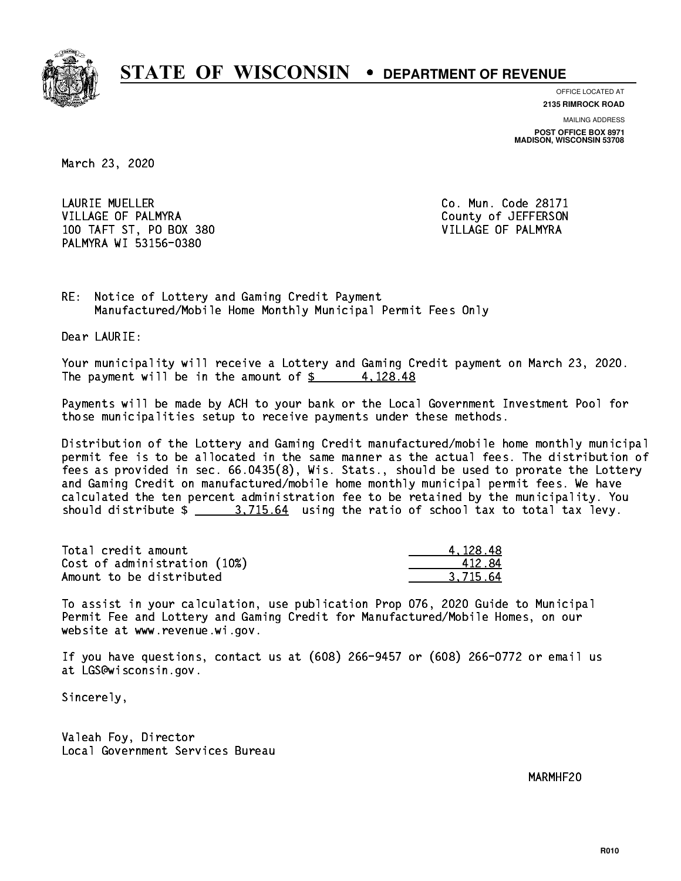

**OFFICE LOCATED AT 2135 RIMROCK ROAD**

**MAILING ADDRESS POST OFFICE BOX 8971 MADISON, WISCONSIN 53708**

March 23, 2020

 LAURIE MUELLER Co. Mun. Code 28171 VILLAGE OF PALMYRA COUNTY COUNTY OF STATES ON THE COUNTY OF STATES ON THE COUNTY OF STATES ON THE COUNTY OF STATES ON THE COUNTY OF STATES ON THE COUNTY OF STATES ON THE COUNTY OF STATES ON THE COUNTY OF STATES ON THE COUN 100 TAFT ST, PO BOX 380 VILLAGE OF PALMYRA PALMYRA WI 53156-0380

RE: Notice of Lottery and Gaming Credit Payment Manufactured/Mobile Home Monthly Municipal Permit Fees Only

Dear LAURIE:

 Your municipality will receive a Lottery and Gaming Credit payment on March 23, 2020. The payment will be in the amount of  $\frac{2}{3}$  4,128.48

 Payments will be made by ACH to your bank or the Local Government Investment Pool for those municipalities setup to receive payments under these methods.

 Distribution of the Lottery and Gaming Credit manufactured/mobile home monthly municipal permit fee is to be allocated in the same manner as the actual fees. The distribution of fees as provided in sec. 66.0435(8), Wis. Stats., should be used to prorate the Lottery and Gaming Credit on manufactured/mobile home monthly municipal permit fees. We have calculated the ten percent administration fee to be retained by the municipality. You should distribute  $\frac{2}{1}$   $\frac{3.715.64}{2}$  using the ratio of school tax to total tax levy.

| Total credit amount          | 4.128.48 |
|------------------------------|----------|
| Cost of administration (10%) | 412.84   |
| Amount to be distributed     | 3.715.64 |

 To assist in your calculation, use publication Prop 076, 2020 Guide to Municipal Permit Fee and Lottery and Gaming Credit for Manufactured/Mobile Homes, on our website at www.revenue.wi.gov.

 If you have questions, contact us at (608) 266-9457 or (608) 266-0772 or email us at LGS@wisconsin.gov.

Sincerely,

 Valeah Foy, Director Local Government Services Bureau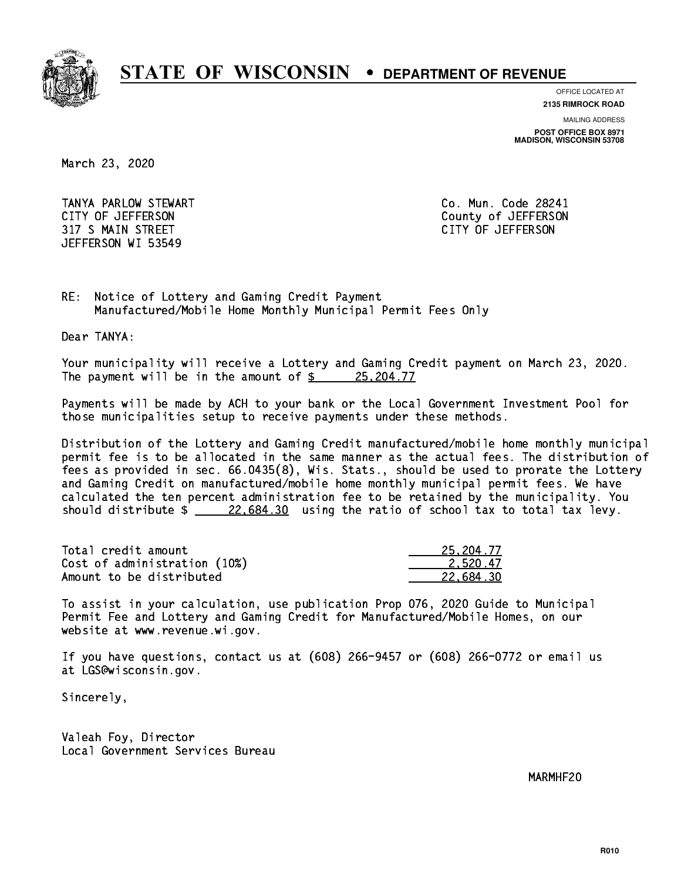

**OFFICE LOCATED AT**

**2135 RIMROCK ROAD**

**MAILING ADDRESS**

**POST OFFICE BOX 8971 MADISON, WISCONSIN 53708**

March 23, 2020

 TANYA PARLOW STEWART Co. Mun. Code 28241 CITY OF JEFFERSON County of JEFFERSON 317 S MAIN STREET CITY OF JEFFERSON JEFFERSON WI 53549

RE: Notice of Lottery and Gaming Credit Payment Manufactured/Mobile Home Monthly Municipal Permit Fees Only

Dear TANYA:

 Your municipality will receive a Lottery and Gaming Credit payment on March 23, 2020. The payment will be in the amount of  $\frac{25}{204.77}$ 

 Payments will be made by ACH to your bank or the Local Government Investment Pool for those municipalities setup to receive payments under these methods.

 Distribution of the Lottery and Gaming Credit manufactured/mobile home monthly municipal permit fee is to be allocated in the same manner as the actual fees. The distribution of fees as provided in sec. 66.0435(8), Wis. Stats., should be used to prorate the Lottery and Gaming Credit on manufactured/mobile home monthly municipal permit fees. We have calculated the ten percent administration fee to be retained by the municipality. You should distribute  $\frac{226684.30}{226684.30}$  using the ratio of school tax to total tax levy.

| Total credit amount          | 25, 204, 77 |
|------------------------------|-------------|
| Cost of administration (10%) | 2.520.47    |
| Amount to be distributed     | 22.684.30   |

 To assist in your calculation, use publication Prop 076, 2020 Guide to Municipal Permit Fee and Lottery and Gaming Credit for Manufactured/Mobile Homes, on our website at www.revenue.wi.gov.

 If you have questions, contact us at (608) 266-9457 or (608) 266-0772 or email us at LGS@wisconsin.gov.

Sincerely,

 Valeah Foy, Director Local Government Services Bureau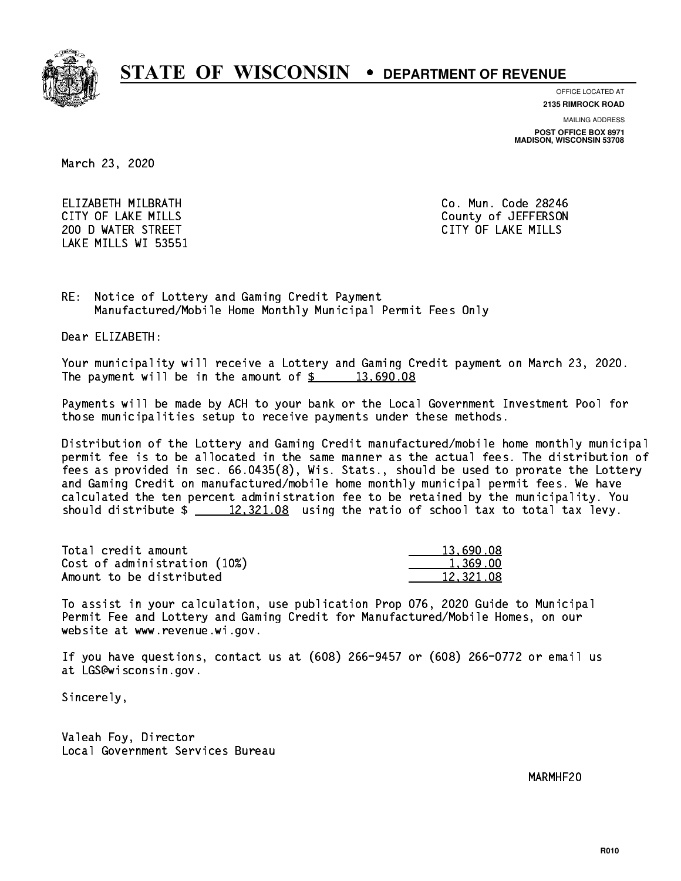

**OFFICE LOCATED AT**

**2135 RIMROCK ROAD**

**MAILING ADDRESS**

**POST OFFICE BOX 8971 MADISON, WISCONSIN 53708**

March 23, 2020

 ELIZABETH MILBRATH Co. Mun. Code 28246 200 D WATER STREET CITY OF LAKE MILLS LAKE MILLS WI 53551

CITY OF LAKE MILLS COUNTY OF LAKE MILLS

RE: Notice of Lottery and Gaming Credit Payment Manufactured/Mobile Home Monthly Municipal Permit Fees Only

Dear ELIZABETH:

 Your municipality will receive a Lottery and Gaming Credit payment on March 23, 2020. The payment will be in the amount of  $\frac{2}{3}$  13,690.08

 Payments will be made by ACH to your bank or the Local Government Investment Pool for those municipalities setup to receive payments under these methods.

 Distribution of the Lottery and Gaming Credit manufactured/mobile home monthly municipal permit fee is to be allocated in the same manner as the actual fees. The distribution of fees as provided in sec. 66.0435(8), Wis. Stats., should be used to prorate the Lottery and Gaming Credit on manufactured/mobile home monthly municipal permit fees. We have calculated the ten percent administration fee to be retained by the municipality. You should distribute  $\frac{2}{2}$   $\frac{12,321.08}{2}$  using the ratio of school tax to total tax levy.

| Total credit amount          | 13,690.08 |
|------------------------------|-----------|
| Cost of administration (10%) | 1.369.00  |
| Amount to be distributed     | 12,321.08 |

 To assist in your calculation, use publication Prop 076, 2020 Guide to Municipal Permit Fee and Lottery and Gaming Credit for Manufactured/Mobile Homes, on our website at www.revenue.wi.gov.

 If you have questions, contact us at (608) 266-9457 or (608) 266-0772 or email us at LGS@wisconsin.gov.

Sincerely,

 Valeah Foy, Director Local Government Services Bureau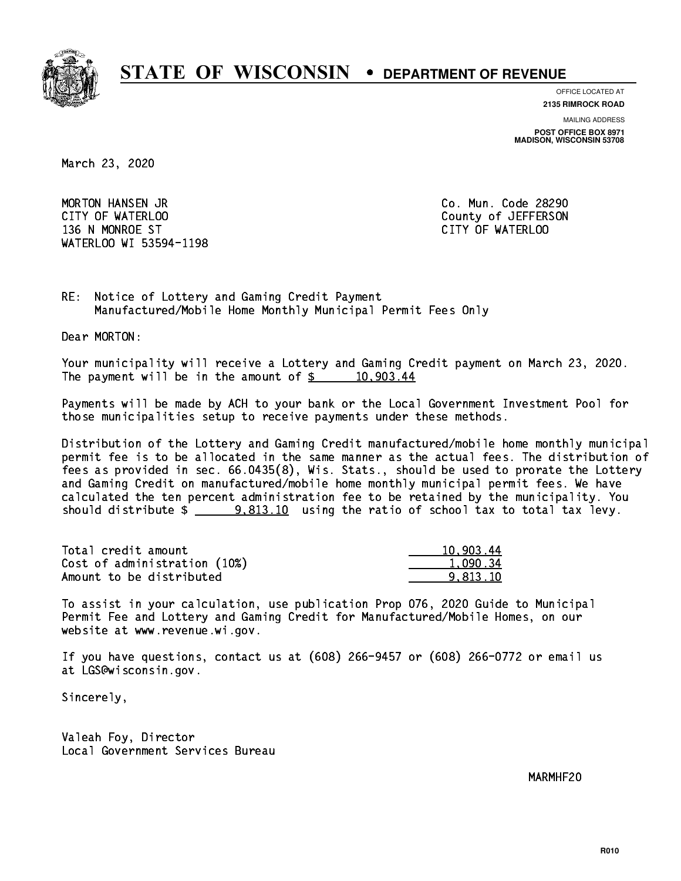

**OFFICE LOCATED AT**

**2135 RIMROCK ROAD**

**MAILING ADDRESS**

**POST OFFICE BOX 8971 MADISON, WISCONSIN 53708**

March 23, 2020

 MORTON HANSEN JR Co. Mun. Code 28290 CITY OF WATERLOO COUNTY OF WATERS ON COUNTY OF SALES AND THE COUNTY OF JEFFERSON 136 N MONROE ST CITY OF WATERLOO WATERLOO WI 53594-1198

RE: Notice of Lottery and Gaming Credit Payment Manufactured/Mobile Home Monthly Municipal Permit Fees Only

Dear MORTON:

 Your municipality will receive a Lottery and Gaming Credit payment on March 23, 2020. The payment will be in the amount of  $\frac{2}{3}$  10,903.44

 Payments will be made by ACH to your bank or the Local Government Investment Pool for those municipalities setup to receive payments under these methods.

 Distribution of the Lottery and Gaming Credit manufactured/mobile home monthly municipal permit fee is to be allocated in the same manner as the actual fees. The distribution of fees as provided in sec. 66.0435(8), Wis. Stats., should be used to prorate the Lottery and Gaming Credit on manufactured/mobile home monthly municipal permit fees. We have calculated the ten percent administration fee to be retained by the municipality. You should distribute  $\frac{2}{2}$  9,813.10 using the ratio of school tax to total tax levy.

| Total credit amount          | 10,903.44 |
|------------------------------|-----------|
| Cost of administration (10%) | 1.090.34  |
| Amount to be distributed     | 9.813.10  |

 To assist in your calculation, use publication Prop 076, 2020 Guide to Municipal Permit Fee and Lottery and Gaming Credit for Manufactured/Mobile Homes, on our website at www.revenue.wi.gov.

 If you have questions, contact us at (608) 266-9457 or (608) 266-0772 or email us at LGS@wisconsin.gov.

Sincerely,

 Valeah Foy, Director Local Government Services Bureau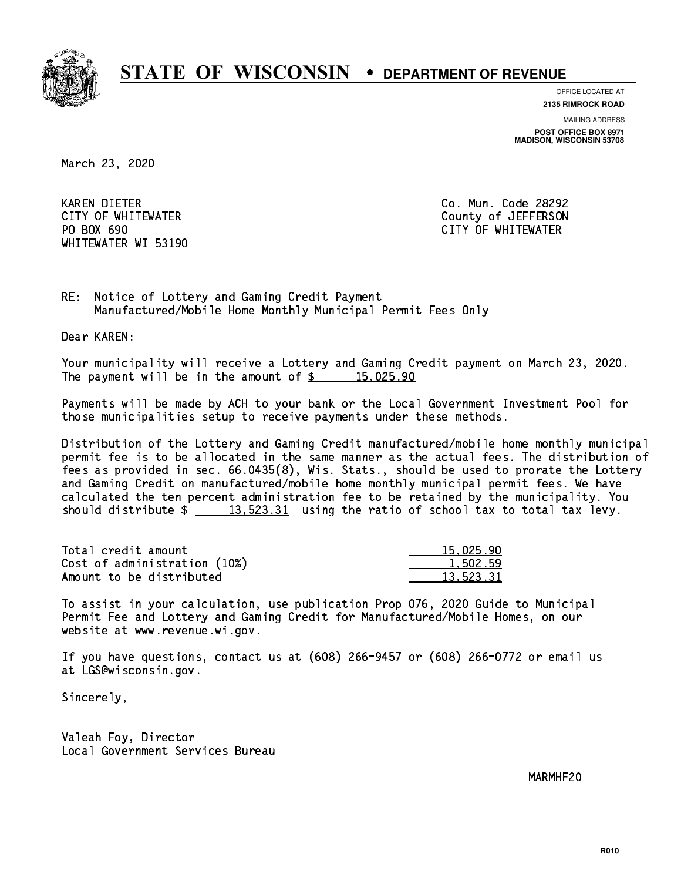

**OFFICE LOCATED AT**

**2135 RIMROCK ROAD**

**MAILING ADDRESS**

**POST OFFICE BOX 8971 MADISON, WISCONSIN 53708**

March 23, 2020

 KAREN DIETER Co. Mun. Code 28292 PO BOX 690 WHITEWATER WI 53190

 CITY OF WHITEWATER County of JEFFERSON CITY OF WHITEWATER

RE: Notice of Lottery and Gaming Credit Payment Manufactured/Mobile Home Monthly Municipal Permit Fees Only

Dear KAREN:

 Your municipality will receive a Lottery and Gaming Credit payment on March 23, 2020. The payment will be in the amount of  $\frac{2}{3}$  15,025.90

 Payments will be made by ACH to your bank or the Local Government Investment Pool for those municipalities setup to receive payments under these methods.

 Distribution of the Lottery and Gaming Credit manufactured/mobile home monthly municipal permit fee is to be allocated in the same manner as the actual fees. The distribution of fees as provided in sec. 66.0435(8), Wis. Stats., should be used to prorate the Lottery and Gaming Credit on manufactured/mobile home monthly municipal permit fees. We have calculated the ten percent administration fee to be retained by the municipality. You should distribute  $\frac{2}{13,523.31}$  using the ratio of school tax to total tax levy.

| Total credit amount          | 15.025.90 |
|------------------------------|-----------|
| Cost of administration (10%) | 1,502.59  |
| Amount to be distributed     | 13.523.31 |

 To assist in your calculation, use publication Prop 076, 2020 Guide to Municipal Permit Fee and Lottery and Gaming Credit for Manufactured/Mobile Homes, on our website at www.revenue.wi.gov.

 If you have questions, contact us at (608) 266-9457 or (608) 266-0772 or email us at LGS@wisconsin.gov.

Sincerely,

 Valeah Foy, Director Local Government Services Bureau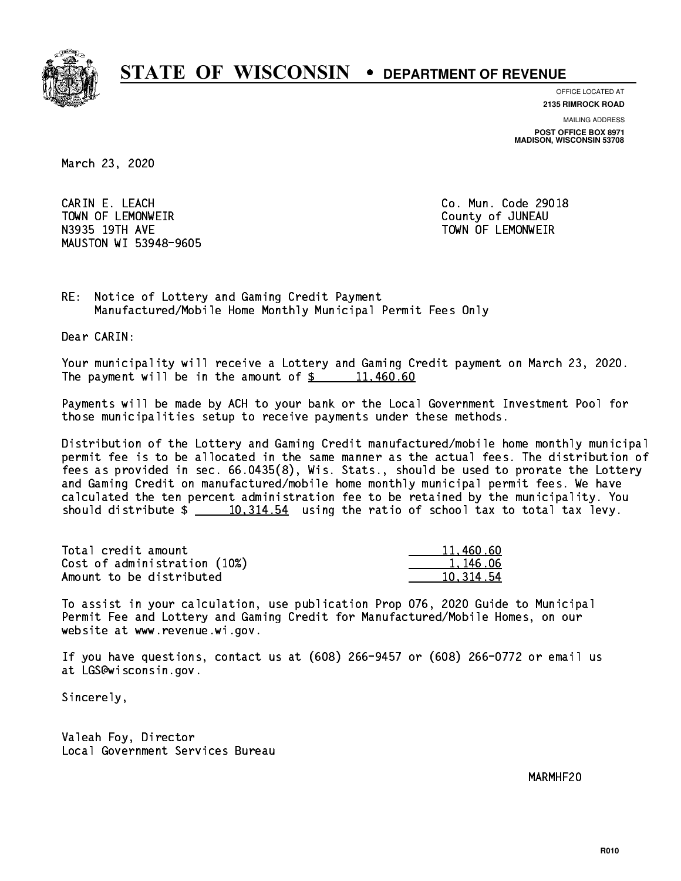

**OFFICE LOCATED AT**

**2135 RIMROCK ROAD**

**MAILING ADDRESS POST OFFICE BOX 8971 MADISON, WISCONSIN 53708**

March 23, 2020

 CARIN E. LEACH Co. Mun. Code 29018 TOWN OF LEMONWEIR County of JUNEAU N3935 19TH AVE TOWN OF LEMONWEIR MAUSTON WI 53948-9605

RE: Notice of Lottery and Gaming Credit Payment Manufactured/Mobile Home Monthly Municipal Permit Fees Only

Dear CARIN:

 Your municipality will receive a Lottery and Gaming Credit payment on March 23, 2020. The payment will be in the amount of  $\frac{2}{3}$  11,460.60

 Payments will be made by ACH to your bank or the Local Government Investment Pool for those municipalities setup to receive payments under these methods.

 Distribution of the Lottery and Gaming Credit manufactured/mobile home monthly municipal permit fee is to be allocated in the same manner as the actual fees. The distribution of fees as provided in sec. 66.0435(8), Wis. Stats., should be used to prorate the Lottery and Gaming Credit on manufactured/mobile home monthly municipal permit fees. We have calculated the ten percent administration fee to be retained by the municipality. You should distribute  $\frac{10,314.54}{2}$  using the ratio of school tax to total tax levy.

| Total credit amount          | 11,460.60 |
|------------------------------|-----------|
| Cost of administration (10%) | 1.146.06  |
| Amount to be distributed     | 10.314.54 |

 To assist in your calculation, use publication Prop 076, 2020 Guide to Municipal Permit Fee and Lottery and Gaming Credit for Manufactured/Mobile Homes, on our website at www.revenue.wi.gov.

 If you have questions, contact us at (608) 266-9457 or (608) 266-0772 or email us at LGS@wisconsin.gov.

Sincerely,

 Valeah Foy, Director Local Government Services Bureau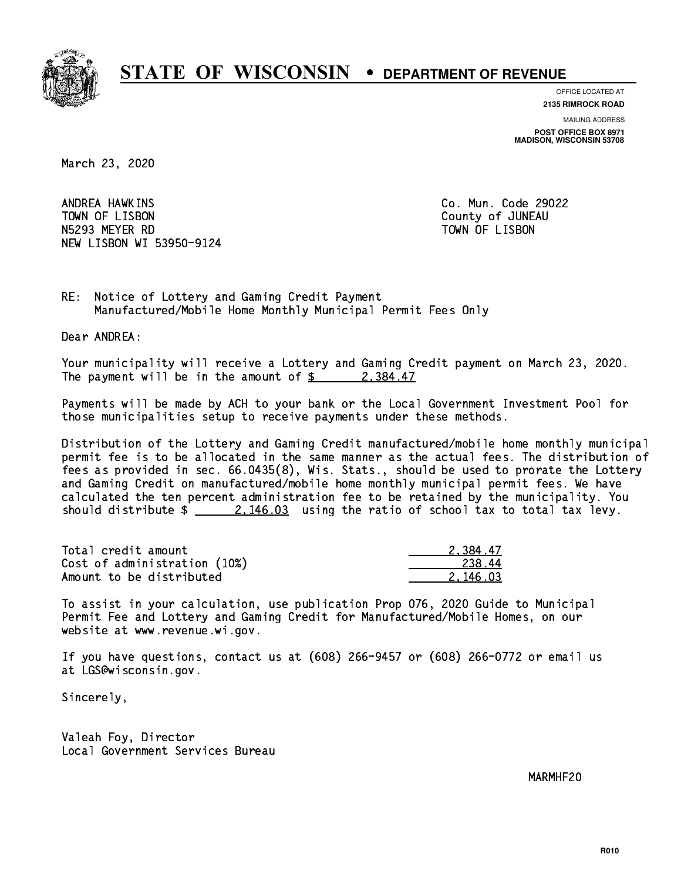

**OFFICE LOCATED AT 2135 RIMROCK ROAD**

**MAILING ADDRESS**

**POST OFFICE BOX 8971 MADISON, WISCONSIN 53708**

March 23, 2020

ANDREA HAWKINS TOWN OF LISBON COUNTY OF A LISBON N5293 MEYER RD TOWN OF LISBON NEW LISBON WI 53950-9124

Co. Mun. Code 29022

RE: Notice of Lottery and Gaming Credit Payment Manufactured/Mobile Home Monthly Municipal Permit Fees Only

Dear ANDREA:

 Your municipality will receive a Lottery and Gaming Credit payment on March 23, 2020. The payment will be in the amount of  $\frac{2}{3}$  2,384.47

 Payments will be made by ACH to your bank or the Local Government Investment Pool for those municipalities setup to receive payments under these methods.

 Distribution of the Lottery and Gaming Credit manufactured/mobile home monthly municipal permit fee is to be allocated in the same manner as the actual fees. The distribution of fees as provided in sec. 66.0435(8), Wis. Stats., should be used to prorate the Lottery and Gaming Credit on manufactured/mobile home monthly municipal permit fees. We have calculated the ten percent administration fee to be retained by the municipality. You should distribute  $\frac{2.146.03}{2.146.03}$  using the ratio of school tax to total tax levy.

| Total credit amount          | 2.384.47 |
|------------------------------|----------|
| Cost of administration (10%) | 238.44   |
| Amount to be distributed     | 2.146.03 |

 To assist in your calculation, use publication Prop 076, 2020 Guide to Municipal Permit Fee and Lottery and Gaming Credit for Manufactured/Mobile Homes, on our website at www.revenue.wi.gov.

 If you have questions, contact us at (608) 266-9457 or (608) 266-0772 or email us at LGS@wisconsin.gov.

Sincerely,

 Valeah Foy, Director Local Government Services Bureau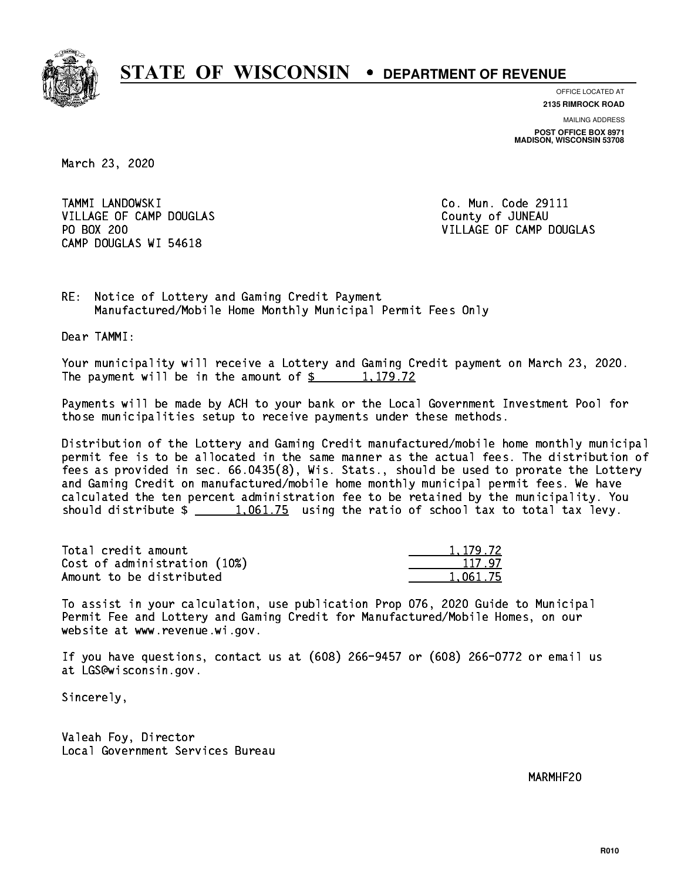

**OFFICE LOCATED AT 2135 RIMROCK ROAD**

**MAILING ADDRESS POST OFFICE BOX 8971 MADISON, WISCONSIN 53708**

March 23, 2020

 TAMMI LANDOWSKI Co. Mun. Code 29111 VILLAGE OF CAMP DOUGLAS County of JUNEAU PO BOX 200 CAMP DOUGLAS WI 54618

VILLAGE OF CAMP DOUGLAS

RE: Notice of Lottery and Gaming Credit Payment Manufactured/Mobile Home Monthly Municipal Permit Fees Only

Dear TAMMI:

 Your municipality will receive a Lottery and Gaming Credit payment on March 23, 2020. The payment will be in the amount of  $\frac{2}{3}$  1,179.72

 Payments will be made by ACH to your bank or the Local Government Investment Pool for those municipalities setup to receive payments under these methods.

 Distribution of the Lottery and Gaming Credit manufactured/mobile home monthly municipal permit fee is to be allocated in the same manner as the actual fees. The distribution of fees as provided in sec. 66.0435(8), Wis. Stats., should be used to prorate the Lottery and Gaming Credit on manufactured/mobile home monthly municipal permit fees. We have calculated the ten percent administration fee to be retained by the municipality. You should distribute  $\frac{1,061.75}{1,061.75}$  using the ratio of school tax to total tax levy.

| Total credit amount          | 1, 179, 72 |
|------------------------------|------------|
| Cost of administration (10%) | 117.97     |
| Amount to be distributed     | 1.061.75   |

 To assist in your calculation, use publication Prop 076, 2020 Guide to Municipal Permit Fee and Lottery and Gaming Credit for Manufactured/Mobile Homes, on our website at www.revenue.wi.gov.

 If you have questions, contact us at (608) 266-9457 or (608) 266-0772 or email us at LGS@wisconsin.gov.

Sincerely,

 Valeah Foy, Director Local Government Services Bureau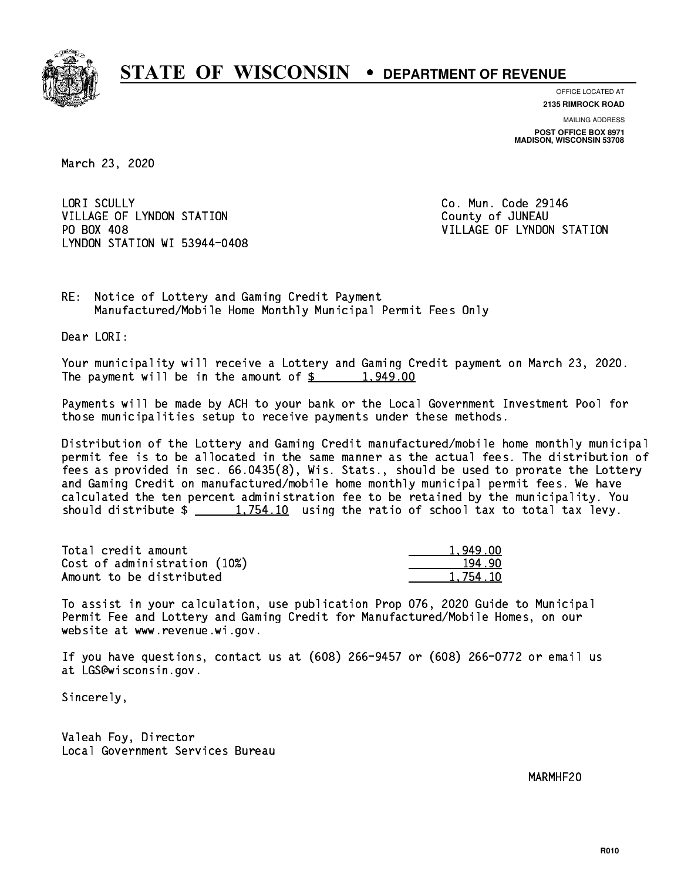

**OFFICE LOCATED AT 2135 RIMROCK ROAD**

**MAILING ADDRESS POST OFFICE BOX 8971 MADISON, WISCONSIN 53708**

March 23, 2020

LORI SCULLY VILLAGE OF LYNDON STATION COUNTY OF JUNEAU PO BOX 408 LYNDON STATION WI 53944-0408

Co. Mun. Code 29146 VILLAGE OF LYNDON STATION

RE: Notice of Lottery and Gaming Credit Payment Manufactured/Mobile Home Monthly Municipal Permit Fees Only

Dear LORI:

 Your municipality will receive a Lottery and Gaming Credit payment on March 23, 2020. The payment will be in the amount of  $\frac{2}{3}$  1,949.00

 Payments will be made by ACH to your bank or the Local Government Investment Pool for those municipalities setup to receive payments under these methods.

 Distribution of the Lottery and Gaming Credit manufactured/mobile home monthly municipal permit fee is to be allocated in the same manner as the actual fees. The distribution of fees as provided in sec. 66.0435(8), Wis. Stats., should be used to prorate the Lottery and Gaming Credit on manufactured/mobile home monthly municipal permit fees. We have calculated the ten percent administration fee to be retained by the municipality. You should distribute  $\frac{1,754.10}{1,754.10}$  using the ratio of school tax to total tax levy.

| Total credit amount          | 1,949.00 |
|------------------------------|----------|
| Cost of administration (10%) | 194.90   |
| Amount to be distributed     | 1.754.10 |

 To assist in your calculation, use publication Prop 076, 2020 Guide to Municipal Permit Fee and Lottery and Gaming Credit for Manufactured/Mobile Homes, on our website at www.revenue.wi.gov.

 If you have questions, contact us at (608) 266-9457 or (608) 266-0772 or email us at LGS@wisconsin.gov.

Sincerely,

 Valeah Foy, Director Local Government Services Bureau

 $\mathcal{M}$  matrix  $\mathcal{M}$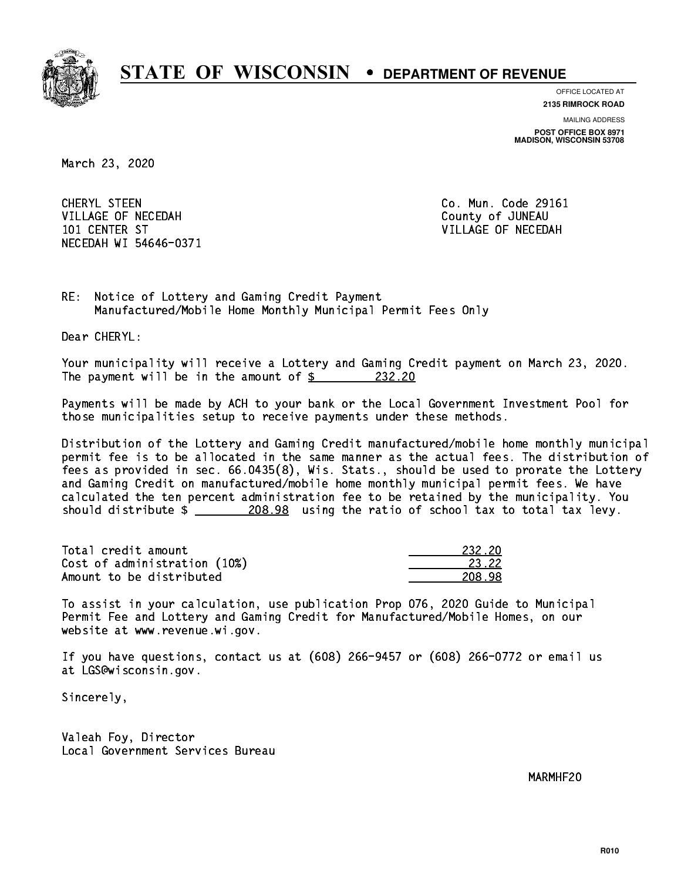

**OFFICE LOCATED AT**

**2135 RIMROCK ROAD**

**MAILING ADDRESS POST OFFICE BOX 8971 MADISON, WISCONSIN 53708**

March 23, 2020

 CHERYL STEEN Co. Mun. Code 29161 VILLAGE OF NECEDAH COUNTY OF JUNEAU 101 CENTER ST VILLAGE OF NECEDAH NECEDAH WI 54646-0371

RE: Notice of Lottery and Gaming Credit Payment Manufactured/Mobile Home Monthly Municipal Permit Fees Only

Dear CHERYL:

 Your municipality will receive a Lottery and Gaming Credit payment on March 23, 2020. The payment will be in the amount of  $\frac{232.20}{2}$ 

 Payments will be made by ACH to your bank or the Local Government Investment Pool for those municipalities setup to receive payments under these methods.

 Distribution of the Lottery and Gaming Credit manufactured/mobile home monthly municipal permit fee is to be allocated in the same manner as the actual fees. The distribution of fees as provided in sec. 66.0435(8), Wis. Stats., should be used to prorate the Lottery and Gaming Credit on manufactured/mobile home monthly municipal permit fees. We have calculated the ten percent administration fee to be retained by the municipality. You should distribute  $\frac{208.98}{208.98}$  using the ratio of school tax to total tax levy.

Total credit amount Cost of administration (10%) Amount to be distributed

| 232 2N |
|--------|
| 3.22   |
| .,     |

 To assist in your calculation, use publication Prop 076, 2020 Guide to Municipal Permit Fee and Lottery and Gaming Credit for Manufactured/Mobile Homes, on our website at www.revenue.wi.gov.

 If you have questions, contact us at (608) 266-9457 or (608) 266-0772 or email us at LGS@wisconsin.gov.

Sincerely,

 Valeah Foy, Director Local Government Services Bureau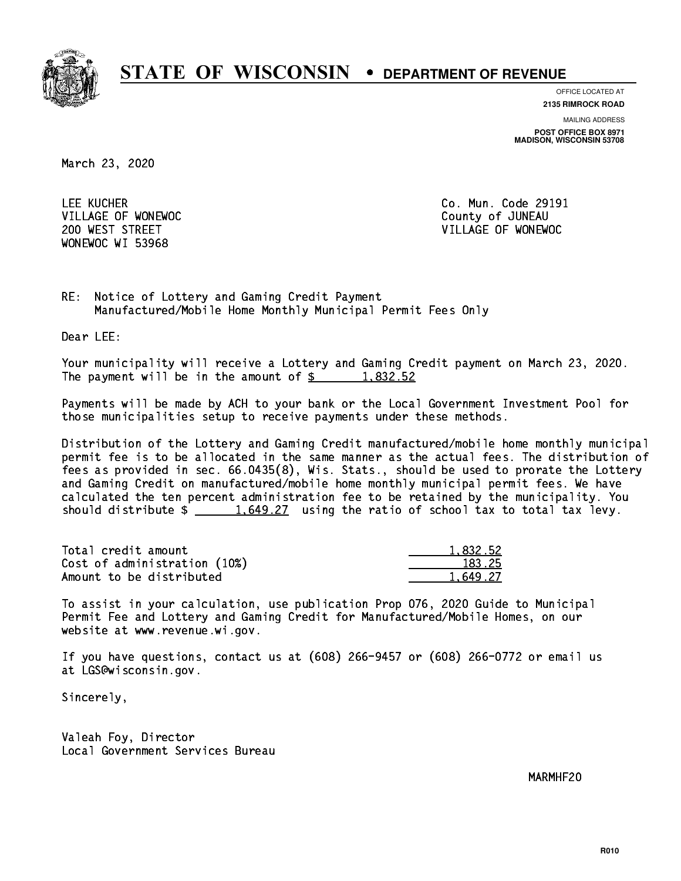

**OFFICE LOCATED AT**

**2135 RIMROCK ROAD**

**MAILING ADDRESS POST OFFICE BOX 8971 MADISON, WISCONSIN 53708**

March 23, 2020

 LEE KUCHER Co. Mun. Code 29191 VILLAGE OF WONEWOC **COUNTY OF SECOND VILLAGE OF WONEWOC** WONEWOC WI 53968

200 WEST STREET VILLAGE OF WONEWOC

RE: Notice of Lottery and Gaming Credit Payment Manufactured/Mobile Home Monthly Municipal Permit Fees Only

Dear LEE:

 Your municipality will receive a Lottery and Gaming Credit payment on March 23, 2020. The payment will be in the amount of  $\frac{2}{3}$  1,832.52

 Payments will be made by ACH to your bank or the Local Government Investment Pool for those municipalities setup to receive payments under these methods.

 Distribution of the Lottery and Gaming Credit manufactured/mobile home monthly municipal permit fee is to be allocated in the same manner as the actual fees. The distribution of fees as provided in sec. 66.0435(8), Wis. Stats., should be used to prorate the Lottery and Gaming Credit on manufactured/mobile home monthly municipal permit fees. We have calculated the ten percent administration fee to be retained by the municipality. You should distribute  $\frac{1.649.27}{1.649.27}$  using the ratio of school tax to total tax levy.

| Total credit amount          | 1,832.52 |
|------------------------------|----------|
| Cost of administration (10%) | 183.25   |
| Amount to be distributed     | 1.649.27 |

 To assist in your calculation, use publication Prop 076, 2020 Guide to Municipal Permit Fee and Lottery and Gaming Credit for Manufactured/Mobile Homes, on our website at www.revenue.wi.gov.

 If you have questions, contact us at (608) 266-9457 or (608) 266-0772 or email us at LGS@wisconsin.gov.

Sincerely,

 Valeah Foy, Director Local Government Services Bureau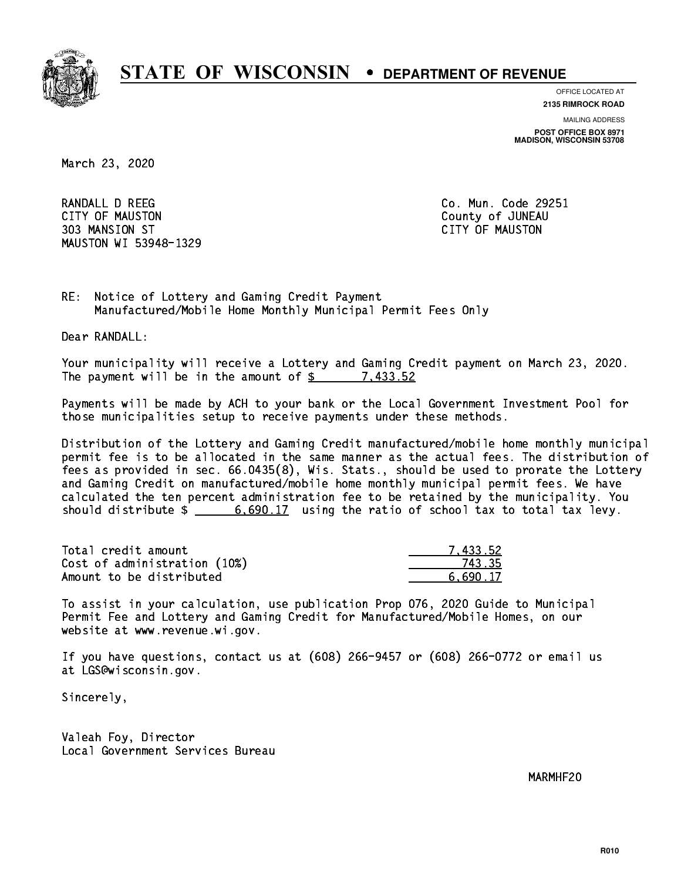

**OFFICE LOCATED AT**

**2135 RIMROCK ROAD**

**MAILING ADDRESS**

**POST OFFICE BOX 8971 MADISON, WISCONSIN 53708**

March 23, 2020

RANDALL D REEG **Co. Mun. Code 29251**  CITY OF MAUSTON County of JUNEAU 303 MANSION ST CITY OF MAUSTON MAUSTON WI 53948-1329

RE: Notice of Lottery and Gaming Credit Payment Manufactured/Mobile Home Monthly Municipal Permit Fees Only

Dear RANDALL:

 Your municipality will receive a Lottery and Gaming Credit payment on March 23, 2020. The payment will be in the amount of \$ 7,433.52 \_\_\_\_\_\_\_\_\_\_\_\_\_\_\_\_

 Payments will be made by ACH to your bank or the Local Government Investment Pool for those municipalities setup to receive payments under these methods.

 Distribution of the Lottery and Gaming Credit manufactured/mobile home monthly municipal permit fee is to be allocated in the same manner as the actual fees. The distribution of fees as provided in sec. 66.0435(8), Wis. Stats., should be used to prorate the Lottery and Gaming Credit on manufactured/mobile home monthly municipal permit fees. We have calculated the ten percent administration fee to be retained by the municipality. You should distribute  $\frac{2}{3}$  6,690.17 using the ratio of school tax to total tax levy.

| Total credit amount          | 7.433.52 |
|------------------------------|----------|
| Cost of administration (10%) | 743.35   |
| Amount to be distributed     | 6.690.17 |

 To assist in your calculation, use publication Prop 076, 2020 Guide to Municipal Permit Fee and Lottery and Gaming Credit for Manufactured/Mobile Homes, on our website at www.revenue.wi.gov.

 If you have questions, contact us at (608) 266-9457 or (608) 266-0772 or email us at LGS@wisconsin.gov.

Sincerely,

 Valeah Foy, Director Local Government Services Bureau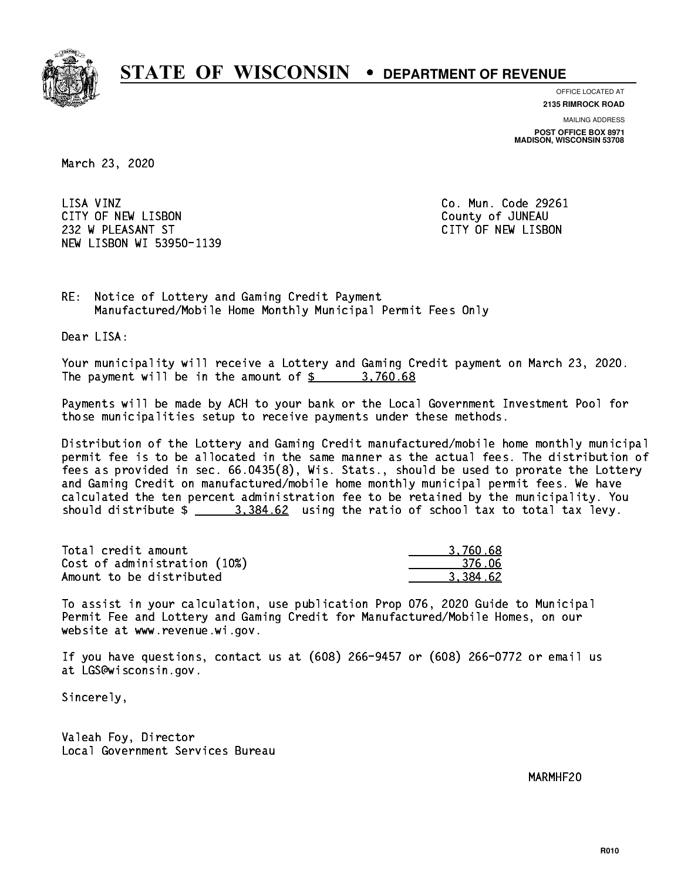

**OFFICE LOCATED AT 2135 RIMROCK ROAD**

**MAILING ADDRESS**

**POST OFFICE BOX 8971 MADISON, WISCONSIN 53708**

March 23, 2020

LISA VINZ CITY OF NEW LISBON County of JUNEAU 232 W PLEASANT ST CITY OF NEW LISBON NEW LISBON WI 53950-1139

Co. Mun. Code 29261

RE: Notice of Lottery and Gaming Credit Payment Manufactured/Mobile Home Monthly Municipal Permit Fees Only

Dear LISA:

 Your municipality will receive a Lottery and Gaming Credit payment on March 23, 2020. The payment will be in the amount of  $\frac{2}{3}$  3,760.68

 Payments will be made by ACH to your bank or the Local Government Investment Pool for those municipalities setup to receive payments under these methods.

 Distribution of the Lottery and Gaming Credit manufactured/mobile home monthly municipal permit fee is to be allocated in the same manner as the actual fees. The distribution of fees as provided in sec. 66.0435(8), Wis. Stats., should be used to prorate the Lottery and Gaming Credit on manufactured/mobile home monthly municipal permit fees. We have calculated the ten percent administration fee to be retained by the municipality. You should distribute  $\frac{2}{1}$   $\frac{3,384.62}{2}$  using the ratio of school tax to total tax levy.

| Total credit amount          | 3.760.68 |
|------------------------------|----------|
| Cost of administration (10%) | -376.06  |
| Amount to be distributed     | 3.384.62 |

 To assist in your calculation, use publication Prop 076, 2020 Guide to Municipal Permit Fee and Lottery and Gaming Credit for Manufactured/Mobile Homes, on our website at www.revenue.wi.gov.

 If you have questions, contact us at (608) 266-9457 or (608) 266-0772 or email us at LGS@wisconsin.gov.

Sincerely,

 Valeah Foy, Director Local Government Services Bureau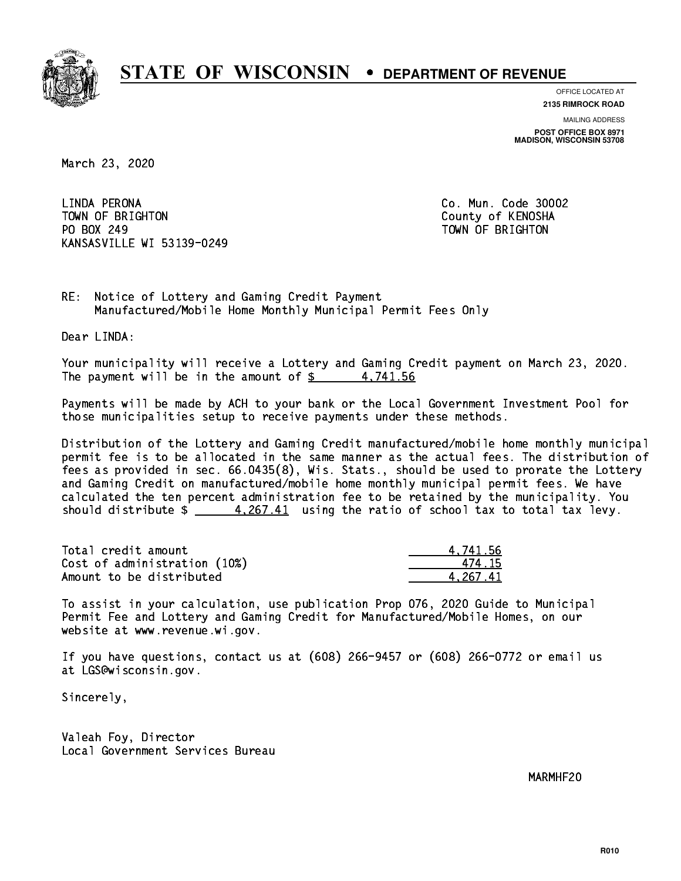

**OFFICE LOCATED AT**

**2135 RIMROCK ROAD**

**MAILING ADDRESS POST OFFICE BOX 8971 MADISON, WISCONSIN 53708**

March 23, 2020

 LINDA PERONA Co. Mun. Code 30002 TOWN OF BRIGHTON County of KENOSHA PO BOX 249 PO BOX 249 TOWN OF BRIGHTON KANSASVILLE WI 53139-0249

RE: Notice of Lottery and Gaming Credit Payment Manufactured/Mobile Home Monthly Municipal Permit Fees Only

Dear LINDA:

 Your municipality will receive a Lottery and Gaming Credit payment on March 23, 2020. The payment will be in the amount of  $\frac{2}{3}$  4,741.56

 Payments will be made by ACH to your bank or the Local Government Investment Pool for those municipalities setup to receive payments under these methods.

 Distribution of the Lottery and Gaming Credit manufactured/mobile home monthly municipal permit fee is to be allocated in the same manner as the actual fees. The distribution of fees as provided in sec. 66.0435(8), Wis. Stats., should be used to prorate the Lottery and Gaming Credit on manufactured/mobile home monthly municipal permit fees. We have calculated the ten percent administration fee to be retained by the municipality. You should distribute  $\frac{4.267.41}{2}$  using the ratio of school tax to total tax levy.

| Total credit amount          | 4.741.56 |
|------------------------------|----------|
| Cost of administration (10%) | 474.15   |
| Amount to be distributed     | 4.267.41 |

 To assist in your calculation, use publication Prop 076, 2020 Guide to Municipal Permit Fee and Lottery and Gaming Credit for Manufactured/Mobile Homes, on our website at www.revenue.wi.gov.

 If you have questions, contact us at (608) 266-9457 or (608) 266-0772 or email us at LGS@wisconsin.gov.

Sincerely,

 Valeah Foy, Director Local Government Services Bureau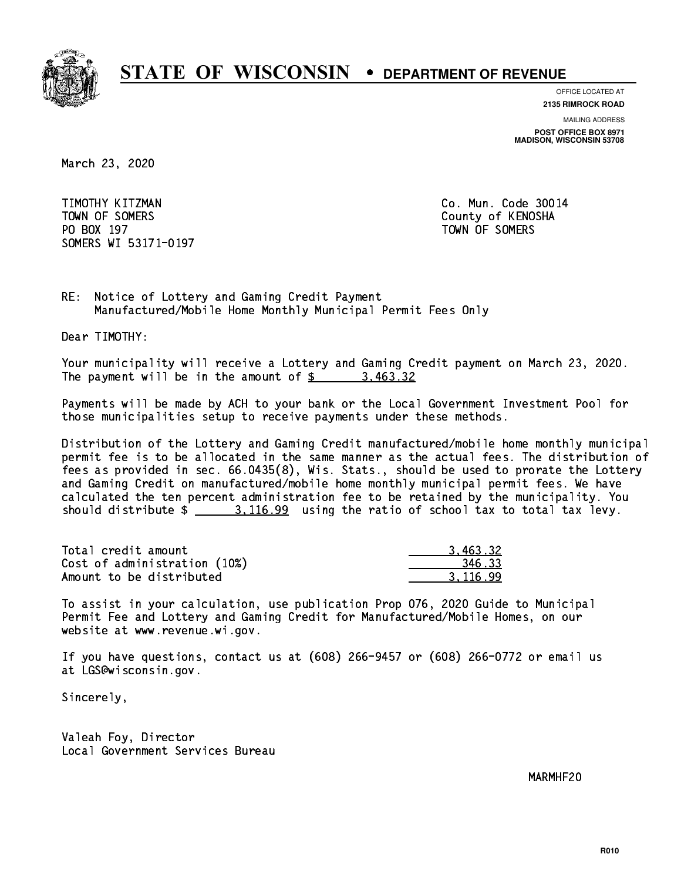

**OFFICE LOCATED AT**

**2135 RIMROCK ROAD**

**MAILING ADDRESS POST OFFICE BOX 8971 MADISON, WISCONSIN 53708**

March 23, 2020

 TIMOTHY KITZMAN Co. Mun. Code 30014 TOWN OF SOMERS County of KENOSHA PO BOX 197 TOWN OF SOMERS SOMERS WI 53171-0197

RE: Notice of Lottery and Gaming Credit Payment Manufactured/Mobile Home Monthly Municipal Permit Fees Only

Dear TIMOTHY:

 Your municipality will receive a Lottery and Gaming Credit payment on March 23, 2020. The payment will be in the amount of \$ 3,463.32 \_\_\_\_\_\_\_\_\_\_\_\_\_\_\_\_

 Payments will be made by ACH to your bank or the Local Government Investment Pool for those municipalities setup to receive payments under these methods.

 Distribution of the Lottery and Gaming Credit manufactured/mobile home monthly municipal permit fee is to be allocated in the same manner as the actual fees. The distribution of fees as provided in sec. 66.0435(8), Wis. Stats., should be used to prorate the Lottery and Gaming Credit on manufactured/mobile home monthly municipal permit fees. We have calculated the ten percent administration fee to be retained by the municipality. You should distribute  $\frac{2}{10.99}$  using the ratio of school tax to total tax levy.

| Total credit amount          | 3.463.32 |
|------------------------------|----------|
| Cost of administration (10%) | 346.33   |
| Amount to be distributed     | 3.116.99 |

 To assist in your calculation, use publication Prop 076, 2020 Guide to Municipal Permit Fee and Lottery and Gaming Credit for Manufactured/Mobile Homes, on our website at www.revenue.wi.gov.

 If you have questions, contact us at (608) 266-9457 or (608) 266-0772 or email us at LGS@wisconsin.gov.

Sincerely,

 Valeah Foy, Director Local Government Services Bureau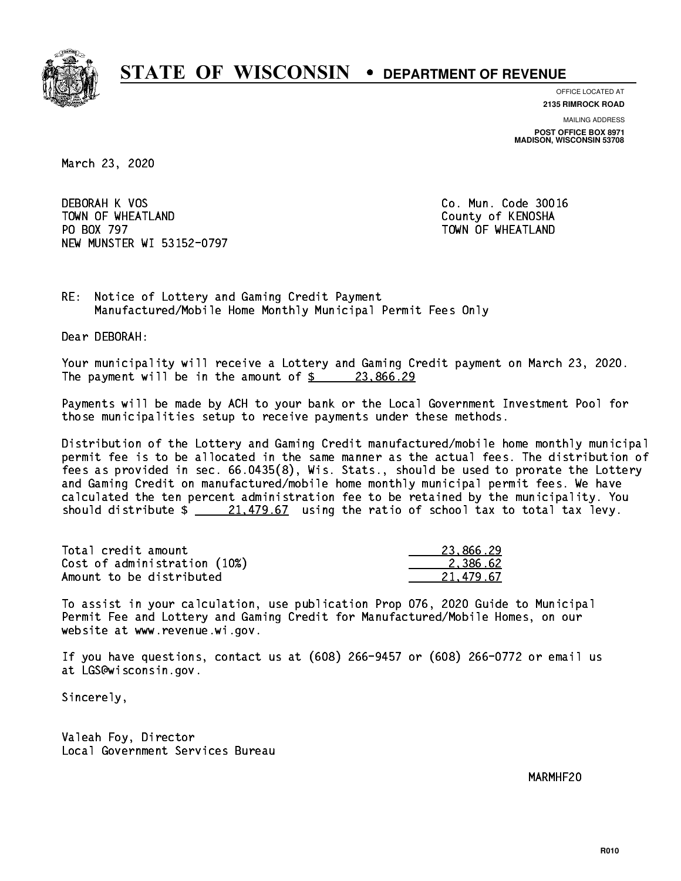

**OFFICE LOCATED AT**

**2135 RIMROCK ROAD**

**MAILING ADDRESS POST OFFICE BOX 8971 MADISON, WISCONSIN 53708**

March 23, 2020

 DEBORAH K VOS Co. Mun. Code 30016 TOWN OF WHEATLAND County of KENOSHA PO BOX 797 NEW MUNSTER WI 53152-0797

TOWN OF WHEATLAND

RE: Notice of Lottery and Gaming Credit Payment Manufactured/Mobile Home Monthly Municipal Permit Fees Only

Dear DEBORAH:

 Your municipality will receive a Lottery and Gaming Credit payment on March 23, 2020. The payment will be in the amount of  $\frac{23,866.29}{22}$ 

 Payments will be made by ACH to your bank or the Local Government Investment Pool for those municipalities setup to receive payments under these methods.

 Distribution of the Lottery and Gaming Credit manufactured/mobile home monthly municipal permit fee is to be allocated in the same manner as the actual fees. The distribution of fees as provided in sec. 66.0435(8), Wis. Stats., should be used to prorate the Lottery and Gaming Credit on manufactured/mobile home monthly municipal permit fees. We have calculated the ten percent administration fee to be retained by the municipality. You should distribute  $\frac{21,479.67}{21,479.67}$  using the ratio of school tax to total tax levy.

| Total credit amount          | 23,866.29 |
|------------------------------|-----------|
| Cost of administration (10%) | 2.386.62  |
| Amount to be distributed     | 21.479.67 |

 To assist in your calculation, use publication Prop 076, 2020 Guide to Municipal Permit Fee and Lottery and Gaming Credit for Manufactured/Mobile Homes, on our website at www.revenue.wi.gov.

 If you have questions, contact us at (608) 266-9457 or (608) 266-0772 or email us at LGS@wisconsin.gov.

Sincerely,

 Valeah Foy, Director Local Government Services Bureau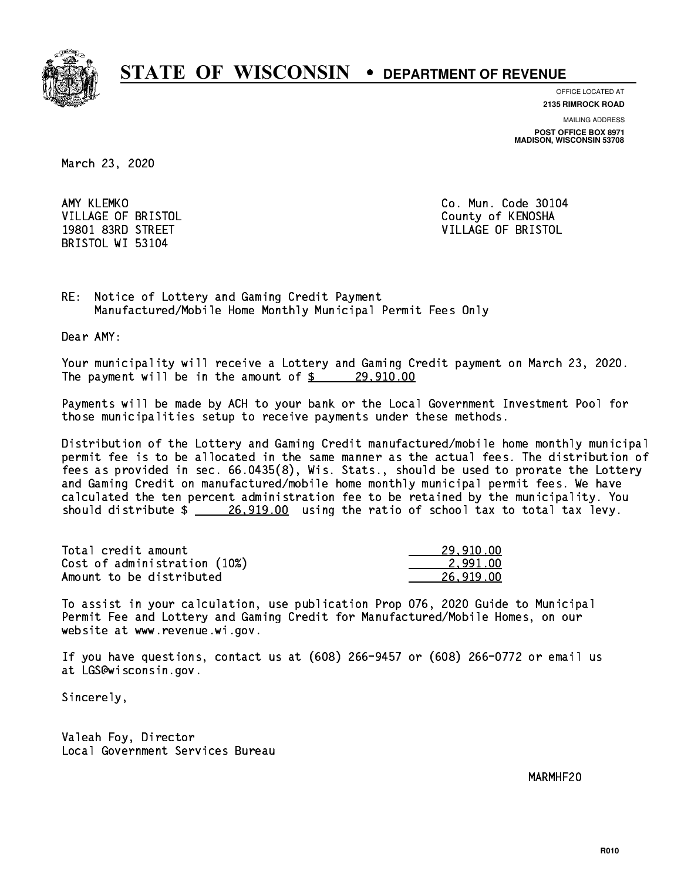

**OFFICE LOCATED AT**

**2135 RIMROCK ROAD**

**MAILING ADDRESS POST OFFICE BOX 8971 MADISON, WISCONSIN 53708**

March 23, 2020

AMY KLEMKO BRISTOL WI 53104

Co. Mun. Code 30104 VILLAGE OF BRISTOL **COUNTY OF SALES AND ACCOUNT OF SALES AND STATES** 19801 83RD STREET VILLAGE OF BRISTOL

RE: Notice of Lottery and Gaming Credit Payment Manufactured/Mobile Home Monthly Municipal Permit Fees Only

Dear AMY:

 Your municipality will receive a Lottery and Gaming Credit payment on March 23, 2020. The payment will be in the amount of  $\frac{29,910.00}{29,910.00}$ 

 Payments will be made by ACH to your bank or the Local Government Investment Pool for those municipalities setup to receive payments under these methods.

 Distribution of the Lottery and Gaming Credit manufactured/mobile home monthly municipal permit fee is to be allocated in the same manner as the actual fees. The distribution of fees as provided in sec. 66.0435(8), Wis. Stats., should be used to prorate the Lottery and Gaming Credit on manufactured/mobile home monthly municipal permit fees. We have calculated the ten percent administration fee to be retained by the municipality. You should distribute  $\frac{26,919.00}{26,919.00}$  using the ratio of school tax to total tax levy.

| Total credit amount          | 29.910.00 |
|------------------------------|-----------|
| Cost of administration (10%) | 2.991.00  |
| Amount to be distributed     | 26.919.00 |

 To assist in your calculation, use publication Prop 076, 2020 Guide to Municipal Permit Fee and Lottery and Gaming Credit for Manufactured/Mobile Homes, on our website at www.revenue.wi.gov.

 If you have questions, contact us at (608) 266-9457 or (608) 266-0772 or email us at LGS@wisconsin.gov.

Sincerely,

 Valeah Foy, Director Local Government Services Bureau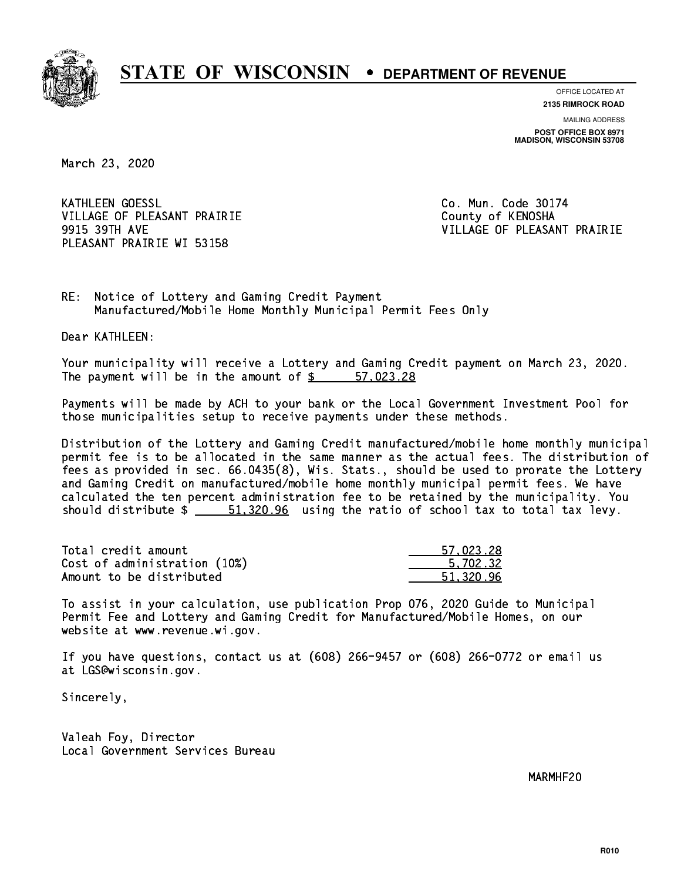

**OFFICE LOCATED AT 2135 RIMROCK ROAD**

**MAILING ADDRESS**

**POST OFFICE BOX 8971 MADISON, WISCONSIN 53708**

March 23, 2020

**KATHLEEN GOESSL** VILLAGE OF PLEASANT PRAIRIE **COUNTY OF COUNTY OF COUNTY** PLEASANT PRAIRIE WI 53158

Co. Mun. Code 30174 9915 39TH AVE VILLAGE OF PLEASANT PRAIRIE

RE: Notice of Lottery and Gaming Credit Payment Manufactured/Mobile Home Monthly Municipal Permit Fees Only

Dear KATHLEEN:

 Your municipality will receive a Lottery and Gaming Credit payment on March 23, 2020. The payment will be in the amount of \$ 57,023.28 \_\_\_\_\_\_\_\_\_\_\_\_\_\_\_\_

 Payments will be made by ACH to your bank or the Local Government Investment Pool for those municipalities setup to receive payments under these methods.

 Distribution of the Lottery and Gaming Credit manufactured/mobile home monthly municipal permit fee is to be allocated in the same manner as the actual fees. The distribution of fees as provided in sec. 66.0435(8), Wis. Stats., should be used to prorate the Lottery and Gaming Credit on manufactured/mobile home monthly municipal permit fees. We have calculated the ten percent administration fee to be retained by the municipality. You should distribute  $\frac{2}{1.520.96}$  using the ratio of school tax to total tax levy.

| Total credit amount          | 57.023.28 |
|------------------------------|-----------|
| Cost of administration (10%) | 5.702.32  |
| Amount to be distributed     | 51.320.96 |

 To assist in your calculation, use publication Prop 076, 2020 Guide to Municipal Permit Fee and Lottery and Gaming Credit for Manufactured/Mobile Homes, on our website at www.revenue.wi.gov.

 If you have questions, contact us at (608) 266-9457 or (608) 266-0772 or email us at LGS@wisconsin.gov.

Sincerely,

 Valeah Foy, Director Local Government Services Bureau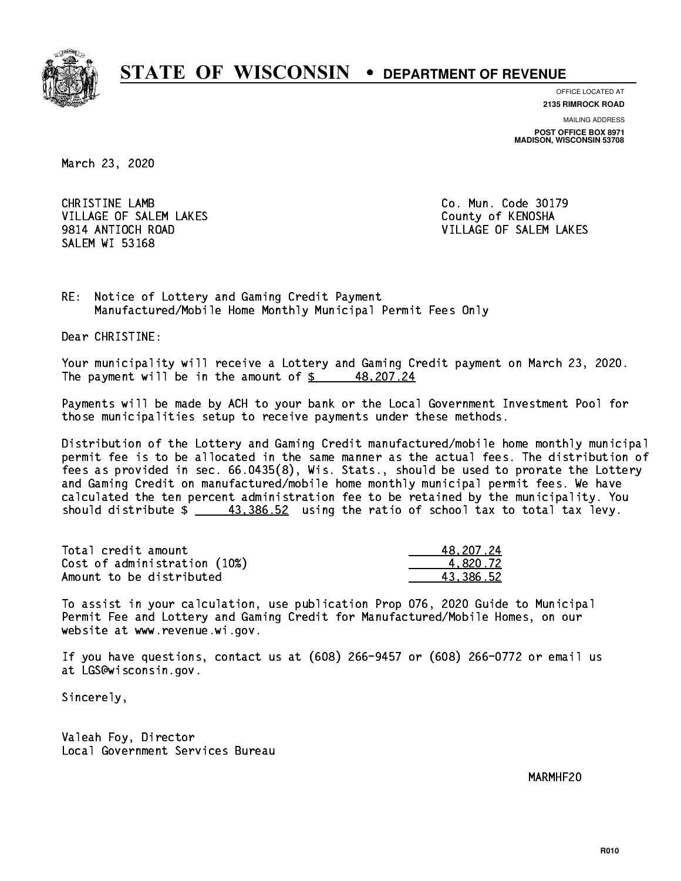

**OFFICE LOCATED AT**

**2135 RIMROCK ROAD**

**MAILING ADDRESS POST OFFICE BOX 8971 MADISON, WISCONSIN 53708**

March 23, 2020

 CHRISTINE LAMB Co. Mun. Code 30179 VILLAGE OF SALEM LAKES County of KENOSHA SALEM WI 53168

9814 ANTIOCH ROAD VILLAGE OF SALEM LAKES

RE: Notice of Lottery and Gaming Credit Payment Manufactured/Mobile Home Monthly Municipal Permit Fees Only

Dear CHRISTINE:

 Your municipality will receive a Lottery and Gaming Credit payment on March 23, 2020. The payment will be in the amount of  $\frac{2}{3}$  48,207.24

 Payments will be made by ACH to your bank or the Local Government Investment Pool for those municipalities setup to receive payments under these methods.

 Distribution of the Lottery and Gaming Credit manufactured/mobile home monthly municipal permit fee is to be allocated in the same manner as the actual fees. The distribution of fees as provided in sec. 66.0435(8), Wis. Stats., should be used to prorate the Lottery and Gaming Credit on manufactured/mobile home monthly municipal permit fees. We have calculated the ten percent administration fee to be retained by the municipality. You should distribute  $\frac{43,386.52}{2}$  using the ratio of school tax to total tax levy.

| Total credit amount          | 48,207.24 |
|------------------------------|-----------|
| Cost of administration (10%) | 4.820.72  |
| Amount to be distributed     | 43.386.52 |

 To assist in your calculation, use publication Prop 076, 2020 Guide to Municipal Permit Fee and Lottery and Gaming Credit for Manufactured/Mobile Homes, on our website at www.revenue.wi.gov.

 If you have questions, contact us at (608) 266-9457 or (608) 266-0772 or email us at LGS@wisconsin.gov.

Sincerely,

 Valeah Foy, Director Local Government Services Bureau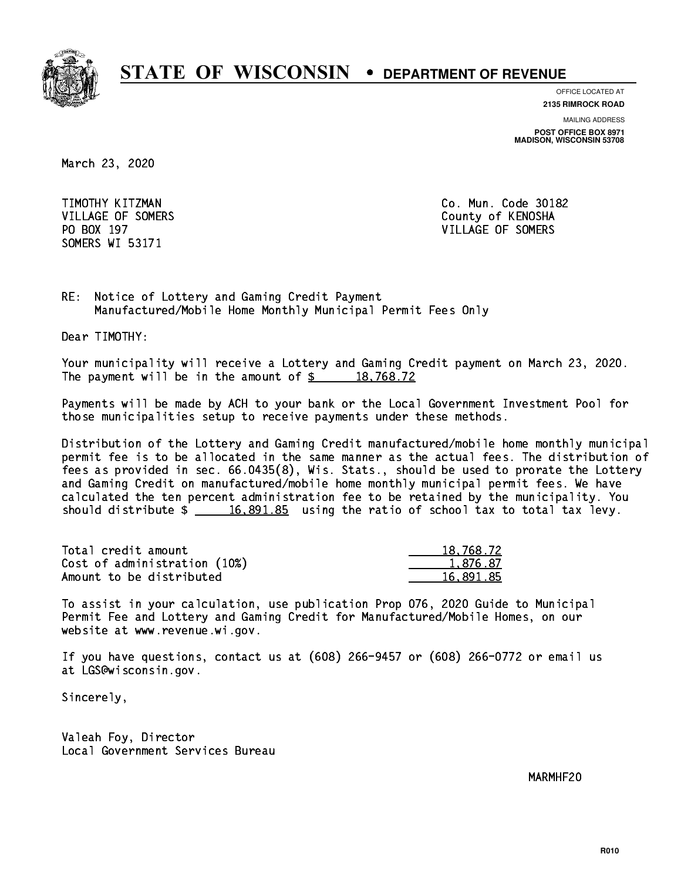

**OFFICE LOCATED AT**

**2135 RIMROCK ROAD**

**MAILING ADDRESS POST OFFICE BOX 8971 MADISON, WISCONSIN 53708**

March 23, 2020

 TIMOTHY KITZMAN Co. Mun. Code 30182 SOMERS WI 53171

VILLAGE OF SOMERS COUNTY OF KENOSHA PO BOX 197 VILLAGE OF SOMERS

RE: Notice of Lottery and Gaming Credit Payment Manufactured/Mobile Home Monthly Municipal Permit Fees Only

Dear TIMOTHY:

 Your municipality will receive a Lottery and Gaming Credit payment on March 23, 2020. The payment will be in the amount of  $\frac{2}{3}$  18,768.72

 Payments will be made by ACH to your bank or the Local Government Investment Pool for those municipalities setup to receive payments under these methods.

 Distribution of the Lottery and Gaming Credit manufactured/mobile home monthly municipal permit fee is to be allocated in the same manner as the actual fees. The distribution of fees as provided in sec. 66.0435(8), Wis. Stats., should be used to prorate the Lottery and Gaming Credit on manufactured/mobile home monthly municipal permit fees. We have calculated the ten percent administration fee to be retained by the municipality. You should distribute  $\frac{16,891.85}{2}$  using the ratio of school tax to total tax levy.

| Total credit amount          | 18,768.72 |
|------------------------------|-----------|
| Cost of administration (10%) | 1.876.87  |
| Amount to be distributed     | 16,891.85 |

 To assist in your calculation, use publication Prop 076, 2020 Guide to Municipal Permit Fee and Lottery and Gaming Credit for Manufactured/Mobile Homes, on our website at www.revenue.wi.gov.

 If you have questions, contact us at (608) 266-9457 or (608) 266-0772 or email us at LGS@wisconsin.gov.

Sincerely,

 Valeah Foy, Director Local Government Services Bureau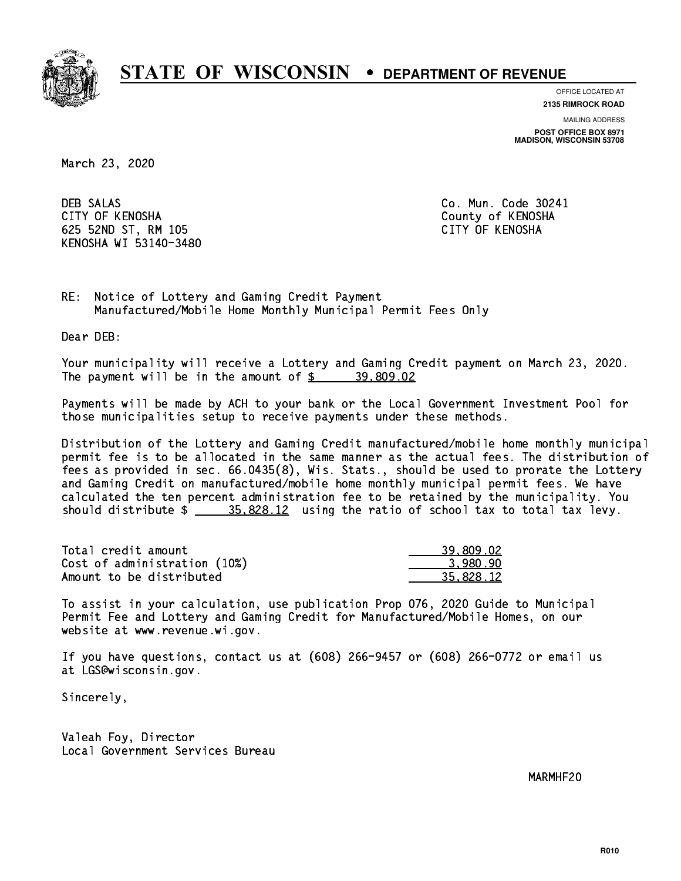

**OFFICE LOCATED AT**

**2135 RIMROCK ROAD**

**MAILING ADDRESS POST OFFICE BOX 8971 MADISON, WISCONSIN 53708**

March 23, 2020

**DEB SALAS**  CITY OF KENOSHA County of KENOSHA 625 52ND ST, RM 105 CITY OF KENOSHA KENOSHA WI 53140-3480

Co. Mun. Code 30241

RE: Notice of Lottery and Gaming Credit Payment Manufactured/Mobile Home Monthly Municipal Permit Fees Only

Dear DEB:

 Your municipality will receive a Lottery and Gaming Credit payment on March 23, 2020. The payment will be in the amount of  $\frac{2}{3}$  39,809.02

 Payments will be made by ACH to your bank or the Local Government Investment Pool for those municipalities setup to receive payments under these methods.

 Distribution of the Lottery and Gaming Credit manufactured/mobile home monthly municipal permit fee is to be allocated in the same manner as the actual fees. The distribution of fees as provided in sec. 66.0435(8), Wis. Stats., should be used to prorate the Lottery and Gaming Credit on manufactured/mobile home monthly municipal permit fees. We have calculated the ten percent administration fee to be retained by the municipality. You should distribute  $\frac{25.828.12}{2}$  using the ratio of school tax to total tax levy.

| Total credit amount          | 39,809.02 |
|------------------------------|-----------|
| Cost of administration (10%) | 3.980.90  |
| Amount to be distributed     | 35.828.12 |

 To assist in your calculation, use publication Prop 076, 2020 Guide to Municipal Permit Fee and Lottery and Gaming Credit for Manufactured/Mobile Homes, on our website at www.revenue.wi.gov.

 If you have questions, contact us at (608) 266-9457 or (608) 266-0772 or email us at LGS@wisconsin.gov.

Sincerely,

 Valeah Foy, Director Local Government Services Bureau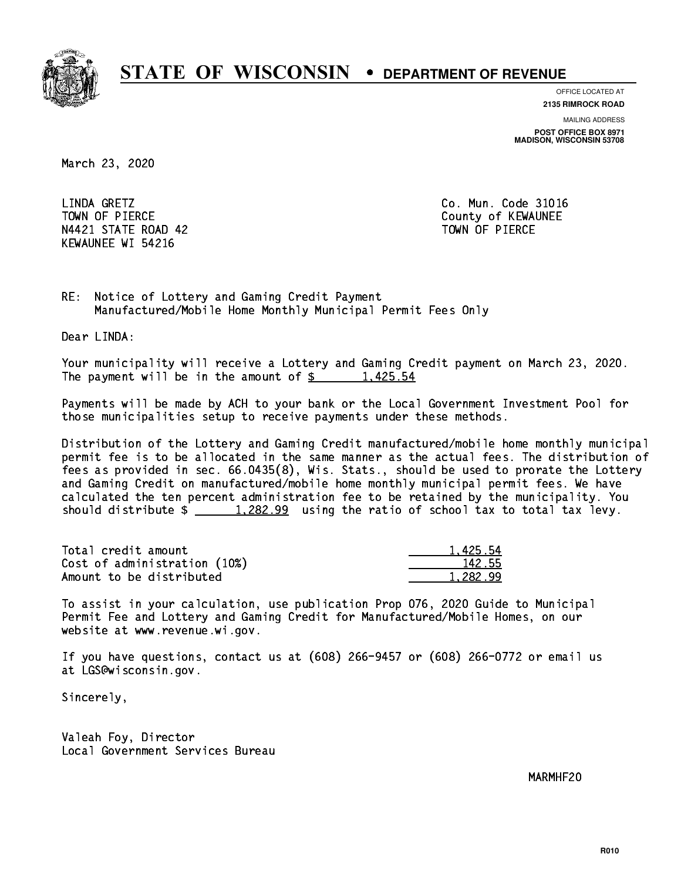

**OFFICE LOCATED AT**

**2135 RIMROCK ROAD**

**MAILING ADDRESS POST OFFICE BOX 8971 MADISON, WISCONSIN 53708**

March 23, 2020

LINDA GRETZ TOWN OF PIERCE **THE COUNTY OF SEXUAL EXAMPLE COUNTY OF KEWAUNEE** N4421 STATE ROAD 42 TOWN OF PIERCE KEWAUNEE WI 54216

Co. Mun. Code 31016

RE: Notice of Lottery and Gaming Credit Payment Manufactured/Mobile Home Monthly Municipal Permit Fees Only

Dear LINDA:

 Your municipality will receive a Lottery and Gaming Credit payment on March 23, 2020. The payment will be in the amount of  $\frac{2}{3}$  1,425.54

 Payments will be made by ACH to your bank or the Local Government Investment Pool for those municipalities setup to receive payments under these methods.

 Distribution of the Lottery and Gaming Credit manufactured/mobile home monthly municipal permit fee is to be allocated in the same manner as the actual fees. The distribution of fees as provided in sec. 66.0435(8), Wis. Stats., should be used to prorate the Lottery and Gaming Credit on manufactured/mobile home monthly municipal permit fees. We have calculated the ten percent administration fee to be retained by the municipality. You should distribute  $\frac{1,282.99}{1,282.99}$  using the ratio of school tax to total tax levy.

| Total credit amount          | 1.425.54 |
|------------------------------|----------|
| Cost of administration (10%) | 142.55   |
| Amount to be distributed     | 1.282.99 |

 To assist in your calculation, use publication Prop 076, 2020 Guide to Municipal Permit Fee and Lottery and Gaming Credit for Manufactured/Mobile Homes, on our website at www.revenue.wi.gov.

 If you have questions, contact us at (608) 266-9457 or (608) 266-0772 or email us at LGS@wisconsin.gov.

Sincerely,

 Valeah Foy, Director Local Government Services Bureau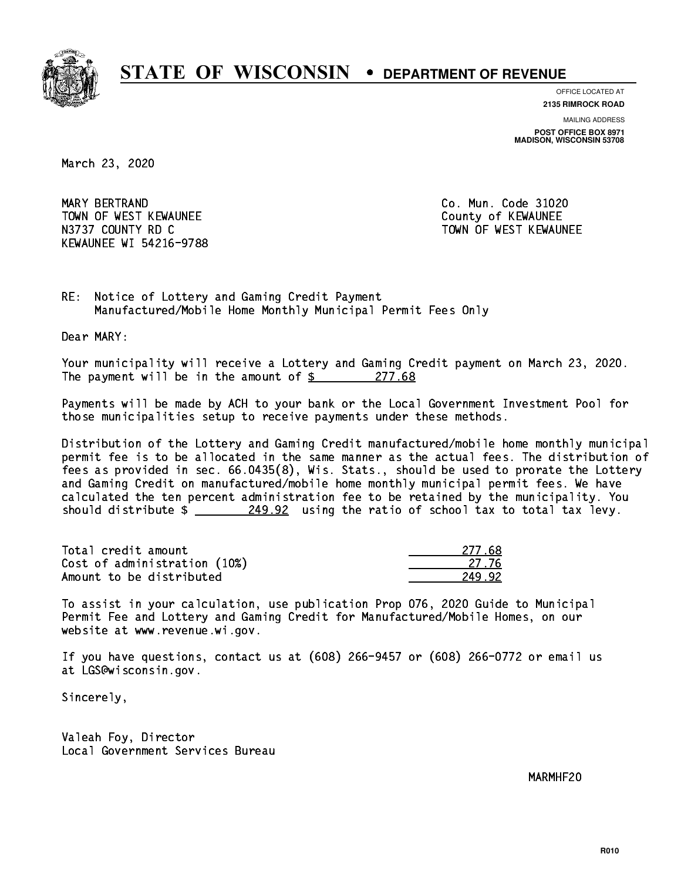

**OFFICE LOCATED AT**

**2135 RIMROCK ROAD**

**MAILING ADDRESS POST OFFICE BOX 8971 MADISON, WISCONSIN 53708**

March 23, 2020

 MARY BERTRAND Co. Mun. Code 31020 TOWN OF WEST KEWAUNEE County of KEWAUNEE N3737 COUNTY RD C TOWN OF WEST KEWAUNEE KEWAUNEE WI 54216-9788

RE: Notice of Lottery and Gaming Credit Payment Manufactured/Mobile Home Monthly Municipal Permit Fees Only

Dear MARY:

 Your municipality will receive a Lottery and Gaming Credit payment on March 23, 2020. The payment will be in the amount of  $\frac{277.68}{ }$ 

 Payments will be made by ACH to your bank or the Local Government Investment Pool for those municipalities setup to receive payments under these methods.

 Distribution of the Lottery and Gaming Credit manufactured/mobile home monthly municipal permit fee is to be allocated in the same manner as the actual fees. The distribution of fees as provided in sec. 66.0435(8), Wis. Stats., should be used to prorate the Lottery and Gaming Credit on manufactured/mobile home monthly municipal permit fees. We have calculated the ten percent administration fee to be retained by the municipality. You should distribute  $\frac{249.92}{2}$  using the ratio of school tax to total tax levy.

Total credit amount Cost of administration (10%) Amount to be distributed

| 277.68   |
|----------|
| 27 76    |
| 42<br>٠, |

 To assist in your calculation, use publication Prop 076, 2020 Guide to Municipal Permit Fee and Lottery and Gaming Credit for Manufactured/Mobile Homes, on our website at www.revenue.wi.gov.

 If you have questions, contact us at (608) 266-9457 or (608) 266-0772 or email us at LGS@wisconsin.gov.

Sincerely,

 Valeah Foy, Director Local Government Services Bureau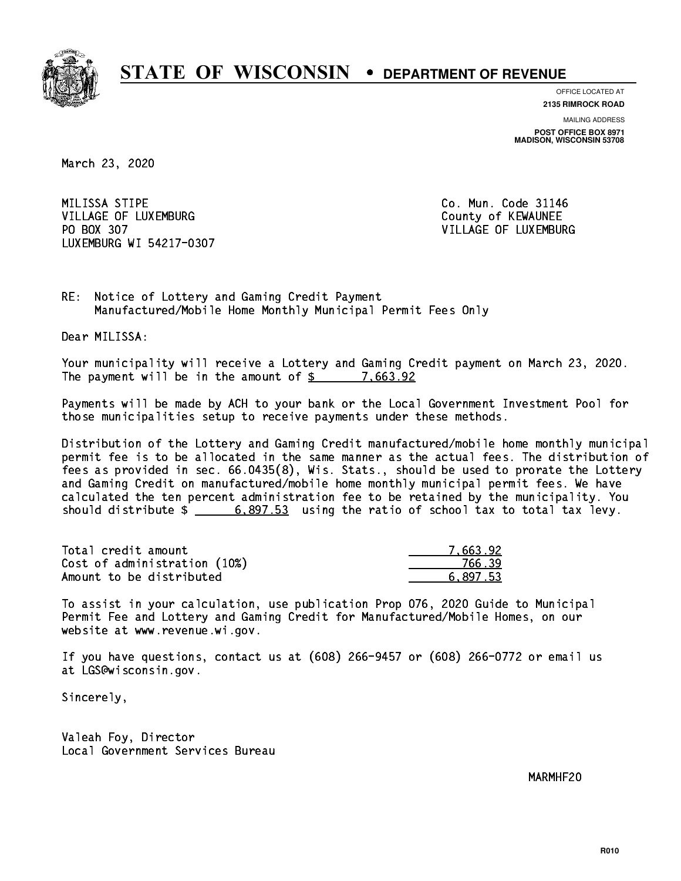

**OFFICE LOCATED AT**

**2135 RIMROCK ROAD**

**MAILING ADDRESS POST OFFICE BOX 8971 MADISON, WISCONSIN 53708**

March 23, 2020

MILISSA STIPE VILLAGE OF LUXEMBURG COUNTY OF KEWAUNEE PO BOX 307 LUXEMBURG WI 54217-0307

Co. Mun. Code 31146 VILLAGE OF LUXEMBURG

RE: Notice of Lottery and Gaming Credit Payment Manufactured/Mobile Home Monthly Municipal Permit Fees Only

Dear MILISSA:

 Your municipality will receive a Lottery and Gaming Credit payment on March 23, 2020. The payment will be in the amount of  $\frac{2}{3}$  7,663.92

 Payments will be made by ACH to your bank or the Local Government Investment Pool for those municipalities setup to receive payments under these methods.

 Distribution of the Lottery and Gaming Credit manufactured/mobile home monthly municipal permit fee is to be allocated in the same manner as the actual fees. The distribution of fees as provided in sec. 66.0435(8), Wis. Stats., should be used to prorate the Lottery and Gaming Credit on manufactured/mobile home monthly municipal permit fees. We have calculated the ten percent administration fee to be retained by the municipality. You should distribute  $\frac{2}{1}$   $\frac{6,897.53}{2}$  using the ratio of school tax to total tax levy.

| Total credit amount          | 7.663.92 |
|------------------------------|----------|
| Cost of administration (10%) | 766.39   |
| Amount to be distributed     | 6.897.53 |

 To assist in your calculation, use publication Prop 076, 2020 Guide to Municipal Permit Fee and Lottery and Gaming Credit for Manufactured/Mobile Homes, on our website at www.revenue.wi.gov.

 If you have questions, contact us at (608) 266-9457 or (608) 266-0772 or email us at LGS@wisconsin.gov.

Sincerely,

 Valeah Foy, Director Local Government Services Bureau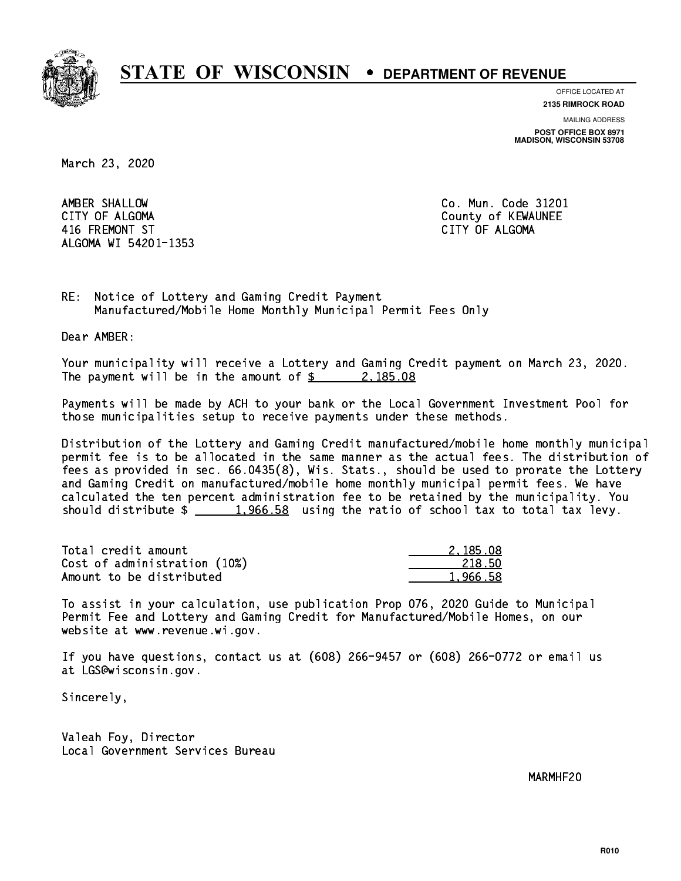

**OFFICE LOCATED AT**

**2135 RIMROCK ROAD**

**MAILING ADDRESS POST OFFICE BOX 8971 MADISON, WISCONSIN 53708**

March 23, 2020

 AMBER SHALLOW Co. Mun. Code 31201 CITY OF ALGOMA COUNTY OF ALGOMA 416 FREMONT ST CITY OF ALGOMA ALGOMA WI 54201-1353

RE: Notice of Lottery and Gaming Credit Payment Manufactured/Mobile Home Monthly Municipal Permit Fees Only

Dear AMBER:

 Your municipality will receive a Lottery and Gaming Credit payment on March 23, 2020. The payment will be in the amount of  $\frac{2}{3}$  2,185.08

 Payments will be made by ACH to your bank or the Local Government Investment Pool for those municipalities setup to receive payments under these methods.

 Distribution of the Lottery and Gaming Credit manufactured/mobile home monthly municipal permit fee is to be allocated in the same manner as the actual fees. The distribution of fees as provided in sec. 66.0435(8), Wis. Stats., should be used to prorate the Lottery and Gaming Credit on manufactured/mobile home monthly municipal permit fees. We have calculated the ten percent administration fee to be retained by the municipality. You should distribute  $\frac{2}{1,966.58}$  using the ratio of school tax to total tax levy.

| Total credit amount          | 2.185.08 |
|------------------------------|----------|
| Cost of administration (10%) | 218.50   |
| Amount to be distributed     | 1.966.58 |

 To assist in your calculation, use publication Prop 076, 2020 Guide to Municipal Permit Fee and Lottery and Gaming Credit for Manufactured/Mobile Homes, on our website at www.revenue.wi.gov.

 If you have questions, contact us at (608) 266-9457 or (608) 266-0772 or email us at LGS@wisconsin.gov.

Sincerely,

 Valeah Foy, Director Local Government Services Bureau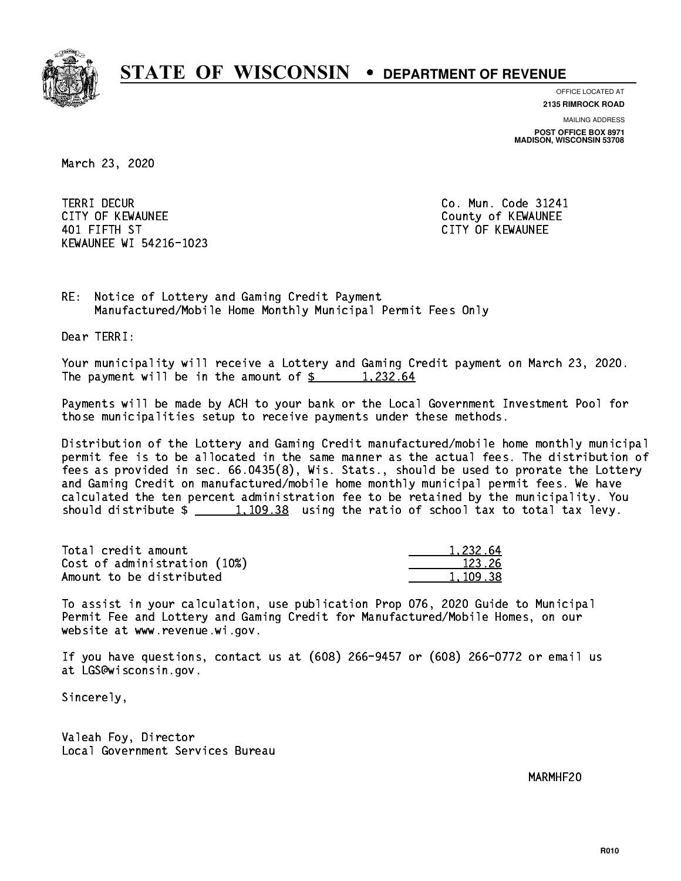

**OFFICE LOCATED AT**

**2135 RIMROCK ROAD**

**MAILING ADDRESS POST OFFICE BOX 8971 MADISON, WISCONSIN 53708**

March 23, 2020

**TERRI DECUR** CITY OF KEWAUNEE CITY OF KEWAUNEE 401 FIFTH ST CITY OF KEWAUNEE KEWAUNEE WI 54216-1023

Co. Mun. Code 31241

RE: Notice of Lottery and Gaming Credit Payment Manufactured/Mobile Home Monthly Municipal Permit Fees Only

Dear TERRI:

 Your municipality will receive a Lottery and Gaming Credit payment on March 23, 2020. The payment will be in the amount of  $\frac{2}{3}$  1,232.64

 Payments will be made by ACH to your bank or the Local Government Investment Pool for those municipalities setup to receive payments under these methods.

 Distribution of the Lottery and Gaming Credit manufactured/mobile home monthly municipal permit fee is to be allocated in the same manner as the actual fees. The distribution of fees as provided in sec. 66.0435(8), Wis. Stats., should be used to prorate the Lottery and Gaming Credit on manufactured/mobile home monthly municipal permit fees. We have calculated the ten percent administration fee to be retained by the municipality. You should distribute  $\frac{1,109.38}{1,109.38}$  using the ratio of school tax to total tax levy.

| Total credit amount          | 1.232.64 |
|------------------------------|----------|
| Cost of administration (10%) | 123.26   |
| Amount to be distributed     | 1.109.38 |

 To assist in your calculation, use publication Prop 076, 2020 Guide to Municipal Permit Fee and Lottery and Gaming Credit for Manufactured/Mobile Homes, on our website at www.revenue.wi.gov.

 If you have questions, contact us at (608) 266-9457 or (608) 266-0772 or email us at LGS@wisconsin.gov.

Sincerely,

 Valeah Foy, Director Local Government Services Bureau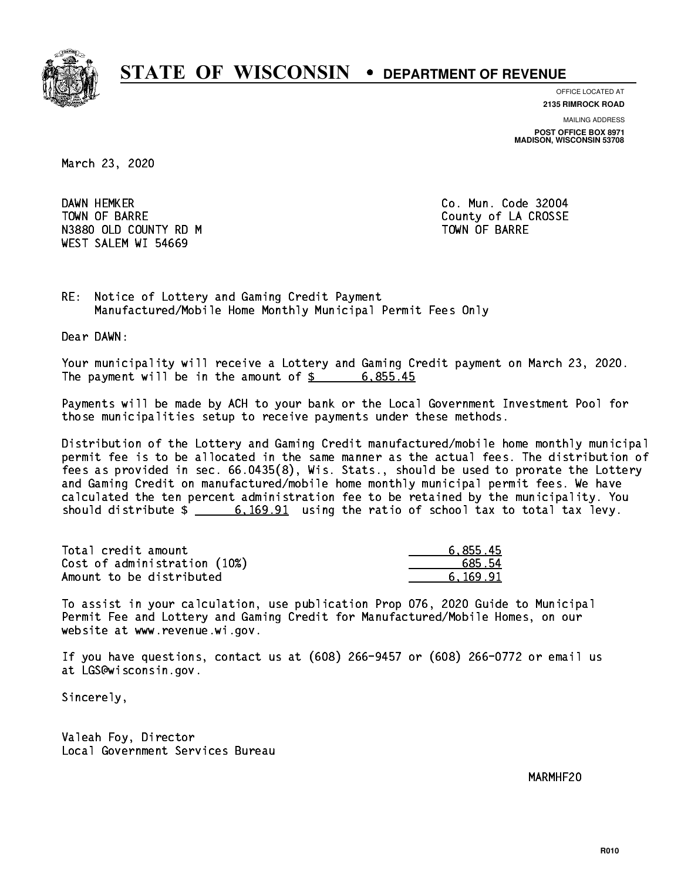

**OFFICE LOCATED AT**

**2135 RIMROCK ROAD**

**MAILING ADDRESS POST OFFICE BOX 8971 MADISON, WISCONSIN 53708**

March 23, 2020

DAWN HEMKER TOWN OF BARRE **COUNTY OF SALES AND SERVICE OF A COUNTY OF LA CROSSE** N3880 OLD COUNTY RD M TOWN OF BARRE WEST SALEM WI 54669

Co. Mun. Code 32004

RE: Notice of Lottery and Gaming Credit Payment Manufactured/Mobile Home Monthly Municipal Permit Fees Only

Dear DAWN:

 Your municipality will receive a Lottery and Gaming Credit payment on March 23, 2020. The payment will be in the amount of  $\frac{2}{3}$  6,855.45

 Payments will be made by ACH to your bank or the Local Government Investment Pool for those municipalities setup to receive payments under these methods.

 Distribution of the Lottery and Gaming Credit manufactured/mobile home monthly municipal permit fee is to be allocated in the same manner as the actual fees. The distribution of fees as provided in sec. 66.0435(8), Wis. Stats., should be used to prorate the Lottery and Gaming Credit on manufactured/mobile home monthly municipal permit fees. We have calculated the ten percent administration fee to be retained by the municipality. You should distribute  $\frac{2}{1}$   $\frac{6,169.91}{2}$  using the ratio of school tax to total tax levy.

| Total credit amount          | 6.855.45 |
|------------------------------|----------|
| Cost of administration (10%) | 685.54   |
| Amount to be distributed     | 6.169.91 |

 To assist in your calculation, use publication Prop 076, 2020 Guide to Municipal Permit Fee and Lottery and Gaming Credit for Manufactured/Mobile Homes, on our website at www.revenue.wi.gov.

 If you have questions, contact us at (608) 266-9457 or (608) 266-0772 or email us at LGS@wisconsin.gov.

Sincerely,

 Valeah Foy, Director Local Government Services Bureau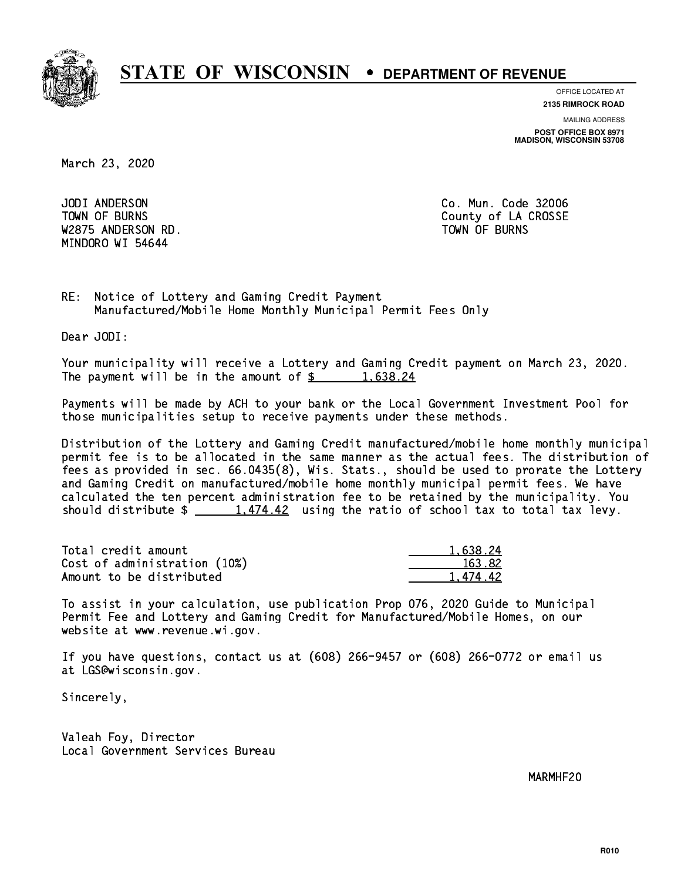

**OFFICE LOCATED AT**

**2135 RIMROCK ROAD**

**MAILING ADDRESS POST OFFICE BOX 8971 MADISON, WISCONSIN 53708**

March 23, 2020

 JODI ANDERSON Co. Mun. Code 32006 W2875 ANDERSON RD. TOWN OF BURNS MINDORO WI 54644

TOWN OF BURNS **COUNTY OF A COULD A** COUNTY OF LA CROSSE

RE: Notice of Lottery and Gaming Credit Payment Manufactured/Mobile Home Monthly Municipal Permit Fees Only

Dear JODI:

 Your municipality will receive a Lottery and Gaming Credit payment on March 23, 2020. The payment will be in the amount of  $\frac{2}{3}$  1,638.24

 Payments will be made by ACH to your bank or the Local Government Investment Pool for those municipalities setup to receive payments under these methods.

 Distribution of the Lottery and Gaming Credit manufactured/mobile home monthly municipal permit fee is to be allocated in the same manner as the actual fees. The distribution of fees as provided in sec. 66.0435(8), Wis. Stats., should be used to prorate the Lottery and Gaming Credit on manufactured/mobile home monthly municipal permit fees. We have calculated the ten percent administration fee to be retained by the municipality. You should distribute  $\frac{1,474.42}{...}$  using the ratio of school tax to total tax levy.

| Total credit amount          | 1.638.24 |
|------------------------------|----------|
| Cost of administration (10%) | 163.82   |
| Amount to be distributed     | 1.474.42 |

 To assist in your calculation, use publication Prop 076, 2020 Guide to Municipal Permit Fee and Lottery and Gaming Credit for Manufactured/Mobile Homes, on our website at www.revenue.wi.gov.

 If you have questions, contact us at (608) 266-9457 or (608) 266-0772 or email us at LGS@wisconsin.gov.

Sincerely,

 Valeah Foy, Director Local Government Services Bureau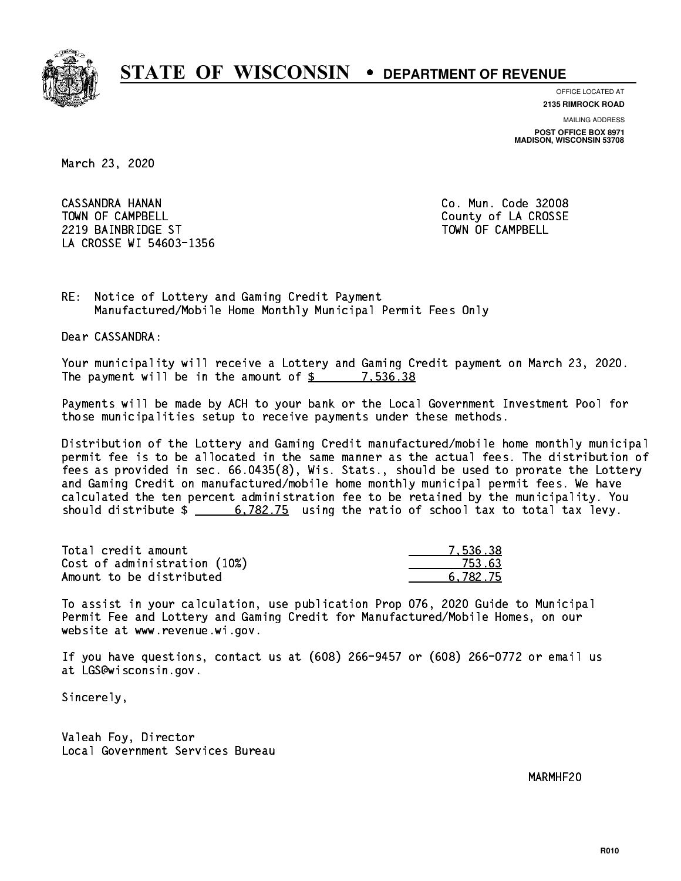

**OFFICE LOCATED AT**

**2135 RIMROCK ROAD**

**MAILING ADDRESS POST OFFICE BOX 8971 MADISON, WISCONSIN 53708**

March 23, 2020

 CASSANDRA HANAN Co. Mun. Code 32008 TOWN OF CAMPBELL **TOWN OF CAMPBELL**  2219 BAINBRIDGE ST TOWN OF CAMPBELL LA CROSSE WI 54603-1356

RE: Notice of Lottery and Gaming Credit Payment Manufactured/Mobile Home Monthly Municipal Permit Fees Only

Dear CASSANDRA:

 Your municipality will receive a Lottery and Gaming Credit payment on March 23, 2020. The payment will be in the amount of  $\frac{2}{3}$  7,536.38

 Payments will be made by ACH to your bank or the Local Government Investment Pool for those municipalities setup to receive payments under these methods.

 Distribution of the Lottery and Gaming Credit manufactured/mobile home monthly municipal permit fee is to be allocated in the same manner as the actual fees. The distribution of fees as provided in sec. 66.0435(8), Wis. Stats., should be used to prorate the Lottery and Gaming Credit on manufactured/mobile home monthly municipal permit fees. We have calculated the ten percent administration fee to be retained by the municipality. You should distribute  $\frac{2}{1}$   $\frac{6,782.75}{2}$  using the ratio of school tax to total tax levy.

| Total credit amount          | 7.536.38 |
|------------------------------|----------|
| Cost of administration (10%) | 753.63   |
| Amount to be distributed     | 6.782.75 |

 To assist in your calculation, use publication Prop 076, 2020 Guide to Municipal Permit Fee and Lottery and Gaming Credit for Manufactured/Mobile Homes, on our website at www.revenue.wi.gov.

 If you have questions, contact us at (608) 266-9457 or (608) 266-0772 or email us at LGS@wisconsin.gov.

Sincerely,

 Valeah Foy, Director Local Government Services Bureau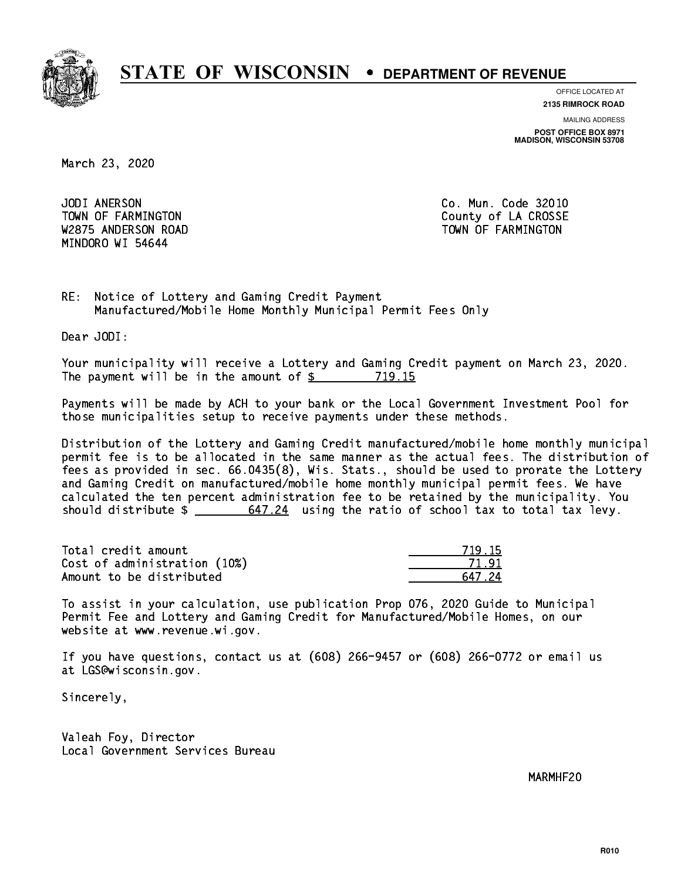

**OFFICE LOCATED AT 2135 RIMROCK ROAD**

**MAILING ADDRESS POST OFFICE BOX 8971 MADISON, WISCONSIN 53708**

March 23, 2020

JODI ANERSON W2875 ANDERSON ROAD TOWN OF FARMINGTON MINDORO WI 54644

Co. Mun. Code 32010 TOWN OF FARMINGTON County of LA CROSSE

RE: Notice of Lottery and Gaming Credit Payment Manufactured/Mobile Home Monthly Municipal Permit Fees Only

Dear JODI:

 Your municipality will receive a Lottery and Gaming Credit payment on March 23, 2020. The payment will be in the amount of \$ 719.15 \_\_\_\_\_\_\_\_\_\_\_\_\_\_\_\_

 Payments will be made by ACH to your bank or the Local Government Investment Pool for those municipalities setup to receive payments under these methods.

 Distribution of the Lottery and Gaming Credit manufactured/mobile home monthly municipal permit fee is to be allocated in the same manner as the actual fees. The distribution of fees as provided in sec. 66.0435(8), Wis. Stats., should be used to prorate the Lottery and Gaming Credit on manufactured/mobile home monthly municipal permit fees. We have calculated the ten percent administration fee to be retained by the municipality. You should distribute  $\frac{24}{100}$  647.24 using the ratio of school tax to total tax levy.

Total credit amount Cost of administration (10%) Amount to be distributed

| 1 1 5<br>- 7 |
|--------------|
| 1 I          |
| 7.24         |

 To assist in your calculation, use publication Prop 076, 2020 Guide to Municipal Permit Fee and Lottery and Gaming Credit for Manufactured/Mobile Homes, on our website at www.revenue.wi.gov.

 If you have questions, contact us at (608) 266-9457 or (608) 266-0772 or email us at LGS@wisconsin.gov.

Sincerely,

 Valeah Foy, Director Local Government Services Bureau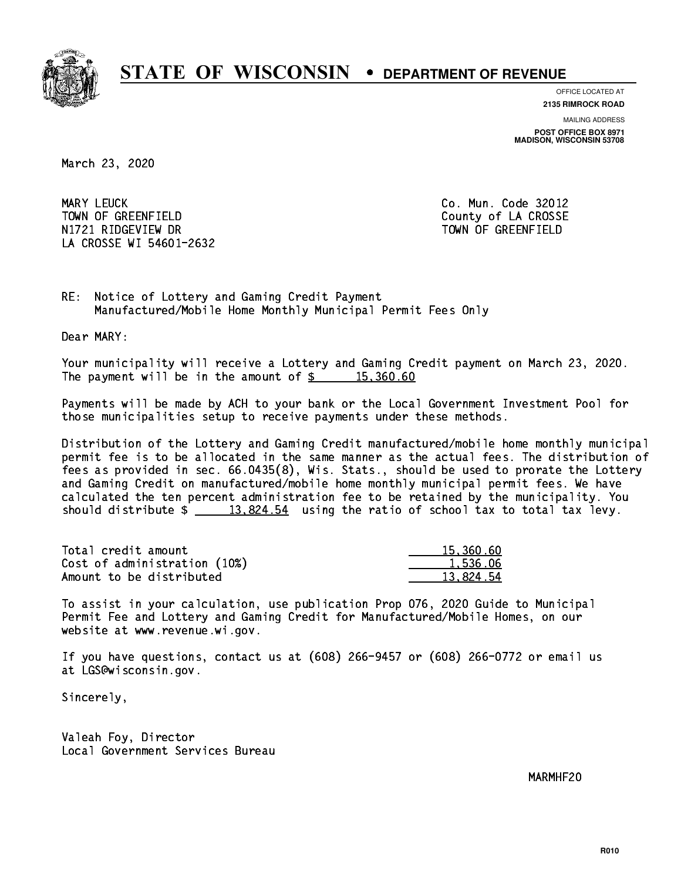

**OFFICE LOCATED AT 2135 RIMROCK ROAD**

**MAILING ADDRESS POST OFFICE BOX 8971 MADISON, WISCONSIN 53708**

March 23, 2020

MARY LEUCK TOWN OF GREENFIELD County of LA CROSSE N1721 RIDGEVIEW DR TOWN OF GREENFIELD LA CROSSE WI 54601-2632

Co. Mun. Code 32012

RE: Notice of Lottery and Gaming Credit Payment Manufactured/Mobile Home Monthly Municipal Permit Fees Only

Dear MARY:

 Your municipality will receive a Lottery and Gaming Credit payment on March 23, 2020. The payment will be in the amount of  $\frac{2}{3}$  15,360.60

 Payments will be made by ACH to your bank or the Local Government Investment Pool for those municipalities setup to receive payments under these methods.

 Distribution of the Lottery and Gaming Credit manufactured/mobile home monthly municipal permit fee is to be allocated in the same manner as the actual fees. The distribution of fees as provided in sec. 66.0435(8), Wis. Stats., should be used to prorate the Lottery and Gaming Credit on manufactured/mobile home monthly municipal permit fees. We have calculated the ten percent administration fee to be retained by the municipality. You should distribute  $\frac{2}{13,824.54}$  using the ratio of school tax to total tax levy.

| Total credit amount          | 15,360.60 |
|------------------------------|-----------|
| Cost of administration (10%) | 1.536.06  |
| Amount to be distributed     | 13.824.54 |

 To assist in your calculation, use publication Prop 076, 2020 Guide to Municipal Permit Fee and Lottery and Gaming Credit for Manufactured/Mobile Homes, on our website at www.revenue.wi.gov.

 If you have questions, contact us at (608) 266-9457 or (608) 266-0772 or email us at LGS@wisconsin.gov.

Sincerely,

 Valeah Foy, Director Local Government Services Bureau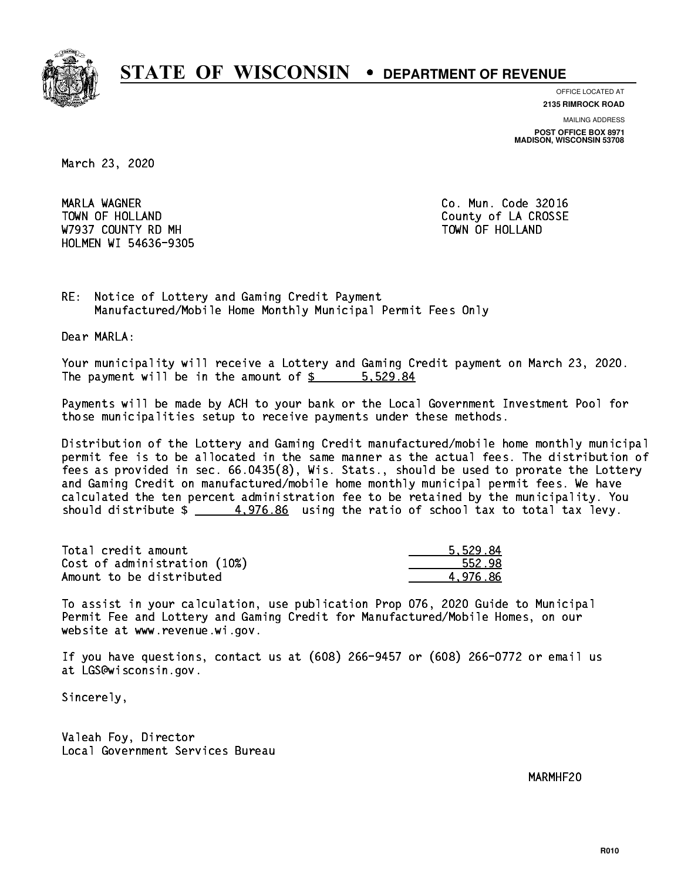

**OFFICE LOCATED AT**

**2135 RIMROCK ROAD**

**MAILING ADDRESS POST OFFICE BOX 8971 MADISON, WISCONSIN 53708**

March 23, 2020

 MARLA WAGNER Co. Mun. Code 32016 TOWN OF HOLLAND **COUNTY OF SALES AND COUNTY OF LA CROSSE** W7937 COUNTY RD MH TOWN OF HOLLAND HOLMEN WI 54636-9305

RE: Notice of Lottery and Gaming Credit Payment Manufactured/Mobile Home Monthly Municipal Permit Fees Only

Dear MARLA:

 Your municipality will receive a Lottery and Gaming Credit payment on March 23, 2020. The payment will be in the amount of \$ 5,529.84 \_\_\_\_\_\_\_\_\_\_\_\_\_\_\_\_

 Payments will be made by ACH to your bank or the Local Government Investment Pool for those municipalities setup to receive payments under these methods.

 Distribution of the Lottery and Gaming Credit manufactured/mobile home monthly municipal permit fee is to be allocated in the same manner as the actual fees. The distribution of fees as provided in sec. 66.0435(8), Wis. Stats., should be used to prorate the Lottery and Gaming Credit on manufactured/mobile home monthly municipal permit fees. We have calculated the ten percent administration fee to be retained by the municipality. You should distribute  $\frac{4.976.86}{2}$  using the ratio of school tax to total tax levy.

| Total credit amount          | 5.529.84 |
|------------------------------|----------|
| Cost of administration (10%) | 552.98   |
| Amount to be distributed     | 4.976.86 |

 To assist in your calculation, use publication Prop 076, 2020 Guide to Municipal Permit Fee and Lottery and Gaming Credit for Manufactured/Mobile Homes, on our website at www.revenue.wi.gov.

 If you have questions, contact us at (608) 266-9457 or (608) 266-0772 or email us at LGS@wisconsin.gov.

Sincerely,

 Valeah Foy, Director Local Government Services Bureau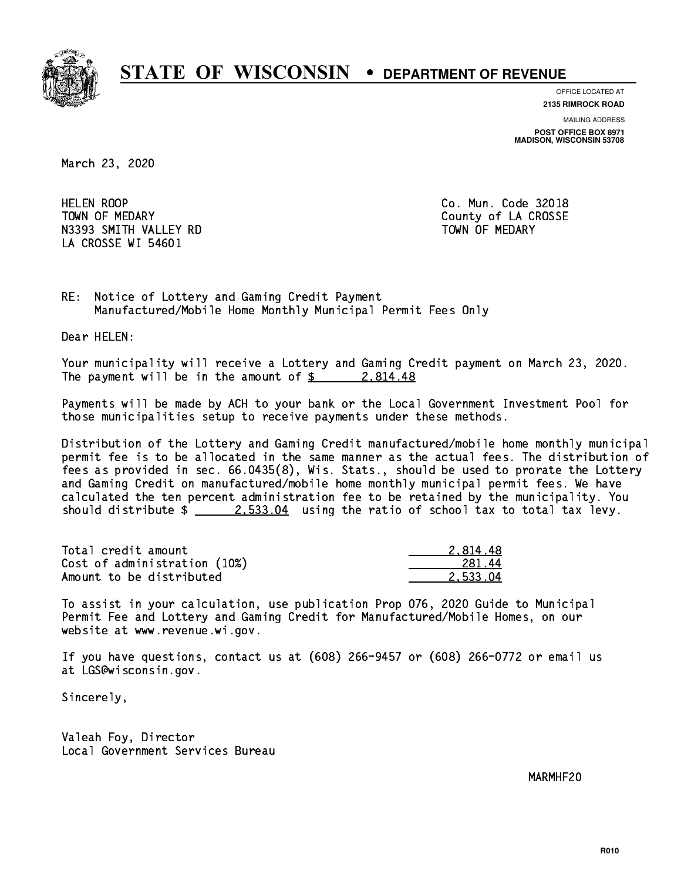

**OFFICE LOCATED AT**

**2135 RIMROCK ROAD**

**MAILING ADDRESS POST OFFICE BOX 8971 MADISON, WISCONSIN 53708**

March 23, 2020

**HELEN ROOP** TOWN OF MEDARY **COUNTY** COUNTY COUNTY OF LA CROSSE N3393 SMITH VALLEY RD TOWN OF MEDARY LA CROSSE WI 54601

Co. Mun. Code 32018

RE: Notice of Lottery and Gaming Credit Payment Manufactured/Mobile Home Monthly Municipal Permit Fees Only

Dear HELEN:

 Your municipality will receive a Lottery and Gaming Credit payment on March 23, 2020. The payment will be in the amount of  $\frac{2.814.48}{10.25}$ 

 Payments will be made by ACH to your bank or the Local Government Investment Pool for those municipalities setup to receive payments under these methods.

 Distribution of the Lottery and Gaming Credit manufactured/mobile home monthly municipal permit fee is to be allocated in the same manner as the actual fees. The distribution of fees as provided in sec. 66.0435(8), Wis. Stats., should be used to prorate the Lottery and Gaming Credit on manufactured/mobile home monthly municipal permit fees. We have calculated the ten percent administration fee to be retained by the municipality. You should distribute  $\frac{2.533.04}{2.533.04}$  using the ratio of school tax to total tax levy.

| Total credit amount          | 2.814.48 |
|------------------------------|----------|
| Cost of administration (10%) | 281.44   |
| Amount to be distributed     | 2.533.04 |

 To assist in your calculation, use publication Prop 076, 2020 Guide to Municipal Permit Fee and Lottery and Gaming Credit for Manufactured/Mobile Homes, on our website at www.revenue.wi.gov.

 If you have questions, contact us at (608) 266-9457 or (608) 266-0772 or email us at LGS@wisconsin.gov.

Sincerely,

 Valeah Foy, Director Local Government Services Bureau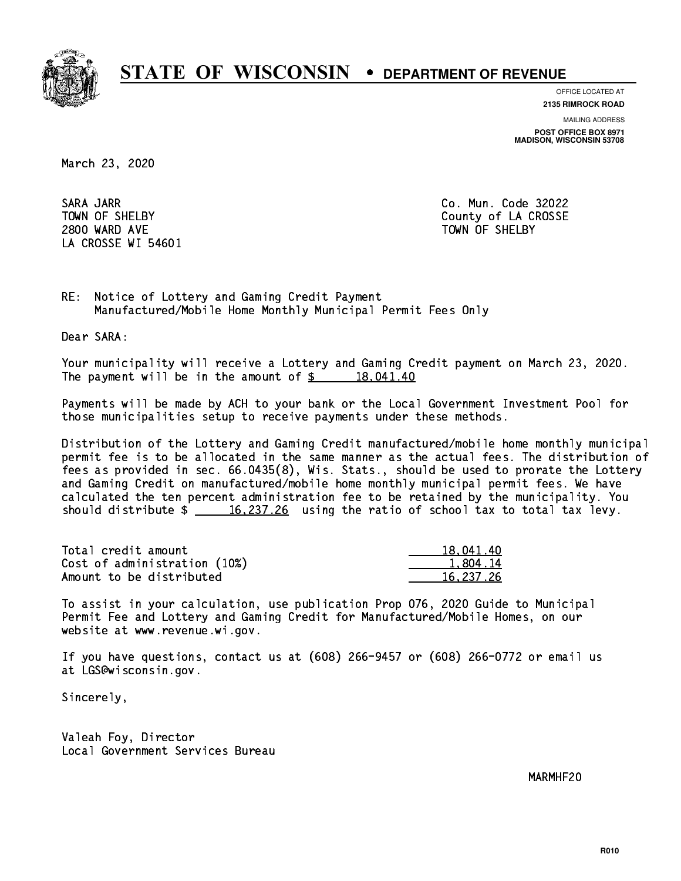

**OFFICE LOCATED AT**

**2135 RIMROCK ROAD**

**MAILING ADDRESS POST OFFICE BOX 8971 MADISON, WISCONSIN 53708**

March 23, 2020

 SARA JARR Co. Mun. Code 32022 2800 WARD AVE TOWN OF SHELBY LA CROSSE WI 54601

TOWN OF SHELBY **COUNTY** COUNTY OF LA CROSSE

RE: Notice of Lottery and Gaming Credit Payment Manufactured/Mobile Home Monthly Municipal Permit Fees Only

Dear SARA:

 Your municipality will receive a Lottery and Gaming Credit payment on March 23, 2020. The payment will be in the amount of  $\frac{2}{3}$  18,041.40

 Payments will be made by ACH to your bank or the Local Government Investment Pool for those municipalities setup to receive payments under these methods.

 Distribution of the Lottery and Gaming Credit manufactured/mobile home monthly municipal permit fee is to be allocated in the same manner as the actual fees. The distribution of fees as provided in sec. 66.0435(8), Wis. Stats., should be used to prorate the Lottery and Gaming Credit on manufactured/mobile home monthly municipal permit fees. We have calculated the ten percent administration fee to be retained by the municipality. You should distribute  $\frac{16,237.26}{2}$  using the ratio of school tax to total tax levy.

| Total credit amount          | 18,041.40 |
|------------------------------|-----------|
| Cost of administration (10%) | 1,804.14  |
| Amount to be distributed     | 16.237.26 |

 To assist in your calculation, use publication Prop 076, 2020 Guide to Municipal Permit Fee and Lottery and Gaming Credit for Manufactured/Mobile Homes, on our website at www.revenue.wi.gov.

 If you have questions, contact us at (608) 266-9457 or (608) 266-0772 or email us at LGS@wisconsin.gov.

Sincerely,

 Valeah Foy, Director Local Government Services Bureau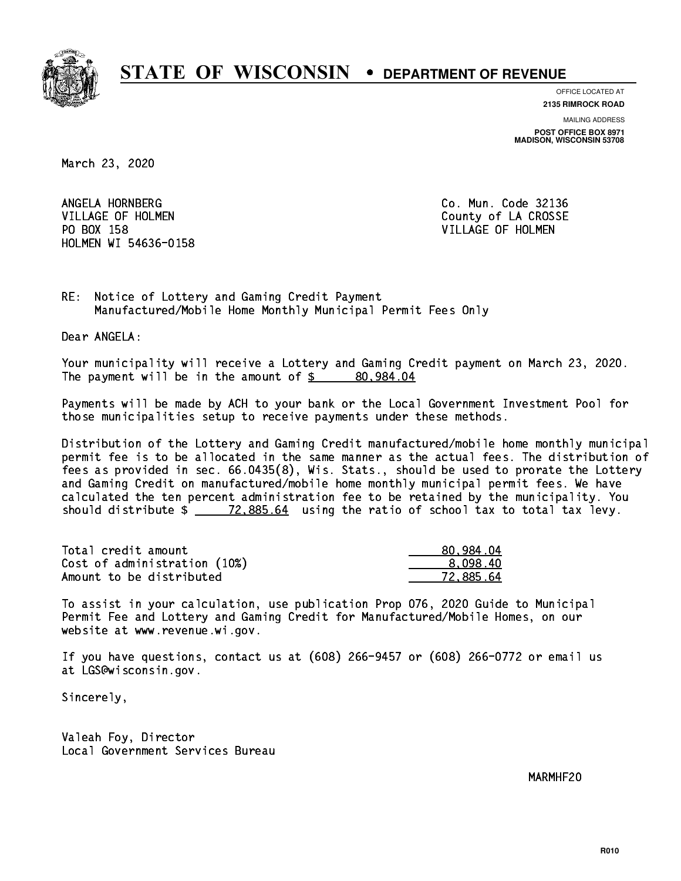

**OFFICE LOCATED AT**

**2135 RIMROCK ROAD**

**MAILING ADDRESS POST OFFICE BOX 8971 MADISON, WISCONSIN 53708**

March 23, 2020

ANGELA HORNBERG VILLAGE OF HOLMEN COUNTY OF LA CROSSE PO BOX 158 VILLAGE OF HOLMEN HOLMEN WI 54636-0158

Co. Mun. Code 32136

RE: Notice of Lottery and Gaming Credit Payment Manufactured/Mobile Home Monthly Municipal Permit Fees Only

Dear ANGELA:

 Your municipality will receive a Lottery and Gaming Credit payment on March 23, 2020. The payment will be in the amount of  $\frac{2}{3}$  80,984.04

 Payments will be made by ACH to your bank or the Local Government Investment Pool for those municipalities setup to receive payments under these methods.

 Distribution of the Lottery and Gaming Credit manufactured/mobile home monthly municipal permit fee is to be allocated in the same manner as the actual fees. The distribution of fees as provided in sec. 66.0435(8), Wis. Stats., should be used to prorate the Lottery and Gaming Credit on manufactured/mobile home monthly municipal permit fees. We have calculated the ten percent administration fee to be retained by the municipality. You should distribute  $\frac{2}{2}$   $\frac{72,885.64}{2}$  using the ratio of school tax to total tax levy.

| Total credit amount          | 80.984.04 |
|------------------------------|-----------|
| Cost of administration (10%) | 8.098.40  |
| Amount to be distributed     | 72.885.64 |

 To assist in your calculation, use publication Prop 076, 2020 Guide to Municipal Permit Fee and Lottery and Gaming Credit for Manufactured/Mobile Homes, on our website at www.revenue.wi.gov.

 If you have questions, contact us at (608) 266-9457 or (608) 266-0772 or email us at LGS@wisconsin.gov.

Sincerely,

 Valeah Foy, Director Local Government Services Bureau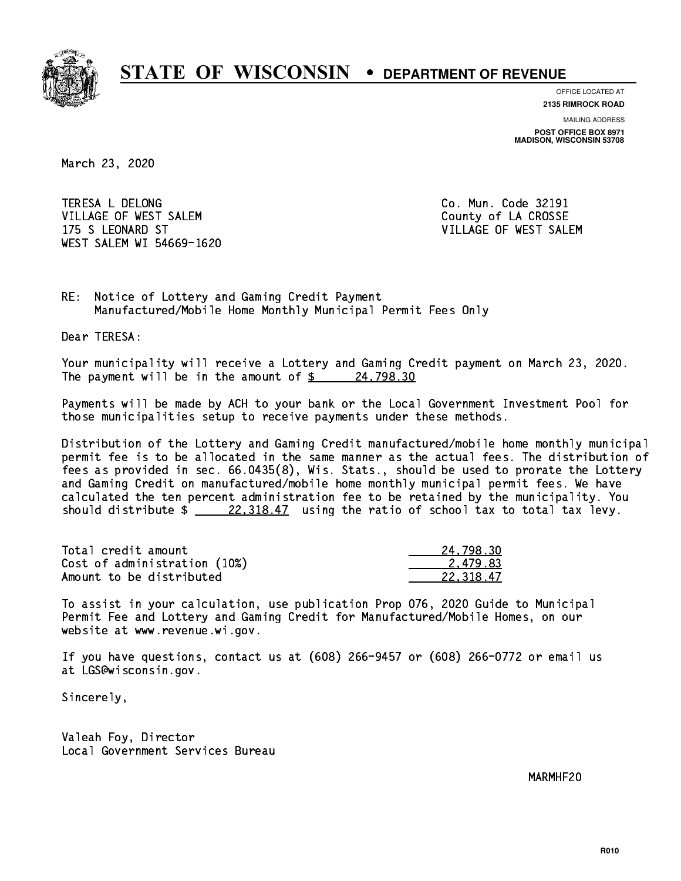

**OFFICE LOCATED AT 2135 RIMROCK ROAD**

**MAILING ADDRESS POST OFFICE BOX 8971 MADISON, WISCONSIN 53708**

March 23, 2020

 TERESA L DELONG Co. Mun. Code 32191 VILLAGE OF WEST SALEM **COULD ACCOUNT OF LA CROSSE**  175 S LEONARD ST VILLAGE OF WEST SALEM WEST SALEM WI 54669-1620

RE: Notice of Lottery and Gaming Credit Payment Manufactured/Mobile Home Monthly Municipal Permit Fees Only

Dear TERESA:

 Your municipality will receive a Lottery and Gaming Credit payment on March 23, 2020. The payment will be in the amount of  $\frac{24,798.30}{24}$ 

 Payments will be made by ACH to your bank or the Local Government Investment Pool for those municipalities setup to receive payments under these methods.

 Distribution of the Lottery and Gaming Credit manufactured/mobile home monthly municipal permit fee is to be allocated in the same manner as the actual fees. The distribution of fees as provided in sec. 66.0435(8), Wis. Stats., should be used to prorate the Lottery and Gaming Credit on manufactured/mobile home monthly municipal permit fees. We have calculated the ten percent administration fee to be retained by the municipality. You should distribute  $\frac{22,318.47}{22,318.47}$  using the ratio of school tax to total tax levy.

| Total credit amount          | 24,798.30 |
|------------------------------|-----------|
| Cost of administration (10%) | 2.479.83  |
| Amount to be distributed     | 22.318.47 |

 To assist in your calculation, use publication Prop 076, 2020 Guide to Municipal Permit Fee and Lottery and Gaming Credit for Manufactured/Mobile Homes, on our website at www.revenue.wi.gov.

 If you have questions, contact us at (608) 266-9457 or (608) 266-0772 or email us at LGS@wisconsin.gov.

Sincerely,

 Valeah Foy, Director Local Government Services Bureau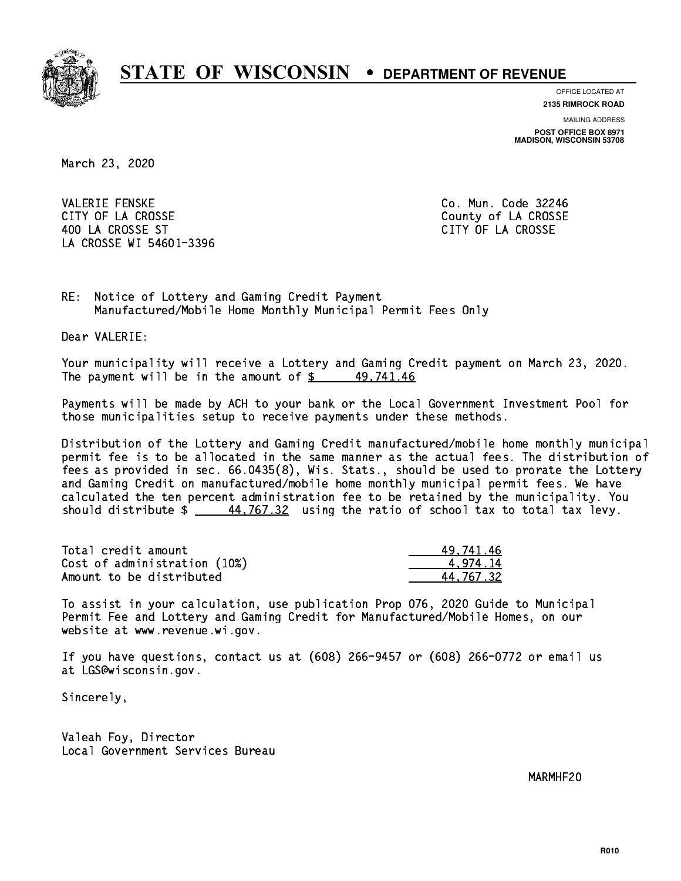

**OFFICE LOCATED AT**

**2135 RIMROCK ROAD**

**MAILING ADDRESS POST OFFICE BOX 8971 MADISON, WISCONSIN 53708**

March 23, 2020

**VALERIE FENSKE** CITY OF LA CROSSE COUNTY OF LA CROSSE 400 LA CROSSE ST CITY OF LA CROSSE LA CROSSE WI 54601-3396

Co. Mun. Code 32246

RE: Notice of Lottery and Gaming Credit Payment Manufactured/Mobile Home Monthly Municipal Permit Fees Only

Dear VALERIE:

 Your municipality will receive a Lottery and Gaming Credit payment on March 23, 2020. The payment will be in the amount of  $\frac{2}{3}$  49,741.46

 Payments will be made by ACH to your bank or the Local Government Investment Pool for those municipalities setup to receive payments under these methods.

 Distribution of the Lottery and Gaming Credit manufactured/mobile home monthly municipal permit fee is to be allocated in the same manner as the actual fees. The distribution of fees as provided in sec. 66.0435(8), Wis. Stats., should be used to prorate the Lottery and Gaming Credit on manufactured/mobile home monthly municipal permit fees. We have calculated the ten percent administration fee to be retained by the municipality. You should distribute  $\frac{44,767.32}{2}$  using the ratio of school tax to total tax levy.

| Total credit amount          | 49.741.46 |
|------------------------------|-----------|
| Cost of administration (10%) | 4.974.14  |
| Amount to be distributed     | 44.767.32 |

 To assist in your calculation, use publication Prop 076, 2020 Guide to Municipal Permit Fee and Lottery and Gaming Credit for Manufactured/Mobile Homes, on our website at www.revenue.wi.gov.

 If you have questions, contact us at (608) 266-9457 or (608) 266-0772 or email us at LGS@wisconsin.gov.

Sincerely,

 Valeah Foy, Director Local Government Services Bureau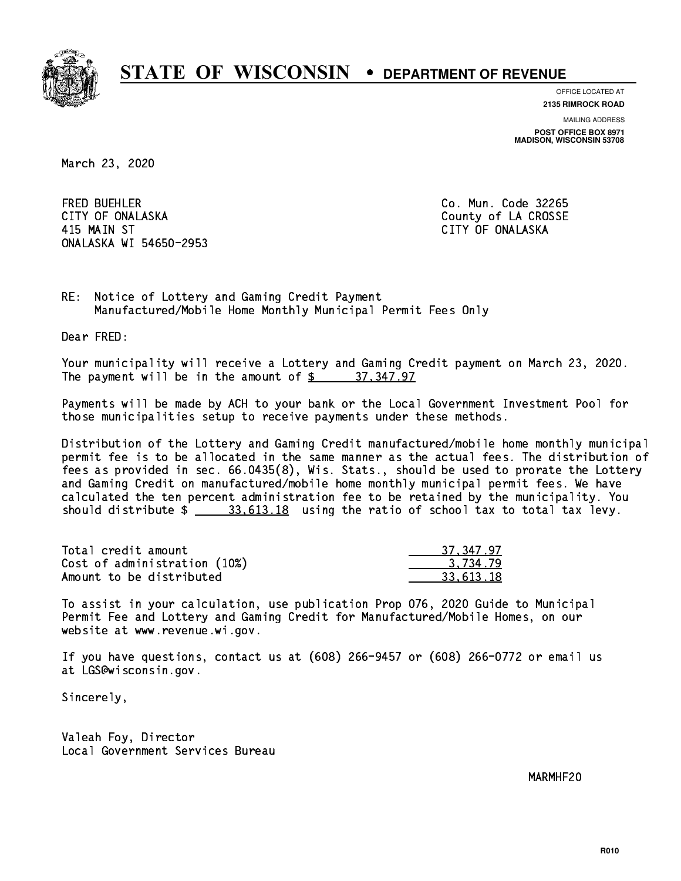

**OFFICE LOCATED AT**

**2135 RIMROCK ROAD**

**MAILING ADDRESS POST OFFICE BOX 8971 MADISON, WISCONSIN 53708**

March 23, 2020

**FRED BUEHLER** CITY OF ONALASKA COUNTY COUNTY OF COUNTY OF COUNTY OF LA CROSSE 415 MAIN ST CITY OF ONALASKA ONALASKA WI 54650-2953

Co. Mun. Code 32265

RE: Notice of Lottery and Gaming Credit Payment Manufactured/Mobile Home Monthly Municipal Permit Fees Only

Dear FRED:

 Your municipality will receive a Lottery and Gaming Credit payment on March 23, 2020. The payment will be in the amount of  $\frac{2}{3}$  37,347.97

 Payments will be made by ACH to your bank or the Local Government Investment Pool for those municipalities setup to receive payments under these methods.

 Distribution of the Lottery and Gaming Credit manufactured/mobile home monthly municipal permit fee is to be allocated in the same manner as the actual fees. The distribution of fees as provided in sec. 66.0435(8), Wis. Stats., should be used to prorate the Lottery and Gaming Credit on manufactured/mobile home monthly municipal permit fees. We have calculated the ten percent administration fee to be retained by the municipality. You should distribute  $\frac{23.613.18}{2}$  using the ratio of school tax to total tax levy.

| Total credit amount          | 37.347.97 |
|------------------------------|-----------|
| Cost of administration (10%) | 3.734.79  |
| Amount to be distributed     | 33.613.18 |

 To assist in your calculation, use publication Prop 076, 2020 Guide to Municipal Permit Fee and Lottery and Gaming Credit for Manufactured/Mobile Homes, on our website at www.revenue.wi.gov.

 If you have questions, contact us at (608) 266-9457 or (608) 266-0772 or email us at LGS@wisconsin.gov.

Sincerely,

 Valeah Foy, Director Local Government Services Bureau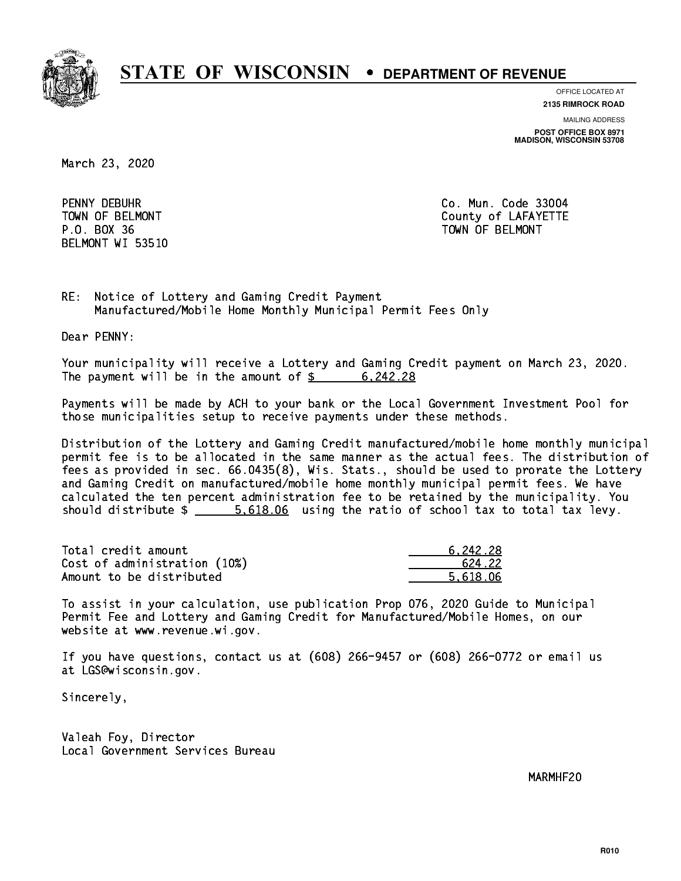

**OFFICE LOCATED AT**

**2135 RIMROCK ROAD**

**MAILING ADDRESS POST OFFICE BOX 8971 MADISON, WISCONSIN 53708**

March 23, 2020

PENNY DEBUHR P.O. BOX 36 TOWN OF BELMONT BELMONT WI 53510

Co. Mun. Code 33004 TOWN OF BELMONT COUNTY COUNTY OF LAFAYETTE

RE: Notice of Lottery and Gaming Credit Payment Manufactured/Mobile Home Monthly Municipal Permit Fees Only

Dear PENNY:

 Your municipality will receive a Lottery and Gaming Credit payment on March 23, 2020. The payment will be in the amount of  $\frac{2}{3}$  6,242.28

 Payments will be made by ACH to your bank or the Local Government Investment Pool for those municipalities setup to receive payments under these methods.

 Distribution of the Lottery and Gaming Credit manufactured/mobile home monthly municipal permit fee is to be allocated in the same manner as the actual fees. The distribution of fees as provided in sec. 66.0435(8), Wis. Stats., should be used to prorate the Lottery and Gaming Credit on manufactured/mobile home monthly municipal permit fees. We have calculated the ten percent administration fee to be retained by the municipality. You should distribute  $\frac{2}{1}$   $\frac{5.618.06}{2}$  using the ratio of school tax to total tax levy.

| Total credit amount          | 6.242.28 |
|------------------------------|----------|
| Cost of administration (10%) | 624.22   |
| Amount to be distributed     | 5.618.06 |

 To assist in your calculation, use publication Prop 076, 2020 Guide to Municipal Permit Fee and Lottery and Gaming Credit for Manufactured/Mobile Homes, on our website at www.revenue.wi.gov.

 If you have questions, contact us at (608) 266-9457 or (608) 266-0772 or email us at LGS@wisconsin.gov.

Sincerely,

 Valeah Foy, Director Local Government Services Bureau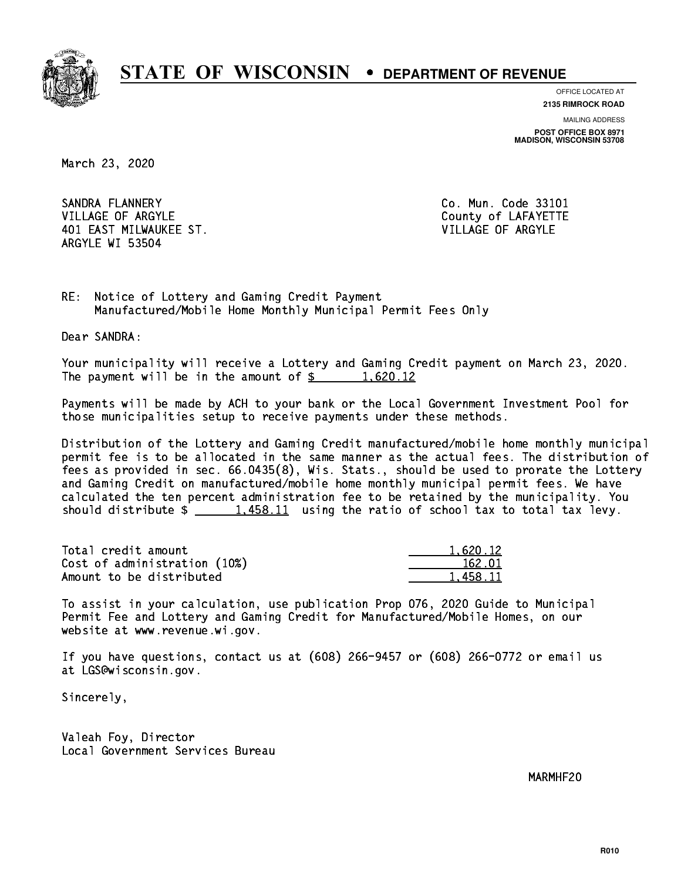

**OFFICE LOCATED AT**

**2135 RIMROCK ROAD**

**MAILING ADDRESS POST OFFICE BOX 8971 MADISON, WISCONSIN 53708**

March 23, 2020

SANDRA FLANNERY VILLAGE OF ARGYLE COUNTY OF LAFAYETTE 401 EAST MILWAUKEE ST. VILLAGE OF ARGYLE ARGYLE WI 53504

Co. Mun. Code 33101

RE: Notice of Lottery and Gaming Credit Payment Manufactured/Mobile Home Monthly Municipal Permit Fees Only

Dear SANDRA:

 Your municipality will receive a Lottery and Gaming Credit payment on March 23, 2020. The payment will be in the amount of  $\frac{2}{3}$  1,620.12

 Payments will be made by ACH to your bank or the Local Government Investment Pool for those municipalities setup to receive payments under these methods.

 Distribution of the Lottery and Gaming Credit manufactured/mobile home monthly municipal permit fee is to be allocated in the same manner as the actual fees. The distribution of fees as provided in sec. 66.0435(8), Wis. Stats., should be used to prorate the Lottery and Gaming Credit on manufactured/mobile home monthly municipal permit fees. We have calculated the ten percent administration fee to be retained by the municipality. You should distribute  $\frac{1,458.11}{1,458.11}$  using the ratio of school tax to total tax levy.

| Total credit amount          | 1.620.12 |
|------------------------------|----------|
| Cost of administration (10%) | 162.01   |
| Amount to be distributed     | 1,458.11 |

 To assist in your calculation, use publication Prop 076, 2020 Guide to Municipal Permit Fee and Lottery and Gaming Credit for Manufactured/Mobile Homes, on our website at www.revenue.wi.gov.

 If you have questions, contact us at (608) 266-9457 or (608) 266-0772 or email us at LGS@wisconsin.gov.

Sincerely,

 Valeah Foy, Director Local Government Services Bureau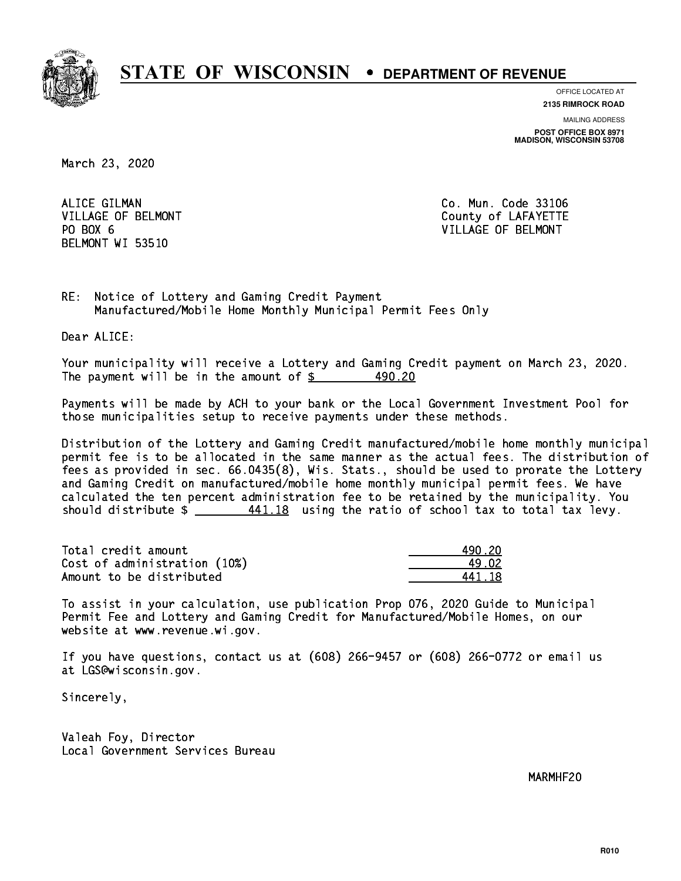

**OFFICE LOCATED AT**

**2135 RIMROCK ROAD**

**MAILING ADDRESS POST OFFICE BOX 8971 MADISON, WISCONSIN 53708**

March 23, 2020

ALICE GILMAN PO BOX 6 BELMONT WI 53510

Co. Mun. Code 33106 VILLAGE OF BELMONT COUNTS AND THE COUNTY OF LAFAYETTE VILLAGE OF BELMONT

RE: Notice of Lottery and Gaming Credit Payment Manufactured/Mobile Home Monthly Municipal Permit Fees Only

Dear ALICE:

 Your municipality will receive a Lottery and Gaming Credit payment on March 23, 2020. The payment will be in the amount of \$ 490.20 \_\_\_\_\_\_\_\_\_\_\_\_\_\_\_\_ 490.20

 Payments will be made by ACH to your bank or the Local Government Investment Pool for those municipalities setup to receive payments under these methods.

 Distribution of the Lottery and Gaming Credit manufactured/mobile home monthly municipal permit fee is to be allocated in the same manner as the actual fees. The distribution of fees as provided in sec. 66.0435(8), Wis. Stats., should be used to prorate the Lottery and Gaming Credit on manufactured/mobile home monthly municipal permit fees. We have calculated the ten percent administration fee to be retained by the municipality. You should distribute  $\frac{441.18}{100}$  using the ratio of school tax to total tax levy.

Total credit amount Cost of administration (10%) Amount to be distributed

| I 20  |
|-------|
| ! 02. |
| .118  |

 To assist in your calculation, use publication Prop 076, 2020 Guide to Municipal Permit Fee and Lottery and Gaming Credit for Manufactured/Mobile Homes, on our website at www.revenue.wi.gov.

 If you have questions, contact us at (608) 266-9457 or (608) 266-0772 or email us at LGS@wisconsin.gov.

Sincerely,

 Valeah Foy, Director Local Government Services Bureau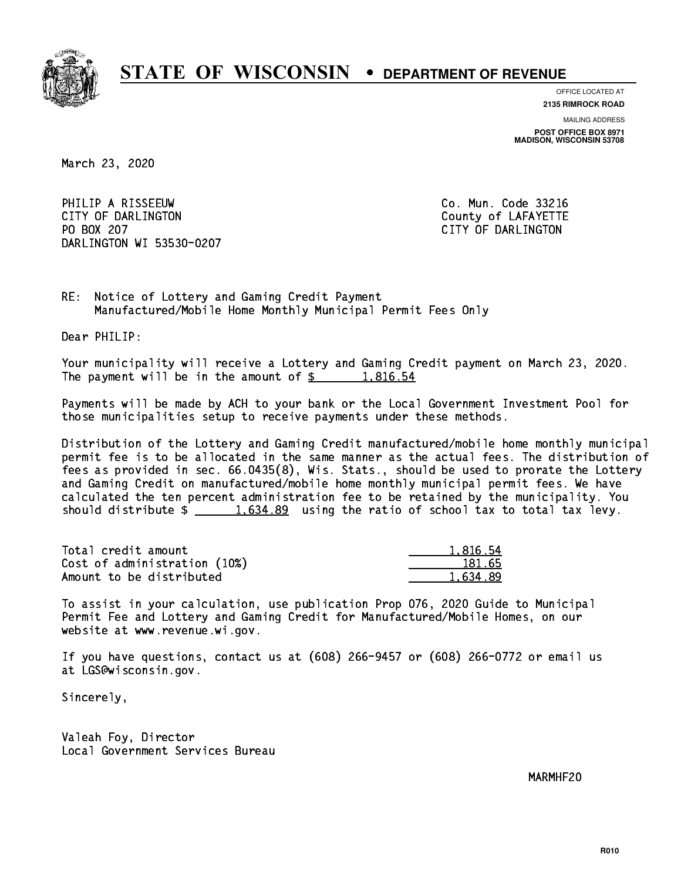

**OFFICE LOCATED AT 2135 RIMROCK ROAD**

**MAILING ADDRESS POST OFFICE BOX 8971 MADISON, WISCONSIN 53708**

March 23, 2020

PHILIP A RISSEEUW Co. Mun. Code 33216 CITY OF DARLINGTON County of LAFAYETTE PO BOX 207 DARLINGTON WI 53530-0207

CITY OF DARLINGTON

RE: Notice of Lottery and Gaming Credit Payment Manufactured/Mobile Home Monthly Municipal Permit Fees Only

Dear PHILIP:

 Your municipality will receive a Lottery and Gaming Credit payment on March 23, 2020. The payment will be in the amount of  $\frac{2}{3}$  1,816.54

 Payments will be made by ACH to your bank or the Local Government Investment Pool for those municipalities setup to receive payments under these methods.

 Distribution of the Lottery and Gaming Credit manufactured/mobile home monthly municipal permit fee is to be allocated in the same manner as the actual fees. The distribution of fees as provided in sec. 66.0435(8), Wis. Stats., should be used to prorate the Lottery and Gaming Credit on manufactured/mobile home monthly municipal permit fees. We have calculated the ten percent administration fee to be retained by the municipality. You should distribute  $\frac{1.634.89}{1.634.89}$  using the ratio of school tax to total tax levy.

| Total credit amount          | 1.816.54 |
|------------------------------|----------|
| Cost of administration (10%) | 181.65   |
| Amount to be distributed     | 1.634.89 |

 To assist in your calculation, use publication Prop 076, 2020 Guide to Municipal Permit Fee and Lottery and Gaming Credit for Manufactured/Mobile Homes, on our website at www.revenue.wi.gov.

 If you have questions, contact us at (608) 266-9457 or (608) 266-0772 or email us at LGS@wisconsin.gov.

Sincerely,

 Valeah Foy, Director Local Government Services Bureau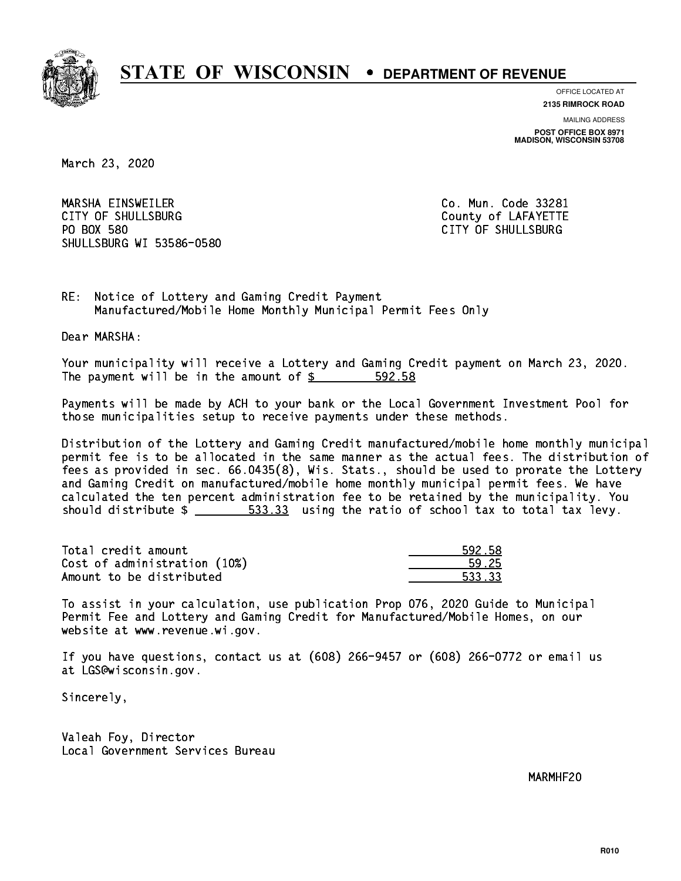

**OFFICE LOCATED AT**

**2135 RIMROCK ROAD**

**MAILING ADDRESS POST OFFICE BOX 8971 MADISON, WISCONSIN 53708**

March 23, 2020

 MARSHA EINSWEILER Co. Mun. Code 33281 CITY OF SHULLSBURG COUNTY COUNTY OF LAFAYETTE PO BOX 580 SHULLSBURG WI 53586-0580

CITY OF SHULLSBURG

RE: Notice of Lottery and Gaming Credit Payment Manufactured/Mobile Home Monthly Municipal Permit Fees Only

Dear MARSHA:

 Your municipality will receive a Lottery and Gaming Credit payment on March 23, 2020. The payment will be in the amount of  $$ 592.58$ 

 Payments will be made by ACH to your bank or the Local Government Investment Pool for those municipalities setup to receive payments under these methods.

 Distribution of the Lottery and Gaming Credit manufactured/mobile home monthly municipal permit fee is to be allocated in the same manner as the actual fees. The distribution of fees as provided in sec. 66.0435(8), Wis. Stats., should be used to prorate the Lottery and Gaming Credit on manufactured/mobile home monthly municipal permit fees. We have calculated the ten percent administration fee to be retained by the municipality. You should distribute  $\frac{2}{1}$   $\frac{533.33}{13}$  using the ratio of school tax to total tax levy.

Total credit amount Cost of administration (10%) Amount to be distributed

| 58<br>. 7<br>$\sim$ |
|---------------------|
| - 25                |
| ູ 2, 2<br>ц.        |

 To assist in your calculation, use publication Prop 076, 2020 Guide to Municipal Permit Fee and Lottery and Gaming Credit for Manufactured/Mobile Homes, on our website at www.revenue.wi.gov.

 If you have questions, contact us at (608) 266-9457 or (608) 266-0772 or email us at LGS@wisconsin.gov.

Sincerely,

 Valeah Foy, Director Local Government Services Bureau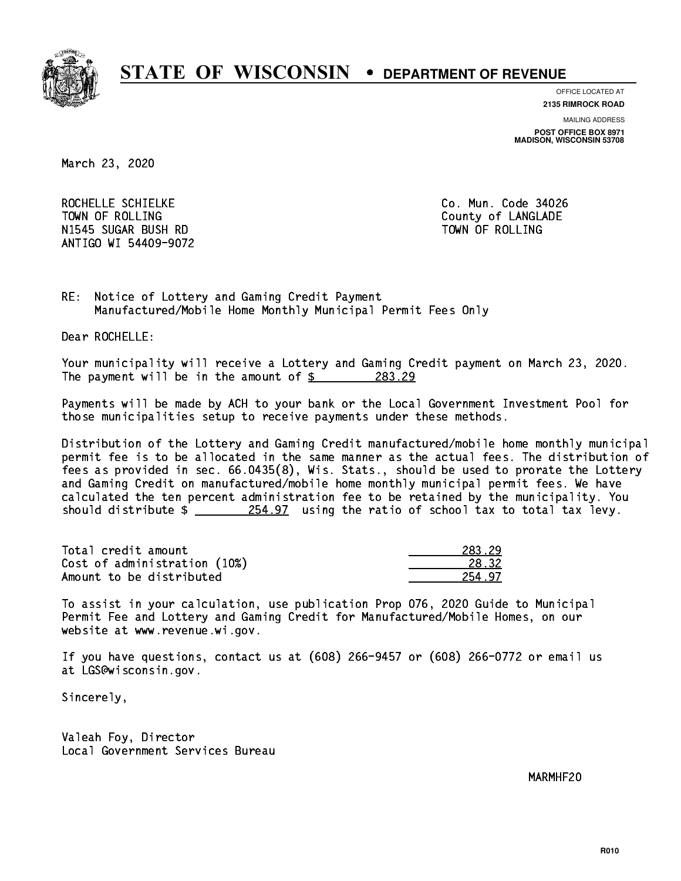

**OFFICE LOCATED AT**

**2135 RIMROCK ROAD**

**MAILING ADDRESS POST OFFICE BOX 8971 MADISON, WISCONSIN 53708**

March 23, 2020

ROCHELLE SCHIELKE CO. Mun. Code 34026 TOWN OF ROLLING **COUNTY OF ROLLING**  N1545 SUGAR BUSH RD TOWN OF ROLLING ANTIGO WI 54409-9072

RE: Notice of Lottery and Gaming Credit Payment Manufactured/Mobile Home Monthly Municipal Permit Fees Only

Dear ROCHELLE:

 Your municipality will receive a Lottery and Gaming Credit payment on March 23, 2020. The payment will be in the amount of  $\frac{283.29}{200}$ 

 Payments will be made by ACH to your bank or the Local Government Investment Pool for those municipalities setup to receive payments under these methods.

 Distribution of the Lottery and Gaming Credit manufactured/mobile home monthly municipal permit fee is to be allocated in the same manner as the actual fees. The distribution of fees as provided in sec. 66.0435(8), Wis. Stats., should be used to prorate the Lottery and Gaming Credit on manufactured/mobile home monthly municipal permit fees. We have calculated the ten percent administration fee to be retained by the municipality. You should distribute  $\frac{254.97}{254.97}$  using the ratio of school tax to total tax levy.

Total credit amount Cost of administration (10%) Amount to be distributed

| - 79            |
|-----------------|
| $\leftarrow$ 32 |
| 1 I             |

 To assist in your calculation, use publication Prop 076, 2020 Guide to Municipal Permit Fee and Lottery and Gaming Credit for Manufactured/Mobile Homes, on our website at www.revenue.wi.gov.

 If you have questions, contact us at (608) 266-9457 or (608) 266-0772 or email us at LGS@wisconsin.gov.

Sincerely,

 Valeah Foy, Director Local Government Services Bureau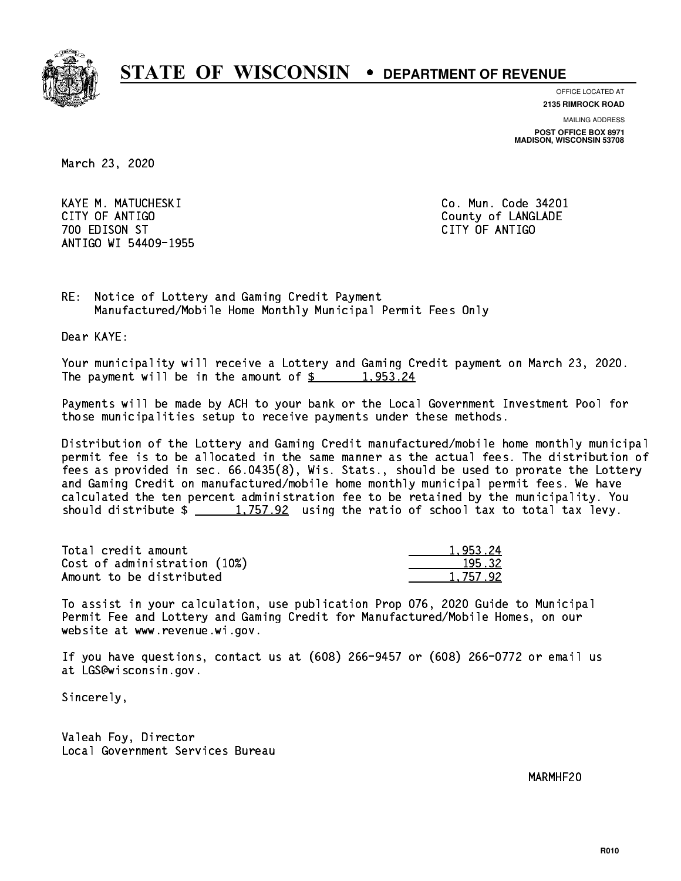

**OFFICE LOCATED AT**

**2135 RIMROCK ROAD**

**MAILING ADDRESS**

**POST OFFICE BOX 8971 MADISON, WISCONSIN 53708**

March 23, 2020

 KAYE M. MATUCHESKI Co. Mun. Code 34201 CITY OF ANTIGO COUNTY OF ANTIGO 700 EDISON ST CITY OF ANTIGO ANTIGO WI 54409-1955

RE: Notice of Lottery and Gaming Credit Payment Manufactured/Mobile Home Monthly Municipal Permit Fees Only

Dear KAYE:

 Your municipality will receive a Lottery and Gaming Credit payment on March 23, 2020. The payment will be in the amount of \$ 1,953.24 \_\_\_\_\_\_\_\_\_\_\_\_\_\_\_\_

 Payments will be made by ACH to your bank or the Local Government Investment Pool for those municipalities setup to receive payments under these methods.

 Distribution of the Lottery and Gaming Credit manufactured/mobile home monthly municipal permit fee is to be allocated in the same manner as the actual fees. The distribution of fees as provided in sec. 66.0435(8), Wis. Stats., should be used to prorate the Lottery and Gaming Credit on manufactured/mobile home monthly municipal permit fees. We have calculated the ten percent administration fee to be retained by the municipality. You should distribute  $\frac{1,757.92}{1,757.92}$  using the ratio of school tax to total tax levy.

| Total credit amount          | 1.953.24 |
|------------------------------|----------|
| Cost of administration (10%) | 195.32   |
| Amount to be distributed     | 1.757.92 |

 To assist in your calculation, use publication Prop 076, 2020 Guide to Municipal Permit Fee and Lottery and Gaming Credit for Manufactured/Mobile Homes, on our website at www.revenue.wi.gov.

 If you have questions, contact us at (608) 266-9457 or (608) 266-0772 or email us at LGS@wisconsin.gov.

Sincerely,

 Valeah Foy, Director Local Government Services Bureau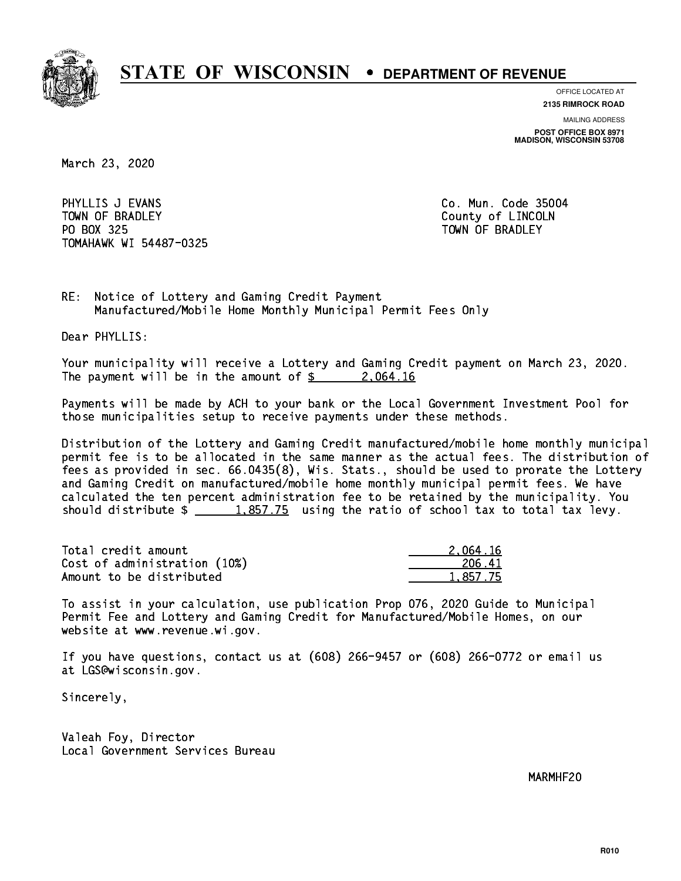

**OFFICE LOCATED AT**

**2135 RIMROCK ROAD**

**MAILING ADDRESS POST OFFICE BOX 8971 MADISON, WISCONSIN 53708**

March 23, 2020

PHYLLIS J EVANS **Co. Mun. Code 35004** TOWN OF BRADLEY **COUNTY COULD AND ACCOUNT OF COULD A** PO BOX 325 PO BOX 325 TOWN OF BRADLEY TOMAHAWK WI 54487-0325

RE: Notice of Lottery and Gaming Credit Payment Manufactured/Mobile Home Monthly Municipal Permit Fees Only

Dear PHYLLIS:

 Your municipality will receive a Lottery and Gaming Credit payment on March 23, 2020. The payment will be in the amount of  $\frac{2.064.16}{2.064.16}$ 

 Payments will be made by ACH to your bank or the Local Government Investment Pool for those municipalities setup to receive payments under these methods.

 Distribution of the Lottery and Gaming Credit manufactured/mobile home monthly municipal permit fee is to be allocated in the same manner as the actual fees. The distribution of fees as provided in sec. 66.0435(8), Wis. Stats., should be used to prorate the Lottery and Gaming Credit on manufactured/mobile home monthly municipal permit fees. We have calculated the ten percent administration fee to be retained by the municipality. You should distribute  $\frac{1.857.75}{1.857.75}$  using the ratio of school tax to total tax levy.

| Total credit amount          | 2.064.16 |
|------------------------------|----------|
| Cost of administration (10%) | 206.41   |
| Amount to be distributed     | 1.857.75 |

 To assist in your calculation, use publication Prop 076, 2020 Guide to Municipal Permit Fee and Lottery and Gaming Credit for Manufactured/Mobile Homes, on our website at www.revenue.wi.gov.

 If you have questions, contact us at (608) 266-9457 or (608) 266-0772 or email us at LGS@wisconsin.gov.

Sincerely,

 Valeah Foy, Director Local Government Services Bureau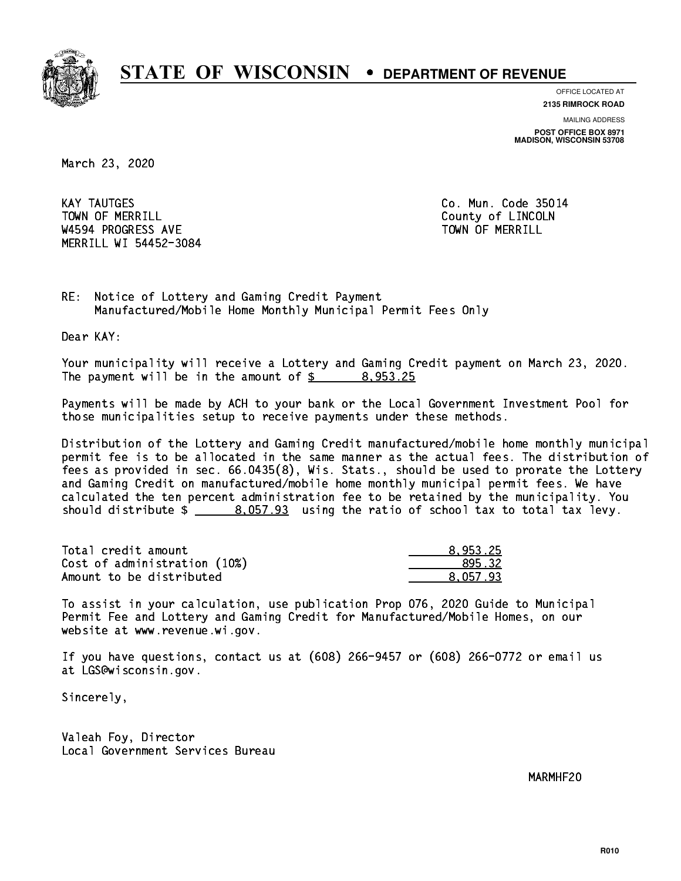

**OFFICE LOCATED AT**

**2135 RIMROCK ROAD**

**MAILING ADDRESS POST OFFICE BOX 8971 MADISON, WISCONSIN 53708**

March 23, 2020

**KAY TAUTGES** TOWN OF MERRILL **TOWN OF MERRILL** W4594 PROGRESS AVE TOWN OF MERRILL MERRILL WI 54452-3084

Co. Mun. Code 35014

RE: Notice of Lottery and Gaming Credit Payment Manufactured/Mobile Home Monthly Municipal Permit Fees Only

Dear KAY:

 Your municipality will receive a Lottery and Gaming Credit payment on March 23, 2020. The payment will be in the amount of  $\frac{2}{3}$  8,953.25

 Payments will be made by ACH to your bank or the Local Government Investment Pool for those municipalities setup to receive payments under these methods.

 Distribution of the Lottery and Gaming Credit manufactured/mobile home monthly municipal permit fee is to be allocated in the same manner as the actual fees. The distribution of fees as provided in sec. 66.0435(8), Wis. Stats., should be used to prorate the Lottery and Gaming Credit on manufactured/mobile home monthly municipal permit fees. We have calculated the ten percent administration fee to be retained by the municipality. You should distribute  $\frac{2}{1}$   $\frac{8.057.93}{2}$  using the ratio of school tax to total tax levy.

| Total credit amount          | 8.953.25 |
|------------------------------|----------|
| Cost of administration (10%) | 895.32   |
| Amount to be distributed     | 8.057.93 |

 To assist in your calculation, use publication Prop 076, 2020 Guide to Municipal Permit Fee and Lottery and Gaming Credit for Manufactured/Mobile Homes, on our website at www.revenue.wi.gov.

 If you have questions, contact us at (608) 266-9457 or (608) 266-0772 or email us at LGS@wisconsin.gov.

Sincerely,

 Valeah Foy, Director Local Government Services Bureau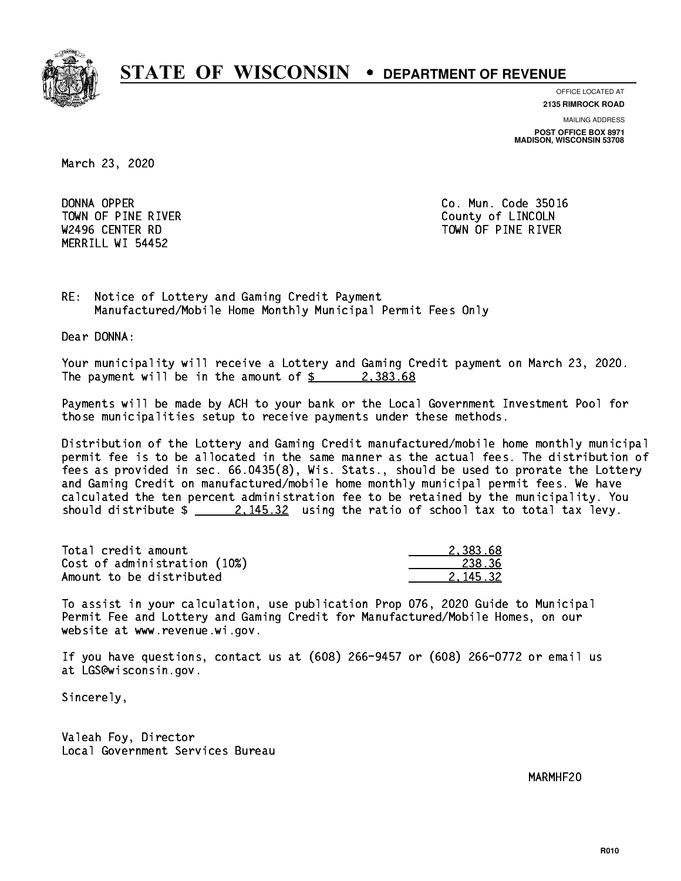

**OFFICE LOCATED AT**

**2135 RIMROCK ROAD**

**MAILING ADDRESS POST OFFICE BOX 8971 MADISON, WISCONSIN 53708**

March 23, 2020

DONNA OPPER TOWN OF PINE RIVER **COUNTY OF LINCOLN** MERRILL WI 54452

Co. Mun. Code 35016 W2496 CENTER RD TOWN OF PINE RIVER

RE: Notice of Lottery and Gaming Credit Payment Manufactured/Mobile Home Monthly Municipal Permit Fees Only

Dear DONNA:

 Your municipality will receive a Lottery and Gaming Credit payment on March 23, 2020. The payment will be in the amount of  $\frac{2}{3}$  2,383.68

 Payments will be made by ACH to your bank or the Local Government Investment Pool for those municipalities setup to receive payments under these methods.

 Distribution of the Lottery and Gaming Credit manufactured/mobile home monthly municipal permit fee is to be allocated in the same manner as the actual fees. The distribution of fees as provided in sec. 66.0435(8), Wis. Stats., should be used to prorate the Lottery and Gaming Credit on manufactured/mobile home monthly municipal permit fees. We have calculated the ten percent administration fee to be retained by the municipality. You should distribute  $\frac{2.145.32}{2.145.32}$  using the ratio of school tax to total tax levy.

| Total credit amount          | 2.383.68 |
|------------------------------|----------|
| Cost of administration (10%) | 238.36   |
| Amount to be distributed     | 2.145.32 |

 To assist in your calculation, use publication Prop 076, 2020 Guide to Municipal Permit Fee and Lottery and Gaming Credit for Manufactured/Mobile Homes, on our website at www.revenue.wi.gov.

 If you have questions, contact us at (608) 266-9457 or (608) 266-0772 or email us at LGS@wisconsin.gov.

Sincerely,

 Valeah Foy, Director Local Government Services Bureau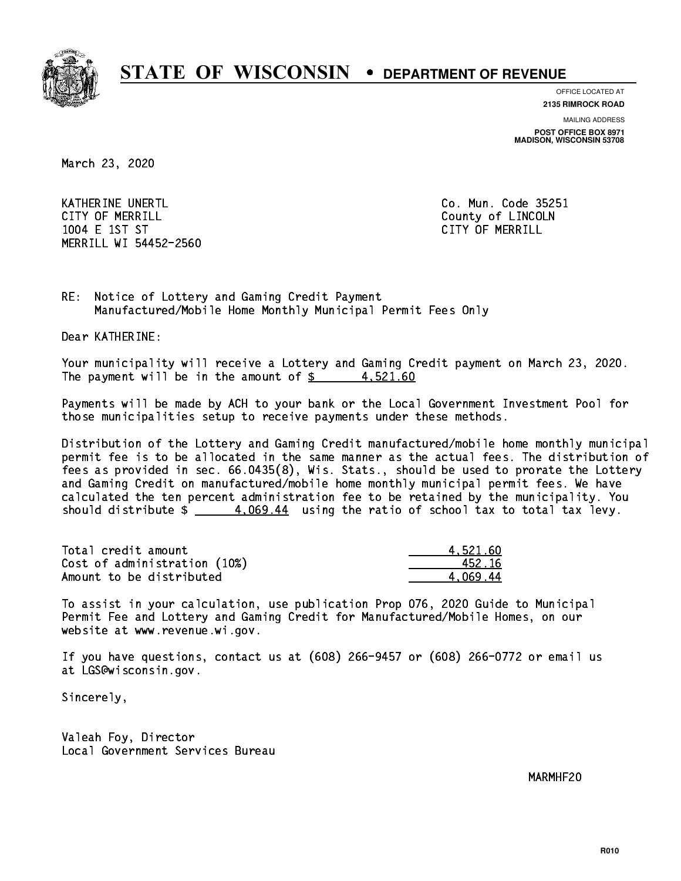

**OFFICE LOCATED AT**

**2135 RIMROCK ROAD**

**MAILING ADDRESS POST OFFICE BOX 8971 MADISON, WISCONSIN 53708**

March 23, 2020

KATHERINE UNERTL Communication of the contract of the contract of the code 25251 CITY OF MERRILL **COUNTY COUNTY OF LINCOLN**  1004 E 1ST ST CITY OF MERRILL MERRILL WI 54452-2560

RE: Notice of Lottery and Gaming Credit Payment Manufactured/Mobile Home Monthly Municipal Permit Fees Only

Dear KATHERINE:

 Your municipality will receive a Lottery and Gaming Credit payment on March 23, 2020. The payment will be in the amount of  $\frac{2}{3}$  4,521.60

 Payments will be made by ACH to your bank or the Local Government Investment Pool for those municipalities setup to receive payments under these methods.

 Distribution of the Lottery and Gaming Credit manufactured/mobile home monthly municipal permit fee is to be allocated in the same manner as the actual fees. The distribution of fees as provided in sec. 66.0435(8), Wis. Stats., should be used to prorate the Lottery and Gaming Credit on manufactured/mobile home monthly municipal permit fees. We have calculated the ten percent administration fee to be retained by the municipality. You should distribute  $\frac{4.069.44}{2}$  using the ratio of school tax to total tax levy.

| Total credit amount          | 4.521.60 |
|------------------------------|----------|
| Cost of administration (10%) | 452.16   |
| Amount to be distributed     | 4.069.44 |

 To assist in your calculation, use publication Prop 076, 2020 Guide to Municipal Permit Fee and Lottery and Gaming Credit for Manufactured/Mobile Homes, on our website at www.revenue.wi.gov.

 If you have questions, contact us at (608) 266-9457 or (608) 266-0772 or email us at LGS@wisconsin.gov.

Sincerely,

 Valeah Foy, Director Local Government Services Bureau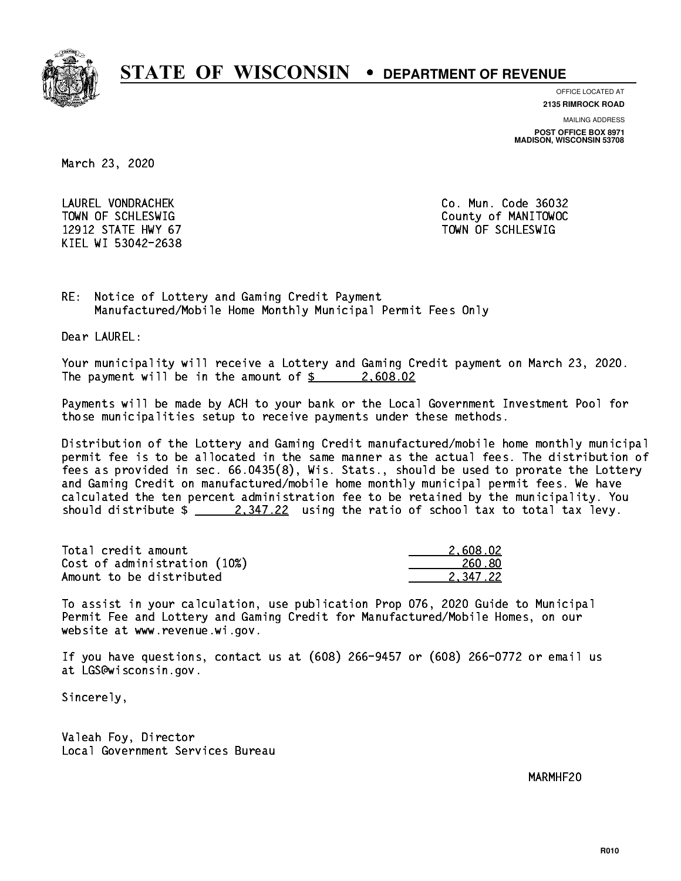

**OFFICE LOCATED AT**

**2135 RIMROCK ROAD**

**MAILING ADDRESS**

**POST OFFICE BOX 8971 MADISON, WISCONSIN 53708**

March 23, 2020

 LAUREL VONDRACHEK Co. Mun. Code 36032 12912 STATE HWY 67 TOWN OF SCHLESWIG KIEL WI 53042-2638

TOWN OF SCHLESWIG County of MANITOWOC

RE: Notice of Lottery and Gaming Credit Payment Manufactured/Mobile Home Monthly Municipal Permit Fees Only

Dear LAUREL:

 Your municipality will receive a Lottery and Gaming Credit payment on March 23, 2020. The payment will be in the amount of  $\frac{2}{3}$  2,608.02

 Payments will be made by ACH to your bank or the Local Government Investment Pool for those municipalities setup to receive payments under these methods.

 Distribution of the Lottery and Gaming Credit manufactured/mobile home monthly municipal permit fee is to be allocated in the same manner as the actual fees. The distribution of fees as provided in sec. 66.0435(8), Wis. Stats., should be used to prorate the Lottery and Gaming Credit on manufactured/mobile home monthly municipal permit fees. We have calculated the ten percent administration fee to be retained by the municipality. You should distribute  $\frac{2,347.22}{2}$  using the ratio of school tax to total tax levy.

| Total credit amount          | 2,608.02 |
|------------------------------|----------|
| Cost of administration (10%) | 260.80   |
| Amount to be distributed     | 2.347.22 |

 To assist in your calculation, use publication Prop 076, 2020 Guide to Municipal Permit Fee and Lottery and Gaming Credit for Manufactured/Mobile Homes, on our website at www.revenue.wi.gov.

 If you have questions, contact us at (608) 266-9457 or (608) 266-0772 or email us at LGS@wisconsin.gov.

Sincerely,

 Valeah Foy, Director Local Government Services Bureau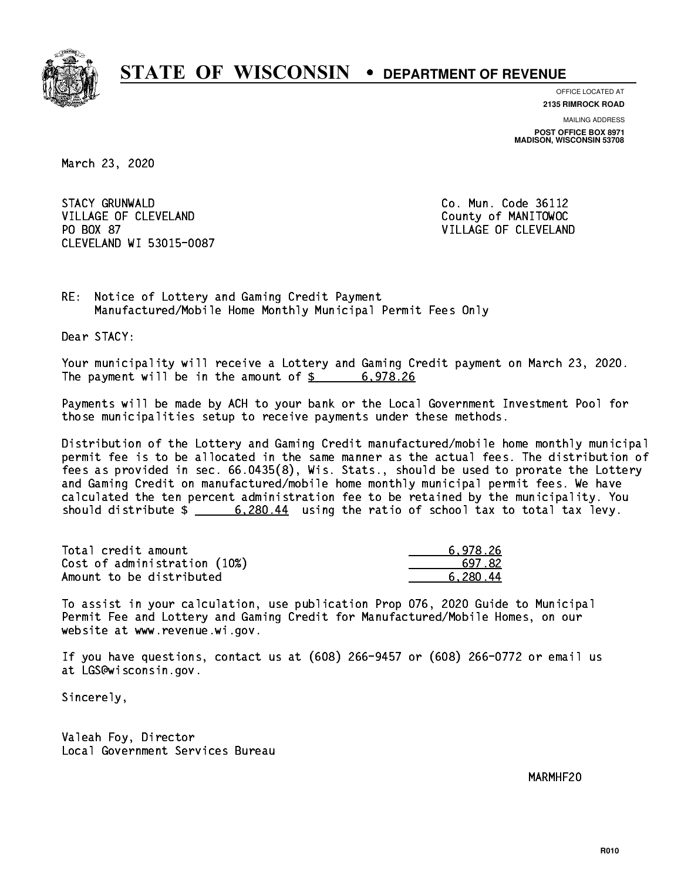

**OFFICE LOCATED AT 2135 RIMROCK ROAD**

**MAILING ADDRESS POST OFFICE BOX 8971 MADISON, WISCONSIN 53708**

March 23, 2020

**STACY GRUNWALD** VILLAGE OF CLEVELAND County of MANITOWOC PO BOX 87 CLEVELAND WI 53015-0087

Co. Mun. Code 36112 VILLAGE OF CLEVELAND

RE: Notice of Lottery and Gaming Credit Payment Manufactured/Mobile Home Monthly Municipal Permit Fees Only

Dear STACY:

 Your municipality will receive a Lottery and Gaming Credit payment on March 23, 2020. The payment will be in the amount of  $\frac{2}{3}$  6,978.26

 Payments will be made by ACH to your bank or the Local Government Investment Pool for those municipalities setup to receive payments under these methods.

 Distribution of the Lottery and Gaming Credit manufactured/mobile home monthly municipal permit fee is to be allocated in the same manner as the actual fees. The distribution of fees as provided in sec. 66.0435(8), Wis. Stats., should be used to prorate the Lottery and Gaming Credit on manufactured/mobile home monthly municipal permit fees. We have calculated the ten percent administration fee to be retained by the municipality. You should distribute \$ 6,280.44 using the ratio of school tax to total tax levy. \_\_\_\_\_\_\_\_\_\_\_\_\_\_

| Total credit amount          | 6.978.26 |
|------------------------------|----------|
| Cost of administration (10%) | 697.82   |
| Amount to be distributed     | 6.280.44 |

 To assist in your calculation, use publication Prop 076, 2020 Guide to Municipal Permit Fee and Lottery and Gaming Credit for Manufactured/Mobile Homes, on our website at www.revenue.wi.gov.

 If you have questions, contact us at (608) 266-9457 or (608) 266-0772 or email us at LGS@wisconsin.gov.

Sincerely,

 Valeah Foy, Director Local Government Services Bureau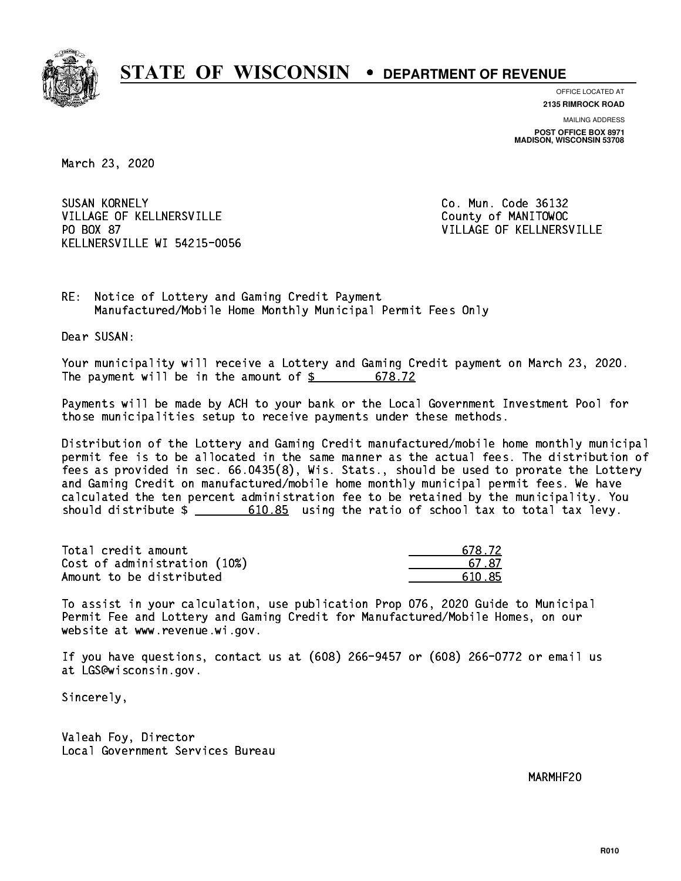

**OFFICE LOCATED AT**

**2135 RIMROCK ROAD**

**MAILING ADDRESS POST OFFICE BOX 8971 MADISON, WISCONSIN 53708**

March 23, 2020

**SUSAN KORNELY** VILLAGE OF KELLNERSVILLE County of MANITOWOC PO BOX 87 KELLNERSVILLE WI 54215-0056

Co. Mun. Code 36132 VILLAGE OF KELLNERSVILLE

RE: Notice of Lottery and Gaming Credit Payment Manufactured/Mobile Home Monthly Municipal Permit Fees Only

Dear SUSAN:

 Your municipality will receive a Lottery and Gaming Credit payment on March 23, 2020. The payment will be in the amount of \$ 678.72 \_\_\_\_\_\_\_\_\_\_\_\_\_\_\_\_

 Payments will be made by ACH to your bank or the Local Government Investment Pool for those municipalities setup to receive payments under these methods.

 Distribution of the Lottery and Gaming Credit manufactured/mobile home monthly municipal permit fee is to be allocated in the same manner as the actual fees. The distribution of fees as provided in sec. 66.0435(8), Wis. Stats., should be used to prorate the Lottery and Gaming Credit on manufactured/mobile home monthly municipal permit fees. We have calculated the ten percent administration fee to be retained by the municipality. You should distribute  $\frac{2}{1}$   $\frac{610.85}{2}$  using the ratio of school tax to total tax levy.

| Total credit amount          | 678 72 |
|------------------------------|--------|
| Cost of administration (10%) | 67.87  |
| Amount to be distributed     | 610.85 |

 To assist in your calculation, use publication Prop 076, 2020 Guide to Municipal Permit Fee and Lottery and Gaming Credit for Manufactured/Mobile Homes, on our website at www.revenue.wi.gov.

 If you have questions, contact us at (608) 266-9457 or (608) 266-0772 or email us at LGS@wisconsin.gov.

Sincerely,

 Valeah Foy, Director Local Government Services Bureau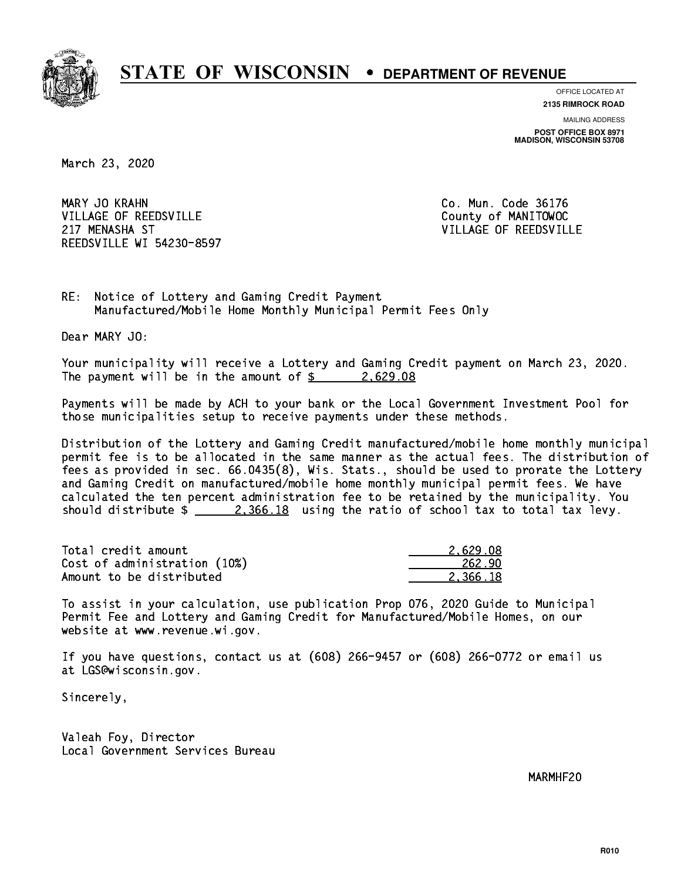

**OFFICE LOCATED AT**

**2135 RIMROCK ROAD**

**MAILING ADDRESS POST OFFICE BOX 8971 MADISON, WISCONSIN 53708**

March 23, 2020

MARY JO KRAHN VILLAGE OF REEDSVILLE COUNTY OF MANITOWOC 217 MENASHA ST VILLAGE OF REEDSVILLE REEDSVILLE WI 54230-8597

Co. Mun. Code 36176

RE: Notice of Lottery and Gaming Credit Payment Manufactured/Mobile Home Monthly Municipal Permit Fees Only

Dear MARY JO:

 Your municipality will receive a Lottery and Gaming Credit payment on March 23, 2020. The payment will be in the amount of  $\frac{2.629.08}{2.629.08}$ 

 Payments will be made by ACH to your bank or the Local Government Investment Pool for those municipalities setup to receive payments under these methods.

 Distribution of the Lottery and Gaming Credit manufactured/mobile home monthly municipal permit fee is to be allocated in the same manner as the actual fees. The distribution of fees as provided in sec. 66.0435(8), Wis. Stats., should be used to prorate the Lottery and Gaming Credit on manufactured/mobile home monthly municipal permit fees. We have calculated the ten percent administration fee to be retained by the municipality. You should distribute  $\frac{2,366.18}{2}$  using the ratio of school tax to total tax levy.

| Total credit amount          | 2.629.08 |
|------------------------------|----------|
| Cost of administration (10%) | 262.90   |
| Amount to be distributed     | 2.366.18 |

 To assist in your calculation, use publication Prop 076, 2020 Guide to Municipal Permit Fee and Lottery and Gaming Credit for Manufactured/Mobile Homes, on our website at www.revenue.wi.gov.

 If you have questions, contact us at (608) 266-9457 or (608) 266-0772 or email us at LGS@wisconsin.gov.

Sincerely,

 Valeah Foy, Director Local Government Services Bureau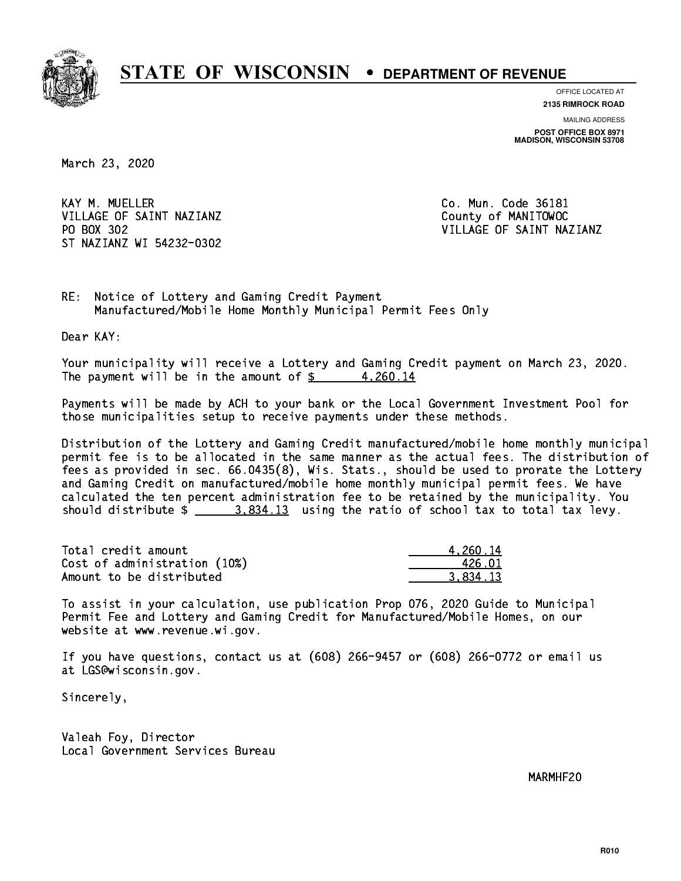

**OFFICE LOCATED AT 2135 RIMROCK ROAD**

**MAILING ADDRESS**

**POST OFFICE BOX 8971 MADISON, WISCONSIN 53708**

March 23, 2020

KAY M. MUELLER VILLAGE OF SAINT NAZIANZ County of MANITOWOC PO BOX 302 ST NAZIANZ WI 54232-0302

Co. Mun. Code 36181 VILLAGE OF SAINT NAZIANZ

RE: Notice of Lottery and Gaming Credit Payment Manufactured/Mobile Home Monthly Municipal Permit Fees Only

Dear KAY:

 Your municipality will receive a Lottery and Gaming Credit payment on March 23, 2020. The payment will be in the amount of  $\frac{2}{3}$  4,260.14

 Payments will be made by ACH to your bank or the Local Government Investment Pool for those municipalities setup to receive payments under these methods.

 Distribution of the Lottery and Gaming Credit manufactured/mobile home monthly municipal permit fee is to be allocated in the same manner as the actual fees. The distribution of fees as provided in sec. 66.0435(8), Wis. Stats., should be used to prorate the Lottery and Gaming Credit on manufactured/mobile home monthly municipal permit fees. We have calculated the ten percent administration fee to be retained by the municipality. You should distribute  $\frac{2.834.13}{2.834.13}$  using the ratio of school tax to total tax levy.

| Total credit amount          | 4.260.14 |
|------------------------------|----------|
| Cost of administration (10%) | 426 N.I  |
| Amount to be distributed     | 3.834.13 |

 To assist in your calculation, use publication Prop 076, 2020 Guide to Municipal Permit Fee and Lottery and Gaming Credit for Manufactured/Mobile Homes, on our website at www.revenue.wi.gov.

 If you have questions, contact us at (608) 266-9457 or (608) 266-0772 or email us at LGS@wisconsin.gov.

Sincerely,

 Valeah Foy, Director Local Government Services Bureau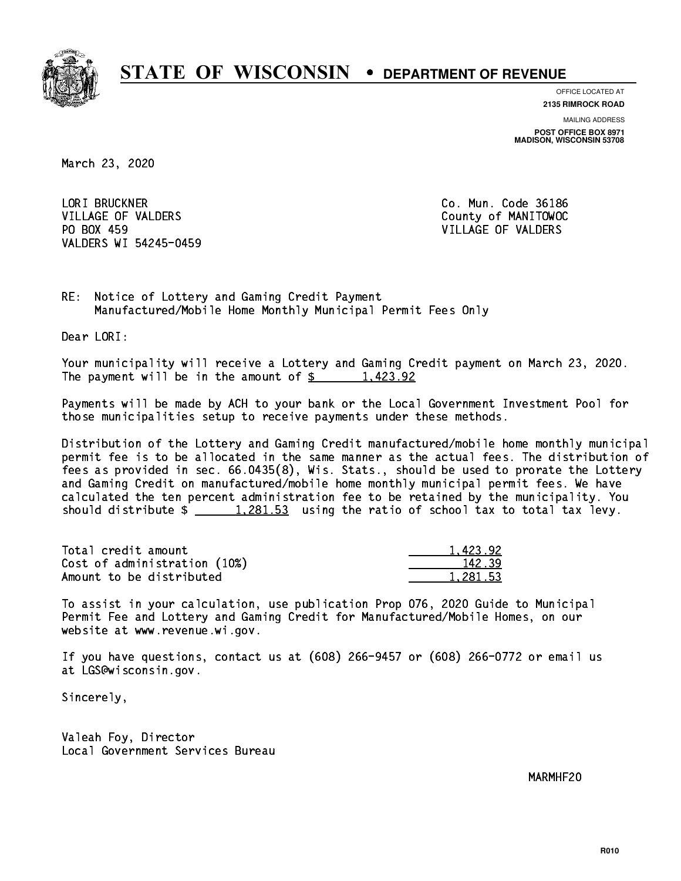

**OFFICE LOCATED AT 2135 RIMROCK ROAD**

**MAILING ADDRESS POST OFFICE BOX 8971 MADISON, WISCONSIN 53708**

March 23, 2020

 LORI BRUCKNER Co. Mun. Code 36186 VILLAGE OF VALDERS COUNTY OF MANITOWOC PO BOX 459 VILLAGE OF VALDERS VALDERS WI 54245-0459

RE: Notice of Lottery and Gaming Credit Payment Manufactured/Mobile Home Monthly Municipal Permit Fees Only

Dear LORI:

 Your municipality will receive a Lottery and Gaming Credit payment on March 23, 2020. The payment will be in the amount of  $\frac{2}{3}$  1,423.92

 Payments will be made by ACH to your bank or the Local Government Investment Pool for those municipalities setup to receive payments under these methods.

 Distribution of the Lottery and Gaming Credit manufactured/mobile home monthly municipal permit fee is to be allocated in the same manner as the actual fees. The distribution of fees as provided in sec. 66.0435(8), Wis. Stats., should be used to prorate the Lottery and Gaming Credit on manufactured/mobile home monthly municipal permit fees. We have calculated the ten percent administration fee to be retained by the municipality. You should distribute  $\frac{1,281.53}{1,281.53}$  using the ratio of school tax to total tax levy.

| Total credit amount          | 1.423.92 |
|------------------------------|----------|
| Cost of administration (10%) | 142.39   |
| Amount to be distributed     | 1.281.53 |

 To assist in your calculation, use publication Prop 076, 2020 Guide to Municipal Permit Fee and Lottery and Gaming Credit for Manufactured/Mobile Homes, on our website at www.revenue.wi.gov.

 If you have questions, contact us at (608) 266-9457 or (608) 266-0772 or email us at LGS@wisconsin.gov.

Sincerely,

 Valeah Foy, Director Local Government Services Bureau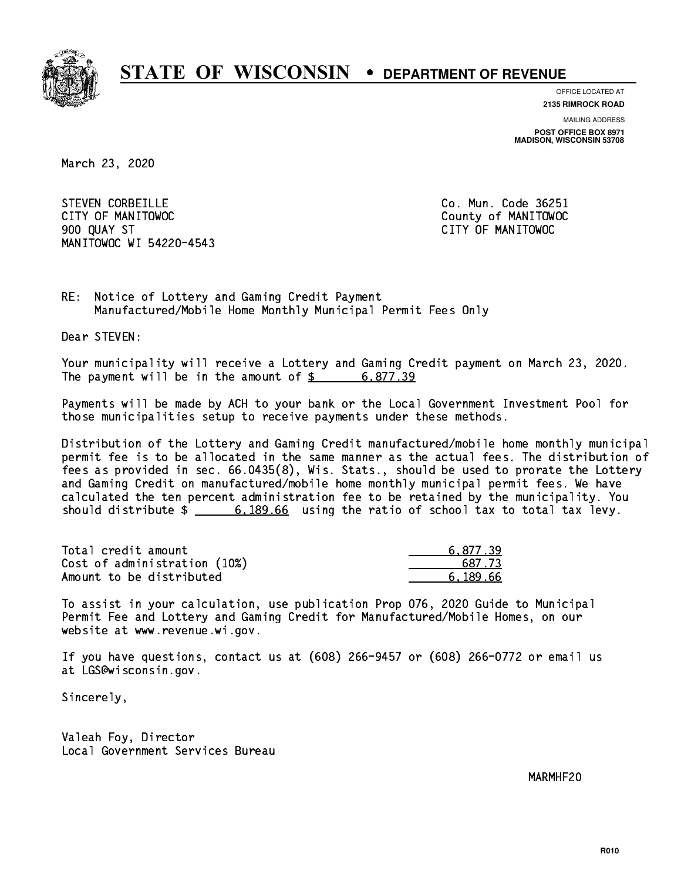

**OFFICE LOCATED AT**

**2135 RIMROCK ROAD**

**MAILING ADDRESS POST OFFICE BOX 8971 MADISON, WISCONSIN 53708**

March 23, 2020

STEVEN CORBEILLE **CO. Mun. Code 36251**  CITY OF MANITOWOC County of MANITOWOC 900 QUAY ST CITY OF MANITOWOC MANITOWOC WI 54220-4543

RE: Notice of Lottery and Gaming Credit Payment Manufactured/Mobile Home Monthly Municipal Permit Fees Only

Dear STEVEN:

 Your municipality will receive a Lottery and Gaming Credit payment on March 23, 2020. The payment will be in the amount of  $\frac{2}{3}$  6,877.39

 Payments will be made by ACH to your bank or the Local Government Investment Pool for those municipalities setup to receive payments under these methods.

 Distribution of the Lottery and Gaming Credit manufactured/mobile home monthly municipal permit fee is to be allocated in the same manner as the actual fees. The distribution of fees as provided in sec. 66.0435(8), Wis. Stats., should be used to prorate the Lottery and Gaming Credit on manufactured/mobile home monthly municipal permit fees. We have calculated the ten percent administration fee to be retained by the municipality. You should distribute  $\frac{2}{1}$   $\frac{6,189.66}{2}$  using the ratio of school tax to total tax levy.

| Total credit amount          | 6.877.39 |
|------------------------------|----------|
| Cost of administration (10%) | 687.73   |
| Amount to be distributed     | 6.189.66 |

 To assist in your calculation, use publication Prop 076, 2020 Guide to Municipal Permit Fee and Lottery and Gaming Credit for Manufactured/Mobile Homes, on our website at www.revenue.wi.gov.

 If you have questions, contact us at (608) 266-9457 or (608) 266-0772 or email us at LGS@wisconsin.gov.

Sincerely,

 Valeah Foy, Director Local Government Services Bureau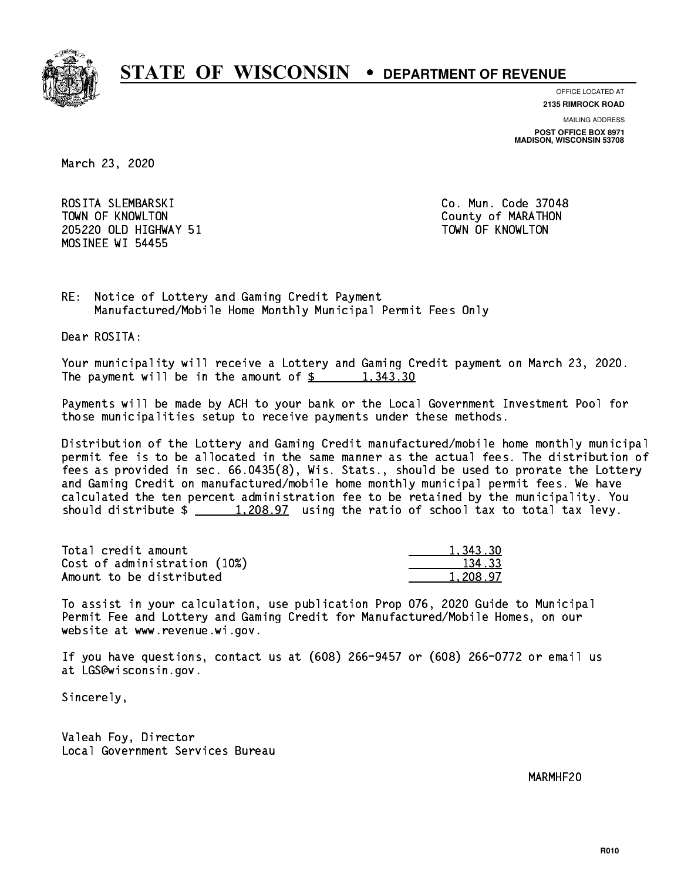

**OFFICE LOCATED AT**

**2135 RIMROCK ROAD**

**MAILING ADDRESS POST OFFICE BOX 8971 MADISON, WISCONSIN 53708**

March 23, 2020

 ROSITA SLEMBARSKI Co. Mun. Code 37048 TOWN OF KNOWLTON County of MARATHON 205220 OLD HIGHWAY 51 TOWN OF KNOWLTON MOSINEE WI 54455

RE: Notice of Lottery and Gaming Credit Payment Manufactured/Mobile Home Monthly Municipal Permit Fees Only

Dear ROSITA:

 Your municipality will receive a Lottery and Gaming Credit payment on March 23, 2020. The payment will be in the amount of  $\frac{2}{3}$  1,343.30

 Payments will be made by ACH to your bank or the Local Government Investment Pool for those municipalities setup to receive payments under these methods.

 Distribution of the Lottery and Gaming Credit manufactured/mobile home monthly municipal permit fee is to be allocated in the same manner as the actual fees. The distribution of fees as provided in sec. 66.0435(8), Wis. Stats., should be used to prorate the Lottery and Gaming Credit on manufactured/mobile home monthly municipal permit fees. We have calculated the ten percent administration fee to be retained by the municipality. You should distribute  $\frac{1,208.97}{1,208.97}$  using the ratio of school tax to total tax levy.

| Total credit amount          | 1.343.30 |
|------------------------------|----------|
| Cost of administration (10%) | 134.33   |
| Amount to be distributed     | 1,208.97 |

 To assist in your calculation, use publication Prop 076, 2020 Guide to Municipal Permit Fee and Lottery and Gaming Credit for Manufactured/Mobile Homes, on our website at www.revenue.wi.gov.

 If you have questions, contact us at (608) 266-9457 or (608) 266-0772 or email us at LGS@wisconsin.gov.

Sincerely,

 Valeah Foy, Director Local Government Services Bureau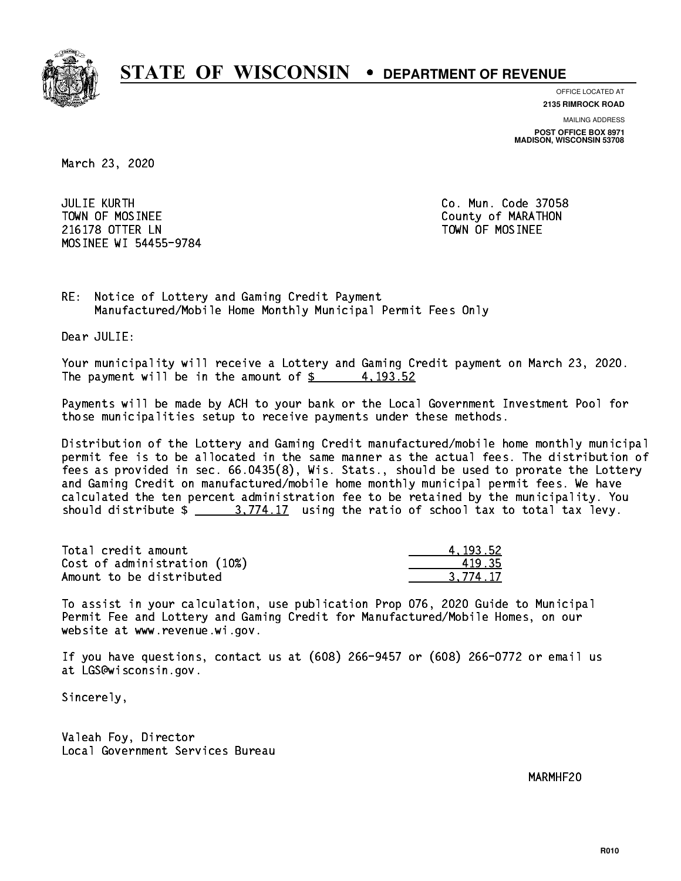

**OFFICE LOCATED AT**

**2135 RIMROCK ROAD**

**MAILING ADDRESS POST OFFICE BOX 8971 MADISON, WISCONSIN 53708**

March 23, 2020

 JULIE KURTH Co. Mun. Code 37058 TOWN OF MOSINEE County of MARATHON 216178 OTTER LN TOWN OF MOSINEE MOSINEE WI 54455-9784

RE: Notice of Lottery and Gaming Credit Payment Manufactured/Mobile Home Monthly Municipal Permit Fees Only

Dear JULIE:

 Your municipality will receive a Lottery and Gaming Credit payment on March 23, 2020. The payment will be in the amount of  $\frac{2}{3}$  4,193.52

 Payments will be made by ACH to your bank or the Local Government Investment Pool for those municipalities setup to receive payments under these methods.

 Distribution of the Lottery and Gaming Credit manufactured/mobile home monthly municipal permit fee is to be allocated in the same manner as the actual fees. The distribution of fees as provided in sec. 66.0435(8), Wis. Stats., should be used to prorate the Lottery and Gaming Credit on manufactured/mobile home monthly municipal permit fees. We have calculated the ten percent administration fee to be retained by the municipality. You should distribute  $\frac{2}{1}$   $\frac{3.774.17}{2}$  using the ratio of school tax to total tax levy.

| Total credit amount          | 4.193.52 |
|------------------------------|----------|
| Cost of administration (10%) | 419.35   |
| Amount to be distributed     | 3.774.17 |

 To assist in your calculation, use publication Prop 076, 2020 Guide to Municipal Permit Fee and Lottery and Gaming Credit for Manufactured/Mobile Homes, on our website at www.revenue.wi.gov.

 If you have questions, contact us at (608) 266-9457 or (608) 266-0772 or email us at LGS@wisconsin.gov.

Sincerely,

 Valeah Foy, Director Local Government Services Bureau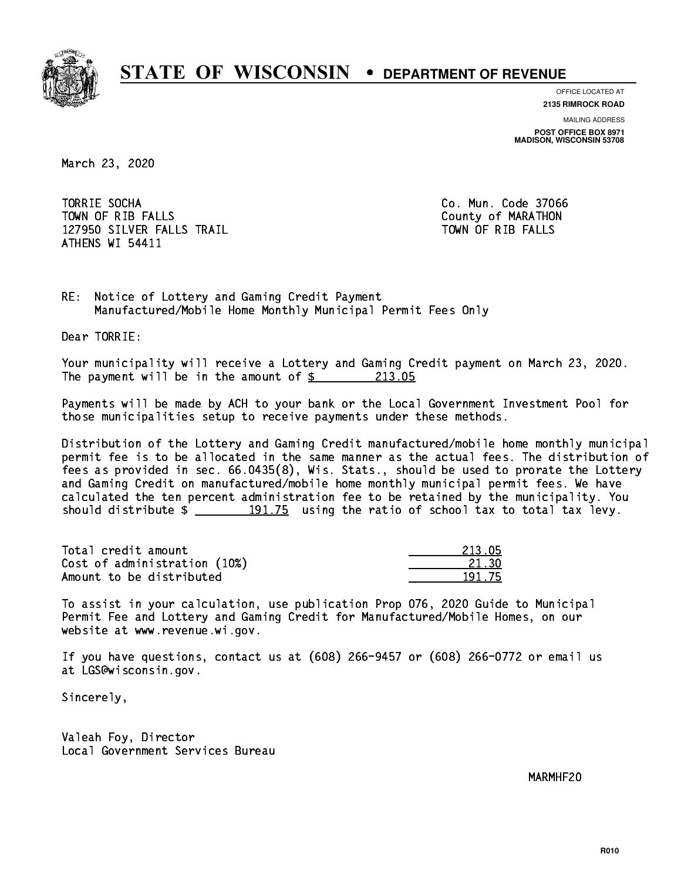

**OFFICE LOCATED AT**

**2135 RIMROCK ROAD**

**MAILING ADDRESS POST OFFICE BOX 8971 MADISON, WISCONSIN 53708**

March 23, 2020

 TORRIE SOCHA Co. Mun. Code 37066 TOWN OF RIB FALLS County of MARATHON 127950 SILVER FALLS TRAIL TOWN OF RIB FALLS ATHENS WI 54411

RE: Notice of Lottery and Gaming Credit Payment Manufactured/Mobile Home Monthly Municipal Permit Fees Only

Dear TORRIE:

 Your municipality will receive a Lottery and Gaming Credit payment on March 23, 2020. The payment will be in the amount of  $\frac{213.05}{213.05}$ 

 Payments will be made by ACH to your bank or the Local Government Investment Pool for those municipalities setup to receive payments under these methods.

 Distribution of the Lottery and Gaming Credit manufactured/mobile home monthly municipal permit fee is to be allocated in the same manner as the actual fees. The distribution of fees as provided in sec. 66.0435(8), Wis. Stats., should be used to prorate the Lottery and Gaming Credit on manufactured/mobile home monthly municipal permit fees. We have calculated the ten percent administration fee to be retained by the municipality. You should distribute  $\frac{191.75}{2}$  using the ratio of school tax to total tax levy.

Total credit amount Cost of administration (10%) Amount to be distributed

| 15<br>213 T |
|-------------|
| 21 1<br>וו  |
| - 75<br>п.  |

 To assist in your calculation, use publication Prop 076, 2020 Guide to Municipal Permit Fee and Lottery and Gaming Credit for Manufactured/Mobile Homes, on our website at www.revenue.wi.gov.

 If you have questions, contact us at (608) 266-9457 or (608) 266-0772 or email us at LGS@wisconsin.gov.

Sincerely,

 Valeah Foy, Director Local Government Services Bureau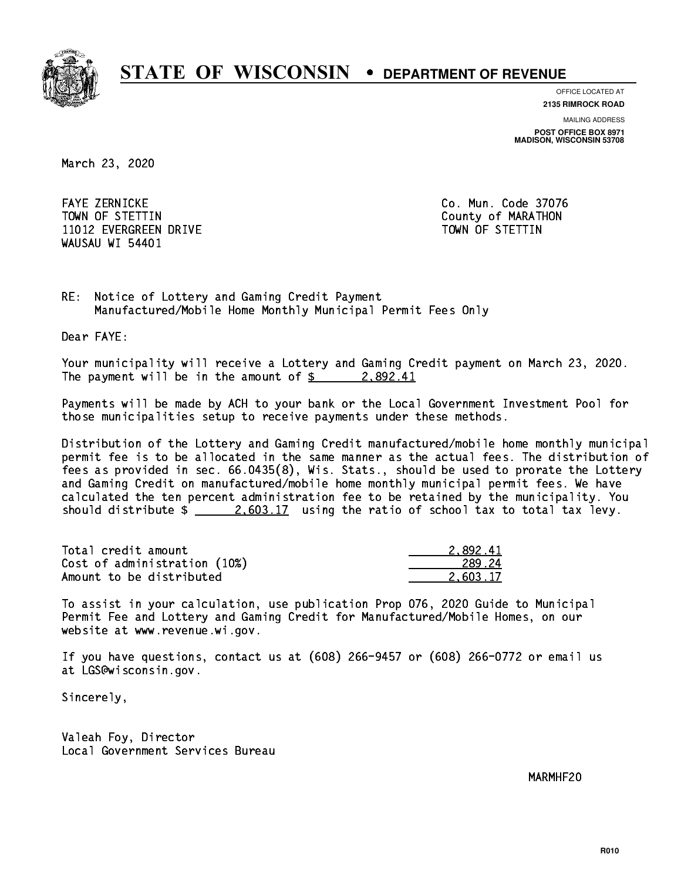

**OFFICE LOCATED AT**

**2135 RIMROCK ROAD**

**MAILING ADDRESS POST OFFICE BOX 8971 MADISON, WISCONSIN 53708**

March 23, 2020

 FAYE ZERNICKE Co. Mun. Code 37076 TOWN OF STETTIN County of MARATHON 11012 EVERGREEN DRIVE TOWN OF STETTIN WAUSAU WI 54401

RE: Notice of Lottery and Gaming Credit Payment Manufactured/Mobile Home Monthly Municipal Permit Fees Only

Dear FAYE:

 Your municipality will receive a Lottery and Gaming Credit payment on March 23, 2020. The payment will be in the amount of  $\frac{2}{3}$  2,892.41

 Payments will be made by ACH to your bank or the Local Government Investment Pool for those municipalities setup to receive payments under these methods.

 Distribution of the Lottery and Gaming Credit manufactured/mobile home monthly municipal permit fee is to be allocated in the same manner as the actual fees. The distribution of fees as provided in sec. 66.0435(8), Wis. Stats., should be used to prorate the Lottery and Gaming Credit on manufactured/mobile home monthly municipal permit fees. We have calculated the ten percent administration fee to be retained by the municipality. You should distribute  $\frac{2.603.17}{2.603.17}$  using the ratio of school tax to total tax levy.

| Total credit amount          | 2.892.41 |
|------------------------------|----------|
| Cost of administration (10%) | 289.24   |
| Amount to be distributed     | 2.603.17 |

 To assist in your calculation, use publication Prop 076, 2020 Guide to Municipal Permit Fee and Lottery and Gaming Credit for Manufactured/Mobile Homes, on our website at www.revenue.wi.gov.

 If you have questions, contact us at (608) 266-9457 or (608) 266-0772 or email us at LGS@wisconsin.gov.

Sincerely,

 Valeah Foy, Director Local Government Services Bureau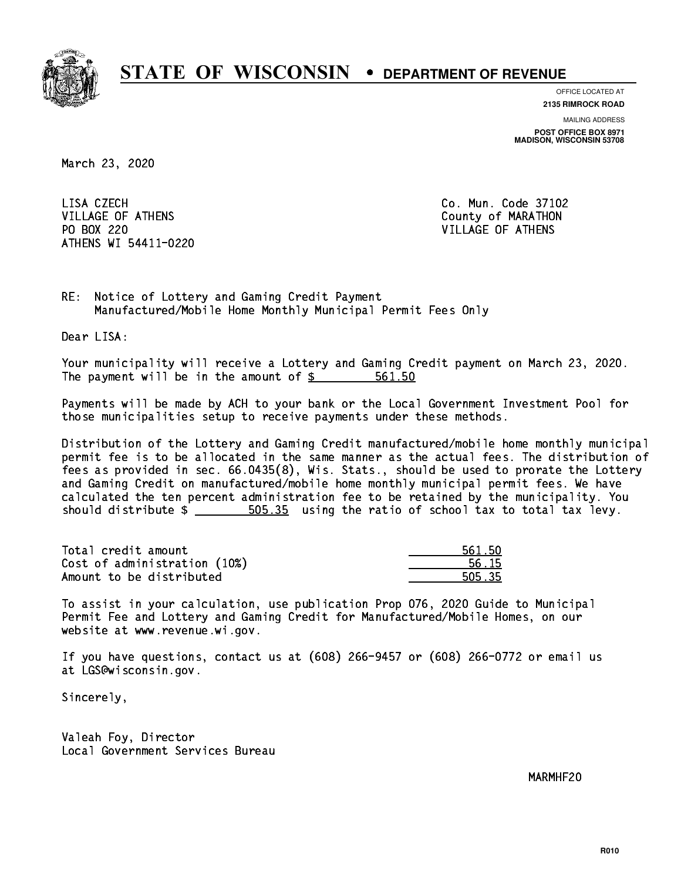

**OFFICE LOCATED AT**

**2135 RIMROCK ROAD**

**MAILING ADDRESS POST OFFICE BOX 8971 MADISON, WISCONSIN 53708**

March 23, 2020

LISA CZECH VILLAGE OF ATHENS County of MARATHON PO BOX 220 VILLAGE OF ATHENS ATHENS WI 54411-0220

Co. Mun. Code 37102

RE: Notice of Lottery and Gaming Credit Payment Manufactured/Mobile Home Monthly Municipal Permit Fees Only

Dear LISA:

 Your municipality will receive a Lottery and Gaming Credit payment on March 23, 2020. The payment will be in the amount of \$ 561.50 \_\_\_\_\_\_\_\_\_\_\_\_\_\_\_\_

 Payments will be made by ACH to your bank or the Local Government Investment Pool for those municipalities setup to receive payments under these methods.

 Distribution of the Lottery and Gaming Credit manufactured/mobile home monthly municipal permit fee is to be allocated in the same manner as the actual fees. The distribution of fees as provided in sec. 66.0435(8), Wis. Stats., should be used to prorate the Lottery and Gaming Credit on manufactured/mobile home monthly municipal permit fees. We have calculated the ten percent administration fee to be retained by the municipality. You should distribute  $\frac{2}{1}$   $\frac{505.35}{2}$  using the ratio of school tax to total tax levy.

Total credit amount Cost of administration (10%) Amount to be distributed

| 561 50      |
|-------------|
| 56 15       |
| 15.35<br>Е. |

 To assist in your calculation, use publication Prop 076, 2020 Guide to Municipal Permit Fee and Lottery and Gaming Credit for Manufactured/Mobile Homes, on our website at www.revenue.wi.gov.

 If you have questions, contact us at (608) 266-9457 or (608) 266-0772 or email us at LGS@wisconsin.gov.

Sincerely,

 Valeah Foy, Director Local Government Services Bureau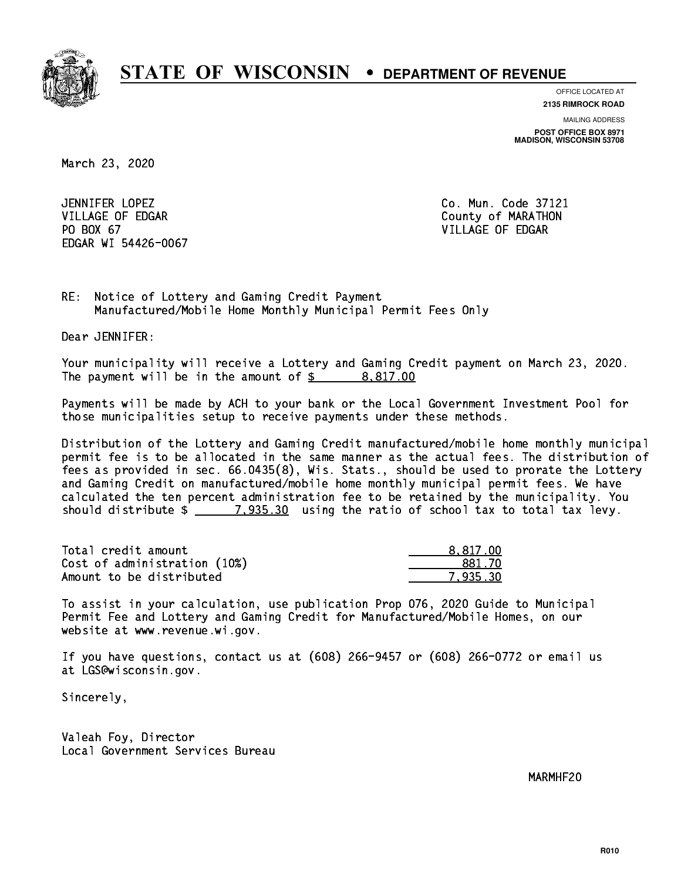

**OFFICE LOCATED AT**

**2135 RIMROCK ROAD**

**MAILING ADDRESS POST OFFICE BOX 8971 MADISON, WISCONSIN 53708**

March 23, 2020

 JENNIFER LOPEZ Co. Mun. Code 37121 VILLAGE OF EDGAR County of MARATHON PO BOX 67 VILLAGE OF EDGAR EDGAR WI 54426-0067

RE: Notice of Lottery and Gaming Credit Payment Manufactured/Mobile Home Monthly Municipal Permit Fees Only

Dear JENNIFER:

 Your municipality will receive a Lottery and Gaming Credit payment on March 23, 2020. The payment will be in the amount of  $\frac{2}{3}$  8,817.00

 Payments will be made by ACH to your bank or the Local Government Investment Pool for those municipalities setup to receive payments under these methods.

 Distribution of the Lottery and Gaming Credit manufactured/mobile home monthly municipal permit fee is to be allocated in the same manner as the actual fees. The distribution of fees as provided in sec. 66.0435(8), Wis. Stats., should be used to prorate the Lottery and Gaming Credit on manufactured/mobile home monthly municipal permit fees. We have calculated the ten percent administration fee to be retained by the municipality. You should distribute  $\frac{2}{2}$   $\frac{7,935.30}{2}$  using the ratio of school tax to total tax levy.

| Total credit amount          | 8.817.00 |
|------------------------------|----------|
| Cost of administration (10%) | 881.70   |
| Amount to be distributed     | 7.935.30 |

 To assist in your calculation, use publication Prop 076, 2020 Guide to Municipal Permit Fee and Lottery and Gaming Credit for Manufactured/Mobile Homes, on our website at www.revenue.wi.gov.

 If you have questions, contact us at (608) 266-9457 or (608) 266-0772 or email us at LGS@wisconsin.gov.

Sincerely,

 Valeah Foy, Director Local Government Services Bureau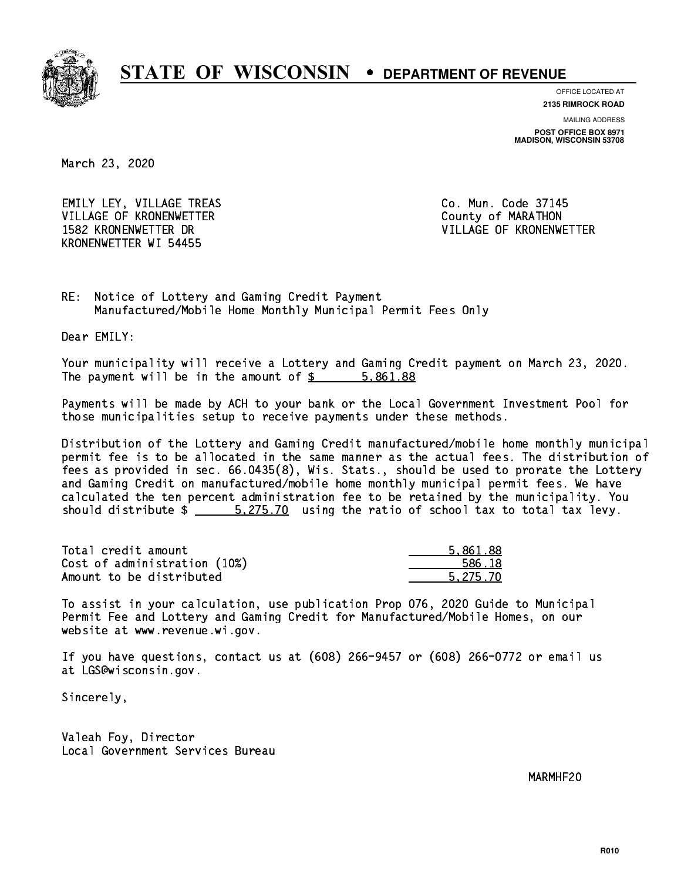

**OFFICE LOCATED AT**

**2135 RIMROCK ROAD**

**MAILING ADDRESS POST OFFICE BOX 8971 MADISON, WISCONSIN 53708**

March 23, 2020

EMILY LEY, VILLAGE TREAS CO. Mun. Code 37145 VILLAGE OF KRONENWETTER County of MARATHON 1582 KRONENWETTER DR VILLAGE OF KRONENWETTER KRONENWETTER WI 54455

RE: Notice of Lottery and Gaming Credit Payment Manufactured/Mobile Home Monthly Municipal Permit Fees Only

Dear EMILY:

 Your municipality will receive a Lottery and Gaming Credit payment on March 23, 2020. The payment will be in the amount of \$ 5,861.88 \_\_\_\_\_\_\_\_\_\_\_\_\_\_\_\_

 Payments will be made by ACH to your bank or the Local Government Investment Pool for those municipalities setup to receive payments under these methods.

 Distribution of the Lottery and Gaming Credit manufactured/mobile home monthly municipal permit fee is to be allocated in the same manner as the actual fees. The distribution of fees as provided in sec. 66.0435(8), Wis. Stats., should be used to prorate the Lottery and Gaming Credit on manufactured/mobile home monthly municipal permit fees. We have calculated the ten percent administration fee to be retained by the municipality. You should distribute  $\frac{2.275.70}{2}$  using the ratio of school tax to total tax levy.

| Total credit amount          | 5.861.88 |
|------------------------------|----------|
| Cost of administration (10%) | 586.18   |
| Amount to be distributed     | 5.275.70 |

 To assist in your calculation, use publication Prop 076, 2020 Guide to Municipal Permit Fee and Lottery and Gaming Credit for Manufactured/Mobile Homes, on our website at www.revenue.wi.gov.

 If you have questions, contact us at (608) 266-9457 or (608) 266-0772 or email us at LGS@wisconsin.gov.

Sincerely,

 Valeah Foy, Director Local Government Services Bureau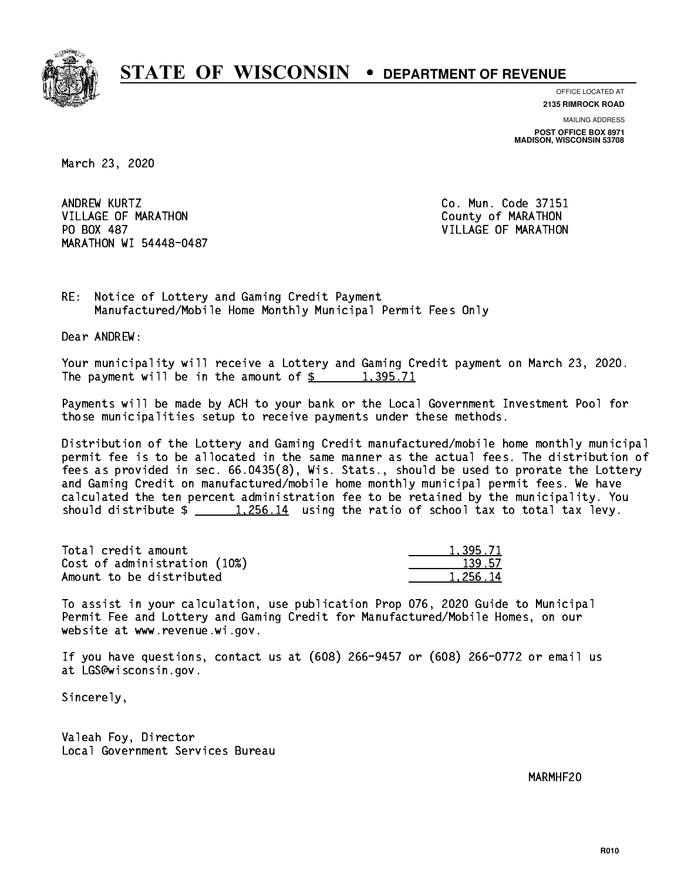

**OFFICE LOCATED AT 2135 RIMROCK ROAD**

**MAILING ADDRESS POST OFFICE BOX 8971 MADISON, WISCONSIN 53708**

March 23, 2020

ANDREW KURTZ VILLAGE OF MARATHON COUNTY OF MARATHON PO BOX 487 MARATHON WI 54448-0487

Co. Mun. Code 37151 VILLAGE OF MARATHON

RE: Notice of Lottery and Gaming Credit Payment Manufactured/Mobile Home Monthly Municipal Permit Fees Only

Dear ANDREW:

 Your municipality will receive a Lottery and Gaming Credit payment on March 23, 2020. The payment will be in the amount of  $\frac{2}{3}$  1,395.71

 Payments will be made by ACH to your bank or the Local Government Investment Pool for those municipalities setup to receive payments under these methods.

 Distribution of the Lottery and Gaming Credit manufactured/mobile home monthly municipal permit fee is to be allocated in the same manner as the actual fees. The distribution of fees as provided in sec. 66.0435(8), Wis. Stats., should be used to prorate the Lottery and Gaming Credit on manufactured/mobile home monthly municipal permit fees. We have calculated the ten percent administration fee to be retained by the municipality. You should distribute  $\frac{1,256.14}{1,256.14}$  using the ratio of school tax to total tax levy.

| Total credit amount          | 1.395.71 |
|------------------------------|----------|
| Cost of administration (10%) | 139.57   |
| Amount to be distributed     | 1.256.14 |

 To assist in your calculation, use publication Prop 076, 2020 Guide to Municipal Permit Fee and Lottery and Gaming Credit for Manufactured/Mobile Homes, on our website at www.revenue.wi.gov.

 If you have questions, contact us at (608) 266-9457 or (608) 266-0772 or email us at LGS@wisconsin.gov.

Sincerely,

 Valeah Foy, Director Local Government Services Bureau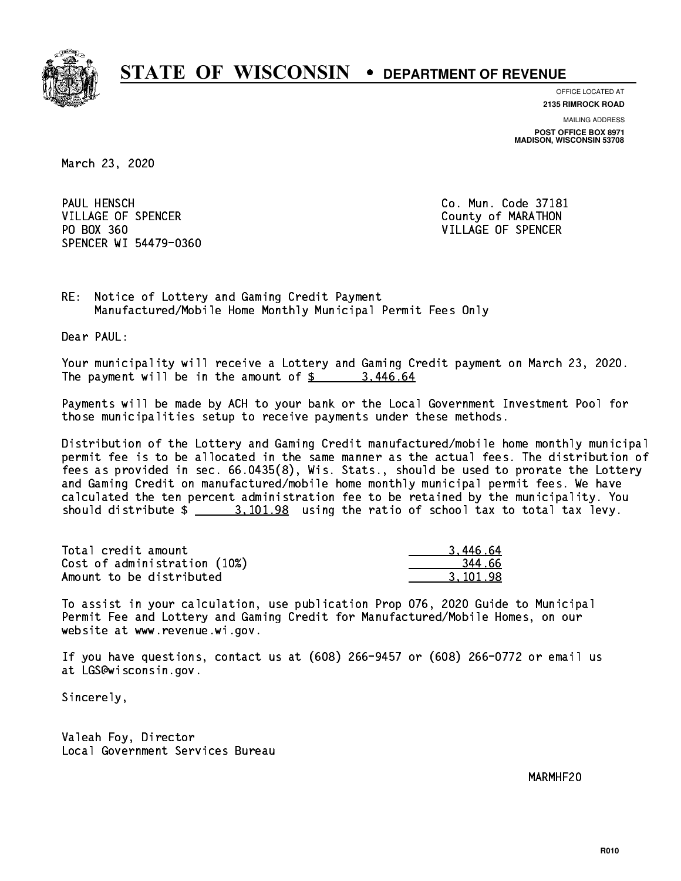

**OFFICE LOCATED AT 2135 RIMROCK ROAD**

**MAILING ADDRESS POST OFFICE BOX 8971 MADISON, WISCONSIN 53708**

March 23, 2020

PAUL HENSCH VILLAGE OF SPENCER COUNTY OF MARATHON PO BOX 360 VILLAGE OF SPENCER SPENCER WI 54479-0360

Co. Mun. Code 37181

RE: Notice of Lottery and Gaming Credit Payment Manufactured/Mobile Home Monthly Municipal Permit Fees Only

Dear PAUL:

 Your municipality will receive a Lottery and Gaming Credit payment on March 23, 2020. The payment will be in the amount of  $\frac{2}{3}$  3,446.64

 Payments will be made by ACH to your bank or the Local Government Investment Pool for those municipalities setup to receive payments under these methods.

 Distribution of the Lottery and Gaming Credit manufactured/mobile home monthly municipal permit fee is to be allocated in the same manner as the actual fees. The distribution of fees as provided in sec. 66.0435(8), Wis. Stats., should be used to prorate the Lottery and Gaming Credit on manufactured/mobile home monthly municipal permit fees. We have calculated the ten percent administration fee to be retained by the municipality. You should distribute  $\frac{2}{1}$   $\frac{3,101.98}{2}$  using the ratio of school tax to total tax levy.

| Total credit amount          | 3.446.64 |
|------------------------------|----------|
| Cost of administration (10%) | 344.66   |
| Amount to be distributed     | 3.101.98 |

 To assist in your calculation, use publication Prop 076, 2020 Guide to Municipal Permit Fee and Lottery and Gaming Credit for Manufactured/Mobile Homes, on our website at www.revenue.wi.gov.

 If you have questions, contact us at (608) 266-9457 or (608) 266-0772 or email us at LGS@wisconsin.gov.

Sincerely,

 Valeah Foy, Director Local Government Services Bureau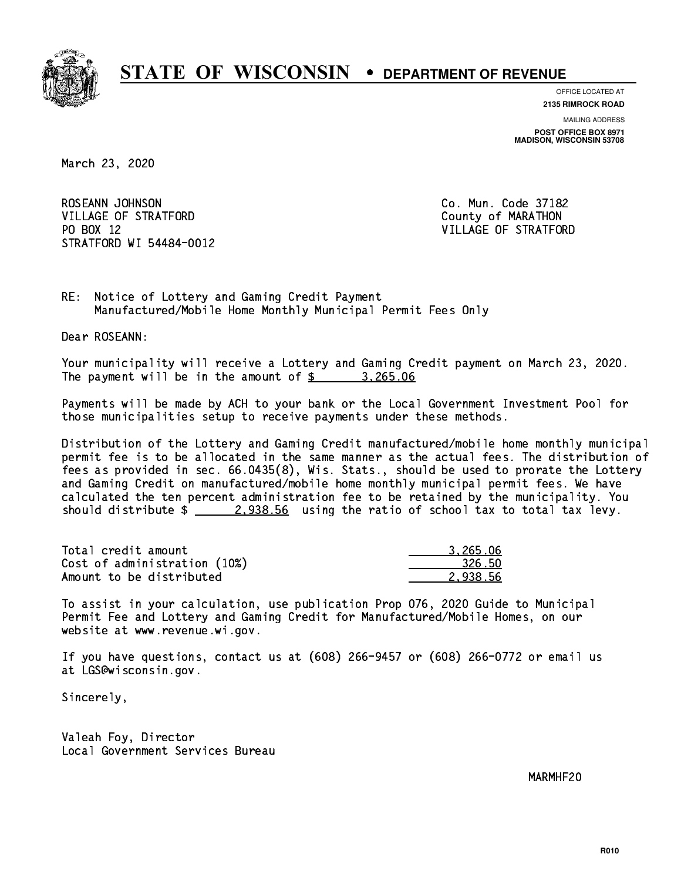

**OFFICE LOCATED AT 2135 RIMROCK ROAD**

**MAILING ADDRESS POST OFFICE BOX 8971 MADISON, WISCONSIN 53708**

March 23, 2020

ROSEANN JOHNSON CO. Mun. Code 37182 VILLAGE OF STRATFORD County of MARATHON PO BOX 12 STRATFORD WI 54484-0012

VILLAGE OF STRATFORD

RE: Notice of Lottery and Gaming Credit Payment Manufactured/Mobile Home Monthly Municipal Permit Fees Only

Dear ROSEANN:

 Your municipality will receive a Lottery and Gaming Credit payment on March 23, 2020. The payment will be in the amount of  $\frac{2}{3}$  3,265.06

 Payments will be made by ACH to your bank or the Local Government Investment Pool for those municipalities setup to receive payments under these methods.

 Distribution of the Lottery and Gaming Credit manufactured/mobile home monthly municipal permit fee is to be allocated in the same manner as the actual fees. The distribution of fees as provided in sec. 66.0435(8), Wis. Stats., should be used to prorate the Lottery and Gaming Credit on manufactured/mobile home monthly municipal permit fees. We have calculated the ten percent administration fee to be retained by the municipality. You should distribute  $\frac{2.938.56}{2.238.56}$  using the ratio of school tax to total tax levy.

| Total credit amount          | 3.265.06 |
|------------------------------|----------|
| Cost of administration (10%) | 326.50   |
| Amount to be distributed     | 2.938.56 |

 To assist in your calculation, use publication Prop 076, 2020 Guide to Municipal Permit Fee and Lottery and Gaming Credit for Manufactured/Mobile Homes, on our website at www.revenue.wi.gov.

 If you have questions, contact us at (608) 266-9457 or (608) 266-0772 or email us at LGS@wisconsin.gov.

Sincerely,

 Valeah Foy, Director Local Government Services Bureau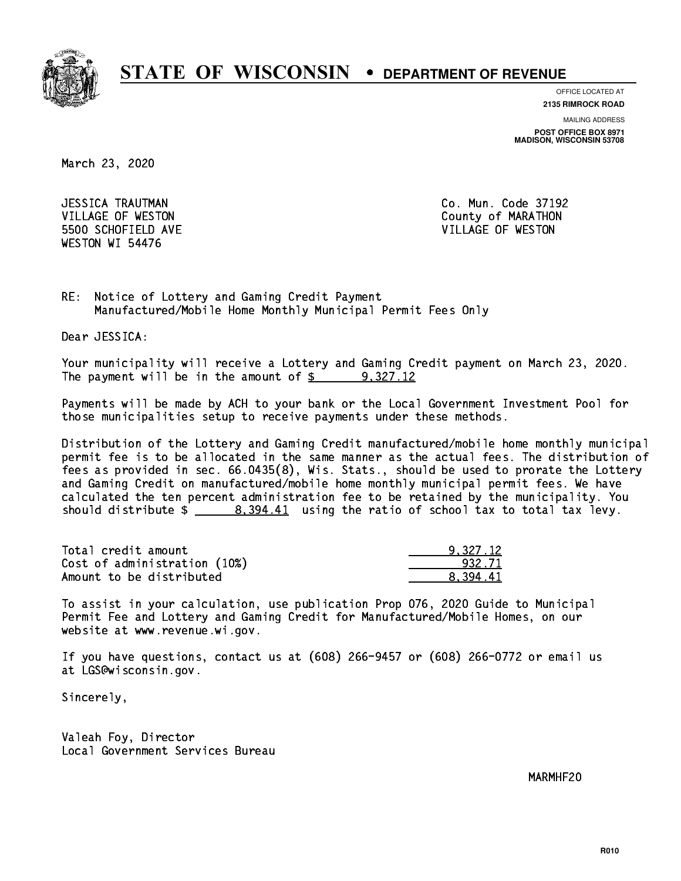

**OFFICE LOCATED AT**

**2135 RIMROCK ROAD**

**MAILING ADDRESS POST OFFICE BOX 8971 MADISON, WISCONSIN 53708**

March 23, 2020

 JESSICA TRAUTMAN Co. Mun. Code 37192 5500 SCHOFIELD AVE VILLAGE OF WESTON WESTON WI 54476

VILLAGE OF WESTON COUNTY OF MARATHON

RE: Notice of Lottery and Gaming Credit Payment Manufactured/Mobile Home Monthly Municipal Permit Fees Only

Dear JESSICA:

 Your municipality will receive a Lottery and Gaming Credit payment on March 23, 2020. The payment will be in the amount of  $\frac{2}{3}$  9,327.12

 Payments will be made by ACH to your bank or the Local Government Investment Pool for those municipalities setup to receive payments under these methods.

 Distribution of the Lottery and Gaming Credit manufactured/mobile home monthly municipal permit fee is to be allocated in the same manner as the actual fees. The distribution of fees as provided in sec. 66.0435(8), Wis. Stats., should be used to prorate the Lottery and Gaming Credit on manufactured/mobile home monthly municipal permit fees. We have calculated the ten percent administration fee to be retained by the municipality. You should distribute  $\frac{2}{1}$   $\frac{8,394.41}{2}$  using the ratio of school tax to total tax levy.

| Total credit amount          | 9.327.12 |
|------------------------------|----------|
| Cost of administration (10%) | 932.71   |
| Amount to be distributed     | 8.394.41 |

 To assist in your calculation, use publication Prop 076, 2020 Guide to Municipal Permit Fee and Lottery and Gaming Credit for Manufactured/Mobile Homes, on our website at www.revenue.wi.gov.

 If you have questions, contact us at (608) 266-9457 or (608) 266-0772 or email us at LGS@wisconsin.gov.

Sincerely,

 Valeah Foy, Director Local Government Services Bureau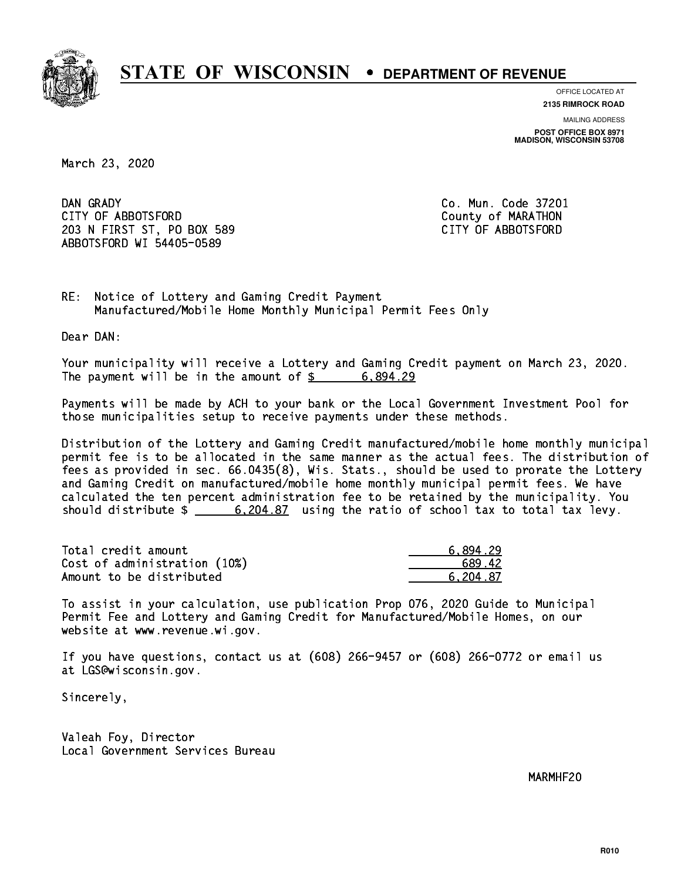

**OFFICE LOCATED AT 2135 RIMROCK ROAD**

**MAILING ADDRESS POST OFFICE BOX 8971 MADISON, WISCONSIN 53708**

March 23, 2020

DAN GRADY CITY OF ABBOTSFORD County of MARATHON 203 N FIRST ST, PO BOX 589 CITY OF ABBOTSFORD ABBOTSFORD WI 54405-0589

Co. Mun. Code 37201

RE: Notice of Lottery and Gaming Credit Payment Manufactured/Mobile Home Monthly Municipal Permit Fees Only

Dear DAN:

 Your municipality will receive a Lottery and Gaming Credit payment on March 23, 2020. The payment will be in the amount of  $\frac{2}{3}$  6,894.29

 Payments will be made by ACH to your bank or the Local Government Investment Pool for those municipalities setup to receive payments under these methods.

 Distribution of the Lottery and Gaming Credit manufactured/mobile home monthly municipal permit fee is to be allocated in the same manner as the actual fees. The distribution of fees as provided in sec. 66.0435(8), Wis. Stats., should be used to prorate the Lottery and Gaming Credit on manufactured/mobile home monthly municipal permit fees. We have calculated the ten percent administration fee to be retained by the municipality. You should distribute  $\frac{204.87}{204.87}$  using the ratio of school tax to total tax levy.

| Total credit amount          | 6.894.29 |
|------------------------------|----------|
| Cost of administration (10%) | 689.42   |
| Amount to be distributed     | 6.204.87 |

 To assist in your calculation, use publication Prop 076, 2020 Guide to Municipal Permit Fee and Lottery and Gaming Credit for Manufactured/Mobile Homes, on our website at www.revenue.wi.gov.

 If you have questions, contact us at (608) 266-9457 or (608) 266-0772 or email us at LGS@wisconsin.gov.

Sincerely,

 Valeah Foy, Director Local Government Services Bureau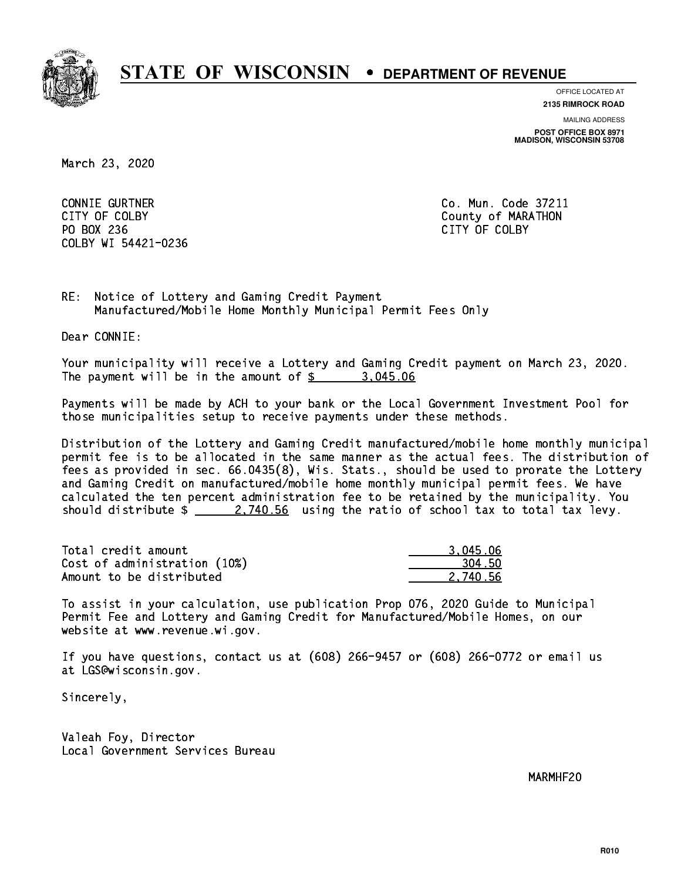

**OFFICE LOCATED AT**

**2135 RIMROCK ROAD**

**MAILING ADDRESS POST OFFICE BOX 8971 MADISON, WISCONSIN 53708**

March 23, 2020

 CONNIE GURTNER Co. Mun. Code 37211 PO BOX 236 PO BOX 236 CITY OF COLBY COLBY WI 54421-0236

CITY OF COLBY COUNTY COUNTY OF COUNTY COUNTY OF MARATHON

RE: Notice of Lottery and Gaming Credit Payment Manufactured/Mobile Home Monthly Municipal Permit Fees Only

Dear CONNIE:

 Your municipality will receive a Lottery and Gaming Credit payment on March 23, 2020. The payment will be in the amount of  $\frac{2}{3}$  3,045.06

 Payments will be made by ACH to your bank or the Local Government Investment Pool for those municipalities setup to receive payments under these methods.

 Distribution of the Lottery and Gaming Credit manufactured/mobile home monthly municipal permit fee is to be allocated in the same manner as the actual fees. The distribution of fees as provided in sec. 66.0435(8), Wis. Stats., should be used to prorate the Lottery and Gaming Credit on manufactured/mobile home monthly municipal permit fees. We have calculated the ten percent administration fee to be retained by the municipality. You should distribute  $\frac{2.740.56}{2.740.56}$  using the ratio of school tax to total tax levy.

| Total credit amount          | 3.045.06 |
|------------------------------|----------|
| Cost of administration (10%) | 304.50   |
| Amount to be distributed     | 2.740.56 |

 To assist in your calculation, use publication Prop 076, 2020 Guide to Municipal Permit Fee and Lottery and Gaming Credit for Manufactured/Mobile Homes, on our website at www.revenue.wi.gov.

 If you have questions, contact us at (608) 266-9457 or (608) 266-0772 or email us at LGS@wisconsin.gov.

Sincerely,

 Valeah Foy, Director Local Government Services Bureau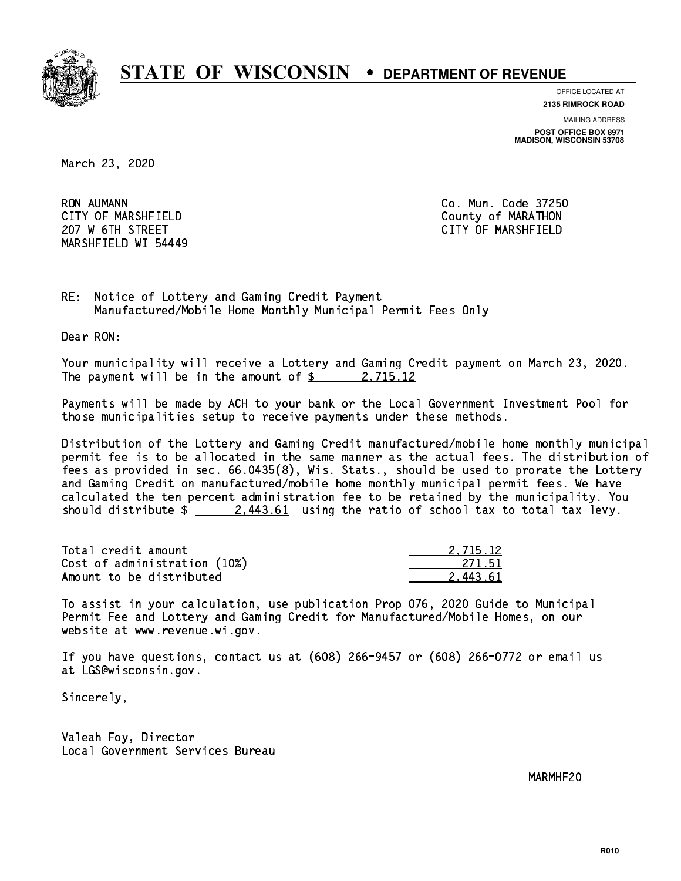

**OFFICE LOCATED AT 2135 RIMROCK ROAD**

**MAILING ADDRESS POST OFFICE BOX 8971 MADISON, WISCONSIN 53708**

March 23, 2020

**RON AUMANN**  CITY OF MARSHFIELD County of MARATHON 207 W 6TH STREET CITY OF MARSHFIELD MARSHFIELD WI 54449

Co. Mun. Code 37250

RE: Notice of Lottery and Gaming Credit Payment Manufactured/Mobile Home Monthly Municipal Permit Fees Only

Dear RON:

 Your municipality will receive a Lottery and Gaming Credit payment on March 23, 2020. The payment will be in the amount of  $\frac{2}{3}$  2,715.12

 Payments will be made by ACH to your bank or the Local Government Investment Pool for those municipalities setup to receive payments under these methods.

 Distribution of the Lottery and Gaming Credit manufactured/mobile home monthly municipal permit fee is to be allocated in the same manner as the actual fees. The distribution of fees as provided in sec. 66.0435(8), Wis. Stats., should be used to prorate the Lottery and Gaming Credit on manufactured/mobile home monthly municipal permit fees. We have calculated the ten percent administration fee to be retained by the municipality. You should distribute  $\frac{2.443.61}{2.443.61}$  using the ratio of school tax to total tax levy.

| Total credit amount          | 2.715.12 |
|------------------------------|----------|
| Cost of administration (10%) | -271.51  |
| Amount to be distributed     | 2.443.61 |

 To assist in your calculation, use publication Prop 076, 2020 Guide to Municipal Permit Fee and Lottery and Gaming Credit for Manufactured/Mobile Homes, on our website at www.revenue.wi.gov.

 If you have questions, contact us at (608) 266-9457 or (608) 266-0772 or email us at LGS@wisconsin.gov.

Sincerely,

 Valeah Foy, Director Local Government Services Bureau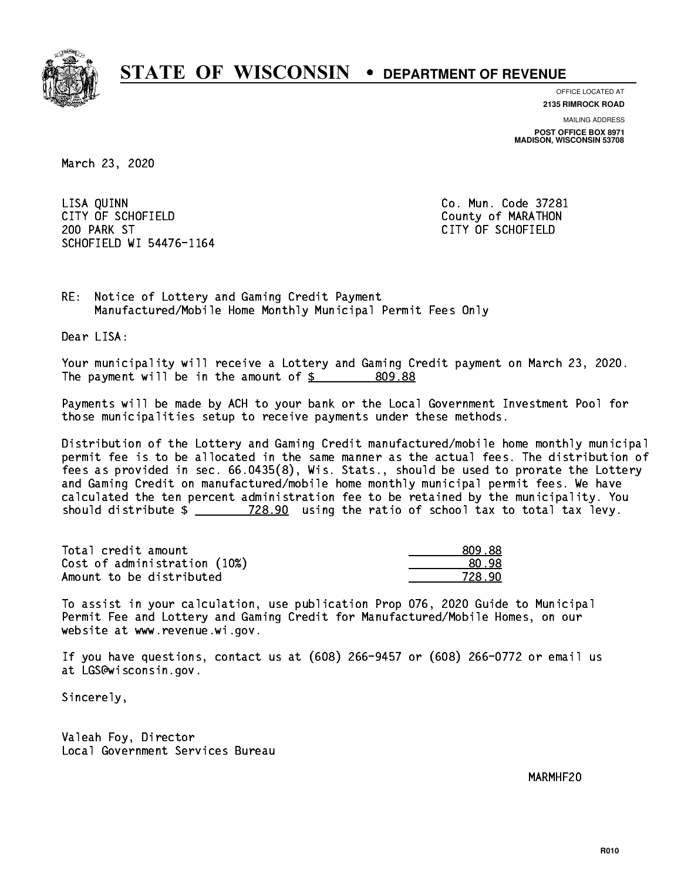

**OFFICE LOCATED AT**

**2135 RIMROCK ROAD**

**MAILING ADDRESS POST OFFICE BOX 8971 MADISON, WISCONSIN 53708**

March 23, 2020

 LISA QUINN Co. Mun. Code 37281 CITY OF SCHOFIELD County of MARATHON 200 PARK ST CITY OF SCHOFIELD SCHOFIELD WI 54476-1164

RE: Notice of Lottery and Gaming Credit Payment Manufactured/Mobile Home Monthly Municipal Permit Fees Only

Dear LISA:

 Your municipality will receive a Lottery and Gaming Credit payment on March 23, 2020. The payment will be in the amount of  $$ 809.88$ 

 Payments will be made by ACH to your bank or the Local Government Investment Pool for those municipalities setup to receive payments under these methods.

 Distribution of the Lottery and Gaming Credit manufactured/mobile home monthly municipal permit fee is to be allocated in the same manner as the actual fees. The distribution of fees as provided in sec. 66.0435(8), Wis. Stats., should be used to prorate the Lottery and Gaming Credit on manufactured/mobile home monthly municipal permit fees. We have calculated the ten percent administration fee to be retained by the municipality. You should distribute  $\frac{28.90}{1000}$  using the ratio of school tax to total tax levy.

| Total credit amount          | 809.88 |
|------------------------------|--------|
| Cost of administration (10%) | 80.98  |
| Amount to be distributed     | 728 AN |

 To assist in your calculation, use publication Prop 076, 2020 Guide to Municipal Permit Fee and Lottery and Gaming Credit for Manufactured/Mobile Homes, on our website at www.revenue.wi.gov.

 If you have questions, contact us at (608) 266-9457 or (608) 266-0772 or email us at LGS@wisconsin.gov.

Sincerely,

 Valeah Foy, Director Local Government Services Bureau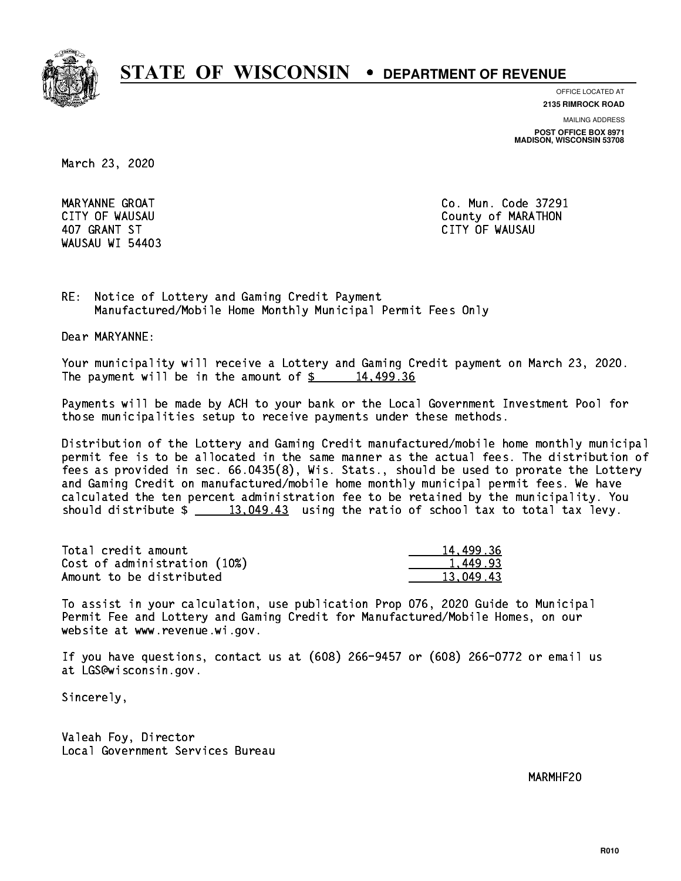

**OFFICE LOCATED AT**

**2135 RIMROCK ROAD**

**MAILING ADDRESS**

**POST OFFICE BOX 8971 MADISON, WISCONSIN 53708**

March 23, 2020

WAUSAU WI 54403

 MARYANNE GROAT Co. Mun. Code 37291 CITY OF WAUSAU COUNTY OF MARATHON 407 GRANT ST CITY OF WAUSAU

RE: Notice of Lottery and Gaming Credit Payment Manufactured/Mobile Home Monthly Municipal Permit Fees Only

Dear MARYANNE:

 Your municipality will receive a Lottery and Gaming Credit payment on March 23, 2020. The payment will be in the amount of  $\frac{2}{3}$  14,499.36

 Payments will be made by ACH to your bank or the Local Government Investment Pool for those municipalities setup to receive payments under these methods.

 Distribution of the Lottery and Gaming Credit manufactured/mobile home monthly municipal permit fee is to be allocated in the same manner as the actual fees. The distribution of fees as provided in sec. 66.0435(8), Wis. Stats., should be used to prorate the Lottery and Gaming Credit on manufactured/mobile home monthly municipal permit fees. We have calculated the ten percent administration fee to be retained by the municipality. You should distribute  $\frac{2}{13,049.43}$  using the ratio of school tax to total tax levy.

| Total credit amount          | 14,499.36 |
|------------------------------|-----------|
| Cost of administration (10%) | 1,449.93  |
| Amount to be distributed     | 13.049.43 |

 To assist in your calculation, use publication Prop 076, 2020 Guide to Municipal Permit Fee and Lottery and Gaming Credit for Manufactured/Mobile Homes, on our website at www.revenue.wi.gov.

 If you have questions, contact us at (608) 266-9457 or (608) 266-0772 or email us at LGS@wisconsin.gov.

Sincerely,

 Valeah Foy, Director Local Government Services Bureau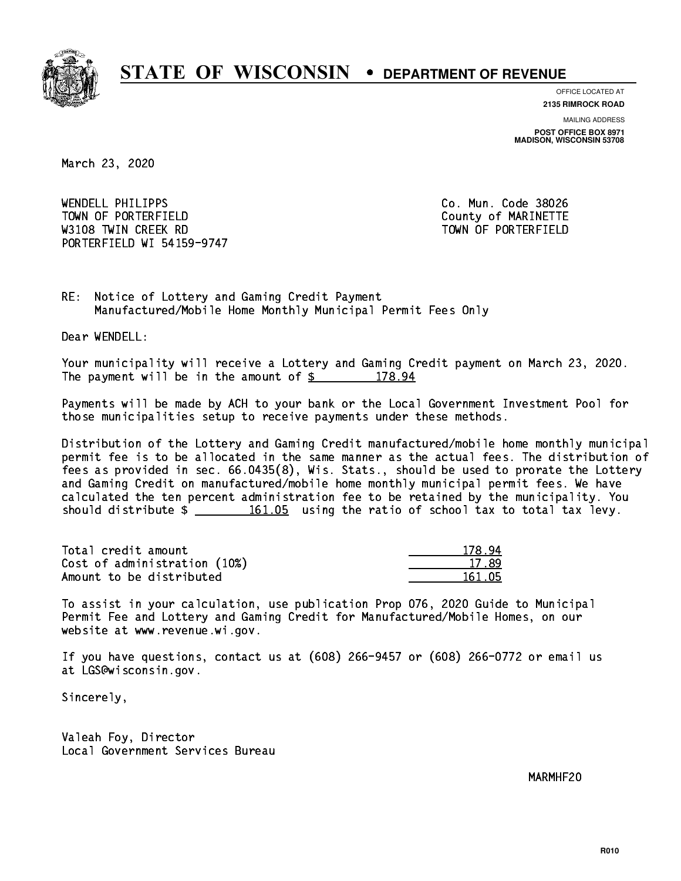

**OFFICE LOCATED AT 2135 RIMROCK ROAD**

**MAILING ADDRESS**

**POST OFFICE BOX 8971 MADISON, WISCONSIN 53708**

March 23, 2020

 WENDELL PHILIPPS Co. Mun. Code 38026 TOWN OF PORTERFIELD **TOWN** OF PORTERFIELD W3108 TWIN CREEK RD TOWN OF PORTERFIELD PORTERFIELD WI 54159-9747

RE: Notice of Lottery and Gaming Credit Payment Manufactured/Mobile Home Monthly Municipal Permit Fees Only

Dear WENDELL:

 Your municipality will receive a Lottery and Gaming Credit payment on March 23, 2020. The payment will be in the amount of  $$ 178.94$ 

 Payments will be made by ACH to your bank or the Local Government Investment Pool for those municipalities setup to receive payments under these methods.

 Distribution of the Lottery and Gaming Credit manufactured/mobile home monthly municipal permit fee is to be allocated in the same manner as the actual fees. The distribution of fees as provided in sec. 66.0435(8), Wis. Stats., should be used to prorate the Lottery and Gaming Credit on manufactured/mobile home monthly municipal permit fees. We have calculated the ten percent administration fee to be retained by the municipality. You should distribute  $\frac{161.05}{161.05}$  using the ratio of school tax to total tax levy.

Total credit amount Cost of administration (10%) Amount to be distributed

| ı A<br>178. |
|-------------|
| 17.89       |
| 161 N5      |

 To assist in your calculation, use publication Prop 076, 2020 Guide to Municipal Permit Fee and Lottery and Gaming Credit for Manufactured/Mobile Homes, on our website at www.revenue.wi.gov.

 If you have questions, contact us at (608) 266-9457 or (608) 266-0772 or email us at LGS@wisconsin.gov.

Sincerely,

 Valeah Foy, Director Local Government Services Bureau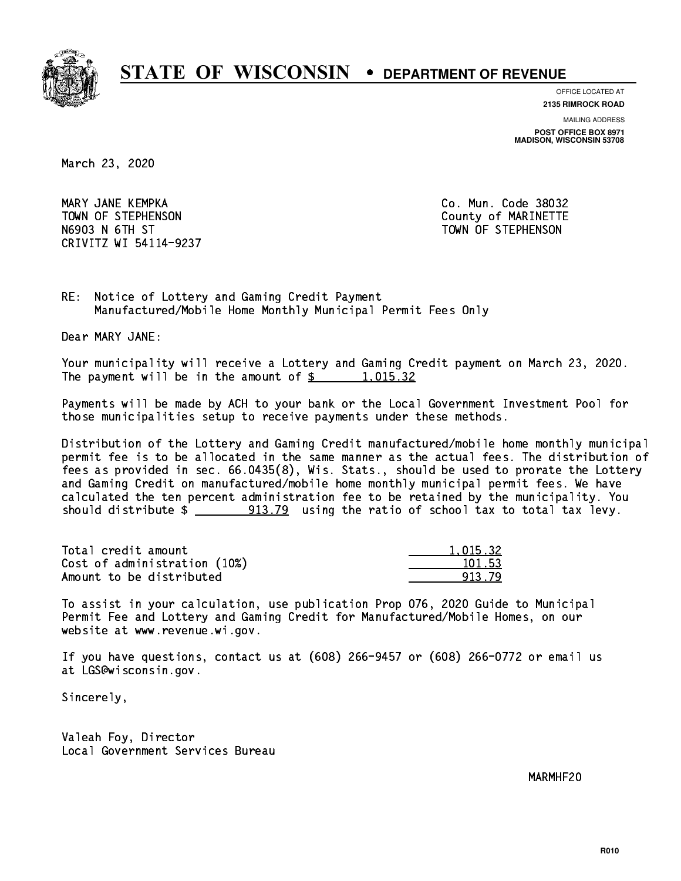

**OFFICE LOCATED AT**

**2135 RIMROCK ROAD**

**MAILING ADDRESS**

**POST OFFICE BOX 8971 MADISON, WISCONSIN 53708**

March 23, 2020

 MARY JANE KEMPKA Co. Mun. Code 38032 TOWN OF STEPHENSON COUNTY OF MARINETTE N6903 N 6TH ST TOWN OF STEPHENSON CRIVITZ WI 54114-9237

RE: Notice of Lottery and Gaming Credit Payment Manufactured/Mobile Home Monthly Municipal Permit Fees Only

Dear MARY JANE:

 Your municipality will receive a Lottery and Gaming Credit payment on March 23, 2020. The payment will be in the amount of  $\frac{2}{3}$  1,015.32

 Payments will be made by ACH to your bank or the Local Government Investment Pool for those municipalities setup to receive payments under these methods.

 Distribution of the Lottery and Gaming Credit manufactured/mobile home monthly municipal permit fee is to be allocated in the same manner as the actual fees. The distribution of fees as provided in sec. 66.0435(8), Wis. Stats., should be used to prorate the Lottery and Gaming Credit on manufactured/mobile home monthly municipal permit fees. We have calculated the ten percent administration fee to be retained by the municipality. You should distribute  $\frac{2}{2}$   $\frac{913.79}{2}$  using the ratio of school tax to total tax levy.

| Total credit amount          | 1.015.32 |
|------------------------------|----------|
| Cost of administration (10%) | 101.53   |
| Amount to be distributed     | 913.79   |

 To assist in your calculation, use publication Prop 076, 2020 Guide to Municipal Permit Fee and Lottery and Gaming Credit for Manufactured/Mobile Homes, on our website at www.revenue.wi.gov.

 If you have questions, contact us at (608) 266-9457 or (608) 266-0772 or email us at LGS@wisconsin.gov.

Sincerely,

 Valeah Foy, Director Local Government Services Bureau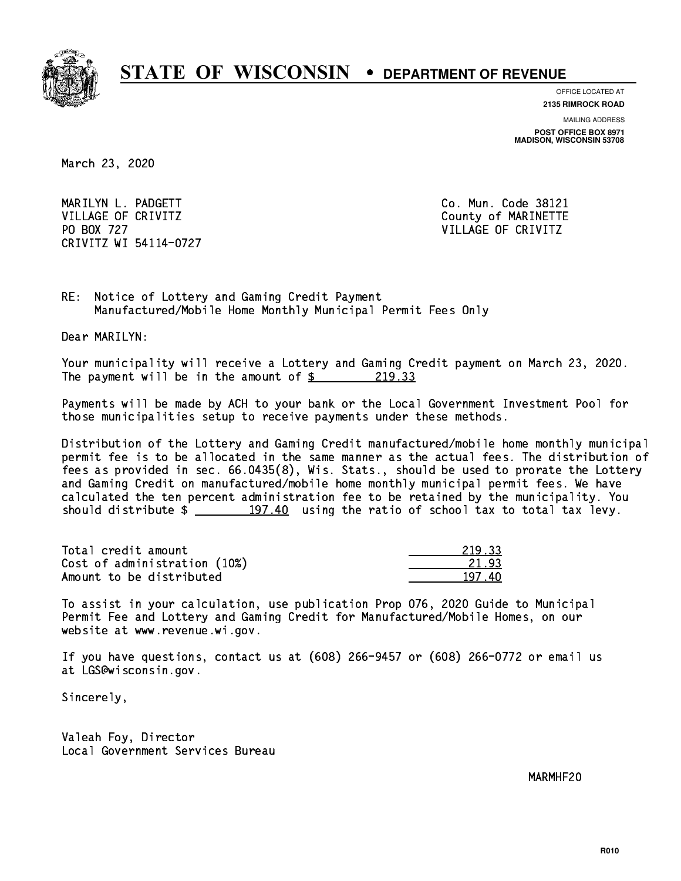

**OFFICE LOCATED AT 2135 RIMROCK ROAD**

**MAILING ADDRESS**

**POST OFFICE BOX 8971 MADISON, WISCONSIN 53708**

March 23, 2020

 MARILYN L. PADGETT Co. Mun. Code 38121 VILLAGE OF CRIVITZ COUNTY COUNTY OF MARINETTE PO BOX 727 VILLAGE OF CRIVITZ CRIVITZ WI 54114-0727

RE: Notice of Lottery and Gaming Credit Payment Manufactured/Mobile Home Monthly Municipal Permit Fees Only

Dear MARILYN:

 Your municipality will receive a Lottery and Gaming Credit payment on March 23, 2020. The payment will be in the amount of  $\frac{219.33}{219.33}$ 

 Payments will be made by ACH to your bank or the Local Government Investment Pool for those municipalities setup to receive payments under these methods.

 Distribution of the Lottery and Gaming Credit manufactured/mobile home monthly municipal permit fee is to be allocated in the same manner as the actual fees. The distribution of fees as provided in sec. 66.0435(8), Wis. Stats., should be used to prorate the Lottery and Gaming Credit on manufactured/mobile home monthly municipal permit fees. We have calculated the ten percent administration fee to be retained by the municipality. You should distribute  $\frac{197.40}{197.40}$  using the ratio of school tax to total tax levy.

Total credit amount Cost of administration (10%) Amount to be distributed

| -33<br>21 |
|-----------|
| 21.93     |
| n         |

 To assist in your calculation, use publication Prop 076, 2020 Guide to Municipal Permit Fee and Lottery and Gaming Credit for Manufactured/Mobile Homes, on our website at www.revenue.wi.gov.

 If you have questions, contact us at (608) 266-9457 or (608) 266-0772 or email us at LGS@wisconsin.gov.

Sincerely,

 Valeah Foy, Director Local Government Services Bureau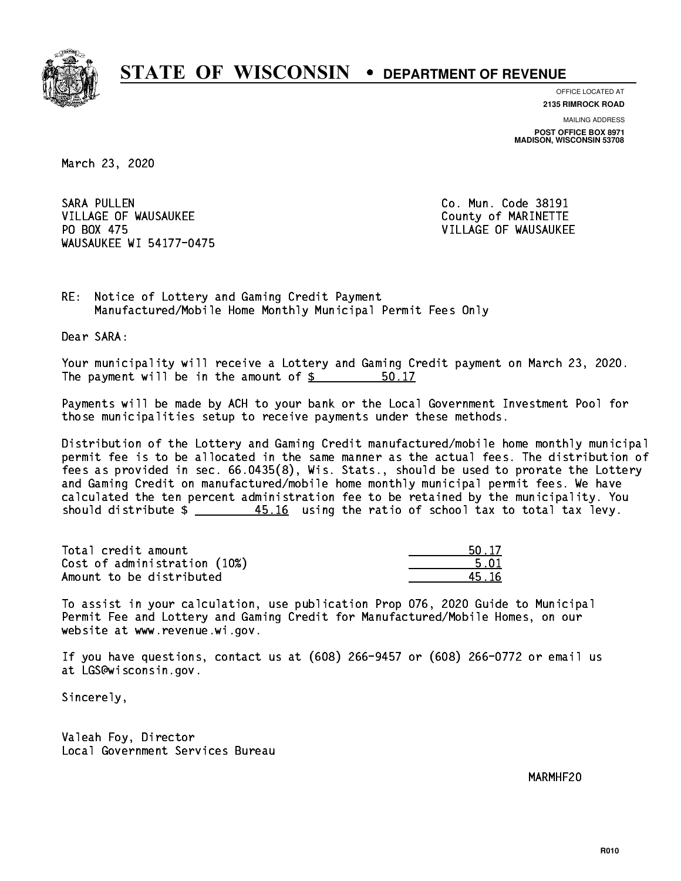

**OFFICE LOCATED AT 2135 RIMROCK ROAD**

**MAILING ADDRESS**

**POST OFFICE BOX 8971 MADISON, WISCONSIN 53708**

March 23, 2020

SARA PULLEN VILLAGE OF WAUSAUKEE COUNTY OF MARINETTE PO BOX 475 WAUSAUKEE WI 54177-0475

Co. Mun. Code 38191 VILLAGE OF WAUSAUKEE

RE: Notice of Lottery and Gaming Credit Payment Manufactured/Mobile Home Monthly Municipal Permit Fees Only

Dear SARA:

 Your municipality will receive a Lottery and Gaming Credit payment on March 23, 2020. The payment will be in the amount of  $\frac{2}{3}$ 50.17

 Payments will be made by ACH to your bank or the Local Government Investment Pool for those municipalities setup to receive payments under these methods.

 Distribution of the Lottery and Gaming Credit manufactured/mobile home monthly municipal permit fee is to be allocated in the same manner as the actual fees. The distribution of fees as provided in sec. 66.0435(8), Wis. Stats., should be used to prorate the Lottery and Gaming Credit on manufactured/mobile home monthly municipal permit fees. We have calculated the ten percent administration fee to be retained by the municipality. You should distribute  $\frac{45.16}{10.45}$  using the ratio of school tax to total tax levy.

Total credit amount Cost of administration (10%) Amount to be distributed

| $\Box$ |
|--------|
| 5 N 1  |
| 5.16   |

 To assist in your calculation, use publication Prop 076, 2020 Guide to Municipal Permit Fee and Lottery and Gaming Credit for Manufactured/Mobile Homes, on our website at www.revenue.wi.gov.

 If you have questions, contact us at (608) 266-9457 or (608) 266-0772 or email us at LGS@wisconsin.gov.

Sincerely,

 Valeah Foy, Director Local Government Services Bureau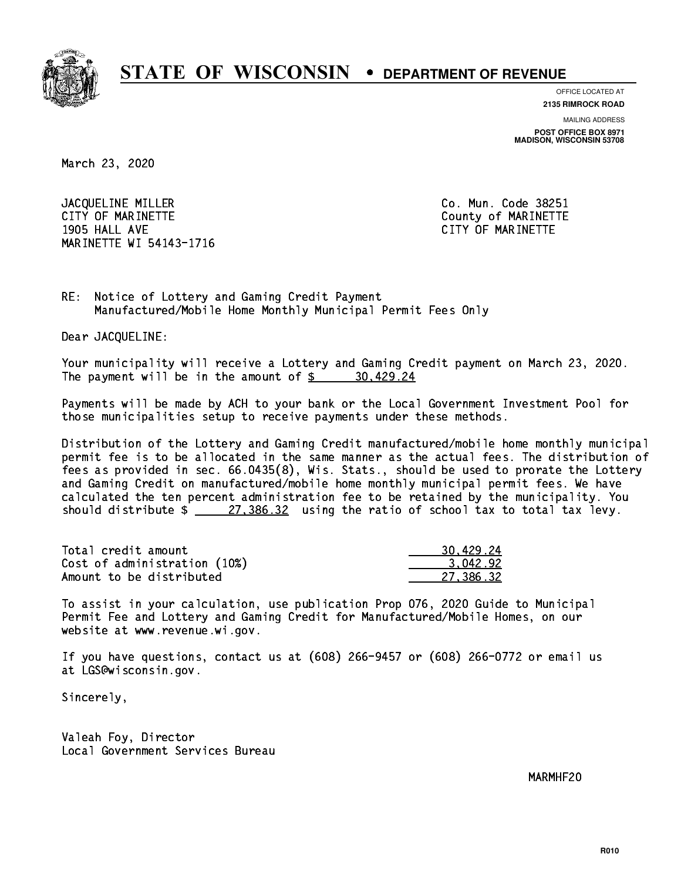

**OFFICE LOCATED AT**

**2135 RIMROCK ROAD**

**MAILING ADDRESS POST OFFICE BOX 8971 MADISON, WISCONSIN 53708**

March 23, 2020

JACQUELINE MILLER Co. Mun. Code 38251 CITY OF MARINETTE COUNTY COUNTY OF MARINETTE 1905 HALL AVE CITY OF MARINETTE MARINETTE WI 54143-1716

RE: Notice of Lottery and Gaming Credit Payment Manufactured/Mobile Home Monthly Municipal Permit Fees Only

Dear JACQUELINE:

 Your municipality will receive a Lottery and Gaming Credit payment on March 23, 2020. The payment will be in the amount of \$ 30,429.24 \_\_\_\_\_\_\_\_\_\_\_\_\_\_\_\_

 Payments will be made by ACH to your bank or the Local Government Investment Pool for those municipalities setup to receive payments under these methods.

 Distribution of the Lottery and Gaming Credit manufactured/mobile home monthly municipal permit fee is to be allocated in the same manner as the actual fees. The distribution of fees as provided in sec. 66.0435(8), Wis. Stats., should be used to prorate the Lottery and Gaming Credit on manufactured/mobile home monthly municipal permit fees. We have calculated the ten percent administration fee to be retained by the municipality. You should distribute  $\frac{27,386.32}{27,386.32}$  using the ratio of school tax to total tax levy.

| Total credit amount          | 30.429.24 |
|------------------------------|-----------|
| Cost of administration (10%) | 3.042.92  |
| Amount to be distributed     | 27.386.32 |

 To assist in your calculation, use publication Prop 076, 2020 Guide to Municipal Permit Fee and Lottery and Gaming Credit for Manufactured/Mobile Homes, on our website at www.revenue.wi.gov.

 If you have questions, contact us at (608) 266-9457 or (608) 266-0772 or email us at LGS@wisconsin.gov.

Sincerely,

 Valeah Foy, Director Local Government Services Bureau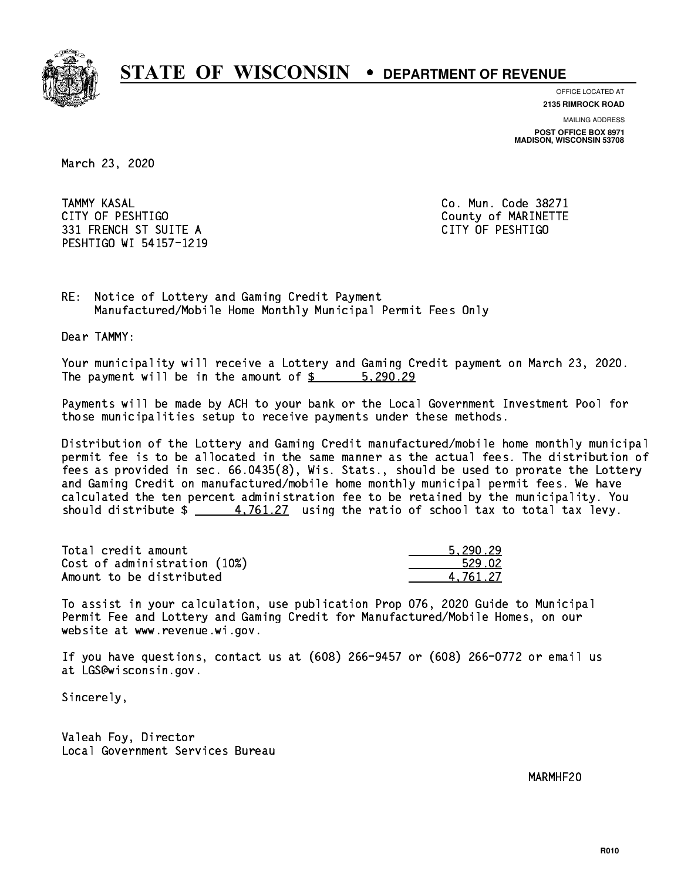

**OFFICE LOCATED AT**

**2135 RIMROCK ROAD**

**MAILING ADDRESS POST OFFICE BOX 8971 MADISON, WISCONSIN 53708**

March 23, 2020

**TAMMY KASAL**  CITY OF PESHTIGO County of MARINETTE 331 FRENCH ST SUITE A CITY OF PESHTIGO PESHTIGO WI 54157-1219

Co. Mun. Code 38271

RE: Notice of Lottery and Gaming Credit Payment Manufactured/Mobile Home Monthly Municipal Permit Fees Only

Dear TAMMY:

 Your municipality will receive a Lottery and Gaming Credit payment on March 23, 2020. The payment will be in the amount of \$ 5,290.29 \_\_\_\_\_\_\_\_\_\_\_\_\_\_\_\_

 Payments will be made by ACH to your bank or the Local Government Investment Pool for those municipalities setup to receive payments under these methods.

 Distribution of the Lottery and Gaming Credit manufactured/mobile home monthly municipal permit fee is to be allocated in the same manner as the actual fees. The distribution of fees as provided in sec. 66.0435(8), Wis. Stats., should be used to prorate the Lottery and Gaming Credit on manufactured/mobile home monthly municipal permit fees. We have calculated the ten percent administration fee to be retained by the municipality. You should distribute  $\frac{4.761.27}{2}$  using the ratio of school tax to total tax levy.

| Total credit amount          | 5.290.29 |
|------------------------------|----------|
| Cost of administration (10%) | 529.02   |
| Amount to be distributed     | 4.761.27 |

 To assist in your calculation, use publication Prop 076, 2020 Guide to Municipal Permit Fee and Lottery and Gaming Credit for Manufactured/Mobile Homes, on our website at www.revenue.wi.gov.

 If you have questions, contact us at (608) 266-9457 or (608) 266-0772 or email us at LGS@wisconsin.gov.

Sincerely,

 Valeah Foy, Director Local Government Services Bureau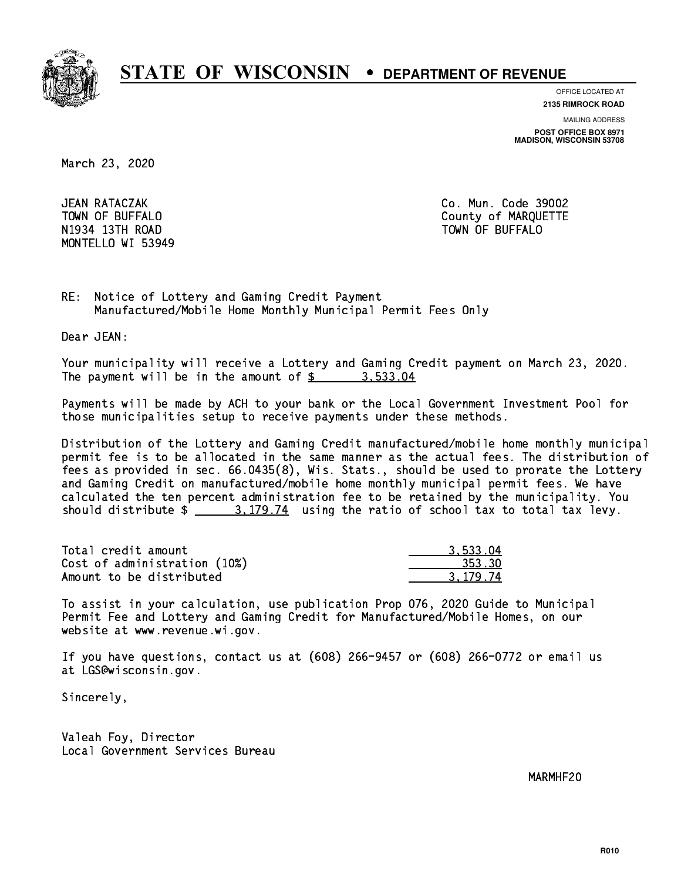

**OFFICE LOCATED AT**

**2135 RIMROCK ROAD**

**MAILING ADDRESS**

**POST OFFICE BOX 8971 MADISON, WISCONSIN 53708**

March 23, 2020

JEAN RATACZAK N1934 13Th Road Town Of Buffalo Town Of Buffalo Town Of Buffalo Town Of Buffalo Town Of Buffalo Town Of Buffalo MONTELLO WI 53949

Co. Mun. Code 39002 TOWN OF BUFFALO **COUNTY OF ALCOHOL** 

RE: Notice of Lottery and Gaming Credit Payment Manufactured/Mobile Home Monthly Municipal Permit Fees Only

Dear JEAN:

 Your municipality will receive a Lottery and Gaming Credit payment on March 23, 2020. The payment will be in the amount of  $\frac{2}{3}$  3,533.04

 Payments will be made by ACH to your bank or the Local Government Investment Pool for those municipalities setup to receive payments under these methods.

 Distribution of the Lottery and Gaming Credit manufactured/mobile home monthly municipal permit fee is to be allocated in the same manner as the actual fees. The distribution of fees as provided in sec. 66.0435(8), Wis. Stats., should be used to prorate the Lottery and Gaming Credit on manufactured/mobile home monthly municipal permit fees. We have calculated the ten percent administration fee to be retained by the municipality. You should distribute  $\frac{2}{1}$   $\frac{3.179.74}{2}$  using the ratio of school tax to total tax levy.

| Total credit amount          | 3.533.04 |
|------------------------------|----------|
| Cost of administration (10%) | 353.30   |
| Amount to be distributed     | 3.179.74 |

 To assist in your calculation, use publication Prop 076, 2020 Guide to Municipal Permit Fee and Lottery and Gaming Credit for Manufactured/Mobile Homes, on our website at www.revenue.wi.gov.

 If you have questions, contact us at (608) 266-9457 or (608) 266-0772 or email us at LGS@wisconsin.gov.

Sincerely,

 Valeah Foy, Director Local Government Services Bureau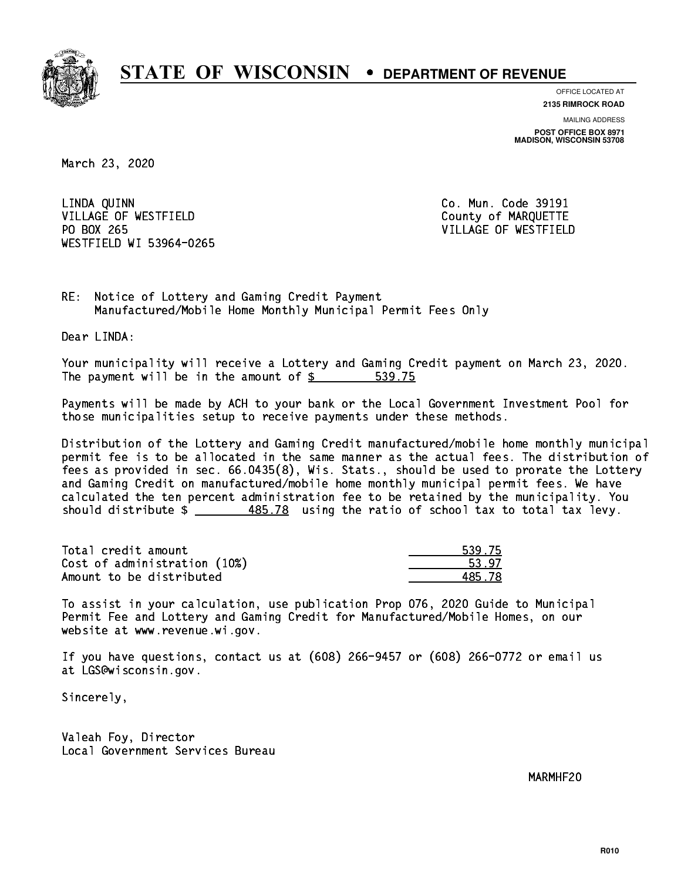

**OFFICE LOCATED AT**

**2135 RIMROCK ROAD**

**MAILING ADDRESS POST OFFICE BOX 8971 MADISON, WISCONSIN 53708**

March 23, 2020

 LINDA QUINN Co. Mun. Code 39191 VILLAGE OF WESTFIELD County of MARQUETTE PO BOX 265 WESTFIELD WI 53964-0265

VILLAGE OF WESTFIELD

RE: Notice of Lottery and Gaming Credit Payment Manufactured/Mobile Home Monthly Municipal Permit Fees Only

Dear LINDA:

 Your municipality will receive a Lottery and Gaming Credit payment on March 23, 2020. The payment will be in the amount of \$ 539.75 \_\_\_\_\_\_\_\_\_\_\_\_\_\_\_\_

 Payments will be made by ACH to your bank or the Local Government Investment Pool for those municipalities setup to receive payments under these methods.

 Distribution of the Lottery and Gaming Credit manufactured/mobile home monthly municipal permit fee is to be allocated in the same manner as the actual fees. The distribution of fees as provided in sec. 66.0435(8), Wis. Stats., should be used to prorate the Lottery and Gaming Credit on manufactured/mobile home monthly municipal permit fees. We have calculated the ten percent administration fee to be retained by the municipality. You should distribute  $\frac{485.78}{2}$  using the ratio of school tax to total tax levy.

| Total credit amount          | 539.75 |
|------------------------------|--------|
| Cost of administration (10%) | 53.97  |
| Amount to be distributed     | 485 78 |

| . 75  |
|-------|
| 97.   |
| i. 78 |

 To assist in your calculation, use publication Prop 076, 2020 Guide to Municipal Permit Fee and Lottery and Gaming Credit for Manufactured/Mobile Homes, on our website at www.revenue.wi.gov.

 If you have questions, contact us at (608) 266-9457 or (608) 266-0772 or email us at LGS@wisconsin.gov.

Sincerely,

 Valeah Foy, Director Local Government Services Bureau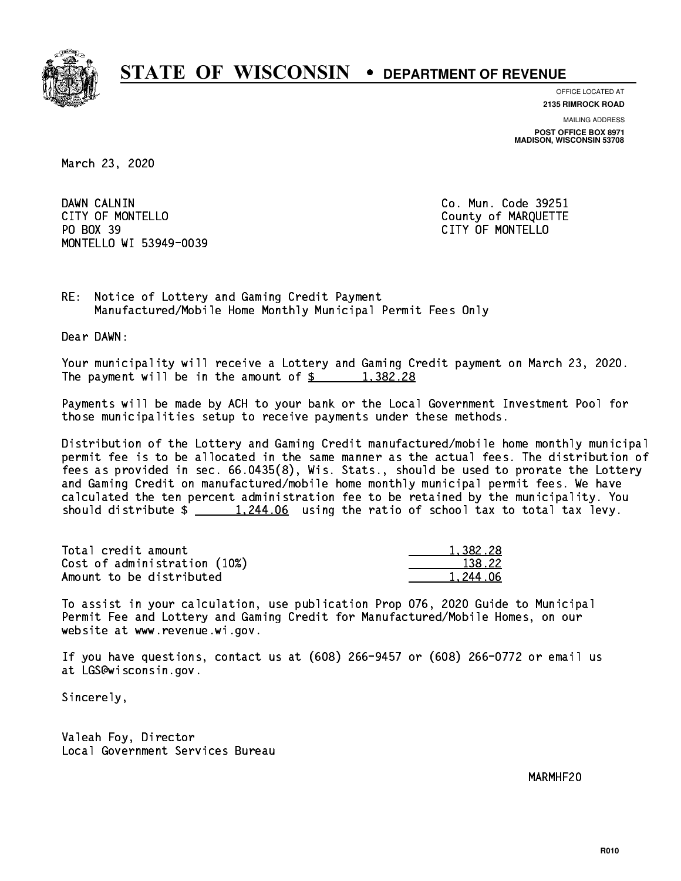

**OFFICE LOCATED AT**

**2135 RIMROCK ROAD**

**MAILING ADDRESS POST OFFICE BOX 8971 MADISON, WISCONSIN 53708**

March 23, 2020

DAWN CALNIN CITY OF MONTELLO **COUNTY OF MARQUETTE** PO BOX 39 PO BOX 39 CITY OF MONTELLO MONTELLO WI 53949-0039

Co. Mun. Code 39251

RE: Notice of Lottery and Gaming Credit Payment Manufactured/Mobile Home Monthly Municipal Permit Fees Only

Dear DAWN:

 Your municipality will receive a Lottery and Gaming Credit payment on March 23, 2020. The payment will be in the amount of  $\frac{2}{3}$  1,382.28

 Payments will be made by ACH to your bank or the Local Government Investment Pool for those municipalities setup to receive payments under these methods.

 Distribution of the Lottery and Gaming Credit manufactured/mobile home monthly municipal permit fee is to be allocated in the same manner as the actual fees. The distribution of fees as provided in sec. 66.0435(8), Wis. Stats., should be used to prorate the Lottery and Gaming Credit on manufactured/mobile home monthly municipal permit fees. We have calculated the ten percent administration fee to be retained by the municipality. You should distribute  $\frac{1,244.06}{...}$  using the ratio of school tax to total tax levy.

| Total credit amount          | 1,382.28 |
|------------------------------|----------|
| Cost of administration (10%) | 138.22   |
| Amount to be distributed     | 1.244.06 |

 To assist in your calculation, use publication Prop 076, 2020 Guide to Municipal Permit Fee and Lottery and Gaming Credit for Manufactured/Mobile Homes, on our website at www.revenue.wi.gov.

 If you have questions, contact us at (608) 266-9457 or (608) 266-0772 or email us at LGS@wisconsin.gov.

Sincerely,

 Valeah Foy, Director Local Government Services Bureau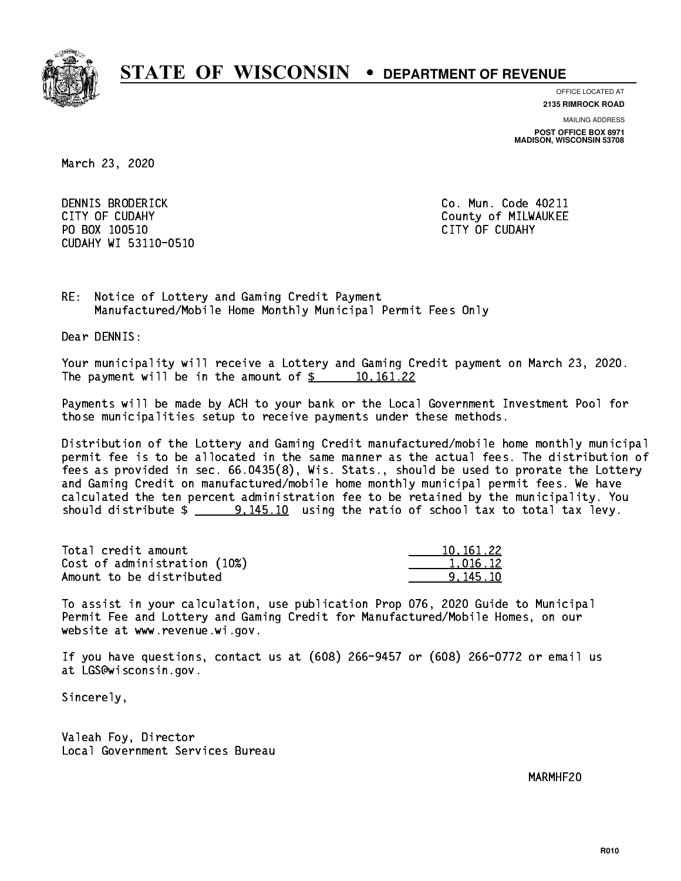

**OFFICE LOCATED AT**

**2135 RIMROCK ROAD**

**MAILING ADDRESS POST OFFICE BOX 8971 MADISON, WISCONSIN 53708**

March 23, 2020

 DENNIS BRODERICK Co. Mun. Code 40211 CITY OF CUDAHY COUNTY COUNTY COUNTY OF MILWAUKEE PO BOX 100510 CITY OF CUDAHY CUDAHY WI 53110-0510

RE: Notice of Lottery and Gaming Credit Payment Manufactured/Mobile Home Monthly Municipal Permit Fees Only

Dear DENNIS:

 Your municipality will receive a Lottery and Gaming Credit payment on March 23, 2020. The payment will be in the amount of  $\frac{2}{3}$  10,161.22

 Payments will be made by ACH to your bank or the Local Government Investment Pool for those municipalities setup to receive payments under these methods.

 Distribution of the Lottery and Gaming Credit manufactured/mobile home monthly municipal permit fee is to be allocated in the same manner as the actual fees. The distribution of fees as provided in sec. 66.0435(8), Wis. Stats., should be used to prorate the Lottery and Gaming Credit on manufactured/mobile home monthly municipal permit fees. We have calculated the ten percent administration fee to be retained by the municipality. You should distribute  $\frac{10}{2}$   $\frac{9,145.10}{2}$  using the ratio of school tax to total tax levy.

| Total credit amount          | 10.161.22 |
|------------------------------|-----------|
| Cost of administration (10%) | 1.016.12  |
| Amount to be distributed     | 9.145.10  |

 To assist in your calculation, use publication Prop 076, 2020 Guide to Municipal Permit Fee and Lottery and Gaming Credit for Manufactured/Mobile Homes, on our website at www.revenue.wi.gov.

 If you have questions, contact us at (608) 266-9457 or (608) 266-0772 or email us at LGS@wisconsin.gov.

Sincerely,

 Valeah Foy, Director Local Government Services Bureau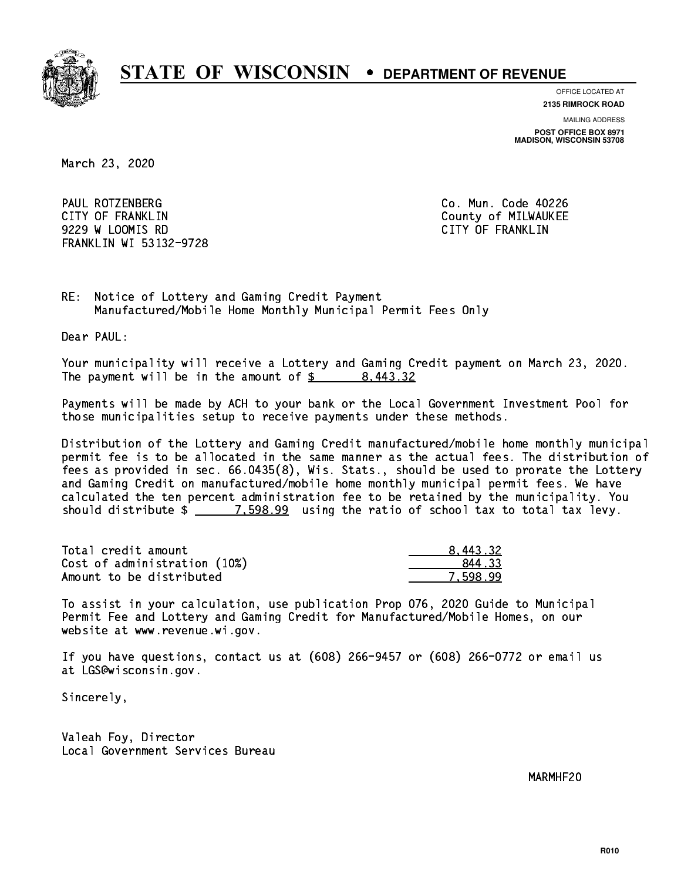

**OFFICE LOCATED AT**

**2135 RIMROCK ROAD**

**MAILING ADDRESS**

**POST OFFICE BOX 8971 MADISON, WISCONSIN 53708**

March 23, 2020

 PAUL ROTZENBERG Co. Mun. Code 40226 CITY OF FRANKLIN COUNTY OF FRANKLIN 9229 W LOOMIS RD CITY OF FRANKLIN FRANKLIN WI 53132-9728

RE: Notice of Lottery and Gaming Credit Payment Manufactured/Mobile Home Monthly Municipal Permit Fees Only

Dear PAUL:

 Your municipality will receive a Lottery and Gaming Credit payment on March 23, 2020. The payment will be in the amount of \$ 8,443.32 \_\_\_\_\_\_\_\_\_\_\_\_\_\_\_\_

 Payments will be made by ACH to your bank or the Local Government Investment Pool for those municipalities setup to receive payments under these methods.

 Distribution of the Lottery and Gaming Credit manufactured/mobile home monthly municipal permit fee is to be allocated in the same manner as the actual fees. The distribution of fees as provided in sec. 66.0435(8), Wis. Stats., should be used to prorate the Lottery and Gaming Credit on manufactured/mobile home monthly municipal permit fees. We have calculated the ten percent administration fee to be retained by the municipality. You should distribute  $\frac{2}{2}$   $\frac{7.598.99}{2}$  using the ratio of school tax to total tax levy.

| Total credit amount          | 8.443.32 |
|------------------------------|----------|
| Cost of administration (10%) | 844.33   |
| Amount to be distributed     | 7.598.99 |

 To assist in your calculation, use publication Prop 076, 2020 Guide to Municipal Permit Fee and Lottery and Gaming Credit for Manufactured/Mobile Homes, on our website at www.revenue.wi.gov.

 If you have questions, contact us at (608) 266-9457 or (608) 266-0772 or email us at LGS@wisconsin.gov.

Sincerely,

 Valeah Foy, Director Local Government Services Bureau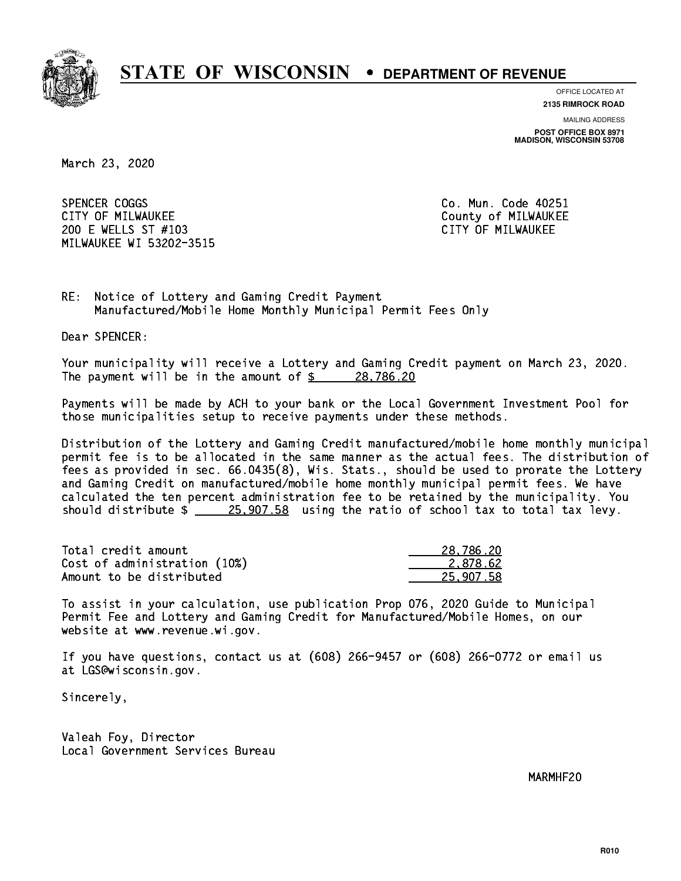

**OFFICE LOCATED AT**

**2135 RIMROCK ROAD**

**MAILING ADDRESS**

**POST OFFICE BOX 8971 MADISON, WISCONSIN 53708**

March 23, 2020

SPENCER COGGS CITY OF MILWAUKEE CITY OF MILWAUKEE 200 E WELLS ST #103 CITY OF MILWAUKEE MILWAUKEE WI 53202-3515

Co. Mun. Code 40251

RE: Notice of Lottery and Gaming Credit Payment Manufactured/Mobile Home Monthly Municipal Permit Fees Only

Dear SPENCER:

 Your municipality will receive a Lottery and Gaming Credit payment on March 23, 2020. The payment will be in the amount of  $\frac{28,786.20}{28,1286.20}$ 

 Payments will be made by ACH to your bank or the Local Government Investment Pool for those municipalities setup to receive payments under these methods.

 Distribution of the Lottery and Gaming Credit manufactured/mobile home monthly municipal permit fee is to be allocated in the same manner as the actual fees. The distribution of fees as provided in sec. 66.0435(8), Wis. Stats., should be used to prorate the Lottery and Gaming Credit on manufactured/mobile home monthly municipal permit fees. We have calculated the ten percent administration fee to be retained by the municipality. You should distribute  $\frac{25,907.58}{25,907.58}$  using the ratio of school tax to total tax levy.

| Total credit amount          | 28,786.20 |
|------------------------------|-----------|
| Cost of administration (10%) | 2.878.62  |
| Amount to be distributed     | 25.907.58 |

 To assist in your calculation, use publication Prop 076, 2020 Guide to Municipal Permit Fee and Lottery and Gaming Credit for Manufactured/Mobile Homes, on our website at www.revenue.wi.gov.

 If you have questions, contact us at (608) 266-9457 or (608) 266-0772 or email us at LGS@wisconsin.gov.

Sincerely,

 Valeah Foy, Director Local Government Services Bureau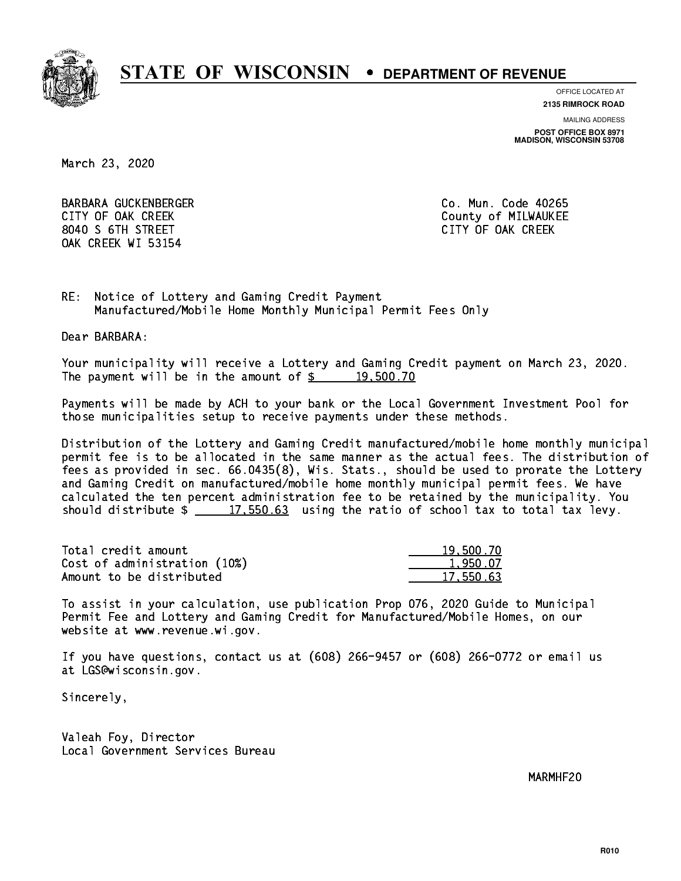

**OFFICE LOCATED AT**

**2135 RIMROCK ROAD**

**MAILING ADDRESS**

**POST OFFICE BOX 8971 MADISON, WISCONSIN 53708**

March 23, 2020

 BARBARA GUCKENBERGER Co. Mun. Code 40265 CITY OF OAK CREEK COUNTY COUNTY OF MILWAUKEE 8040 S 6TH STREET CITY OF OAK CREEK OAK CREEK WI 53154

RE: Notice of Lottery and Gaming Credit Payment Manufactured/Mobile Home Monthly Municipal Permit Fees Only

Dear BARBARA:

 Your municipality will receive a Lottery and Gaming Credit payment on March 23, 2020. The payment will be in the amount of  $\frac{2}{3}$  19,500.70

 Payments will be made by ACH to your bank or the Local Government Investment Pool for those municipalities setup to receive payments under these methods.

 Distribution of the Lottery and Gaming Credit manufactured/mobile home monthly municipal permit fee is to be allocated in the same manner as the actual fees. The distribution of fees as provided in sec. 66.0435(8), Wis. Stats., should be used to prorate the Lottery and Gaming Credit on manufactured/mobile home monthly municipal permit fees. We have calculated the ten percent administration fee to be retained by the municipality. You should distribute  $\frac{2}{17,550.63}$  using the ratio of school tax to total tax levy.

| Total credit amount          | 19,500.70 |
|------------------------------|-----------|
| Cost of administration (10%) | 1.950.07  |
| Amount to be distributed     | 17.550.63 |

 To assist in your calculation, use publication Prop 076, 2020 Guide to Municipal Permit Fee and Lottery and Gaming Credit for Manufactured/Mobile Homes, on our website at www.revenue.wi.gov.

 If you have questions, contact us at (608) 266-9457 or (608) 266-0772 or email us at LGS@wisconsin.gov.

Sincerely,

 Valeah Foy, Director Local Government Services Bureau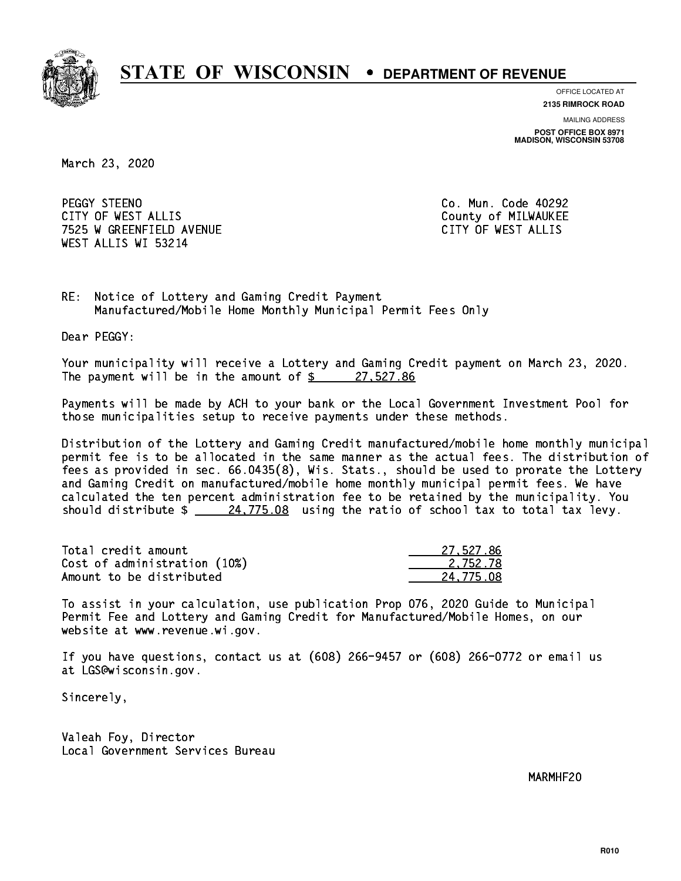

**OFFICE LOCATED AT**

**2135 RIMROCK ROAD**

**MAILING ADDRESS**

**POST OFFICE BOX 8971 MADISON, WISCONSIN 53708**

March 23, 2020

PEGGY STEENO CITY OF WEST ALLIS COUNTY COUNTY OF MILWAUKEE 7525 W GREENFIELD AVENUE CITY OF WEST ALLIS WEST ALLIS WI 53214

Co. Mun. Code 40292

RE: Notice of Lottery and Gaming Credit Payment Manufactured/Mobile Home Monthly Municipal Permit Fees Only

Dear PEGGY:

 Your municipality will receive a Lottery and Gaming Credit payment on March 23, 2020. The payment will be in the amount of  $\frac{27.527.86}{5}$ 

 Payments will be made by ACH to your bank or the Local Government Investment Pool for those municipalities setup to receive payments under these methods.

 Distribution of the Lottery and Gaming Credit manufactured/mobile home monthly municipal permit fee is to be allocated in the same manner as the actual fees. The distribution of fees as provided in sec. 66.0435(8), Wis. Stats., should be used to prorate the Lottery and Gaming Credit on manufactured/mobile home monthly municipal permit fees. We have calculated the ten percent administration fee to be retained by the municipality. You should distribute  $\frac{24,775.08}{24,775.08}$  using the ratio of school tax to total tax levy.

| Total credit amount          | 27.527.86 |
|------------------------------|-----------|
| Cost of administration (10%) | 2.752.78  |
| Amount to be distributed     | 24,775.08 |

 To assist in your calculation, use publication Prop 076, 2020 Guide to Municipal Permit Fee and Lottery and Gaming Credit for Manufactured/Mobile Homes, on our website at www.revenue.wi.gov.

 If you have questions, contact us at (608) 266-9457 or (608) 266-0772 or email us at LGS@wisconsin.gov.

Sincerely,

 Valeah Foy, Director Local Government Services Bureau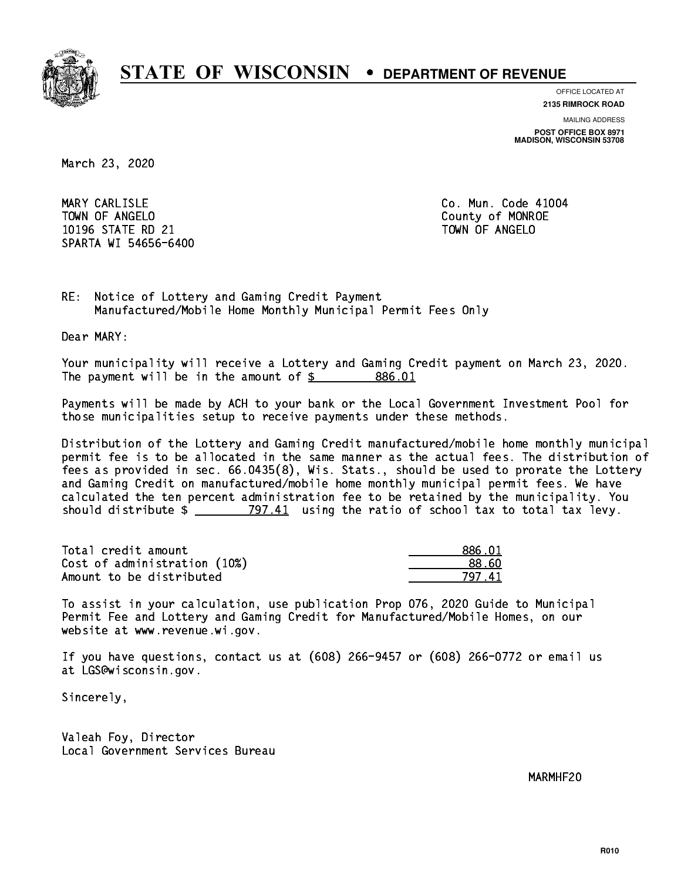

**OFFICE LOCATED AT**

**2135 RIMROCK ROAD**

**MAILING ADDRESS POST OFFICE BOX 8971 MADISON, WISCONSIN 53708**

March 23, 2020

MARY CARLISLE TOWN OF ANGELO County of MONROE 10196 STATE RD 21 TOWN OF ANGELO SPARTA WI 54656-6400

Co. Mun. Code 41004

RE: Notice of Lottery and Gaming Credit Payment Manufactured/Mobile Home Monthly Municipal Permit Fees Only

Dear MARY:

 Your municipality will receive a Lottery and Gaming Credit payment on March 23, 2020. The payment will be in the amount of \$ 886.01 \_\_\_\_\_\_\_\_\_\_\_\_\_\_\_\_

 Payments will be made by ACH to your bank or the Local Government Investment Pool for those municipalities setup to receive payments under these methods.

 Distribution of the Lottery and Gaming Credit manufactured/mobile home monthly municipal permit fee is to be allocated in the same manner as the actual fees. The distribution of fees as provided in sec. 66.0435(8), Wis. Stats., should be used to prorate the Lottery and Gaming Credit on manufactured/mobile home monthly municipal permit fees. We have calculated the ten percent administration fee to be retained by the municipality. You should distribute  $\frac{2}{2}$   $\frac{797.41}{2}$  using the ratio of school tax to total tax levy.

| Total credit amount          | 886.01 |
|------------------------------|--------|
| Cost of administration (10%) | 88.60  |
| Amount to be distributed     | 797 41 |

| 886.01   |
|----------|
| 18. KN   |
| 41<br>97 |

 To assist in your calculation, use publication Prop 076, 2020 Guide to Municipal Permit Fee and Lottery and Gaming Credit for Manufactured/Mobile Homes, on our website at www.revenue.wi.gov.

 If you have questions, contact us at (608) 266-9457 or (608) 266-0772 or email us at LGS@wisconsin.gov.

Sincerely,

 Valeah Foy, Director Local Government Services Bureau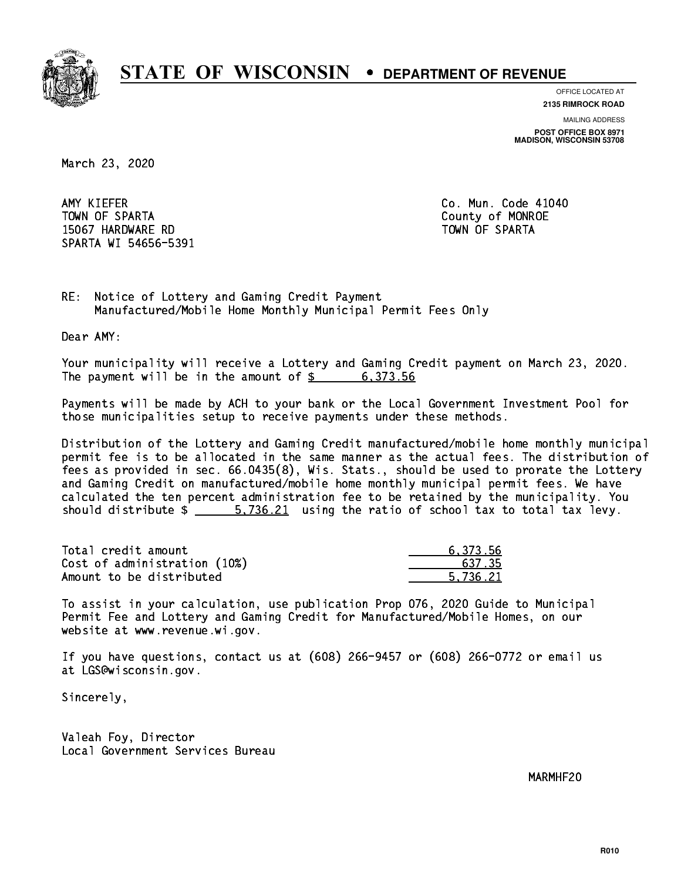

**OFFICE LOCATED AT**

**2135 RIMROCK ROAD**

**MAILING ADDRESS POST OFFICE BOX 8971 MADISON, WISCONSIN 53708**

March 23, 2020

AMY KIEFER TOWN OF SPARTA County of MONROE 15067 HARDWARE RD TOWN OF SPARTA SPARTA WI 54656-5391

Co. Mun. Code 41040

RE: Notice of Lottery and Gaming Credit Payment Manufactured/Mobile Home Monthly Municipal Permit Fees Only

Dear AMY:

 Your municipality will receive a Lottery and Gaming Credit payment on March 23, 2020. The payment will be in the amount of  $\frac{2}{3}$  6,373.56

 Payments will be made by ACH to your bank or the Local Government Investment Pool for those municipalities setup to receive payments under these methods.

 Distribution of the Lottery and Gaming Credit manufactured/mobile home monthly municipal permit fee is to be allocated in the same manner as the actual fees. The distribution of fees as provided in sec. 66.0435(8), Wis. Stats., should be used to prorate the Lottery and Gaming Credit on manufactured/mobile home monthly municipal permit fees. We have calculated the ten percent administration fee to be retained by the municipality. You should distribute  $\frac{2}{1}$  5,736.21 using the ratio of school tax to total tax levy.

| Total credit amount          | 6.373.56 |
|------------------------------|----------|
| Cost of administration (10%) | 637.35   |
| Amount to be distributed     | 5.736.21 |

 To assist in your calculation, use publication Prop 076, 2020 Guide to Municipal Permit Fee and Lottery and Gaming Credit for Manufactured/Mobile Homes, on our website at www.revenue.wi.gov.

 If you have questions, contact us at (608) 266-9457 or (608) 266-0772 or email us at LGS@wisconsin.gov.

Sincerely,

 Valeah Foy, Director Local Government Services Bureau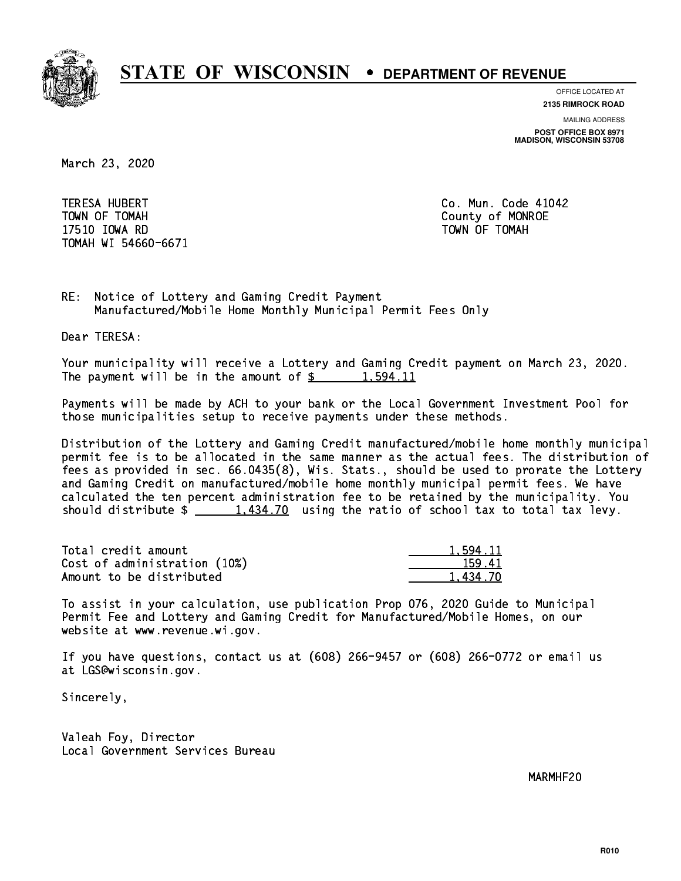

**OFFICE LOCATED AT**

**MAILING ADDRESS 2135 RIMROCK ROAD**

**POST OFFICE BOX 8971 MADISON, WISCONSIN 53708**

March 23, 2020

 TERESA HUBERT Co. Mun. Code 41042 TOWN OF TOMAH County of MONROE 17510 IOWA RD TOWN OF TOMAH TOMAH WI 54660-6671

RE: Notice of Lottery and Gaming Credit Payment Manufactured/Mobile Home Monthly Municipal Permit Fees Only

Dear TERESA:

 Your municipality will receive a Lottery and Gaming Credit payment on March 23, 2020. The payment will be in the amount of  $\frac{2}{3}$  1,594.11

 Payments will be made by ACH to your bank or the Local Government Investment Pool for those municipalities setup to receive payments under these methods.

 Distribution of the Lottery and Gaming Credit manufactured/mobile home monthly municipal permit fee is to be allocated in the same manner as the actual fees. The distribution of fees as provided in sec. 66.0435(8), Wis. Stats., should be used to prorate the Lottery and Gaming Credit on manufactured/mobile home monthly municipal permit fees. We have calculated the ten percent administration fee to be retained by the municipality. You should distribute  $\frac{1,434.70}{1,434.70}$  using the ratio of school tax to total tax levy.

| Total credit amount          | 1.594.11 |
|------------------------------|----------|
| Cost of administration (10%) | 159.41   |
| Amount to be distributed     | 1.434.70 |

 To assist in your calculation, use publication Prop 076, 2020 Guide to Municipal Permit Fee and Lottery and Gaming Credit for Manufactured/Mobile Homes, on our website at www.revenue.wi.gov.

 If you have questions, contact us at (608) 266-9457 or (608) 266-0772 or email us at LGS@wisconsin.gov.

Sincerely,

 Valeah Foy, Director Local Government Services Bureau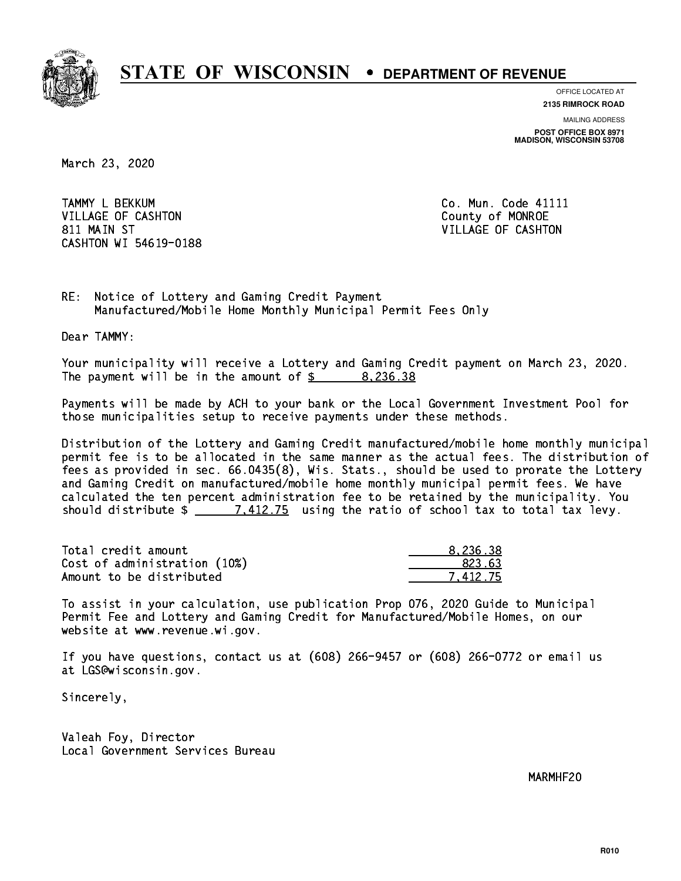

**OFFICE LOCATED AT**

**2135 RIMROCK ROAD**

**MAILING ADDRESS POST OFFICE BOX 8971 MADISON, WISCONSIN 53708**

March 23, 2020

TAMMY L BEKKUM **Communist Communist Communist Communist Communist Communist Communist Communist Communist Communist Communist Communist Communist Communist Communist Communist Communist Communist Communist Communist Commun** VILLAGE OF CASHTON COUNTY OF MONROE 811 MAIN ST VILLAGE OF CASHTON CASHTON WI 54619-0188

RE: Notice of Lottery and Gaming Credit Payment Manufactured/Mobile Home Monthly Municipal Permit Fees Only

Dear TAMMY:

 Your municipality will receive a Lottery and Gaming Credit payment on March 23, 2020. The payment will be in the amount of  $\frac{2}{3}$  8,236.38

 Payments will be made by ACH to your bank or the Local Government Investment Pool for those municipalities setup to receive payments under these methods.

 Distribution of the Lottery and Gaming Credit manufactured/mobile home monthly municipal permit fee is to be allocated in the same manner as the actual fees. The distribution of fees as provided in sec. 66.0435(8), Wis. Stats., should be used to prorate the Lottery and Gaming Credit on manufactured/mobile home monthly municipal permit fees. We have calculated the ten percent administration fee to be retained by the municipality. You should distribute  $\frac{2}{2}$   $\frac{7.412.75}{7.412.75}$  using the ratio of school tax to total tax levy.

| Total credit amount          | 8.236.38 |
|------------------------------|----------|
| Cost of administration (10%) | 823.63   |
| Amount to be distributed     | 7.412.75 |

 To assist in your calculation, use publication Prop 076, 2020 Guide to Municipal Permit Fee and Lottery and Gaming Credit for Manufactured/Mobile Homes, on our website at www.revenue.wi.gov.

 If you have questions, contact us at (608) 266-9457 or (608) 266-0772 or email us at LGS@wisconsin.gov.

Sincerely,

 Valeah Foy, Director Local Government Services Bureau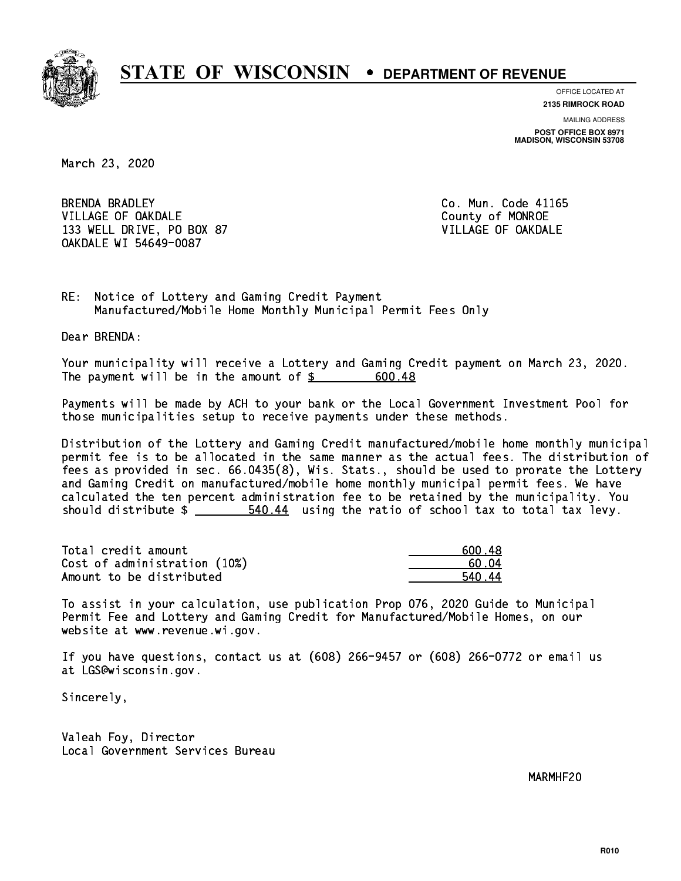

**OFFICE LOCATED AT**

**2135 RIMROCK ROAD**

**MAILING ADDRESS POST OFFICE BOX 8971 MADISON, WISCONSIN 53708**

March 23, 2020

**BRENDA BRADLEY** VILLAGE OF OAKDALE COUNTY OF MONROE 133 WELL DRIVE, PO BOX 87 VILLAGE OF OAKDALE OAKDALE WI 54649-0087

Co. Mun. Code 41165

RE: Notice of Lottery and Gaming Credit Payment Manufactured/Mobile Home Monthly Municipal Permit Fees Only

Dear BRENDA:

 Your municipality will receive a Lottery and Gaming Credit payment on March 23, 2020. The payment will be in the amount of  $$ 600.48$ 

 Payments will be made by ACH to your bank or the Local Government Investment Pool for those municipalities setup to receive payments under these methods.

 Distribution of the Lottery and Gaming Credit manufactured/mobile home monthly municipal permit fee is to be allocated in the same manner as the actual fees. The distribution of fees as provided in sec. 66.0435(8), Wis. Stats., should be used to prorate the Lottery and Gaming Credit on manufactured/mobile home monthly municipal permit fees. We have calculated the ten percent administration fee to be retained by the municipality. You should distribute  $\frac{2}{1}$   $\frac{540.44}{14}$  using the ratio of school tax to total tax levy.

| Total credit amount          | .600.48 |
|------------------------------|---------|
| Cost of administration (10%) | .60. N4 |
| Amount to be distributed     | 540 44  |

 To assist in your calculation, use publication Prop 076, 2020 Guide to Municipal Permit Fee and Lottery and Gaming Credit for Manufactured/Mobile Homes, on our website at www.revenue.wi.gov.

 If you have questions, contact us at (608) 266-9457 or (608) 266-0772 or email us at LGS@wisconsin.gov.

Sincerely,

 Valeah Foy, Director Local Government Services Bureau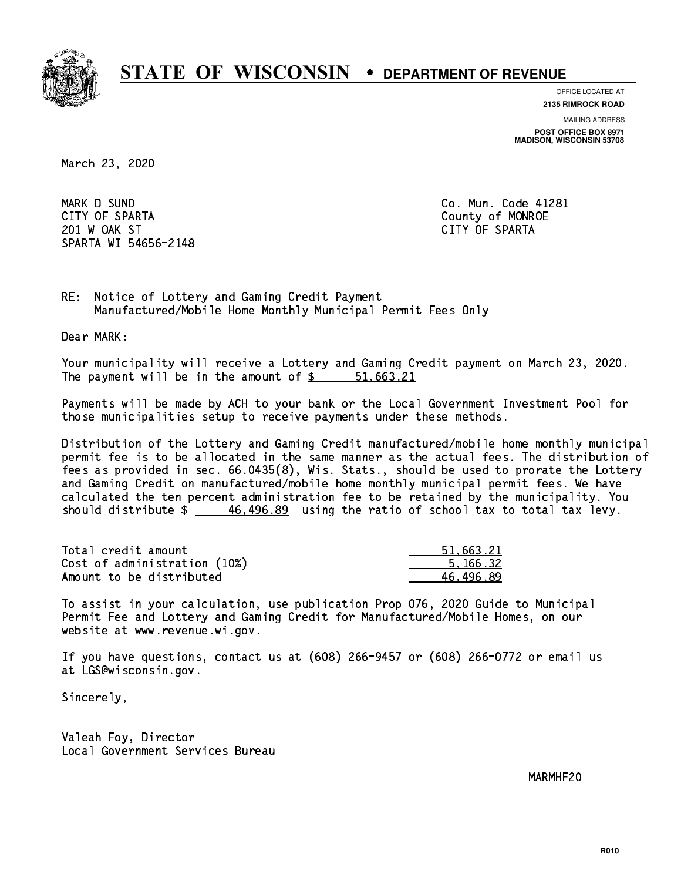

**OFFICE LOCATED AT**

**2135 RIMROCK ROAD**

**MAILING ADDRESS**

**POST OFFICE BOX 8971 MADISON, WISCONSIN 53708**

March 23, 2020

 MARK D SUND Co. Mun. Code 41281 CITY OF SPARTA County of MONROE 201 W OAK ST CITY OF SPARTA SPARTA WI 54656-2148

RE: Notice of Lottery and Gaming Credit Payment Manufactured/Mobile Home Monthly Municipal Permit Fees Only

Dear MARK:

 Your municipality will receive a Lottery and Gaming Credit payment on March 23, 2020. The payment will be in the amount of \$ 51,663.21 \_\_\_\_\_\_\_\_\_\_\_\_\_\_\_\_

 Payments will be made by ACH to your bank or the Local Government Investment Pool for those municipalities setup to receive payments under these methods.

 Distribution of the Lottery and Gaming Credit manufactured/mobile home monthly municipal permit fee is to be allocated in the same manner as the actual fees. The distribution of fees as provided in sec. 66.0435(8), Wis. Stats., should be used to prorate the Lottery and Gaming Credit on manufactured/mobile home monthly municipal permit fees. We have calculated the ten percent administration fee to be retained by the municipality. You should distribute  $\frac{46,496.89}{2}$  using the ratio of school tax to total tax levy.

| Total credit amount          | 51,663.21 |
|------------------------------|-----------|
| Cost of administration (10%) | 5.166.32  |
| Amount to be distributed     | 46.496.89 |

 To assist in your calculation, use publication Prop 076, 2020 Guide to Municipal Permit Fee and Lottery and Gaming Credit for Manufactured/Mobile Homes, on our website at www.revenue.wi.gov.

 If you have questions, contact us at (608) 266-9457 or (608) 266-0772 or email us at LGS@wisconsin.gov.

Sincerely,

 Valeah Foy, Director Local Government Services Bureau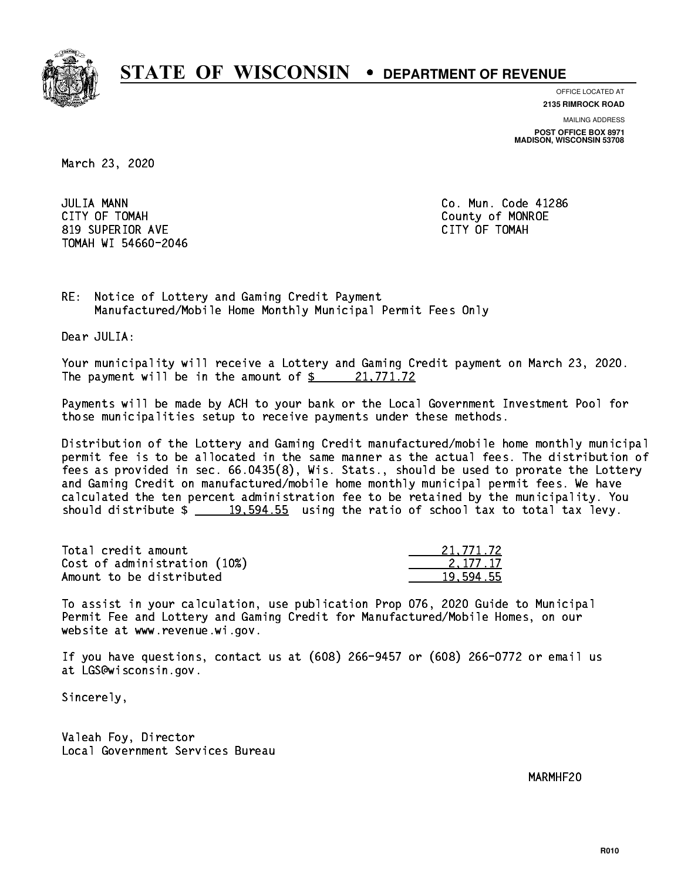

**OFFICE LOCATED AT**

**2135 RIMROCK ROAD**

**MAILING ADDRESS POST OFFICE BOX 8971 MADISON, WISCONSIN 53708**

March 23, 2020

**JULIA MANN**  CITY OF TOMAH County of MONROE 819 SUPERIOR AVE CITY OF TOMAH TOMAH WI 54660-2046

Co. Mun. Code 41286

RE: Notice of Lottery and Gaming Credit Payment Manufactured/Mobile Home Monthly Municipal Permit Fees Only

Dear JULIA:

 Your municipality will receive a Lottery and Gaming Credit payment on March 23, 2020. The payment will be in the amount of  $\frac{21,771.72}{2}$ 

 Payments will be made by ACH to your bank or the Local Government Investment Pool for those municipalities setup to receive payments under these methods.

 Distribution of the Lottery and Gaming Credit manufactured/mobile home monthly municipal permit fee is to be allocated in the same manner as the actual fees. The distribution of fees as provided in sec. 66.0435(8), Wis. Stats., should be used to prorate the Lottery and Gaming Credit on manufactured/mobile home monthly municipal permit fees. We have calculated the ten percent administration fee to be retained by the municipality. You should distribute  $\frac{19,594.55}{2}$  using the ratio of school tax to total tax levy.

| Total credit amount          | 21,771.72 |
|------------------------------|-----------|
| Cost of administration (10%) | 2.177.17  |
| Amount to be distributed     | 19.594.55 |

 To assist in your calculation, use publication Prop 076, 2020 Guide to Municipal Permit Fee and Lottery and Gaming Credit for Manufactured/Mobile Homes, on our website at www.revenue.wi.gov.

 If you have questions, contact us at (608) 266-9457 or (608) 266-0772 or email us at LGS@wisconsin.gov.

Sincerely,

 Valeah Foy, Director Local Government Services Bureau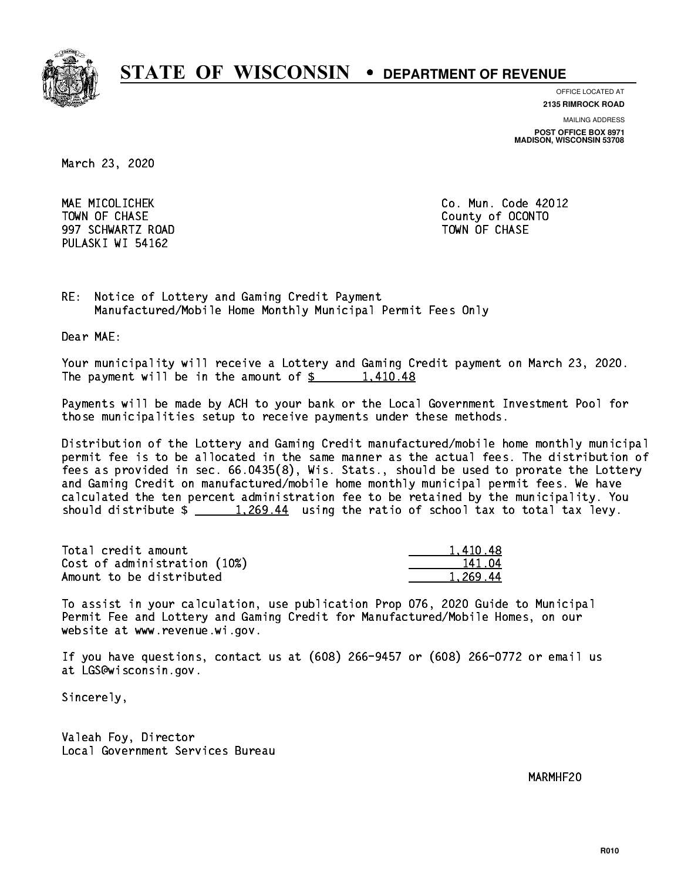

**OFFICE LOCATED AT**

**2135 RIMROCK ROAD**

**MAILING ADDRESS POST OFFICE BOX 8971 MADISON, WISCONSIN 53708**

March 23, 2020

 MAE MICOLICHEK Co. Mun. Code 42012 997 SCHWARTZ ROAD TOWN OF CHASE PULASKI WI 54162

TOWN OF CHASE County of OCONTO

RE: Notice of Lottery and Gaming Credit Payment Manufactured/Mobile Home Monthly Municipal Permit Fees Only

Dear MAE:

 Your municipality will receive a Lottery and Gaming Credit payment on March 23, 2020. The payment will be in the amount of  $\frac{2}{3}$  1,410.48

 Payments will be made by ACH to your bank or the Local Government Investment Pool for those municipalities setup to receive payments under these methods.

 Distribution of the Lottery and Gaming Credit manufactured/mobile home monthly municipal permit fee is to be allocated in the same manner as the actual fees. The distribution of fees as provided in sec. 66.0435(8), Wis. Stats., should be used to prorate the Lottery and Gaming Credit on manufactured/mobile home monthly municipal permit fees. We have calculated the ten percent administration fee to be retained by the municipality. You should distribute  $\frac{1,269.44}{1,269.44}$  using the ratio of school tax to total tax levy.

| Total credit amount          | 1.410.48 |
|------------------------------|----------|
| Cost of administration (10%) | 141.04   |
| Amount to be distributed     | 1.269.44 |

 To assist in your calculation, use publication Prop 076, 2020 Guide to Municipal Permit Fee and Lottery and Gaming Credit for Manufactured/Mobile Homes, on our website at www.revenue.wi.gov.

 If you have questions, contact us at (608) 266-9457 or (608) 266-0772 or email us at LGS@wisconsin.gov.

Sincerely,

 Valeah Foy, Director Local Government Services Bureau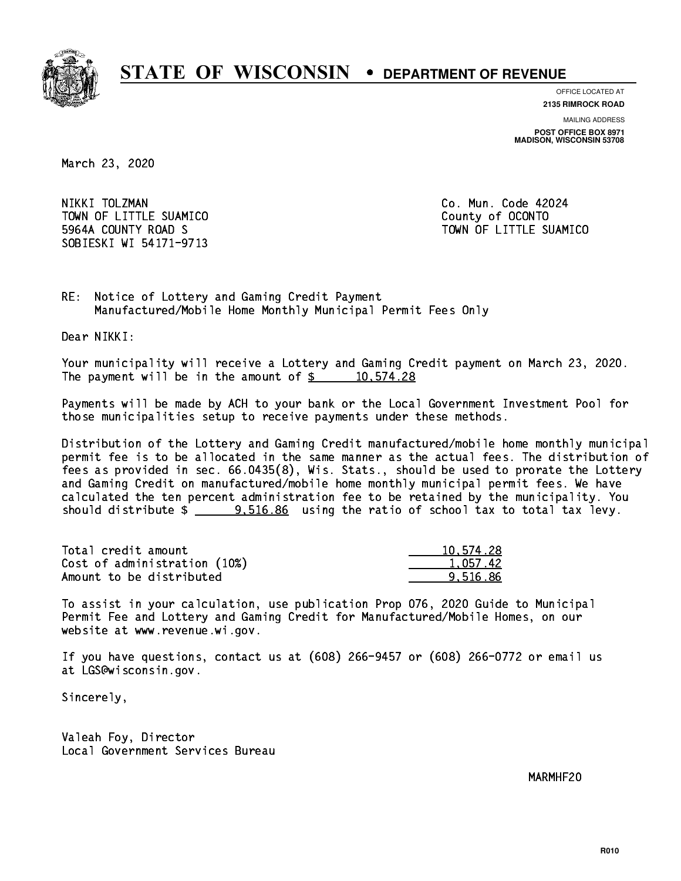

**OFFICE LOCATED AT**

**2135 RIMROCK ROAD**

**MAILING ADDRESS POST OFFICE BOX 8971 MADISON, WISCONSIN 53708**

March 23, 2020

 NIKKI TOLZMAN Co. Mun. Code 42024 TOWN OF LITTLE SUAMICO **COUNTY COUNTY COUNTY**  5964A COUNTY ROAD S TOWN OF LITTLE SUAMICO SOBIESKI WI 54171-9713

RE: Notice of Lottery and Gaming Credit Payment Manufactured/Mobile Home Monthly Municipal Permit Fees Only

Dear NIKKI:

 Your municipality will receive a Lottery and Gaming Credit payment on March 23, 2020. The payment will be in the amount of  $\frac{2}{3}$  10,574.28

 Payments will be made by ACH to your bank or the Local Government Investment Pool for those municipalities setup to receive payments under these methods.

 Distribution of the Lottery and Gaming Credit manufactured/mobile home monthly municipal permit fee is to be allocated in the same manner as the actual fees. The distribution of fees as provided in sec. 66.0435(8), Wis. Stats., should be used to prorate the Lottery and Gaming Credit on manufactured/mobile home monthly municipal permit fees. We have calculated the ten percent administration fee to be retained by the municipality. You should distribute  $\frac{2}{2}$   $\frac{9,516.86}{2}$  using the ratio of school tax to total tax levy.

| Total credit amount          | 10,574.28 |
|------------------------------|-----------|
| Cost of administration (10%) | 1.057.42  |
| Amount to be distributed     | 9.516.86  |

 To assist in your calculation, use publication Prop 076, 2020 Guide to Municipal Permit Fee and Lottery and Gaming Credit for Manufactured/Mobile Homes, on our website at www.revenue.wi.gov.

 If you have questions, contact us at (608) 266-9457 or (608) 266-0772 or email us at LGS@wisconsin.gov.

Sincerely,

 Valeah Foy, Director Local Government Services Bureau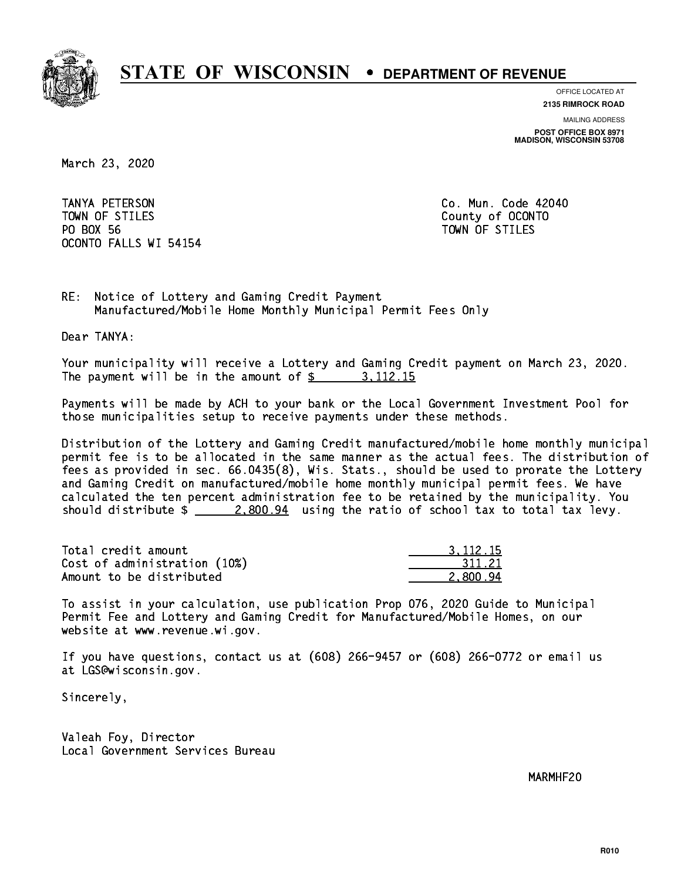

**OFFICE LOCATED AT**

**2135 RIMROCK ROAD**

**MAILING ADDRESS POST OFFICE BOX 8971 MADISON, WISCONSIN 53708**

March 23, 2020

 TANYA PETERSON Co. Mun. Code 42040 TOWN OF STILES County of OCONTO PO BOX 56 PO BOX 56 TOWN OF STILES OCONTO FALLS WI 54154

RE: Notice of Lottery and Gaming Credit Payment Manufactured/Mobile Home Monthly Municipal Permit Fees Only

Dear TANYA:

 Your municipality will receive a Lottery and Gaming Credit payment on March 23, 2020. The payment will be in the amount of  $\frac{2}{3}$  3, 112.15

 Payments will be made by ACH to your bank or the Local Government Investment Pool for those municipalities setup to receive payments under these methods.

 Distribution of the Lottery and Gaming Credit manufactured/mobile home monthly municipal permit fee is to be allocated in the same manner as the actual fees. The distribution of fees as provided in sec. 66.0435(8), Wis. Stats., should be used to prorate the Lottery and Gaming Credit on manufactured/mobile home monthly municipal permit fees. We have calculated the ten percent administration fee to be retained by the municipality. You should distribute  $\frac{2.800.94}{2.800.24}$  using the ratio of school tax to total tax levy.

| Total credit amount          | 3.112.15 |
|------------------------------|----------|
| Cost of administration (10%) | 311.21   |
| Amount to be distributed     | 2.800.94 |

 To assist in your calculation, use publication Prop 076, 2020 Guide to Municipal Permit Fee and Lottery and Gaming Credit for Manufactured/Mobile Homes, on our website at www.revenue.wi.gov.

 If you have questions, contact us at (608) 266-9457 or (608) 266-0772 or email us at LGS@wisconsin.gov.

Sincerely,

 Valeah Foy, Director Local Government Services Bureau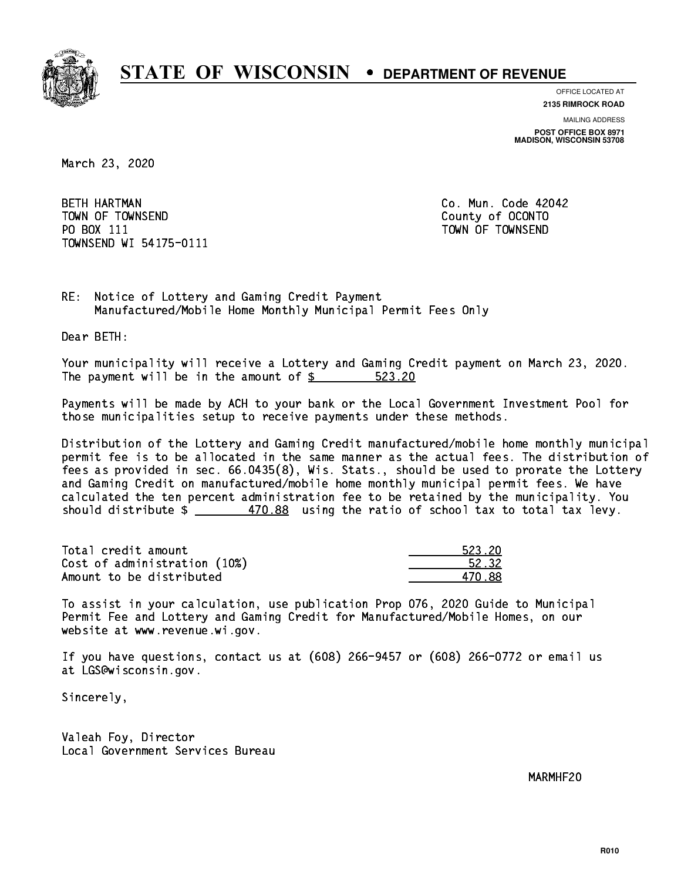

**OFFICE LOCATED AT 2135 RIMROCK ROAD**

**MAILING ADDRESS POST OFFICE BOX 8971 MADISON, WISCONSIN 53708**

March 23, 2020

**BETH HARTMAN**  TOWN OF TOWNSEND County of OCONTO PO BOX 111 PO BOX 111 TOWN OF TOWNSEND TOWNSEND WI 54175-0111

Co. Mun. Code 42042

RE: Notice of Lottery and Gaming Credit Payment Manufactured/Mobile Home Monthly Municipal Permit Fees Only

Dear BETH:

 Your municipality will receive a Lottery and Gaming Credit payment on March 23, 2020. The payment will be in the amount of \$ 523.20 \_\_\_\_\_\_\_\_\_\_\_\_\_\_\_\_

 Payments will be made by ACH to your bank or the Local Government Investment Pool for those municipalities setup to receive payments under these methods.

 Distribution of the Lottery and Gaming Credit manufactured/mobile home monthly municipal permit fee is to be allocated in the same manner as the actual fees. The distribution of fees as provided in sec. 66.0435(8), Wis. Stats., should be used to prorate the Lottery and Gaming Credit on manufactured/mobile home monthly municipal permit fees. We have calculated the ten percent administration fee to be retained by the municipality. You should distribute  $\frac{2}{2}$   $\frac{470.88}{2}$  using the ratio of school tax to total tax levy.

| Total credit amount          | 523.20 |
|------------------------------|--------|
| Cost of administration (10%) | 52.32  |
| Amount to be distributed     | 470.88 |

| 523. ZN     |
|-------------|
| 52.32<br>÷. |
| 88          |

 To assist in your calculation, use publication Prop 076, 2020 Guide to Municipal Permit Fee and Lottery and Gaming Credit for Manufactured/Mobile Homes, on our website at www.revenue.wi.gov.

 If you have questions, contact us at (608) 266-9457 or (608) 266-0772 or email us at LGS@wisconsin.gov.

Sincerely,

 Valeah Foy, Director Local Government Services Bureau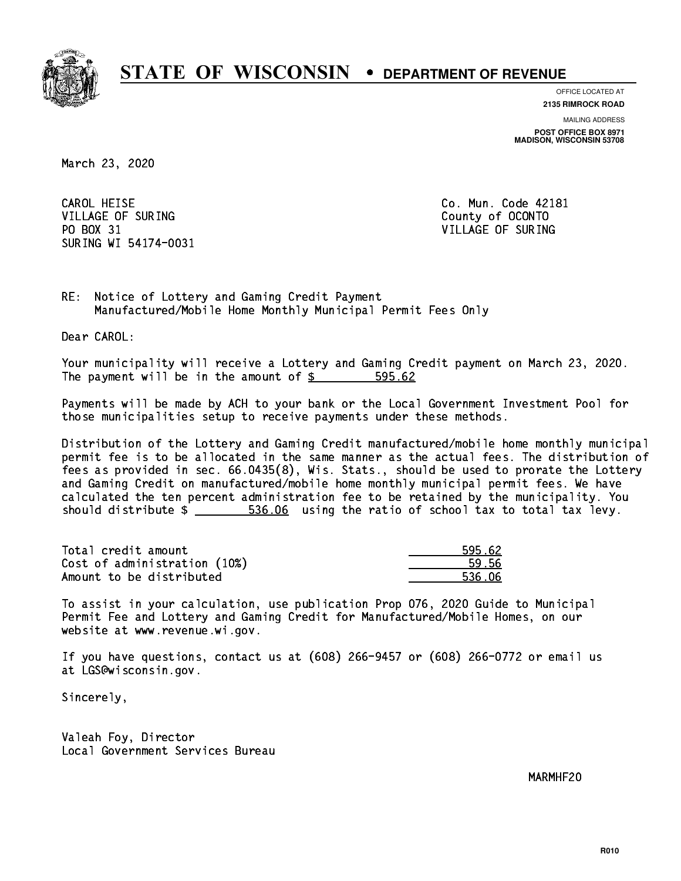

**OFFICE LOCATED AT**

**2135 RIMROCK ROAD**

**MAILING ADDRESS POST OFFICE BOX 8971 MADISON, WISCONSIN 53708**

March 23, 2020

CAROL HEISE VILLAGE OF SURING COUNTY COUNTY OF OCONTO PO BOX 31 VILLAGE OF SURING SURING WI 54174-0031

Co. Mun. Code 42181

RE: Notice of Lottery and Gaming Credit Payment Manufactured/Mobile Home Monthly Municipal Permit Fees Only

Dear CAROL:

 Your municipality will receive a Lottery and Gaming Credit payment on March 23, 2020. The payment will be in the amount of \$ 595.62 \_\_\_\_\_\_\_\_\_\_\_\_\_\_\_\_

 Payments will be made by ACH to your bank or the Local Government Investment Pool for those municipalities setup to receive payments under these methods.

 Distribution of the Lottery and Gaming Credit manufactured/mobile home monthly municipal permit fee is to be allocated in the same manner as the actual fees. The distribution of fees as provided in sec. 66.0435(8), Wis. Stats., should be used to prorate the Lottery and Gaming Credit on manufactured/mobile home monthly municipal permit fees. We have calculated the ten percent administration fee to be retained by the municipality. You should distribute  $\frac{2}{1}$   $\frac{536.06}{1000}$  using the ratio of school tax to total tax levy.

| Total credit amount          | 595.62 |
|------------------------------|--------|
| Cost of administration (10%) | 59.56  |
| Amount to be distributed     | 536.06 |

| 5.62       |
|------------|
| 9 56       |
| ጎር<br>E 21 |

 To assist in your calculation, use publication Prop 076, 2020 Guide to Municipal Permit Fee and Lottery and Gaming Credit for Manufactured/Mobile Homes, on our website at www.revenue.wi.gov.

 If you have questions, contact us at (608) 266-9457 or (608) 266-0772 or email us at LGS@wisconsin.gov.

Sincerely,

 Valeah Foy, Director Local Government Services Bureau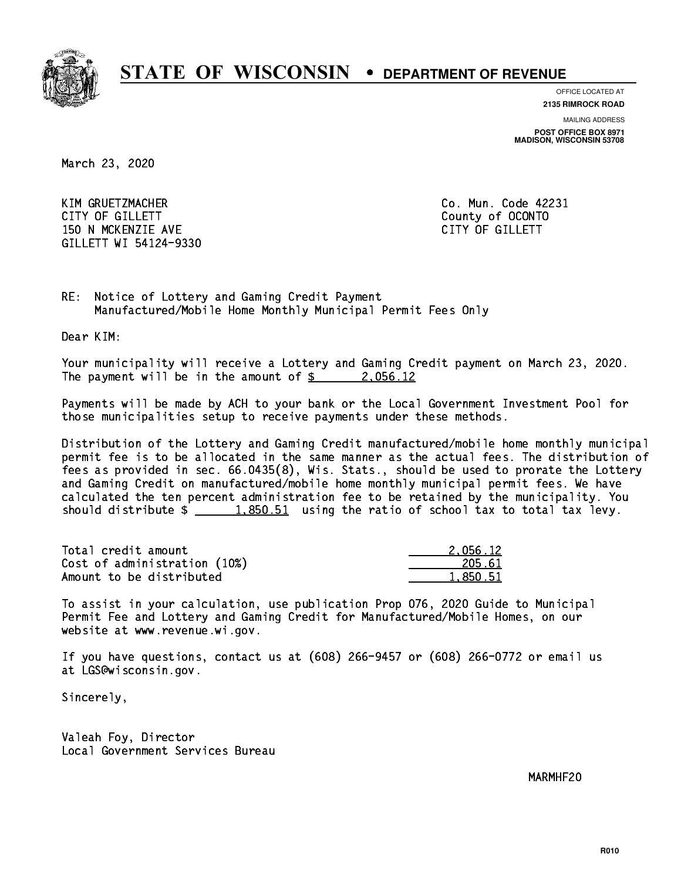

**OFFICE LOCATED AT**

**2135 RIMROCK ROAD**

**MAILING ADDRESS POST OFFICE BOX 8971 MADISON, WISCONSIN 53708**

March 23, 2020

 KIM GRUETZMACHER Co. Mun. Code 42231 CITY OF GILLETT County of OCONTO 150 N MCKENZIE AVE **CITY OF GILLETT** GILLETT WI 54124-9330

RE: Notice of Lottery and Gaming Credit Payment Manufactured/Mobile Home Monthly Municipal Permit Fees Only

Dear KIM:

 Your municipality will receive a Lottery and Gaming Credit payment on March 23, 2020. The payment will be in the amount of  $\frac{2}{3}$  2,056.12

 Payments will be made by ACH to your bank or the Local Government Investment Pool for those municipalities setup to receive payments under these methods.

 Distribution of the Lottery and Gaming Credit manufactured/mobile home monthly municipal permit fee is to be allocated in the same manner as the actual fees. The distribution of fees as provided in sec. 66.0435(8), Wis. Stats., should be used to prorate the Lottery and Gaming Credit on manufactured/mobile home monthly municipal permit fees. We have calculated the ten percent administration fee to be retained by the municipality. You should distribute  $\frac{1.850.51}{1.850.51}$  using the ratio of school tax to total tax levy.

| Total credit amount          | 2.056.12 |
|------------------------------|----------|
| Cost of administration (10%) | 205.61   |
| Amount to be distributed     | 1,850.51 |

 To assist in your calculation, use publication Prop 076, 2020 Guide to Municipal Permit Fee and Lottery and Gaming Credit for Manufactured/Mobile Homes, on our website at www.revenue.wi.gov.

 If you have questions, contact us at (608) 266-9457 or (608) 266-0772 or email us at LGS@wisconsin.gov.

Sincerely,

 Valeah Foy, Director Local Government Services Bureau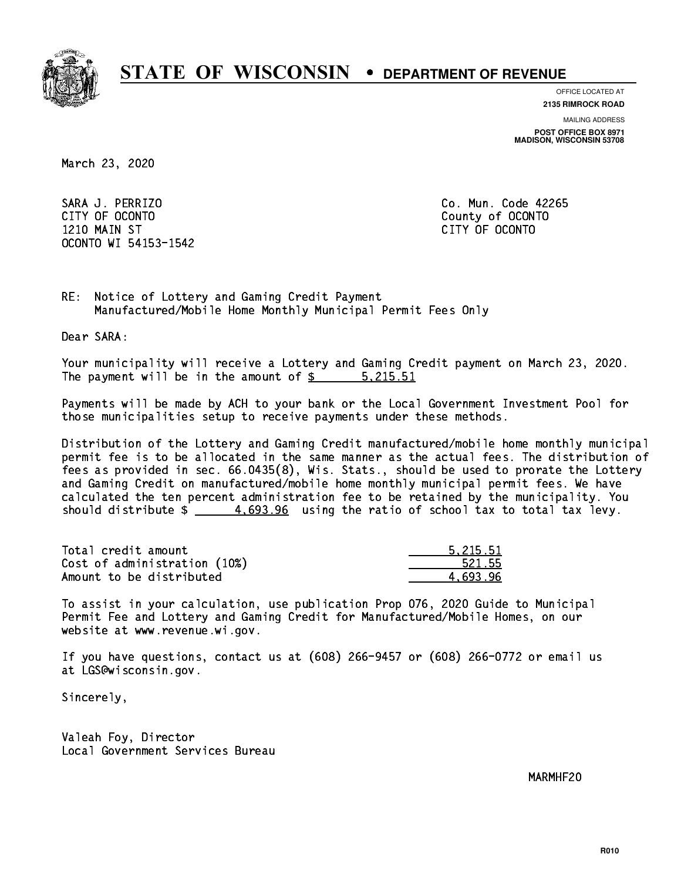

**OFFICE LOCATED AT**

**2135 RIMROCK ROAD**

**MAILING ADDRESS**

**POST OFFICE BOX 8971 MADISON, WISCONSIN 53708**

March 23, 2020

 SARA J. PERRIZO Co. Mun. Code 42265 CITY OF OCONTO County of OCONTO 1210 MAIN ST CITY OF OCONTO OCONTO WI 54153-1542

RE: Notice of Lottery and Gaming Credit Payment Manufactured/Mobile Home Monthly Municipal Permit Fees Only

Dear SARA:

 Your municipality will receive a Lottery and Gaming Credit payment on March 23, 2020. The payment will be in the amount of \$ 5,215.51 \_\_\_\_\_\_\_\_\_\_\_\_\_\_\_\_

 Payments will be made by ACH to your bank or the Local Government Investment Pool for those municipalities setup to receive payments under these methods.

 Distribution of the Lottery and Gaming Credit manufactured/mobile home monthly municipal permit fee is to be allocated in the same manner as the actual fees. The distribution of fees as provided in sec. 66.0435(8), Wis. Stats., should be used to prorate the Lottery and Gaming Credit on manufactured/mobile home monthly municipal permit fees. We have calculated the ten percent administration fee to be retained by the municipality. You should distribute  $\frac{4.693.96}{4.693.26}$  using the ratio of school tax to total tax levy.

| Total credit amount          | 5.215.51 |
|------------------------------|----------|
| Cost of administration (10%) | 521.55   |
| Amount to be distributed     | 4.693.96 |

 To assist in your calculation, use publication Prop 076, 2020 Guide to Municipal Permit Fee and Lottery and Gaming Credit for Manufactured/Mobile Homes, on our website at www.revenue.wi.gov.

 If you have questions, contact us at (608) 266-9457 or (608) 266-0772 or email us at LGS@wisconsin.gov.

Sincerely,

 Valeah Foy, Director Local Government Services Bureau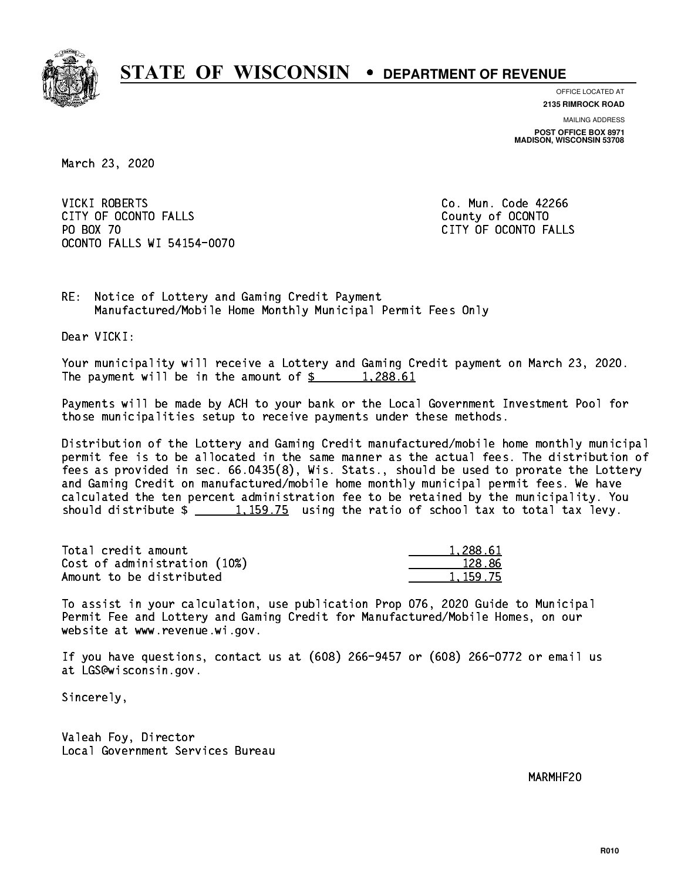

**OFFICE LOCATED AT**

**2135 RIMROCK ROAD**

**MAILING ADDRESS POST OFFICE BOX 8971 MADISON, WISCONSIN 53708**

March 23, 2020

**VICKI ROBERTS** CITY OF OCONTO FALLS **COUNTY COUNTY OF OCONTO** PO BOX 70 CITY OF OCONTO FALLS OCONTO FALLS WI 54154-0070

Co. Mun. Code 42266

RE: Notice of Lottery and Gaming Credit Payment Manufactured/Mobile Home Monthly Municipal Permit Fees Only

Dear VICKI:

 Your municipality will receive a Lottery and Gaming Credit payment on March 23, 2020. The payment will be in the amount of  $\frac{2}{3}$  1,288.61

 Payments will be made by ACH to your bank or the Local Government Investment Pool for those municipalities setup to receive payments under these methods.

 Distribution of the Lottery and Gaming Credit manufactured/mobile home monthly municipal permit fee is to be allocated in the same manner as the actual fees. The distribution of fees as provided in sec. 66.0435(8), Wis. Stats., should be used to prorate the Lottery and Gaming Credit on manufactured/mobile home monthly municipal permit fees. We have calculated the ten percent administration fee to be retained by the municipality. You should distribute  $\frac{1,159.75}{1,159.75}$  using the ratio of school tax to total tax levy.

| Total credit amount          | 1,288.61   |
|------------------------------|------------|
| Cost of administration (10%) | 128.86     |
| Amount to be distributed     | 1, 159, 75 |

 To assist in your calculation, use publication Prop 076, 2020 Guide to Municipal Permit Fee and Lottery and Gaming Credit for Manufactured/Mobile Homes, on our website at www.revenue.wi.gov.

 If you have questions, contact us at (608) 266-9457 or (608) 266-0772 or email us at LGS@wisconsin.gov.

Sincerely,

 Valeah Foy, Director Local Government Services Bureau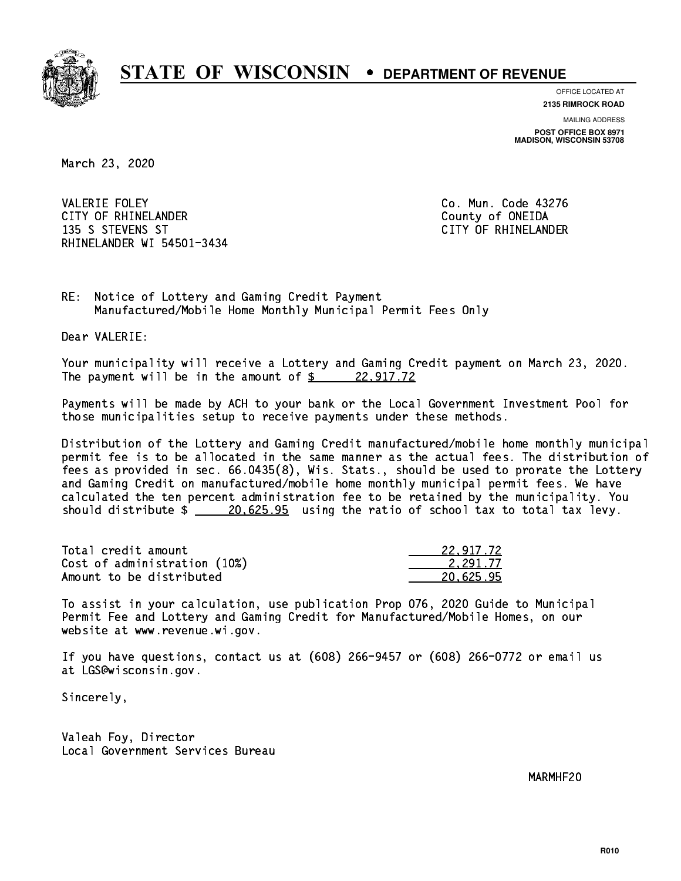

**OFFICE LOCATED AT**

**2135 RIMROCK ROAD**

**MAILING ADDRESS POST OFFICE BOX 8971 MADISON, WISCONSIN 53708**

March 23, 2020

**VALERIE FOLEY** CITY OF RHINELANDER **COUNTY COUNTY OF SHINE COUNTY** COUNTY OF ONEIDA 135 S STEVENS ST CITY OF RHINELANDER RHINELANDER WI 54501-3434

Co. Mun. Code 43276

RE: Notice of Lottery and Gaming Credit Payment Manufactured/Mobile Home Monthly Municipal Permit Fees Only

Dear VALERIE:

 Your municipality will receive a Lottery and Gaming Credit payment on March 23, 2020. The payment will be in the amount of  $\frac{22,917.72}{2}$ 

 Payments will be made by ACH to your bank or the Local Government Investment Pool for those municipalities setup to receive payments under these methods.

 Distribution of the Lottery and Gaming Credit manufactured/mobile home monthly municipal permit fee is to be allocated in the same manner as the actual fees. The distribution of fees as provided in sec. 66.0435(8), Wis. Stats., should be used to prorate the Lottery and Gaming Credit on manufactured/mobile home monthly municipal permit fees. We have calculated the ten percent administration fee to be retained by the municipality. You should distribute  $\frac{20.625.95}{20.625.95}$  using the ratio of school tax to total tax levy.

| Total credit amount          | 22.917.72 |
|------------------------------|-----------|
| Cost of administration (10%) | 2.291.77  |
| Amount to be distributed     | 20.625.95 |

 To assist in your calculation, use publication Prop 076, 2020 Guide to Municipal Permit Fee and Lottery and Gaming Credit for Manufactured/Mobile Homes, on our website at www.revenue.wi.gov.

 If you have questions, contact us at (608) 266-9457 or (608) 266-0772 or email us at LGS@wisconsin.gov.

Sincerely,

 Valeah Foy, Director Local Government Services Bureau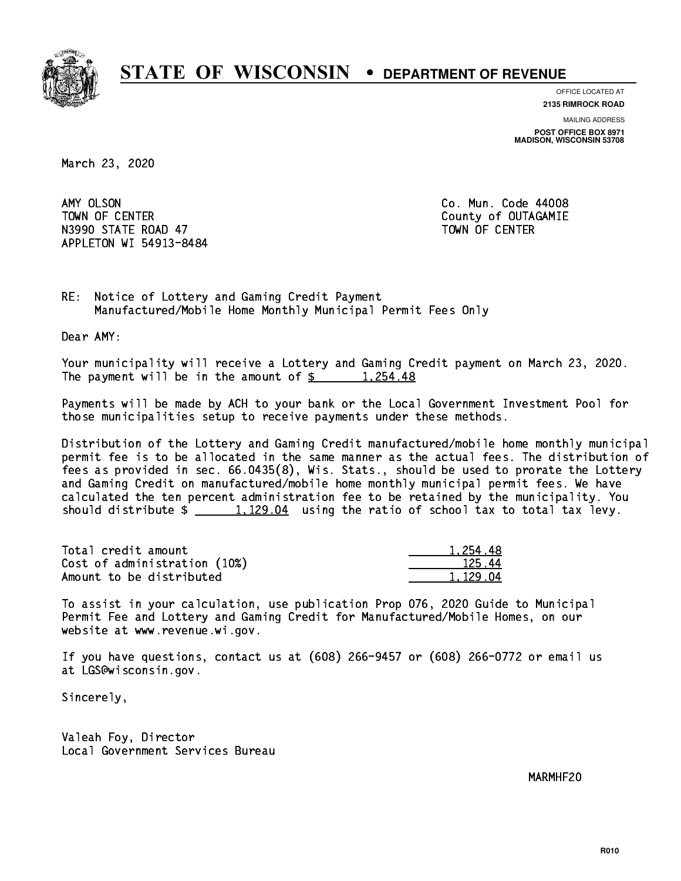

**OFFICE LOCATED AT**

**2135 RIMROCK ROAD**

**MAILING ADDRESS POST OFFICE BOX 8971 MADISON, WISCONSIN 53708**

March 23, 2020

AMY OLSON TOWN OF CENTER **COUNTY OF COUNTY COUNTY OF COULD A** N3990 STATE ROAD 47 TOWN OF CENTER APPLETON WI 54913-8484

Co. Mun. Code 44008

RE: Notice of Lottery and Gaming Credit Payment Manufactured/Mobile Home Monthly Municipal Permit Fees Only

Dear AMY:

 Your municipality will receive a Lottery and Gaming Credit payment on March 23, 2020. The payment will be in the amount of  $\frac{25}{1,254.48}$ 

 Payments will be made by ACH to your bank or the Local Government Investment Pool for those municipalities setup to receive payments under these methods.

 Distribution of the Lottery and Gaming Credit manufactured/mobile home monthly municipal permit fee is to be allocated in the same manner as the actual fees. The distribution of fees as provided in sec. 66.0435(8), Wis. Stats., should be used to prorate the Lottery and Gaming Credit on manufactured/mobile home monthly municipal permit fees. We have calculated the ten percent administration fee to be retained by the municipality. You should distribute  $\frac{1,129.04}{\sqrt{1,129.04}}$  using the ratio of school tax to total tax levy.

| Total credit amount          | 1.254.48 |
|------------------------------|----------|
| Cost of administration (10%) | 125.44   |
| Amount to be distributed     | 1.129.04 |

 To assist in your calculation, use publication Prop 076, 2020 Guide to Municipal Permit Fee and Lottery and Gaming Credit for Manufactured/Mobile Homes, on our website at www.revenue.wi.gov.

 If you have questions, contact us at (608) 266-9457 or (608) 266-0772 or email us at LGS@wisconsin.gov.

Sincerely,

 Valeah Foy, Director Local Government Services Bureau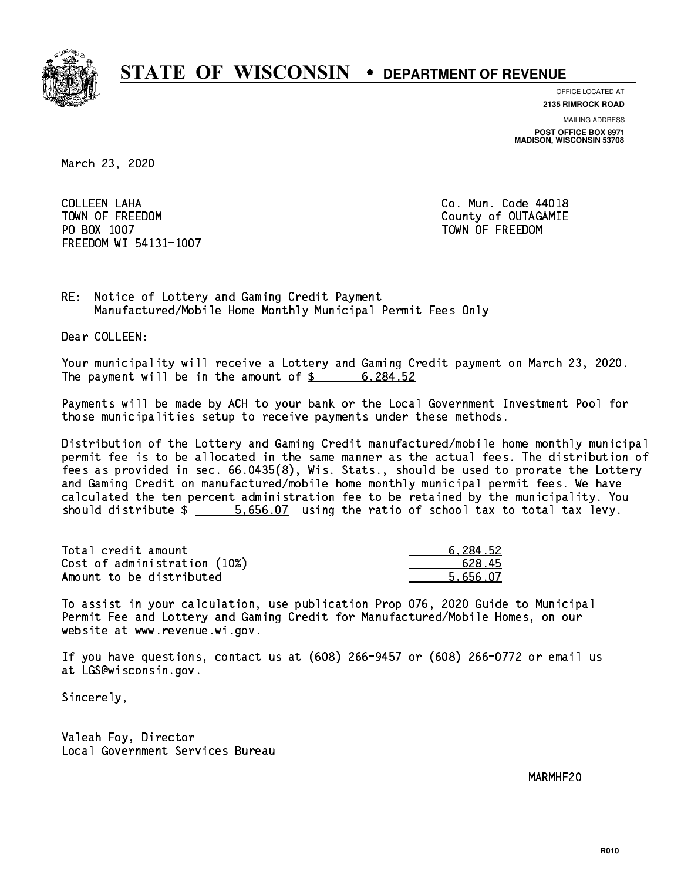

**OFFICE LOCATED AT 2135 RIMROCK ROAD**

**MAILING ADDRESS**

**POST OFFICE BOX 8971 MADISON, WISCONSIN 53708**

March 23, 2020

 COLLEEN LAHA Co. Mun. Code 44018 TOWN OF FREEDOM County of OUTAGAMIE PO BOX 1007 TOWN OF FREEDOM FREEDOM WI 54131-1007

RE: Notice of Lottery and Gaming Credit Payment Manufactured/Mobile Home Monthly Municipal Permit Fees Only

Dear COLLEEN:

 Your municipality will receive a Lottery and Gaming Credit payment on March 23, 2020. The payment will be in the amount of \$ 6,284.52 \_\_\_\_\_\_\_\_\_\_\_\_\_\_\_\_

 Payments will be made by ACH to your bank or the Local Government Investment Pool for those municipalities setup to receive payments under these methods.

 Distribution of the Lottery and Gaming Credit manufactured/mobile home monthly municipal permit fee is to be allocated in the same manner as the actual fees. The distribution of fees as provided in sec. 66.0435(8), Wis. Stats., should be used to prorate the Lottery and Gaming Credit on manufactured/mobile home monthly municipal permit fees. We have calculated the ten percent administration fee to be retained by the municipality. You should distribute  $\frac{2}{1}$   $\frac{5.656.07}{2}$  using the ratio of school tax to total tax levy.

| Total credit amount          | 6.284.52 |
|------------------------------|----------|
| Cost of administration (10%) | 628.45   |
| Amount to be distributed     | 5.656.07 |

 To assist in your calculation, use publication Prop 076, 2020 Guide to Municipal Permit Fee and Lottery and Gaming Credit for Manufactured/Mobile Homes, on our website at www.revenue.wi.gov.

 If you have questions, contact us at (608) 266-9457 or (608) 266-0772 or email us at LGS@wisconsin.gov.

Sincerely,

 Valeah Foy, Director Local Government Services Bureau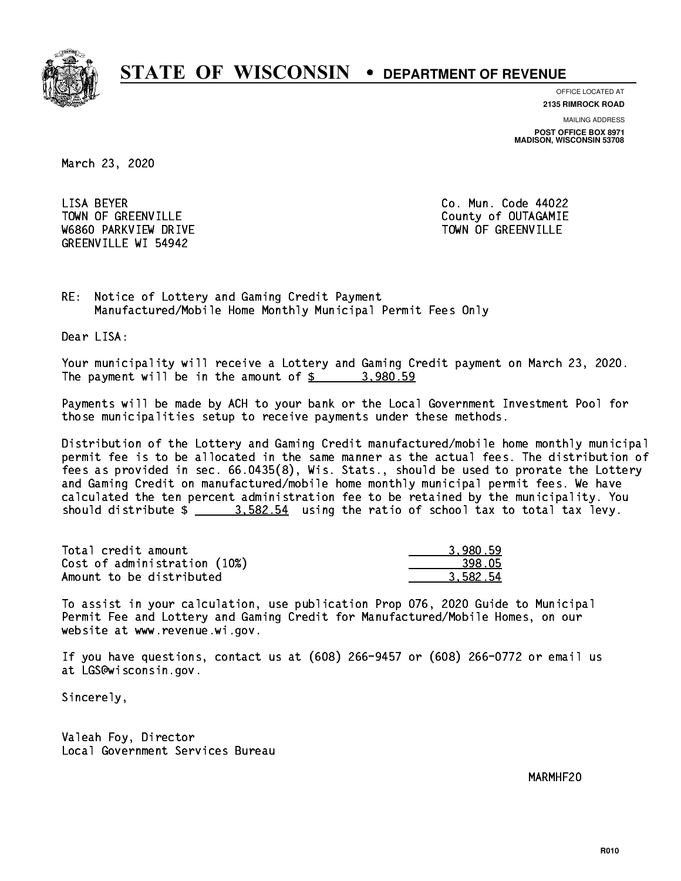

**OFFICE LOCATED AT**

**2135 RIMROCK ROAD**

**MAILING ADDRESS POST OFFICE BOX 8971 MADISON, WISCONSIN 53708**

March 23, 2020

LISA BEYER TOWN OF GREENVILLE TOWN OF GREENVILLE W6860 PARKVIEW DRIVE TOWN OF GREENVILLE GREENVILLE WI 54942

Co. Mun. Code 44022

RE: Notice of Lottery and Gaming Credit Payment Manufactured/Mobile Home Monthly Municipal Permit Fees Only

Dear LISA:

 Your municipality will receive a Lottery and Gaming Credit payment on March 23, 2020. The payment will be in the amount of  $\frac{2}{3}$  3,980.59

 Payments will be made by ACH to your bank or the Local Government Investment Pool for those municipalities setup to receive payments under these methods.

 Distribution of the Lottery and Gaming Credit manufactured/mobile home monthly municipal permit fee is to be allocated in the same manner as the actual fees. The distribution of fees as provided in sec. 66.0435(8), Wis. Stats., should be used to prorate the Lottery and Gaming Credit on manufactured/mobile home monthly municipal permit fees. We have calculated the ten percent administration fee to be retained by the municipality. You should distribute  $\frac{2}{2}$   $\frac{3.582.54}{2}$  using the ratio of school tax to total tax levy.

| Total credit amount          | 3.980.59 |
|------------------------------|----------|
| Cost of administration (10%) | 398.05   |
| Amount to be distributed     | 3.582.54 |

 To assist in your calculation, use publication Prop 076, 2020 Guide to Municipal Permit Fee and Lottery and Gaming Credit for Manufactured/Mobile Homes, on our website at www.revenue.wi.gov.

 If you have questions, contact us at (608) 266-9457 or (608) 266-0772 or email us at LGS@wisconsin.gov.

Sincerely,

 Valeah Foy, Director Local Government Services Bureau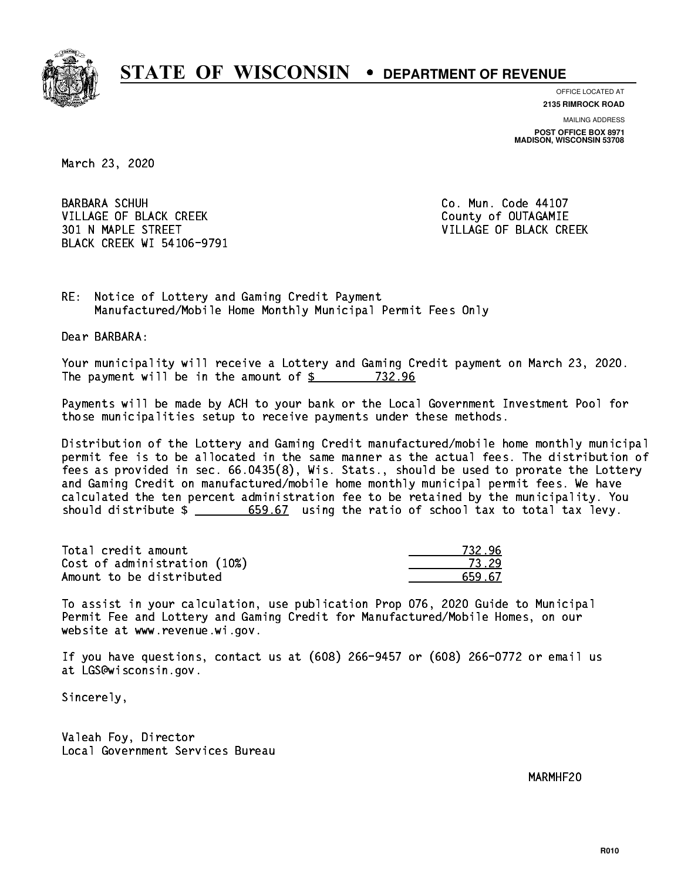

**OFFICE LOCATED AT**

**2135 RIMROCK ROAD**

**MAILING ADDRESS POST OFFICE BOX 8971 MADISON, WISCONSIN 53708**

March 23, 2020

**BARBARA SCHUH** VILLAGE OF BLACK CREEK COUNTY OF OUTAGAMIE 301 N MAPLE STREET VILLAGE OF BLACK CREEK BLACK CREEK WI 54106-9791

Co. Mun. Code 44107

RE: Notice of Lottery and Gaming Credit Payment Manufactured/Mobile Home Monthly Municipal Permit Fees Only

Dear BARBARA:

 Your municipality will receive a Lottery and Gaming Credit payment on March 23, 2020. The payment will be in the amount of  $\frac{2}{3}$  732.96

 Payments will be made by ACH to your bank or the Local Government Investment Pool for those municipalities setup to receive payments under these methods.

 Distribution of the Lottery and Gaming Credit manufactured/mobile home monthly municipal permit fee is to be allocated in the same manner as the actual fees. The distribution of fees as provided in sec. 66.0435(8), Wis. Stats., should be used to prorate the Lottery and Gaming Credit on manufactured/mobile home monthly municipal permit fees. We have calculated the ten percent administration fee to be retained by the municipality. You should distribute  $\frac{2}{1}$   $\frac{659.67}{659.67}$  using the ratio of school tax to total tax levy.

Total credit amount Cost of administration (10%) Amount to be distributed

| =<br>32 X<br>n |
|----------------|
| ( 24           |
| -67            |

 To assist in your calculation, use publication Prop 076, 2020 Guide to Municipal Permit Fee and Lottery and Gaming Credit for Manufactured/Mobile Homes, on our website at www.revenue.wi.gov.

 If you have questions, contact us at (608) 266-9457 or (608) 266-0772 or email us at LGS@wisconsin.gov.

Sincerely,

 Valeah Foy, Director Local Government Services Bureau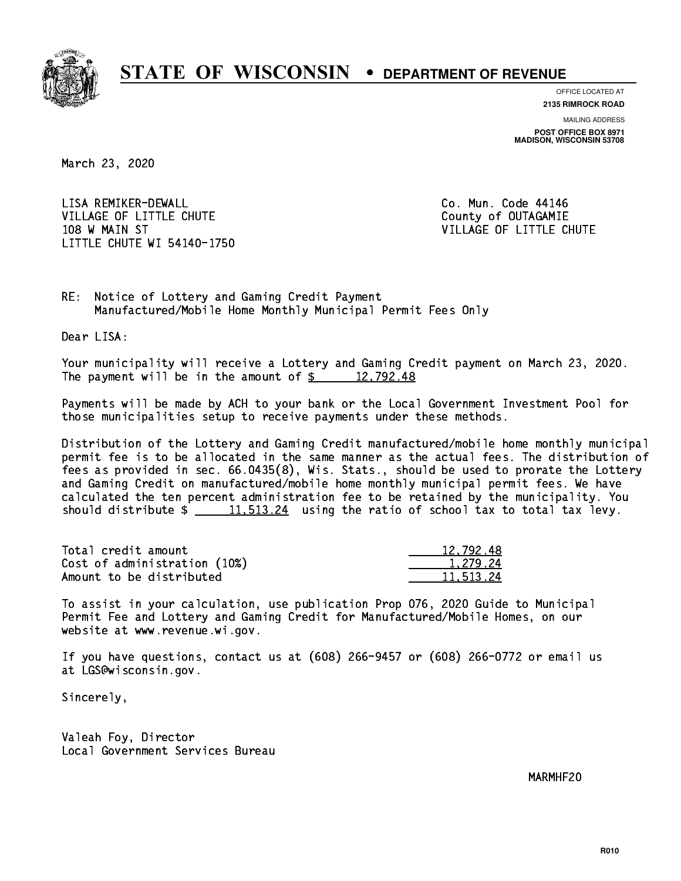

**OFFICE LOCATED AT**

**2135 RIMROCK ROAD**

**MAILING ADDRESS POST OFFICE BOX 8971 MADISON, WISCONSIN 53708**

March 23, 2020

 LISA REMIKER-DEWALL Co. Mun. Code 44146 VILLAGE OF LITTLE CHUTE COUNTY OF OUTAGAMIE 108 W MAIN ST VILLAGE OF LITTLE CHUTE LITTLE CHUTE WI 54140-1750

RE: Notice of Lottery and Gaming Credit Payment Manufactured/Mobile Home Monthly Municipal Permit Fees Only

Dear LISA:

 Your municipality will receive a Lottery and Gaming Credit payment on March 23, 2020. The payment will be in the amount of  $\frac{2}{3}$  12,792.48

 Payments will be made by ACH to your bank or the Local Government Investment Pool for those municipalities setup to receive payments under these methods.

 Distribution of the Lottery and Gaming Credit manufactured/mobile home monthly municipal permit fee is to be allocated in the same manner as the actual fees. The distribution of fees as provided in sec. 66.0435(8), Wis. Stats., should be used to prorate the Lottery and Gaming Credit on manufactured/mobile home monthly municipal permit fees. We have calculated the ten percent administration fee to be retained by the municipality. You should distribute  $\frac{11.513.24}{1.513.24}$  using the ratio of school tax to total tax levy.

| Total credit amount          | 12,792.48 |
|------------------------------|-----------|
| Cost of administration (10%) | 1.279.24  |
| Amount to be distributed     | 11.513.24 |

 To assist in your calculation, use publication Prop 076, 2020 Guide to Municipal Permit Fee and Lottery and Gaming Credit for Manufactured/Mobile Homes, on our website at www.revenue.wi.gov.

 If you have questions, contact us at (608) 266-9457 or (608) 266-0772 or email us at LGS@wisconsin.gov.

Sincerely,

 Valeah Foy, Director Local Government Services Bureau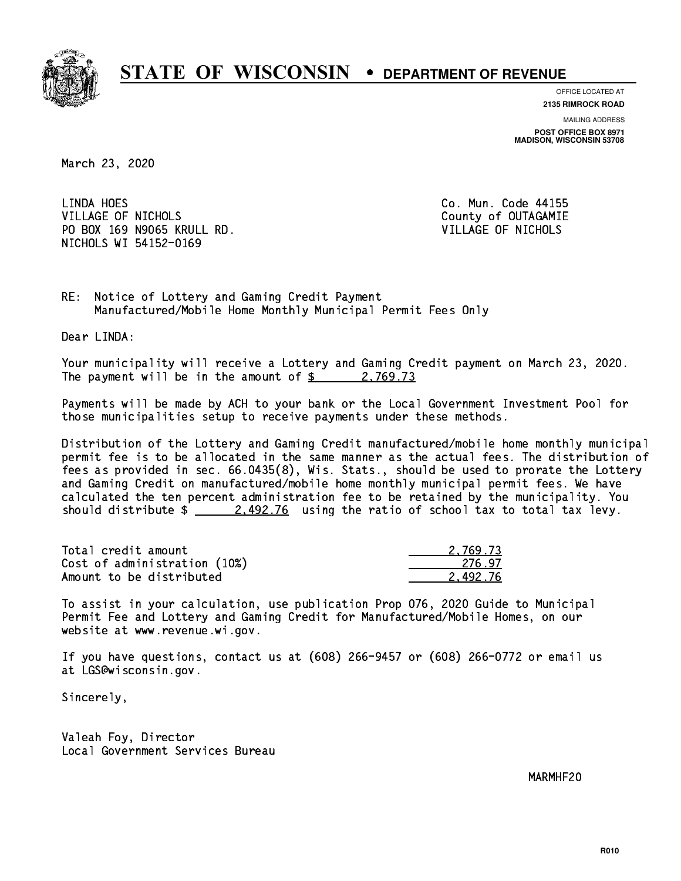

**OFFICE LOCATED AT 2135 RIMROCK ROAD**

**MAILING ADDRESS**

**POST OFFICE BOX 8971 MADISON, WISCONSIN 53708**

March 23, 2020

LINDA HOES VILLAGE OF NICHOLS **COUNTY OF SEXUAL COUNTY OF OUTAGAMIE**  PO BOX 169 N9065 KRULL RD. VILLAGE OF NICHOLS NICHOLS WI 54152-0169

Co. Mun. Code 44155

RE: Notice of Lottery and Gaming Credit Payment Manufactured/Mobile Home Monthly Municipal Permit Fees Only

Dear LINDA:

 Your municipality will receive a Lottery and Gaming Credit payment on March 23, 2020. The payment will be in the amount of  $\frac{2}{3}$  2,769.73

 Payments will be made by ACH to your bank or the Local Government Investment Pool for those municipalities setup to receive payments under these methods.

 Distribution of the Lottery and Gaming Credit manufactured/mobile home monthly municipal permit fee is to be allocated in the same manner as the actual fees. The distribution of fees as provided in sec. 66.0435(8), Wis. Stats., should be used to prorate the Lottery and Gaming Credit on manufactured/mobile home monthly municipal permit fees. We have calculated the ten percent administration fee to be retained by the municipality. You should distribute  $\frac{2.492.76}{2.492.76}$  using the ratio of school tax to total tax levy.

| Total credit amount          | 2.769.73 |
|------------------------------|----------|
| Cost of administration (10%) | 276.97   |
| Amount to be distributed     | 2.492.76 |

 To assist in your calculation, use publication Prop 076, 2020 Guide to Municipal Permit Fee and Lottery and Gaming Credit for Manufactured/Mobile Homes, on our website at www.revenue.wi.gov.

 If you have questions, contact us at (608) 266-9457 or (608) 266-0772 or email us at LGS@wisconsin.gov.

Sincerely,

 Valeah Foy, Director Local Government Services Bureau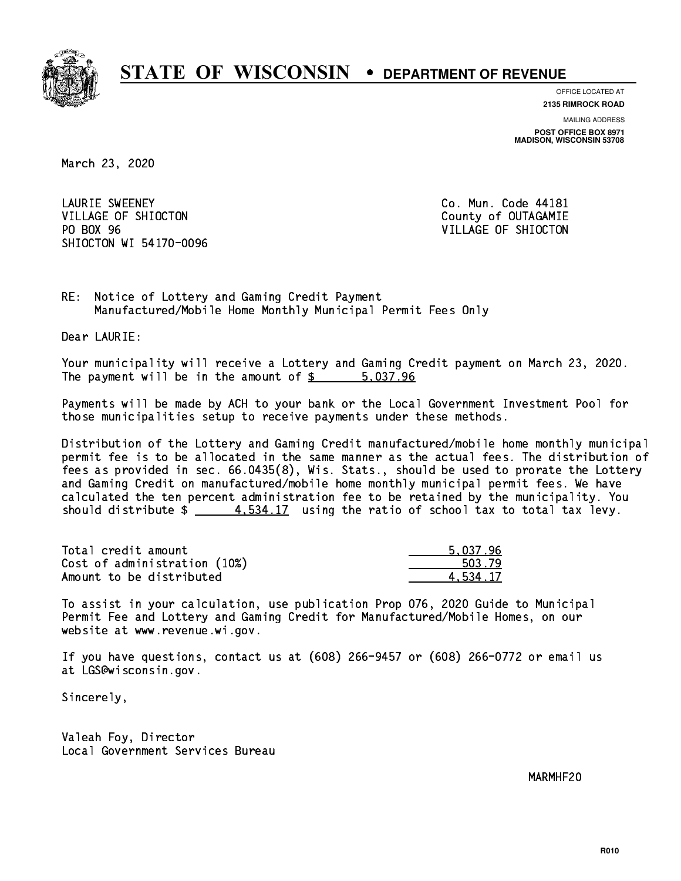

**OFFICE LOCATED AT**

**2135 RIMROCK ROAD**

**MAILING ADDRESS POST OFFICE BOX 8971 MADISON, WISCONSIN 53708**

March 23, 2020

 LAURIE SWEENEY Co. Mun. Code 44181 VILLAGE OF SHIOCTON COUNTY OF OUTAGAMIE PO BOX 96 SHIOCTON WI 54170-0096

VILLAGE OF SHIOCTON

RE: Notice of Lottery and Gaming Credit Payment Manufactured/Mobile Home Monthly Municipal Permit Fees Only

Dear LAURIE:

 Your municipality will receive a Lottery and Gaming Credit payment on March 23, 2020. The payment will be in the amount of \$ 5,037.96 \_\_\_\_\_\_\_\_\_\_\_\_\_\_\_\_

 Payments will be made by ACH to your bank or the Local Government Investment Pool for those municipalities setup to receive payments under these methods.

 Distribution of the Lottery and Gaming Credit manufactured/mobile home monthly municipal permit fee is to be allocated in the same manner as the actual fees. The distribution of fees as provided in sec. 66.0435(8), Wis. Stats., should be used to prorate the Lottery and Gaming Credit on manufactured/mobile home monthly municipal permit fees. We have calculated the ten percent administration fee to be retained by the municipality. You should distribute  $\frac{4.534.17}{2}$  using the ratio of school tax to total tax levy.

| Total credit amount          | 5.037.96 |
|------------------------------|----------|
| Cost of administration (10%) | 503.79   |
| Amount to be distributed     | 4.534.17 |

 To assist in your calculation, use publication Prop 076, 2020 Guide to Municipal Permit Fee and Lottery and Gaming Credit for Manufactured/Mobile Homes, on our website at www.revenue.wi.gov.

 If you have questions, contact us at (608) 266-9457 or (608) 266-0772 or email us at LGS@wisconsin.gov.

Sincerely,

 Valeah Foy, Director Local Government Services Bureau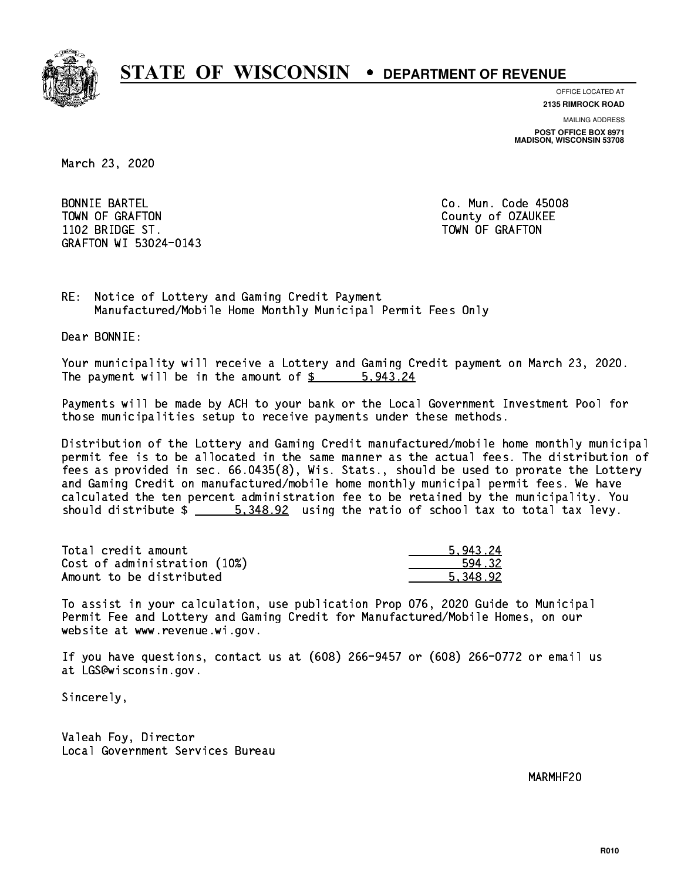

**OFFICE LOCATED AT**

**2135 RIMROCK ROAD**

**MAILING ADDRESS POST OFFICE BOX 8971 MADISON, WISCONSIN 53708**

March 23, 2020

 BONNIE BARTEL Co. Mun. Code 45008 TOWN OF GRAFTON COUNTY OF OUR COUNTY OF OUR COUNTY OF OUR COUNTY OF OUR COUNTY OF OUR COUNTY OF OUR COUNTY OF THE ONLY AND THE OUR COUNTY OF OUR COUNTY OF OUR COUNTY OF OUR COUNTY OF OUR COUNTY OF OUR COUNTY OF OUR COUNTY 1102 BRIDGE ST. TOWN OF GRAFIT ST. TOWN OF GRAFIT ST. TOWN OF GRAFIT ST. TOWN OF GRAFIT ST. TOWN OF GRAFIT ST. GRAFTON WI 53024-0143

RE: Notice of Lottery and Gaming Credit Payment Manufactured/Mobile Home Monthly Municipal Permit Fees Only

Dear BONNIE:

 Your municipality will receive a Lottery and Gaming Credit payment on March 23, 2020. The payment will be in the amount of \$ 5,943.24 \_\_\_\_\_\_\_\_\_\_\_\_\_\_\_\_

 Payments will be made by ACH to your bank or the Local Government Investment Pool for those municipalities setup to receive payments under these methods.

 Distribution of the Lottery and Gaming Credit manufactured/mobile home monthly municipal permit fee is to be allocated in the same manner as the actual fees. The distribution of fees as provided in sec. 66.0435(8), Wis. Stats., should be used to prorate the Lottery and Gaming Credit on manufactured/mobile home monthly municipal permit fees. We have calculated the ten percent administration fee to be retained by the municipality. You should distribute  $\frac{2}{1}$   $\frac{5,348.92}{2}$  using the ratio of school tax to total tax levy.

| Total credit amount          | 5.943.24 |
|------------------------------|----------|
| Cost of administration (10%) | 594.32   |
| Amount to be distributed     | 5.348.92 |

 To assist in your calculation, use publication Prop 076, 2020 Guide to Municipal Permit Fee and Lottery and Gaming Credit for Manufactured/Mobile Homes, on our website at www.revenue.wi.gov.

 If you have questions, contact us at (608) 266-9457 or (608) 266-0772 or email us at LGS@wisconsin.gov.

Sincerely,

 Valeah Foy, Director Local Government Services Bureau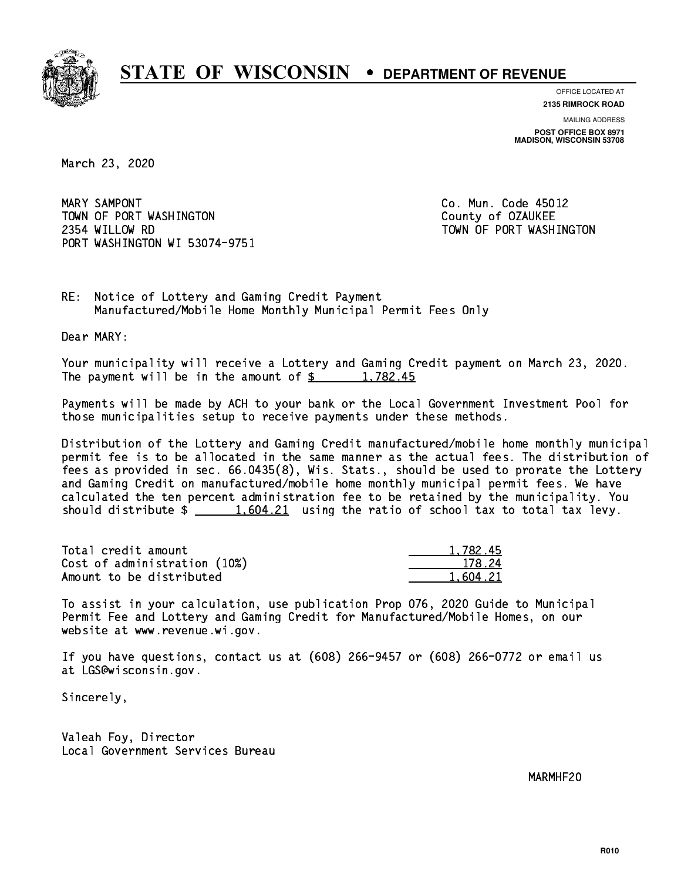

**OFFICE LOCATED AT**

**2135 RIMROCK ROAD**

**MAILING ADDRESS POST OFFICE BOX 8971 MADISON, WISCONSIN 53708**

March 23, 2020

MARY SAMPONT TOWN OF PORT WASHINGTON County of OZAUKEE 2354 WILLOW RD TOWN OF PORT WASHINGTON PORT WASHINGTON WI 53074-9751

Co. Mun. Code 45012

RE: Notice of Lottery and Gaming Credit Payment Manufactured/Mobile Home Monthly Municipal Permit Fees Only

Dear MARY:

 Your municipality will receive a Lottery and Gaming Credit payment on March 23, 2020. The payment will be in the amount of  $\frac{2}{3}$  1,782.45

 Payments will be made by ACH to your bank or the Local Government Investment Pool for those municipalities setup to receive payments under these methods.

 Distribution of the Lottery and Gaming Credit manufactured/mobile home monthly municipal permit fee is to be allocated in the same manner as the actual fees. The distribution of fees as provided in sec. 66.0435(8), Wis. Stats., should be used to prorate the Lottery and Gaming Credit on manufactured/mobile home monthly municipal permit fees. We have calculated the ten percent administration fee to be retained by the municipality. You should distribute  $\frac{1,604.21}{1,604.21}$  using the ratio of school tax to total tax levy.

| Total credit amount          | 1,782.45 |
|------------------------------|----------|
| Cost of administration (10%) | 178.24   |
| Amount to be distributed     | 1,604.21 |

 To assist in your calculation, use publication Prop 076, 2020 Guide to Municipal Permit Fee and Lottery and Gaming Credit for Manufactured/Mobile Homes, on our website at www.revenue.wi.gov.

 If you have questions, contact us at (608) 266-9457 or (608) 266-0772 or email us at LGS@wisconsin.gov.

Sincerely,

 Valeah Foy, Director Local Government Services Bureau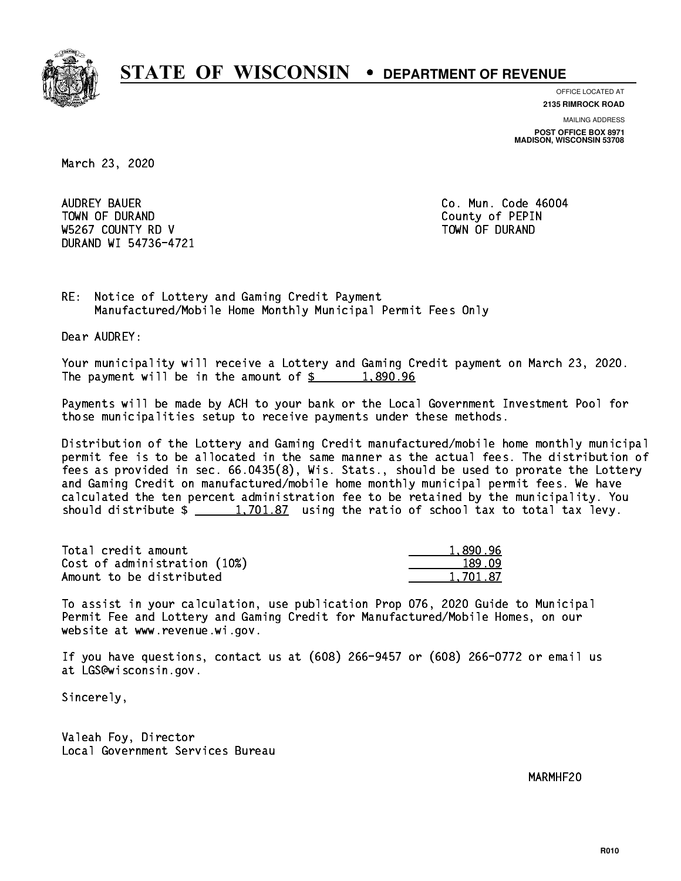

**OFFICE LOCATED AT 2135 RIMROCK ROAD**

**MAILING ADDRESS**

**POST OFFICE BOX 8971 MADISON, WISCONSIN 53708**

March 23, 2020

 AUDREY BAUER Co. Mun. Code 46004 TOWN OF DURAND COUNTY OF PERIODIC COUNTY OF PERIODIC COUNTY OF PERIODIC COUNTY OF PERIODIC COUNTY OF PERIODIC W5267 COUNTY RD V TOWN OF DURAND DURAND WI 54736-4721

RE: Notice of Lottery and Gaming Credit Payment Manufactured/Mobile Home Monthly Municipal Permit Fees Only

Dear AUDREY:

 Your municipality will receive a Lottery and Gaming Credit payment on March 23, 2020. The payment will be in the amount of  $\frac{2}{3}$  1,890.96

 Payments will be made by ACH to your bank or the Local Government Investment Pool for those municipalities setup to receive payments under these methods.

 Distribution of the Lottery and Gaming Credit manufactured/mobile home monthly municipal permit fee is to be allocated in the same manner as the actual fees. The distribution of fees as provided in sec. 66.0435(8), Wis. Stats., should be used to prorate the Lottery and Gaming Credit on manufactured/mobile home monthly municipal permit fees. We have calculated the ten percent administration fee to be retained by the municipality. You should distribute  $\frac{1,701.87}{1,701.87}$  using the ratio of school tax to total tax levy.

| Total credit amount          | 1,890.96 |
|------------------------------|----------|
| Cost of administration (10%) | 189.09   |
| Amount to be distributed     | 1.701.87 |

 To assist in your calculation, use publication Prop 076, 2020 Guide to Municipal Permit Fee and Lottery and Gaming Credit for Manufactured/Mobile Homes, on our website at www.revenue.wi.gov.

 If you have questions, contact us at (608) 266-9457 or (608) 266-0772 or email us at LGS@wisconsin.gov.

Sincerely,

 Valeah Foy, Director Local Government Services Bureau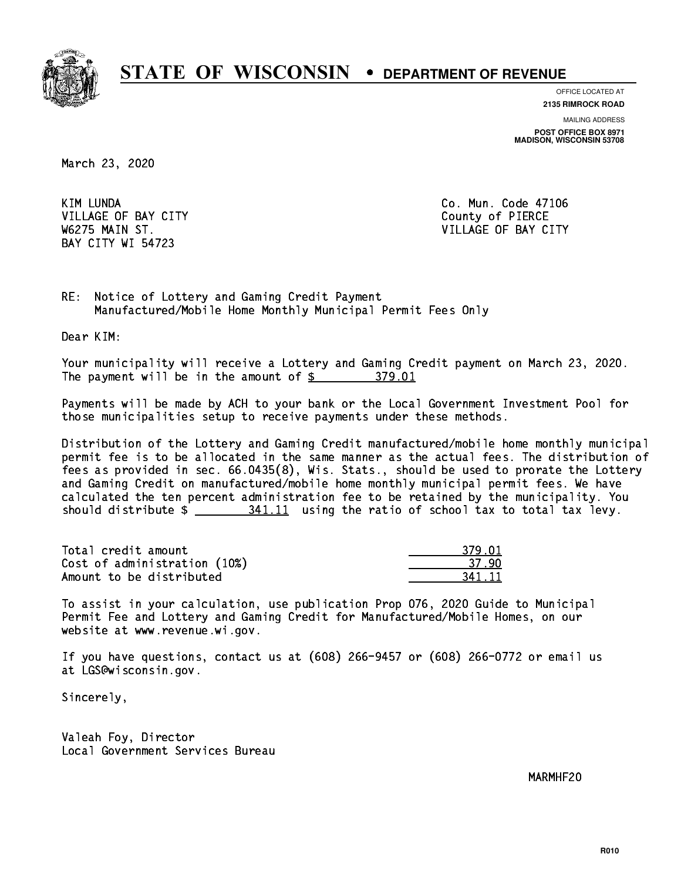

**OFFICE LOCATED AT**

**2135 RIMROCK ROAD**

**MAILING ADDRESS**

**POST OFFICE BOX 8971 MADISON, WISCONSIN 53708**

March 23, 2020

KIM LUNDA VILLAGE OF BAY CITY COUNTY County of PIERCE BAY CITY WI 54723

Co. Mun. Code 47106 W6275 MAIN ST. VILLAGE OF BAY CITY

RE: Notice of Lottery and Gaming Credit Payment Manufactured/Mobile Home Monthly Municipal Permit Fees Only

Dear KIM:

 Your municipality will receive a Lottery and Gaming Credit payment on March 23, 2020. The payment will be in the amount of \$ 379.01 \_\_\_\_\_\_\_\_\_\_\_\_\_\_\_\_

 Payments will be made by ACH to your bank or the Local Government Investment Pool for those municipalities setup to receive payments under these methods.

 Distribution of the Lottery and Gaming Credit manufactured/mobile home monthly municipal permit fee is to be allocated in the same manner as the actual fees. The distribution of fees as provided in sec. 66.0435(8), Wis. Stats., should be used to prorate the Lottery and Gaming Credit on manufactured/mobile home monthly municipal permit fees. We have calculated the ten percent administration fee to be retained by the municipality. You should distribute  $\frac{241.11}{2}$  using the ratio of school tax to total tax levy.

| Total credit amount          | 379.01 |
|------------------------------|--------|
| Cost of administration (10%) | -37 90 |
| Amount to be distributed     | 341 11 |

| 01    |
|-------|
|       |
| $-11$ |

 To assist in your calculation, use publication Prop 076, 2020 Guide to Municipal Permit Fee and Lottery and Gaming Credit for Manufactured/Mobile Homes, on our website at www.revenue.wi.gov.

 If you have questions, contact us at (608) 266-9457 or (608) 266-0772 or email us at LGS@wisconsin.gov.

Sincerely,

 Valeah Foy, Director Local Government Services Bureau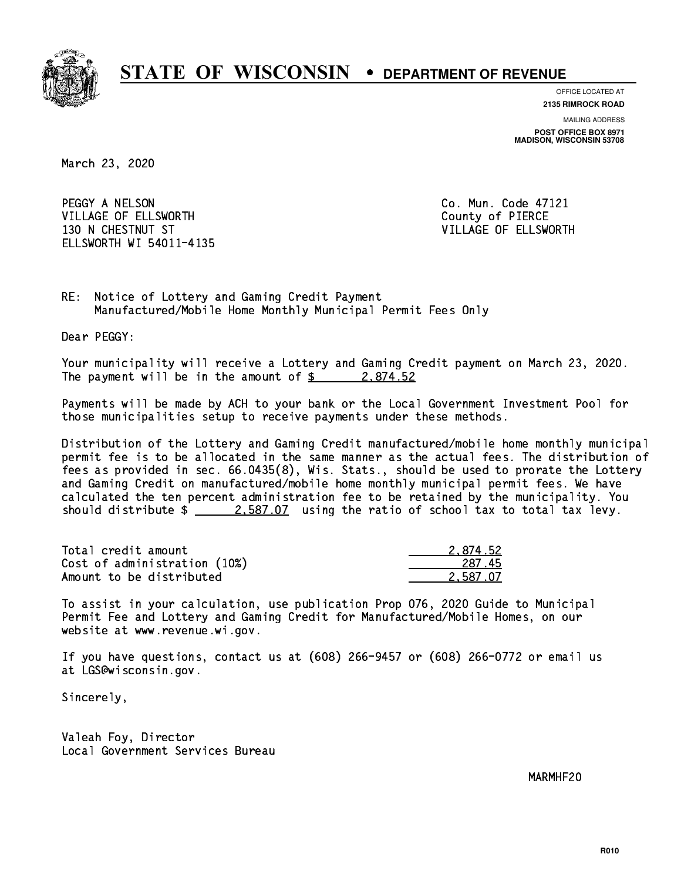

**OFFICE LOCATED AT**

**2135 RIMROCK ROAD**

**MAILING ADDRESS POST OFFICE BOX 8971 MADISON, WISCONSIN 53708**

March 23, 2020

PEGGY A NELSON CO. Mun. Code 47121 VILLAGE OF ELLSWORTH COUNTY OF PIERCE 130 N CHESTNUT ST VILLAGE OF ELLSWORTH ELLSWORTH WI 54011-4135

RE: Notice of Lottery and Gaming Credit Payment Manufactured/Mobile Home Monthly Municipal Permit Fees Only

Dear PEGGY:

 Your municipality will receive a Lottery and Gaming Credit payment on March 23, 2020. The payment will be in the amount of  $\frac{2.874.52}{2.874.52}$ 

 Payments will be made by ACH to your bank or the Local Government Investment Pool for those municipalities setup to receive payments under these methods.

 Distribution of the Lottery and Gaming Credit manufactured/mobile home monthly municipal permit fee is to be allocated in the same manner as the actual fees. The distribution of fees as provided in sec. 66.0435(8), Wis. Stats., should be used to prorate the Lottery and Gaming Credit on manufactured/mobile home monthly municipal permit fees. We have calculated the ten percent administration fee to be retained by the municipality. You should distribute  $\frac{2.587.07}{2.587.07}$  using the ratio of school tax to total tax levy.

| Total credit amount          | 2.874.52 |
|------------------------------|----------|
| Cost of administration (10%) | -287.45  |
| Amount to be distributed     | 2.587.07 |

 To assist in your calculation, use publication Prop 076, 2020 Guide to Municipal Permit Fee and Lottery and Gaming Credit for Manufactured/Mobile Homes, on our website at www.revenue.wi.gov.

 If you have questions, contact us at (608) 266-9457 or (608) 266-0772 or email us at LGS@wisconsin.gov.

Sincerely,

 Valeah Foy, Director Local Government Services Bureau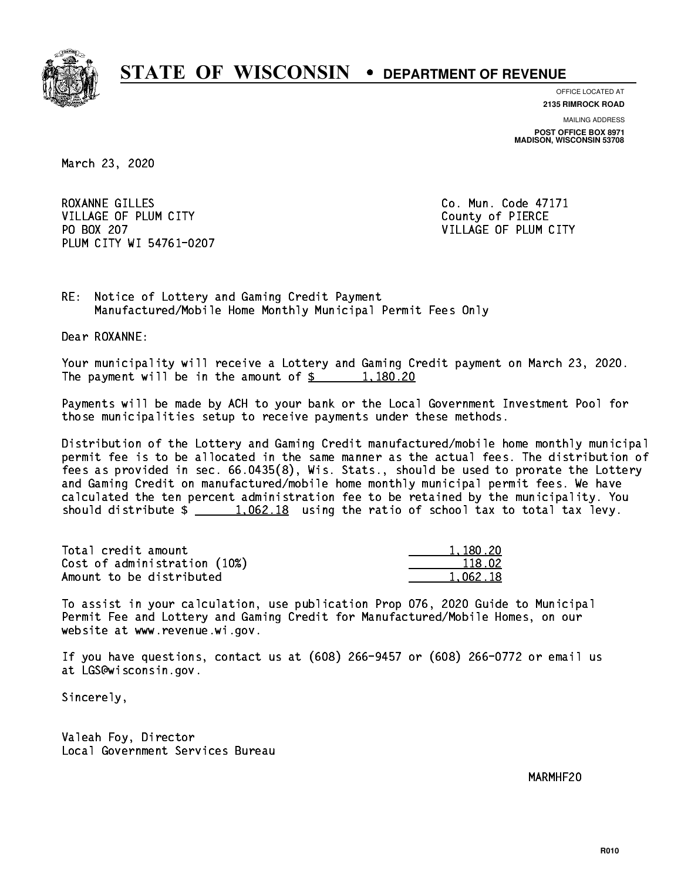

**OFFICE LOCATED AT**

**2135 RIMROCK ROAD**

**MAILING ADDRESS POST OFFICE BOX 8971 MADISON, WISCONSIN 53708**

March 23, 2020

ROXANNE GILLES Co. Mun. Code 47171 VILLAGE OF PLUM CITY COUNTY County of PIERCE PO BOX 207 PLUM CITY WI 54761-0207

VILLAGE OF PLUM CITY

RE: Notice of Lottery and Gaming Credit Payment Manufactured/Mobile Home Monthly Municipal Permit Fees Only

Dear ROXANNE:

 Your municipality will receive a Lottery and Gaming Credit payment on March 23, 2020. The payment will be in the amount of  $\frac{20}{1,180.20}$ 

 Payments will be made by ACH to your bank or the Local Government Investment Pool for those municipalities setup to receive payments under these methods.

 Distribution of the Lottery and Gaming Credit manufactured/mobile home monthly municipal permit fee is to be allocated in the same manner as the actual fees. The distribution of fees as provided in sec. 66.0435(8), Wis. Stats., should be used to prorate the Lottery and Gaming Credit on manufactured/mobile home monthly municipal permit fees. We have calculated the ten percent administration fee to be retained by the municipality. You should distribute  $\frac{1,062.18}{1,062.18}$  using the ratio of school tax to total tax levy.

| Total credit amount          | 1,180.20 |
|------------------------------|----------|
| Cost of administration (10%) | 118.02   |
| Amount to be distributed     | 1.062.18 |

 To assist in your calculation, use publication Prop 076, 2020 Guide to Municipal Permit Fee and Lottery and Gaming Credit for Manufactured/Mobile Homes, on our website at www.revenue.wi.gov.

 If you have questions, contact us at (608) 266-9457 or (608) 266-0772 or email us at LGS@wisconsin.gov.

Sincerely,

 Valeah Foy, Director Local Government Services Bureau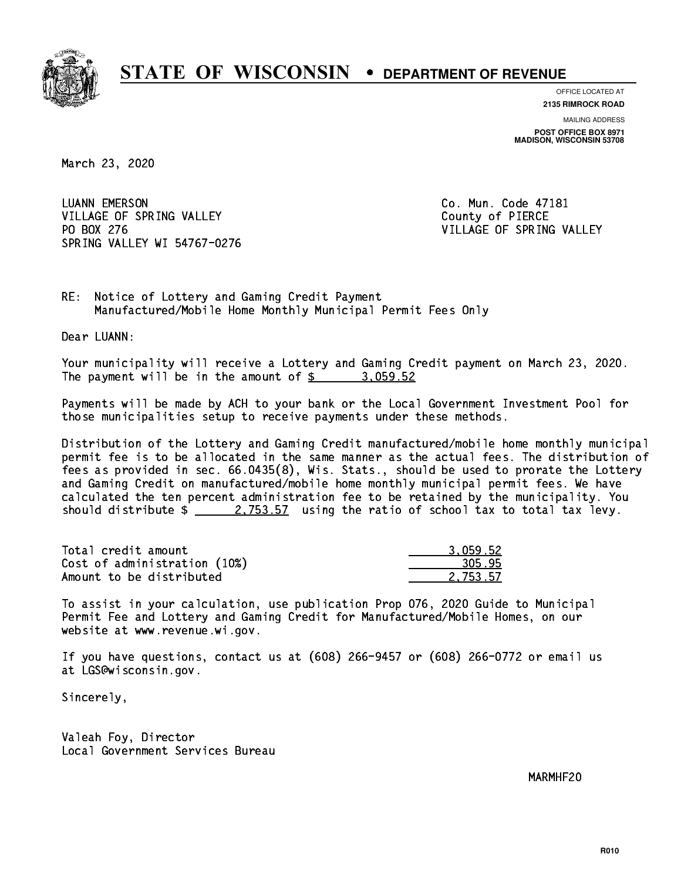

**OFFICE LOCATED AT**

**2135 RIMROCK ROAD**

**MAILING ADDRESS POST OFFICE BOX 8971 MADISON, WISCONSIN 53708**

March 23, 2020

 LUANN EMERSON Co. Mun. Code 47181 VILLAGE OF SPRING VALLEY COUNTY OF PIERCE PO BOX 276 VILLAGE OF SPRING VALLEY SPRING VALLEY WI 54767-0276

RE: Notice of Lottery and Gaming Credit Payment Manufactured/Mobile Home Monthly Municipal Permit Fees Only

Dear LUANN:

 Your municipality will receive a Lottery and Gaming Credit payment on March 23, 2020. The payment will be in the amount of  $\frac{2}{3}$  3,059.52

 Payments will be made by ACH to your bank or the Local Government Investment Pool for those municipalities setup to receive payments under these methods.

 Distribution of the Lottery and Gaming Credit manufactured/mobile home monthly municipal permit fee is to be allocated in the same manner as the actual fees. The distribution of fees as provided in sec. 66.0435(8), Wis. Stats., should be used to prorate the Lottery and Gaming Credit on manufactured/mobile home monthly municipal permit fees. We have calculated the ten percent administration fee to be retained by the municipality. You should distribute  $\frac{2.753.57}{2.753.57}$  using the ratio of school tax to total tax levy.

| Total credit amount          | 3.059.52 |
|------------------------------|----------|
| Cost of administration (10%) | 305.95   |
| Amount to be distributed     | 2.753.57 |

 To assist in your calculation, use publication Prop 076, 2020 Guide to Municipal Permit Fee and Lottery and Gaming Credit for Manufactured/Mobile Homes, on our website at www.revenue.wi.gov.

 If you have questions, contact us at (608) 266-9457 or (608) 266-0772 or email us at LGS@wisconsin.gov.

Sincerely,

 Valeah Foy, Director Local Government Services Bureau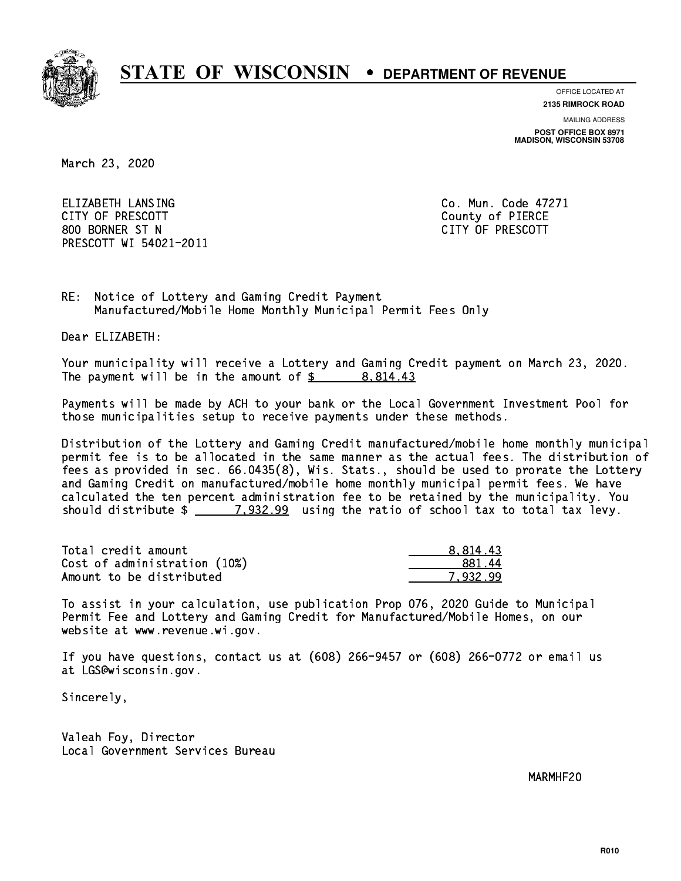

**OFFICE LOCATED AT 2135 RIMROCK ROAD**

**MAILING ADDRESS**

**POST OFFICE BOX 8971 MADISON, WISCONSIN 53708**

March 23, 2020

 ELIZABETH LANSING Co. Mun. Code 47271 CITY OF PRESCOTT County of PIERCE 800 BORNER ST N CITY OF PRESCOTT PRESCOTT WI 54021-2011

RE: Notice of Lottery and Gaming Credit Payment Manufactured/Mobile Home Monthly Municipal Permit Fees Only

Dear ELIZABETH:

 Your municipality will receive a Lottery and Gaming Credit payment on March 23, 2020. The payment will be in the amount of  $\frac{2}{3}$  8,814.43

 Payments will be made by ACH to your bank or the Local Government Investment Pool for those municipalities setup to receive payments under these methods.

 Distribution of the Lottery and Gaming Credit manufactured/mobile home monthly municipal permit fee is to be allocated in the same manner as the actual fees. The distribution of fees as provided in sec. 66.0435(8), Wis. Stats., should be used to prorate the Lottery and Gaming Credit on manufactured/mobile home monthly municipal permit fees. We have calculated the ten percent administration fee to be retained by the municipality. You should distribute  $\frac{2}{2}$   $\frac{7,932.99}{2}$  using the ratio of school tax to total tax levy.

| Total credit amount          | 8.814.43 |
|------------------------------|----------|
| Cost of administration (10%) | -881.44  |
| Amount to be distributed     | 7.932.99 |

 To assist in your calculation, use publication Prop 076, 2020 Guide to Municipal Permit Fee and Lottery and Gaming Credit for Manufactured/Mobile Homes, on our website at www.revenue.wi.gov.

 If you have questions, contact us at (608) 266-9457 or (608) 266-0772 or email us at LGS@wisconsin.gov.

Sincerely,

 Valeah Foy, Director Local Government Services Bureau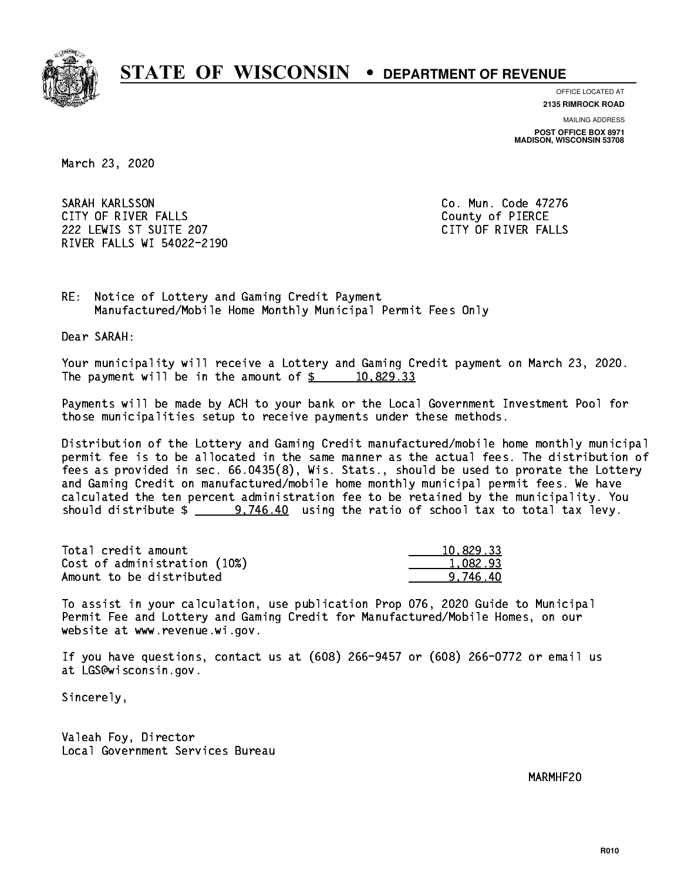

**OFFICE LOCATED AT**

**2135 RIMROCK ROAD**

**MAILING ADDRESS**

**POST OFFICE BOX 8971 MADISON, WISCONSIN 53708**

March 23, 2020

 SARAH KARLSSON Co. Mun. Code 47276 CITY OF RIVER FALLS COUNTY OF PIERCE 222 LEWIS ST SUITE 207 CITY OF RIVER FALLS RIVER FALLS WI 54022-2190

RE: Notice of Lottery and Gaming Credit Payment Manufactured/Mobile Home Monthly Municipal Permit Fees Only

Dear SARAH:

 Your municipality will receive a Lottery and Gaming Credit payment on March 23, 2020. The payment will be in the amount of  $\frac{2}{3}$  10,829.33

 Payments will be made by ACH to your bank or the Local Government Investment Pool for those municipalities setup to receive payments under these methods.

 Distribution of the Lottery and Gaming Credit manufactured/mobile home monthly municipal permit fee is to be allocated in the same manner as the actual fees. The distribution of fees as provided in sec. 66.0435(8), Wis. Stats., should be used to prorate the Lottery and Gaming Credit on manufactured/mobile home monthly municipal permit fees. We have calculated the ten percent administration fee to be retained by the municipality. You should distribute  $\frac{2}{1}$  9,746.40 using the ratio of school tax to total tax levy.

| Total credit amount          | 10.829.33 |
|------------------------------|-----------|
| Cost of administration (10%) | 1.082.93  |
| Amount to be distributed     | 9.746.40  |

 To assist in your calculation, use publication Prop 076, 2020 Guide to Municipal Permit Fee and Lottery and Gaming Credit for Manufactured/Mobile Homes, on our website at www.revenue.wi.gov.

 If you have questions, contact us at (608) 266-9457 or (608) 266-0772 or email us at LGS@wisconsin.gov.

Sincerely,

 Valeah Foy, Director Local Government Services Bureau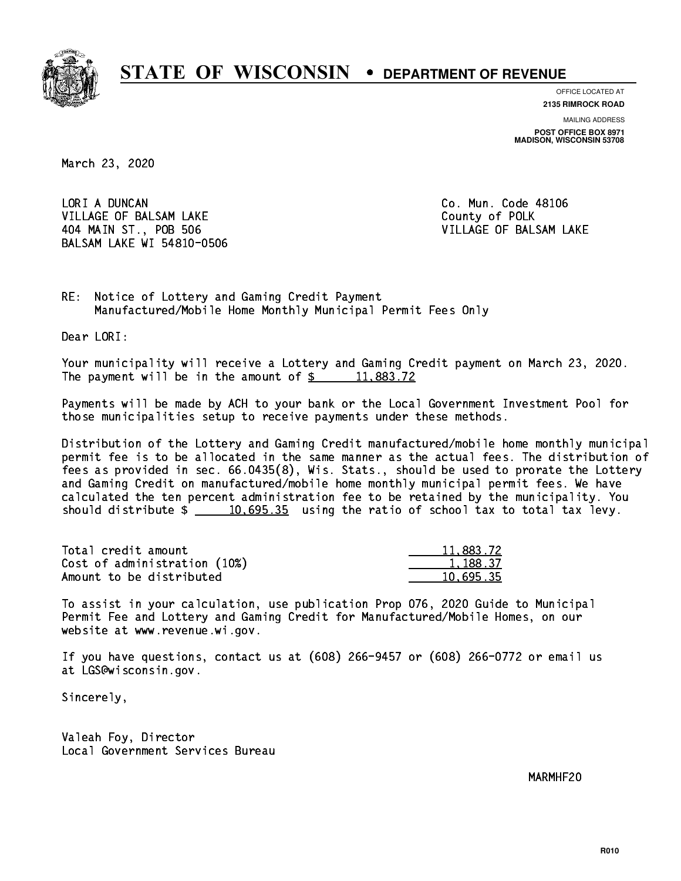

**OFFICE LOCATED AT**

**2135 RIMROCK ROAD**

**MAILING ADDRESS POST OFFICE BOX 8971 MADISON, WISCONSIN 53708**

March 23, 2020

LORI A DUNCAN VILLAGE OF BALSAM LAKE County of POLK 404 MAIN ST., POB 506 VILLAGE OF BALSAM LAKE BALSAM LAKE WI 54810-0506

Co. Mun. Code 48106

RE: Notice of Lottery and Gaming Credit Payment Manufactured/Mobile Home Monthly Municipal Permit Fees Only

Dear LORI:

 Your municipality will receive a Lottery and Gaming Credit payment on March 23, 2020. The payment will be in the amount of  $\frac{2}{3}$  11,883.72

 Payments will be made by ACH to your bank or the Local Government Investment Pool for those municipalities setup to receive payments under these methods.

 Distribution of the Lottery and Gaming Credit manufactured/mobile home monthly municipal permit fee is to be allocated in the same manner as the actual fees. The distribution of fees as provided in sec. 66.0435(8), Wis. Stats., should be used to prorate the Lottery and Gaming Credit on manufactured/mobile home monthly municipal permit fees. We have calculated the ten percent administration fee to be retained by the municipality. You should distribute  $\frac{10,695.35}{2}$  using the ratio of school tax to total tax levy.

| Total credit amount          | 11,883.72 |
|------------------------------|-----------|
| Cost of administration (10%) | 1.188.37  |
| Amount to be distributed     | 10.695.35 |

 To assist in your calculation, use publication Prop 076, 2020 Guide to Municipal Permit Fee and Lottery and Gaming Credit for Manufactured/Mobile Homes, on our website at www.revenue.wi.gov.

 If you have questions, contact us at (608) 266-9457 or (608) 266-0772 or email us at LGS@wisconsin.gov.

Sincerely,

 Valeah Foy, Director Local Government Services Bureau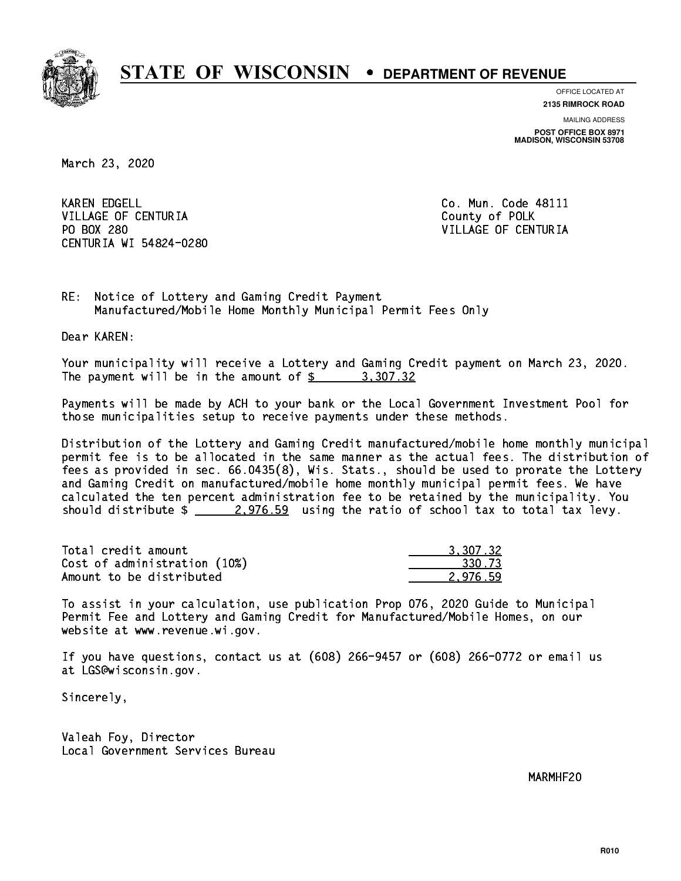

**OFFICE LOCATED AT**

**2135 RIMROCK ROAD**

**MAILING ADDRESS POST OFFICE BOX 8971 MADISON, WISCONSIN 53708**

March 23, 2020

**KAREN EDGELL** VILLAGE OF CENTURIA COUNTY OF POLK PO BOX 280 CENTURIA WI 54824-0280

Co. Mun. Code 48111 VILLAGE OF CENTURIA

RE: Notice of Lottery and Gaming Credit Payment Manufactured/Mobile Home Monthly Municipal Permit Fees Only

Dear KAREN:

 Your municipality will receive a Lottery and Gaming Credit payment on March 23, 2020. The payment will be in the amount of  $\frac{2}{3}$  3,307.32

 Payments will be made by ACH to your bank or the Local Government Investment Pool for those municipalities setup to receive payments under these methods.

 Distribution of the Lottery and Gaming Credit manufactured/mobile home monthly municipal permit fee is to be allocated in the same manner as the actual fees. The distribution of fees as provided in sec. 66.0435(8), Wis. Stats., should be used to prorate the Lottery and Gaming Credit on manufactured/mobile home monthly municipal permit fees. We have calculated the ten percent administration fee to be retained by the municipality. You should distribute  $\frac{2.976.59}{2.276.59}$  using the ratio of school tax to total tax levy.

| Total credit amount          | 3.307.32 |
|------------------------------|----------|
| Cost of administration (10%) | 330.73   |
| Amount to be distributed     | 2.976.59 |

 To assist in your calculation, use publication Prop 076, 2020 Guide to Municipal Permit Fee and Lottery and Gaming Credit for Manufactured/Mobile Homes, on our website at www.revenue.wi.gov.

 If you have questions, contact us at (608) 266-9457 or (608) 266-0772 or email us at LGS@wisconsin.gov.

Sincerely,

 Valeah Foy, Director Local Government Services Bureau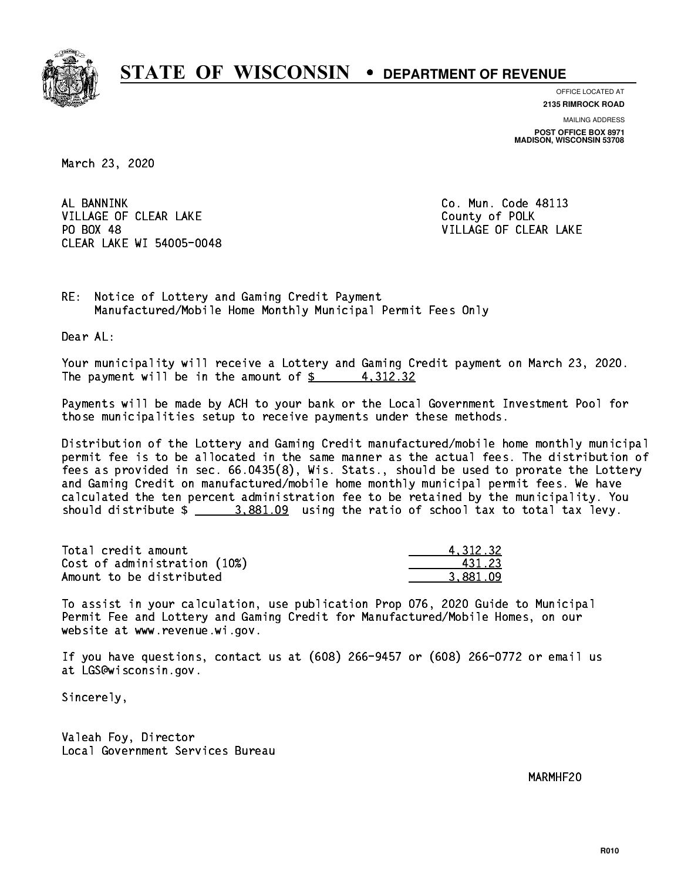

**OFFICE LOCATED AT**

**2135 RIMROCK ROAD**

**MAILING ADDRESS POST OFFICE BOX 8971 MADISON, WISCONSIN 53708**

March 23, 2020

AL BANNINK VILLAGE OF CLEAR LAKE County of POLK PO BOX 48 CLEAR LAKE WI 54005-0048

Co. Mun. Code 48113 VILLAGE OF CLEAR LAKE

RE: Notice of Lottery and Gaming Credit Payment Manufactured/Mobile Home Monthly Municipal Permit Fees Only

Dear AL:

 Your municipality will receive a Lottery and Gaming Credit payment on March 23, 2020. The payment will be in the amount of  $\frac{2}{3}$  4,312.32

 Payments will be made by ACH to your bank or the Local Government Investment Pool for those municipalities setup to receive payments under these methods.

 Distribution of the Lottery and Gaming Credit manufactured/mobile home monthly municipal permit fee is to be allocated in the same manner as the actual fees. The distribution of fees as provided in sec. 66.0435(8), Wis. Stats., should be used to prorate the Lottery and Gaming Credit on manufactured/mobile home monthly municipal permit fees. We have calculated the ten percent administration fee to be retained by the municipality. You should distribute  $\frac{2}{2}$   $\frac{3,881.09}{2}$  using the ratio of school tax to total tax levy.

| Total credit amount          | 4.312.32 |
|------------------------------|----------|
| Cost of administration (10%) | 431.23   |
| Amount to be distributed     | 3.881.09 |

 To assist in your calculation, use publication Prop 076, 2020 Guide to Municipal Permit Fee and Lottery and Gaming Credit for Manufactured/Mobile Homes, on our website at www.revenue.wi.gov.

 If you have questions, contact us at (608) 266-9457 or (608) 266-0772 or email us at LGS@wisconsin.gov.

Sincerely,

 Valeah Foy, Director Local Government Services Bureau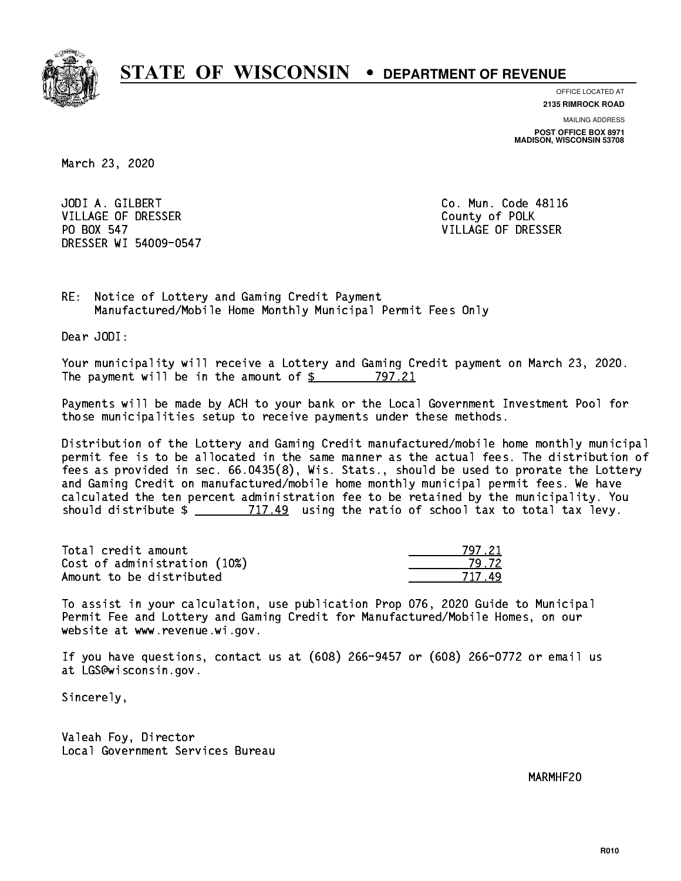

**OFFICE LOCATED AT**

**2135 RIMROCK ROAD**

**MAILING ADDRESS POST OFFICE BOX 8971 MADISON, WISCONSIN 53708**

March 23, 2020

 JODI A. GILBERT Co. Mun. Code 48116 VILLAGE OF DRESSER COUNTY OF POLK PO BOX 547 DRESSER WI 54009-0547

VILLAGE OF DRESSER

RE: Notice of Lottery and Gaming Credit Payment Manufactured/Mobile Home Monthly Municipal Permit Fees Only

Dear JODI:

 Your municipality will receive a Lottery and Gaming Credit payment on March 23, 2020. The payment will be in the amount of \$ 797.21 \_\_\_\_\_\_\_\_\_\_\_\_\_\_\_\_

 Payments will be made by ACH to your bank or the Local Government Investment Pool for those municipalities setup to receive payments under these methods.

 Distribution of the Lottery and Gaming Credit manufactured/mobile home monthly municipal permit fee is to be allocated in the same manner as the actual fees. The distribution of fees as provided in sec. 66.0435(8), Wis. Stats., should be used to prorate the Lottery and Gaming Credit on manufactured/mobile home monthly municipal permit fees. We have calculated the ten percent administration fee to be retained by the municipality. You should distribute  $\frac{2}{2}$   $\frac{717.49}{2}$  using the ratio of school tax to total tax levy.

Total credit amount Cost of administration (10%) Amount to be distributed

| 71            |
|---------------|
| $\frac{1}{2}$ |
| 717           |

 To assist in your calculation, use publication Prop 076, 2020 Guide to Municipal Permit Fee and Lottery and Gaming Credit for Manufactured/Mobile Homes, on our website at www.revenue.wi.gov.

 If you have questions, contact us at (608) 266-9457 or (608) 266-0772 or email us at LGS@wisconsin.gov.

Sincerely,

 Valeah Foy, Director Local Government Services Bureau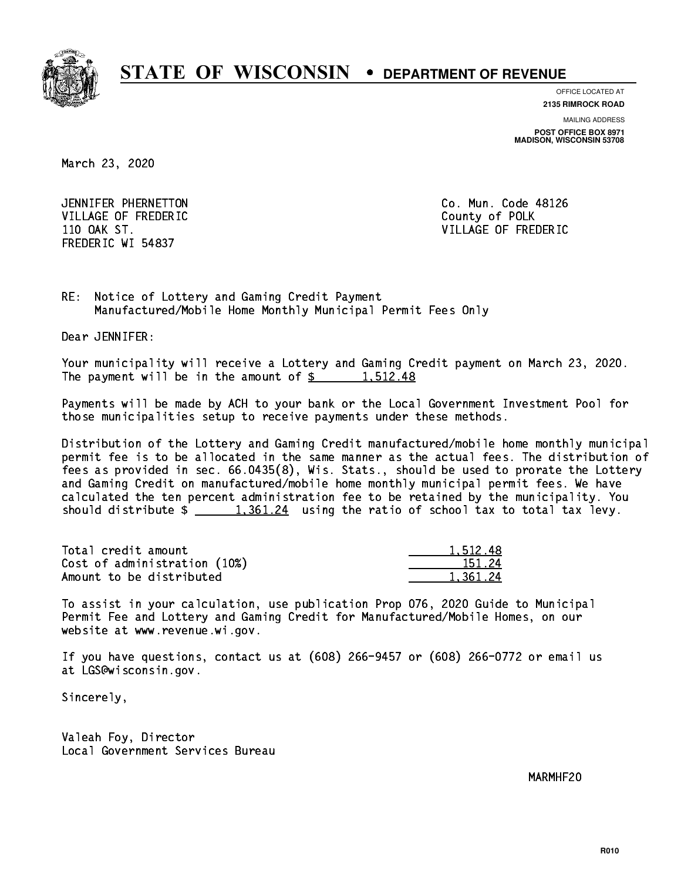

**OFFICE LOCATED AT**

**2135 RIMROCK ROAD**

**MAILING ADDRESS POST OFFICE BOX 8971 MADISON, WISCONSIN 53708**

March 23, 2020

 JENNIFER PHERNETTON Co. Mun. Code 48126 VILLAGE OF FREDERIC **COUNTY OF SALES AND ACCOUNTY COUNTY** OF POLK FREDERIC WI 54837

110 OAK ST. VILLAGE OF FREDERIC

RE: Notice of Lottery and Gaming Credit Payment Manufactured/Mobile Home Monthly Municipal Permit Fees Only

Dear JENNIFER:

 Your municipality will receive a Lottery and Gaming Credit payment on March 23, 2020. The payment will be in the amount of  $\frac{2}{3}$  1,512.48

 Payments will be made by ACH to your bank or the Local Government Investment Pool for those municipalities setup to receive payments under these methods.

 Distribution of the Lottery and Gaming Credit manufactured/mobile home monthly municipal permit fee is to be allocated in the same manner as the actual fees. The distribution of fees as provided in sec. 66.0435(8), Wis. Stats., should be used to prorate the Lottery and Gaming Credit on manufactured/mobile home monthly municipal permit fees. We have calculated the ten percent administration fee to be retained by the municipality. You should distribute  $\frac{1,361.24}{1,361.24}$  using the ratio of school tax to total tax levy.

| Total credit amount          | 1.512.48 |
|------------------------------|----------|
| Cost of administration (10%) | 151.24   |
| Amount to be distributed     | 1.361.24 |

 To assist in your calculation, use publication Prop 076, 2020 Guide to Municipal Permit Fee and Lottery and Gaming Credit for Manufactured/Mobile Homes, on our website at www.revenue.wi.gov.

 If you have questions, contact us at (608) 266-9457 or (608) 266-0772 or email us at LGS@wisconsin.gov.

Sincerely,

 Valeah Foy, Director Local Government Services Bureau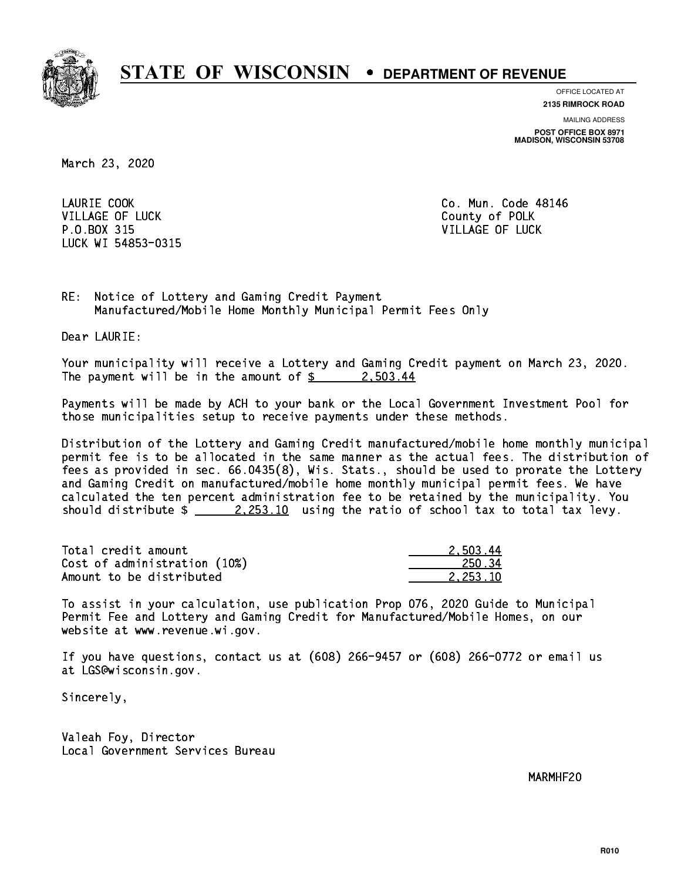

**OFFICE LOCATED AT 2135 RIMROCK ROAD**

**MAILING ADDRESS**

**POST OFFICE BOX 8971 MADISON, WISCONSIN 53708**

March 23, 2020

LAURIE COOK VILLAGE OF LUCK County of POLK P.O.BOX 315 VILLAGE OF LUCK LUCK WI 54853-0315

Co. Mun. Code 48146

RE: Notice of Lottery and Gaming Credit Payment Manufactured/Mobile Home Monthly Municipal Permit Fees Only

Dear LAURIE:

 Your municipality will receive a Lottery and Gaming Credit payment on March 23, 2020. The payment will be in the amount of  $\frac{2}{3}$  2,503.44

 Payments will be made by ACH to your bank or the Local Government Investment Pool for those municipalities setup to receive payments under these methods.

 Distribution of the Lottery and Gaming Credit manufactured/mobile home monthly municipal permit fee is to be allocated in the same manner as the actual fees. The distribution of fees as provided in sec. 66.0435(8), Wis. Stats., should be used to prorate the Lottery and Gaming Credit on manufactured/mobile home monthly municipal permit fees. We have calculated the ten percent administration fee to be retained by the municipality. You should distribute  $\frac{2.253.10}{2.253.10}$  using the ratio of school tax to total tax levy.

| Total credit amount          | 2.503.44 |
|------------------------------|----------|
| Cost of administration (10%) | 250.34   |
| Amount to be distributed     | 2.253.10 |

 To assist in your calculation, use publication Prop 076, 2020 Guide to Municipal Permit Fee and Lottery and Gaming Credit for Manufactured/Mobile Homes, on our website at www.revenue.wi.gov.

 If you have questions, contact us at (608) 266-9457 or (608) 266-0772 or email us at LGS@wisconsin.gov.

Sincerely,

 Valeah Foy, Director Local Government Services Bureau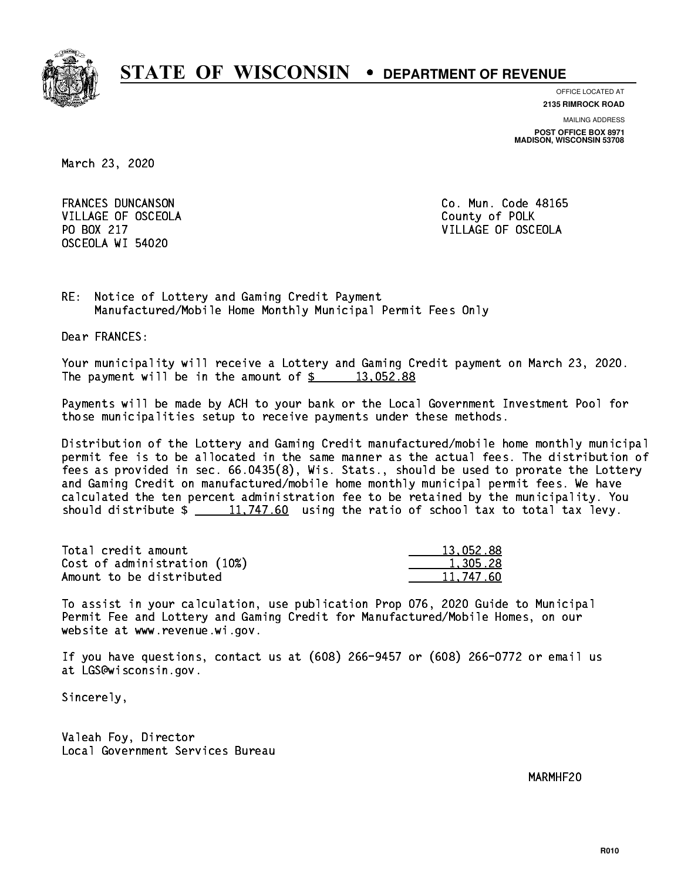

**OFFICE LOCATED AT**

**2135 RIMROCK ROAD**

**MAILING ADDRESS POST OFFICE BOX 8971 MADISON, WISCONSIN 53708**

March 23, 2020

 FRANCES DUNCANSON Co. Mun. Code 48165 VILLAGE OF OSCEOLA COUNTY OF POLK OSCEOLA WI 54020

PO BOX 217 VILLAGE OF OSCEOLA

RE: Notice of Lottery and Gaming Credit Payment Manufactured/Mobile Home Monthly Municipal Permit Fees Only

Dear FRANCES:

 Your municipality will receive a Lottery and Gaming Credit payment on March 23, 2020. The payment will be in the amount of  $\frac{2}{3}$  13,052.88

 Payments will be made by ACH to your bank or the Local Government Investment Pool for those municipalities setup to receive payments under these methods.

 Distribution of the Lottery and Gaming Credit manufactured/mobile home monthly municipal permit fee is to be allocated in the same manner as the actual fees. The distribution of fees as provided in sec. 66.0435(8), Wis. Stats., should be used to prorate the Lottery and Gaming Credit on manufactured/mobile home monthly municipal permit fees. We have calculated the ten percent administration fee to be retained by the municipality. You should distribute  $\frac{11,747.60}{2}$  using the ratio of school tax to total tax levy.

| Total credit amount          | 13.052.88 |
|------------------------------|-----------|
| Cost of administration (10%) | 1.305.28  |
| Amount to be distributed     | 11.747.60 |

 To assist in your calculation, use publication Prop 076, 2020 Guide to Municipal Permit Fee and Lottery and Gaming Credit for Manufactured/Mobile Homes, on our website at www.revenue.wi.gov.

 If you have questions, contact us at (608) 266-9457 or (608) 266-0772 or email us at LGS@wisconsin.gov.

Sincerely,

 Valeah Foy, Director Local Government Services Bureau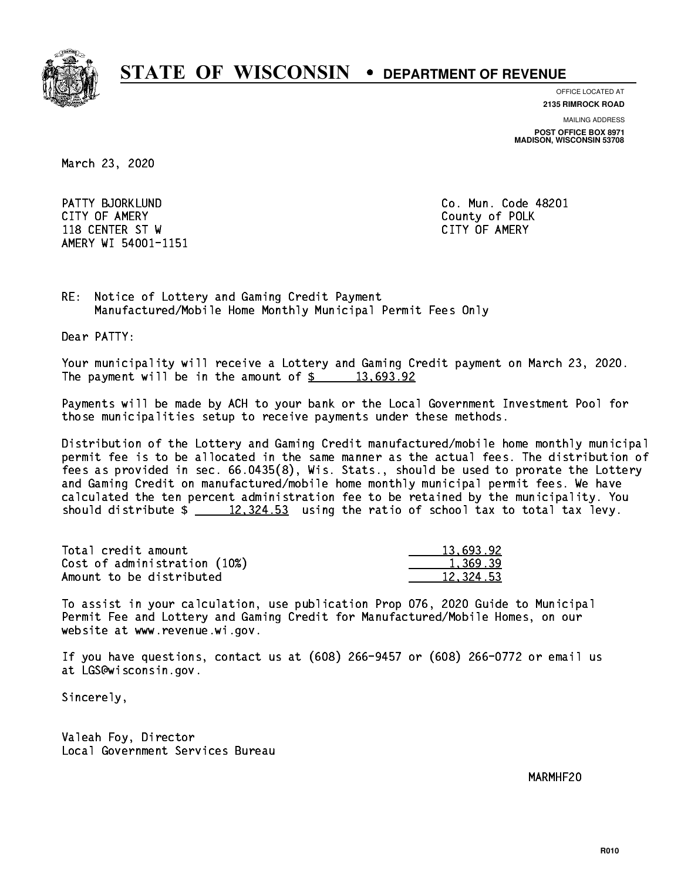

**OFFICE LOCATED AT 2135 RIMROCK ROAD**

**MAILING ADDRESS**

**POST OFFICE BOX 8971 MADISON, WISCONSIN 53708**

March 23, 2020

PATTY BJORKLUND **Communist Communist Communist Communist Communist Communist Communist Communist Communist Communist Communist Communist Communist Communist Communist Communist Communist Communist Communist Communist Commu**  CITY OF AMERY County of POLK 118 CENTER ST W CITY OF AMERY AMERY WI 54001-1151

RE: Notice of Lottery and Gaming Credit Payment Manufactured/Mobile Home Monthly Municipal Permit Fees Only

Dear PATTY:

 Your municipality will receive a Lottery and Gaming Credit payment on March 23, 2020. The payment will be in the amount of  $\frac{2}{3}$  13,693.92

 Payments will be made by ACH to your bank or the Local Government Investment Pool for those municipalities setup to receive payments under these methods.

 Distribution of the Lottery and Gaming Credit manufactured/mobile home monthly municipal permit fee is to be allocated in the same manner as the actual fees. The distribution of fees as provided in sec. 66.0435(8), Wis. Stats., should be used to prorate the Lottery and Gaming Credit on manufactured/mobile home monthly municipal permit fees. We have calculated the ten percent administration fee to be retained by the municipality. You should distribute  $\frac{2}{2}$   $\frac{12,324.53}{2}$  using the ratio of school tax to total tax levy.

| Total credit amount          | 13.693.92 |
|------------------------------|-----------|
| Cost of administration (10%) | 1.369.39  |
| Amount to be distributed     | 12,324.53 |

 To assist in your calculation, use publication Prop 076, 2020 Guide to Municipal Permit Fee and Lottery and Gaming Credit for Manufactured/Mobile Homes, on our website at www.revenue.wi.gov.

 If you have questions, contact us at (608) 266-9457 or (608) 266-0772 or email us at LGS@wisconsin.gov.

Sincerely,

 Valeah Foy, Director Local Government Services Bureau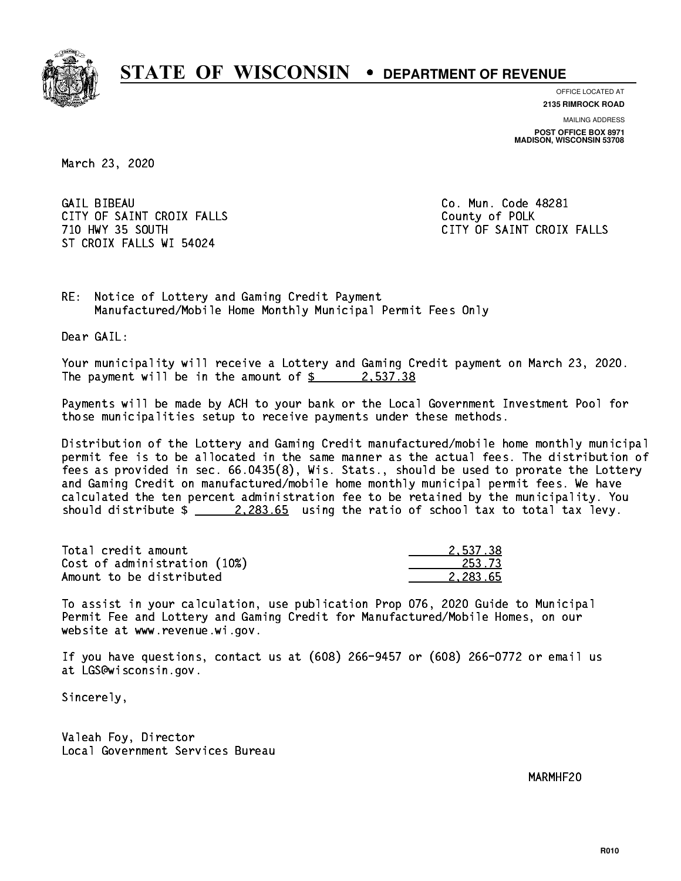

**OFFICE LOCATED AT**

**2135 RIMROCK ROAD**

**MAILING ADDRESS POST OFFICE BOX 8971 MADISON, WISCONSIN 53708**

March 23, 2020

**GAIL BIBEAU** CITY OF SAINT CROIX FALLS COUNTY OF SAINT CROIX FALLS ST CROIX FALLS WI 54024

Co. Mun. Code 48281 710 HWY 35 SOUTH CITY OF SAINT CROIX FALLS

RE: Notice of Lottery and Gaming Credit Payment Manufactured/Mobile Home Monthly Municipal Permit Fees Only

Dear GAIL:

 Your municipality will receive a Lottery and Gaming Credit payment on March 23, 2020. The payment will be in the amount of  $\frac{2}{3}$  2,537.38

 Payments will be made by ACH to your bank or the Local Government Investment Pool for those municipalities setup to receive payments under these methods.

 Distribution of the Lottery and Gaming Credit manufactured/mobile home monthly municipal permit fee is to be allocated in the same manner as the actual fees. The distribution of fees as provided in sec. 66.0435(8), Wis. Stats., should be used to prorate the Lottery and Gaming Credit on manufactured/mobile home monthly municipal permit fees. We have calculated the ten percent administration fee to be retained by the municipality. You should distribute  $\frac{2.283.65}{2.283.65}$  using the ratio of school tax to total tax levy.

| Total credit amount          | 2.537.38 |
|------------------------------|----------|
| Cost of administration (10%) | 253.73   |
| Amount to be distributed     | 2.283.65 |

 To assist in your calculation, use publication Prop 076, 2020 Guide to Municipal Permit Fee and Lottery and Gaming Credit for Manufactured/Mobile Homes, on our website at www.revenue.wi.gov.

 If you have questions, contact us at (608) 266-9457 or (608) 266-0772 or email us at LGS@wisconsin.gov.

Sincerely,

 Valeah Foy, Director Local Government Services Bureau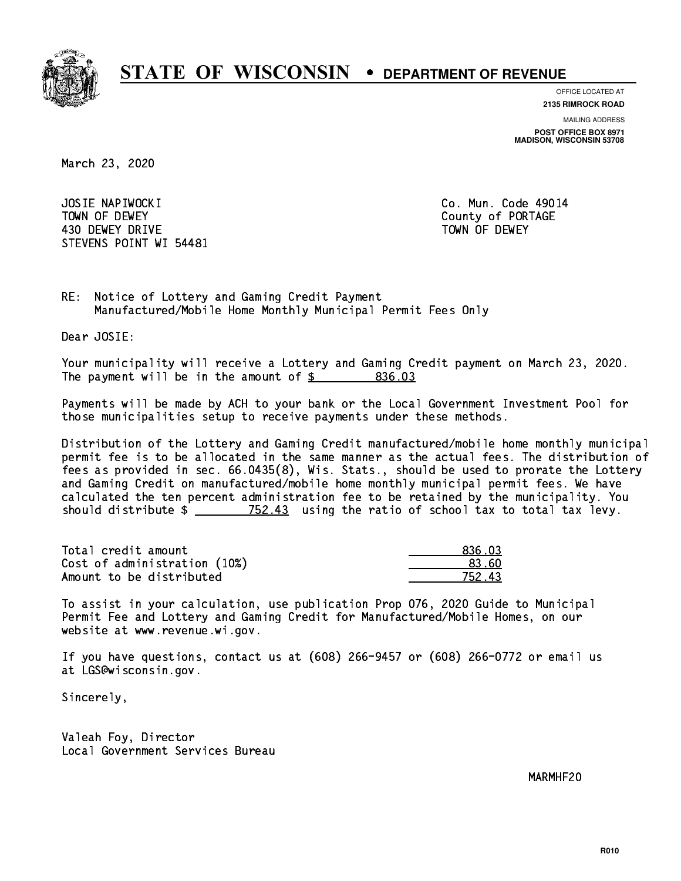

**OFFICE LOCATED AT**

**2135 RIMROCK ROAD**

**MAILING ADDRESS POST OFFICE BOX 8971 MADISON, WISCONSIN 53708**

March 23, 2020

 JOSIE NAPIWOCKI Co. Mun. Code 49014 TOWN OF DEWEY COUNTY OF RESERVE TOWN OF DEWEY 430 DEWEY DRIVE TOWN OF DEWEY STEVENS POINT WI 54481

RE: Notice of Lottery and Gaming Credit Payment Manufactured/Mobile Home Monthly Municipal Permit Fees Only

Dear JOSIE:

 Your municipality will receive a Lottery and Gaming Credit payment on March 23, 2020. The payment will be in the amount of  $$ 836.03$ 

 Payments will be made by ACH to your bank or the Local Government Investment Pool for those municipalities setup to receive payments under these methods.

 Distribution of the Lottery and Gaming Credit manufactured/mobile home monthly municipal permit fee is to be allocated in the same manner as the actual fees. The distribution of fees as provided in sec. 66.0435(8), Wis. Stats., should be used to prorate the Lottery and Gaming Credit on manufactured/mobile home monthly municipal permit fees. We have calculated the ten percent administration fee to be retained by the municipality. You should distribute  $\frac{2}{2}$   $\frac{752.43}{2}$  using the ratio of school tax to total tax levy.

Total credit amount Cost of administration (10%) Amount to be distributed

| 836.03    |
|-----------|
| חא גא     |
| 43<br>フトン |

 To assist in your calculation, use publication Prop 076, 2020 Guide to Municipal Permit Fee and Lottery and Gaming Credit for Manufactured/Mobile Homes, on our website at www.revenue.wi.gov.

 If you have questions, contact us at (608) 266-9457 or (608) 266-0772 or email us at LGS@wisconsin.gov.

Sincerely,

 Valeah Foy, Director Local Government Services Bureau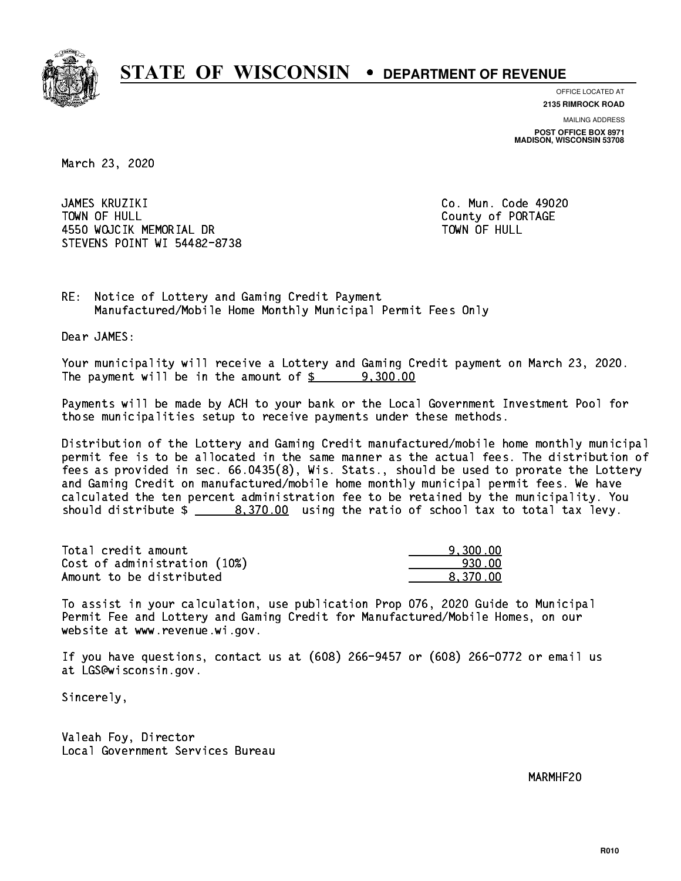

**OFFICE LOCATED AT**

**2135 RIMROCK ROAD**

**MAILING ADDRESS POST OFFICE BOX 8971 MADISON, WISCONSIN 53708**

March 23, 2020

 JAMES KRUZIKI Co. Mun. Code 49020 TOWN OF HULL 4550 WOJCIK MEMORIAL DR STEVENS POINT WI 54482-8738

County of PORTAGE TOWN OF HULL

RE: Notice of Lottery and Gaming Credit Payment Manufactured/Mobile Home Monthly Municipal Permit Fees Only

Dear JAMES:

 Your municipality will receive a Lottery and Gaming Credit payment on March 23, 2020. The payment will be in the amount of  $\frac{2}{3}$  9,300.00

 Payments will be made by ACH to your bank or the Local Government Investment Pool for those municipalities setup to receive payments under these methods.

 Distribution of the Lottery and Gaming Credit manufactured/mobile home monthly municipal permit fee is to be allocated in the same manner as the actual fees. The distribution of fees as provided in sec. 66.0435(8), Wis. Stats., should be used to prorate the Lottery and Gaming Credit on manufactured/mobile home monthly municipal permit fees. We have calculated the ten percent administration fee to be retained by the municipality. You should distribute  $\frac{2}{1}$   $\frac{8,370.00}{2}$  using the ratio of school tax to total tax levy.

| Total credit amount          | 9.300.00 |
|------------------------------|----------|
| Cost of administration (10%) | 930.00   |
| Amount to be distributed     | 8.370.00 |

 To assist in your calculation, use publication Prop 076, 2020 Guide to Municipal Permit Fee and Lottery and Gaming Credit for Manufactured/Mobile Homes, on our website at www.revenue.wi.gov.

 If you have questions, contact us at (608) 266-9457 or (608) 266-0772 or email us at LGS@wisconsin.gov.

Sincerely,

 Valeah Foy, Director Local Government Services Bureau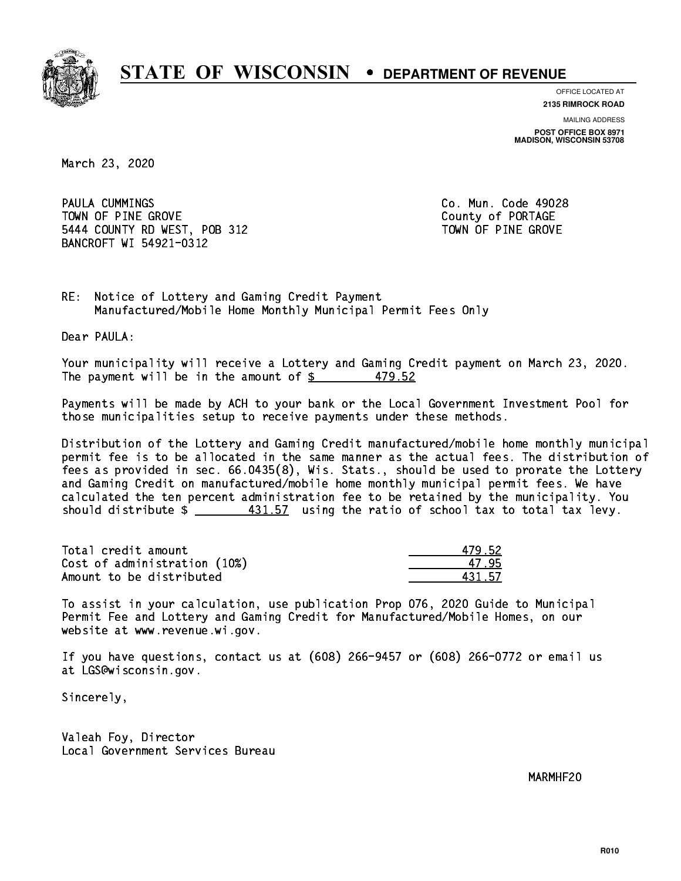

**OFFICE LOCATED AT**

**2135 RIMROCK ROAD**

**MAILING ADDRESS POST OFFICE BOX 8971 MADISON, WISCONSIN 53708**

March 23, 2020

 PAULA CUMMINGS Co. Mun. Code 49028 TOWN OF PINE GROVE TOWN OF PORTAGE 5444 COUNTY RD WEST, POB 312 TOWN OF PINE GROVE BANCROFT WI 54921-0312

RE: Notice of Lottery and Gaming Credit Payment Manufactured/Mobile Home Monthly Municipal Permit Fees Only

Dear PAULA:

 Your municipality will receive a Lottery and Gaming Credit payment on March 23, 2020. The payment will be in the amount of  $\frac{2}{3}$  479.52

 Payments will be made by ACH to your bank or the Local Government Investment Pool for those municipalities setup to receive payments under these methods.

 Distribution of the Lottery and Gaming Credit manufactured/mobile home monthly municipal permit fee is to be allocated in the same manner as the actual fees. The distribution of fees as provided in sec. 66.0435(8), Wis. Stats., should be used to prorate the Lottery and Gaming Credit on manufactured/mobile home monthly municipal permit fees. We have calculated the ten percent administration fee to be retained by the municipality. You should distribute  $\frac{431.57}{2}$  using the ratio of school tax to total tax levy.

| Total credit amount          | 479.52 |
|------------------------------|--------|
| Cost of administration (10%) | 47 95  |
| Amount to be distributed     | 431 57 |

431.57

 To assist in your calculation, use publication Prop 076, 2020 Guide to Municipal Permit Fee and Lottery and Gaming Credit for Manufactured/Mobile Homes, on our website at www.revenue.wi.gov.

 If you have questions, contact us at (608) 266-9457 or (608) 266-0772 or email us at LGS@wisconsin.gov.

Sincerely,

 Valeah Foy, Director Local Government Services Bureau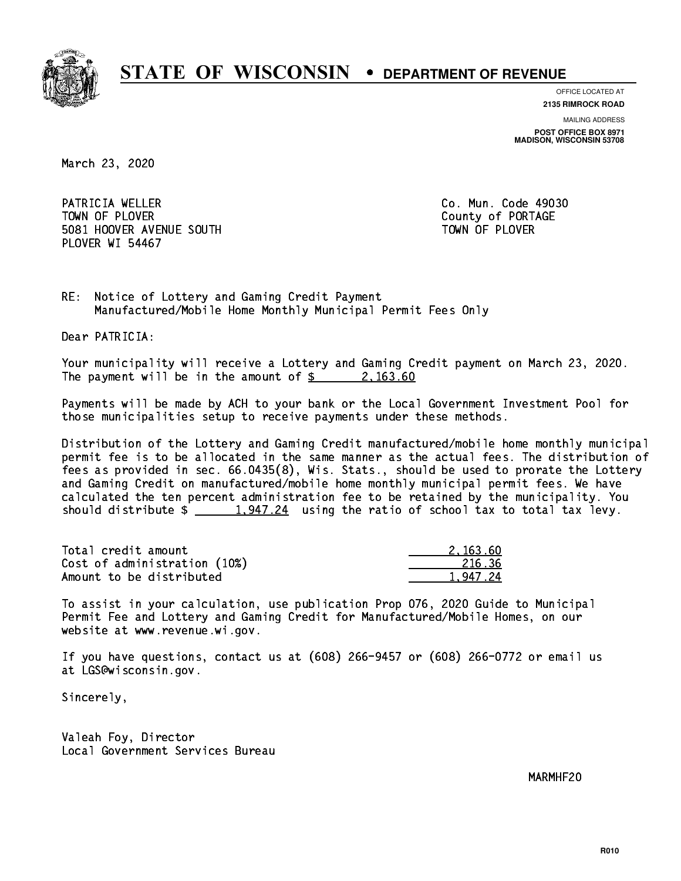

**OFFICE LOCATED AT**

**2135 RIMROCK ROAD**

**MAILING ADDRESS POST OFFICE BOX 8971 MADISON, WISCONSIN 53708**

March 23, 2020

PATRICIA WELLER **Co. Mun. Code 49030** TOWN OF PLOVER **COUNTY OF PORTAGE**  5081 HOOVER AVENUE SOUTH TOWN OF PLOVER PLOVER WI 54467

RE: Notice of Lottery and Gaming Credit Payment Manufactured/Mobile Home Monthly Municipal Permit Fees Only

Dear PATRICIA:

 Your municipality will receive a Lottery and Gaming Credit payment on March 23, 2020. The payment will be in the amount of  $\frac{2}{3}$  2, 163.60

 Payments will be made by ACH to your bank or the Local Government Investment Pool for those municipalities setup to receive payments under these methods.

 Distribution of the Lottery and Gaming Credit manufactured/mobile home monthly municipal permit fee is to be allocated in the same manner as the actual fees. The distribution of fees as provided in sec. 66.0435(8), Wis. Stats., should be used to prorate the Lottery and Gaming Credit on manufactured/mobile home monthly municipal permit fees. We have calculated the ten percent administration fee to be retained by the municipality. You should distribute  $\frac{1,947.24}{2}$  using the ratio of school tax to total tax levy.

| Total credit amount          | 2.163.60 |
|------------------------------|----------|
| Cost of administration (10%) | 216.36   |
| Amount to be distributed     | 1.947.24 |

 To assist in your calculation, use publication Prop 076, 2020 Guide to Municipal Permit Fee and Lottery and Gaming Credit for Manufactured/Mobile Homes, on our website at www.revenue.wi.gov.

 If you have questions, contact us at (608) 266-9457 or (608) 266-0772 or email us at LGS@wisconsin.gov.

Sincerely,

 Valeah Foy, Director Local Government Services Bureau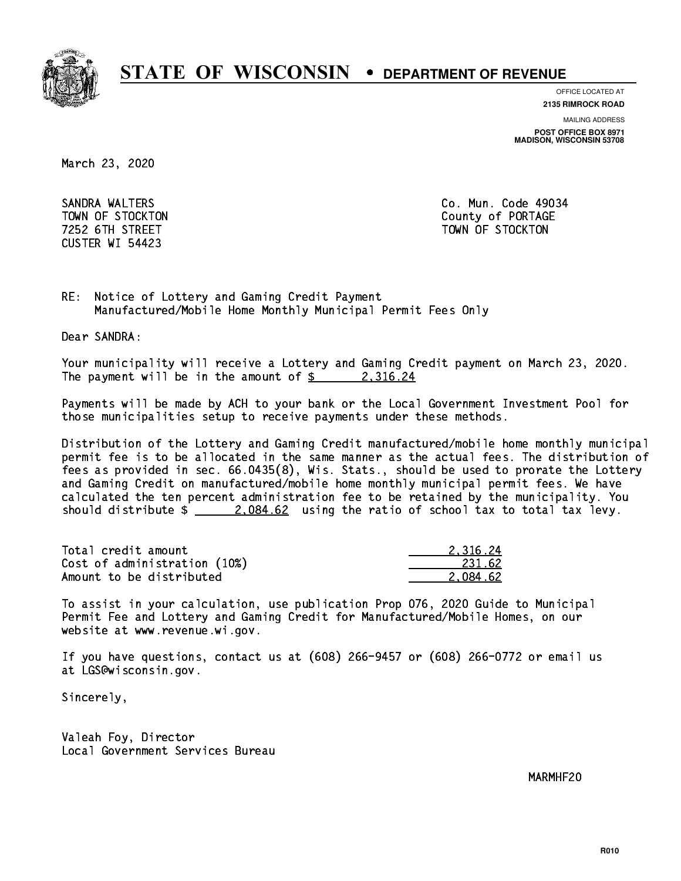

**OFFICE LOCATED AT**

**2135 RIMROCK ROAD**

**MAILING ADDRESS**

**POST OFFICE BOX 8971 MADISON, WISCONSIN 53708**

March 23, 2020

 SANDRA WALTERS Co. Mun. Code 49034 CUSTER WI 54423

 TOWN OF STOCKTON County of PORTAGE 7252 6TH STREET TOWN OF STOCKTON

RE: Notice of Lottery and Gaming Credit Payment Manufactured/Mobile Home Monthly Municipal Permit Fees Only

Dear SANDRA:

 Your municipality will receive a Lottery and Gaming Credit payment on March 23, 2020. The payment will be in the amount of  $\frac{2}{3}$  2,316.24

 Payments will be made by ACH to your bank or the Local Government Investment Pool for those municipalities setup to receive payments under these methods.

 Distribution of the Lottery and Gaming Credit manufactured/mobile home monthly municipal permit fee is to be allocated in the same manner as the actual fees. The distribution of fees as provided in sec. 66.0435(8), Wis. Stats., should be used to prorate the Lottery and Gaming Credit on manufactured/mobile home monthly municipal permit fees. We have calculated the ten percent administration fee to be retained by the municipality. You should distribute  $\frac{2.084.62}{2.084.62}$  using the ratio of school tax to total tax levy.

| Total credit amount          | 2.316.24 |
|------------------------------|----------|
| Cost of administration (10%) | 231.62   |
| Amount to be distributed     | 2.084.62 |

 To assist in your calculation, use publication Prop 076, 2020 Guide to Municipal Permit Fee and Lottery and Gaming Credit for Manufactured/Mobile Homes, on our website at www.revenue.wi.gov.

 If you have questions, contact us at (608) 266-9457 or (608) 266-0772 or email us at LGS@wisconsin.gov.

Sincerely,

 Valeah Foy, Director Local Government Services Bureau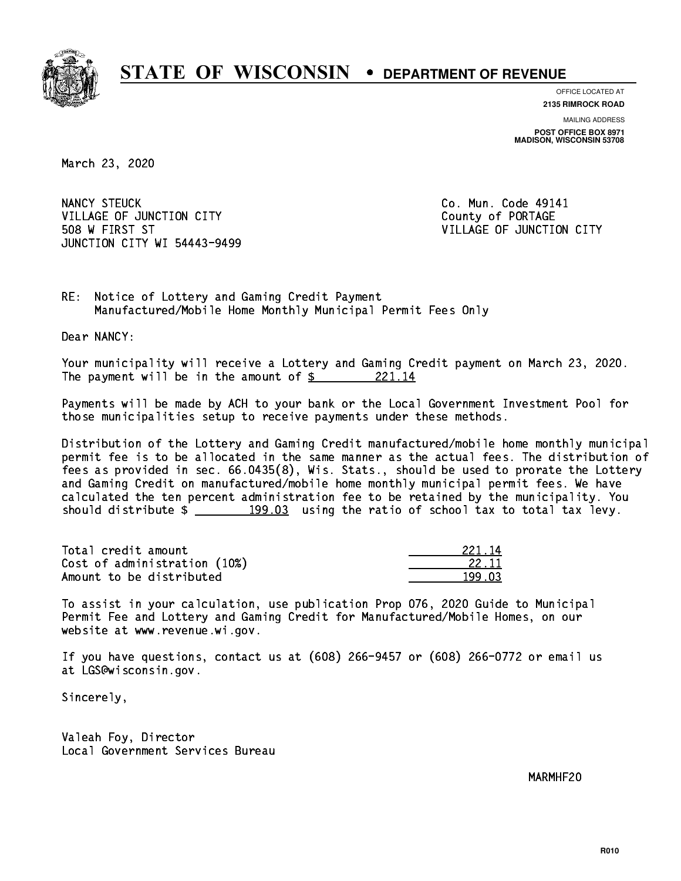

**OFFICE LOCATED AT 2135 RIMROCK ROAD**

**MAILING ADDRESS POST OFFICE BOX 8971 MADISON, WISCONSIN 53708**

March 23, 2020

NANCY STEUCK VILLAGE OF JUNCTION CITY COUNTY County of PORTAGE 508 W FIRST ST VILLAGE OF JUNCTION CITY JUNCTION CITY WI 54443-9499

Co. Mun. Code 49141

RE: Notice of Lottery and Gaming Credit Payment Manufactured/Mobile Home Monthly Municipal Permit Fees Only

Dear NANCY:

 Your municipality will receive a Lottery and Gaming Credit payment on March 23, 2020. The payment will be in the amount of  $\frac{221.14}{5}$ 

 Payments will be made by ACH to your bank or the Local Government Investment Pool for those municipalities setup to receive payments under these methods.

 Distribution of the Lottery and Gaming Credit manufactured/mobile home monthly municipal permit fee is to be allocated in the same manner as the actual fees. The distribution of fees as provided in sec. 66.0435(8), Wis. Stats., should be used to prorate the Lottery and Gaming Credit on manufactured/mobile home monthly municipal permit fees. We have calculated the ten percent administration fee to be retained by the municipality. You should distribute  $\frac{2}{2}$   $\frac{199.03}{2}$  using the ratio of school tax to total tax levy.

Total credit amount Cost of administration (10%) Amount to be distributed

| フフキー  |
|-------|
| 22 11 |
| ገጋ    |

 To assist in your calculation, use publication Prop 076, 2020 Guide to Municipal Permit Fee and Lottery and Gaming Credit for Manufactured/Mobile Homes, on our website at www.revenue.wi.gov.

 If you have questions, contact us at (608) 266-9457 or (608) 266-0772 or email us at LGS@wisconsin.gov.

Sincerely,

 Valeah Foy, Director Local Government Services Bureau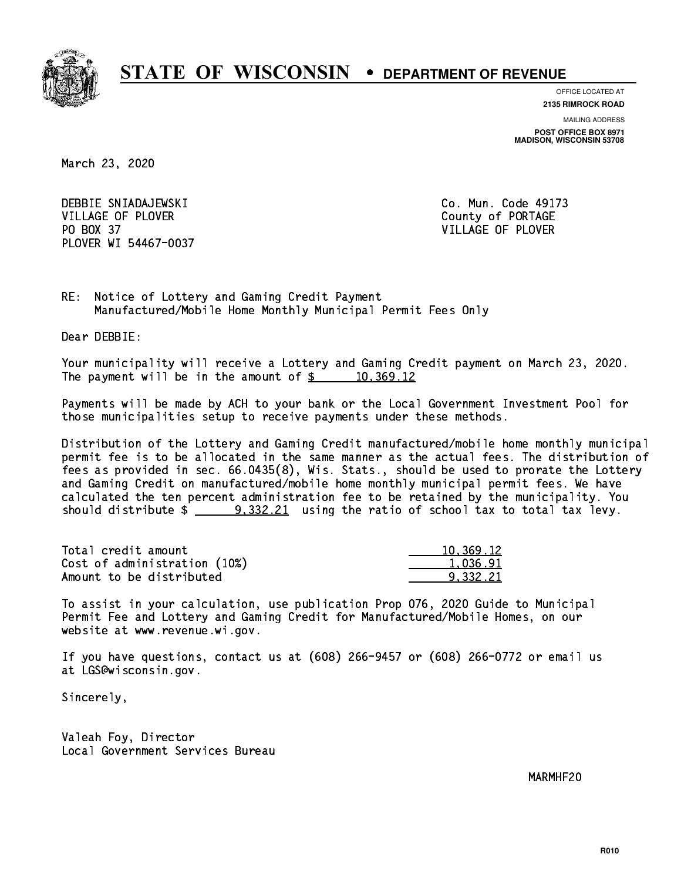

**OFFICE LOCATED AT**

**2135 RIMROCK ROAD**

**MAILING ADDRESS POST OFFICE BOX 8971 MADISON, WISCONSIN 53708**

March 23, 2020

 DEBBIE SNIADAJEWSKI Co. Mun. Code 49173 VILLAGE OF PLOVER COUNTY OF PORTAGE PO BOX 37 VILLAGE OF PLOVER PLOVER WI 54467-0037

RE: Notice of Lottery and Gaming Credit Payment Manufactured/Mobile Home Monthly Municipal Permit Fees Only

Dear DEBBIE:

 Your municipality will receive a Lottery and Gaming Credit payment on March 23, 2020. The payment will be in the amount of  $\frac{2}{3}$  10,369.12

 Payments will be made by ACH to your bank or the Local Government Investment Pool for those municipalities setup to receive payments under these methods.

 Distribution of the Lottery and Gaming Credit manufactured/mobile home monthly municipal permit fee is to be allocated in the same manner as the actual fees. The distribution of fees as provided in sec. 66.0435(8), Wis. Stats., should be used to prorate the Lottery and Gaming Credit on manufactured/mobile home monthly municipal permit fees. We have calculated the ten percent administration fee to be retained by the municipality. You should distribute  $\frac{1}{2}$   $\frac{9,332.21}{2}$  using the ratio of school tax to total tax levy.

| Total credit amount          | 10,369.12 |
|------------------------------|-----------|
| Cost of administration (10%) | 1.036.91  |
| Amount to be distributed     | 9.332.21  |

 To assist in your calculation, use publication Prop 076, 2020 Guide to Municipal Permit Fee and Lottery and Gaming Credit for Manufactured/Mobile Homes, on our website at www.revenue.wi.gov.

 If you have questions, contact us at (608) 266-9457 or (608) 266-0772 or email us at LGS@wisconsin.gov.

Sincerely,

 Valeah Foy, Director Local Government Services Bureau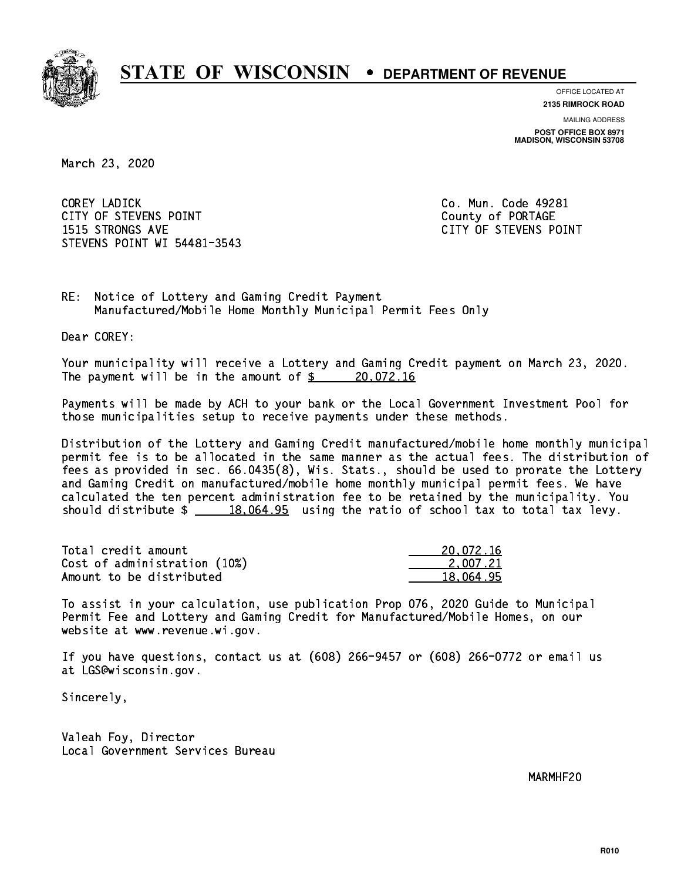

**OFFICE LOCATED AT**

**2135 RIMROCK ROAD**

**MAILING ADDRESS POST OFFICE BOX 8971 MADISON, WISCONSIN 53708**

March 23, 2020

 COREY LADICK Co. Mun. Code 49281 CITY OF STEVENS POINT COUNTS AND COUNTY OF PORTAGE 1515 STRONGS AVE CITY OF STEVENS POINT STEVENS POINT WI 54481-3543

RE: Notice of Lottery and Gaming Credit Payment Manufactured/Mobile Home Monthly Municipal Permit Fees Only

Dear COREY:

 Your municipality will receive a Lottery and Gaming Credit payment on March 23, 2020. The payment will be in the amount of  $\frac{20,072.16}{20,072.16}$ 

 Payments will be made by ACH to your bank or the Local Government Investment Pool for those municipalities setup to receive payments under these methods.

 Distribution of the Lottery and Gaming Credit manufactured/mobile home monthly municipal permit fee is to be allocated in the same manner as the actual fees. The distribution of fees as provided in sec. 66.0435(8), Wis. Stats., should be used to prorate the Lottery and Gaming Credit on manufactured/mobile home monthly municipal permit fees. We have calculated the ten percent administration fee to be retained by the municipality. You should distribute  $\frac{18,064.95}{2}$  using the ratio of school tax to total tax levy.

| Total credit amount          | 20,072.16 |
|------------------------------|-----------|
| Cost of administration (10%) | 2.007.21  |
| Amount to be distributed     | 18.064.95 |

 To assist in your calculation, use publication Prop 076, 2020 Guide to Municipal Permit Fee and Lottery and Gaming Credit for Manufactured/Mobile Homes, on our website at www.revenue.wi.gov.

 If you have questions, contact us at (608) 266-9457 or (608) 266-0772 or email us at LGS@wisconsin.gov.

Sincerely,

 Valeah Foy, Director Local Government Services Bureau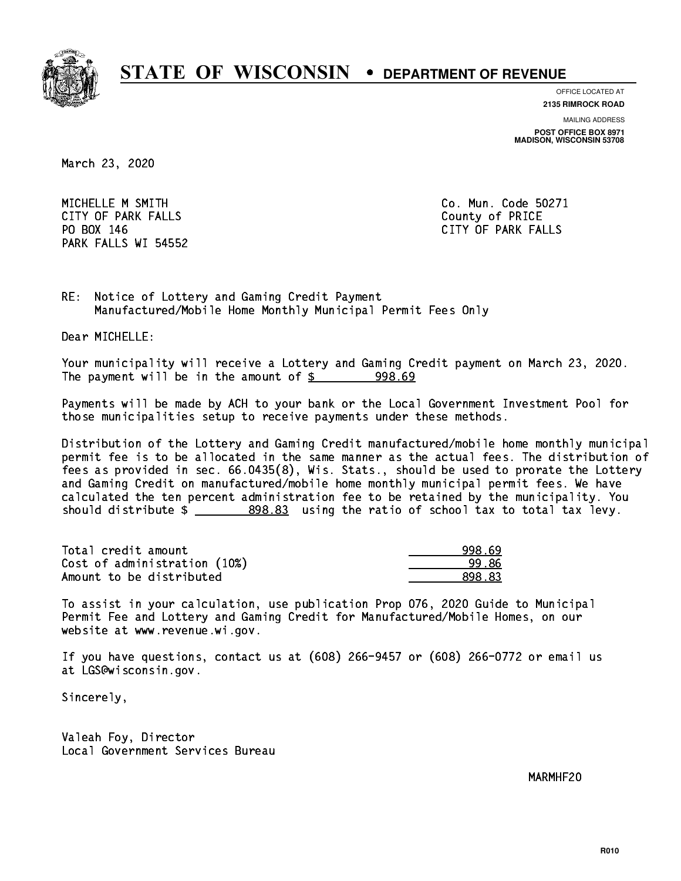

**OFFICE LOCATED AT**

**2135 RIMROCK ROAD**

**MAILING ADDRESS**

**POST OFFICE BOX 8971 MADISON, WISCONSIN 53708**

March 23, 2020

MICHELLE M SMITH Communication of the Co. Mun. Code 50271 CITY OF PARK FALLS **COUNTY OF PARK** FALLS PO BOX 146 PARK FALLS WI 54552

CITY OF PARK FALLS

RE: Notice of Lottery and Gaming Credit Payment Manufactured/Mobile Home Monthly Municipal Permit Fees Only

Dear MICHELLE:

 Your municipality will receive a Lottery and Gaming Credit payment on March 23, 2020. The payment will be in the amount of  $$ 998.69$ 

 Payments will be made by ACH to your bank or the Local Government Investment Pool for those municipalities setup to receive payments under these methods.

 Distribution of the Lottery and Gaming Credit manufactured/mobile home monthly municipal permit fee is to be allocated in the same manner as the actual fees. The distribution of fees as provided in sec. 66.0435(8), Wis. Stats., should be used to prorate the Lottery and Gaming Credit on manufactured/mobile home monthly municipal permit fees. We have calculated the ten percent administration fee to be retained by the municipality. You should distribute  $\frac{2}{2}$   $\frac{898.83}{2}$  using the ratio of school tax to total tax levy.

| Total credit amount          | 998.69 |
|------------------------------|--------|
| Cost of administration (10%) | 99.86  |
| Amount to be distributed     | 898.83 |

 To assist in your calculation, use publication Prop 076, 2020 Guide to Municipal Permit Fee and Lottery and Gaming Credit for Manufactured/Mobile Homes, on our website at www.revenue.wi.gov.

 If you have questions, contact us at (608) 266-9457 or (608) 266-0772 or email us at LGS@wisconsin.gov.

Sincerely,

 Valeah Foy, Director Local Government Services Bureau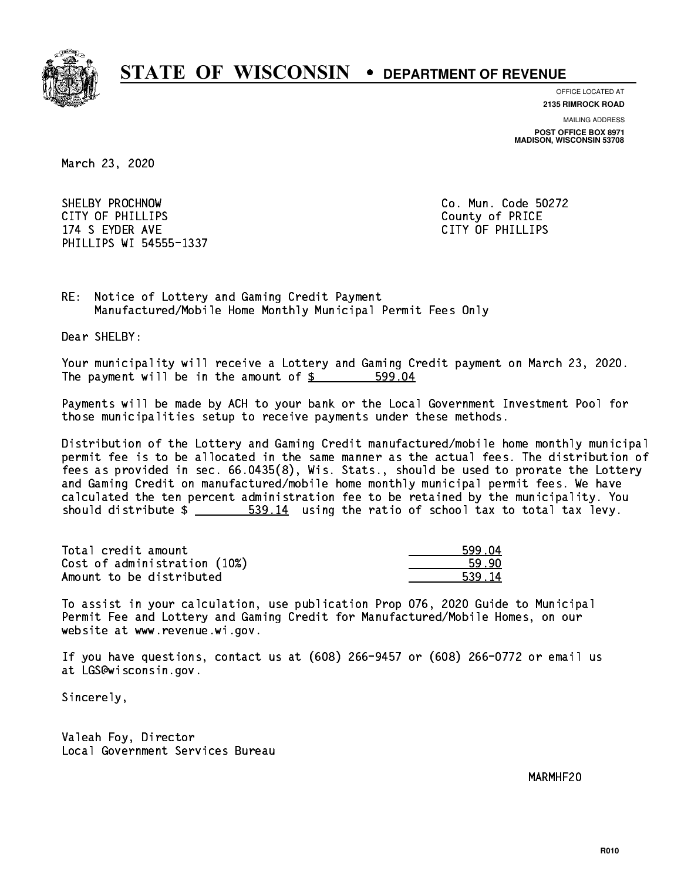

**OFFICE LOCATED AT 2135 RIMROCK ROAD**

**MAILING ADDRESS**

**POST OFFICE BOX 8971 MADISON, WISCONSIN 53708**

March 23, 2020

 SHELBY PROCHNOW Co. Mun. Code 50272 CITY OF PHILLIPS County of PRICE 174 S EYDER AVE CITY OF PHILLIPS OF PHILLIPS OF PHILLIPS OF PHILLIPS OF PHILLIPS OF PHILLIPS OF PHILLIPS OF PHILLIPS OF PHILLIPS OF PHILLIPS OF PHILLIPS OF PHILLIPS OF PHILLIPS OF PHILLIPS OF PHILLIPS OF PHILLIPS OF PHILLI PHILLIPS WI 54555-1337

RE: Notice of Lottery and Gaming Credit Payment Manufactured/Mobile Home Monthly Municipal Permit Fees Only

Dear SHELBY:

 Your municipality will receive a Lottery and Gaming Credit payment on March 23, 2020. The payment will be in the amount of \$ 599.04 \_\_\_\_\_\_\_\_\_\_\_\_\_\_\_\_

 Payments will be made by ACH to your bank or the Local Government Investment Pool for those municipalities setup to receive payments under these methods.

 Distribution of the Lottery and Gaming Credit manufactured/mobile home monthly municipal permit fee is to be allocated in the same manner as the actual fees. The distribution of fees as provided in sec. 66.0435(8), Wis. Stats., should be used to prorate the Lottery and Gaming Credit on manufactured/mobile home monthly municipal permit fees. We have calculated the ten percent administration fee to be retained by the municipality. You should distribute  $\frac{2}{1}$   $\frac{539.14}{14}$  using the ratio of school tax to total tax levy.

| Total credit amount          | 599.04 |
|------------------------------|--------|
| Cost of administration (10%) | 59.90  |
| Amount to be distributed     | 539.14 |

 To assist in your calculation, use publication Prop 076, 2020 Guide to Municipal Permit Fee and Lottery and Gaming Credit for Manufactured/Mobile Homes, on our website at www.revenue.wi.gov.

 If you have questions, contact us at (608) 266-9457 or (608) 266-0772 or email us at LGS@wisconsin.gov.

Sincerely,

 Valeah Foy, Director Local Government Services Bureau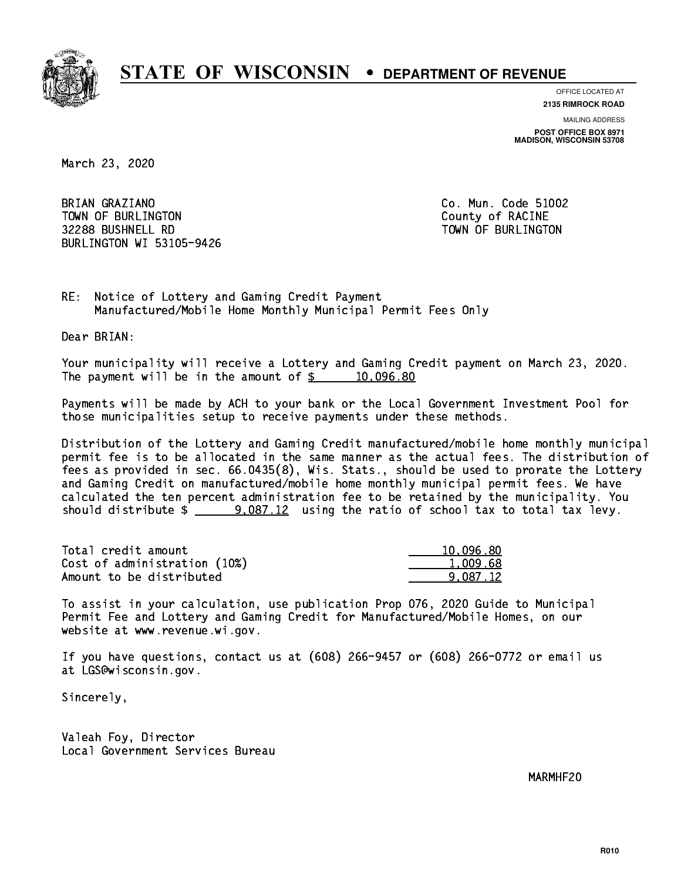

**OFFICE LOCATED AT**

**2135 RIMROCK ROAD**

**MAILING ADDRESS POST OFFICE BOX 8971 MADISON, WISCONSIN 53708**

March 23, 2020

BRIAN GRAZIANO TOWN OF BURLINGTON COUNTY OF RACINE 32288 BUSHNELL RD TOWN OF BURLINGTON BURLINGTON WI 53105-9426

Co. Mun. Code 51002

RE: Notice of Lottery and Gaming Credit Payment Manufactured/Mobile Home Monthly Municipal Permit Fees Only

Dear BRIAN:

 Your municipality will receive a Lottery and Gaming Credit payment on March 23, 2020. The payment will be in the amount of  $\frac{2}{3}$  10,096.80

 Payments will be made by ACH to your bank or the Local Government Investment Pool for those municipalities setup to receive payments under these methods.

 Distribution of the Lottery and Gaming Credit manufactured/mobile home monthly municipal permit fee is to be allocated in the same manner as the actual fees. The distribution of fees as provided in sec. 66.0435(8), Wis. Stats., should be used to prorate the Lottery and Gaming Credit on manufactured/mobile home monthly municipal permit fees. We have calculated the ten percent administration fee to be retained by the municipality. You should distribute  $\frac{2}{2}$  9,087.12 using the ratio of school tax to total tax levy.

| Total credit amount          | 10,096.80 |
|------------------------------|-----------|
| Cost of administration (10%) | 1.009.68  |
| Amount to be distributed     | 9.087.12  |

 To assist in your calculation, use publication Prop 076, 2020 Guide to Municipal Permit Fee and Lottery and Gaming Credit for Manufactured/Mobile Homes, on our website at www.revenue.wi.gov.

 If you have questions, contact us at (608) 266-9457 or (608) 266-0772 or email us at LGS@wisconsin.gov.

Sincerely,

 Valeah Foy, Director Local Government Services Bureau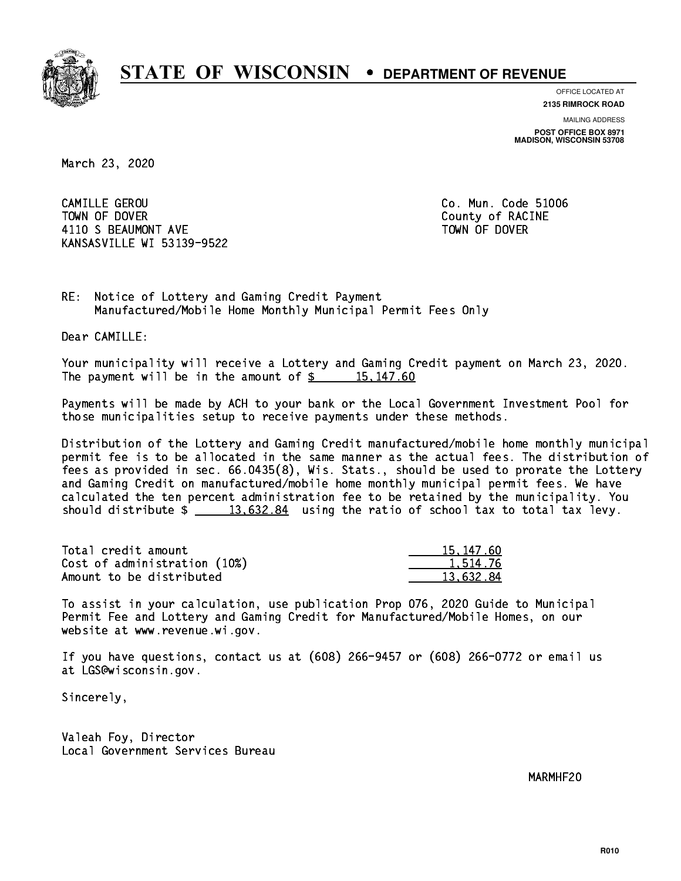

**OFFICE LOCATED AT**

**2135 RIMROCK ROAD**

**MAILING ADDRESS POST OFFICE BOX 8971 MADISON, WISCONSIN 53708**

March 23, 2020

 CAMILLE GEROU Co. Mun. Code 51006 TOWN OF DOVER COUNTY OF RACINE 4110 S BEAUMONT AVE **TOWN OF DOVER** KANSASVILLE WI 53139-9522

RE: Notice of Lottery and Gaming Credit Payment Manufactured/Mobile Home Monthly Municipal Permit Fees Only

Dear CAMILLE:

 Your municipality will receive a Lottery and Gaming Credit payment on March 23, 2020. The payment will be in the amount of  $\frac{2}{3}$  15,147.60

 Payments will be made by ACH to your bank or the Local Government Investment Pool for those municipalities setup to receive payments under these methods.

 Distribution of the Lottery and Gaming Credit manufactured/mobile home monthly municipal permit fee is to be allocated in the same manner as the actual fees. The distribution of fees as provided in sec. 66.0435(8), Wis. Stats., should be used to prorate the Lottery and Gaming Credit on manufactured/mobile home monthly municipal permit fees. We have calculated the ten percent administration fee to be retained by the municipality. You should distribute  $\frac{2}{13,632.84}$  using the ratio of school tax to total tax levy.

| Total credit amount          | 15, 147, 60 |
|------------------------------|-------------|
| Cost of administration (10%) | 1.514.76    |
| Amount to be distributed     | 13.632.84   |

 To assist in your calculation, use publication Prop 076, 2020 Guide to Municipal Permit Fee and Lottery and Gaming Credit for Manufactured/Mobile Homes, on our website at www.revenue.wi.gov.

 If you have questions, contact us at (608) 266-9457 or (608) 266-0772 or email us at LGS@wisconsin.gov.

Sincerely,

 Valeah Foy, Director Local Government Services Bureau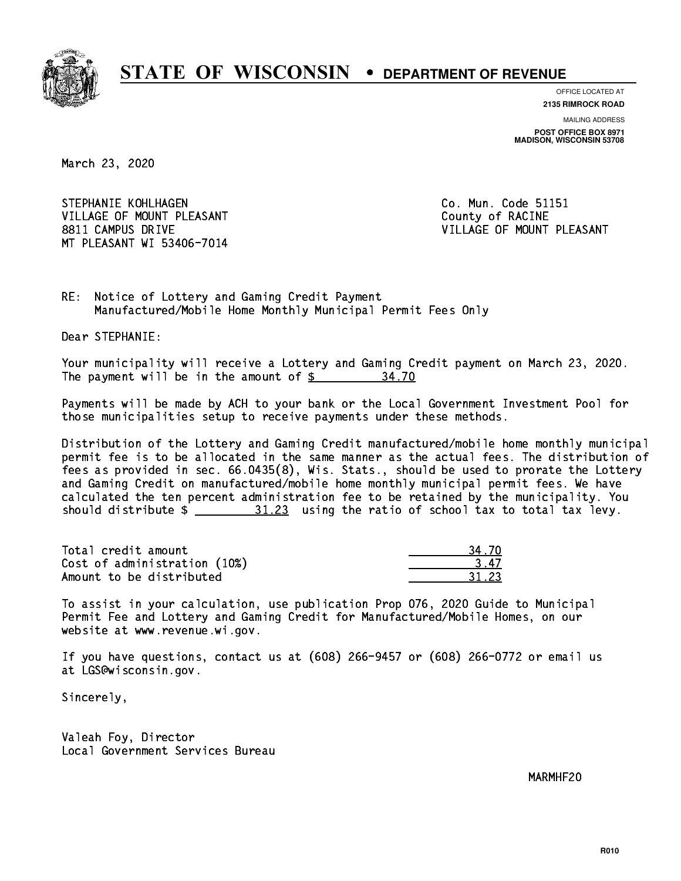

**OFFICE LOCATED AT**

**2135 RIMROCK ROAD**

**MAILING ADDRESS POST OFFICE BOX 8971 MADISON, WISCONSIN 53708**

March 23, 2020

STEPHANIE KOHLHAGEN **Co. Mun. Code 51151** VILLAGE OF MOUNT PLEASANT COUNTY OF RACINE 8811 CAMPUS DRIVE VILLAGE OF MOUNT PLEASANT MT PLEASANT WI 53406-7014

RE: Notice of Lottery and Gaming Credit Payment Manufactured/Mobile Home Monthly Municipal Permit Fees Only

Dear STEPHANIE:

 Your municipality will receive a Lottery and Gaming Credit payment on March 23, 2020. The payment will be in the amount of  $\frac{2}{3}$ 34.70

 Payments will be made by ACH to your bank or the Local Government Investment Pool for those municipalities setup to receive payments under these methods.

 Distribution of the Lottery and Gaming Credit manufactured/mobile home monthly municipal permit fee is to be allocated in the same manner as the actual fees. The distribution of fees as provided in sec. 66.0435(8), Wis. Stats., should be used to prorate the Lottery and Gaming Credit on manufactured/mobile home monthly municipal permit fees. We have calculated the ten percent administration fee to be retained by the municipality. You should distribute  $\frac{21.23}{2}$  using the ratio of school tax to total tax levy.

Total credit amount Cost of administration (10%) Amount to be distributed

 To assist in your calculation, use publication Prop 076, 2020 Guide to Municipal Permit Fee and Lottery and Gaming Credit for Manufactured/Mobile Homes, on our website at www.revenue.wi.gov.

 If you have questions, contact us at (608) 266-9457 or (608) 266-0772 or email us at LGS@wisconsin.gov.

Sincerely,

 Valeah Foy, Director Local Government Services Bureau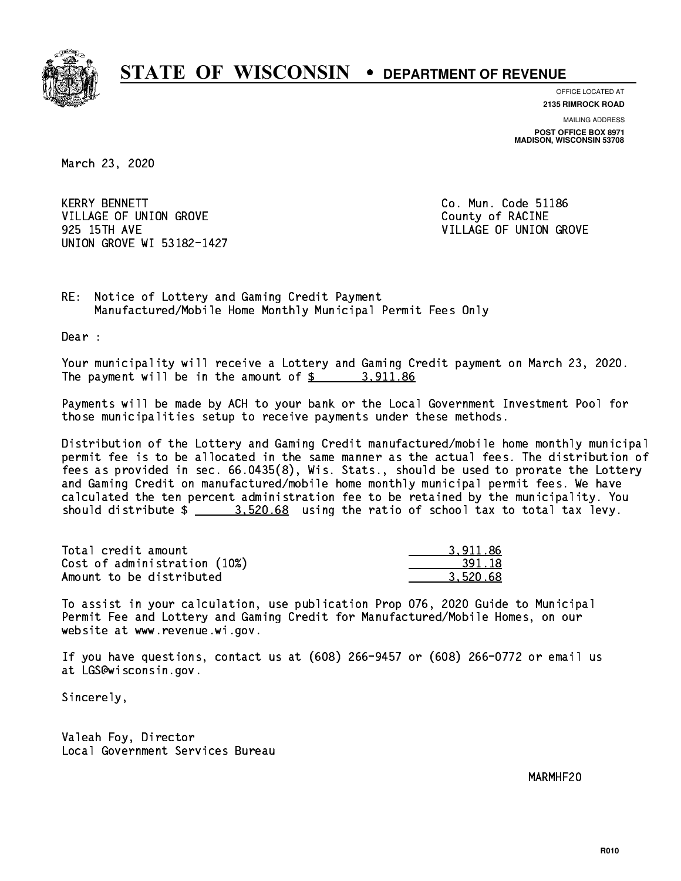

**OFFICE LOCATED AT**

**2135 RIMROCK ROAD**

**MAILING ADDRESS POST OFFICE BOX 8971 MADISON, WISCONSIN 53708**

March 23, 2020

**KERRY BENNETT** VILLAGE OF UNION GROVE COUNTY OF RACINE 925 15TH AVE VILLAGE OF UNION GROVE UNION GROVE WI 53182-1427

Co. Mun. Code 51186

RE: Notice of Lottery and Gaming Credit Payment Manufactured/Mobile Home Monthly Municipal Permit Fees Only

Dear :

 Your municipality will receive a Lottery and Gaming Credit payment on March 23, 2020. The payment will be in the amount of  $\frac{2}{3}$  3,911.86

 Payments will be made by ACH to your bank or the Local Government Investment Pool for those municipalities setup to receive payments under these methods.

 Distribution of the Lottery and Gaming Credit manufactured/mobile home monthly municipal permit fee is to be allocated in the same manner as the actual fees. The distribution of fees as provided in sec. 66.0435(8), Wis. Stats., should be used to prorate the Lottery and Gaming Credit on manufactured/mobile home monthly municipal permit fees. We have calculated the ten percent administration fee to be retained by the municipality. You should distribute  $\frac{2}{2}$   $\frac{3.520.68}{2}$  using the ratio of school tax to total tax levy.

| Total credit amount          | 3.911.86 |
|------------------------------|----------|
| Cost of administration (10%) | 391.18   |
| Amount to be distributed     | 3.520.68 |

 To assist in your calculation, use publication Prop 076, 2020 Guide to Municipal Permit Fee and Lottery and Gaming Credit for Manufactured/Mobile Homes, on our website at www.revenue.wi.gov.

 If you have questions, contact us at (608) 266-9457 or (608) 266-0772 or email us at LGS@wisconsin.gov.

Sincerely,

 Valeah Foy, Director Local Government Services Bureau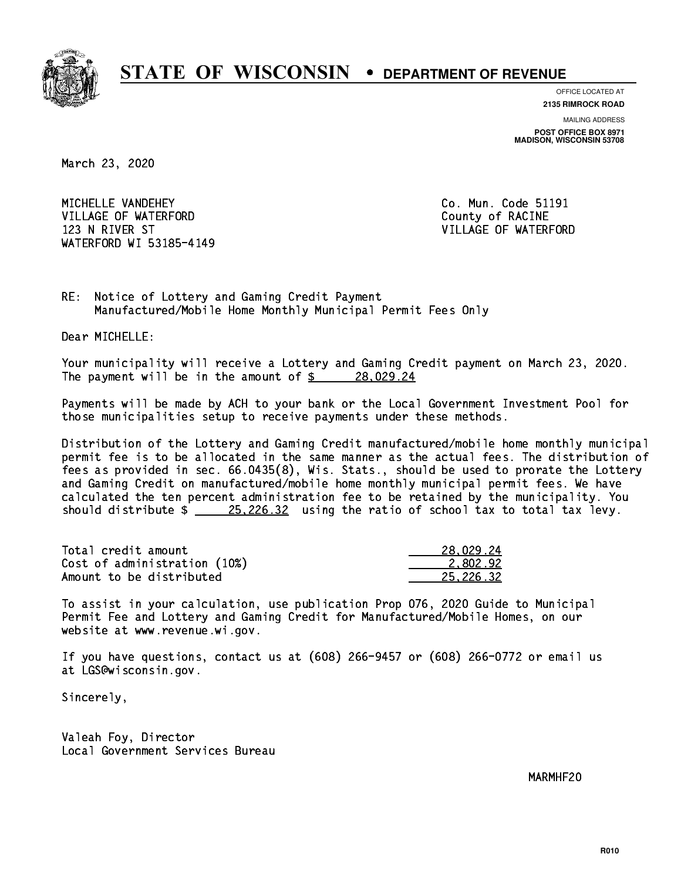

**OFFICE LOCATED AT**

**2135 RIMROCK ROAD**

**MAILING ADDRESS POST OFFICE BOX 8971 MADISON, WISCONSIN 53708**

March 23, 2020

MICHELLE VANDEHEY VILLAGE OF WATERFORD County of RACINE 123 N RIVER ST VILLAGE OF WATERFORD WATERFORD WI 53185-4149

Co. Mun. Code 51191

RE: Notice of Lottery and Gaming Credit Payment Manufactured/Mobile Home Monthly Municipal Permit Fees Only

Dear MICHELLE:

 Your municipality will receive a Lottery and Gaming Credit payment on March 23, 2020. The payment will be in the amount of  $\frac{28}{1029.24}$ 

 Payments will be made by ACH to your bank or the Local Government Investment Pool for those municipalities setup to receive payments under these methods.

 Distribution of the Lottery and Gaming Credit manufactured/mobile home monthly municipal permit fee is to be allocated in the same manner as the actual fees. The distribution of fees as provided in sec. 66.0435(8), Wis. Stats., should be used to prorate the Lottery and Gaming Credit on manufactured/mobile home monthly municipal permit fees. We have calculated the ten percent administration fee to be retained by the municipality. You should distribute  $\frac{25,226.32}{25,226.32}$  using the ratio of school tax to total tax levy.

| Total credit amount          | 28.029.24 |
|------------------------------|-----------|
| Cost of administration (10%) | 2.802.92  |
| Amount to be distributed     | 25.226.32 |

 To assist in your calculation, use publication Prop 076, 2020 Guide to Municipal Permit Fee and Lottery and Gaming Credit for Manufactured/Mobile Homes, on our website at www.revenue.wi.gov.

 If you have questions, contact us at (608) 266-9457 or (608) 266-0772 or email us at LGS@wisconsin.gov.

Sincerely,

 Valeah Foy, Director Local Government Services Bureau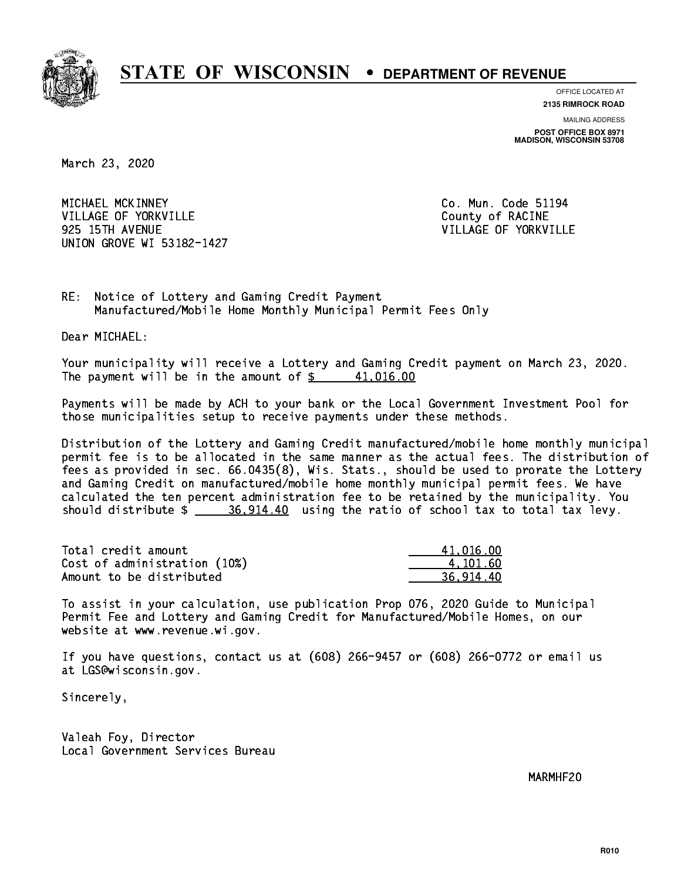

**OFFICE LOCATED AT**

**2135 RIMROCK ROAD**

**MAILING ADDRESS POST OFFICE BOX 8971 MADISON, WISCONSIN 53708**

March 23, 2020

 MICHAEL MCKINNEY Co. Mun. Code 51194 VILLAGE OF YORKVILLE **COUNTY OF SECOND COUNTY OF RACINE**  925 15TH AVENUE VILLAGE OF YORKVILLE UNION GROVE WI 53182-1427

RE: Notice of Lottery and Gaming Credit Payment Manufactured/Mobile Home Monthly Municipal Permit Fees Only

Dear MICHAEL:

 Your municipality will receive a Lottery and Gaming Credit payment on March 23, 2020. The payment will be in the amount of  $\frac{2}{3}$  41,016.00

 Payments will be made by ACH to your bank or the Local Government Investment Pool for those municipalities setup to receive payments under these methods.

 Distribution of the Lottery and Gaming Credit manufactured/mobile home monthly municipal permit fee is to be allocated in the same manner as the actual fees. The distribution of fees as provided in sec. 66.0435(8), Wis. Stats., should be used to prorate the Lottery and Gaming Credit on manufactured/mobile home monthly municipal permit fees. We have calculated the ten percent administration fee to be retained by the municipality. You should distribute  $\frac{26,914.40}{26,914.40}$  using the ratio of school tax to total tax levy.

| Total credit amount          | 41,016,00 |
|------------------------------|-----------|
| Cost of administration (10%) | 4.101.60  |
| Amount to be distributed     | 36.914.40 |

 To assist in your calculation, use publication Prop 076, 2020 Guide to Municipal Permit Fee and Lottery and Gaming Credit for Manufactured/Mobile Homes, on our website at www.revenue.wi.gov.

 If you have questions, contact us at (608) 266-9457 or (608) 266-0772 or email us at LGS@wisconsin.gov.

Sincerely,

 Valeah Foy, Director Local Government Services Bureau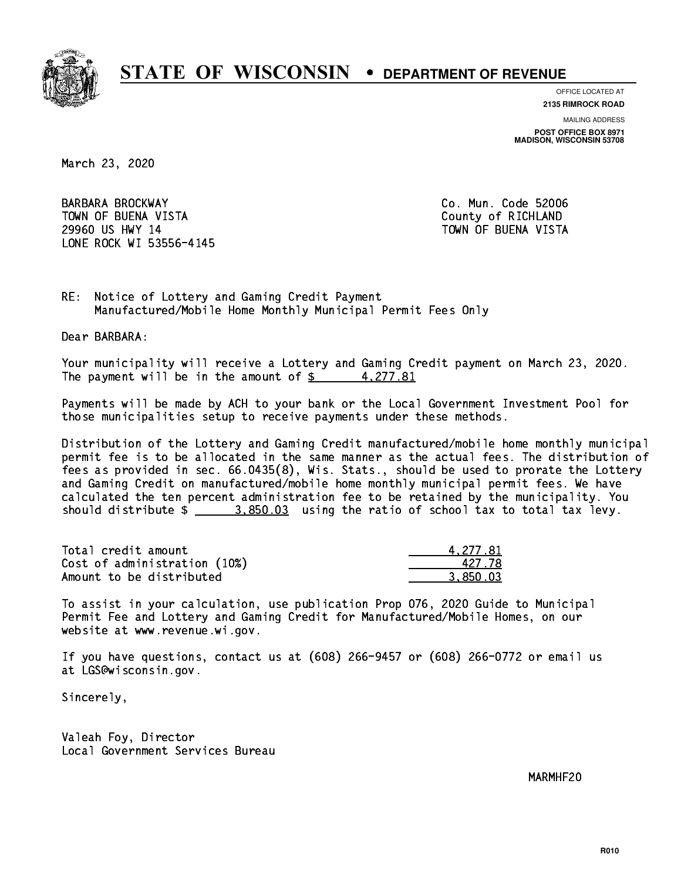

**OFFICE LOCATED AT**

**2135 RIMROCK ROAD**

**MAILING ADDRESS**

**POST OFFICE BOX 8971 MADISON, WISCONSIN 53708**

March 23, 2020

 BARBARA BROCKWAY Co. Mun. Code 52006 TOWN OF BUENA VISTA County of RICHLAND 29960 US HWY 14 TOWN OF BUENA VISTA LONE ROCK WI 53556-4145

RE: Notice of Lottery and Gaming Credit Payment Manufactured/Mobile Home Monthly Municipal Permit Fees Only

Dear BARBARA:

 Your municipality will receive a Lottery and Gaming Credit payment on March 23, 2020. The payment will be in the amount of  $\frac{2}{3}$  4,277.81

 Payments will be made by ACH to your bank or the Local Government Investment Pool for those municipalities setup to receive payments under these methods.

 Distribution of the Lottery and Gaming Credit manufactured/mobile home monthly municipal permit fee is to be allocated in the same manner as the actual fees. The distribution of fees as provided in sec. 66.0435(8), Wis. Stats., should be used to prorate the Lottery and Gaming Credit on manufactured/mobile home monthly municipal permit fees. We have calculated the ten percent administration fee to be retained by the municipality. You should distribute  $\frac{2}{2}$   $\frac{3.850.03}{2}$  using the ratio of school tax to total tax levy.

| Total credit amount          | 4.277.81 |
|------------------------------|----------|
| Cost of administration (10%) | 427 78   |
| Amount to be distributed     | 3.850.03 |

 To assist in your calculation, use publication Prop 076, 2020 Guide to Municipal Permit Fee and Lottery and Gaming Credit for Manufactured/Mobile Homes, on our website at www.revenue.wi.gov.

 If you have questions, contact us at (608) 266-9457 or (608) 266-0772 or email us at LGS@wisconsin.gov.

Sincerely,

 Valeah Foy, Director Local Government Services Bureau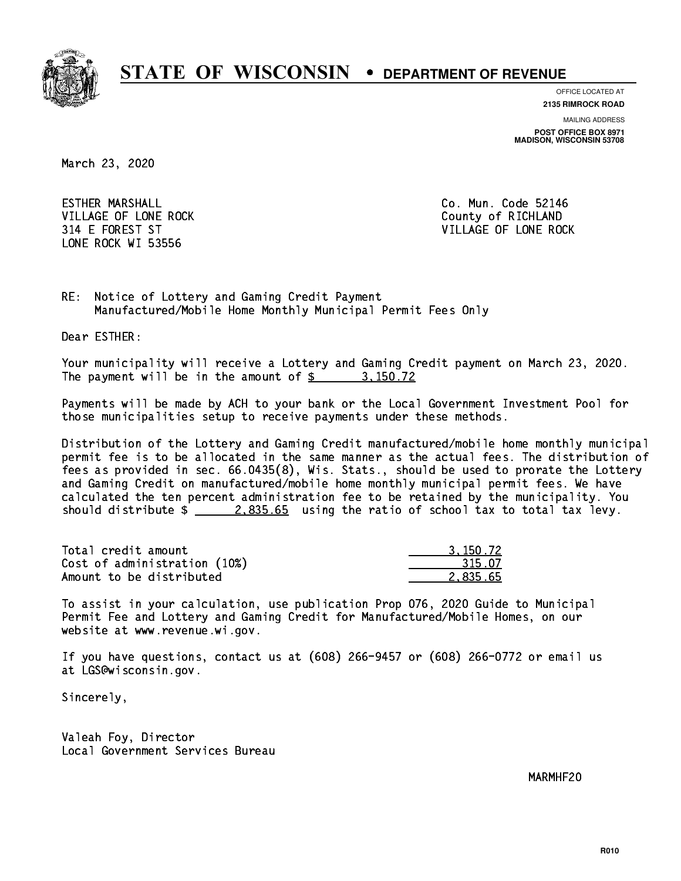

**OFFICE LOCATED AT**

**2135 RIMROCK ROAD**

**MAILING ADDRESS POST OFFICE BOX 8971 MADISON, WISCONSIN 53708**

March 23, 2020

 ESTHER MARSHALL Co. Mun. Code 52146 VILLAGE OF LONE ROCK **COUNTY COULD A** County of RICHLAND LONE ROCK WI 53556

314 E FOREST ST VILLAGE OF LONE ROCK

RE: Notice of Lottery and Gaming Credit Payment Manufactured/Mobile Home Monthly Municipal Permit Fees Only

Dear ESTHER:

 Your municipality will receive a Lottery and Gaming Credit payment on March 23, 2020. The payment will be in the amount of \$ 3,150.72 \_\_\_\_\_\_\_\_\_\_\_\_\_\_\_\_

 Payments will be made by ACH to your bank or the Local Government Investment Pool for those municipalities setup to receive payments under these methods.

 Distribution of the Lottery and Gaming Credit manufactured/mobile home monthly municipal permit fee is to be allocated in the same manner as the actual fees. The distribution of fees as provided in sec. 66.0435(8), Wis. Stats., should be used to prorate the Lottery and Gaming Credit on manufactured/mobile home monthly municipal permit fees. We have calculated the ten percent administration fee to be retained by the municipality. You should distribute  $\frac{2.835.65}{2.235.65}$  using the ratio of school tax to total tax levy.

| Total credit amount          | 3.150.72 |
|------------------------------|----------|
| Cost of administration (10%) | 315.07   |
| Amount to be distributed     | 2.835.65 |

 To assist in your calculation, use publication Prop 076, 2020 Guide to Municipal Permit Fee and Lottery and Gaming Credit for Manufactured/Mobile Homes, on our website at www.revenue.wi.gov.

 If you have questions, contact us at (608) 266-9457 or (608) 266-0772 or email us at LGS@wisconsin.gov.

Sincerely,

 Valeah Foy, Director Local Government Services Bureau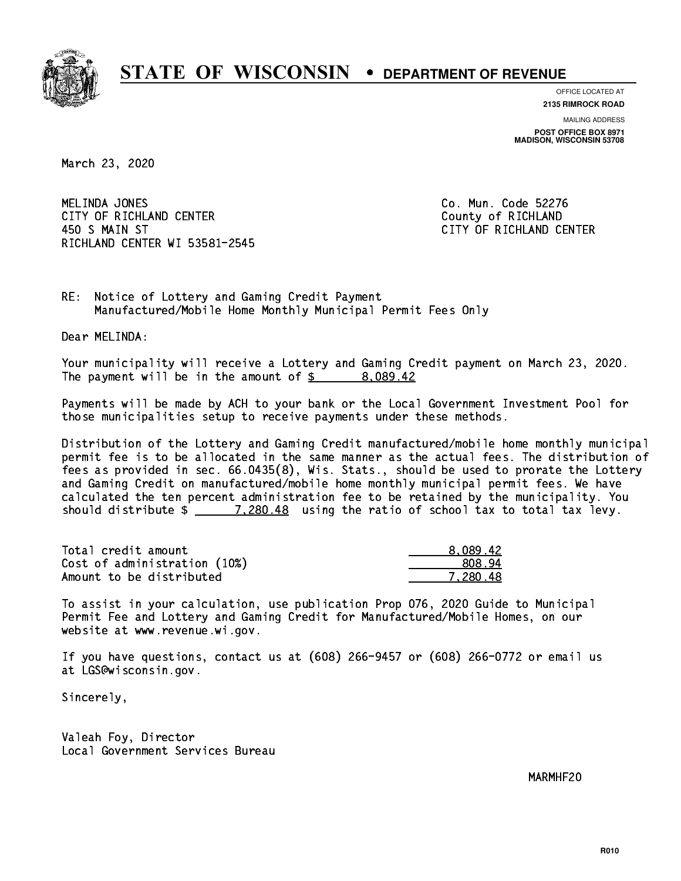

**OFFICE LOCATED AT**

**2135 RIMROCK ROAD**

**MAILING ADDRESS POST OFFICE BOX 8971 MADISON, WISCONSIN 53708**

March 23, 2020

MELINDA JONES CITY OF RICHLAND CENTER **COUNTY OF RICHLAND**  450 S MAIN ST CITY OF RICHLAND CENTER RICHLAND CENTER WI 53581-2545

Co. Mun. Code 52276

RE: Notice of Lottery and Gaming Credit Payment Manufactured/Mobile Home Monthly Municipal Permit Fees Only

Dear MELINDA:

 Your municipality will receive a Lottery and Gaming Credit payment on March 23, 2020. The payment will be in the amount of  $\frac{2}{3}$  8,089.42

 Payments will be made by ACH to your bank or the Local Government Investment Pool for those municipalities setup to receive payments under these methods.

 Distribution of the Lottery and Gaming Credit manufactured/mobile home monthly municipal permit fee is to be allocated in the same manner as the actual fees. The distribution of fees as provided in sec. 66.0435(8), Wis. Stats., should be used to prorate the Lottery and Gaming Credit on manufactured/mobile home monthly municipal permit fees. We have calculated the ten percent administration fee to be retained by the municipality. You should distribute  $\frac{20.48}{1.280.48}$  using the ratio of school tax to total tax levy.

| Total credit amount          | 8.089.42 |
|------------------------------|----------|
| Cost of administration (10%) | 808.94   |
| Amount to be distributed     | 7.280.48 |

 To assist in your calculation, use publication Prop 076, 2020 Guide to Municipal Permit Fee and Lottery and Gaming Credit for Manufactured/Mobile Homes, on our website at www.revenue.wi.gov.

 If you have questions, contact us at (608) 266-9457 or (608) 266-0772 or email us at LGS@wisconsin.gov.

Sincerely,

 Valeah Foy, Director Local Government Services Bureau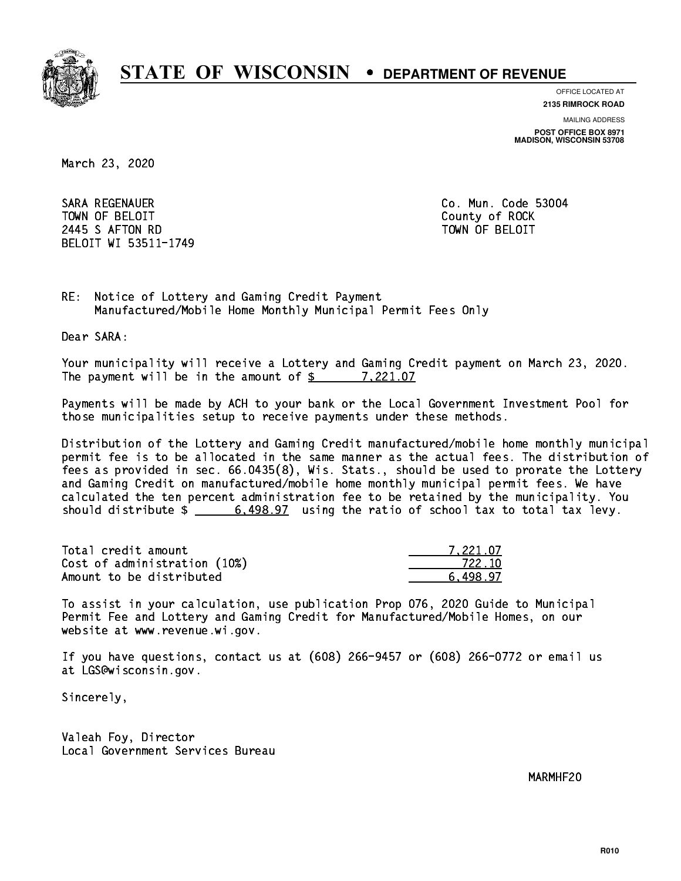

**OFFICE LOCATED AT**

**MAILING ADDRESS 2135 RIMROCK ROAD**

**POST OFFICE BOX 8971 MADISON, WISCONSIN 53708**

March 23, 2020

 SARA REGENAUER Co. Mun. Code 53004 TOWN OF BELOIT County of ROCK 2445 SAFTON RD TOWN OF BELOIT BELOIT WI 53511-1749

RE: Notice of Lottery and Gaming Credit Payment Manufactured/Mobile Home Monthly Municipal Permit Fees Only

Dear SARA:

 Your municipality will receive a Lottery and Gaming Credit payment on March 23, 2020. The payment will be in the amount of \$ 7,221.07 \_\_\_\_\_\_\_\_\_\_\_\_\_\_\_\_

 Payments will be made by ACH to your bank or the Local Government Investment Pool for those municipalities setup to receive payments under these methods.

 Distribution of the Lottery and Gaming Credit manufactured/mobile home monthly municipal permit fee is to be allocated in the same manner as the actual fees. The distribution of fees as provided in sec. 66.0435(8), Wis. Stats., should be used to prorate the Lottery and Gaming Credit on manufactured/mobile home monthly municipal permit fees. We have calculated the ten percent administration fee to be retained by the municipality. You should distribute  $\frac{2}{1}$   $\frac{6,498.97}{2}$  using the ratio of school tax to total tax levy.

| Total credit amount          | 7.221.07 |
|------------------------------|----------|
| Cost of administration (10%) | 722.10   |
| Amount to be distributed     | 6.498.97 |

 To assist in your calculation, use publication Prop 076, 2020 Guide to Municipal Permit Fee and Lottery and Gaming Credit for Manufactured/Mobile Homes, on our website at www.revenue.wi.gov.

 If you have questions, contact us at (608) 266-9457 or (608) 266-0772 or email us at LGS@wisconsin.gov.

Sincerely,

 Valeah Foy, Director Local Government Services Bureau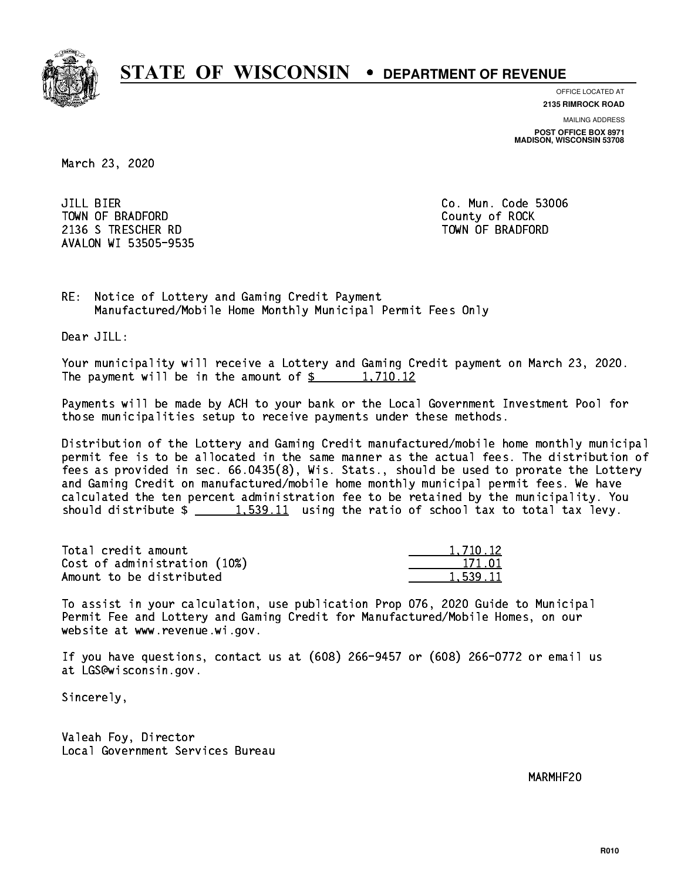

**OFFICE LOCATED AT 2135 RIMROCK ROAD**

**MAILING ADDRESS**

**POST OFFICE BOX 8971 MADISON, WISCONSIN 53708**

March 23, 2020

**JILL BIER** TOWN OF BRADFORD **COUNTY COUNTY OF ROCK** 2136 S TRESCHER RD TOWN OF BRADFORD AVALON WI 53505-9535

Co. Mun. Code 53006

RE: Notice of Lottery and Gaming Credit Payment Manufactured/Mobile Home Monthly Municipal Permit Fees Only

Dear JILL:

 Your municipality will receive a Lottery and Gaming Credit payment on March 23, 2020. The payment will be in the amount of  $\frac{2}{3}$  1,710.12

 Payments will be made by ACH to your bank or the Local Government Investment Pool for those municipalities setup to receive payments under these methods.

 Distribution of the Lottery and Gaming Credit manufactured/mobile home monthly municipal permit fee is to be allocated in the same manner as the actual fees. The distribution of fees as provided in sec. 66.0435(8), Wis. Stats., should be used to prorate the Lottery and Gaming Credit on manufactured/mobile home monthly municipal permit fees. We have calculated the ten percent administration fee to be retained by the municipality. You should distribute  $\frac{1.539.11}{1.539.11}$  using the ratio of school tax to total tax levy.

| Total credit amount          | 1.710.12 |
|------------------------------|----------|
| Cost of administration (10%) |          |
| Amount to be distributed     | 1,539.11 |

 To assist in your calculation, use publication Prop 076, 2020 Guide to Municipal Permit Fee and Lottery and Gaming Credit for Manufactured/Mobile Homes, on our website at www.revenue.wi.gov.

 If you have questions, contact us at (608) 266-9457 or (608) 266-0772 or email us at LGS@wisconsin.gov.

Sincerely,

 Valeah Foy, Director Local Government Services Bureau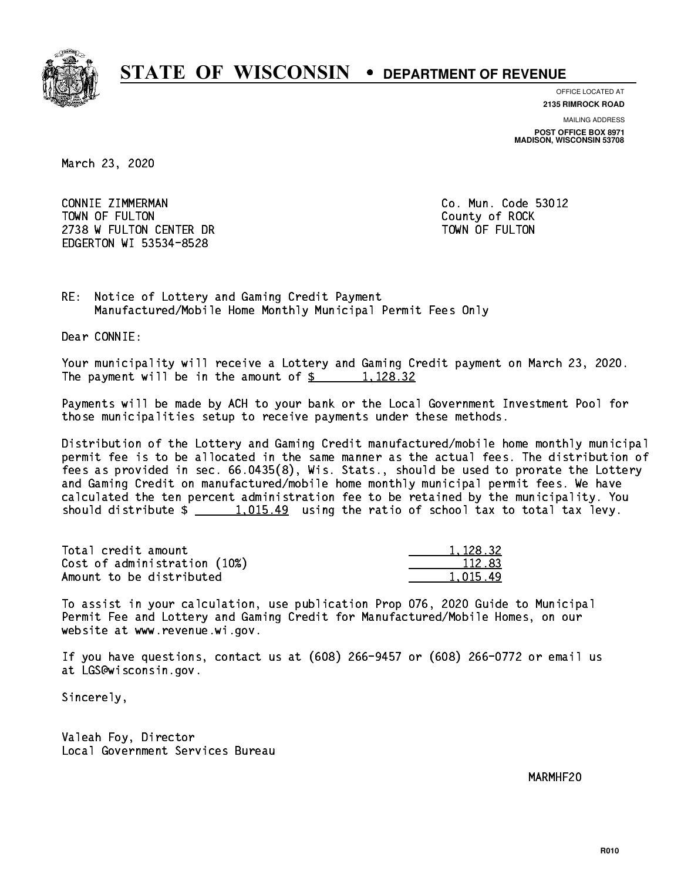

**OFFICE LOCATED AT**

**2135 RIMROCK ROAD**

**MAILING ADDRESS POST OFFICE BOX 8971 MADISON, WISCONSIN 53708**

March 23, 2020

 CONNIE ZIMMERMAN Co. Mun. Code 53012 TOWN OF FULTON County of ROCK 2738 W FULTON CENTER DR TOWN OF FULTON EDGERTON WI 53534-8528

RE: Notice of Lottery and Gaming Credit Payment Manufactured/Mobile Home Monthly Municipal Permit Fees Only

Dear CONNIE:

 Your municipality will receive a Lottery and Gaming Credit payment on March 23, 2020. The payment will be in the amount of  $\frac{2}{3}$  1,128.32

 Payments will be made by ACH to your bank or the Local Government Investment Pool for those municipalities setup to receive payments under these methods.

 Distribution of the Lottery and Gaming Credit manufactured/mobile home monthly municipal permit fee is to be allocated in the same manner as the actual fees. The distribution of fees as provided in sec. 66.0435(8), Wis. Stats., should be used to prorate the Lottery and Gaming Credit on manufactured/mobile home monthly municipal permit fees. We have calculated the ten percent administration fee to be retained by the municipality. You should distribute  $\frac{1,015.49}{1,015.49}$  using the ratio of school tax to total tax levy.

| Total credit amount          | 1,128,32 |
|------------------------------|----------|
| Cost of administration (10%) | 112.83   |
| Amount to be distributed     | 1.015.49 |

 To assist in your calculation, use publication Prop 076, 2020 Guide to Municipal Permit Fee and Lottery and Gaming Credit for Manufactured/Mobile Homes, on our website at www.revenue.wi.gov.

 If you have questions, contact us at (608) 266-9457 or (608) 266-0772 or email us at LGS@wisconsin.gov.

Sincerely,

 Valeah Foy, Director Local Government Services Bureau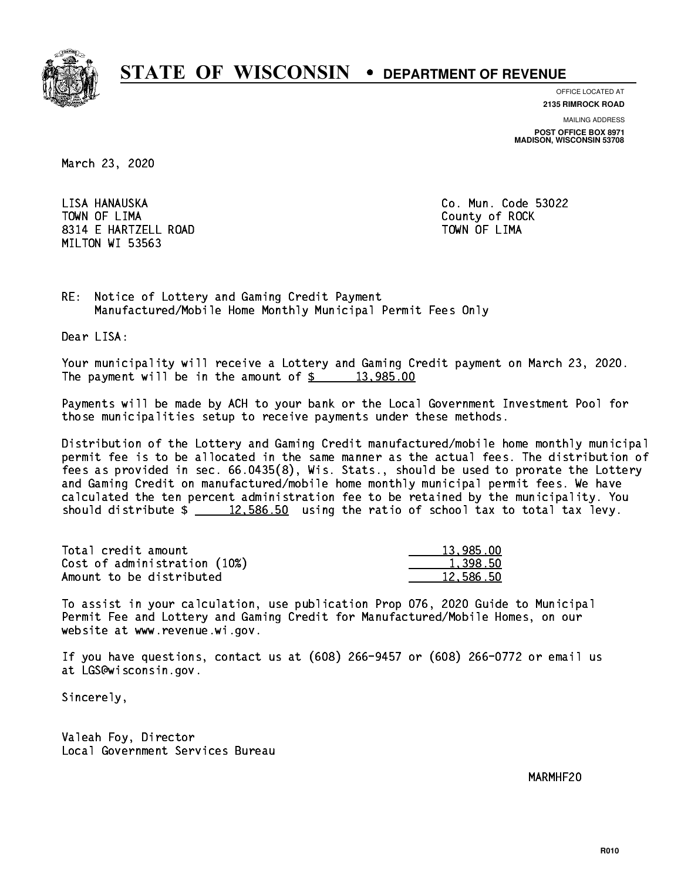

**OFFICE LOCATED AT**

**2135 RIMROCK ROAD**

**MAILING ADDRESS POST OFFICE BOX 8971 MADISON, WISCONSIN 53708**

March 23, 2020

LISA HANAUSKA TOWN OF LIMA Town of Lima county of Lima county of Rock and the Rock of Rock and the Rock of Rock and the Rock of Rock and 8314 E HARTZELL ROAD TOWN OF LIMA MILTON WI 53563

Co. Mun. Code 53022

RE: Notice of Lottery and Gaming Credit Payment Manufactured/Mobile Home Monthly Municipal Permit Fees Only

Dear LISA:

 Your municipality will receive a Lottery and Gaming Credit payment on March 23, 2020. The payment will be in the amount of  $\frac{2}{3}$  13,985.00

 Payments will be made by ACH to your bank or the Local Government Investment Pool for those municipalities setup to receive payments under these methods.

 Distribution of the Lottery and Gaming Credit manufactured/mobile home monthly municipal permit fee is to be allocated in the same manner as the actual fees. The distribution of fees as provided in sec. 66.0435(8), Wis. Stats., should be used to prorate the Lottery and Gaming Credit on manufactured/mobile home monthly municipal permit fees. We have calculated the ten percent administration fee to be retained by the municipality. You should distribute  $\frac{2}{2}$   $\frac{12,586.50}{2}$  using the ratio of school tax to total tax levy.

| Total credit amount          | 13.985.00 |
|------------------------------|-----------|
| Cost of administration (10%) | 1,398.50  |
| Amount to be distributed     | 12.586.50 |

 To assist in your calculation, use publication Prop 076, 2020 Guide to Municipal Permit Fee and Lottery and Gaming Credit for Manufactured/Mobile Homes, on our website at www.revenue.wi.gov.

 If you have questions, contact us at (608) 266-9457 or (608) 266-0772 or email us at LGS@wisconsin.gov.

Sincerely,

 Valeah Foy, Director Local Government Services Bureau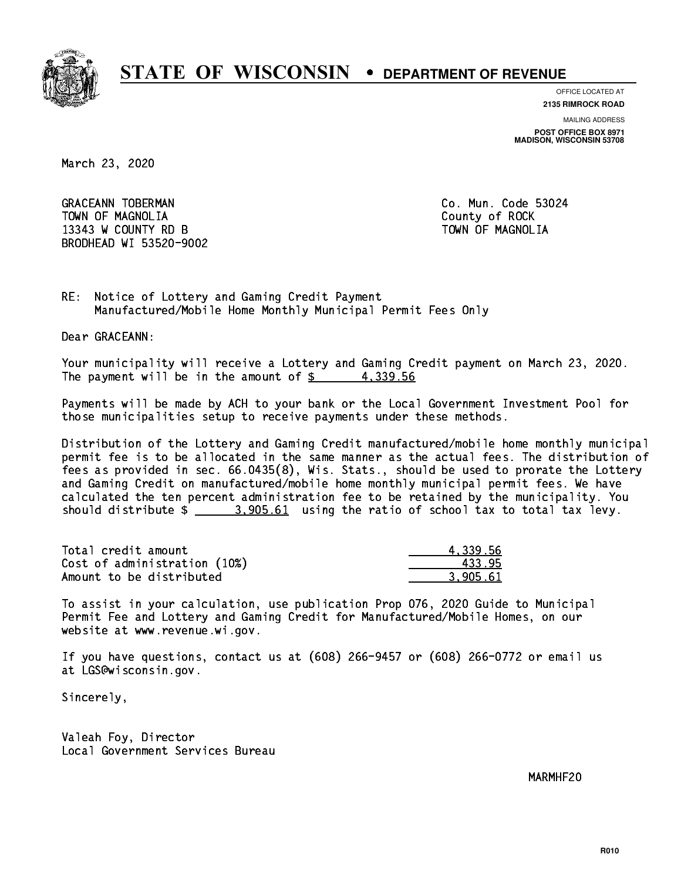

**OFFICE LOCATED AT**

**2135 RIMROCK ROAD**

**MAILING ADDRESS POST OFFICE BOX 8971 MADISON, WISCONSIN 53708**

March 23, 2020

GRACEANN TOBERMAN CONTROLLER CO. Mun. Code 53024 TOWN OF MAGNOLIA COUNTY OF ROCK 13343 W COUNTY RD B TOWN OF MAGNOLIA BRODHEAD WI 53520-9002

RE: Notice of Lottery and Gaming Credit Payment Manufactured/Mobile Home Monthly Municipal Permit Fees Only

Dear GRACEANN:

 Your municipality will receive a Lottery and Gaming Credit payment on March 23, 2020. The payment will be in the amount of  $\frac{2}{3}$  4,339.56

 Payments will be made by ACH to your bank or the Local Government Investment Pool for those municipalities setup to receive payments under these methods.

 Distribution of the Lottery and Gaming Credit manufactured/mobile home monthly municipal permit fee is to be allocated in the same manner as the actual fees. The distribution of fees as provided in sec. 66.0435(8), Wis. Stats., should be used to prorate the Lottery and Gaming Credit on manufactured/mobile home monthly municipal permit fees. We have calculated the ten percent administration fee to be retained by the municipality. You should distribute  $\frac{2}{1}$   $\frac{3,905.61}{2}$  using the ratio of school tax to total tax levy.

| Total credit amount          | 4.339.56 |
|------------------------------|----------|
| Cost of administration (10%) | 433.95   |
| Amount to be distributed     | 3.905.61 |

 To assist in your calculation, use publication Prop 076, 2020 Guide to Municipal Permit Fee and Lottery and Gaming Credit for Manufactured/Mobile Homes, on our website at www.revenue.wi.gov.

 If you have questions, contact us at (608) 266-9457 or (608) 266-0772 or email us at LGS@wisconsin.gov.

Sincerely,

 Valeah Foy, Director Local Government Services Bureau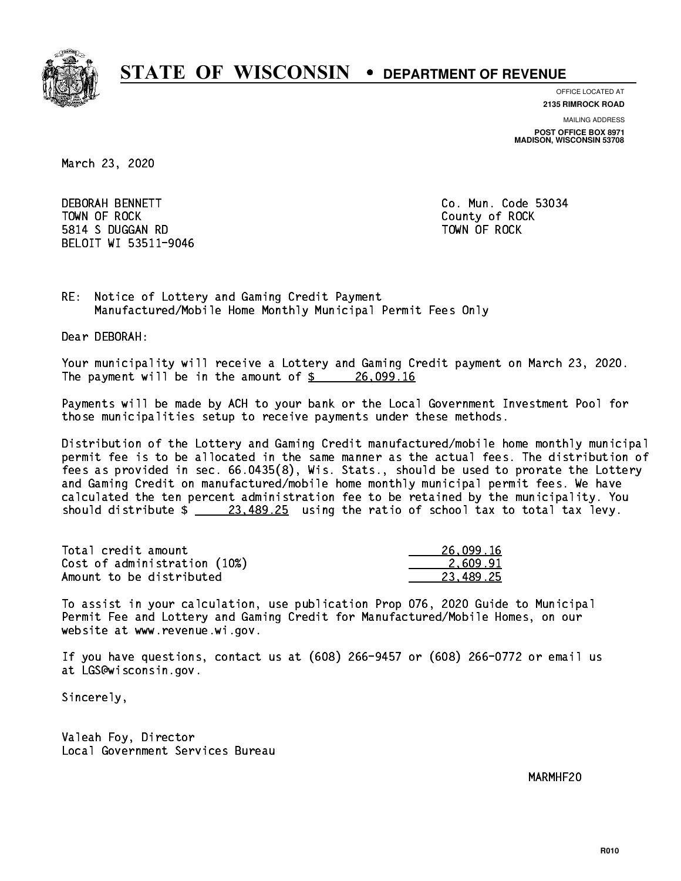

**OFFICE LOCATED AT**

**2135 RIMROCK ROAD**

**MAILING ADDRESS POST OFFICE BOX 8971 MADISON, WISCONSIN 53708**

March 23, 2020

**DEBORAH BENNETT**  TOWN OF ROCK County of ROCK 5814 S DUGGAN RD TOWN OF ROCK BELOIT WI 53511-9046

Co. Mun. Code 53034

RE: Notice of Lottery and Gaming Credit Payment Manufactured/Mobile Home Monthly Municipal Permit Fees Only

Dear DEBORAH:

 Your municipality will receive a Lottery and Gaming Credit payment on March 23, 2020. The payment will be in the amount of \$ 26,099.16 \_\_\_\_\_\_\_\_\_\_\_\_\_\_\_\_

 Payments will be made by ACH to your bank or the Local Government Investment Pool for those municipalities setup to receive payments under these methods.

 Distribution of the Lottery and Gaming Credit manufactured/mobile home monthly municipal permit fee is to be allocated in the same manner as the actual fees. The distribution of fees as provided in sec. 66.0435(8), Wis. Stats., should be used to prorate the Lottery and Gaming Credit on manufactured/mobile home monthly municipal permit fees. We have calculated the ten percent administration fee to be retained by the municipality. You should distribute  $\frac{23,489.25}{23,489.25}$  using the ratio of school tax to total tax levy.

| Total credit amount          | 26,099.16 |
|------------------------------|-----------|
| Cost of administration (10%) | 2.609.91  |
| Amount to be distributed     | 23.489.25 |

 To assist in your calculation, use publication Prop 076, 2020 Guide to Municipal Permit Fee and Lottery and Gaming Credit for Manufactured/Mobile Homes, on our website at www.revenue.wi.gov.

 If you have questions, contact us at (608) 266-9457 or (608) 266-0772 or email us at LGS@wisconsin.gov.

Sincerely,

 Valeah Foy, Director Local Government Services Bureau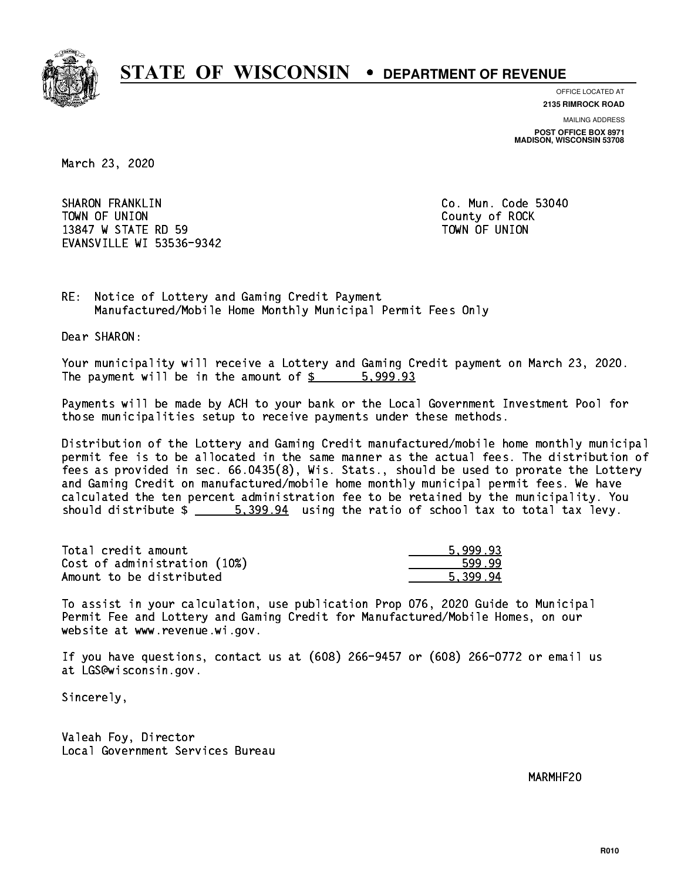

**OFFICE LOCATED AT**

**2135 RIMROCK ROAD**

**MAILING ADDRESS POST OFFICE BOX 8971 MADISON, WISCONSIN 53708**

March 23, 2020

 SHARON FRANKLIN Co. Mun. Code 53040 TOWN OF UNION COUNTY OF ROCK 13847 W STATE RD 59 TOWN OF UNION EVANSVILLE WI 53536-9342

RE: Notice of Lottery and Gaming Credit Payment Manufactured/Mobile Home Monthly Municipal Permit Fees Only

Dear SHARON:

 Your municipality will receive a Lottery and Gaming Credit payment on March 23, 2020. The payment will be in the amount of \$ 5,999.93 \_\_\_\_\_\_\_\_\_\_\_\_\_\_\_\_

 Payments will be made by ACH to your bank or the Local Government Investment Pool for those municipalities setup to receive payments under these methods.

 Distribution of the Lottery and Gaming Credit manufactured/mobile home monthly municipal permit fee is to be allocated in the same manner as the actual fees. The distribution of fees as provided in sec. 66.0435(8), Wis. Stats., should be used to prorate the Lottery and Gaming Credit on manufactured/mobile home monthly municipal permit fees. We have calculated the ten percent administration fee to be retained by the municipality. You should distribute  $\frac{2}{1}$   $\frac{5.399.94}{2}$  using the ratio of school tax to total tax levy.

| Total credit amount          | 5.999.93 |
|------------------------------|----------|
| Cost of administration (10%) | 599.99   |
| Amount to be distributed     | 5.399.94 |

 To assist in your calculation, use publication Prop 076, 2020 Guide to Municipal Permit Fee and Lottery and Gaming Credit for Manufactured/Mobile Homes, on our website at www.revenue.wi.gov.

 If you have questions, contact us at (608) 266-9457 or (608) 266-0772 or email us at LGS@wisconsin.gov.

Sincerely,

 Valeah Foy, Director Local Government Services Bureau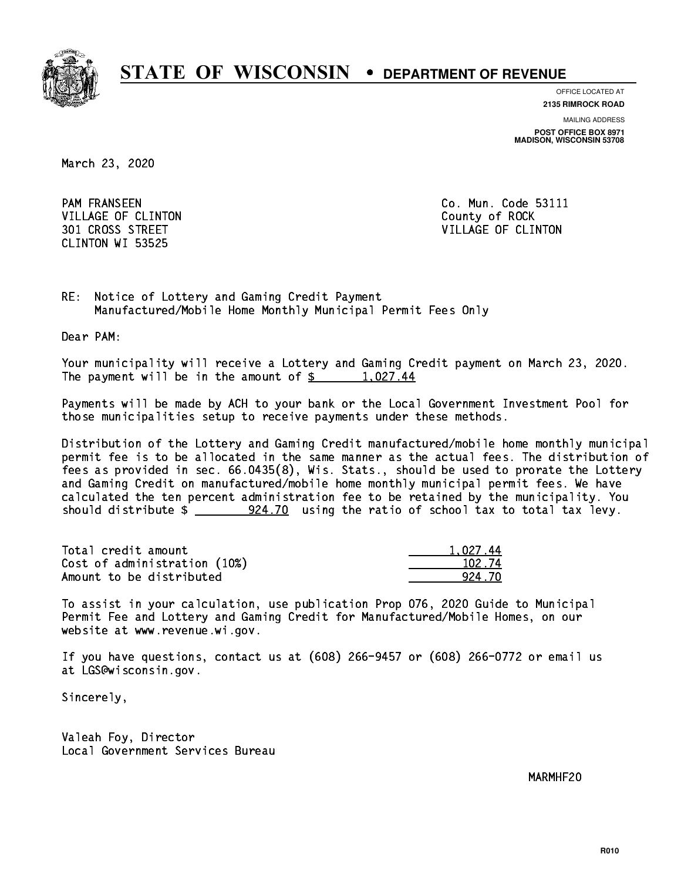

**OFFICE LOCATED AT**

**2135 RIMROCK ROAD**

**MAILING ADDRESS POST OFFICE BOX 8971 MADISON, WISCONSIN 53708**

March 23, 2020

**PAM FRANSEEN** VILLAGE OF CLINTON COUNTY OF ROCK CLINTON WI 53525

Co. Mun. Code 53111 301 CROSS STREET VILLAGE OF CLINTON

RE: Notice of Lottery and Gaming Credit Payment Manufactured/Mobile Home Monthly Municipal Permit Fees Only

Dear PAM:

 Your municipality will receive a Lottery and Gaming Credit payment on March 23, 2020. The payment will be in the amount of  $\frac{2}{3}$  1,027.44

 Payments will be made by ACH to your bank or the Local Government Investment Pool for those municipalities setup to receive payments under these methods.

 Distribution of the Lottery and Gaming Credit manufactured/mobile home monthly municipal permit fee is to be allocated in the same manner as the actual fees. The distribution of fees as provided in sec. 66.0435(8), Wis. Stats., should be used to prorate the Lottery and Gaming Credit on manufactured/mobile home monthly municipal permit fees. We have calculated the ten percent administration fee to be retained by the municipality. You should distribute  $\frac{224.70}{100}$  using the ratio of school tax to total tax levy.

| Total credit amount          | 1.027.44 |
|------------------------------|----------|
| Cost of administration (10%) | 102.74   |
| Amount to be distributed     | 924 70   |

 To assist in your calculation, use publication Prop 076, 2020 Guide to Municipal Permit Fee and Lottery and Gaming Credit for Manufactured/Mobile Homes, on our website at www.revenue.wi.gov.

 If you have questions, contact us at (608) 266-9457 or (608) 266-0772 or email us at LGS@wisconsin.gov.

Sincerely,

 Valeah Foy, Director Local Government Services Bureau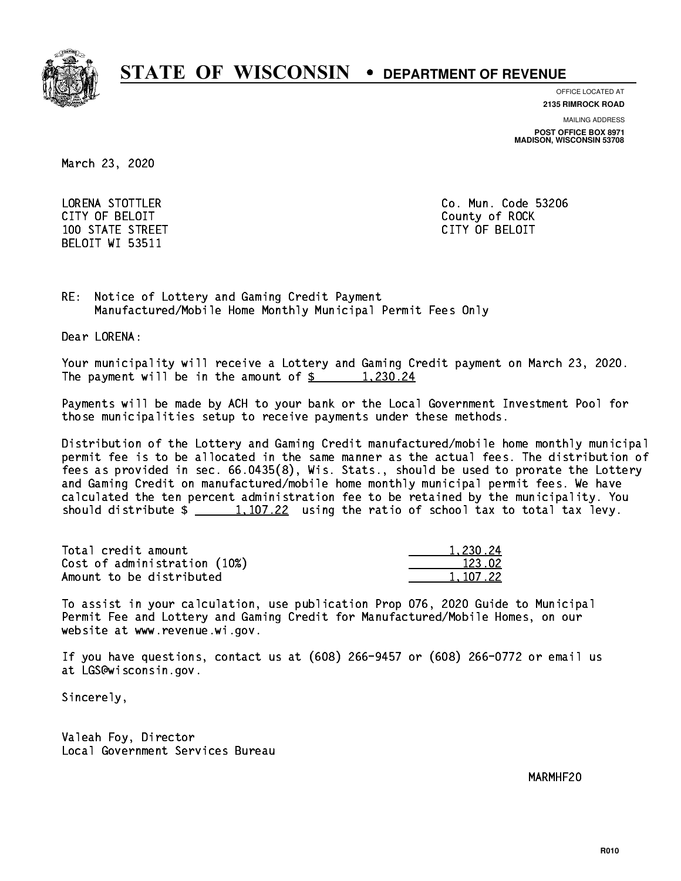

**OFFICE LOCATED AT**

**MAILING ADDRESS 2135 RIMROCK ROAD**

**POST OFFICE BOX 8971 MADISON, WISCONSIN 53708**

March 23, 2020

 LORENA STOTTLER Co. Mun. Code 53206 CITY OF BELOIT County of ROCK 100 STATE STREET CITY OF BELOIT BELOIT WI 53511

RE: Notice of Lottery and Gaming Credit Payment Manufactured/Mobile Home Monthly Municipal Permit Fees Only

Dear LORENA:

 Your municipality will receive a Lottery and Gaming Credit payment on March 23, 2020. The payment will be in the amount of  $\frac{2}{3}$  1,230.24

 Payments will be made by ACH to your bank or the Local Government Investment Pool for those municipalities setup to receive payments under these methods.

 Distribution of the Lottery and Gaming Credit manufactured/mobile home monthly municipal permit fee is to be allocated in the same manner as the actual fees. The distribution of fees as provided in sec. 66.0435(8), Wis. Stats., should be used to prorate the Lottery and Gaming Credit on manufactured/mobile home monthly municipal permit fees. We have calculated the ten percent administration fee to be retained by the municipality. You should distribute  $\frac{1,107.22}{1,107.22}$  using the ratio of school tax to total tax levy.

| Total credit amount          | 1,230.24 |
|------------------------------|----------|
| Cost of administration (10%) | 123.02   |
| Amount to be distributed     | 1.107.22 |

 To assist in your calculation, use publication Prop 076, 2020 Guide to Municipal Permit Fee and Lottery and Gaming Credit for Manufactured/Mobile Homes, on our website at www.revenue.wi.gov.

 If you have questions, contact us at (608) 266-9457 or (608) 266-0772 or email us at LGS@wisconsin.gov.

Sincerely,

 Valeah Foy, Director Local Government Services Bureau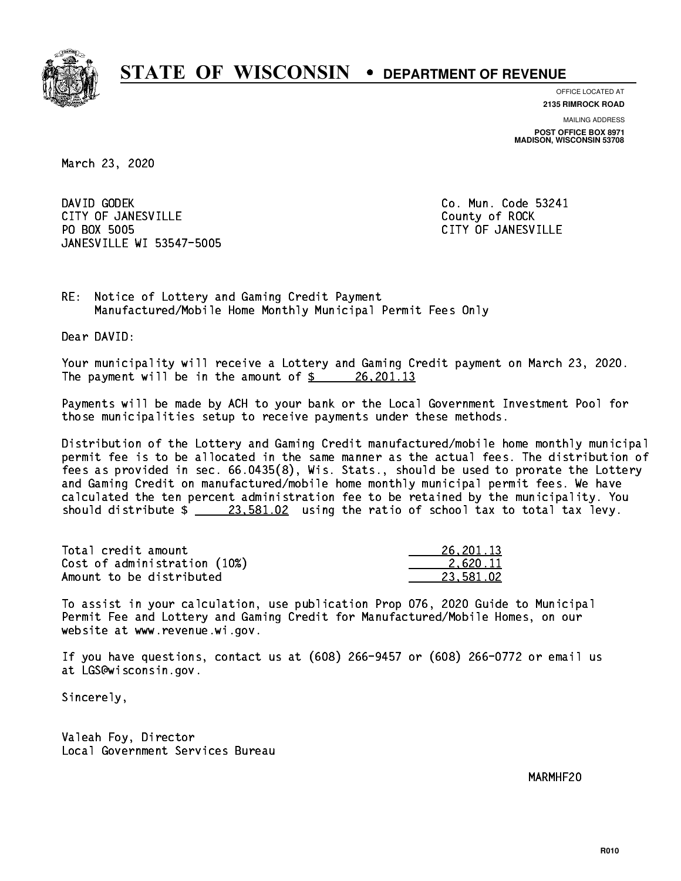

**OFFICE LOCATED AT**

**2135 RIMROCK ROAD**

**MAILING ADDRESS POST OFFICE BOX 8971 MADISON, WISCONSIN 53708**

March 23, 2020

DAVID GODEK CITY OF JANESVILLE **COUNTY COUNTY OF ROCK** PO BOX 5005 JANESVILLE WI 53547-5005

Co. Mun. Code 53241 CITY OF JANESVILLE

RE: Notice of Lottery and Gaming Credit Payment Manufactured/Mobile Home Monthly Municipal Permit Fees Only

Dear DAVID:

 Your municipality will receive a Lottery and Gaming Credit payment on March 23, 2020. The payment will be in the amount of  $\frac{26}{201.13}$ 

 Payments will be made by ACH to your bank or the Local Government Investment Pool for those municipalities setup to receive payments under these methods.

 Distribution of the Lottery and Gaming Credit manufactured/mobile home monthly municipal permit fee is to be allocated in the same manner as the actual fees. The distribution of fees as provided in sec. 66.0435(8), Wis. Stats., should be used to prorate the Lottery and Gaming Credit on manufactured/mobile home monthly municipal permit fees. We have calculated the ten percent administration fee to be retained by the municipality. You should distribute  $\frac{23.581.02}{23.581.02}$  using the ratio of school tax to total tax levy.

| Total credit amount          | 26, 201. 13 |
|------------------------------|-------------|
| Cost of administration (10%) | 2.620.11    |
| Amount to be distributed     | 23.581.02   |

 To assist in your calculation, use publication Prop 076, 2020 Guide to Municipal Permit Fee and Lottery and Gaming Credit for Manufactured/Mobile Homes, on our website at www.revenue.wi.gov.

 If you have questions, contact us at (608) 266-9457 or (608) 266-0772 or email us at LGS@wisconsin.gov.

Sincerely,

 Valeah Foy, Director Local Government Services Bureau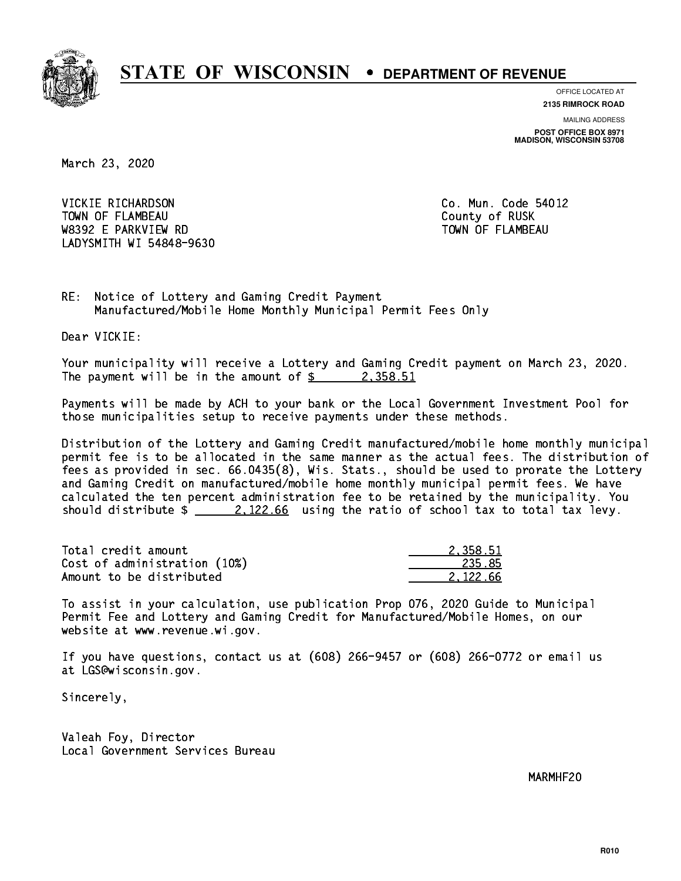

**OFFICE LOCATED AT**

**2135 RIMROCK ROAD**

**MAILING ADDRESS POST OFFICE BOX 8971 MADISON, WISCONSIN 53708**

March 23, 2020

 VICKIE RICHARDSON Co. Mun. Code 54012 TOWN OF FLAMBEAU COUNTY OF RUSK W8392 E PARKVIEW RD TOWN OF FLAMBEAU LADYSMITH WI 54848-9630

RE: Notice of Lottery and Gaming Credit Payment Manufactured/Mobile Home Monthly Municipal Permit Fees Only

Dear VICKIE:

 Your municipality will receive a Lottery and Gaming Credit payment on March 23, 2020. The payment will be in the amount of  $\frac{2}{3}$  2,358.51

 Payments will be made by ACH to your bank or the Local Government Investment Pool for those municipalities setup to receive payments under these methods.

 Distribution of the Lottery and Gaming Credit manufactured/mobile home monthly municipal permit fee is to be allocated in the same manner as the actual fees. The distribution of fees as provided in sec. 66.0435(8), Wis. Stats., should be used to prorate the Lottery and Gaming Credit on manufactured/mobile home monthly municipal permit fees. We have calculated the ten percent administration fee to be retained by the municipality. You should distribute  $\frac{2.122.66}{ }$  using the ratio of school tax to total tax levy.

| Total credit amount          | 2.358.51 |
|------------------------------|----------|
| Cost of administration (10%) | 235.85   |
| Amount to be distributed     | 2.122.66 |

 To assist in your calculation, use publication Prop 076, 2020 Guide to Municipal Permit Fee and Lottery and Gaming Credit for Manufactured/Mobile Homes, on our website at www.revenue.wi.gov.

 If you have questions, contact us at (608) 266-9457 or (608) 266-0772 or email us at LGS@wisconsin.gov.

Sincerely,

 Valeah Foy, Director Local Government Services Bureau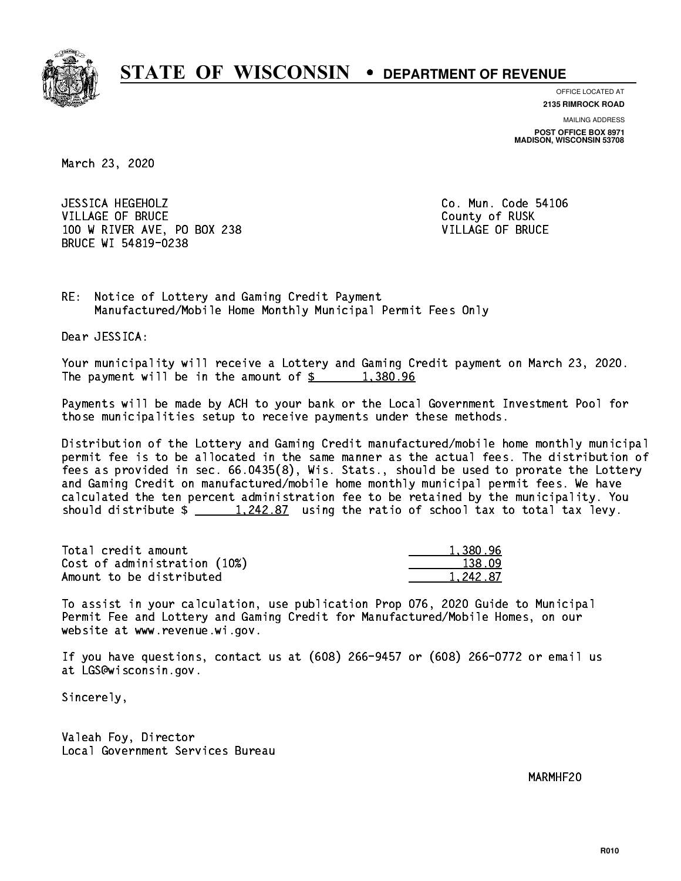

**OFFICE LOCATED AT**

**2135 RIMROCK ROAD**

**MAILING ADDRESS POST OFFICE BOX 8971 MADISON, WISCONSIN 53708**

March 23, 2020

 JESSICA HEGEHOLZ Co. Mun. Code 54106 VILLAGE OF BRUCE COUNTY OF RUSK 100 W RIVER AVE, PO BOX 238 VILLAGE OF BRUCE BRUCE WI 54819-0238

RE: Notice of Lottery and Gaming Credit Payment Manufactured/Mobile Home Monthly Municipal Permit Fees Only

Dear JESSICA:

 Your municipality will receive a Lottery and Gaming Credit payment on March 23, 2020. The payment will be in the amount of  $\frac{2}{3}$  1,380.96

 Payments will be made by ACH to your bank or the Local Government Investment Pool for those municipalities setup to receive payments under these methods.

 Distribution of the Lottery and Gaming Credit manufactured/mobile home monthly municipal permit fee is to be allocated in the same manner as the actual fees. The distribution of fees as provided in sec. 66.0435(8), Wis. Stats., should be used to prorate the Lottery and Gaming Credit on manufactured/mobile home monthly municipal permit fees. We have calculated the ten percent administration fee to be retained by the municipality. You should distribute  $\frac{1,242.87}{1,242.87}$  using the ratio of school tax to total tax levy.

| Total credit amount          | 1,380.96 |
|------------------------------|----------|
| Cost of administration (10%) | 138.09   |
| Amount to be distributed     | 1.242.87 |

 To assist in your calculation, use publication Prop 076, 2020 Guide to Municipal Permit Fee and Lottery and Gaming Credit for Manufactured/Mobile Homes, on our website at www.revenue.wi.gov.

 If you have questions, contact us at (608) 266-9457 or (608) 266-0772 or email us at LGS@wisconsin.gov.

Sincerely,

 Valeah Foy, Director Local Government Services Bureau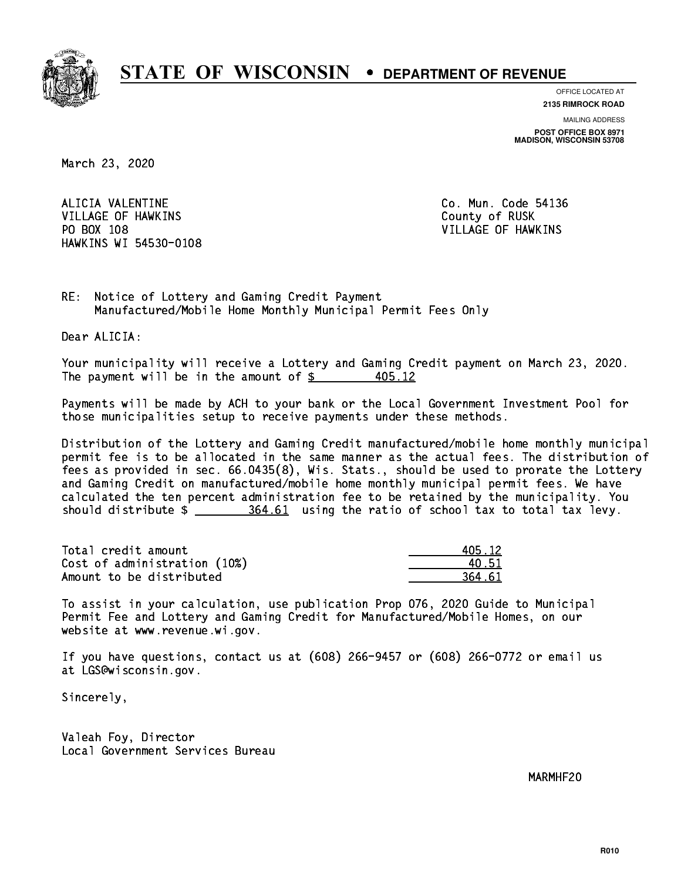

**OFFICE LOCATED AT**

**2135 RIMROCK ROAD**

**MAILING ADDRESS POST OFFICE BOX 8971 MADISON, WISCONSIN 53708**

March 23, 2020

 ALICIA VALENTINE Co. Mun. Code 54136 VILLAGE OF HAWKINS **COUNTY OF RUSK**  PO BOX 108 VILLAGE OF HAWKINS HAWKINS WI 54530-0108

RE: Notice of Lottery and Gaming Credit Payment Manufactured/Mobile Home Monthly Municipal Permit Fees Only

Dear ALICIA:

 Your municipality will receive a Lottery and Gaming Credit payment on March 23, 2020. The payment will be in the amount of  $\frac{2}{5}$ 405.12

 Payments will be made by ACH to your bank or the Local Government Investment Pool for those municipalities setup to receive payments under these methods.

 Distribution of the Lottery and Gaming Credit manufactured/mobile home monthly municipal permit fee is to be allocated in the same manner as the actual fees. The distribution of fees as provided in sec. 66.0435(8), Wis. Stats., should be used to prorate the Lottery and Gaming Credit on manufactured/mobile home monthly municipal permit fees. We have calculated the ten percent administration fee to be retained by the municipality. You should distribute \$ 364.61 using the ratio of school tax to total tax levy. \_\_\_\_\_\_\_\_\_\_\_\_\_\_

| Total credit amount          | 405.12 |
|------------------------------|--------|
| Cost of administration (10%) | 40.51  |
| Amount to be distributed     | 364.61 |

| 15.12 |
|-------|
| 1.51. |
| 4.61  |

 To assist in your calculation, use publication Prop 076, 2020 Guide to Municipal Permit Fee and Lottery and Gaming Credit for Manufactured/Mobile Homes, on our website at www.revenue.wi.gov.

 If you have questions, contact us at (608) 266-9457 or (608) 266-0772 or email us at LGS@wisconsin.gov.

Sincerely,

 Valeah Foy, Director Local Government Services Bureau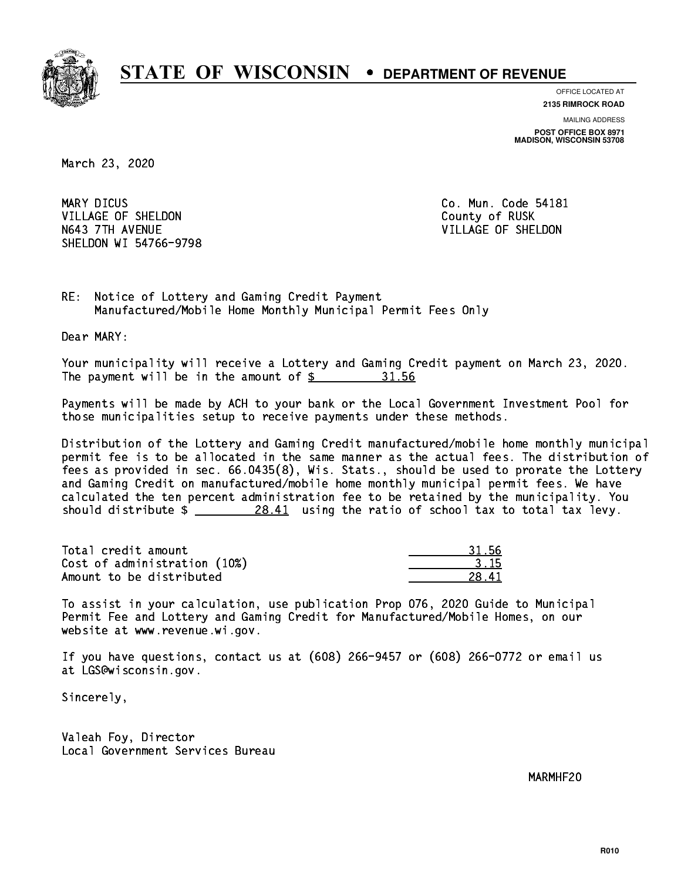

**OFFICE LOCATED AT**

**2135 RIMROCK ROAD**

**MAILING ADDRESS POST OFFICE BOX 8971 MADISON, WISCONSIN 53708**

March 23, 2020

MARY DICUS VILLAGE OF SHELDON COUNTY OF RUSK N643 7TH AVENUE VILLAGE OF SHELDON SHELDON WI 54766-9798

Co. Mun. Code 54181

RE: Notice of Lottery and Gaming Credit Payment Manufactured/Mobile Home Monthly Municipal Permit Fees Only

Dear MARY:

 Your municipality will receive a Lottery and Gaming Credit payment on March 23, 2020. The payment will be in the amount of  $\frac{2}{3}$ 31.56

 Payments will be made by ACH to your bank or the Local Government Investment Pool for those municipalities setup to receive payments under these methods.

 Distribution of the Lottery and Gaming Credit manufactured/mobile home monthly municipal permit fee is to be allocated in the same manner as the actual fees. The distribution of fees as provided in sec. 66.0435(8), Wis. Stats., should be used to prorate the Lottery and Gaming Credit on manufactured/mobile home monthly municipal permit fees. We have calculated the ten percent administration fee to be retained by the municipality. You should distribute  $\frac{28.41}{28.41}$  using the ratio of school tax to total tax levy.

Total credit amount Cost of administration (10%) Amount to be distributed

 To assist in your calculation, use publication Prop 076, 2020 Guide to Municipal Permit Fee and Lottery and Gaming Credit for Manufactured/Mobile Homes, on our website at www.revenue.wi.gov.

 If you have questions, contact us at (608) 266-9457 or (608) 266-0772 or email us at LGS@wisconsin.gov.

Sincerely,

 Valeah Foy, Director Local Government Services Bureau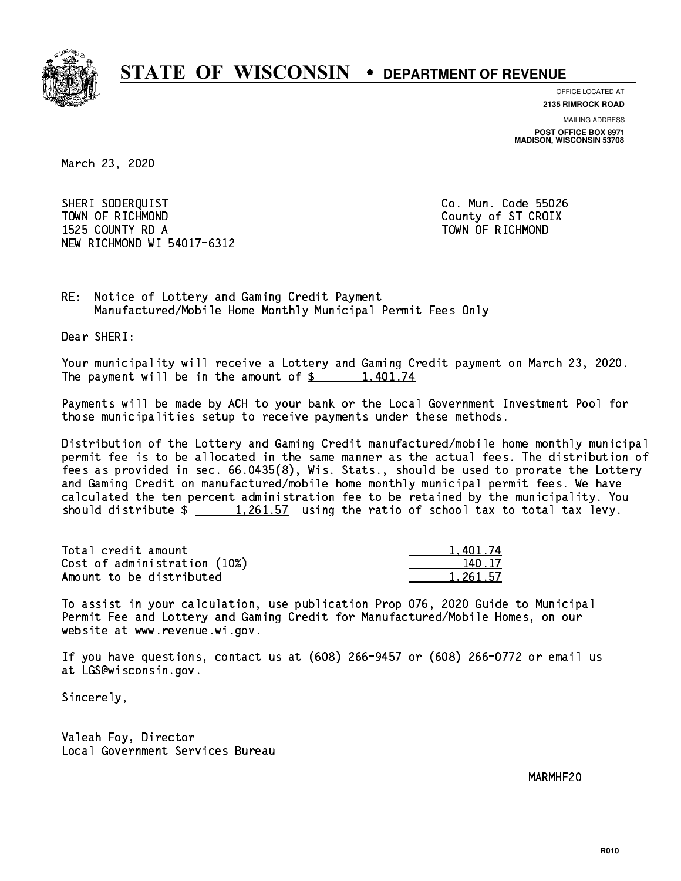

**OFFICE LOCATED AT**

**2135 RIMROCK ROAD**

**MAILING ADDRESS POST OFFICE BOX 8971 MADISON, WISCONSIN 53708**

March 23, 2020

 SHERI SODERQUIST Co. Mun. Code 55026 TOWN OF RICHMOND COUNTY COUNTY OF ST CROIX 1525 COUNTY RD A TOWN OF RICHMOND NEW RICHMOND WI 54017-6312

RE: Notice of Lottery and Gaming Credit Payment Manufactured/Mobile Home Monthly Municipal Permit Fees Only

Dear SHERI:

 Your municipality will receive a Lottery and Gaming Credit payment on March 23, 2020. The payment will be in the amount of  $\frac{2}{3}$  1,401.74

 Payments will be made by ACH to your bank or the Local Government Investment Pool for those municipalities setup to receive payments under these methods.

 Distribution of the Lottery and Gaming Credit manufactured/mobile home monthly municipal permit fee is to be allocated in the same manner as the actual fees. The distribution of fees as provided in sec. 66.0435(8), Wis. Stats., should be used to prorate the Lottery and Gaming Credit on manufactured/mobile home monthly municipal permit fees. We have calculated the ten percent administration fee to be retained by the municipality. You should distribute  $\frac{1,261.57}{1,261.57}$  using the ratio of school tax to total tax levy.

| Total credit amount          | 1.401.74 |
|------------------------------|----------|
| Cost of administration (10%) | 140.17   |
| Amount to be distributed     | 1.261.57 |

 To assist in your calculation, use publication Prop 076, 2020 Guide to Municipal Permit Fee and Lottery and Gaming Credit for Manufactured/Mobile Homes, on our website at www.revenue.wi.gov.

 If you have questions, contact us at (608) 266-9457 or (608) 266-0772 or email us at LGS@wisconsin.gov.

Sincerely,

 Valeah Foy, Director Local Government Services Bureau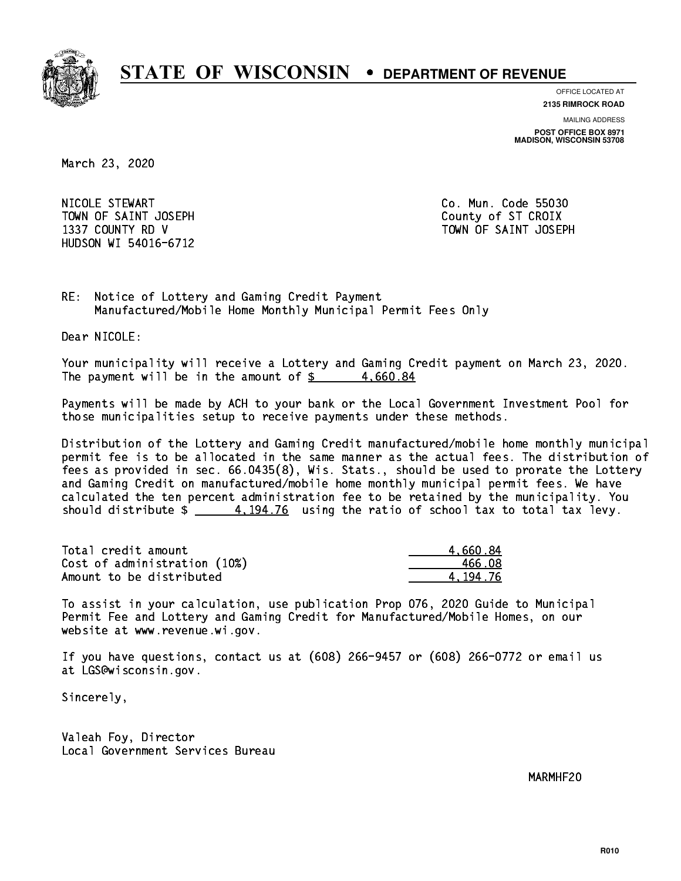

**OFFICE LOCATED AT**

**2135 RIMROCK ROAD**

**MAILING ADDRESS**

**POST OFFICE BOX 8971 MADISON, WISCONSIN 53708**

March 23, 2020

 NICOLE STEWART Co. Mun. Code 55030 TOWN OF SAINT JOSEPH COUNTY OF STICROIX HUDSON WI 54016-6712

1337 COUNTY RD V TOWN OF SAINT JOSEPH

RE: Notice of Lottery and Gaming Credit Payment Manufactured/Mobile Home Monthly Municipal Permit Fees Only

Dear NICOLE:

 Your municipality will receive a Lottery and Gaming Credit payment on March 23, 2020. The payment will be in the amount of  $\frac{2}{3}$  4,660.84

 Payments will be made by ACH to your bank or the Local Government Investment Pool for those municipalities setup to receive payments under these methods.

 Distribution of the Lottery and Gaming Credit manufactured/mobile home monthly municipal permit fee is to be allocated in the same manner as the actual fees. The distribution of fees as provided in sec. 66.0435(8), Wis. Stats., should be used to prorate the Lottery and Gaming Credit on manufactured/mobile home monthly municipal permit fees. We have calculated the ten percent administration fee to be retained by the municipality. You should distribute  $\frac{4.194.76}{2}$  using the ratio of school tax to total tax levy.

| Total credit amount          | 4.660.84 |
|------------------------------|----------|
| Cost of administration (10%) | 466.08   |
| Amount to be distributed     | 4.194.76 |

 To assist in your calculation, use publication Prop 076, 2020 Guide to Municipal Permit Fee and Lottery and Gaming Credit for Manufactured/Mobile Homes, on our website at www.revenue.wi.gov.

 If you have questions, contact us at (608) 266-9457 or (608) 266-0772 or email us at LGS@wisconsin.gov.

Sincerely,

 Valeah Foy, Director Local Government Services Bureau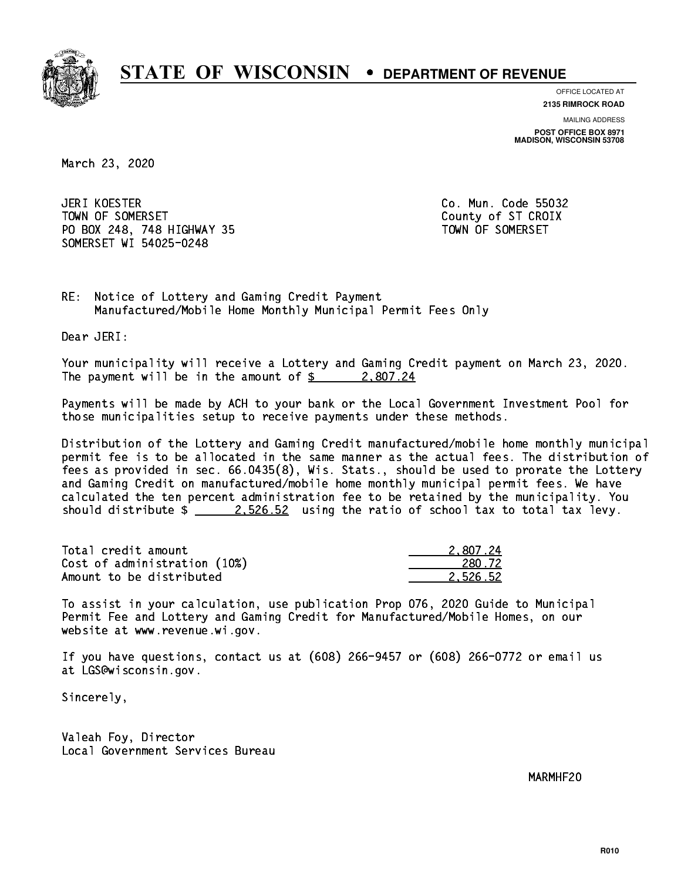

**OFFICE LOCATED AT**

**2135 RIMROCK ROAD**

**MAILING ADDRESS POST OFFICE BOX 8971 MADISON, WISCONSIN 53708**

March 23, 2020

JERI KOESTER TOWN OF SOMERSET COUNTY OF STATES COUNTY OF STATES OF STATES OF STATES OF STATES OF STATES OF STATES OF STATES PO BOX 248, 748 HIGHWAY 35 TOWN OF SOMERSET SOMERSET WI 54025-0248

Co. Mun. Code 55032

RE: Notice of Lottery and Gaming Credit Payment Manufactured/Mobile Home Monthly Municipal Permit Fees Only

Dear JERI:

 Your municipality will receive a Lottery and Gaming Credit payment on March 23, 2020. The payment will be in the amount of  $\frac{2}{3}$  2,807.24

 Payments will be made by ACH to your bank or the Local Government Investment Pool for those municipalities setup to receive payments under these methods.

 Distribution of the Lottery and Gaming Credit manufactured/mobile home monthly municipal permit fee is to be allocated in the same manner as the actual fees. The distribution of fees as provided in sec. 66.0435(8), Wis. Stats., should be used to prorate the Lottery and Gaming Credit on manufactured/mobile home monthly municipal permit fees. We have calculated the ten percent administration fee to be retained by the municipality. You should distribute  $\frac{2.526.52}{2.526.52}$  using the ratio of school tax to total tax levy.

| Total credit amount          | 2.807.24 |
|------------------------------|----------|
| Cost of administration (10%) | 280.72   |
| Amount to be distributed     | 2.526.52 |

 To assist in your calculation, use publication Prop 076, 2020 Guide to Municipal Permit Fee and Lottery and Gaming Credit for Manufactured/Mobile Homes, on our website at www.revenue.wi.gov.

 If you have questions, contact us at (608) 266-9457 or (608) 266-0772 or email us at LGS@wisconsin.gov.

Sincerely,

 Valeah Foy, Director Local Government Services Bureau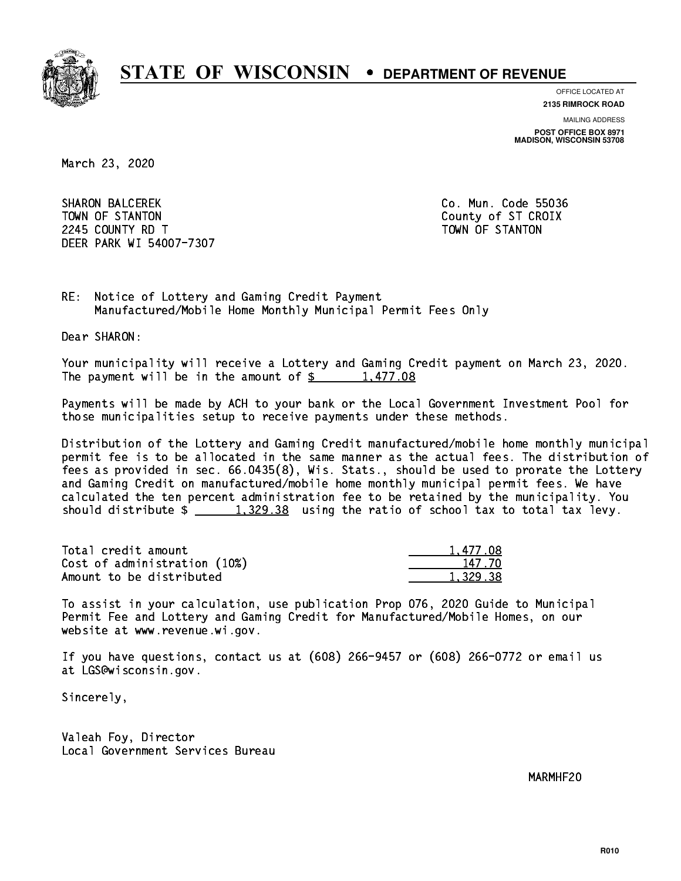

**OFFICE LOCATED AT**

**2135 RIMROCK ROAD**

**MAILING ADDRESS POST OFFICE BOX 8971 MADISON, WISCONSIN 53708**

March 23, 2020

 SHARON BALCEREK Co. Mun. Code 55036 TOWN OF STANTON COUNTY OF STANTON 224 COUNTY RD T TOWN OF STANDARD COUNTY ROLL AND STRUCTURE OF STANDARD COUNTY AND ALL COUNTY OF STANDARD COUNTY. DEER PARK WI 54007-7307

RE: Notice of Lottery and Gaming Credit Payment Manufactured/Mobile Home Monthly Municipal Permit Fees Only

Dear SHARON:

 Your municipality will receive a Lottery and Gaming Credit payment on March 23, 2020. The payment will be in the amount of  $\frac{2}{3}$  1,477.08

 Payments will be made by ACH to your bank or the Local Government Investment Pool for those municipalities setup to receive payments under these methods.

 Distribution of the Lottery and Gaming Credit manufactured/mobile home monthly municipal permit fee is to be allocated in the same manner as the actual fees. The distribution of fees as provided in sec. 66.0435(8), Wis. Stats., should be used to prorate the Lottery and Gaming Credit on manufactured/mobile home monthly municipal permit fees. We have calculated the ten percent administration fee to be retained by the municipality. You should distribute  $\frac{2}{1,329.38}$  using the ratio of school tax to total tax levy.

| Total credit amount          | 1,477.08 |
|------------------------------|----------|
| Cost of administration (10%) | 147.70   |
| Amount to be distributed     | 1.329.38 |

 To assist in your calculation, use publication Prop 076, 2020 Guide to Municipal Permit Fee and Lottery and Gaming Credit for Manufactured/Mobile Homes, on our website at www.revenue.wi.gov.

 If you have questions, contact us at (608) 266-9457 or (608) 266-0772 or email us at LGS@wisconsin.gov.

Sincerely,

 Valeah Foy, Director Local Government Services Bureau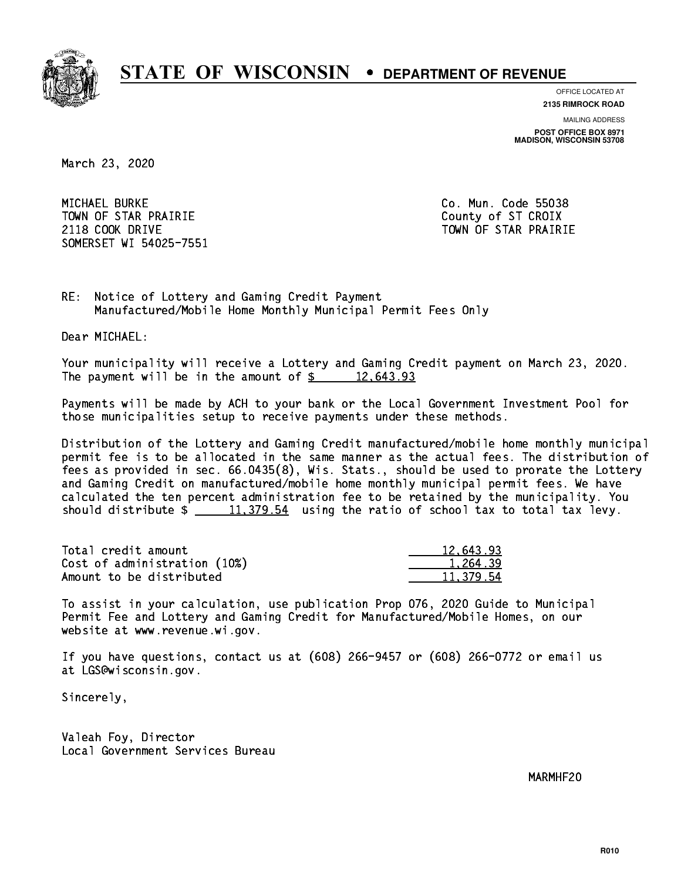

**OFFICE LOCATED AT**

**2135 RIMROCK ROAD**

**MAILING ADDRESS POST OFFICE BOX 8971 MADISON, WISCONSIN 53708**

March 23, 2020

 MICHAEL BURKE Co. Mun. Code 55038 TOWN OF STAR PRAIRIE **COUNTY COUNTY OF STAR PRAIRIE** 2118 COOK DRIVE TOWN OF STAR PRAIRIE SOMERSET WI 54025-7551

RE: Notice of Lottery and Gaming Credit Payment Manufactured/Mobile Home Monthly Municipal Permit Fees Only

Dear MICHAEL:

 Your municipality will receive a Lottery and Gaming Credit payment on March 23, 2020. The payment will be in the amount of  $\frac{2}{3}$  12,643.93

 Payments will be made by ACH to your bank or the Local Government Investment Pool for those municipalities setup to receive payments under these methods.

 Distribution of the Lottery and Gaming Credit manufactured/mobile home monthly municipal permit fee is to be allocated in the same manner as the actual fees. The distribution of fees as provided in sec. 66.0435(8), Wis. Stats., should be used to prorate the Lottery and Gaming Credit on manufactured/mobile home monthly municipal permit fees. We have calculated the ten percent administration fee to be retained by the municipality. You should distribute  $\frac{11,379.54}{2}$  using the ratio of school tax to total tax levy.

| Total credit amount          | 12,643.93 |
|------------------------------|-----------|
| Cost of administration (10%) | 1.264.39  |
| Amount to be distributed     | 11,379.54 |

 To assist in your calculation, use publication Prop 076, 2020 Guide to Municipal Permit Fee and Lottery and Gaming Credit for Manufactured/Mobile Homes, on our website at www.revenue.wi.gov.

 If you have questions, contact us at (608) 266-9457 or (608) 266-0772 or email us at LGS@wisconsin.gov.

Sincerely,

 Valeah Foy, Director Local Government Services Bureau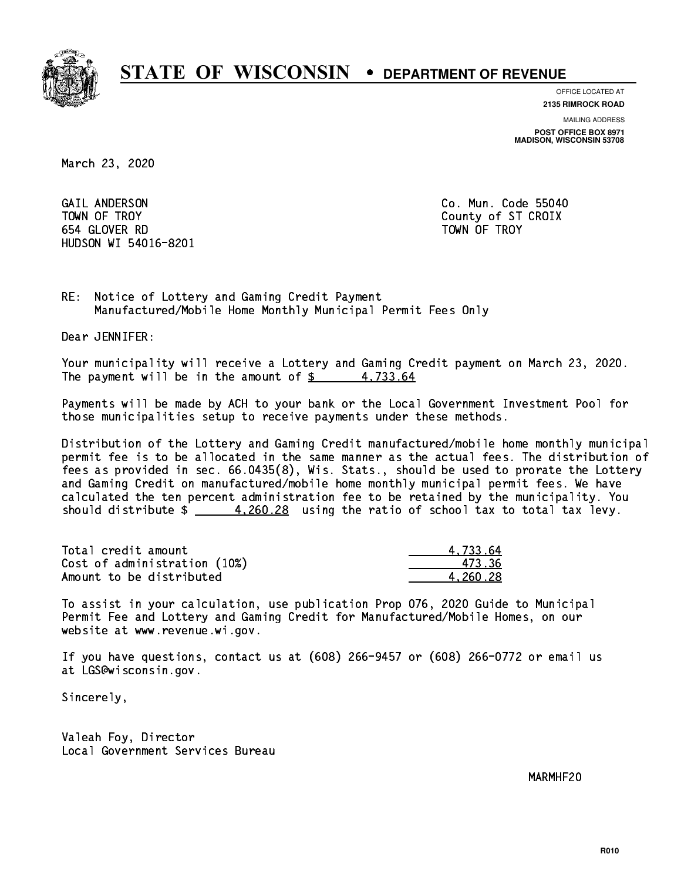

**OFFICE LOCATED AT**

**2135 RIMROCK ROAD**

**MAILING ADDRESS POST OFFICE BOX 8971 MADISON, WISCONSIN 53708**

March 23, 2020

 GAIL ANDERSON Co. Mun. Code 55040 TOWN OF TROY County of ST CROIX 654 GLOVER RD TOWN OF TROY HUDSON WI 54016-8201

RE: Notice of Lottery and Gaming Credit Payment Manufactured/Mobile Home Monthly Municipal Permit Fees Only

Dear JENNIFER:

 Your municipality will receive a Lottery and Gaming Credit payment on March 23, 2020. The payment will be in the amount of  $\frac{2}{3}$  4,733.64

 Payments will be made by ACH to your bank or the Local Government Investment Pool for those municipalities setup to receive payments under these methods.

 Distribution of the Lottery and Gaming Credit manufactured/mobile home monthly municipal permit fee is to be allocated in the same manner as the actual fees. The distribution of fees as provided in sec. 66.0435(8), Wis. Stats., should be used to prorate the Lottery and Gaming Credit on manufactured/mobile home monthly municipal permit fees. We have calculated the ten percent administration fee to be retained by the municipality. You should distribute  $\frac{4,260.28}{2}$  using the ratio of school tax to total tax levy.

| Total credit amount          | 4.733.64 |
|------------------------------|----------|
| Cost of administration (10%) | 473.36   |
| Amount to be distributed     | 4.260.28 |

 To assist in your calculation, use publication Prop 076, 2020 Guide to Municipal Permit Fee and Lottery and Gaming Credit for Manufactured/Mobile Homes, on our website at www.revenue.wi.gov.

 If you have questions, contact us at (608) 266-9457 or (608) 266-0772 or email us at LGS@wisconsin.gov.

Sincerely,

 Valeah Foy, Director Local Government Services Bureau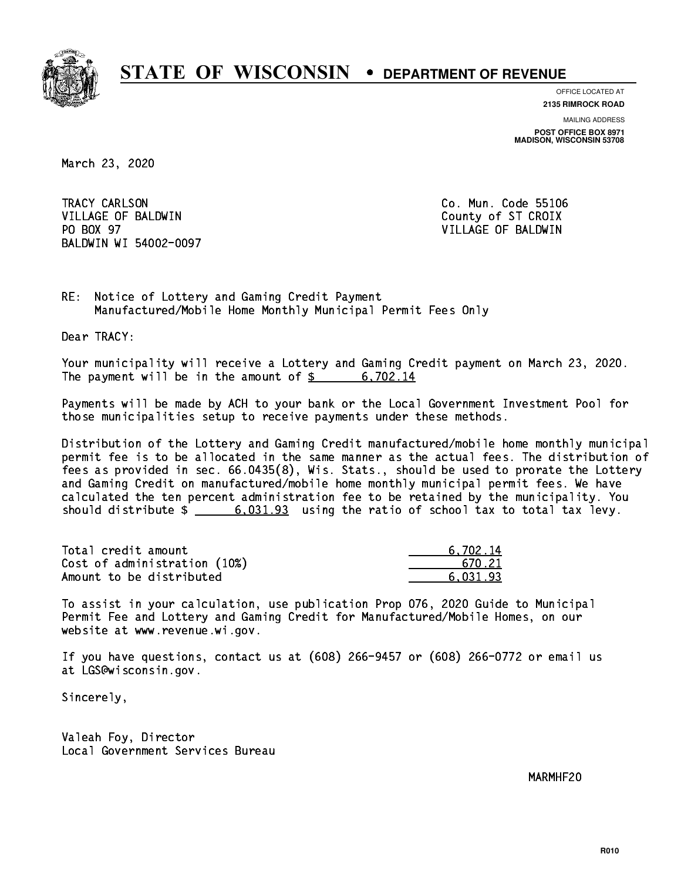

**OFFICE LOCATED AT 2135 RIMROCK ROAD**

**MAILING ADDRESS POST OFFICE BOX 8971 MADISON, WISCONSIN 53708**

March 23, 2020

TRACY CARLSON VILLAGE OF BALDWIN COUNTY COUNTY OF ST CROIX PO BOX 97 BALDWIN WI 54002-0097

Co. Mun. Code 55106 VILLAGE OF BALDWIN

RE: Notice of Lottery and Gaming Credit Payment Manufactured/Mobile Home Monthly Municipal Permit Fees Only

Dear TRACY:

 Your municipality will receive a Lottery and Gaming Credit payment on March 23, 2020. The payment will be in the amount of  $\frac{2}{3}$  6,702.14

 Payments will be made by ACH to your bank or the Local Government Investment Pool for those municipalities setup to receive payments under these methods.

 Distribution of the Lottery and Gaming Credit manufactured/mobile home monthly municipal permit fee is to be allocated in the same manner as the actual fees. The distribution of fees as provided in sec. 66.0435(8), Wis. Stats., should be used to prorate the Lottery and Gaming Credit on manufactured/mobile home monthly municipal permit fees. We have calculated the ten percent administration fee to be retained by the municipality. You should distribute  $\frac{2}{1}$   $\frac{6,031.93}{2}$  using the ratio of school tax to total tax levy.

| Total credit amount          | 6.702.14 |
|------------------------------|----------|
| Cost of administration (10%) | 670.21   |
| Amount to be distributed     | 6.031.93 |

 To assist in your calculation, use publication Prop 076, 2020 Guide to Municipal Permit Fee and Lottery and Gaming Credit for Manufactured/Mobile Homes, on our website at www.revenue.wi.gov.

 If you have questions, contact us at (608) 266-9457 or (608) 266-0772 or email us at LGS@wisconsin.gov.

Sincerely,

 Valeah Foy, Director Local Government Services Bureau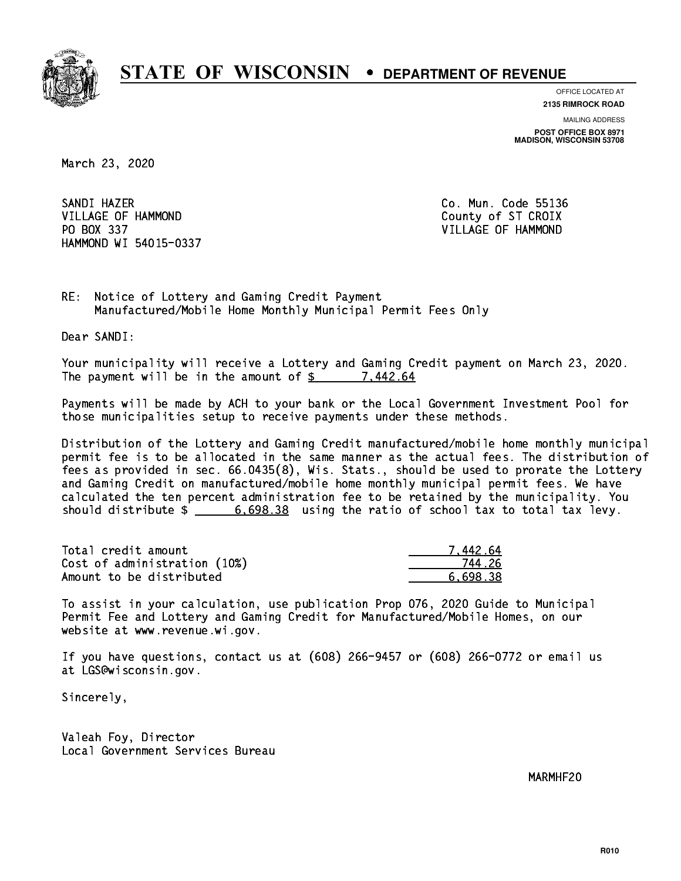

**OFFICE LOCATED AT**

**2135 RIMROCK ROAD**

**MAILING ADDRESS POST OFFICE BOX 8971 MADISON, WISCONSIN 53708**

March 23, 2020

SANDI HAZER SANDI HAZER CO. MUN. CO. MUN. CO. MUN. CO. MUN. CO. MUN. CO. MUN. CO. MUN. CO. MUN. CO. MUN. CO. MUN. CO. MUN. VILLAGE OF HAMMOND County of ST CROIX PO BOX 337 VILLAGE OF HAMMOND HAMMOND WI 54015-0337

RE: Notice of Lottery and Gaming Credit Payment Manufactured/Mobile Home Monthly Municipal Permit Fees Only

Dear SANDI:

 Your municipality will receive a Lottery and Gaming Credit payment on March 23, 2020. The payment will be in the amount of  $\frac{2}{3}$  7,442.64

 Payments will be made by ACH to your bank or the Local Government Investment Pool for those municipalities setup to receive payments under these methods.

 Distribution of the Lottery and Gaming Credit manufactured/mobile home monthly municipal permit fee is to be allocated in the same manner as the actual fees. The distribution of fees as provided in sec. 66.0435(8), Wis. Stats., should be used to prorate the Lottery and Gaming Credit on manufactured/mobile home monthly municipal permit fees. We have calculated the ten percent administration fee to be retained by the municipality. You should distribute  $\frac{2}{1}$   $\frac{6,698.38}{2}$  using the ratio of school tax to total tax levy.

| Total credit amount          | 7 442 64 |
|------------------------------|----------|
| Cost of administration (10%) | 744 26   |
| Amount to be distributed     | 6.698.38 |

 To assist in your calculation, use publication Prop 076, 2020 Guide to Municipal Permit Fee and Lottery and Gaming Credit for Manufactured/Mobile Homes, on our website at www.revenue.wi.gov.

 If you have questions, contact us at (608) 266-9457 or (608) 266-0772 or email us at LGS@wisconsin.gov.

Sincerely,

 Valeah Foy, Director Local Government Services Bureau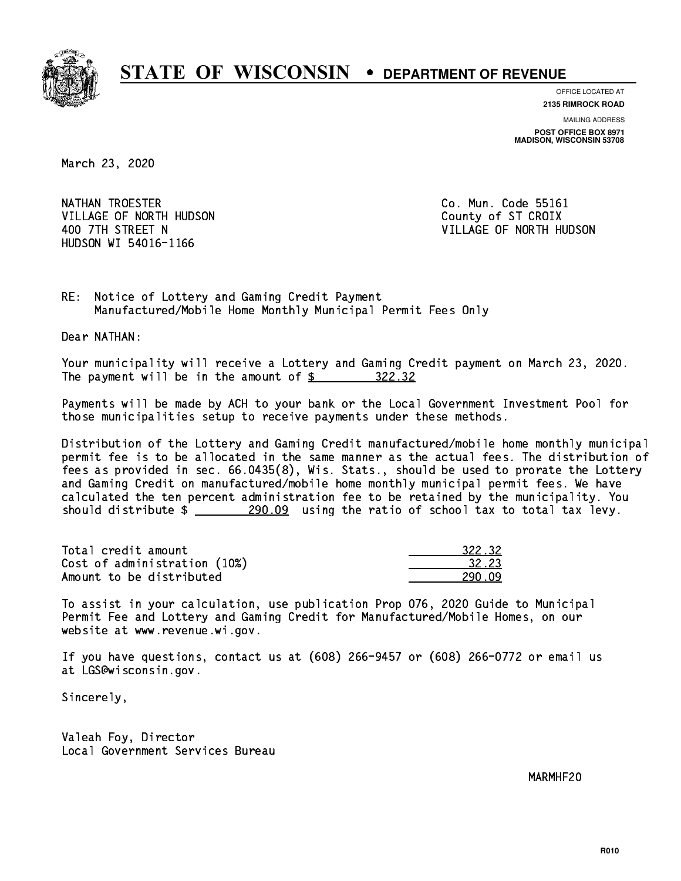

**OFFICE LOCATED AT 2135 RIMROCK ROAD**

**MAILING ADDRESS POST OFFICE BOX 8971 MADISON, WISCONSIN 53708**

March 23, 2020

NATHAN TROESTER **Co. Mun. Code 55161** VILLAGE OF NORTH HUDSON COUNTY OF ST CROIX HUDSON WI 54016-1166

400 7TH STREET N VILLAGE OF NORTH HUDSON

RE: Notice of Lottery and Gaming Credit Payment Manufactured/Mobile Home Monthly Municipal Permit Fees Only

Dear NATHAN:

 Your municipality will receive a Lottery and Gaming Credit payment on March 23, 2020. The payment will be in the amount of  $\frac{22.32}{2}$ 

 Payments will be made by ACH to your bank or the Local Government Investment Pool for those municipalities setup to receive payments under these methods.

 Distribution of the Lottery and Gaming Credit manufactured/mobile home monthly municipal permit fee is to be allocated in the same manner as the actual fees. The distribution of fees as provided in sec. 66.0435(8), Wis. Stats., should be used to prorate the Lottery and Gaming Credit on manufactured/mobile home monthly municipal permit fees. We have calculated the ten percent administration fee to be retained by the municipality. You should distribute  $\frac{290.09}{2}$  using the ratio of school tax to total tax levy.

Total credit amount Cost of administration (10%) Amount to be distributed

| 322.32 |
|--------|
| 12 23  |
|        |

 To assist in your calculation, use publication Prop 076, 2020 Guide to Municipal Permit Fee and Lottery and Gaming Credit for Manufactured/Mobile Homes, on our website at www.revenue.wi.gov.

 If you have questions, contact us at (608) 266-9457 or (608) 266-0772 or email us at LGS@wisconsin.gov.

Sincerely,

 Valeah Foy, Director Local Government Services Bureau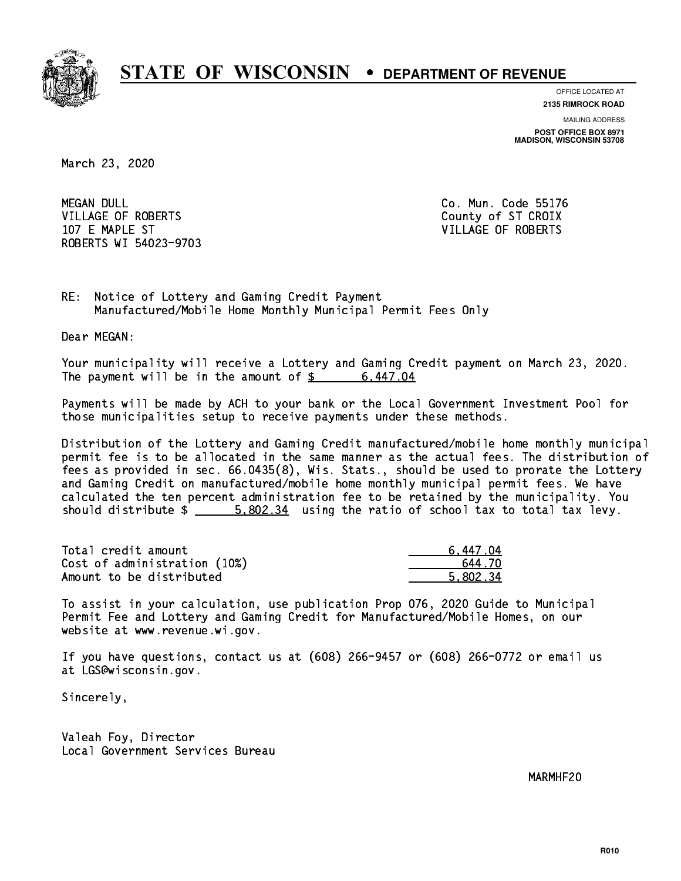

**OFFICE LOCATED AT**

**2135 RIMROCK ROAD**

**MAILING ADDRESS POST OFFICE BOX 8971 MADISON, WISCONSIN 53708**

March 23, 2020

**MEGAN DULL** VILLAGE OF ROBERTS COUNTY OF ST CROIX 107 E MAPLE ST VILLAGE OF ROBERTS ROBERTS WI 54023-9703

Co. Mun. Code 55176

RE: Notice of Lottery and Gaming Credit Payment Manufactured/Mobile Home Monthly Municipal Permit Fees Only

Dear MEGAN:

 Your municipality will receive a Lottery and Gaming Credit payment on March 23, 2020. The payment will be in the amount of  $\frac{2}{3}$  6,447.04

 Payments will be made by ACH to your bank or the Local Government Investment Pool for those municipalities setup to receive payments under these methods.

 Distribution of the Lottery and Gaming Credit manufactured/mobile home monthly municipal permit fee is to be allocated in the same manner as the actual fees. The distribution of fees as provided in sec. 66.0435(8), Wis. Stats., should be used to prorate the Lottery and Gaming Credit on manufactured/mobile home monthly municipal permit fees. We have calculated the ten percent administration fee to be retained by the municipality. You should distribute  $\frac{2}{1}$   $\frac{5,802.34}{2}$  using the ratio of school tax to total tax levy.

| Total credit amount          | 6.447.04 |
|------------------------------|----------|
| Cost of administration (10%) | 644 70   |
| Amount to be distributed     | 5.802.34 |

 To assist in your calculation, use publication Prop 076, 2020 Guide to Municipal Permit Fee and Lottery and Gaming Credit for Manufactured/Mobile Homes, on our website at www.revenue.wi.gov.

 If you have questions, contact us at (608) 266-9457 or (608) 266-0772 or email us at LGS@wisconsin.gov.

Sincerely,

 Valeah Foy, Director Local Government Services Bureau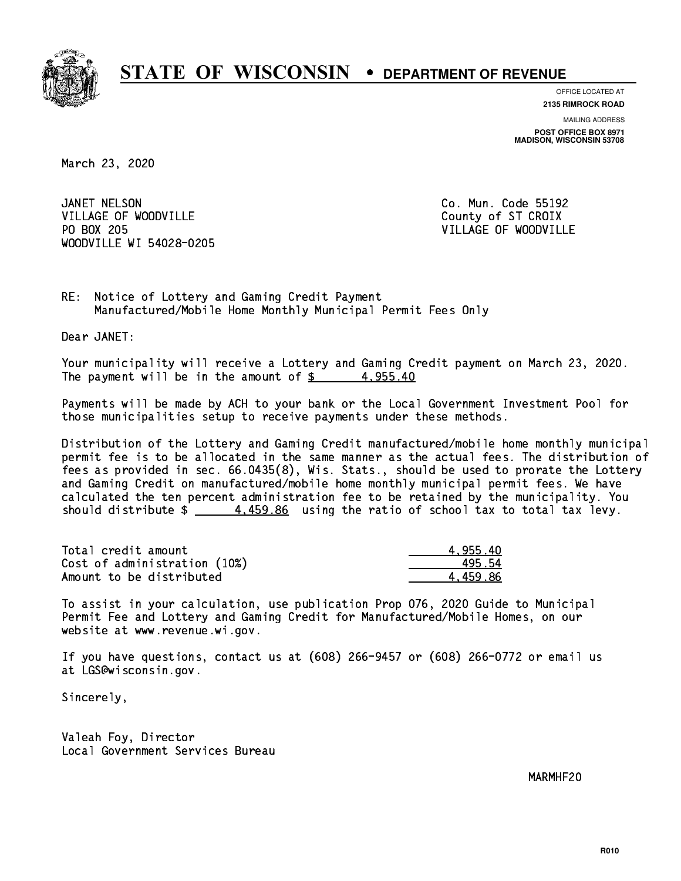

**OFFICE LOCATED AT**

**2135 RIMROCK ROAD**

**MAILING ADDRESS POST OFFICE BOX 8971 MADISON, WISCONSIN 53708**

March 23, 2020

JANET NELSON VILLAGE OF WOODVILLE COUNTY COUNTY OF ST CROIX PO BOX 205 WOODVILLE WI 54028-0205

Co. Mun. Code 55192 VILLAGE OF WOODVILLE

RE: Notice of Lottery and Gaming Credit Payment Manufactured/Mobile Home Monthly Municipal Permit Fees Only

Dear JANET:

 Your municipality will receive a Lottery and Gaming Credit payment on March 23, 2020. The payment will be in the amount of  $\frac{2}{3}$  4,955.40

 Payments will be made by ACH to your bank or the Local Government Investment Pool for those municipalities setup to receive payments under these methods.

 Distribution of the Lottery and Gaming Credit manufactured/mobile home monthly municipal permit fee is to be allocated in the same manner as the actual fees. The distribution of fees as provided in sec. 66.0435(8), Wis. Stats., should be used to prorate the Lottery and Gaming Credit on manufactured/mobile home monthly municipal permit fees. We have calculated the ten percent administration fee to be retained by the municipality. You should distribute  $\frac{4.459.86}{2}$  using the ratio of school tax to total tax levy.

| Total credit amount          | 4.955.40 |
|------------------------------|----------|
| Cost of administration (10%) | 495 54   |
| Amount to be distributed     | 4.459.86 |

 To assist in your calculation, use publication Prop 076, 2020 Guide to Municipal Permit Fee and Lottery and Gaming Credit for Manufactured/Mobile Homes, on our website at www.revenue.wi.gov.

 If you have questions, contact us at (608) 266-9457 or (608) 266-0772 or email us at LGS@wisconsin.gov.

Sincerely,

 Valeah Foy, Director Local Government Services Bureau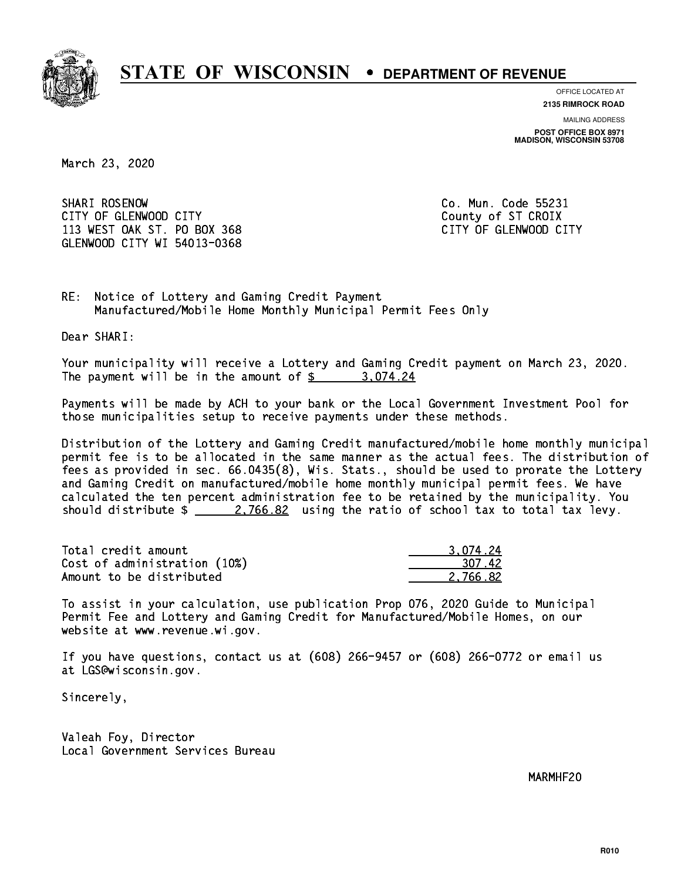

**OFFICE LOCATED AT**

**2135 RIMROCK ROAD**

**MAILING ADDRESS**

**POST OFFICE BOX 8971 MADISON, WISCONSIN 53708**

March 23, 2020

SHARI ROSENOW CITY OF GLENWOOD CITY COUNTY COUNTY COUNTY OF ST CROIX 113 WEST OAK ST. PO BOX 368 CITY OF GLENWOOD CITY GLENWOOD CITY WI 54013-0368

Co. Mun. Code 55231

RE: Notice of Lottery and Gaming Credit Payment Manufactured/Mobile Home Monthly Municipal Permit Fees Only

Dear SHARI:

 Your municipality will receive a Lottery and Gaming Credit payment on March 23, 2020. The payment will be in the amount of  $\frac{2}{3}$  3,074.24

 Payments will be made by ACH to your bank or the Local Government Investment Pool for those municipalities setup to receive payments under these methods.

 Distribution of the Lottery and Gaming Credit manufactured/mobile home monthly municipal permit fee is to be allocated in the same manner as the actual fees. The distribution of fees as provided in sec. 66.0435(8), Wis. Stats., should be used to prorate the Lottery and Gaming Credit on manufactured/mobile home monthly municipal permit fees. We have calculated the ten percent administration fee to be retained by the municipality. You should distribute  $\frac{2.766.82}{2.766.82}$  using the ratio of school tax to total tax levy.

| Total credit amount          | 3.074.24 |
|------------------------------|----------|
| Cost of administration (10%) | 307.42   |
| Amount to be distributed     | 2.766.82 |

 To assist in your calculation, use publication Prop 076, 2020 Guide to Municipal Permit Fee and Lottery and Gaming Credit for Manufactured/Mobile Homes, on our website at www.revenue.wi.gov.

 If you have questions, contact us at (608) 266-9457 or (608) 266-0772 or email us at LGS@wisconsin.gov.

Sincerely,

 Valeah Foy, Director Local Government Services Bureau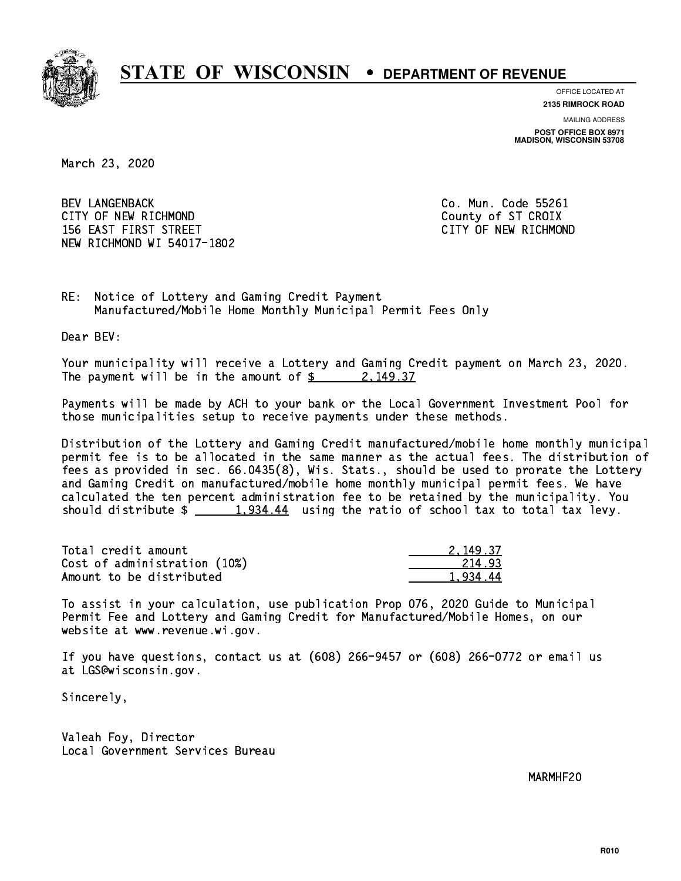

**OFFICE LOCATED AT**

**2135 RIMROCK ROAD**

**MAILING ADDRESS POST OFFICE BOX 8971 MADISON, WISCONSIN 53708**

March 23, 2020

 BEV LANGENBACK Co. Mun. Code 55261 CITY OF NEW RICHMOND COUNTY OF ST CROIX 156 EAST FIRST STREET CITY OF NEW RICHMOND NEW RICHMOND WI 54017-1802

RE: Notice of Lottery and Gaming Credit Payment Manufactured/Mobile Home Monthly Municipal Permit Fees Only

Dear BEV:

 Your municipality will receive a Lottery and Gaming Credit payment on March 23, 2020. The payment will be in the amount of  $\frac{2}{3}$  2, 149.37

 Payments will be made by ACH to your bank or the Local Government Investment Pool for those municipalities setup to receive payments under these methods.

 Distribution of the Lottery and Gaming Credit manufactured/mobile home monthly municipal permit fee is to be allocated in the same manner as the actual fees. The distribution of fees as provided in sec. 66.0435(8), Wis. Stats., should be used to prorate the Lottery and Gaming Credit on manufactured/mobile home monthly municipal permit fees. We have calculated the ten percent administration fee to be retained by the municipality. You should distribute  $\frac{1,934.44}{1,934.44}$  using the ratio of school tax to total tax levy.

| Total credit amount          | 2.149.37 |
|------------------------------|----------|
| Cost of administration (10%) | 214.93   |
| Amount to be distributed     | 1.934.44 |

 To assist in your calculation, use publication Prop 076, 2020 Guide to Municipal Permit Fee and Lottery and Gaming Credit for Manufactured/Mobile Homes, on our website at www.revenue.wi.gov.

 If you have questions, contact us at (608) 266-9457 or (608) 266-0772 or email us at LGS@wisconsin.gov.

Sincerely,

 Valeah Foy, Director Local Government Services Bureau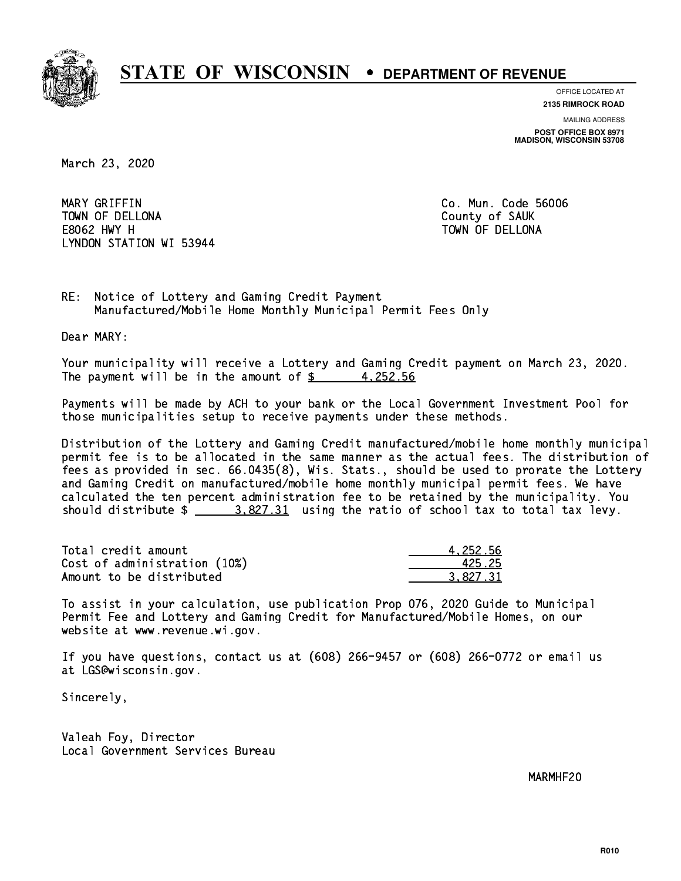

**OFFICE LOCATED AT**

**2135 RIMROCK ROAD**

**MAILING ADDRESS POST OFFICE BOX 8971 MADISON, WISCONSIN 53708**

March 23, 2020

 MARY GRIFFIN Co. Mun. Code 56006 TOWN OF DELLONA County of SAUK E8062 HWY H TOWN OF DELLONA LYNDON STATION WI 53944

RE: Notice of Lottery and Gaming Credit Payment Manufactured/Mobile Home Monthly Municipal Permit Fees Only

Dear MARY:

 Your municipality will receive a Lottery and Gaming Credit payment on March 23, 2020. The payment will be in the amount of  $\frac{2}{3}$  4,252.56

 Payments will be made by ACH to your bank or the Local Government Investment Pool for those municipalities setup to receive payments under these methods.

 Distribution of the Lottery and Gaming Credit manufactured/mobile home monthly municipal permit fee is to be allocated in the same manner as the actual fees. The distribution of fees as provided in sec. 66.0435(8), Wis. Stats., should be used to prorate the Lottery and Gaming Credit on manufactured/mobile home monthly municipal permit fees. We have calculated the ten percent administration fee to be retained by the municipality. You should distribute  $\frac{2.827.31}{2}$  using the ratio of school tax to total tax levy.

| Total credit amount          | 4.252.56 |
|------------------------------|----------|
| Cost of administration (10%) | 425.25   |
| Amount to be distributed     | 3.827.31 |

 To assist in your calculation, use publication Prop 076, 2020 Guide to Municipal Permit Fee and Lottery and Gaming Credit for Manufactured/Mobile Homes, on our website at www.revenue.wi.gov.

 If you have questions, contact us at (608) 266-9457 or (608) 266-0772 or email us at LGS@wisconsin.gov.

Sincerely,

 Valeah Foy, Director Local Government Services Bureau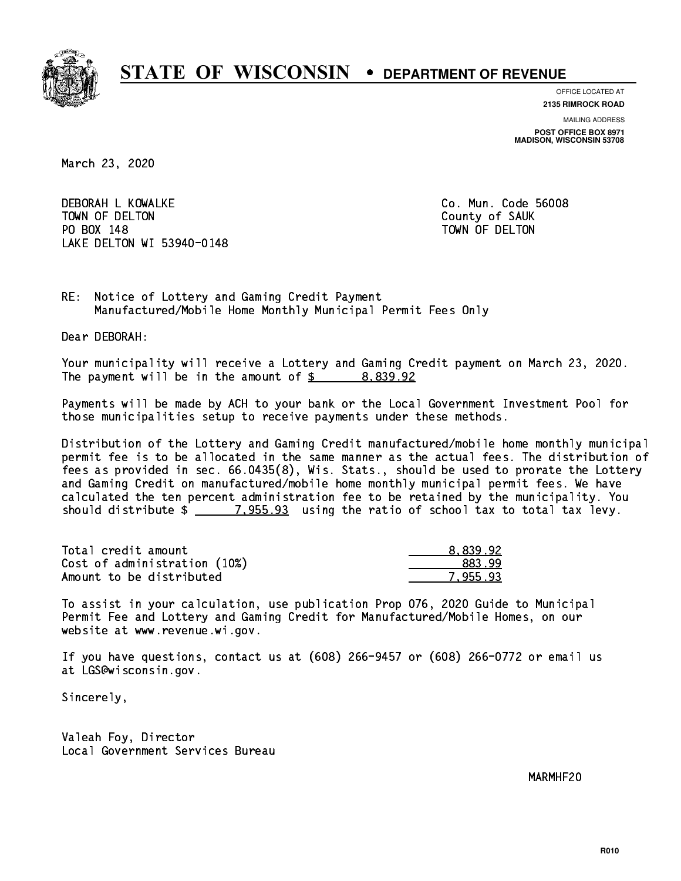

**OFFICE LOCATED AT**

**MAILING ADDRESS 2135 RIMROCK ROAD**

**POST OFFICE BOX 8971 MADISON, WISCONSIN 53708**

March 23, 2020

 DEBORAH L KOWALKE Co. Mun. Code 56008 TOWN OF DELTON County of SAUK PO BOX 148 PO BOX 148 TOWN OF DELTON LAKE DELTON WI 53940-0148

RE: Notice of Lottery and Gaming Credit Payment Manufactured/Mobile Home Monthly Municipal Permit Fees Only

Dear DEBORAH:

 Your municipality will receive a Lottery and Gaming Credit payment on March 23, 2020. The payment will be in the amount of  $\frac{2}{3}$  8,839.92

 Payments will be made by ACH to your bank or the Local Government Investment Pool for those municipalities setup to receive payments under these methods.

 Distribution of the Lottery and Gaming Credit manufactured/mobile home monthly municipal permit fee is to be allocated in the same manner as the actual fees. The distribution of fees as provided in sec. 66.0435(8), Wis. Stats., should be used to prorate the Lottery and Gaming Credit on manufactured/mobile home monthly municipal permit fees. We have calculated the ten percent administration fee to be retained by the municipality. You should distribute  $\frac{2}{2}$   $\frac{7,955.93}{2}$  using the ratio of school tax to total tax levy.

| Total credit amount          | 8.839.92 |
|------------------------------|----------|
| Cost of administration (10%) | 883.99   |
| Amount to be distributed     | 7.955.93 |

 To assist in your calculation, use publication Prop 076, 2020 Guide to Municipal Permit Fee and Lottery and Gaming Credit for Manufactured/Mobile Homes, on our website at www.revenue.wi.gov.

 If you have questions, contact us at (608) 266-9457 or (608) 266-0772 or email us at LGS@wisconsin.gov.

Sincerely,

 Valeah Foy, Director Local Government Services Bureau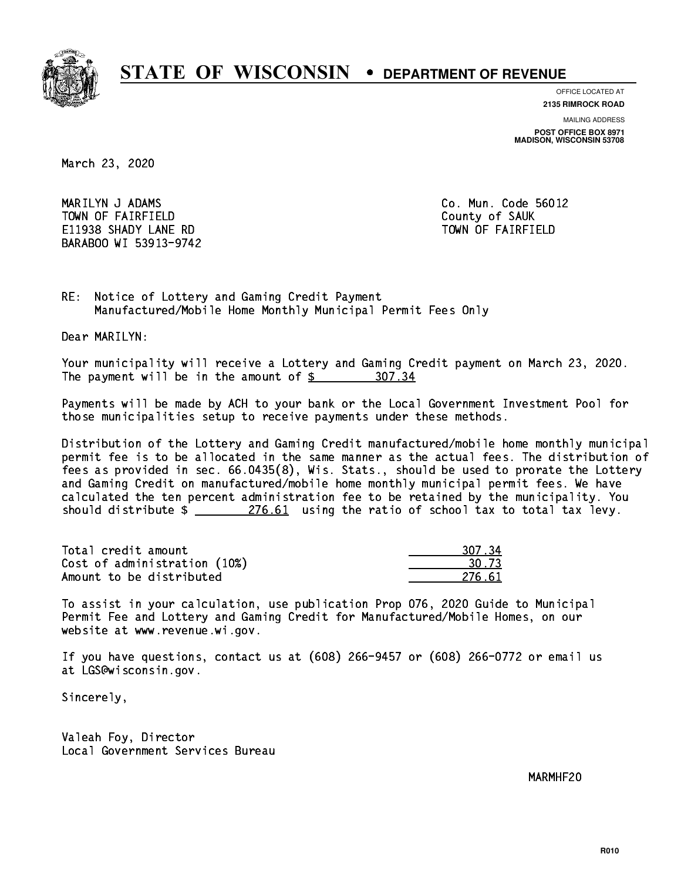

**OFFICE LOCATED AT**

**2135 RIMROCK ROAD**

**MAILING ADDRESS POST OFFICE BOX 8971 MADISON, WISCONSIN 53708**

March 23, 2020

 MARILYN J ADAMS Co. Mun. Code 56012 TOWN OF FAIRFIELD County of SAUK E11938 SHADY LANE RD TOWN OF FAIRFIELD BARABOO WI 53913-9742

RE: Notice of Lottery and Gaming Credit Payment Manufactured/Mobile Home Monthly Municipal Permit Fees Only

Dear MARILYN:

 Your municipality will receive a Lottery and Gaming Credit payment on March 23, 2020. The payment will be in the amount of  $$ 307.34$ 

 Payments will be made by ACH to your bank or the Local Government Investment Pool for those municipalities setup to receive payments under these methods.

 Distribution of the Lottery and Gaming Credit manufactured/mobile home monthly municipal permit fee is to be allocated in the same manner as the actual fees. The distribution of fees as provided in sec. 66.0435(8), Wis. Stats., should be used to prorate the Lottery and Gaming Credit on manufactured/mobile home monthly municipal permit fees. We have calculated the ten percent administration fee to be retained by the municipality. You should distribute  $\frac{276.61}{276.61}$  using the ratio of school tax to total tax levy.

Total credit amount Cost of administration (10%) Amount to be distributed

| ገ7 34  |
|--------|
| 1.73   |
| 276.61 |

 To assist in your calculation, use publication Prop 076, 2020 Guide to Municipal Permit Fee and Lottery and Gaming Credit for Manufactured/Mobile Homes, on our website at www.revenue.wi.gov.

 If you have questions, contact us at (608) 266-9457 or (608) 266-0772 or email us at LGS@wisconsin.gov.

Sincerely,

 Valeah Foy, Director Local Government Services Bureau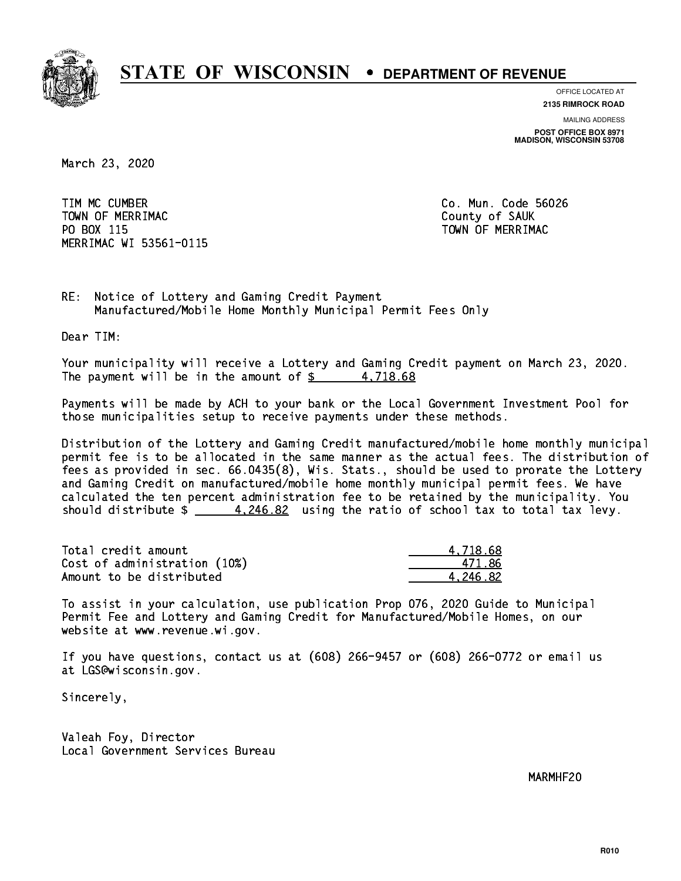

**OFFICE LOCATED AT**

**2135 RIMROCK ROAD**

**MAILING ADDRESS POST OFFICE BOX 8971 MADISON, WISCONSIN 53708**

March 23, 2020

 TIM MC CUMBER Co. Mun. Code 56026 Town of Merriman County of Sauka County of Sauka County of Sauka County of Sauka County of Sauka County of Sau PO BOX 115 PO BOX 115 TOWN OF MERRIMAC MERRIMAC WI 53561-0115

RE: Notice of Lottery and Gaming Credit Payment Manufactured/Mobile Home Monthly Municipal Permit Fees Only

Dear TIM:

 Your municipality will receive a Lottery and Gaming Credit payment on March 23, 2020. The payment will be in the amount of  $\frac{2}{3}$  4,718.68

 Payments will be made by ACH to your bank or the Local Government Investment Pool for those municipalities setup to receive payments under these methods.

 Distribution of the Lottery and Gaming Credit manufactured/mobile home monthly municipal permit fee is to be allocated in the same manner as the actual fees. The distribution of fees as provided in sec. 66.0435(8), Wis. Stats., should be used to prorate the Lottery and Gaming Credit on manufactured/mobile home monthly municipal permit fees. We have calculated the ten percent administration fee to be retained by the municipality. You should distribute  $\frac{4.246.82}{2}$  using the ratio of school tax to total tax levy.

| Total credit amount          | 4.718.68 |
|------------------------------|----------|
| Cost of administration (10%) | 471.86   |
| Amount to be distributed     | 4.246.82 |

 To assist in your calculation, use publication Prop 076, 2020 Guide to Municipal Permit Fee and Lottery and Gaming Credit for Manufactured/Mobile Homes, on our website at www.revenue.wi.gov.

 If you have questions, contact us at (608) 266-9457 or (608) 266-0772 or email us at LGS@wisconsin.gov.

Sincerely,

 Valeah Foy, Director Local Government Services Bureau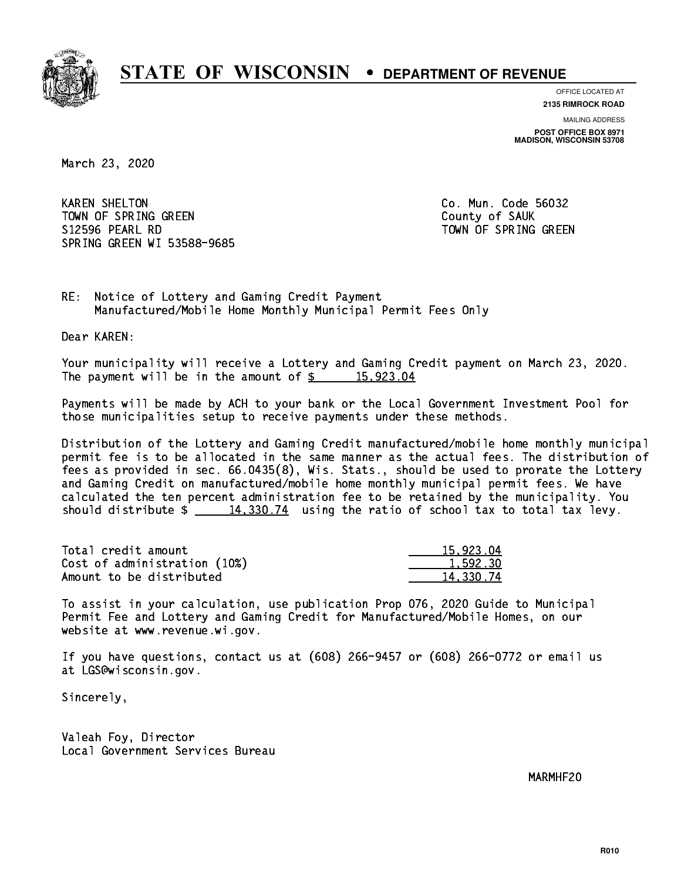

**OFFICE LOCATED AT**

**2135 RIMROCK ROAD**

**MAILING ADDRESS POST OFFICE BOX 8971 MADISON, WISCONSIN 53708**

March 23, 2020

**KAREN SHELTON** TOWN OF SPRING GREEN COUNTY OF SAUK S12596 PEARL RD TOWN OF SPRING GREEN SPRING GREEN WI 53588-9685

Co. Mun. Code 56032

RE: Notice of Lottery and Gaming Credit Payment Manufactured/Mobile Home Monthly Municipal Permit Fees Only

Dear KAREN:

 Your municipality will receive a Lottery and Gaming Credit payment on March 23, 2020. The payment will be in the amount of  $\frac{2}{3}$  15,923.04

 Payments will be made by ACH to your bank or the Local Government Investment Pool for those municipalities setup to receive payments under these methods.

 Distribution of the Lottery and Gaming Credit manufactured/mobile home monthly municipal permit fee is to be allocated in the same manner as the actual fees. The distribution of fees as provided in sec. 66.0435(8), Wis. Stats., should be used to prorate the Lottery and Gaming Credit on manufactured/mobile home monthly municipal permit fees. We have calculated the ten percent administration fee to be retained by the municipality. You should distribute  $\frac{2}{14,330.74}$  using the ratio of school tax to total tax levy.

| Total credit amount          | 15,923.04 |
|------------------------------|-----------|
| Cost of administration (10%) | 1,592.30  |
| Amount to be distributed     | 14.330.74 |

 To assist in your calculation, use publication Prop 076, 2020 Guide to Municipal Permit Fee and Lottery and Gaming Credit for Manufactured/Mobile Homes, on our website at www.revenue.wi.gov.

 If you have questions, contact us at (608) 266-9457 or (608) 266-0772 or email us at LGS@wisconsin.gov.

Sincerely,

 Valeah Foy, Director Local Government Services Bureau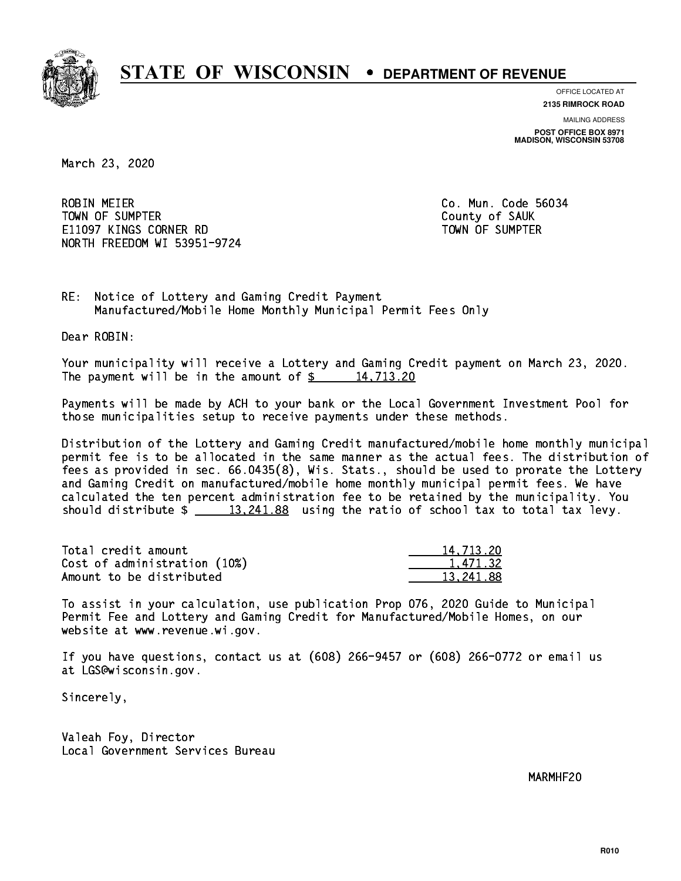

**OFFICE LOCATED AT**

**2135 RIMROCK ROAD**

**MAILING ADDRESS POST OFFICE BOX 8971 MADISON, WISCONSIN 53708**

March 23, 2020

**ROBIN MEIER**  TOWN OF SUMPTER County of SAUK E11097 KINGS CORNER RD TOWN OF SUMPTER NORTH FREEDOM WI 53951-9724

Co. Mun. Code 56034

RE: Notice of Lottery and Gaming Credit Payment Manufactured/Mobile Home Monthly Municipal Permit Fees Only

Dear ROBIN:

 Your municipality will receive a Lottery and Gaming Credit payment on March 23, 2020. The payment will be in the amount of  $\frac{2}{3}$  14,713.20

 Payments will be made by ACH to your bank or the Local Government Investment Pool for those municipalities setup to receive payments under these methods.

 Distribution of the Lottery and Gaming Credit manufactured/mobile home monthly municipal permit fee is to be allocated in the same manner as the actual fees. The distribution of fees as provided in sec. 66.0435(8), Wis. Stats., should be used to prorate the Lottery and Gaming Credit on manufactured/mobile home monthly municipal permit fees. We have calculated the ten percent administration fee to be retained by the municipality. You should distribute  $\frac{13,241.88}{2}$  using the ratio of school tax to total tax levy.

| Total credit amount          | 14,713.20 |
|------------------------------|-----------|
| Cost of administration (10%) | 1.471.32  |
| Amount to be distributed     | 13.241.88 |

 To assist in your calculation, use publication Prop 076, 2020 Guide to Municipal Permit Fee and Lottery and Gaming Credit for Manufactured/Mobile Homes, on our website at www.revenue.wi.gov.

 If you have questions, contact us at (608) 266-9457 or (608) 266-0772 or email us at LGS@wisconsin.gov.

Sincerely,

 Valeah Foy, Director Local Government Services Bureau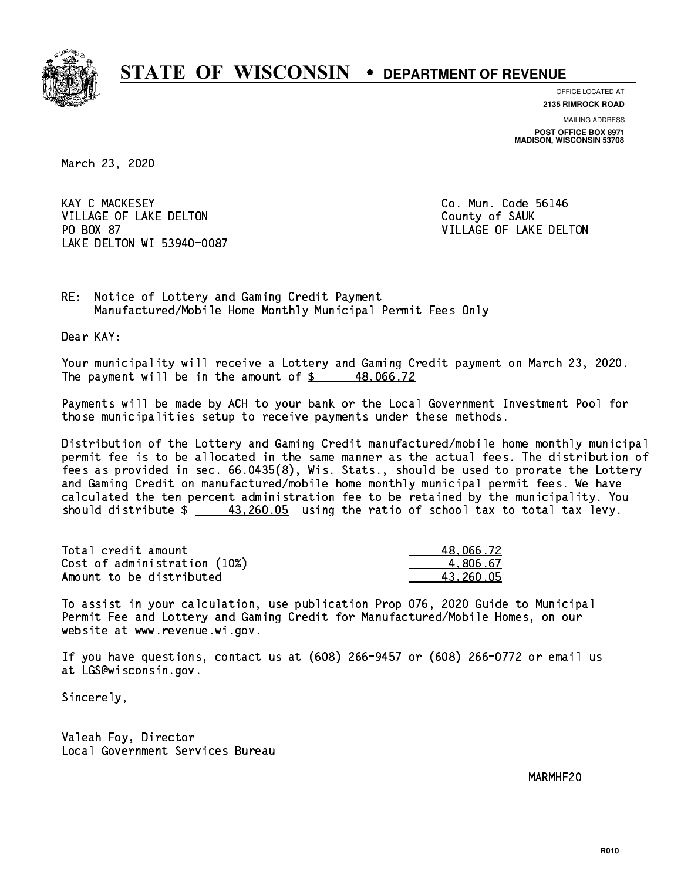

**OFFICE LOCATED AT**

**2135 RIMROCK ROAD**

**MAILING ADDRESS POST OFFICE BOX 8971 MADISON, WISCONSIN 53708**

March 23, 2020

**KAY C MACKESEY** VILLAGE OF LAKE DELTON COUNTY OF SAUK PO BOX 87 LAKE DELTON WI 53940-0087

Co. Mun. Code 56146 VILLAGE OF LAKE DELTON

RE: Notice of Lottery and Gaming Credit Payment Manufactured/Mobile Home Monthly Municipal Permit Fees Only

Dear KAY:

 Your municipality will receive a Lottery and Gaming Credit payment on March 23, 2020. The payment will be in the amount of  $\frac{2}{3}$  48,066.72

 Payments will be made by ACH to your bank or the Local Government Investment Pool for those municipalities setup to receive payments under these methods.

 Distribution of the Lottery and Gaming Credit manufactured/mobile home monthly municipal permit fee is to be allocated in the same manner as the actual fees. The distribution of fees as provided in sec. 66.0435(8), Wis. Stats., should be used to prorate the Lottery and Gaming Credit on manufactured/mobile home monthly municipal permit fees. We have calculated the ten percent administration fee to be retained by the municipality. You should distribute  $\frac{43,260.05}{2}$  using the ratio of school tax to total tax levy.

| Total credit amount          | 48,066.72 |
|------------------------------|-----------|
| Cost of administration (10%) | 4.806.67  |
| Amount to be distributed     | 43.260.05 |

 To assist in your calculation, use publication Prop 076, 2020 Guide to Municipal Permit Fee and Lottery and Gaming Credit for Manufactured/Mobile Homes, on our website at www.revenue.wi.gov.

 If you have questions, contact us at (608) 266-9457 or (608) 266-0772 or email us at LGS@wisconsin.gov.

Sincerely,

 Valeah Foy, Director Local Government Services Bureau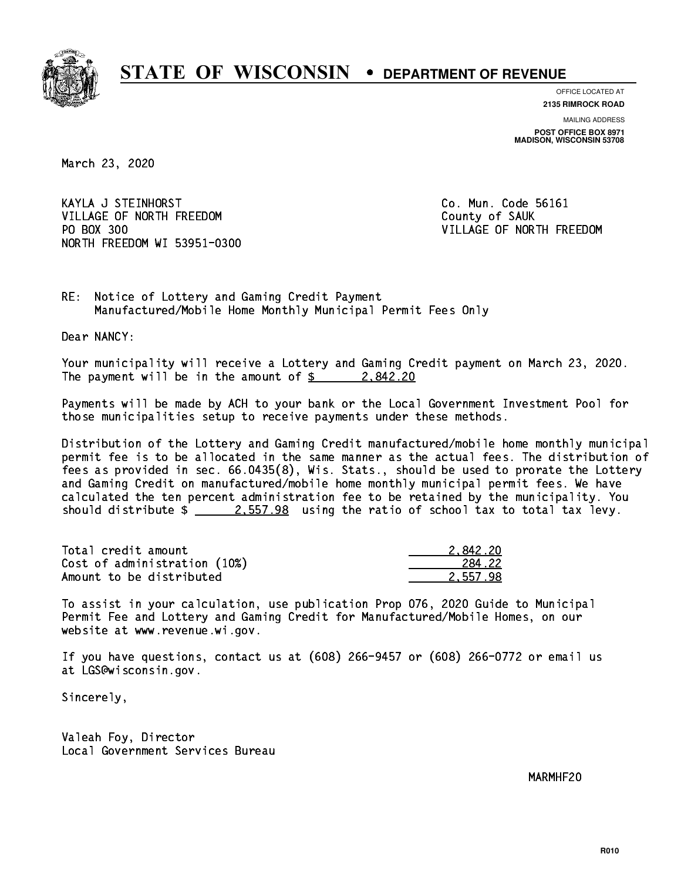

**OFFICE LOCATED AT**

**2135 RIMROCK ROAD**

**MAILING ADDRESS POST OFFICE BOX 8971 MADISON, WISCONSIN 53708**

March 23, 2020

 KAYLA J STEINHORST Co. Mun. Code 56161 VILLAGE OF NORTH FREEDOM County of SAUK PO BOX 300 NORTH FREEDOM WI 53951-0300

VILLAGE OF NORTH FREEDOM

RE: Notice of Lottery and Gaming Credit Payment Manufactured/Mobile Home Monthly Municipal Permit Fees Only

Dear NANCY:

 Your municipality will receive a Lottery and Gaming Credit payment on March 23, 2020. The payment will be in the amount of  $\frac{2.842.20}{2.002}$ 

 Payments will be made by ACH to your bank or the Local Government Investment Pool for those municipalities setup to receive payments under these methods.

 Distribution of the Lottery and Gaming Credit manufactured/mobile home monthly municipal permit fee is to be allocated in the same manner as the actual fees. The distribution of fees as provided in sec. 66.0435(8), Wis. Stats., should be used to prorate the Lottery and Gaming Credit on manufactured/mobile home monthly municipal permit fees. We have calculated the ten percent administration fee to be retained by the municipality. You should distribute  $\frac{2.557.98}{2.557.98}$  using the ratio of school tax to total tax levy.

| Total credit amount          | 2.842.20 |
|------------------------------|----------|
| Cost of administration (10%) | 284.22   |
| Amount to be distributed     | 2.557.98 |

 To assist in your calculation, use publication Prop 076, 2020 Guide to Municipal Permit Fee and Lottery and Gaming Credit for Manufactured/Mobile Homes, on our website at www.revenue.wi.gov.

 If you have questions, contact us at (608) 266-9457 or (608) 266-0772 or email us at LGS@wisconsin.gov.

Sincerely,

 Valeah Foy, Director Local Government Services Bureau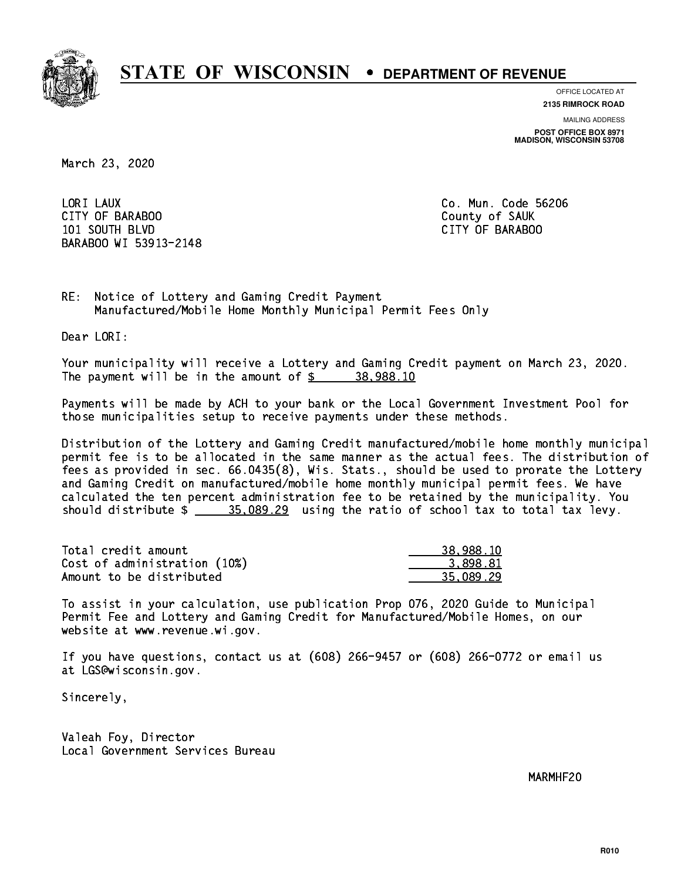

**OFFICE LOCATED AT**

**MAILING ADDRESS 2135 RIMROCK ROAD**

**POST OFFICE BOX 8971 MADISON, WISCONSIN 53708**

March 23, 2020

LORI LAUX CITY OF BARABOO County of SAUK 101 SOUTH BLVD CITY OF BARABOO BARABOO WI 53913-2148

Co. Mun. Code 56206

RE: Notice of Lottery and Gaming Credit Payment Manufactured/Mobile Home Monthly Municipal Permit Fees Only

Dear LORI:

 Your municipality will receive a Lottery and Gaming Credit payment on March 23, 2020. The payment will be in the amount of  $\frac{2}{3}$  38,988.10

 Payments will be made by ACH to your bank or the Local Government Investment Pool for those municipalities setup to receive payments under these methods.

 Distribution of the Lottery and Gaming Credit manufactured/mobile home monthly municipal permit fee is to be allocated in the same manner as the actual fees. The distribution of fees as provided in sec. 66.0435(8), Wis. Stats., should be used to prorate the Lottery and Gaming Credit on manufactured/mobile home monthly municipal permit fees. We have calculated the ten percent administration fee to be retained by the municipality. You should distribute  $\frac{25.089.29}{2}$  using the ratio of school tax to total tax levy.

| Total credit amount          | 38,988.10 |
|------------------------------|-----------|
| Cost of administration (10%) | 3.898.81  |
| Amount to be distributed     | 35.089.29 |

 To assist in your calculation, use publication Prop 076, 2020 Guide to Municipal Permit Fee and Lottery and Gaming Credit for Manufactured/Mobile Homes, on our website at www.revenue.wi.gov.

 If you have questions, contact us at (608) 266-9457 or (608) 266-0772 or email us at LGS@wisconsin.gov.

Sincerely,

 Valeah Foy, Director Local Government Services Bureau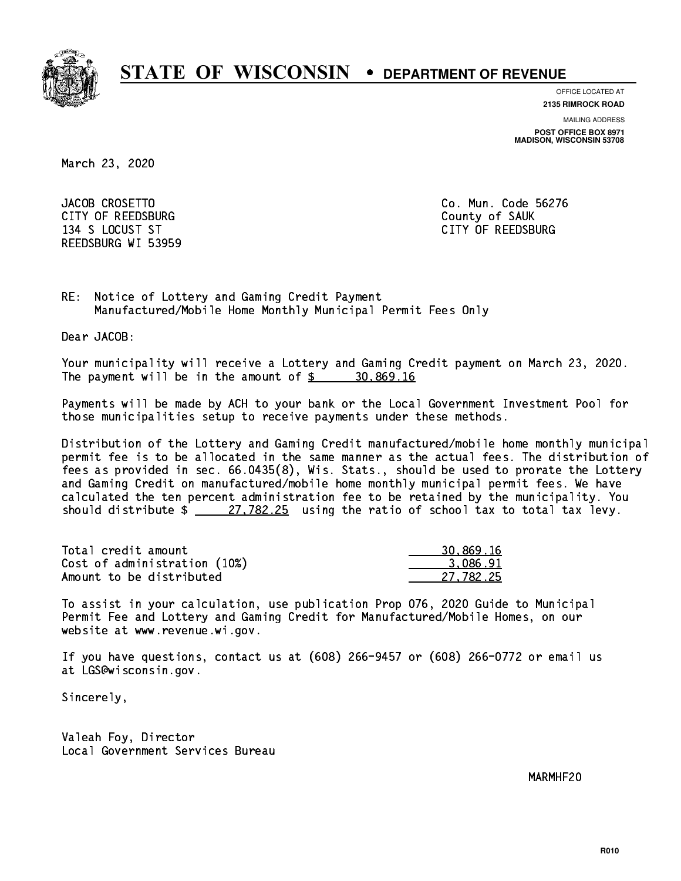

**OFFICE LOCATED AT**

**MAILING ADDRESS 2135 RIMROCK ROAD**

**POST OFFICE BOX 8971 MADISON, WISCONSIN 53708**

March 23, 2020

JACOB CROSETTO CITY OF REEDSBURG COUNTY COUNTY OF SAUK 134 S LOCUST ST CITY OF REEDSBURG REEDSBURG WI 53959

Co. Mun. Code 56276

RE: Notice of Lottery and Gaming Credit Payment Manufactured/Mobile Home Monthly Municipal Permit Fees Only

Dear JACOB:

 Your municipality will receive a Lottery and Gaming Credit payment on March 23, 2020. The payment will be in the amount of  $\frac{2}{3}$  30,869.16

 Payments will be made by ACH to your bank or the Local Government Investment Pool for those municipalities setup to receive payments under these methods.

 Distribution of the Lottery and Gaming Credit manufactured/mobile home monthly municipal permit fee is to be allocated in the same manner as the actual fees. The distribution of fees as provided in sec. 66.0435(8), Wis. Stats., should be used to prorate the Lottery and Gaming Credit on manufactured/mobile home monthly municipal permit fees. We have calculated the ten percent administration fee to be retained by the municipality. You should distribute  $\frac{27.782.25}{27.782.25}$  using the ratio of school tax to total tax levy.

| Total credit amount          | 30,869.16 |
|------------------------------|-----------|
| Cost of administration (10%) | 3.086.91  |
| Amount to be distributed     | 27.782.25 |

 To assist in your calculation, use publication Prop 076, 2020 Guide to Municipal Permit Fee and Lottery and Gaming Credit for Manufactured/Mobile Homes, on our website at www.revenue.wi.gov.

 If you have questions, contact us at (608) 266-9457 or (608) 266-0772 or email us at LGS@wisconsin.gov.

Sincerely,

 Valeah Foy, Director Local Government Services Bureau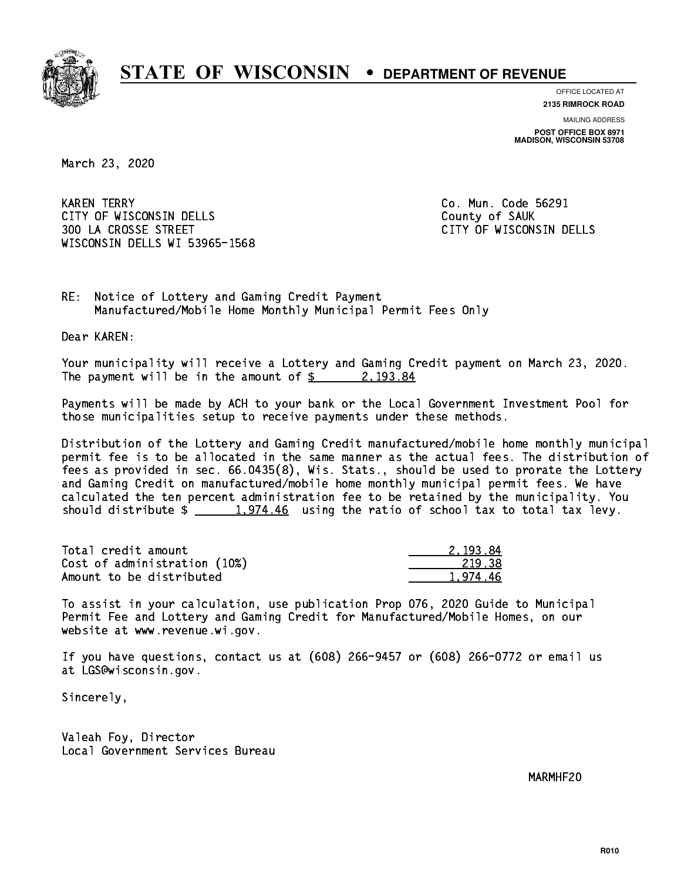

**OFFICE LOCATED AT**

**2135 RIMROCK ROAD**

**MAILING ADDRESS POST OFFICE BOX 8971 MADISON, WISCONSIN 53708**

March 23, 2020

**KAREN TERRY** CITY OF WISCONSIN DELLS COUNTY OF SAUK 300 LA CROSSE STREET CITY OF WISCONSIN DELLS WISCONSIN DELLS WI 53965-1568

Co. Mun. Code 56291

RE: Notice of Lottery and Gaming Credit Payment Manufactured/Mobile Home Monthly Municipal Permit Fees Only

Dear KAREN:

 Your municipality will receive a Lottery and Gaming Credit payment on March 23, 2020. The payment will be in the amount of  $\frac{2}{3}$  2,193.84

 Payments will be made by ACH to your bank or the Local Government Investment Pool for those municipalities setup to receive payments under these methods.

 Distribution of the Lottery and Gaming Credit manufactured/mobile home monthly municipal permit fee is to be allocated in the same manner as the actual fees. The distribution of fees as provided in sec. 66.0435(8), Wis. Stats., should be used to prorate the Lottery and Gaming Credit on manufactured/mobile home monthly municipal permit fees. We have calculated the ten percent administration fee to be retained by the municipality. You should distribute  $\frac{1,974.46}{2}$  using the ratio of school tax to total tax levy.

| Total credit amount          | 2.193.84 |
|------------------------------|----------|
| Cost of administration (10%) | 219.38   |
| Amount to be distributed     | 1.974.46 |

 To assist in your calculation, use publication Prop 076, 2020 Guide to Municipal Permit Fee and Lottery and Gaming Credit for Manufactured/Mobile Homes, on our website at www.revenue.wi.gov.

 If you have questions, contact us at (608) 266-9457 or (608) 266-0772 or email us at LGS@wisconsin.gov.

Sincerely,

 Valeah Foy, Director Local Government Services Bureau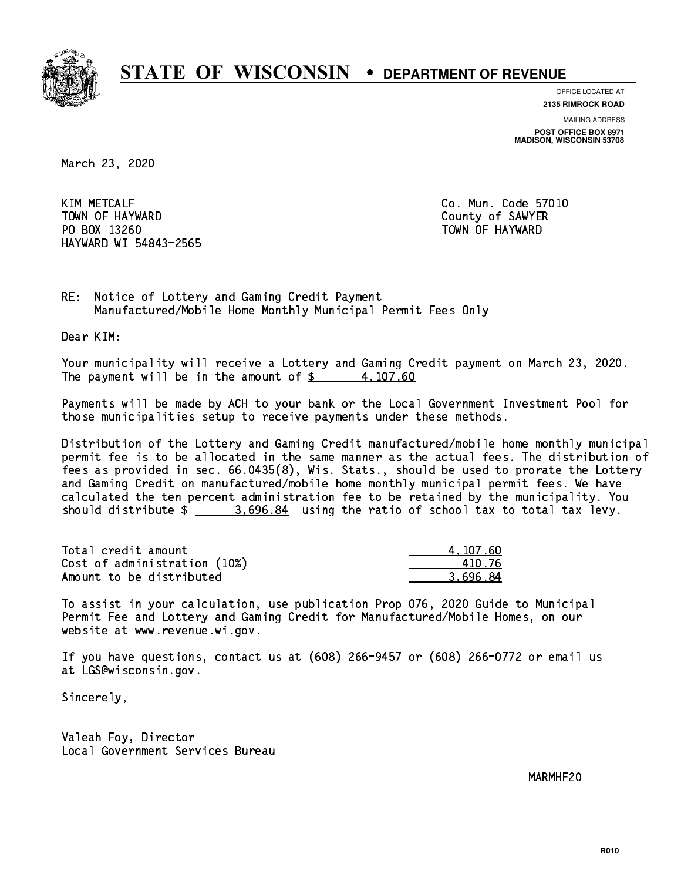

**OFFICE LOCATED AT**

**2135 RIMROCK ROAD**

**MAILING ADDRESS POST OFFICE BOX 8971 MADISON, WISCONSIN 53708**

March 23, 2020

**KIM METCALF** TOWN OF HAYWARD COUNTY OF SAMPLE COUNTY OF SAMPLER PO BOX 13260 TOWN OF HAYWARD HAYWARD WI 54843-2565

Co. Mun. Code 57010

RE: Notice of Lottery and Gaming Credit Payment Manufactured/Mobile Home Monthly Municipal Permit Fees Only

Dear KIM:

 Your municipality will receive a Lottery and Gaming Credit payment on March 23, 2020. The payment will be in the amount of  $\frac{2}{3}$  4,107.60

 Payments will be made by ACH to your bank or the Local Government Investment Pool for those municipalities setup to receive payments under these methods.

 Distribution of the Lottery and Gaming Credit manufactured/mobile home monthly municipal permit fee is to be allocated in the same manner as the actual fees. The distribution of fees as provided in sec. 66.0435(8), Wis. Stats., should be used to prorate the Lottery and Gaming Credit on manufactured/mobile home monthly municipal permit fees. We have calculated the ten percent administration fee to be retained by the municipality. You should distribute  $\frac{2.5696.84}{2.696.84}$  using the ratio of school tax to total tax levy.

| Total credit amount          | 4.107.60 |
|------------------------------|----------|
| Cost of administration (10%) | 410 76   |
| Amount to be distributed     | 3.696.84 |

 To assist in your calculation, use publication Prop 076, 2020 Guide to Municipal Permit Fee and Lottery and Gaming Credit for Manufactured/Mobile Homes, on our website at www.revenue.wi.gov.

 If you have questions, contact us at (608) 266-9457 or (608) 266-0772 or email us at LGS@wisconsin.gov.

Sincerely,

 Valeah Foy, Director Local Government Services Bureau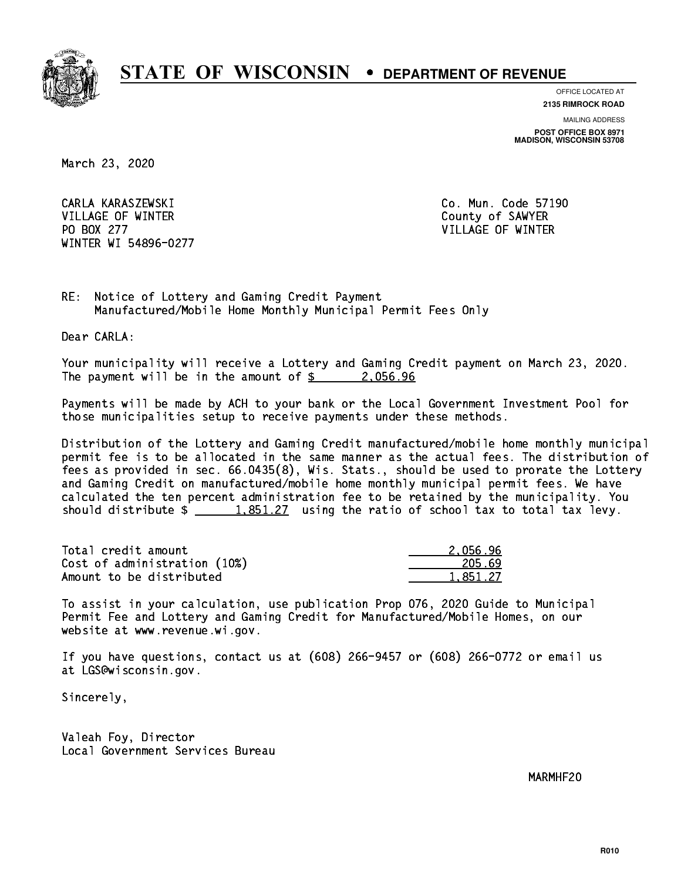

**OFFICE LOCATED AT**

**2135 RIMROCK ROAD**

**MAILING ADDRESS**

**POST OFFICE BOX 8971 MADISON, WISCONSIN 53708**

March 23, 2020

 CARLA KARASZEWSKI Co. Mun. Code 57190 VILLAGE OF WINTER COUNTY OF SAMPLE COUNTY OF SAMPLE COUNTY OF SAMPLE COUNTY OF SAMPLE COUNTY OF SAMPLE COUNTY OF SAMPLE COUNTY OF SAMPLE COUNTY OF SAMPLE COUNTY OF SAMPLE COUNTY OF SAMPLE COUNTY OF SAMPLE COUNTY OF SAMPLE PO BOX 277 VILLAGE OF WINTER WINTER WI 54896-0277

RE: Notice of Lottery and Gaming Credit Payment Manufactured/Mobile Home Monthly Municipal Permit Fees Only

Dear CARLA:

 Your municipality will receive a Lottery and Gaming Credit payment on March 23, 2020. The payment will be in the amount of  $\frac{2.056.96}{2.2}$ 

 Payments will be made by ACH to your bank or the Local Government Investment Pool for those municipalities setup to receive payments under these methods.

 Distribution of the Lottery and Gaming Credit manufactured/mobile home monthly municipal permit fee is to be allocated in the same manner as the actual fees. The distribution of fees as provided in sec. 66.0435(8), Wis. Stats., should be used to prorate the Lottery and Gaming Credit on manufactured/mobile home monthly municipal permit fees. We have calculated the ten percent administration fee to be retained by the municipality. You should distribute  $\frac{1.851.27}{1.851.27}$  using the ratio of school tax to total tax levy.

| Total credit amount          | 2.056.96 |
|------------------------------|----------|
| Cost of administration (10%) | 205.69   |
| Amount to be distributed     | 1.851.27 |

 To assist in your calculation, use publication Prop 076, 2020 Guide to Municipal Permit Fee and Lottery and Gaming Credit for Manufactured/Mobile Homes, on our website at www.revenue.wi.gov.

 If you have questions, contact us at (608) 266-9457 or (608) 266-0772 or email us at LGS@wisconsin.gov.

Sincerely,

 Valeah Foy, Director Local Government Services Bureau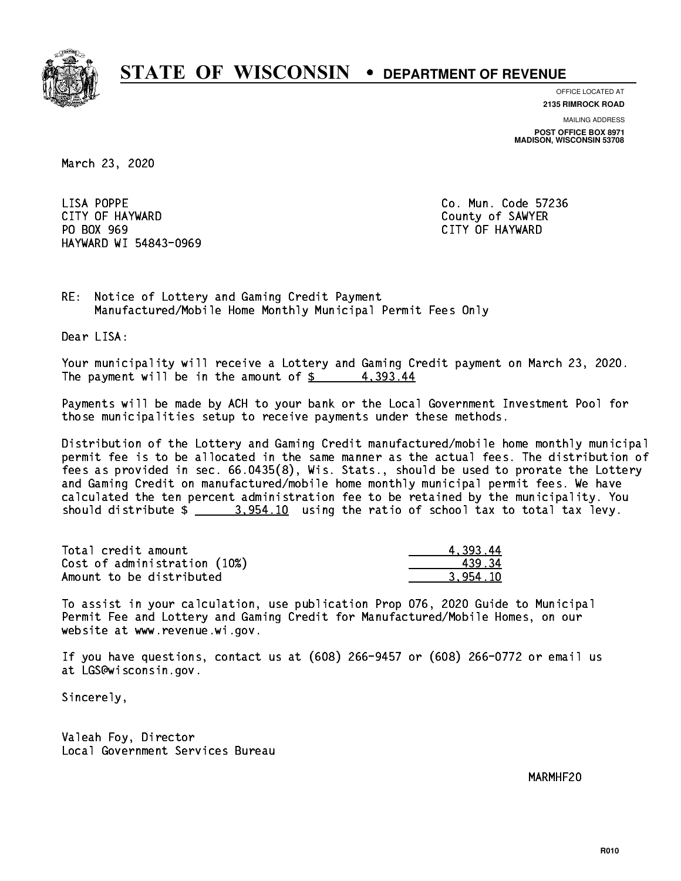

**OFFICE LOCATED AT**

**MAILING ADDRESS 2135 RIMROCK ROAD**

**POST OFFICE BOX 8971 MADISON, WISCONSIN 53708**

March 23, 2020

LISA POPPE CITY OF HAYWARD County of SAWYER PO BOX 969 PO BOX 969 CITY OF HAYWARD HAYWARD WI 54843-0969

Co. Mun. Code 57236

RE: Notice of Lottery and Gaming Credit Payment Manufactured/Mobile Home Monthly Municipal Permit Fees Only

Dear LISA:

 Your municipality will receive a Lottery and Gaming Credit payment on March 23, 2020. The payment will be in the amount of  $\frac{2}{3}$  4,393.44

 Payments will be made by ACH to your bank or the Local Government Investment Pool for those municipalities setup to receive payments under these methods.

 Distribution of the Lottery and Gaming Credit manufactured/mobile home monthly municipal permit fee is to be allocated in the same manner as the actual fees. The distribution of fees as provided in sec. 66.0435(8), Wis. Stats., should be used to prorate the Lottery and Gaming Credit on manufactured/mobile home monthly municipal permit fees. We have calculated the ten percent administration fee to be retained by the municipality. You should distribute  $\frac{2}{2}$   $\frac{3.954.10}{2}$  using the ratio of school tax to total tax levy.

| Total credit amount          | 4.393.44 |
|------------------------------|----------|
| Cost of administration (10%) | 43934    |
| Amount to be distributed     | 3.954.10 |

 To assist in your calculation, use publication Prop 076, 2020 Guide to Municipal Permit Fee and Lottery and Gaming Credit for Manufactured/Mobile Homes, on our website at www.revenue.wi.gov.

 If you have questions, contact us at (608) 266-9457 or (608) 266-0772 or email us at LGS@wisconsin.gov.

Sincerely,

 Valeah Foy, Director Local Government Services Bureau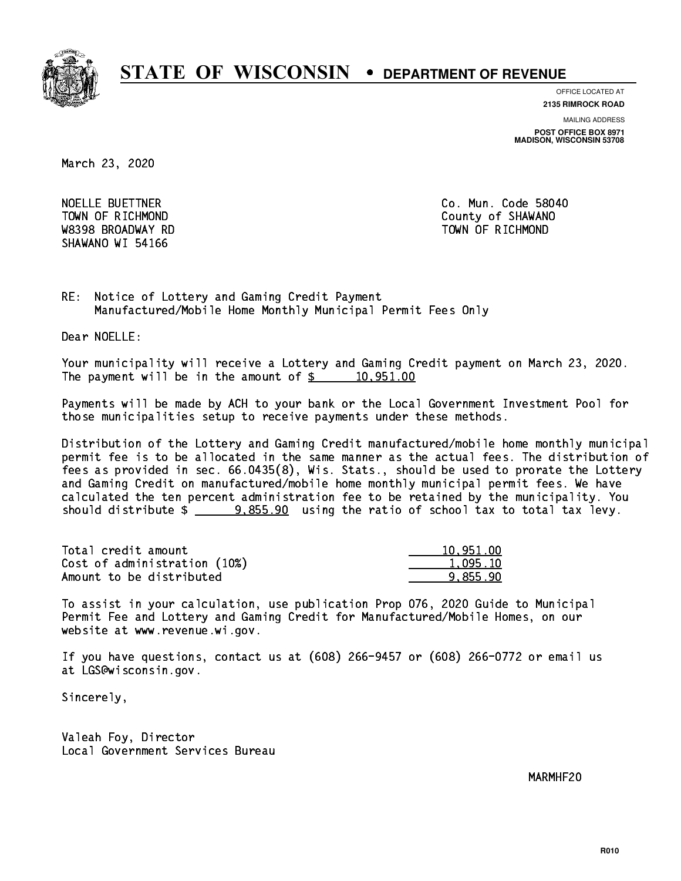

**OFFICE LOCATED AT**

**2135 RIMROCK ROAD**

**MAILING ADDRESS POST OFFICE BOX 8971 MADISON, WISCONSIN 53708**

March 23, 2020

NOELLE BUETTNER **Co. Mun. Code 58040**  W8398 BROADWAY RD TOWN OF RICHMOND SHAWANO WI 54166

TOWN OF RICHMOND COUNTY OF SHAWANO

RE: Notice of Lottery and Gaming Credit Payment Manufactured/Mobile Home Monthly Municipal Permit Fees Only

Dear NOELLE:

 Your municipality will receive a Lottery and Gaming Credit payment on March 23, 2020. The payment will be in the amount of  $\frac{2}{3}$  10,951.00

 Payments will be made by ACH to your bank or the Local Government Investment Pool for those municipalities setup to receive payments under these methods.

 Distribution of the Lottery and Gaming Credit manufactured/mobile home monthly municipal permit fee is to be allocated in the same manner as the actual fees. The distribution of fees as provided in sec. 66.0435(8), Wis. Stats., should be used to prorate the Lottery and Gaming Credit on manufactured/mobile home monthly municipal permit fees. We have calculated the ten percent administration fee to be retained by the municipality. You should distribute  $\frac{2}{2}$   $\frac{9,855.90}{2}$  using the ratio of school tax to total tax levy.

| Total credit amount          | 10.951.00 |
|------------------------------|-----------|
| Cost of administration (10%) | 1,095.10  |
| Amount to be distributed     | 9.855.90  |

 To assist in your calculation, use publication Prop 076, 2020 Guide to Municipal Permit Fee and Lottery and Gaming Credit for Manufactured/Mobile Homes, on our website at www.revenue.wi.gov.

 If you have questions, contact us at (608) 266-9457 or (608) 266-0772 or email us at LGS@wisconsin.gov.

Sincerely,

 Valeah Foy, Director Local Government Services Bureau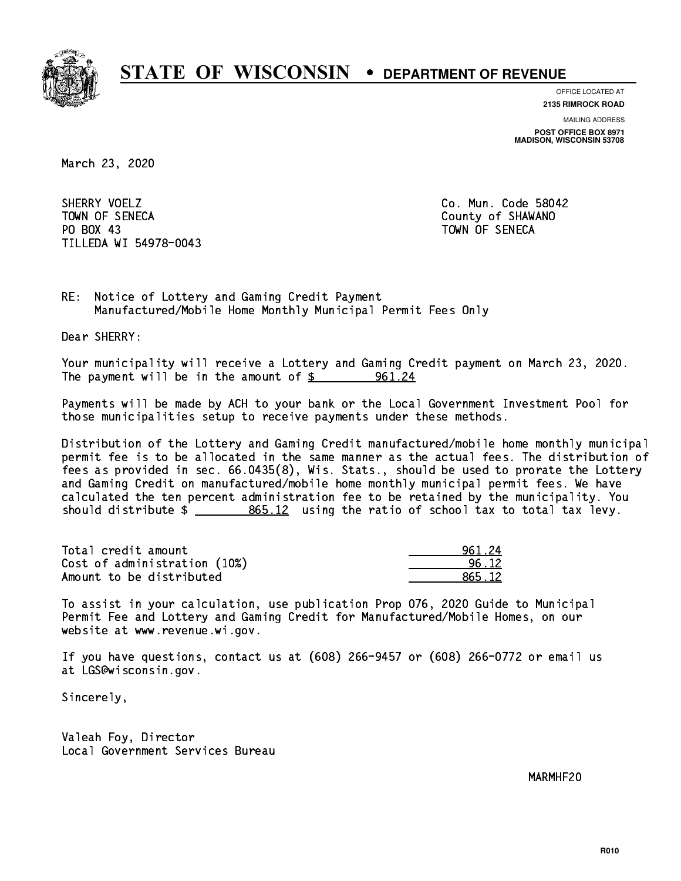

**OFFICE LOCATED AT 2135 RIMROCK ROAD**

**MAILING ADDRESS**

**POST OFFICE BOX 8971 MADISON, WISCONSIN 53708**

March 23, 2020

SHERRY VOELZ TOWN OF SENECA County of SHAWANO PO BOX 43 PO BOX 43 TOWN OF SENECA TILLEDA WI 54978-0043

Co. Mun. Code 58042

RE: Notice of Lottery and Gaming Credit Payment Manufactured/Mobile Home Monthly Municipal Permit Fees Only

Dear SHERRY:

 Your municipality will receive a Lottery and Gaming Credit payment on March 23, 2020. The payment will be in the amount of  $\frac{2}{1}$  961.24

 Payments will be made by ACH to your bank or the Local Government Investment Pool for those municipalities setup to receive payments under these methods.

 Distribution of the Lottery and Gaming Credit manufactured/mobile home monthly municipal permit fee is to be allocated in the same manner as the actual fees. The distribution of fees as provided in sec. 66.0435(8), Wis. Stats., should be used to prorate the Lottery and Gaming Credit on manufactured/mobile home monthly municipal permit fees. We have calculated the ten percent administration fee to be retained by the municipality. You should distribute  $\frac{2}{2}$   $\frac{865.12}{2}$  using the ratio of school tax to total tax levy.

| Total credit amount          | 961.24 |
|------------------------------|--------|
| Cost of administration (10%) | 96 12  |
| Amount to be distributed     | 865.12 |

 To assist in your calculation, use publication Prop 076, 2020 Guide to Municipal Permit Fee and Lottery and Gaming Credit for Manufactured/Mobile Homes, on our website at www.revenue.wi.gov.

 If you have questions, contact us at (608) 266-9457 or (608) 266-0772 or email us at LGS@wisconsin.gov.

Sincerely,

 Valeah Foy, Director Local Government Services Bureau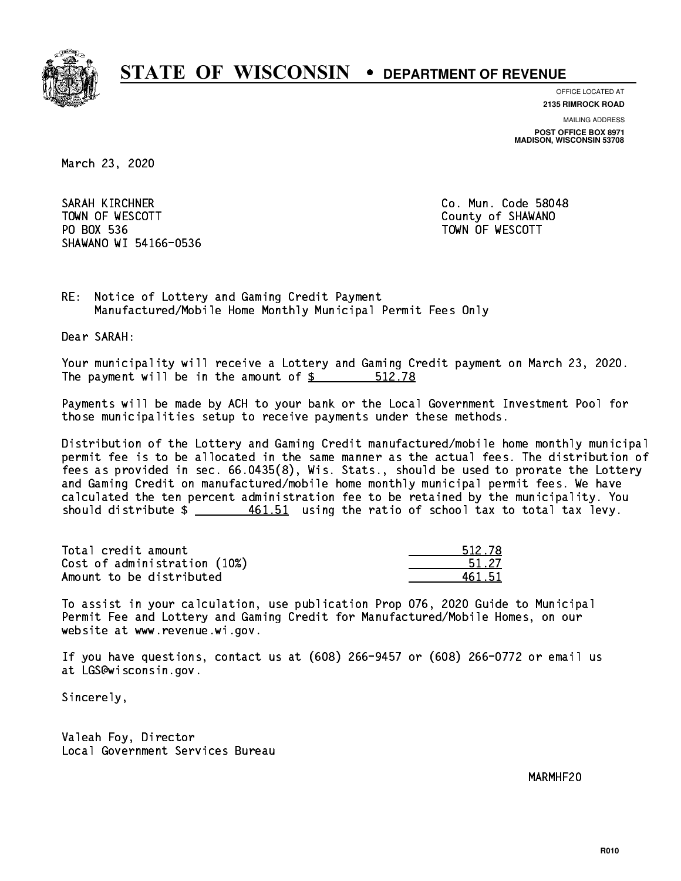

**OFFICE LOCATED AT**

**2135 RIMROCK ROAD**

**MAILING ADDRESS**

**POST OFFICE BOX 8971 MADISON, WISCONSIN 53708**

March 23, 2020

SARAH KIRCHNER CO. Mun. Code 58048 TOWN OF WESCOTT SALES TO THE COUNTY OF SHAWANO PO BOX 536 PO BOX 536 TOWN OF WESCOTT SHAWANO WI 54166-0536

RE: Notice of Lottery and Gaming Credit Payment Manufactured/Mobile Home Monthly Municipal Permit Fees Only

Dear SARAH:

 Your municipality will receive a Lottery and Gaming Credit payment on March 23, 2020. The payment will be in the amount of \$ 512.78 \_\_\_\_\_\_\_\_\_\_\_\_\_\_\_\_

 Payments will be made by ACH to your bank or the Local Government Investment Pool for those municipalities setup to receive payments under these methods.

 Distribution of the Lottery and Gaming Credit manufactured/mobile home monthly municipal permit fee is to be allocated in the same manner as the actual fees. The distribution of fees as provided in sec. 66.0435(8), Wis. Stats., should be used to prorate the Lottery and Gaming Credit on manufactured/mobile home monthly municipal permit fees. We have calculated the ten percent administration fee to be retained by the municipality. You should distribute  $\frac{461.51}{2}$  using the ratio of school tax to total tax levy.

Total credit amount Cost of administration (10%) Amount to be distributed

| 512.78 |
|--------|
| 51 27  |
| 51. 51 |

 To assist in your calculation, use publication Prop 076, 2020 Guide to Municipal Permit Fee and Lottery and Gaming Credit for Manufactured/Mobile Homes, on our website at www.revenue.wi.gov.

 If you have questions, contact us at (608) 266-9457 or (608) 266-0772 or email us at LGS@wisconsin.gov.

Sincerely,

 Valeah Foy, Director Local Government Services Bureau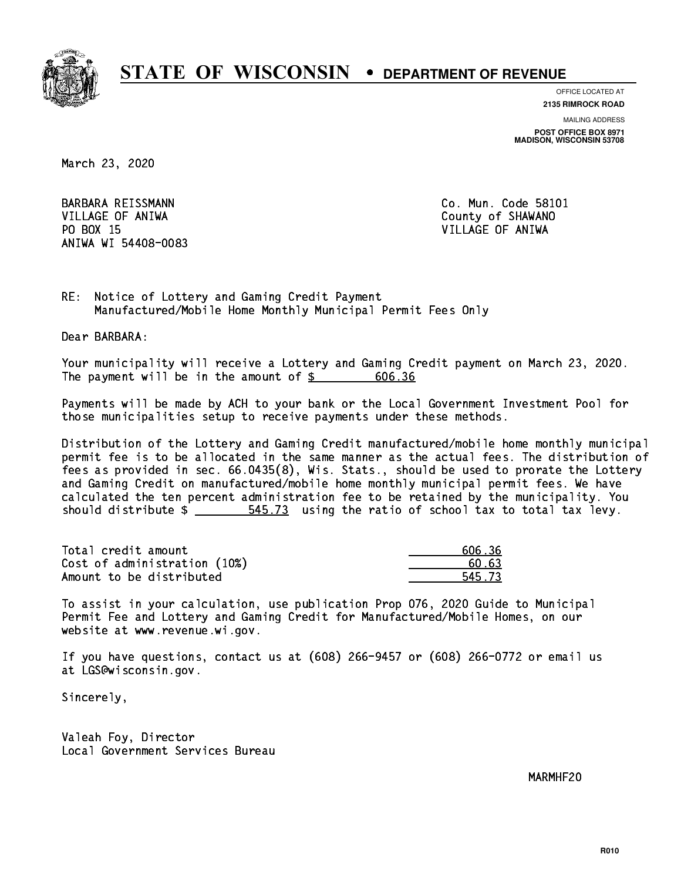

**OFFICE LOCATED AT**

**2135 RIMROCK ROAD**

**MAILING ADDRESS POST OFFICE BOX 8971 MADISON, WISCONSIN 53708**

March 23, 2020

 VILLAGE OF ANIWA County of SHAWANO PO BOX 15 PO BOX 15 VILLAGE OF ANIWA ANIWA WI 54408-0083

BARBARA REISSMANN Co. Mun. Code 58101

RE: Notice of Lottery and Gaming Credit Payment Manufactured/Mobile Home Monthly Municipal Permit Fees Only

Dear BARBARA:

 Your municipality will receive a Lottery and Gaming Credit payment on March 23, 2020. The payment will be in the amount of  $\frac{2}{3}$ 606.36

 Payments will be made by ACH to your bank or the Local Government Investment Pool for those municipalities setup to receive payments under these methods.

 Distribution of the Lottery and Gaming Credit manufactured/mobile home monthly municipal permit fee is to be allocated in the same manner as the actual fees. The distribution of fees as provided in sec. 66.0435(8), Wis. Stats., should be used to prorate the Lottery and Gaming Credit on manufactured/mobile home monthly municipal permit fees. We have calculated the ten percent administration fee to be retained by the municipality. You should distribute  $\frac{2}{1}$   $\frac{545.73}{2}$  using the ratio of school tax to total tax levy.

Total credit amount Cost of administration  $(10%)$ Amount to be distributed

| 606.36 |
|--------|
| 50.63  |
| 5.73   |

 To assist in your calculation, use publication Prop 076, 2020 Guide to Municipal Permit Fee and Lottery and Gaming Credit for Manufactured/Mobile Homes, on our website at www.revenue.wi.gov.

 If you have questions, contact us at (608) 266-9457 or (608) 266-0772 or email us at LGS@wisconsin.gov.

Sincerely,

 Valeah Foy, Director Local Government Services Bureau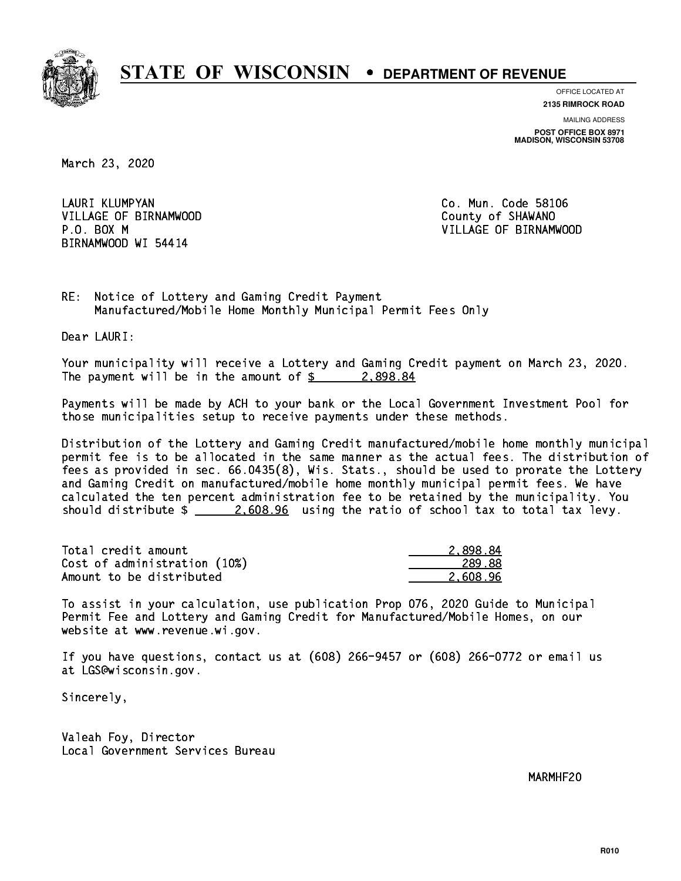

**OFFICE LOCATED AT**

**2135 RIMROCK ROAD**

**MAILING ADDRESS POST OFFICE BOX 8971 MADISON, WISCONSIN 53708**

March 23, 2020

LAURI KLUMPYAN VILLAGE OF BIRNAMWOOD County of SHAWANO BIRNAMWOOD WI 54414

Co. Mun. Code 58106 P.O. BOX M VILLAGE OF BIRNAMWOOD

RE: Notice of Lottery and Gaming Credit Payment Manufactured/Mobile Home Monthly Municipal Permit Fees Only

Dear LAURI:

 Your municipality will receive a Lottery and Gaming Credit payment on March 23, 2020. The payment will be in the amount of  $\frac{2}{3}$  2,898.84

 Payments will be made by ACH to your bank or the Local Government Investment Pool for those municipalities setup to receive payments under these methods.

 Distribution of the Lottery and Gaming Credit manufactured/mobile home monthly municipal permit fee is to be allocated in the same manner as the actual fees. The distribution of fees as provided in sec. 66.0435(8), Wis. Stats., should be used to prorate the Lottery and Gaming Credit on manufactured/mobile home monthly municipal permit fees. We have calculated the ten percent administration fee to be retained by the municipality. You should distribute  $\frac{2.608.96}{2.608.96}$  using the ratio of school tax to total tax levy.

| Total credit amount          | 2.898.84 |
|------------------------------|----------|
| Cost of administration (10%) | 289.88   |
| Amount to be distributed     | 2.608.96 |

 To assist in your calculation, use publication Prop 076, 2020 Guide to Municipal Permit Fee and Lottery and Gaming Credit for Manufactured/Mobile Homes, on our website at www.revenue.wi.gov.

 If you have questions, contact us at (608) 266-9457 or (608) 266-0772 or email us at LGS@wisconsin.gov.

Sincerely,

 Valeah Foy, Director Local Government Services Bureau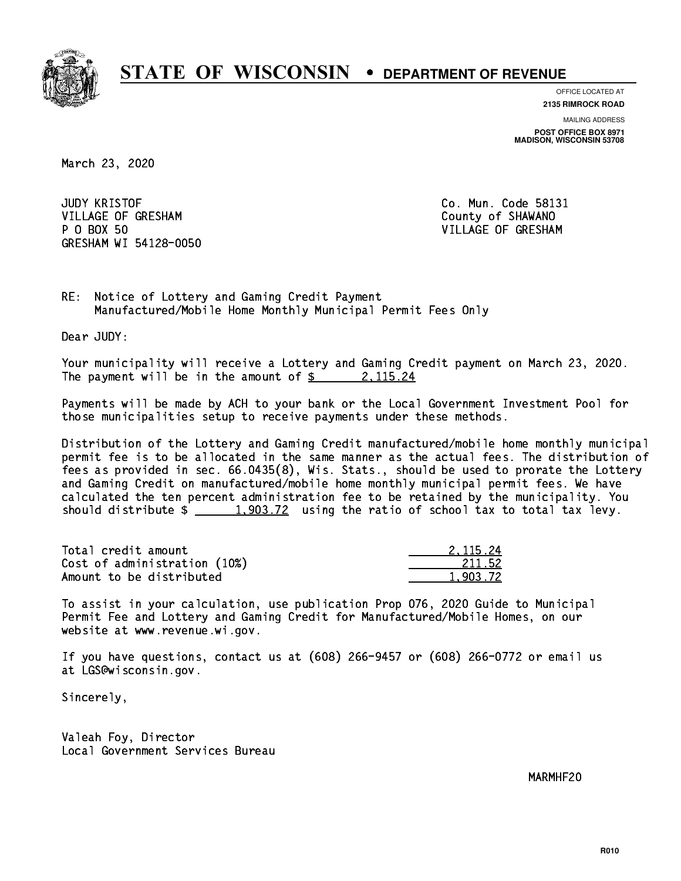

**OFFICE LOCATED AT**

**2135 RIMROCK ROAD**

**MAILING ADDRESS POST OFFICE BOX 8971 MADISON, WISCONSIN 53708**

March 23, 2020

**JUDY KRISTOF** VILLAGE OF GRESHAM COUNTY OF SHAWANO P 0 BOX 50 GRESHAM WI 54128-0050

Co. Mun. Code 58131 VILLAGE OF GRESHAM

RE: Notice of Lottery and Gaming Credit Payment Manufactured/Mobile Home Monthly Municipal Permit Fees Only

Dear JUDY:

 Your municipality will receive a Lottery and Gaming Credit payment on March 23, 2020. The payment will be in the amount of  $\frac{2}{3}$  2, 115.24

 Payments will be made by ACH to your bank or the Local Government Investment Pool for those municipalities setup to receive payments under these methods.

 Distribution of the Lottery and Gaming Credit manufactured/mobile home monthly municipal permit fee is to be allocated in the same manner as the actual fees. The distribution of fees as provided in sec. 66.0435(8), Wis. Stats., should be used to prorate the Lottery and Gaming Credit on manufactured/mobile home monthly municipal permit fees. We have calculated the ten percent administration fee to be retained by the municipality. You should distribute  $\frac{1,903.72}{1}$  using the ratio of school tax to total tax levy.

| Total credit amount          | 2.115.24 |
|------------------------------|----------|
| Cost of administration (10%) | 211.52   |
| Amount to be distributed     | 1.903.72 |

 To assist in your calculation, use publication Prop 076, 2020 Guide to Municipal Permit Fee and Lottery and Gaming Credit for Manufactured/Mobile Homes, on our website at www.revenue.wi.gov.

 If you have questions, contact us at (608) 266-9457 or (608) 266-0772 or email us at LGS@wisconsin.gov.

Sincerely,

 Valeah Foy, Director Local Government Services Bureau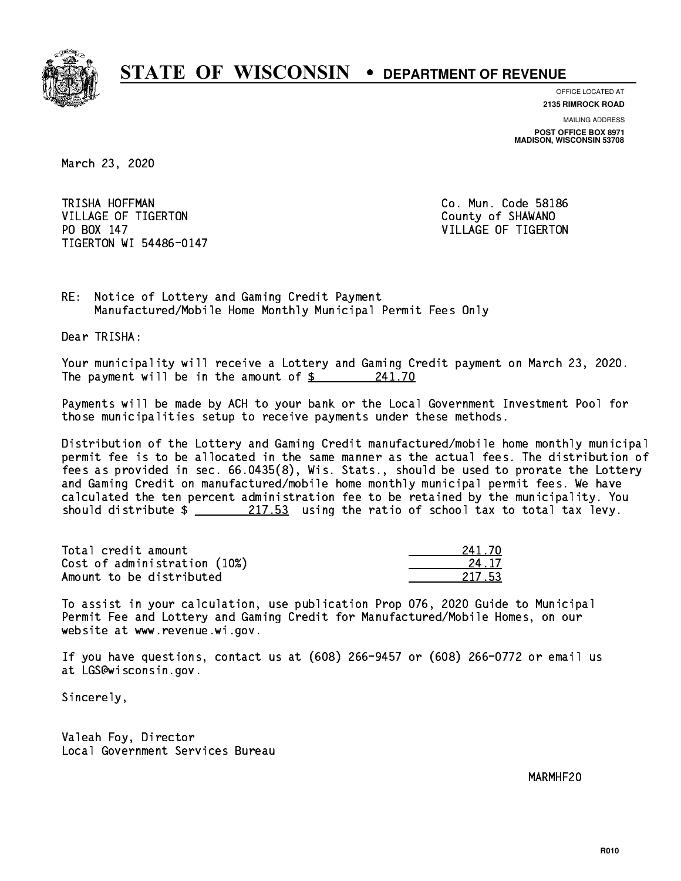

**OFFICE LOCATED AT**

**2135 RIMROCK ROAD**

**MAILING ADDRESS POST OFFICE BOX 8971 MADISON, WISCONSIN 53708**

March 23, 2020

TRISHA HOFFMAN VILLAGE OF TIGERTON COUNTY OF SHAWANO PO BOX 147 VILLAGE OF TIGERTON TIGERTON WI 54486-0147

Co. Mun. Code 58186

RE: Notice of Lottery and Gaming Credit Payment Manufactured/Mobile Home Monthly Municipal Permit Fees Only

Dear TRISHA:

 Your municipality will receive a Lottery and Gaming Credit payment on March 23, 2020. The payment will be in the amount of  $\frac{241.70}{ }$ 

 Payments will be made by ACH to your bank or the Local Government Investment Pool for those municipalities setup to receive payments under these methods.

 Distribution of the Lottery and Gaming Credit manufactured/mobile home monthly municipal permit fee is to be allocated in the same manner as the actual fees. The distribution of fees as provided in sec. 66.0435(8), Wis. Stats., should be used to prorate the Lottery and Gaming Credit on manufactured/mobile home monthly municipal permit fees. We have calculated the ten percent administration fee to be retained by the municipality. You should distribute  $\frac{217.53}{217.53}$  using the ratio of school tax to total tax levy.

Total credit amount Cost of administration (10%) Amount to be distributed

241.70

 To assist in your calculation, use publication Prop 076, 2020 Guide to Municipal Permit Fee and Lottery and Gaming Credit for Manufactured/Mobile Homes, on our website at www.revenue.wi.gov.

 If you have questions, contact us at (608) 266-9457 or (608) 266-0772 or email us at LGS@wisconsin.gov.

Sincerely,

 Valeah Foy, Director Local Government Services Bureau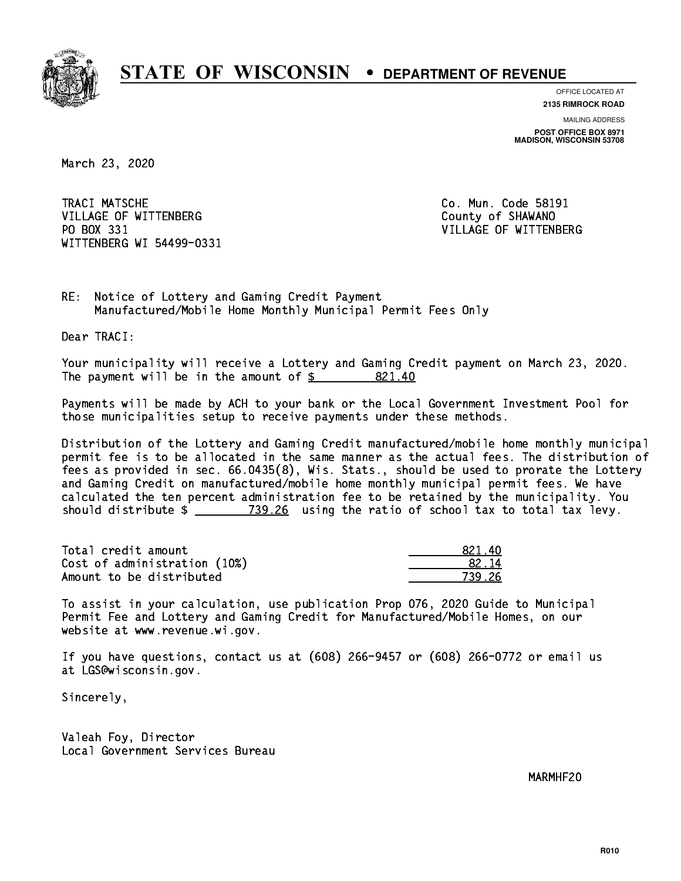

**OFFICE LOCATED AT**

**2135 RIMROCK ROAD**

**MAILING ADDRESS POST OFFICE BOX 8971 MADISON, WISCONSIN 53708**

March 23, 2020

TRACI MATSCHE VILLAGE OF WITTENBERG COUNTY OF SHAWANO PO BOX 331 WITTENBERG WI 54499-0331

Co. Mun. Code 58191 VILLAGE OF WITTENBERG

RE: Notice of Lottery and Gaming Credit Payment Manufactured/Mobile Home Monthly Municipal Permit Fees Only

Dear TRACI:

 Your municipality will receive a Lottery and Gaming Credit payment on March 23, 2020. The payment will be in the amount of \$ 821.40 \_\_\_\_\_\_\_\_\_\_\_\_\_\_\_\_

 Payments will be made by ACH to your bank or the Local Government Investment Pool for those municipalities setup to receive payments under these methods.

 Distribution of the Lottery and Gaming Credit manufactured/mobile home monthly municipal permit fee is to be allocated in the same manner as the actual fees. The distribution of fees as provided in sec. 66.0435(8), Wis. Stats., should be used to prorate the Lottery and Gaming Credit on manufactured/mobile home monthly municipal permit fees. We have calculated the ten percent administration fee to be retained by the municipality. You should distribute \$ 739.26 using the ratio of school tax to total tax levy. \_\_\_\_\_\_\_\_\_\_\_\_\_\_

Total credit amount Cost of administration (10%) Amount to be distributed

| ٠n<br>221. |
|------------|
| {2 ∣4      |
| 7<br>- 26  |

 To assist in your calculation, use publication Prop 076, 2020 Guide to Municipal Permit Fee and Lottery and Gaming Credit for Manufactured/Mobile Homes, on our website at www.revenue.wi.gov.

 If you have questions, contact us at (608) 266-9457 or (608) 266-0772 or email us at LGS@wisconsin.gov.

Sincerely,

 Valeah Foy, Director Local Government Services Bureau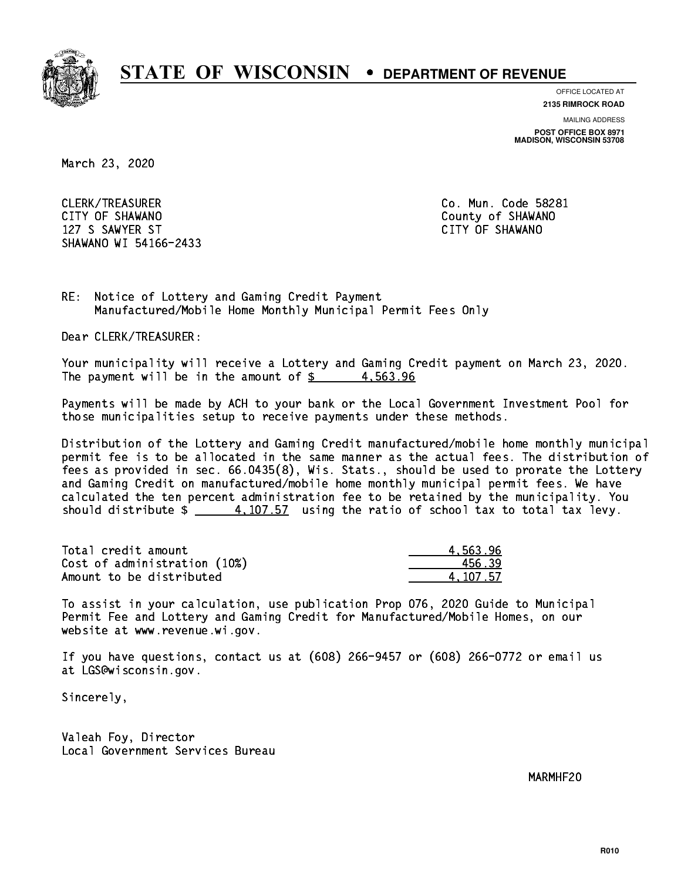

**OFFICE LOCATED AT**

**2135 RIMROCK ROAD**

**MAILING ADDRESS**

**POST OFFICE BOX 8971 MADISON, WISCONSIN 53708**

March 23, 2020

 CLERK/TREASURER Co. Mun. Code 58281 CITY OF SHAWANO **COULD AND SHAWANO COULD AND SHAWANO**  127 S SAWYER ST CITY OF SHAWANO SHAWANO WI 54166-2433

RE: Notice of Lottery and Gaming Credit Payment Manufactured/Mobile Home Monthly Municipal Permit Fees Only

Dear CLERK/TREASURER:

 Your municipality will receive a Lottery and Gaming Credit payment on March 23, 2020. The payment will be in the amount of  $\frac{2}{3}$  4,563.96

 Payments will be made by ACH to your bank or the Local Government Investment Pool for those municipalities setup to receive payments under these methods.

 Distribution of the Lottery and Gaming Credit manufactured/mobile home monthly municipal permit fee is to be allocated in the same manner as the actual fees. The distribution of fees as provided in sec. 66.0435(8), Wis. Stats., should be used to prorate the Lottery and Gaming Credit on manufactured/mobile home monthly municipal permit fees. We have calculated the ten percent administration fee to be retained by the municipality. You should distribute  $\frac{4,107.57}{4,107.57}$  using the ratio of school tax to total tax levy.

| Total credit amount          | 4.563.96 |
|------------------------------|----------|
| Cost of administration (10%) | 456.39   |
| Amount to be distributed     | 4.107.57 |

 To assist in your calculation, use publication Prop 076, 2020 Guide to Municipal Permit Fee and Lottery and Gaming Credit for Manufactured/Mobile Homes, on our website at www.revenue.wi.gov.

 If you have questions, contact us at (608) 266-9457 or (608) 266-0772 or email us at LGS@wisconsin.gov.

Sincerely,

 Valeah Foy, Director Local Government Services Bureau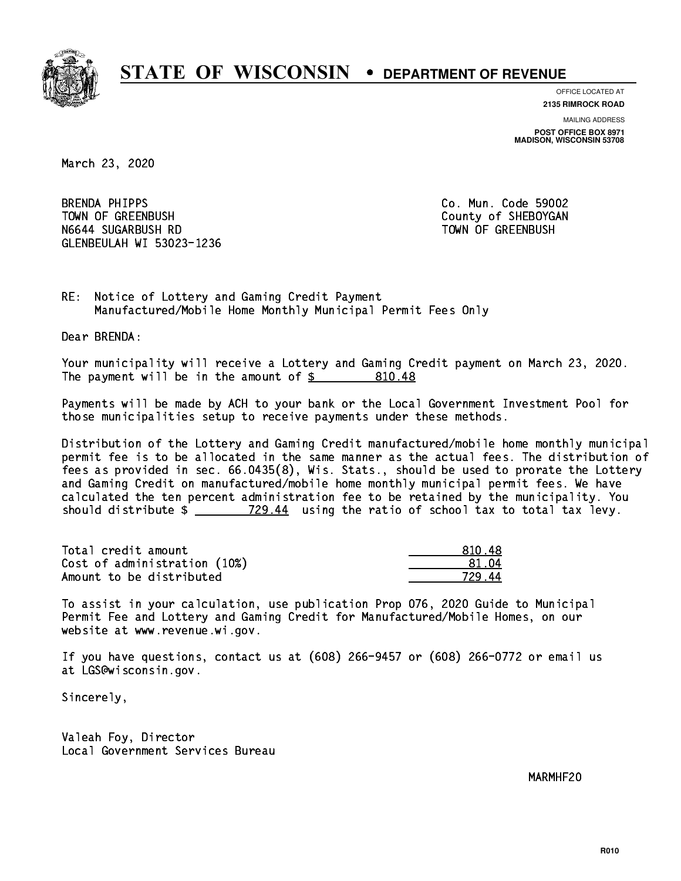

**OFFICE LOCATED AT 2135 RIMROCK ROAD**

**MAILING ADDRESS**

**POST OFFICE BOX 8971 MADISON, WISCONSIN 53708**

March 23, 2020

**BRENDA PHIPPS** TOWN OF GREENBUSH County of SHEBOYGAN N6644 SUGARBUSH RD TOWN OF GREENBUSH GLENBEULAH WI 53023-1236

Co. Mun. Code 59002

RE: Notice of Lottery and Gaming Credit Payment Manufactured/Mobile Home Monthly Municipal Permit Fees Only

Dear BRENDA:

 Your municipality will receive a Lottery and Gaming Credit payment on March 23, 2020. The payment will be in the amount of  $$ 810.48$ 

 Payments will be made by ACH to your bank or the Local Government Investment Pool for those municipalities setup to receive payments under these methods.

 Distribution of the Lottery and Gaming Credit manufactured/mobile home monthly municipal permit fee is to be allocated in the same manner as the actual fees. The distribution of fees as provided in sec. 66.0435(8), Wis. Stats., should be used to prorate the Lottery and Gaming Credit on manufactured/mobile home monthly municipal permit fees. We have calculated the ten percent administration fee to be retained by the municipality. You should distribute  $\frac{20.44}{229.44}$  using the ratio of school tax to total tax levy.

| Total credit amount          | 81048        |
|------------------------------|--------------|
| Cost of administration (10%) | <b>R1 N4</b> |
| Amount to be distributed     | 729 AA       |

 To assist in your calculation, use publication Prop 076, 2020 Guide to Municipal Permit Fee and Lottery and Gaming Credit for Manufactured/Mobile Homes, on our website at www.revenue.wi.gov.

 If you have questions, contact us at (608) 266-9457 or (608) 266-0772 or email us at LGS@wisconsin.gov.

Sincerely,

 Valeah Foy, Director Local Government Services Bureau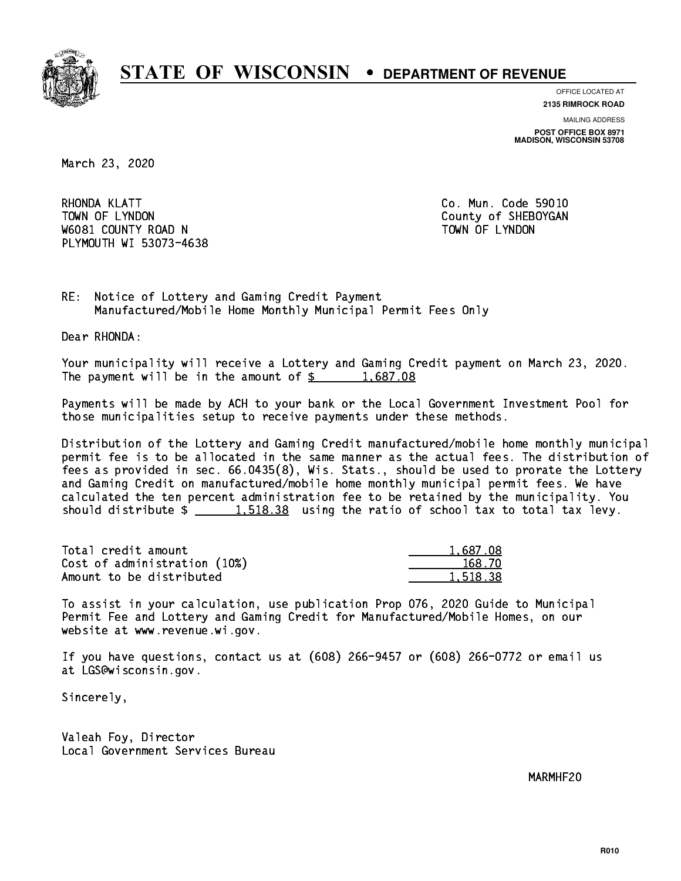

**OFFICE LOCATED AT**

**2135 RIMROCK ROAD**

**MAILING ADDRESS POST OFFICE BOX 8971 MADISON, WISCONSIN 53708**

March 23, 2020

RHONDA KLATT TOWN OF LYNDON COUNTY OF SHEBOYGAN W6081 COUNTY ROAD N TOWN OF LYNDON PLYMOUTH WI 53073-4638

Co. Mun. Code 59010

RE: Notice of Lottery and Gaming Credit Payment Manufactured/Mobile Home Monthly Municipal Permit Fees Only

Dear RHONDA:

 Your municipality will receive a Lottery and Gaming Credit payment on March 23, 2020. The payment will be in the amount of  $\frac{2}{3}$  1,687.08

 Payments will be made by ACH to your bank or the Local Government Investment Pool for those municipalities setup to receive payments under these methods.

 Distribution of the Lottery and Gaming Credit manufactured/mobile home monthly municipal permit fee is to be allocated in the same manner as the actual fees. The distribution of fees as provided in sec. 66.0435(8), Wis. Stats., should be used to prorate the Lottery and Gaming Credit on manufactured/mobile home monthly municipal permit fees. We have calculated the ten percent administration fee to be retained by the municipality. You should distribute  $\frac{1.518.38}{1.518.38}$  using the ratio of school tax to total tax levy.

| Total credit amount          | 1,687.08 |
|------------------------------|----------|
| Cost of administration (10%) | 168.70   |
| Amount to be distributed     | 1,518,38 |

 To assist in your calculation, use publication Prop 076, 2020 Guide to Municipal Permit Fee and Lottery and Gaming Credit for Manufactured/Mobile Homes, on our website at www.revenue.wi.gov.

 If you have questions, contact us at (608) 266-9457 or (608) 266-0772 or email us at LGS@wisconsin.gov.

Sincerely,

 Valeah Foy, Director Local Government Services Bureau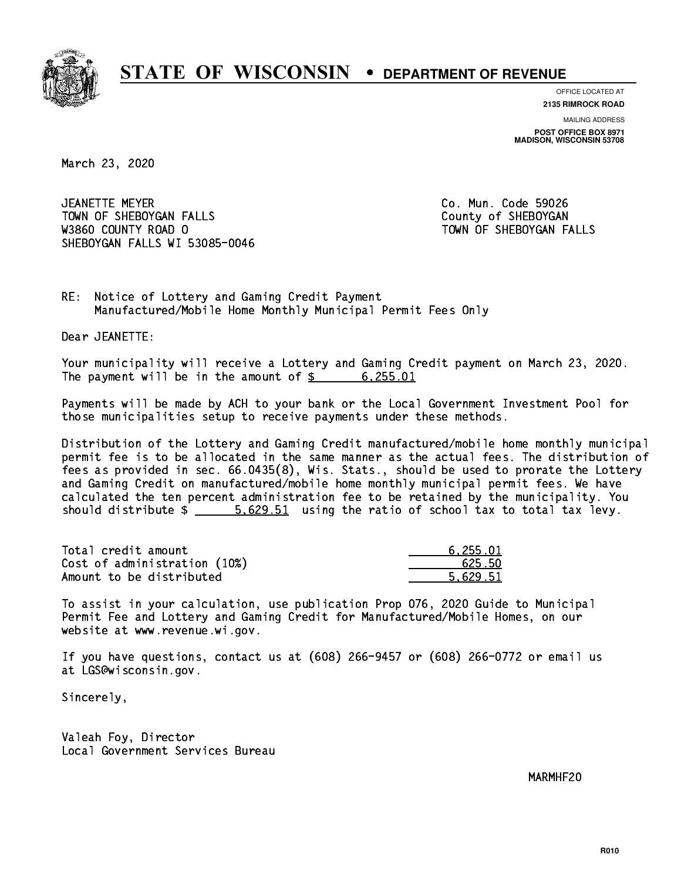

**OFFICE LOCATED AT**

**2135 RIMROCK ROAD**

**MAILING ADDRESS POST OFFICE BOX 8971 MADISON, WISCONSIN 53708**

March 23, 2020

 JEANETTE MEYER Co. Mun. Code 59026 TOWN OF SHEBOYGAN FALLS **COUNTY OF SHEBOYGAN**  W3860 COUNTY ROAD O TOWN OF SHEBOYGAN FALLS SHEBOYGAN FALLS WI 53085-0046

RE: Notice of Lottery and Gaming Credit Payment Manufactured/Mobile Home Monthly Municipal Permit Fees Only

Dear JEANETTE:

 Your municipality will receive a Lottery and Gaming Credit payment on March 23, 2020. The payment will be in the amount of  $\frac{255.01}{200}$ 

 Payments will be made by ACH to your bank or the Local Government Investment Pool for those municipalities setup to receive payments under these methods.

 Distribution of the Lottery and Gaming Credit manufactured/mobile home monthly municipal permit fee is to be allocated in the same manner as the actual fees. The distribution of fees as provided in sec. 66.0435(8), Wis. Stats., should be used to prorate the Lottery and Gaming Credit on manufactured/mobile home monthly municipal permit fees. We have calculated the ten percent administration fee to be retained by the municipality. You should distribute  $\frac{2}{1}$   $\frac{5.629.51}{2}$  using the ratio of school tax to total tax levy.

| Total credit amount          | 6.255.01 |
|------------------------------|----------|
| Cost of administration (10%) | 625.50   |
| Amount to be distributed     | 5.629.51 |

 To assist in your calculation, use publication Prop 076, 2020 Guide to Municipal Permit Fee and Lottery and Gaming Credit for Manufactured/Mobile Homes, on our website at www.revenue.wi.gov.

 If you have questions, contact us at (608) 266-9457 or (608) 266-0772 or email us at LGS@wisconsin.gov.

Sincerely,

 Valeah Foy, Director Local Government Services Bureau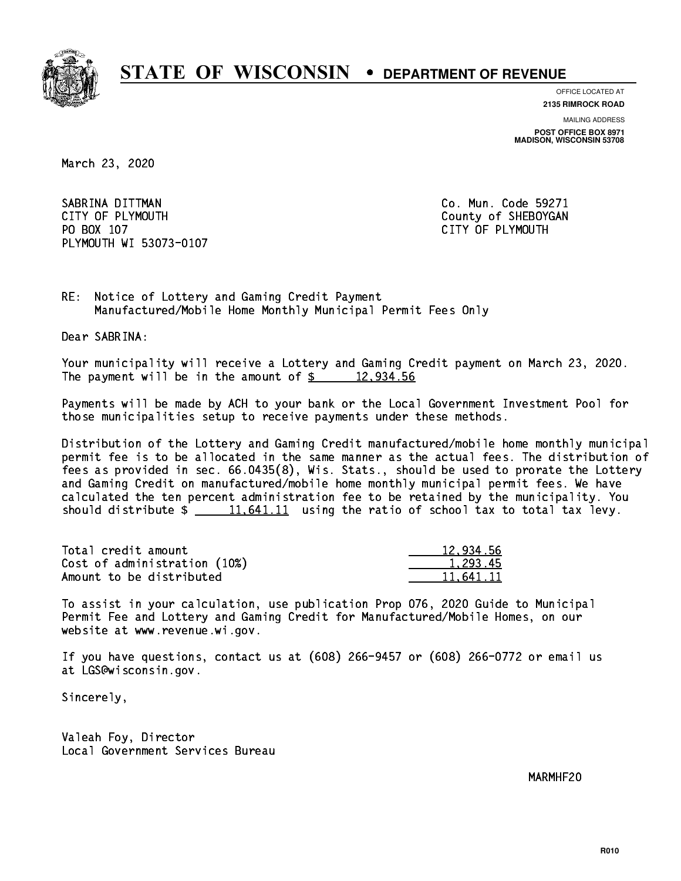

**OFFICE LOCATED AT**

**2135 RIMROCK ROAD**

**MAILING ADDRESS POST OFFICE BOX 8971 MADISON, WISCONSIN 53708**

March 23, 2020

SABRINA DITTMAN COLLECTED CO. Mun. Code 59271 CITY OF PLYMOUTH CITY OF PLYMOUTH PO BOX 107 CITY OF PLYMOUTH PLYMOUTH WI 53073-0107

RE: Notice of Lottery and Gaming Credit Payment Manufactured/Mobile Home Monthly Municipal Permit Fees Only

Dear SABRINA:

 Your municipality will receive a Lottery and Gaming Credit payment on March 23, 2020. The payment will be in the amount of  $\frac{2}{3}$  12,934.56

 Payments will be made by ACH to your bank or the Local Government Investment Pool for those municipalities setup to receive payments under these methods.

 Distribution of the Lottery and Gaming Credit manufactured/mobile home monthly municipal permit fee is to be allocated in the same manner as the actual fees. The distribution of fees as provided in sec. 66.0435(8), Wis. Stats., should be used to prorate the Lottery and Gaming Credit on manufactured/mobile home monthly municipal permit fees. We have calculated the ten percent administration fee to be retained by the municipality. You should distribute  $\frac{11.641.11}{1.641.11}$  using the ratio of school tax to total tax levy.

| Total credit amount          | 12.934.56 |
|------------------------------|-----------|
| Cost of administration (10%) | 1.293.45  |
| Amount to be distributed     | 11.641.11 |

 To assist in your calculation, use publication Prop 076, 2020 Guide to Municipal Permit Fee and Lottery and Gaming Credit for Manufactured/Mobile Homes, on our website at www.revenue.wi.gov.

 If you have questions, contact us at (608) 266-9457 or (608) 266-0772 or email us at LGS@wisconsin.gov.

Sincerely,

 Valeah Foy, Director Local Government Services Bureau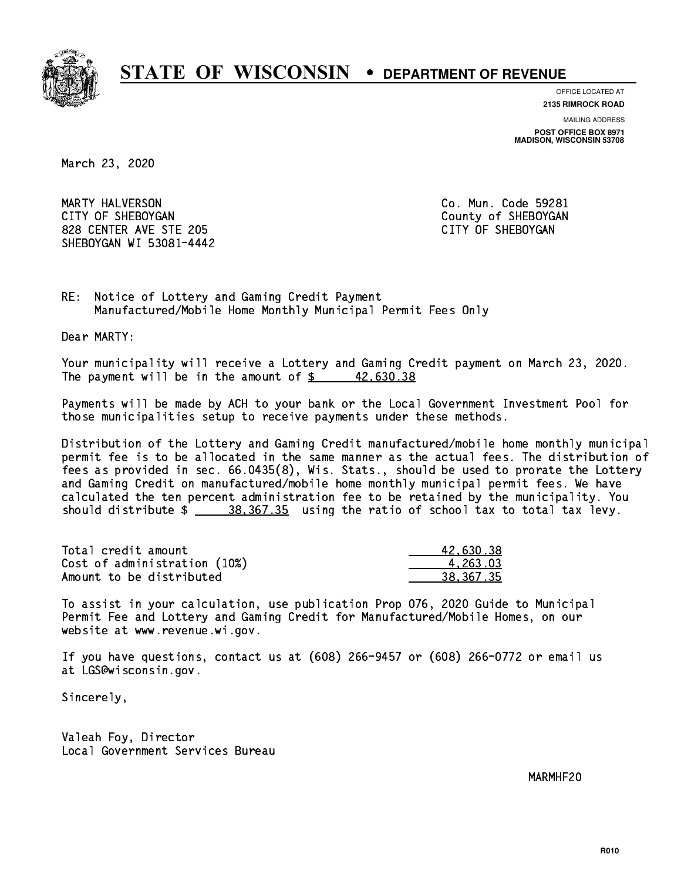

**OFFICE LOCATED AT**

**2135 RIMROCK ROAD**

**MAILING ADDRESS**

**POST OFFICE BOX 8971 MADISON, WISCONSIN 53708**

March 23, 2020

 MARTY HALVERSON Co. Mun. Code 59281 CITY OF SHEBOYGAN COUNTY OF SHEBOYGAN 828 CENTER AVE STE 205 CITY OF SHEBOYGAN SHEBOYGAN WI 53081-4442

RE: Notice of Lottery and Gaming Credit Payment Manufactured/Mobile Home Monthly Municipal Permit Fees Only

Dear MARTY:

 Your municipality will receive a Lottery and Gaming Credit payment on March 23, 2020. The payment will be in the amount of  $\frac{2}{3}$  42,630.38

 Payments will be made by ACH to your bank or the Local Government Investment Pool for those municipalities setup to receive payments under these methods.

 Distribution of the Lottery and Gaming Credit manufactured/mobile home monthly municipal permit fee is to be allocated in the same manner as the actual fees. The distribution of fees as provided in sec. 66.0435(8), Wis. Stats., should be used to prorate the Lottery and Gaming Credit on manufactured/mobile home monthly municipal permit fees. We have calculated the ten percent administration fee to be retained by the municipality. You should distribute  $\frac{28.367.35}{20.367.35}$  using the ratio of school tax to total tax levy.

| Total credit amount          | 42.630.38   |
|------------------------------|-------------|
| Cost of administration (10%) | 4.263.03    |
| Amount to be distributed     | 38, 367, 35 |

 To assist in your calculation, use publication Prop 076, 2020 Guide to Municipal Permit Fee and Lottery and Gaming Credit for Manufactured/Mobile Homes, on our website at www.revenue.wi.gov.

 If you have questions, contact us at (608) 266-9457 or (608) 266-0772 or email us at LGS@wisconsin.gov.

Sincerely,

 Valeah Foy, Director Local Government Services Bureau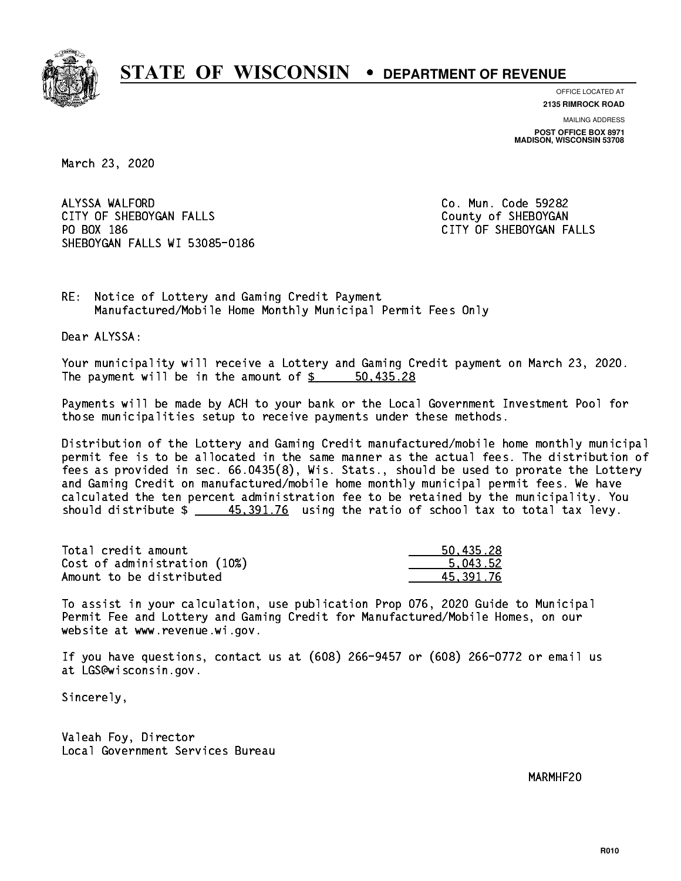

**OFFICE LOCATED AT**

**2135 RIMROCK ROAD**

**MAILING ADDRESS POST OFFICE BOX 8971 MADISON, WISCONSIN 53708**

March 23, 2020

ALYSSA WALFORD CITY OF SHEBOYGAN FALLS COUNTY OF SHEBOYGAN PO BOX 186 SHEBOYGAN FALLS WI 53085-0186

Co. Mun. Code 59282 CITY OF SHEBOYGAN FALLS

RE: Notice of Lottery and Gaming Credit Payment Manufactured/Mobile Home Monthly Municipal Permit Fees Only

Dear ALYSSA:

 Your municipality will receive a Lottery and Gaming Credit payment on March 23, 2020. The payment will be in the amount of \$ 50,435.28 \_\_\_\_\_\_\_\_\_\_\_\_\_\_\_\_

 Payments will be made by ACH to your bank or the Local Government Investment Pool for those municipalities setup to receive payments under these methods.

 Distribution of the Lottery and Gaming Credit manufactured/mobile home monthly municipal permit fee is to be allocated in the same manner as the actual fees. The distribution of fees as provided in sec. 66.0435(8), Wis. Stats., should be used to prorate the Lottery and Gaming Credit on manufactured/mobile home monthly municipal permit fees. We have calculated the ten percent administration fee to be retained by the municipality. You should distribute  $\frac{45,391.76}{2}$  using the ratio of school tax to total tax levy.

| Total credit amount          | 50.435.28 |
|------------------------------|-----------|
| Cost of administration (10%) | 5.043.52  |
| Amount to be distributed     | 45.391.76 |

 To assist in your calculation, use publication Prop 076, 2020 Guide to Municipal Permit Fee and Lottery and Gaming Credit for Manufactured/Mobile Homes, on our website at www.revenue.wi.gov.

 If you have questions, contact us at (608) 266-9457 or (608) 266-0772 or email us at LGS@wisconsin.gov.

Sincerely,

 Valeah Foy, Director Local Government Services Bureau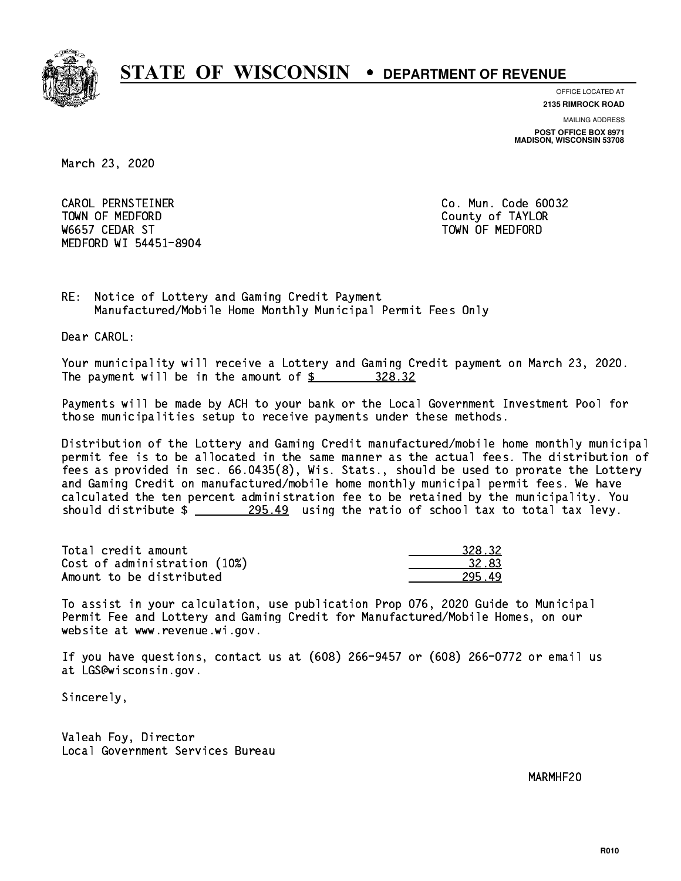

**OFFICE LOCATED AT 2135 RIMROCK ROAD**

**MAILING ADDRESS POST OFFICE BOX 8971 MADISON, WISCONSIN 53708**

March 23, 2020

 CAROL PERNSTEINER Co. Mun. Code 60032 TOWN OF MEDICINE COUNTY OF MEDICINE COUNTY OF TAXABLE COUNTY OF TAXABLE COUNTY OF TAXABLE COUNTY OF TAXABLE CO W6657 CEDAR ST TOWN OF MEDFORD MEDFORD WI 54451-8904

RE: Notice of Lottery and Gaming Credit Payment Manufactured/Mobile Home Monthly Municipal Permit Fees Only

Dear CAROL:

 Your municipality will receive a Lottery and Gaming Credit payment on March 23, 2020. The payment will be in the amount of  $\frac{28.32}{20}$ 

 Payments will be made by ACH to your bank or the Local Government Investment Pool for those municipalities setup to receive payments under these methods.

 Distribution of the Lottery and Gaming Credit manufactured/mobile home monthly municipal permit fee is to be allocated in the same manner as the actual fees. The distribution of fees as provided in sec. 66.0435(8), Wis. Stats., should be used to prorate the Lottery and Gaming Credit on manufactured/mobile home monthly municipal permit fees. We have calculated the ten percent administration fee to be retained by the municipality. You should distribute  $\frac{295.49}{2}$  using the ratio of school tax to total tax levy.

| Total credit amount          | 328.32 |
|------------------------------|--------|
| Cost of administration (10%) | 32.83  |
| Amount to be distributed     | 295.49 |

 To assist in your calculation, use publication Prop 076, 2020 Guide to Municipal Permit Fee and Lottery and Gaming Credit for Manufactured/Mobile Homes, on our website at www.revenue.wi.gov.

 If you have questions, contact us at (608) 266-9457 or (608) 266-0772 or email us at LGS@wisconsin.gov.

Sincerely,

 Valeah Foy, Director Local Government Services Bureau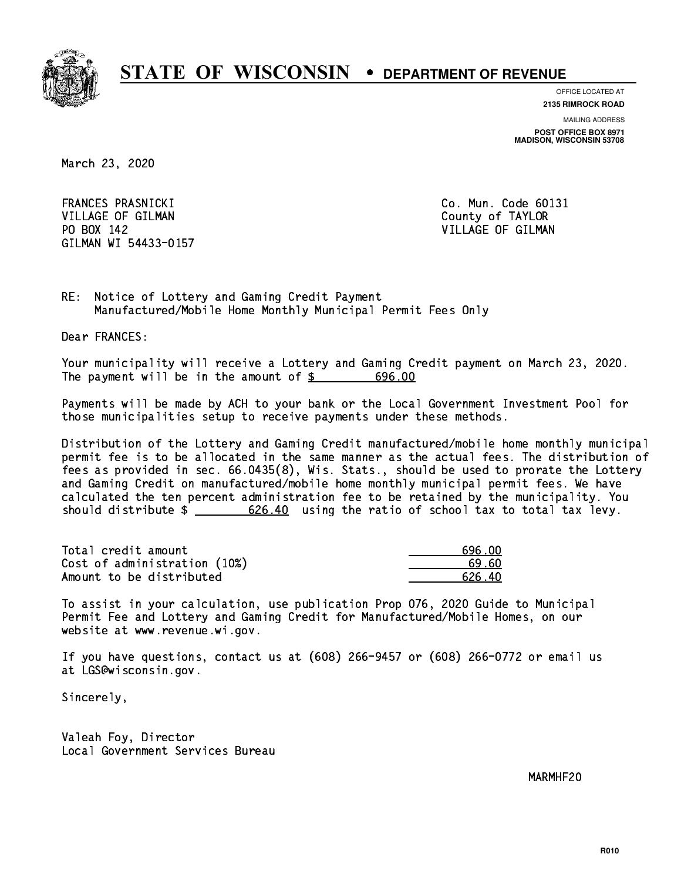

**OFFICE LOCATED AT**

**2135 RIMROCK ROAD**

**MAILING ADDRESS POST OFFICE BOX 8971 MADISON, WISCONSIN 53708**

March 23, 2020

 FRANCES PRASNICKI Co. Mun. Code 60131 VILLAGE OF GILMAN COUNTY OF TAYLOR PO BOX 142 VILLAGE OF GILMAN GILMAN WI 54433-0157

RE: Notice of Lottery and Gaming Credit Payment Manufactured/Mobile Home Monthly Municipal Permit Fees Only

Dear FRANCES:

 Your municipality will receive a Lottery and Gaming Credit payment on March 23, 2020. The payment will be in the amount of  $$ 696.00$ 

 Payments will be made by ACH to your bank or the Local Government Investment Pool for those municipalities setup to receive payments under these methods.

 Distribution of the Lottery and Gaming Credit manufactured/mobile home monthly municipal permit fee is to be allocated in the same manner as the actual fees. The distribution of fees as provided in sec. 66.0435(8), Wis. Stats., should be used to prorate the Lottery and Gaming Credit on manufactured/mobile home monthly municipal permit fees. We have calculated the ten percent administration fee to be retained by the municipality. You should distribute  $\frac{26.40}{2}$  using the ratio of school tax to total tax levy.

| Total credit amount          | 696 በበ |
|------------------------------|--------|
| Cost of administration (10%) | -69.60 |
| Amount to be distributed     | 626.40 |

 To assist in your calculation, use publication Prop 076, 2020 Guide to Municipal Permit Fee and Lottery and Gaming Credit for Manufactured/Mobile Homes, on our website at www.revenue.wi.gov.

 If you have questions, contact us at (608) 266-9457 or (608) 266-0772 or email us at LGS@wisconsin.gov.

Sincerely,

 Valeah Foy, Director Local Government Services Bureau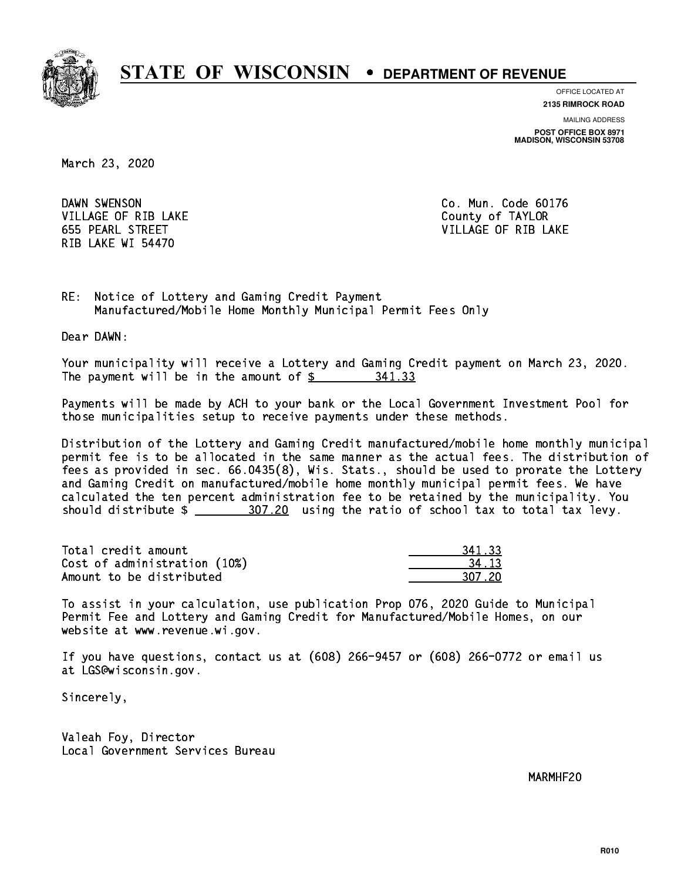

**OFFICE LOCATED AT**

**2135 RIMROCK ROAD**

**MAILING ADDRESS POST OFFICE BOX 8971 MADISON, WISCONSIN 53708**

March 23, 2020

DAWN SWENSON VILLAGE OF RIB LAKE **COUNTY OF TAYLOR** RIB LAKE WI 54470

Co. Mun. Code 60176 655 PEARL STREET VILLAGE OF RIB LAKE

RE: Notice of Lottery and Gaming Credit Payment Manufactured/Mobile Home Monthly Municipal Permit Fees Only

Dear DAWN:

 Your municipality will receive a Lottery and Gaming Credit payment on March 23, 2020. The payment will be in the amount of \$ 341.33 \_\_\_\_\_\_\_\_\_\_\_\_\_\_\_\_

 Payments will be made by ACH to your bank or the Local Government Investment Pool for those municipalities setup to receive payments under these methods.

 Distribution of the Lottery and Gaming Credit manufactured/mobile home monthly municipal permit fee is to be allocated in the same manner as the actual fees. The distribution of fees as provided in sec. 66.0435(8), Wis. Stats., should be used to prorate the Lottery and Gaming Credit on manufactured/mobile home monthly municipal permit fees. We have calculated the ten percent administration fee to be retained by the municipality. You should distribute  $\frac{207.20}{100}$  using the ratio of school tax to total tax levy.

| Total credit amount          | 341.33 |
|------------------------------|--------|
| Cost of administration (10%) | 34.13  |
| Amount to be distributed     | 307.20 |

 To assist in your calculation, use publication Prop 076, 2020 Guide to Municipal Permit Fee and Lottery and Gaming Credit for Manufactured/Mobile Homes, on our website at www.revenue.wi.gov.

 If you have questions, contact us at (608) 266-9457 or (608) 266-0772 or email us at LGS@wisconsin.gov.

Sincerely,

 Valeah Foy, Director Local Government Services Bureau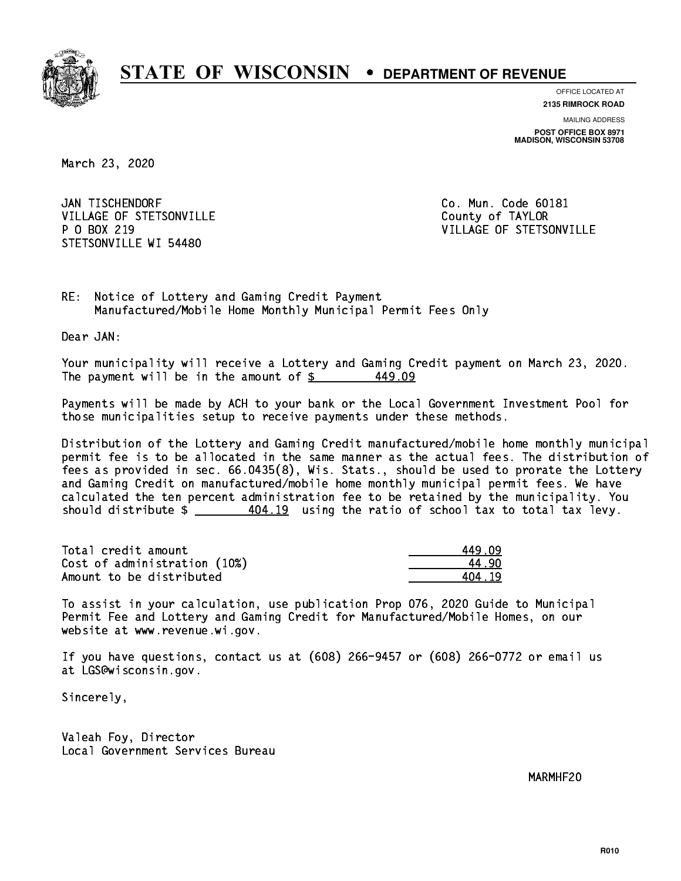

**OFFICE LOCATED AT**

**2135 RIMROCK ROAD**

**MAILING ADDRESS POST OFFICE BOX 8971 MADISON, WISCONSIN 53708**

March 23, 2020

JAN TISCHENDORF VILLAGE OF STETSONVILLE COUNTY OF TAYLOR P 0 BOX 219 STETSONVILLE WI 54480

Co. Mun. Code 60181 VILLAGE OF STETSONVILLE

RE: Notice of Lottery and Gaming Credit Payment Manufactured/Mobile Home Monthly Municipal Permit Fees Only

Dear JAN:

 Your municipality will receive a Lottery and Gaming Credit payment on March 23, 2020. The payment will be in the amount of  $\frac{2}{3}$ 449.09

 Payments will be made by ACH to your bank or the Local Government Investment Pool for those municipalities setup to receive payments under these methods.

 Distribution of the Lottery and Gaming Credit manufactured/mobile home monthly municipal permit fee is to be allocated in the same manner as the actual fees. The distribution of fees as provided in sec. 66.0435(8), Wis. Stats., should be used to prorate the Lottery and Gaming Credit on manufactured/mobile home monthly municipal permit fees. We have calculated the ten percent administration fee to be retained by the municipality. You should distribute  $\frac{404.19}{2}$  using the ratio of school tax to total tax levy.

| Total credit amount          | 449 N9 |
|------------------------------|--------|
| Cost of administration (10%) | 44.90  |
| Amount to be distributed     | 404 19 |

| 9.09  |
|-------|
| 1 9N  |
| ⊩4.19 |

 To assist in your calculation, use publication Prop 076, 2020 Guide to Municipal Permit Fee and Lottery and Gaming Credit for Manufactured/Mobile Homes, on our website at www.revenue.wi.gov.

 If you have questions, contact us at (608) 266-9457 or (608) 266-0772 or email us at LGS@wisconsin.gov.

Sincerely,

 Valeah Foy, Director Local Government Services Bureau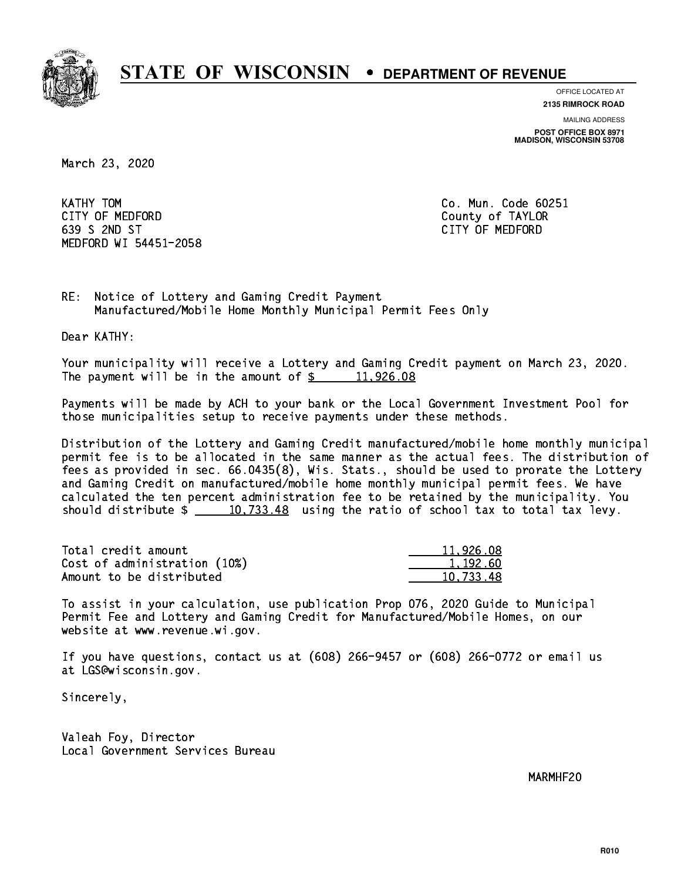

**OFFICE LOCATED AT**

**2135 RIMROCK ROAD**

**MAILING ADDRESS POST OFFICE BOX 8971 MADISON, WISCONSIN 53708**

March 23, 2020

KATHY TOM CITY OF MEDFORD County of TAYLOR 639 S 2ND ST CITY OF MEDFORD MEDFORD WI 54451-2058

Co. Mun. Code 60251

RE: Notice of Lottery and Gaming Credit Payment Manufactured/Mobile Home Monthly Municipal Permit Fees Only

Dear KATHY:

 Your municipality will receive a Lottery and Gaming Credit payment on March 23, 2020. The payment will be in the amount of  $\frac{2}{3}$  11,926.08

 Payments will be made by ACH to your bank or the Local Government Investment Pool for those municipalities setup to receive payments under these methods.

 Distribution of the Lottery and Gaming Credit manufactured/mobile home monthly municipal permit fee is to be allocated in the same manner as the actual fees. The distribution of fees as provided in sec. 66.0435(8), Wis. Stats., should be used to prorate the Lottery and Gaming Credit on manufactured/mobile home monthly municipal permit fees. We have calculated the ten percent administration fee to be retained by the municipality. You should distribute  $\frac{10,733.48}{2}$  using the ratio of school tax to total tax levy.

| Total credit amount          | 11,926.08 |
|------------------------------|-----------|
| Cost of administration (10%) | 1.192.60  |
| Amount to be distributed     | 10.733.48 |

 To assist in your calculation, use publication Prop 076, 2020 Guide to Municipal Permit Fee and Lottery and Gaming Credit for Manufactured/Mobile Homes, on our website at www.revenue.wi.gov.

 If you have questions, contact us at (608) 266-9457 or (608) 266-0772 or email us at LGS@wisconsin.gov.

Sincerely,

 Valeah Foy, Director Local Government Services Bureau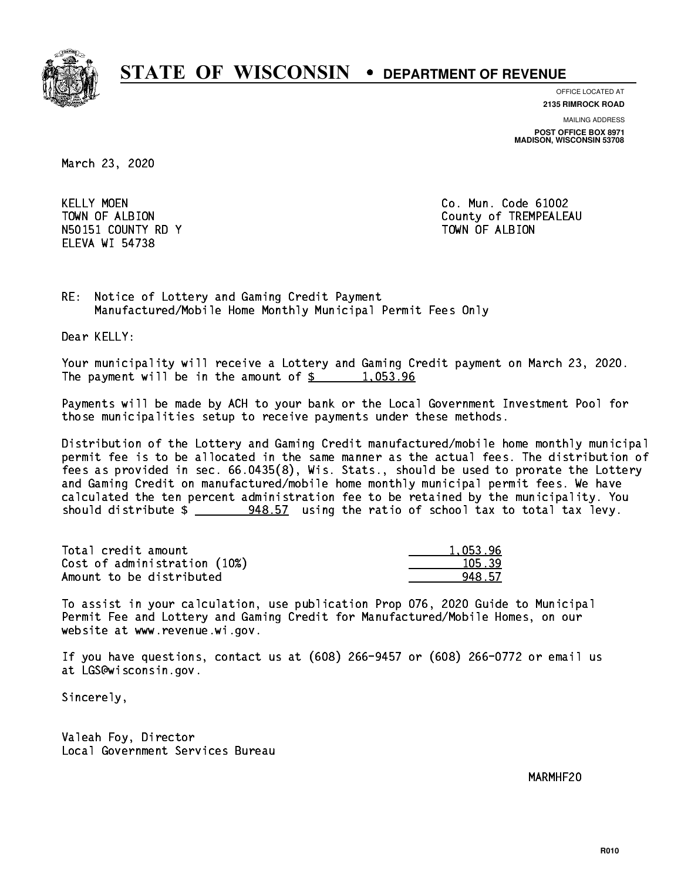

**OFFICE LOCATED AT**

**2135 RIMROCK ROAD**

**MAILING ADDRESS POST OFFICE BOX 8971 MADISON, WISCONSIN 53708**

March 23, 2020

**KELLY MOEN** N50151 COUNTY RD Y TOWN OF ALBION ELEVA WI 54738

Co. Mun. Code 61002 TOWN OF ALBION COUNTY OF TREMPEALEAU

RE: Notice of Lottery and Gaming Credit Payment Manufactured/Mobile Home Monthly Municipal Permit Fees Only

Dear KELLY:

 Your municipality will receive a Lottery and Gaming Credit payment on March 23, 2020. The payment will be in the amount of  $\frac{2}{3}$  1,053.96

 Payments will be made by ACH to your bank or the Local Government Investment Pool for those municipalities setup to receive payments under these methods.

 Distribution of the Lottery and Gaming Credit manufactured/mobile home monthly municipal permit fee is to be allocated in the same manner as the actual fees. The distribution of fees as provided in sec. 66.0435(8), Wis. Stats., should be used to prorate the Lottery and Gaming Credit on manufactured/mobile home monthly municipal permit fees. We have calculated the ten percent administration fee to be retained by the municipality. You should distribute \$ 948.57 using the ratio of school tax to total tax levy. \_\_\_\_\_\_\_\_\_\_\_\_\_\_

| Total credit amount          | 1.053.96 |
|------------------------------|----------|
| Cost of administration (10%) | 105.39   |
| Amount to be distributed     | 948.57   |

 To assist in your calculation, use publication Prop 076, 2020 Guide to Municipal Permit Fee and Lottery and Gaming Credit for Manufactured/Mobile Homes, on our website at www.revenue.wi.gov.

 If you have questions, contact us at (608) 266-9457 or (608) 266-0772 or email us at LGS@wisconsin.gov.

Sincerely,

 Valeah Foy, Director Local Government Services Bureau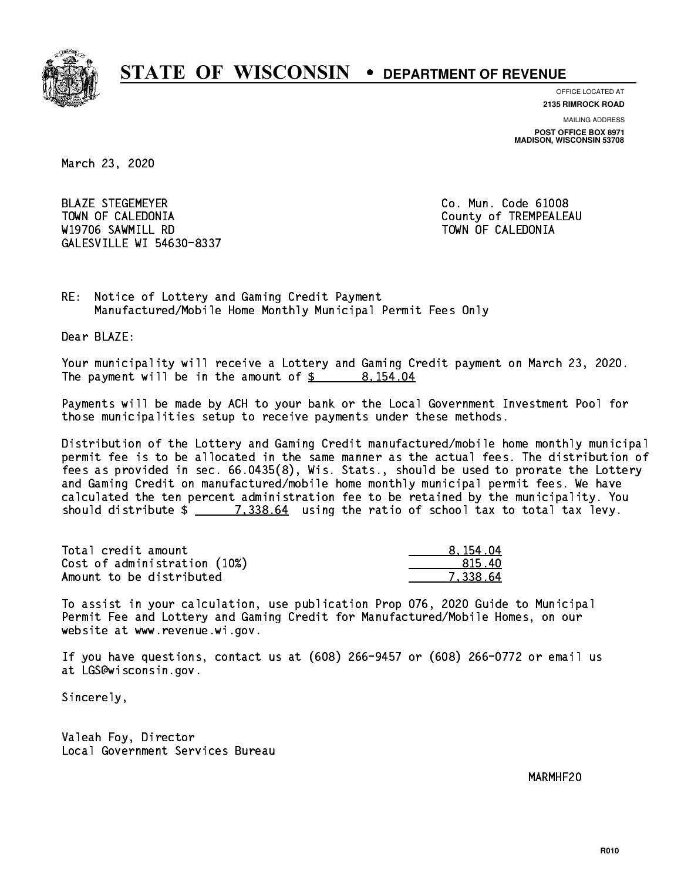

**OFFICE LOCATED AT**

**2135 RIMROCK ROAD**

**MAILING ADDRESS POST OFFICE BOX 8971 MADISON, WISCONSIN 53708**

March 23, 2020

 BLAZE STEGEMEYER Co. Mun. Code 61008 TOWN OF CALEDONIA County of TREMPEALEAU W19706 SAWMILL RD TOWN OF CALEDONIA GALESVILLE WI 54630-8337

RE: Notice of Lottery and Gaming Credit Payment Manufactured/Mobile Home Monthly Municipal Permit Fees Only

Dear BLAZE:

 Your municipality will receive a Lottery and Gaming Credit payment on March 23, 2020. The payment will be in the amount of  $\frac{2}{3}$  8,154.04

 Payments will be made by ACH to your bank or the Local Government Investment Pool for those municipalities setup to receive payments under these methods.

 Distribution of the Lottery and Gaming Credit manufactured/mobile home monthly municipal permit fee is to be allocated in the same manner as the actual fees. The distribution of fees as provided in sec. 66.0435(8), Wis. Stats., should be used to prorate the Lottery and Gaming Credit on manufactured/mobile home monthly municipal permit fees. We have calculated the ten percent administration fee to be retained by the municipality. You should distribute  $\frac{2}{1.338.64}$  using the ratio of school tax to total tax levy.

| Total credit amount          | 8.154.04 |
|------------------------------|----------|
| Cost of administration (10%) | -815.40  |
| Amount to be distributed     | 7.338.64 |

 To assist in your calculation, use publication Prop 076, 2020 Guide to Municipal Permit Fee and Lottery and Gaming Credit for Manufactured/Mobile Homes, on our website at www.revenue.wi.gov.

 If you have questions, contact us at (608) 266-9457 or (608) 266-0772 or email us at LGS@wisconsin.gov.

Sincerely,

 Valeah Foy, Director Local Government Services Bureau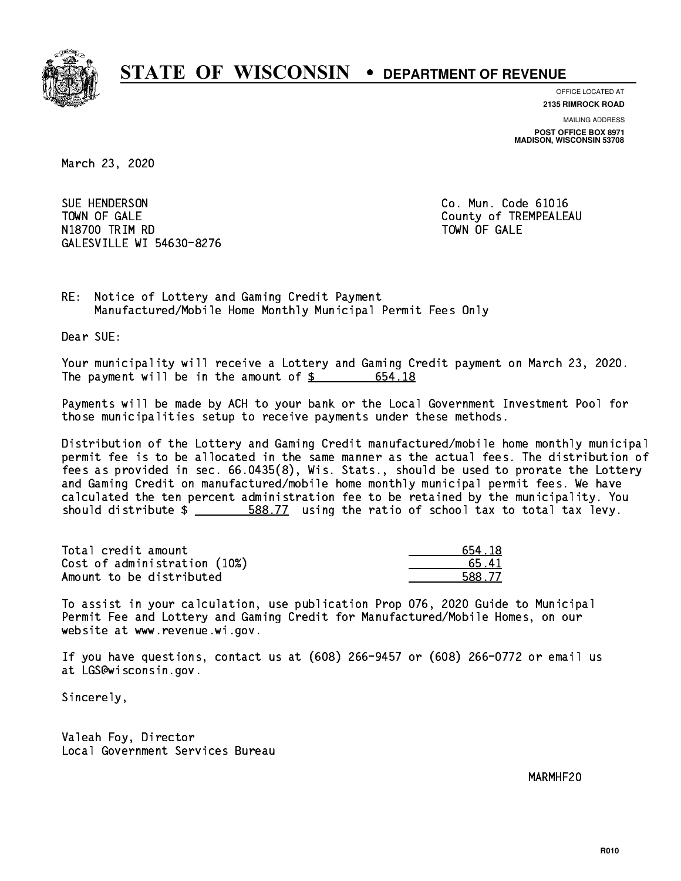

**OFFICE LOCATED AT 2135 RIMROCK ROAD**

**MAILING ADDRESS POST OFFICE BOX 8971 MADISON, WISCONSIN 53708**

March 23, 2020

SUE HENDERSON TOWN OF GALE **COUNTY OF SALE** N1880 TRIM RD TOWN OF GALERY COMPUTER STATES OF GALERY COMPUTER STATES OF GALERY COMPUTER STATES OF GALERY COMPUTERS GALESVILLE WI 54630-8276

Co. Mun. Code 61016

RE: Notice of Lottery and Gaming Credit Payment Manufactured/Mobile Home Monthly Municipal Permit Fees Only

Dear SUE:

 Your municipality will receive a Lottery and Gaming Credit payment on March 23, 2020. The payment will be in the amount of \$ 654.18 \_\_\_\_\_\_\_\_\_\_\_\_\_\_\_\_

 Payments will be made by ACH to your bank or the Local Government Investment Pool for those municipalities setup to receive payments under these methods.

 Distribution of the Lottery and Gaming Credit manufactured/mobile home monthly municipal permit fee is to be allocated in the same manner as the actual fees. The distribution of fees as provided in sec. 66.0435(8), Wis. Stats., should be used to prorate the Lottery and Gaming Credit on manufactured/mobile home monthly municipal permit fees. We have calculated the ten percent administration fee to be retained by the municipality. You should distribute  $\frac{2}{1}$   $\frac{588.77}{2}$  using the ratio of school tax to total tax levy.

| Total credit amount          | 654.18 |
|------------------------------|--------|
| Cost of administration (10%) | 65.41  |
| Amount to be distributed     | 588.77 |

 To assist in your calculation, use publication Prop 076, 2020 Guide to Municipal Permit Fee and Lottery and Gaming Credit for Manufactured/Mobile Homes, on our website at www.revenue.wi.gov.

 If you have questions, contact us at (608) 266-9457 or (608) 266-0772 or email us at LGS@wisconsin.gov.

Sincerely,

 Valeah Foy, Director Local Government Services Bureau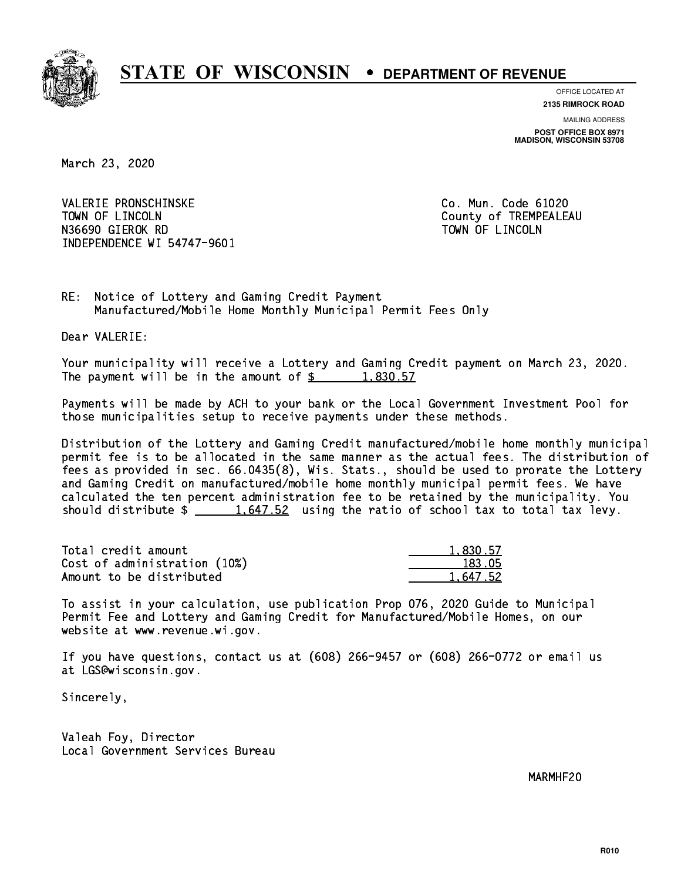

**OFFICE LOCATED AT**

**2135 RIMROCK ROAD**

**MAILING ADDRESS POST OFFICE BOX 8971 MADISON, WISCONSIN 53708**

March 23, 2020

 VALERIE PRONSCHINSKE Co. Mun. Code 61020 TOWN OF LINCOLN County of TREMPEALEAU N36690 GIEROK RD TOWN OF LINCOLN INDEPENDENCE WI 54747-9601

RE: Notice of Lottery and Gaming Credit Payment Manufactured/Mobile Home Monthly Municipal Permit Fees Only

Dear VALERIE:

 Your municipality will receive a Lottery and Gaming Credit payment on March 23, 2020. The payment will be in the amount of  $\frac{2}{3}$  1,830.57

 Payments will be made by ACH to your bank or the Local Government Investment Pool for those municipalities setup to receive payments under these methods.

 Distribution of the Lottery and Gaming Credit manufactured/mobile home monthly municipal permit fee is to be allocated in the same manner as the actual fees. The distribution of fees as provided in sec. 66.0435(8), Wis. Stats., should be used to prorate the Lottery and Gaming Credit on manufactured/mobile home monthly municipal permit fees. We have calculated the ten percent administration fee to be retained by the municipality. You should distribute  $\frac{1.647.52}{1.647.52}$  using the ratio of school tax to total tax levy.

| Total credit amount          | 1,830.57 |
|------------------------------|----------|
| Cost of administration (10%) | 183.05   |
| Amount to be distributed     | 1.647.52 |

 To assist in your calculation, use publication Prop 076, 2020 Guide to Municipal Permit Fee and Lottery and Gaming Credit for Manufactured/Mobile Homes, on our website at www.revenue.wi.gov.

 If you have questions, contact us at (608) 266-9457 or (608) 266-0772 or email us at LGS@wisconsin.gov.

Sincerely,

 Valeah Foy, Director Local Government Services Bureau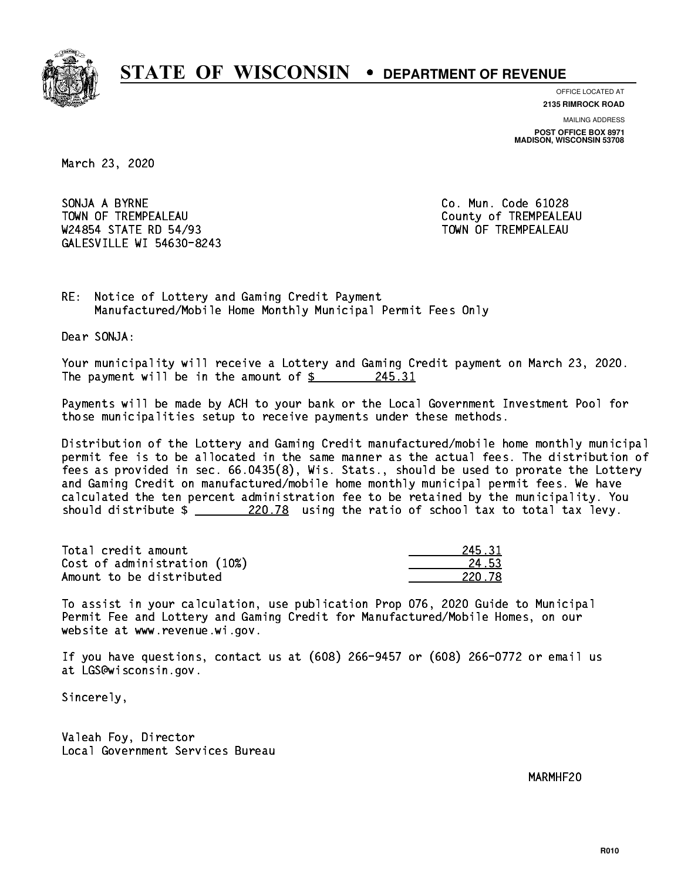

**OFFICE LOCATED AT**

**2135 RIMROCK ROAD**

**MAILING ADDRESS POST OFFICE BOX 8971 MADISON, WISCONSIN 53708**

March 23, 2020

SONJA A BYRNE CO. Mun. Code 61028 TOWN OF TREMPEALEAU **COUNTY OF TREMPEALEAU** W24854 STATE RD 54/93 TOWN OF TREMPEALEAU GALESVILLE WI 54630-8243

RE: Notice of Lottery and Gaming Credit Payment Manufactured/Mobile Home Monthly Municipal Permit Fees Only

Dear SONJA:

 Your municipality will receive a Lottery and Gaming Credit payment on March 23, 2020. The payment will be in the amount of  $\frac{245.31}{200}$ 

 Payments will be made by ACH to your bank or the Local Government Investment Pool for those municipalities setup to receive payments under these methods.

 Distribution of the Lottery and Gaming Credit manufactured/mobile home monthly municipal permit fee is to be allocated in the same manner as the actual fees. The distribution of fees as provided in sec. 66.0435(8), Wis. Stats., should be used to prorate the Lottery and Gaming Credit on manufactured/mobile home monthly municipal permit fees. We have calculated the ten percent administration fee to be retained by the municipality. You should distribute  $\frac{220.78}{20.78}$  using the ratio of school tax to total tax levy.

Total credit amount Cost of administration (10%) Amount to be distributed

| $\cdot$ 31 |
|------------|
| 1 52       |
| - 78       |

 To assist in your calculation, use publication Prop 076, 2020 Guide to Municipal Permit Fee and Lottery and Gaming Credit for Manufactured/Mobile Homes, on our website at www.revenue.wi.gov.

 If you have questions, contact us at (608) 266-9457 or (608) 266-0772 or email us at LGS@wisconsin.gov.

Sincerely,

 Valeah Foy, Director Local Government Services Bureau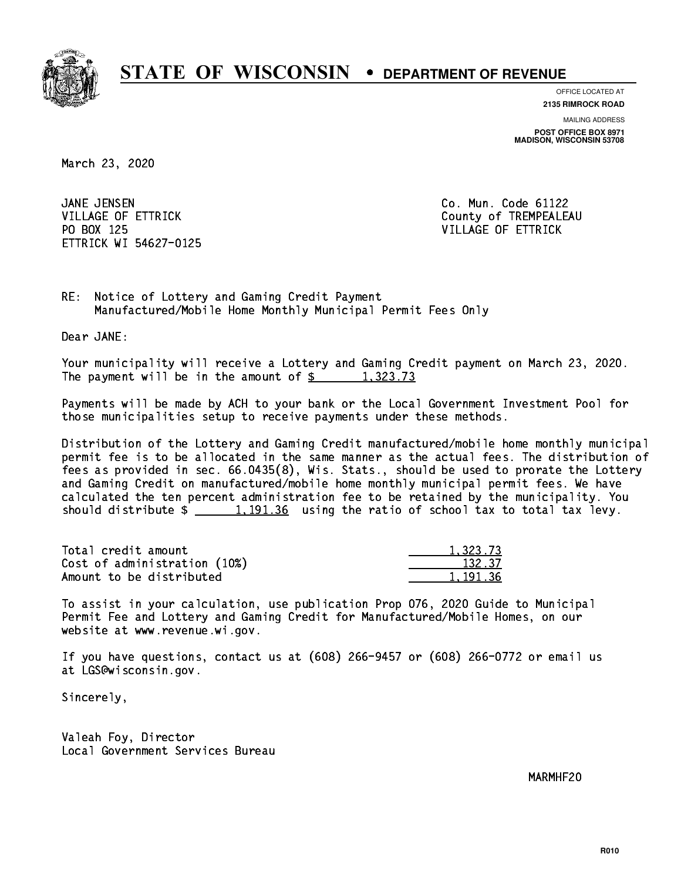

**OFFICE LOCATED AT**

**2135 RIMROCK ROAD**

**MAILING ADDRESS POST OFFICE BOX 8971 MADISON, WISCONSIN 53708**

March 23, 2020

JANE JENSEN PO BOX 125 VILLAGE OF ETTRICK ETTRICK WI 54627-0125

Co. Mun. Code 61122 VILLAGE OF ETTRICK County of TREMPEALEAU

RE: Notice of Lottery and Gaming Credit Payment Manufactured/Mobile Home Monthly Municipal Permit Fees Only

Dear JANE:

 Your municipality will receive a Lottery and Gaming Credit payment on March 23, 2020. The payment will be in the amount of  $\frac{2}{3}$  1,323.73

 Payments will be made by ACH to your bank or the Local Government Investment Pool for those municipalities setup to receive payments under these methods.

 Distribution of the Lottery and Gaming Credit manufactured/mobile home monthly municipal permit fee is to be allocated in the same manner as the actual fees. The distribution of fees as provided in sec. 66.0435(8), Wis. Stats., should be used to prorate the Lottery and Gaming Credit on manufactured/mobile home monthly municipal permit fees. We have calculated the ten percent administration fee to be retained by the municipality. You should distribute  $\frac{1,191.36}{2}$  using the ratio of school tax to total tax levy.

| Total credit amount          | 1.323.73 |
|------------------------------|----------|
| Cost of administration (10%) | 132.37   |
| Amount to be distributed     | 1.191.36 |

 To assist in your calculation, use publication Prop 076, 2020 Guide to Municipal Permit Fee and Lottery and Gaming Credit for Manufactured/Mobile Homes, on our website at www.revenue.wi.gov.

 If you have questions, contact us at (608) 266-9457 or (608) 266-0772 or email us at LGS@wisconsin.gov.

Sincerely,

 Valeah Foy, Director Local Government Services Bureau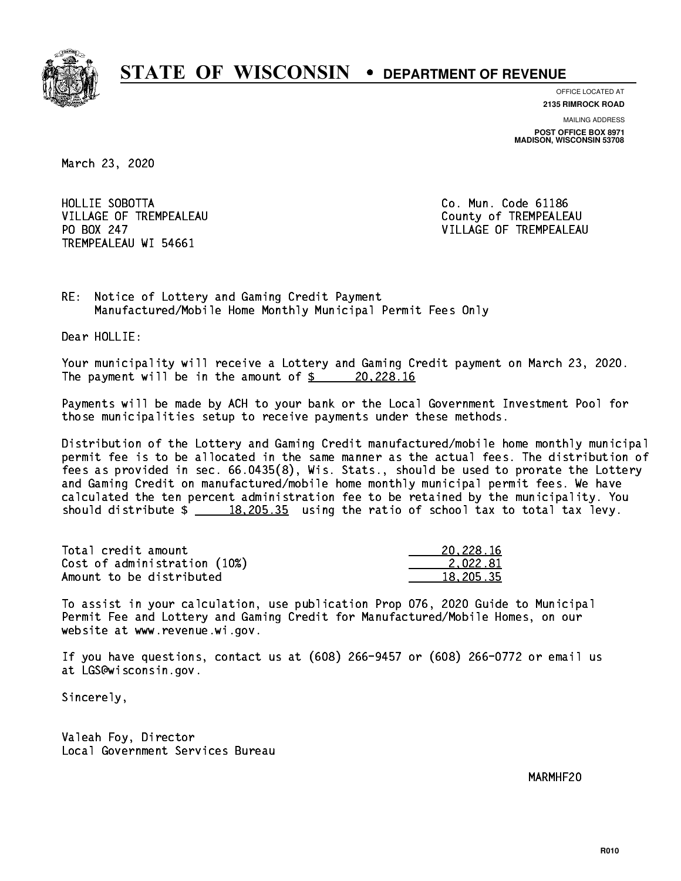

**OFFICE LOCATED AT**

**2135 RIMROCK ROAD**

**MAILING ADDRESS POST OFFICE BOX 8971 MADISON, WISCONSIN 53708**

March 23, 2020

 HOLLIE SOBOTTA Co. Mun. Code 61186 VILLAGE OF TREMPEALEAU County of TREMPEALEAU PO BOX 247 TREMPEALEAU WI 54661

VILLAGE OF TREMPEALEAU

RE: Notice of Lottery and Gaming Credit Payment Manufactured/Mobile Home Monthly Municipal Permit Fees Only

Dear HOLLIE:

 Your municipality will receive a Lottery and Gaming Credit payment on March 23, 2020. The payment will be in the amount of  $\frac{20,228.16}{20,228.16}$ 

 Payments will be made by ACH to your bank or the Local Government Investment Pool for those municipalities setup to receive payments under these methods.

 Distribution of the Lottery and Gaming Credit manufactured/mobile home monthly municipal permit fee is to be allocated in the same manner as the actual fees. The distribution of fees as provided in sec. 66.0435(8), Wis. Stats., should be used to prorate the Lottery and Gaming Credit on manufactured/mobile home monthly municipal permit fees. We have calculated the ten percent administration fee to be retained by the municipality. You should distribute  $\frac{18,205.35}{2}$  using the ratio of school tax to total tax levy.

| Total credit amount          | 20,228.16 |
|------------------------------|-----------|
| Cost of administration (10%) | 2.022.81  |
| Amount to be distributed     | 18,205,35 |

 To assist in your calculation, use publication Prop 076, 2020 Guide to Municipal Permit Fee and Lottery and Gaming Credit for Manufactured/Mobile Homes, on our website at www.revenue.wi.gov.

 If you have questions, contact us at (608) 266-9457 or (608) 266-0772 or email us at LGS@wisconsin.gov.

Sincerely,

 Valeah Foy, Director Local Government Services Bureau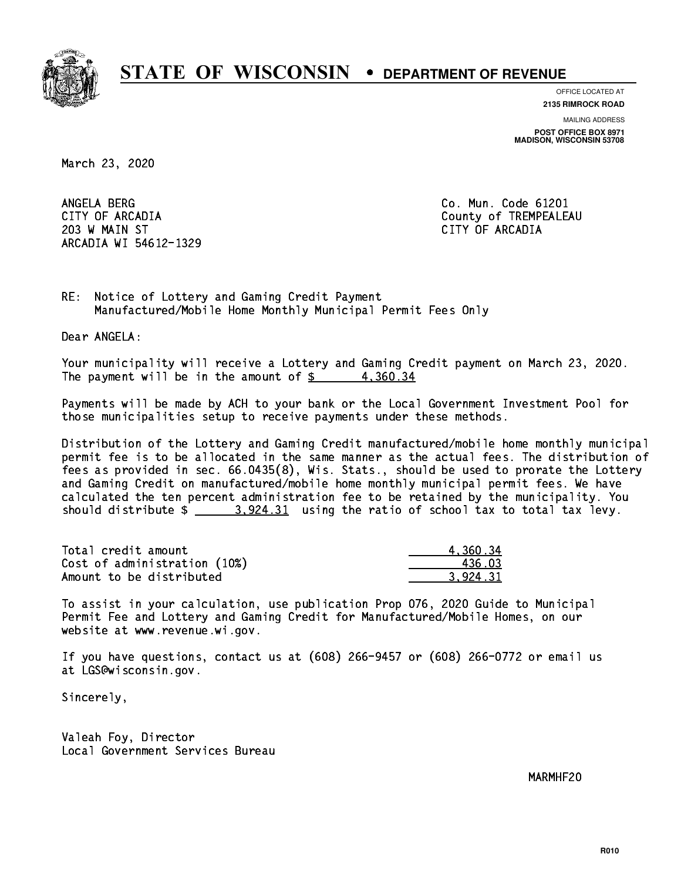

**OFFICE LOCATED AT**

**2135 RIMROCK ROAD**

**MAILING ADDRESS POST OFFICE BOX 8971 MADISON, WISCONSIN 53708**

March 23, 2020

ANGELA BERG 203 W MAIN ST CITY OF ARCADIA ARCADIA WI 54612-1329

Co. Mun. Code 61201 CITY OF ARCADIA County of TREMPEALEAU

RE: Notice of Lottery and Gaming Credit Payment Manufactured/Mobile Home Monthly Municipal Permit Fees Only

Dear ANGELA:

 Your municipality will receive a Lottery and Gaming Credit payment on March 23, 2020. The payment will be in the amount of  $\frac{2}{3}$  4,360.34

 Payments will be made by ACH to your bank or the Local Government Investment Pool for those municipalities setup to receive payments under these methods.

 Distribution of the Lottery and Gaming Credit manufactured/mobile home monthly municipal permit fee is to be allocated in the same manner as the actual fees. The distribution of fees as provided in sec. 66.0435(8), Wis. Stats., should be used to prorate the Lottery and Gaming Credit on manufactured/mobile home monthly municipal permit fees. We have calculated the ten percent administration fee to be retained by the municipality. You should distribute  $\frac{2}{2}$   $\frac{3.924.31}{2}$  using the ratio of school tax to total tax levy.

| Total credit amount          | 4.360.34 |
|------------------------------|----------|
| Cost of administration (10%) | 436 03   |
| Amount to be distributed     | 3.924.31 |

 To assist in your calculation, use publication Prop 076, 2020 Guide to Municipal Permit Fee and Lottery and Gaming Credit for Manufactured/Mobile Homes, on our website at www.revenue.wi.gov.

 If you have questions, contact us at (608) 266-9457 or (608) 266-0772 or email us at LGS@wisconsin.gov.

Sincerely,

 Valeah Foy, Director Local Government Services Bureau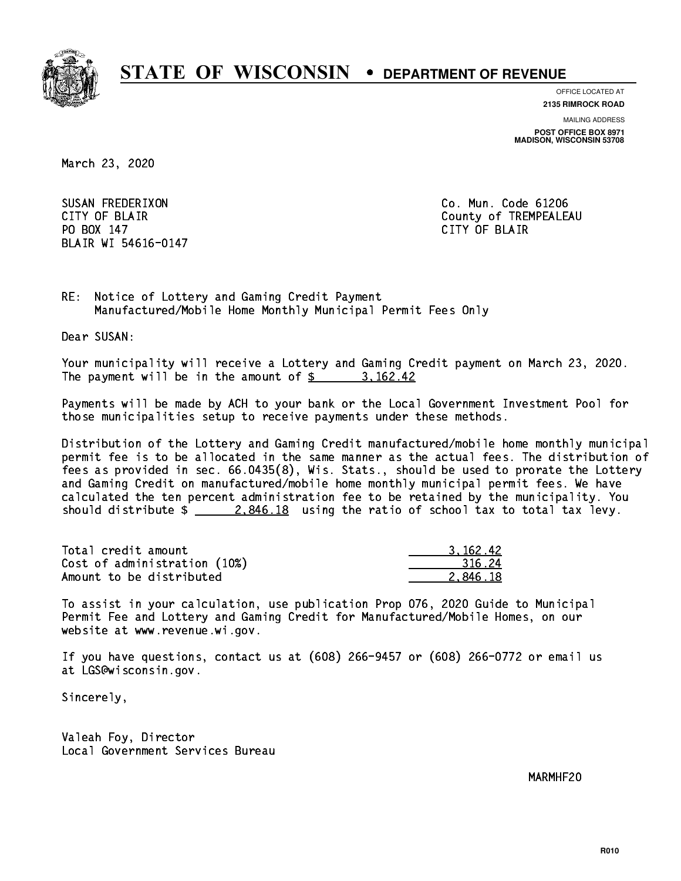

**OFFICE LOCATED AT**

**2135 RIMROCK ROAD**

**MAILING ADDRESS POST OFFICE BOX 8971 MADISON, WISCONSIN 53708**

March 23, 2020

 SUSAN FREDERIXON Co. Mun. Code 61206 PO BOX 147 PO BOX 147 CITY OF BLACK IS A RELEASED OF BLACK IS A RELEASED OF BLACK IS A RELEASED OF BLACK IS A RELEASED OF BLAIR WI 54616-0147

CITY OF BLAIR County of TREMPEALEAU

RE: Notice of Lottery and Gaming Credit Payment Manufactured/Mobile Home Monthly Municipal Permit Fees Only

Dear SUSAN:

 Your municipality will receive a Lottery and Gaming Credit payment on March 23, 2020. The payment will be in the amount of \$ 3,162.42 \_\_\_\_\_\_\_\_\_\_\_\_\_\_\_\_

 Payments will be made by ACH to your bank or the Local Government Investment Pool for those municipalities setup to receive payments under these methods.

 Distribution of the Lottery and Gaming Credit manufactured/mobile home monthly municipal permit fee is to be allocated in the same manner as the actual fees. The distribution of fees as provided in sec. 66.0435(8), Wis. Stats., should be used to prorate the Lottery and Gaming Credit on manufactured/mobile home monthly municipal permit fees. We have calculated the ten percent administration fee to be retained by the municipality. You should distribute  $\frac{2.846.18}{ }$  using the ratio of school tax to total tax levy.

| Total credit amount          | 3.162.42 |
|------------------------------|----------|
| Cost of administration (10%) | 316.24   |
| Amount to be distributed     | 2.846.18 |

 To assist in your calculation, use publication Prop 076, 2020 Guide to Municipal Permit Fee and Lottery and Gaming Credit for Manufactured/Mobile Homes, on our website at www.revenue.wi.gov.

 If you have questions, contact us at (608) 266-9457 or (608) 266-0772 or email us at LGS@wisconsin.gov.

Sincerely,

 Valeah Foy, Director Local Government Services Bureau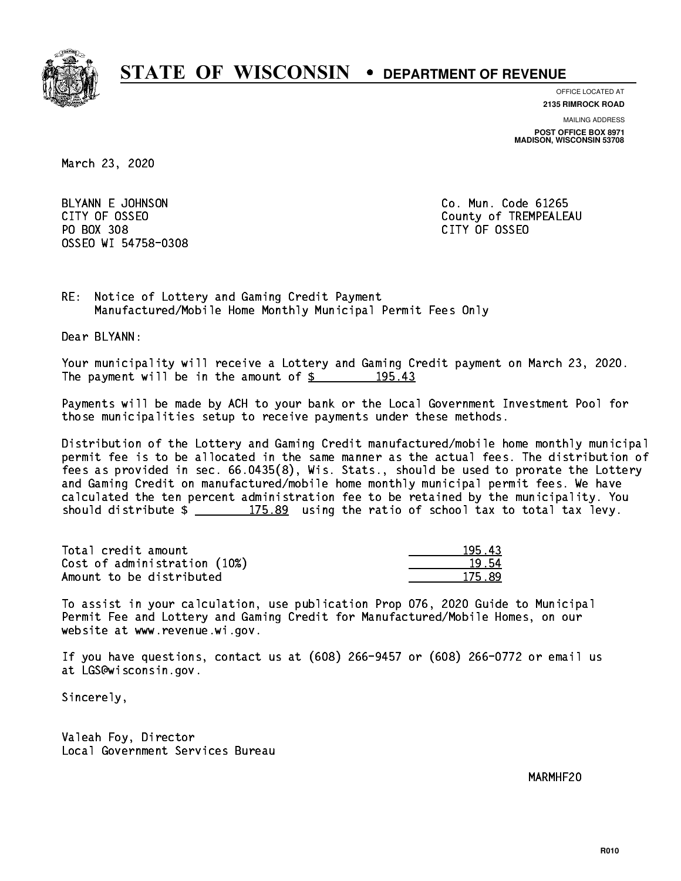

**OFFICE LOCATED AT**

**2135 RIMROCK ROAD**

**MAILING ADDRESS POST OFFICE BOX 8971 MADISON, WISCONSIN 53708**

March 23, 2020

BLYANN E JOHNSON CO. Mun. Code 61265 PO BOX 308 PO BOX 308 CITY OF OSSEO OSSEO WI 54758-0308

CITY OF OSSEO COUNTY OF OSSEO

RE: Notice of Lottery and Gaming Credit Payment Manufactured/Mobile Home Monthly Municipal Permit Fees Only

Dear BLYANN:

 Your municipality will receive a Lottery and Gaming Credit payment on March 23, 2020. The payment will be in the amount of  $\frac{2}{3}$  195.43

 Payments will be made by ACH to your bank or the Local Government Investment Pool for those municipalities setup to receive payments under these methods.

 Distribution of the Lottery and Gaming Credit manufactured/mobile home monthly municipal permit fee is to be allocated in the same manner as the actual fees. The distribution of fees as provided in sec. 66.0435(8), Wis. Stats., should be used to prorate the Lottery and Gaming Credit on manufactured/mobile home monthly municipal permit fees. We have calculated the ten percent administration fee to be retained by the municipality. You should distribute  $\frac{2}{2}$   $\frac{175.89}{2}$  using the ratio of school tax to total tax levy.

Total credit amount Cost of administration (10%) Amount to be distributed

| п.<br>L R |
|-----------|
| 54        |
| 175       |

 To assist in your calculation, use publication Prop 076, 2020 Guide to Municipal Permit Fee and Lottery and Gaming Credit for Manufactured/Mobile Homes, on our website at www.revenue.wi.gov.

 If you have questions, contact us at (608) 266-9457 or (608) 266-0772 or email us at LGS@wisconsin.gov.

Sincerely,

 Valeah Foy, Director Local Government Services Bureau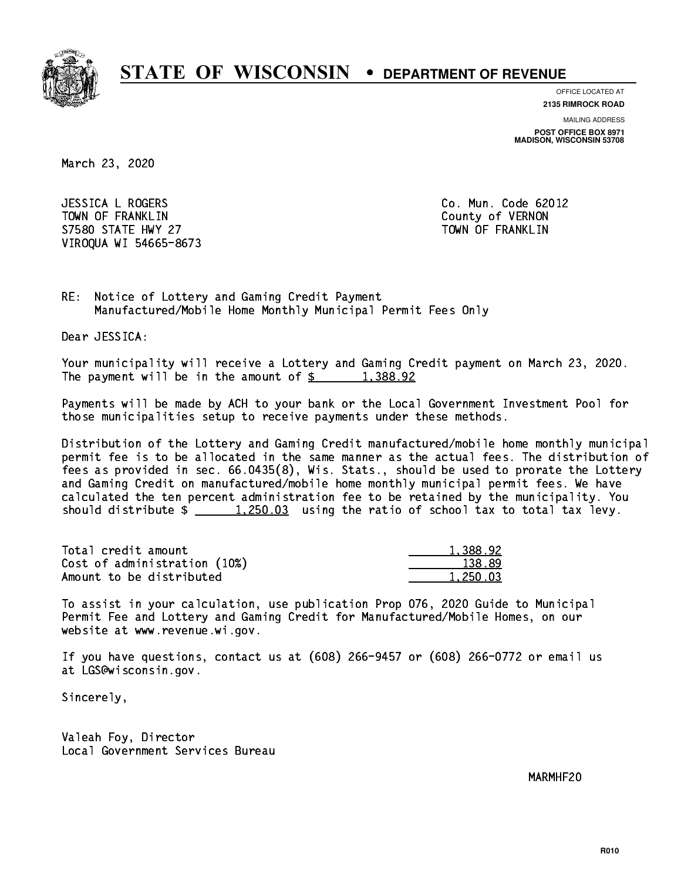

**OFFICE LOCATED AT**

**2135 RIMROCK ROAD**

**MAILING ADDRESS POST OFFICE BOX 8971 MADISON, WISCONSIN 53708**

March 23, 2020

 JESSICA L ROGERS Co. Mun. Code 62012 TOWN OF FRANKLIN County of VERNON S7580 STATE HWY 27 TOWN OF FRANKLIN VIROQUA WI 54665-8673

RE: Notice of Lottery and Gaming Credit Payment Manufactured/Mobile Home Monthly Municipal Permit Fees Only

Dear JESSICA:

 Your municipality will receive a Lottery and Gaming Credit payment on March 23, 2020. The payment will be in the amount of  $\frac{2}{3}$  1,388.92

 Payments will be made by ACH to your bank or the Local Government Investment Pool for those municipalities setup to receive payments under these methods.

 Distribution of the Lottery and Gaming Credit manufactured/mobile home monthly municipal permit fee is to be allocated in the same manner as the actual fees. The distribution of fees as provided in sec. 66.0435(8), Wis. Stats., should be used to prorate the Lottery and Gaming Credit on manufactured/mobile home monthly municipal permit fees. We have calculated the ten percent administration fee to be retained by the municipality. You should distribute  $\frac{1}{250.03}$  using the ratio of school tax to total tax levy.

| Total credit amount          | 1,388.92 |
|------------------------------|----------|
| Cost of administration (10%) | 138.89   |
| Amount to be distributed     | 1,250.03 |

 To assist in your calculation, use publication Prop 076, 2020 Guide to Municipal Permit Fee and Lottery and Gaming Credit for Manufactured/Mobile Homes, on our website at www.revenue.wi.gov.

 If you have questions, contact us at (608) 266-9457 or (608) 266-0772 or email us at LGS@wisconsin.gov.

Sincerely,

 Valeah Foy, Director Local Government Services Bureau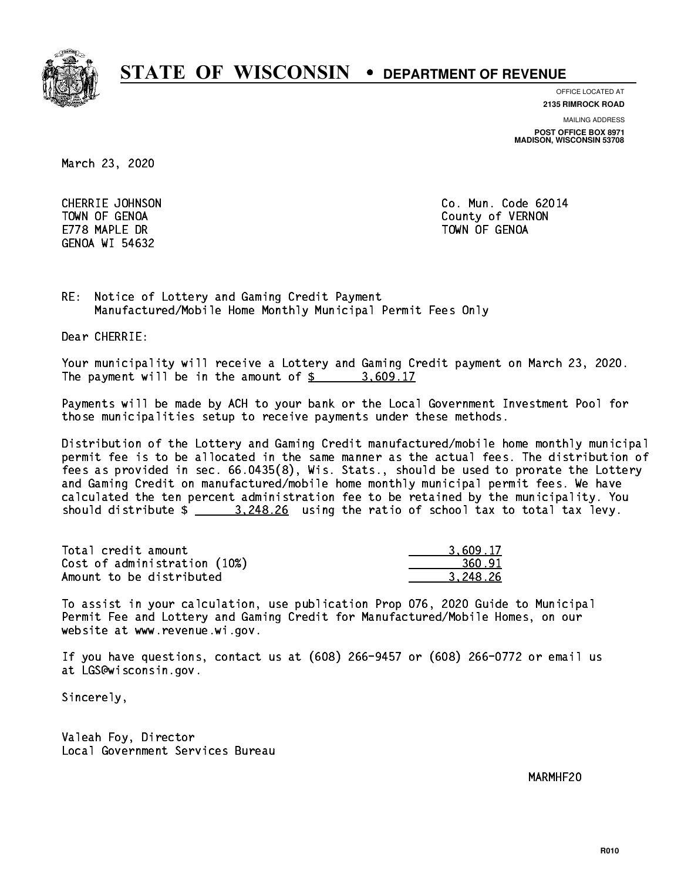

**OFFICE LOCATED AT 2135 RIMROCK ROAD**

**MAILING ADDRESS**

**POST OFFICE BOX 8971 MADISON, WISCONSIN 53708**

March 23, 2020

E778 MAPLE DR TOWN OF GENOA GENOA WI 54632

 CHERRIE JOHNSON Co. Mun. Code 62014 TOWN OF GENOA County of VERNON

RE: Notice of Lottery and Gaming Credit Payment Manufactured/Mobile Home Monthly Municipal Permit Fees Only

Dear CHERRIE:

 Your municipality will receive a Lottery and Gaming Credit payment on March 23, 2020. The payment will be in the amount of  $\frac{2}{3}$  3,609.17

 Payments will be made by ACH to your bank or the Local Government Investment Pool for those municipalities setup to receive payments under these methods.

 Distribution of the Lottery and Gaming Credit manufactured/mobile home monthly municipal permit fee is to be allocated in the same manner as the actual fees. The distribution of fees as provided in sec. 66.0435(8), Wis. Stats., should be used to prorate the Lottery and Gaming Credit on manufactured/mobile home monthly municipal permit fees. We have calculated the ten percent administration fee to be retained by the municipality. You should distribute  $\frac{2}{2}$   $\frac{3,248.26}{2}$  using the ratio of school tax to total tax levy.

| Total credit amount          | 3.609.17 |
|------------------------------|----------|
| Cost of administration (10%) | 360.91   |
| Amount to be distributed     | 3.248.26 |

 To assist in your calculation, use publication Prop 076, 2020 Guide to Municipal Permit Fee and Lottery and Gaming Credit for Manufactured/Mobile Homes, on our website at www.revenue.wi.gov.

 If you have questions, contact us at (608) 266-9457 or (608) 266-0772 or email us at LGS@wisconsin.gov.

Sincerely,

 Valeah Foy, Director Local Government Services Bureau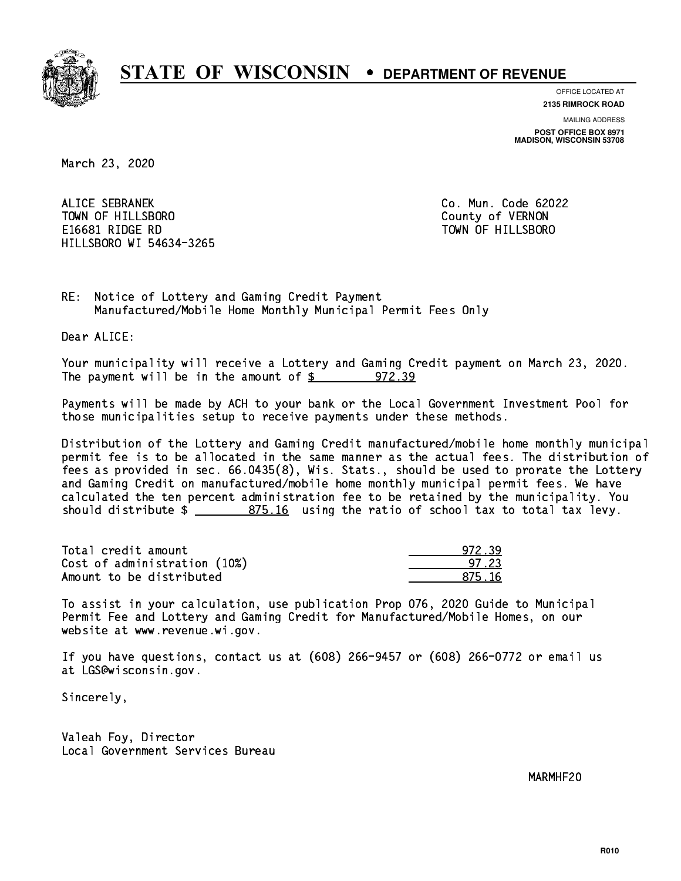

**OFFICE LOCATED AT 2135 RIMROCK ROAD**

**MAILING ADDRESS POST OFFICE BOX 8971 MADISON, WISCONSIN 53708**

March 23, 2020

 ALICE SEBRANEK Co. Mun. Code 62022 TOWN OF HILLSBORO County of VERNON E16681 RIDGE RD TOWN OF HILLSBORO HILLSBORO WI 54634-3265

RE: Notice of Lottery and Gaming Credit Payment Manufactured/Mobile Home Monthly Municipal Permit Fees Only

Dear ALICE:

 Your municipality will receive a Lottery and Gaming Credit payment on March 23, 2020. The payment will be in the amount of  $$ 972.39$ 

 Payments will be made by ACH to your bank or the Local Government Investment Pool for those municipalities setup to receive payments under these methods.

 Distribution of the Lottery and Gaming Credit manufactured/mobile home monthly municipal permit fee is to be allocated in the same manner as the actual fees. The distribution of fees as provided in sec. 66.0435(8), Wis. Stats., should be used to prorate the Lottery and Gaming Credit on manufactured/mobile home monthly municipal permit fees. We have calculated the ten percent administration fee to be retained by the municipality. You should distribute  $\frac{2}{2}$   $\frac{875.16}{2}$  using the ratio of school tax to total tax levy.

Total credit amount Cost of administration (10%) Amount to be distributed

| रप<br>7 : 1 |
|-------------|
| - 23        |
| 16          |

 To assist in your calculation, use publication Prop 076, 2020 Guide to Municipal Permit Fee and Lottery and Gaming Credit for Manufactured/Mobile Homes, on our website at www.revenue.wi.gov.

 If you have questions, contact us at (608) 266-9457 or (608) 266-0772 or email us at LGS@wisconsin.gov.

Sincerely,

 Valeah Foy, Director Local Government Services Bureau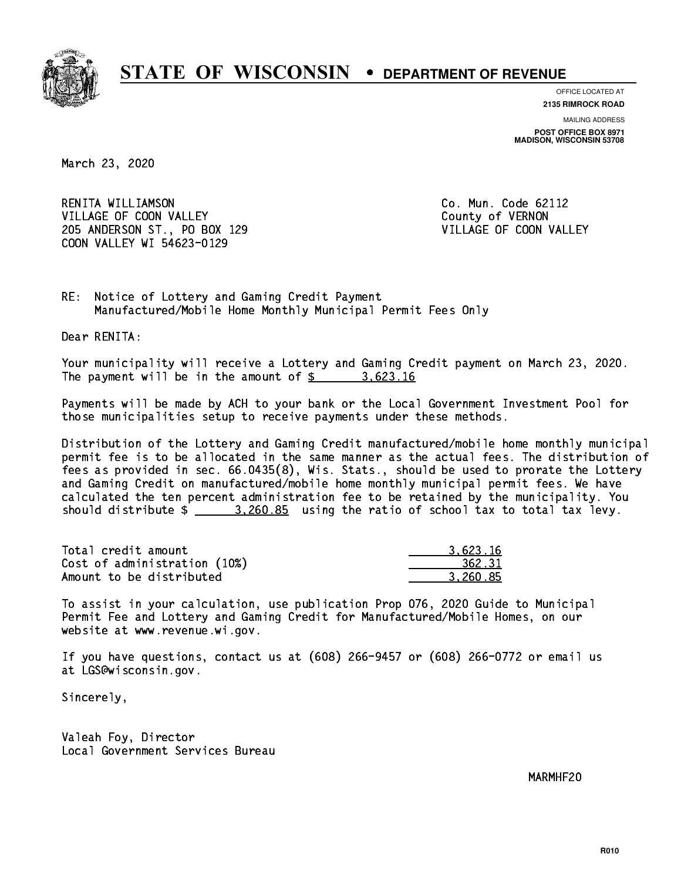

**OFFICE LOCATED AT**

**2135 RIMROCK ROAD**

**MAILING ADDRESS POST OFFICE BOX 8971 MADISON, WISCONSIN 53708**

March 23, 2020

 RENITA WILLIAMSON Co. Mun. Code 62112 VILLAGE OF COON VALLEY COUNTY OF VERNON 205 ANDERSON ST., PO BOX 129 VILLAGE OF COON VALLEY COON VALLEY WI 54623-0129

RE: Notice of Lottery and Gaming Credit Payment Manufactured/Mobile Home Monthly Municipal Permit Fees Only

Dear RENITA:

 Your municipality will receive a Lottery and Gaming Credit payment on March 23, 2020. The payment will be in the amount of  $\frac{2}{3}$  3,623.16

 Payments will be made by ACH to your bank or the Local Government Investment Pool for those municipalities setup to receive payments under these methods.

 Distribution of the Lottery and Gaming Credit manufactured/mobile home monthly municipal permit fee is to be allocated in the same manner as the actual fees. The distribution of fees as provided in sec. 66.0435(8), Wis. Stats., should be used to prorate the Lottery and Gaming Credit on manufactured/mobile home monthly municipal permit fees. We have calculated the ten percent administration fee to be retained by the municipality. You should distribute  $\frac{2.260.85}{2.260.85}$  using the ratio of school tax to total tax levy.

| Total credit amount          | 3.623.16 |
|------------------------------|----------|
| Cost of administration (10%) | 362.31   |
| Amount to be distributed     | 3.260.85 |

 To assist in your calculation, use publication Prop 076, 2020 Guide to Municipal Permit Fee and Lottery and Gaming Credit for Manufactured/Mobile Homes, on our website at www.revenue.wi.gov.

 If you have questions, contact us at (608) 266-9457 or (608) 266-0772 or email us at LGS@wisconsin.gov.

Sincerely,

 Valeah Foy, Director Local Government Services Bureau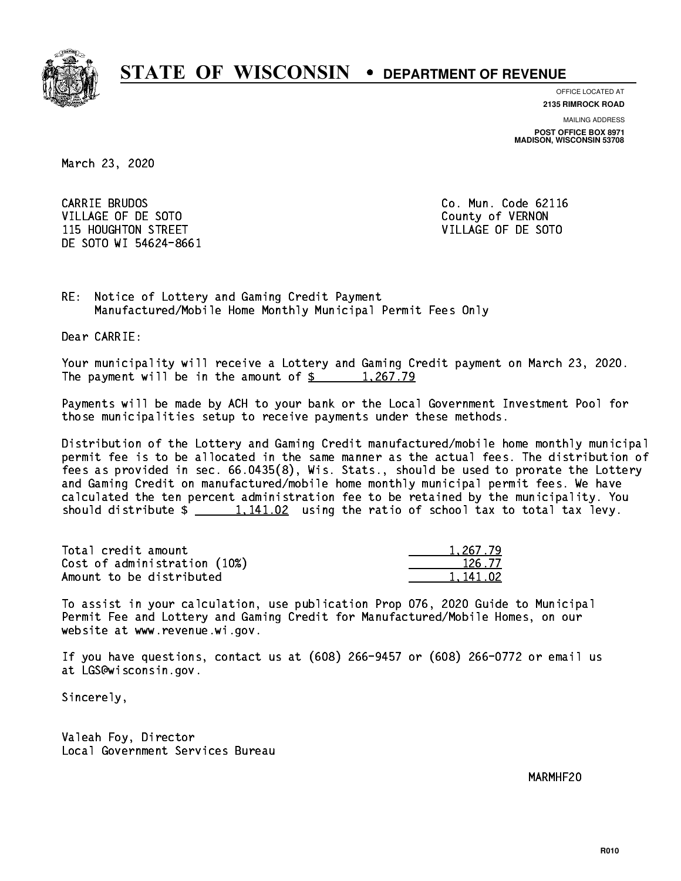

**OFFICE LOCATED AT**

**2135 RIMROCK ROAD**

**MAILING ADDRESS POST OFFICE BOX 8971 MADISON, WISCONSIN 53708**

March 23, 2020

CARRIE BRUDOS VILLAGE OF DE SOTO COUNTY OF VERNON 115 HOUGHTON STREET VILLAGE OF DE SOTO DE SOTO WI 54624-8661

Co. Mun. Code 62116

RE: Notice of Lottery and Gaming Credit Payment Manufactured/Mobile Home Monthly Municipal Permit Fees Only

Dear CARRIE:

 Your municipality will receive a Lottery and Gaming Credit payment on March 23, 2020. The payment will be in the amount of  $\frac{2}{3}$  1,267.79

 Payments will be made by ACH to your bank or the Local Government Investment Pool for those municipalities setup to receive payments under these methods.

 Distribution of the Lottery and Gaming Credit manufactured/mobile home monthly municipal permit fee is to be allocated in the same manner as the actual fees. The distribution of fees as provided in sec. 66.0435(8), Wis. Stats., should be used to prorate the Lottery and Gaming Credit on manufactured/mobile home monthly municipal permit fees. We have calculated the ten percent administration fee to be retained by the municipality. You should distribute  $\frac{1,141.02}{1,141.02}$  using the ratio of school tax to total tax levy.

| Total credit amount          | 1,267.79 |
|------------------------------|----------|
| Cost of administration (10%) | 126.77   |
| Amount to be distributed     | 1.141.02 |

 To assist in your calculation, use publication Prop 076, 2020 Guide to Municipal Permit Fee and Lottery and Gaming Credit for Manufactured/Mobile Homes, on our website at www.revenue.wi.gov.

 If you have questions, contact us at (608) 266-9457 or (608) 266-0772 or email us at LGS@wisconsin.gov.

Sincerely,

 Valeah Foy, Director Local Government Services Bureau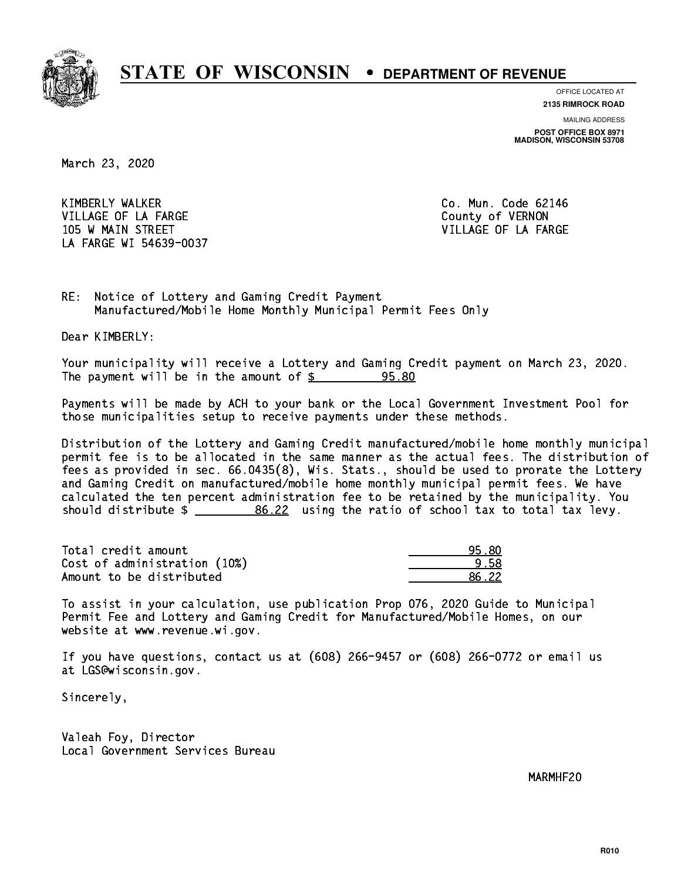

**OFFICE LOCATED AT**

**2135 RIMROCK ROAD**

**MAILING ADDRESS POST OFFICE BOX 8971 MADISON, WISCONSIN 53708**

March 23, 2020

 KIMBERLY WALKER Co. Mun. Code 62146 VILLAGE OF LA FARGE COUNTY OF VERNON 105 W MAIN STREET A RESERVE TO A STREET A STREET A STREET A STREET A STREET A STREET A STREET A STREET A STREET LA FARGE WI 54639-0037

RE: Notice of Lottery and Gaming Credit Payment Manufactured/Mobile Home Monthly Municipal Permit Fees Only

Dear KIMBERLY:

 Your municipality will receive a Lottery and Gaming Credit payment on March 23, 2020. The payment will be in the amount of  $\frac{25}{3}$ 95.80

 Payments will be made by ACH to your bank or the Local Government Investment Pool for those municipalities setup to receive payments under these methods.

 Distribution of the Lottery and Gaming Credit manufactured/mobile home monthly municipal permit fee is to be allocated in the same manner as the actual fees. The distribution of fees as provided in sec. 66.0435(8), Wis. Stats., should be used to prorate the Lottery and Gaming Credit on manufactured/mobile home monthly municipal permit fees. We have calculated the ten percent administration fee to be retained by the municipality. You should distribute  $\frac{26.22}{2}$  using the ratio of school tax to total tax levy.

Total credit amount Cost of administration (10%) Amount to be distributed

| - 5   |
|-------|
| $-22$ |

 To assist in your calculation, use publication Prop 076, 2020 Guide to Municipal Permit Fee and Lottery and Gaming Credit for Manufactured/Mobile Homes, on our website at www.revenue.wi.gov.

 If you have questions, contact us at (608) 266-9457 or (608) 266-0772 or email us at LGS@wisconsin.gov.

Sincerely,

 Valeah Foy, Director Local Government Services Bureau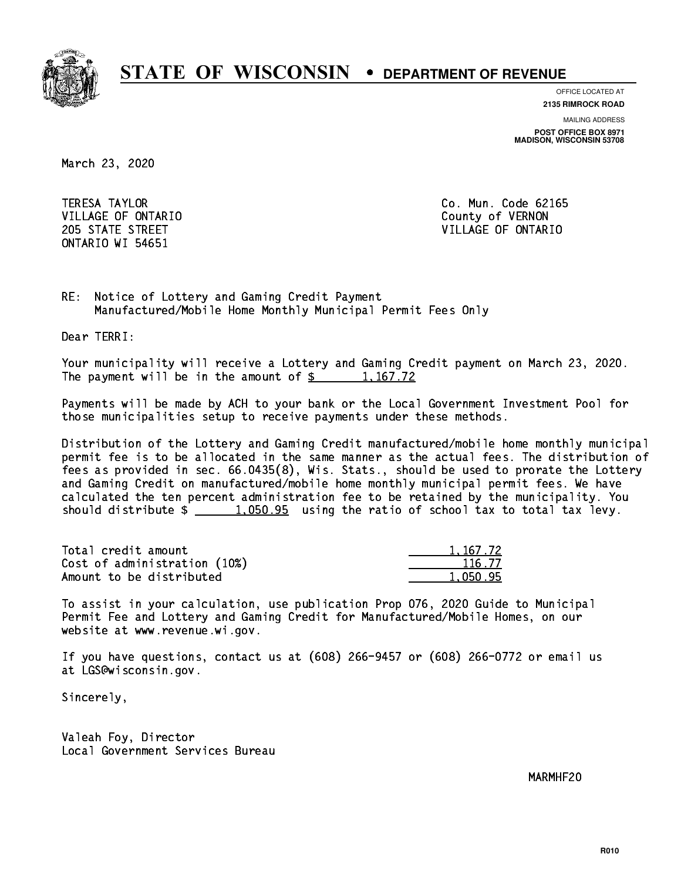

**OFFICE LOCATED AT 2135 RIMROCK ROAD**

**MAILING ADDRESS POST OFFICE BOX 8971 MADISON, WISCONSIN 53708**

March 23, 2020

**TERESA TAYLOR** VILLAGE OF ONTARIO **COUNTY OF SERVICE OF STATE OF STATE OF STATE OF STATE OF STATE OF STATE OF STATE OF STATE OF STATE OF STATE OF STATE OF STATE OF STATE OF STATE OF STATE OF STATE OF STATE OF STATE OF STATE OF STATE OF S** ONTARIO WI 54651

Co. Mun. Code 62165 205 STATE STREET VILLAGE OF ONTARIO

RE: Notice of Lottery and Gaming Credit Payment Manufactured/Mobile Home Monthly Municipal Permit Fees Only

Dear TERRI:

 Your municipality will receive a Lottery and Gaming Credit payment on March 23, 2020. The payment will be in the amount of  $\frac{2}{3}$  1,167.72

 Payments will be made by ACH to your bank or the Local Government Investment Pool for those municipalities setup to receive payments under these methods.

 Distribution of the Lottery and Gaming Credit manufactured/mobile home monthly municipal permit fee is to be allocated in the same manner as the actual fees. The distribution of fees as provided in sec. 66.0435(8), Wis. Stats., should be used to prorate the Lottery and Gaming Credit on manufactured/mobile home monthly municipal permit fees. We have calculated the ten percent administration fee to be retained by the municipality. You should distribute  $\frac{1,050.95}{1,050.95}$  using the ratio of school tax to total tax levy.

| Total credit amount          | 1, 167, 72 |
|------------------------------|------------|
| Cost of administration (10%) | 116.77     |
| Amount to be distributed     | 1.050.95   |

 To assist in your calculation, use publication Prop 076, 2020 Guide to Municipal Permit Fee and Lottery and Gaming Credit for Manufactured/Mobile Homes, on our website at www.revenue.wi.gov.

 If you have questions, contact us at (608) 266-9457 or (608) 266-0772 or email us at LGS@wisconsin.gov.

Sincerely,

 Valeah Foy, Director Local Government Services Bureau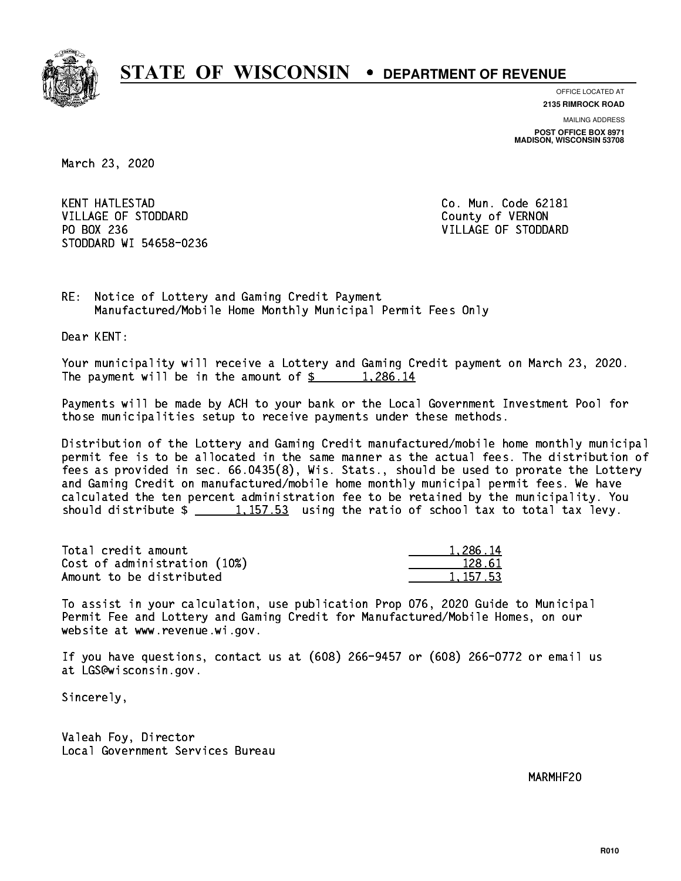

**OFFICE LOCATED AT**

**2135 RIMROCK ROAD**

**MAILING ADDRESS POST OFFICE BOX 8971 MADISON, WISCONSIN 53708**

March 23, 2020

**KENT HATLESTAD** VILLAGE OF STODDARD County of VERNON PO BOX 236 VILLAGE OF STODDARD STODDARD WI 54658-0236

Co. Mun. Code 62181

RE: Notice of Lottery and Gaming Credit Payment Manufactured/Mobile Home Monthly Municipal Permit Fees Only

Dear KENT:

 Your municipality will receive a Lottery and Gaming Credit payment on March 23, 2020. The payment will be in the amount of  $\frac{2}{3}$  1,286.14

 Payments will be made by ACH to your bank or the Local Government Investment Pool for those municipalities setup to receive payments under these methods.

 Distribution of the Lottery and Gaming Credit manufactured/mobile home monthly municipal permit fee is to be allocated in the same manner as the actual fees. The distribution of fees as provided in sec. 66.0435(8), Wis. Stats., should be used to prorate the Lottery and Gaming Credit on manufactured/mobile home monthly municipal permit fees. We have calculated the ten percent administration fee to be retained by the municipality. You should distribute  $\frac{1}{2}$   $\frac{1}{157.53}$  using the ratio of school tax to total tax levy.

| Total credit amount          | 1,286.14 |
|------------------------------|----------|
| Cost of administration (10%) | 128.61   |
| Amount to be distributed     | 1.157.53 |

 To assist in your calculation, use publication Prop 076, 2020 Guide to Municipal Permit Fee and Lottery and Gaming Credit for Manufactured/Mobile Homes, on our website at www.revenue.wi.gov.

 If you have questions, contact us at (608) 266-9457 or (608) 266-0772 or email us at LGS@wisconsin.gov.

Sincerely,

 Valeah Foy, Director Local Government Services Bureau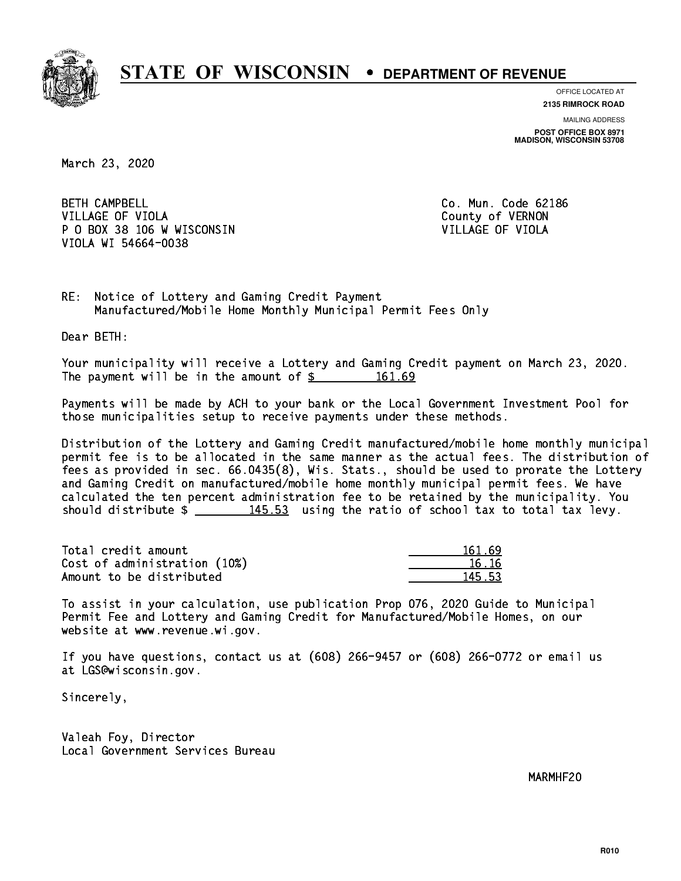

**OFFICE LOCATED AT 2135 RIMROCK ROAD**

**MAILING ADDRESS**

**POST OFFICE BOX 8971 MADISON, WISCONSIN 53708**

March 23, 2020

**BETH CAMPBELL** VILLAGE OF VIOLA **COUNTY OF VIOLA**  P O BOX 38 106 W WISCONSIN VILLAGE OF VIOLA VIOLA WI 54664-0038

Co. Mun. Code 62186

RE: Notice of Lottery and Gaming Credit Payment Manufactured/Mobile Home Monthly Municipal Permit Fees Only

Dear BETH:

 Your municipality will receive a Lottery and Gaming Credit payment on March 23, 2020. The payment will be in the amount of  $\frac{2}{3}$  161.69

 Payments will be made by ACH to your bank or the Local Government Investment Pool for those municipalities setup to receive payments under these methods.

 Distribution of the Lottery and Gaming Credit manufactured/mobile home monthly municipal permit fee is to be allocated in the same manner as the actual fees. The distribution of fees as provided in sec. 66.0435(8), Wis. Stats., should be used to prorate the Lottery and Gaming Credit on manufactured/mobile home monthly municipal permit fees. We have calculated the ten percent administration fee to be retained by the municipality. You should distribute  $\frac{145.53}{145.53}$  using the ratio of school tax to total tax levy.

Total credit amount Cost of administration (10%) Amount to be distributed

| 61.69 |
|-------|
| հ 16  |
| 5.53  |

 To assist in your calculation, use publication Prop 076, 2020 Guide to Municipal Permit Fee and Lottery and Gaming Credit for Manufactured/Mobile Homes, on our website at www.revenue.wi.gov.

 If you have questions, contact us at (608) 266-9457 or (608) 266-0772 or email us at LGS@wisconsin.gov.

Sincerely,

 Valeah Foy, Director Local Government Services Bureau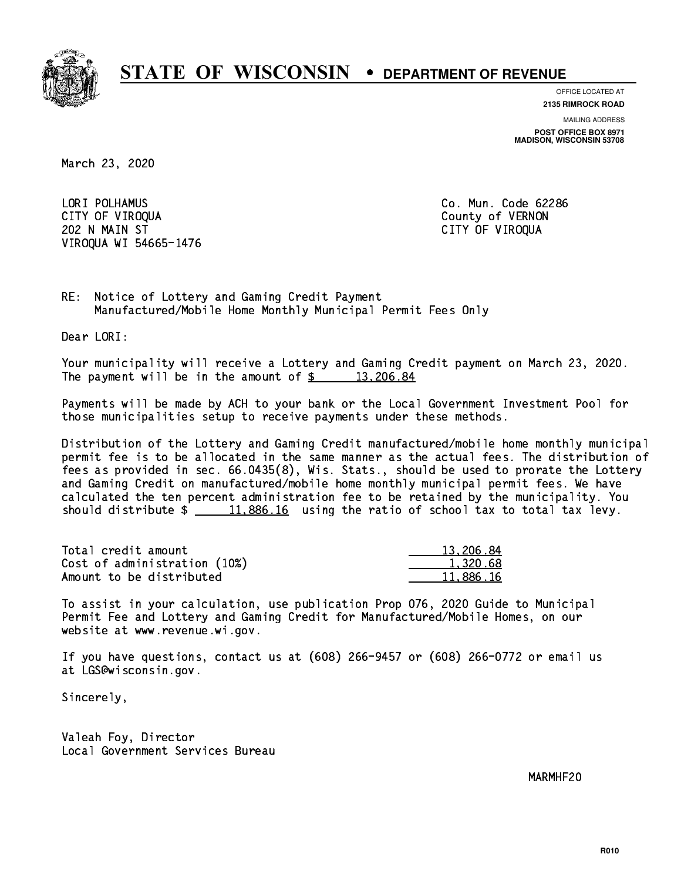

**OFFICE LOCATED AT**

**2135 RIMROCK ROAD**

**MAILING ADDRESS POST OFFICE BOX 8971 MADISON, WISCONSIN 53708**

March 23, 2020

 LORI POLHAMUS Co. Mun. Code 62286 CITY OF VIROQUA COUNTY OF VERNON 202 N MAIN ST CITY OF VIROQUA VIROQUA WI 54665-1476

RE: Notice of Lottery and Gaming Credit Payment Manufactured/Mobile Home Monthly Municipal Permit Fees Only

Dear LORI:

 Your municipality will receive a Lottery and Gaming Credit payment on March 23, 2020. The payment will be in the amount of  $\frac{2}{3}$  13,206.84

 Payments will be made by ACH to your bank or the Local Government Investment Pool for those municipalities setup to receive payments under these methods.

 Distribution of the Lottery and Gaming Credit manufactured/mobile home monthly municipal permit fee is to be allocated in the same manner as the actual fees. The distribution of fees as provided in sec. 66.0435(8), Wis. Stats., should be used to prorate the Lottery and Gaming Credit on manufactured/mobile home monthly municipal permit fees. We have calculated the ten percent administration fee to be retained by the municipality. You should distribute  $\frac{11,886.16}{2}$  using the ratio of school tax to total tax levy.

| Total credit amount          | 13,206.84 |
|------------------------------|-----------|
| Cost of administration (10%) | 1.320.68  |
| Amount to be distributed     | 11.886.16 |

 To assist in your calculation, use publication Prop 076, 2020 Guide to Municipal Permit Fee and Lottery and Gaming Credit for Manufactured/Mobile Homes, on our website at www.revenue.wi.gov.

 If you have questions, contact us at (608) 266-9457 or (608) 266-0772 or email us at LGS@wisconsin.gov.

Sincerely,

 Valeah Foy, Director Local Government Services Bureau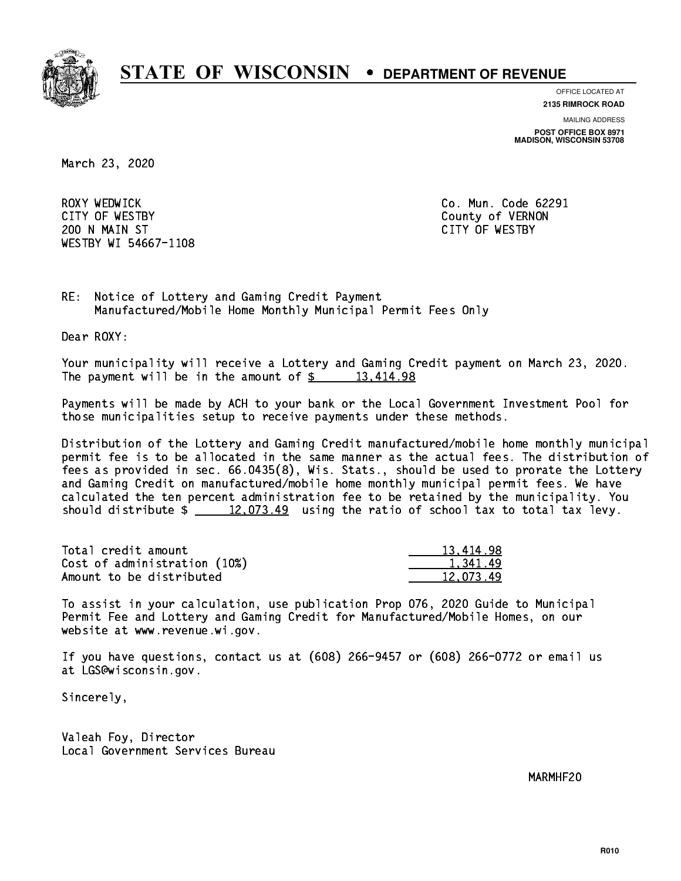

**OFFICE LOCATED AT**

**2135 RIMROCK ROAD**

**MAILING ADDRESS**

**POST OFFICE BOX 8971 MADISON, WISCONSIN 53708**

March 23, 2020

ROXY WEDWICK CITY OF WESTBY County of VERNON 200 N MAIN ST CITY OF WESTBY WESTBY WI 54667-1108

Co. Mun. Code 62291

RE: Notice of Lottery and Gaming Credit Payment Manufactured/Mobile Home Monthly Municipal Permit Fees Only

Dear ROXY:

 Your municipality will receive a Lottery and Gaming Credit payment on March 23, 2020. The payment will be in the amount of  $\frac{2}{3}$  13,414.98

 Payments will be made by ACH to your bank or the Local Government Investment Pool for those municipalities setup to receive payments under these methods.

 Distribution of the Lottery and Gaming Credit manufactured/mobile home monthly municipal permit fee is to be allocated in the same manner as the actual fees. The distribution of fees as provided in sec. 66.0435(8), Wis. Stats., should be used to prorate the Lottery and Gaming Credit on manufactured/mobile home monthly municipal permit fees. We have calculated the ten percent administration fee to be retained by the municipality. You should distribute  $\frac{2}{2}$   $\frac{12,073.49}{2}$  using the ratio of school tax to total tax levy.

| Total credit amount          | 13,414.98 |
|------------------------------|-----------|
| Cost of administration (10%) | 1.341.49  |
| Amount to be distributed     | 12.073.49 |

 To assist in your calculation, use publication Prop 076, 2020 Guide to Municipal Permit Fee and Lottery and Gaming Credit for Manufactured/Mobile Homes, on our website at www.revenue.wi.gov.

 If you have questions, contact us at (608) 266-9457 or (608) 266-0772 or email us at LGS@wisconsin.gov.

Sincerely,

 Valeah Foy, Director Local Government Services Bureau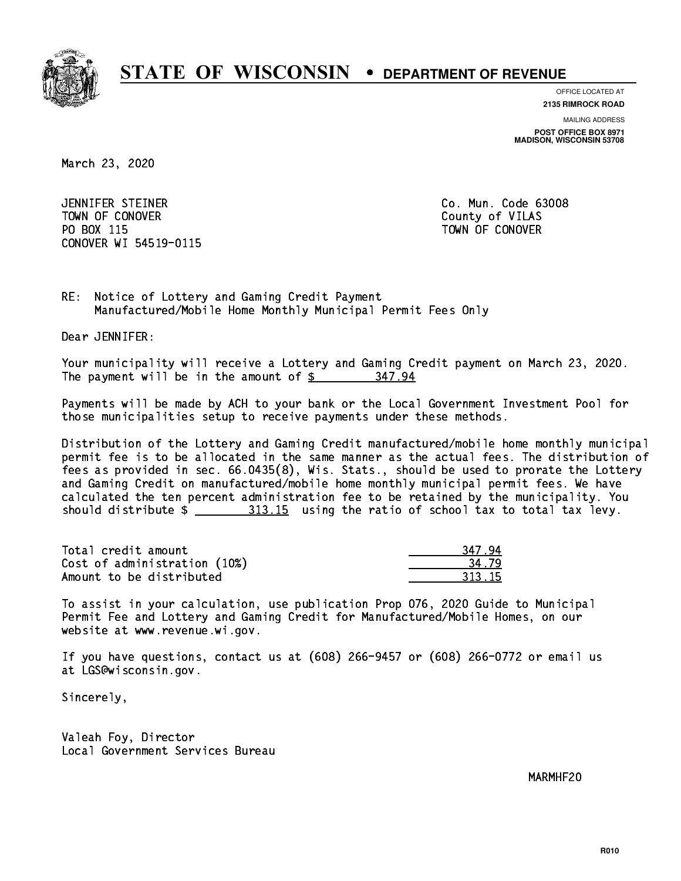

**OFFICE LOCATED AT**

**MAILING ADDRESS 2135 RIMROCK ROAD**

**POST OFFICE BOX 8971 MADISON, WISCONSIN 53708**

March 23, 2020

 JENNIFER STEINER Co. Mun. Code 63008 Town of County of County of Vilage County of Vilage County of Vilage County of Vilage County of Vilage County of Vil PO BOX 115 TOWN OF CONOVER CONOVER WI 54519-0115

RE: Notice of Lottery and Gaming Credit Payment Manufactured/Mobile Home Monthly Municipal Permit Fees Only

Dear JENNIFER:

 Your municipality will receive a Lottery and Gaming Credit payment on March 23, 2020. The payment will be in the amount of  $$ 347.94$ 

 Payments will be made by ACH to your bank or the Local Government Investment Pool for those municipalities setup to receive payments under these methods.

 Distribution of the Lottery and Gaming Credit manufactured/mobile home monthly municipal permit fee is to be allocated in the same manner as the actual fees. The distribution of fees as provided in sec. 66.0435(8), Wis. Stats., should be used to prorate the Lottery and Gaming Credit on manufactured/mobile home monthly municipal permit fees. We have calculated the ten percent administration fee to be retained by the municipality. You should distribute  $\frac{2 \frac{313.15}{2}}{2 \frac{313.15}{2}}$  using the ratio of school tax to total tax levy.

Total credit amount Cost of administration (10%) Amount to be distributed

| 7y   |
|------|
| ? 15 |

 To assist in your calculation, use publication Prop 076, 2020 Guide to Municipal Permit Fee and Lottery and Gaming Credit for Manufactured/Mobile Homes, on our website at www.revenue.wi.gov.

 If you have questions, contact us at (608) 266-9457 or (608) 266-0772 or email us at LGS@wisconsin.gov.

Sincerely,

 Valeah Foy, Director Local Government Services Bureau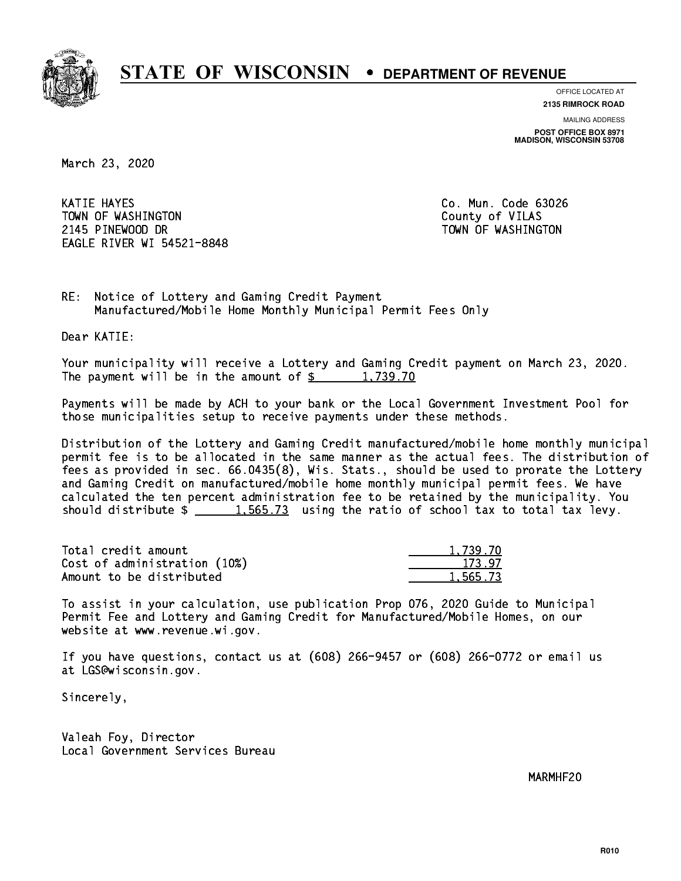

**OFFICE LOCATED AT**

**2135 RIMROCK ROAD**

**MAILING ADDRESS POST OFFICE BOX 8971 MADISON, WISCONSIN 53708**

March 23, 2020

 KATIE HAYES Co. Mun. Code 63026 TOWN OF WASHINGTON COUNTY OF VILAS 2145 PINEWOOD DR TOWN OF WASHINGTON EAGLE RIVER WI 54521-8848

RE: Notice of Lottery and Gaming Credit Payment Manufactured/Mobile Home Monthly Municipal Permit Fees Only

Dear KATIE:

 Your municipality will receive a Lottery and Gaming Credit payment on March 23, 2020. The payment will be in the amount of  $\frac{2}{3}$  1,739.70

 Payments will be made by ACH to your bank or the Local Government Investment Pool for those municipalities setup to receive payments under these methods.

 Distribution of the Lottery and Gaming Credit manufactured/mobile home monthly municipal permit fee is to be allocated in the same manner as the actual fees. The distribution of fees as provided in sec. 66.0435(8), Wis. Stats., should be used to prorate the Lottery and Gaming Credit on manufactured/mobile home monthly municipal permit fees. We have calculated the ten percent administration fee to be retained by the municipality. You should distribute  $\frac{1.565.73}{1.565.73}$  using the ratio of school tax to total tax levy.

| Total credit amount          | 1,739.70 |
|------------------------------|----------|
| Cost of administration (10%) | 173.97   |
| Amount to be distributed     | 1,565.73 |

 To assist in your calculation, use publication Prop 076, 2020 Guide to Municipal Permit Fee and Lottery and Gaming Credit for Manufactured/Mobile Homes, on our website at www.revenue.wi.gov.

 If you have questions, contact us at (608) 266-9457 or (608) 266-0772 or email us at LGS@wisconsin.gov.

Sincerely,

 Valeah Foy, Director Local Government Services Bureau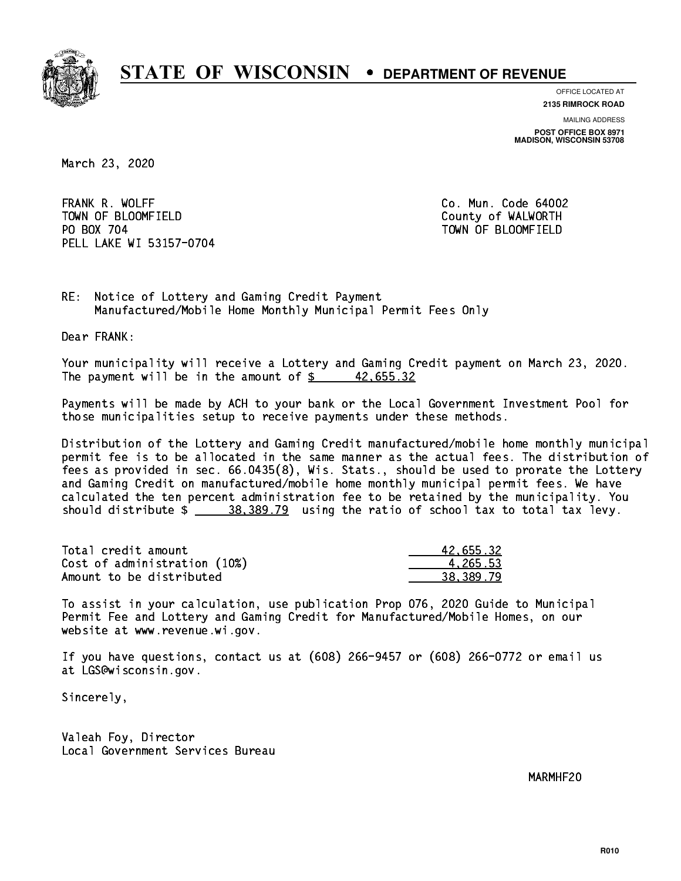

**OFFICE LOCATED AT**

**2135 RIMROCK ROAD**

**MAILING ADDRESS**

**POST OFFICE BOX 8971 MADISON, WISCONSIN 53708**

March 23, 2020

 FRANK R. WOLFF Co. Mun. Code 64002 TOWN OF BLOOMFIELD County of WALWORTH PO BOX 704 PELL LAKE WI 53157-0704

TOWN OF BLOOMFIELD

RE: Notice of Lottery and Gaming Credit Payment Manufactured/Mobile Home Monthly Municipal Permit Fees Only

Dear FRANK:

 Your municipality will receive a Lottery and Gaming Credit payment on March 23, 2020. The payment will be in the amount of  $\frac{2}{3}$  42,655.32

 Payments will be made by ACH to your bank or the Local Government Investment Pool for those municipalities setup to receive payments under these methods.

 Distribution of the Lottery and Gaming Credit manufactured/mobile home monthly municipal permit fee is to be allocated in the same manner as the actual fees. The distribution of fees as provided in sec. 66.0435(8), Wis. Stats., should be used to prorate the Lottery and Gaming Credit on manufactured/mobile home monthly municipal permit fees. We have calculated the ten percent administration fee to be retained by the municipality. You should distribute  $\frac{28.389.79}{2}$  using the ratio of school tax to total tax levy.

| Total credit amount          | 42.655.32 |
|------------------------------|-----------|
| Cost of administration (10%) | 4.265.53  |
| Amount to be distributed     | 38.389.79 |

 To assist in your calculation, use publication Prop 076, 2020 Guide to Municipal Permit Fee and Lottery and Gaming Credit for Manufactured/Mobile Homes, on our website at www.revenue.wi.gov.

 If you have questions, contact us at (608) 266-9457 or (608) 266-0772 or email us at LGS@wisconsin.gov.

Sincerely,

 Valeah Foy, Director Local Government Services Bureau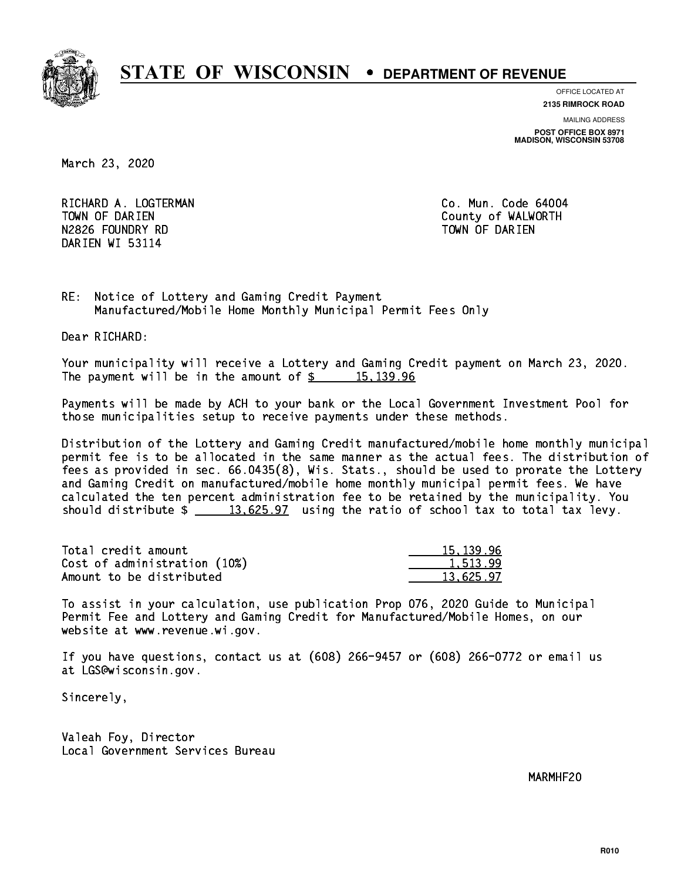

**OFFICE LOCATED AT**

**2135 RIMROCK ROAD**

**MAILING ADDRESS**

**POST OFFICE BOX 8971 MADISON, WISCONSIN 53708**

March 23, 2020

RICHARD A. LOGTERMAN **Co. Mun. Code 64004** TOWN OF DARIEN County of WALWORTH N2826 FOUNDRY RD TOWN OF DARIEN DARIEN WI 53114

RE: Notice of Lottery and Gaming Credit Payment Manufactured/Mobile Home Monthly Municipal Permit Fees Only

Dear RICHARD:

 Your municipality will receive a Lottery and Gaming Credit payment on March 23, 2020. The payment will be in the amount of  $\frac{2}{3}$  15,139.96

 Payments will be made by ACH to your bank or the Local Government Investment Pool for those municipalities setup to receive payments under these methods.

 Distribution of the Lottery and Gaming Credit manufactured/mobile home monthly municipal permit fee is to be allocated in the same manner as the actual fees. The distribution of fees as provided in sec. 66.0435(8), Wis. Stats., should be used to prorate the Lottery and Gaming Credit on manufactured/mobile home monthly municipal permit fees. We have calculated the ten percent administration fee to be retained by the municipality. You should distribute  $\frac{2}{13,625.97}$  using the ratio of school tax to total tax levy.

| Total credit amount          | 15, 139, 96 |
|------------------------------|-------------|
| Cost of administration (10%) | 1.513.99    |
| Amount to be distributed     | 13.625.97   |

 To assist in your calculation, use publication Prop 076, 2020 Guide to Municipal Permit Fee and Lottery and Gaming Credit for Manufactured/Mobile Homes, on our website at www.revenue.wi.gov.

 If you have questions, contact us at (608) 266-9457 or (608) 266-0772 or email us at LGS@wisconsin.gov.

Sincerely,

 Valeah Foy, Director Local Government Services Bureau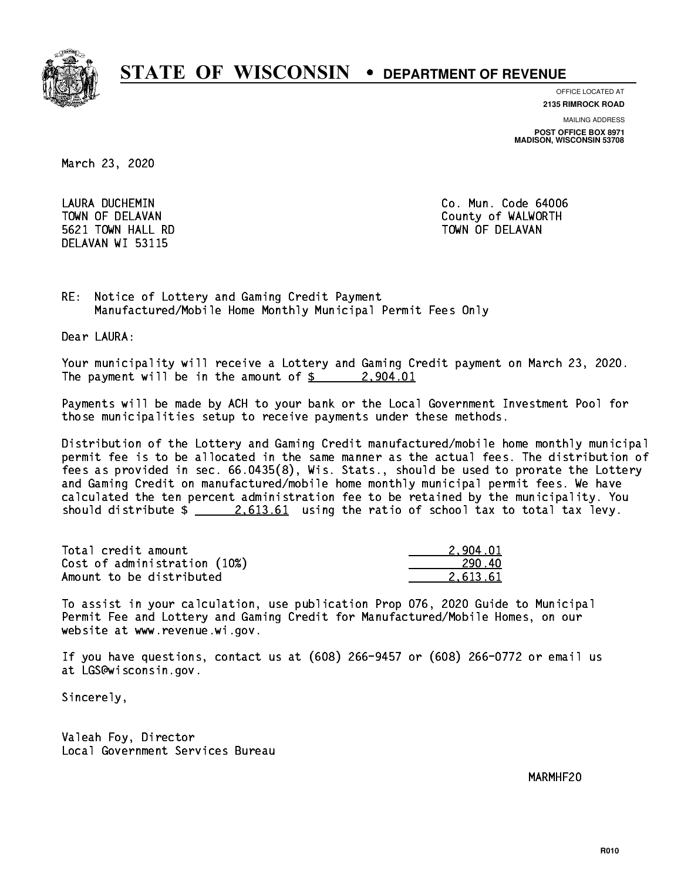

**OFFICE LOCATED AT**

**2135 RIMROCK ROAD**

**MAILING ADDRESS**

**POST OFFICE BOX 8971 MADISON, WISCONSIN 53708**

March 23, 2020

 LAURA DUCHEMIN Co. Mun. Code 64006 5621 TOWN HALL RD TOWN OF DELAVAN DELAVAN WI 53115

TOWN OF DELAVAN County of WALWORTH

RE: Notice of Lottery and Gaming Credit Payment Manufactured/Mobile Home Monthly Municipal Permit Fees Only

Dear LAURA:

 Your municipality will receive a Lottery and Gaming Credit payment on March 23, 2020. The payment will be in the amount of  $\frac{2}{3}$  2,904.01

 Payments will be made by ACH to your bank or the Local Government Investment Pool for those municipalities setup to receive payments under these methods.

 Distribution of the Lottery and Gaming Credit manufactured/mobile home monthly municipal permit fee is to be allocated in the same manner as the actual fees. The distribution of fees as provided in sec. 66.0435(8), Wis. Stats., should be used to prorate the Lottery and Gaming Credit on manufactured/mobile home monthly municipal permit fees. We have calculated the ten percent administration fee to be retained by the municipality. You should distribute  $\frac{2.613.61}{2.613.61}$  using the ratio of school tax to total tax levy.

| Total credit amount          | 2.904.01 |
|------------------------------|----------|
| Cost of administration (10%) | 290.40   |
| Amount to be distributed     | 2.613.61 |

 To assist in your calculation, use publication Prop 076, 2020 Guide to Municipal Permit Fee and Lottery and Gaming Credit for Manufactured/Mobile Homes, on our website at www.revenue.wi.gov.

 If you have questions, contact us at (608) 266-9457 or (608) 266-0772 or email us at LGS@wisconsin.gov.

Sincerely,

 Valeah Foy, Director Local Government Services Bureau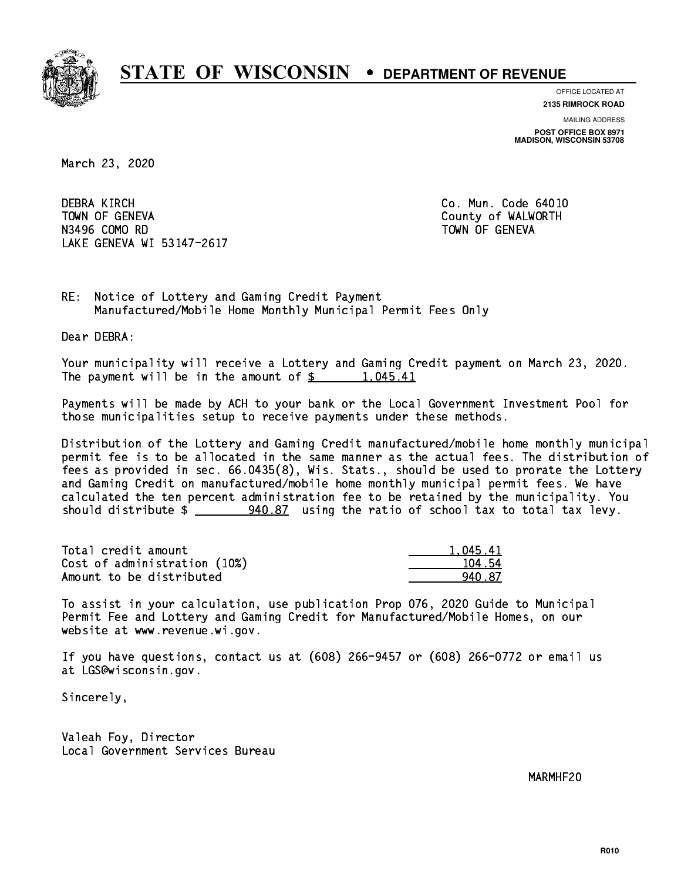

**OFFICE LOCATED AT**

**2135 RIMROCK ROAD**

**MAILING ADDRESS**

**POST OFFICE BOX 8971 MADISON, WISCONSIN 53708**

March 23, 2020

**DEBRA KIRCH**  TOWN OF GENEVA County of WALWORTH N3496 COMO RD TOWN OF GENEVA LAKE GENEVA WI 53147-2617

Co. Mun. Code 64010

RE: Notice of Lottery and Gaming Credit Payment Manufactured/Mobile Home Monthly Municipal Permit Fees Only

Dear DEBRA:

 Your municipality will receive a Lottery and Gaming Credit payment on March 23, 2020. The payment will be in the amount of \$ 1,045.41 \_\_\_\_\_\_\_\_\_\_\_\_\_\_\_\_

 Payments will be made by ACH to your bank or the Local Government Investment Pool for those municipalities setup to receive payments under these methods.

 Distribution of the Lottery and Gaming Credit manufactured/mobile home monthly municipal permit fee is to be allocated in the same manner as the actual fees. The distribution of fees as provided in sec. 66.0435(8), Wis. Stats., should be used to prorate the Lottery and Gaming Credit on manufactured/mobile home monthly municipal permit fees. We have calculated the ten percent administration fee to be retained by the municipality. You should distribute \$ 940.87 using the ratio of school tax to total tax levy. \_\_\_\_\_\_\_\_\_\_\_\_\_\_

| Total credit amount          | 1.045.41 |
|------------------------------|----------|
| Cost of administration (10%) | 104.54   |
| Amount to be distributed     | 940 R7   |

 To assist in your calculation, use publication Prop 076, 2020 Guide to Municipal Permit Fee and Lottery and Gaming Credit for Manufactured/Mobile Homes, on our website at www.revenue.wi.gov.

 If you have questions, contact us at (608) 266-9457 or (608) 266-0772 or email us at LGS@wisconsin.gov.

Sincerely,

 Valeah Foy, Director Local Government Services Bureau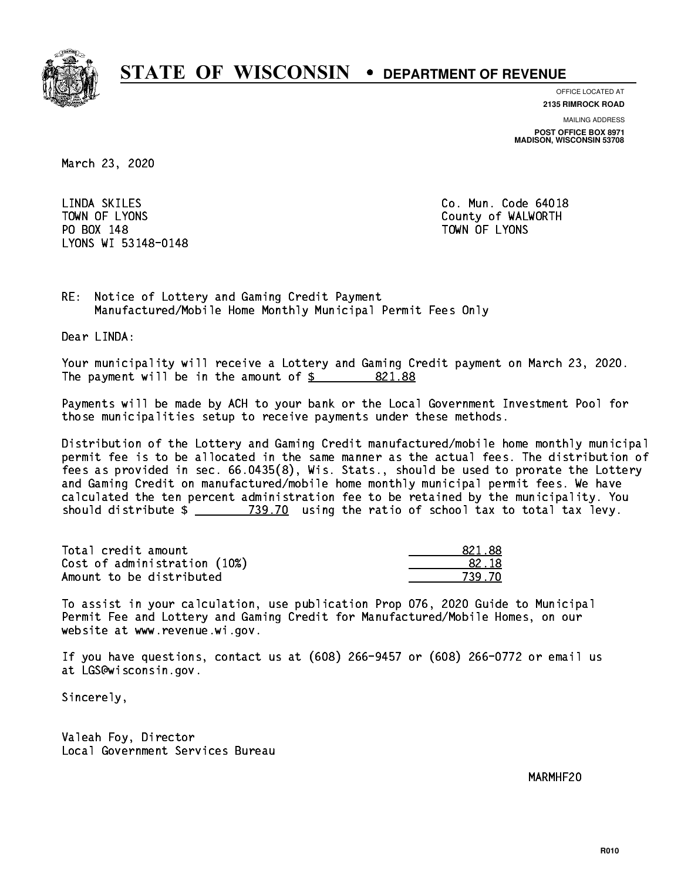

**OFFICE LOCATED AT**

**2135 RIMROCK ROAD**

**MAILING ADDRESS**

**POST OFFICE BOX 8971 MADISON, WISCONSIN 53708**

March 23, 2020

LINDA SKILES PO BOX 148 PO BOX 148 TOWN OF LYONS LYONS WI 53148-0148

Co. Mun. Code 64018 TOWN OF LYONS **County of WALWORTH** 

RE: Notice of Lottery and Gaming Credit Payment Manufactured/Mobile Home Monthly Municipal Permit Fees Only

Dear LINDA:

 Your municipality will receive a Lottery and Gaming Credit payment on March 23, 2020. The payment will be in the amount of  $\frac{2}{3}$  821.88

 Payments will be made by ACH to your bank or the Local Government Investment Pool for those municipalities setup to receive payments under these methods.

 Distribution of the Lottery and Gaming Credit manufactured/mobile home monthly municipal permit fee is to be allocated in the same manner as the actual fees. The distribution of fees as provided in sec. 66.0435(8), Wis. Stats., should be used to prorate the Lottery and Gaming Credit on manufactured/mobile home monthly municipal permit fees. We have calculated the ten percent administration fee to be retained by the municipality. You should distribute  $\frac{2}{2}$   $\frac{739.70}{2}$  using the ratio of school tax to total tax levy.

Total credit amount Cost of administration (10%) Amount to be distributed

| 321.88 |
|--------|
| 32.18  |
| -70    |

 To assist in your calculation, use publication Prop 076, 2020 Guide to Municipal Permit Fee and Lottery and Gaming Credit for Manufactured/Mobile Homes, on our website at www.revenue.wi.gov.

 If you have questions, contact us at (608) 266-9457 or (608) 266-0772 or email us at LGS@wisconsin.gov.

Sincerely,

 Valeah Foy, Director Local Government Services Bureau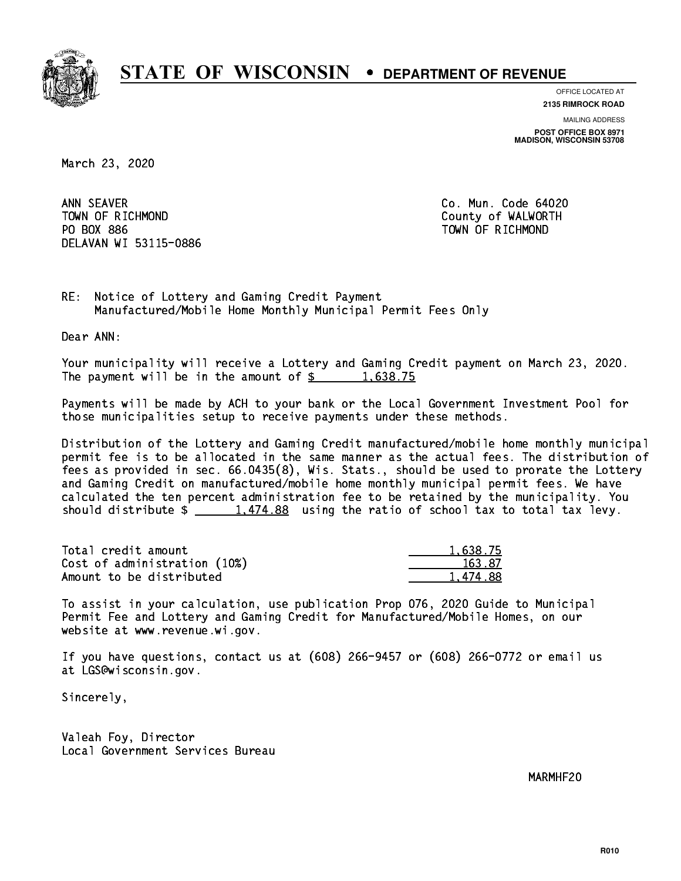

**OFFICE LOCATED AT 2135 RIMROCK ROAD**

**MAILING ADDRESS**

**POST OFFICE BOX 8971 MADISON, WISCONSIN 53708**

March 23, 2020

ANN SEAVER TOWN OF RICHMOND County of WALWORTH PO BOX 886 PO BOX 886 TOWN OF RICHMOND DELAVAN WI 53115-0886

Co. Mun. Code 64020

RE: Notice of Lottery and Gaming Credit Payment Manufactured/Mobile Home Monthly Municipal Permit Fees Only

Dear ANN:

 Your municipality will receive a Lottery and Gaming Credit payment on March 23, 2020. The payment will be in the amount of  $\frac{2}{3}$  1,638.75

 Payments will be made by ACH to your bank or the Local Government Investment Pool for those municipalities setup to receive payments under these methods.

 Distribution of the Lottery and Gaming Credit manufactured/mobile home monthly municipal permit fee is to be allocated in the same manner as the actual fees. The distribution of fees as provided in sec. 66.0435(8), Wis. Stats., should be used to prorate the Lottery and Gaming Credit on manufactured/mobile home monthly municipal permit fees. We have calculated the ten percent administration fee to be retained by the municipality. You should distribute  $\frac{1,474.88}{1,474.88}$  using the ratio of school tax to total tax levy.

| Total credit amount          | 1.638.75 |
|------------------------------|----------|
| Cost of administration (10%) | 163.87   |
| Amount to be distributed     | 1.474.88 |

 To assist in your calculation, use publication Prop 076, 2020 Guide to Municipal Permit Fee and Lottery and Gaming Credit for Manufactured/Mobile Homes, on our website at www.revenue.wi.gov.

 If you have questions, contact us at (608) 266-9457 or (608) 266-0772 or email us at LGS@wisconsin.gov.

Sincerely,

 Valeah Foy, Director Local Government Services Bureau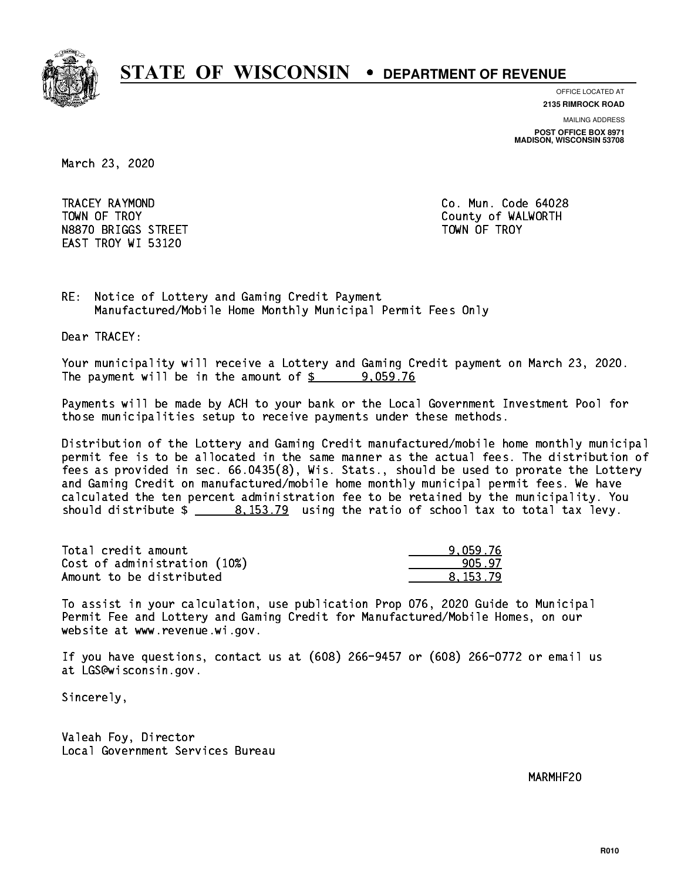

**OFFICE LOCATED AT**

**2135 RIMROCK ROAD**

**MAILING ADDRESS**

**POST OFFICE BOX 8971 MADISON, WISCONSIN 53708**

March 23, 2020

 TRACEY RAYMOND Co. Mun. Code 64028 TOWN OF TROY **COUNTY COUNTY COUNTY OF WALWORTH** N8870 BRIGGS STREET TOWN OF TROY EAST TROY WI 53120

RE: Notice of Lottery and Gaming Credit Payment Manufactured/Mobile Home Monthly Municipal Permit Fees Only

Dear TRACEY:

 Your municipality will receive a Lottery and Gaming Credit payment on March 23, 2020. The payment will be in the amount of  $\frac{2}{3}$  9,059.76

 Payments will be made by ACH to your bank or the Local Government Investment Pool for those municipalities setup to receive payments under these methods.

 Distribution of the Lottery and Gaming Credit manufactured/mobile home monthly municipal permit fee is to be allocated in the same manner as the actual fees. The distribution of fees as provided in sec. 66.0435(8), Wis. Stats., should be used to prorate the Lottery and Gaming Credit on manufactured/mobile home monthly municipal permit fees. We have calculated the ten percent administration fee to be retained by the municipality. You should distribute  $\frac{2}{1}$   $\frac{8,153.79}{2}$  using the ratio of school tax to total tax levy.

| Total credit amount          | 9.059.76 |
|------------------------------|----------|
| Cost of administration (10%) | 905.97   |
| Amount to be distributed     | 8.153.79 |

 To assist in your calculation, use publication Prop 076, 2020 Guide to Municipal Permit Fee and Lottery and Gaming Credit for Manufactured/Mobile Homes, on our website at www.revenue.wi.gov.

 If you have questions, contact us at (608) 266-9457 or (608) 266-0772 or email us at LGS@wisconsin.gov.

Sincerely,

 Valeah Foy, Director Local Government Services Bureau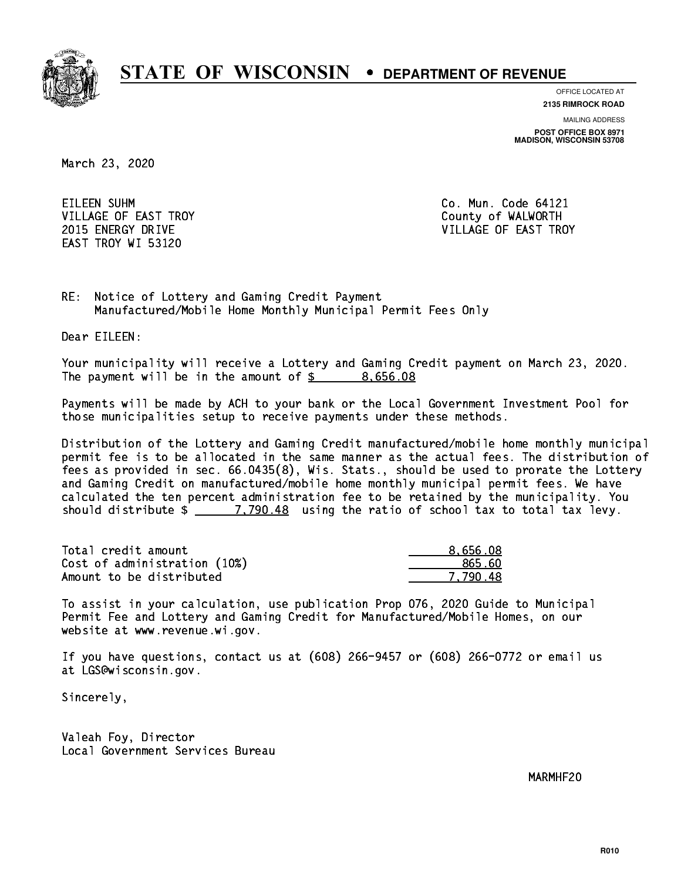

**OFFICE LOCATED AT**

**2135 RIMROCK ROAD**

**MAILING ADDRESS**

**POST OFFICE BOX 8971 MADISON, WISCONSIN 53708**

March 23, 2020

EILEEN SUHM VILLAGE OF EAST TROY COUNTY OF WALWORTH EAST TROY WI 53120

Co. Mun. Code 64121 2015 ENERGY DRIVE VILLAGE OF EAST TROY

RE: Notice of Lottery and Gaming Credit Payment Manufactured/Mobile Home Monthly Municipal Permit Fees Only

Dear EILEEN:

 Your municipality will receive a Lottery and Gaming Credit payment on March 23, 2020. The payment will be in the amount of  $\frac{2}{3}$  8,656.08

 Payments will be made by ACH to your bank or the Local Government Investment Pool for those municipalities setup to receive payments under these methods.

 Distribution of the Lottery and Gaming Credit manufactured/mobile home monthly municipal permit fee is to be allocated in the same manner as the actual fees. The distribution of fees as provided in sec. 66.0435(8), Wis. Stats., should be used to prorate the Lottery and Gaming Credit on manufactured/mobile home monthly municipal permit fees. We have calculated the ten percent administration fee to be retained by the municipality. You should distribute  $\frac{2}{2}$   $\frac{7,790.48}{2}$  using the ratio of school tax to total tax levy.

| Total credit amount          | 8,656.08 |
|------------------------------|----------|
| Cost of administration (10%) | 865.60   |
| Amount to be distributed     | 7.790.48 |

 To assist in your calculation, use publication Prop 076, 2020 Guide to Municipal Permit Fee and Lottery and Gaming Credit for Manufactured/Mobile Homes, on our website at www.revenue.wi.gov.

 If you have questions, contact us at (608) 266-9457 or (608) 266-0772 or email us at LGS@wisconsin.gov.

Sincerely,

 Valeah Foy, Director Local Government Services Bureau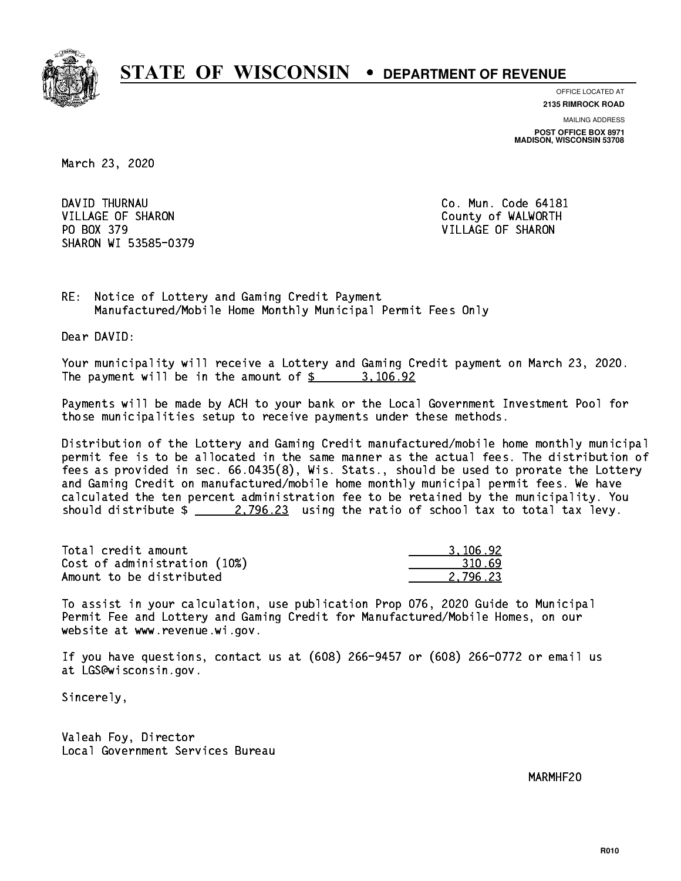

**OFFICE LOCATED AT**

**2135 RIMROCK ROAD**

**MAILING ADDRESS POST OFFICE BOX 8971 MADISON, WISCONSIN 53708**

March 23, 2020

DAVID THURNAU VILLAGE OF SHARON COUNTY OF WALWORTH PO BOX 379 VILLAGE OF SHARON SHARON WI 53585-0379

Co. Mun. Code 64181

RE: Notice of Lottery and Gaming Credit Payment Manufactured/Mobile Home Monthly Municipal Permit Fees Only

Dear DAVID:

 Your municipality will receive a Lottery and Gaming Credit payment on March 23, 2020. The payment will be in the amount of  $\frac{2}{3}$  3,106.92

 Payments will be made by ACH to your bank or the Local Government Investment Pool for those municipalities setup to receive payments under these methods.

 Distribution of the Lottery and Gaming Credit manufactured/mobile home monthly municipal permit fee is to be allocated in the same manner as the actual fees. The distribution of fees as provided in sec. 66.0435(8), Wis. Stats., should be used to prorate the Lottery and Gaming Credit on manufactured/mobile home monthly municipal permit fees. We have calculated the ten percent administration fee to be retained by the municipality. You should distribute  $\frac{2}{2}$   $\frac{2}{3}$  using the ratio of school tax to total tax levy.

| Total credit amount          | 3.106.92 |
|------------------------------|----------|
| Cost of administration (10%) | 310.69   |
| Amount to be distributed     | 2.796.23 |

 To assist in your calculation, use publication Prop 076, 2020 Guide to Municipal Permit Fee and Lottery and Gaming Credit for Manufactured/Mobile Homes, on our website at www.revenue.wi.gov.

 If you have questions, contact us at (608) 266-9457 or (608) 266-0772 or email us at LGS@wisconsin.gov.

Sincerely,

 Valeah Foy, Director Local Government Services Bureau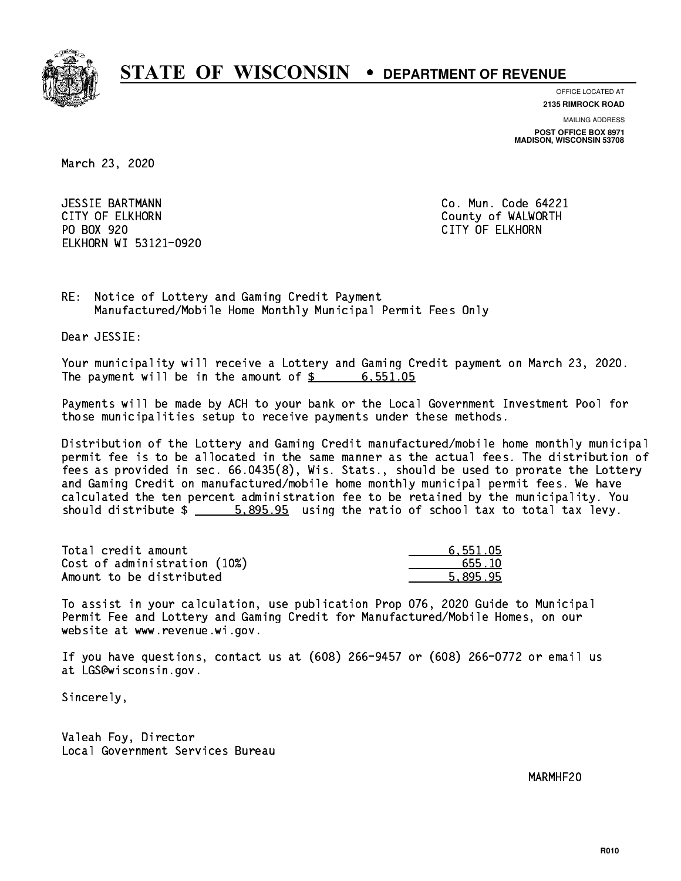

**OFFICE LOCATED AT**

**2135 RIMROCK ROAD**

**MAILING ADDRESS**

**POST OFFICE BOX 8971 MADISON, WISCONSIN 53708**

March 23, 2020

 JESSIE BARTMANN Co. Mun. Code 64221 CITY OF ELKHORN County of WALWORTH PO BOX 920 PO BOX 920 CITY OF ELKHORN ELKHORN WI 53121-0920

RE: Notice of Lottery and Gaming Credit Payment Manufactured/Mobile Home Monthly Municipal Permit Fees Only

Dear JESSIE:

 Your municipality will receive a Lottery and Gaming Credit payment on March 23, 2020. The payment will be in the amount of  $\frac{2}{3}$  6,551.05

 Payments will be made by ACH to your bank or the Local Government Investment Pool for those municipalities setup to receive payments under these methods.

 Distribution of the Lottery and Gaming Credit manufactured/mobile home monthly municipal permit fee is to be allocated in the same manner as the actual fees. The distribution of fees as provided in sec. 66.0435(8), Wis. Stats., should be used to prorate the Lottery and Gaming Credit on manufactured/mobile home monthly municipal permit fees. We have calculated the ten percent administration fee to be retained by the municipality. You should distribute  $\frac{2}{1}$   $\frac{5.895.95}{2}$  using the ratio of school tax to total tax levy.

| Total credit amount          | 6,551.05 |
|------------------------------|----------|
| Cost of administration (10%) | 655.10   |
| Amount to be distributed     | 5.895.95 |

 To assist in your calculation, use publication Prop 076, 2020 Guide to Municipal Permit Fee and Lottery and Gaming Credit for Manufactured/Mobile Homes, on our website at www.revenue.wi.gov.

 If you have questions, contact us at (608) 266-9457 or (608) 266-0772 or email us at LGS@wisconsin.gov.

Sincerely,

 Valeah Foy, Director Local Government Services Bureau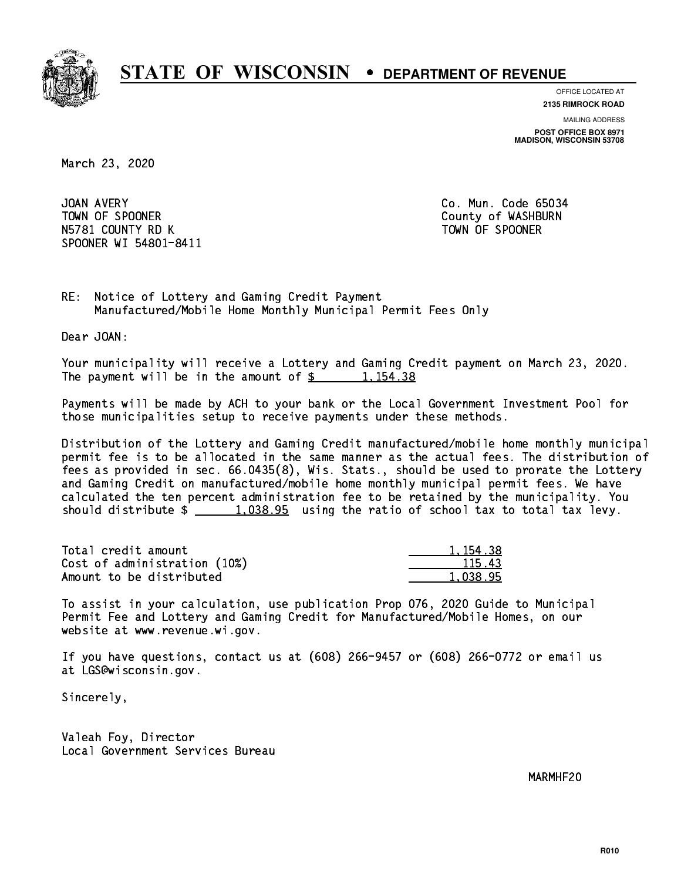

**OFFICE LOCATED AT 2135 RIMROCK ROAD**

**MAILING ADDRESS**

**POST OFFICE BOX 8971 MADISON, WISCONSIN 53708**

March 23, 2020

JOAN AVERY TOWN OF SPOONER County of WASHBURN N5781 COUNTY RD K TOWN OF SPOONER SPOONER WI 54801-8411

Co. Mun. Code 65034

RE: Notice of Lottery and Gaming Credit Payment Manufactured/Mobile Home Monthly Municipal Permit Fees Only

Dear JOAN:

 Your municipality will receive a Lottery and Gaming Credit payment on March 23, 2020. The payment will be in the amount of  $\frac{2}{3}$  1,154.38

 Payments will be made by ACH to your bank or the Local Government Investment Pool for those municipalities setup to receive payments under these methods.

 Distribution of the Lottery and Gaming Credit manufactured/mobile home monthly municipal permit fee is to be allocated in the same manner as the actual fees. The distribution of fees as provided in sec. 66.0435(8), Wis. Stats., should be used to prorate the Lottery and Gaming Credit on manufactured/mobile home monthly municipal permit fees. We have calculated the ten percent administration fee to be retained by the municipality. You should distribute  $\frac{1.038.95}{1.038.95}$  using the ratio of school tax to total tax levy.

| Total credit amount          | 1, 154, 38 |
|------------------------------|------------|
| Cost of administration (10%) | 115.43     |
| Amount to be distributed     | 1.038.95   |

 To assist in your calculation, use publication Prop 076, 2020 Guide to Municipal Permit Fee and Lottery and Gaming Credit for Manufactured/Mobile Homes, on our website at www.revenue.wi.gov.

 If you have questions, contact us at (608) 266-9457 or (608) 266-0772 or email us at LGS@wisconsin.gov.

Sincerely,

 Valeah Foy, Director Local Government Services Bureau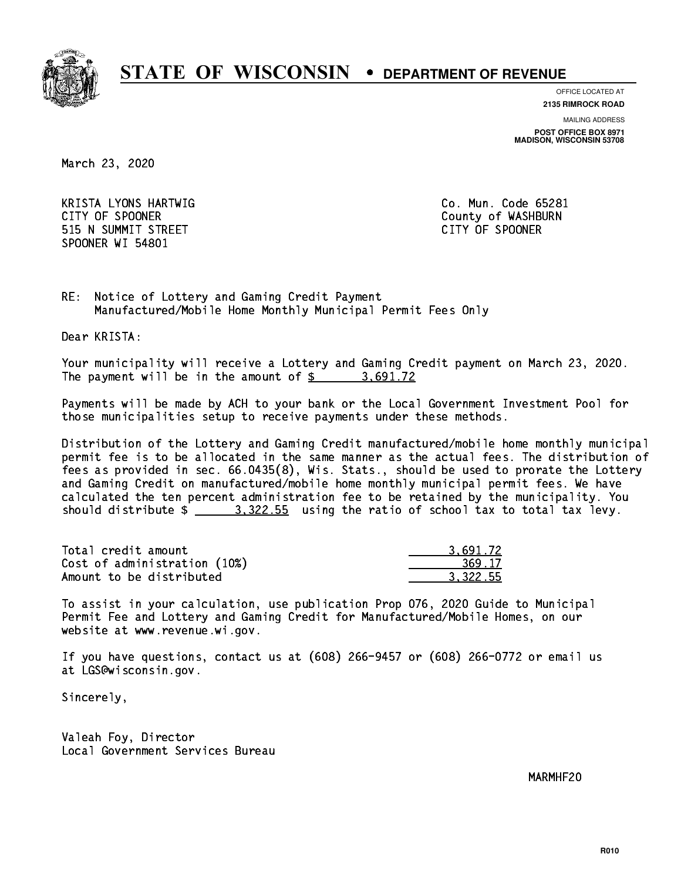

**OFFICE LOCATED AT**

**2135 RIMROCK ROAD**

**MAILING ADDRESS**

**POST OFFICE BOX 8971 MADISON, WISCONSIN 53708**

March 23, 2020

 KRISTA LYONS HARTWIG Co. Mun. Code 65281 CITY OF SPOONER COUNTY OF SPOONER 515 N SUMMIT STREET CITY OF SPOONER SPOONER WI 54801

RE: Notice of Lottery and Gaming Credit Payment Manufactured/Mobile Home Monthly Municipal Permit Fees Only

Dear KRISTA:

 Your municipality will receive a Lottery and Gaming Credit payment on March 23, 2020. The payment will be in the amount of \$ 3,691.72 \_\_\_\_\_\_\_\_\_\_\_\_\_\_\_\_

 Payments will be made by ACH to your bank or the Local Government Investment Pool for those municipalities setup to receive payments under these methods.

 Distribution of the Lottery and Gaming Credit manufactured/mobile home monthly municipal permit fee is to be allocated in the same manner as the actual fees. The distribution of fees as provided in sec. 66.0435(8), Wis. Stats., should be used to prorate the Lottery and Gaming Credit on manufactured/mobile home monthly municipal permit fees. We have calculated the ten percent administration fee to be retained by the municipality. You should distribute  $\frac{2}{2}$   $\frac{3.322.55}{2}$  using the ratio of school tax to total tax levy.

| Total credit amount          | 3.691.72 |
|------------------------------|----------|
| Cost of administration (10%) | 369.17   |
| Amount to be distributed     | 3.322.55 |

 To assist in your calculation, use publication Prop 076, 2020 Guide to Municipal Permit Fee and Lottery and Gaming Credit for Manufactured/Mobile Homes, on our website at www.revenue.wi.gov.

 If you have questions, contact us at (608) 266-9457 or (608) 266-0772 or email us at LGS@wisconsin.gov.

Sincerely,

 Valeah Foy, Director Local Government Services Bureau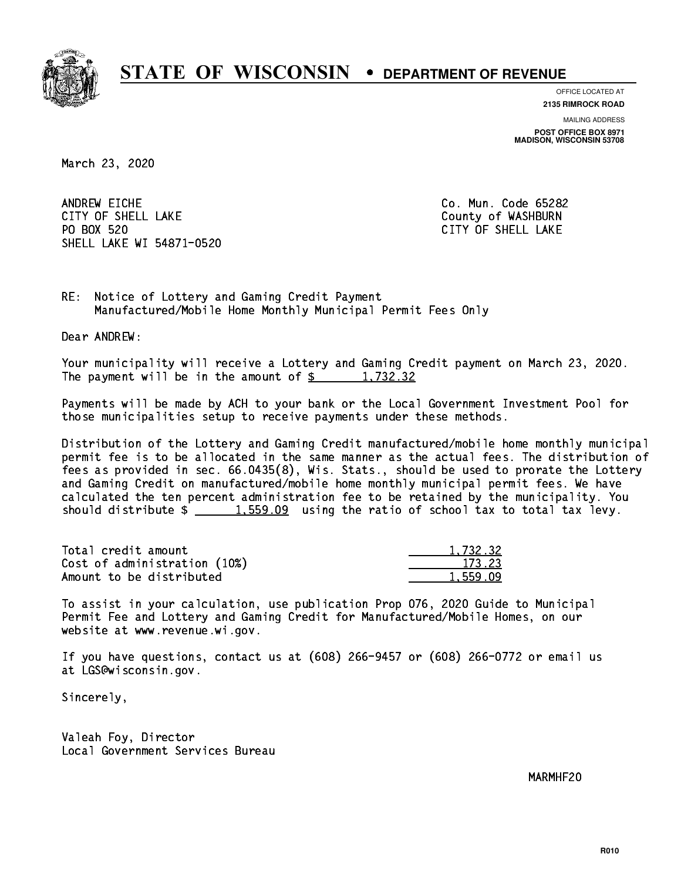

**OFFICE LOCATED AT**

**2135 RIMROCK ROAD**

**MAILING ADDRESS**

**POST OFFICE BOX 8971 MADISON, WISCONSIN 53708**

March 23, 2020

ANDREW EICHE CITY OF SHELL LAKE COUNTY OF WASHBURN PO BOX 520 SHELL LAKE WI 54871-0520

Co. Mun. Code 65282 CITY OF SHELL LAKE

RE: Notice of Lottery and Gaming Credit Payment Manufactured/Mobile Home Monthly Municipal Permit Fees Only

Dear ANDREW:

 Your municipality will receive a Lottery and Gaming Credit payment on March 23, 2020. The payment will be in the amount of  $\frac{2}{3}$  1,732.32

 Payments will be made by ACH to your bank or the Local Government Investment Pool for those municipalities setup to receive payments under these methods.

 Distribution of the Lottery and Gaming Credit manufactured/mobile home monthly municipal permit fee is to be allocated in the same manner as the actual fees. The distribution of fees as provided in sec. 66.0435(8), Wis. Stats., should be used to prorate the Lottery and Gaming Credit on manufactured/mobile home monthly municipal permit fees. We have calculated the ten percent administration fee to be retained by the municipality. You should distribute  $\frac{1.559.09}{1.559.09}$  using the ratio of school tax to total tax levy.

| Total credit amount          | 1,732.32 |
|------------------------------|----------|
| Cost of administration (10%) | 173.23   |
| Amount to be distributed     | 1,559.09 |

 To assist in your calculation, use publication Prop 076, 2020 Guide to Municipal Permit Fee and Lottery and Gaming Credit for Manufactured/Mobile Homes, on our website at www.revenue.wi.gov.

 If you have questions, contact us at (608) 266-9457 or (608) 266-0772 or email us at LGS@wisconsin.gov.

Sincerely,

 Valeah Foy, Director Local Government Services Bureau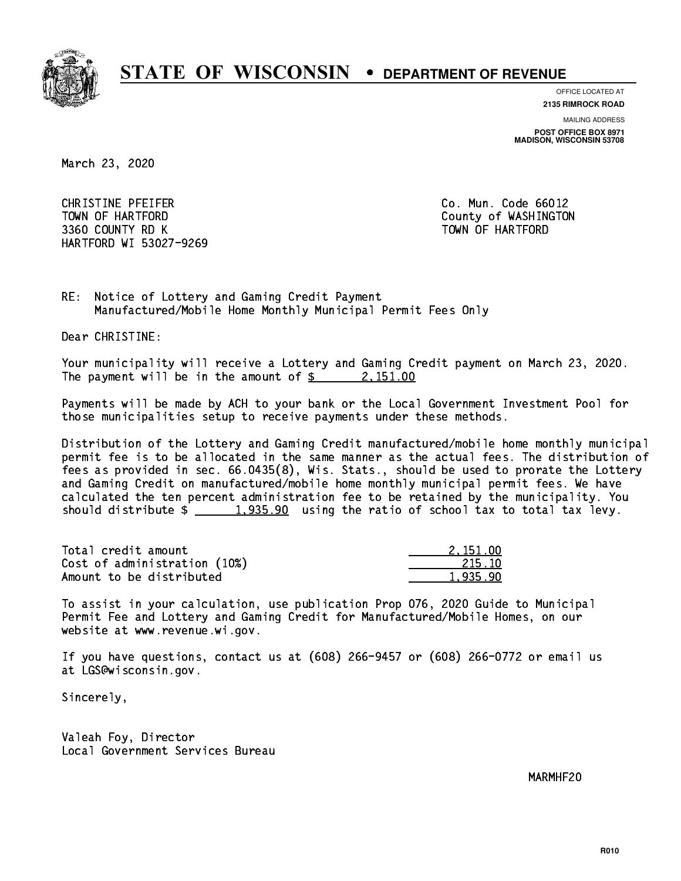

**OFFICE LOCATED AT**

**2135 RIMROCK ROAD**

**MAILING ADDRESS**

**POST OFFICE BOX 8971 MADISON, WISCONSIN 53708**

March 23, 2020

 CHRISTINE PFEIFER Co. Mun. Code 66012 TOWN OF HARTFORD County of WASHINGTON 3360 COUNTY RD K TOWN OF HARTFORD HARTFORD WI 53027-9269

RE: Notice of Lottery and Gaming Credit Payment Manufactured/Mobile Home Monthly Municipal Permit Fees Only

Dear CHRISTINE:

 Your municipality will receive a Lottery and Gaming Credit payment on March 23, 2020. The payment will be in the amount of  $\frac{2}{3}$  2, 151.00

 Payments will be made by ACH to your bank or the Local Government Investment Pool for those municipalities setup to receive payments under these methods.

 Distribution of the Lottery and Gaming Credit manufactured/mobile home monthly municipal permit fee is to be allocated in the same manner as the actual fees. The distribution of fees as provided in sec. 66.0435(8), Wis. Stats., should be used to prorate the Lottery and Gaming Credit on manufactured/mobile home monthly municipal permit fees. We have calculated the ten percent administration fee to be retained by the municipality. You should distribute  $\frac{1,935.90}{1,935.90}$  using the ratio of school tax to total tax levy.

| Total credit amount          | 2.151.00 |
|------------------------------|----------|
| Cost of administration (10%) | 215.10   |
| Amount to be distributed     | 1.935.90 |

 To assist in your calculation, use publication Prop 076, 2020 Guide to Municipal Permit Fee and Lottery and Gaming Credit for Manufactured/Mobile Homes, on our website at www.revenue.wi.gov.

 If you have questions, contact us at (608) 266-9457 or (608) 266-0772 or email us at LGS@wisconsin.gov.

Sincerely,

 Valeah Foy, Director Local Government Services Bureau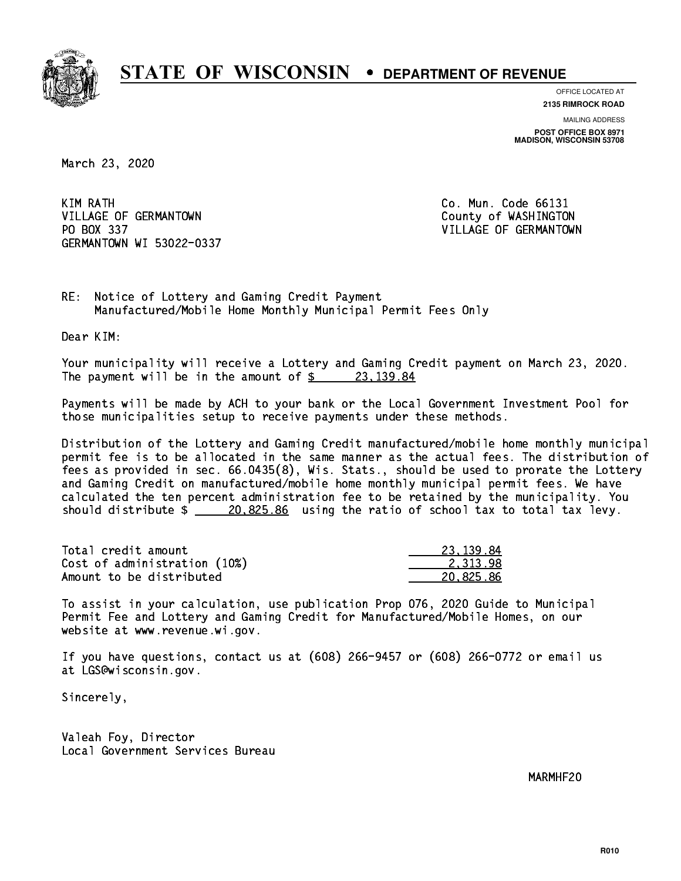

**OFFICE LOCATED AT**

**2135 RIMROCK ROAD**

**MAILING ADDRESS POST OFFICE BOX 8971 MADISON, WISCONSIN 53708**

March 23, 2020

KIM RATH VILLAGE OF GERMANTOWN COUNTY OF WASHINGTON PO BOX 337 VILLAGE OF GERMANTOWN GERMANTOWN WI 53022-0337

Co. Mun. Code 66131

RE: Notice of Lottery and Gaming Credit Payment Manufactured/Mobile Home Monthly Municipal Permit Fees Only

Dear KIM:

 Your municipality will receive a Lottery and Gaming Credit payment on March 23, 2020. The payment will be in the amount of  $\frac{23,139.84}{23,139.84}$ 

 Payments will be made by ACH to your bank or the Local Government Investment Pool for those municipalities setup to receive payments under these methods.

 Distribution of the Lottery and Gaming Credit manufactured/mobile home monthly municipal permit fee is to be allocated in the same manner as the actual fees. The distribution of fees as provided in sec. 66.0435(8), Wis. Stats., should be used to prorate the Lottery and Gaming Credit on manufactured/mobile home monthly municipal permit fees. We have calculated the ten percent administration fee to be retained by the municipality. You should distribute  $\frac{20,825.86}{20,825.86}$  using the ratio of school tax to total tax levy.

| Total credit amount          | 23.139.84 |
|------------------------------|-----------|
| Cost of administration (10%) | 2.313.98  |
| Amount to be distributed     | 20.825.86 |

 To assist in your calculation, use publication Prop 076, 2020 Guide to Municipal Permit Fee and Lottery and Gaming Credit for Manufactured/Mobile Homes, on our website at www.revenue.wi.gov.

 If you have questions, contact us at (608) 266-9457 or (608) 266-0772 or email us at LGS@wisconsin.gov.

Sincerely,

 Valeah Foy, Director Local Government Services Bureau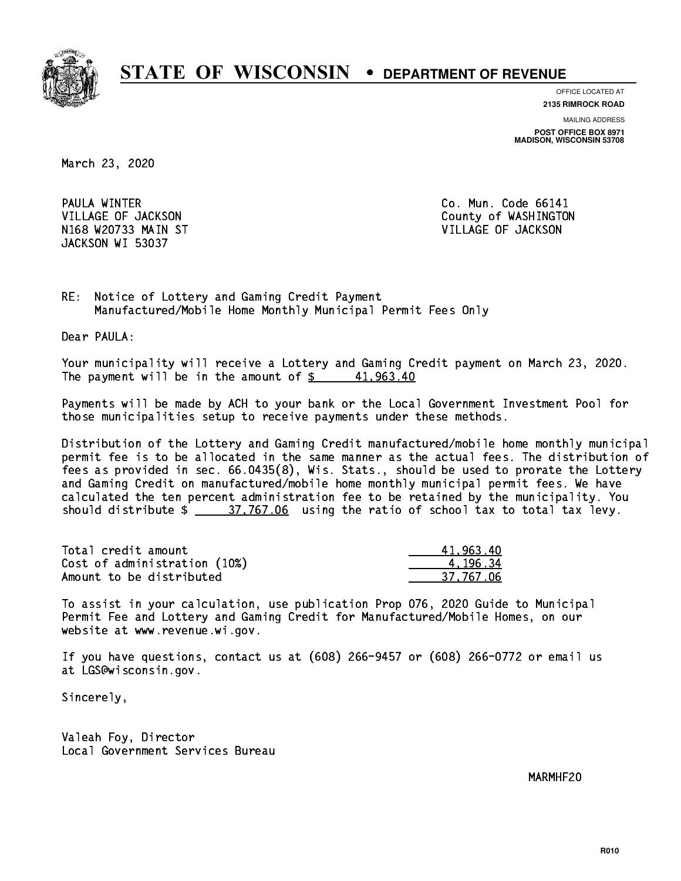

**OFFICE LOCATED AT**

**2135 RIMROCK ROAD**

**MAILING ADDRESS**

**POST OFFICE BOX 8971 MADISON, WISCONSIN 53708**

March 23, 2020

PAULA WINTER N168 W20733 MAIN ST VILLAGE OF JACKSON JACKSON WI 53037

Co. Mun. Code 66141 VILLAGE OF JACKSON COUNTY OF WASHINGTON

RE: Notice of Lottery and Gaming Credit Payment Manufactured/Mobile Home Monthly Municipal Permit Fees Only

Dear PAULA:

 Your municipality will receive a Lottery and Gaming Credit payment on March 23, 2020. The payment will be in the amount of  $\frac{2}{3}$  41,963.40

 Payments will be made by ACH to your bank or the Local Government Investment Pool for those municipalities setup to receive payments under these methods.

 Distribution of the Lottery and Gaming Credit manufactured/mobile home monthly municipal permit fee is to be allocated in the same manner as the actual fees. The distribution of fees as provided in sec. 66.0435(8), Wis. Stats., should be used to prorate the Lottery and Gaming Credit on manufactured/mobile home monthly municipal permit fees. We have calculated the ten percent administration fee to be retained by the municipality. You should distribute  $\frac{27,767.06}{27,767.06}$  using the ratio of school tax to total tax levy.

| Total credit amount          | 41.963.40 |
|------------------------------|-----------|
| Cost of administration (10%) | 4.196.34  |
| Amount to be distributed     | 37.767.06 |

 To assist in your calculation, use publication Prop 076, 2020 Guide to Municipal Permit Fee and Lottery and Gaming Credit for Manufactured/Mobile Homes, on our website at www.revenue.wi.gov.

 If you have questions, contact us at (608) 266-9457 or (608) 266-0772 or email us at LGS@wisconsin.gov.

Sincerely,

 Valeah Foy, Director Local Government Services Bureau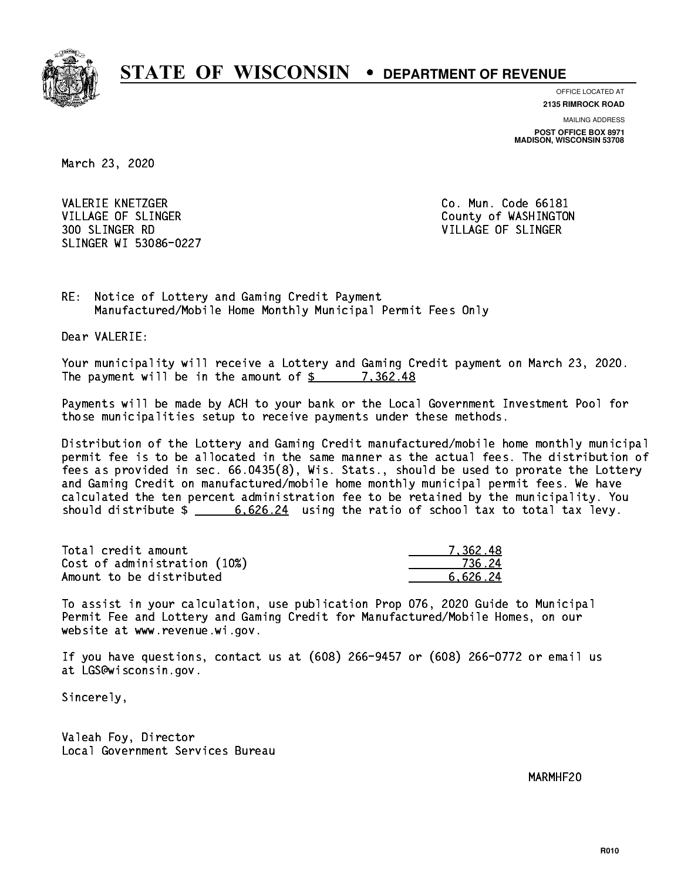

**OFFICE LOCATED AT**

**2135 RIMROCK ROAD**

**MAILING ADDRESS**

**POST OFFICE BOX 8971 MADISON, WISCONSIN 53708**

March 23, 2020

VALERIE KNETZGER CO. Mun. Code 66181 VILLAGE OF SLINGER COUNTY OF WASHINGTON 300 SLINGER RD VILLAGE OF SLINGER SLINGER WI 53086-0227

RE: Notice of Lottery and Gaming Credit Payment Manufactured/Mobile Home Monthly Municipal Permit Fees Only

Dear VALERIE:

 Your municipality will receive a Lottery and Gaming Credit payment on March 23, 2020. The payment will be in the amount of  $\frac{2}{3}$  7,362.48

 Payments will be made by ACH to your bank or the Local Government Investment Pool for those municipalities setup to receive payments under these methods.

 Distribution of the Lottery and Gaming Credit manufactured/mobile home monthly municipal permit fee is to be allocated in the same manner as the actual fees. The distribution of fees as provided in sec. 66.0435(8), Wis. Stats., should be used to prorate the Lottery and Gaming Credit on manufactured/mobile home monthly municipal permit fees. We have calculated the ten percent administration fee to be retained by the municipality. You should distribute  $\frac{2}{1}$  6,626.24 using the ratio of school tax to total tax levy.

| Total credit amount          | 7.362.48 |
|------------------------------|----------|
| Cost of administration (10%) | 736.24   |
| Amount to be distributed     | 6.626.24 |

 To assist in your calculation, use publication Prop 076, 2020 Guide to Municipal Permit Fee and Lottery and Gaming Credit for Manufactured/Mobile Homes, on our website at www.revenue.wi.gov.

 If you have questions, contact us at (608) 266-9457 or (608) 266-0772 or email us at LGS@wisconsin.gov.

Sincerely,

 Valeah Foy, Director Local Government Services Bureau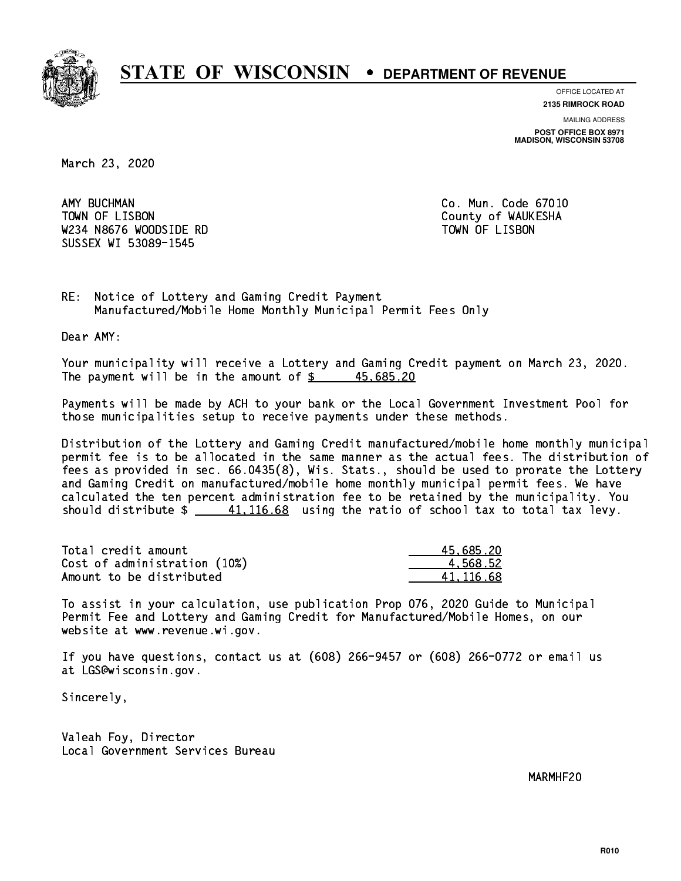

**OFFICE LOCATED AT**

**2135 RIMROCK ROAD**

**MAILING ADDRESS POST OFFICE BOX 8971 MADISON, WISCONSIN 53708**

March 23, 2020

AMY BUCHMAN TOWN OF LISBON County of WAUKESHA W234 N8676 WOODSIDE RD TOWN OF LISBON SUSSEX WI 53089-1545

Co. Mun. Code 67010

RE: Notice of Lottery and Gaming Credit Payment Manufactured/Mobile Home Monthly Municipal Permit Fees Only

Dear AMY:

 Your municipality will receive a Lottery and Gaming Credit payment on March 23, 2020. The payment will be in the amount of  $\frac{2}{3}$  45,685.20

 Payments will be made by ACH to your bank or the Local Government Investment Pool for those municipalities setup to receive payments under these methods.

 Distribution of the Lottery and Gaming Credit manufactured/mobile home monthly municipal permit fee is to be allocated in the same manner as the actual fees. The distribution of fees as provided in sec. 66.0435(8), Wis. Stats., should be used to prorate the Lottery and Gaming Credit on manufactured/mobile home monthly municipal permit fees. We have calculated the ten percent administration fee to be retained by the municipality. You should distribute  $\frac{41,116.68}{2}$  using the ratio of school tax to total tax levy.

| Total credit amount          | 45,685.20 |
|------------------------------|-----------|
| Cost of administration (10%) | 4.568.52  |
| Amount to be distributed     | 41.116.68 |

 To assist in your calculation, use publication Prop 076, 2020 Guide to Municipal Permit Fee and Lottery and Gaming Credit for Manufactured/Mobile Homes, on our website at www.revenue.wi.gov.

 If you have questions, contact us at (608) 266-9457 or (608) 266-0772 or email us at LGS@wisconsin.gov.

Sincerely,

 Valeah Foy, Director Local Government Services Bureau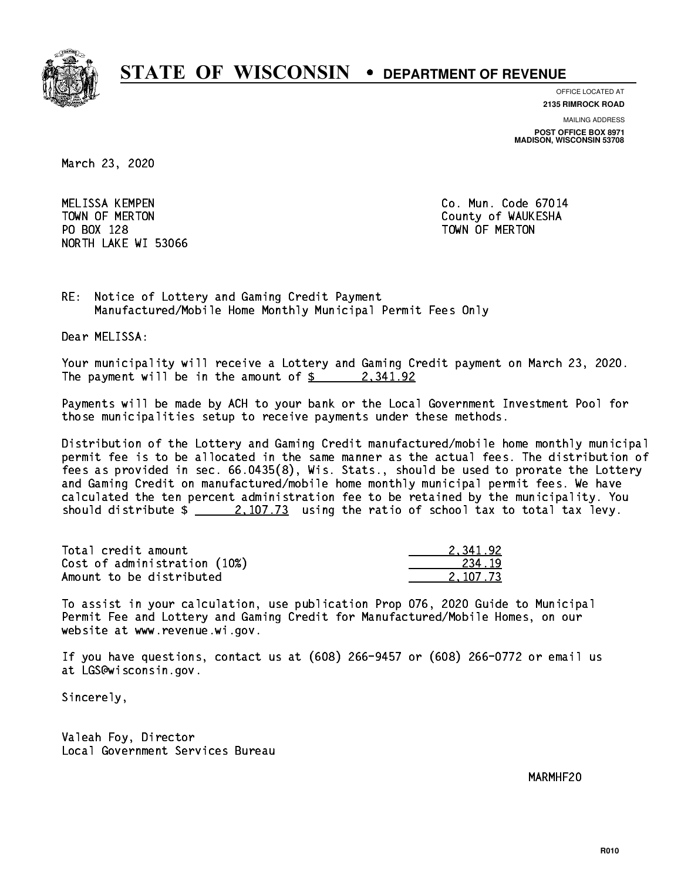

**OFFICE LOCATED AT**

**2135 RIMROCK ROAD**

**MAILING ADDRESS**

**POST OFFICE BOX 8971 MADISON, WISCONSIN 53708**

March 23, 2020

 MELISSA KEMPEN Co. Mun. Code 67014 PO BOX 128 TOWN OF MERTON NORTH LAKE WI 53066

TOWN OF MERTON County of WAUKESHA

RE: Notice of Lottery and Gaming Credit Payment Manufactured/Mobile Home Monthly Municipal Permit Fees Only

Dear MELISSA:

 Your municipality will receive a Lottery and Gaming Credit payment on March 23, 2020. The payment will be in the amount of  $\frac{2}{3}$  2,341.92

 Payments will be made by ACH to your bank or the Local Government Investment Pool for those municipalities setup to receive payments under these methods.

 Distribution of the Lottery and Gaming Credit manufactured/mobile home monthly municipal permit fee is to be allocated in the same manner as the actual fees. The distribution of fees as provided in sec. 66.0435(8), Wis. Stats., should be used to prorate the Lottery and Gaming Credit on manufactured/mobile home monthly municipal permit fees. We have calculated the ten percent administration fee to be retained by the municipality. You should distribute  $\frac{2,107.73}{2}$  using the ratio of school tax to total tax levy.

| Total credit amount          | 2.341.92 |
|------------------------------|----------|
| Cost of administration (10%) | 234.19   |
| Amount to be distributed     | 2.107.73 |

 To assist in your calculation, use publication Prop 076, 2020 Guide to Municipal Permit Fee and Lottery and Gaming Credit for Manufactured/Mobile Homes, on our website at www.revenue.wi.gov.

 If you have questions, contact us at (608) 266-9457 or (608) 266-0772 or email us at LGS@wisconsin.gov.

Sincerely,

 Valeah Foy, Director Local Government Services Bureau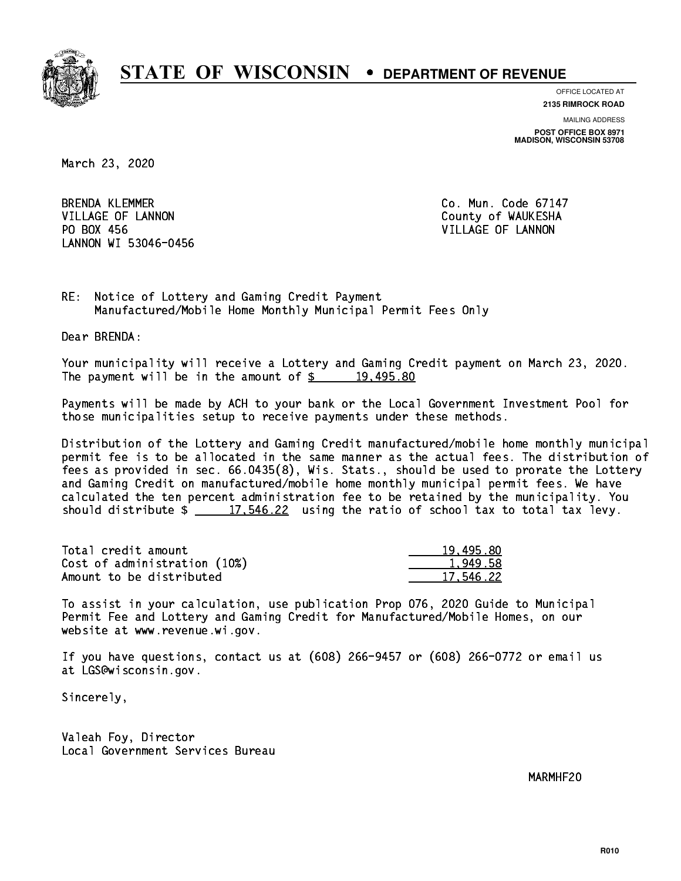

**OFFICE LOCATED AT**

**2135 RIMROCK ROAD**

**MAILING ADDRESS POST OFFICE BOX 8971 MADISON, WISCONSIN 53708**

March 23, 2020

**BRENDA KLEMMER** VILLAGE OF LANNON COUNTY OF WAUKESHA PO BOX 456 LANNON WI 53046-0456

Co. Mun. Code 67147 VILLAGE OF LANNON

RE: Notice of Lottery and Gaming Credit Payment Manufactured/Mobile Home Monthly Municipal Permit Fees Only

Dear BRENDA:

 Your municipality will receive a Lottery and Gaming Credit payment on March 23, 2020. The payment will be in the amount of  $\frac{2}{3}$  19,495.80

 Payments will be made by ACH to your bank or the Local Government Investment Pool for those municipalities setup to receive payments under these methods.

 Distribution of the Lottery and Gaming Credit manufactured/mobile home monthly municipal permit fee is to be allocated in the same manner as the actual fees. The distribution of fees as provided in sec. 66.0435(8), Wis. Stats., should be used to prorate the Lottery and Gaming Credit on manufactured/mobile home monthly municipal permit fees. We have calculated the ten percent administration fee to be retained by the municipality. You should distribute  $\frac{21.546.22}{17.546.22}$  using the ratio of school tax to total tax levy.

| Total credit amount          | 19,495.80 |
|------------------------------|-----------|
| Cost of administration (10%) | 1,949.58  |
| Amount to be distributed     | 17.546.22 |

 To assist in your calculation, use publication Prop 076, 2020 Guide to Municipal Permit Fee and Lottery and Gaming Credit for Manufactured/Mobile Homes, on our website at www.revenue.wi.gov.

 If you have questions, contact us at (608) 266-9457 or (608) 266-0772 or email us at LGS@wisconsin.gov.

Sincerely,

 Valeah Foy, Director Local Government Services Bureau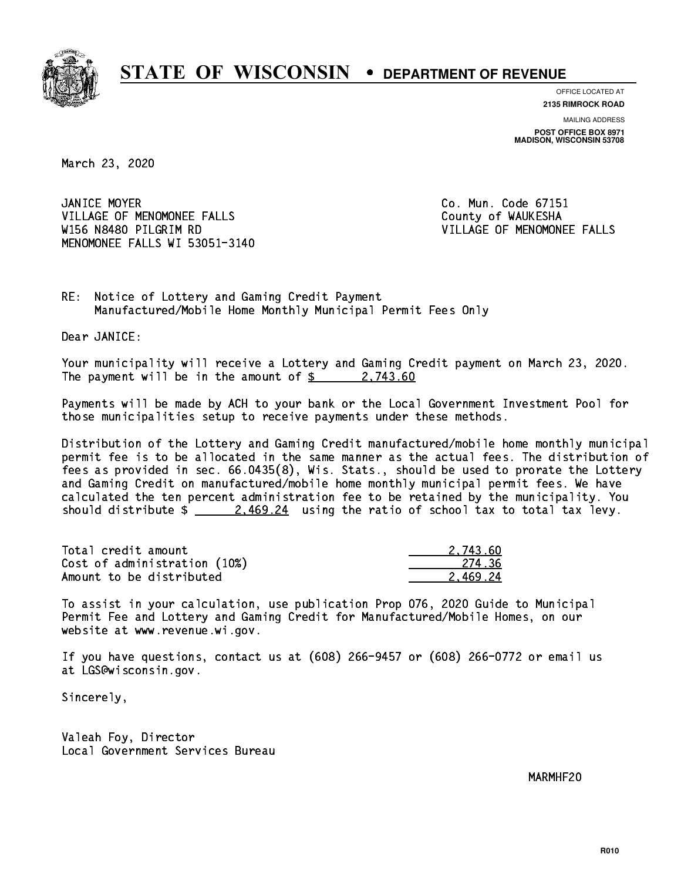

**OFFICE LOCATED AT**

**2135 RIMROCK ROAD**

**MAILING ADDRESS POST OFFICE BOX 8971 MADISON, WISCONSIN 53708**

March 23, 2020

JANICE MOYER VILLAGE OF MENOMONEE FALLS **COUNTY OF WAUKESHA**  W156 N8480 PILGRIM RD VILLAGE OF MENOMONEE FALLS MENOMONEE FALLS WI 53051-3140

Co. Mun. Code 67151

RE: Notice of Lottery and Gaming Credit Payment Manufactured/Mobile Home Monthly Municipal Permit Fees Only

Dear JANICE:

 Your municipality will receive a Lottery and Gaming Credit payment on March 23, 2020. The payment will be in the amount of  $\frac{2}{3}$  2,743.60

 Payments will be made by ACH to your bank or the Local Government Investment Pool for those municipalities setup to receive payments under these methods.

 Distribution of the Lottery and Gaming Credit manufactured/mobile home monthly municipal permit fee is to be allocated in the same manner as the actual fees. The distribution of fees as provided in sec. 66.0435(8), Wis. Stats., should be used to prorate the Lottery and Gaming Credit on manufactured/mobile home monthly municipal permit fees. We have calculated the ten percent administration fee to be retained by the municipality. You should distribute  $\frac{2.469.24}{2.469.24}$  using the ratio of school tax to total tax levy.

| Total credit amount          | 2.743.60 |
|------------------------------|----------|
| Cost of administration (10%) | -274 .36 |
| Amount to be distributed     | 2.469.24 |

 To assist in your calculation, use publication Prop 076, 2020 Guide to Municipal Permit Fee and Lottery and Gaming Credit for Manufactured/Mobile Homes, on our website at www.revenue.wi.gov.

 If you have questions, contact us at (608) 266-9457 or (608) 266-0772 or email us at LGS@wisconsin.gov.

Sincerely,

 Valeah Foy, Director Local Government Services Bureau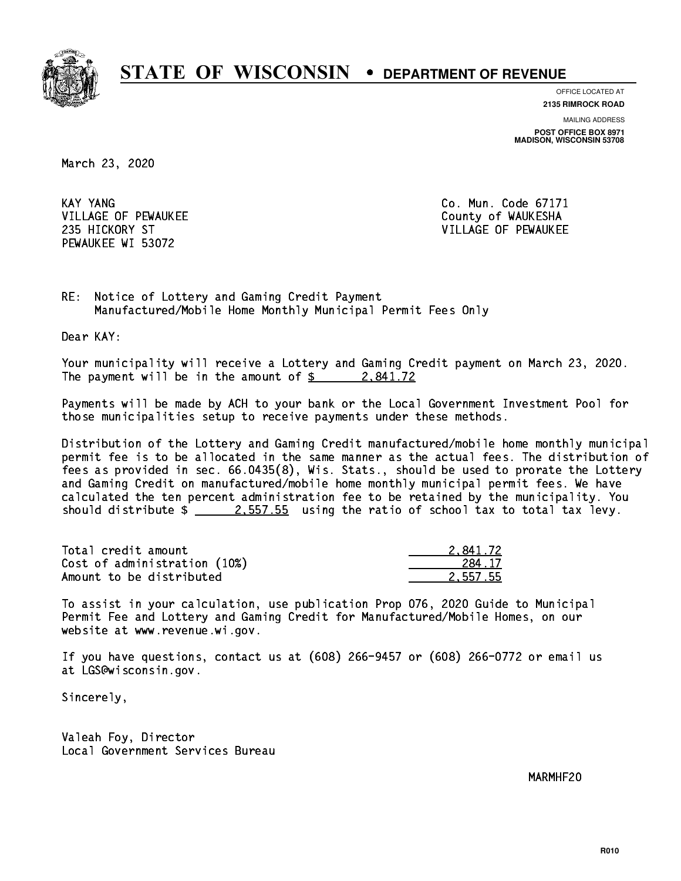

**OFFICE LOCATED AT**

**2135 RIMROCK ROAD**

**MAILING ADDRESS POST OFFICE BOX 8971 MADISON, WISCONSIN 53708**

March 23, 2020

KAY YANG VILLAGE OF PEWAUKEE COUNTY OF WAUKESHA PEWAUKEE WI 53072

Co. Mun. Code 67171 235 HICKORY ST VILLAGE OF PEWAUKEE

RE: Notice of Lottery and Gaming Credit Payment Manufactured/Mobile Home Monthly Municipal Permit Fees Only

Dear KAY:

 Your municipality will receive a Lottery and Gaming Credit payment on March 23, 2020. The payment will be in the amount of  $\frac{2.841.72}{2.002}$ 

 Payments will be made by ACH to your bank or the Local Government Investment Pool for those municipalities setup to receive payments under these methods.

 Distribution of the Lottery and Gaming Credit manufactured/mobile home monthly municipal permit fee is to be allocated in the same manner as the actual fees. The distribution of fees as provided in sec. 66.0435(8), Wis. Stats., should be used to prorate the Lottery and Gaming Credit on manufactured/mobile home monthly municipal permit fees. We have calculated the ten percent administration fee to be retained by the municipality. You should distribute  $\frac{2.557.55}{2.557.55}$  using the ratio of school tax to total tax levy.

| Total credit amount          | 2.841.72 |
|------------------------------|----------|
| Cost of administration (10%) | 284.17   |
| Amount to be distributed     | 2.557.55 |

 To assist in your calculation, use publication Prop 076, 2020 Guide to Municipal Permit Fee and Lottery and Gaming Credit for Manufactured/Mobile Homes, on our website at www.revenue.wi.gov.

 If you have questions, contact us at (608) 266-9457 or (608) 266-0772 or email us at LGS@wisconsin.gov.

Sincerely,

 Valeah Foy, Director Local Government Services Bureau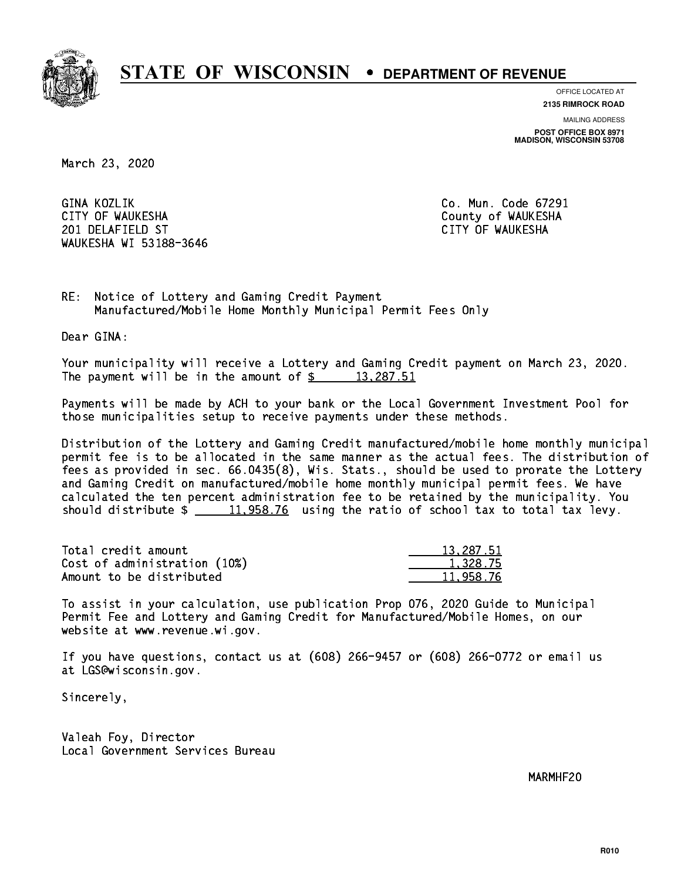

**OFFICE LOCATED AT**

**2135 RIMROCK ROAD**

**MAILING ADDRESS POST OFFICE BOX 8971 MADISON, WISCONSIN 53708**

March 23, 2020

GINA KOZLIK CITY OF WAUKESHA County of WAUKESHA 201 DELAFIELD ST CITY OF WAUKESHA WAUKESHA WI 53188-3646

Co. Mun. Code 67291

RE: Notice of Lottery and Gaming Credit Payment Manufactured/Mobile Home Monthly Municipal Permit Fees Only

Dear GINA:

 Your municipality will receive a Lottery and Gaming Credit payment on March 23, 2020. The payment will be in the amount of  $\frac{2}{3}$  13,287.51

 Payments will be made by ACH to your bank or the Local Government Investment Pool for those municipalities setup to receive payments under these methods.

 Distribution of the Lottery and Gaming Credit manufactured/mobile home monthly municipal permit fee is to be allocated in the same manner as the actual fees. The distribution of fees as provided in sec. 66.0435(8), Wis. Stats., should be used to prorate the Lottery and Gaming Credit on manufactured/mobile home monthly municipal permit fees. We have calculated the ten percent administration fee to be retained by the municipality. You should distribute  $\frac{11,958.76}{2}$  using the ratio of school tax to total tax levy.

| Total credit amount          | 13.287.51 |
|------------------------------|-----------|
| Cost of administration (10%) | 1.328.75  |
| Amount to be distributed     | 11.958.76 |

 To assist in your calculation, use publication Prop 076, 2020 Guide to Municipal Permit Fee and Lottery and Gaming Credit for Manufactured/Mobile Homes, on our website at www.revenue.wi.gov.

 If you have questions, contact us at (608) 266-9457 or (608) 266-0772 or email us at LGS@wisconsin.gov.

Sincerely,

 Valeah Foy, Director Local Government Services Bureau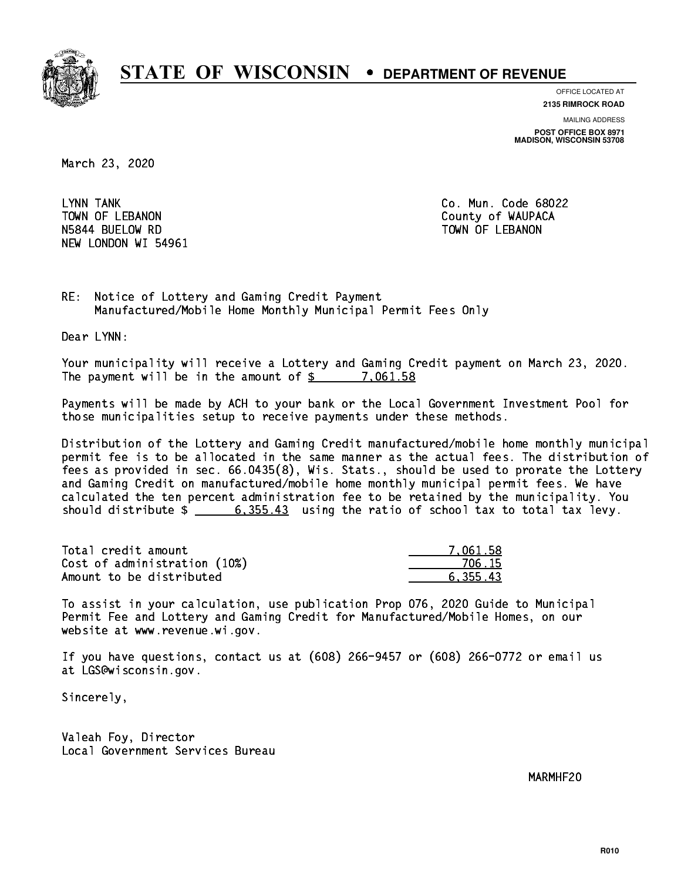

**OFFICE LOCATED AT 2135 RIMROCK ROAD**

**MAILING ADDRESS**

**POST OFFICE BOX 8971 MADISON, WISCONSIN 53708**

March 23, 2020

LYNN TANK TOWN OF LEBANON **COUNTY OF SEARCH COULD A** COUNTY OF WAUPACA NSA 44 BUELOW RD TOWN OF LEBANON RD TOWN OF LEBANON RD TOWN OF LEBANON RD TOWN OF LEBANON RD TOWN OF LEBANON R NEW LONDON WI 54961

Co. Mun. Code 68022

RE: Notice of Lottery and Gaming Credit Payment Manufactured/Mobile Home Monthly Municipal Permit Fees Only

Dear LYNN:

 Your municipality will receive a Lottery and Gaming Credit payment on March 23, 2020. The payment will be in the amount of \$ 7,061.58 \_\_\_\_\_\_\_\_\_\_\_\_\_\_\_\_

 Payments will be made by ACH to your bank or the Local Government Investment Pool for those municipalities setup to receive payments under these methods.

 Distribution of the Lottery and Gaming Credit manufactured/mobile home monthly municipal permit fee is to be allocated in the same manner as the actual fees. The distribution of fees as provided in sec. 66.0435(8), Wis. Stats., should be used to prorate the Lottery and Gaming Credit on manufactured/mobile home monthly municipal permit fees. We have calculated the ten percent administration fee to be retained by the municipality. You should distribute  $\frac{2}{1}$   $\frac{6,355.43}{2}$  using the ratio of school tax to total tax levy.

| Total credit amount          | 7.061.58 |
|------------------------------|----------|
| Cost of administration (10%) | 706.15   |
| Amount to be distributed     | 6.355.43 |

 To assist in your calculation, use publication Prop 076, 2020 Guide to Municipal Permit Fee and Lottery and Gaming Credit for Manufactured/Mobile Homes, on our website at www.revenue.wi.gov.

 If you have questions, contact us at (608) 266-9457 or (608) 266-0772 or email us at LGS@wisconsin.gov.

Sincerely,

 Valeah Foy, Director Local Government Services Bureau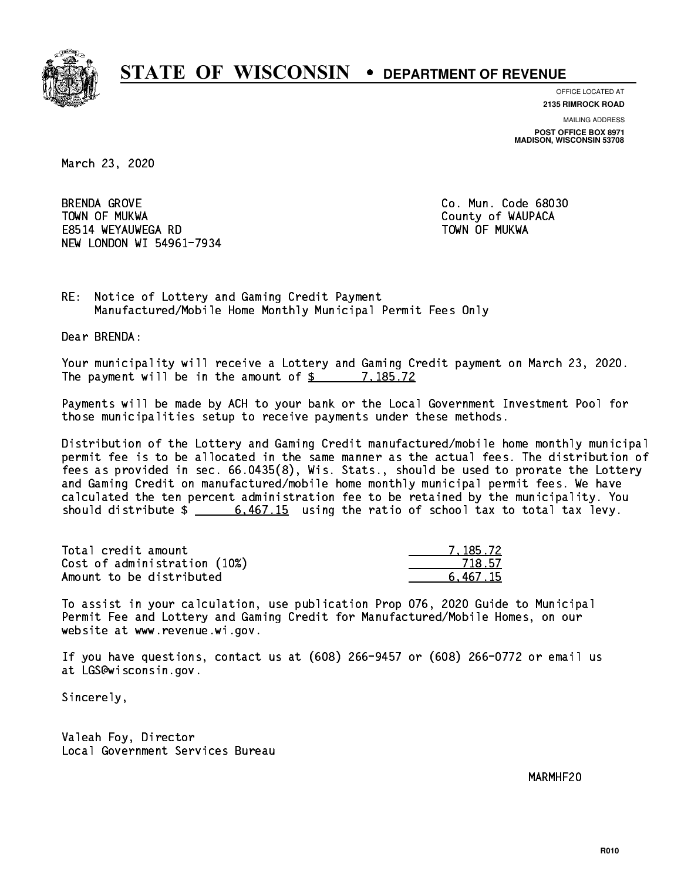

**OFFICE LOCATED AT 2135 RIMROCK ROAD**

**MAILING ADDRESS**

**POST OFFICE BOX 8971 MADISON, WISCONSIN 53708**

March 23, 2020

**BRENDA GROVE**  TOWN OF MUKWA County of WAUPACA E8514 WEYAUWEGA RD TOWN OF MUKWA NEW LONDON WI 54961-7934

Co. Mun. Code 68030

RE: Notice of Lottery and Gaming Credit Payment Manufactured/Mobile Home Monthly Municipal Permit Fees Only

Dear BRENDA:

 Your municipality will receive a Lottery and Gaming Credit payment on March 23, 2020. The payment will be in the amount of  $\frac{2}{3}$  7,185.72

 Payments will be made by ACH to your bank or the Local Government Investment Pool for those municipalities setup to receive payments under these methods.

 Distribution of the Lottery and Gaming Credit manufactured/mobile home monthly municipal permit fee is to be allocated in the same manner as the actual fees. The distribution of fees as provided in sec. 66.0435(8), Wis. Stats., should be used to prorate the Lottery and Gaming Credit on manufactured/mobile home monthly municipal permit fees. We have calculated the ten percent administration fee to be retained by the municipality. You should distribute  $\frac{2}{10}$   $\frac{6,467.15}{2}$  using the ratio of school tax to total tax levy.

| Total credit amount          | 7.185.72 |
|------------------------------|----------|
| Cost of administration (10%) | 718.57   |
| Amount to be distributed     | 6.467.15 |

 To assist in your calculation, use publication Prop 076, 2020 Guide to Municipal Permit Fee and Lottery and Gaming Credit for Manufactured/Mobile Homes, on our website at www.revenue.wi.gov.

 If you have questions, contact us at (608) 266-9457 or (608) 266-0772 or email us at LGS@wisconsin.gov.

Sincerely,

 Valeah Foy, Director Local Government Services Bureau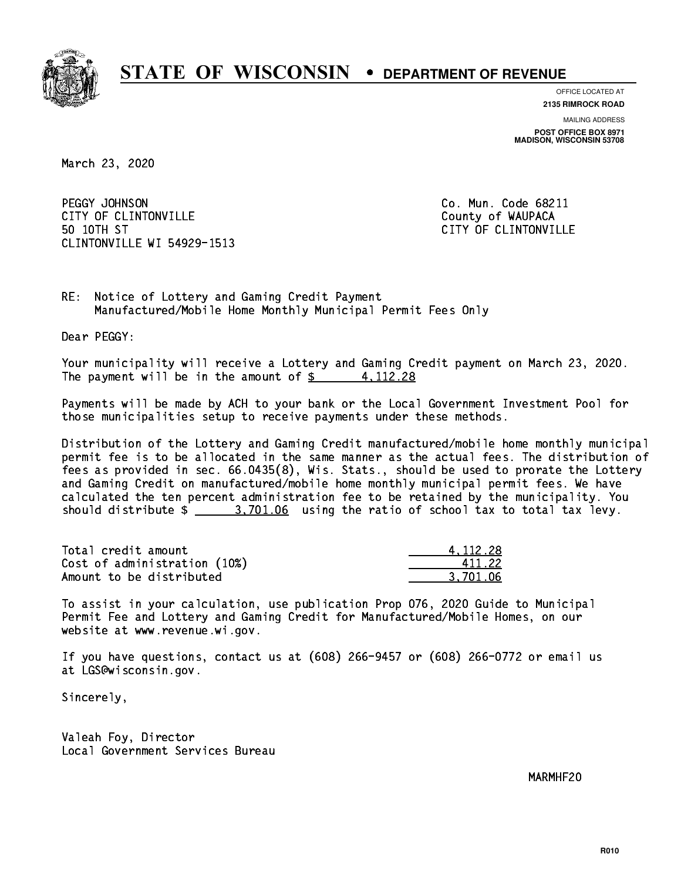

**OFFICE LOCATED AT**

**2135 RIMROCK ROAD**

**MAILING ADDRESS POST OFFICE BOX 8971 MADISON, WISCONSIN 53708**

March 23, 2020

PEGGY JOHNSON CITY OF CLINTONVILLE COUNTY COUNTY OF WAUPACA 50 10TH ST CLINTONVILLE WI 54929-1513

Co. Mun. Code 68211 CITY OF CLINTONVILLE

RE: Notice of Lottery and Gaming Credit Payment Manufactured/Mobile Home Monthly Municipal Permit Fees Only

Dear PEGGY:

 Your municipality will receive a Lottery and Gaming Credit payment on March 23, 2020. The payment will be in the amount of  $\frac{2}{3}$  4, 112.28

 Payments will be made by ACH to your bank or the Local Government Investment Pool for those municipalities setup to receive payments under these methods.

 Distribution of the Lottery and Gaming Credit manufactured/mobile home monthly municipal permit fee is to be allocated in the same manner as the actual fees. The distribution of fees as provided in sec. 66.0435(8), Wis. Stats., should be used to prorate the Lottery and Gaming Credit on manufactured/mobile home monthly municipal permit fees. We have calculated the ten percent administration fee to be retained by the municipality. You should distribute  $\frac{2}{1}$   $\frac{3,701.06}{2}$  using the ratio of school tax to total tax levy.

| Total credit amount          | 4.112.28 |
|------------------------------|----------|
| Cost of administration (10%) | 411.22   |
| Amount to be distributed     | 3.701.06 |

 To assist in your calculation, use publication Prop 076, 2020 Guide to Municipal Permit Fee and Lottery and Gaming Credit for Manufactured/Mobile Homes, on our website at www.revenue.wi.gov.

 If you have questions, contact us at (608) 266-9457 or (608) 266-0772 or email us at LGS@wisconsin.gov.

Sincerely,

 Valeah Foy, Director Local Government Services Bureau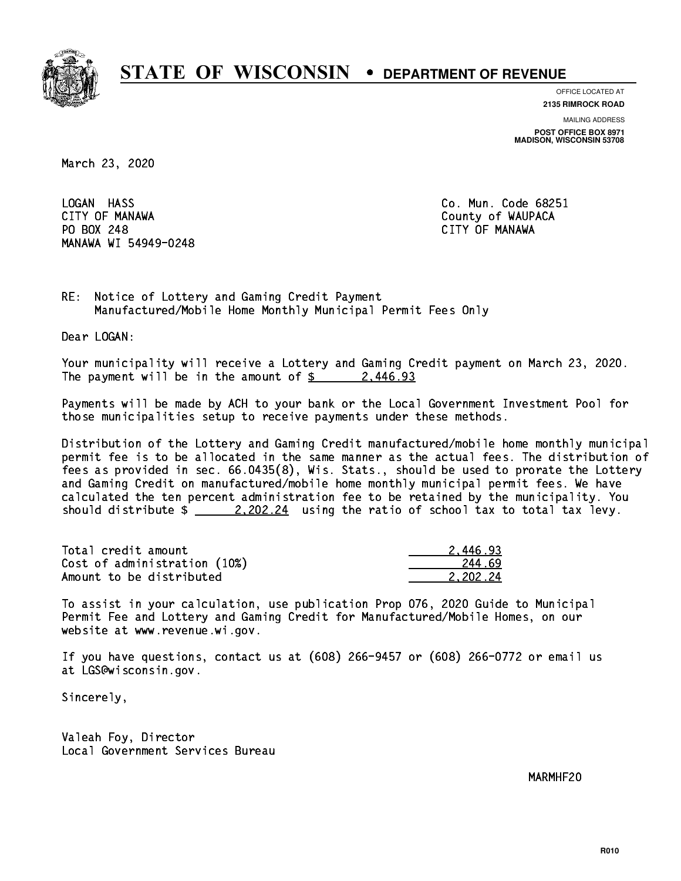

**OFFICE LOCATED AT**

**2135 RIMROCK ROAD**

**MAILING ADDRESS**

**POST OFFICE BOX 8971 MADISON, WISCONSIN 53708**

March 23, 2020

LOGAN HASS CITY OF MANAWA County of WAUPACA PO BOX 248 CITY OF MANAWA MANAWA WI 54949-0248

Co. Mun. Code 68251 CITY OF MANAWA

RE: Notice of Lottery and Gaming Credit Payment Manufactured/Mobile Home Monthly Municipal Permit Fees Only

Dear LOGAN:

 Your municipality will receive a Lottery and Gaming Credit payment on March 23, 2020. The payment will be in the amount of \$ 2,446.93 \_\_\_\_\_\_\_\_\_\_\_\_\_\_\_\_

 Payments will be made by ACH to your bank or the Local Government Investment Pool for those municipalities setup to receive payments under these methods.

 Distribution of the Lottery and Gaming Credit manufactured/mobile home monthly municipal permit fee is to be allocated in the same manner as the actual fees. The distribution of fees as provided in sec. 66.0435(8), Wis. Stats., should be used to prorate the Lottery and Gaming Credit on manufactured/mobile home monthly municipal permit fees. We have calculated the ten percent administration fee to be retained by the municipality. You should distribute  $\frac{2.202.24}{2.202.24}$  using the ratio of school tax to total tax levy.

| Total credit amount          | 2.446.93 |
|------------------------------|----------|
| Cost of administration (10%) | 244.69   |
| Amount to be distributed     | 2.202.24 |

 To assist in your calculation, use publication Prop 076, 2020 Guide to Municipal Permit Fee and Lottery and Gaming Credit for Manufactured/Mobile Homes, on our website at www.revenue.wi.gov.

 If you have questions, contact us at (608) 266-9457 or (608) 266-0772 or email us at LGS@wisconsin.gov.

Sincerely,

 Valeah Foy, Director Local Government Services Bureau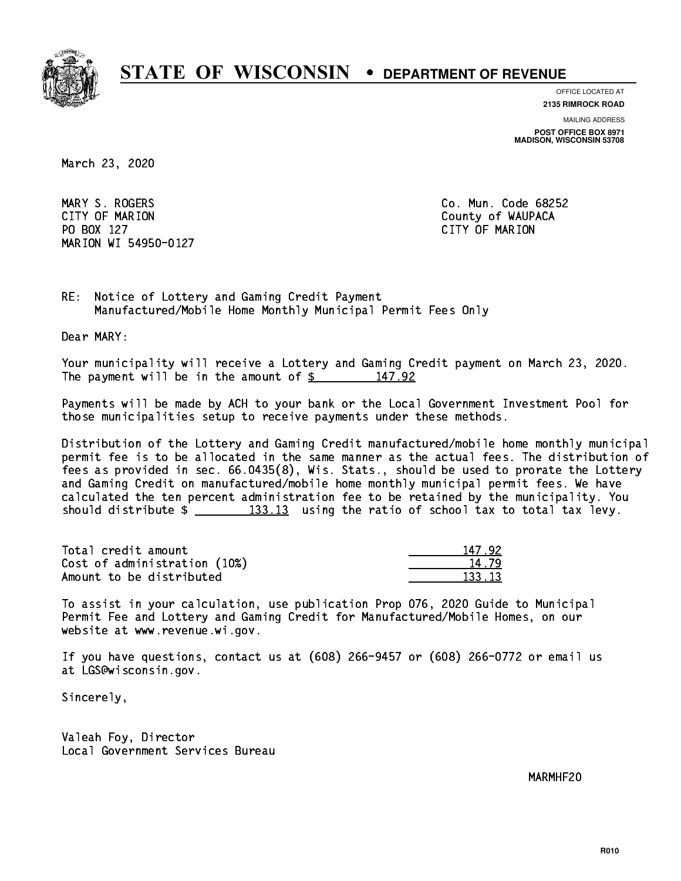

**OFFICE LOCATED AT**

**2135 RIMROCK ROAD**

**MAILING ADDRESS**

**POST OFFICE BOX 8971 MADISON, WISCONSIN 53708**

March 23, 2020

 MARY S. ROGERS Co. Mun. Code 68252 CITY OF MARION COUNTY COUNTY OF MARION PO BOX 127 CITY OF MARION MARION WI 54950-0127

RE: Notice of Lottery and Gaming Credit Payment Manufactured/Mobile Home Monthly Municipal Permit Fees Only

Dear MARY:

 Your municipality will receive a Lottery and Gaming Credit payment on March 23, 2020. The payment will be in the amount of  $\frac{2}{3}$  147.92

 Payments will be made by ACH to your bank or the Local Government Investment Pool for those municipalities setup to receive payments under these methods.

 Distribution of the Lottery and Gaming Credit manufactured/mobile home monthly municipal permit fee is to be allocated in the same manner as the actual fees. The distribution of fees as provided in sec. 66.0435(8), Wis. Stats., should be used to prorate the Lottery and Gaming Credit on manufactured/mobile home monthly municipal permit fees. We have calculated the ten percent administration fee to be retained by the municipality. You should distribute  $\frac{2}{2}$   $\frac{133.13}{2}$  using the ratio of school tax to total tax levy.

Total credit amount Cost of administration (10%) Amount to be distributed

| 92.        |
|------------|
| L. 79      |
| $\cdot$ 12 |

 To assist in your calculation, use publication Prop 076, 2020 Guide to Municipal Permit Fee and Lottery and Gaming Credit for Manufactured/Mobile Homes, on our website at www.revenue.wi.gov.

 If you have questions, contact us at (608) 266-9457 or (608) 266-0772 or email us at LGS@wisconsin.gov.

Sincerely,

 Valeah Foy, Director Local Government Services Bureau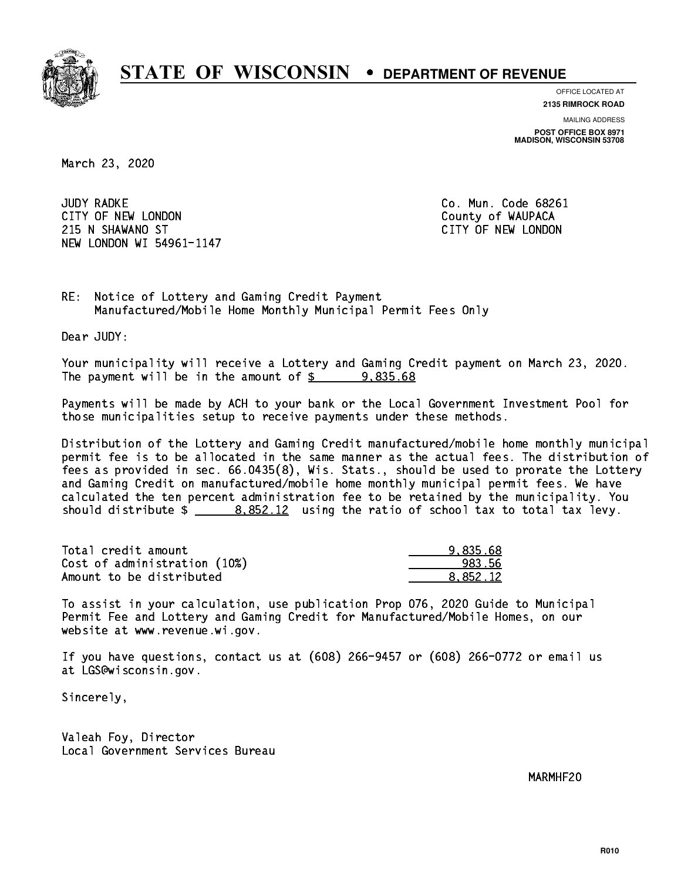

**OFFICE LOCATED AT**

**2135 RIMROCK ROAD**

**MAILING ADDRESS POST OFFICE BOX 8971 MADISON, WISCONSIN 53708**

March 23, 2020

**JUDY RADKE** CITY OF NEW LONDON COUNTY OF WAUPACA 215 N SHAWANO ST CITY OF NEW LONDON NEW LONDON WI 54961-1147

Co. Mun. Code 68261

RE: Notice of Lottery and Gaming Credit Payment Manufactured/Mobile Home Monthly Municipal Permit Fees Only

Dear JUDY:

 Your municipality will receive a Lottery and Gaming Credit payment on March 23, 2020. The payment will be in the amount of  $\frac{2}{3}$  9,835.68

 Payments will be made by ACH to your bank or the Local Government Investment Pool for those municipalities setup to receive payments under these methods.

 Distribution of the Lottery and Gaming Credit manufactured/mobile home monthly municipal permit fee is to be allocated in the same manner as the actual fees. The distribution of fees as provided in sec. 66.0435(8), Wis. Stats., should be used to prorate the Lottery and Gaming Credit on manufactured/mobile home monthly municipal permit fees. We have calculated the ten percent administration fee to be retained by the municipality. You should distribute  $\frac{2}{12}$   $\frac{8,852.12}{2}$  using the ratio of school tax to total tax levy.

| Total credit amount          | 9.835.68 |
|------------------------------|----------|
| Cost of administration (10%) | 983.56   |
| Amount to be distributed     | 8.852.12 |

 To assist in your calculation, use publication Prop 076, 2020 Guide to Municipal Permit Fee and Lottery and Gaming Credit for Manufactured/Mobile Homes, on our website at www.revenue.wi.gov.

 If you have questions, contact us at (608) 266-9457 or (608) 266-0772 or email us at LGS@wisconsin.gov.

Sincerely,

 Valeah Foy, Director Local Government Services Bureau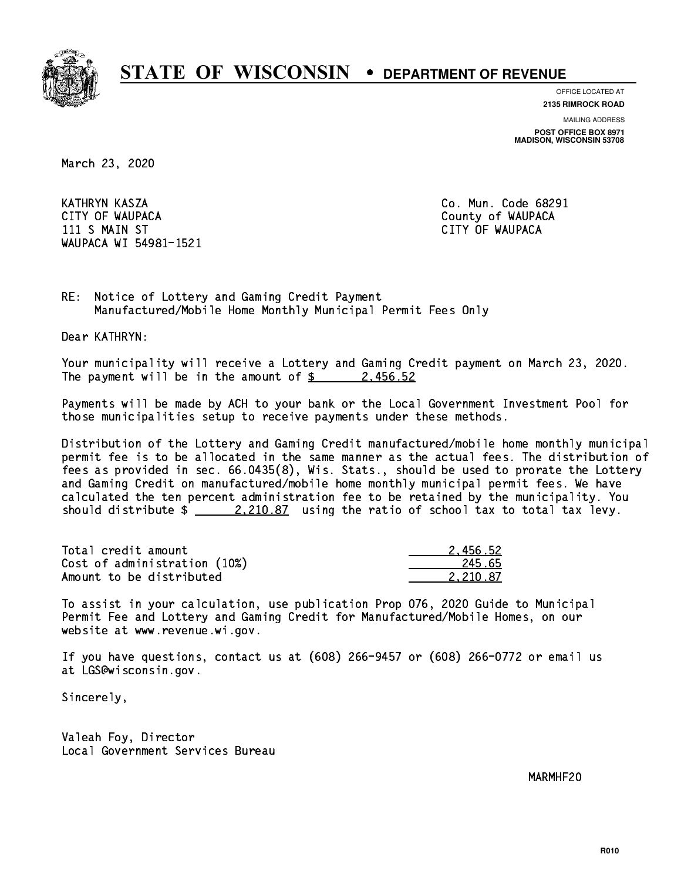

**OFFICE LOCATED AT**

**2135 RIMROCK ROAD**

**MAILING ADDRESS**

**POST OFFICE BOX 8971 MADISON, WISCONSIN 53708**

March 23, 2020

 KATHRYN KASZA Co. Mun. Code 68291 CITY OF WAUPACA **COULD ACCOUNT OF WAUPACA** 11 S MAIN ST CITY OF WAUPACA CHARGE IN STREET IN STREET IN STREET IN STREET IN STREET IN STREET IN STREET IN WAUPACA WI 54981-1521

RE: Notice of Lottery and Gaming Credit Payment Manufactured/Mobile Home Monthly Municipal Permit Fees Only

Dear KATHRYN:

 Your municipality will receive a Lottery and Gaming Credit payment on March 23, 2020. The payment will be in the amount of  $\frac{2}{3}$  2,456.52

 Payments will be made by ACH to your bank or the Local Government Investment Pool for those municipalities setup to receive payments under these methods.

 Distribution of the Lottery and Gaming Credit manufactured/mobile home monthly municipal permit fee is to be allocated in the same manner as the actual fees. The distribution of fees as provided in sec. 66.0435(8), Wis. Stats., should be used to prorate the Lottery and Gaming Credit on manufactured/mobile home monthly municipal permit fees. We have calculated the ten percent administration fee to be retained by the municipality. You should distribute  $\frac{2,210.87}{2}$  using the ratio of school tax to total tax levy.

| Total credit amount          | 2.456.52 |
|------------------------------|----------|
| Cost of administration (10%) | 245.65   |
| Amount to be distributed     | 2.210.87 |

 To assist in your calculation, use publication Prop 076, 2020 Guide to Municipal Permit Fee and Lottery and Gaming Credit for Manufactured/Mobile Homes, on our website at www.revenue.wi.gov.

 If you have questions, contact us at (608) 266-9457 or (608) 266-0772 or email us at LGS@wisconsin.gov.

Sincerely,

 Valeah Foy, Director Local Government Services Bureau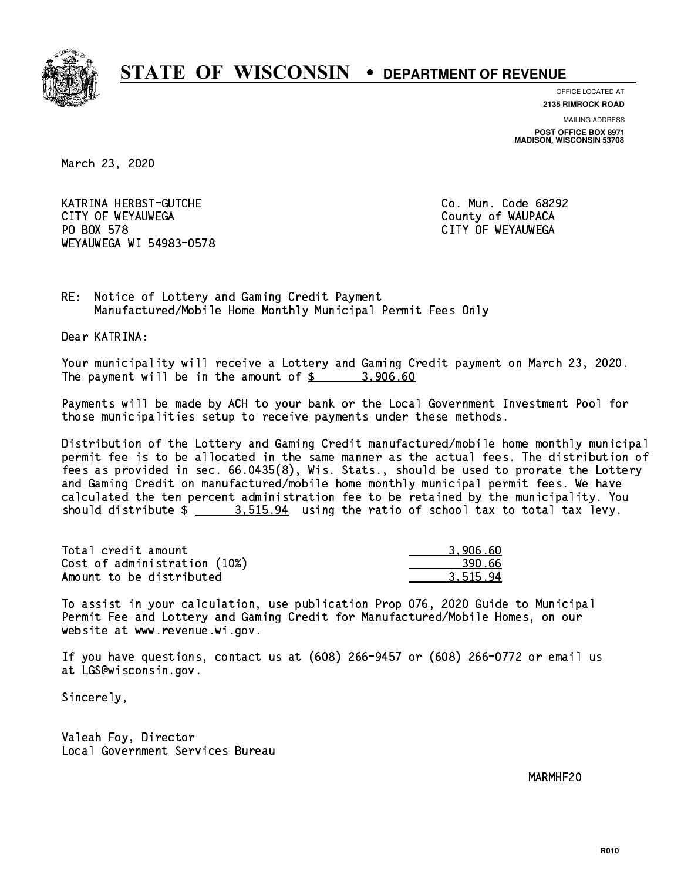

**OFFICE LOCATED AT**

**2135 RIMROCK ROAD**

**MAILING ADDRESS POST OFFICE BOX 8971 MADISON, WISCONSIN 53708**

March 23, 2020

 KATRINA HERBST-GUTCHE Co. Mun. Code 68292 CITY OF WEYAUWEGA **COULD ACCOUNT OF SEXUAL COULD A** COUNTY OF WAUPACA PO BOX 578 WEYAUWEGA WI 54983-0578

CITY OF WEYAUWEGA

RE: Notice of Lottery and Gaming Credit Payment Manufactured/Mobile Home Monthly Municipal Permit Fees Only

Dear KATRINA:

 Your municipality will receive a Lottery and Gaming Credit payment on March 23, 2020. The payment will be in the amount of  $\frac{2}{3}$  3,906.60

 Payments will be made by ACH to your bank or the Local Government Investment Pool for those municipalities setup to receive payments under these methods.

 Distribution of the Lottery and Gaming Credit manufactured/mobile home monthly municipal permit fee is to be allocated in the same manner as the actual fees. The distribution of fees as provided in sec. 66.0435(8), Wis. Stats., should be used to prorate the Lottery and Gaming Credit on manufactured/mobile home monthly municipal permit fees. We have calculated the ten percent administration fee to be retained by the municipality. You should distribute  $\frac{2}{2}$   $\frac{3.515.94}{2}$  using the ratio of school tax to total tax levy.

| Total credit amount          | 3,906.60 |
|------------------------------|----------|
| Cost of administration (10%) | -390.66  |
| Amount to be distributed     | 3.515.94 |

 To assist in your calculation, use publication Prop 076, 2020 Guide to Municipal Permit Fee and Lottery and Gaming Credit for Manufactured/Mobile Homes, on our website at www.revenue.wi.gov.

 If you have questions, contact us at (608) 266-9457 or (608) 266-0772 or email us at LGS@wisconsin.gov.

Sincerely,

 Valeah Foy, Director Local Government Services Bureau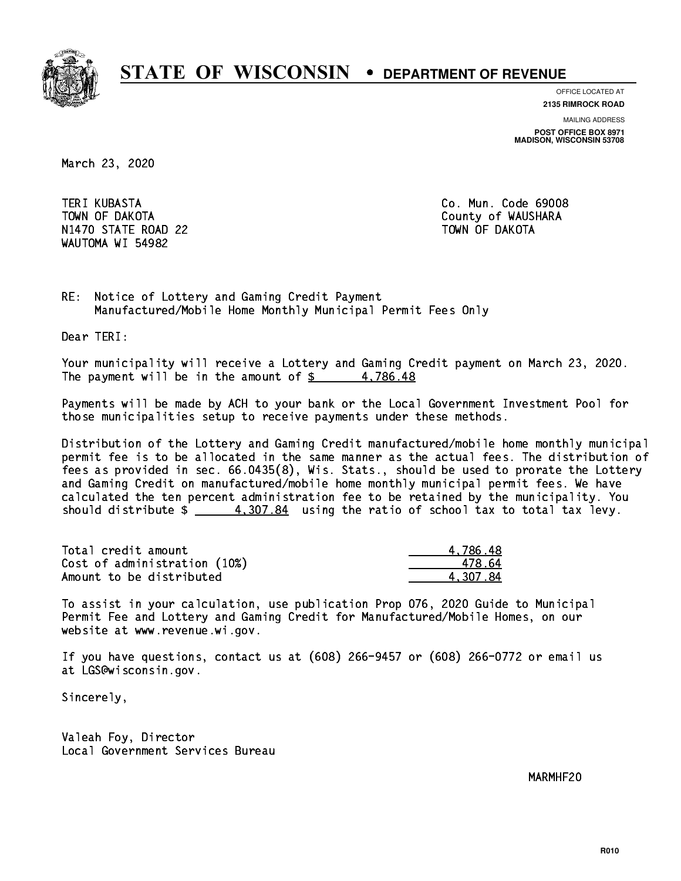

**OFFICE LOCATED AT**

**2135 RIMROCK ROAD**

**MAILING ADDRESS**

**POST OFFICE BOX 8971 MADISON, WISCONSIN 53708**

March 23, 2020

**TERI KUBASTA**  TOWN OF DAKOTA County of WAUSHARA N1470 STATE ROAD 22 TOWN OF DAKOTA WAUTOMA WI 54982

Co. Mun. Code 69008

RE: Notice of Lottery and Gaming Credit Payment Manufactured/Mobile Home Monthly Municipal Permit Fees Only

Dear TERI:

 Your municipality will receive a Lottery and Gaming Credit payment on March 23, 2020. The payment will be in the amount of  $\frac{2}{3}$  4,786.48

 Payments will be made by ACH to your bank or the Local Government Investment Pool for those municipalities setup to receive payments under these methods.

 Distribution of the Lottery and Gaming Credit manufactured/mobile home monthly municipal permit fee is to be allocated in the same manner as the actual fees. The distribution of fees as provided in sec. 66.0435(8), Wis. Stats., should be used to prorate the Lottery and Gaming Credit on manufactured/mobile home monthly municipal permit fees. We have calculated the ten percent administration fee to be retained by the municipality. You should distribute  $\frac{4}{1000}$ . 307.84 using the ratio of school tax to total tax levy.

| Total credit amount          | 4.786.48 |
|------------------------------|----------|
| Cost of administration (10%) | 478 64   |
| Amount to be distributed     | 4.307.84 |

 To assist in your calculation, use publication Prop 076, 2020 Guide to Municipal Permit Fee and Lottery and Gaming Credit for Manufactured/Mobile Homes, on our website at www.revenue.wi.gov.

 If you have questions, contact us at (608) 266-9457 or (608) 266-0772 or email us at LGS@wisconsin.gov.

Sincerely,

 Valeah Foy, Director Local Government Services Bureau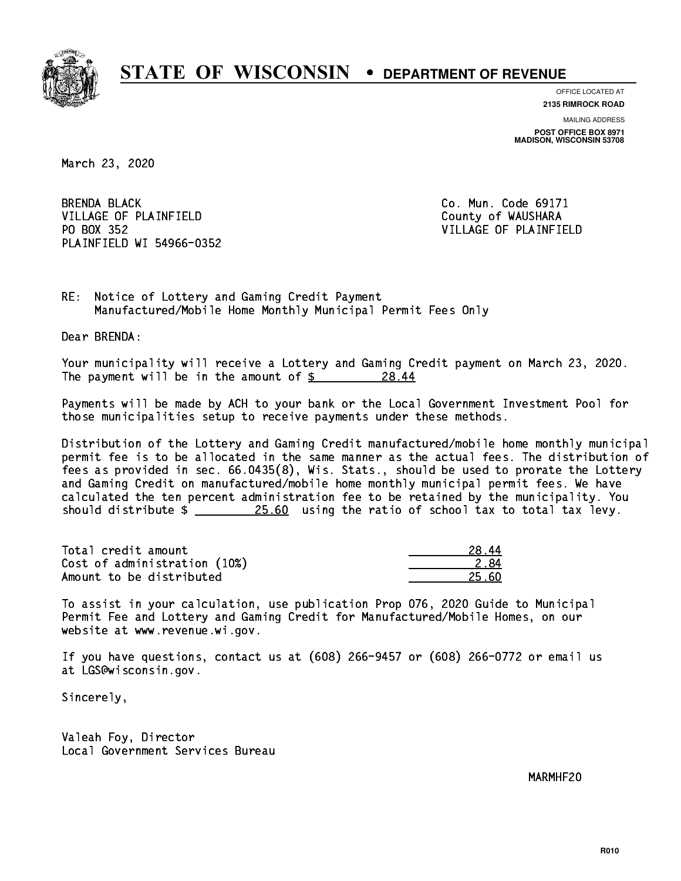

**OFFICE LOCATED AT**

**2135 RIMROCK ROAD**

**MAILING ADDRESS POST OFFICE BOX 8971 MADISON, WISCONSIN 53708**

March 23, 2020

**BRENDA BLACK** VILLAGE OF PLAINFIELD County of WAUSHARA PO BOX 352 PLAINFIELD WI 54966-0352

Co. Mun. Code 69171 VILLAGE OF PLAINFIELD

RE: Notice of Lottery and Gaming Credit Payment Manufactured/Mobile Home Monthly Municipal Permit Fees Only

Dear BRENDA:

 Your municipality will receive a Lottery and Gaming Credit payment on March 23, 2020. The payment will be in the amount of  $\frac{28.14}{8.44}$ 28.44

 Payments will be made by ACH to your bank or the Local Government Investment Pool for those municipalities setup to receive payments under these methods.

 Distribution of the Lottery and Gaming Credit manufactured/mobile home monthly municipal permit fee is to be allocated in the same manner as the actual fees. The distribution of fees as provided in sec. 66.0435(8), Wis. Stats., should be used to prorate the Lottery and Gaming Credit on manufactured/mobile home monthly municipal permit fees. We have calculated the ten percent administration fee to be retained by the municipality. You should distribute  $\frac{25.60}{25.60}$  using the ratio of school tax to total tax levy.

Total credit amount Cost of administration (10%) Amount to be distributed

| л         |
|-----------|
| 2.84      |
| 60<br>クらー |

 To assist in your calculation, use publication Prop 076, 2020 Guide to Municipal Permit Fee and Lottery and Gaming Credit for Manufactured/Mobile Homes, on our website at www.revenue.wi.gov.

 If you have questions, contact us at (608) 266-9457 or (608) 266-0772 or email us at LGS@wisconsin.gov.

Sincerely,

 Valeah Foy, Director Local Government Services Bureau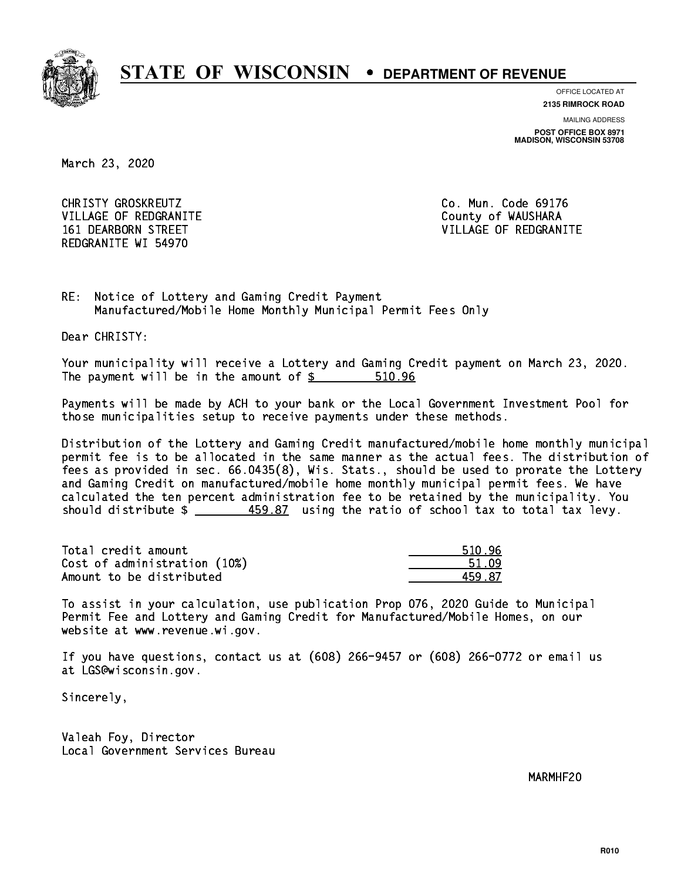

**OFFICE LOCATED AT**

**2135 RIMROCK ROAD**

**MAILING ADDRESS POST OFFICE BOX 8971 MADISON, WISCONSIN 53708**

March 23, 2020

CHRISTY GROSKREUTZ VILLAGE OF REDGRANITE COUNTY OF WAUSHARA REDGRANITE WI 54970

Co. Mun. Code 69176 161 DEARBORN STREET VILLAGE OF REDGRANITE

RE: Notice of Lottery and Gaming Credit Payment Manufactured/Mobile Home Monthly Municipal Permit Fees Only

Dear CHRISTY:

 Your municipality will receive a Lottery and Gaming Credit payment on March 23, 2020. The payment will be in the amount of  $$ 510.96$ 

 Payments will be made by ACH to your bank or the Local Government Investment Pool for those municipalities setup to receive payments under these methods.

 Distribution of the Lottery and Gaming Credit manufactured/mobile home monthly municipal permit fee is to be allocated in the same manner as the actual fees. The distribution of fees as provided in sec. 66.0435(8), Wis. Stats., should be used to prorate the Lottery and Gaming Credit on manufactured/mobile home monthly municipal permit fees. We have calculated the ten percent administration fee to be retained by the municipality. You should distribute \$ 459.87 using the ratio of school tax to total tax levy. \_\_\_\_\_\_\_\_\_\_\_\_\_\_

Total credit amount Cost of administration (10%) Amount to be distributed

| 96<br>510. |
|------------|
| 51.09      |
| -87        |

 To assist in your calculation, use publication Prop 076, 2020 Guide to Municipal Permit Fee and Lottery and Gaming Credit for Manufactured/Mobile Homes, on our website at www.revenue.wi.gov.

 If you have questions, contact us at (608) 266-9457 or (608) 266-0772 or email us at LGS@wisconsin.gov.

Sincerely,

 Valeah Foy, Director Local Government Services Bureau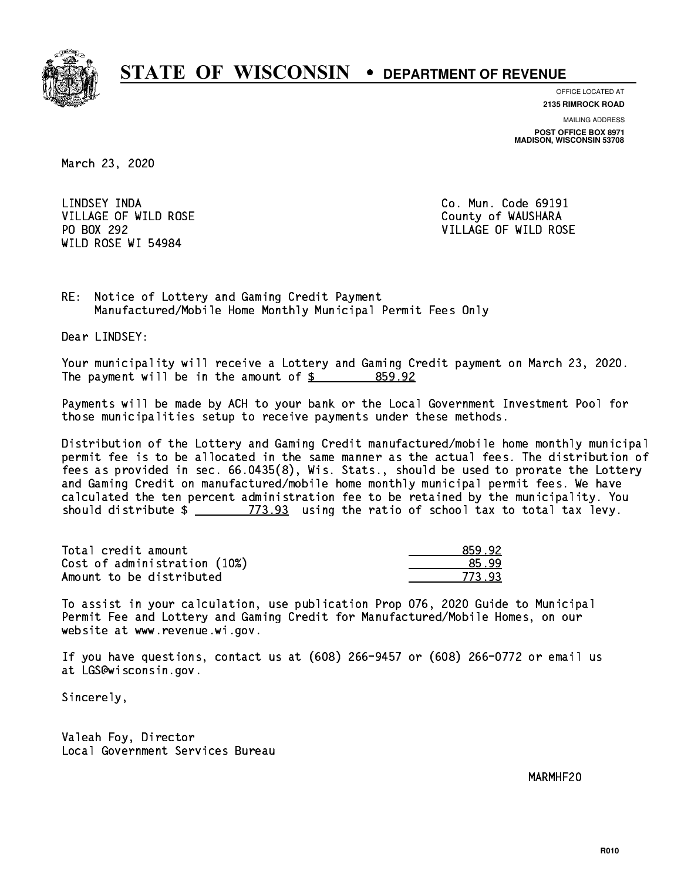

**OFFICE LOCATED AT**

**2135 RIMROCK ROAD**

**MAILING ADDRESS POST OFFICE BOX 8971 MADISON, WISCONSIN 53708**

March 23, 2020

 LINDSEY INDA Co. Mun. Code 69191 VILLAGE OF WILD ROSE COUNTY OF WAUSHARA PO BOX 292 WILD ROSE WI 54984

VILLAGE OF WILD ROSE

RE: Notice of Lottery and Gaming Credit Payment Manufactured/Mobile Home Monthly Municipal Permit Fees Only

Dear LINDSEY:

 Your municipality will receive a Lottery and Gaming Credit payment on March 23, 2020. The payment will be in the amount of  $$ 859.92$ 

 Payments will be made by ACH to your bank or the Local Government Investment Pool for those municipalities setup to receive payments under these methods.

 Distribution of the Lottery and Gaming Credit manufactured/mobile home monthly municipal permit fee is to be allocated in the same manner as the actual fees. The distribution of fees as provided in sec. 66.0435(8), Wis. Stats., should be used to prorate the Lottery and Gaming Credit on manufactured/mobile home monthly municipal permit fees. We have calculated the ten percent administration fee to be retained by the municipality. You should distribute  $\frac{2}{2}$   $\frac{773.93}{2}$  using the ratio of school tax to total tax levy.

Total credit amount Cost of administration (10%) Amount to be distributed

| 92  |
|-----|
| יי  |
| d s |

 To assist in your calculation, use publication Prop 076, 2020 Guide to Municipal Permit Fee and Lottery and Gaming Credit for Manufactured/Mobile Homes, on our website at www.revenue.wi.gov.

 If you have questions, contact us at (608) 266-9457 or (608) 266-0772 or email us at LGS@wisconsin.gov.

Sincerely,

 Valeah Foy, Director Local Government Services Bureau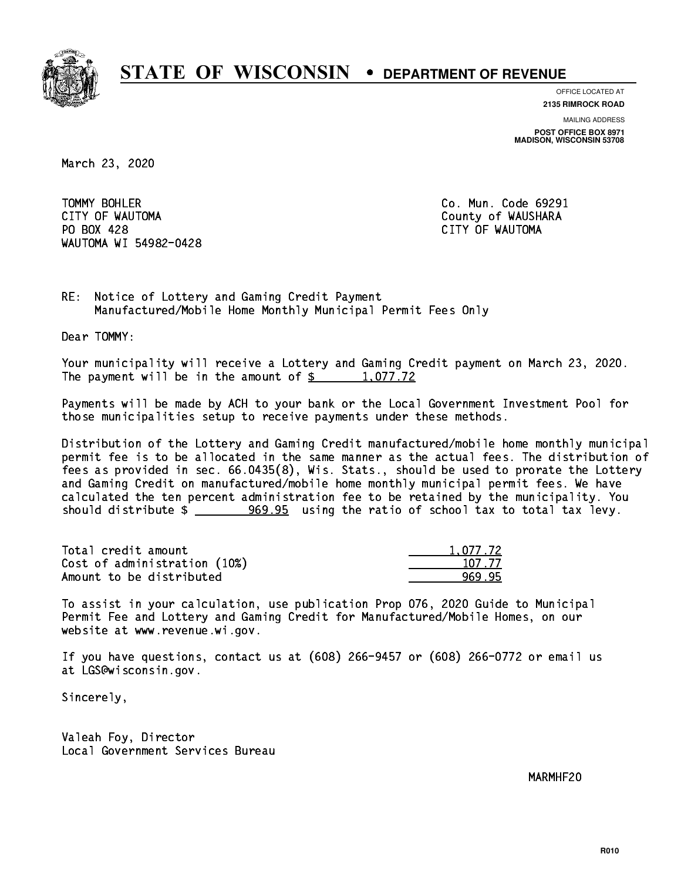

**OFFICE LOCATED AT**

**2135 RIMROCK ROAD**

**MAILING ADDRESS**

**POST OFFICE BOX 8971 MADISON, WISCONSIN 53708**

March 23, 2020

TOMMY BOHLER CITY OF WAUTOMA County of WAUSHARA PO BOX 428 CITY OF WAUTOMA WAUTOMA WI 54982-0428

Co. Mun. Code 69291

RE: Notice of Lottery and Gaming Credit Payment Manufactured/Mobile Home Monthly Municipal Permit Fees Only

Dear TOMMY:

 Your municipality will receive a Lottery and Gaming Credit payment on March 23, 2020. The payment will be in the amount of  $\frac{2}{3}$  1,077.72

 Payments will be made by ACH to your bank or the Local Government Investment Pool for those municipalities setup to receive payments under these methods.

 Distribution of the Lottery and Gaming Credit manufactured/mobile home monthly municipal permit fee is to be allocated in the same manner as the actual fees. The distribution of fees as provided in sec. 66.0435(8), Wis. Stats., should be used to prorate the Lottery and Gaming Credit on manufactured/mobile home monthly municipal permit fees. We have calculated the ten percent administration fee to be retained by the municipality. You should distribute  $\frac{269.95}{2}$  using the ratio of school tax to total tax levy.

| Total credit amount          | 1.077.72 |
|------------------------------|----------|
| Cost of administration (10%) | 107.77   |
| Amount to be distributed     | 969.95   |

 To assist in your calculation, use publication Prop 076, 2020 Guide to Municipal Permit Fee and Lottery and Gaming Credit for Manufactured/Mobile Homes, on our website at www.revenue.wi.gov.

 If you have questions, contact us at (608) 266-9457 or (608) 266-0772 or email us at LGS@wisconsin.gov.

Sincerely,

 Valeah Foy, Director Local Government Services Bureau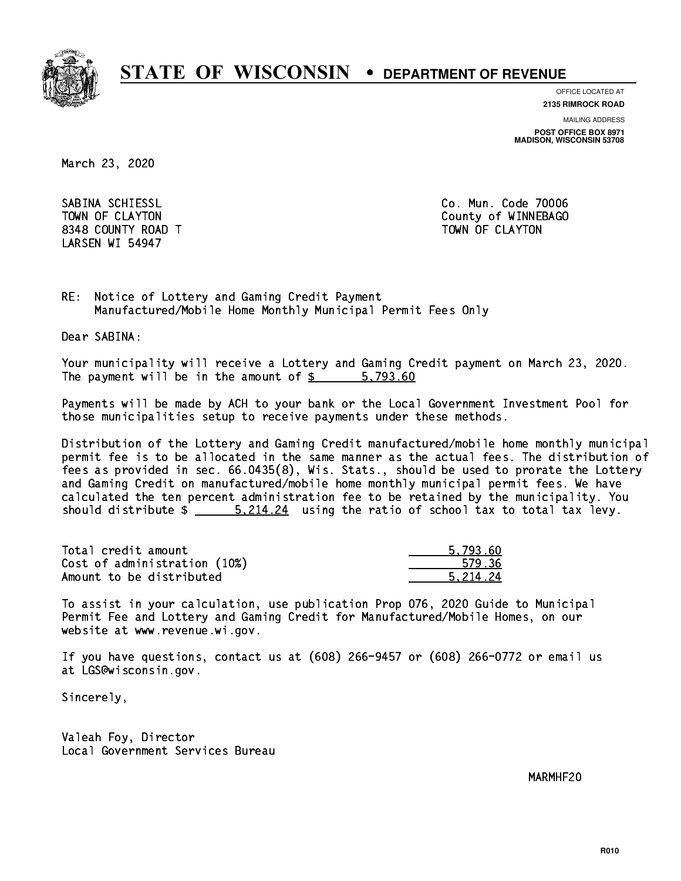

**OFFICE LOCATED AT**

**2135 RIMROCK ROAD**

**MAILING ADDRESS**

**POST OFFICE BOX 8971 MADISON, WISCONSIN 53708**

March 23, 2020

 SABINA SCHIESSL Co. Mun. Code 70006 8348 COUNTY ROAD TWO COUNTY AND TOWN OF CLAYTON LARSEN WI 54947

TOWN OF CLAYTON COUNTY OF WINNEBAGO

RE: Notice of Lottery and Gaming Credit Payment Manufactured/Mobile Home Monthly Municipal Permit Fees Only

Dear SABINA:

 Your municipality will receive a Lottery and Gaming Credit payment on March 23, 2020. The payment will be in the amount of \$ 5,793.60 \_\_\_\_\_\_\_\_\_\_\_\_\_\_\_\_

 Payments will be made by ACH to your bank or the Local Government Investment Pool for those municipalities setup to receive payments under these methods.

 Distribution of the Lottery and Gaming Credit manufactured/mobile home monthly municipal permit fee is to be allocated in the same manner as the actual fees. The distribution of fees as provided in sec. 66.0435(8), Wis. Stats., should be used to prorate the Lottery and Gaming Credit on manufactured/mobile home monthly municipal permit fees. We have calculated the ten percent administration fee to be retained by the municipality. You should distribute  $\frac{24}{100}$  5,214.24 using the ratio of school tax to total tax levy.

| Total credit amount          | 5.793.60 |
|------------------------------|----------|
| Cost of administration (10%) | 579.36   |
| Amount to be distributed     | 5.214.24 |

 To assist in your calculation, use publication Prop 076, 2020 Guide to Municipal Permit Fee and Lottery and Gaming Credit for Manufactured/Mobile Homes, on our website at www.revenue.wi.gov.

 If you have questions, contact us at (608) 266-9457 or (608) 266-0772 or email us at LGS@wisconsin.gov.

Sincerely,

 Valeah Foy, Director Local Government Services Bureau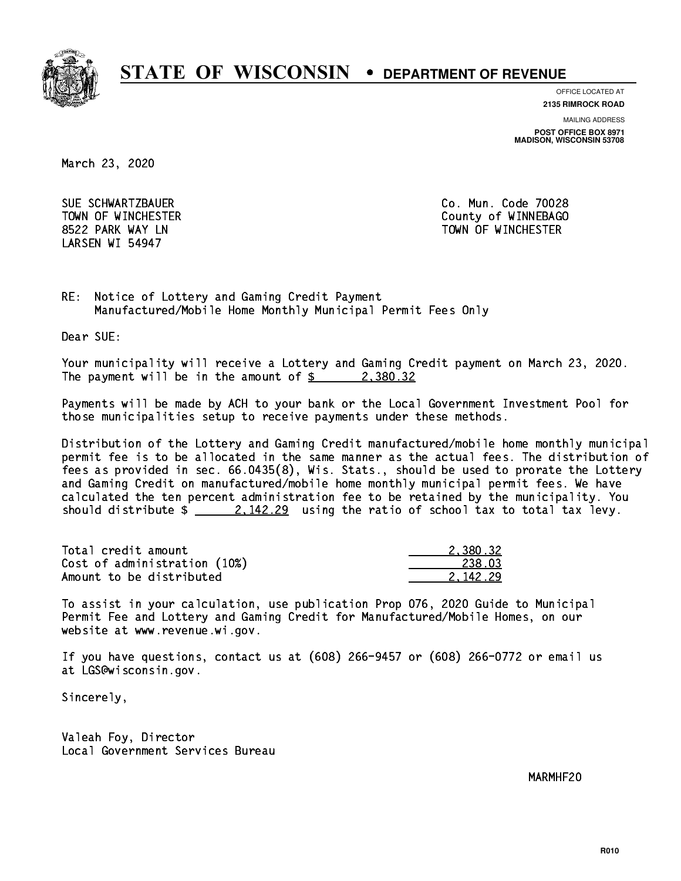

**OFFICE LOCATED AT**

**2135 RIMROCK ROAD**

**MAILING ADDRESS**

**POST OFFICE BOX 8971 MADISON, WISCONSIN 53708**

March 23, 2020

 SUE SCHWARTZBAUER Co. Mun. Code 70028 LARSEN WI 54947

 TOWN OF WINCHESTER County of WINNEBAGO 8522 PARK WAY LN TOWN OF WINCHESTER

RE: Notice of Lottery and Gaming Credit Payment Manufactured/Mobile Home Monthly Municipal Permit Fees Only

Dear SUE:

 Your municipality will receive a Lottery and Gaming Credit payment on March 23, 2020. The payment will be in the amount of  $\frac{2}{3}$  2,380.32

 Payments will be made by ACH to your bank or the Local Government Investment Pool for those municipalities setup to receive payments under these methods.

 Distribution of the Lottery and Gaming Credit manufactured/mobile home monthly municipal permit fee is to be allocated in the same manner as the actual fees. The distribution of fees as provided in sec. 66.0435(8), Wis. Stats., should be used to prorate the Lottery and Gaming Credit on manufactured/mobile home monthly municipal permit fees. We have calculated the ten percent administration fee to be retained by the municipality. You should distribute  $\frac{2.142.29}{2.142.29}$  using the ratio of school tax to total tax levy.

| Total credit amount          | 2.380.32 |
|------------------------------|----------|
| Cost of administration (10%) | 238.03   |
| Amount to be distributed     | 2.142.29 |

 To assist in your calculation, use publication Prop 076, 2020 Guide to Municipal Permit Fee and Lottery and Gaming Credit for Manufactured/Mobile Homes, on our website at www.revenue.wi.gov.

 If you have questions, contact us at (608) 266-9457 or (608) 266-0772 or email us at LGS@wisconsin.gov.

Sincerely,

 Valeah Foy, Director Local Government Services Bureau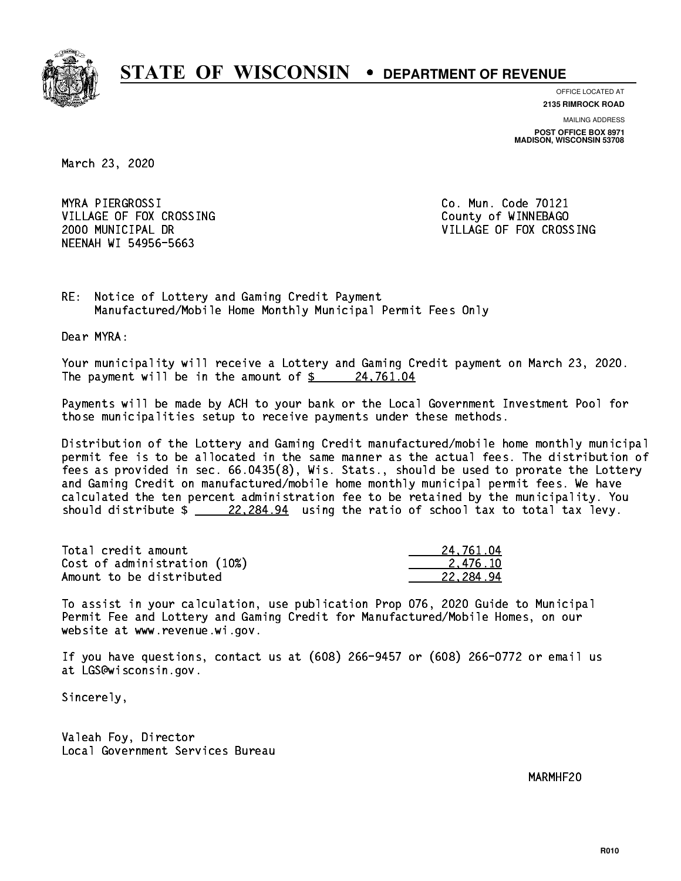

**OFFICE LOCATED AT**

**2135 RIMROCK ROAD**

**MAILING ADDRESS POST OFFICE BOX 8971 MADISON, WISCONSIN 53708**

March 23, 2020

 MYRA PIERGROSSI Co. Mun. Code 70121 VILLAGE OF FOX CROSSING COUNTY OF WINNEBAGO NEENAH WI 54956-5663

2000 MUNICIPAL DR VILLAGE OF FOX CROSSING

RE: Notice of Lottery and Gaming Credit Payment Manufactured/Mobile Home Monthly Municipal Permit Fees Only

Dear MYRA:

 Your municipality will receive a Lottery and Gaming Credit payment on March 23, 2020. The payment will be in the amount of  $\frac{24,761.04}{24}$ 

 Payments will be made by ACH to your bank or the Local Government Investment Pool for those municipalities setup to receive payments under these methods.

 Distribution of the Lottery and Gaming Credit manufactured/mobile home monthly municipal permit fee is to be allocated in the same manner as the actual fees. The distribution of fees as provided in sec. 66.0435(8), Wis. Stats., should be used to prorate the Lottery and Gaming Credit on manufactured/mobile home monthly municipal permit fees. We have calculated the ten percent administration fee to be retained by the municipality. You should distribute  $\frac{22,284.94}{22,284.94}$  using the ratio of school tax to total tax levy.

| Total credit amount          | 24.761.04 |
|------------------------------|-----------|
| Cost of administration (10%) | 2.476.10  |
| Amount to be distributed     | 22.284.94 |

 To assist in your calculation, use publication Prop 076, 2020 Guide to Municipal Permit Fee and Lottery and Gaming Credit for Manufactured/Mobile Homes, on our website at www.revenue.wi.gov.

 If you have questions, contact us at (608) 266-9457 or (608) 266-0772 or email us at LGS@wisconsin.gov.

Sincerely,

 Valeah Foy, Director Local Government Services Bureau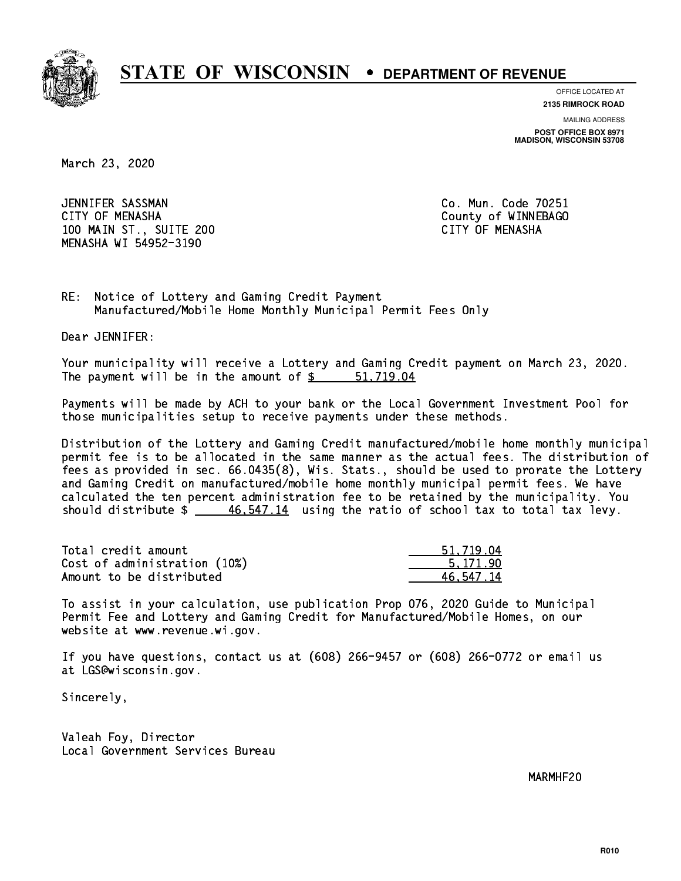

**OFFICE LOCATED AT**

**2135 RIMROCK ROAD**

**MAILING ADDRESS POST OFFICE BOX 8971 MADISON, WISCONSIN 53708**

March 23, 2020

 JENNIFER SASSMAN Co. Mun. Code 70251 CITY OF MENASHA COUNTY OF MENASHA 100 MAIN ST., SUITE 200 CITY OF MENASHA MENASHA WI 54952-3190

RE: Notice of Lottery and Gaming Credit Payment Manufactured/Mobile Home Monthly Municipal Permit Fees Only

Dear JENNIFER:

 Your municipality will receive a Lottery and Gaming Credit payment on March 23, 2020. The payment will be in the amount of \$ 51,719.04 \_\_\_\_\_\_\_\_\_\_\_\_\_\_\_\_

 Payments will be made by ACH to your bank or the Local Government Investment Pool for those municipalities setup to receive payments under these methods.

 Distribution of the Lottery and Gaming Credit manufactured/mobile home monthly municipal permit fee is to be allocated in the same manner as the actual fees. The distribution of fees as provided in sec. 66.0435(8), Wis. Stats., should be used to prorate the Lottery and Gaming Credit on manufactured/mobile home monthly municipal permit fees. We have calculated the ten percent administration fee to be retained by the municipality. You should distribute  $\frac{46,547.14}{2}$  using the ratio of school tax to total tax levy.

| Total credit amount          | 51,719.04 |
|------------------------------|-----------|
| Cost of administration (10%) | 5.171.90  |
| Amount to be distributed     | 46.547.14 |

 To assist in your calculation, use publication Prop 076, 2020 Guide to Municipal Permit Fee and Lottery and Gaming Credit for Manufactured/Mobile Homes, on our website at www.revenue.wi.gov.

 If you have questions, contact us at (608) 266-9457 or (608) 266-0772 or email us at LGS@wisconsin.gov.

Sincerely,

 Valeah Foy, Director Local Government Services Bureau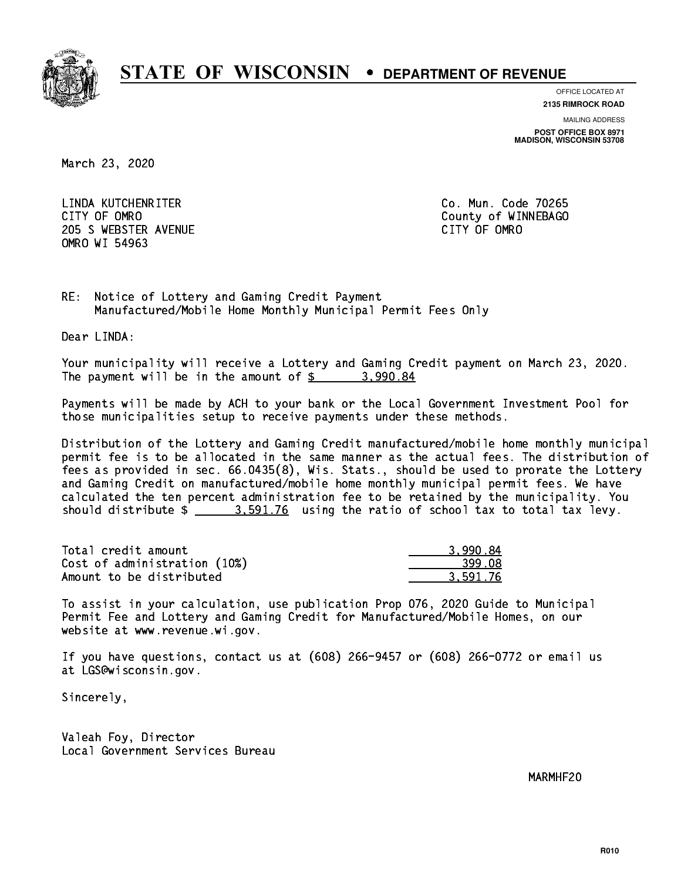

**OFFICE LOCATED AT**

**2135 RIMROCK ROAD**

**MAILING ADDRESS**

**POST OFFICE BOX 8971 MADISON, WISCONSIN 53708**

March 23, 2020

 LINDA KUTCHENRITER Co. Mun. Code 70265 CITY OF OMRO COUNTY COUNTY OF MESSAGE COUNTY OF MESSAGE COUNTY OF MESSAGE COUNTY OF MESSAGE COUNTY OF MESSAGE COUNTY OF MESSAGE COUNTY OF MESSAGE COUNTY OF MESSAGE COUNTY OF MESSAGE COUNTY OF MESSAGE COUNTY OF MESSAGE COUN 205 SWEBSTER AVENUE CITY OF OMRO OMRO WI 54963

RE: Notice of Lottery and Gaming Credit Payment Manufactured/Mobile Home Monthly Municipal Permit Fees Only

Dear LINDA:

 Your municipality will receive a Lottery and Gaming Credit payment on March 23, 2020. The payment will be in the amount of  $\frac{2}{3}$  3,990.84

 Payments will be made by ACH to your bank or the Local Government Investment Pool for those municipalities setup to receive payments under these methods.

 Distribution of the Lottery and Gaming Credit manufactured/mobile home monthly municipal permit fee is to be allocated in the same manner as the actual fees. The distribution of fees as provided in sec. 66.0435(8), Wis. Stats., should be used to prorate the Lottery and Gaming Credit on manufactured/mobile home monthly municipal permit fees. We have calculated the ten percent administration fee to be retained by the municipality. You should distribute  $\frac{2}{2}$   $\frac{3.591.76}{2}$  using the ratio of school tax to total tax levy.

| Total credit amount          | 3.990.84 |
|------------------------------|----------|
| Cost of administration (10%) | 399.08   |
| Amount to be distributed     | 3.591.76 |

 To assist in your calculation, use publication Prop 076, 2020 Guide to Municipal Permit Fee and Lottery and Gaming Credit for Manufactured/Mobile Homes, on our website at www.revenue.wi.gov.

 If you have questions, contact us at (608) 266-9457 or (608) 266-0772 or email us at LGS@wisconsin.gov.

Sincerely,

 Valeah Foy, Director Local Government Services Bureau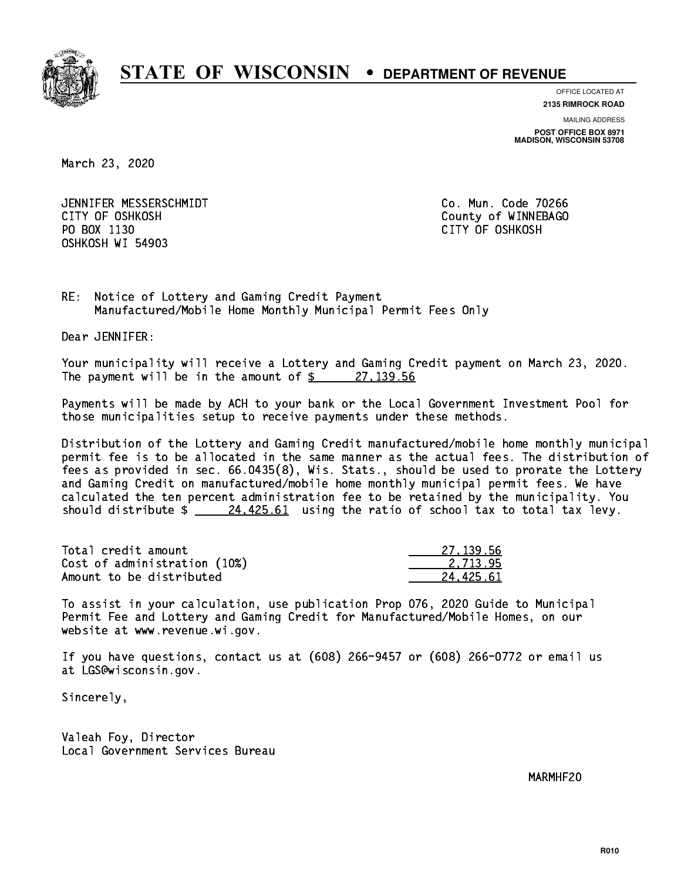

**OFFICE LOCATED AT**

**2135 RIMROCK ROAD**

**MAILING ADDRESS POST OFFICE BOX 8971 MADISON, WISCONSIN 53708**

March 23, 2020

 JENNIFER MESSERSCHMIDT Co. Mun. Code 70266 CITY OF OSHKOSH County of WINNEBAGO PO BOX 1130 CITY OF OSHKOSH OSHKOSH WI 54903

RE: Notice of Lottery and Gaming Credit Payment Manufactured/Mobile Home Monthly Municipal Permit Fees Only

Dear JENNIFER:

 Your municipality will receive a Lottery and Gaming Credit payment on March 23, 2020. The payment will be in the amount of  $\frac{27}{139.56}$ 

 Payments will be made by ACH to your bank or the Local Government Investment Pool for those municipalities setup to receive payments under these methods.

 Distribution of the Lottery and Gaming Credit manufactured/mobile home monthly municipal permit fee is to be allocated in the same manner as the actual fees. The distribution of fees as provided in sec. 66.0435(8), Wis. Stats., should be used to prorate the Lottery and Gaming Credit on manufactured/mobile home monthly municipal permit fees. We have calculated the ten percent administration fee to be retained by the municipality. You should distribute  $\frac{24,425.61}{24,425.61}$  using the ratio of school tax to total tax levy.

| Total credit amount          | 27.139.56 |
|------------------------------|-----------|
| Cost of administration (10%) | 2.713.95  |
| Amount to be distributed     | 24.425.61 |

 To assist in your calculation, use publication Prop 076, 2020 Guide to Municipal Permit Fee and Lottery and Gaming Credit for Manufactured/Mobile Homes, on our website at www.revenue.wi.gov.

 If you have questions, contact us at (608) 266-9457 or (608) 266-0772 or email us at LGS@wisconsin.gov.

Sincerely,

 Valeah Foy, Director Local Government Services Bureau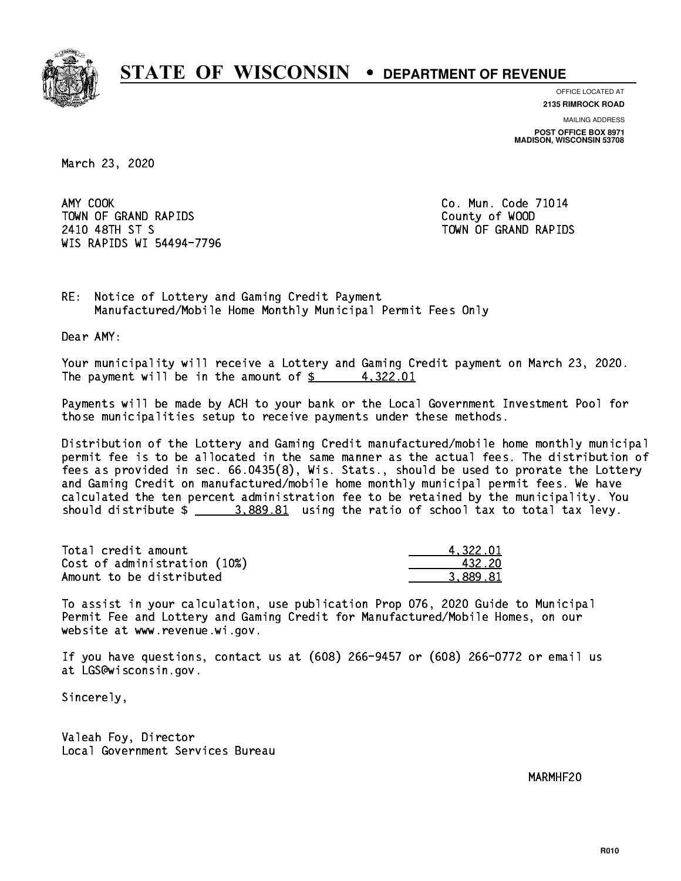

**OFFICE LOCATED AT**

**2135 RIMROCK ROAD**

**MAILING ADDRESS POST OFFICE BOX 8971 MADISON, WISCONSIN 53708**

March 23, 2020

AMY COOK TOWN OF GRAND RAPIDS County of WOOD 2410 48TH ST S TOWN OF GRAND RAPIDS WIS RAPIDS WI 54494-7796

Co. Mun. Code 71014

RE: Notice of Lottery and Gaming Credit Payment Manufactured/Mobile Home Monthly Municipal Permit Fees Only

Dear AMY:

 Your municipality will receive a Lottery and Gaming Credit payment on March 23, 2020. The payment will be in the amount of  $\frac{2}{3}$  4,322.01

 Payments will be made by ACH to your bank or the Local Government Investment Pool for those municipalities setup to receive payments under these methods.

 Distribution of the Lottery and Gaming Credit manufactured/mobile home monthly municipal permit fee is to be allocated in the same manner as the actual fees. The distribution of fees as provided in sec. 66.0435(8), Wis. Stats., should be used to prorate the Lottery and Gaming Credit on manufactured/mobile home monthly municipal permit fees. We have calculated the ten percent administration fee to be retained by the municipality. You should distribute \$ 3,889.81 using the ratio of school tax to total tax levy. \_\_\_\_\_\_\_\_\_\_\_\_\_\_

| Total credit amount          | 4.322.01 |
|------------------------------|----------|
| Cost of administration (10%) | 432.20   |
| Amount to be distributed     | 3.889.81 |

 To assist in your calculation, use publication Prop 076, 2020 Guide to Municipal Permit Fee and Lottery and Gaming Credit for Manufactured/Mobile Homes, on our website at www.revenue.wi.gov.

 If you have questions, contact us at (608) 266-9457 or (608) 266-0772 or email us at LGS@wisconsin.gov.

Sincerely,

 Valeah Foy, Director Local Government Services Bureau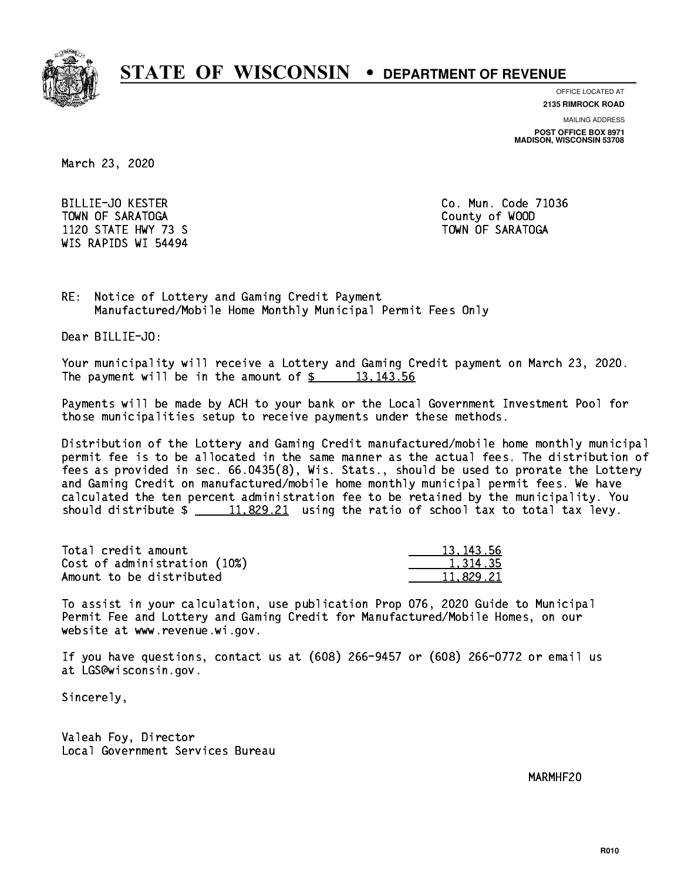

**OFFICE LOCATED AT**

**MAILING ADDRESS 2135 RIMROCK ROAD**

**POST OFFICE BOX 8971 MADISON, WISCONSIN 53708**

March 23, 2020

 BILLIE-JO KESTER Co. Mun. Code 71036 TOWN OF SARATOGA County of WOOD 1120 STATE HWY 73 S TOWN OF SARATOGA WIS RAPIDS WI 54494

RE: Notice of Lottery and Gaming Credit Payment Manufactured/Mobile Home Monthly Municipal Permit Fees Only

Dear BILLIE-JO:

 Your municipality will receive a Lottery and Gaming Credit payment on March 23, 2020. The payment will be in the amount of  $\frac{2}{3}$  13,143.56

 Payments will be made by ACH to your bank or the Local Government Investment Pool for those municipalities setup to receive payments under these methods.

 Distribution of the Lottery and Gaming Credit manufactured/mobile home monthly municipal permit fee is to be allocated in the same manner as the actual fees. The distribution of fees as provided in sec. 66.0435(8), Wis. Stats., should be used to prorate the Lottery and Gaming Credit on manufactured/mobile home monthly municipal permit fees. We have calculated the ten percent administration fee to be retained by the municipality. You should distribute  $\frac{11,829.21}{2}$  using the ratio of school tax to total tax levy.

| Total credit amount          | 13, 143, 56 |
|------------------------------|-------------|
| Cost of administration (10%) | 1,314.35    |
| Amount to be distributed     | 11.829.21   |

 To assist in your calculation, use publication Prop 076, 2020 Guide to Municipal Permit Fee and Lottery and Gaming Credit for Manufactured/Mobile Homes, on our website at www.revenue.wi.gov.

 If you have questions, contact us at (608) 266-9457 or (608) 266-0772 or email us at LGS@wisconsin.gov.

Sincerely,

 Valeah Foy, Director Local Government Services Bureau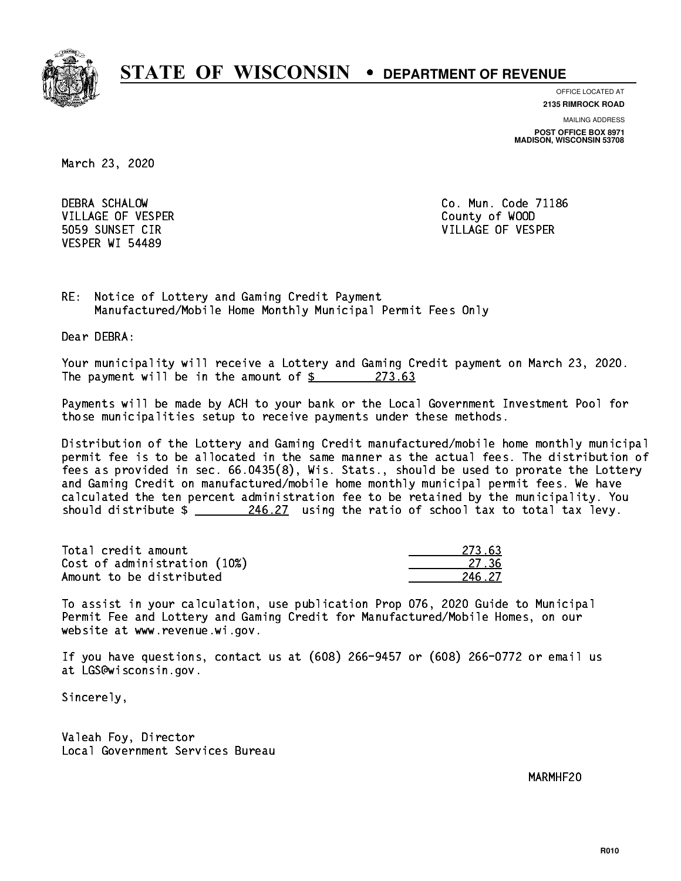

**OFFICE LOCATED AT 2135 RIMROCK ROAD**

**MAILING ADDRESS**

**POST OFFICE BOX 8971 MADISON, WISCONSIN 53708**

March 23, 2020

 DEBRA SCHALOW Co. Mun. Code 71186 VILLAGE OF VESPER COUNTY OF WOOD VESPER WI 54489

5059 SUNSET CIR VILLAGE OF VESPER

RE: Notice of Lottery and Gaming Credit Payment Manufactured/Mobile Home Monthly Municipal Permit Fees Only

Dear DEBRA:

 Your municipality will receive a Lottery and Gaming Credit payment on March 23, 2020. The payment will be in the amount of  $\frac{273.63}{273.63}$ 

 Payments will be made by ACH to your bank or the Local Government Investment Pool for those municipalities setup to receive payments under these methods.

 Distribution of the Lottery and Gaming Credit manufactured/mobile home monthly municipal permit fee is to be allocated in the same manner as the actual fees. The distribution of fees as provided in sec. 66.0435(8), Wis. Stats., should be used to prorate the Lottery and Gaming Credit on manufactured/mobile home monthly municipal permit fees. We have calculated the ten percent administration fee to be retained by the municipality. You should distribute  $\frac{246.27}{1}$  using the ratio of school tax to total tax levy.

Total credit amount Cost of administration (10%) Amount to be distributed

| የ 63<br>273 |
|-------------|
| -27 -<br>くん |
| - 27<br>- 2 |

 To assist in your calculation, use publication Prop 076, 2020 Guide to Municipal Permit Fee and Lottery and Gaming Credit for Manufactured/Mobile Homes, on our website at www.revenue.wi.gov.

 If you have questions, contact us at (608) 266-9457 or (608) 266-0772 or email us at LGS@wisconsin.gov.

Sincerely,

 Valeah Foy, Director Local Government Services Bureau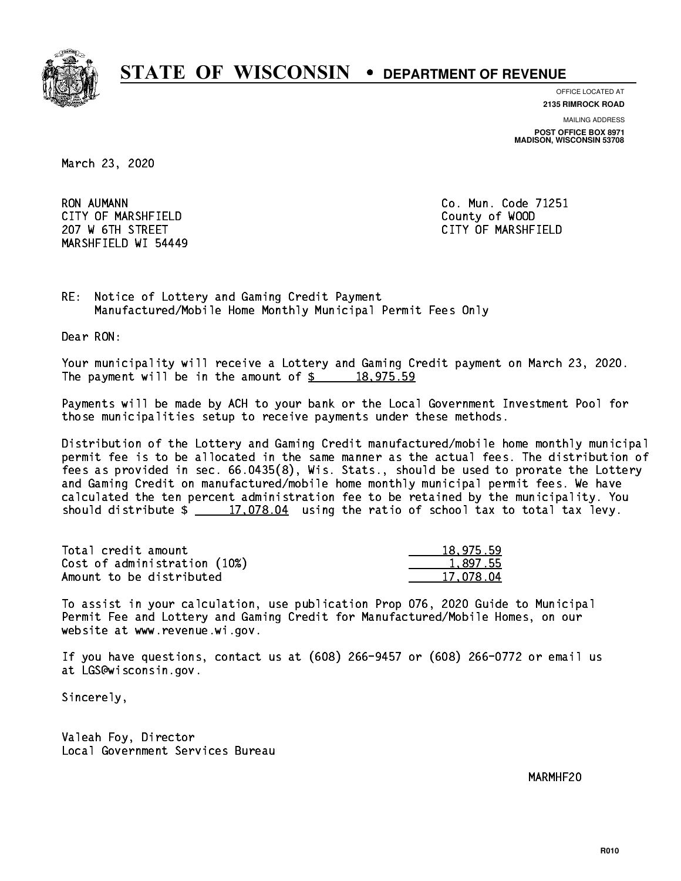

**OFFICE LOCATED AT 2135 RIMROCK ROAD**

**MAILING ADDRESS**

**POST OFFICE BOX 8971 MADISON, WISCONSIN 53708**

March 23, 2020

**RON AUMANN**  CITY OF MARSHFIELD County of WOOD 207 W 6TH STREET CITY OF MARSHFIELD MARSHFIELD WI 54449

Co. Mun. Code 71251

RE: Notice of Lottery and Gaming Credit Payment Manufactured/Mobile Home Monthly Municipal Permit Fees Only

Dear RON:

 Your municipality will receive a Lottery and Gaming Credit payment on March 23, 2020. The payment will be in the amount of  $\frac{2}{3}$  18,975.59

 Payments will be made by ACH to your bank or the Local Government Investment Pool for those municipalities setup to receive payments under these methods.

 Distribution of the Lottery and Gaming Credit manufactured/mobile home monthly municipal permit fee is to be allocated in the same manner as the actual fees. The distribution of fees as provided in sec. 66.0435(8), Wis. Stats., should be used to prorate the Lottery and Gaming Credit on manufactured/mobile home monthly municipal permit fees. We have calculated the ten percent administration fee to be retained by the municipality. You should distribute  $\frac{2}{17,078.04}$  using the ratio of school tax to total tax levy.

| Total credit amount          | 18,975.59 |
|------------------------------|-----------|
| Cost of administration (10%) | 1,897.55  |
| Amount to be distributed     | 17.078.04 |

 To assist in your calculation, use publication Prop 076, 2020 Guide to Municipal Permit Fee and Lottery and Gaming Credit for Manufactured/Mobile Homes, on our website at www.revenue.wi.gov.

 If you have questions, contact us at (608) 266-9457 or (608) 266-0772 or email us at LGS@wisconsin.gov.

Sincerely,

 Valeah Foy, Director Local Government Services Bureau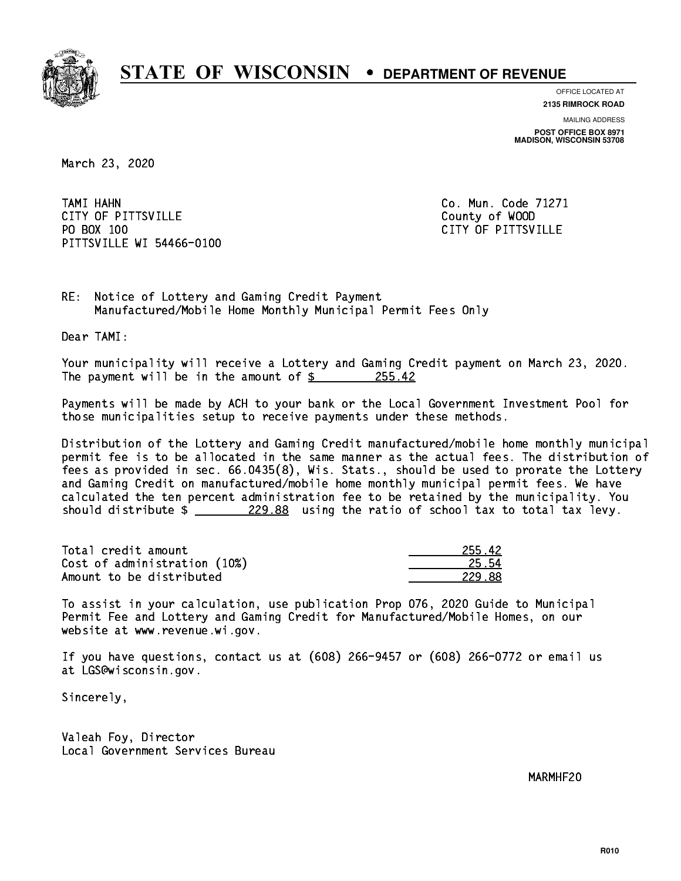

**OFFICE LOCATED AT**

**MAILING ADDRESS 2135 RIMROCK ROAD**

**POST OFFICE BOX 8971 MADISON, WISCONSIN 53708**

March 23, 2020

 TAMI HAHN Co. Mun. Code 71271 CITY OF PITTSVILLE **COUNTY COUNTY OF ALCOHOL** PO BOX 100 PITTSVILLE WI 54466-0100

CITY OF PITTSVILLE

RE: Notice of Lottery and Gaming Credit Payment Manufactured/Mobile Home Monthly Municipal Permit Fees Only

Dear TAMI:

 Your municipality will receive a Lottery and Gaming Credit payment on March 23, 2020. The payment will be in the amount of  $\frac{255.42}{255.42}$ 

 Payments will be made by ACH to your bank or the Local Government Investment Pool for those municipalities setup to receive payments under these methods.

 Distribution of the Lottery and Gaming Credit manufactured/mobile home monthly municipal permit fee is to be allocated in the same manner as the actual fees. The distribution of fees as provided in sec. 66.0435(8), Wis. Stats., should be used to prorate the Lottery and Gaming Credit on manufactured/mobile home monthly municipal permit fees. We have calculated the ten percent administration fee to be retained by the municipality. You should distribute  $\frac{229.88}{21.25}$  using the ratio of school tax to total tax levy.

| Total credit amount          | 255.42 |
|------------------------------|--------|
| Cost of administration (10%) | 25.54  |
| Amount to be distributed     | 229.88 |

 To assist in your calculation, use publication Prop 076, 2020 Guide to Municipal Permit Fee and Lottery and Gaming Credit for Manufactured/Mobile Homes, on our website at www.revenue.wi.gov.

 If you have questions, contact us at (608) 266-9457 or (608) 266-0772 or email us at LGS@wisconsin.gov.

Sincerely,

 Valeah Foy, Director Local Government Services Bureau